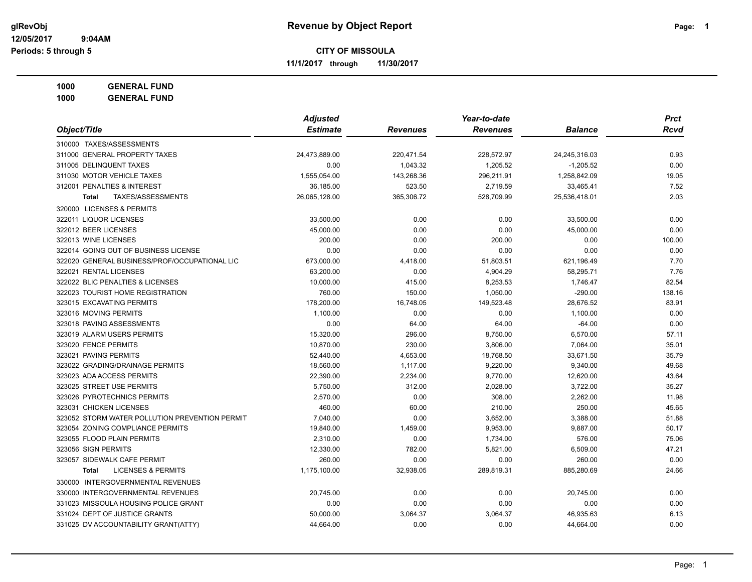**11/1/2017 through 11/30/2017**

**1000 GENERAL FUND**

| Object/Title                                   | <b>Adjusted</b> |                 | Year-to-date    |                | <b>Prct</b> |
|------------------------------------------------|-----------------|-----------------|-----------------|----------------|-------------|
|                                                | <b>Estimate</b> | <b>Revenues</b> | <b>Revenues</b> | <b>Balance</b> | Rcvd        |
| 310000 TAXES/ASSESSMENTS                       |                 |                 |                 |                |             |
| 311000 GENERAL PROPERTY TAXES                  | 24,473,889.00   | 220,471.54      | 228,572.97      | 24,245,316.03  | 0.93        |
| 311005 DELINQUENT TAXES                        | 0.00            | 1,043.32        | 1,205.52        | $-1,205.52$    | 0.00        |
| 311030 MOTOR VEHICLE TAXES                     | 1,555,054.00    | 143,268.36      | 296,211.91      | 1,258,842.09   | 19.05       |
| 312001 PENALTIES & INTEREST                    | 36,185.00       | 523.50          | 2,719.59        | 33,465.41      | 7.52        |
| TAXES/ASSESSMENTS<br><b>Total</b>              | 26,065,128.00   | 365,306.72      | 528,709.99      | 25,536,418.01  | 2.03        |
| 320000 LICENSES & PERMITS                      |                 |                 |                 |                |             |
| 322011 LIQUOR LICENSES                         | 33,500.00       | 0.00            | 0.00            | 33,500.00      | 0.00        |
| 322012 BEER LICENSES                           | 45,000.00       | 0.00            | 0.00            | 45,000.00      | 0.00        |
| 322013 WINE LICENSES                           | 200.00          | 0.00            | 200.00          | 0.00           | 100.00      |
| 322014 GOING OUT OF BUSINESS LICENSE           | 0.00            | 0.00            | 0.00            | 0.00           | 0.00        |
| 322020 GENERAL BUSINESS/PROF/OCCUPATIONAL LIC  | 673,000.00      | 4,418.00        | 51,803.51       | 621,196.49     | 7.70        |
| 322021 RENTAL LICENSES                         | 63,200.00       | 0.00            | 4,904.29        | 58,295.71      | 7.76        |
| 322022 BLIC PENALTIES & LICENSES               | 10,000.00       | 415.00          | 8,253.53        | 1,746.47       | 82.54       |
| 322023 TOURIST HOME REGISTRATION               | 760.00          | 150.00          | 1,050.00        | $-290.00$      | 138.16      |
| 323015 EXCAVATING PERMITS                      | 178,200.00      | 16,748.05       | 149,523.48      | 28,676.52      | 83.91       |
| 323016 MOVING PERMITS                          | 1,100.00        | 0.00            | 0.00            | 1,100.00       | 0.00        |
| 323018 PAVING ASSESSMENTS                      | 0.00            | 64.00           | 64.00           | $-64.00$       | 0.00        |
| 323019 ALARM USERS PERMITS                     | 15,320.00       | 296.00          | 8,750.00        | 6,570.00       | 57.11       |
| 323020 FENCE PERMITS                           | 10,870.00       | 230.00          | 3,806.00        | 7,064.00       | 35.01       |
| 323021 PAVING PERMITS                          | 52,440.00       | 4,653.00        | 18,768.50       | 33,671.50      | 35.79       |
| 323022 GRADING/DRAINAGE PERMITS                | 18,560.00       | 1,117.00        | 9,220.00        | 9,340.00       | 49.68       |
| 323023 ADA ACCESS PERMITS                      | 22,390.00       | 2,234.00        | 9,770.00        | 12,620.00      | 43.64       |
| 323025 STREET USE PERMITS                      | 5,750.00        | 312.00          | 2,028.00        | 3,722.00       | 35.27       |
| 323026 PYROTECHNICS PERMITS                    | 2,570.00        | 0.00            | 308.00          | 2,262.00       | 11.98       |
| 323031 CHICKEN LICENSES                        | 460.00          | 60.00           | 210.00          | 250.00         | 45.65       |
| 323052 STORM WATER POLLUTION PREVENTION PERMIT | 7,040.00        | 0.00            | 3,652.00        | 3,388.00       | 51.88       |
| 323054 ZONING COMPLIANCE PERMITS               | 19,840.00       | 1,459.00        | 9,953.00        | 9,887.00       | 50.17       |
| 323055 FLOOD PLAIN PERMITS                     | 2,310.00        | 0.00            | 1,734.00        | 576.00         | 75.06       |
| 323056 SIGN PERMITS                            | 12,330.00       | 782.00          | 5,821.00        | 6,509.00       | 47.21       |
| 323057 SIDEWALK CAFE PERMIT                    | 260.00          | 0.00            | 0.00            | 260.00         | 0.00        |
| <b>LICENSES &amp; PERMITS</b><br><b>Total</b>  | 1,175,100.00    | 32,938.05       | 289,819.31      | 885,280.69     | 24.66       |
| 330000 INTERGOVERNMENTAL REVENUES              |                 |                 |                 |                |             |
| 330000 INTERGOVERNMENTAL REVENUES              | 20,745.00       | 0.00            | 0.00            | 20,745.00      | 0.00        |
| 331023 MISSOULA HOUSING POLICE GRANT           | 0.00            | 0.00            | 0.00            | 0.00           | 0.00        |
| 331024 DEPT OF JUSTICE GRANTS                  | 50,000.00       | 3,064.37        | 3,064.37        | 46,935.63      | 6.13        |
| 331025 DV ACCOUNTABILITY GRANT(ATTY)           | 44,664.00       | 0.00            | 0.00            | 44,664.00      | 0.00        |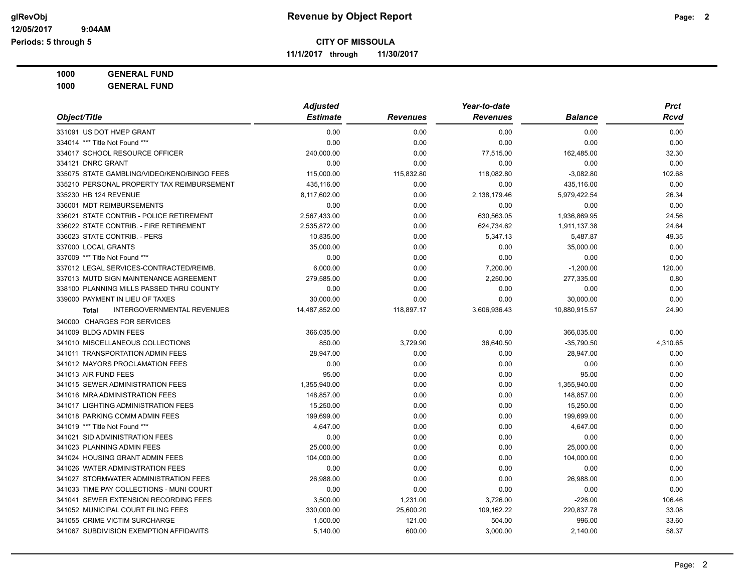**11/1/2017 through 11/30/2017**

#### **1000 GENERAL FUND**

|                                                   | <b>Adjusted</b> |                 | Year-to-date    |                | <b>Prct</b> |  |
|---------------------------------------------------|-----------------|-----------------|-----------------|----------------|-------------|--|
| Object/Title                                      | <b>Estimate</b> | <b>Revenues</b> | <b>Revenues</b> | <b>Balance</b> | Rcvd        |  |
| 331091 US DOT HMEP GRANT                          | 0.00            | 0.00            | 0.00            | 0.00           | 0.00        |  |
| 334014 *** Title Not Found ***                    | 0.00            | 0.00            | 0.00            | 0.00           | 0.00        |  |
| 334017 SCHOOL RESOURCE OFFICER                    | 240,000.00      | 0.00            | 77,515.00       | 162,485.00     | 32.30       |  |
| 334121 DNRC GRANT                                 | 0.00            | 0.00            | 0.00            | 0.00           | 0.00        |  |
| 335075 STATE GAMBLING/VIDEO/KENO/BINGO FEES       | 115,000.00      | 115,832.80      | 118,082.80      | $-3,082.80$    | 102.68      |  |
| 335210 PERSONAL PROPERTY TAX REIMBURSEMENT        | 435,116.00      | 0.00            | 0.00            | 435,116.00     | 0.00        |  |
| 335230 HB 124 REVENUE                             | 8,117,602.00    | 0.00            | 2,138,179.46    | 5,979,422.54   | 26.34       |  |
| 336001 MDT REIMBURSEMENTS                         | 0.00            | 0.00            | 0.00            | 0.00           | 0.00        |  |
| 336021 STATE CONTRIB - POLICE RETIREMENT          | 2,567,433.00    | 0.00            | 630,563.05      | 1,936,869.95   | 24.56       |  |
| 336022 STATE CONTRIB. - FIRE RETIREMENT           | 2,535,872.00    | 0.00            | 624,734.62      | 1,911,137.38   | 24.64       |  |
| 336023 STATE CONTRIB. - PERS                      | 10,835.00       | 0.00            | 5,347.13        | 5,487.87       | 49.35       |  |
| 337000 LOCAL GRANTS                               | 35,000.00       | 0.00            | 0.00            | 35,000.00      | 0.00        |  |
| 337009 *** Title Not Found ***                    | 0.00            | 0.00            | 0.00            | 0.00           | 0.00        |  |
| 337012 LEGAL SERVICES-CONTRACTED/REIMB.           | 6,000.00        | 0.00            | 7,200.00        | $-1,200.00$    | 120.00      |  |
| 337013 MUTD SIGN MAINTENANCE AGREEMENT            | 279,585.00      | 0.00            | 2,250.00        | 277,335.00     | 0.80        |  |
| 338100 PLANNING MILLS PASSED THRU COUNTY          | 0.00            | 0.00            | 0.00            | 0.00           | 0.00        |  |
| 339000 PAYMENT IN LIEU OF TAXES                   | 30,000.00       | 0.00            | 0.00            | 30,000.00      | 0.00        |  |
| <b>INTERGOVERNMENTAL REVENUES</b><br><b>Total</b> | 14,487,852.00   | 118,897.17      | 3,606,936.43    | 10,880,915.57  | 24.90       |  |
| 340000 CHARGES FOR SERVICES                       |                 |                 |                 |                |             |  |
| 341009 BLDG ADMIN FEES                            | 366.035.00      | 0.00            | 0.00            | 366.035.00     | 0.00        |  |
| 341010 MISCELLANEOUS COLLECTIONS                  | 850.00          | 3,729.90        | 36,640.50       | $-35,790.50$   | 4,310.65    |  |
| 341011 TRANSPORTATION ADMIN FEES                  | 28,947.00       | 0.00            | 0.00            | 28,947.00      | 0.00        |  |
| 341012 MAYORS PROCLAMATION FEES                   | 0.00            | 0.00            | 0.00            | 0.00           | 0.00        |  |
| 341013 AIR FUND FEES                              | 95.00           | 0.00            | 0.00            | 95.00          | 0.00        |  |
| 341015 SEWER ADMINISTRATION FEES                  | 1,355,940.00    | 0.00            | 0.00            | 1,355,940.00   | 0.00        |  |
| 341016 MRA ADMINISTRATION FEES                    | 148,857.00      | 0.00            | 0.00            | 148,857.00     | 0.00        |  |
| 341017 LIGHTING ADMINISTRATION FEES               | 15,250.00       | 0.00            | 0.00            | 15,250.00      | 0.00        |  |
| 341018 PARKING COMM ADMIN FEES                    | 199,699.00      | 0.00            | 0.00            | 199,699.00     | 0.00        |  |
| 341019 *** Title Not Found ***                    | 4,647.00        | 0.00            | 0.00            | 4,647.00       | 0.00        |  |
| 341021 SID ADMINISTRATION FEES                    | 0.00            | 0.00            | 0.00            | 0.00           | 0.00        |  |
| 341023 PLANNING ADMIN FEES                        | 25,000.00       | 0.00            | 0.00            | 25,000.00      | 0.00        |  |
| 341024 HOUSING GRANT ADMIN FEES                   | 104,000.00      | 0.00            | 0.00            | 104,000.00     | 0.00        |  |
| 341026 WATER ADMINISTRATION FEES                  | 0.00            | 0.00            | 0.00            | 0.00           | 0.00        |  |
| 341027 STORMWATER ADMINISTRATION FEES             | 26,988.00       | 0.00            | 0.00            | 26,988.00      | 0.00        |  |
| 341033 TIME PAY COLLECTIONS - MUNI COURT          | 0.00            | 0.00            | 0.00            | 0.00           | 0.00        |  |
| 341041 SEWER EXTENSION RECORDING FEES             | 3,500.00        | 1,231.00        | 3,726.00        | $-226.00$      | 106.46      |  |
| 341052 MUNICIPAL COURT FILING FEES                | 330,000.00      | 25,600.20       | 109,162.22      | 220,837.78     | 33.08       |  |
| 341055 CRIME VICTIM SURCHARGE                     | 1,500.00        | 121.00          | 504.00          | 996.00         | 33.60       |  |
| 341067 SUBDIVISION EXEMPTION AFFIDAVITS           | 5,140.00        | 600.00          | 3,000.00        | 2,140.00       | 58.37       |  |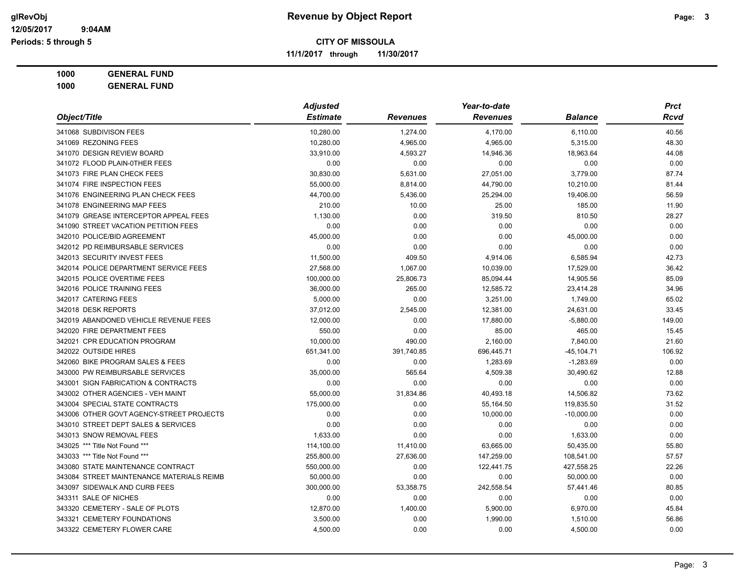**11/1/2017 through 11/30/2017**

# **1000 GENERAL FUND**

|                                           | <b>Adjusted</b> |                 | Year-to-date    |                | <b>Prct</b> |
|-------------------------------------------|-----------------|-----------------|-----------------|----------------|-------------|
| Object/Title                              | <b>Estimate</b> | <b>Revenues</b> | <b>Revenues</b> | <b>Balance</b> | Rcvd        |
| 341068 SUBDIVISON FEES                    | 10,280.00       | 1,274.00        | 4,170.00        | 6,110.00       | 40.56       |
| 341069 REZONING FEES                      | 10,280.00       | 4,965.00        | 4,965.00        | 5,315.00       | 48.30       |
| 341070 DESIGN REVIEW BOARD                | 33,910.00       | 4,593.27        | 14,946.36       | 18,963.64      | 44.08       |
| 341072 FLOOD PLAIN-0THER FEES             | 0.00            | 0.00            | 0.00            | 0.00           | 0.00        |
| 341073 FIRE PLAN CHECK FEES               | 30,830.00       | 5,631.00        | 27,051.00       | 3,779.00       | 87.74       |
| 341074 FIRE INSPECTION FEES               | 55,000.00       | 8,814.00        | 44,790.00       | 10,210.00      | 81.44       |
| 341076 ENGINEERING PLAN CHECK FEES        | 44,700.00       | 5,436.00        | 25,294.00       | 19,406.00      | 56.59       |
| 341078 ENGINEERING MAP FEES               | 210.00          | 10.00           | 25.00           | 185.00         | 11.90       |
| 341079 GREASE INTERCEPTOR APPEAL FEES     | 1,130.00        | 0.00            | 319.50          | 810.50         | 28.27       |
| 341090 STREET VACATION PETITION FEES      | 0.00            | 0.00            | 0.00            | 0.00           | 0.00        |
| 342010 POLICE/BID AGREEMENT               | 45,000.00       | 0.00            | 0.00            | 45,000.00      | 0.00        |
| 342012 PD REIMBURSABLE SERVICES           | 0.00            | 0.00            | 0.00            | 0.00           | 0.00        |
| 342013 SECURITY INVEST FEES               | 11,500.00       | 409.50          | 4,914.06        | 6,585.94       | 42.73       |
| 342014 POLICE DEPARTMENT SERVICE FEES     | 27,568.00       | 1,067.00        | 10,039.00       | 17,529.00      | 36.42       |
| 342015 POLICE OVERTIME FEES               | 100,000.00      | 25,806.73       | 85,094.44       | 14,905.56      | 85.09       |
| 342016 POLICE TRAINING FEES               | 36,000.00       | 265.00          | 12,585.72       | 23,414.28      | 34.96       |
| 342017 CATERING FEES                      | 5,000.00        | 0.00            | 3,251.00        | 1,749.00       | 65.02       |
| 342018 DESK REPORTS                       | 37,012.00       | 2,545.00        | 12,381.00       | 24,631.00      | 33.45       |
| 342019 ABANDONED VEHICLE REVENUE FEES     | 12,000.00       | 0.00            | 17,880.00       | $-5,880.00$    | 149.00      |
| 342020 FIRE DEPARTMENT FEES               | 550.00          | 0.00            | 85.00           | 465.00         | 15.45       |
| 342021 CPR EDUCATION PROGRAM              | 10,000.00       | 490.00          | 2,160.00        | 7,840.00       | 21.60       |
| 342022 OUTSIDE HIRES                      | 651,341.00      | 391,740.85      | 696,445.71      | $-45, 104.71$  | 106.92      |
| 342060 BIKE PROGRAM SALES & FEES          | 0.00            | 0.00            | 1,283.69        | $-1,283.69$    | 0.00        |
| 343000 PW REIMBURSABLE SERVICES           | 35,000.00       | 565.64          | 4,509.38        | 30,490.62      | 12.88       |
| 343001 SIGN FABRICATION & CONTRACTS       | 0.00            | 0.00            | 0.00            | 0.00           | 0.00        |
| 343002 OTHER AGENCIES - VEH MAINT         | 55,000.00       | 31,834.86       | 40,493.18       | 14,506.82      | 73.62       |
| 343004 SPECIAL STATE CONTRACTS            | 175,000.00      | 0.00            | 55,164.50       | 119,835.50     | 31.52       |
| 343006 OTHER GOVT AGENCY-STREET PROJECTS  | 0.00            | 0.00            | 10,000.00       | $-10,000.00$   | 0.00        |
| 343010 STREET DEPT SALES & SERVICES       | 0.00            | 0.00            | 0.00            | 0.00           | 0.00        |
| 343013 SNOW REMOVAL FEES                  | 1,633.00        | 0.00            | 0.00            | 1,633.00       | 0.00        |
| 343025 *** Title Not Found ***            | 114,100.00      | 11,410.00       | 63,665.00       | 50,435.00      | 55.80       |
| 343033 *** Title Not Found ***            | 255,800.00      | 27,636.00       | 147,259.00      | 108,541.00     | 57.57       |
| 343080 STATE MAINTENANCE CONTRACT         | 550,000.00      | 0.00            | 122,441.75      | 427,558.25     | 22.26       |
| 343084 STREET MAINTENANCE MATERIALS REIMB | 50,000.00       | 0.00            | 0.00            | 50,000.00      | 0.00        |
| 343097 SIDEWALK AND CURB FEES             | 300,000.00      | 53,358.75       | 242,558.54      | 57,441.46      | 80.85       |
| 343311 SALE OF NICHES                     | 0.00            | 0.00            | 0.00            | 0.00           | 0.00        |
| 343320 CEMETERY - SALE OF PLOTS           | 12,870.00       | 1,400.00        | 5,900.00        | 6,970.00       | 45.84       |
| 343321 CEMETERY FOUNDATIONS               | 3,500.00        | 0.00            | 1,990.00        | 1,510.00       | 56.86       |
| 343322 CEMETERY FLOWER CARE               | 4,500.00        | 0.00            | 0.00            | 4,500.00       | 0.00        |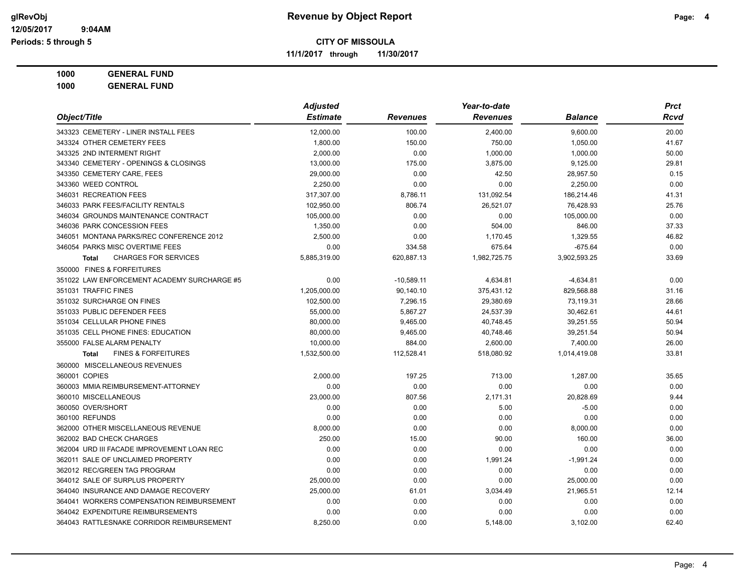**11/1/2017 through 11/30/2017**

## **1000 GENERAL FUND**

|                                                | <b>Adjusted</b> |                 | Year-to-date    |                | <b>Prct</b> |
|------------------------------------------------|-----------------|-----------------|-----------------|----------------|-------------|
| Object/Title                                   | <b>Estimate</b> | <b>Revenues</b> | <b>Revenues</b> | <b>Balance</b> | Rcvd        |
| 343323 CEMETERY - LINER INSTALL FEES           | 12,000.00       | 100.00          | 2,400.00        | 9,600.00       | 20.00       |
| 343324 OTHER CEMETERY FEES                     | 1,800.00        | 150.00          | 750.00          | 1,050.00       | 41.67       |
| 343325 2ND INTERMENT RIGHT                     | 2,000.00        | 0.00            | 1,000.00        | 1,000.00       | 50.00       |
| 343340 CEMETERY - OPENINGS & CLOSINGS          | 13,000.00       | 175.00          | 3,875.00        | 9,125.00       | 29.81       |
| 343350 CEMETERY CARE, FEES                     | 29,000.00       | 0.00            | 42.50           | 28,957.50      | 0.15        |
| 343360 WEED CONTROL                            | 2,250.00        | 0.00            | 0.00            | 2,250.00       | 0.00        |
| 346031 RECREATION FEES                         | 317,307.00      | 8,786.11        | 131,092.54      | 186,214.46     | 41.31       |
| 346033 PARK FEES/FACILITY RENTALS              | 102,950.00      | 806.74          | 26,521.07       | 76,428.93      | 25.76       |
| 346034 GROUNDS MAINTENANCE CONTRACT            | 105,000.00      | 0.00            | 0.00            | 105,000.00     | 0.00        |
| 346036 PARK CONCESSION FEES                    | 1,350.00        | 0.00            | 504.00          | 846.00         | 37.33       |
| 346051 MONTANA PARKS/REC CONFERENCE 2012       | 2,500.00        | 0.00            | 1,170.45        | 1,329.55       | 46.82       |
| 346054 PARKS MISC OVERTIME FEES                | 0.00            | 334.58          | 675.64          | $-675.64$      | 0.00        |
| <b>CHARGES FOR SERVICES</b><br><b>Total</b>    | 5,885,319.00    | 620,887.13      | 1,982,725.75    | 3,902,593.25   | 33.69       |
| 350000 FINES & FORFEITURES                     |                 |                 |                 |                |             |
| 351022 LAW ENFORCEMENT ACADEMY SURCHARGE #5    | 0.00            | $-10,589.11$    | 4,634.81        | $-4,634.81$    | 0.00        |
| 351031 TRAFFIC FINES                           | 1,205,000.00    | 90,140.10       | 375,431.12      | 829,568.88     | 31.16       |
| 351032 SURCHARGE ON FINES                      | 102,500.00      | 7,296.15        | 29,380.69       | 73,119.31      | 28.66       |
| 351033 PUBLIC DEFENDER FEES                    | 55,000.00       | 5,867.27        | 24,537.39       | 30,462.61      | 44.61       |
| 351034 CELLULAR PHONE FINES                    | 80,000.00       | 9,465.00        | 40,748.45       | 39,251.55      | 50.94       |
| 351035 CELL PHONE FINES: EDUCATION             | 80,000.00       | 9,465.00        | 40,748.46       | 39,251.54      | 50.94       |
| 355000 FALSE ALARM PENALTY                     | 10,000.00       | 884.00          | 2,600.00        | 7,400.00       | 26.00       |
| <b>FINES &amp; FORFEITURES</b><br><b>Total</b> | 1,532,500.00    | 112,528.41      | 518,080.92      | 1,014,419.08   | 33.81       |
| 360000 MISCELLANEOUS REVENUES                  |                 |                 |                 |                |             |
| 360001 COPIES                                  | 2,000.00        | 197.25          | 713.00          | 1,287.00       | 35.65       |
| 360003 MMIA REIMBURSEMENT-ATTORNEY             | 0.00            | 0.00            | 0.00            | 0.00           | 0.00        |
| 360010 MISCELLANEOUS                           | 23,000.00       | 807.56          | 2,171.31        | 20,828.69      | 9.44        |
| 360050 OVER/SHORT                              | 0.00            | 0.00            | 5.00            | $-5.00$        | 0.00        |
| 360100 REFUNDS                                 | 0.00            | 0.00            | 0.00            | 0.00           | 0.00        |
| 362000 OTHER MISCELLANEOUS REVENUE             | 8,000.00        | 0.00            | 0.00            | 8,000.00       | 0.00        |
| 362002 BAD CHECK CHARGES                       | 250.00          | 15.00           | 90.00           | 160.00         | 36.00       |
| 362004 URD III FACADE IMPROVEMENT LOAN REC     | 0.00            | 0.00            | 0.00            | 0.00           | 0.00        |
| 362011 SALE OF UNCLAIMED PROPERTY              | 0.00            | 0.00            | 1,991.24        | $-1,991.24$    | 0.00        |
| 362012 REC/GREEN TAG PROGRAM                   | 0.00            | 0.00            | 0.00            | 0.00           | 0.00        |
| 364012 SALE OF SURPLUS PROPERTY                | 25,000.00       | 0.00            | 0.00            | 25,000.00      | 0.00        |
| 364040 INSURANCE AND DAMAGE RECOVERY           | 25,000.00       | 61.01           | 3,034.49        | 21,965.51      | 12.14       |
| 364041 WORKERS COMPENSATION REIMBURSEMENT      | 0.00            | 0.00            | 0.00            | 0.00           | 0.00        |
| 364042 EXPENDITURE REIMBURSEMENTS              | 0.00            | 0.00            | 0.00            | 0.00           | 0.00        |
| 364043 RATTLESNAKE CORRIDOR REIMBURSEMENT      | 8,250.00        | 0.00            | 5,148.00        | 3,102.00       | 62.40       |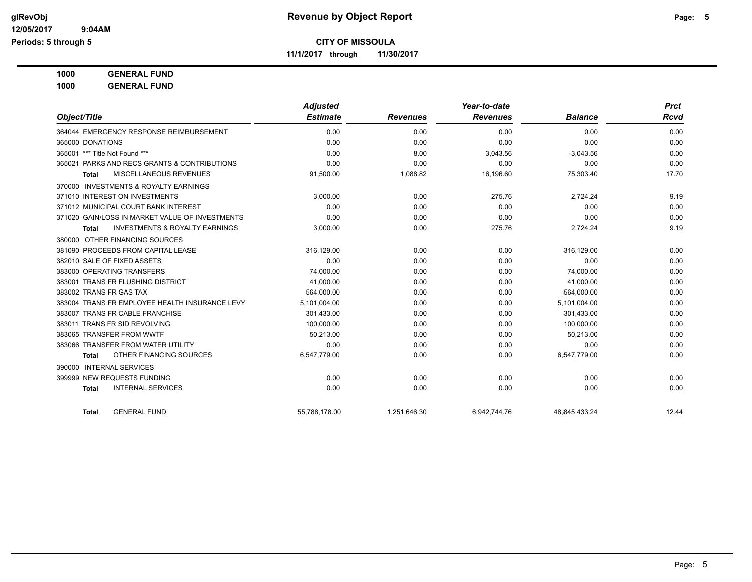**11/1/2017 through 11/30/2017**

## **1000 GENERAL FUND**

|                                                           | <b>Adjusted</b> |                 | Year-to-date    |                | <b>Prct</b> |
|-----------------------------------------------------------|-----------------|-----------------|-----------------|----------------|-------------|
| Object/Title                                              | <b>Estimate</b> | <b>Revenues</b> | <b>Revenues</b> | <b>Balance</b> | <b>Rcvd</b> |
| 364044 EMERGENCY RESPONSE REIMBURSEMENT                   | 0.00            | 0.00            | 0.00            | 0.00           | 0.00        |
| 365000 DONATIONS                                          | 0.00            | 0.00            | 0.00            | 0.00           | 0.00        |
| 365001 *** Title Not Found ***                            | 0.00            | 8.00            | 3,043.56        | $-3,043.56$    | 0.00        |
| 365021 PARKS AND RECS GRANTS & CONTRIBUTIONS              | 0.00            | 0.00            | 0.00            | 0.00           | 0.00        |
| MISCELLANEOUS REVENUES<br><b>Total</b>                    | 91,500.00       | 1,088.82        | 16,196.60       | 75,303.40      | 17.70       |
| 370000 INVESTMENTS & ROYALTY EARNINGS                     |                 |                 |                 |                |             |
| 371010 INTEREST ON INVESTMENTS                            | 3,000.00        | 0.00            | 275.76          | 2,724.24       | 9.19        |
| 371012 MUNICIPAL COURT BANK INTEREST                      | 0.00            | 0.00            | 0.00            | 0.00           | 0.00        |
| 371020 GAIN/LOSS IN MARKET VALUE OF INVESTMENTS           | 0.00            | 0.00            | 0.00            | 0.00           | 0.00        |
| <b>INVESTMENTS &amp; ROYALTY EARNINGS</b><br><b>Total</b> | 3,000.00        | 0.00            | 275.76          | 2,724.24       | 9.19        |
| OTHER FINANCING SOURCES<br>380000                         |                 |                 |                 |                |             |
| 381090 PROCEEDS FROM CAPITAL LEASE                        | 316,129.00      | 0.00            | 0.00            | 316,129.00     | 0.00        |
| 382010 SALE OF FIXED ASSETS                               | 0.00            | 0.00            | 0.00            | 0.00           | 0.00        |
| 383000 OPERATING TRANSFERS                                | 74,000.00       | 0.00            | 0.00            | 74,000.00      | 0.00        |
| 383001 TRANS FR FLUSHING DISTRICT                         | 41,000.00       | 0.00            | 0.00            | 41,000.00      | 0.00        |
| 383002 TRANS FR GAS TAX                                   | 564,000.00      | 0.00            | 0.00            | 564,000.00     | 0.00        |
| 383004 TRANS FR EMPLOYEE HEALTH INSURANCE LEVY            | 5,101,004.00    | 0.00            | 0.00            | 5.101.004.00   | 0.00        |
| 383007 TRANS FR CABLE FRANCHISE                           | 301,433.00      | 0.00            | 0.00            | 301.433.00     | 0.00        |
| 383011 TRANS FR SID REVOLVING                             | 100,000.00      | 0.00            | 0.00            | 100.000.00     | 0.00        |
| 383065 TRANSFER FROM WWTF                                 | 50,213.00       | 0.00            | 0.00            | 50,213.00      | 0.00        |
| 383066 TRANSFER FROM WATER UTILITY                        | 0.00            | 0.00            | 0.00            | 0.00           | 0.00        |
| OTHER FINANCING SOURCES<br><b>Total</b>                   | 6,547,779.00    | 0.00            | 0.00            | 6,547,779.00   | 0.00        |
| 390000 INTERNAL SERVICES                                  |                 |                 |                 |                |             |
| 399999 NEW REQUESTS FUNDING                               | 0.00            | 0.00            | 0.00            | 0.00           | 0.00        |
| <b>INTERNAL SERVICES</b><br><b>Total</b>                  | 0.00            | 0.00            | 0.00            | 0.00           | 0.00        |
| <b>GENERAL FUND</b><br><b>Total</b>                       | 55,788,178.00   | 1,251,646.30    | 6,942,744.76    | 48,845,433.24  | 12.44       |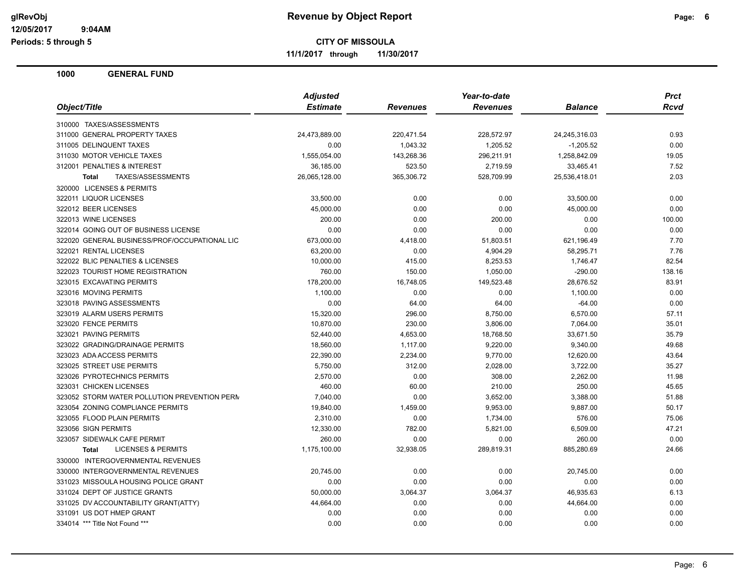**11/1/2017 through 11/30/2017**

| Object/Title                                  | <b>Adjusted</b> |                 | Year-to-date    | <b>Prct</b>    |        |
|-----------------------------------------------|-----------------|-----------------|-----------------|----------------|--------|
|                                               | <b>Estimate</b> | <b>Revenues</b> | <b>Revenues</b> | <b>Balance</b> | Rcvd   |
| 310000 TAXES/ASSESSMENTS                      |                 |                 |                 |                |        |
| 311000 GENERAL PROPERTY TAXES                 | 24,473,889.00   | 220,471.54      | 228,572.97      | 24,245,316.03  | 0.93   |
| 311005 DELINQUENT TAXES                       | 0.00            | 1,043.32        | 1,205.52        | $-1,205.52$    | 0.00   |
| 311030 MOTOR VEHICLE TAXES                    | 1,555,054.00    | 143,268.36      | 296,211.91      | 1,258,842.09   | 19.05  |
| 312001 PENALTIES & INTEREST                   | 36,185.00       | 523.50          | 2,719.59        | 33,465.41      | 7.52   |
| TAXES/ASSESSMENTS<br><b>Total</b>             | 26,065,128.00   | 365,306.72      | 528,709.99      | 25,536,418.01  | 2.03   |
| 320000 LICENSES & PERMITS                     |                 |                 |                 |                |        |
| 322011 LIQUOR LICENSES                        | 33,500.00       | 0.00            | 0.00            | 33,500.00      | 0.00   |
| 322012 BEER LICENSES                          | 45,000.00       | 0.00            | 0.00            | 45,000.00      | 0.00   |
| 322013 WINE LICENSES                          | 200.00          | 0.00            | 200.00          | 0.00           | 100.00 |
| 322014 GOING OUT OF BUSINESS LICENSE          | 0.00            | 0.00            | 0.00            | 0.00           | 0.00   |
| 322020 GENERAL BUSINESS/PROF/OCCUPATIONAL LIC | 673,000.00      | 4,418.00        | 51,803.51       | 621,196.49     | 7.70   |
| 322021 RENTAL LICENSES                        | 63,200.00       | 0.00            | 4,904.29        | 58,295.71      | 7.76   |
| 322022 BLIC PENALTIES & LICENSES              | 10,000.00       | 415.00          | 8,253.53        | 1,746.47       | 82.54  |
| 322023 TOURIST HOME REGISTRATION              | 760.00          | 150.00          | 1,050.00        | $-290.00$      | 138.16 |
| 323015 EXCAVATING PERMITS                     | 178,200.00      | 16,748.05       | 149,523.48      | 28,676.52      | 83.91  |
| 323016 MOVING PERMITS                         | 1,100.00        | 0.00            | 0.00            | 1,100.00       | 0.00   |
| 323018 PAVING ASSESSMENTS                     | 0.00            | 64.00           | 64.00           | $-64.00$       | 0.00   |
| 323019 ALARM USERS PERMITS                    | 15,320.00       | 296.00          | 8,750.00        | 6,570.00       | 57.11  |
| 323020 FENCE PERMITS                          | 10,870.00       | 230.00          | 3,806.00        | 7,064.00       | 35.01  |
| 323021 PAVING PERMITS                         | 52,440.00       | 4,653.00        | 18,768.50       | 33,671.50      | 35.79  |
| 323022 GRADING/DRAINAGE PERMITS               | 18,560.00       | 1,117.00        | 9,220.00        | 9,340.00       | 49.68  |
| 323023 ADA ACCESS PERMITS                     | 22,390.00       | 2,234.00        | 9,770.00        | 12,620.00      | 43.64  |
| 323025 STREET USE PERMITS                     | 5,750.00        | 312.00          | 2,028.00        | 3,722.00       | 35.27  |
| 323026 PYROTECHNICS PERMITS                   | 2,570.00        | 0.00            | 308.00          | 2,262.00       | 11.98  |
| 323031 CHICKEN LICENSES                       | 460.00          | 60.00           | 210.00          | 250.00         | 45.65  |
| 323052 STORM WATER POLLUTION PREVENTION PERM  | 7,040.00        | 0.00            | 3,652.00        | 3,388.00       | 51.88  |
| 323054 ZONING COMPLIANCE PERMITS              | 19,840.00       | 1,459.00        | 9,953.00        | 9,887.00       | 50.17  |
| 323055 FLOOD PLAIN PERMITS                    | 2,310.00        | 0.00            | 1,734.00        | 576.00         | 75.06  |
| 323056 SIGN PERMITS                           | 12,330.00       | 782.00          | 5,821.00        | 6,509.00       | 47.21  |
| 323057 SIDEWALK CAFE PERMIT                   | 260.00          | 0.00            | 0.00            | 260.00         | 0.00   |
| <b>LICENSES &amp; PERMITS</b><br><b>Total</b> | 1,175,100.00    | 32,938.05       | 289,819.31      | 885,280.69     | 24.66  |
| 330000 INTERGOVERNMENTAL REVENUES             |                 |                 |                 |                |        |
| 330000 INTERGOVERNMENTAL REVENUES             | 20,745.00       | 0.00            | 0.00            | 20,745.00      | 0.00   |
| 331023 MISSOULA HOUSING POLICE GRANT          | 0.00            | 0.00            | 0.00            | 0.00           | 0.00   |
| 331024 DEPT OF JUSTICE GRANTS                 | 50,000.00       | 3,064.37        | 3,064.37        | 46,935.63      | 6.13   |
| 331025 DV ACCOUNTABILITY GRANT(ATTY)          | 44,664.00       | 0.00            | 0.00            | 44,664.00      | 0.00   |
| 331091 US DOT HMEP GRANT                      | 0.00            | 0.00            | 0.00            | 0.00           | 0.00   |
| 334014 *** Title Not Found ***                | 0.00            | 0.00            | 0.00            | 0.00           | 0.00   |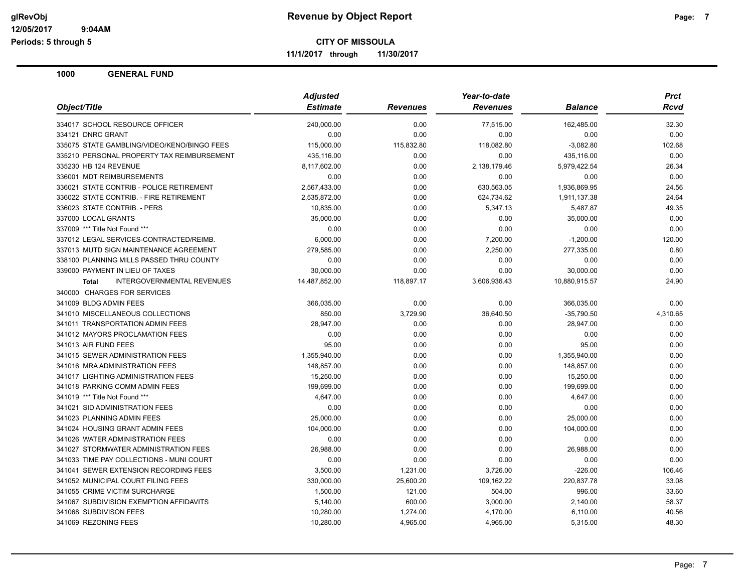**11/1/2017 through 11/30/2017**

| Object/Title                                      | <b>Adjusted</b> |                 | Year-to-date    |                |          |  |
|---------------------------------------------------|-----------------|-----------------|-----------------|----------------|----------|--|
|                                                   | <b>Estimate</b> | <b>Revenues</b> | <b>Revenues</b> | <b>Balance</b> | Rcvd     |  |
| 334017 SCHOOL RESOURCE OFFICER                    | 240,000.00      | 0.00            | 77,515.00       | 162,485.00     | 32.30    |  |
| 334121 DNRC GRANT                                 | 0.00            | 0.00            | 0.00            | 0.00           | 0.00     |  |
| 335075 STATE GAMBLING/VIDEO/KENO/BINGO FEES       | 115,000.00      | 115,832.80      | 118,082.80      | $-3,082.80$    | 102.68   |  |
| 335210 PERSONAL PROPERTY TAX REIMBURSEMENT        | 435,116.00      | 0.00            | 0.00            | 435,116.00     | 0.00     |  |
| 335230 HB 124 REVENUE                             | 8,117,602.00    | 0.00            | 2,138,179.46    | 5,979,422.54   | 26.34    |  |
| 336001 MDT REIMBURSEMENTS                         | 0.00            | 0.00            | 0.00            | 0.00           | 0.00     |  |
| 336021 STATE CONTRIB - POLICE RETIREMENT          | 2,567,433.00    | 0.00            | 630,563.05      | 1,936,869.95   | 24.56    |  |
| 336022 STATE CONTRIB. - FIRE RETIREMENT           | 2,535,872.00    | 0.00            | 624,734.62      | 1,911,137.38   | 24.64    |  |
| 336023 STATE CONTRIB. - PERS                      | 10,835.00       | 0.00            | 5,347.13        | 5,487.87       | 49.35    |  |
| 337000 LOCAL GRANTS                               | 35,000.00       | 0.00            | 0.00            | 35,000.00      | 0.00     |  |
| 337009 *** Title Not Found ***                    | 0.00            | 0.00            | 0.00            | 0.00           | 0.00     |  |
| 337012 LEGAL SERVICES-CONTRACTED/REIMB.           | 6,000.00        | 0.00            | 7,200.00        | $-1,200.00$    | 120.00   |  |
| 337013 MUTD SIGN MAINTENANCE AGREEMENT            | 279,585.00      | 0.00            | 2,250.00        | 277,335.00     | 0.80     |  |
| 338100 PLANNING MILLS PASSED THRU COUNTY          | 0.00            | 0.00            | 0.00            | 0.00           | 0.00     |  |
| 339000 PAYMENT IN LIEU OF TAXES                   | 30,000.00       | 0.00            | 0.00            | 30,000.00      | 0.00     |  |
| <b>INTERGOVERNMENTAL REVENUES</b><br><b>Total</b> | 14,487,852.00   | 118,897.17      | 3,606,936.43    | 10,880,915.57  | 24.90    |  |
| 340000 CHARGES FOR SERVICES                       |                 |                 |                 |                |          |  |
| 341009 BLDG ADMIN FEES                            | 366,035.00      | 0.00            | 0.00            | 366,035.00     | 0.00     |  |
| 341010 MISCELLANEOUS COLLECTIONS                  | 850.00          | 3,729.90        | 36,640.50       | $-35,790.50$   | 4,310.65 |  |
| 341011 TRANSPORTATION ADMIN FEES                  | 28,947.00       | 0.00            | 0.00            | 28,947.00      | 0.00     |  |
| 341012 MAYORS PROCLAMATION FEES                   | 0.00            | 0.00            | 0.00            | 0.00           | 0.00     |  |
| 341013 AIR FUND FEES                              | 95.00           | 0.00            | 0.00            | 95.00          | 0.00     |  |
| 341015 SEWER ADMINISTRATION FEES                  | 1,355,940.00    | 0.00            | 0.00            | 1,355,940.00   | 0.00     |  |
| 341016 MRA ADMINISTRATION FEES                    | 148,857.00      | 0.00            | 0.00            | 148,857.00     | 0.00     |  |
| 341017 LIGHTING ADMINISTRATION FEES               | 15,250.00       | 0.00            | 0.00            | 15,250.00      | 0.00     |  |
| 341018 PARKING COMM ADMIN FEES                    | 199,699.00      | 0.00            | 0.00            | 199,699.00     | 0.00     |  |
| 341019 *** Title Not Found ***                    | 4,647.00        | 0.00            | 0.00            | 4,647.00       | 0.00     |  |
| 341021 SID ADMINISTRATION FEES                    | 0.00            | 0.00            | 0.00            | 0.00           | 0.00     |  |
| 341023 PLANNING ADMIN FEES                        | 25,000.00       | 0.00            | 0.00            | 25,000.00      | 0.00     |  |
| 341024 HOUSING GRANT ADMIN FEES                   | 104,000.00      | 0.00            | 0.00            | 104,000.00     | 0.00     |  |
| 341026 WATER ADMINISTRATION FEES                  | 0.00            | 0.00            | 0.00            | 0.00           | 0.00     |  |
| 341027 STORMWATER ADMINISTRATION FEES             | 26,988.00       | 0.00            | 0.00            | 26,988.00      | 0.00     |  |
| 341033 TIME PAY COLLECTIONS - MUNI COURT          | 0.00            | 0.00            | 0.00            | 0.00           | 0.00     |  |
| 341041 SEWER EXTENSION RECORDING FEES             | 3,500.00        | 1,231.00        | 3,726.00        | $-226.00$      | 106.46   |  |
| 341052 MUNICIPAL COURT FILING FEES                | 330,000.00      | 25,600.20       | 109,162.22      | 220,837.78     | 33.08    |  |
| 341055 CRIME VICTIM SURCHARGE                     | 1,500.00        | 121.00          | 504.00          | 996.00         | 33.60    |  |
| 341067 SUBDIVISION EXEMPTION AFFIDAVITS           | 5,140.00        | 600.00          | 3,000.00        | 2,140.00       | 58.37    |  |
| 341068 SUBDIVISON FEES                            | 10,280.00       | 1,274.00        | 4,170.00        | 6,110.00       | 40.56    |  |
| 341069 REZONING FEES                              | 10,280.00       | 4,965.00        | 4,965.00        | 5,315.00       | 48.30    |  |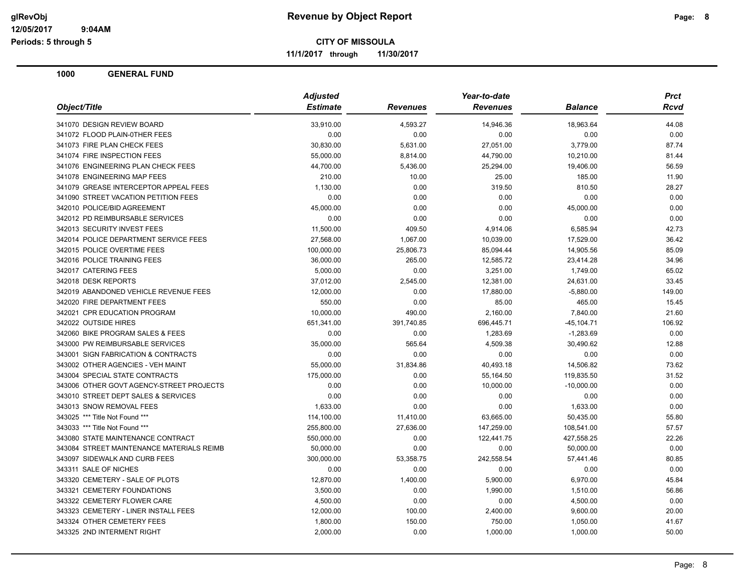**11/1/2017 through 11/30/2017**

| <b>Estimate</b><br>Object/Title<br><b>Revenues</b><br><b>Revenues</b><br>341070 DESIGN REVIEW BOARD<br>33,910.00<br>4,593.27<br>14,946.36<br>18,963.64<br>44.08<br>341072 FLOOD PLAIN-0THER FEES<br>0.00<br>0.00<br>0.00<br>0.00<br>0.00<br>341073 FIRE PLAN CHECK FEES<br>5,631.00<br>87.74<br>30,830.00<br>27,051.00<br>3,779.00<br>341074 FIRE INSPECTION FEES<br>55,000.00<br>8,814.00<br>44,790.00<br>10,210.00<br>81.44<br>341076 ENGINEERING PLAN CHECK FEES<br>56.59<br>44,700.00<br>5,436.00<br>25,294.00<br>19,406.00<br>341078 ENGINEERING MAP FEES<br>210.00<br>10.00<br>25.00<br>11.90<br>185.00<br>341079 GREASE INTERCEPTOR APPEAL FEES<br>0.00<br>319.50<br>28.27<br>1,130.00<br>810.50<br>0.00<br>341090 STREET VACATION PETITION FEES<br>0.00<br>0.00<br>0.00<br>0.00<br>342010 POLICE/BID AGREEMENT<br>45,000.00<br>0.00<br>0.00<br>45,000.00<br>0.00<br>342012 PD REIMBURSABLE SERVICES<br>0.00<br>0.00<br>0.00<br>0.00<br>0.00<br>342013 SECURITY INVEST FEES<br>11,500.00<br>409.50<br>6,585.94<br>42.73<br>4,914.06<br>342014 POLICE DEPARTMENT SERVICE FEES<br>27,568.00<br>1,067.00<br>10,039.00<br>17,529.00<br>36.42<br>342015 POLICE OVERTIME FEES<br>100,000.00<br>25,806.73<br>85,094.44<br>14,905.56<br>85.09<br>342016 POLICE TRAINING FEES<br>36,000.00<br>265.00<br>12,585.72<br>23,414.28<br>34.96<br>342017 CATERING FEES<br>5,000.00<br>0.00<br>3,251.00<br>1,749.00<br>65.02<br>342018 DESK REPORTS<br>37,012.00<br>2,545.00<br>12,381.00<br>24,631.00<br>33.45<br>342019 ABANDONED VEHICLE REVENUE FEES<br>12,000.00<br>0.00<br>17,880.00<br>$-5,880.00$<br>149.00<br>342020 FIRE DEPARTMENT FEES<br>550.00<br>0.00<br>85.00<br>465.00<br>15.45<br>342021 CPR EDUCATION PROGRAM<br>10,000.00<br>490.00<br>2,160.00<br>7,840.00<br>21.60<br>342022 OUTSIDE HIRES<br>651,341.00<br>391,740.85<br>696,445.71<br>$-45, 104.71$<br>106.92<br>342060 BIKE PROGRAM SALES & FEES<br>0.00<br>0.00<br>1,283.69<br>$-1,283.69$<br>0.00<br>343000 PW REIMBURSABLE SERVICES<br>35,000.00<br>565.64<br>4,509.38<br>30,490.62<br>12.88<br>343001 SIGN FABRICATION & CONTRACTS<br>0.00<br>0.00<br>0.00<br>0.00<br>0.00<br>343002 OTHER AGENCIES - VEH MAINT<br>55,000.00<br>31,834.86<br>40,493.18<br>14,506.82<br>73.62<br>343004 SPECIAL STATE CONTRACTS<br>175,000.00<br>0.00<br>31.52<br>55,164.50<br>119,835.50<br>343006 OTHER GOVT AGENCY-STREET PROJECTS<br>0.00<br>0.00<br>10,000.00<br>$-10,000.00$<br>0.00<br>343010 STREET DEPT SALES & SERVICES<br>0.00<br>0.00<br>0.00<br>0.00<br>0.00<br>343013 SNOW REMOVAL FEES<br>1,633.00<br>0.00<br>0.00<br>1,633.00<br>0.00<br>343025 *** Title Not Found ***<br>114,100.00<br>50,435.00<br>55.80<br>11,410.00<br>63,665.00<br>343033 *** Title Not Found ***<br>255,800.00<br>27,636.00<br>147,259.00<br>108,541.00<br>57.57<br>22.26<br>343080 STATE MAINTENANCE CONTRACT<br>0.00<br>122,441.75<br>427,558.25<br>550,000.00<br>0.00<br>0.00<br>343084 STREET MAINTENANCE MATERIALS REIMB<br>50,000.00<br>50,000.00<br>0.00<br>343097 SIDEWALK AND CURB FEES<br>300,000.00<br>53,358.75<br>242,558.54<br>80.85<br>57,441.46<br>343311 SALE OF NICHES<br>0.00<br>0.00<br>0.00<br>0.00<br>0.00<br>343320 CEMETERY - SALE OF PLOTS<br>12,870.00<br>1,400.00<br>5,900.00<br>6,970.00<br>45.84<br>343321 CEMETERY FOUNDATIONS<br>3,500.00<br>0.00<br>1,990.00<br>1,510.00<br>56.86<br>343322 CEMETERY FLOWER CARE<br>4,500.00<br>0.00<br>0.00<br>4,500.00<br>0.00<br>343323 CEMETERY - LINER INSTALL FEES<br>12,000.00<br>9,600.00<br>20.00<br>100.00<br>2,400.00<br>343324 OTHER CEMETERY FEES<br>1,800.00<br>150.00<br>750.00<br>1,050.00<br>41.67<br>343325 2ND INTERMENT RIGHT<br>2,000.00<br>0.00<br>50.00<br>1,000.00<br>1,000.00 | <b>Adjusted</b> | Year-to-date |                | <b>Prct</b><br>Rcvd |
|-----------------------------------------------------------------------------------------------------------------------------------------------------------------------------------------------------------------------------------------------------------------------------------------------------------------------------------------------------------------------------------------------------------------------------------------------------------------------------------------------------------------------------------------------------------------------------------------------------------------------------------------------------------------------------------------------------------------------------------------------------------------------------------------------------------------------------------------------------------------------------------------------------------------------------------------------------------------------------------------------------------------------------------------------------------------------------------------------------------------------------------------------------------------------------------------------------------------------------------------------------------------------------------------------------------------------------------------------------------------------------------------------------------------------------------------------------------------------------------------------------------------------------------------------------------------------------------------------------------------------------------------------------------------------------------------------------------------------------------------------------------------------------------------------------------------------------------------------------------------------------------------------------------------------------------------------------------------------------------------------------------------------------------------------------------------------------------------------------------------------------------------------------------------------------------------------------------------------------------------------------------------------------------------------------------------------------------------------------------------------------------------------------------------------------------------------------------------------------------------------------------------------------------------------------------------------------------------------------------------------------------------------------------------------------------------------------------------------------------------------------------------------------------------------------------------------------------------------------------------------------------------------------------------------------------------------------------------------------------------------------------------------------------------------------------------------------------------------------------------------------------------------------------------------------------------------------------------------------------------------------------------------------------------------------------------------------------------------------------------------------------------------------------------------------------------------------------------------------------------------------------------------------------------------------------------------------------------------------------------------------------------------------------------------------------------------------------------|-----------------|--------------|----------------|---------------------|
|                                                                                                                                                                                                                                                                                                                                                                                                                                                                                                                                                                                                                                                                                                                                                                                                                                                                                                                                                                                                                                                                                                                                                                                                                                                                                                                                                                                                                                                                                                                                                                                                                                                                                                                                                                                                                                                                                                                                                                                                                                                                                                                                                                                                                                                                                                                                                                                                                                                                                                                                                                                                                                                                                                                                                                                                                                                                                                                                                                                                                                                                                                                                                                                                                                                                                                                                                                                                                                                                                                                                                                                                                                                                                                                 |                 |              | <b>Balance</b> |                     |
|                                                                                                                                                                                                                                                                                                                                                                                                                                                                                                                                                                                                                                                                                                                                                                                                                                                                                                                                                                                                                                                                                                                                                                                                                                                                                                                                                                                                                                                                                                                                                                                                                                                                                                                                                                                                                                                                                                                                                                                                                                                                                                                                                                                                                                                                                                                                                                                                                                                                                                                                                                                                                                                                                                                                                                                                                                                                                                                                                                                                                                                                                                                                                                                                                                                                                                                                                                                                                                                                                                                                                                                                                                                                                                                 |                 |              |                |                     |
|                                                                                                                                                                                                                                                                                                                                                                                                                                                                                                                                                                                                                                                                                                                                                                                                                                                                                                                                                                                                                                                                                                                                                                                                                                                                                                                                                                                                                                                                                                                                                                                                                                                                                                                                                                                                                                                                                                                                                                                                                                                                                                                                                                                                                                                                                                                                                                                                                                                                                                                                                                                                                                                                                                                                                                                                                                                                                                                                                                                                                                                                                                                                                                                                                                                                                                                                                                                                                                                                                                                                                                                                                                                                                                                 |                 |              |                |                     |
|                                                                                                                                                                                                                                                                                                                                                                                                                                                                                                                                                                                                                                                                                                                                                                                                                                                                                                                                                                                                                                                                                                                                                                                                                                                                                                                                                                                                                                                                                                                                                                                                                                                                                                                                                                                                                                                                                                                                                                                                                                                                                                                                                                                                                                                                                                                                                                                                                                                                                                                                                                                                                                                                                                                                                                                                                                                                                                                                                                                                                                                                                                                                                                                                                                                                                                                                                                                                                                                                                                                                                                                                                                                                                                                 |                 |              |                |                     |
|                                                                                                                                                                                                                                                                                                                                                                                                                                                                                                                                                                                                                                                                                                                                                                                                                                                                                                                                                                                                                                                                                                                                                                                                                                                                                                                                                                                                                                                                                                                                                                                                                                                                                                                                                                                                                                                                                                                                                                                                                                                                                                                                                                                                                                                                                                                                                                                                                                                                                                                                                                                                                                                                                                                                                                                                                                                                                                                                                                                                                                                                                                                                                                                                                                                                                                                                                                                                                                                                                                                                                                                                                                                                                                                 |                 |              |                |                     |
|                                                                                                                                                                                                                                                                                                                                                                                                                                                                                                                                                                                                                                                                                                                                                                                                                                                                                                                                                                                                                                                                                                                                                                                                                                                                                                                                                                                                                                                                                                                                                                                                                                                                                                                                                                                                                                                                                                                                                                                                                                                                                                                                                                                                                                                                                                                                                                                                                                                                                                                                                                                                                                                                                                                                                                                                                                                                                                                                                                                                                                                                                                                                                                                                                                                                                                                                                                                                                                                                                                                                                                                                                                                                                                                 |                 |              |                |                     |
|                                                                                                                                                                                                                                                                                                                                                                                                                                                                                                                                                                                                                                                                                                                                                                                                                                                                                                                                                                                                                                                                                                                                                                                                                                                                                                                                                                                                                                                                                                                                                                                                                                                                                                                                                                                                                                                                                                                                                                                                                                                                                                                                                                                                                                                                                                                                                                                                                                                                                                                                                                                                                                                                                                                                                                                                                                                                                                                                                                                                                                                                                                                                                                                                                                                                                                                                                                                                                                                                                                                                                                                                                                                                                                                 |                 |              |                |                     |
|                                                                                                                                                                                                                                                                                                                                                                                                                                                                                                                                                                                                                                                                                                                                                                                                                                                                                                                                                                                                                                                                                                                                                                                                                                                                                                                                                                                                                                                                                                                                                                                                                                                                                                                                                                                                                                                                                                                                                                                                                                                                                                                                                                                                                                                                                                                                                                                                                                                                                                                                                                                                                                                                                                                                                                                                                                                                                                                                                                                                                                                                                                                                                                                                                                                                                                                                                                                                                                                                                                                                                                                                                                                                                                                 |                 |              |                |                     |
|                                                                                                                                                                                                                                                                                                                                                                                                                                                                                                                                                                                                                                                                                                                                                                                                                                                                                                                                                                                                                                                                                                                                                                                                                                                                                                                                                                                                                                                                                                                                                                                                                                                                                                                                                                                                                                                                                                                                                                                                                                                                                                                                                                                                                                                                                                                                                                                                                                                                                                                                                                                                                                                                                                                                                                                                                                                                                                                                                                                                                                                                                                                                                                                                                                                                                                                                                                                                                                                                                                                                                                                                                                                                                                                 |                 |              |                |                     |
|                                                                                                                                                                                                                                                                                                                                                                                                                                                                                                                                                                                                                                                                                                                                                                                                                                                                                                                                                                                                                                                                                                                                                                                                                                                                                                                                                                                                                                                                                                                                                                                                                                                                                                                                                                                                                                                                                                                                                                                                                                                                                                                                                                                                                                                                                                                                                                                                                                                                                                                                                                                                                                                                                                                                                                                                                                                                                                                                                                                                                                                                                                                                                                                                                                                                                                                                                                                                                                                                                                                                                                                                                                                                                                                 |                 |              |                |                     |
|                                                                                                                                                                                                                                                                                                                                                                                                                                                                                                                                                                                                                                                                                                                                                                                                                                                                                                                                                                                                                                                                                                                                                                                                                                                                                                                                                                                                                                                                                                                                                                                                                                                                                                                                                                                                                                                                                                                                                                                                                                                                                                                                                                                                                                                                                                                                                                                                                                                                                                                                                                                                                                                                                                                                                                                                                                                                                                                                                                                                                                                                                                                                                                                                                                                                                                                                                                                                                                                                                                                                                                                                                                                                                                                 |                 |              |                |                     |
|                                                                                                                                                                                                                                                                                                                                                                                                                                                                                                                                                                                                                                                                                                                                                                                                                                                                                                                                                                                                                                                                                                                                                                                                                                                                                                                                                                                                                                                                                                                                                                                                                                                                                                                                                                                                                                                                                                                                                                                                                                                                                                                                                                                                                                                                                                                                                                                                                                                                                                                                                                                                                                                                                                                                                                                                                                                                                                                                                                                                                                                                                                                                                                                                                                                                                                                                                                                                                                                                                                                                                                                                                                                                                                                 |                 |              |                |                     |
|                                                                                                                                                                                                                                                                                                                                                                                                                                                                                                                                                                                                                                                                                                                                                                                                                                                                                                                                                                                                                                                                                                                                                                                                                                                                                                                                                                                                                                                                                                                                                                                                                                                                                                                                                                                                                                                                                                                                                                                                                                                                                                                                                                                                                                                                                                                                                                                                                                                                                                                                                                                                                                                                                                                                                                                                                                                                                                                                                                                                                                                                                                                                                                                                                                                                                                                                                                                                                                                                                                                                                                                                                                                                                                                 |                 |              |                |                     |
|                                                                                                                                                                                                                                                                                                                                                                                                                                                                                                                                                                                                                                                                                                                                                                                                                                                                                                                                                                                                                                                                                                                                                                                                                                                                                                                                                                                                                                                                                                                                                                                                                                                                                                                                                                                                                                                                                                                                                                                                                                                                                                                                                                                                                                                                                                                                                                                                                                                                                                                                                                                                                                                                                                                                                                                                                                                                                                                                                                                                                                                                                                                                                                                                                                                                                                                                                                                                                                                                                                                                                                                                                                                                                                                 |                 |              |                |                     |
|                                                                                                                                                                                                                                                                                                                                                                                                                                                                                                                                                                                                                                                                                                                                                                                                                                                                                                                                                                                                                                                                                                                                                                                                                                                                                                                                                                                                                                                                                                                                                                                                                                                                                                                                                                                                                                                                                                                                                                                                                                                                                                                                                                                                                                                                                                                                                                                                                                                                                                                                                                                                                                                                                                                                                                                                                                                                                                                                                                                                                                                                                                                                                                                                                                                                                                                                                                                                                                                                                                                                                                                                                                                                                                                 |                 |              |                |                     |
|                                                                                                                                                                                                                                                                                                                                                                                                                                                                                                                                                                                                                                                                                                                                                                                                                                                                                                                                                                                                                                                                                                                                                                                                                                                                                                                                                                                                                                                                                                                                                                                                                                                                                                                                                                                                                                                                                                                                                                                                                                                                                                                                                                                                                                                                                                                                                                                                                                                                                                                                                                                                                                                                                                                                                                                                                                                                                                                                                                                                                                                                                                                                                                                                                                                                                                                                                                                                                                                                                                                                                                                                                                                                                                                 |                 |              |                |                     |
|                                                                                                                                                                                                                                                                                                                                                                                                                                                                                                                                                                                                                                                                                                                                                                                                                                                                                                                                                                                                                                                                                                                                                                                                                                                                                                                                                                                                                                                                                                                                                                                                                                                                                                                                                                                                                                                                                                                                                                                                                                                                                                                                                                                                                                                                                                                                                                                                                                                                                                                                                                                                                                                                                                                                                                                                                                                                                                                                                                                                                                                                                                                                                                                                                                                                                                                                                                                                                                                                                                                                                                                                                                                                                                                 |                 |              |                |                     |
|                                                                                                                                                                                                                                                                                                                                                                                                                                                                                                                                                                                                                                                                                                                                                                                                                                                                                                                                                                                                                                                                                                                                                                                                                                                                                                                                                                                                                                                                                                                                                                                                                                                                                                                                                                                                                                                                                                                                                                                                                                                                                                                                                                                                                                                                                                                                                                                                                                                                                                                                                                                                                                                                                                                                                                                                                                                                                                                                                                                                                                                                                                                                                                                                                                                                                                                                                                                                                                                                                                                                                                                                                                                                                                                 |                 |              |                |                     |
|                                                                                                                                                                                                                                                                                                                                                                                                                                                                                                                                                                                                                                                                                                                                                                                                                                                                                                                                                                                                                                                                                                                                                                                                                                                                                                                                                                                                                                                                                                                                                                                                                                                                                                                                                                                                                                                                                                                                                                                                                                                                                                                                                                                                                                                                                                                                                                                                                                                                                                                                                                                                                                                                                                                                                                                                                                                                                                                                                                                                                                                                                                                                                                                                                                                                                                                                                                                                                                                                                                                                                                                                                                                                                                                 |                 |              |                |                     |
|                                                                                                                                                                                                                                                                                                                                                                                                                                                                                                                                                                                                                                                                                                                                                                                                                                                                                                                                                                                                                                                                                                                                                                                                                                                                                                                                                                                                                                                                                                                                                                                                                                                                                                                                                                                                                                                                                                                                                                                                                                                                                                                                                                                                                                                                                                                                                                                                                                                                                                                                                                                                                                                                                                                                                                                                                                                                                                                                                                                                                                                                                                                                                                                                                                                                                                                                                                                                                                                                                                                                                                                                                                                                                                                 |                 |              |                |                     |
|                                                                                                                                                                                                                                                                                                                                                                                                                                                                                                                                                                                                                                                                                                                                                                                                                                                                                                                                                                                                                                                                                                                                                                                                                                                                                                                                                                                                                                                                                                                                                                                                                                                                                                                                                                                                                                                                                                                                                                                                                                                                                                                                                                                                                                                                                                                                                                                                                                                                                                                                                                                                                                                                                                                                                                                                                                                                                                                                                                                                                                                                                                                                                                                                                                                                                                                                                                                                                                                                                                                                                                                                                                                                                                                 |                 |              |                |                     |
|                                                                                                                                                                                                                                                                                                                                                                                                                                                                                                                                                                                                                                                                                                                                                                                                                                                                                                                                                                                                                                                                                                                                                                                                                                                                                                                                                                                                                                                                                                                                                                                                                                                                                                                                                                                                                                                                                                                                                                                                                                                                                                                                                                                                                                                                                                                                                                                                                                                                                                                                                                                                                                                                                                                                                                                                                                                                                                                                                                                                                                                                                                                                                                                                                                                                                                                                                                                                                                                                                                                                                                                                                                                                                                                 |                 |              |                |                     |
|                                                                                                                                                                                                                                                                                                                                                                                                                                                                                                                                                                                                                                                                                                                                                                                                                                                                                                                                                                                                                                                                                                                                                                                                                                                                                                                                                                                                                                                                                                                                                                                                                                                                                                                                                                                                                                                                                                                                                                                                                                                                                                                                                                                                                                                                                                                                                                                                                                                                                                                                                                                                                                                                                                                                                                                                                                                                                                                                                                                                                                                                                                                                                                                                                                                                                                                                                                                                                                                                                                                                                                                                                                                                                                                 |                 |              |                |                     |
|                                                                                                                                                                                                                                                                                                                                                                                                                                                                                                                                                                                                                                                                                                                                                                                                                                                                                                                                                                                                                                                                                                                                                                                                                                                                                                                                                                                                                                                                                                                                                                                                                                                                                                                                                                                                                                                                                                                                                                                                                                                                                                                                                                                                                                                                                                                                                                                                                                                                                                                                                                                                                                                                                                                                                                                                                                                                                                                                                                                                                                                                                                                                                                                                                                                                                                                                                                                                                                                                                                                                                                                                                                                                                                                 |                 |              |                |                     |
|                                                                                                                                                                                                                                                                                                                                                                                                                                                                                                                                                                                                                                                                                                                                                                                                                                                                                                                                                                                                                                                                                                                                                                                                                                                                                                                                                                                                                                                                                                                                                                                                                                                                                                                                                                                                                                                                                                                                                                                                                                                                                                                                                                                                                                                                                                                                                                                                                                                                                                                                                                                                                                                                                                                                                                                                                                                                                                                                                                                                                                                                                                                                                                                                                                                                                                                                                                                                                                                                                                                                                                                                                                                                                                                 |                 |              |                |                     |
|                                                                                                                                                                                                                                                                                                                                                                                                                                                                                                                                                                                                                                                                                                                                                                                                                                                                                                                                                                                                                                                                                                                                                                                                                                                                                                                                                                                                                                                                                                                                                                                                                                                                                                                                                                                                                                                                                                                                                                                                                                                                                                                                                                                                                                                                                                                                                                                                                                                                                                                                                                                                                                                                                                                                                                                                                                                                                                                                                                                                                                                                                                                                                                                                                                                                                                                                                                                                                                                                                                                                                                                                                                                                                                                 |                 |              |                |                     |
|                                                                                                                                                                                                                                                                                                                                                                                                                                                                                                                                                                                                                                                                                                                                                                                                                                                                                                                                                                                                                                                                                                                                                                                                                                                                                                                                                                                                                                                                                                                                                                                                                                                                                                                                                                                                                                                                                                                                                                                                                                                                                                                                                                                                                                                                                                                                                                                                                                                                                                                                                                                                                                                                                                                                                                                                                                                                                                                                                                                                                                                                                                                                                                                                                                                                                                                                                                                                                                                                                                                                                                                                                                                                                                                 |                 |              |                |                     |
|                                                                                                                                                                                                                                                                                                                                                                                                                                                                                                                                                                                                                                                                                                                                                                                                                                                                                                                                                                                                                                                                                                                                                                                                                                                                                                                                                                                                                                                                                                                                                                                                                                                                                                                                                                                                                                                                                                                                                                                                                                                                                                                                                                                                                                                                                                                                                                                                                                                                                                                                                                                                                                                                                                                                                                                                                                                                                                                                                                                                                                                                                                                                                                                                                                                                                                                                                                                                                                                                                                                                                                                                                                                                                                                 |                 |              |                |                     |
|                                                                                                                                                                                                                                                                                                                                                                                                                                                                                                                                                                                                                                                                                                                                                                                                                                                                                                                                                                                                                                                                                                                                                                                                                                                                                                                                                                                                                                                                                                                                                                                                                                                                                                                                                                                                                                                                                                                                                                                                                                                                                                                                                                                                                                                                                                                                                                                                                                                                                                                                                                                                                                                                                                                                                                                                                                                                                                                                                                                                                                                                                                                                                                                                                                                                                                                                                                                                                                                                                                                                                                                                                                                                                                                 |                 |              |                |                     |
|                                                                                                                                                                                                                                                                                                                                                                                                                                                                                                                                                                                                                                                                                                                                                                                                                                                                                                                                                                                                                                                                                                                                                                                                                                                                                                                                                                                                                                                                                                                                                                                                                                                                                                                                                                                                                                                                                                                                                                                                                                                                                                                                                                                                                                                                                                                                                                                                                                                                                                                                                                                                                                                                                                                                                                                                                                                                                                                                                                                                                                                                                                                                                                                                                                                                                                                                                                                                                                                                                                                                                                                                                                                                                                                 |                 |              |                |                     |
|                                                                                                                                                                                                                                                                                                                                                                                                                                                                                                                                                                                                                                                                                                                                                                                                                                                                                                                                                                                                                                                                                                                                                                                                                                                                                                                                                                                                                                                                                                                                                                                                                                                                                                                                                                                                                                                                                                                                                                                                                                                                                                                                                                                                                                                                                                                                                                                                                                                                                                                                                                                                                                                                                                                                                                                                                                                                                                                                                                                                                                                                                                                                                                                                                                                                                                                                                                                                                                                                                                                                                                                                                                                                                                                 |                 |              |                |                     |
|                                                                                                                                                                                                                                                                                                                                                                                                                                                                                                                                                                                                                                                                                                                                                                                                                                                                                                                                                                                                                                                                                                                                                                                                                                                                                                                                                                                                                                                                                                                                                                                                                                                                                                                                                                                                                                                                                                                                                                                                                                                                                                                                                                                                                                                                                                                                                                                                                                                                                                                                                                                                                                                                                                                                                                                                                                                                                                                                                                                                                                                                                                                                                                                                                                                                                                                                                                                                                                                                                                                                                                                                                                                                                                                 |                 |              |                |                     |
|                                                                                                                                                                                                                                                                                                                                                                                                                                                                                                                                                                                                                                                                                                                                                                                                                                                                                                                                                                                                                                                                                                                                                                                                                                                                                                                                                                                                                                                                                                                                                                                                                                                                                                                                                                                                                                                                                                                                                                                                                                                                                                                                                                                                                                                                                                                                                                                                                                                                                                                                                                                                                                                                                                                                                                                                                                                                                                                                                                                                                                                                                                                                                                                                                                                                                                                                                                                                                                                                                                                                                                                                                                                                                                                 |                 |              |                |                     |
|                                                                                                                                                                                                                                                                                                                                                                                                                                                                                                                                                                                                                                                                                                                                                                                                                                                                                                                                                                                                                                                                                                                                                                                                                                                                                                                                                                                                                                                                                                                                                                                                                                                                                                                                                                                                                                                                                                                                                                                                                                                                                                                                                                                                                                                                                                                                                                                                                                                                                                                                                                                                                                                                                                                                                                                                                                                                                                                                                                                                                                                                                                                                                                                                                                                                                                                                                                                                                                                                                                                                                                                                                                                                                                                 |                 |              |                |                     |
|                                                                                                                                                                                                                                                                                                                                                                                                                                                                                                                                                                                                                                                                                                                                                                                                                                                                                                                                                                                                                                                                                                                                                                                                                                                                                                                                                                                                                                                                                                                                                                                                                                                                                                                                                                                                                                                                                                                                                                                                                                                                                                                                                                                                                                                                                                                                                                                                                                                                                                                                                                                                                                                                                                                                                                                                                                                                                                                                                                                                                                                                                                                                                                                                                                                                                                                                                                                                                                                                                                                                                                                                                                                                                                                 |                 |              |                |                     |
|                                                                                                                                                                                                                                                                                                                                                                                                                                                                                                                                                                                                                                                                                                                                                                                                                                                                                                                                                                                                                                                                                                                                                                                                                                                                                                                                                                                                                                                                                                                                                                                                                                                                                                                                                                                                                                                                                                                                                                                                                                                                                                                                                                                                                                                                                                                                                                                                                                                                                                                                                                                                                                                                                                                                                                                                                                                                                                                                                                                                                                                                                                                                                                                                                                                                                                                                                                                                                                                                                                                                                                                                                                                                                                                 |                 |              |                |                     |
|                                                                                                                                                                                                                                                                                                                                                                                                                                                                                                                                                                                                                                                                                                                                                                                                                                                                                                                                                                                                                                                                                                                                                                                                                                                                                                                                                                                                                                                                                                                                                                                                                                                                                                                                                                                                                                                                                                                                                                                                                                                                                                                                                                                                                                                                                                                                                                                                                                                                                                                                                                                                                                                                                                                                                                                                                                                                                                                                                                                                                                                                                                                                                                                                                                                                                                                                                                                                                                                                                                                                                                                                                                                                                                                 |                 |              |                |                     |
|                                                                                                                                                                                                                                                                                                                                                                                                                                                                                                                                                                                                                                                                                                                                                                                                                                                                                                                                                                                                                                                                                                                                                                                                                                                                                                                                                                                                                                                                                                                                                                                                                                                                                                                                                                                                                                                                                                                                                                                                                                                                                                                                                                                                                                                                                                                                                                                                                                                                                                                                                                                                                                                                                                                                                                                                                                                                                                                                                                                                                                                                                                                                                                                                                                                                                                                                                                                                                                                                                                                                                                                                                                                                                                                 |                 |              |                |                     |
|                                                                                                                                                                                                                                                                                                                                                                                                                                                                                                                                                                                                                                                                                                                                                                                                                                                                                                                                                                                                                                                                                                                                                                                                                                                                                                                                                                                                                                                                                                                                                                                                                                                                                                                                                                                                                                                                                                                                                                                                                                                                                                                                                                                                                                                                                                                                                                                                                                                                                                                                                                                                                                                                                                                                                                                                                                                                                                                                                                                                                                                                                                                                                                                                                                                                                                                                                                                                                                                                                                                                                                                                                                                                                                                 |                 |              |                |                     |
|                                                                                                                                                                                                                                                                                                                                                                                                                                                                                                                                                                                                                                                                                                                                                                                                                                                                                                                                                                                                                                                                                                                                                                                                                                                                                                                                                                                                                                                                                                                                                                                                                                                                                                                                                                                                                                                                                                                                                                                                                                                                                                                                                                                                                                                                                                                                                                                                                                                                                                                                                                                                                                                                                                                                                                                                                                                                                                                                                                                                                                                                                                                                                                                                                                                                                                                                                                                                                                                                                                                                                                                                                                                                                                                 |                 |              |                |                     |
|                                                                                                                                                                                                                                                                                                                                                                                                                                                                                                                                                                                                                                                                                                                                                                                                                                                                                                                                                                                                                                                                                                                                                                                                                                                                                                                                                                                                                                                                                                                                                                                                                                                                                                                                                                                                                                                                                                                                                                                                                                                                                                                                                                                                                                                                                                                                                                                                                                                                                                                                                                                                                                                                                                                                                                                                                                                                                                                                                                                                                                                                                                                                                                                                                                                                                                                                                                                                                                                                                                                                                                                                                                                                                                                 |                 |              |                |                     |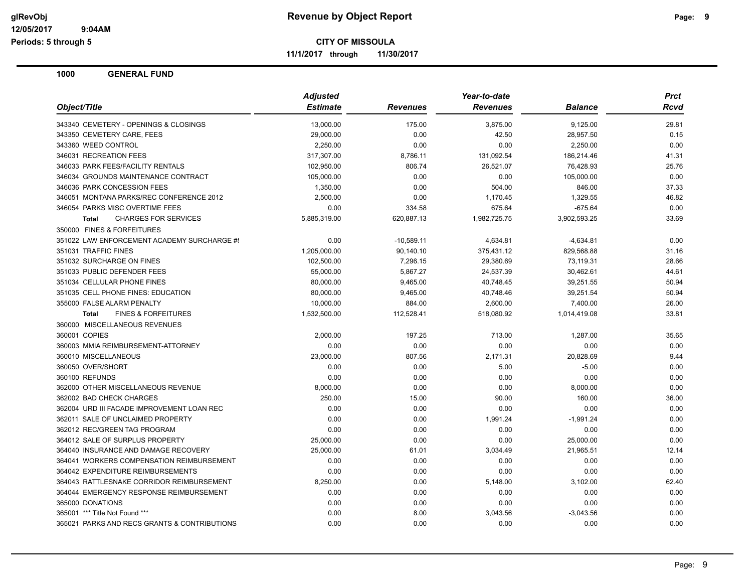**11/1/2017 through 11/30/2017**

| Object/Title                                   | <b>Adjusted</b><br><b>Estimate</b> | <b>Revenues</b> | Year-to-date<br><b>Revenues</b> | <b>Balance</b> | <b>Prct</b><br>Rcvd |
|------------------------------------------------|------------------------------------|-----------------|---------------------------------|----------------|---------------------|
| 343340 CEMETERY - OPENINGS & CLOSINGS          | 13,000.00                          | 175.00          | 3,875.00                        | 9,125.00       | 29.81               |
| 343350 CEMETERY CARE, FEES                     | 29,000.00                          | 0.00            | 42.50                           | 28,957.50      | 0.15                |
| 343360 WEED CONTROL                            | 2.250.00                           | 0.00            | 0.00                            | 2.250.00       | 0.00                |
| 346031 RECREATION FEES                         | 317,307.00                         | 8,786.11        | 131,092.54                      | 186,214.46     | 41.31               |
| 346033 PARK FEES/FACILITY RENTALS              | 102,950.00                         | 806.74          | 26,521.07                       | 76,428.93      | 25.76               |
| 346034 GROUNDS MAINTENANCE CONTRACT            |                                    | 0.00            | 0.00                            | 105,000.00     | 0.00                |
| 346036 PARK CONCESSION FEES                    | 105,000.00<br>1,350.00             | 0.00            | 504.00                          | 846.00         | 37.33               |
| 346051 MONTANA PARKS/REC CONFERENCE 2012       | 2,500.00                           | 0.00            | 1,170.45                        | 1,329.55       | 46.82               |
| 346054 PARKS MISC OVERTIME FEES                | 0.00                               | 334.58          | 675.64                          | $-675.64$      | 0.00                |
| <b>CHARGES FOR SERVICES</b><br><b>Total</b>    | 5,885,319.00                       | 620.887.13      | 1,982,725.75                    | 3,902,593.25   | 33.69               |
|                                                |                                    |                 |                                 |                |                     |
| 350000 FINES & FORFEITURES                     |                                    |                 |                                 |                |                     |
| 351022 LAW ENFORCEMENT ACADEMY SURCHARGE #!    | 0.00                               | $-10,589.11$    | 4,634.81                        | $-4,634.81$    | 0.00                |
| 351031 TRAFFIC FINES                           | 1,205,000.00                       | 90,140.10       | 375,431.12                      | 829,568.88     | 31.16               |
| 351032 SURCHARGE ON FINES                      | 102,500.00                         | 7,296.15        | 29,380.69                       | 73,119.31      | 28.66               |
| 351033 PUBLIC DEFENDER FEES                    | 55,000.00                          | 5,867.27        | 24,537.39                       | 30,462.61      | 44.61               |
| 351034 CELLULAR PHONE FINES                    | 80,000.00                          | 9,465.00        | 40,748.45                       | 39,251.55      | 50.94               |
| 351035 CELL PHONE FINES: EDUCATION             | 80,000.00                          | 9,465.00        | 40,748.46                       | 39,251.54      | 50.94               |
| 355000 FALSE ALARM PENALTY                     | 10,000.00                          | 884.00          | 2,600.00                        | 7,400.00       | 26.00               |
| <b>FINES &amp; FORFEITURES</b><br><b>Total</b> | 1,532,500.00                       | 112,528.41      | 518,080.92                      | 1,014,419.08   | 33.81               |
| 360000 MISCELLANEOUS REVENUES                  |                                    |                 |                                 |                |                     |
| 360001 COPIES                                  | 2,000.00                           | 197.25          | 713.00                          | 1,287.00       | 35.65               |
| 360003 MMIA REIMBURSEMENT-ATTORNEY             | 0.00                               | 0.00            | 0.00                            | 0.00           | 0.00                |
| 360010 MISCELLANEOUS                           | 23,000.00                          | 807.56          | 2,171.31                        | 20,828.69      | 9.44                |
| 360050 OVER/SHORT                              | 0.00                               | 0.00            | 5.00                            | $-5.00$        | 0.00                |
| 360100 REFUNDS                                 | 0.00                               | 0.00            | 0.00                            | 0.00           | 0.00                |
| 362000 OTHER MISCELLANEOUS REVENUE             | 8,000.00                           | 0.00            | 0.00                            | 8,000.00       | 0.00                |
| 362002 BAD CHECK CHARGES                       | 250.00                             | 15.00           | 90.00                           | 160.00         | 36.00               |
| 362004 URD III FACADE IMPROVEMENT LOAN REC     | 0.00                               | 0.00            | 0.00                            | 0.00           | 0.00                |
| 362011 SALE OF UNCLAIMED PROPERTY              | 0.00                               | 0.00            | 1,991.24                        | $-1,991.24$    | 0.00                |
| 362012 REC/GREEN TAG PROGRAM                   | 0.00                               | 0.00            | 0.00                            | 0.00           | 0.00                |
| 364012 SALE OF SURPLUS PROPERTY                | 25,000.00                          | 0.00            | 0.00                            | 25,000.00      | 0.00                |
| 364040 INSURANCE AND DAMAGE RECOVERY           | 25,000.00                          | 61.01           | 3,034.49                        | 21,965.51      | 12.14               |
| 364041 WORKERS COMPENSATION REIMBURSEMENT      | 0.00                               | 0.00            | 0.00                            | 0.00           | 0.00                |
| 364042 EXPENDITURE REIMBURSEMENTS              | 0.00                               | 0.00            | 0.00                            | 0.00           | 0.00                |
| 364043 RATTLESNAKE CORRIDOR REIMBURSEMENT      | 8,250.00                           | 0.00            | 5,148.00                        | 3,102.00       | 62.40               |
| 364044 EMERGENCY RESPONSE REIMBURSEMENT        | 0.00                               | 0.00            | 0.00                            | 0.00           | 0.00                |
| 365000 DONATIONS                               | 0.00                               | 0.00            | 0.00                            | 0.00           | 0.00                |
| 365001 *** Title Not Found ***                 | 0.00                               | 8.00            | 3,043.56                        | $-3,043.56$    | 0.00                |
| 365021 PARKS AND RECS GRANTS & CONTRIBUTIONS   | 0.00                               | 0.00            | 0.00                            | 0.00           | 0.00                |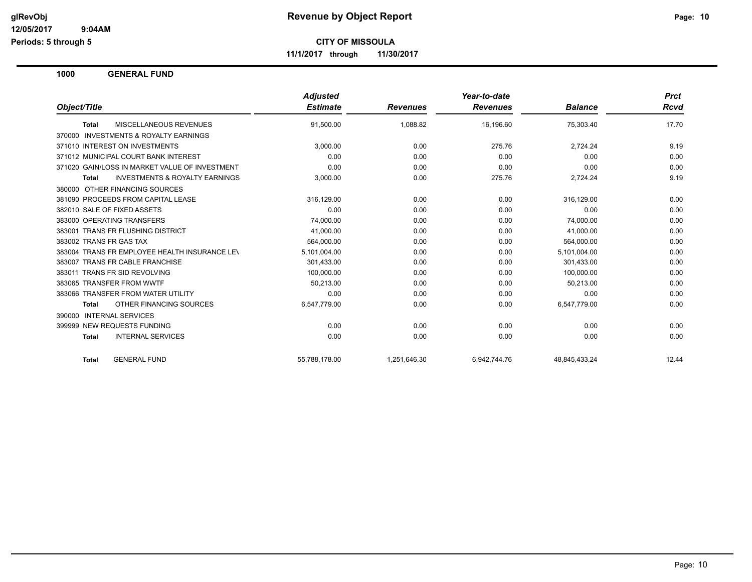**11/1/2017 through 11/30/2017**

|                                                           | <b>Adjusted</b> |                 | Year-to-date    |                | <b>Prct</b> |
|-----------------------------------------------------------|-----------------|-----------------|-----------------|----------------|-------------|
| Object/Title                                              | <b>Estimate</b> | <b>Revenues</b> | <b>Revenues</b> | <b>Balance</b> | Rcvd        |
| <b>MISCELLANEOUS REVENUES</b><br><b>Total</b>             | 91,500.00       | 1,088.82        | 16,196.60       | 75,303.40      | 17.70       |
| INVESTMENTS & ROYALTY EARNINGS<br>370000                  |                 |                 |                 |                |             |
| 371010 INTEREST ON INVESTMENTS                            | 3,000.00        | 0.00            | 275.76          | 2,724.24       | 9.19        |
| 371012 MUNICIPAL COURT BANK INTEREST                      | 0.00            | 0.00            | 0.00            | 0.00           | 0.00        |
| 371020 GAIN/LOSS IN MARKET VALUE OF INVESTMENT            | 0.00            | 0.00            | 0.00            | 0.00           | 0.00        |
| <b>INVESTMENTS &amp; ROYALTY EARNINGS</b><br><b>Total</b> | 3,000.00        | 0.00            | 275.76          | 2,724.24       | 9.19        |
| 380000 OTHER FINANCING SOURCES                            |                 |                 |                 |                |             |
| 381090 PROCEEDS FROM CAPITAL LEASE                        | 316,129.00      | 0.00            | 0.00            | 316,129.00     | 0.00        |
| 382010 SALE OF FIXED ASSETS                               | 0.00            | 0.00            | 0.00            | 0.00           | 0.00        |
| 383000 OPERATING TRANSFERS                                | 74,000.00       | 0.00            | 0.00            | 74,000.00      | 0.00        |
| 383001 TRANS FR FLUSHING DISTRICT                         | 41,000.00       | 0.00            | 0.00            | 41,000.00      | 0.00        |
| 383002 TRANS FR GAS TAX                                   | 564,000.00      | 0.00            | 0.00            | 564,000.00     | 0.00        |
| 383004 TRANS FR EMPLOYEE HEALTH INSURANCE LEV             | 5,101,004.00    | 0.00            | 0.00            | 5.101.004.00   | 0.00        |
| 383007 TRANS FR CABLE FRANCHISE                           | 301,433.00      | 0.00            | 0.00            | 301,433.00     | 0.00        |
| 383011 TRANS FR SID REVOLVING                             | 100.000.00      | 0.00            | 0.00            | 100.000.00     | 0.00        |
| 383065 TRANSFER FROM WWTF                                 | 50,213.00       | 0.00            | 0.00            | 50,213.00      | 0.00        |
| 383066 TRANSFER FROM WATER UTILITY                        | 0.00            | 0.00            | 0.00            | 0.00           | 0.00        |
| OTHER FINANCING SOURCES<br><b>Total</b>                   | 6,547,779.00    | 0.00            | 0.00            | 6,547,779.00   | 0.00        |
| <b>INTERNAL SERVICES</b><br>390000                        |                 |                 |                 |                |             |
| 399999 NEW REQUESTS FUNDING                               | 0.00            | 0.00            | 0.00            | 0.00           | 0.00        |
| <b>INTERNAL SERVICES</b><br><b>Total</b>                  | 0.00            | 0.00            | 0.00            | 0.00           | 0.00        |
| <b>GENERAL FUND</b><br><b>Total</b>                       | 55.788.178.00   | 1,251,646.30    | 6.942.744.76    | 48.845.433.24  | 12.44       |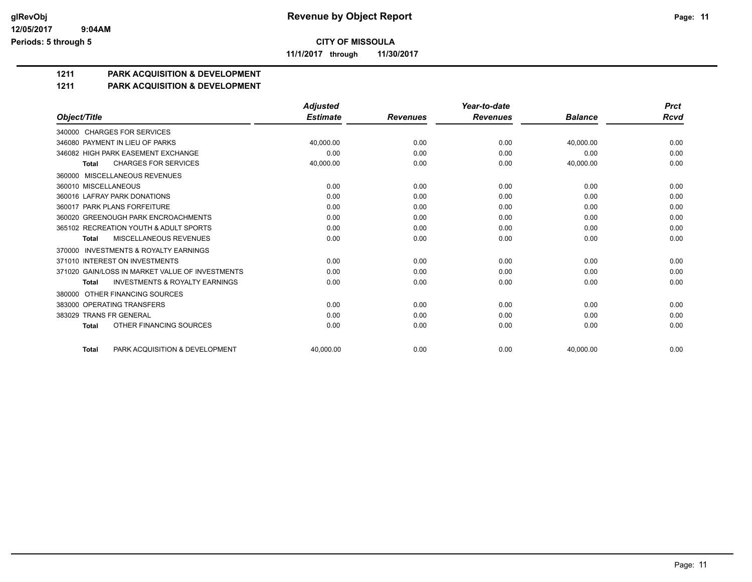**11/1/2017 through 11/30/2017**

# **1211 PARK ACQUISITION & DEVELOPMENT**

## **1211 PARK ACQUISITION & DEVELOPMENT**

|                                                           | <b>Adjusted</b> |                 | Year-to-date    |                | <b>Prct</b> |
|-----------------------------------------------------------|-----------------|-----------------|-----------------|----------------|-------------|
| Object/Title                                              | <b>Estimate</b> | <b>Revenues</b> | <b>Revenues</b> | <b>Balance</b> | Rcvd        |
| 340000 CHARGES FOR SERVICES                               |                 |                 |                 |                |             |
| 346080 PAYMENT IN LIEU OF PARKS                           | 40,000.00       | 0.00            | 0.00            | 40,000.00      | 0.00        |
| 346082 HIGH PARK EASEMENT EXCHANGE                        | 0.00            | 0.00            | 0.00            | 0.00           | 0.00        |
| <b>CHARGES FOR SERVICES</b><br><b>Total</b>               | 40,000.00       | 0.00            | 0.00            | 40,000.00      | 0.00        |
| 360000 MISCELLANEOUS REVENUES                             |                 |                 |                 |                |             |
| 360010 MISCELLANEOUS                                      | 0.00            | 0.00            | 0.00            | 0.00           | 0.00        |
| 360016 LAFRAY PARK DONATIONS                              | 0.00            | 0.00            | 0.00            | 0.00           | 0.00        |
| 360017 PARK PLANS FORFEITURE                              | 0.00            | 0.00            | 0.00            | 0.00           | 0.00        |
| 360020 GREENOUGH PARK ENCROACHMENTS                       | 0.00            | 0.00            | 0.00            | 0.00           | 0.00        |
| 365102 RECREATION YOUTH & ADULT SPORTS                    | 0.00            | 0.00            | 0.00            | 0.00           | 0.00        |
| MISCELLANEOUS REVENUES<br><b>Total</b>                    | 0.00            | 0.00            | 0.00            | 0.00           | 0.00        |
| <b>INVESTMENTS &amp; ROYALTY EARNINGS</b><br>370000       |                 |                 |                 |                |             |
| 371010 INTEREST ON INVESTMENTS                            | 0.00            | 0.00            | 0.00            | 0.00           | 0.00        |
| 371020 GAIN/LOSS IN MARKET VALUE OF INVESTMENTS           | 0.00            | 0.00            | 0.00            | 0.00           | 0.00        |
| <b>INVESTMENTS &amp; ROYALTY EARNINGS</b><br><b>Total</b> | 0.00            | 0.00            | 0.00            | 0.00           | 0.00        |
| OTHER FINANCING SOURCES<br>380000                         |                 |                 |                 |                |             |
| 383000 OPERATING TRANSFERS                                | 0.00            | 0.00            | 0.00            | 0.00           | 0.00        |
| 383029 TRANS FR GENERAL                                   | 0.00            | 0.00            | 0.00            | 0.00           | 0.00        |
| OTHER FINANCING SOURCES<br><b>Total</b>                   | 0.00            | 0.00            | 0.00            | 0.00           | 0.00        |
| PARK ACQUISITION & DEVELOPMENT<br>Total                   | 40,000.00       | 0.00            | 0.00            | 40,000.00      | 0.00        |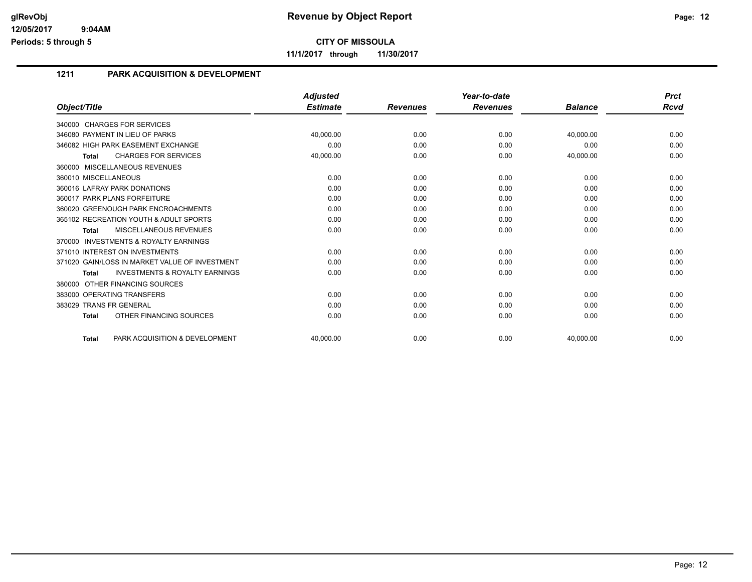**11/1/2017 through 11/30/2017**

## **1211 PARK ACQUISITION & DEVELOPMENT**

|                                                           | <b>Adjusted</b> |                 | Year-to-date    |                | <b>Prct</b> |
|-----------------------------------------------------------|-----------------|-----------------|-----------------|----------------|-------------|
| Object/Title                                              | <b>Estimate</b> | <b>Revenues</b> | <b>Revenues</b> | <b>Balance</b> | <b>Rcvd</b> |
| 340000 CHARGES FOR SERVICES                               |                 |                 |                 |                |             |
| 346080 PAYMENT IN LIEU OF PARKS                           | 40,000.00       | 0.00            | 0.00            | 40,000.00      | 0.00        |
| 346082 HIGH PARK EASEMENT EXCHANGE                        | 0.00            | 0.00            | 0.00            | 0.00           | 0.00        |
| <b>CHARGES FOR SERVICES</b><br><b>Total</b>               | 40,000.00       | 0.00            | 0.00            | 40,000.00      | 0.00        |
| 360000 MISCELLANEOUS REVENUES                             |                 |                 |                 |                |             |
| 360010 MISCELLANEOUS                                      | 0.00            | 0.00            | 0.00            | 0.00           | 0.00        |
| 360016 LAFRAY PARK DONATIONS                              | 0.00            | 0.00            | 0.00            | 0.00           | 0.00        |
| 360017 PARK PLANS FORFEITURE                              | 0.00            | 0.00            | 0.00            | 0.00           | 0.00        |
| 360020 GREENOUGH PARK ENCROACHMENTS                       | 0.00            | 0.00            | 0.00            | 0.00           | 0.00        |
| 365102 RECREATION YOUTH & ADULT SPORTS                    | 0.00            | 0.00            | 0.00            | 0.00           | 0.00        |
| MISCELLANEOUS REVENUES<br><b>Total</b>                    | 0.00            | 0.00            | 0.00            | 0.00           | 0.00        |
| <b>INVESTMENTS &amp; ROYALTY EARNINGS</b><br>370000       |                 |                 |                 |                |             |
| 371010 INTEREST ON INVESTMENTS                            | 0.00            | 0.00            | 0.00            | 0.00           | 0.00        |
| 371020 GAIN/LOSS IN MARKET VALUE OF INVESTMENT            | 0.00            | 0.00            | 0.00            | 0.00           | 0.00        |
| <b>INVESTMENTS &amp; ROYALTY EARNINGS</b><br><b>Total</b> | 0.00            | 0.00            | 0.00            | 0.00           | 0.00        |
| OTHER FINANCING SOURCES<br>380000                         |                 |                 |                 |                |             |
| 383000 OPERATING TRANSFERS                                | 0.00            | 0.00            | 0.00            | 0.00           | 0.00        |
| 383029 TRANS FR GENERAL                                   | 0.00            | 0.00            | 0.00            | 0.00           | 0.00        |
| OTHER FINANCING SOURCES<br><b>Total</b>                   | 0.00            | 0.00            | 0.00            | 0.00           | 0.00        |
| PARK ACQUISITION & DEVELOPMENT<br><b>Total</b>            | 40,000.00       | 0.00            | 0.00            | 40,000.00      | 0.00        |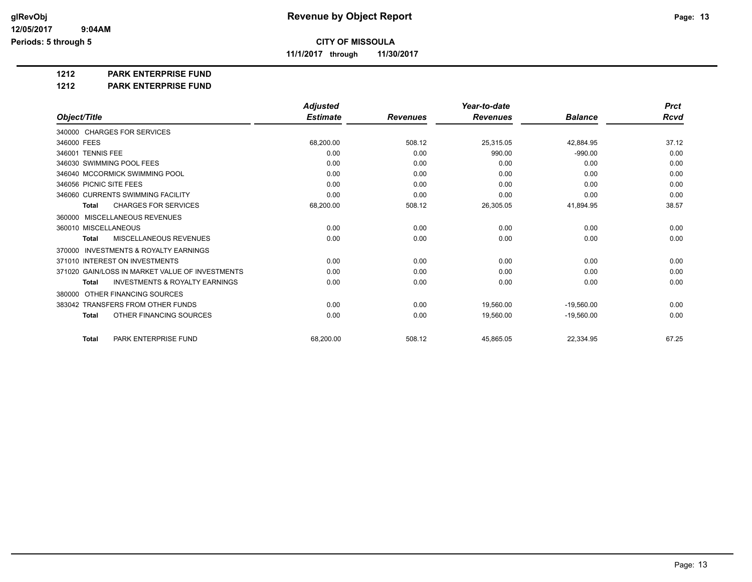**11/1/2017 through 11/30/2017**

**1212 PARK ENTERPRISE FUND**

**1212 PARK ENTERPRISE FUND**

|                                                           | <b>Adjusted</b> |                 | Year-to-date    |                | <b>Prct</b> |
|-----------------------------------------------------------|-----------------|-----------------|-----------------|----------------|-------------|
| Object/Title                                              | <b>Estimate</b> | <b>Revenues</b> | <b>Revenues</b> | <b>Balance</b> | Rcvd        |
| 340000 CHARGES FOR SERVICES                               |                 |                 |                 |                |             |
| 346000 FEES                                               | 68,200.00       | 508.12          | 25,315.05       | 42,884.95      | 37.12       |
| 346001 TENNIS FEE                                         | 0.00            | 0.00            | 990.00          | $-990.00$      | 0.00        |
| 346030 SWIMMING POOL FEES                                 | 0.00            | 0.00            | 0.00            | 0.00           | 0.00        |
| 346040 MCCORMICK SWIMMING POOL                            | 0.00            | 0.00            | 0.00            | 0.00           | 0.00        |
| 346056 PICNIC SITE FEES                                   | 0.00            | 0.00            | 0.00            | 0.00           | 0.00        |
| 346060 CURRENTS SWIMMING FACILITY                         | 0.00            | 0.00            | 0.00            | 0.00           | 0.00        |
| <b>CHARGES FOR SERVICES</b><br><b>Total</b>               | 68,200.00       | 508.12          | 26,305.05       | 41,894.95      | 38.57       |
| MISCELLANEOUS REVENUES<br>360000                          |                 |                 |                 |                |             |
| 360010 MISCELLANEOUS                                      | 0.00            | 0.00            | 0.00            | 0.00           | 0.00        |
| MISCELLANEOUS REVENUES<br><b>Total</b>                    | 0.00            | 0.00            | 0.00            | 0.00           | 0.00        |
| <b>INVESTMENTS &amp; ROYALTY EARNINGS</b><br>370000       |                 |                 |                 |                |             |
| 371010 INTEREST ON INVESTMENTS                            | 0.00            | 0.00            | 0.00            | 0.00           | 0.00        |
| 371020 GAIN/LOSS IN MARKET VALUE OF INVESTMENTS           | 0.00            | 0.00            | 0.00            | 0.00           | 0.00        |
| <b>INVESTMENTS &amp; ROYALTY EARNINGS</b><br><b>Total</b> | 0.00            | 0.00            | 0.00            | 0.00           | 0.00        |
| OTHER FINANCING SOURCES<br>380000                         |                 |                 |                 |                |             |
| 383042 TRANSFERS FROM OTHER FUNDS                         | 0.00            | 0.00            | 19,560.00       | $-19.560.00$   | 0.00        |
| OTHER FINANCING SOURCES<br><b>Total</b>                   | 0.00            | 0.00            | 19.560.00       | $-19.560.00$   | 0.00        |
| PARK ENTERPRISE FUND<br><b>Total</b>                      | 68,200.00       | 508.12          | 45,865.05       | 22,334.95      | 67.25       |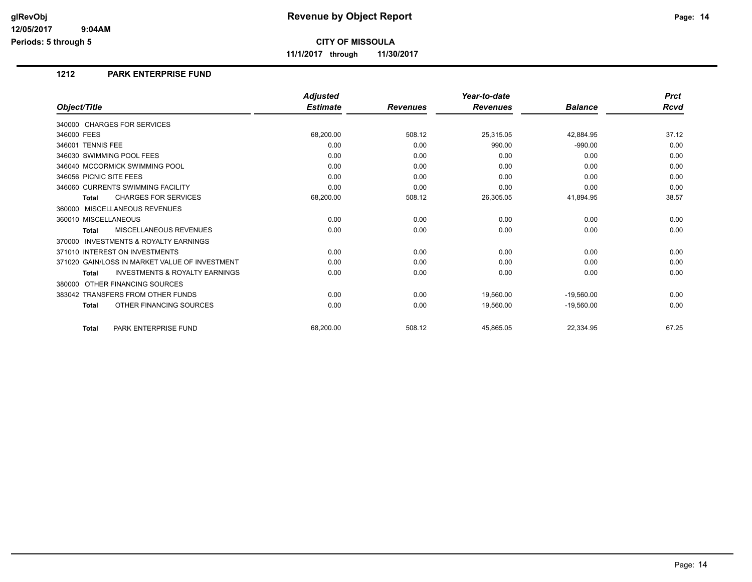**11/1/2017 through 11/30/2017**

## **1212 PARK ENTERPRISE FUND**

|                                                           | <b>Adjusted</b> |                 | Year-to-date    |                | <b>Prct</b> |
|-----------------------------------------------------------|-----------------|-----------------|-----------------|----------------|-------------|
| Object/Title                                              | <b>Estimate</b> | <b>Revenues</b> | <b>Revenues</b> | <b>Balance</b> | <b>Rcvd</b> |
| 340000 CHARGES FOR SERVICES                               |                 |                 |                 |                |             |
| 346000 FEES                                               | 68,200.00       | 508.12          | 25,315.05       | 42,884.95      | 37.12       |
| 346001 TENNIS FEE                                         | 0.00            | 0.00            | 990.00          | $-990.00$      | 0.00        |
| 346030 SWIMMING POOL FEES                                 | 0.00            | 0.00            | 0.00            | 0.00           | 0.00        |
| 346040 MCCORMICK SWIMMING POOL                            | 0.00            | 0.00            | 0.00            | 0.00           | 0.00        |
| 346056 PICNIC SITE FEES                                   | 0.00            | 0.00            | 0.00            | 0.00           | 0.00        |
| 346060 CURRENTS SWIMMING FACILITY                         | 0.00            | 0.00            | 0.00            | 0.00           | 0.00        |
| <b>CHARGES FOR SERVICES</b><br><b>Total</b>               | 68,200.00       | 508.12          | 26,305.05       | 41,894.95      | 38.57       |
| 360000 MISCELLANEOUS REVENUES                             |                 |                 |                 |                |             |
| 360010 MISCELLANEOUS                                      | 0.00            | 0.00            | 0.00            | 0.00           | 0.00        |
| MISCELLANEOUS REVENUES<br><b>Total</b>                    | 0.00            | 0.00            | 0.00            | 0.00           | 0.00        |
| <b>INVESTMENTS &amp; ROYALTY EARNINGS</b><br>370000       |                 |                 |                 |                |             |
| 371010 INTEREST ON INVESTMENTS                            | 0.00            | 0.00            | 0.00            | 0.00           | 0.00        |
| 371020 GAIN/LOSS IN MARKET VALUE OF INVESTMENT            | 0.00            | 0.00            | 0.00            | 0.00           | 0.00        |
| <b>INVESTMENTS &amp; ROYALTY EARNINGS</b><br><b>Total</b> | 0.00            | 0.00            | 0.00            | 0.00           | 0.00        |
| OTHER FINANCING SOURCES<br>380000                         |                 |                 |                 |                |             |
| 383042 TRANSFERS FROM OTHER FUNDS                         | 0.00            | 0.00            | 19,560.00       | $-19,560.00$   | 0.00        |
| OTHER FINANCING SOURCES<br><b>Total</b>                   | 0.00            | 0.00            | 19,560.00       | $-19,560.00$   | 0.00        |
| PARK ENTERPRISE FUND<br><b>Total</b>                      | 68,200.00       | 508.12          | 45,865.05       | 22,334.95      | 67.25       |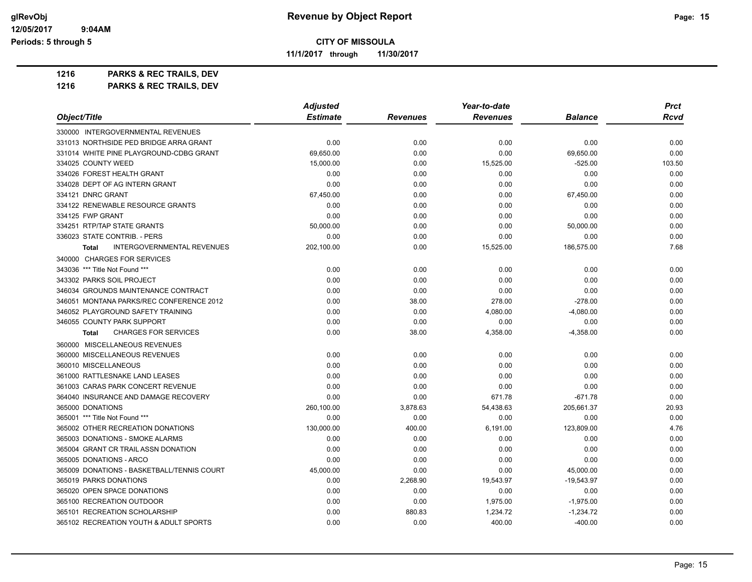**11/1/2017 through 11/30/2017**

**1216 PARKS & REC TRAILS, DEV 1216 PARKS & REC TRAILS, DEV**

|                                                   | <b>Adjusted</b> |                 | Year-to-date    |                | <b>Prct</b> |
|---------------------------------------------------|-----------------|-----------------|-----------------|----------------|-------------|
| Object/Title                                      | <b>Estimate</b> | <b>Revenues</b> | <b>Revenues</b> | <b>Balance</b> | <b>Rcvd</b> |
| 330000 INTERGOVERNMENTAL REVENUES                 |                 |                 |                 |                |             |
| 331013 NORTHSIDE PED BRIDGE ARRA GRANT            | 0.00            | 0.00            | 0.00            | 0.00           | 0.00        |
| 331014 WHITE PINE PLAYGROUND-CDBG GRANT           | 69,650.00       | 0.00            | 0.00            | 69,650.00      | 0.00        |
| 334025 COUNTY WEED                                | 15,000.00       | 0.00            | 15,525.00       | $-525.00$      | 103.50      |
| 334026 FOREST HEALTH GRANT                        | 0.00            | 0.00            | 0.00            | 0.00           | 0.00        |
| 334028 DEPT OF AG INTERN GRANT                    | 0.00            | 0.00            | 0.00            | 0.00           | 0.00        |
| 334121 DNRC GRANT                                 | 67,450.00       | 0.00            | 0.00            | 67,450.00      | 0.00        |
| 334122 RENEWABLE RESOURCE GRANTS                  | 0.00            | 0.00            | 0.00            | 0.00           | 0.00        |
| 334125 FWP GRANT                                  | 0.00            | 0.00            | 0.00            | 0.00           | 0.00        |
| 334251 RTP/TAP STATE GRANTS                       | 50,000.00       | 0.00            | 0.00            | 50,000.00      | 0.00        |
| 336023 STATE CONTRIB. - PERS                      | 0.00            | 0.00            | 0.00            | 0.00           | 0.00        |
| <b>INTERGOVERNMENTAL REVENUES</b><br><b>Total</b> | 202,100.00      | 0.00            | 15,525.00       | 186,575.00     | 7.68        |
| 340000 CHARGES FOR SERVICES                       |                 |                 |                 |                |             |
| 343036 *** Title Not Found ***                    | 0.00            | 0.00            | 0.00            | 0.00           | 0.00        |
| 343302 PARKS SOIL PROJECT                         | 0.00            | 0.00            | 0.00            | 0.00           | 0.00        |
| 346034 GROUNDS MAINTENANCE CONTRACT               | 0.00            | 0.00            | 0.00            | 0.00           | 0.00        |
| 346051 MONTANA PARKS/REC CONFERENCE 2012          | 0.00            | 38.00           | 278.00          | $-278.00$      | 0.00        |
| 346052 PLAYGROUND SAFETY TRAINING                 | 0.00            | 0.00            | 4,080.00        | $-4,080.00$    | 0.00        |
| 346055 COUNTY PARK SUPPORT                        | 0.00            | 0.00            | 0.00            | 0.00           | 0.00        |
| <b>CHARGES FOR SERVICES</b><br>Total              | 0.00            | 38.00           | 4,358.00        | $-4,358.00$    | 0.00        |
| 360000 MISCELLANEOUS REVENUES                     |                 |                 |                 |                |             |
| 360000 MISCELLANEOUS REVENUES                     | 0.00            | 0.00            | 0.00            | 0.00           | 0.00        |
| 360010 MISCELLANEOUS                              | 0.00            | 0.00            | 0.00            | 0.00           | 0.00        |
| 361000 RATTLESNAKE LAND LEASES                    | 0.00            | 0.00            | 0.00            | 0.00           | 0.00        |
| 361003 CARAS PARK CONCERT REVENUE                 | 0.00            | 0.00            | 0.00            | 0.00           | 0.00        |
| 364040 INSURANCE AND DAMAGE RECOVERY              | 0.00            | 0.00            | 671.78          | $-671.78$      | 0.00        |
| 365000 DONATIONS                                  | 260,100.00      | 3,878.63        | 54,438.63       | 205,661.37     | 20.93       |
| 365001 *** Title Not Found ***                    | 0.00            | 0.00            | 0.00            | 0.00           | 0.00        |
| 365002 OTHER RECREATION DONATIONS                 | 130,000.00      | 400.00          | 6,191.00        | 123,809.00     | 4.76        |
| 365003 DONATIONS - SMOKE ALARMS                   | 0.00            | 0.00            | 0.00            | 0.00           | 0.00        |
| 365004 GRANT CR TRAIL ASSN DONATION               | 0.00            | 0.00            | 0.00            | 0.00           | 0.00        |
| 365005 DONATIONS - ARCO                           | 0.00            | 0.00            | 0.00            | 0.00           | 0.00        |
| 365009 DONATIONS - BASKETBALL/TENNIS COURT        | 45,000.00       | 0.00            | 0.00            | 45,000.00      | 0.00        |
| 365019 PARKS DONATIONS                            | 0.00            | 2,268.90        | 19,543.97       | $-19,543.97$   | 0.00        |
| 365020 OPEN SPACE DONATIONS                       | 0.00            | 0.00            | 0.00            | 0.00           | 0.00        |
| 365100 RECREATION OUTDOOR                         | 0.00            | 0.00            | 1,975.00        | $-1,975.00$    | 0.00        |
| 365101 RECREATION SCHOLARSHIP                     | 0.00            | 880.83          | 1,234.72        | $-1,234.72$    | 0.00        |
| 365102 RECREATION YOUTH & ADULT SPORTS            | 0.00            | 0.00            | 400.00          | $-400.00$      | 0.00        |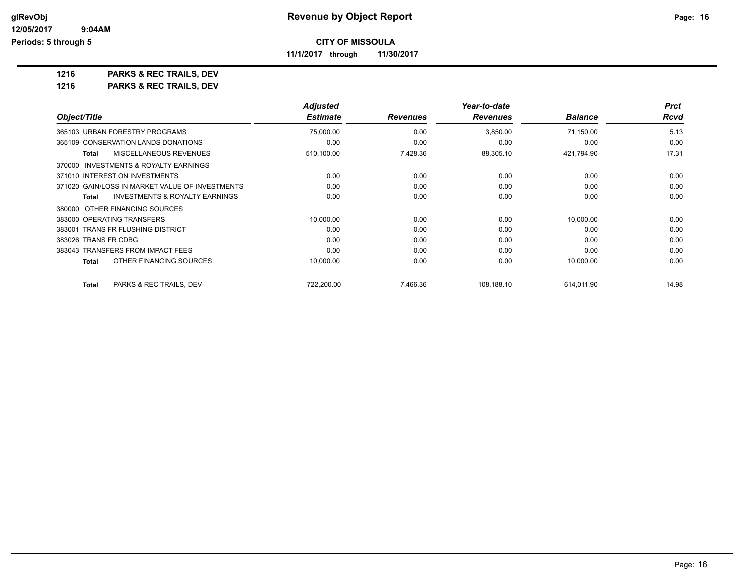**11/1/2017 through 11/30/2017**

**1216 PARKS & REC TRAILS, DEV**

| 1216 | <b>PARKS &amp; REC TRAILS, DEV</b> |
|------|------------------------------------|
|------|------------------------------------|

|                                                    | <b>Adjusted</b> |                 | Year-to-date    |                | <b>Prct</b> |
|----------------------------------------------------|-----------------|-----------------|-----------------|----------------|-------------|
| Object/Title                                       | <b>Estimate</b> | <b>Revenues</b> | <b>Revenues</b> | <b>Balance</b> | <b>Rcvd</b> |
| 365103 URBAN FORESTRY PROGRAMS                     | 75,000.00       | 0.00            | 3,850.00        | 71,150.00      | 5.13        |
| 365109 CONSERVATION LANDS DONATIONS                | 0.00            | 0.00            | 0.00            | 0.00           | 0.00        |
| MISCELLANEOUS REVENUES<br>Total                    | 510,100.00      | 7,428.36        | 88,305.10       | 421,794.90     | 17.31       |
| 370000 INVESTMENTS & ROYALTY EARNINGS              |                 |                 |                 |                |             |
| 371010 INTEREST ON INVESTMENTS                     | 0.00            | 0.00            | 0.00            | 0.00           | 0.00        |
| 371020 GAIN/LOSS IN MARKET VALUE OF INVESTMENTS    | 0.00            | 0.00            | 0.00            | 0.00           | 0.00        |
| <b>INVESTMENTS &amp; ROYALTY EARNINGS</b><br>Total | 0.00            | 0.00            | 0.00            | 0.00           | 0.00        |
| 380000 OTHER FINANCING SOURCES                     |                 |                 |                 |                |             |
| 383000 OPERATING TRANSFERS                         | 10,000.00       | 0.00            | 0.00            | 10,000.00      | 0.00        |
| 383001 TRANS FR FLUSHING DISTRICT                  | 0.00            | 0.00            | 0.00            | 0.00           | 0.00        |
| 383026 TRANS FR CDBG                               | 0.00            | 0.00            | 0.00            | 0.00           | 0.00        |
| 383043 TRANSFERS FROM IMPACT FEES                  | 0.00            | 0.00            | 0.00            | 0.00           | 0.00        |
| OTHER FINANCING SOURCES<br>Total                   | 10,000.00       | 0.00            | 0.00            | 10,000.00      | 0.00        |
| PARKS & REC TRAILS, DEV<br>Total                   | 722,200.00      | 7,466.36        | 108,188.10      | 614,011.90     | 14.98       |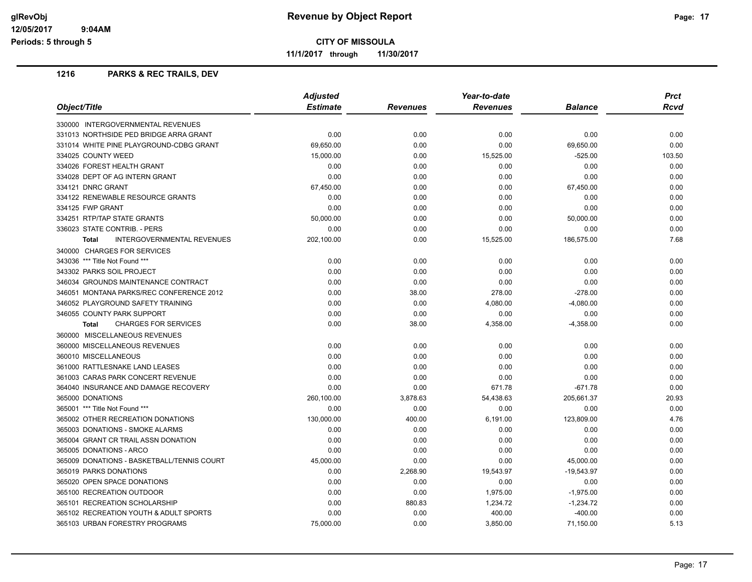**11/1/2017 through 11/30/2017**

## **1216 PARKS & REC TRAILS, DEV**

|                                                   | <b>Adjusted</b> |                 | Year-to-date    | <b>Prct</b>    |             |
|---------------------------------------------------|-----------------|-----------------|-----------------|----------------|-------------|
| Object/Title                                      | <b>Estimate</b> | <b>Revenues</b> | <b>Revenues</b> | <b>Balance</b> | <b>Rcvd</b> |
| 330000 INTERGOVERNMENTAL REVENUES                 |                 |                 |                 |                |             |
| 331013 NORTHSIDE PED BRIDGE ARRA GRANT            | 0.00            | 0.00            | 0.00            | 0.00           | 0.00        |
| 331014 WHITE PINE PLAYGROUND-CDBG GRANT           | 69,650.00       | 0.00            | 0.00            | 69,650.00      | 0.00        |
| 334025 COUNTY WEED                                | 15,000.00       | 0.00            | 15,525.00       | $-525.00$      | 103.50      |
| 334026 FOREST HEALTH GRANT                        | 0.00            | 0.00            | 0.00            | 0.00           | 0.00        |
| 334028 DEPT OF AG INTERN GRANT                    | 0.00            | 0.00            | 0.00            | 0.00           | 0.00        |
| 334121 DNRC GRANT                                 | 67,450.00       | 0.00            | 0.00            | 67,450.00      | 0.00        |
| 334122 RENEWABLE RESOURCE GRANTS                  | 0.00            | 0.00            | 0.00            | 0.00           | 0.00        |
| 334125 FWP GRANT                                  | 0.00            | 0.00            | 0.00            | 0.00           | 0.00        |
| 334251 RTP/TAP STATE GRANTS                       | 50,000.00       | 0.00            | 0.00            | 50,000.00      | 0.00        |
| 336023 STATE CONTRIB. - PERS                      | 0.00            | 0.00            | 0.00            | 0.00           | 0.00        |
| <b>INTERGOVERNMENTAL REVENUES</b><br><b>Total</b> | 202,100.00      | 0.00            | 15,525.00       | 186,575.00     | 7.68        |
| 340000 CHARGES FOR SERVICES                       |                 |                 |                 |                |             |
| 343036 *** Title Not Found ***                    | 0.00            | 0.00            | 0.00            | 0.00           | 0.00        |
| 343302 PARKS SOIL PROJECT                         | 0.00            | 0.00            | 0.00            | 0.00           | 0.00        |
| 346034 GROUNDS MAINTENANCE CONTRACT               | 0.00            | 0.00            | 0.00            | 0.00           | 0.00        |
| 346051 MONTANA PARKS/REC CONFERENCE 2012          | 0.00            | 38.00           | 278.00          | $-278.00$      | 0.00        |
| 346052 PLAYGROUND SAFETY TRAINING                 | 0.00            | 0.00            | 4,080.00        | $-4,080.00$    | 0.00        |
| 346055 COUNTY PARK SUPPORT                        | 0.00            | 0.00            | 0.00            | 0.00           | 0.00        |
| <b>Total</b><br><b>CHARGES FOR SERVICES</b>       | 0.00            | 38.00           | 4,358.00        | $-4,358.00$    | 0.00        |
| 360000 MISCELLANEOUS REVENUES                     |                 |                 |                 |                |             |
| 360000 MISCELLANEOUS REVENUES                     | 0.00            | 0.00            | 0.00            | 0.00           | 0.00        |
| 360010 MISCELLANEOUS                              | 0.00            | 0.00            | 0.00            | 0.00           | 0.00        |
| 361000 RATTLESNAKE LAND LEASES                    | 0.00            | 0.00            | 0.00            | 0.00           | 0.00        |
| 361003 CARAS PARK CONCERT REVENUE                 | 0.00            | 0.00            | 0.00            | 0.00           | 0.00        |
| 364040 INSURANCE AND DAMAGE RECOVERY              | 0.00            | 0.00            | 671.78          | $-671.78$      | 0.00        |
| 365000 DONATIONS                                  | 260,100.00      | 3,878.63        | 54,438.63       | 205,661.37     | 20.93       |
| 365001 *** Title Not Found ***                    | 0.00            | 0.00            | 0.00            | 0.00           | 0.00        |
| 365002 OTHER RECREATION DONATIONS                 | 130,000.00      | 400.00          | 6,191.00        | 123,809.00     | 4.76        |
| 365003 DONATIONS - SMOKE ALARMS                   | 0.00            | 0.00            | 0.00            | 0.00           | 0.00        |
| 365004 GRANT CR TRAIL ASSN DONATION               | 0.00            | 0.00            | 0.00            | 0.00           | 0.00        |
| 365005 DONATIONS - ARCO                           | 0.00            | 0.00            | 0.00            | 0.00           | 0.00        |
| 365009 DONATIONS - BASKETBALL/TENNIS COURT        | 45,000.00       | 0.00            | 0.00            | 45,000.00      | 0.00        |
| 365019 PARKS DONATIONS                            | 0.00            | 2,268.90        | 19,543.97       | $-19,543.97$   | 0.00        |
| 365020 OPEN SPACE DONATIONS                       | 0.00            | 0.00            | 0.00            | 0.00           | 0.00        |
| 365100 RECREATION OUTDOOR                         | 0.00            | 0.00            | 1,975.00        | $-1,975.00$    | 0.00        |
| 365101 RECREATION SCHOLARSHIP                     | 0.00            | 880.83          | 1,234.72        | $-1,234.72$    | 0.00        |
| 365102 RECREATION YOUTH & ADULT SPORTS            | 0.00            | 0.00            | 400.00          | $-400.00$      | 0.00        |
| 365103 URBAN FORESTRY PROGRAMS                    | 75.000.00       | 0.00            | 3.850.00        | 71.150.00      | 5.13        |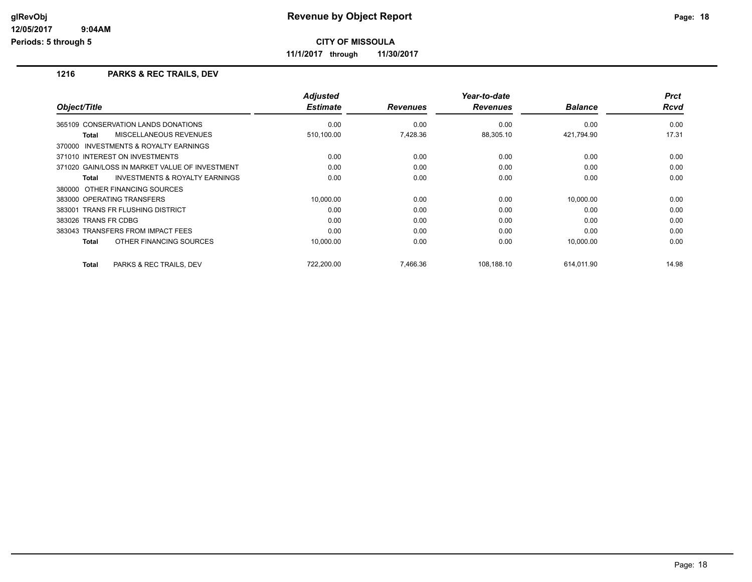**11/1/2017 through 11/30/2017**

## **1216 PARKS & REC TRAILS, DEV**

|                                                           | <b>Adjusted</b> |                 | Year-to-date    |                | <b>Prct</b> |
|-----------------------------------------------------------|-----------------|-----------------|-----------------|----------------|-------------|
| Object/Title                                              | <b>Estimate</b> | <b>Revenues</b> | <b>Revenues</b> | <b>Balance</b> | <b>Rcvd</b> |
| 365109 CONSERVATION LANDS DONATIONS                       | 0.00            | 0.00            | 0.00            | 0.00           | 0.00        |
| MISCELLANEOUS REVENUES<br><b>Total</b>                    | 510,100.00      | 7,428.36        | 88,305.10       | 421,794.90     | 17.31       |
| 370000 INVESTMENTS & ROYALTY EARNINGS                     |                 |                 |                 |                |             |
| 371010 INTEREST ON INVESTMENTS                            | 0.00            | 0.00            | 0.00            | 0.00           | 0.00        |
| 371020 GAIN/LOSS IN MARKET VALUE OF INVESTMENT            | 0.00            | 0.00            | 0.00            | 0.00           | 0.00        |
| <b>INVESTMENTS &amp; ROYALTY EARNINGS</b><br><b>Total</b> | 0.00            | 0.00            | 0.00            | 0.00           | 0.00        |
| 380000 OTHER FINANCING SOURCES                            |                 |                 |                 |                |             |
| 383000 OPERATING TRANSFERS                                | 10,000.00       | 0.00            | 0.00            | 10,000.00      | 0.00        |
| <b>TRANS FR FLUSHING DISTRICT</b><br>383001               | 0.00            | 0.00            | 0.00            | 0.00           | 0.00        |
| 383026 TRANS FR CDBG                                      | 0.00            | 0.00            | 0.00            | 0.00           | 0.00        |
| 383043 TRANSFERS FROM IMPACT FEES                         | 0.00            | 0.00            | 0.00            | 0.00           | 0.00        |
| OTHER FINANCING SOURCES<br>Total                          | 10,000.00       | 0.00            | 0.00            | 10,000.00      | 0.00        |
| PARKS & REC TRAILS, DEV<br><b>Total</b>                   | 722.200.00      | 7,466.36        | 108,188.10      | 614,011.90     | 14.98       |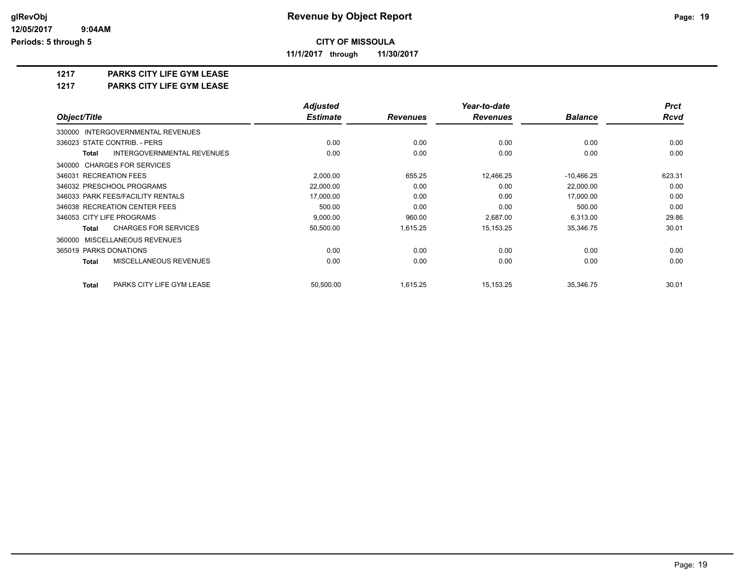**11/1/2017 through 11/30/2017**

## **1217 PARKS CITY LIFE GYM LEASE**

**1217 PARKS CITY LIFE GYM LEASE**

|                                             | <b>Adjusted</b> |                 | Year-to-date    |                | <b>Prct</b> |
|---------------------------------------------|-----------------|-----------------|-----------------|----------------|-------------|
| Object/Title                                | <b>Estimate</b> | <b>Revenues</b> | <b>Revenues</b> | <b>Balance</b> | <b>Rcvd</b> |
| <b>INTERGOVERNMENTAL REVENUES</b><br>330000 |                 |                 |                 |                |             |
| 336023 STATE CONTRIB. - PERS                | 0.00            | 0.00            | 0.00            | 0.00           | 0.00        |
| <b>INTERGOVERNMENTAL REVENUES</b><br>Total  | 0.00            | 0.00            | 0.00            | 0.00           | 0.00        |
| 340000 CHARGES FOR SERVICES                 |                 |                 |                 |                |             |
| 346031 RECREATION FEES                      | 2,000.00        | 655.25          | 12,466.25       | $-10,466.25$   | 623.31      |
| 346032 PRESCHOOL PROGRAMS                   | 22,000.00       | 0.00            | 0.00            | 22,000.00      | 0.00        |
| 346033 PARK FEES/FACILITY RENTALS           | 17.000.00       | 0.00            | 0.00            | 17,000.00      | 0.00        |
| 346038 RECREATION CENTER FEES               | 500.00          | 0.00            | 0.00            | 500.00         | 0.00        |
| 346053 CITY LIFE PROGRAMS                   | 9,000.00        | 960.00          | 2,687.00        | 6,313.00       | 29.86       |
| <b>CHARGES FOR SERVICES</b><br>Total        | 50,500.00       | 1.615.25        | 15,153.25       | 35,346.75      | 30.01       |
| 360000 MISCELLANEOUS REVENUES               |                 |                 |                 |                |             |
| 365019 PARKS DONATIONS                      | 0.00            | 0.00            | 0.00            | 0.00           | 0.00        |
| MISCELLANEOUS REVENUES<br>Total             | 0.00            | 0.00            | 0.00            | 0.00           | 0.00        |
| PARKS CITY LIFE GYM LEASE<br>Total          | 50,500.00       | 1,615.25        | 15,153.25       | 35,346.75      | 30.01       |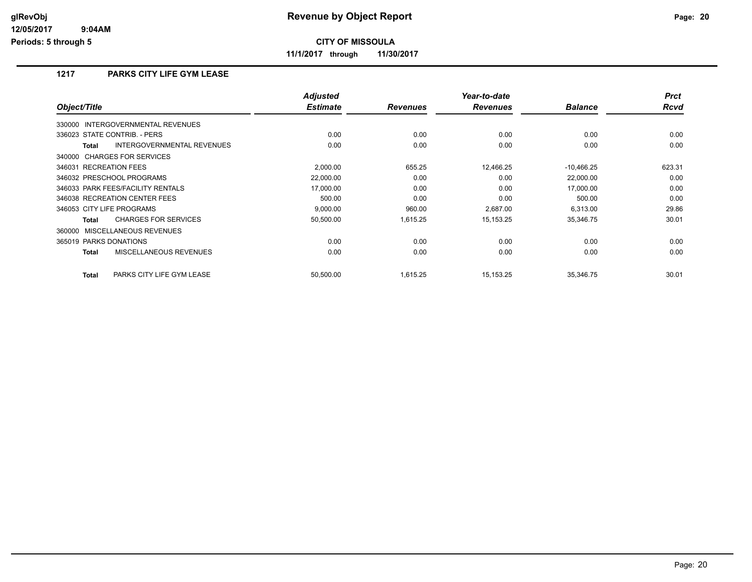**11/1/2017 through 11/30/2017**

## **1217 PARKS CITY LIFE GYM LEASE**

|                                             | <b>Adjusted</b> |                 | Year-to-date    |                | <b>Prct</b> |
|---------------------------------------------|-----------------|-----------------|-----------------|----------------|-------------|
| Object/Title                                | <b>Estimate</b> | <b>Revenues</b> | <b>Revenues</b> | <b>Balance</b> | <b>Rcvd</b> |
| 330000 INTERGOVERNMENTAL REVENUES           |                 |                 |                 |                |             |
| 336023 STATE CONTRIB. - PERS                | 0.00            | 0.00            | 0.00            | 0.00           | 0.00        |
| INTERGOVERNMENTAL REVENUES<br><b>Total</b>  | 0.00            | 0.00            | 0.00            | 0.00           | 0.00        |
| 340000 CHARGES FOR SERVICES                 |                 |                 |                 |                |             |
| 346031 RECREATION FEES                      | 2,000.00        | 655.25          | 12,466.25       | $-10,466.25$   | 623.31      |
| 346032 PRESCHOOL PROGRAMS                   | 22,000.00       | 0.00            | 0.00            | 22,000.00      | 0.00        |
| 346033 PARK FEES/FACILITY RENTALS           | 17,000.00       | 0.00            | 0.00            | 17,000.00      | 0.00        |
| 346038 RECREATION CENTER FEES               | 500.00          | 0.00            | 0.00            | 500.00         | 0.00        |
| 346053 CITY LIFE PROGRAMS                   | 9,000.00        | 960.00          | 2,687.00        | 6,313.00       | 29.86       |
| <b>CHARGES FOR SERVICES</b><br><b>Total</b> | 50,500.00       | 1,615.25        | 15,153.25       | 35,346.75      | 30.01       |
| 360000 MISCELLANEOUS REVENUES               |                 |                 |                 |                |             |
| 365019 PARKS DONATIONS                      | 0.00            | 0.00            | 0.00            | 0.00           | 0.00        |
| MISCELLANEOUS REVENUES<br><b>Total</b>      | 0.00            | 0.00            | 0.00            | 0.00           | 0.00        |
| PARKS CITY LIFE GYM LEASE<br><b>Total</b>   | 50,500.00       | 1,615.25        | 15,153.25       | 35,346.75      | 30.01       |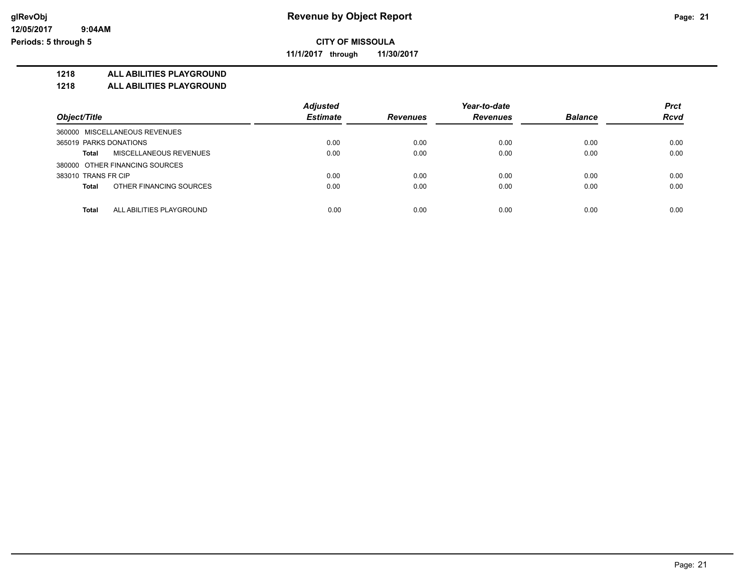**11/1/2017 through 11/30/2017**

#### **1218 ALL ABILITIES PLAYGROUND**

**1218 ALL ABILITIES PLAYGROUND**

|                                          | <b>Adjusted</b> |                 | Year-to-date    |                | <b>Prct</b> |
|------------------------------------------|-----------------|-----------------|-----------------|----------------|-------------|
| Object/Title                             | <b>Estimate</b> | <b>Revenues</b> | <b>Revenues</b> | <b>Balance</b> | <b>Rcvd</b> |
| 360000 MISCELLANEOUS REVENUES            |                 |                 |                 |                |             |
| 365019 PARKS DONATIONS                   | 0.00            | 0.00            | 0.00            | 0.00           | 0.00        |
| MISCELLANEOUS REVENUES<br>Total          | 0.00            | 0.00            | 0.00            | 0.00           | 0.00        |
| 380000 OTHER FINANCING SOURCES           |                 |                 |                 |                |             |
| 383010 TRANS FR CIP                      | 0.00            | 0.00            | 0.00            | 0.00           | 0.00        |
| OTHER FINANCING SOURCES<br><b>Total</b>  | 0.00            | 0.00            | 0.00            | 0.00           | 0.00        |
|                                          |                 |                 |                 |                |             |
| ALL ABILITIES PLAYGROUND<br><b>Total</b> | 0.00            | 0.00            | 0.00            | 0.00           | 0.00        |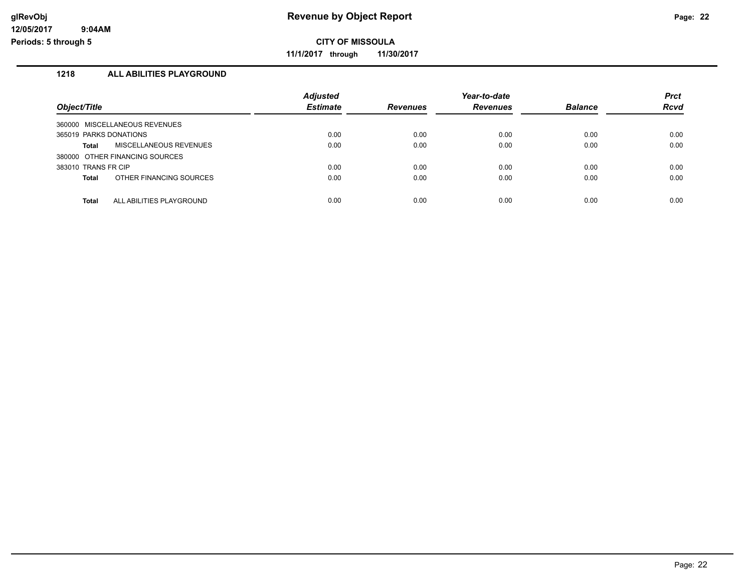**11/1/2017 through 11/30/2017**

## **1218 ALL ABILITIES PLAYGROUND**

| Object/Title                            | <b>Adjusted</b><br><b>Estimate</b> | <b>Revenues</b> | Year-to-date<br><b>Revenues</b> | <b>Balance</b> | <b>Prct</b><br><b>Rcvd</b> |
|-----------------------------------------|------------------------------------|-----------------|---------------------------------|----------------|----------------------------|
| MISCELLANEOUS REVENUES<br>360000        |                                    |                 |                                 |                |                            |
| 365019 PARKS DONATIONS                  | 0.00                               | 0.00            | 0.00                            | 0.00           | 0.00                       |
| MISCELLANEOUS REVENUES<br>Total         | 0.00                               | 0.00            | 0.00                            | 0.00           | 0.00                       |
| 380000 OTHER FINANCING SOURCES          |                                    |                 |                                 |                |                            |
| 383010 TRANS FR CIP                     | 0.00                               | 0.00            | 0.00                            | 0.00           | 0.00                       |
| OTHER FINANCING SOURCES<br><b>Total</b> | 0.00                               | 0.00            | 0.00                            | 0.00           | 0.00                       |
|                                         |                                    |                 |                                 |                |                            |
| ALL ABILITIES PLAYGROUND<br>Total       | 0.00                               | 0.00            | 0.00                            | 0.00           | 0.00                       |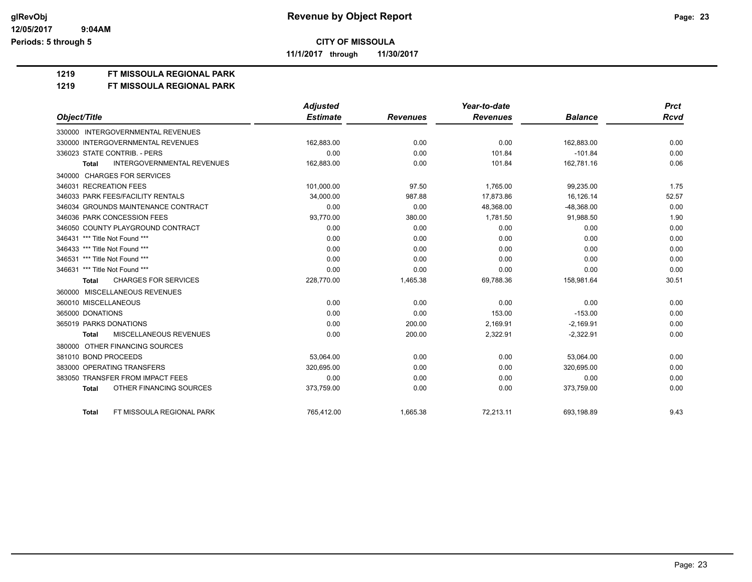**11/1/2017 through 11/30/2017**

## **1219 FT MISSOULA REGIONAL PARK**

#### **1219 FT MISSOULA REGIONAL PARK**

|                                             | <b>Adjusted</b> |                 | Year-to-date    |                | <b>Prct</b> |
|---------------------------------------------|-----------------|-----------------|-----------------|----------------|-------------|
| Object/Title                                | <b>Estimate</b> | <b>Revenues</b> | <b>Revenues</b> | <b>Balance</b> | Rcvd        |
| 330000 INTERGOVERNMENTAL REVENUES           |                 |                 |                 |                |             |
| 330000 INTERGOVERNMENTAL REVENUES           | 162,883.00      | 0.00            | 0.00            | 162,883.00     | 0.00        |
| 336023 STATE CONTRIB. - PERS                | 0.00            | 0.00            | 101.84          | $-101.84$      | 0.00        |
| <b>INTERGOVERNMENTAL REVENUES</b><br>Total  | 162,883.00      | 0.00            | 101.84          | 162,781.16     | 0.06        |
| 340000 CHARGES FOR SERVICES                 |                 |                 |                 |                |             |
| 346031 RECREATION FEES                      | 101,000.00      | 97.50           | 1,765.00        | 99,235.00      | 1.75        |
| 346033 PARK FEES/FACILITY RENTALS           | 34,000.00       | 987.88          | 17,873.86       | 16,126.14      | 52.57       |
| 346034 GROUNDS MAINTENANCE CONTRACT         | 0.00            | 0.00            | 48,368.00       | $-48,368.00$   | 0.00        |
| 346036 PARK CONCESSION FEES                 | 93,770.00       | 380.00          | 1.781.50        | 91,988.50      | 1.90        |
| 346050 COUNTY PLAYGROUND CONTRACT           | 0.00            | 0.00            | 0.00            | 0.00           | 0.00        |
| 346431 *** Title Not Found ***              | 0.00            | 0.00            | 0.00            | 0.00           | 0.00        |
| 346433 *** Title Not Found ***              | 0.00            | 0.00            | 0.00            | 0.00           | 0.00        |
| 346531 *** Title Not Found ***              | 0.00            | 0.00            | 0.00            | 0.00           | 0.00        |
| 346631 *** Title Not Found ***              | 0.00            | 0.00            | 0.00            | 0.00           | 0.00        |
| <b>CHARGES FOR SERVICES</b><br><b>Total</b> | 228,770.00      | 1,465.38        | 69,788.36       | 158,981.64     | 30.51       |
| 360000 MISCELLANEOUS REVENUES               |                 |                 |                 |                |             |
| 360010 MISCELLANEOUS                        | 0.00            | 0.00            | 0.00            | 0.00           | 0.00        |
| 365000 DONATIONS                            | 0.00            | 0.00            | 153.00          | $-153.00$      | 0.00        |
| 365019 PARKS DONATIONS                      | 0.00            | 200.00          | 2,169.91        | $-2,169.91$    | 0.00        |
| MISCELLANEOUS REVENUES<br><b>Total</b>      | 0.00            | 200.00          | 2,322.91        | $-2,322.91$    | 0.00        |
| OTHER FINANCING SOURCES<br>380000           |                 |                 |                 |                |             |
| 381010 BOND PROCEEDS                        | 53,064.00       | 0.00            | 0.00            | 53,064.00      | 0.00        |
| 383000 OPERATING TRANSFERS                  | 320,695.00      | 0.00            | 0.00            | 320,695.00     | 0.00        |
| 383050 TRANSFER FROM IMPACT FEES            | 0.00            | 0.00            | 0.00            | 0.00           | 0.00        |
| OTHER FINANCING SOURCES<br><b>Total</b>     | 373,759.00      | 0.00            | 0.00            | 373,759.00     | 0.00        |
|                                             |                 |                 |                 |                |             |
| FT MISSOULA REGIONAL PARK<br><b>Total</b>   | 765,412.00      | 1,665.38        | 72,213.11       | 693,198.89     | 9.43        |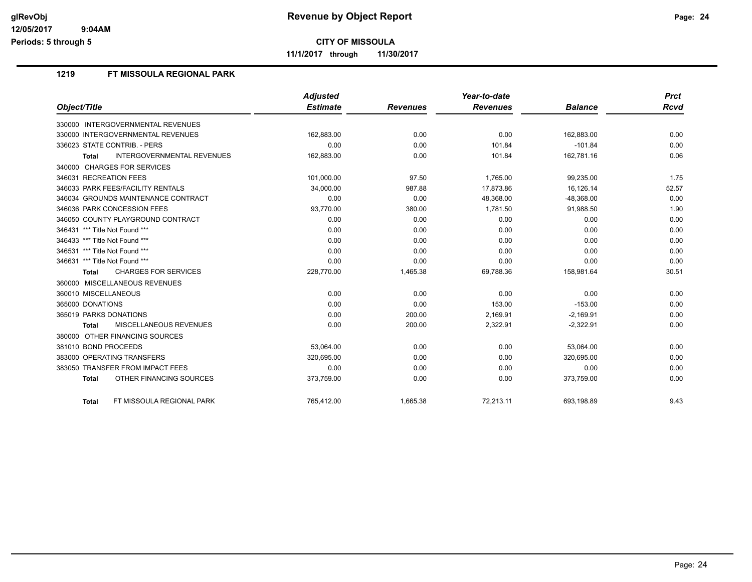**11/1/2017 through 11/30/2017**

## **1219 FT MISSOULA REGIONAL PARK**

|                                                   | <b>Adjusted</b> |                 | Year-to-date    |                | <b>Prct</b> |
|---------------------------------------------------|-----------------|-----------------|-----------------|----------------|-------------|
| Object/Title                                      | <b>Estimate</b> | <b>Revenues</b> | <b>Revenues</b> | <b>Balance</b> | <b>Rcvd</b> |
| 330000 INTERGOVERNMENTAL REVENUES                 |                 |                 |                 |                |             |
| 330000 INTERGOVERNMENTAL REVENUES                 | 162,883.00      | 0.00            | 0.00            | 162,883.00     | 0.00        |
| 336023 STATE CONTRIB. - PERS                      | 0.00            | 0.00            | 101.84          | $-101.84$      | 0.00        |
| <b>INTERGOVERNMENTAL REVENUES</b><br><b>Total</b> | 162,883.00      | 0.00            | 101.84          | 162,781.16     | 0.06        |
| 340000 CHARGES FOR SERVICES                       |                 |                 |                 |                |             |
| 346031 RECREATION FEES                            | 101,000.00      | 97.50           | 1,765.00        | 99,235.00      | 1.75        |
| 346033 PARK FEES/FACILITY RENTALS                 | 34,000.00       | 987.88          | 17,873.86       | 16,126.14      | 52.57       |
| 346034 GROUNDS MAINTENANCE CONTRACT               | 0.00            | 0.00            | 48,368.00       | $-48,368.00$   | 0.00        |
| 346036 PARK CONCESSION FEES                       | 93,770.00       | 380.00          | 1,781.50        | 91,988.50      | 1.90        |
| 346050 COUNTY PLAYGROUND CONTRACT                 | 0.00            | 0.00            | 0.00            | 0.00           | 0.00        |
| 346431 *** Title Not Found ***                    | 0.00            | 0.00            | 0.00            | 0.00           | 0.00        |
| 346433 *** Title Not Found ***                    | 0.00            | 0.00            | 0.00            | 0.00           | 0.00        |
| 346531 *** Title Not Found ***                    | 0.00            | 0.00            | 0.00            | 0.00           | 0.00        |
| 346631 *** Title Not Found ***                    | 0.00            | 0.00            | 0.00            | 0.00           | 0.00        |
| <b>CHARGES FOR SERVICES</b><br><b>Total</b>       | 228,770.00      | 1,465.38        | 69,788.36       | 158,981.64     | 30.51       |
| 360000 MISCELLANEOUS REVENUES                     |                 |                 |                 |                |             |
| 360010 MISCELLANEOUS                              | 0.00            | 0.00            | 0.00            | 0.00           | 0.00        |
| 365000 DONATIONS                                  | 0.00            | 0.00            | 153.00          | $-153.00$      | 0.00        |
| 365019 PARKS DONATIONS                            | 0.00            | 200.00          | 2,169.91        | $-2,169.91$    | 0.00        |
| MISCELLANEOUS REVENUES<br><b>Total</b>            | 0.00            | 200.00          | 2,322.91        | $-2,322.91$    | 0.00        |
| 380000 OTHER FINANCING SOURCES                    |                 |                 |                 |                |             |
| 381010 BOND PROCEEDS                              | 53,064.00       | 0.00            | 0.00            | 53,064.00      | 0.00        |
| 383000 OPERATING TRANSFERS                        | 320,695.00      | 0.00            | 0.00            | 320,695.00     | 0.00        |
| 383050 TRANSFER FROM IMPACT FEES                  | 0.00            | 0.00            | 0.00            | 0.00           | 0.00        |
| OTHER FINANCING SOURCES<br><b>Total</b>           | 373,759.00      | 0.00            | 0.00            | 373,759.00     | 0.00        |
| FT MISSOULA REGIONAL PARK<br><b>Total</b>         | 765,412.00      | 1,665.38        | 72,213.11       | 693,198.89     | 9.43        |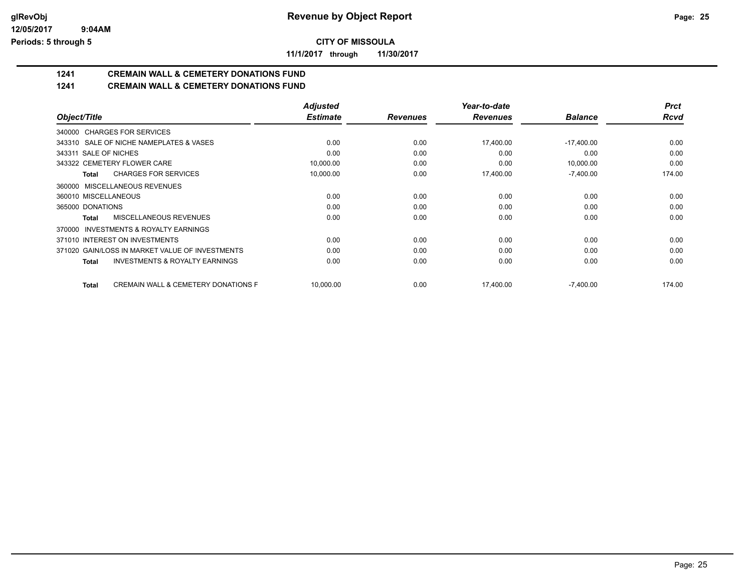#### **12/05/2017 9:04AM Periods: 5 through 5**

**CITY OF MISSOULA**

**11/1/2017 through 11/30/2017**

# **1241 CREMAIN WALL & CEMETERY DONATIONS FUND**

# **1241 CREMAIN WALL & CEMETERY DONATIONS FUND**

|                                                                | <b>Adjusted</b> |                 | Year-to-date    |                | <b>Prct</b> |
|----------------------------------------------------------------|-----------------|-----------------|-----------------|----------------|-------------|
| Object/Title                                                   | <b>Estimate</b> | <b>Revenues</b> | <b>Revenues</b> | <b>Balance</b> | <b>Rcvd</b> |
| 340000 CHARGES FOR SERVICES                                    |                 |                 |                 |                |             |
| 343310 SALE OF NICHE NAMEPLATES & VASES                        | 0.00            | 0.00            | 17,400.00       | $-17,400.00$   | 0.00        |
| 343311 SALE OF NICHES                                          | 0.00            | 0.00            | 0.00            | 0.00           | 0.00        |
| 343322 CEMETERY FLOWER CARE                                    | 10,000.00       | 0.00            | 0.00            | 10,000.00      | 0.00        |
| <b>CHARGES FOR SERVICES</b><br>Total                           | 10,000.00       | 0.00            | 17,400.00       | $-7,400.00$    | 174.00      |
| MISCELLANEOUS REVENUES<br>360000                               |                 |                 |                 |                |             |
| 360010 MISCELLANEOUS                                           | 0.00            | 0.00            | 0.00            | 0.00           | 0.00        |
| 365000 DONATIONS                                               | 0.00            | 0.00            | 0.00            | 0.00           | 0.00        |
| MISCELLANEOUS REVENUES<br>Total                                | 0.00            | 0.00            | 0.00            | 0.00           | 0.00        |
| <b>INVESTMENTS &amp; ROYALTY EARNINGS</b><br>370000            |                 |                 |                 |                |             |
| 371010 INTEREST ON INVESTMENTS                                 | 0.00            | 0.00            | 0.00            | 0.00           | 0.00        |
| 371020 GAIN/LOSS IN MARKET VALUE OF INVESTMENTS                | 0.00            | 0.00            | 0.00            | 0.00           | 0.00        |
| <b>INVESTMENTS &amp; ROYALTY EARNINGS</b><br>Total             | 0.00            | 0.00            | 0.00            | 0.00           | 0.00        |
| <b>CREMAIN WALL &amp; CEMETERY DONATIONS F</b><br><b>Total</b> | 10,000.00       | 0.00            | 17,400.00       | $-7,400.00$    | 174.00      |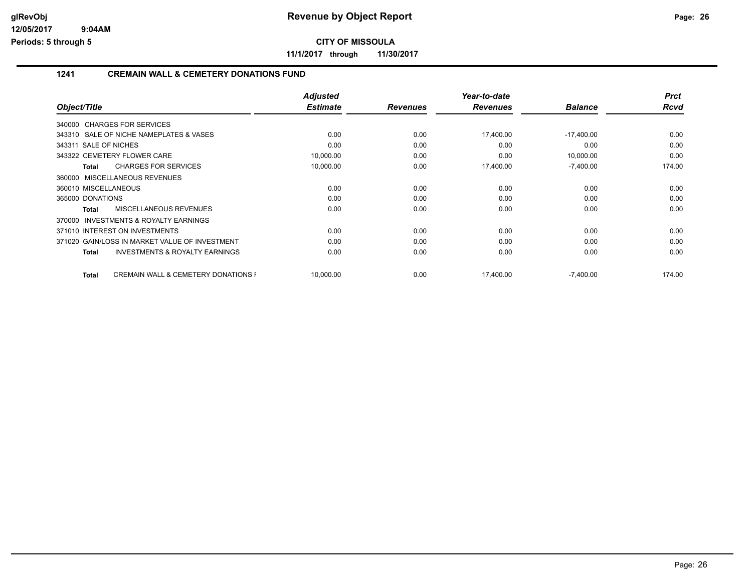**11/1/2017 through 11/30/2017**

## **1241 CREMAIN WALL & CEMETERY DONATIONS FUND**

| Object/Title                                            | <b>Adjusted</b><br><b>Estimate</b> | <b>Revenues</b> | Year-to-date<br><b>Revenues</b> | <b>Balance</b> | <b>Prct</b><br><b>Rcvd</b> |
|---------------------------------------------------------|------------------------------------|-----------------|---------------------------------|----------------|----------------------------|
|                                                         |                                    |                 |                                 |                |                            |
| 340000 CHARGES FOR SERVICES                             |                                    |                 |                                 |                |                            |
| 343310 SALE OF NICHE NAMEPLATES & VASES                 | 0.00                               | 0.00            | 17,400.00                       | $-17,400.00$   | 0.00                       |
| 343311 SALE OF NICHES                                   | 0.00                               | 0.00            | 0.00                            | 0.00           | 0.00                       |
| 343322 CEMETERY FLOWER CARE                             | 10,000.00                          | 0.00            | 0.00                            | 10,000.00      | 0.00                       |
| <b>CHARGES FOR SERVICES</b><br>Total                    | 10,000.00                          | 0.00            | 17,400.00                       | $-7,400.00$    | 174.00                     |
| 360000 MISCELLANEOUS REVENUES                           |                                    |                 |                                 |                |                            |
| 360010 MISCELLANEOUS                                    | 0.00                               | 0.00            | 0.00                            | 0.00           | 0.00                       |
| 365000 DONATIONS                                        | 0.00                               | 0.00            | 0.00                            | 0.00           | 0.00                       |
| MISCELLANEOUS REVENUES<br>Total                         | 0.00                               | 0.00            | 0.00                            | 0.00           | 0.00                       |
| <b>INVESTMENTS &amp; ROYALTY EARNINGS</b><br>370000     |                                    |                 |                                 |                |                            |
| 371010 INTEREST ON INVESTMENTS                          | 0.00                               | 0.00            | 0.00                            | 0.00           | 0.00                       |
| 371020 GAIN/LOSS IN MARKET VALUE OF INVESTMENT          | 0.00                               | 0.00            | 0.00                            | 0.00           | 0.00                       |
| <b>INVESTMENTS &amp; ROYALTY EARNINGS</b><br>Total      | 0.00                               | 0.00            | 0.00                            | 0.00           | 0.00                       |
| <b>CREMAIN WALL &amp; CEMETERY DONATIONS F</b><br>Total | 10.000.00                          | 0.00            | 17.400.00                       | $-7,400.00$    | 174.00                     |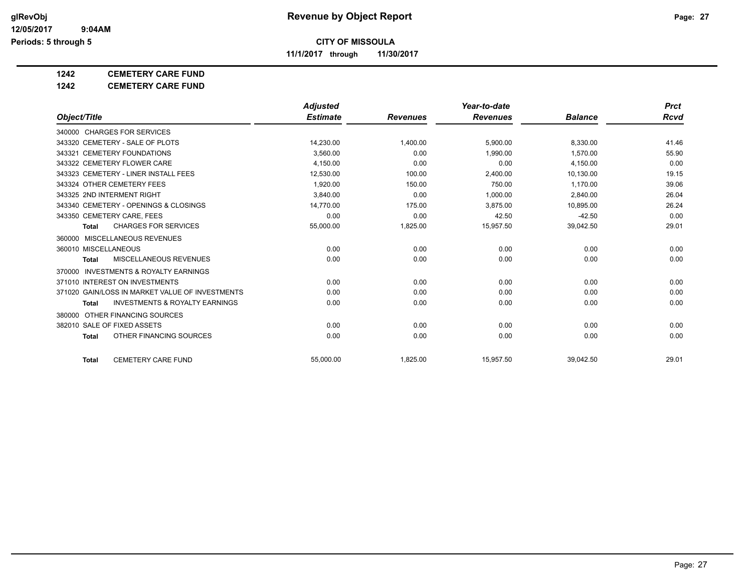**11/1/2017 through 11/30/2017**

## **1242 CEMETERY CARE FUND**

**1242 CEMETERY CARE FUND**

|                                                           | <b>Adjusted</b> |                 | Year-to-date    |                | <b>Prct</b> |
|-----------------------------------------------------------|-----------------|-----------------|-----------------|----------------|-------------|
| Object/Title                                              | <b>Estimate</b> | <b>Revenues</b> | <b>Revenues</b> | <b>Balance</b> | Rcvd        |
| 340000 CHARGES FOR SERVICES                               |                 |                 |                 |                |             |
| 343320 CEMETERY - SALE OF PLOTS                           | 14,230.00       | 1,400.00        | 5,900.00        | 8,330.00       | 41.46       |
| 343321 CEMETERY FOUNDATIONS                               | 3,560.00        | 0.00            | 1,990.00        | 1,570.00       | 55.90       |
| 343322 CEMETERY FLOWER CARE                               | 4,150.00        | 0.00            | 0.00            | 4,150.00       | 0.00        |
| 343323 CEMETERY - LINER INSTALL FEES                      | 12,530.00       | 100.00          | 2,400.00        | 10,130.00      | 19.15       |
| 343324 OTHER CEMETERY FEES                                | 1.920.00        | 150.00          | 750.00          | 1.170.00       | 39.06       |
| 343325 2ND INTERMENT RIGHT                                | 3.840.00        | 0.00            | 1.000.00        | 2.840.00       | 26.04       |
| 343340 CEMETERY - OPENINGS & CLOSINGS                     | 14,770.00       | 175.00          | 3,875.00        | 10,895.00      | 26.24       |
| 343350 CEMETERY CARE, FEES                                | 0.00            | 0.00            | 42.50           | $-42.50$       | 0.00        |
| <b>CHARGES FOR SERVICES</b><br><b>Total</b>               | 55,000.00       | 1,825.00        | 15,957.50       | 39,042.50      | 29.01       |
| MISCELLANEOUS REVENUES<br>360000                          |                 |                 |                 |                |             |
| 360010 MISCELLANEOUS                                      | 0.00            | 0.00            | 0.00            | 0.00           | 0.00        |
| MISCELLANEOUS REVENUES<br><b>Total</b>                    | 0.00            | 0.00            | 0.00            | 0.00           | 0.00        |
| <b>INVESTMENTS &amp; ROYALTY EARNINGS</b><br>370000       |                 |                 |                 |                |             |
| 371010 INTEREST ON INVESTMENTS                            | 0.00            | 0.00            | 0.00            | 0.00           | 0.00        |
| 371020 GAIN/LOSS IN MARKET VALUE OF INVESTMENTS           | 0.00            | 0.00            | 0.00            | 0.00           | 0.00        |
| <b>INVESTMENTS &amp; ROYALTY EARNINGS</b><br><b>Total</b> | 0.00            | 0.00            | 0.00            | 0.00           | 0.00        |
| OTHER FINANCING SOURCES<br>380000                         |                 |                 |                 |                |             |
| 382010 SALE OF FIXED ASSETS                               | 0.00            | 0.00            | 0.00            | 0.00           | 0.00        |
| OTHER FINANCING SOURCES<br><b>Total</b>                   | 0.00            | 0.00            | 0.00            | 0.00           | 0.00        |
| <b>CEMETERY CARE FUND</b><br><b>Total</b>                 | 55.000.00       | 1.825.00        | 15.957.50       | 39.042.50      | 29.01       |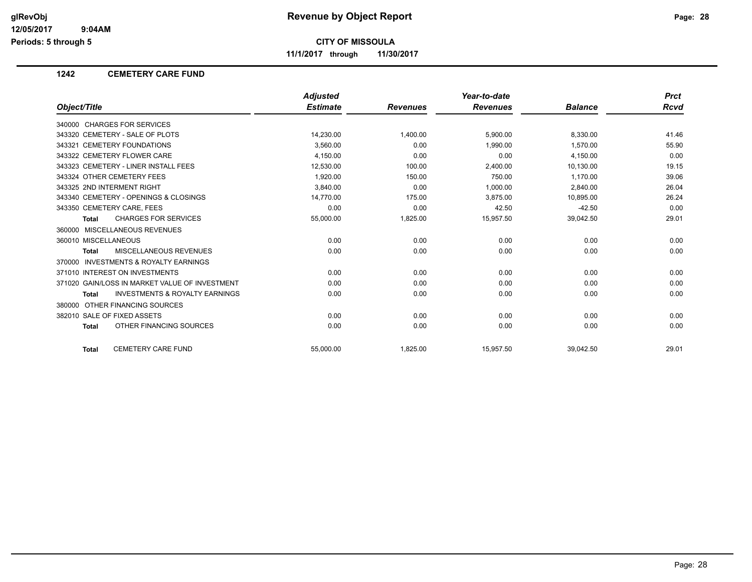**11/1/2017 through 11/30/2017**

## **1242 CEMETERY CARE FUND**

|                                                           | <b>Adjusted</b> |                 | Year-to-date    |                | <b>Prct</b> |
|-----------------------------------------------------------|-----------------|-----------------|-----------------|----------------|-------------|
| Object/Title                                              | <b>Estimate</b> | <b>Revenues</b> | <b>Revenues</b> | <b>Balance</b> | Rcvd        |
| 340000 CHARGES FOR SERVICES                               |                 |                 |                 |                |             |
| 343320 CEMETERY - SALE OF PLOTS                           | 14,230.00       | 1,400.00        | 5,900.00        | 8,330.00       | 41.46       |
| 343321 CEMETERY FOUNDATIONS                               | 3,560.00        | 0.00            | 1,990.00        | 1,570.00       | 55.90       |
| 343322 CEMETERY FLOWER CARE                               | 4,150.00        | 0.00            | 0.00            | 4,150.00       | 0.00        |
| 343323 CEMETERY - LINER INSTALL FEES                      | 12,530.00       | 100.00          | 2,400.00        | 10,130.00      | 19.15       |
| 343324 OTHER CEMETERY FEES                                | 1,920.00        | 150.00          | 750.00          | 1.170.00       | 39.06       |
| 343325 2ND INTERMENT RIGHT                                | 3,840.00        | 0.00            | 1,000.00        | 2,840.00       | 26.04       |
| 343340 CEMETERY - OPENINGS & CLOSINGS                     | 14,770.00       | 175.00          | 3,875.00        | 10,895.00      | 26.24       |
| 343350 CEMETERY CARE, FEES                                | 0.00            | 0.00            | 42.50           | $-42.50$       | 0.00        |
| <b>CHARGES FOR SERVICES</b><br><b>Total</b>               | 55,000.00       | 1,825.00        | 15,957.50       | 39,042.50      | 29.01       |
| 360000 MISCELLANEOUS REVENUES                             |                 |                 |                 |                |             |
| 360010 MISCELLANEOUS                                      | 0.00            | 0.00            | 0.00            | 0.00           | 0.00        |
| <b>MISCELLANEOUS REVENUES</b><br><b>Total</b>             | 0.00            | 0.00            | 0.00            | 0.00           | 0.00        |
| 370000 INVESTMENTS & ROYALTY EARNINGS                     |                 |                 |                 |                |             |
| 371010 INTEREST ON INVESTMENTS                            | 0.00            | 0.00            | 0.00            | 0.00           | 0.00        |
| 371020 GAIN/LOSS IN MARKET VALUE OF INVESTMENT            | 0.00            | 0.00            | 0.00            | 0.00           | 0.00        |
| <b>INVESTMENTS &amp; ROYALTY EARNINGS</b><br><b>Total</b> | 0.00            | 0.00            | 0.00            | 0.00           | 0.00        |
| 380000 OTHER FINANCING SOURCES                            |                 |                 |                 |                |             |
| 382010 SALE OF FIXED ASSETS                               | 0.00            | 0.00            | 0.00            | 0.00           | 0.00        |
| OTHER FINANCING SOURCES<br><b>Total</b>                   | 0.00            | 0.00            | 0.00            | 0.00           | 0.00        |
| <b>CEMETERY CARE FUND</b><br><b>Total</b>                 | 55,000.00       | 1,825.00        | 15,957.50       | 39.042.50      | 29.01       |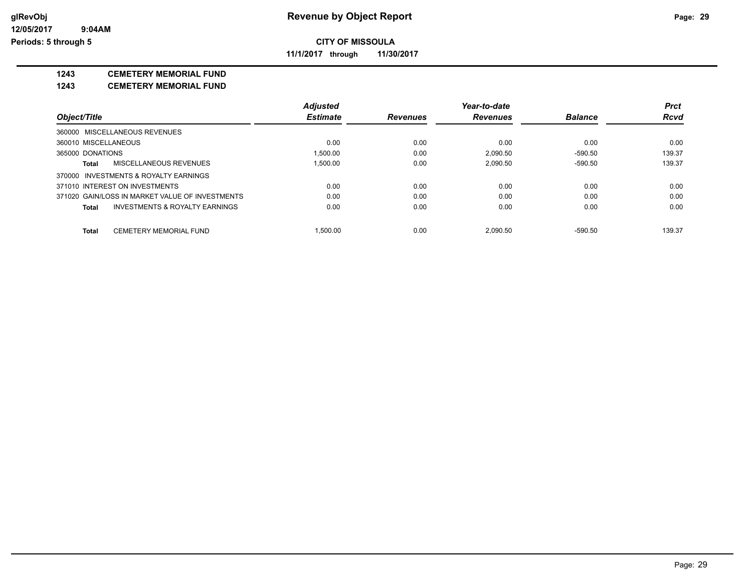**11/1/2017 through 11/30/2017**

**1243 CEMETERY MEMORIAL FUND**

**1243 CEMETERY MEMORIAL FUND**

|                                                 | <b>Adjusted</b> |                 | Year-to-date    |                | <b>Prct</b> |
|-------------------------------------------------|-----------------|-----------------|-----------------|----------------|-------------|
| Object/Title                                    | <b>Estimate</b> | <b>Revenues</b> | <b>Revenues</b> | <b>Balance</b> | Rcvd        |
| 360000 MISCELLANEOUS REVENUES                   |                 |                 |                 |                |             |
| 360010 MISCELLANEOUS                            | 0.00            | 0.00            | 0.00            | 0.00           | 0.00        |
| 365000 DONATIONS                                | 1.500.00        | 0.00            | 2,090.50        | $-590.50$      | 139.37      |
| MISCELLANEOUS REVENUES<br>Total                 | 1.500.00        | 0.00            | 2.090.50        | $-590.50$      | 139.37      |
| 370000 INVESTMENTS & ROYALTY EARNINGS           |                 |                 |                 |                |             |
| 371010 INTEREST ON INVESTMENTS                  | 0.00            | 0.00            | 0.00            | 0.00           | 0.00        |
| 371020 GAIN/LOSS IN MARKET VALUE OF INVESTMENTS | 0.00            | 0.00            | 0.00            | 0.00           | 0.00        |
| INVESTMENTS & ROYALTY EARNINGS<br>Total         | 0.00            | 0.00            | 0.00            | 0.00           | 0.00        |
| <b>CEMETERY MEMORIAL FUND</b><br><b>Total</b>   | 1.500.00        | 0.00            | 2.090.50        | $-590.50$      | 139.37      |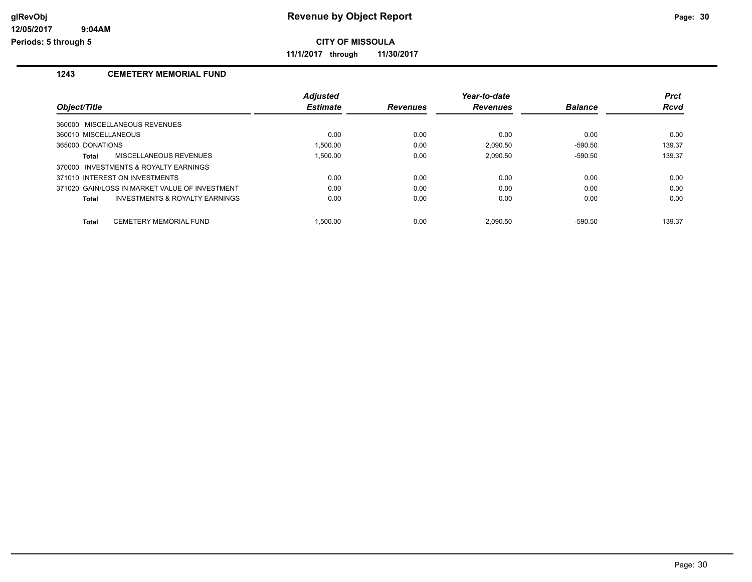**11/1/2017 through 11/30/2017**

## **1243 CEMETERY MEMORIAL FUND**

|                                                |                                | <b>Adjusted</b> |                 | Year-to-date    |                | <b>Prct</b> |
|------------------------------------------------|--------------------------------|-----------------|-----------------|-----------------|----------------|-------------|
| Object/Title                                   |                                | <b>Estimate</b> | <b>Revenues</b> | <b>Revenues</b> | <b>Balance</b> | <b>Rcvd</b> |
| 360000 MISCELLANEOUS REVENUES                  |                                |                 |                 |                 |                |             |
| 360010 MISCELLANEOUS                           |                                | 0.00            | 0.00            | 0.00            | 0.00           | 0.00        |
| 365000 DONATIONS                               |                                | 1.500.00        | 0.00            | 2.090.50        | $-590.50$      | 139.37      |
| Total                                          | MISCELLANEOUS REVENUES         | 1.500.00        | 0.00            | 2.090.50        | $-590.50$      | 139.37      |
| 370000 INVESTMENTS & ROYALTY EARNINGS          |                                |                 |                 |                 |                |             |
| 371010 INTEREST ON INVESTMENTS                 |                                | 0.00            | 0.00            | 0.00            | 0.00           | 0.00        |
| 371020 GAIN/LOSS IN MARKET VALUE OF INVESTMENT |                                | 0.00            | 0.00            | 0.00            | 0.00           | 0.00        |
| Total                                          | INVESTMENTS & ROYALTY EARNINGS | 0.00            | 0.00            | 0.00            | 0.00           | 0.00        |
| <b>Total</b>                                   | <b>CEMETERY MEMORIAL FUND</b>  | 1.500.00        | 0.00            | 2.090.50        | $-590.50$      | 139.37      |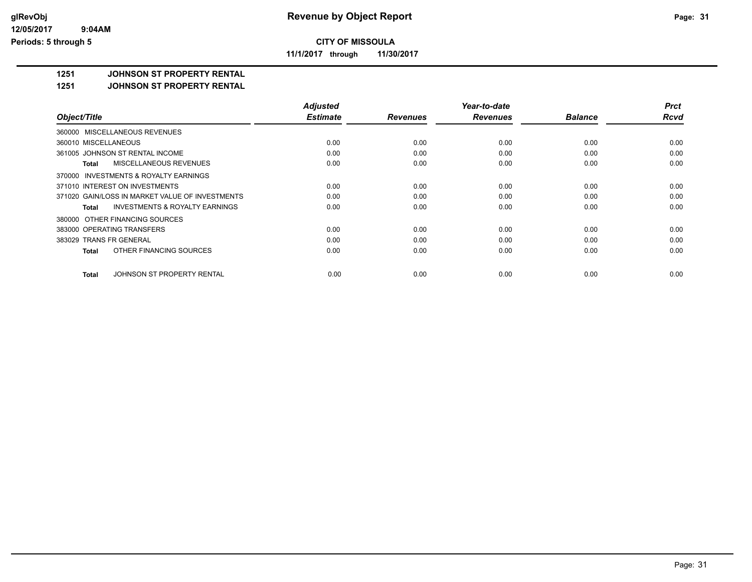**11/1/2017 through 11/30/2017**

## **1251 JOHNSON ST PROPERTY RENTAL**

**1251 JOHNSON ST PROPERTY RENTAL**

|                                                    | <b>Adjusted</b> |                 | Year-to-date    |                | <b>Prct</b> |
|----------------------------------------------------|-----------------|-----------------|-----------------|----------------|-------------|
| Object/Title                                       | <b>Estimate</b> | <b>Revenues</b> | <b>Revenues</b> | <b>Balance</b> | <b>Rcvd</b> |
| 360000 MISCELLANEOUS REVENUES                      |                 |                 |                 |                |             |
| 360010 MISCELLANEOUS                               | 0.00            | 0.00            | 0.00            | 0.00           | 0.00        |
| 361005 JOHNSON ST RENTAL INCOME                    | 0.00            | 0.00            | 0.00            | 0.00           | 0.00        |
| MISCELLANEOUS REVENUES<br>Total                    | 0.00            | 0.00            | 0.00            | 0.00           | 0.00        |
| 370000 INVESTMENTS & ROYALTY EARNINGS              |                 |                 |                 |                |             |
| 371010 INTEREST ON INVESTMENTS                     | 0.00            | 0.00            | 0.00            | 0.00           | 0.00        |
| 371020 GAIN/LOSS IN MARKET VALUE OF INVESTMENTS    | 0.00            | 0.00            | 0.00            | 0.00           | 0.00        |
| <b>INVESTMENTS &amp; ROYALTY EARNINGS</b><br>Total | 0.00            | 0.00            | 0.00            | 0.00           | 0.00        |
| 380000 OTHER FINANCING SOURCES                     |                 |                 |                 |                |             |
| 383000 OPERATING TRANSFERS                         | 0.00            | 0.00            | 0.00            | 0.00           | 0.00        |
| 383029 TRANS FR GENERAL                            | 0.00            | 0.00            | 0.00            | 0.00           | 0.00        |
| OTHER FINANCING SOURCES<br>Total                   | 0.00            | 0.00            | 0.00            | 0.00           | 0.00        |
| JOHNSON ST PROPERTY RENTAL<br>Total                | 0.00            | 0.00            | 0.00            | 0.00           | 0.00        |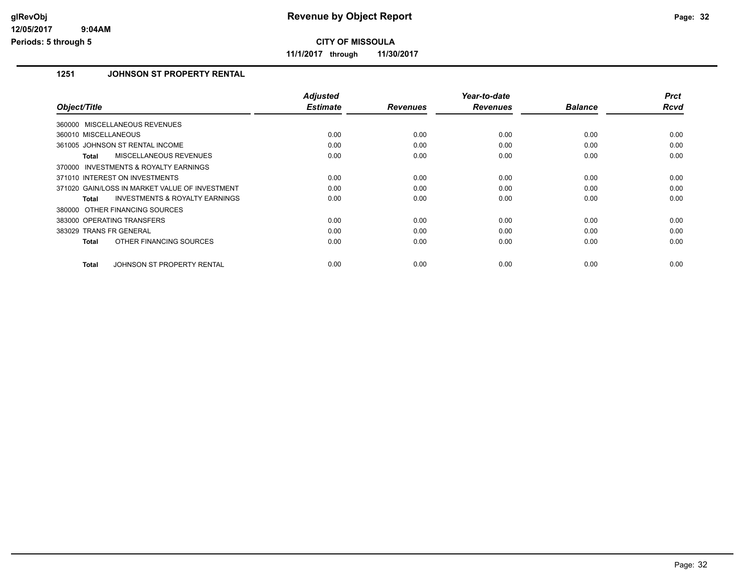**11/1/2017 through 11/30/2017**

## **1251 JOHNSON ST PROPERTY RENTAL**

|                                                           | <b>Adjusted</b><br><b>Estimate</b> |                 | Year-to-date    | <b>Balance</b> | <b>Prct</b><br><b>Rcvd</b> |
|-----------------------------------------------------------|------------------------------------|-----------------|-----------------|----------------|----------------------------|
| Object/Title                                              |                                    | <b>Revenues</b> | <b>Revenues</b> |                |                            |
| 360000 MISCELLANEOUS REVENUES                             |                                    |                 |                 |                |                            |
| 360010 MISCELLANEOUS                                      | 0.00                               | 0.00            | 0.00            | 0.00           | 0.00                       |
| 361005 JOHNSON ST RENTAL INCOME                           | 0.00                               | 0.00            | 0.00            | 0.00           | 0.00                       |
| <b>MISCELLANEOUS REVENUES</b><br><b>Total</b>             | 0.00                               | 0.00            | 0.00            | 0.00           | 0.00                       |
| 370000 INVESTMENTS & ROYALTY EARNINGS                     |                                    |                 |                 |                |                            |
| 371010 INTEREST ON INVESTMENTS                            | 0.00                               | 0.00            | 0.00            | 0.00           | 0.00                       |
| 371020 GAIN/LOSS IN MARKET VALUE OF INVESTMENT            | 0.00                               | 0.00            | 0.00            | 0.00           | 0.00                       |
| <b>INVESTMENTS &amp; ROYALTY EARNINGS</b><br><b>Total</b> | 0.00                               | 0.00            | 0.00            | 0.00           | 0.00                       |
| 380000 OTHER FINANCING SOURCES                            |                                    |                 |                 |                |                            |
| 383000 OPERATING TRANSFERS                                | 0.00                               | 0.00            | 0.00            | 0.00           | 0.00                       |
| 383029 TRANS FR GENERAL                                   | 0.00                               | 0.00            | 0.00            | 0.00           | 0.00                       |
| OTHER FINANCING SOURCES<br><b>Total</b>                   | 0.00                               | 0.00            | 0.00            | 0.00           | 0.00                       |
|                                                           |                                    |                 |                 |                |                            |
| JOHNSON ST PROPERTY RENTAL<br><b>Total</b>                | 0.00                               | 0.00            | 0.00            | 0.00           | 0.00                       |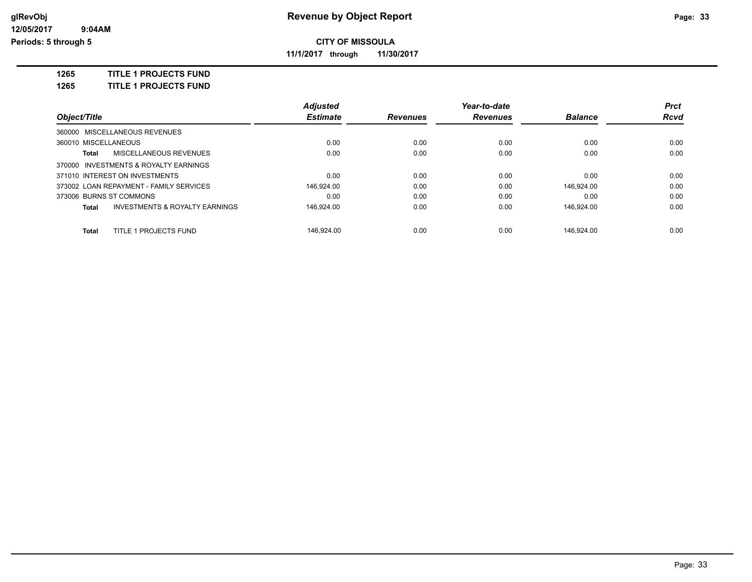**11/1/2017 through 11/30/2017**

**1265 TITLE 1 PROJECTS FUND**

**1265 TITLE 1 PROJECTS FUND**

|                                                    | <b>Adjusted</b> |                 | Year-to-date    |                | <b>Prct</b> |
|----------------------------------------------------|-----------------|-----------------|-----------------|----------------|-------------|
| Object/Title                                       | <b>Estimate</b> | <b>Revenues</b> | <b>Revenues</b> | <b>Balance</b> | <b>Rcvd</b> |
| 360000 MISCELLANEOUS REVENUES                      |                 |                 |                 |                |             |
| 360010 MISCELLANEOUS                               | 0.00            | 0.00            | 0.00            | 0.00           | 0.00        |
| MISCELLANEOUS REVENUES<br>Total                    | 0.00            | 0.00            | 0.00            | 0.00           | 0.00        |
| 370000 INVESTMENTS & ROYALTY EARNINGS              |                 |                 |                 |                |             |
| 371010 INTEREST ON INVESTMENTS                     | 0.00            | 0.00            | 0.00            | 0.00           | 0.00        |
| 373002 LOAN REPAYMENT - FAMILY SERVICES            | 146.924.00      | 0.00            | 0.00            | 146.924.00     | 0.00        |
| 373006 BURNS ST COMMONS                            | 0.00            | 0.00            | 0.00            | 0.00           | 0.00        |
| <b>INVESTMENTS &amp; ROYALTY EARNINGS</b><br>Total | 146,924.00      | 0.00            | 0.00            | 146.924.00     | 0.00        |
| TITLE 1 PROJECTS FUND<br>Total                     | 146.924.00      | 0.00            | 0.00            | 146.924.00     | 0.00        |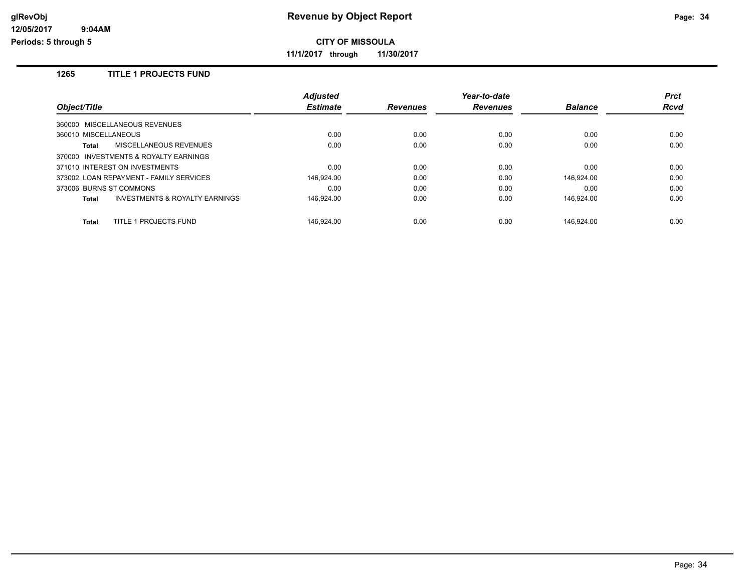**11/1/2017 through 11/30/2017**

## **1265 TITLE 1 PROJECTS FUND**

|                                         | <b>Adjusted</b> |                 | Year-to-date    |                |             |  |
|-----------------------------------------|-----------------|-----------------|-----------------|----------------|-------------|--|
| Object/Title                            | <b>Estimate</b> | <b>Revenues</b> | <b>Revenues</b> | <b>Balance</b> | <b>Rcvd</b> |  |
| 360000 MISCELLANEOUS REVENUES           |                 |                 |                 |                |             |  |
| 360010 MISCELLANEOUS                    | 0.00            | 0.00            | 0.00            | 0.00           | 0.00        |  |
| MISCELLANEOUS REVENUES<br><b>Total</b>  | 0.00            | 0.00            | 0.00            | 0.00           | 0.00        |  |
| 370000 INVESTMENTS & ROYALTY EARNINGS   |                 |                 |                 |                |             |  |
| 371010 INTEREST ON INVESTMENTS          | 0.00            | 0.00            | 0.00            | 0.00           | 0.00        |  |
| 373002 LOAN REPAYMENT - FAMILY SERVICES | 146.924.00      | 0.00            | 0.00            | 146.924.00     | 0.00        |  |
| 373006 BURNS ST COMMONS                 | 0.00            | 0.00            | 0.00            | 0.00           | 0.00        |  |
| INVESTMENTS & ROYALTY EARNINGS<br>Total | 146.924.00      | 0.00            | 0.00            | 146.924.00     | 0.00        |  |
| TITLE 1 PROJECTS FUND<br><b>Total</b>   | 146.924.00      | 0.00            | 0.00            | 146.924.00     | 0.00        |  |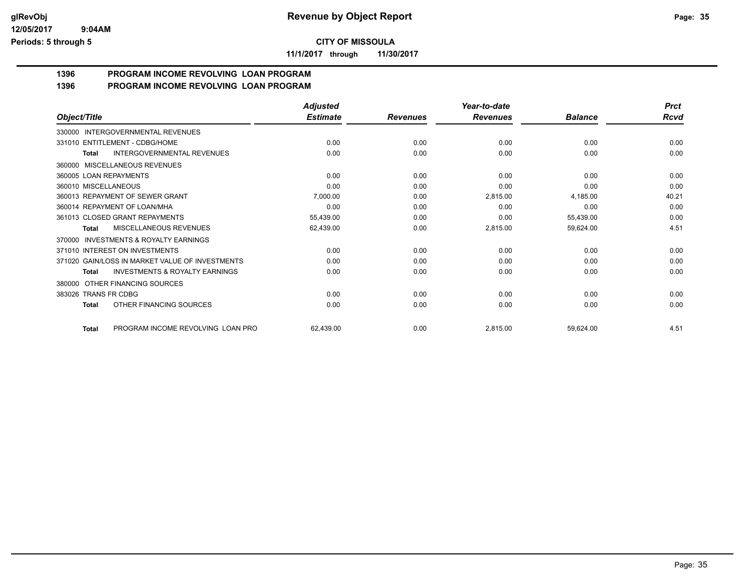**11/1/2017 through 11/30/2017**

## **1396 PROGRAM INCOME REVOLVING LOAN PROGRAM 1396 PROGRAM INCOME REVOLVING LOAN PROGRAM**

|                                                           | <b>Adjusted</b> |                 | Year-to-date    |                | <b>Prct</b> |
|-----------------------------------------------------------|-----------------|-----------------|-----------------|----------------|-------------|
| Object/Title                                              | <b>Estimate</b> | <b>Revenues</b> | <b>Revenues</b> | <b>Balance</b> | <b>Rcvd</b> |
| INTERGOVERNMENTAL REVENUES<br>330000                      |                 |                 |                 |                |             |
| 331010 ENTITLEMENT - CDBG/HOME                            | 0.00            | 0.00            | 0.00            | 0.00           | 0.00        |
| <b>INTERGOVERNMENTAL REVENUES</b><br><b>Total</b>         | 0.00            | 0.00            | 0.00            | 0.00           | 0.00        |
| MISCELLANEOUS REVENUES<br>360000                          |                 |                 |                 |                |             |
| 360005 LOAN REPAYMENTS                                    | 0.00            | 0.00            | 0.00            | 0.00           | 0.00        |
| 360010 MISCELLANEOUS                                      | 0.00            | 0.00            | 0.00            | 0.00           | 0.00        |
| 360013 REPAYMENT OF SEWER GRANT                           | 7,000.00        | 0.00            | 2,815.00        | 4,185.00       | 40.21       |
| 360014 REPAYMENT OF LOAN/MHA                              | 0.00            | 0.00            | 0.00            | 0.00           | 0.00        |
| 361013 CLOSED GRANT REPAYMENTS                            | 55,439.00       | 0.00            | 0.00            | 55,439.00      | 0.00        |
| <b>MISCELLANEOUS REVENUES</b><br><b>Total</b>             | 62,439.00       | 0.00            | 2,815.00        | 59,624.00      | 4.51        |
| <b>INVESTMENTS &amp; ROYALTY EARNINGS</b><br>370000       |                 |                 |                 |                |             |
| 371010 INTEREST ON INVESTMENTS                            | 0.00            | 0.00            | 0.00            | 0.00           | 0.00        |
| 371020 GAIN/LOSS IN MARKET VALUE OF INVESTMENTS           | 0.00            | 0.00            | 0.00            | 0.00           | 0.00        |
| <b>INVESTMENTS &amp; ROYALTY EARNINGS</b><br><b>Total</b> | 0.00            | 0.00            | 0.00            | 0.00           | 0.00        |
| OTHER FINANCING SOURCES<br>380000                         |                 |                 |                 |                |             |
| <b>TRANS FR CDBG</b><br>383026                            | 0.00            | 0.00            | 0.00            | 0.00           | 0.00        |
| OTHER FINANCING SOURCES<br><b>Total</b>                   | 0.00            | 0.00            | 0.00            | 0.00           | 0.00        |
| PROGRAM INCOME REVOLVING LOAN PRO<br><b>Total</b>         | 62,439.00       | 0.00            | 2,815.00        | 59,624.00      | 4.51        |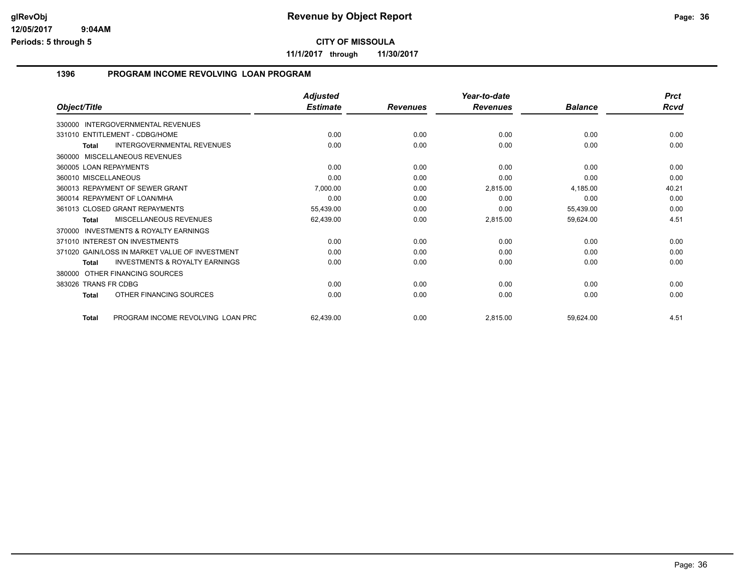**11/1/2017 through 11/30/2017**

## **1396 PROGRAM INCOME REVOLVING LOAN PROGRAM**

|                                                           | <b>Adjusted</b> |                 | Year-to-date    |                | <b>Prct</b> |
|-----------------------------------------------------------|-----------------|-----------------|-----------------|----------------|-------------|
| Object/Title                                              | <b>Estimate</b> | <b>Revenues</b> | <b>Revenues</b> | <b>Balance</b> | Rcvd        |
| 330000 INTERGOVERNMENTAL REVENUES                         |                 |                 |                 |                |             |
| 331010 ENTITLEMENT - CDBG/HOME                            | 0.00            | 0.00            | 0.00            | 0.00           | 0.00        |
| <b>INTERGOVERNMENTAL REVENUES</b><br><b>Total</b>         | 0.00            | 0.00            | 0.00            | 0.00           | 0.00        |
| 360000 MISCELLANEOUS REVENUES                             |                 |                 |                 |                |             |
| 360005 LOAN REPAYMENTS                                    | 0.00            | 0.00            | 0.00            | 0.00           | 0.00        |
| 360010 MISCELLANEOUS                                      | 0.00            | 0.00            | 0.00            | 0.00           | 0.00        |
| 360013 REPAYMENT OF SEWER GRANT                           | 7,000.00        | 0.00            | 2,815.00        | 4,185.00       | 40.21       |
| 360014 REPAYMENT OF LOAN/MHA                              | 0.00            | 0.00            | 0.00            | 0.00           | 0.00        |
| 361013 CLOSED GRANT REPAYMENTS                            | 55,439.00       | 0.00            | 0.00            | 55,439.00      | 0.00        |
| MISCELLANEOUS REVENUES<br><b>Total</b>                    | 62,439.00       | 0.00            | 2,815.00        | 59,624.00      | 4.51        |
| <b>INVESTMENTS &amp; ROYALTY EARNINGS</b><br>370000       |                 |                 |                 |                |             |
| 371010 INTEREST ON INVESTMENTS                            | 0.00            | 0.00            | 0.00            | 0.00           | 0.00        |
| 371020 GAIN/LOSS IN MARKET VALUE OF INVESTMENT            | 0.00            | 0.00            | 0.00            | 0.00           | 0.00        |
| <b>INVESTMENTS &amp; ROYALTY EARNINGS</b><br><b>Total</b> | 0.00            | 0.00            | 0.00            | 0.00           | 0.00        |
| 380000 OTHER FINANCING SOURCES                            |                 |                 |                 |                |             |
| 383026 TRANS FR CDBG                                      | 0.00            | 0.00            | 0.00            | 0.00           | 0.00        |
| OTHER FINANCING SOURCES<br><b>Total</b>                   | 0.00            | 0.00            | 0.00            | 0.00           | 0.00        |
| PROGRAM INCOME REVOLVING LOAN PRC<br><b>Total</b>         | 62,439.00       | 0.00            | 2,815.00        | 59,624.00      | 4.51        |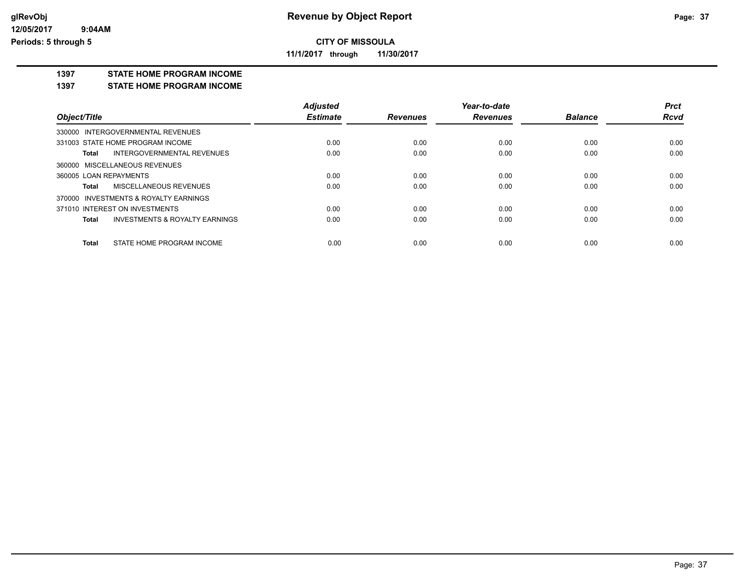**11/1/2017 through 11/30/2017**

#### **1397 STATE HOME PROGRAM INCOME**

#### **1397 STATE HOME PROGRAM INCOME**

|                                                    | <b>Adjusted</b> |                 | Year-to-date    |                | <b>Prct</b> |
|----------------------------------------------------|-----------------|-----------------|-----------------|----------------|-------------|
| Object/Title                                       | <b>Estimate</b> | <b>Revenues</b> | <b>Revenues</b> | <b>Balance</b> | <b>Rcvd</b> |
| 330000 INTERGOVERNMENTAL REVENUES                  |                 |                 |                 |                |             |
| 331003 STATE HOME PROGRAM INCOME                   | 0.00            | 0.00            | 0.00            | 0.00           | 0.00        |
| INTERGOVERNMENTAL REVENUES<br>Total                | 0.00            | 0.00            | 0.00            | 0.00           | 0.00        |
| 360000 MISCELLANEOUS REVENUES                      |                 |                 |                 |                |             |
| 360005 LOAN REPAYMENTS                             | 0.00            | 0.00            | 0.00            | 0.00           | 0.00        |
| MISCELLANEOUS REVENUES<br>Total                    | 0.00            | 0.00            | 0.00            | 0.00           | 0.00        |
| 370000 INVESTMENTS & ROYALTY EARNINGS              |                 |                 |                 |                |             |
| 371010 INTEREST ON INVESTMENTS                     | 0.00            | 0.00            | 0.00            | 0.00           | 0.00        |
| <b>INVESTMENTS &amp; ROYALTY EARNINGS</b><br>Total | 0.00            | 0.00            | 0.00            | 0.00           | 0.00        |
|                                                    |                 |                 |                 |                |             |
| STATE HOME PROGRAM INCOME<br>Total                 | 0.00            | 0.00            | 0.00            | 0.00           | 0.00        |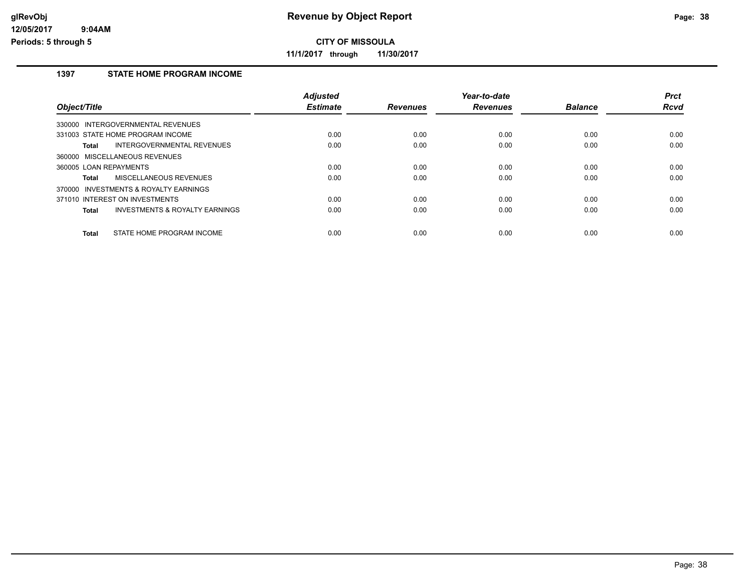**11/1/2017 through 11/30/2017**

#### **1397 STATE HOME PROGRAM INCOME**

| Object/Title           |                                           | <b>Adjusted</b><br><b>Estimate</b> | <b>Revenues</b> | Year-to-date<br><b>Revenues</b> | <b>Balance</b> | <b>Prct</b><br>Rcvd |
|------------------------|-------------------------------------------|------------------------------------|-----------------|---------------------------------|----------------|---------------------|
|                        | 330000 INTERGOVERNMENTAL REVENUES         |                                    |                 |                                 |                |                     |
|                        | 331003 STATE HOME PROGRAM INCOME          | 0.00                               | 0.00            | 0.00                            | 0.00           | 0.00                |
| Total                  | INTERGOVERNMENTAL REVENUES                | 0.00                               | 0.00            | 0.00                            | 0.00           | 0.00                |
|                        | 360000 MISCELLANEOUS REVENUES             |                                    |                 |                                 |                |                     |
| 360005 LOAN REPAYMENTS |                                           | 0.00                               | 0.00            | 0.00                            | 0.00           | 0.00                |
| <b>Total</b>           | <b>MISCELLANEOUS REVENUES</b>             | 0.00                               | 0.00            | 0.00                            | 0.00           | 0.00                |
|                        | 370000 INVESTMENTS & ROYALTY EARNINGS     |                                    |                 |                                 |                |                     |
|                        | 371010 INTEREST ON INVESTMENTS            | 0.00                               | 0.00            | 0.00                            | 0.00           | 0.00                |
| <b>Total</b>           | <b>INVESTMENTS &amp; ROYALTY EARNINGS</b> | 0.00                               | 0.00            | 0.00                            | 0.00           | 0.00                |
| <b>Total</b>           | STATE HOME PROGRAM INCOME                 | 0.00                               | 0.00            | 0.00                            | 0.00           | 0.00                |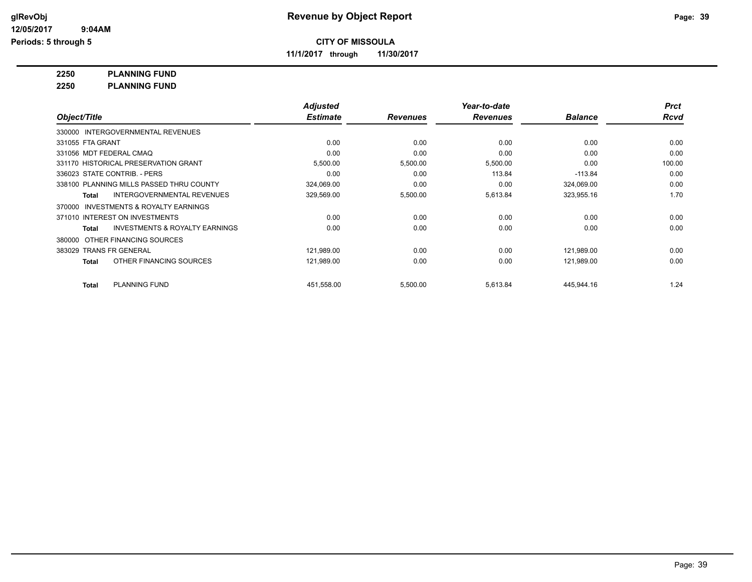**11/1/2017 through 11/30/2017**

#### **2250 PLANNING FUND**

**2250 PLANNING FUND**

|                                                           | <b>Adjusted</b> |                 | Year-to-date    |                | <b>Prct</b> |
|-----------------------------------------------------------|-----------------|-----------------|-----------------|----------------|-------------|
| Object/Title                                              | <b>Estimate</b> | <b>Revenues</b> | <b>Revenues</b> | <b>Balance</b> | <b>Rcvd</b> |
| 330000 INTERGOVERNMENTAL REVENUES                         |                 |                 |                 |                |             |
| 331055 FTA GRANT                                          | 0.00            | 0.00            | 0.00            | 0.00           | 0.00        |
| 331056 MDT FEDERAL CMAQ                                   | 0.00            | 0.00            | 0.00            | 0.00           | 0.00        |
| 331170 HISTORICAL PRESERVATION GRANT                      | 5,500.00        | 5,500.00        | 5,500.00        | 0.00           | 100.00      |
| 336023 STATE CONTRIB. - PERS                              | 0.00            | 0.00            | 113.84          | $-113.84$      | 0.00        |
| 338100 PLANNING MILLS PASSED THRU COUNTY                  | 324,069.00      | 0.00            | 0.00            | 324,069.00     | 0.00        |
| <b>INTERGOVERNMENTAL REVENUES</b><br>Total                | 329,569.00      | 5,500.00        | 5,613.84        | 323,955.16     | 1.70        |
| <b>INVESTMENTS &amp; ROYALTY EARNINGS</b><br>370000       |                 |                 |                 |                |             |
| 371010 INTEREST ON INVESTMENTS                            | 0.00            | 0.00            | 0.00            | 0.00           | 0.00        |
| <b>INVESTMENTS &amp; ROYALTY EARNINGS</b><br><b>Total</b> | 0.00            | 0.00            | 0.00            | 0.00           | 0.00        |
| OTHER FINANCING SOURCES<br>380000                         |                 |                 |                 |                |             |
| 383029 TRANS FR GENERAL                                   | 121,989.00      | 0.00            | 0.00            | 121,989.00     | 0.00        |
| OTHER FINANCING SOURCES<br><b>Total</b>                   | 121,989.00      | 0.00            | 0.00            | 121,989.00     | 0.00        |
| <b>PLANNING FUND</b><br><b>Total</b>                      | 451,558.00      | 5,500.00        | 5,613.84        | 445,944.16     | 1.24        |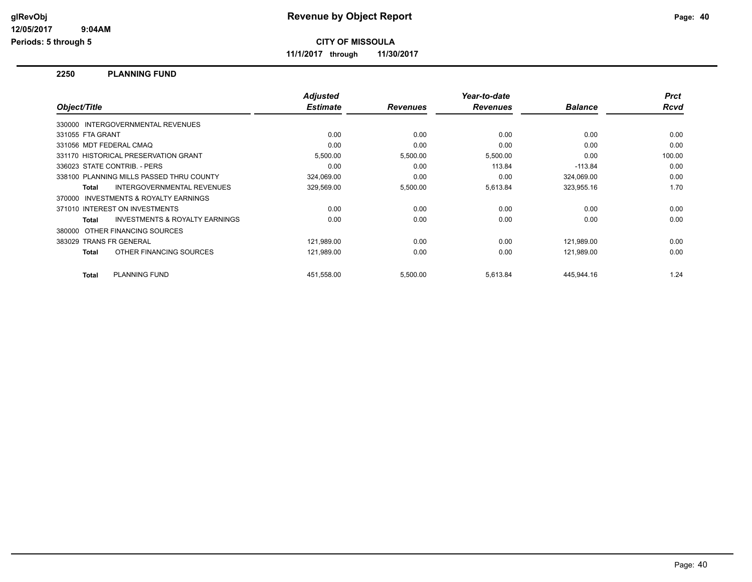**11/1/2017 through 11/30/2017**

#### **2250 PLANNING FUND**

| Object/Title            |                                           | <b>Adjusted</b><br><b>Estimate</b> | <b>Revenues</b> | Year-to-date<br><b>Revenues</b> | <b>Balance</b> | <b>Prct</b><br><b>Rcvd</b> |
|-------------------------|-------------------------------------------|------------------------------------|-----------------|---------------------------------|----------------|----------------------------|
|                         | 330000 INTERGOVERNMENTAL REVENUES         |                                    |                 |                                 |                |                            |
| 331055 FTA GRANT        |                                           | 0.00                               | 0.00            | 0.00                            | 0.00           | 0.00                       |
| 331056 MDT FEDERAL CMAQ |                                           | 0.00                               | 0.00            | 0.00                            | 0.00           | 0.00                       |
|                         | 331170 HISTORICAL PRESERVATION GRANT      | 5,500.00                           | 5,500.00        | 5,500.00                        | 0.00           | 100.00                     |
|                         | 336023 STATE CONTRIB. - PERS              | 0.00                               | 0.00            | 113.84                          | $-113.84$      | 0.00                       |
|                         | 338100 PLANNING MILLS PASSED THRU COUNTY  | 324,069.00                         | 0.00            | 0.00                            | 324,069.00     | 0.00                       |
| Total                   | <b>INTERGOVERNMENTAL REVENUES</b>         | 329,569.00                         | 5,500.00        | 5,613.84                        | 323,955.16     | 1.70                       |
| 370000                  | <b>INVESTMENTS &amp; ROYALTY EARNINGS</b> |                                    |                 |                                 |                |                            |
|                         | 371010 INTEREST ON INVESTMENTS            | 0.00                               | 0.00            | 0.00                            | 0.00           | 0.00                       |
| Total                   | <b>INVESTMENTS &amp; ROYALTY EARNINGS</b> | 0.00                               | 0.00            | 0.00                            | 0.00           | 0.00                       |
|                         | 380000 OTHER FINANCING SOURCES            |                                    |                 |                                 |                |                            |
| 383029 TRANS FR GENERAL |                                           | 121,989.00                         | 0.00            | 0.00                            | 121,989.00     | 0.00                       |
| Total                   | OTHER FINANCING SOURCES                   | 121,989.00                         | 0.00            | 0.00                            | 121,989.00     | 0.00                       |
| Total                   | <b>PLANNING FUND</b>                      | 451,558.00                         | 5,500.00        | 5,613.84                        | 445.944.16     | 1.24                       |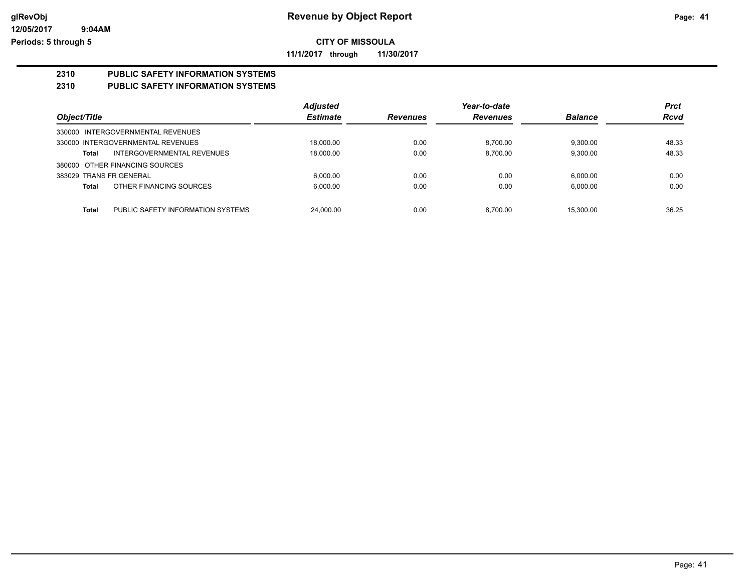**11/1/2017 through 11/30/2017**

#### **2310 PUBLIC SAFETY INFORMATION SYSTEMS 2310 PUBLIC SAFETY INFORMATION SYSTEMS**

|                                            | <b>Adjusted</b> |                 | Year-to-date    |                | <b>Prct</b> |
|--------------------------------------------|-----------------|-----------------|-----------------|----------------|-------------|
| Object/Title                               | <b>Estimate</b> | <b>Revenues</b> | <b>Revenues</b> | <b>Balance</b> | Rcvd        |
| 330000 INTERGOVERNMENTAL REVENUES          |                 |                 |                 |                |             |
| 330000 INTERGOVERNMENTAL REVENUES          | 18.000.00       | 0.00            | 8.700.00        | 9.300.00       | 48.33       |
| INTERGOVERNMENTAL REVENUES<br>Total        | 18,000.00       | 0.00            | 8,700.00        | 9,300.00       | 48.33       |
| 380000 OTHER FINANCING SOURCES             |                 |                 |                 |                |             |
| 383029 TRANS FR GENERAL                    | 6.000.00        | 0.00            | 0.00            | 6.000.00       | 0.00        |
| OTHER FINANCING SOURCES<br>Total           | 6.000.00        | 0.00            | 0.00            | 6.000.00       | 0.00        |
|                                            |                 |                 |                 |                |             |
| PUBLIC SAFETY INFORMATION SYSTEMS<br>Total | 24.000.00       | 0.00            | 8.700.00        | 15.300.00      | 36.25       |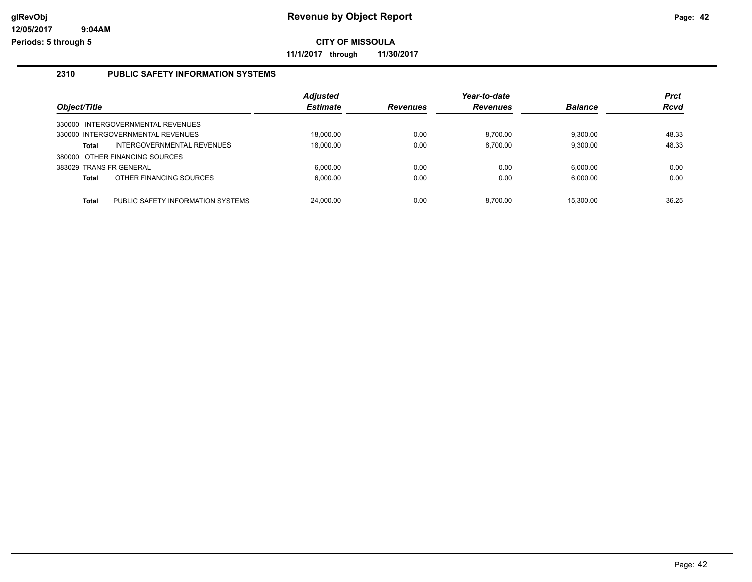**11/1/2017 through 11/30/2017**

#### **2310 PUBLIC SAFETY INFORMATION SYSTEMS**

|                         |                                   | <b>Adjusted</b> |                 | Year-to-date    |                | <b>Prct</b> |
|-------------------------|-----------------------------------|-----------------|-----------------|-----------------|----------------|-------------|
| Object/Title            |                                   | <b>Estimate</b> | <b>Revenues</b> | <b>Revenues</b> | <b>Balance</b> | <b>Rcvd</b> |
|                         | 330000 INTERGOVERNMENTAL REVENUES |                 |                 |                 |                |             |
|                         | 330000 INTERGOVERNMENTAL REVENUES | 18.000.00       | 0.00            | 8.700.00        | 9.300.00       | 48.33       |
| <b>Total</b>            | INTERGOVERNMENTAL REVENUES        | 18.000.00       | 0.00            | 8.700.00        | 9,300.00       | 48.33       |
|                         | 380000 OTHER FINANCING SOURCES    |                 |                 |                 |                |             |
| 383029 TRANS FR GENERAL |                                   | 6.000.00        | 0.00            | 0.00            | 6.000.00       | 0.00        |
| <b>Total</b>            | OTHER FINANCING SOURCES           | 6,000.00        | 0.00            | 0.00            | 6,000.00       | 0.00        |
| <b>Total</b>            | PUBLIC SAFETY INFORMATION SYSTEMS | 24.000.00       | 0.00            | 8.700.00        | 15.300.00      | 36.25       |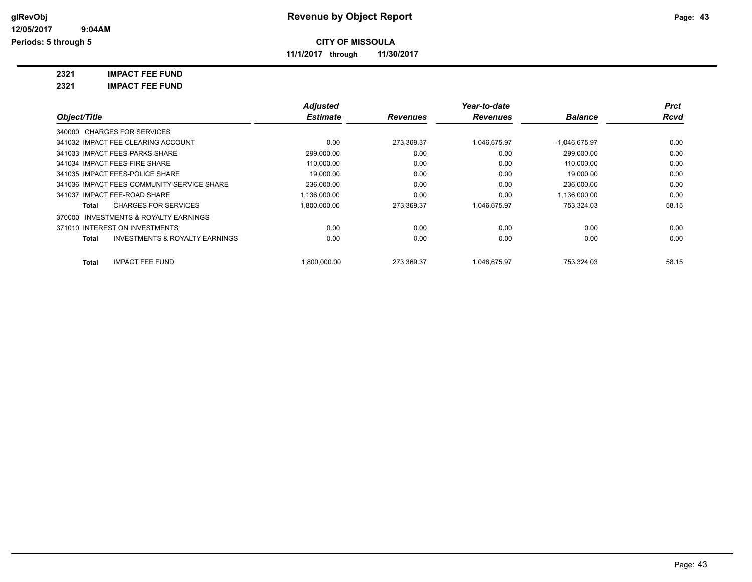**11/1/2017 through 11/30/2017**

**2321 IMPACT FEE FUND**

**2321 IMPACT FEE FUND**

|                                                    | <b>Adjusted</b> |                 | Year-to-date    |                 | <b>Prct</b> |
|----------------------------------------------------|-----------------|-----------------|-----------------|-----------------|-------------|
| Object/Title                                       | <b>Estimate</b> | <b>Revenues</b> | <b>Revenues</b> | <b>Balance</b>  | Rcvd        |
| 340000 CHARGES FOR SERVICES                        |                 |                 |                 |                 |             |
| 341032 IMPACT FEE CLEARING ACCOUNT                 | 0.00            | 273,369.37      | 1.046.675.97    | $-1,046,675.97$ | 0.00        |
| 341033 IMPACT FEES-PARKS SHARE                     | 299,000.00      | 0.00            | 0.00            | 299.000.00      | 0.00        |
| 341034 IMPACT FEES-FIRE SHARE                      | 110,000.00      | 0.00            | 0.00            | 110,000.00      | 0.00        |
| 341035 IMPACT FEES-POLICE SHARE                    | 19,000.00       | 0.00            | 0.00            | 19,000.00       | 0.00        |
| 341036 IMPACT FEES-COMMUNITY SERVICE SHARE         | 236,000.00      | 0.00            | 0.00            | 236,000.00      | 0.00        |
| 341037 IMPACT FEE-ROAD SHARE                       | 1,136,000.00    | 0.00            | 0.00            | 1,136,000.00    | 0.00        |
| <b>CHARGES FOR SERVICES</b><br>Total               | 1,800,000.00    | 273,369.37      | 1,046,675.97    | 753,324.03      | 58.15       |
| INVESTMENTS & ROYALTY EARNINGS<br>370000           |                 |                 |                 |                 |             |
| 371010 INTEREST ON INVESTMENTS                     | 0.00            | 0.00            | 0.00            | 0.00            | 0.00        |
| <b>INVESTMENTS &amp; ROYALTY EARNINGS</b><br>Total | 0.00            | 0.00            | 0.00            | 0.00            | 0.00        |
| <b>IMPACT FEE FUND</b><br>Total                    | .800.000.00     | 273.369.37      | 1.046.675.97    | 753.324.03      | 58.15       |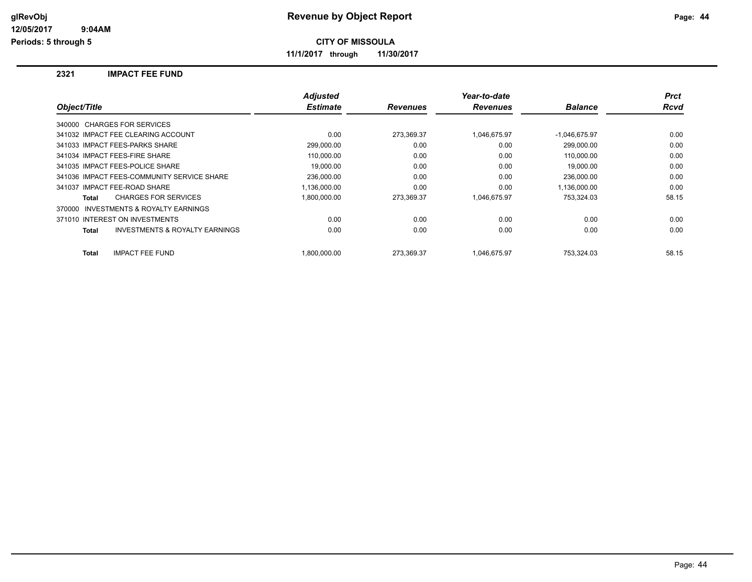**11/1/2017 through 11/30/2017**

#### **2321 IMPACT FEE FUND**

|                                                     | <b>Adjusted</b> |                 | Year-to-date    |                 | <b>Prct</b> |
|-----------------------------------------------------|-----------------|-----------------|-----------------|-----------------|-------------|
| Object/Title                                        | <b>Estimate</b> | <b>Revenues</b> | <b>Revenues</b> | <b>Balance</b>  | <b>Rcvd</b> |
| 340000 CHARGES FOR SERVICES                         |                 |                 |                 |                 |             |
| 341032 IMPACT FEE CLEARING ACCOUNT                  | 0.00            | 273,369.37      | 1.046.675.97    | $-1,046,675.97$ | 0.00        |
| 341033 IMPACT FEES-PARKS SHARE                      | 299,000.00      | 0.00            | 0.00            | 299,000.00      | 0.00        |
| 341034 IMPACT FEES-FIRE SHARE                       | 110.000.00      | 0.00            | 0.00            | 110,000.00      | 0.00        |
| 341035 IMPACT FEES-POLICE SHARE                     | 19,000.00       | 0.00            | 0.00            | 19,000.00       | 0.00        |
| 341036 IMPACT FEES-COMMUNITY SERVICE SHARE          | 236,000.00      | 0.00            | 0.00            | 236.000.00      | 0.00        |
| 341037 IMPACT FEE-ROAD SHARE                        | 1,136,000.00    | 0.00            | 0.00            | 1,136,000.00    | 0.00        |
| <b>CHARGES FOR SERVICES</b><br>Total                | 1.800.000.00    | 273,369.37      | 1.046.675.97    | 753.324.03      | 58.15       |
| <b>INVESTMENTS &amp; ROYALTY EARNINGS</b><br>370000 |                 |                 |                 |                 |             |
| 371010 INTEREST ON INVESTMENTS                      | 0.00            | 0.00            | 0.00            | 0.00            | 0.00        |
| <b>INVESTMENTS &amp; ROYALTY EARNINGS</b><br>Total  | 0.00            | 0.00            | 0.00            | 0.00            | 0.00        |
| <b>IMPACT FEE FUND</b><br>Total                     | 1,800,000.00    | 273.369.37      | 1,046,675.97    | 753,324.03      | 58.15       |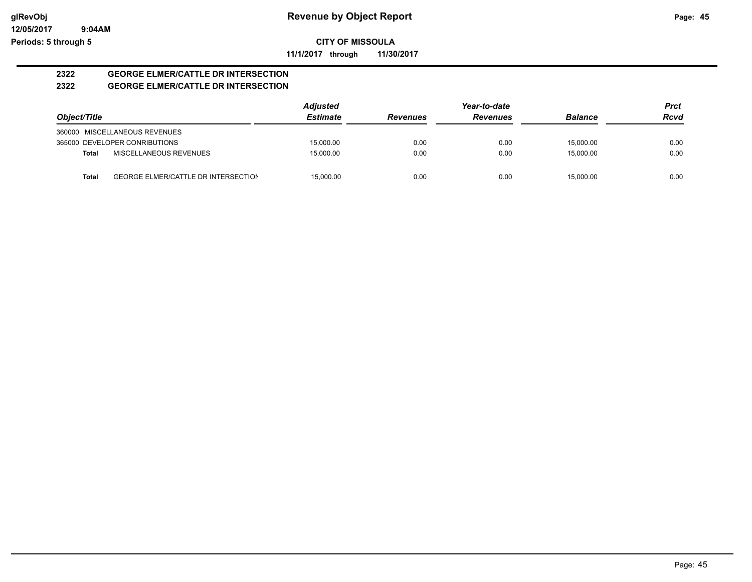#### **12/05/2017 9:04AM Periods: 5 through 5**

**CITY OF MISSOULA**

**11/1/2017 through 11/30/2017**

#### **2322 GEORGE ELMER/CATTLE DR INTERSECTION 2322 GEORGE ELMER/CATTLE DR INTERSECTION**

|              |                                            | <b>Adjusted</b> |                 | Year-to-date    |                | Prct |
|--------------|--------------------------------------------|-----------------|-----------------|-----------------|----------------|------|
| Object/Title |                                            | <b>Estimate</b> | <b>Revenues</b> | <b>Revenues</b> | <b>Balance</b> | Rcvd |
|              | 360000 MISCELLANEOUS REVENUES              |                 |                 |                 |                |      |
|              | 365000 DEVELOPER CONRIBUTIONS              | 15.000.00       | 0.00            | 0.00            | 15.000.00      | 0.00 |
| <b>Total</b> | MISCELLANEOUS REVENUES                     | 15.000.00       | 0.00            | 0.00            | 15.000.00      | 0.00 |
| <b>Total</b> | <b>GEORGE ELMER/CATTLE DR INTERSECTION</b> | 15,000.00       | 0.00            | 0.00            | 15.000.00      | 0.00 |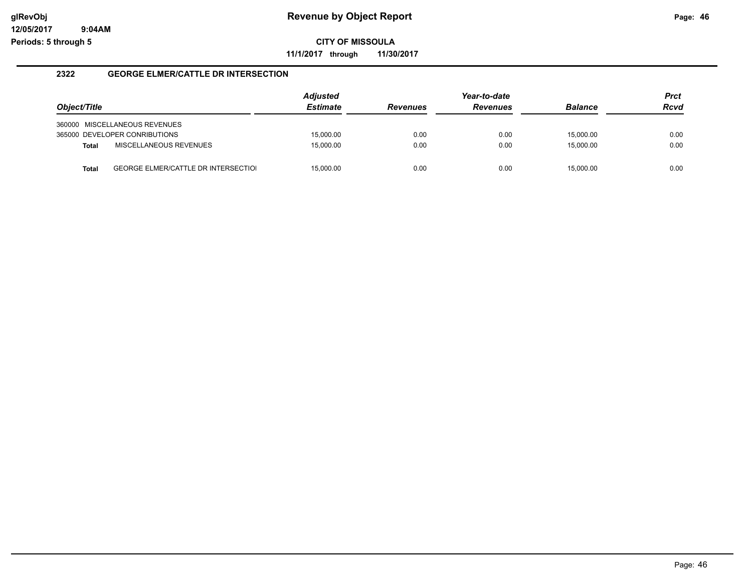**11/1/2017 through 11/30/2017**

#### **2322 GEORGE ELMER/CATTLE DR INTERSECTION**

| Object/Title |                                            | Adjusted<br><b>Estimate</b> | <b>Revenues</b> | Year-to-date<br><b>Revenues</b> | <b>Balance</b> | <b>Prct</b><br><b>Rcvd</b> |
|--------------|--------------------------------------------|-----------------------------|-----------------|---------------------------------|----------------|----------------------------|
|              | 360000 MISCELLANEOUS REVENUES              |                             |                 |                                 |                |                            |
|              | 365000 DEVELOPER CONRIBUTIONS              | 15.000.00                   | 0.00            | 0.00                            | 15.000.00      | 0.00                       |
| <b>Total</b> | MISCELLANEOUS REVENUES                     | 15.000.00                   | 0.00            | 0.00                            | 15.000.00      | 0.00                       |
|              |                                            |                             |                 |                                 |                |                            |
| <b>Total</b> | <b>GEORGE ELMER/CATTLE DR INTERSECTIOL</b> | 15.000.00                   | 0.00            | 0.00                            | 15.000.00      | 0.00                       |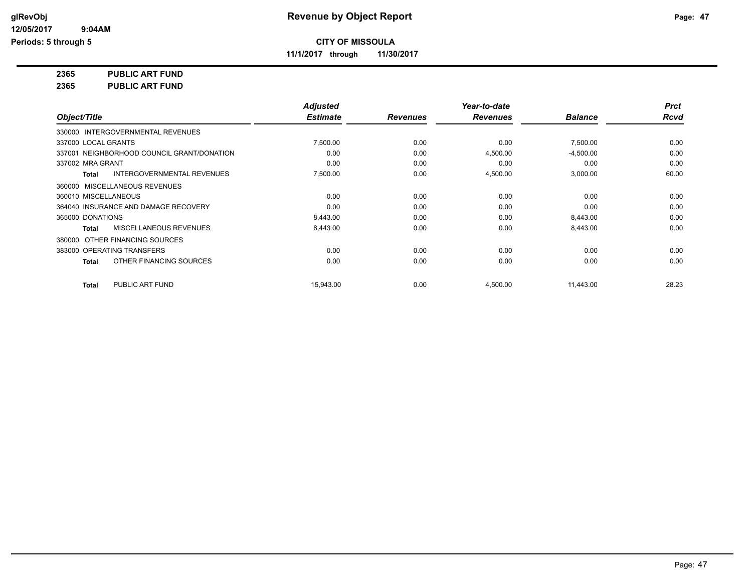**11/1/2017 through 11/30/2017**

**2365 PUBLIC ART FUND**

**2365 PUBLIC ART FUND**

|                                                   | <b>Adjusted</b> |                 | Year-to-date    |                | <b>Prct</b> |
|---------------------------------------------------|-----------------|-----------------|-----------------|----------------|-------------|
| Object/Title                                      | <b>Estimate</b> | <b>Revenues</b> | <b>Revenues</b> | <b>Balance</b> | <b>Rcvd</b> |
| 330000 INTERGOVERNMENTAL REVENUES                 |                 |                 |                 |                |             |
| 337000 LOCAL GRANTS                               | 7,500.00        | 0.00            | 0.00            | 7,500.00       | 0.00        |
| 337001 NEIGHBORHOOD COUNCIL GRANT/DONATION        | 0.00            | 0.00            | 4,500.00        | $-4,500.00$    | 0.00        |
| 337002 MRA GRANT                                  | 0.00            | 0.00            | 0.00            | 0.00           | 0.00        |
| <b>INTERGOVERNMENTAL REVENUES</b><br><b>Total</b> | 7,500.00        | 0.00            | 4,500.00        | 3,000.00       | 60.00       |
| 360000 MISCELLANEOUS REVENUES                     |                 |                 |                 |                |             |
| 360010 MISCELLANEOUS                              | 0.00            | 0.00            | 0.00            | 0.00           | 0.00        |
| 364040 INSURANCE AND DAMAGE RECOVERY              | 0.00            | 0.00            | 0.00            | 0.00           | 0.00        |
| 365000 DONATIONS                                  | 8,443.00        | 0.00            | 0.00            | 8,443.00       | 0.00        |
| MISCELLANEOUS REVENUES<br><b>Total</b>            | 8,443.00        | 0.00            | 0.00            | 8,443.00       | 0.00        |
| OTHER FINANCING SOURCES<br>380000                 |                 |                 |                 |                |             |
| 383000 OPERATING TRANSFERS                        | 0.00            | 0.00            | 0.00            | 0.00           | 0.00        |
| OTHER FINANCING SOURCES<br><b>Total</b>           | 0.00            | 0.00            | 0.00            | 0.00           | 0.00        |
| PUBLIC ART FUND<br><b>Total</b>                   | 15.943.00       | 0.00            | 4,500.00        | 11,443.00      | 28.23       |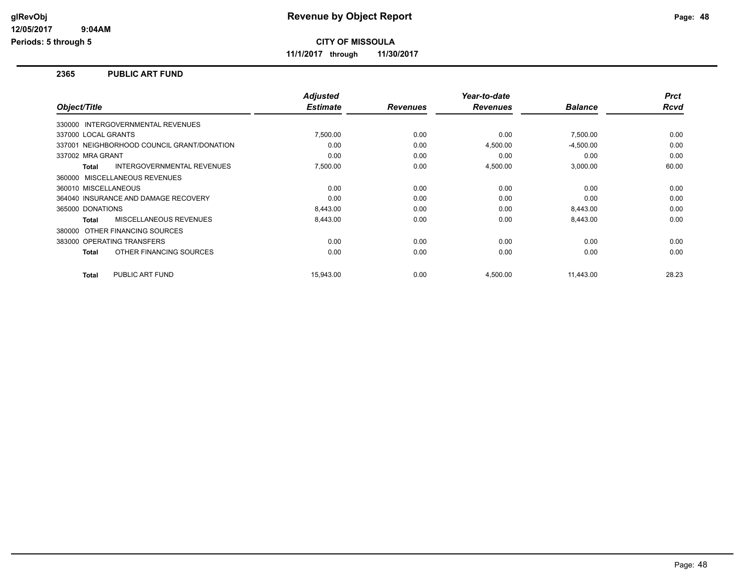**11/1/2017 through 11/30/2017**

#### **2365 PUBLIC ART FUND**

|                                               | <b>Adjusted</b> |                 | Year-to-date    |                | <b>Prct</b> |
|-----------------------------------------------|-----------------|-----------------|-----------------|----------------|-------------|
| Object/Title                                  | <b>Estimate</b> | <b>Revenues</b> | <b>Revenues</b> | <b>Balance</b> | Rcvd        |
| 330000 INTERGOVERNMENTAL REVENUES             |                 |                 |                 |                |             |
| 337000 LOCAL GRANTS                           | 7,500.00        | 0.00            | 0.00            | 7,500.00       | 0.00        |
| 337001 NEIGHBORHOOD COUNCIL GRANT/DONATION    | 0.00            | 0.00            | 4,500.00        | $-4,500.00$    | 0.00        |
| 337002 MRA GRANT                              | 0.00            | 0.00            | 0.00            | 0.00           | 0.00        |
| INTERGOVERNMENTAL REVENUES<br><b>Total</b>    | 7,500.00        | 0.00            | 4,500.00        | 3,000.00       | 60.00       |
| 360000 MISCELLANEOUS REVENUES                 |                 |                 |                 |                |             |
| 360010 MISCELLANEOUS                          | 0.00            | 0.00            | 0.00            | 0.00           | 0.00        |
| 364040 INSURANCE AND DAMAGE RECOVERY          | 0.00            | 0.00            | 0.00            | 0.00           | 0.00        |
| 365000 DONATIONS                              | 8,443.00        | 0.00            | 0.00            | 8,443.00       | 0.00        |
| <b>MISCELLANEOUS REVENUES</b><br><b>Total</b> | 8,443.00        | 0.00            | 0.00            | 8,443.00       | 0.00        |
| 380000 OTHER FINANCING SOURCES                |                 |                 |                 |                |             |
| 383000 OPERATING TRANSFERS                    | 0.00            | 0.00            | 0.00            | 0.00           | 0.00        |
| OTHER FINANCING SOURCES<br><b>Total</b>       | 0.00            | 0.00            | 0.00            | 0.00           | 0.00        |
| PUBLIC ART FUND<br><b>Total</b>               | 15,943.00       | 0.00            | 4,500.00        | 11,443.00      | 28.23       |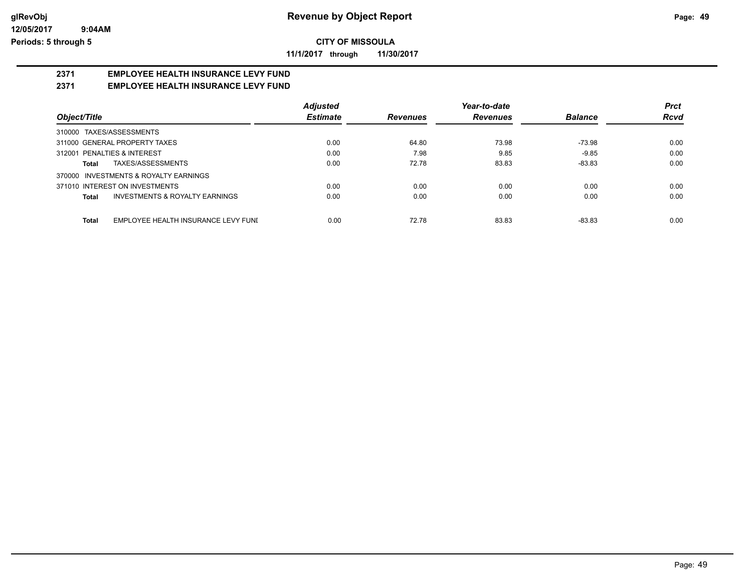**11/1/2017 through 11/30/2017**

# **2371 EMPLOYEE HEALTH INSURANCE LEVY FUND**

## **2371 EMPLOYEE HEALTH INSURANCE LEVY FUND**

|                                              | <b>Adjusted</b> |                 | Year-to-date    |                | <b>Prct</b> |
|----------------------------------------------|-----------------|-----------------|-----------------|----------------|-------------|
| Object/Title                                 | <b>Estimate</b> | <b>Revenues</b> | <b>Revenues</b> | <b>Balance</b> | <b>Rcvd</b> |
| 310000 TAXES/ASSESSMENTS                     |                 |                 |                 |                |             |
| 311000 GENERAL PROPERTY TAXES                | 0.00            | 64.80           | 73.98           | $-73.98$       | 0.00        |
| 312001 PENALTIES & INTEREST                  | 0.00            | 7.98            | 9.85            | $-9.85$        | 0.00        |
| TAXES/ASSESSMENTS<br>Total                   | 0.00            | 72.78           | 83.83           | $-83.83$       | 0.00        |
| 370000 INVESTMENTS & ROYALTY EARNINGS        |                 |                 |                 |                |             |
| 371010 INTEREST ON INVESTMENTS               | 0.00            | 0.00            | 0.00            | 0.00           | 0.00        |
| INVESTMENTS & ROYALTY EARNINGS<br>Total      | 0.00            | 0.00            | 0.00            | 0.00           | 0.00        |
|                                              |                 |                 |                 |                |             |
| EMPLOYEE HEALTH INSURANCE LEVY FUNI<br>Total | 0.00            | 72.78           | 83.83           | $-83.83$       | 0.00        |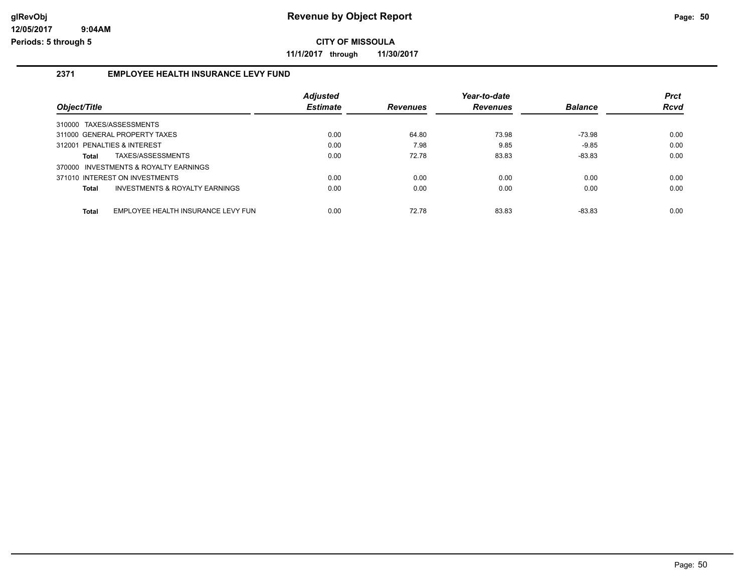**11/1/2017 through 11/30/2017**

#### **2371 EMPLOYEE HEALTH INSURANCE LEVY FUND**

|                                                    | <b>Adjusted</b> |                 | Year-to-date    |                | <b>Prct</b> |
|----------------------------------------------------|-----------------|-----------------|-----------------|----------------|-------------|
| Object/Title                                       | <b>Estimate</b> | <b>Revenues</b> | <b>Revenues</b> | <b>Balance</b> | <b>Rcvd</b> |
| 310000 TAXES/ASSESSMENTS                           |                 |                 |                 |                |             |
| 311000 GENERAL PROPERTY TAXES                      | 0.00            | 64.80           | 73.98           | $-73.98$       | 0.00        |
| 312001 PENALTIES & INTEREST                        | 0.00            | 7.98            | 9.85            | $-9.85$        | 0.00        |
| TAXES/ASSESSMENTS<br>Total                         | 0.00            | 72.78           | 83.83           | $-83.83$       | 0.00        |
| 370000 INVESTMENTS & ROYALTY EARNINGS              |                 |                 |                 |                |             |
| 371010 INTEREST ON INVESTMENTS                     | 0.00            | 0.00            | 0.00            | 0.00           | 0.00        |
| <b>INVESTMENTS &amp; ROYALTY EARNINGS</b><br>Total | 0.00            | 0.00            | 0.00            | 0.00           | 0.00        |
|                                                    |                 |                 |                 |                |             |
| Total<br>EMPLOYEE HEALTH INSURANCE LEVY FUN        | 0.00            | 72.78           | 83.83           | $-83.83$       | 0.00        |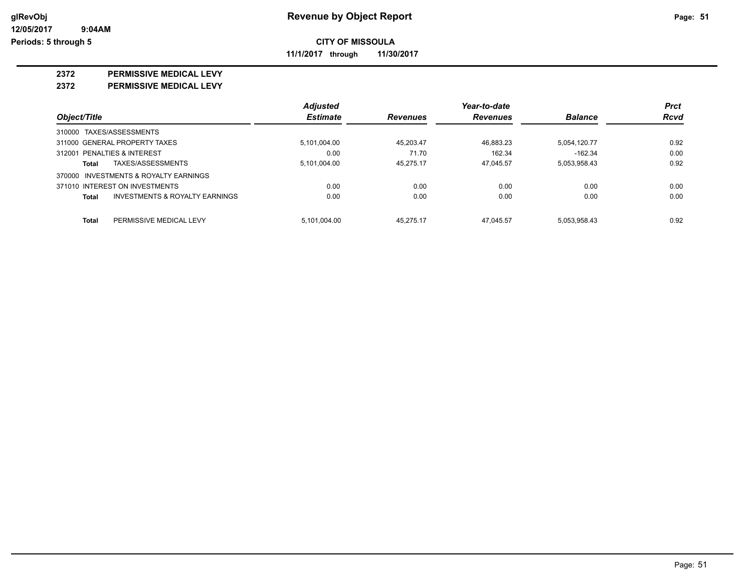**11/1/2017 through 11/30/2017**

**2372 PERMISSIVE MEDICAL LEVY**

**2372 PERMISSIVE MEDICAL LEVY**

|                                                    | <b>Adjusted</b> |                 | Year-to-date    |                | <b>Prct</b> |
|----------------------------------------------------|-----------------|-----------------|-----------------|----------------|-------------|
| Object/Title                                       | <b>Estimate</b> | <b>Revenues</b> | <b>Revenues</b> | <b>Balance</b> | Rcvd        |
| 310000 TAXES/ASSESSMENTS                           |                 |                 |                 |                |             |
| 311000 GENERAL PROPERTY TAXES                      | 5,101,004.00    | 45,203.47       | 46.883.23       | 5,054,120.77   | 0.92        |
| 312001 PENALTIES & INTEREST                        | 0.00            | 71.70           | 162.34          | $-162.34$      | 0.00        |
| TAXES/ASSESSMENTS<br>Total                         | 5.101.004.00    | 45.275.17       | 47.045.57       | 5.053.958.43   | 0.92        |
| 370000 INVESTMENTS & ROYALTY EARNINGS              |                 |                 |                 |                |             |
| 371010 INTEREST ON INVESTMENTS                     | 0.00            | 0.00            | 0.00            | 0.00           | 0.00        |
| <b>INVESTMENTS &amp; ROYALTY EARNINGS</b><br>Total | 0.00            | 0.00            | 0.00            | 0.00           | 0.00        |
| PERMISSIVE MEDICAL LEVY<br>Total                   | 5.101.004.00    | 45.275.17       | 47.045.57       | 5.053.958.43   | 0.92        |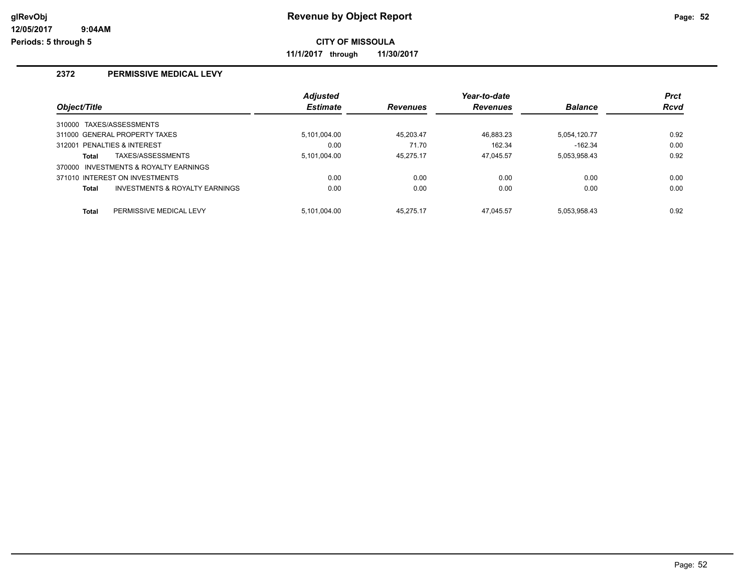**11/1/2017 through 11/30/2017**

#### **2372 PERMISSIVE MEDICAL LEVY**

|              |                                | <b>Adjusted</b> |                 | Year-to-date   |              | <b>Prct</b> |
|--------------|--------------------------------|-----------------|-----------------|----------------|--------------|-------------|
| Object/Title | <b>Estimate</b>                | <b>Revenues</b> | <b>Revenues</b> | <b>Balance</b> | <b>Rcvd</b>  |             |
|              | 310000 TAXES/ASSESSMENTS       |                 |                 |                |              |             |
|              | 311000 GENERAL PROPERTY TAXES  | 5,101,004.00    | 45,203.47       | 46.883.23      | 5,054,120.77 | 0.92        |
|              | 312001 PENALTIES & INTEREST    | 0.00            | 71.70           | 162.34         | $-162.34$    | 0.00        |
| Total        | TAXES/ASSESSMENTS              | 5,101,004.00    | 45.275.17       | 47.045.57      | 5,053,958.43 | 0.92        |
| 370000       | INVESTMENTS & ROYALTY EARNINGS |                 |                 |                |              |             |
|              | 371010 INTEREST ON INVESTMENTS | 0.00            | 0.00            | 0.00           | 0.00         | 0.00        |
| <b>Total</b> | INVESTMENTS & ROYALTY EARNINGS | 0.00            | 0.00            | 0.00           | 0.00         | 0.00        |
|              |                                |                 |                 |                |              |             |
| <b>Total</b> | PERMISSIVE MEDICAL LEVY        | 5,101,004.00    | 45.275.17       | 47.045.57      | 5,053,958.43 | 0.92        |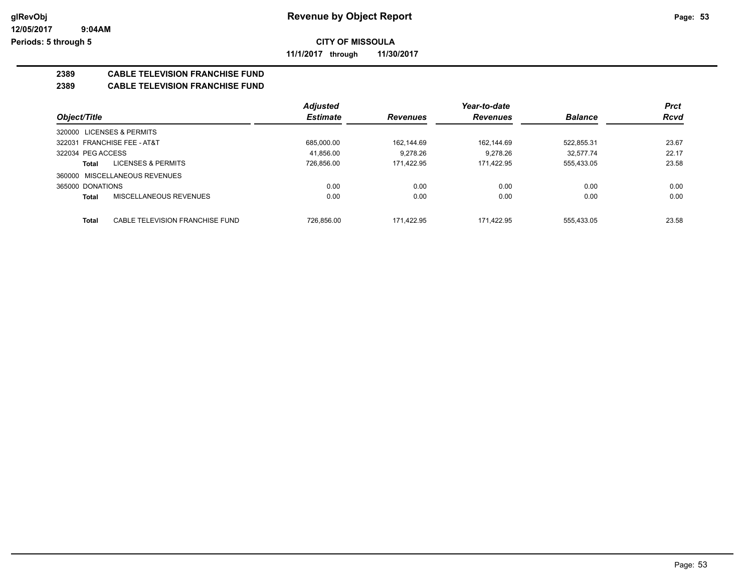**11/1/2017 through 11/30/2017**

#### **2389 CABLE TELEVISION FRANCHISE FUND 2389 CABLE TELEVISION FRANCHISE FUND**

# *Adjusted*

|                             |                                 | <b>Adjusted</b> |                 | Year-to-date    |                | <b>Prct</b> |
|-----------------------------|---------------------------------|-----------------|-----------------|-----------------|----------------|-------------|
| Object/Title                |                                 | <b>Estimate</b> | <b>Revenues</b> | <b>Revenues</b> | <b>Balance</b> | Rcvd        |
| 320000 LICENSES & PERMITS   |                                 |                 |                 |                 |                |             |
| 322031 FRANCHISE FEE - AT&T |                                 | 685.000.00      | 162.144.69      | 162.144.69      | 522.855.31     | 23.67       |
| 322034 PEG ACCESS           |                                 | 41.856.00       | 9.278.26        | 9.278.26        | 32.577.74      | 22.17       |
| Total                       | <b>LICENSES &amp; PERMITS</b>   | 726,856.00      | 171.422.95      | 171.422.95      | 555,433.05     | 23.58       |
|                             | 360000 MISCELLANEOUS REVENUES   |                 |                 |                 |                |             |
| 365000 DONATIONS            |                                 | 0.00            | 0.00            | 0.00            | 0.00           | 0.00        |
| <b>Total</b>                | MISCELLANEOUS REVENUES          | 0.00            | 0.00            | 0.00            | 0.00           | 0.00        |
| <b>Total</b>                | CABLE TELEVISION FRANCHISE FUND | 726.856.00      | 171.422.95      | 171.422.95      | 555.433.05     | 23.58       |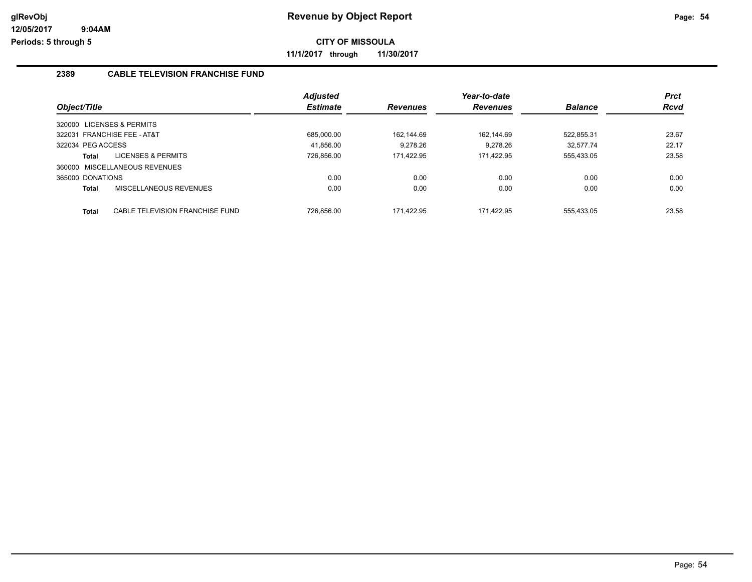**11/1/2017 through 11/30/2017**

#### **2389 CABLE TELEVISION FRANCHISE FUND**

|                                          | <b>Adjusted</b> |                 | Year-to-date    |                | <b>Prct</b> |
|------------------------------------------|-----------------|-----------------|-----------------|----------------|-------------|
| Object/Title                             | <b>Estimate</b> | <b>Revenues</b> | <b>Revenues</b> | <b>Balance</b> | <b>Rcvd</b> |
| 320000 LICENSES & PERMITS                |                 |                 |                 |                |             |
| 322031 FRANCHISE FEE - AT&T              | 685.000.00      | 162.144.69      | 162.144.69      | 522,855.31     | 23.67       |
| 322034 PEG ACCESS                        | 41.856.00       | 9.278.26        | 9.278.26        | 32.577.74      | 22.17       |
| LICENSES & PERMITS<br>Total              | 726.856.00      | 171.422.95      | 171.422.95      | 555,433.05     | 23.58       |
| 360000 MISCELLANEOUS REVENUES            |                 |                 |                 |                |             |
| 365000 DONATIONS                         | 0.00            | 0.00            | 0.00            | 0.00           | 0.00        |
| MISCELLANEOUS REVENUES<br>Total          | 0.00            | 0.00            | 0.00            | 0.00           | 0.00        |
|                                          |                 |                 |                 |                |             |
| Total<br>CABLE TELEVISION FRANCHISE FUND | 726,856.00      | 171.422.95      | 171.422.95      | 555.433.05     | 23.58       |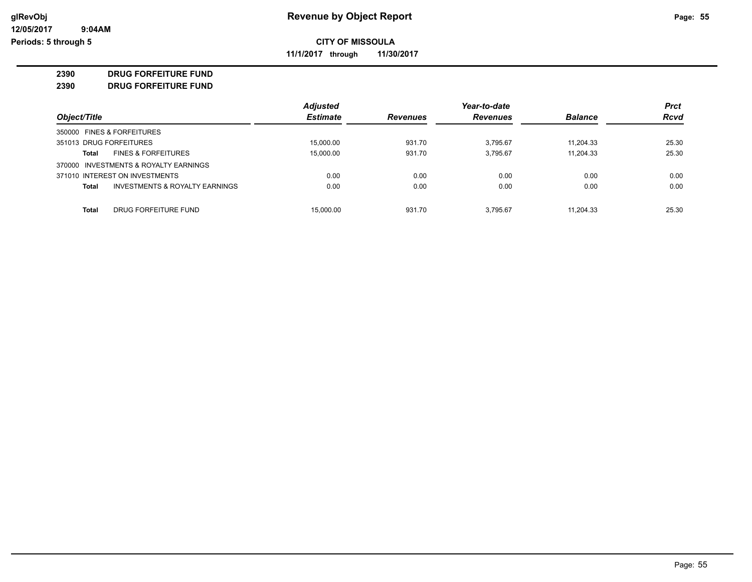**11/1/2017 through 11/30/2017**

#### **2390 DRUG FORFEITURE FUND**

**2390 DRUG FORFEITURE FUND**

|                                                           | <b>Adjusted</b> |                 | Year-to-date    |                | <b>Prct</b> |
|-----------------------------------------------------------|-----------------|-----------------|-----------------|----------------|-------------|
| Object/Title                                              | <b>Estimate</b> | <b>Revenues</b> | <b>Revenues</b> | <b>Balance</b> | <b>Rcvd</b> |
| 350000 FINES & FORFEITURES                                |                 |                 |                 |                |             |
| 351013 DRUG FORFEITURES                                   | 15.000.00       | 931.70          | 3.795.67        | 11.204.33      | 25.30       |
| <b>FINES &amp; FORFEITURES</b><br><b>Total</b>            | 15.000.00       | 931.70          | 3,795.67        | 11,204.33      | 25.30       |
| 370000 INVESTMENTS & ROYALTY EARNINGS                     |                 |                 |                 |                |             |
| 371010 INTEREST ON INVESTMENTS                            | 0.00            | 0.00            | 0.00            | 0.00           | 0.00        |
| <b>INVESTMENTS &amp; ROYALTY EARNINGS</b><br><b>Total</b> | 0.00            | 0.00            | 0.00            | 0.00           | 0.00        |
| DRUG FORFEITURE FUND<br><b>Total</b>                      | 15.000.00       | 931.70          | 3.795.67        | 11.204.33      | 25.30       |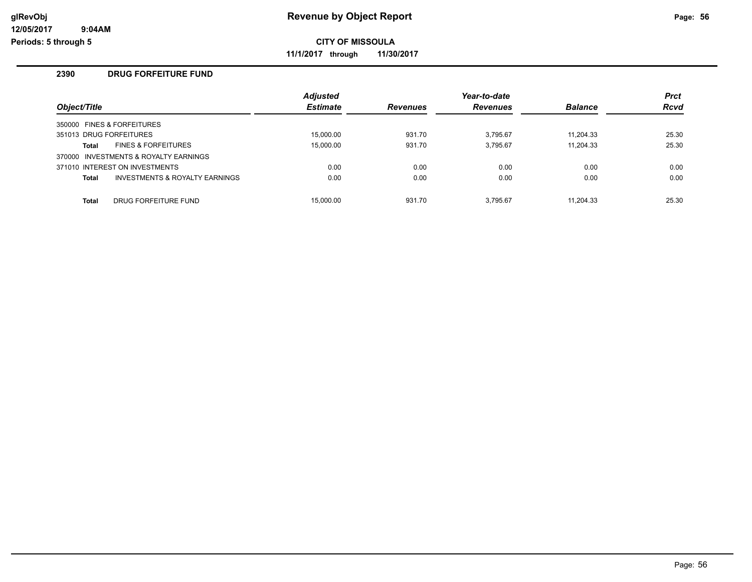**11/1/2017 through 11/30/2017**

#### **2390 DRUG FORFEITURE FUND**

| Object/Title |                                       | <b>Adjusted</b><br><b>Estimate</b> | <b>Revenues</b> | Year-to-date<br><b>Revenues</b> | <b>Balance</b> | <b>Prct</b><br><b>Rcvd</b> |
|--------------|---------------------------------------|------------------------------------|-----------------|---------------------------------|----------------|----------------------------|
|              | 350000 FINES & FORFEITURES            |                                    |                 |                                 |                |                            |
|              | 351013 DRUG FORFEITURES               | 15.000.00                          | 931.70          | 3.795.67                        | 11.204.33      | 25.30                      |
| <b>Total</b> | <b>FINES &amp; FORFEITURES</b>        | 15.000.00                          | 931.70          | 3.795.67                        | 11.204.33      | 25.30                      |
|              | 370000 INVESTMENTS & ROYALTY EARNINGS |                                    |                 |                                 |                |                            |
|              | 371010 INTEREST ON INVESTMENTS        | 0.00                               | 0.00            | 0.00                            | 0.00           | 0.00                       |
| <b>Total</b> | INVESTMENTS & ROYALTY EARNINGS        | 0.00                               | 0.00            | 0.00                            | 0.00           | 0.00                       |
| <b>Total</b> | DRUG FORFEITURE FUND                  | 15.000.00                          | 931.70          | 3.795.67                        | 11.204.33      | 25.30                      |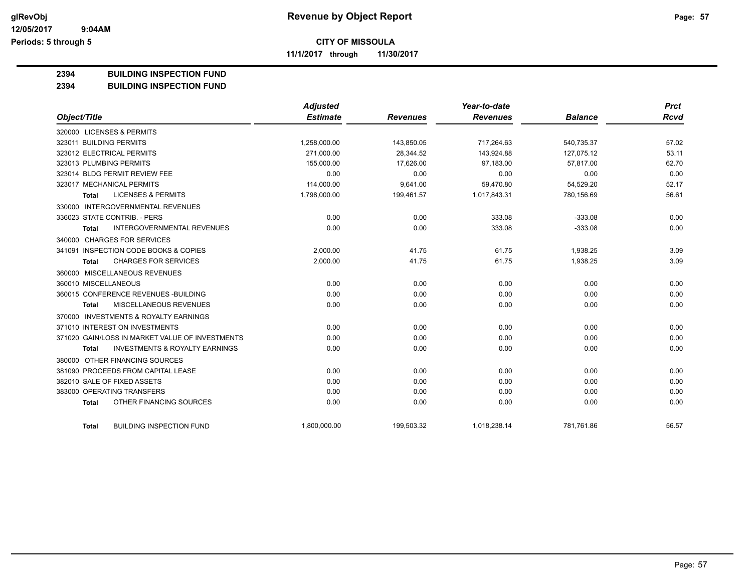**11/1/2017 through 11/30/2017**

#### **2394 BUILDING INSPECTION FUND**

#### **2394 BUILDING INSPECTION FUND**

|                                                           | Adjusted        |                 | Year-to-date    |                | <b>Prct</b> |
|-----------------------------------------------------------|-----------------|-----------------|-----------------|----------------|-------------|
| Object/Title                                              | <b>Estimate</b> | <b>Revenues</b> | <b>Revenues</b> | <b>Balance</b> | Rcvd        |
| 320000 LICENSES & PERMITS                                 |                 |                 |                 |                |             |
| 323011 BUILDING PERMITS                                   | 1,258,000.00    | 143,850.05      | 717,264.63      | 540,735.37     | 57.02       |
| 323012 ELECTRICAL PERMITS                                 | 271,000.00      | 28,344.52       | 143,924.88      | 127,075.12     | 53.11       |
| 323013 PLUMBING PERMITS                                   | 155,000.00      | 17,626.00       | 97,183.00       | 57.817.00      | 62.70       |
| 323014 BLDG PERMIT REVIEW FEE                             | 0.00            | 0.00            | 0.00            | 0.00           | 0.00        |
| 323017 MECHANICAL PERMITS                                 | 114,000.00      | 9,641.00        | 59,470.80       | 54,529.20      | 52.17       |
| <b>LICENSES &amp; PERMITS</b><br><b>Total</b>             | 1,798,000.00    | 199,461.57      | 1,017,843.31    | 780,156.69     | 56.61       |
| 330000 INTERGOVERNMENTAL REVENUES                         |                 |                 |                 |                |             |
| 336023 STATE CONTRIB. - PERS                              | 0.00            | 0.00            | 333.08          | $-333.08$      | 0.00        |
| <b>INTERGOVERNMENTAL REVENUES</b><br><b>Total</b>         | 0.00            | 0.00            | 333.08          | $-333.08$      | 0.00        |
| 340000 CHARGES FOR SERVICES                               |                 |                 |                 |                |             |
| 341091 INSPECTION CODE BOOKS & COPIES                     | 2,000.00        | 41.75           | 61.75           | 1,938.25       | 3.09        |
| <b>CHARGES FOR SERVICES</b><br>Total                      | 2,000.00        | 41.75           | 61.75           | 1,938.25       | 3.09        |
| 360000 MISCELLANEOUS REVENUES                             |                 |                 |                 |                |             |
| 360010 MISCELLANEOUS                                      | 0.00            | 0.00            | 0.00            | 0.00           | 0.00        |
| 360015 CONFERENCE REVENUES - BUILDING                     | 0.00            | 0.00            | 0.00            | 0.00           | 0.00        |
| MISCELLANEOUS REVENUES<br><b>Total</b>                    | 0.00            | 0.00            | 0.00            | 0.00           | 0.00        |
| 370000 INVESTMENTS & ROYALTY EARNINGS                     |                 |                 |                 |                |             |
| 371010 INTEREST ON INVESTMENTS                            | 0.00            | 0.00            | 0.00            | 0.00           | 0.00        |
| 371020 GAIN/LOSS IN MARKET VALUE OF INVESTMENTS           | 0.00            | 0.00            | 0.00            | 0.00           | 0.00        |
| <b>INVESTMENTS &amp; ROYALTY EARNINGS</b><br><b>Total</b> | 0.00            | 0.00            | 0.00            | 0.00           | 0.00        |
| 380000 OTHER FINANCING SOURCES                            |                 |                 |                 |                |             |
| 381090 PROCEEDS FROM CAPITAL LEASE                        | 0.00            | 0.00            | 0.00            | 0.00           | 0.00        |
| 382010 SALE OF FIXED ASSETS                               | 0.00            | 0.00            | 0.00            | 0.00           | 0.00        |
| 383000 OPERATING TRANSFERS                                | 0.00            | 0.00            | 0.00            | 0.00           | 0.00        |
| OTHER FINANCING SOURCES<br><b>Total</b>                   | 0.00            | 0.00            | 0.00            | 0.00           | 0.00        |
| <b>BUILDING INSPECTION FUND</b><br><b>Total</b>           | 1,800,000.00    | 199,503.32      | 1,018,238.14    | 781,761.86     | 56.57       |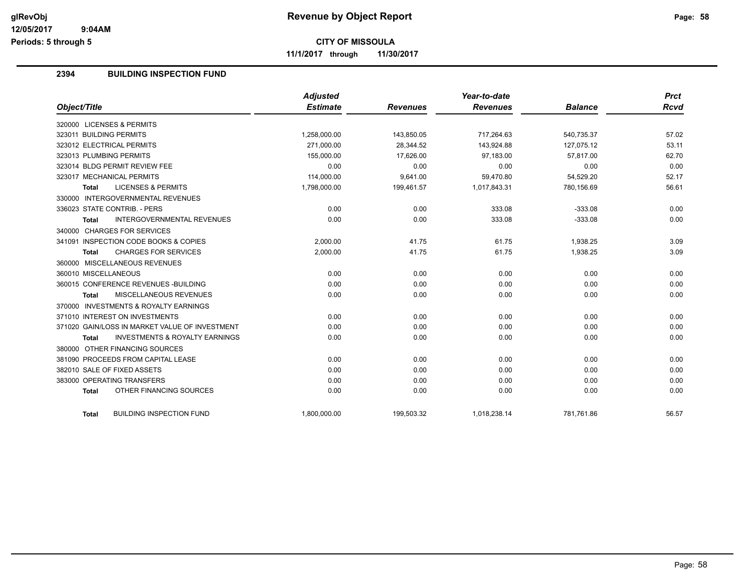**11/1/2017 through 11/30/2017**

#### **2394 BUILDING INSPECTION FUND**

|                                                           | <b>Adjusted</b> |                 | Year-to-date    |                | <b>Prct</b> |
|-----------------------------------------------------------|-----------------|-----------------|-----------------|----------------|-------------|
| Object/Title                                              | <b>Estimate</b> | <b>Revenues</b> | <b>Revenues</b> | <b>Balance</b> | <b>Rcvd</b> |
| 320000 LICENSES & PERMITS                                 |                 |                 |                 |                |             |
| 323011 BUILDING PERMITS                                   | 1,258,000.00    | 143,850.05      | 717,264.63      | 540,735.37     | 57.02       |
| 323012 ELECTRICAL PERMITS                                 | 271.000.00      | 28.344.52       | 143.924.88      | 127.075.12     | 53.11       |
| 323013 PLUMBING PERMITS                                   | 155,000.00      | 17,626.00       | 97,183.00       | 57,817.00      | 62.70       |
| 323014 BLDG PERMIT REVIEW FEE                             | 0.00            | 0.00            | 0.00            | 0.00           | 0.00        |
| 323017 MECHANICAL PERMITS                                 | 114,000.00      | 9,641.00        | 59,470.80       | 54,529.20      | 52.17       |
| <b>LICENSES &amp; PERMITS</b><br><b>Total</b>             | 1,798,000.00    | 199,461.57      | 1,017,843.31    | 780,156.69     | 56.61       |
| 330000 INTERGOVERNMENTAL REVENUES                         |                 |                 |                 |                |             |
| 336023 STATE CONTRIB. - PERS                              | 0.00            | 0.00            | 333.08          | $-333.08$      | 0.00        |
| INTERGOVERNMENTAL REVENUES<br>Total                       | 0.00            | 0.00            | 333.08          | $-333.08$      | 0.00        |
| 340000 CHARGES FOR SERVICES                               |                 |                 |                 |                |             |
| 341091 INSPECTION CODE BOOKS & COPIES                     | 2,000.00        | 41.75           | 61.75           | 1,938.25       | 3.09        |
| <b>CHARGES FOR SERVICES</b><br>Total                      | 2,000.00        | 41.75           | 61.75           | 1,938.25       | 3.09        |
| 360000 MISCELLANEOUS REVENUES                             |                 |                 |                 |                |             |
| 360010 MISCELLANEOUS                                      | 0.00            | 0.00            | 0.00            | 0.00           | 0.00        |
| 360015 CONFERENCE REVENUES - BUILDING                     | 0.00            | 0.00            | 0.00            | 0.00           | 0.00        |
| MISCELLANEOUS REVENUES<br><b>Total</b>                    | 0.00            | 0.00            | 0.00            | 0.00           | 0.00        |
| 370000 INVESTMENTS & ROYALTY EARNINGS                     |                 |                 |                 |                |             |
| 371010 INTEREST ON INVESTMENTS                            | 0.00            | 0.00            | 0.00            | 0.00           | 0.00        |
| 371020 GAIN/LOSS IN MARKET VALUE OF INVESTMENT            | 0.00            | 0.00            | 0.00            | 0.00           | 0.00        |
| <b>INVESTMENTS &amp; ROYALTY EARNINGS</b><br><b>Total</b> | 0.00            | 0.00            | 0.00            | 0.00           | 0.00        |
| 380000 OTHER FINANCING SOURCES                            |                 |                 |                 |                |             |
| 381090 PROCEEDS FROM CAPITAL LEASE                        | 0.00            | 0.00            | 0.00            | 0.00           | 0.00        |
| 382010 SALE OF FIXED ASSETS                               | 0.00            | 0.00            | 0.00            | 0.00           | 0.00        |
| 383000 OPERATING TRANSFERS                                | 0.00            | 0.00            | 0.00            | 0.00           | 0.00        |
| OTHER FINANCING SOURCES<br><b>Total</b>                   | 0.00            | 0.00            | 0.00            | 0.00           | 0.00        |
| <b>BUILDING INSPECTION FUND</b><br>Total                  | 1.800.000.00    | 199.503.32      | 1,018,238.14    | 781.761.86     | 56.57       |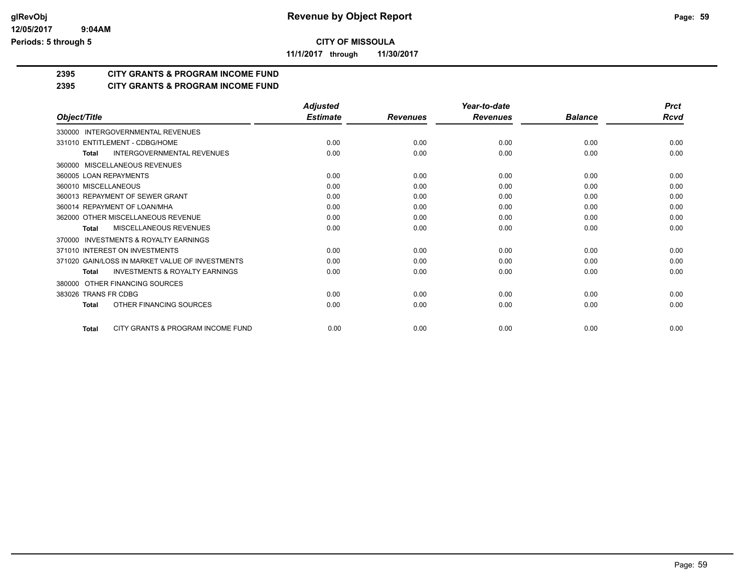**11/1/2017 through 11/30/2017**

## **2395 CITY GRANTS & PROGRAM INCOME FUND**

### **2395 CITY GRANTS & PROGRAM INCOME FUND**

|                                                           | <b>Adjusted</b> |                 | Year-to-date    |                | <b>Prct</b> |
|-----------------------------------------------------------|-----------------|-----------------|-----------------|----------------|-------------|
| Object/Title                                              | <b>Estimate</b> | <b>Revenues</b> | <b>Revenues</b> | <b>Balance</b> | Rcvd        |
| 330000 INTERGOVERNMENTAL REVENUES                         |                 |                 |                 |                |             |
| 331010 ENTITLEMENT - CDBG/HOME                            | 0.00            | 0.00            | 0.00            | 0.00           | 0.00        |
| <b>INTERGOVERNMENTAL REVENUES</b><br><b>Total</b>         | 0.00            | 0.00            | 0.00            | 0.00           | 0.00        |
| 360000 MISCELLANEOUS REVENUES                             |                 |                 |                 |                |             |
| 360005 LOAN REPAYMENTS                                    | 0.00            | 0.00            | 0.00            | 0.00           | 0.00        |
| 360010 MISCELLANEOUS                                      | 0.00            | 0.00            | 0.00            | 0.00           | 0.00        |
| 360013 REPAYMENT OF SEWER GRANT                           | 0.00            | 0.00            | 0.00            | 0.00           | 0.00        |
| 360014 REPAYMENT OF LOAN/MHA                              | 0.00            | 0.00            | 0.00            | 0.00           | 0.00        |
| 362000 OTHER MISCELLANEOUS REVENUE                        | 0.00            | 0.00            | 0.00            | 0.00           | 0.00        |
| <b>MISCELLANEOUS REVENUES</b><br><b>Total</b>             | 0.00            | 0.00            | 0.00            | 0.00           | 0.00        |
| INVESTMENTS & ROYALTY EARNINGS<br>370000                  |                 |                 |                 |                |             |
| 371010 INTEREST ON INVESTMENTS                            | 0.00            | 0.00            | 0.00            | 0.00           | 0.00        |
| 371020 GAIN/LOSS IN MARKET VALUE OF INVESTMENTS           | 0.00            | 0.00            | 0.00            | 0.00           | 0.00        |
| <b>INVESTMENTS &amp; ROYALTY EARNINGS</b><br><b>Total</b> | 0.00            | 0.00            | 0.00            | 0.00           | 0.00        |
| OTHER FINANCING SOURCES<br>380000                         |                 |                 |                 |                |             |
| 383026 TRANS FR CDBG                                      | 0.00            | 0.00            | 0.00            | 0.00           | 0.00        |
| OTHER FINANCING SOURCES<br><b>Total</b>                   | 0.00            | 0.00            | 0.00            | 0.00           | 0.00        |
| CITY GRANTS & PROGRAM INCOME FUND<br><b>Total</b>         | 0.00            | 0.00            | 0.00            | 0.00           | 0.00        |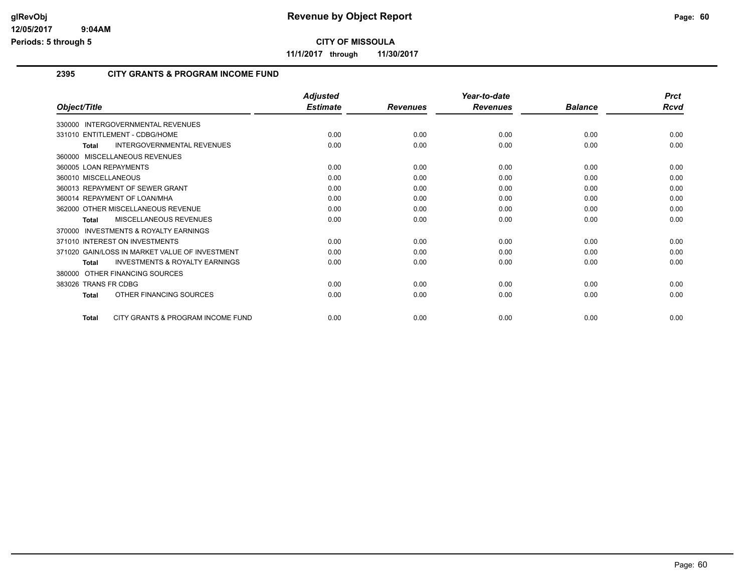**11/1/2017 through 11/30/2017**

#### **2395 CITY GRANTS & PROGRAM INCOME FUND**

| <b>Adjusted</b> |                 | Year-to-date    |                | <b>Prct</b> |
|-----------------|-----------------|-----------------|----------------|-------------|
| <b>Estimate</b> | <b>Revenues</b> | <b>Revenues</b> | <b>Balance</b> | <b>Rcvd</b> |
|                 |                 |                 |                |             |
| 0.00            | 0.00            | 0.00            | 0.00           | 0.00        |
| 0.00            | 0.00            | 0.00            | 0.00           | 0.00        |
|                 |                 |                 |                |             |
| 0.00            | 0.00            | 0.00            | 0.00           | 0.00        |
| 0.00            | 0.00            | 0.00            | 0.00           | 0.00        |
| 0.00            | 0.00            | 0.00            | 0.00           | 0.00        |
| 0.00            | 0.00            | 0.00            | 0.00           | 0.00        |
| 0.00            | 0.00            | 0.00            | 0.00           | 0.00        |
| 0.00            | 0.00            | 0.00            | 0.00           | 0.00        |
|                 |                 |                 |                |             |
| 0.00            | 0.00            | 0.00            | 0.00           | 0.00        |
| 0.00            | 0.00            | 0.00            | 0.00           | 0.00        |
| 0.00            | 0.00            | 0.00            | 0.00           | 0.00        |
|                 |                 |                 |                |             |
| 0.00            | 0.00            | 0.00            | 0.00           | 0.00        |
| 0.00            | 0.00            | 0.00            | 0.00           | 0.00        |
|                 |                 |                 |                | 0.00        |
|                 | 0.00            | 0.00            | 0.00           | 0.00        |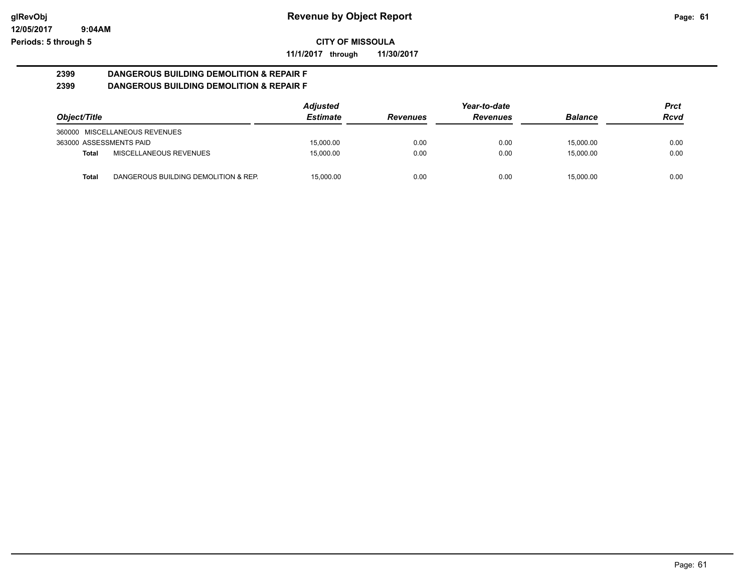**11/1/2017 through 11/30/2017**

#### **2399 DANGEROUS BUILDING DEMOLITION & REPAIR F 2399 DANGEROUS BUILDING DEMOLITION & REPAIR F**

|                         |                                      | <b>Adjusted</b> |                 | Year-to-date    |                | <b>Prct</b> |
|-------------------------|--------------------------------------|-----------------|-----------------|-----------------|----------------|-------------|
| Object/Title            |                                      | <b>Estimate</b> | <b>Revenues</b> | <b>Revenues</b> | <b>Balance</b> | <b>Rcvd</b> |
|                         | 360000 MISCELLANEOUS REVENUES        |                 |                 |                 |                |             |
| 363000 ASSESSMENTS PAID |                                      | 15,000.00       | 0.00            | 0.00            | 15,000.00      | 0.00        |
| Total                   | MISCELLANEOUS REVENUES               | 15.000.00       | 0.00            | 0.00            | 15.000.00      | 0.00        |
| <b>Total</b>            | DANGEROUS BUILDING DEMOLITION & REP. | 15.000.00       | 0.00            | 0.00            | 15,000.00      | 0.00        |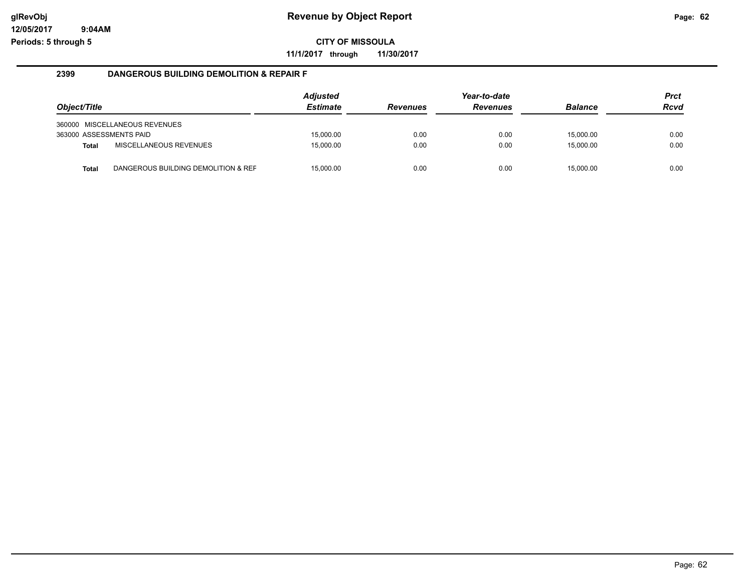**11/1/2017 through 11/30/2017**

#### **2399 DANGEROUS BUILDING DEMOLITION & REPAIR F**

|                         |                                     | <b>Adjusted</b> |                 | Year-to-date    |                | <b>Prct</b> |
|-------------------------|-------------------------------------|-----------------|-----------------|-----------------|----------------|-------------|
| Object/Title            |                                     | <b>Estimate</b> | <b>Revenues</b> | <b>Revenues</b> | <b>Balance</b> | <b>Rcvd</b> |
|                         | 360000 MISCELLANEOUS REVENUES       |                 |                 |                 |                |             |
| 363000 ASSESSMENTS PAID |                                     | 15.000.00       | 0.00            | 0.00            | 15.000.00      | 0.00        |
| <b>Total</b>            | MISCELLANEOUS REVENUES              | 15.000.00       | 0.00            | 0.00            | 15.000.00      | 0.00        |
| <b>Total</b>            | DANGEROUS BUILDING DEMOLITION & REF | 15.000.00       | 0.00            | 0.00            | 15.000.00      | 0.00        |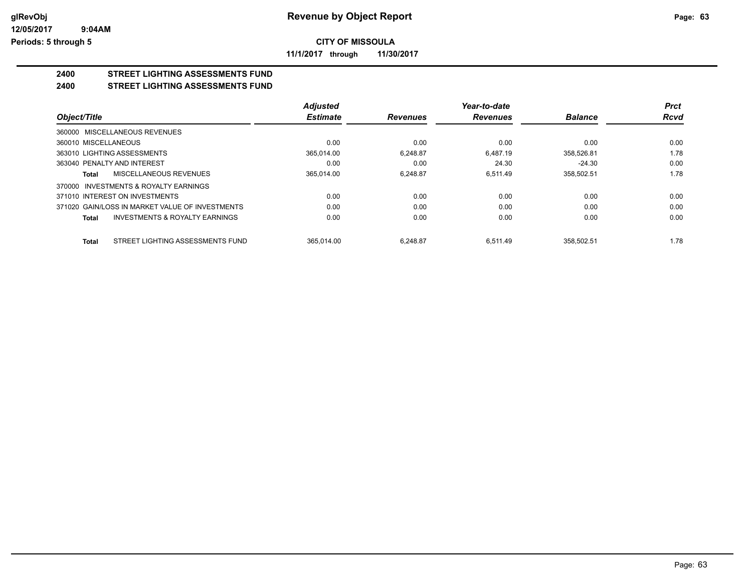**11/1/2017 through 11/30/2017**

#### **2400 STREET LIGHTING ASSESSMENTS FUND 2400 STREET LIGHTING ASSESSMENTS FUND**

|                                                    | <b>Adjusted</b> |                 | Year-to-date    |                | <b>Prct</b> |
|----------------------------------------------------|-----------------|-----------------|-----------------|----------------|-------------|
| Object/Title                                       | <b>Estimate</b> | <b>Revenues</b> | <b>Revenues</b> | <b>Balance</b> | <b>Rcvd</b> |
| 360000 MISCELLANEOUS REVENUES                      |                 |                 |                 |                |             |
| 360010 MISCELLANEOUS                               | 0.00            | 0.00            | 0.00            | 0.00           | 0.00        |
| 363010 LIGHTING ASSESSMENTS                        | 365.014.00      | 6.248.87        | 6.487.19        | 358.526.81     | 1.78        |
| 363040 PENALTY AND INTEREST                        | 0.00            | 0.00            | 24.30           | $-24.30$       | 0.00        |
| MISCELLANEOUS REVENUES<br>Total                    | 365.014.00      | 6.248.87        | 6.511.49        | 358.502.51     | 1.78        |
| INVESTMENTS & ROYALTY EARNINGS<br>370000           |                 |                 |                 |                |             |
| 371010 INTEREST ON INVESTMENTS                     | 0.00            | 0.00            | 0.00            | 0.00           | 0.00        |
| 371020 GAIN/LOSS IN MARKET VALUE OF INVESTMENTS    | 0.00            | 0.00            | 0.00            | 0.00           | 0.00        |
| <b>INVESTMENTS &amp; ROYALTY EARNINGS</b><br>Total | 0.00            | 0.00            | 0.00            | 0.00           | 0.00        |
| STREET LIGHTING ASSESSMENTS FUND<br><b>Total</b>   | 365.014.00      | 6.248.87        | 6.511.49        | 358.502.51     | 1.78        |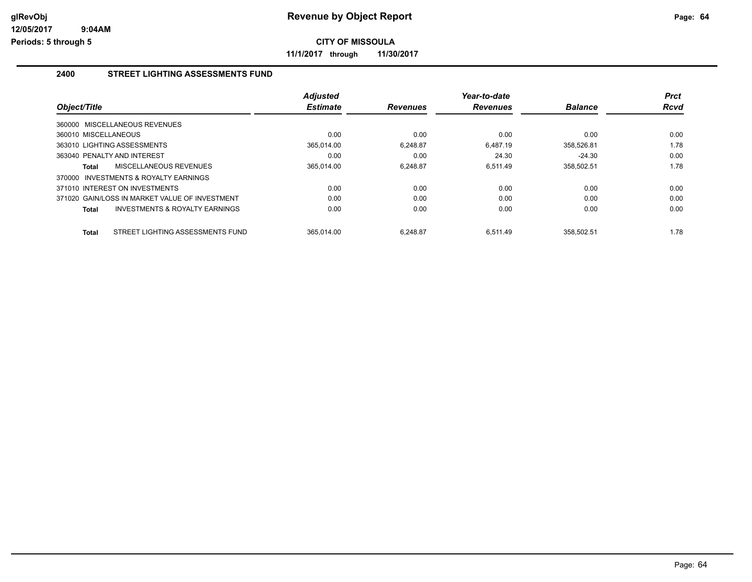**11/1/2017 through 11/30/2017**

#### **2400 STREET LIGHTING ASSESSMENTS FUND**

| Object/Title                                     | <b>Adjusted</b><br><b>Estimate</b> | <b>Revenues</b> | Year-to-date<br><b>Revenues</b> | <b>Balance</b> | <b>Prct</b><br><b>Rcvd</b> |
|--------------------------------------------------|------------------------------------|-----------------|---------------------------------|----------------|----------------------------|
| 360000 MISCELLANEOUS REVENUES                    |                                    |                 |                                 |                |                            |
| 360010 MISCELLANEOUS                             | 0.00                               | 0.00            | 0.00                            | 0.00           | 0.00                       |
| 363010 LIGHTING ASSESSMENTS                      | 365.014.00                         | 6.248.87        | 6.487.19                        | 358.526.81     | 1.78                       |
| 363040 PENALTY AND INTEREST                      | 0.00                               | 0.00            | 24.30                           | $-24.30$       | 0.00                       |
| <b>MISCELLANEOUS REVENUES</b><br>Total           | 365,014.00                         | 6.248.87        | 6,511.49                        | 358,502.51     | 1.78                       |
| 370000 INVESTMENTS & ROYALTY EARNINGS            |                                    |                 |                                 |                |                            |
| 371010 INTEREST ON INVESTMENTS                   | 0.00                               | 0.00            | 0.00                            | 0.00           | 0.00                       |
| 371020 GAIN/LOSS IN MARKET VALUE OF INVESTMENT   | 0.00                               | 0.00            | 0.00                            | 0.00           | 0.00                       |
| INVESTMENTS & ROYALTY EARNINGS<br>Total          | 0.00                               | 0.00            | 0.00                            | 0.00           | 0.00                       |
| STREET LIGHTING ASSESSMENTS FUND<br><b>Total</b> | 365.014.00                         | 6.248.87        | 6.511.49                        | 358.502.51     | 1.78                       |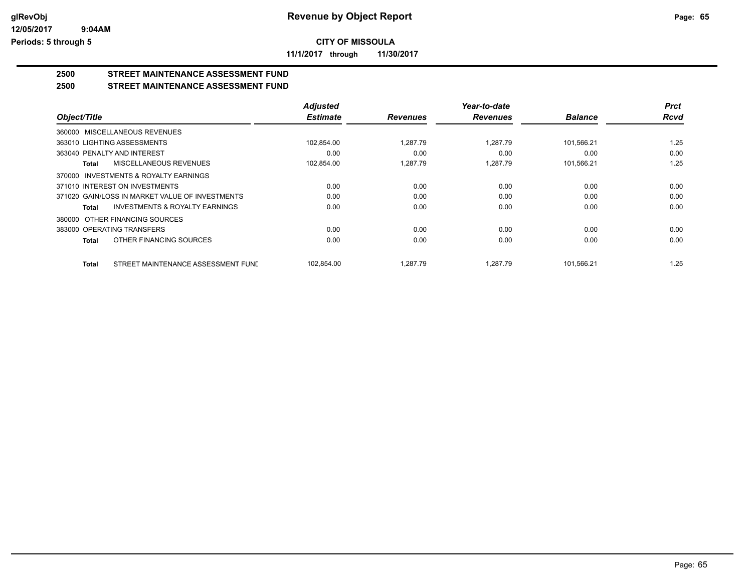**11/1/2017 through 11/30/2017**

# **2500 STREET MAINTENANCE ASSESSMENT FUND**

## **2500 STREET MAINTENANCE ASSESSMENT FUND**

|                                                    | <b>Adjusted</b> |                 | Year-to-date    |                | <b>Prct</b> |
|----------------------------------------------------|-----------------|-----------------|-----------------|----------------|-------------|
| Object/Title                                       | <b>Estimate</b> | <b>Revenues</b> | <b>Revenues</b> | <b>Balance</b> | <b>Rcvd</b> |
| 360000 MISCELLANEOUS REVENUES                      |                 |                 |                 |                |             |
| 363010 LIGHTING ASSESSMENTS                        | 102,854.00      | 1.287.79        | 1,287.79        | 101,566.21     | 1.25        |
| 363040 PENALTY AND INTEREST                        | 0.00            | 0.00            | 0.00            | 0.00           | 0.00        |
| MISCELLANEOUS REVENUES<br>Total                    | 102,854.00      | 1.287.79        | 1,287.79        | 101,566.21     | 1.25        |
| INVESTMENTS & ROYALTY EARNINGS<br>370000           |                 |                 |                 |                |             |
| 371010 INTEREST ON INVESTMENTS                     | 0.00            | 0.00            | 0.00            | 0.00           | 0.00        |
| 371020 GAIN/LOSS IN MARKET VALUE OF INVESTMENTS    | 0.00            | 0.00            | 0.00            | 0.00           | 0.00        |
| <b>INVESTMENTS &amp; ROYALTY EARNINGS</b><br>Total | 0.00            | 0.00            | 0.00            | 0.00           | 0.00        |
| OTHER FINANCING SOURCES<br>380000                  |                 |                 |                 |                |             |
| 383000 OPERATING TRANSFERS                         | 0.00            | 0.00            | 0.00            | 0.00           | 0.00        |
| OTHER FINANCING SOURCES<br><b>Total</b>            | 0.00            | 0.00            | 0.00            | 0.00           | 0.00        |
| STREET MAINTENANCE ASSESSMENT FUND<br><b>Total</b> | 102.854.00      | 1.287.79        | 1.287.79        | 101.566.21     | 1.25        |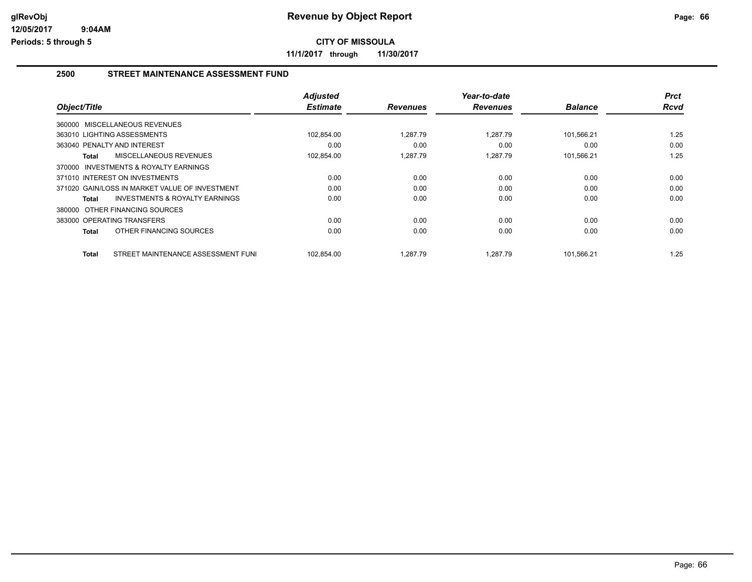**11/1/2017 through 11/30/2017**

#### **2500 STREET MAINTENANCE ASSESSMENT FUND**

| Object/Title                                   |                                           | <b>Adjusted</b><br><b>Estimate</b> | <b>Revenues</b> | Year-to-date<br><b>Revenues</b> | <b>Balance</b> | <b>Prct</b><br>Rcvd |
|------------------------------------------------|-------------------------------------------|------------------------------------|-----------------|---------------------------------|----------------|---------------------|
| 360000 MISCELLANEOUS REVENUES                  |                                           |                                    |                 |                                 |                |                     |
| 363010 LIGHTING ASSESSMENTS                    |                                           | 102,854.00                         | 1.287.79        | 1.287.79                        | 101,566.21     | 1.25                |
| 363040 PENALTY AND INTEREST                    |                                           | 0.00                               | 0.00            | 0.00                            | 0.00           | 0.00                |
| MISCELLANEOUS REVENUES<br>Total                |                                           | 102,854.00                         | 1,287.79        | 1,287.79                        | 101,566.21     | 1.25                |
| 370000 INVESTMENTS & ROYALTY EARNINGS          |                                           |                                    |                 |                                 |                |                     |
| 371010 INTEREST ON INVESTMENTS                 |                                           | 0.00                               | 0.00            | 0.00                            | 0.00           | 0.00                |
| 371020 GAIN/LOSS IN MARKET VALUE OF INVESTMENT |                                           | 0.00                               | 0.00            | 0.00                            | 0.00           | 0.00                |
| Total                                          | <b>INVESTMENTS &amp; ROYALTY EARNINGS</b> | 0.00                               | 0.00            | 0.00                            | 0.00           | 0.00                |
| 380000 OTHER FINANCING SOURCES                 |                                           |                                    |                 |                                 |                |                     |
| 383000 OPERATING TRANSFERS                     |                                           | 0.00                               | 0.00            | 0.00                            | 0.00           | 0.00                |
| OTHER FINANCING SOURCES<br>Total               |                                           | 0.00                               | 0.00            | 0.00                            | 0.00           | 0.00                |
| Total                                          | STREET MAINTENANCE ASSESSMENT FUNI        | 102,854.00                         | 1,287.79        | 1,287.79                        | 101,566.21     | 1.25                |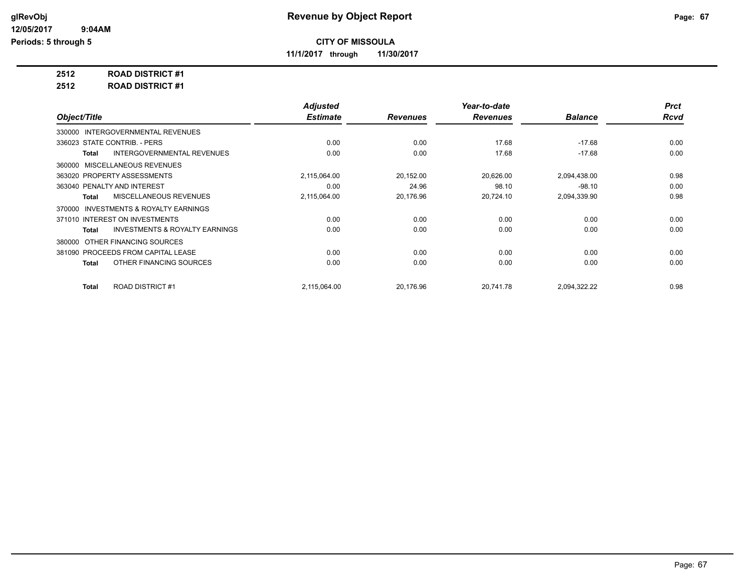**11/1/2017 through 11/30/2017**

**2512 ROAD DISTRICT #1**

**2512 ROAD DISTRICT #1**

|                                                     | <b>Adjusted</b> |                 | Year-to-date    |                | <b>Prct</b> |
|-----------------------------------------------------|-----------------|-----------------|-----------------|----------------|-------------|
| Object/Title                                        | <b>Estimate</b> | <b>Revenues</b> | <b>Revenues</b> | <b>Balance</b> | <b>Rcvd</b> |
| INTERGOVERNMENTAL REVENUES<br>330000                |                 |                 |                 |                |             |
| 336023 STATE CONTRIB. - PERS                        | 0.00            | 0.00            | 17.68           | $-17.68$       | 0.00        |
| <b>INTERGOVERNMENTAL REVENUES</b><br>Total          | 0.00            | 0.00            | 17.68           | $-17.68$       | 0.00        |
| MISCELLANEOUS REVENUES<br>360000                    |                 |                 |                 |                |             |
| 363020 PROPERTY ASSESSMENTS                         | 2,115,064.00    | 20,152.00       | 20,626.00       | 2,094,438.00   | 0.98        |
| 363040 PENALTY AND INTEREST                         | 0.00            | 24.96           | 98.10           | $-98.10$       | 0.00        |
| MISCELLANEOUS REVENUES<br><b>Total</b>              | 2,115,064.00    | 20,176.96       | 20,724.10       | 2,094,339.90   | 0.98        |
| <b>INVESTMENTS &amp; ROYALTY EARNINGS</b><br>370000 |                 |                 |                 |                |             |
| 371010 INTEREST ON INVESTMENTS                      | 0.00            | 0.00            | 0.00            | 0.00           | 0.00        |
| <b>INVESTMENTS &amp; ROYALTY EARNINGS</b><br>Total  | 0.00            | 0.00            | 0.00            | 0.00           | 0.00        |
| OTHER FINANCING SOURCES<br>380000                   |                 |                 |                 |                |             |
| 381090 PROCEEDS FROM CAPITAL LEASE                  | 0.00            | 0.00            | 0.00            | 0.00           | 0.00        |
| OTHER FINANCING SOURCES<br>Total                    | 0.00            | 0.00            | 0.00            | 0.00           | 0.00        |
| ROAD DISTRICT #1<br>Total                           | 2,115,064.00    | 20,176.96       | 20,741.78       | 2,094,322.22   | 0.98        |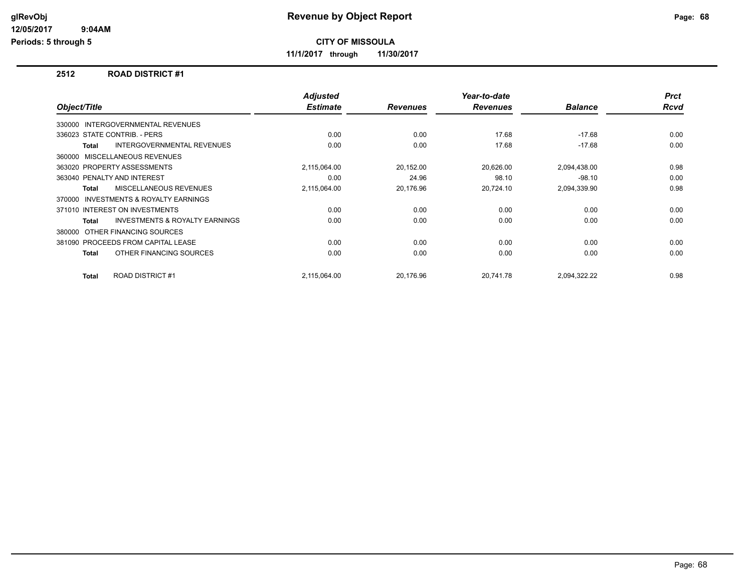**11/1/2017 through 11/30/2017**

#### **2512 ROAD DISTRICT #1**

|              |                                           | <b>Adjusted</b> |                 | Year-to-date    |                | <b>Prct</b> |
|--------------|-------------------------------------------|-----------------|-----------------|-----------------|----------------|-------------|
| Object/Title |                                           | <b>Estimate</b> | <b>Revenues</b> | <b>Revenues</b> | <b>Balance</b> | <b>Rcvd</b> |
|              | 330000 INTERGOVERNMENTAL REVENUES         |                 |                 |                 |                |             |
|              | 336023 STATE CONTRIB. - PERS              | 0.00            | 0.00            | 17.68           | $-17.68$       | 0.00        |
| <b>Total</b> | <b>INTERGOVERNMENTAL REVENUES</b>         | 0.00            | 0.00            | 17.68           | $-17.68$       | 0.00        |
|              | 360000 MISCELLANEOUS REVENUES             |                 |                 |                 |                |             |
|              | 363020 PROPERTY ASSESSMENTS               | 2,115,064.00    | 20,152.00       | 20,626.00       | 2,094,438.00   | 0.98        |
|              | 363040 PENALTY AND INTEREST               | 0.00            | 24.96           | 98.10           | $-98.10$       | 0.00        |
| <b>Total</b> | MISCELLANEOUS REVENUES                    | 2,115,064.00    | 20,176.96       | 20,724.10       | 2,094,339.90   | 0.98        |
| 370000       | <b>INVESTMENTS &amp; ROYALTY EARNINGS</b> |                 |                 |                 |                |             |
|              | 371010 INTEREST ON INVESTMENTS            | 0.00            | 0.00            | 0.00            | 0.00           | 0.00        |
| <b>Total</b> | <b>INVESTMENTS &amp; ROYALTY EARNINGS</b> | 0.00            | 0.00            | 0.00            | 0.00           | 0.00        |
|              | 380000 OTHER FINANCING SOURCES            |                 |                 |                 |                |             |
|              | 381090 PROCEEDS FROM CAPITAL LEASE        | 0.00            | 0.00            | 0.00            | 0.00           | 0.00        |
| Total        | OTHER FINANCING SOURCES                   | 0.00            | 0.00            | 0.00            | 0.00           | 0.00        |
| <b>Total</b> | ROAD DISTRICT #1                          | 2,115,064.00    | 20,176.96       | 20,741.78       | 2,094,322.22   | 0.98        |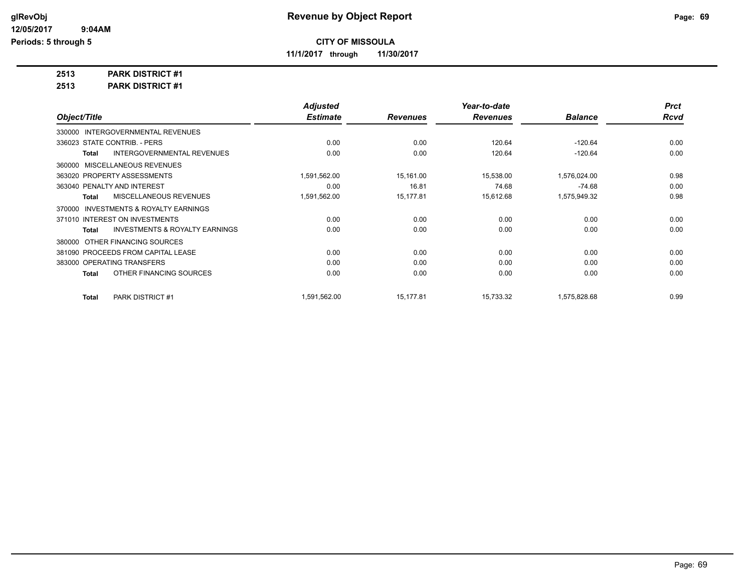**11/1/2017 through 11/30/2017**

**2513 PARK DISTRICT #1**

**2513 PARK DISTRICT #1**

|                                                     | <b>Adjusted</b> |                 | Year-to-date    |                | <b>Prct</b> |
|-----------------------------------------------------|-----------------|-----------------|-----------------|----------------|-------------|
| Object/Title                                        | <b>Estimate</b> | <b>Revenues</b> | <b>Revenues</b> | <b>Balance</b> | <b>Rcvd</b> |
| 330000 INTERGOVERNMENTAL REVENUES                   |                 |                 |                 |                |             |
| 336023 STATE CONTRIB. - PERS                        | 0.00            | 0.00            | 120.64          | $-120.64$      | 0.00        |
| <b>INTERGOVERNMENTAL REVENUES</b><br>Total          | 0.00            | 0.00            | 120.64          | $-120.64$      | 0.00        |
| 360000 MISCELLANEOUS REVENUES                       |                 |                 |                 |                |             |
| 363020 PROPERTY ASSESSMENTS                         | 1,591,562.00    | 15,161.00       | 15,538.00       | 1,576,024.00   | 0.98        |
| 363040 PENALTY AND INTEREST                         | 0.00            | 16.81           | 74.68           | $-74.68$       | 0.00        |
| <b>MISCELLANEOUS REVENUES</b><br>Total              | 1,591,562.00    | 15,177.81       | 15,612.68       | 1,575,949.32   | 0.98        |
| <b>INVESTMENTS &amp; ROYALTY EARNINGS</b><br>370000 |                 |                 |                 |                |             |
| 371010 INTEREST ON INVESTMENTS                      | 0.00            | 0.00            | 0.00            | 0.00           | 0.00        |
| <b>INVESTMENTS &amp; ROYALTY EARNINGS</b><br>Total  | 0.00            | 0.00            | 0.00            | 0.00           | 0.00        |
| OTHER FINANCING SOURCES<br>380000                   |                 |                 |                 |                |             |
| 381090 PROCEEDS FROM CAPITAL LEASE                  | 0.00            | 0.00            | 0.00            | 0.00           | 0.00        |
| 383000 OPERATING TRANSFERS                          | 0.00            | 0.00            | 0.00            | 0.00           | 0.00        |
| OTHER FINANCING SOURCES<br><b>Total</b>             | 0.00            | 0.00            | 0.00            | 0.00           | 0.00        |
| PARK DISTRICT #1<br><b>Total</b>                    | 1,591,562.00    | 15,177.81       | 15,733.32       | 1,575,828.68   | 0.99        |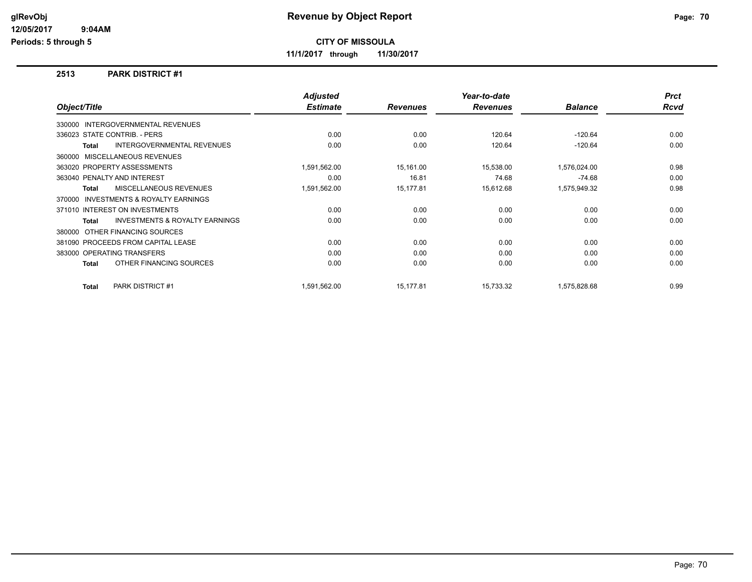**11/1/2017 through 11/30/2017**

#### **2513 PARK DISTRICT #1**

|                                                     | <b>Adjusted</b> |                 | Year-to-date    |                | <b>Prct</b> |
|-----------------------------------------------------|-----------------|-----------------|-----------------|----------------|-------------|
| Object/Title                                        | <b>Estimate</b> | <b>Revenues</b> | <b>Revenues</b> | <b>Balance</b> | <b>Rcvd</b> |
| 330000 INTERGOVERNMENTAL REVENUES                   |                 |                 |                 |                |             |
| 336023 STATE CONTRIB. - PERS                        | 0.00            | 0.00            | 120.64          | $-120.64$      | 0.00        |
| <b>INTERGOVERNMENTAL REVENUES</b><br>Total          | 0.00            | 0.00            | 120.64          | $-120.64$      | 0.00        |
| 360000 MISCELLANEOUS REVENUES                       |                 |                 |                 |                |             |
| 363020 PROPERTY ASSESSMENTS                         | 1,591,562.00    | 15,161.00       | 15,538.00       | 1,576,024.00   | 0.98        |
| 363040 PENALTY AND INTEREST                         | 0.00            | 16.81           | 74.68           | $-74.68$       | 0.00        |
| <b>MISCELLANEOUS REVENUES</b><br>Total              | 1,591,562.00    | 15,177.81       | 15,612.68       | 1,575,949.32   | 0.98        |
| <b>INVESTMENTS &amp; ROYALTY EARNINGS</b><br>370000 |                 |                 |                 |                |             |
| 371010 INTEREST ON INVESTMENTS                      | 0.00            | 0.00            | 0.00            | 0.00           | 0.00        |
| <b>INVESTMENTS &amp; ROYALTY EARNINGS</b><br>Total  | 0.00            | 0.00            | 0.00            | 0.00           | 0.00        |
| 380000 OTHER FINANCING SOURCES                      |                 |                 |                 |                |             |
| 381090 PROCEEDS FROM CAPITAL LEASE                  | 0.00            | 0.00            | 0.00            | 0.00           | 0.00        |
| 383000 OPERATING TRANSFERS                          | 0.00            | 0.00            | 0.00            | 0.00           | 0.00        |
| OTHER FINANCING SOURCES<br>Total                    | 0.00            | 0.00            | 0.00            | 0.00           | 0.00        |
| <b>PARK DISTRICT #1</b><br>Total                    | 1,591,562.00    | 15.177.81       | 15,733.32       | 1,575,828.68   | 0.99        |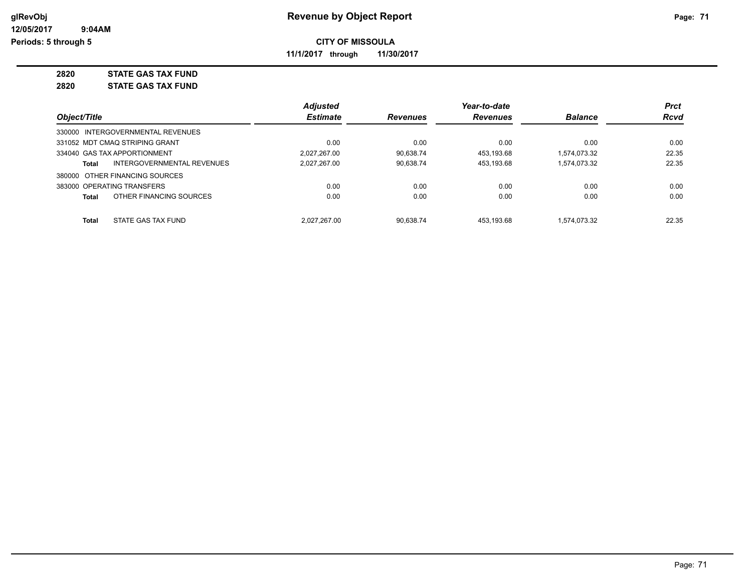**11/1/2017 through 11/30/2017**

#### **2820 STATE GAS TAX FUND**

**2820 STATE GAS TAX FUND**

|              |                                   | <b>Adjusted</b> |                 | Year-to-date    |                | <b>Prct</b> |
|--------------|-----------------------------------|-----------------|-----------------|-----------------|----------------|-------------|
| Object/Title |                                   | <b>Estimate</b> | <b>Revenues</b> | <b>Revenues</b> | <b>Balance</b> | <b>Rcvd</b> |
|              | 330000 INTERGOVERNMENTAL REVENUES |                 |                 |                 |                |             |
|              | 331052 MDT CMAQ STRIPING GRANT    | 0.00            | 0.00            | 0.00            | 0.00           | 0.00        |
|              | 334040 GAS TAX APPORTIONMENT      | 2.027.267.00    | 90.638.74       | 453.193.68      | 1.574.073.32   | 22.35       |
| Total        | INTERGOVERNMENTAL REVENUES        | 2,027,267.00    | 90,638.74       | 453,193.68      | 1,574,073.32   | 22.35       |
|              | 380000 OTHER FINANCING SOURCES    |                 |                 |                 |                |             |
|              | 383000 OPERATING TRANSFERS        | 0.00            | 0.00            | 0.00            | 0.00           | 0.00        |
| <b>Total</b> | OTHER FINANCING SOURCES           | 0.00            | 0.00            | 0.00            | 0.00           | 0.00        |
| <b>Total</b> | STATE GAS TAX FUND                | 2.027.267.00    | 90.638.74       | 453.193.68      | 1.574.073.32   | 22.35       |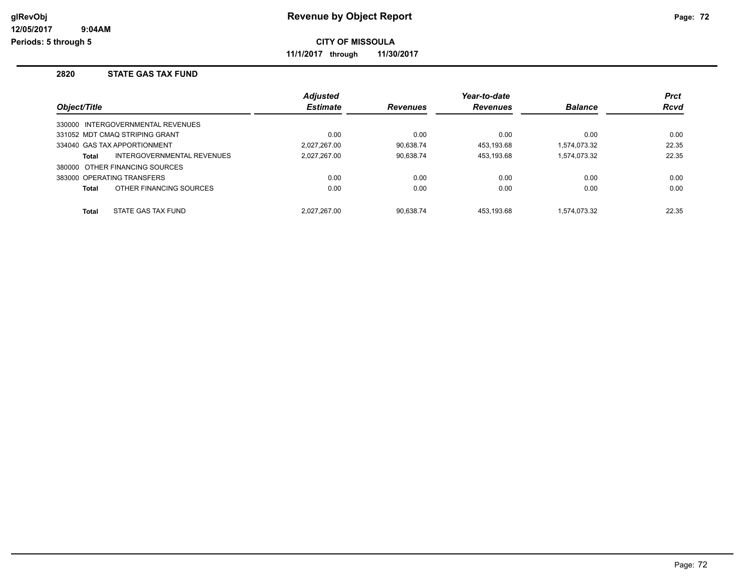**11/1/2017 through 11/30/2017**

#### **2820 STATE GAS TAX FUND**

|                                     | <b>Adjusted</b> |                 | Year-to-date    |                | <b>Prct</b> |
|-------------------------------------|-----------------|-----------------|-----------------|----------------|-------------|
| Object/Title                        | <b>Estimate</b> | <b>Revenues</b> | <b>Revenues</b> | <b>Balance</b> | Rcvd        |
| 330000 INTERGOVERNMENTAL REVENUES   |                 |                 |                 |                |             |
| 331052 MDT CMAQ STRIPING GRANT      | 0.00            | 0.00            | 0.00            | 0.00           | 0.00        |
| 334040 GAS TAX APPORTIONMENT        | 2.027.267.00    | 90.638.74       | 453,193.68      | 1,574,073.32   | 22.35       |
| INTERGOVERNMENTAL REVENUES<br>Total | 2,027,267.00    | 90,638.74       | 453,193.68      | 1,574,073.32   | 22.35       |
| 380000 OTHER FINANCING SOURCES      |                 |                 |                 |                |             |
| 383000 OPERATING TRANSFERS          | 0.00            | 0.00            | 0.00            | 0.00           | 0.00        |
| OTHER FINANCING SOURCES<br>Total    | 0.00            | 0.00            | 0.00            | 0.00           | 0.00        |
|                                     |                 |                 |                 |                |             |
| STATE GAS TAX FUND<br><b>Total</b>  | 2.027.267.00    | 90.638.74       | 453.193.68      | 1.574.073.32   | 22.35       |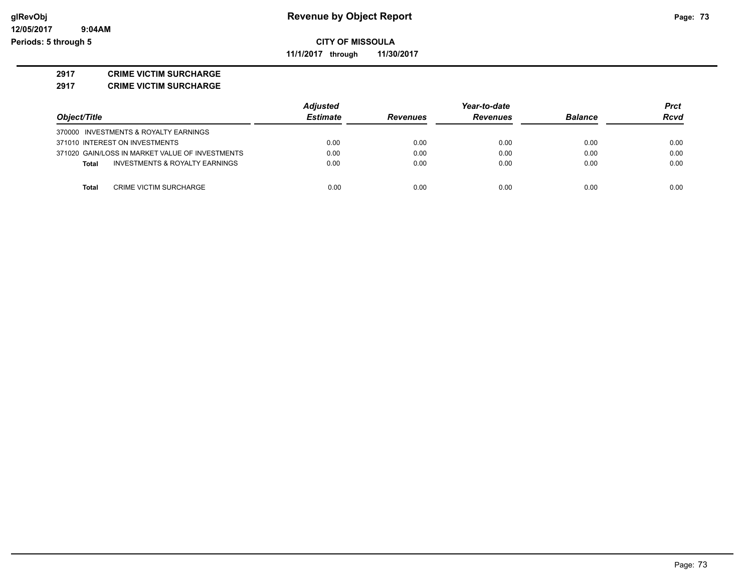**11/1/2017 through 11/30/2017**

#### **2917 CRIME VICTIM SURCHARGE**

**2917 CRIME VICTIM SURCHARGE**

|                                                           | <b>Adjusted</b> |                 | Year-to-date    |                | Prct |
|-----------------------------------------------------------|-----------------|-----------------|-----------------|----------------|------|
| Object/Title                                              | <b>Estimate</b> | <b>Revenues</b> | <b>Revenues</b> | <b>Balance</b> | Rcvd |
| 370000 INVESTMENTS & ROYALTY EARNINGS                     |                 |                 |                 |                |      |
| 371010 INTEREST ON INVESTMENTS                            | 0.00            | 0.00            | 0.00            | 0.00           | 0.00 |
| 371020 GAIN/LOSS IN MARKET VALUE OF INVESTMENTS           | 0.00            | 0.00            | 0.00            | 0.00           | 0.00 |
| <b>INVESTMENTS &amp; ROYALTY EARNINGS</b><br><b>Total</b> | 0.00            | 0.00            | 0.00            | 0.00           | 0.00 |
|                                                           |                 |                 |                 |                |      |
| <b>Total</b><br>CRIME VICTIM SURCHARGE                    | 0.00            | 0.00            | 0.00            | 0.00           | 0.00 |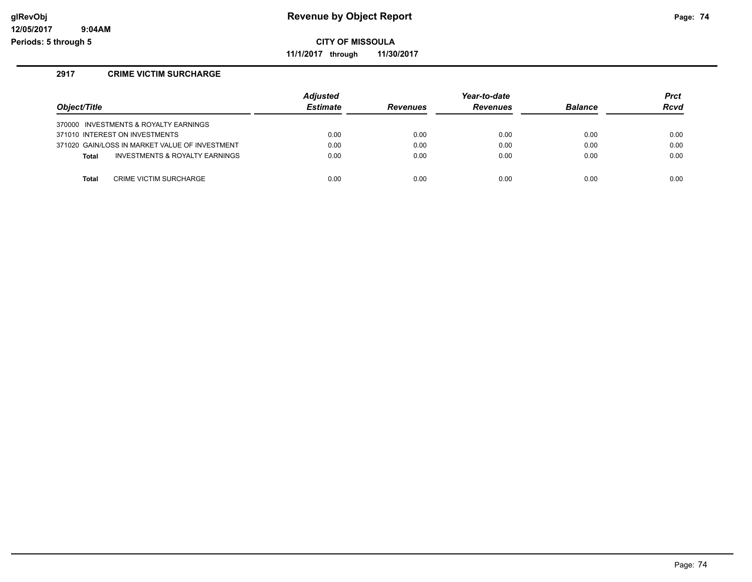**11/1/2017 through 11/30/2017**

#### **2917 CRIME VICTIM SURCHARGE**

| Object/Title                                              | <b>Adjusted</b><br><b>Estimate</b> | <b>Revenues</b> | Year-to-date<br><b>Revenues</b> | <b>Balance</b> | <b>Prct</b><br><b>Rcvd</b> |
|-----------------------------------------------------------|------------------------------------|-----------------|---------------------------------|----------------|----------------------------|
| 370000 INVESTMENTS & ROYALTY EARNINGS                     |                                    |                 |                                 |                |                            |
| 371010 INTEREST ON INVESTMENTS                            | 0.00                               | 0.00            | 0.00                            | 0.00           | 0.00                       |
| 371020 GAIN/LOSS IN MARKET VALUE OF INVESTMENT            | 0.00                               | 0.00            | 0.00                            | 0.00           | 0.00                       |
| <b>INVESTMENTS &amp; ROYALTY EARNINGS</b><br><b>Total</b> | 0.00                               | 0.00            | 0.00                            | 0.00           | 0.00                       |
|                                                           |                                    |                 |                                 |                |                            |
| CRIME VICTIM SURCHARGE<br>Total                           | 0.00                               | 0.00            | 0.00                            | 0.00           | 0.00                       |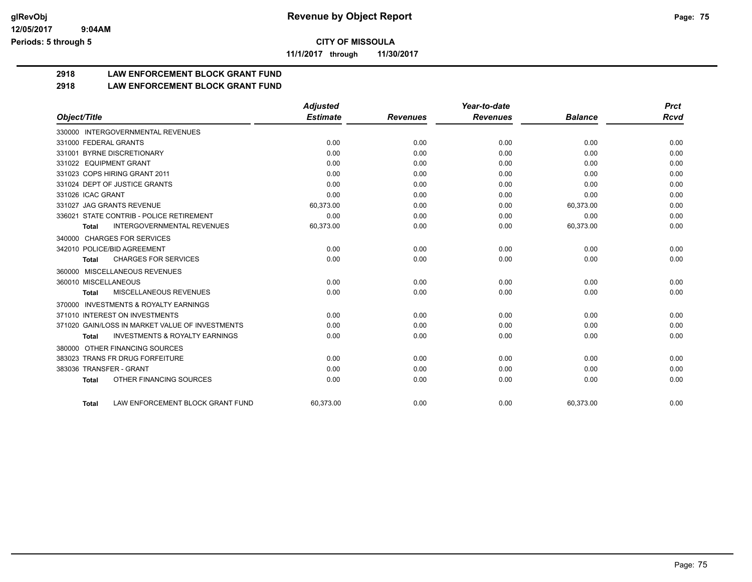**11/1/2017 through 11/30/2017**

## **2918 LAW ENFORCEMENT BLOCK GRANT FUND**

## **2918 LAW ENFORCEMENT BLOCK GRANT FUND**

|                                                           | <b>Adjusted</b> |                 | Year-to-date    |                | <b>Prct</b> |
|-----------------------------------------------------------|-----------------|-----------------|-----------------|----------------|-------------|
| Object/Title                                              | <b>Estimate</b> | <b>Revenues</b> | <b>Revenues</b> | <b>Balance</b> | <b>Rcvd</b> |
| 330000 INTERGOVERNMENTAL REVENUES                         |                 |                 |                 |                |             |
| 331000 FEDERAL GRANTS                                     | 0.00            | 0.00            | 0.00            | 0.00           | 0.00        |
| 331001 BYRNE DISCRETIONARY                                | 0.00            | 0.00            | 0.00            | 0.00           | 0.00        |
| 331022 EQUIPMENT GRANT                                    | 0.00            | 0.00            | 0.00            | 0.00           | 0.00        |
| 331023 COPS HIRING GRANT 2011                             | 0.00            | 0.00            | 0.00            | 0.00           | 0.00        |
| 331024 DEPT OF JUSTICE GRANTS                             | 0.00            | 0.00            | 0.00            | 0.00           | 0.00        |
| 331026 ICAC GRANT                                         | 0.00            | 0.00            | 0.00            | 0.00           | 0.00        |
| 331027 JAG GRANTS REVENUE                                 | 60,373.00       | 0.00            | 0.00            | 60,373.00      | 0.00        |
| 336021 STATE CONTRIB - POLICE RETIREMENT                  | 0.00            | 0.00            | 0.00            | 0.00           | 0.00        |
| <b>INTERGOVERNMENTAL REVENUES</b><br><b>Total</b>         | 60,373.00       | 0.00            | 0.00            | 60,373.00      | 0.00        |
| 340000 CHARGES FOR SERVICES                               |                 |                 |                 |                |             |
| 342010 POLICE/BID AGREEMENT                               | 0.00            | 0.00            | 0.00            | 0.00           | 0.00        |
| <b>CHARGES FOR SERVICES</b><br><b>Total</b>               | 0.00            | 0.00            | 0.00            | 0.00           | 0.00        |
| 360000 MISCELLANEOUS REVENUES                             |                 |                 |                 |                |             |
| 360010 MISCELLANEOUS                                      | 0.00            | 0.00            | 0.00            | 0.00           | 0.00        |
| MISCELLANEOUS REVENUES<br>Total                           | 0.00            | 0.00            | 0.00            | 0.00           | 0.00        |
| <b>INVESTMENTS &amp; ROYALTY EARNINGS</b><br>370000       |                 |                 |                 |                |             |
| 371010 INTEREST ON INVESTMENTS                            | 0.00            | 0.00            | 0.00            | 0.00           | 0.00        |
| 371020 GAIN/LOSS IN MARKET VALUE OF INVESTMENTS           | 0.00            | 0.00            | 0.00            | 0.00           | 0.00        |
| <b>INVESTMENTS &amp; ROYALTY EARNINGS</b><br><b>Total</b> | 0.00            | 0.00            | 0.00            | 0.00           | 0.00        |
| OTHER FINANCING SOURCES<br>380000                         |                 |                 |                 |                |             |
| 383023 TRANS FR DRUG FORFEITURE                           | 0.00            | 0.00            | 0.00            | 0.00           | 0.00        |
| 383036 TRANSFER - GRANT                                   | 0.00            | 0.00            | 0.00            | 0.00           | 0.00        |
| OTHER FINANCING SOURCES<br><b>Total</b>                   | 0.00            | 0.00            | 0.00            | 0.00           | 0.00        |
|                                                           |                 |                 |                 |                |             |
| LAW ENFORCEMENT BLOCK GRANT FUND<br><b>Total</b>          | 60,373.00       | 0.00            | 0.00            | 60,373.00      | 0.00        |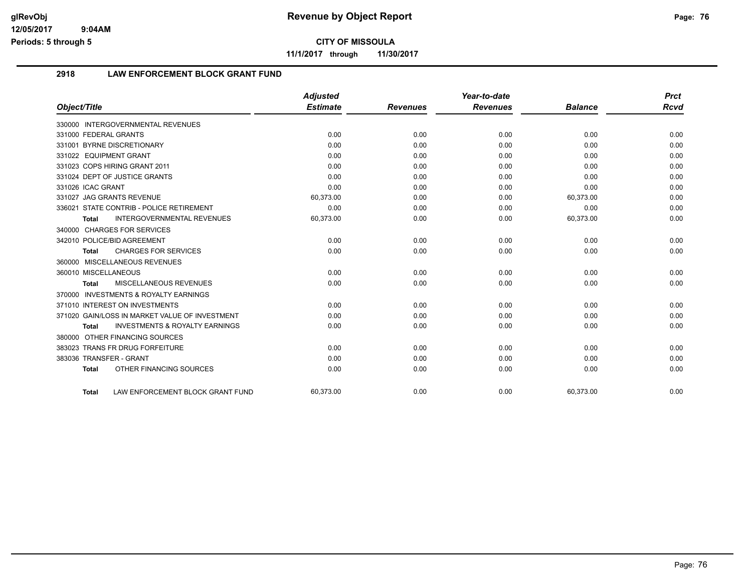**11/1/2017 through 11/30/2017**

#### **2918 LAW ENFORCEMENT BLOCK GRANT FUND**

|                                                           | <b>Adjusted</b> |                 | Year-to-date    |                | <b>Prct</b> |
|-----------------------------------------------------------|-----------------|-----------------|-----------------|----------------|-------------|
| Object/Title                                              | <b>Estimate</b> | <b>Revenues</b> | <b>Revenues</b> | <b>Balance</b> | <b>Rcvd</b> |
| 330000 INTERGOVERNMENTAL REVENUES                         |                 |                 |                 |                |             |
| 331000 FEDERAL GRANTS                                     | 0.00            | 0.00            | 0.00            | 0.00           | 0.00        |
| 331001 BYRNE DISCRETIONARY                                | 0.00            | 0.00            | 0.00            | 0.00           | 0.00        |
| 331022 EQUIPMENT GRANT                                    | 0.00            | 0.00            | 0.00            | 0.00           | 0.00        |
| 331023 COPS HIRING GRANT 2011                             | 0.00            | 0.00            | 0.00            | 0.00           | 0.00        |
| 331024 DEPT OF JUSTICE GRANTS                             | 0.00            | 0.00            | 0.00            | 0.00           | 0.00        |
| 331026 ICAC GRANT                                         | 0.00            | 0.00            | 0.00            | 0.00           | 0.00        |
| 331027 JAG GRANTS REVENUE                                 | 60,373.00       | 0.00            | 0.00            | 60,373.00      | 0.00        |
| 336021 STATE CONTRIB - POLICE RETIREMENT                  | 0.00            | 0.00            | 0.00            | 0.00           | 0.00        |
| <b>INTERGOVERNMENTAL REVENUES</b><br><b>Total</b>         | 60,373.00       | 0.00            | 0.00            | 60,373.00      | 0.00        |
| 340000 CHARGES FOR SERVICES                               |                 |                 |                 |                |             |
| 342010 POLICE/BID AGREEMENT                               | 0.00            | 0.00            | 0.00            | 0.00           | 0.00        |
| <b>CHARGES FOR SERVICES</b><br><b>Total</b>               | 0.00            | 0.00            | 0.00            | 0.00           | 0.00        |
| 360000 MISCELLANEOUS REVENUES                             |                 |                 |                 |                |             |
| 360010 MISCELLANEOUS                                      | 0.00            | 0.00            | 0.00            | 0.00           | 0.00        |
| MISCELLANEOUS REVENUES<br><b>Total</b>                    | 0.00            | 0.00            | 0.00            | 0.00           | 0.00        |
| <b>INVESTMENTS &amp; ROYALTY EARNINGS</b><br>370000       |                 |                 |                 |                |             |
| 371010 INTEREST ON INVESTMENTS                            | 0.00            | 0.00            | 0.00            | 0.00           | 0.00        |
| 371020 GAIN/LOSS IN MARKET VALUE OF INVESTMENT            | 0.00            | 0.00            | 0.00            | 0.00           | 0.00        |
| <b>INVESTMENTS &amp; ROYALTY EARNINGS</b><br><b>Total</b> | 0.00            | 0.00            | 0.00            | 0.00           | 0.00        |
| 380000 OTHER FINANCING SOURCES                            |                 |                 |                 |                |             |
| 383023 TRANS FR DRUG FORFEITURE                           | 0.00            | 0.00            | 0.00            | 0.00           | 0.00        |
| 383036 TRANSFER - GRANT                                   | 0.00            | 0.00            | 0.00            | 0.00           | 0.00        |
| OTHER FINANCING SOURCES<br><b>Total</b>                   | 0.00            | 0.00            | 0.00            | 0.00           | 0.00        |
| LAW ENFORCEMENT BLOCK GRANT FUND<br><b>Total</b>          | 60,373.00       | 0.00            | 0.00            | 60,373.00      | 0.00        |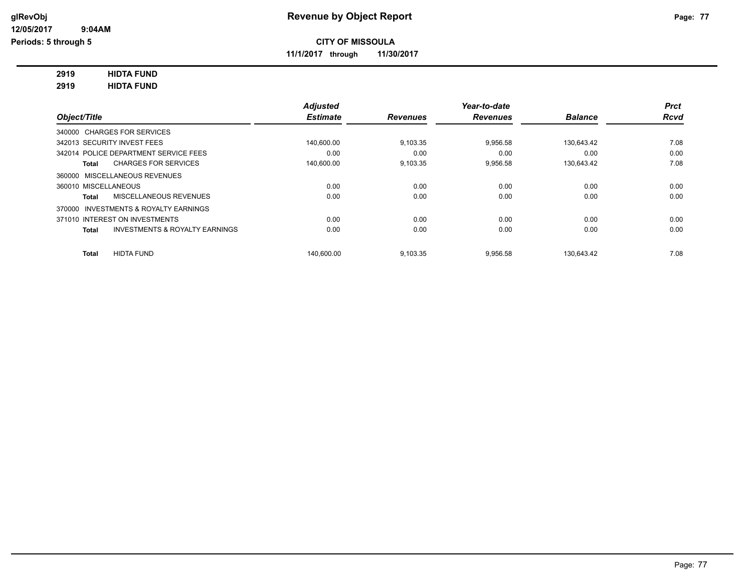**11/1/2017 through 11/30/2017**

## **2919 HIDTA FUND**

**2919 HIDTA FUND**

|                                                     | <b>Adjusted</b> |                 | Year-to-date    |                | <b>Prct</b> |
|-----------------------------------------------------|-----------------|-----------------|-----------------|----------------|-------------|
| Object/Title                                        | <b>Estimate</b> | <b>Revenues</b> | <b>Revenues</b> | <b>Balance</b> | <b>Rcvd</b> |
| 340000 CHARGES FOR SERVICES                         |                 |                 |                 |                |             |
| 342013 SECURITY INVEST FEES                         | 140,600.00      | 9,103.35        | 9,956.58        | 130,643.42     | 7.08        |
| 342014 POLICE DEPARTMENT SERVICE FEES               | 0.00            | 0.00            | 0.00            | 0.00           | 0.00        |
| <b>CHARGES FOR SERVICES</b><br>Total                | 140,600.00      | 9,103.35        | 9,956.58        | 130,643.42     | 7.08        |
| 360000 MISCELLANEOUS REVENUES                       |                 |                 |                 |                |             |
| 360010 MISCELLANEOUS                                | 0.00            | 0.00            | 0.00            | 0.00           | 0.00        |
| MISCELLANEOUS REVENUES<br>Total                     | 0.00            | 0.00            | 0.00            | 0.00           | 0.00        |
| <b>INVESTMENTS &amp; ROYALTY EARNINGS</b><br>370000 |                 |                 |                 |                |             |
| 371010 INTEREST ON INVESTMENTS                      | 0.00            | 0.00            | 0.00            | 0.00           | 0.00        |
| <b>INVESTMENTS &amp; ROYALTY EARNINGS</b><br>Total  | 0.00            | 0.00            | 0.00            | 0.00           | 0.00        |
| <b>HIDTA FUND</b><br><b>Total</b>                   | 140.600.00      | 9.103.35        | 9,956.58        | 130.643.42     | 7.08        |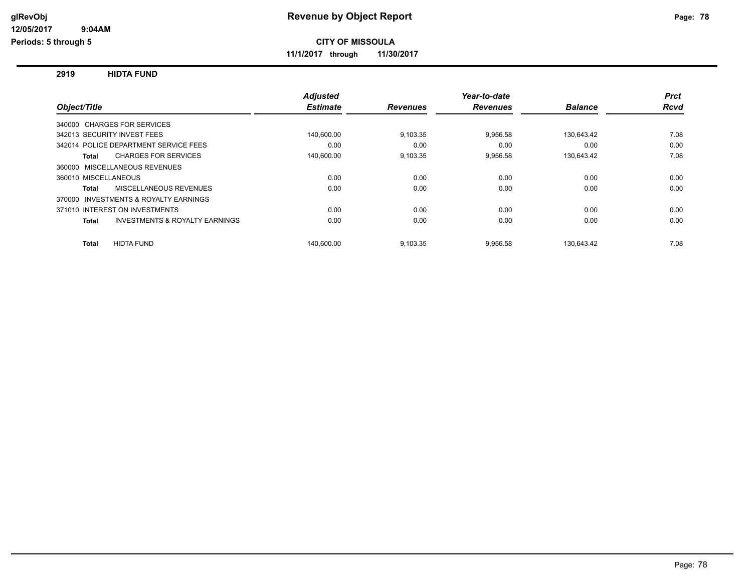**11/1/2017 through 11/30/2017**

**2919 HIDTA FUND**

|                                                           | <b>Adjusted</b> |                 | Year-to-date    |                | <b>Prct</b> |
|-----------------------------------------------------------|-----------------|-----------------|-----------------|----------------|-------------|
| Object/Title                                              | <b>Estimate</b> | <b>Revenues</b> | <b>Revenues</b> | <b>Balance</b> | Rcvd        |
| 340000 CHARGES FOR SERVICES                               |                 |                 |                 |                |             |
| 342013 SECURITY INVEST FEES                               | 140,600.00      | 9,103.35        | 9.956.58        | 130,643.42     | 7.08        |
| 342014 POLICE DEPARTMENT SERVICE FEES                     | 0.00            | 0.00            | 0.00            | 0.00           | 0.00        |
| <b>CHARGES FOR SERVICES</b><br>Total                      | 140,600.00      | 9,103.35        | 9,956.58        | 130,643.42     | 7.08        |
| 360000 MISCELLANEOUS REVENUES                             |                 |                 |                 |                |             |
| 360010 MISCELLANEOUS                                      | 0.00            | 0.00            | 0.00            | 0.00           | 0.00        |
| MISCELLANEOUS REVENUES<br>Total                           | 0.00            | 0.00            | 0.00            | 0.00           | 0.00        |
| 370000 INVESTMENTS & ROYALTY EARNINGS                     |                 |                 |                 |                |             |
| 371010 INTEREST ON INVESTMENTS                            | 0.00            | 0.00            | 0.00            | 0.00           | 0.00        |
| <b>INVESTMENTS &amp; ROYALTY EARNINGS</b><br><b>Total</b> | 0.00            | 0.00            | 0.00            | 0.00           | 0.00        |
| <b>HIDTA FUND</b><br><b>Total</b>                         | 140.600.00      | 9.103.35        | 9.956.58        | 130.643.42     | 7.08        |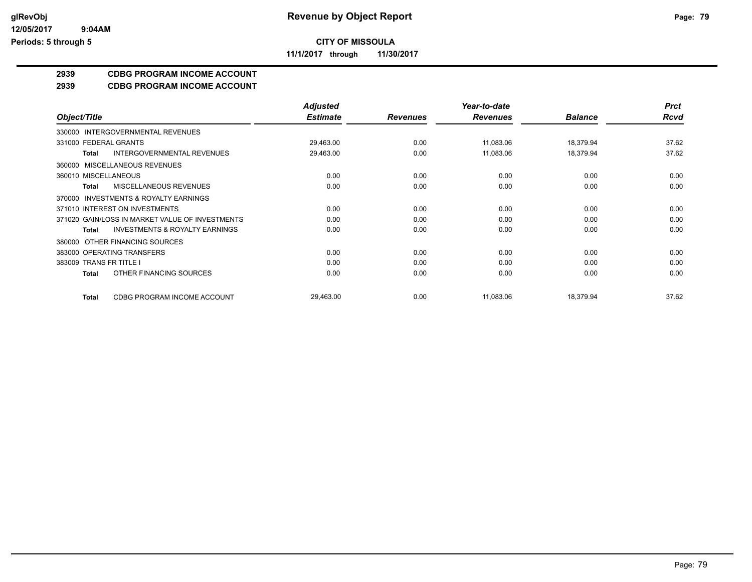**11/1/2017 through 11/30/2017**

## **2939 CDBG PROGRAM INCOME ACCOUNT**

#### **2939 CDBG PROGRAM INCOME ACCOUNT**

|                                                    | <b>Adjusted</b> |                 | Year-to-date    |                | <b>Prct</b> |
|----------------------------------------------------|-----------------|-----------------|-----------------|----------------|-------------|
| Object/Title                                       | <b>Estimate</b> | <b>Revenues</b> | <b>Revenues</b> | <b>Balance</b> | <b>Rcvd</b> |
| 330000 INTERGOVERNMENTAL REVENUES                  |                 |                 |                 |                |             |
| 331000 FEDERAL GRANTS                              | 29,463.00       | 0.00            | 11,083.06       | 18,379.94      | 37.62       |
| INTERGOVERNMENTAL REVENUES<br><b>Total</b>         | 29,463.00       | 0.00            | 11,083.06       | 18,379.94      | 37.62       |
| 360000 MISCELLANEOUS REVENUES                      |                 |                 |                 |                |             |
| 360010 MISCELLANEOUS                               | 0.00            | 0.00            | 0.00            | 0.00           | 0.00        |
| <b>MISCELLANEOUS REVENUES</b><br>Total             | 0.00            | 0.00            | 0.00            | 0.00           | 0.00        |
| 370000 INVESTMENTS & ROYALTY EARNINGS              |                 |                 |                 |                |             |
| 371010 INTEREST ON INVESTMENTS                     | 0.00            | 0.00            | 0.00            | 0.00           | 0.00        |
| 371020 GAIN/LOSS IN MARKET VALUE OF INVESTMENTS    | 0.00            | 0.00            | 0.00            | 0.00           | 0.00        |
| <b>INVESTMENTS &amp; ROYALTY EARNINGS</b><br>Total | 0.00            | 0.00            | 0.00            | 0.00           | 0.00        |
| 380000 OTHER FINANCING SOURCES                     |                 |                 |                 |                |             |
| 383000 OPERATING TRANSFERS                         | 0.00            | 0.00            | 0.00            | 0.00           | 0.00        |
| 383009 TRANS FR TITLE I                            | 0.00            | 0.00            | 0.00            | 0.00           | 0.00        |
| OTHER FINANCING SOURCES<br><b>Total</b>            | 0.00            | 0.00            | 0.00            | 0.00           | 0.00        |
| CDBG PROGRAM INCOME ACCOUNT<br><b>Total</b>        | 29.463.00       | 0.00            | 11,083.06       | 18,379.94      | 37.62       |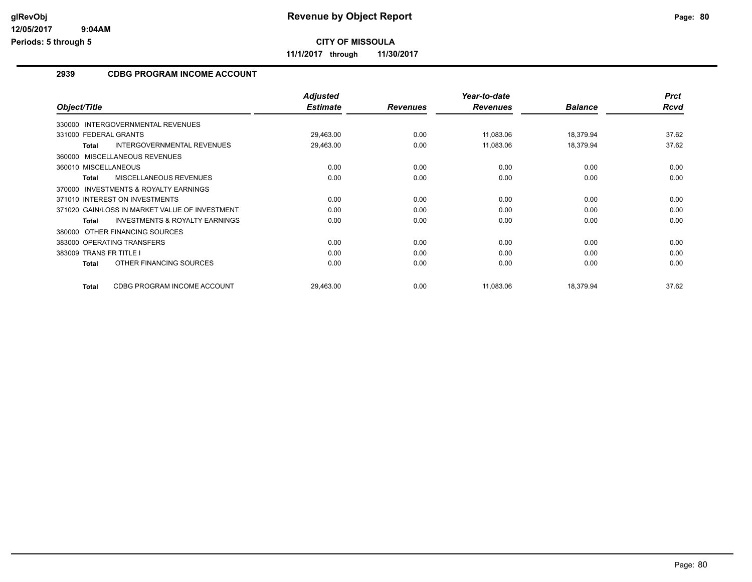**11/1/2017 through 11/30/2017**

#### **2939 CDBG PROGRAM INCOME ACCOUNT**

|                                                           | <b>Adjusted</b> |                 | Year-to-date    |                | <b>Prct</b> |
|-----------------------------------------------------------|-----------------|-----------------|-----------------|----------------|-------------|
| Object/Title                                              | <b>Estimate</b> | <b>Revenues</b> | <b>Revenues</b> | <b>Balance</b> | Rcvd        |
| 330000 INTERGOVERNMENTAL REVENUES                         |                 |                 |                 |                |             |
| 331000 FEDERAL GRANTS                                     | 29,463.00       | 0.00            | 11,083.06       | 18,379.94      | 37.62       |
| INTERGOVERNMENTAL REVENUES<br><b>Total</b>                | 29,463.00       | 0.00            | 11,083.06       | 18,379.94      | 37.62       |
| 360000 MISCELLANEOUS REVENUES                             |                 |                 |                 |                |             |
| 360010 MISCELLANEOUS                                      | 0.00            | 0.00            | 0.00            | 0.00           | 0.00        |
| MISCELLANEOUS REVENUES<br><b>Total</b>                    | 0.00            | 0.00            | 0.00            | 0.00           | 0.00        |
| <b>INVESTMENTS &amp; ROYALTY EARNINGS</b><br>370000       |                 |                 |                 |                |             |
| 371010 INTEREST ON INVESTMENTS                            | 0.00            | 0.00            | 0.00            | 0.00           | 0.00        |
| 371020 GAIN/LOSS IN MARKET VALUE OF INVESTMENT            | 0.00            | 0.00            | 0.00            | 0.00           | 0.00        |
| <b>INVESTMENTS &amp; ROYALTY EARNINGS</b><br><b>Total</b> | 0.00            | 0.00            | 0.00            | 0.00           | 0.00        |
| 380000 OTHER FINANCING SOURCES                            |                 |                 |                 |                |             |
| 383000 OPERATING TRANSFERS                                | 0.00            | 0.00            | 0.00            | 0.00           | 0.00        |
| 383009 TRANS FR TITLE I                                   | 0.00            | 0.00            | 0.00            | 0.00           | 0.00        |
| OTHER FINANCING SOURCES<br><b>Total</b>                   | 0.00            | 0.00            | 0.00            | 0.00           | 0.00        |
| <b>Total</b><br>CDBG PROGRAM INCOME ACCOUNT               | 29,463.00       | 0.00            | 11,083.06       | 18,379.94      | 37.62       |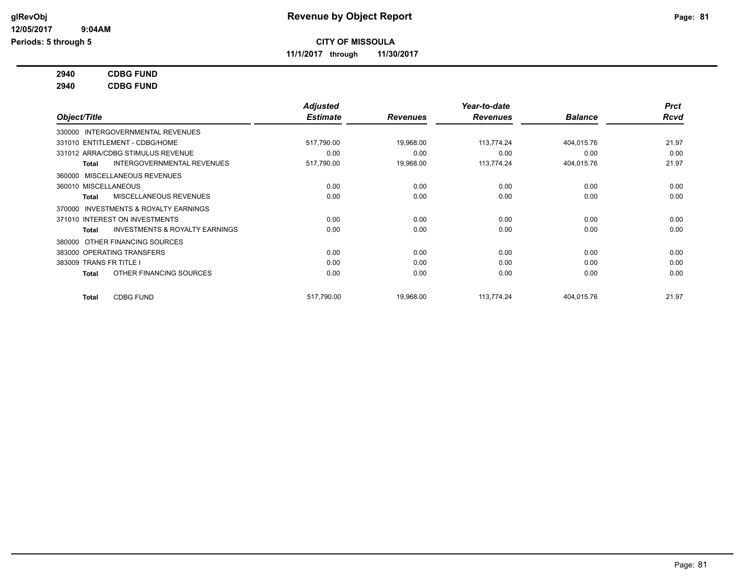**11/1/2017 through 11/30/2017**

## **2940 CDBG FUND**

**2940 CDBG FUND**

|                                                           | <b>Adjusted</b> |                 | Year-to-date    |                | <b>Prct</b> |
|-----------------------------------------------------------|-----------------|-----------------|-----------------|----------------|-------------|
| Object/Title                                              | <b>Estimate</b> | <b>Revenues</b> | <b>Revenues</b> | <b>Balance</b> | <b>Rcvd</b> |
| 330000 INTERGOVERNMENTAL REVENUES                         |                 |                 |                 |                |             |
| 331010 ENTITLEMENT - CDBG/HOME                            | 517,790.00      | 19,968.00       | 113,774.24      | 404,015.76     | 21.97       |
| 331012 ARRA/CDBG STIMULUS REVENUE                         | 0.00            | 0.00            | 0.00            | 0.00           | 0.00        |
| <b>INTERGOVERNMENTAL REVENUES</b><br>Total                | 517,790.00      | 19,968.00       | 113,774.24      | 404,015.76     | 21.97       |
| MISCELLANEOUS REVENUES<br>360000                          |                 |                 |                 |                |             |
| 360010 MISCELLANEOUS                                      | 0.00            | 0.00            | 0.00            | 0.00           | 0.00        |
| MISCELLANEOUS REVENUES<br>Total                           | 0.00            | 0.00            | 0.00            | 0.00           | 0.00        |
| <b>INVESTMENTS &amp; ROYALTY EARNINGS</b><br>370000       |                 |                 |                 |                |             |
| 371010 INTEREST ON INVESTMENTS                            | 0.00            | 0.00            | 0.00            | 0.00           | 0.00        |
| <b>INVESTMENTS &amp; ROYALTY EARNINGS</b><br><b>Total</b> | 0.00            | 0.00            | 0.00            | 0.00           | 0.00        |
| OTHER FINANCING SOURCES<br>380000                         |                 |                 |                 |                |             |
| 383000 OPERATING TRANSFERS                                | 0.00            | 0.00            | 0.00            | 0.00           | 0.00        |
| 383009 TRANS FR TITLE I                                   | 0.00            | 0.00            | 0.00            | 0.00           | 0.00        |
| OTHER FINANCING SOURCES<br><b>Total</b>                   | 0.00            | 0.00            | 0.00            | 0.00           | 0.00        |
| <b>CDBG FUND</b><br><b>Total</b>                          | 517,790.00      | 19,968.00       | 113,774.24      | 404,015.76     | 21.97       |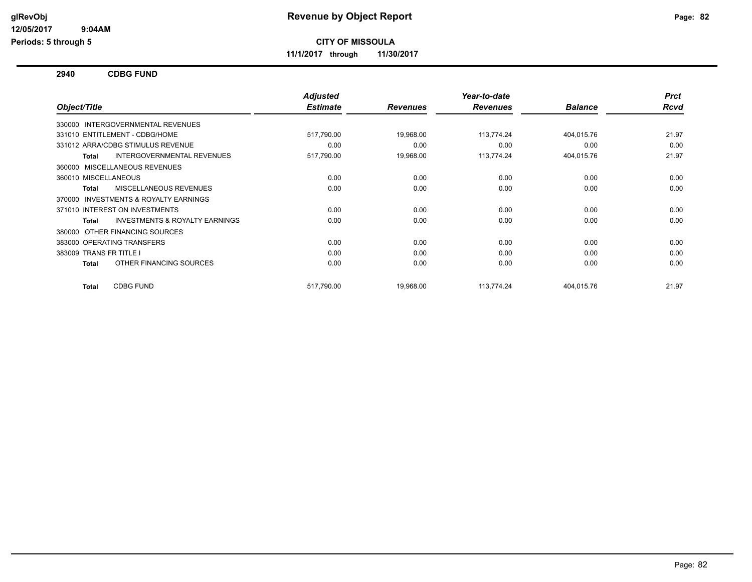**11/1/2017 through 11/30/2017**

**2940 CDBG FUND**

|                                                           | <b>Adjusted</b> |                 | Year-to-date    |                | <b>Prct</b> |
|-----------------------------------------------------------|-----------------|-----------------|-----------------|----------------|-------------|
| Object/Title                                              | <b>Estimate</b> | <b>Revenues</b> | <b>Revenues</b> | <b>Balance</b> | Rcvd        |
| <b>INTERGOVERNMENTAL REVENUES</b><br>330000               |                 |                 |                 |                |             |
| 331010 ENTITLEMENT - CDBG/HOME                            | 517,790.00      | 19,968.00       | 113,774.24      | 404,015.76     | 21.97       |
| 331012 ARRA/CDBG STIMULUS REVENUE                         | 0.00            | 0.00            | 0.00            | 0.00           | 0.00        |
| <b>INTERGOVERNMENTAL REVENUES</b><br><b>Total</b>         | 517,790.00      | 19,968.00       | 113,774.24      | 404,015.76     | 21.97       |
| MISCELLANEOUS REVENUES<br>360000                          |                 |                 |                 |                |             |
| 360010 MISCELLANEOUS                                      | 0.00            | 0.00            | 0.00            | 0.00           | 0.00        |
| MISCELLANEOUS REVENUES<br><b>Total</b>                    | 0.00            | 0.00            | 0.00            | 0.00           | 0.00        |
| <b>INVESTMENTS &amp; ROYALTY EARNINGS</b><br>370000       |                 |                 |                 |                |             |
| 371010 INTEREST ON INVESTMENTS                            | 0.00            | 0.00            | 0.00            | 0.00           | 0.00        |
| <b>INVESTMENTS &amp; ROYALTY EARNINGS</b><br><b>Total</b> | 0.00            | 0.00            | 0.00            | 0.00           | 0.00        |
| OTHER FINANCING SOURCES<br>380000                         |                 |                 |                 |                |             |
| 383000 OPERATING TRANSFERS                                | 0.00            | 0.00            | 0.00            | 0.00           | 0.00        |
| 383009 TRANS FR TITLE I                                   | 0.00            | 0.00            | 0.00            | 0.00           | 0.00        |
| OTHER FINANCING SOURCES<br><b>Total</b>                   | 0.00            | 0.00            | 0.00            | 0.00           | 0.00        |
| <b>CDBG FUND</b><br><b>Total</b>                          | 517,790.00      | 19.968.00       | 113.774.24      | 404.015.76     | 21.97       |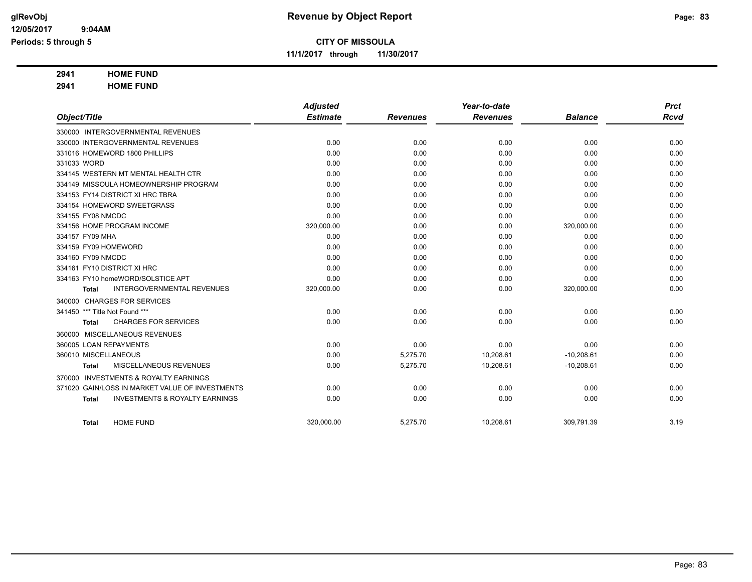**11/1/2017 through 11/30/2017**

## **2941 HOME FUND**

**2941 HOME FUND**

|                                                           | <b>Adjusted</b> |                 | Year-to-date    |                | <b>Prct</b> |
|-----------------------------------------------------------|-----------------|-----------------|-----------------|----------------|-------------|
| Object/Title                                              | <b>Estimate</b> | <b>Revenues</b> | <b>Revenues</b> | <b>Balance</b> | Rcvd        |
| 330000 INTERGOVERNMENTAL REVENUES                         |                 |                 |                 |                |             |
| 330000 INTERGOVERNMENTAL REVENUES                         | 0.00            | 0.00            | 0.00            | 0.00           | 0.00        |
| 331016 HOMEWORD 1800 PHILLIPS                             | 0.00            | 0.00            | 0.00            | 0.00           | 0.00        |
| 331033 WORD                                               | 0.00            | 0.00            | 0.00            | 0.00           | 0.00        |
| 334145 WESTERN MT MENTAL HEALTH CTR                       | 0.00            | 0.00            | 0.00            | 0.00           | 0.00        |
| 334149 MISSOULA HOMEOWNERSHIP PROGRAM                     | 0.00            | 0.00            | 0.00            | 0.00           | 0.00        |
| 334153 FY14 DISTRICT XI HRC TBRA                          | 0.00            | 0.00            | 0.00            | 0.00           | 0.00        |
| 334154 HOMEWORD SWEETGRASS                                | 0.00            | 0.00            | 0.00            | 0.00           | 0.00        |
| 334155 FY08 NMCDC                                         | 0.00            | 0.00            | 0.00            | 0.00           | 0.00        |
| 334156 HOME PROGRAM INCOME                                | 320,000.00      | 0.00            | 0.00            | 320,000.00     | 0.00        |
| 334157 FY09 MHA                                           | 0.00            | 0.00            | 0.00            | 0.00           | 0.00        |
| 334159 FY09 HOMEWORD                                      | 0.00            | 0.00            | 0.00            | 0.00           | 0.00        |
| 334160 FY09 NMCDC                                         | 0.00            | 0.00            | 0.00            | 0.00           | 0.00        |
| 334161 FY10 DISTRICT XI HRC                               | 0.00            | 0.00            | 0.00            | 0.00           | 0.00        |
| 334163 FY10 homeWORD/SOLSTICE APT                         | 0.00            | 0.00            | 0.00            | 0.00           | 0.00        |
| <b>INTERGOVERNMENTAL REVENUES</b><br><b>Total</b>         | 320,000.00      | 0.00            | 0.00            | 320,000.00     | 0.00        |
| 340000 CHARGES FOR SERVICES                               |                 |                 |                 |                |             |
| 341450 *** Title Not Found ***                            | 0.00            | 0.00            | 0.00            | 0.00           | 0.00        |
| <b>CHARGES FOR SERVICES</b><br><b>Total</b>               | 0.00            | 0.00            | 0.00            | 0.00           | 0.00        |
| 360000 MISCELLANEOUS REVENUES                             |                 |                 |                 |                |             |
| 360005 LOAN REPAYMENTS                                    | 0.00            | 0.00            | 0.00            | 0.00           | 0.00        |
| 360010 MISCELLANEOUS                                      | 0.00            | 5,275.70        | 10,208.61       | $-10,208.61$   | 0.00        |
| MISCELLANEOUS REVENUES<br><b>Total</b>                    | 0.00            | 5,275.70        | 10,208.61       | $-10,208.61$   | 0.00        |
| 370000 INVESTMENTS & ROYALTY EARNINGS                     |                 |                 |                 |                |             |
| 371020 GAIN/LOSS IN MARKET VALUE OF INVESTMENTS           | 0.00            | 0.00            | 0.00            | 0.00           | 0.00        |
| <b>INVESTMENTS &amp; ROYALTY EARNINGS</b><br><b>Total</b> | 0.00            | 0.00            | 0.00            | 0.00           | 0.00        |
| <b>HOME FUND</b><br><b>Total</b>                          | 320,000.00      | 5,275.70        | 10,208.61       | 309,791.39     | 3.19        |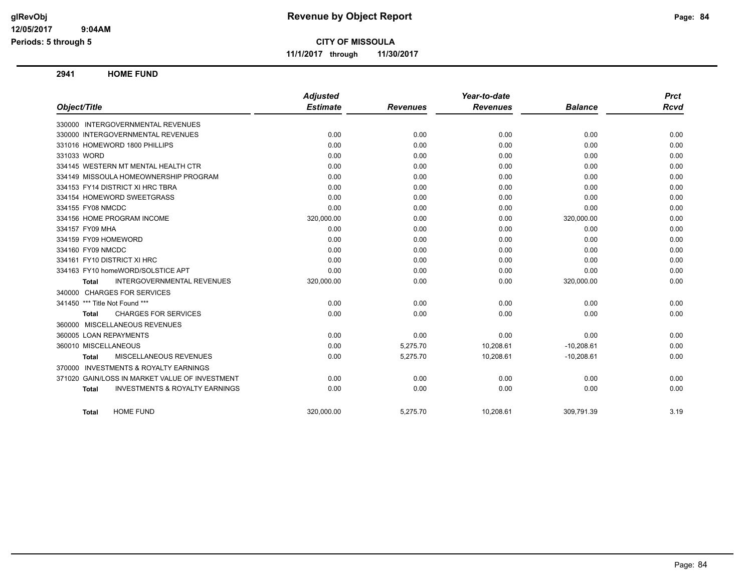**11/1/2017 through 11/30/2017**

**2941 HOME FUND**

|                                                           | <b>Adjusted</b> |                 | Year-to-date    |                | <b>Prct</b> |
|-----------------------------------------------------------|-----------------|-----------------|-----------------|----------------|-------------|
| Object/Title                                              | <b>Estimate</b> | <b>Revenues</b> | <b>Revenues</b> | <b>Balance</b> | <b>Rcvd</b> |
| 330000 INTERGOVERNMENTAL REVENUES                         |                 |                 |                 |                |             |
| 330000 INTERGOVERNMENTAL REVENUES                         | 0.00            | 0.00            | 0.00            | 0.00           | 0.00        |
| 331016 HOMEWORD 1800 PHILLIPS                             | 0.00            | 0.00            | 0.00            | 0.00           | 0.00        |
| 331033 WORD                                               | 0.00            | 0.00            | 0.00            | 0.00           | 0.00        |
| 334145 WESTERN MT MENTAL HEALTH CTR                       | 0.00            | 0.00            | 0.00            | 0.00           | 0.00        |
| 334149 MISSOULA HOMEOWNERSHIP PROGRAM                     | 0.00            | 0.00            | 0.00            | 0.00           | 0.00        |
| 334153 FY14 DISTRICT XI HRC TBRA                          | 0.00            | 0.00            | 0.00            | 0.00           | 0.00        |
| 334154 HOMEWORD SWEETGRASS                                | 0.00            | 0.00            | 0.00            | 0.00           | 0.00        |
| 334155 FY08 NMCDC                                         | 0.00            | 0.00            | 0.00            | 0.00           | 0.00        |
| 334156 HOME PROGRAM INCOME                                | 320,000.00      | 0.00            | 0.00            | 320,000.00     | 0.00        |
| 334157 FY09 MHA                                           | 0.00            | 0.00            | 0.00            | 0.00           | 0.00        |
| 334159 FY09 HOMEWORD                                      | 0.00            | 0.00            | 0.00            | 0.00           | 0.00        |
| 334160 FY09 NMCDC                                         | 0.00            | 0.00            | 0.00            | 0.00           | 0.00        |
| 334161 FY10 DISTRICT XI HRC                               | 0.00            | 0.00            | 0.00            | 0.00           | 0.00        |
| 334163 FY10 homeWORD/SOLSTICE APT                         | 0.00            | 0.00            | 0.00            | 0.00           | 0.00        |
| <b>INTERGOVERNMENTAL REVENUES</b><br><b>Total</b>         | 320,000.00      | 0.00            | 0.00            | 320,000.00     | 0.00        |
| 340000 CHARGES FOR SERVICES                               |                 |                 |                 |                |             |
| 341450 *** Title Not Found ***                            | 0.00            | 0.00            | 0.00            | 0.00           | 0.00        |
| <b>CHARGES FOR SERVICES</b><br><b>Total</b>               | 0.00            | 0.00            | 0.00            | 0.00           | 0.00        |
| 360000 MISCELLANEOUS REVENUES                             |                 |                 |                 |                |             |
| 360005 LOAN REPAYMENTS                                    | 0.00            | 0.00            | 0.00            | 0.00           | 0.00        |
| 360010 MISCELLANEOUS                                      | 0.00            | 5,275.70        | 10,208.61       | $-10,208.61$   | 0.00        |
| MISCELLANEOUS REVENUES<br><b>Total</b>                    | 0.00            | 5,275.70        | 10,208.61       | $-10,208.61$   | 0.00        |
| 370000 INVESTMENTS & ROYALTY EARNINGS                     |                 |                 |                 |                |             |
| 371020 GAIN/LOSS IN MARKET VALUE OF INVESTMENT            | 0.00            | 0.00            | 0.00            | 0.00           | 0.00        |
| <b>INVESTMENTS &amp; ROYALTY EARNINGS</b><br><b>Total</b> | 0.00            | 0.00            | 0.00            | 0.00           | 0.00        |
|                                                           |                 |                 |                 |                |             |
| <b>HOME FUND</b><br><b>Total</b>                          | 320,000.00      | 5,275.70        | 10,208.61       | 309,791.39     | 3.19        |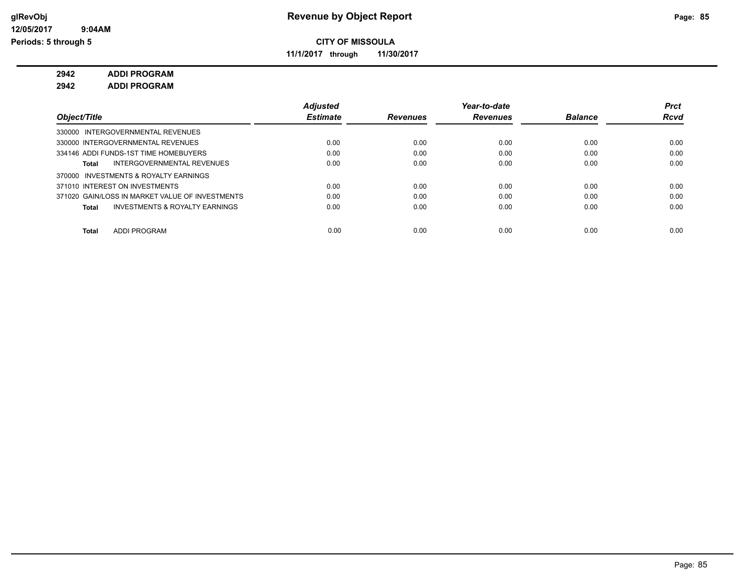**11/1/2017 through 11/30/2017**

## **2942 ADDI PROGRAM**

**2942 ADDI PROGRAM**

|                                                    | <b>Adjusted</b> |                 | Year-to-date    |                | <b>Prct</b> |
|----------------------------------------------------|-----------------|-----------------|-----------------|----------------|-------------|
| Object/Title                                       | <b>Estimate</b> | <b>Revenues</b> | <b>Revenues</b> | <b>Balance</b> | <b>Rcvd</b> |
| 330000 INTERGOVERNMENTAL REVENUES                  |                 |                 |                 |                |             |
| 330000 INTERGOVERNMENTAL REVENUES                  | 0.00            | 0.00            | 0.00            | 0.00           | 0.00        |
| 334146 ADDI FUNDS-1ST TIME HOMEBUYERS              | 0.00            | 0.00            | 0.00            | 0.00           | 0.00        |
| <b>INTERGOVERNMENTAL REVENUES</b><br>Total         | 0.00            | 0.00            | 0.00            | 0.00           | 0.00        |
| 370000 INVESTMENTS & ROYALTY EARNINGS              |                 |                 |                 |                |             |
| 371010 INTEREST ON INVESTMENTS                     | 0.00            | 0.00            | 0.00            | 0.00           | 0.00        |
| 371020 GAIN/LOSS IN MARKET VALUE OF INVESTMENTS    | 0.00            | 0.00            | 0.00            | 0.00           | 0.00        |
| <b>INVESTMENTS &amp; ROYALTY EARNINGS</b><br>Total | 0.00            | 0.00            | 0.00            | 0.00           | 0.00        |
|                                                    |                 |                 |                 |                |             |
| ADDI PROGRAM<br><b>Total</b>                       | 0.00            | 0.00            | 0.00            | 0.00           | 0.00        |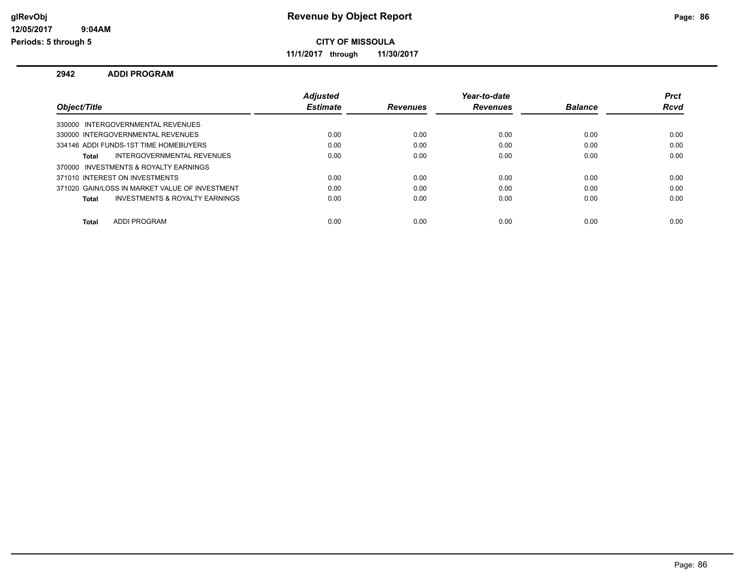**11/1/2017 through 11/30/2017**

#### **2942 ADDI PROGRAM**

|                                                   | <b>Adiusted</b> |                 | Year-to-date    |                | <b>Prct</b> |
|---------------------------------------------------|-----------------|-----------------|-----------------|----------------|-------------|
| Object/Title                                      | <b>Estimate</b> | <b>Revenues</b> | <b>Revenues</b> | <b>Balance</b> | <b>Rcvd</b> |
| 330000 INTERGOVERNMENTAL REVENUES                 |                 |                 |                 |                |             |
| 330000 INTERGOVERNMENTAL REVENUES                 | 0.00            | 0.00            | 0.00            | 0.00           | 0.00        |
| 334146 ADDI FUNDS-1ST TIME HOMEBUYERS             | 0.00            | 0.00            | 0.00            | 0.00           | 0.00        |
| <b>INTERGOVERNMENTAL REVENUES</b><br><b>Total</b> | 0.00            | 0.00            | 0.00            | 0.00           | 0.00        |
| 370000 INVESTMENTS & ROYALTY EARNINGS             |                 |                 |                 |                |             |
| 371010 INTEREST ON INVESTMENTS                    | 0.00            | 0.00            | 0.00            | 0.00           | 0.00        |
| 371020 GAIN/LOSS IN MARKET VALUE OF INVESTMENT    | 0.00            | 0.00            | 0.00            | 0.00           | 0.00        |
| INVESTMENTS & ROYALTY EARNINGS<br><b>Total</b>    | 0.00            | 0.00            | 0.00            | 0.00           | 0.00        |
|                                                   |                 |                 |                 |                |             |
| <b>ADDI PROGRAM</b><br><b>Total</b>               | 0.00            | 0.00            | 0.00            | 0.00           | 0.00        |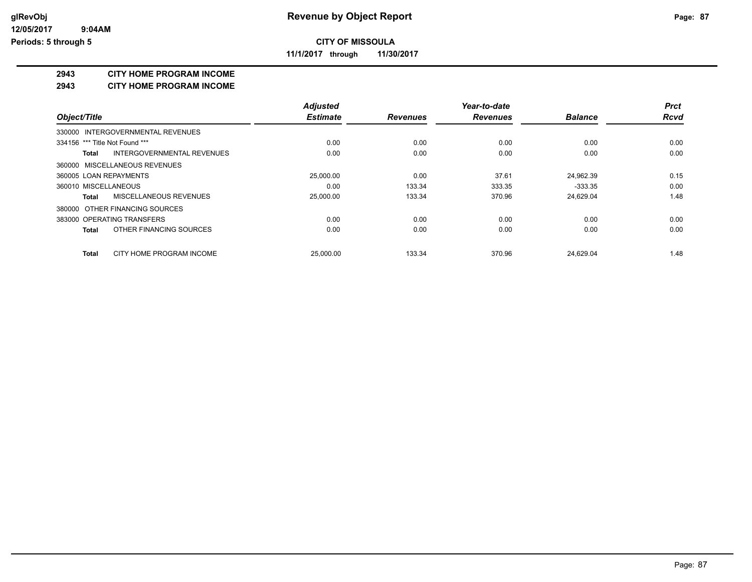**11/1/2017 through 11/30/2017**

#### **2943 CITY HOME PROGRAM INCOME**

#### **2943 CITY HOME PROGRAM INCOME**

|                                            | <b>Adjusted</b> |                 | Year-to-date    |                | <b>Prct</b> |
|--------------------------------------------|-----------------|-----------------|-----------------|----------------|-------------|
| Object/Title                               | <b>Estimate</b> | <b>Revenues</b> | <b>Revenues</b> | <b>Balance</b> | <b>Rcvd</b> |
| 330000 INTERGOVERNMENTAL REVENUES          |                 |                 |                 |                |             |
| 334156 *** Title Not Found ***             | 0.00            | 0.00            | 0.00            | 0.00           | 0.00        |
| <b>INTERGOVERNMENTAL REVENUES</b><br>Total | 0.00            | 0.00            | 0.00            | 0.00           | 0.00        |
| 360000 MISCELLANEOUS REVENUES              |                 |                 |                 |                |             |
| 360005 LOAN REPAYMENTS                     | 25,000.00       | 0.00            | 37.61           | 24,962.39      | 0.15        |
| 360010 MISCELLANEOUS                       | 0.00            | 133.34          | 333.35          | $-333.35$      | 0.00        |
| MISCELLANEOUS REVENUES<br>Total            | 25,000.00       | 133.34          | 370.96          | 24.629.04      | 1.48        |
| 380000 OTHER FINANCING SOURCES             |                 |                 |                 |                |             |
| 383000 OPERATING TRANSFERS                 | 0.00            | 0.00            | 0.00            | 0.00           | 0.00        |
| OTHER FINANCING SOURCES<br>Total           | 0.00            | 0.00            | 0.00            | 0.00           | 0.00        |
| CITY HOME PROGRAM INCOME<br>Total          | 25.000.00       | 133.34          | 370.96          | 24.629.04      | 1.48        |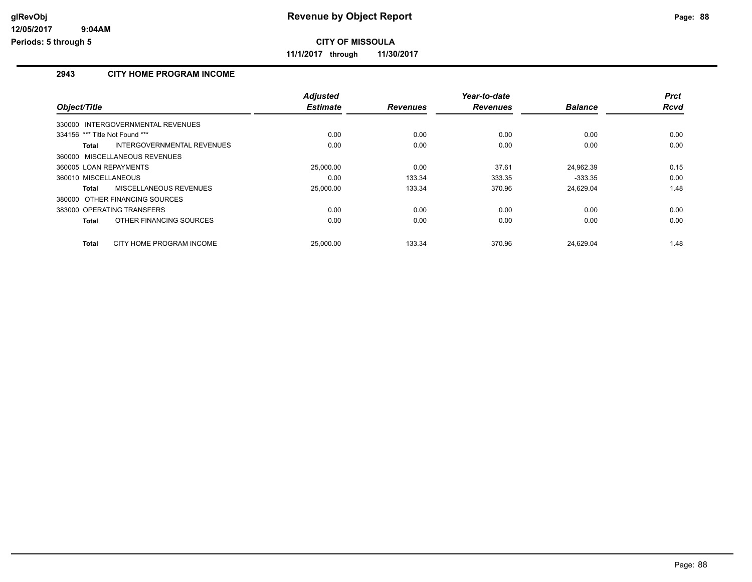**11/1/2017 through 11/30/2017**

#### **2943 CITY HOME PROGRAM INCOME**

|                                            | <b>Adjusted</b> |                 | Year-to-date    |                | <b>Prct</b> |
|--------------------------------------------|-----------------|-----------------|-----------------|----------------|-------------|
| Object/Title                               | <b>Estimate</b> | <b>Revenues</b> | <b>Revenues</b> | <b>Balance</b> | <b>Rcvd</b> |
| 330000 INTERGOVERNMENTAL REVENUES          |                 |                 |                 |                |             |
| 334156 *** Title Not Found ***             | 0.00            | 0.00            | 0.00            | 0.00           | 0.00        |
| INTERGOVERNMENTAL REVENUES<br><b>Total</b> | 0.00            | 0.00            | 0.00            | 0.00           | 0.00        |
| 360000 MISCELLANEOUS REVENUES              |                 |                 |                 |                |             |
| 360005 LOAN REPAYMENTS                     | 25,000.00       | 0.00            | 37.61           | 24,962.39      | 0.15        |
| 360010 MISCELLANEOUS                       | 0.00            | 133.34          | 333.35          | $-333.35$      | 0.00        |
| MISCELLANEOUS REVENUES<br><b>Total</b>     | 25,000.00       | 133.34          | 370.96          | 24,629.04      | 1.48        |
| 380000 OTHER FINANCING SOURCES             |                 |                 |                 |                |             |
| 383000 OPERATING TRANSFERS                 | 0.00            | 0.00            | 0.00            | 0.00           | 0.00        |
| OTHER FINANCING SOURCES<br><b>Total</b>    | 0.00            | 0.00            | 0.00            | 0.00           | 0.00        |
| CITY HOME PROGRAM INCOME<br><b>Total</b>   | 25.000.00       | 133.34          | 370.96          | 24.629.04      | 1.48        |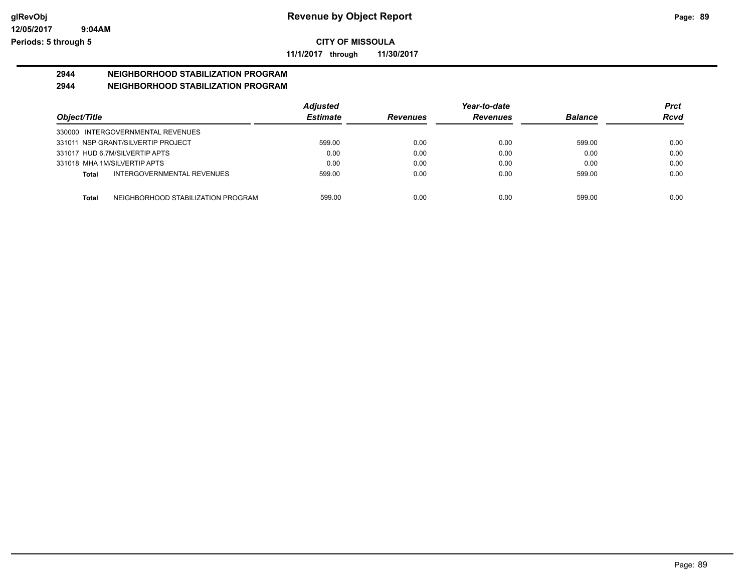**11/1/2017 through 11/30/2017**

#### **2944 NEIGHBORHOOD STABILIZATION PROGRAM 2944 NEIGHBORHOOD STABILIZATION PROGRAM**

|                                                    | <b>Adjusted</b> |                 | Year-to-date    |                | Prct |
|----------------------------------------------------|-----------------|-----------------|-----------------|----------------|------|
| Object/Title                                       | <b>Estimate</b> | <b>Revenues</b> | <b>Revenues</b> | <b>Balance</b> | Rcvd |
| 330000 INTERGOVERNMENTAL REVENUES                  |                 |                 |                 |                |      |
| 331011 NSP GRANT/SILVERTIP PROJECT                 | 599.00          | 0.00            | 0.00            | 599.00         | 0.00 |
| 331017 HUD 6.7M/SILVERTIP APTS                     | 0.00            | 0.00            | 0.00            | 0.00           | 0.00 |
| 331018 MHA 1M/SILVERTIP APTS                       | 0.00            | 0.00            | 0.00            | 0.00           | 0.00 |
| INTERGOVERNMENTAL REVENUES<br>Total                | 599.00          | 0.00            | 0.00            | 599.00         | 0.00 |
| NEIGHBORHOOD STABILIZATION PROGRAM<br><b>Total</b> | 599.00          | 0.00            | 0.00            | 599.00         | 0.00 |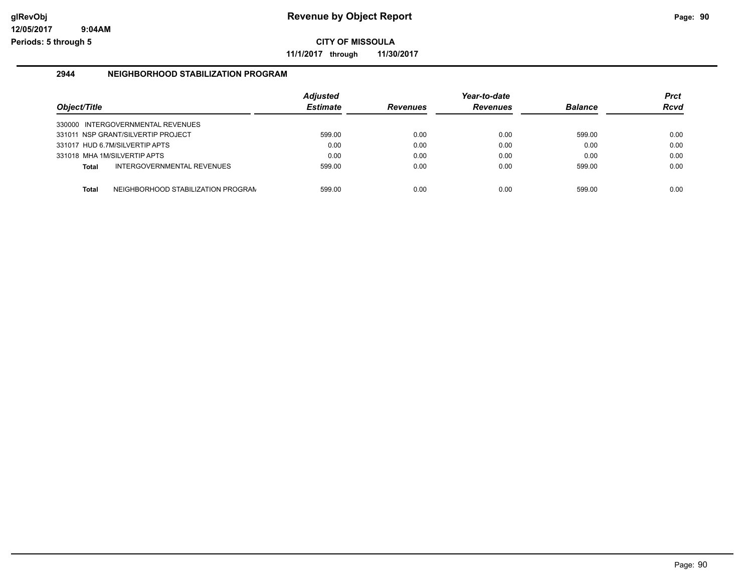**11/1/2017 through 11/30/2017**

#### **2944 NEIGHBORHOOD STABILIZATION PROGRAM**

| Object/Title |                                    | <b>Adjusted</b><br><b>Estimate</b> | <b>Revenues</b> | Year-to-date<br><b>Revenues</b> | <b>Balance</b> | <b>Prct</b><br><b>Rcvd</b> |
|--------------|------------------------------------|------------------------------------|-----------------|---------------------------------|----------------|----------------------------|
|              | 330000 INTERGOVERNMENTAL REVENUES  |                                    |                 |                                 |                |                            |
|              | 331011 NSP GRANT/SILVERTIP PROJECT | 599.00                             | 0.00            | 0.00                            | 599.00         | 0.00                       |
|              | 331017 HUD 6.7M/SILVERTIP APTS     | 0.00                               | 0.00            | 0.00                            | 0.00           | 0.00                       |
|              | 331018 MHA 1M/SILVERTIP APTS       | 0.00                               | 0.00            | 0.00                            | 0.00           | 0.00                       |
| Total        | INTERGOVERNMENTAL REVENUES         | 599.00                             | 0.00            | 0.00                            | 599.00         | 0.00                       |
| <b>Total</b> | NEIGHBORHOOD STABILIZATION PROGRAM | 599.00                             | 0.00            | 0.00                            | 599.00         | 0.00                       |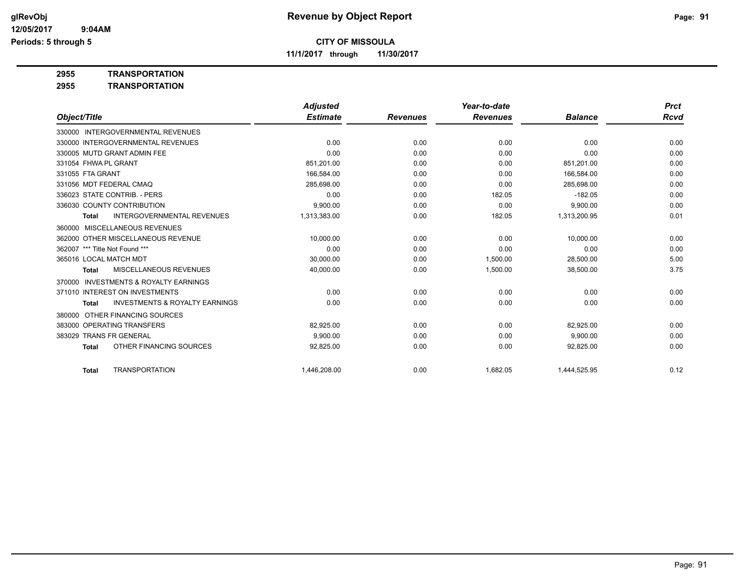**11/1/2017 through 11/30/2017**

**2955 TRANSPORTATION**

**2955 TRANSPORTATION**

|                                                           | <b>Adjusted</b> |                 | Year-to-date    |                | <b>Prct</b> |
|-----------------------------------------------------------|-----------------|-----------------|-----------------|----------------|-------------|
| Object/Title                                              | <b>Estimate</b> | <b>Revenues</b> | <b>Revenues</b> | <b>Balance</b> | Rcvd        |
| INTERGOVERNMENTAL REVENUES<br>330000                      |                 |                 |                 |                |             |
| 330000 INTERGOVERNMENTAL REVENUES                         | 0.00            | 0.00            | 0.00            | 0.00           | 0.00        |
| 330005 MUTD GRANT ADMIN FEE                               | 0.00            | 0.00            | 0.00            | 0.00           | 0.00        |
| 331054 FHWA PL GRANT                                      | 851,201.00      | 0.00            | 0.00            | 851,201.00     | 0.00        |
| 331055 FTA GRANT                                          | 166.584.00      | 0.00            | 0.00            | 166.584.00     | 0.00        |
| 331056 MDT FEDERAL CMAO                                   | 285,698.00      | 0.00            | 0.00            | 285.698.00     | 0.00        |
| 336023 STATE CONTRIB. - PERS                              | 0.00            | 0.00            | 182.05          | $-182.05$      | 0.00        |
| 336030 COUNTY CONTRIBUTION                                | 9.900.00        | 0.00            | 0.00            | 9,900.00       | 0.00        |
| <b>INTERGOVERNMENTAL REVENUES</b><br><b>Total</b>         | 1,313,383.00    | 0.00            | 182.05          | 1,313,200.95   | 0.01        |
| MISCELLANEOUS REVENUES<br>360000                          |                 |                 |                 |                |             |
| 362000 OTHER MISCELLANEOUS REVENUE                        | 10,000.00       | 0.00            | 0.00            | 10,000.00      | 0.00        |
| 362007 *** Title Not Found ***                            | 0.00            | 0.00            | 0.00            | 0.00           | 0.00        |
| 365016 LOCAL MATCH MDT                                    | 30,000.00       | 0.00            | 1,500.00        | 28,500.00      | 5.00        |
| <b>MISCELLANEOUS REVENUES</b><br><b>Total</b>             | 40,000.00       | 0.00            | 1,500.00        | 38,500.00      | 3.75        |
| <b>INVESTMENTS &amp; ROYALTY EARNINGS</b><br>370000       |                 |                 |                 |                |             |
| 371010 INTEREST ON INVESTMENTS                            | 0.00            | 0.00            | 0.00            | 0.00           | 0.00        |
| <b>INVESTMENTS &amp; ROYALTY EARNINGS</b><br><b>Total</b> | 0.00            | 0.00            | 0.00            | 0.00           | 0.00        |
| OTHER FINANCING SOURCES<br>380000                         |                 |                 |                 |                |             |
| 383000 OPERATING TRANSFERS                                | 82.925.00       | 0.00            | 0.00            | 82.925.00      | 0.00        |
| 383029 TRANS FR GENERAL                                   | 9.900.00        | 0.00            | 0.00            | 9,900.00       | 0.00        |
| OTHER FINANCING SOURCES<br><b>Total</b>                   | 92,825.00       | 0.00            | 0.00            | 92,825.00      | 0.00        |
| <b>TRANSPORTATION</b><br><b>Total</b>                     | 1,446,208.00    | 0.00            | 1,682.05        | 1,444,525.95   | 0.12        |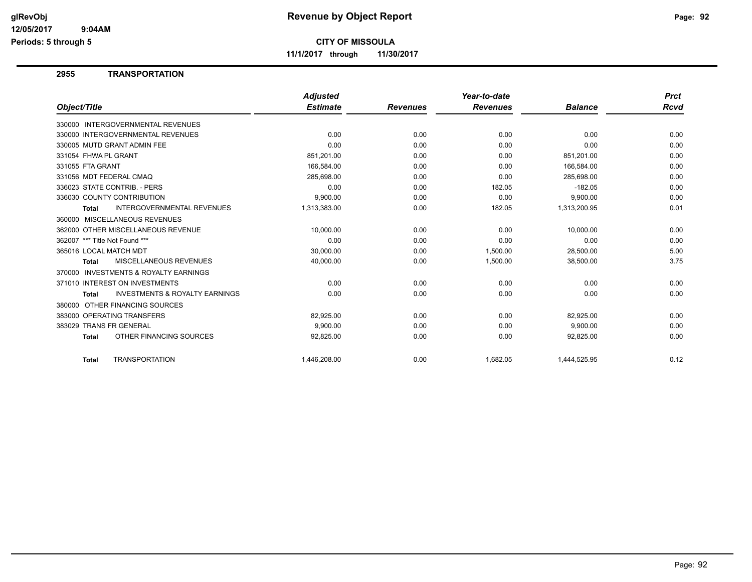**11/1/2017 through 11/30/2017**

#### **2955 TRANSPORTATION**

|                                                    | <b>Adjusted</b> |                 | Year-to-date    |                | <b>Prct</b> |
|----------------------------------------------------|-----------------|-----------------|-----------------|----------------|-------------|
| Object/Title                                       | <b>Estimate</b> | <b>Revenues</b> | <b>Revenues</b> | <b>Balance</b> | Rcvd        |
| 330000 INTERGOVERNMENTAL REVENUES                  |                 |                 |                 |                |             |
| 330000 INTERGOVERNMENTAL REVENUES                  | 0.00            | 0.00            | 0.00            | 0.00           | 0.00        |
| 330005 MUTD GRANT ADMIN FEE                        | 0.00            | 0.00            | 0.00            | 0.00           | 0.00        |
| 331054 FHWA PL GRANT                               | 851,201.00      | 0.00            | 0.00            | 851,201.00     | 0.00        |
| 331055 FTA GRANT                                   | 166,584.00      | 0.00            | 0.00            | 166,584.00     | 0.00        |
| 331056 MDT FEDERAL CMAQ                            | 285,698.00      | 0.00            | 0.00            | 285,698.00     | 0.00        |
| 336023 STATE CONTRIB. - PERS                       | 0.00            | 0.00            | 182.05          | $-182.05$      | 0.00        |
| 336030 COUNTY CONTRIBUTION                         | 9,900.00        | 0.00            | 0.00            | 9,900.00       | 0.00        |
| <b>INTERGOVERNMENTAL REVENUES</b><br><b>Total</b>  | 1,313,383.00    | 0.00            | 182.05          | 1,313,200.95   | 0.01        |
| 360000 MISCELLANEOUS REVENUES                      |                 |                 |                 |                |             |
| 362000 OTHER MISCELLANEOUS REVENUE                 | 10.000.00       | 0.00            | 0.00            | 10.000.00      | 0.00        |
| 362007 *** Title Not Found ***                     | 0.00            | 0.00            | 0.00            | 0.00           | 0.00        |
| 365016 LOCAL MATCH MDT                             | 30,000.00       | 0.00            | 1,500.00        | 28,500.00      | 5.00        |
| MISCELLANEOUS REVENUES<br><b>Total</b>             | 40,000.00       | 0.00            | 1,500.00        | 38,500.00      | 3.75        |
| 370000 INVESTMENTS & ROYALTY EARNINGS              |                 |                 |                 |                |             |
| 371010 INTEREST ON INVESTMENTS                     | 0.00            | 0.00            | 0.00            | 0.00           | 0.00        |
| <b>INVESTMENTS &amp; ROYALTY EARNINGS</b><br>Total | 0.00            | 0.00            | 0.00            | 0.00           | 0.00        |
| 380000 OTHER FINANCING SOURCES                     |                 |                 |                 |                |             |
| 383000 OPERATING TRANSFERS                         | 82,925.00       | 0.00            | 0.00            | 82,925.00      | 0.00        |
| 383029 TRANS FR GENERAL                            | 9,900.00        | 0.00            | 0.00            | 9,900.00       | 0.00        |
| OTHER FINANCING SOURCES<br>Total                   | 92,825.00       | 0.00            | 0.00            | 92,825.00      | 0.00        |
| <b>TRANSPORTATION</b><br><b>Total</b>              | 1.446.208.00    | 0.00            | 1.682.05        | 1.444.525.95   | 0.12        |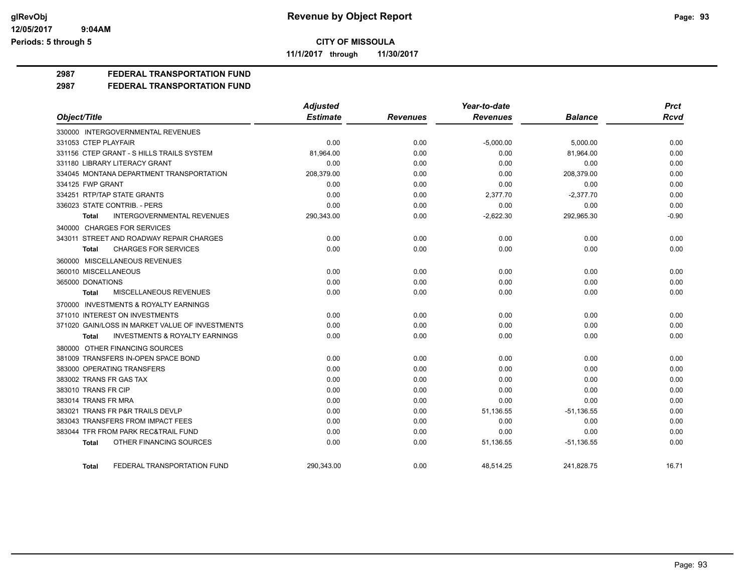**11/1/2017 through 11/30/2017**

**2987 FEDERAL TRANSPORTATION FUND**

**2987 FEDERAL TRANSPORTATION FUND**

|                                                    | <b>Adjusted</b> |                 | Year-to-date    |                | <b>Prct</b> |
|----------------------------------------------------|-----------------|-----------------|-----------------|----------------|-------------|
| Object/Title                                       | <b>Estimate</b> | <b>Revenues</b> | <b>Revenues</b> | <b>Balance</b> | <b>Rcvd</b> |
| 330000 INTERGOVERNMENTAL REVENUES                  |                 |                 |                 |                |             |
| 331053 CTEP PLAYFAIR                               | 0.00            | 0.00            | $-5,000.00$     | 5,000.00       | 0.00        |
| 331156 CTEP GRANT - S HILLS TRAILS SYSTEM          | 81,964.00       | 0.00            | 0.00            | 81,964.00      | 0.00        |
| 331180 LIBRARY LITERACY GRANT                      | 0.00            | 0.00            | 0.00            | 0.00           | 0.00        |
| 334045 MONTANA DEPARTMENT TRANSPORTATION           | 208,379.00      | 0.00            | 0.00            | 208,379.00     | 0.00        |
| 334125 FWP GRANT                                   | 0.00            | 0.00            | 0.00            | 0.00           | 0.00        |
| 334251 RTP/TAP STATE GRANTS                        | 0.00            | 0.00            | 2,377.70        | $-2,377.70$    | 0.00        |
| 336023 STATE CONTRIB. - PERS                       | 0.00            | 0.00            | 0.00            | 0.00           | 0.00        |
| <b>INTERGOVERNMENTAL REVENUES</b><br><b>Total</b>  | 290,343.00      | 0.00            | $-2,622.30$     | 292,965.30     | $-0.90$     |
| 340000 CHARGES FOR SERVICES                        |                 |                 |                 |                |             |
| 343011 STREET AND ROADWAY REPAIR CHARGES           | 0.00            | 0.00            | 0.00            | 0.00           | 0.00        |
| <b>CHARGES FOR SERVICES</b><br><b>Total</b>        | 0.00            | 0.00            | 0.00            | 0.00           | 0.00        |
| 360000 MISCELLANEOUS REVENUES                      |                 |                 |                 |                |             |
| 360010 MISCELLANEOUS                               | 0.00            | 0.00            | 0.00            | 0.00           | 0.00        |
| 365000 DONATIONS                                   | 0.00            | 0.00            | 0.00            | 0.00           | 0.00        |
| MISCELLANEOUS REVENUES<br><b>Total</b>             | 0.00            | 0.00            | 0.00            | 0.00           | 0.00        |
| 370000 INVESTMENTS & ROYALTY EARNINGS              |                 |                 |                 |                |             |
| 371010 INTEREST ON INVESTMENTS                     | 0.00            | 0.00            | 0.00            | 0.00           | 0.00        |
| 371020 GAIN/LOSS IN MARKET VALUE OF INVESTMENTS    | 0.00            | 0.00            | 0.00            | 0.00           | 0.00        |
| <b>INVESTMENTS &amp; ROYALTY EARNINGS</b><br>Total | 0.00            | 0.00            | 0.00            | 0.00           | 0.00        |
| 380000 OTHER FINANCING SOURCES                     |                 |                 |                 |                |             |
| 381009 TRANSFERS IN-OPEN SPACE BOND                | 0.00            | 0.00            | 0.00            | 0.00           | 0.00        |
| 383000 OPERATING TRANSFERS                         | 0.00            | 0.00            | 0.00            | 0.00           | 0.00        |
| 383002 TRANS FR GAS TAX                            | 0.00            | 0.00            | 0.00            | 0.00           | 0.00        |
| 383010 TRANS FR CIP                                | 0.00            | 0.00            | 0.00            | 0.00           | 0.00        |
| 383014 TRANS FR MRA                                | 0.00            | 0.00            | 0.00            | 0.00           | 0.00        |
| 383021 TRANS FR P&R TRAILS DEVLP                   | 0.00            | 0.00            | 51,136.55       | $-51, 136.55$  | 0.00        |
| 383043 TRANSFERS FROM IMPACT FEES                  | 0.00            | 0.00            | 0.00            | 0.00           | 0.00        |
| 383044 TFR FROM PARK REC&TRAIL FUND                | 0.00            | 0.00            | 0.00            | 0.00           | 0.00        |
| OTHER FINANCING SOURCES<br>Total                   | 0.00            | 0.00            | 51,136.55       | $-51,136.55$   | 0.00        |
| FEDERAL TRANSPORTATION FUND<br>Total               | 290,343.00      | 0.00            | 48,514.25       | 241,828.75     | 16.71       |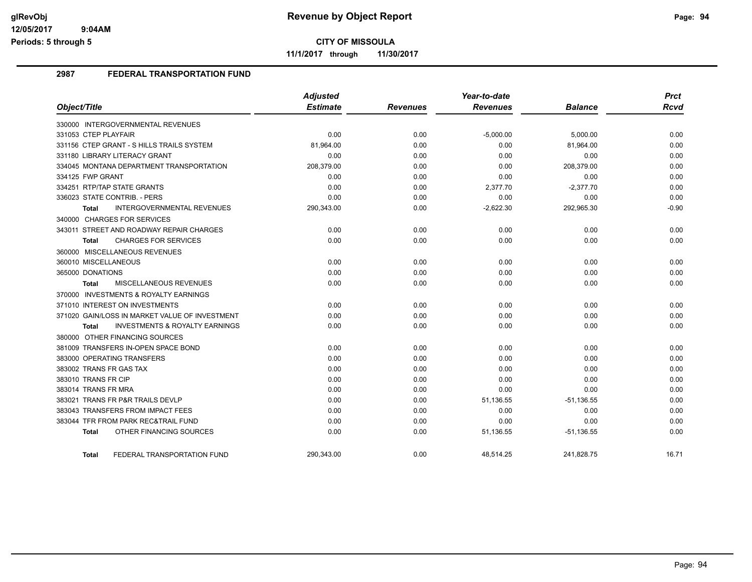**11/1/2017 through 11/30/2017**

#### **2987 FEDERAL TRANSPORTATION FUND**

|                                                           | <b>Adjusted</b> |                 | Year-to-date    |                | <b>Prct</b> |
|-----------------------------------------------------------|-----------------|-----------------|-----------------|----------------|-------------|
| Object/Title                                              | <b>Estimate</b> | <b>Revenues</b> | <b>Revenues</b> | <b>Balance</b> | <b>Rcvd</b> |
| 330000 INTERGOVERNMENTAL REVENUES                         |                 |                 |                 |                |             |
| 331053 CTEP PLAYFAIR                                      | 0.00            | 0.00            | $-5,000.00$     | 5,000.00       | 0.00        |
| 331156 CTEP GRANT - S HILLS TRAILS SYSTEM                 | 81,964.00       | 0.00            | 0.00            | 81,964.00      | 0.00        |
| 331180 LIBRARY LITERACY GRANT                             | 0.00            | 0.00            | 0.00            | 0.00           | 0.00        |
| 334045 MONTANA DEPARTMENT TRANSPORTATION                  | 208,379.00      | 0.00            | 0.00            | 208,379.00     | 0.00        |
| 334125 FWP GRANT                                          | 0.00            | 0.00            | 0.00            | 0.00           | 0.00        |
| 334251 RTP/TAP STATE GRANTS                               | 0.00            | 0.00            | 2,377.70        | $-2,377.70$    | 0.00        |
| 336023 STATE CONTRIB. - PERS                              | 0.00            | 0.00            | 0.00            | 0.00           | 0.00        |
| INTERGOVERNMENTAL REVENUES<br><b>Total</b>                | 290,343.00      | 0.00            | $-2,622.30$     | 292,965.30     | $-0.90$     |
| 340000 CHARGES FOR SERVICES                               |                 |                 |                 |                |             |
| 343011 STREET AND ROADWAY REPAIR CHARGES                  | 0.00            | 0.00            | 0.00            | 0.00           | 0.00        |
| <b>CHARGES FOR SERVICES</b><br><b>Total</b>               | 0.00            | 0.00            | 0.00            | 0.00           | 0.00        |
| 360000 MISCELLANEOUS REVENUES                             |                 |                 |                 |                |             |
| 360010 MISCELLANEOUS                                      | 0.00            | 0.00            | 0.00            | 0.00           | 0.00        |
| 365000 DONATIONS                                          | 0.00            | 0.00            | 0.00            | 0.00           | 0.00        |
| MISCELLANEOUS REVENUES<br><b>Total</b>                    | 0.00            | 0.00            | 0.00            | 0.00           | 0.00        |
| 370000 INVESTMENTS & ROYALTY EARNINGS                     |                 |                 |                 |                |             |
| 371010 INTEREST ON INVESTMENTS                            | 0.00            | 0.00            | 0.00            | 0.00           | 0.00        |
| 371020 GAIN/LOSS IN MARKET VALUE OF INVESTMENT            | 0.00            | 0.00            | 0.00            | 0.00           | 0.00        |
| <b>INVESTMENTS &amp; ROYALTY EARNINGS</b><br><b>Total</b> | 0.00            | 0.00            | 0.00            | 0.00           | 0.00        |
| 380000 OTHER FINANCING SOURCES                            |                 |                 |                 |                |             |
| 381009 TRANSFERS IN-OPEN SPACE BOND                       | 0.00            | 0.00            | 0.00            | 0.00           | 0.00        |
| 383000 OPERATING TRANSFERS                                | 0.00            | 0.00            | 0.00            | 0.00           | 0.00        |
| 383002 TRANS FR GAS TAX                                   | 0.00            | 0.00            | 0.00            | 0.00           | 0.00        |
| 383010 TRANS FR CIP                                       | 0.00            | 0.00            | 0.00            | 0.00           | 0.00        |
| 383014 TRANS FR MRA                                       | 0.00            | 0.00            | 0.00            | 0.00           | 0.00        |
| 383021 TRANS FR P&R TRAILS DEVLP                          | 0.00            | 0.00            | 51,136.55       | $-51,136.55$   | 0.00        |
| 383043 TRANSFERS FROM IMPACT FEES                         | 0.00            | 0.00            | 0.00            | 0.00           | 0.00        |
| 383044 TFR FROM PARK REC&TRAIL FUND                       | 0.00            | 0.00            | 0.00            | 0.00           | 0.00        |
| OTHER FINANCING SOURCES<br><b>Total</b>                   | 0.00            | 0.00            | 51,136.55       | $-51,136.55$   | 0.00        |
| FEDERAL TRANSPORTATION FUND<br><b>Total</b>               | 290,343.00      | 0.00            | 48,514.25       | 241,828.75     | 16.71       |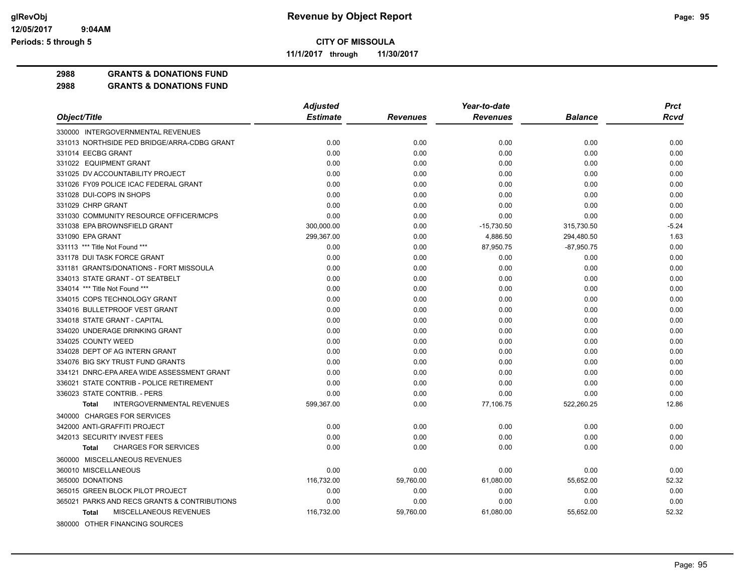**11/1/2017 through 11/30/2017**

**2988 GRANTS & DONATIONS FUND**

|                                                   | <b>Adjusted</b> |                 | Year-to-date    |                | <b>Prct</b> |
|---------------------------------------------------|-----------------|-----------------|-----------------|----------------|-------------|
| Object/Title                                      | <b>Estimate</b> | <b>Revenues</b> | <b>Revenues</b> | <b>Balance</b> | Rcvd        |
| 330000 INTERGOVERNMENTAL REVENUES                 |                 |                 |                 |                |             |
| 331013 NORTHSIDE PED BRIDGE/ARRA-CDBG GRANT       | 0.00            | 0.00            | 0.00            | 0.00           | 0.00        |
| 331014 EECBG GRANT                                | 0.00            | 0.00            | 0.00            | 0.00           | 0.00        |
| 331022 EQUIPMENT GRANT                            | 0.00            | 0.00            | 0.00            | 0.00           | 0.00        |
| 331025 DV ACCOUNTABILITY PROJECT                  | 0.00            | 0.00            | 0.00            | 0.00           | 0.00        |
| 331026 FY09 POLICE ICAC FEDERAL GRANT             | 0.00            | 0.00            | 0.00            | 0.00           | 0.00        |
| 331028 DUI-COPS IN SHOPS                          | 0.00            | 0.00            | 0.00            | 0.00           | 0.00        |
| 331029 CHRP GRANT                                 | 0.00            | 0.00            | 0.00            | 0.00           | 0.00        |
| 331030 COMMUNITY RESOURCE OFFICER/MCPS            | 0.00            | 0.00            | 0.00            | 0.00           | 0.00        |
| 331038 EPA BROWNSFIELD GRANT                      | 300,000.00      | 0.00            | $-15,730.50$    | 315,730.50     | $-5.24$     |
| 331090 EPA GRANT                                  | 299,367.00      | 0.00            | 4,886.50        | 294,480.50     | 1.63        |
| 331113 *** Title Not Found ***                    | 0.00            | 0.00            | 87,950.75       | $-87,950.75$   | 0.00        |
| 331178 DUI TASK FORCE GRANT                       | 0.00            | 0.00            | 0.00            | 0.00           | 0.00        |
| 331181 GRANTS/DONATIONS - FORT MISSOULA           | 0.00            | 0.00            | 0.00            | 0.00           | 0.00        |
| 334013 STATE GRANT - OT SEATBELT                  | 0.00            | 0.00            | 0.00            | 0.00           | 0.00        |
| 334014 *** Title Not Found ***                    | 0.00            | 0.00            | 0.00            | 0.00           | 0.00        |
| 334015 COPS TECHNOLOGY GRANT                      | 0.00            | 0.00            | 0.00            | 0.00           | 0.00        |
| 334016 BULLETPROOF VEST GRANT                     | 0.00            | 0.00            | 0.00            | 0.00           | 0.00        |
| 334018 STATE GRANT - CAPITAL                      | 0.00            | 0.00            | 0.00            | 0.00           | 0.00        |
| 334020 UNDERAGE DRINKING GRANT                    | 0.00            | 0.00            | 0.00            | 0.00           | 0.00        |
| 334025 COUNTY WEED                                | 0.00            | 0.00            | 0.00            | 0.00           | 0.00        |
| 334028 DEPT OF AG INTERN GRANT                    | 0.00            | 0.00            | 0.00            | 0.00           | 0.00        |
| 334076 BIG SKY TRUST FUND GRANTS                  | 0.00            | 0.00            | 0.00            | 0.00           | 0.00        |
| 334121 DNRC-EPA AREA WIDE ASSESSMENT GRANT        | 0.00            | 0.00            | 0.00            | 0.00           | 0.00        |
| 336021 STATE CONTRIB - POLICE RETIREMENT          | 0.00            | 0.00            | 0.00            | 0.00           | 0.00        |
| 336023 STATE CONTRIB. - PERS                      | 0.00            | 0.00            | 0.00            | 0.00           | 0.00        |
| <b>INTERGOVERNMENTAL REVENUES</b><br><b>Total</b> | 599,367.00      | 0.00            | 77,106.75       | 522,260.25     | 12.86       |
| 340000 CHARGES FOR SERVICES                       |                 |                 |                 |                |             |
| 342000 ANTI-GRAFFITI PROJECT                      | 0.00            | 0.00            | 0.00            | 0.00           | 0.00        |
| 342013 SECURITY INVEST FEES                       | 0.00            | 0.00            | 0.00            | 0.00           | 0.00        |
| <b>CHARGES FOR SERVICES</b><br><b>Total</b>       | 0.00            | 0.00            | 0.00            | 0.00           | 0.00        |
| 360000 MISCELLANEOUS REVENUES                     |                 |                 |                 |                |             |
| 360010 MISCELLANEOUS                              | 0.00            | 0.00            | 0.00            | 0.00           | 0.00        |
| 365000 DONATIONS                                  | 116,732.00      | 59,760.00       | 61,080.00       | 55,652.00      | 52.32       |
| 365015 GREEN BLOCK PILOT PROJECT                  | 0.00            | 0.00            | 0.00            | 0.00           | 0.00        |
| 365021 PARKS AND RECS GRANTS & CONTRIBUTIONS      | 0.00            | 0.00            | 0.00            | 0.00           | 0.00        |
| MISCELLANEOUS REVENUES<br>Total                   | 116,732.00      | 59,760.00       | 61,080.00       | 55,652.00      | 52.32       |
| 380000 OTHER FINANCING SOURCES                    |                 |                 |                 |                |             |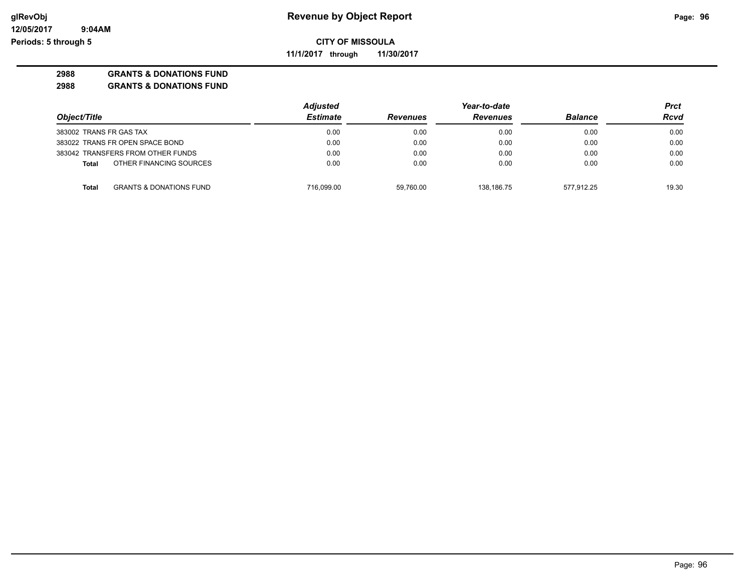**12/05/2017 9:04AM Periods: 5 through 5**

## **CITY OF MISSOULA**

**11/1/2017 through 11/30/2017**

#### **2988 GRANTS & DONATIONS FUND**

|                                                    | <b>Adjusted</b> |                 | Year-to-date    |                |       |
|----------------------------------------------------|-----------------|-----------------|-----------------|----------------|-------|
| Object/Title                                       | <b>Estimate</b> | <b>Revenues</b> | <b>Revenues</b> | <b>Balance</b> | Rcvd  |
| 383002 TRANS FR GAS TAX                            | 0.00            | 0.00            | 0.00            | 0.00           | 0.00  |
| 383022 TRANS FR OPEN SPACE BOND                    | 0.00            | 0.00            | 0.00            | 0.00           | 0.00  |
| 383042 TRANSFERS FROM OTHER FUNDS                  | 0.00            | 0.00            | 0.00            | 0.00           | 0.00  |
| OTHER FINANCING SOURCES<br><b>Total</b>            | 0.00            | 0.00            | 0.00            | 0.00           | 0.00  |
| <b>GRANTS &amp; DONATIONS FUND</b><br><b>Total</b> | 716.099.00      | 59.760.00       | 138.186.75      | 577.912.25     | 19.30 |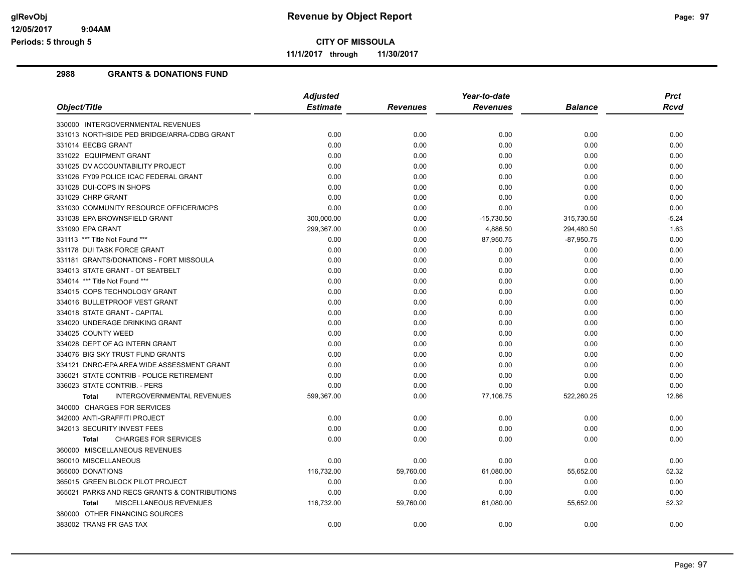**11/1/2017 through 11/30/2017**

|                                                   | <b>Adjusted</b> |                 | Year-to-date    |                | <b>Prct</b> |
|---------------------------------------------------|-----------------|-----------------|-----------------|----------------|-------------|
| Object/Title                                      | <b>Estimate</b> | <b>Revenues</b> | <b>Revenues</b> | <b>Balance</b> | Rcvd        |
| 330000 INTERGOVERNMENTAL REVENUES                 |                 |                 |                 |                |             |
| 331013 NORTHSIDE PED BRIDGE/ARRA-CDBG GRANT       | 0.00            | 0.00            | 0.00            | 0.00           | 0.00        |
| 331014 EECBG GRANT                                | 0.00            | 0.00            | 0.00            | 0.00           | 0.00        |
| 331022 EQUIPMENT GRANT                            | 0.00            | 0.00            | 0.00            | 0.00           | 0.00        |
| 331025 DV ACCOUNTABILITY PROJECT                  | 0.00            | 0.00            | 0.00            | 0.00           | 0.00        |
| 331026 FY09 POLICE ICAC FEDERAL GRANT             | 0.00            | 0.00            | 0.00            | 0.00           | 0.00        |
| 331028 DUI-COPS IN SHOPS                          | 0.00            | 0.00            | 0.00            | 0.00           | 0.00        |
| 331029 CHRP GRANT                                 | 0.00            | 0.00            | 0.00            | 0.00           | 0.00        |
| 331030 COMMUNITY RESOURCE OFFICER/MCPS            | 0.00            | 0.00            | 0.00            | 0.00           | 0.00        |
| 331038 EPA BROWNSFIELD GRANT                      | 300,000.00      | 0.00            | $-15,730.50$    | 315,730.50     | $-5.24$     |
| 331090 EPA GRANT                                  | 299,367.00      | 0.00            | 4,886.50        | 294,480.50     | 1.63        |
| 331113 *** Title Not Found ***                    | 0.00            | 0.00            | 87,950.75       | $-87,950.75$   | 0.00        |
| 331178 DUI TASK FORCE GRANT                       | 0.00            | 0.00            | 0.00            | 0.00           | 0.00        |
| 331181 GRANTS/DONATIONS - FORT MISSOULA           | 0.00            | 0.00            | 0.00            | 0.00           | 0.00        |
| 334013 STATE GRANT - OT SEATBELT                  | 0.00            | 0.00            | 0.00            | 0.00           | 0.00        |
| 334014 *** Title Not Found ***                    | 0.00            | 0.00            | 0.00            | 0.00           | 0.00        |
| 334015 COPS TECHNOLOGY GRANT                      | 0.00            | 0.00            | 0.00            | 0.00           | 0.00        |
| 334016 BULLETPROOF VEST GRANT                     | 0.00            | 0.00            | 0.00            | 0.00           | 0.00        |
| 334018 STATE GRANT - CAPITAL                      | 0.00            | 0.00            | 0.00            | 0.00           | 0.00        |
| 334020 UNDERAGE DRINKING GRANT                    | 0.00            | 0.00            | 0.00            | 0.00           | 0.00        |
| 334025 COUNTY WEED                                | 0.00            | 0.00            | 0.00            | 0.00           | 0.00        |
| 334028 DEPT OF AG INTERN GRANT                    | 0.00            | 0.00            | 0.00            | 0.00           | 0.00        |
| 334076 BIG SKY TRUST FUND GRANTS                  | 0.00            | 0.00            | 0.00            | 0.00           | 0.00        |
| 334121 DNRC-EPA AREA WIDE ASSESSMENT GRANT        | 0.00            | 0.00            | 0.00            | 0.00           | 0.00        |
| 336021 STATE CONTRIB - POLICE RETIREMENT          | 0.00            | 0.00            | 0.00            | 0.00           | 0.00        |
| 336023 STATE CONTRIB. - PERS                      | 0.00            | 0.00            | 0.00            | 0.00           | 0.00        |
| <b>INTERGOVERNMENTAL REVENUES</b><br><b>Total</b> | 599,367.00      | 0.00            | 77,106.75       | 522,260.25     | 12.86       |
| 340000 CHARGES FOR SERVICES                       |                 |                 |                 |                |             |
| 342000 ANTI-GRAFFITI PROJECT                      | 0.00            | 0.00            | 0.00            | 0.00           | 0.00        |
| 342013 SECURITY INVEST FEES                       | 0.00            | 0.00            | 0.00            | 0.00           | 0.00        |
| <b>CHARGES FOR SERVICES</b><br><b>Total</b>       | 0.00            | 0.00            | 0.00            | 0.00           | 0.00        |
| 360000 MISCELLANEOUS REVENUES                     |                 |                 |                 |                |             |
| 360010 MISCELLANEOUS                              | 0.00            | 0.00            | 0.00            | 0.00           | 0.00        |
| 365000 DONATIONS                                  | 116,732.00      | 59,760.00       | 61,080.00       | 55,652.00      | 52.32       |
| 365015 GREEN BLOCK PILOT PROJECT                  | 0.00            | 0.00            | 0.00            | 0.00           | 0.00        |
| 365021 PARKS AND RECS GRANTS & CONTRIBUTIONS      | 0.00            | 0.00            | 0.00            | 0.00           | 0.00        |
| MISCELLANEOUS REVENUES<br><b>Total</b>            | 116,732.00      | 59,760.00       | 61,080.00       | 55,652.00      | 52.32       |
| 380000 OTHER FINANCING SOURCES                    |                 |                 |                 |                |             |
| 383002 TRANS FR GAS TAX                           | 0.00            | 0.00            | 0.00            | 0.00           | 0.00        |
|                                                   |                 |                 |                 |                |             |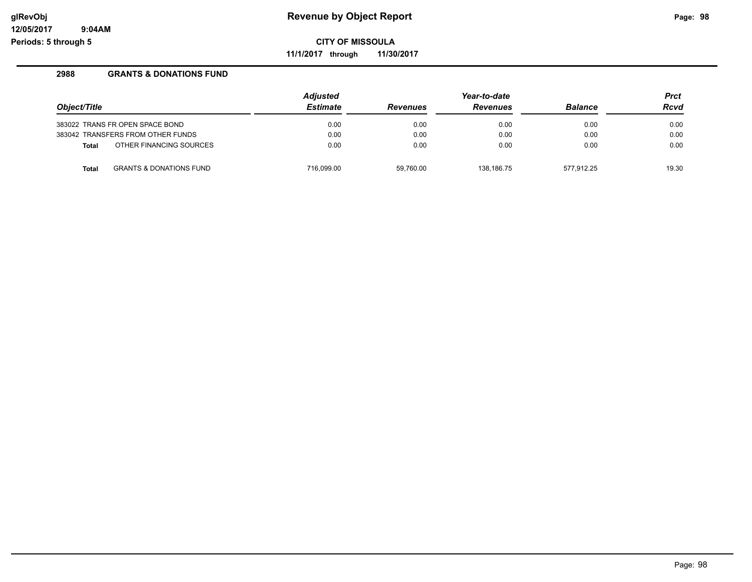**11/1/2017 through 11/30/2017**

|                                   |                                    | <b>Adjusted</b> |                 | Year-to-date    |                | <b>Prct</b> |
|-----------------------------------|------------------------------------|-----------------|-----------------|-----------------|----------------|-------------|
| Object/Title                      |                                    | <b>Estimate</b> | <b>Revenues</b> | <b>Revenues</b> | <b>Balance</b> | <b>Rcvd</b> |
| 383022 TRANS FR OPEN SPACE BOND   |                                    | 0.00            | 0.00            | 0.00            | 0.00           | 0.00        |
| 383042 TRANSFERS FROM OTHER FUNDS |                                    | 0.00            | 0.00            | 0.00            | 0.00           | 0.00        |
| <b>Total</b>                      | OTHER FINANCING SOURCES            | 0.00            | 0.00            | 0.00            | 0.00           | 0.00        |
| Total                             | <b>GRANTS &amp; DONATIONS FUND</b> | 716,099.00      | 59.760.00       | 138.186.75      | 577.912.25     | 19.30       |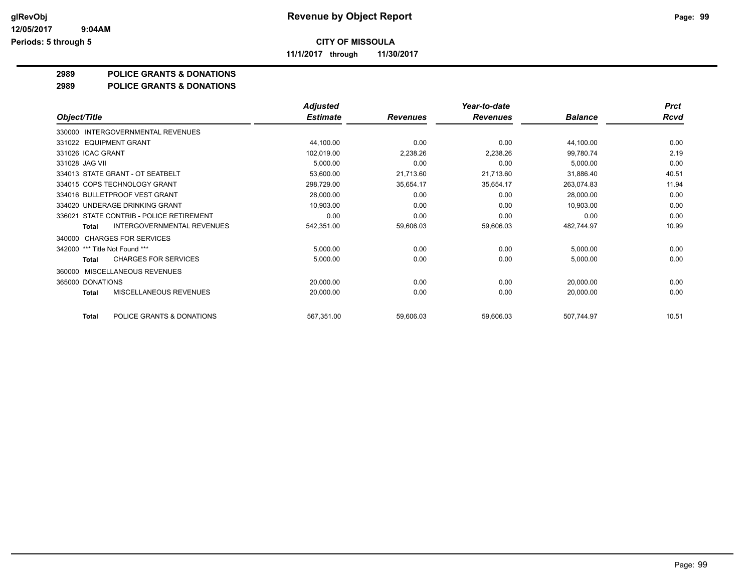**11/1/2017 through 11/30/2017**

## **2989 POLICE GRANTS & DONATIONS**

#### **2989 POLICE GRANTS & DONATIONS**

|                                                   | <b>Adjusted</b> |                 | Year-to-date    |                | <b>Prct</b> |
|---------------------------------------------------|-----------------|-----------------|-----------------|----------------|-------------|
| Object/Title                                      | <b>Estimate</b> | <b>Revenues</b> | <b>Revenues</b> | <b>Balance</b> | <b>Rcvd</b> |
| INTERGOVERNMENTAL REVENUES<br>330000              |                 |                 |                 |                |             |
| 331022 EQUIPMENT GRANT                            | 44,100.00       | 0.00            | 0.00            | 44,100.00      | 0.00        |
| 331026 ICAC GRANT                                 | 102,019.00      | 2,238.26        | 2,238.26        | 99,780.74      | 2.19        |
| 331028 JAG VII                                    | 5,000.00        | 0.00            | 0.00            | 5,000.00       | 0.00        |
| 334013 STATE GRANT - OT SEATBELT                  | 53,600.00       | 21,713.60       | 21,713.60       | 31,886.40      | 40.51       |
| 334015 COPS TECHNOLOGY GRANT                      | 298,729.00      | 35,654.17       | 35,654.17       | 263,074.83     | 11.94       |
| 334016 BULLETPROOF VEST GRANT                     | 28,000.00       | 0.00            | 0.00            | 28,000.00      | 0.00        |
| 334020 UNDERAGE DRINKING GRANT                    | 10,903.00       | 0.00            | 0.00            | 10,903.00      | 0.00        |
| 336021 STATE CONTRIB - POLICE RETIREMENT          | 0.00            | 0.00            | 0.00            | 0.00           | 0.00        |
| <b>INTERGOVERNMENTAL REVENUES</b><br><b>Total</b> | 542,351.00      | 59,606.03       | 59,606.03       | 482,744.97     | 10.99       |
| <b>CHARGES FOR SERVICES</b><br>340000             |                 |                 |                 |                |             |
| *** Title Not Found ***<br>342000                 | 5,000.00        | 0.00            | 0.00            | 5,000.00       | 0.00        |
| <b>CHARGES FOR SERVICES</b><br><b>Total</b>       | 5,000.00        | 0.00            | 0.00            | 5,000.00       | 0.00        |
| MISCELLANEOUS REVENUES<br>360000                  |                 |                 |                 |                |             |
| 365000 DONATIONS                                  | 20,000.00       | 0.00            | 0.00            | 20,000.00      | 0.00        |
| MISCELLANEOUS REVENUES<br><b>Total</b>            | 20,000.00       | 0.00            | 0.00            | 20,000.00      | 0.00        |
| POLICE GRANTS & DONATIONS<br><b>Total</b>         | 567,351.00      | 59,606.03       | 59,606.03       | 507,744.97     | 10.51       |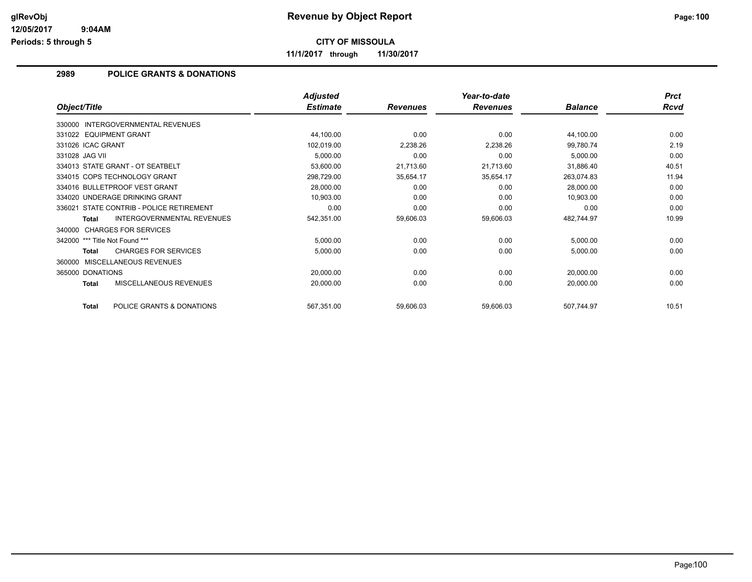**11/1/2017 through 11/30/2017**

## **2989 POLICE GRANTS & DONATIONS**

|                                                   | <b>Adjusted</b> |                 | Year-to-date    |                | <b>Prct</b> |
|---------------------------------------------------|-----------------|-----------------|-----------------|----------------|-------------|
| Object/Title                                      | <b>Estimate</b> | <b>Revenues</b> | <b>Revenues</b> | <b>Balance</b> | Rcvd        |
| INTERGOVERNMENTAL REVENUES<br>330000              |                 |                 |                 |                |             |
| 331022 EQUIPMENT GRANT                            | 44,100.00       | 0.00            | 0.00            | 44,100.00      | 0.00        |
| 331026 ICAC GRANT                                 | 102,019.00      | 2,238.26        | 2,238.26        | 99,780.74      | 2.19        |
| 331028 JAG VII                                    | 5,000.00        | 0.00            | 0.00            | 5,000.00       | 0.00        |
| 334013 STATE GRANT - OT SEATBELT                  | 53,600.00       | 21,713.60       | 21,713.60       | 31,886.40      | 40.51       |
| 334015 COPS TECHNOLOGY GRANT                      | 298,729.00      | 35,654.17       | 35,654.17       | 263,074.83     | 11.94       |
| 334016 BULLETPROOF VEST GRANT                     | 28,000.00       | 0.00            | 0.00            | 28,000.00      | 0.00        |
| 334020 UNDERAGE DRINKING GRANT                    | 10,903.00       | 0.00            | 0.00            | 10,903.00      | 0.00        |
| 336021 STATE CONTRIB - POLICE RETIREMENT          | 0.00            | 0.00            | 0.00            | 0.00           | 0.00        |
| <b>INTERGOVERNMENTAL REVENUES</b><br><b>Total</b> | 542,351.00      | 59,606.03       | 59,606.03       | 482,744.97     | 10.99       |
| 340000 CHARGES FOR SERVICES                       |                 |                 |                 |                |             |
| 342000 *** Title Not Found ***                    | 5,000.00        | 0.00            | 0.00            | 5,000.00       | 0.00        |
| <b>CHARGES FOR SERVICES</b><br><b>Total</b>       | 5,000.00        | 0.00            | 0.00            | 5,000.00       | 0.00        |
| MISCELLANEOUS REVENUES<br>360000                  |                 |                 |                 |                |             |
| 365000 DONATIONS                                  | 20,000.00       | 0.00            | 0.00            | 20,000.00      | 0.00        |
| <b>MISCELLANEOUS REVENUES</b><br><b>Total</b>     | 20,000.00       | 0.00            | 0.00            | 20,000.00      | 0.00        |
| POLICE GRANTS & DONATIONS<br>Total                | 567,351.00      | 59,606.03       | 59,606.03       | 507,744.97     | 10.51       |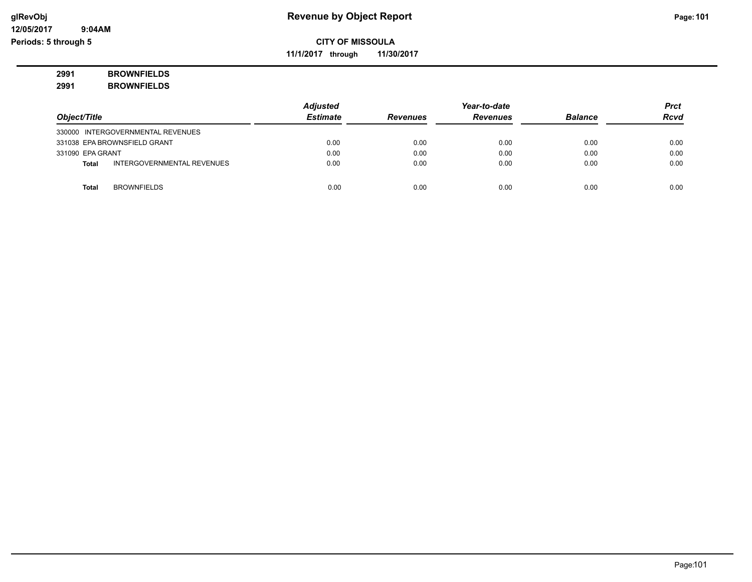**11/1/2017 through 11/30/2017**

# **2991 BROWNFIELDS**

**2991 BROWNFIELDS**

|                  |                                   | <b>Adjusted</b> |                 | Year-to-date    |                | <b>Prct</b> |
|------------------|-----------------------------------|-----------------|-----------------|-----------------|----------------|-------------|
| Object/Title     |                                   | <b>Estimate</b> | <b>Revenues</b> | <b>Revenues</b> | <b>Balance</b> | <b>Rcvd</b> |
|                  | 330000 INTERGOVERNMENTAL REVENUES |                 |                 |                 |                |             |
|                  | 331038 EPA BROWNSFIELD GRANT      | 0.00            | 0.00            | 0.00            | 0.00           | 0.00        |
| 331090 EPA GRANT |                                   | 0.00            | 0.00            | 0.00            | 0.00           | 0.00        |
| Total            | <b>INTERGOVERNMENTAL REVENUES</b> | 0.00            | 0.00            | 0.00            | 0.00           | 0.00        |
|                  |                                   |                 |                 |                 |                |             |
| Total            | <b>BROWNFIELDS</b>                | 0.00            | 0.00            | 0.00            | 0.00           | 0.00        |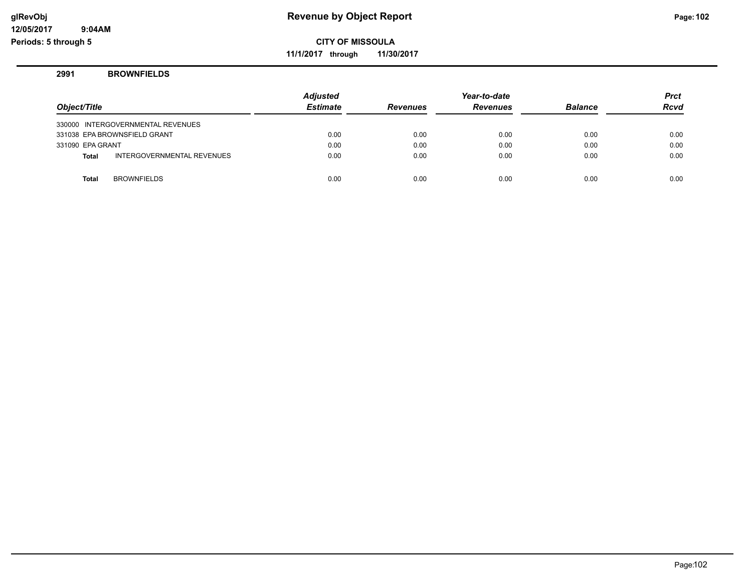**11/1/2017 through 11/30/2017**

#### **2991 BROWNFIELDS**

| Object/Title     |                                   | <b>Adjusted</b><br><b>Estimate</b> | <b>Revenues</b> | Year-to-date<br><b>Revenues</b> | <b>Balance</b> | <b>Prct</b><br><b>Rcvd</b> |
|------------------|-----------------------------------|------------------------------------|-----------------|---------------------------------|----------------|----------------------------|
|                  |                                   |                                    |                 |                                 |                |                            |
|                  | 330000 INTERGOVERNMENTAL REVENUES |                                    |                 |                                 |                |                            |
|                  | 331038 EPA BROWNSFIELD GRANT      | 0.00                               | 0.00            | 0.00                            | 0.00           | 0.00                       |
| 331090 EPA GRANT |                                   | 0.00                               | 0.00            | 0.00                            | 0.00           | 0.00                       |
| <b>Total</b>     | INTERGOVERNMENTAL REVENUES        | 0.00                               | 0.00            | 0.00                            | 0.00           | 0.00                       |
|                  |                                   |                                    |                 |                                 |                |                            |
| <b>Total</b>     | <b>BROWNFIELDS</b>                | 0.00                               | 0.00            | 0.00                            | 0.00           | 0.00                       |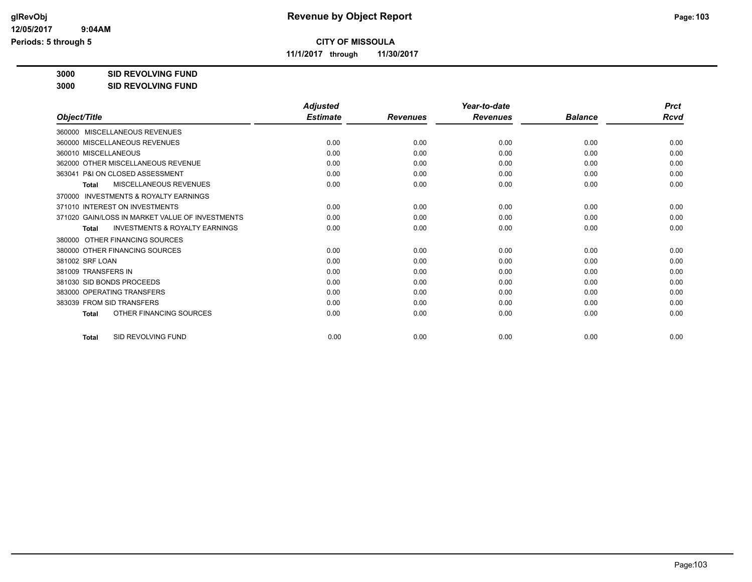**11/1/2017 through 11/30/2017**

**3000 SID REVOLVING FUND**

**3000 SID REVOLVING FUND**

|                                                           | <b>Adjusted</b> |                 | Year-to-date    |                | <b>Prct</b> |
|-----------------------------------------------------------|-----------------|-----------------|-----------------|----------------|-------------|
| Object/Title                                              | <b>Estimate</b> | <b>Revenues</b> | <b>Revenues</b> | <b>Balance</b> | Rcvd        |
| 360000 MISCELLANEOUS REVENUES                             |                 |                 |                 |                |             |
| 360000 MISCELLANEOUS REVENUES                             | 0.00            | 0.00            | 0.00            | 0.00           | 0.00        |
| 360010 MISCELLANEOUS                                      | 0.00            | 0.00            | 0.00            | 0.00           | 0.00        |
| 362000 OTHER MISCELLANEOUS REVENUE                        | 0.00            | 0.00            | 0.00            | 0.00           | 0.00        |
| 363041 P&I ON CLOSED ASSESSMENT                           | 0.00            | 0.00            | 0.00            | 0.00           | 0.00        |
| MISCELLANEOUS REVENUES<br><b>Total</b>                    | 0.00            | 0.00            | 0.00            | 0.00           | 0.00        |
| <b>INVESTMENTS &amp; ROYALTY EARNINGS</b><br>370000       |                 |                 |                 |                |             |
| 371010 INTEREST ON INVESTMENTS                            | 0.00            | 0.00            | 0.00            | 0.00           | 0.00        |
| 371020 GAIN/LOSS IN MARKET VALUE OF INVESTMENTS           | 0.00            | 0.00            | 0.00            | 0.00           | 0.00        |
| <b>INVESTMENTS &amp; ROYALTY EARNINGS</b><br><b>Total</b> | 0.00            | 0.00            | 0.00            | 0.00           | 0.00        |
| OTHER FINANCING SOURCES<br>380000                         |                 |                 |                 |                |             |
| 380000 OTHER FINANCING SOURCES                            | 0.00            | 0.00            | 0.00            | 0.00           | 0.00        |
| 381002 SRF LOAN                                           | 0.00            | 0.00            | 0.00            | 0.00           | 0.00        |
| 381009 TRANSFERS IN                                       | 0.00            | 0.00            | 0.00            | 0.00           | 0.00        |
| 381030 SID BONDS PROCEEDS                                 | 0.00            | 0.00            | 0.00            | 0.00           | 0.00        |
| 383000 OPERATING TRANSFERS                                | 0.00            | 0.00            | 0.00            | 0.00           | 0.00        |
| 383039 FROM SID TRANSFERS                                 | 0.00            | 0.00            | 0.00            | 0.00           | 0.00        |
| OTHER FINANCING SOURCES<br><b>Total</b>                   | 0.00            | 0.00            | 0.00            | 0.00           | 0.00        |
| SID REVOLVING FUND<br><b>Total</b>                        | 0.00            | 0.00            | 0.00            | 0.00           | 0.00        |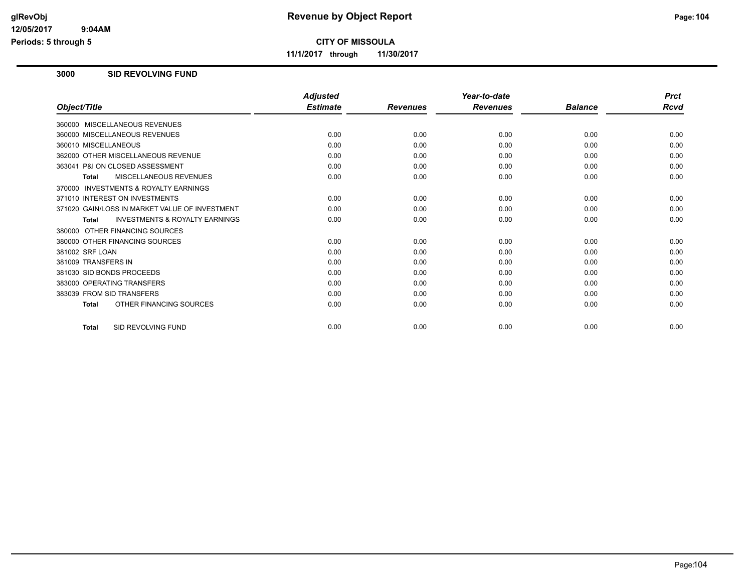**11/1/2017 through 11/30/2017**

#### **3000 SID REVOLVING FUND**

|                                                     | <b>Adjusted</b> |                 | Year-to-date    |                | <b>Prct</b> |
|-----------------------------------------------------|-----------------|-----------------|-----------------|----------------|-------------|
| Object/Title                                        | <b>Estimate</b> | <b>Revenues</b> | <b>Revenues</b> | <b>Balance</b> | Rcvd        |
| 360000 MISCELLANEOUS REVENUES                       |                 |                 |                 |                |             |
| 360000 MISCELLANEOUS REVENUES                       | 0.00            | 0.00            | 0.00            | 0.00           | 0.00        |
| 360010 MISCELLANEOUS                                | 0.00            | 0.00            | 0.00            | 0.00           | 0.00        |
| 362000 OTHER MISCELLANEOUS REVENUE                  | 0.00            | 0.00            | 0.00            | 0.00           | 0.00        |
| 363041 P&I ON CLOSED ASSESSMENT                     | 0.00            | 0.00            | 0.00            | 0.00           | 0.00        |
| MISCELLANEOUS REVENUES<br>Total                     | 0.00            | 0.00            | 0.00            | 0.00           | 0.00        |
| <b>INVESTMENTS &amp; ROYALTY EARNINGS</b><br>370000 |                 |                 |                 |                |             |
| 371010 INTEREST ON INVESTMENTS                      | 0.00            | 0.00            | 0.00            | 0.00           | 0.00        |
| 371020 GAIN/LOSS IN MARKET VALUE OF INVESTMENT      | 0.00            | 0.00            | 0.00            | 0.00           | 0.00        |
| <b>INVESTMENTS &amp; ROYALTY EARNINGS</b><br>Total  | 0.00            | 0.00            | 0.00            | 0.00           | 0.00        |
| 380000 OTHER FINANCING SOURCES                      |                 |                 |                 |                |             |
| 380000 OTHER FINANCING SOURCES                      | 0.00            | 0.00            | 0.00            | 0.00           | 0.00        |
| 381002 SRF LOAN                                     | 0.00            | 0.00            | 0.00            | 0.00           | 0.00        |
| 381009 TRANSFERS IN                                 | 0.00            | 0.00            | 0.00            | 0.00           | 0.00        |
| 381030 SID BONDS PROCEEDS                           | 0.00            | 0.00            | 0.00            | 0.00           | 0.00        |
| 383000 OPERATING TRANSFERS                          | 0.00            | 0.00            | 0.00            | 0.00           | 0.00        |
| 383039 FROM SID TRANSFERS                           | 0.00            | 0.00            | 0.00            | 0.00           | 0.00        |
| OTHER FINANCING SOURCES<br>Total                    | 0.00            | 0.00            | 0.00            | 0.00           | 0.00        |
| SID REVOLVING FUND<br><b>Total</b>                  | 0.00            | 0.00            | 0.00            | 0.00           | 0.00        |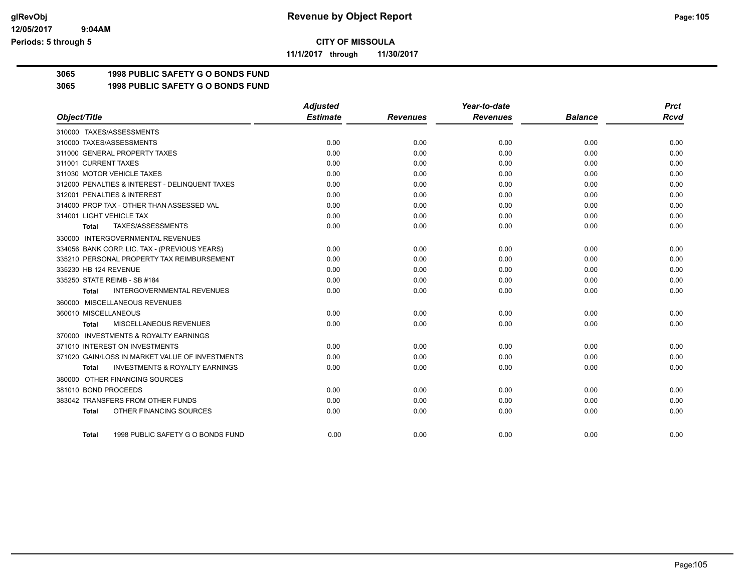**11/1/2017 through 11/30/2017**

## **3065 1998 PUBLIC SAFETY G O BONDS FUND**

**3065 1998 PUBLIC SAFETY G O BONDS FUND**

|                                                     | <b>Adjusted</b> |                 | Year-to-date    |                | <b>Prct</b> |
|-----------------------------------------------------|-----------------|-----------------|-----------------|----------------|-------------|
| Object/Title                                        | <b>Estimate</b> | <b>Revenues</b> | <b>Revenues</b> | <b>Balance</b> | Rcvd        |
| 310000 TAXES/ASSESSMENTS                            |                 |                 |                 |                |             |
| 310000 TAXES/ASSESSMENTS                            | 0.00            | 0.00            | 0.00            | 0.00           | 0.00        |
| 311000 GENERAL PROPERTY TAXES                       | 0.00            | 0.00            | 0.00            | 0.00           | 0.00        |
| 311001 CURRENT TAXES                                | 0.00            | 0.00            | 0.00            | 0.00           | 0.00        |
| 311030 MOTOR VEHICLE TAXES                          | 0.00            | 0.00            | 0.00            | 0.00           | 0.00        |
| 312000 PENALTIES & INTEREST - DELINQUENT TAXES      | 0.00            | 0.00            | 0.00            | 0.00           | 0.00        |
| 312001 PENALTIES & INTEREST                         | 0.00            | 0.00            | 0.00            | 0.00           | 0.00        |
| 314000 PROP TAX - OTHER THAN ASSESSED VAL           | 0.00            | 0.00            | 0.00            | 0.00           | 0.00        |
| 314001 LIGHT VEHICLE TAX                            | 0.00            | 0.00            | 0.00            | 0.00           | 0.00        |
| TAXES/ASSESSMENTS<br>Total                          | 0.00            | 0.00            | 0.00            | 0.00           | 0.00        |
| 330000 INTERGOVERNMENTAL REVENUES                   |                 |                 |                 |                |             |
| 334056 BANK CORP. LIC. TAX - (PREVIOUS YEARS)       | 0.00            | 0.00            | 0.00            | 0.00           | 0.00        |
| 335210 PERSONAL PROPERTY TAX REIMBURSEMENT          | 0.00            | 0.00            | 0.00            | 0.00           | 0.00        |
| 335230 HB 124 REVENUE                               | 0.00            | 0.00            | 0.00            | 0.00           | 0.00        |
| 335250 STATE REIMB - SB #184                        | 0.00            | 0.00            | 0.00            | 0.00           | 0.00        |
| <b>INTERGOVERNMENTAL REVENUES</b><br><b>Total</b>   | 0.00            | 0.00            | 0.00            | 0.00           | 0.00        |
| 360000 MISCELLANEOUS REVENUES                       |                 |                 |                 |                |             |
| 360010 MISCELLANEOUS                                | 0.00            | 0.00            | 0.00            | 0.00           | 0.00        |
| <b>MISCELLANEOUS REVENUES</b><br>Total              | 0.00            | 0.00            | 0.00            | 0.00           | 0.00        |
| <b>INVESTMENTS &amp; ROYALTY EARNINGS</b><br>370000 |                 |                 |                 |                |             |
| 371010 INTEREST ON INVESTMENTS                      | 0.00            | 0.00            | 0.00            | 0.00           | 0.00        |
| 371020 GAIN/LOSS IN MARKET VALUE OF INVESTMENTS     | 0.00            | 0.00            | 0.00            | 0.00           | 0.00        |
| <b>INVESTMENTS &amp; ROYALTY EARNINGS</b><br>Total  | 0.00            | 0.00            | 0.00            | 0.00           | 0.00        |
| 380000 OTHER FINANCING SOURCES                      |                 |                 |                 |                |             |
| 381010 BOND PROCEEDS                                | 0.00            | 0.00            | 0.00            | 0.00           | 0.00        |
| 383042 TRANSFERS FROM OTHER FUNDS                   | 0.00            | 0.00            | 0.00            | 0.00           | 0.00        |
| OTHER FINANCING SOURCES<br><b>Total</b>             | 0.00            | 0.00            | 0.00            | 0.00           | 0.00        |
| 1998 PUBLIC SAFETY G O BONDS FUND<br>Total          | 0.00            | 0.00            | 0.00            | 0.00           | 0.00        |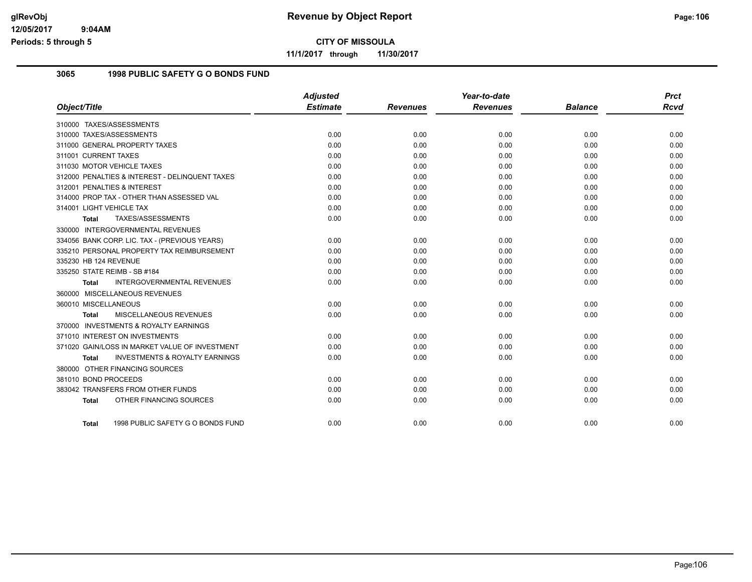**11/1/2017 through 11/30/2017**

#### **3065 1998 PUBLIC SAFETY G O BONDS FUND**

|                                                    | <b>Adjusted</b><br><b>Estimate</b> | <b>Revenues</b> | Year-to-date<br><b>Revenues</b> | <b>Balance</b> | <b>Prct</b><br>Rcvd |
|----------------------------------------------------|------------------------------------|-----------------|---------------------------------|----------------|---------------------|
| Object/Title                                       |                                    |                 |                                 |                |                     |
| 310000 TAXES/ASSESSMENTS                           |                                    |                 |                                 |                |                     |
| 310000 TAXES/ASSESSMENTS                           | 0.00                               | 0.00            | 0.00                            | 0.00           | 0.00                |
| 311000 GENERAL PROPERTY TAXES                      | 0.00                               | 0.00            | 0.00                            | 0.00           | 0.00                |
| 311001 CURRENT TAXES                               | 0.00                               | 0.00            | 0.00                            | 0.00           | 0.00                |
| 311030 MOTOR VEHICLE TAXES                         | 0.00                               | 0.00            | 0.00                            | 0.00           | 0.00                |
| 312000 PENALTIES & INTEREST - DELINQUENT TAXES     | 0.00                               | 0.00            | 0.00                            | 0.00           | 0.00                |
| 312001 PENALTIES & INTEREST                        | 0.00                               | 0.00            | 0.00                            | 0.00           | 0.00                |
| 314000 PROP TAX - OTHER THAN ASSESSED VAL          | 0.00                               | 0.00            | 0.00                            | 0.00           | 0.00                |
| 314001 LIGHT VEHICLE TAX                           | 0.00                               | 0.00            | 0.00                            | 0.00           | 0.00                |
| TAXES/ASSESSMENTS<br>Total                         | 0.00                               | 0.00            | 0.00                            | 0.00           | 0.00                |
| 330000 INTERGOVERNMENTAL REVENUES                  |                                    |                 |                                 |                |                     |
| 334056 BANK CORP. LIC. TAX - (PREVIOUS YEARS)      | 0.00                               | 0.00            | 0.00                            | 0.00           | 0.00                |
| 335210 PERSONAL PROPERTY TAX REIMBURSEMENT         | 0.00                               | 0.00            | 0.00                            | 0.00           | 0.00                |
| 335230 HB 124 REVENUE                              | 0.00                               | 0.00            | 0.00                            | 0.00           | 0.00                |
| 335250 STATE REIMB - SB #184                       | 0.00                               | 0.00            | 0.00                            | 0.00           | 0.00                |
| <b>INTERGOVERNMENTAL REVENUES</b><br>Total         | 0.00                               | 0.00            | 0.00                            | 0.00           | 0.00                |
| 360000 MISCELLANEOUS REVENUES                      |                                    |                 |                                 |                |                     |
| 360010 MISCELLANEOUS                               | 0.00                               | 0.00            | 0.00                            | 0.00           | 0.00                |
| MISCELLANEOUS REVENUES<br><b>Total</b>             | 0.00                               | 0.00            | 0.00                            | 0.00           | 0.00                |
| 370000 INVESTMENTS & ROYALTY EARNINGS              |                                    |                 |                                 |                |                     |
| 371010 INTEREST ON INVESTMENTS                     | 0.00                               | 0.00            | 0.00                            | 0.00           | 0.00                |
| 371020 GAIN/LOSS IN MARKET VALUE OF INVESTMENT     | 0.00                               | 0.00            | 0.00                            | 0.00           | 0.00                |
| <b>INVESTMENTS &amp; ROYALTY EARNINGS</b><br>Total | 0.00                               | 0.00            | 0.00                            | 0.00           | 0.00                |
| 380000 OTHER FINANCING SOURCES                     |                                    |                 |                                 |                |                     |
| 381010 BOND PROCEEDS                               | 0.00                               | 0.00            | 0.00                            | 0.00           | 0.00                |
| 383042 TRANSFERS FROM OTHER FUNDS                  | 0.00                               | 0.00            | 0.00                            | 0.00           | 0.00                |
| OTHER FINANCING SOURCES<br><b>Total</b>            | 0.00                               | 0.00            | 0.00                            | 0.00           | 0.00                |
|                                                    |                                    |                 |                                 |                |                     |
| 1998 PUBLIC SAFETY G O BONDS FUND<br>Total         | 0.00                               | 0.00            | 0.00                            | 0.00           | 0.00                |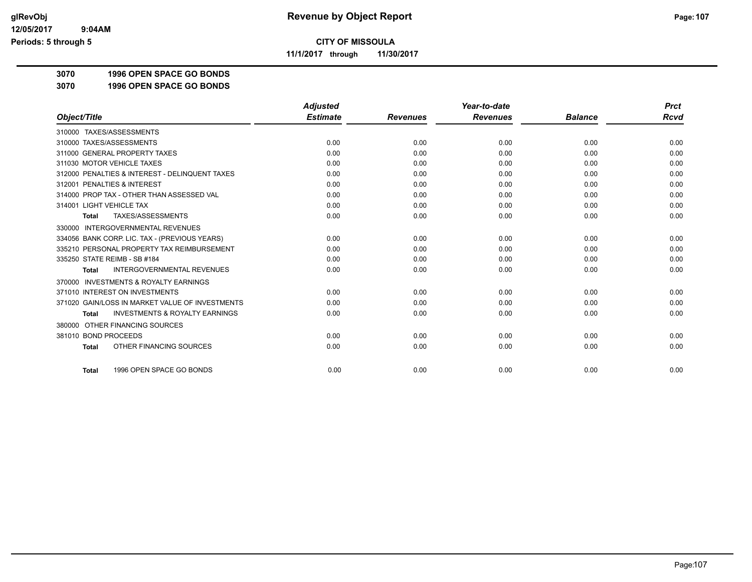**11/1/2017 through 11/30/2017**

**3070 1996 OPEN SPACE GO BONDS**

**3070 1996 OPEN SPACE GO BONDS**

|                                                           | <b>Adjusted</b> |                 | Year-to-date    |                | <b>Prct</b> |
|-----------------------------------------------------------|-----------------|-----------------|-----------------|----------------|-------------|
| Object/Title                                              | <b>Estimate</b> | <b>Revenues</b> | <b>Revenues</b> | <b>Balance</b> | <b>Rcvd</b> |
| 310000 TAXES/ASSESSMENTS                                  |                 |                 |                 |                |             |
| 310000 TAXES/ASSESSMENTS                                  | 0.00            | 0.00            | 0.00            | 0.00           | 0.00        |
| 311000 GENERAL PROPERTY TAXES                             | 0.00            | 0.00            | 0.00            | 0.00           | 0.00        |
| 311030 MOTOR VEHICLE TAXES                                | 0.00            | 0.00            | 0.00            | 0.00           | 0.00        |
| 312000 PENALTIES & INTEREST - DELINQUENT TAXES            | 0.00            | 0.00            | 0.00            | 0.00           | 0.00        |
| 312001 PENALTIES & INTEREST                               | 0.00            | 0.00            | 0.00            | 0.00           | 0.00        |
| 314000 PROP TAX - OTHER THAN ASSESSED VAL                 | 0.00            | 0.00            | 0.00            | 0.00           | 0.00        |
| 314001 LIGHT VEHICLE TAX                                  | 0.00            | 0.00            | 0.00            | 0.00           | 0.00        |
| <b>TAXES/ASSESSMENTS</b><br><b>Total</b>                  | 0.00            | 0.00            | 0.00            | 0.00           | 0.00        |
| <b>INTERGOVERNMENTAL REVENUES</b><br>330000               |                 |                 |                 |                |             |
| 334056 BANK CORP. LIC. TAX - (PREVIOUS YEARS)             | 0.00            | 0.00            | 0.00            | 0.00           | 0.00        |
| 335210 PERSONAL PROPERTY TAX REIMBURSEMENT                | 0.00            | 0.00            | 0.00            | 0.00           | 0.00        |
| 335250 STATE REIMB - SB #184                              | 0.00            | 0.00            | 0.00            | 0.00           | 0.00        |
| <b>INTERGOVERNMENTAL REVENUES</b><br><b>Total</b>         | 0.00            | 0.00            | 0.00            | 0.00           | 0.00        |
| <b>INVESTMENTS &amp; ROYALTY EARNINGS</b><br>370000       |                 |                 |                 |                |             |
| 371010 INTEREST ON INVESTMENTS                            | 0.00            | 0.00            | 0.00            | 0.00           | 0.00        |
| 371020 GAIN/LOSS IN MARKET VALUE OF INVESTMENTS           | 0.00            | 0.00            | 0.00            | 0.00           | 0.00        |
| <b>INVESTMENTS &amp; ROYALTY EARNINGS</b><br><b>Total</b> | 0.00            | 0.00            | 0.00            | 0.00           | 0.00        |
| OTHER FINANCING SOURCES<br>380000                         |                 |                 |                 |                |             |
| 381010 BOND PROCEEDS                                      | 0.00            | 0.00            | 0.00            | 0.00           | 0.00        |
| OTHER FINANCING SOURCES<br><b>Total</b>                   | 0.00            | 0.00            | 0.00            | 0.00           | 0.00        |
|                                                           |                 |                 |                 |                |             |
| 1996 OPEN SPACE GO BONDS<br><b>Total</b>                  | 0.00            | 0.00            | 0.00            | 0.00           | 0.00        |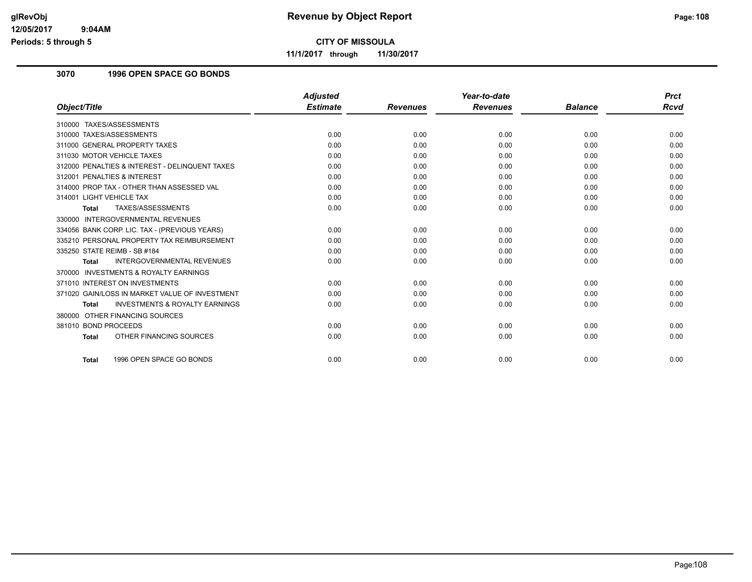**11/1/2017 through 11/30/2017**

#### **3070 1996 OPEN SPACE GO BONDS**

|                                                           | <b>Adjusted</b> |                 | Year-to-date    |                | <b>Prct</b> |
|-----------------------------------------------------------|-----------------|-----------------|-----------------|----------------|-------------|
| Object/Title                                              | <b>Estimate</b> | <b>Revenues</b> | <b>Revenues</b> | <b>Balance</b> | Rcvd        |
| 310000 TAXES/ASSESSMENTS                                  |                 |                 |                 |                |             |
| 310000 TAXES/ASSESSMENTS                                  | 0.00            | 0.00            | 0.00            | 0.00           | 0.00        |
| 311000 GENERAL PROPERTY TAXES                             | 0.00            | 0.00            | 0.00            | 0.00           | 0.00        |
| 311030 MOTOR VEHICLE TAXES                                | 0.00            | 0.00            | 0.00            | 0.00           | 0.00        |
| 312000 PENALTIES & INTEREST - DELINQUENT TAXES            | 0.00            | 0.00            | 0.00            | 0.00           | 0.00        |
| 312001 PENALTIES & INTEREST                               | 0.00            | 0.00            | 0.00            | 0.00           | 0.00        |
| 314000 PROP TAX - OTHER THAN ASSESSED VAL                 | 0.00            | 0.00            | 0.00            | 0.00           | 0.00        |
| 314001 LIGHT VEHICLE TAX                                  | 0.00            | 0.00            | 0.00            | 0.00           | 0.00        |
| <b>TAXES/ASSESSMENTS</b><br><b>Total</b>                  | 0.00            | 0.00            | 0.00            | 0.00           | 0.00        |
| 330000 INTERGOVERNMENTAL REVENUES                         |                 |                 |                 |                |             |
| 334056 BANK CORP. LIC. TAX - (PREVIOUS YEARS)             | 0.00            | 0.00            | 0.00            | 0.00           | 0.00        |
| 335210 PERSONAL PROPERTY TAX REIMBURSEMENT                | 0.00            | 0.00            | 0.00            | 0.00           | 0.00        |
| 335250 STATE REIMB - SB #184                              | 0.00            | 0.00            | 0.00            | 0.00           | 0.00        |
| <b>INTERGOVERNMENTAL REVENUES</b><br><b>Total</b>         | 0.00            | 0.00            | 0.00            | 0.00           | 0.00        |
| 370000 INVESTMENTS & ROYALTY EARNINGS                     |                 |                 |                 |                |             |
| 371010 INTEREST ON INVESTMENTS                            | 0.00            | 0.00            | 0.00            | 0.00           | 0.00        |
| 371020 GAIN/LOSS IN MARKET VALUE OF INVESTMENT            | 0.00            | 0.00            | 0.00            | 0.00           | 0.00        |
| <b>INVESTMENTS &amp; ROYALTY EARNINGS</b><br><b>Total</b> | 0.00            | 0.00            | 0.00            | 0.00           | 0.00        |
| 380000 OTHER FINANCING SOURCES                            |                 |                 |                 |                |             |
| 381010 BOND PROCEEDS                                      | 0.00            | 0.00            | 0.00            | 0.00           | 0.00        |
| OTHER FINANCING SOURCES<br><b>Total</b>                   | 0.00            | 0.00            | 0.00            | 0.00           | 0.00        |
| 1996 OPEN SPACE GO BONDS<br><b>Total</b>                  | 0.00            | 0.00            | 0.00            | 0.00           | 0.00        |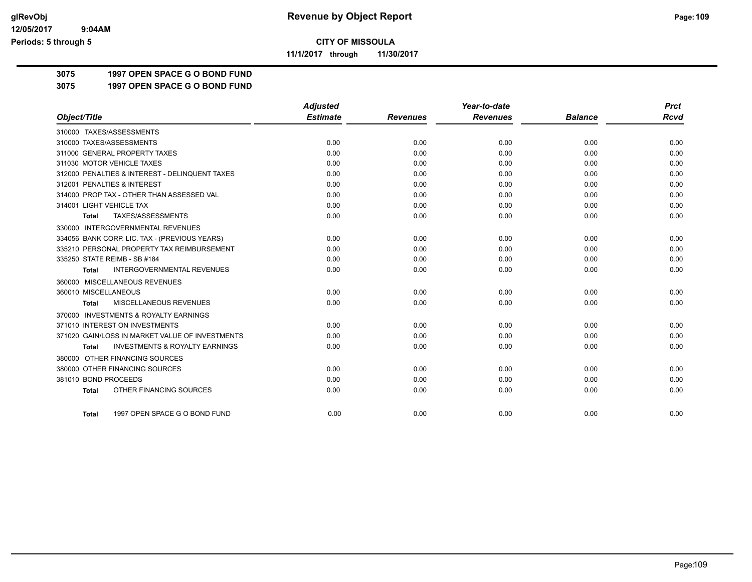**11/1/2017 through 11/30/2017**

# **3075 1997 OPEN SPACE G O BOND FUND**

## **3075 1997 OPEN SPACE G O BOND FUND**

|                                                           | <b>Adjusted</b> |                 | Year-to-date    |                | <b>Prct</b> |
|-----------------------------------------------------------|-----------------|-----------------|-----------------|----------------|-------------|
| Object/Title                                              | <b>Estimate</b> | <b>Revenues</b> | <b>Revenues</b> | <b>Balance</b> | Rcvd        |
| 310000 TAXES/ASSESSMENTS                                  |                 |                 |                 |                |             |
| 310000 TAXES/ASSESSMENTS                                  | 0.00            | 0.00            | 0.00            | 0.00           | 0.00        |
| 311000 GENERAL PROPERTY TAXES                             | 0.00            | 0.00            | 0.00            | 0.00           | 0.00        |
| 311030 MOTOR VEHICLE TAXES                                | 0.00            | 0.00            | 0.00            | 0.00           | 0.00        |
| 312000 PENALTIES & INTEREST - DELINQUENT TAXES            | 0.00            | 0.00            | 0.00            | 0.00           | 0.00        |
| 312001 PENALTIES & INTEREST                               | 0.00            | 0.00            | 0.00            | 0.00           | 0.00        |
| 314000 PROP TAX - OTHER THAN ASSESSED VAL                 | 0.00            | 0.00            | 0.00            | 0.00           | 0.00        |
| 314001 LIGHT VEHICLE TAX                                  | 0.00            | 0.00            | 0.00            | 0.00           | 0.00        |
| TAXES/ASSESSMENTS<br><b>Total</b>                         | 0.00            | 0.00            | 0.00            | 0.00           | 0.00        |
| 330000 INTERGOVERNMENTAL REVENUES                         |                 |                 |                 |                |             |
| 334056 BANK CORP. LIC. TAX - (PREVIOUS YEARS)             | 0.00            | 0.00            | 0.00            | 0.00           | 0.00        |
| 335210 PERSONAL PROPERTY TAX REIMBURSEMENT                | 0.00            | 0.00            | 0.00            | 0.00           | 0.00        |
| 335250 STATE REIMB - SB #184                              | 0.00            | 0.00            | 0.00            | 0.00           | 0.00        |
| <b>INTERGOVERNMENTAL REVENUES</b><br><b>Total</b>         | 0.00            | 0.00            | 0.00            | 0.00           | 0.00        |
| 360000 MISCELLANEOUS REVENUES                             |                 |                 |                 |                |             |
| 360010 MISCELLANEOUS                                      | 0.00            | 0.00            | 0.00            | 0.00           | 0.00        |
| MISCELLANEOUS REVENUES<br><b>Total</b>                    | 0.00            | 0.00            | 0.00            | 0.00           | 0.00        |
| <b>INVESTMENTS &amp; ROYALTY EARNINGS</b><br>370000       |                 |                 |                 |                |             |
| 371010 INTEREST ON INVESTMENTS                            | 0.00            | 0.00            | 0.00            | 0.00           | 0.00        |
| 371020 GAIN/LOSS IN MARKET VALUE OF INVESTMENTS           | 0.00            | 0.00            | 0.00            | 0.00           | 0.00        |
| <b>INVESTMENTS &amp; ROYALTY EARNINGS</b><br><b>Total</b> | 0.00            | 0.00            | 0.00            | 0.00           | 0.00        |
| 380000 OTHER FINANCING SOURCES                            |                 |                 |                 |                |             |
| 380000 OTHER FINANCING SOURCES                            | 0.00            | 0.00            | 0.00            | 0.00           | 0.00        |
| 381010 BOND PROCEEDS                                      | 0.00            | 0.00            | 0.00            | 0.00           | 0.00        |
| OTHER FINANCING SOURCES<br><b>Total</b>                   | 0.00            | 0.00            | 0.00            | 0.00           | 0.00        |
|                                                           |                 |                 |                 |                |             |
| 1997 OPEN SPACE G O BOND FUND<br><b>Total</b>             | 0.00            | 0.00            | 0.00            | 0.00           | 0.00        |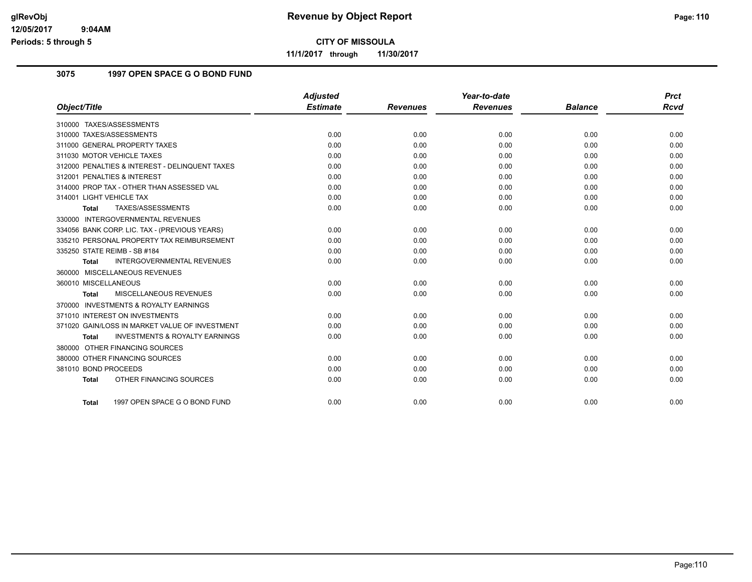**11/1/2017 through 11/30/2017**

# **3075 1997 OPEN SPACE G O BOND FUND**

|                                                           | <b>Adjusted</b> |                 | Year-to-date    |                | <b>Prct</b> |
|-----------------------------------------------------------|-----------------|-----------------|-----------------|----------------|-------------|
| Object/Title                                              | <b>Estimate</b> | <b>Revenues</b> | <b>Revenues</b> | <b>Balance</b> | <b>Rcvd</b> |
| 310000 TAXES/ASSESSMENTS                                  |                 |                 |                 |                |             |
| 310000 TAXES/ASSESSMENTS                                  | 0.00            | 0.00            | 0.00            | 0.00           | 0.00        |
| 311000 GENERAL PROPERTY TAXES                             | 0.00            | 0.00            | 0.00            | 0.00           | 0.00        |
| 311030 MOTOR VEHICLE TAXES                                | 0.00            | 0.00            | 0.00            | 0.00           | 0.00        |
| 312000 PENALTIES & INTEREST - DELINQUENT TAXES            | 0.00            | 0.00            | 0.00            | 0.00           | 0.00        |
| 312001 PENALTIES & INTEREST                               | 0.00            | 0.00            | 0.00            | 0.00           | 0.00        |
| 314000 PROP TAX - OTHER THAN ASSESSED VAL                 | 0.00            | 0.00            | 0.00            | 0.00           | 0.00        |
| 314001 LIGHT VEHICLE TAX                                  | 0.00            | 0.00            | 0.00            | 0.00           | 0.00        |
| TAXES/ASSESSMENTS<br><b>Total</b>                         | 0.00            | 0.00            | 0.00            | 0.00           | 0.00        |
| 330000 INTERGOVERNMENTAL REVENUES                         |                 |                 |                 |                |             |
| 334056 BANK CORP. LIC. TAX - (PREVIOUS YEARS)             | 0.00            | 0.00            | 0.00            | 0.00           | 0.00        |
| 335210 PERSONAL PROPERTY TAX REIMBURSEMENT                | 0.00            | 0.00            | 0.00            | 0.00           | 0.00        |
| 335250 STATE REIMB - SB #184                              | 0.00            | 0.00            | 0.00            | 0.00           | 0.00        |
| <b>INTERGOVERNMENTAL REVENUES</b><br><b>Total</b>         | 0.00            | 0.00            | 0.00            | 0.00           | 0.00        |
| 360000 MISCELLANEOUS REVENUES                             |                 |                 |                 |                |             |
| 360010 MISCELLANEOUS                                      | 0.00            | 0.00            | 0.00            | 0.00           | 0.00        |
| MISCELLANEOUS REVENUES<br><b>Total</b>                    | 0.00            | 0.00            | 0.00            | 0.00           | 0.00        |
| 370000 INVESTMENTS & ROYALTY EARNINGS                     |                 |                 |                 |                |             |
| 371010 INTEREST ON INVESTMENTS                            | 0.00            | 0.00            | 0.00            | 0.00           | 0.00        |
| 371020 GAIN/LOSS IN MARKET VALUE OF INVESTMENT            | 0.00            | 0.00            | 0.00            | 0.00           | 0.00        |
| <b>INVESTMENTS &amp; ROYALTY EARNINGS</b><br><b>Total</b> | 0.00            | 0.00            | 0.00            | 0.00           | 0.00        |
| 380000 OTHER FINANCING SOURCES                            |                 |                 |                 |                |             |
| 380000 OTHER FINANCING SOURCES                            | 0.00            | 0.00            | 0.00            | 0.00           | 0.00        |
| 381010 BOND PROCEEDS                                      | 0.00            | 0.00            | 0.00            | 0.00           | 0.00        |
| OTHER FINANCING SOURCES<br><b>Total</b>                   | 0.00            | 0.00            | 0.00            | 0.00           | 0.00        |
| 1997 OPEN SPACE G O BOND FUND<br><b>Total</b>             | 0.00            | 0.00            | 0.00            | 0.00           | 0.00        |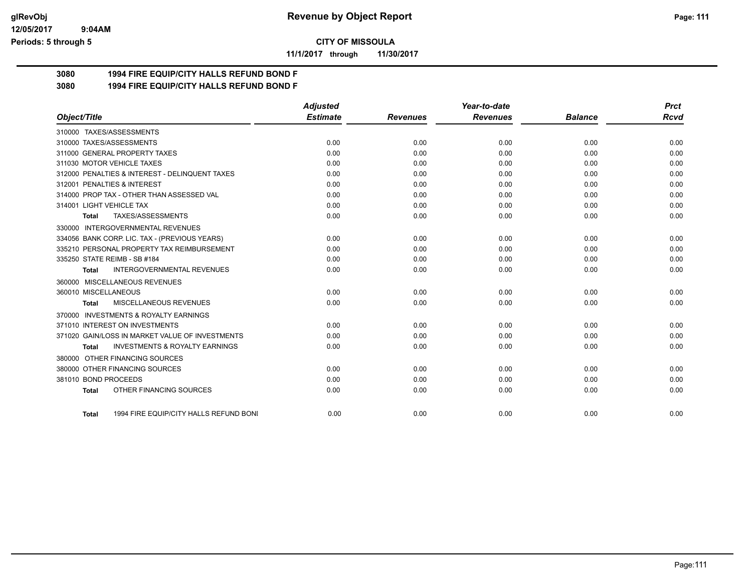#### **12/05/2017 9:04AM Periods: 5 through 5**

### **CITY OF MISSOULA**

**11/1/2017 through 11/30/2017**

# **3080 1994 FIRE EQUIP/CITY HALLS REFUND BOND F**

**3080 1994 FIRE EQUIP/CITY HALLS REFUND BOND F**

|                                                     |                                                 | <b>Adjusted</b> |                 | Year-to-date    |                | <b>Prct</b> |
|-----------------------------------------------------|-------------------------------------------------|-----------------|-----------------|-----------------|----------------|-------------|
| Object/Title                                        |                                                 | <b>Estimate</b> | <b>Revenues</b> | <b>Revenues</b> | <b>Balance</b> | <b>Rcvd</b> |
| 310000 TAXES/ASSESSMENTS                            |                                                 |                 |                 |                 |                |             |
| 310000 TAXES/ASSESSMENTS                            |                                                 | 0.00            | 0.00            | 0.00            | 0.00           | 0.00        |
| 311000 GENERAL PROPERTY TAXES                       |                                                 | 0.00            | 0.00            | 0.00            | 0.00           | 0.00        |
| 311030 MOTOR VEHICLE TAXES                          |                                                 | 0.00            | 0.00            | 0.00            | 0.00           | 0.00        |
| 312000 PENALTIES & INTEREST - DELINQUENT TAXES      |                                                 | 0.00            | 0.00            | 0.00            | 0.00           | 0.00        |
| 312001 PENALTIES & INTEREST                         |                                                 | 0.00            | 0.00            | 0.00            | 0.00           | 0.00        |
| 314000 PROP TAX - OTHER THAN ASSESSED VAL           |                                                 | 0.00            | 0.00            | 0.00            | 0.00           | 0.00        |
| 314001 LIGHT VEHICLE TAX                            |                                                 | 0.00            | 0.00            | 0.00            | 0.00           | 0.00        |
| Total                                               | TAXES/ASSESSMENTS                               | 0.00            | 0.00            | 0.00            | 0.00           | 0.00        |
| 330000 INTERGOVERNMENTAL REVENUES                   |                                                 |                 |                 |                 |                |             |
| 334056 BANK CORP. LIC. TAX - (PREVIOUS YEARS)       |                                                 | 0.00            | 0.00            | 0.00            | 0.00           | 0.00        |
| 335210 PERSONAL PROPERTY TAX REIMBURSEMENT          |                                                 | 0.00            | 0.00            | 0.00            | 0.00           | 0.00        |
| 335250 STATE REIMB - SB #184                        |                                                 | 0.00            | 0.00            | 0.00            | 0.00           | 0.00        |
| <b>Total</b>                                        | <b>INTERGOVERNMENTAL REVENUES</b>               | 0.00            | 0.00            | 0.00            | 0.00           | 0.00        |
| 360000 MISCELLANEOUS REVENUES                       |                                                 |                 |                 |                 |                |             |
| 360010 MISCELLANEOUS                                |                                                 | 0.00            | 0.00            | 0.00            | 0.00           | 0.00        |
| <b>Total</b>                                        | MISCELLANEOUS REVENUES                          | 0.00            | 0.00            | 0.00            | 0.00           | 0.00        |
| <b>INVESTMENTS &amp; ROYALTY EARNINGS</b><br>370000 |                                                 |                 |                 |                 |                |             |
| 371010 INTEREST ON INVESTMENTS                      |                                                 | 0.00            | 0.00            | 0.00            | 0.00           | 0.00        |
|                                                     | 371020 GAIN/LOSS IN MARKET VALUE OF INVESTMENTS | 0.00            | 0.00            | 0.00            | 0.00           | 0.00        |
| <b>Total</b>                                        | <b>INVESTMENTS &amp; ROYALTY EARNINGS</b>       | 0.00            | 0.00            | 0.00            | 0.00           | 0.00        |
| 380000 OTHER FINANCING SOURCES                      |                                                 |                 |                 |                 |                |             |
| 380000 OTHER FINANCING SOURCES                      |                                                 | 0.00            | 0.00            | 0.00            | 0.00           | 0.00        |
| 381010 BOND PROCEEDS                                |                                                 | 0.00            | 0.00            | 0.00            | 0.00           | 0.00        |
| <b>Total</b>                                        | OTHER FINANCING SOURCES                         | 0.00            | 0.00            | 0.00            | 0.00           | 0.00        |
|                                                     |                                                 |                 |                 |                 |                |             |
| <b>Total</b>                                        | 1994 FIRE EQUIP/CITY HALLS REFUND BONI          | 0.00            | 0.00            | 0.00            | 0.00           | 0.00        |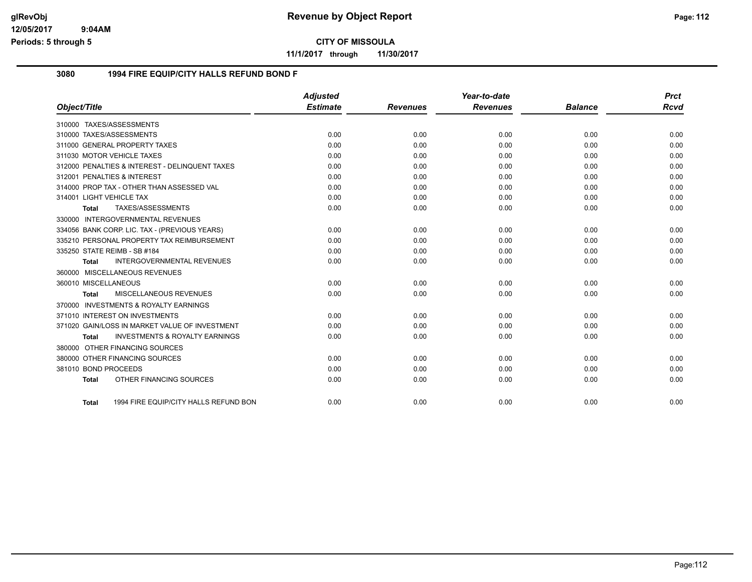**11/1/2017 through 11/30/2017**

## **3080 1994 FIRE EQUIP/CITY HALLS REFUND BOND F**

|                                                           | <b>Adjusted</b> |                 | Year-to-date    |                | <b>Prct</b> |
|-----------------------------------------------------------|-----------------|-----------------|-----------------|----------------|-------------|
| Object/Title                                              | <b>Estimate</b> | <b>Revenues</b> | <b>Revenues</b> | <b>Balance</b> | <b>Rcvd</b> |
| 310000 TAXES/ASSESSMENTS                                  |                 |                 |                 |                |             |
| 310000 TAXES/ASSESSMENTS                                  | 0.00            | 0.00            | 0.00            | 0.00           | 0.00        |
| 311000 GENERAL PROPERTY TAXES                             | 0.00            | 0.00            | 0.00            | 0.00           | 0.00        |
| 311030 MOTOR VEHICLE TAXES                                | 0.00            | 0.00            | 0.00            | 0.00           | 0.00        |
| 312000 PENALTIES & INTEREST - DELINQUENT TAXES            | 0.00            | 0.00            | 0.00            | 0.00           | 0.00        |
| 312001 PENALTIES & INTEREST                               | 0.00            | 0.00            | 0.00            | 0.00           | 0.00        |
| 314000 PROP TAX - OTHER THAN ASSESSED VAL                 | 0.00            | 0.00            | 0.00            | 0.00           | 0.00        |
| 314001 LIGHT VEHICLE TAX                                  | 0.00            | 0.00            | 0.00            | 0.00           | 0.00        |
| TAXES/ASSESSMENTS<br><b>Total</b>                         | 0.00            | 0.00            | 0.00            | 0.00           | 0.00        |
| 330000 INTERGOVERNMENTAL REVENUES                         |                 |                 |                 |                |             |
| 334056 BANK CORP. LIC. TAX - (PREVIOUS YEARS)             | 0.00            | 0.00            | 0.00            | 0.00           | 0.00        |
| 335210 PERSONAL PROPERTY TAX REIMBURSEMENT                | 0.00            | 0.00            | 0.00            | 0.00           | 0.00        |
| 335250 STATE REIMB - SB #184                              | 0.00            | 0.00            | 0.00            | 0.00           | 0.00        |
| <b>INTERGOVERNMENTAL REVENUES</b><br><b>Total</b>         | 0.00            | 0.00            | 0.00            | 0.00           | 0.00        |
| 360000 MISCELLANEOUS REVENUES                             |                 |                 |                 |                |             |
| 360010 MISCELLANEOUS                                      | 0.00            | 0.00            | 0.00            | 0.00           | 0.00        |
| MISCELLANEOUS REVENUES<br><b>Total</b>                    | 0.00            | 0.00            | 0.00            | 0.00           | 0.00        |
| 370000 INVESTMENTS & ROYALTY EARNINGS                     |                 |                 |                 |                |             |
| 371010 INTEREST ON INVESTMENTS                            | 0.00            | 0.00            | 0.00            | 0.00           | 0.00        |
| 371020 GAIN/LOSS IN MARKET VALUE OF INVESTMENT            | 0.00            | 0.00            | 0.00            | 0.00           | 0.00        |
| <b>INVESTMENTS &amp; ROYALTY EARNINGS</b><br><b>Total</b> | 0.00            | 0.00            | 0.00            | 0.00           | 0.00        |
| 380000 OTHER FINANCING SOURCES                            |                 |                 |                 |                |             |
| 380000 OTHER FINANCING SOURCES                            | 0.00            | 0.00            | 0.00            | 0.00           | 0.00        |
| 381010 BOND PROCEEDS                                      | 0.00            | 0.00            | 0.00            | 0.00           | 0.00        |
| OTHER FINANCING SOURCES<br><b>Total</b>                   | 0.00            | 0.00            | 0.00            | 0.00           | 0.00        |
| 1994 FIRE EQUIP/CITY HALLS REFUND BON<br>Total            | 0.00            | 0.00            | 0.00            | 0.00           | 0.00        |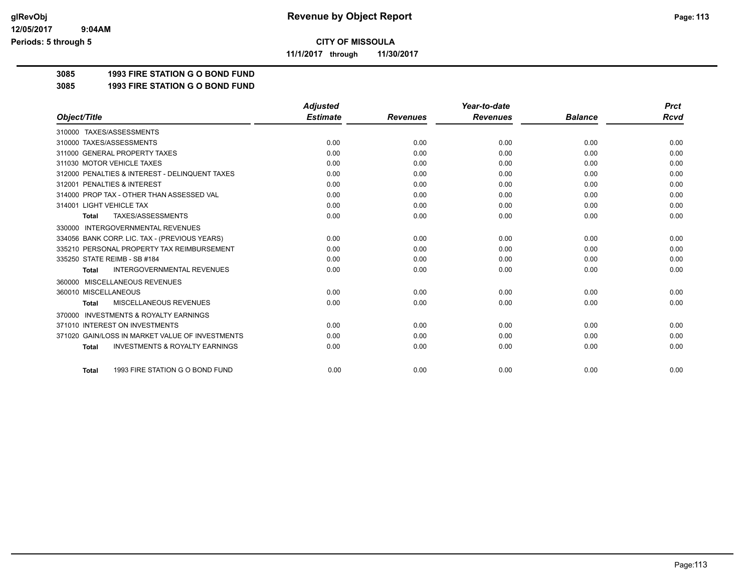**11/1/2017 through 11/30/2017**

# **3085 1993 FIRE STATION G O BOND FUND**

**3085 1993 FIRE STATION G O BOND FUND**

|                                                           | <b>Adjusted</b> |                 | Year-to-date    |                | <b>Prct</b> |
|-----------------------------------------------------------|-----------------|-----------------|-----------------|----------------|-------------|
| Object/Title                                              | <b>Estimate</b> | <b>Revenues</b> | <b>Revenues</b> | <b>Balance</b> | <b>Rcvd</b> |
| 310000 TAXES/ASSESSMENTS                                  |                 |                 |                 |                |             |
| 310000 TAXES/ASSESSMENTS                                  | 0.00            | 0.00            | 0.00            | 0.00           | 0.00        |
| 311000 GENERAL PROPERTY TAXES                             | 0.00            | 0.00            | 0.00            | 0.00           | 0.00        |
| 311030 MOTOR VEHICLE TAXES                                | 0.00            | 0.00            | 0.00            | 0.00           | 0.00        |
| 312000 PENALTIES & INTEREST - DELINQUENT TAXES            | 0.00            | 0.00            | 0.00            | 0.00           | 0.00        |
| 312001 PENALTIES & INTEREST                               | 0.00            | 0.00            | 0.00            | 0.00           | 0.00        |
| 314000 PROP TAX - OTHER THAN ASSESSED VAL                 | 0.00            | 0.00            | 0.00            | 0.00           | 0.00        |
| 314001 LIGHT VEHICLE TAX                                  | 0.00            | 0.00            | 0.00            | 0.00           | 0.00        |
| TAXES/ASSESSMENTS<br><b>Total</b>                         | 0.00            | 0.00            | 0.00            | 0.00           | 0.00        |
| <b>INTERGOVERNMENTAL REVENUES</b><br>330000               |                 |                 |                 |                |             |
| 334056 BANK CORP. LIC. TAX - (PREVIOUS YEARS)             | 0.00            | 0.00            | 0.00            | 0.00           | 0.00        |
| 335210 PERSONAL PROPERTY TAX REIMBURSEMENT                | 0.00            | 0.00            | 0.00            | 0.00           | 0.00        |
| 335250 STATE REIMB - SB #184                              | 0.00            | 0.00            | 0.00            | 0.00           | 0.00        |
| <b>INTERGOVERNMENTAL REVENUES</b><br><b>Total</b>         | 0.00            | 0.00            | 0.00            | 0.00           | 0.00        |
| MISCELLANEOUS REVENUES<br>360000                          |                 |                 |                 |                |             |
| 360010 MISCELLANEOUS                                      | 0.00            | 0.00            | 0.00            | 0.00           | 0.00        |
| MISCELLANEOUS REVENUES<br><b>Total</b>                    | 0.00            | 0.00            | 0.00            | 0.00           | 0.00        |
| <b>INVESTMENTS &amp; ROYALTY EARNINGS</b><br>370000       |                 |                 |                 |                |             |
| 371010 INTEREST ON INVESTMENTS                            | 0.00            | 0.00            | 0.00            | 0.00           | 0.00        |
| 371020 GAIN/LOSS IN MARKET VALUE OF INVESTMENTS           | 0.00            | 0.00            | 0.00            | 0.00           | 0.00        |
| <b>INVESTMENTS &amp; ROYALTY EARNINGS</b><br><b>Total</b> | 0.00            | 0.00            | 0.00            | 0.00           | 0.00        |
| 1993 FIRE STATION G O BOND FUND<br><b>Total</b>           | 0.00            | 0.00            | 0.00            | 0.00           | 0.00        |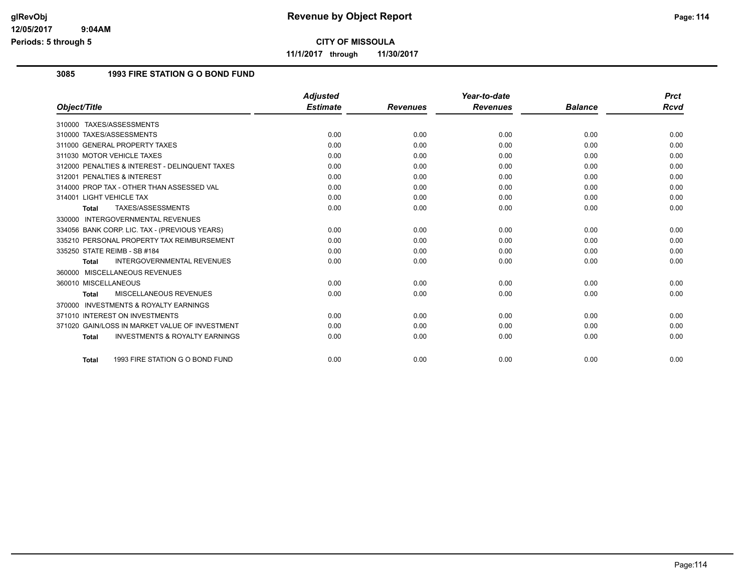**11/1/2017 through 11/30/2017**

# **3085 1993 FIRE STATION G O BOND FUND**

|                                                           | <b>Adjusted</b> |                 | Year-to-date    |                | <b>Prct</b> |
|-----------------------------------------------------------|-----------------|-----------------|-----------------|----------------|-------------|
| Object/Title                                              | <b>Estimate</b> | <b>Revenues</b> | <b>Revenues</b> | <b>Balance</b> | Rcvd        |
| 310000 TAXES/ASSESSMENTS                                  |                 |                 |                 |                |             |
| 310000 TAXES/ASSESSMENTS                                  | 0.00            | 0.00            | 0.00            | 0.00           | 0.00        |
| 311000 GENERAL PROPERTY TAXES                             | 0.00            | 0.00            | 0.00            | 0.00           | 0.00        |
| 311030 MOTOR VEHICLE TAXES                                | 0.00            | 0.00            | 0.00            | 0.00           | 0.00        |
| 312000 PENALTIES & INTEREST - DELINQUENT TAXES            | 0.00            | 0.00            | 0.00            | 0.00           | 0.00        |
| 312001 PENALTIES & INTEREST                               | 0.00            | 0.00            | 0.00            | 0.00           | 0.00        |
| 314000 PROP TAX - OTHER THAN ASSESSED VAL                 | 0.00            | 0.00            | 0.00            | 0.00           | 0.00        |
| 314001 LIGHT VEHICLE TAX                                  | 0.00            | 0.00            | 0.00            | 0.00           | 0.00        |
| <b>TAXES/ASSESSMENTS</b><br><b>Total</b>                  | 0.00            | 0.00            | 0.00            | 0.00           | 0.00        |
| 330000 INTERGOVERNMENTAL REVENUES                         |                 |                 |                 |                |             |
| 334056 BANK CORP. LIC. TAX - (PREVIOUS YEARS)             | 0.00            | 0.00            | 0.00            | 0.00           | 0.00        |
| 335210 PERSONAL PROPERTY TAX REIMBURSEMENT                | 0.00            | 0.00            | 0.00            | 0.00           | 0.00        |
| 335250 STATE REIMB - SB #184                              | 0.00            | 0.00            | 0.00            | 0.00           | 0.00        |
| <b>INTERGOVERNMENTAL REVENUES</b><br><b>Total</b>         | 0.00            | 0.00            | 0.00            | 0.00           | 0.00        |
| 360000 MISCELLANEOUS REVENUES                             |                 |                 |                 |                |             |
| 360010 MISCELLANEOUS                                      | 0.00            | 0.00            | 0.00            | 0.00           | 0.00        |
| MISCELLANEOUS REVENUES<br><b>Total</b>                    | 0.00            | 0.00            | 0.00            | 0.00           | 0.00        |
| 370000 INVESTMENTS & ROYALTY EARNINGS                     |                 |                 |                 |                |             |
| 371010 INTEREST ON INVESTMENTS                            | 0.00            | 0.00            | 0.00            | 0.00           | 0.00        |
| 371020 GAIN/LOSS IN MARKET VALUE OF INVESTMENT            | 0.00            | 0.00            | 0.00            | 0.00           | 0.00        |
| <b>INVESTMENTS &amp; ROYALTY EARNINGS</b><br><b>Total</b> | 0.00            | 0.00            | 0.00            | 0.00           | 0.00        |
| 1993 FIRE STATION G O BOND FUND<br>Total                  | 0.00            | 0.00            | 0.00            | 0.00           | 0.00        |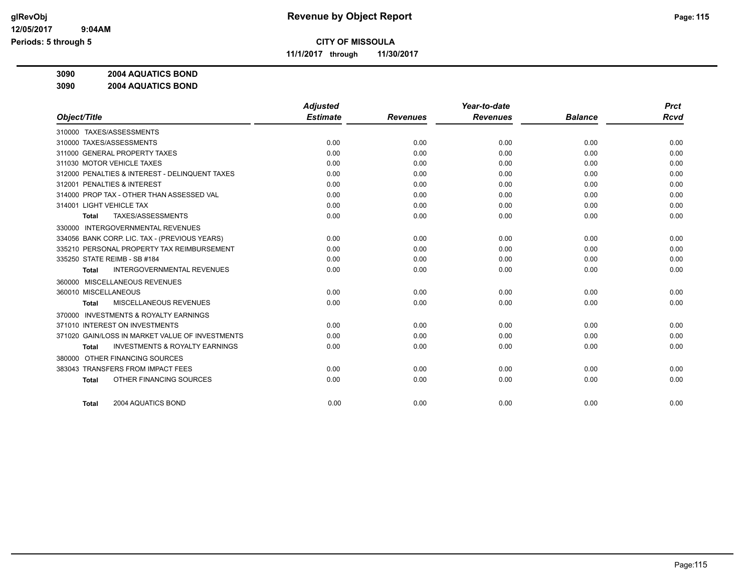**11/1/2017 through 11/30/2017**

**3090 2004 AQUATICS BOND**

**3090 2004 AQUATICS BOND**

|                                                           | <b>Adjusted</b> |                 | Year-to-date    |                | <b>Prct</b> |
|-----------------------------------------------------------|-----------------|-----------------|-----------------|----------------|-------------|
| Object/Title                                              | <b>Estimate</b> | <b>Revenues</b> | <b>Revenues</b> | <b>Balance</b> | <b>Rcvd</b> |
| 310000 TAXES/ASSESSMENTS                                  |                 |                 |                 |                |             |
| 310000 TAXES/ASSESSMENTS                                  | 0.00            | 0.00            | 0.00            | 0.00           | 0.00        |
| 311000 GENERAL PROPERTY TAXES                             | 0.00            | 0.00            | 0.00            | 0.00           | 0.00        |
| 311030 MOTOR VEHICLE TAXES                                | 0.00            | 0.00            | 0.00            | 0.00           | 0.00        |
| 312000 PENALTIES & INTEREST - DELINQUENT TAXES            | 0.00            | 0.00            | 0.00            | 0.00           | 0.00        |
| 312001 PENALTIES & INTEREST                               | 0.00            | 0.00            | 0.00            | 0.00           | 0.00        |
| 314000 PROP TAX - OTHER THAN ASSESSED VAL                 | 0.00            | 0.00            | 0.00            | 0.00           | 0.00        |
| 314001 LIGHT VEHICLE TAX                                  | 0.00            | 0.00            | 0.00            | 0.00           | 0.00        |
| TAXES/ASSESSMENTS<br><b>Total</b>                         | 0.00            | 0.00            | 0.00            | 0.00           | 0.00        |
| 330000 INTERGOVERNMENTAL REVENUES                         |                 |                 |                 |                |             |
| 334056 BANK CORP. LIC. TAX - (PREVIOUS YEARS)             | 0.00            | 0.00            | 0.00            | 0.00           | 0.00        |
| 335210 PERSONAL PROPERTY TAX REIMBURSEMENT                | 0.00            | 0.00            | 0.00            | 0.00           | 0.00        |
| 335250 STATE REIMB - SB #184                              | 0.00            | 0.00            | 0.00            | 0.00           | 0.00        |
| <b>INTERGOVERNMENTAL REVENUES</b><br><b>Total</b>         | 0.00            | 0.00            | 0.00            | 0.00           | 0.00        |
| MISCELLANEOUS REVENUES<br>360000                          |                 |                 |                 |                |             |
| 360010 MISCELLANEOUS                                      | 0.00            | 0.00            | 0.00            | 0.00           | 0.00        |
| <b>MISCELLANEOUS REVENUES</b><br><b>Total</b>             | 0.00            | 0.00            | 0.00            | 0.00           | 0.00        |
| <b>INVESTMENTS &amp; ROYALTY EARNINGS</b><br>370000       |                 |                 |                 |                |             |
| 371010 INTEREST ON INVESTMENTS                            | 0.00            | 0.00            | 0.00            | 0.00           | 0.00        |
| 371020 GAIN/LOSS IN MARKET VALUE OF INVESTMENTS           | 0.00            | 0.00            | 0.00            | 0.00           | 0.00        |
| <b>INVESTMENTS &amp; ROYALTY EARNINGS</b><br><b>Total</b> | 0.00            | 0.00            | 0.00            | 0.00           | 0.00        |
| OTHER FINANCING SOURCES<br>380000                         |                 |                 |                 |                |             |
| 383043 TRANSFERS FROM IMPACT FEES                         | 0.00            | 0.00            | 0.00            | 0.00           | 0.00        |
| OTHER FINANCING SOURCES<br><b>Total</b>                   | 0.00            | 0.00            | 0.00            | 0.00           | 0.00        |
| 2004 AQUATICS BOND<br><b>Total</b>                        | 0.00            | 0.00            | 0.00            | 0.00           | 0.00        |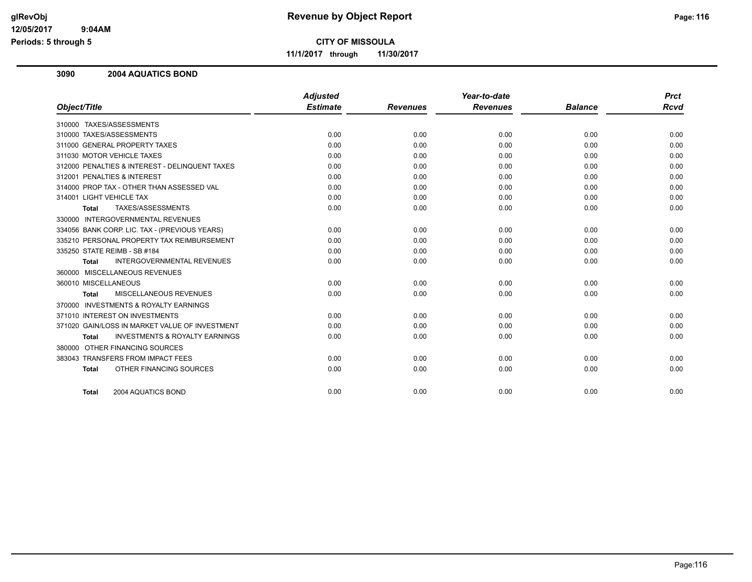**11/1/2017 through 11/30/2017**

## **3090 2004 AQUATICS BOND**

|                                                           | <b>Adjusted</b> |                 | Year-to-date    |                | <b>Prct</b> |
|-----------------------------------------------------------|-----------------|-----------------|-----------------|----------------|-------------|
| Object/Title                                              | <b>Estimate</b> | <b>Revenues</b> | <b>Revenues</b> | <b>Balance</b> | <b>Rcvd</b> |
| 310000 TAXES/ASSESSMENTS                                  |                 |                 |                 |                |             |
| 310000 TAXES/ASSESSMENTS                                  | 0.00            | 0.00            | 0.00            | 0.00           | 0.00        |
| 311000 GENERAL PROPERTY TAXES                             | 0.00            | 0.00            | 0.00            | 0.00           | 0.00        |
| 311030 MOTOR VEHICLE TAXES                                | 0.00            | 0.00            | 0.00            | 0.00           | 0.00        |
| 312000 PENALTIES & INTEREST - DELINQUENT TAXES            | 0.00            | 0.00            | 0.00            | 0.00           | 0.00        |
| 312001 PENALTIES & INTEREST                               | 0.00            | 0.00            | 0.00            | 0.00           | 0.00        |
| 314000 PROP TAX - OTHER THAN ASSESSED VAL                 | 0.00            | 0.00            | 0.00            | 0.00           | 0.00        |
| 314001 LIGHT VEHICLE TAX                                  | 0.00            | 0.00            | 0.00            | 0.00           | 0.00        |
| TAXES/ASSESSMENTS<br><b>Total</b>                         | 0.00            | 0.00            | 0.00            | 0.00           | 0.00        |
| 330000 INTERGOVERNMENTAL REVENUES                         |                 |                 |                 |                |             |
| 334056 BANK CORP. LIC. TAX - (PREVIOUS YEARS)             | 0.00            | 0.00            | 0.00            | 0.00           | 0.00        |
| 335210 PERSONAL PROPERTY TAX REIMBURSEMENT                | 0.00            | 0.00            | 0.00            | 0.00           | 0.00        |
| 335250 STATE REIMB - SB #184                              | 0.00            | 0.00            | 0.00            | 0.00           | 0.00        |
| <b>INTERGOVERNMENTAL REVENUES</b><br><b>Total</b>         | 0.00            | 0.00            | 0.00            | 0.00           | 0.00        |
| 360000 MISCELLANEOUS REVENUES                             |                 |                 |                 |                |             |
| 360010 MISCELLANEOUS                                      | 0.00            | 0.00            | 0.00            | 0.00           | 0.00        |
| MISCELLANEOUS REVENUES<br><b>Total</b>                    | 0.00            | 0.00            | 0.00            | 0.00           | 0.00        |
| 370000 INVESTMENTS & ROYALTY EARNINGS                     |                 |                 |                 |                |             |
| 371010 INTEREST ON INVESTMENTS                            | 0.00            | 0.00            | 0.00            | 0.00           | 0.00        |
| 371020 GAIN/LOSS IN MARKET VALUE OF INVESTMENT            | 0.00            | 0.00            | 0.00            | 0.00           | 0.00        |
| <b>INVESTMENTS &amp; ROYALTY EARNINGS</b><br><b>Total</b> | 0.00            | 0.00            | 0.00            | 0.00           | 0.00        |
| 380000 OTHER FINANCING SOURCES                            |                 |                 |                 |                |             |
| 383043 TRANSFERS FROM IMPACT FEES                         | 0.00            | 0.00            | 0.00            | 0.00           | 0.00        |
| OTHER FINANCING SOURCES<br><b>Total</b>                   | 0.00            | 0.00            | 0.00            | 0.00           | 0.00        |
| 2004 AQUATICS BOND<br><b>Total</b>                        | 0.00            | 0.00            | 0.00            | 0.00           | 0.00        |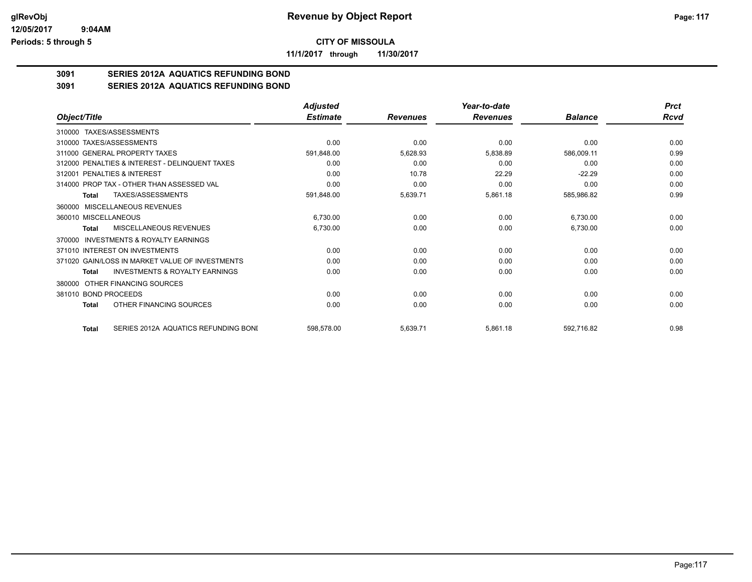**11/1/2017 through 11/30/2017**

# **3091 SERIES 2012A AQUATICS REFUNDING BOND**

# **3091 SERIES 2012A AQUATICS REFUNDING BOND**

|                                                     | <b>Adjusted</b> |                 | Year-to-date    |                | <b>Prct</b> |
|-----------------------------------------------------|-----------------|-----------------|-----------------|----------------|-------------|
| Object/Title                                        | <b>Estimate</b> | <b>Revenues</b> | <b>Revenues</b> | <b>Balance</b> | Rcvd        |
| TAXES/ASSESSMENTS<br>310000                         |                 |                 |                 |                |             |
| 310000 TAXES/ASSESSMENTS                            | 0.00            | 0.00            | 0.00            | 0.00           | 0.00        |
| 311000 GENERAL PROPERTY TAXES                       | 591,848.00      | 5,628.93        | 5,838.89        | 586,009.11     | 0.99        |
| 312000 PENALTIES & INTEREST - DELINQUENT TAXES      | 0.00            | 0.00            | 0.00            | 0.00           | 0.00        |
| 312001 PENALTIES & INTEREST                         | 0.00            | 10.78           | 22.29           | $-22.29$       | 0.00        |
| 314000 PROP TAX - OTHER THAN ASSESSED VAL           | 0.00            | 0.00            | 0.00            | 0.00           | 0.00        |
| TAXES/ASSESSMENTS<br><b>Total</b>                   | 591,848.00      | 5,639.71        | 5,861.18        | 585,986.82     | 0.99        |
| <b>MISCELLANEOUS REVENUES</b><br>360000             |                 |                 |                 |                |             |
| 360010 MISCELLANEOUS                                | 6,730.00        | 0.00            | 0.00            | 6,730.00       | 0.00        |
| <b>MISCELLANEOUS REVENUES</b><br><b>Total</b>       | 6,730.00        | 0.00            | 0.00            | 6,730.00       | 0.00        |
| <b>INVESTMENTS &amp; ROYALTY EARNINGS</b><br>370000 |                 |                 |                 |                |             |
| 371010 INTEREST ON INVESTMENTS                      | 0.00            | 0.00            | 0.00            | 0.00           | 0.00        |
| 371020 GAIN/LOSS IN MARKET VALUE OF INVESTMENTS     | 0.00            | 0.00            | 0.00            | 0.00           | 0.00        |
| <b>INVESTMENTS &amp; ROYALTY EARNINGS</b><br>Total  | 0.00            | 0.00            | 0.00            | 0.00           | 0.00        |
| OTHER FINANCING SOURCES<br>380000                   |                 |                 |                 |                |             |
| 381010 BOND PROCEEDS                                | 0.00            | 0.00            | 0.00            | 0.00           | 0.00        |
| OTHER FINANCING SOURCES<br>Total                    | 0.00            | 0.00            | 0.00            | 0.00           | 0.00        |
| SERIES 2012A AQUATICS REFUNDING BONI<br>Total       | 598,578.00      | 5,639.71        | 5,861.18        | 592,716.82     | 0.98        |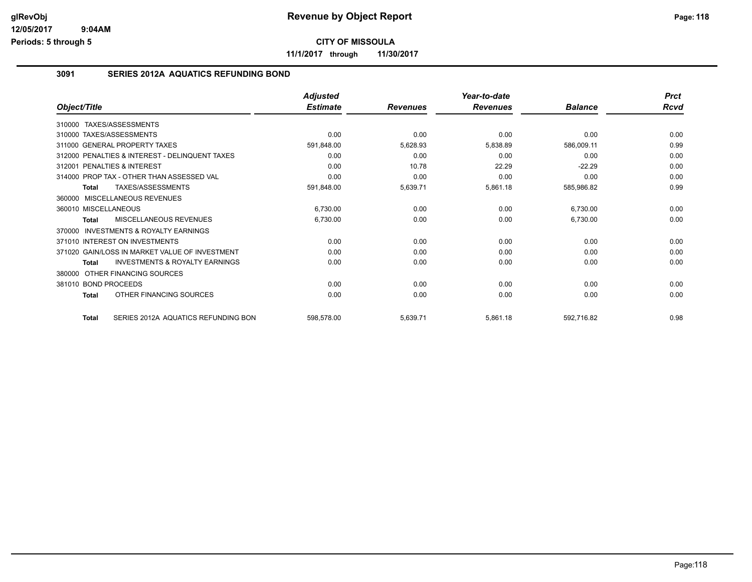**11/1/2017 through 11/30/2017**

## **3091 SERIES 2012A AQUATICS REFUNDING BOND**

|                                                           | <b>Adjusted</b> |                 | Year-to-date    |                | <b>Prct</b> |
|-----------------------------------------------------------|-----------------|-----------------|-----------------|----------------|-------------|
| Object/Title                                              | <b>Estimate</b> | <b>Revenues</b> | <b>Revenues</b> | <b>Balance</b> | Rcvd        |
| 310000 TAXES/ASSESSMENTS                                  |                 |                 |                 |                |             |
| 310000 TAXES/ASSESSMENTS                                  | 0.00            | 0.00            | 0.00            | 0.00           | 0.00        |
| 311000 GENERAL PROPERTY TAXES                             | 591,848.00      | 5,628.93        | 5,838.89        | 586,009.11     | 0.99        |
| 312000 PENALTIES & INTEREST - DELINQUENT TAXES            | 0.00            | 0.00            | 0.00            | 0.00           | 0.00        |
| 312001 PENALTIES & INTEREST                               | 0.00            | 10.78           | 22.29           | $-22.29$       | 0.00        |
| 314000 PROP TAX - OTHER THAN ASSESSED VAL                 | 0.00            | 0.00            | 0.00            | 0.00           | 0.00        |
| TAXES/ASSESSMENTS<br>Total                                | 591,848.00      | 5,639.71        | 5,861.18        | 585,986.82     | 0.99        |
| 360000 MISCELLANEOUS REVENUES                             |                 |                 |                 |                |             |
| 360010 MISCELLANEOUS                                      | 6,730.00        | 0.00            | 0.00            | 6,730.00       | 0.00        |
| MISCELLANEOUS REVENUES<br>Total                           | 6,730.00        | 0.00            | 0.00            | 6,730.00       | 0.00        |
| INVESTMENTS & ROYALTY EARNINGS<br>370000                  |                 |                 |                 |                |             |
| 371010 INTEREST ON INVESTMENTS                            | 0.00            | 0.00            | 0.00            | 0.00           | 0.00        |
| 371020 GAIN/LOSS IN MARKET VALUE OF INVESTMENT            | 0.00            | 0.00            | 0.00            | 0.00           | 0.00        |
| <b>INVESTMENTS &amp; ROYALTY EARNINGS</b><br><b>Total</b> | 0.00            | 0.00            | 0.00            | 0.00           | 0.00        |
| OTHER FINANCING SOURCES<br>380000                         |                 |                 |                 |                |             |
| 381010 BOND PROCEEDS                                      | 0.00            | 0.00            | 0.00            | 0.00           | 0.00        |
| OTHER FINANCING SOURCES<br>Total                          | 0.00            | 0.00            | 0.00            | 0.00           | 0.00        |
| SERIES 2012A AQUATICS REFUNDING BON<br><b>Total</b>       | 598,578.00      | 5,639.71        | 5,861.18        | 592,716.82     | 0.98        |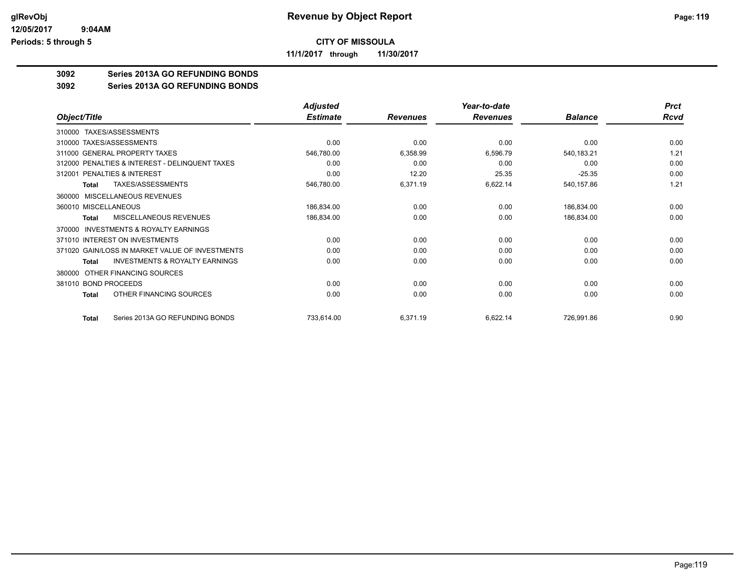**11/1/2017 through 11/30/2017**

# **3092 Series 2013A GO REFUNDING BONDS**

# **3092 Series 2013A GO REFUNDING BONDS**

|                                                           | <b>Adjusted</b> |                 | Year-to-date    |                | <b>Prct</b> |
|-----------------------------------------------------------|-----------------|-----------------|-----------------|----------------|-------------|
| Object/Title                                              | <b>Estimate</b> | <b>Revenues</b> | <b>Revenues</b> | <b>Balance</b> | <b>Rcvd</b> |
| TAXES/ASSESSMENTS<br>310000                               |                 |                 |                 |                |             |
| 310000 TAXES/ASSESSMENTS                                  | 0.00            | 0.00            | 0.00            | 0.00           | 0.00        |
| 311000 GENERAL PROPERTY TAXES                             | 546,780.00      | 6,358.99        | 6,596.79        | 540,183.21     | 1.21        |
| 312000 PENALTIES & INTEREST - DELINQUENT TAXES            | 0.00            | 0.00            | 0.00            | 0.00           | 0.00        |
| 312001 PENALTIES & INTEREST                               | 0.00            | 12.20           | 25.35           | $-25.35$       | 0.00        |
| <b>TAXES/ASSESSMENTS</b><br><b>Total</b>                  | 546,780.00      | 6,371.19        | 6,622.14        | 540,157.86     | 1.21        |
| MISCELLANEOUS REVENUES<br>360000                          |                 |                 |                 |                |             |
| 360010 MISCELLANEOUS                                      | 186,834.00      | 0.00            | 0.00            | 186,834.00     | 0.00        |
| MISCELLANEOUS REVENUES<br><b>Total</b>                    | 186,834.00      | 0.00            | 0.00            | 186,834.00     | 0.00        |
| <b>INVESTMENTS &amp; ROYALTY EARNINGS</b><br>370000       |                 |                 |                 |                |             |
| 371010 INTEREST ON INVESTMENTS                            | 0.00            | 0.00            | 0.00            | 0.00           | 0.00        |
| 371020 GAIN/LOSS IN MARKET VALUE OF INVESTMENTS           | 0.00            | 0.00            | 0.00            | 0.00           | 0.00        |
| <b>INVESTMENTS &amp; ROYALTY EARNINGS</b><br><b>Total</b> | 0.00            | 0.00            | 0.00            | 0.00           | 0.00        |
| OTHER FINANCING SOURCES<br>380000                         |                 |                 |                 |                |             |
| 381010 BOND PROCEEDS                                      | 0.00            | 0.00            | 0.00            | 0.00           | 0.00        |
| OTHER FINANCING SOURCES<br><b>Total</b>                   | 0.00            | 0.00            | 0.00            | 0.00           | 0.00        |
| Series 2013A GO REFUNDING BONDS<br><b>Total</b>           | 733,614.00      | 6,371.19        | 6,622.14        | 726,991.86     | 0.90        |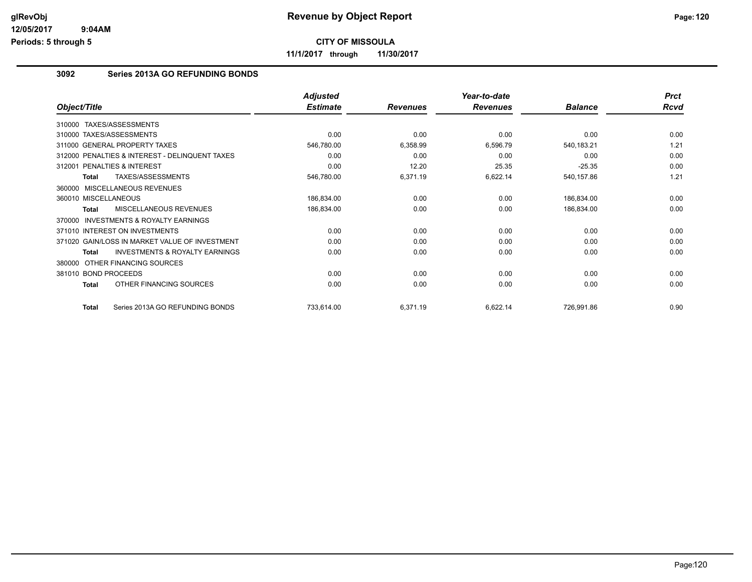**11/1/2017 through 11/30/2017**

# **3092 Series 2013A GO REFUNDING BONDS**

|                                                     | <b>Adjusted</b> |                 | Year-to-date    |                | <b>Prct</b> |
|-----------------------------------------------------|-----------------|-----------------|-----------------|----------------|-------------|
| Object/Title                                        | <b>Estimate</b> | <b>Revenues</b> | <b>Revenues</b> | <b>Balance</b> | <b>Rcvd</b> |
| TAXES/ASSESSMENTS<br>310000                         |                 |                 |                 |                |             |
| 310000 TAXES/ASSESSMENTS                            | 0.00            | 0.00            | 0.00            | 0.00           | 0.00        |
| 311000 GENERAL PROPERTY TAXES                       | 546,780.00      | 6,358.99        | 6,596.79        | 540,183.21     | 1.21        |
| 312000 PENALTIES & INTEREST - DELINQUENT TAXES      | 0.00            | 0.00            | 0.00            | 0.00           | 0.00        |
| 312001 PENALTIES & INTEREST                         | 0.00            | 12.20           | 25.35           | $-25.35$       | 0.00        |
| TAXES/ASSESSMENTS<br>Total                          | 546,780.00      | 6,371.19        | 6,622.14        | 540,157.86     | 1.21        |
| 360000 MISCELLANEOUS REVENUES                       |                 |                 |                 |                |             |
| 360010 MISCELLANEOUS                                | 186,834.00      | 0.00            | 0.00            | 186,834.00     | 0.00        |
| MISCELLANEOUS REVENUES<br>Total                     | 186,834.00      | 0.00            | 0.00            | 186,834.00     | 0.00        |
| <b>INVESTMENTS &amp; ROYALTY EARNINGS</b><br>370000 |                 |                 |                 |                |             |
| 371010 INTEREST ON INVESTMENTS                      | 0.00            | 0.00            | 0.00            | 0.00           | 0.00        |
| 371020 GAIN/LOSS IN MARKET VALUE OF INVESTMENT      | 0.00            | 0.00            | 0.00            | 0.00           | 0.00        |
| <b>INVESTMENTS &amp; ROYALTY EARNINGS</b><br>Total  | 0.00            | 0.00            | 0.00            | 0.00           | 0.00        |
| 380000 OTHER FINANCING SOURCES                      |                 |                 |                 |                |             |
| 381010 BOND PROCEEDS                                | 0.00            | 0.00            | 0.00            | 0.00           | 0.00        |
| OTHER FINANCING SOURCES<br>Total                    | 0.00            | 0.00            | 0.00            | 0.00           | 0.00        |
| Series 2013A GO REFUNDING BONDS<br><b>Total</b>     | 733,614.00      | 6,371.19        | 6,622.14        | 726,991.86     | 0.90        |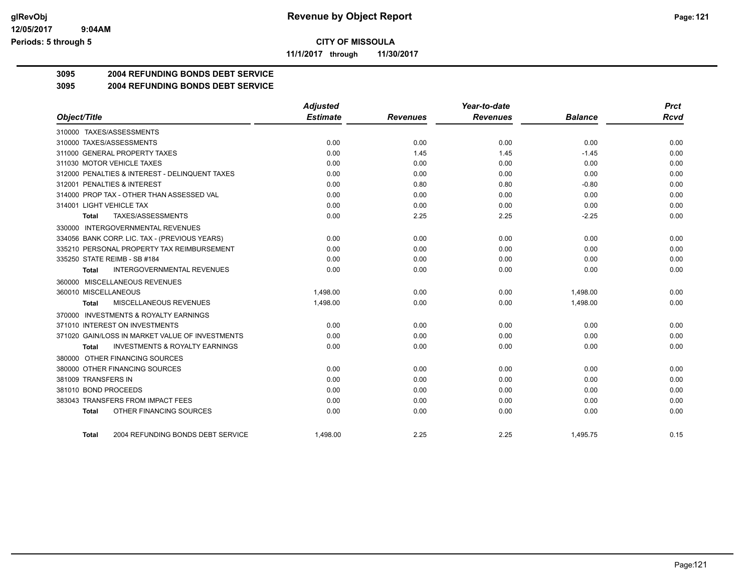**11/1/2017 through 11/30/2017**

# **3095 2004 REFUNDING BONDS DEBT SERVICE**

# **3095 2004 REFUNDING BONDS DEBT SERVICE**

|                                                     | <b>Adjusted</b> |                 | Year-to-date    |                | <b>Prct</b> |
|-----------------------------------------------------|-----------------|-----------------|-----------------|----------------|-------------|
| Object/Title                                        | <b>Estimate</b> | <b>Revenues</b> | <b>Revenues</b> | <b>Balance</b> | Rcvd        |
| 310000 TAXES/ASSESSMENTS                            |                 |                 |                 |                |             |
| 310000 TAXES/ASSESSMENTS                            | 0.00            | 0.00            | 0.00            | 0.00           | 0.00        |
| 311000 GENERAL PROPERTY TAXES                       | 0.00            | 1.45            | 1.45            | $-1.45$        | 0.00        |
| 311030 MOTOR VEHICLE TAXES                          | 0.00            | 0.00            | 0.00            | 0.00           | 0.00        |
| 312000 PENALTIES & INTEREST - DELINQUENT TAXES      | 0.00            | 0.00            | 0.00            | 0.00           | 0.00        |
| 312001 PENALTIES & INTEREST                         | 0.00            | 0.80            | 0.80            | $-0.80$        | 0.00        |
| 314000 PROP TAX - OTHER THAN ASSESSED VAL           | 0.00            | 0.00            | 0.00            | 0.00           | 0.00        |
| 314001 LIGHT VEHICLE TAX                            | 0.00            | 0.00            | 0.00            | 0.00           | 0.00        |
| TAXES/ASSESSMENTS<br>Total                          | 0.00            | 2.25            | 2.25            | $-2.25$        | 0.00        |
| 330000 INTERGOVERNMENTAL REVENUES                   |                 |                 |                 |                |             |
| 334056 BANK CORP. LIC. TAX - (PREVIOUS YEARS)       | 0.00            | 0.00            | 0.00            | 0.00           | 0.00        |
| 335210 PERSONAL PROPERTY TAX REIMBURSEMENT          | 0.00            | 0.00            | 0.00            | 0.00           | 0.00        |
| 335250 STATE REIMB - SB #184                        | 0.00            | 0.00            | 0.00            | 0.00           | 0.00        |
| <b>INTERGOVERNMENTAL REVENUES</b><br>Total          | 0.00            | 0.00            | 0.00            | 0.00           | 0.00        |
| 360000 MISCELLANEOUS REVENUES                       |                 |                 |                 |                |             |
| 360010 MISCELLANEOUS                                | 1.498.00        | 0.00            | 0.00            | 1,498.00       | 0.00        |
| MISCELLANEOUS REVENUES<br>Total                     | 1,498.00        | 0.00            | 0.00            | 1,498.00       | 0.00        |
| <b>INVESTMENTS &amp; ROYALTY EARNINGS</b><br>370000 |                 |                 |                 |                |             |
| 371010 INTEREST ON INVESTMENTS                      | 0.00            | 0.00            | 0.00            | 0.00           | 0.00        |
| 371020 GAIN/LOSS IN MARKET VALUE OF INVESTMENTS     | 0.00            | 0.00            | 0.00            | 0.00           | 0.00        |
| <b>INVESTMENTS &amp; ROYALTY EARNINGS</b><br>Total  | 0.00            | 0.00            | 0.00            | 0.00           | 0.00        |
| 380000 OTHER FINANCING SOURCES                      |                 |                 |                 |                |             |
| 380000 OTHER FINANCING SOURCES                      | 0.00            | 0.00            | 0.00            | 0.00           | 0.00        |
| 381009 TRANSFERS IN                                 | 0.00            | 0.00            | 0.00            | 0.00           | 0.00        |
| 381010 BOND PROCEEDS                                | 0.00            | 0.00            | 0.00            | 0.00           | 0.00        |
| 383043 TRANSFERS FROM IMPACT FEES                   | 0.00            | 0.00            | 0.00            | 0.00           | 0.00        |
| OTHER FINANCING SOURCES<br><b>Total</b>             | 0.00            | 0.00            | 0.00            | 0.00           | 0.00        |
| 2004 REFUNDING BONDS DEBT SERVICE<br>Total          | 1.498.00        | 2.25            | 2.25            | 1.495.75       | 0.15        |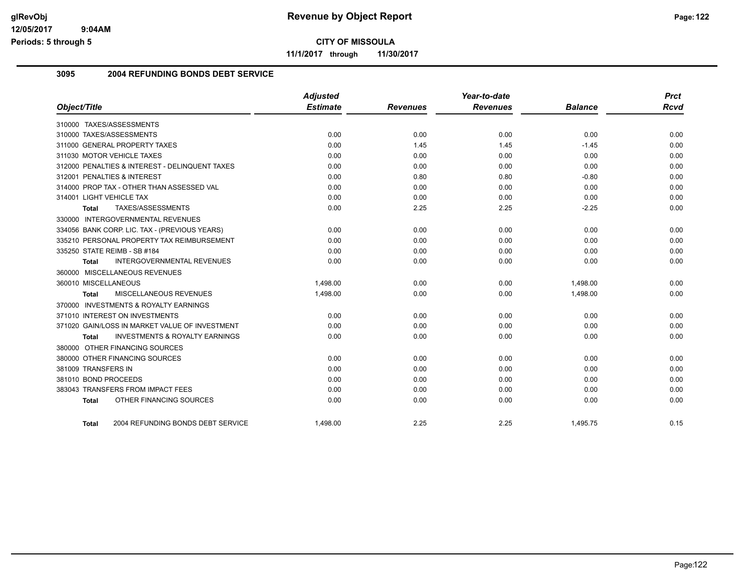**11/1/2017 through 11/30/2017**

# **3095 2004 REFUNDING BONDS DEBT SERVICE**

|                                |                                                | <b>Adjusted</b> |                 | Year-to-date    |                | <b>Prct</b> |
|--------------------------------|------------------------------------------------|-----------------|-----------------|-----------------|----------------|-------------|
| Object/Title                   |                                                | <b>Estimate</b> | <b>Revenues</b> | <b>Revenues</b> | <b>Balance</b> | <b>Rcvd</b> |
| 310000 TAXES/ASSESSMENTS       |                                                |                 |                 |                 |                |             |
| 310000 TAXES/ASSESSMENTS       |                                                | 0.00            | 0.00            | 0.00            | 0.00           | 0.00        |
| 311000 GENERAL PROPERTY TAXES  |                                                | 0.00            | 1.45            | 1.45            | $-1.45$        | 0.00        |
| 311030 MOTOR VEHICLE TAXES     |                                                | 0.00            | 0.00            | 0.00            | 0.00           | 0.00        |
|                                | 312000 PENALTIES & INTEREST - DELINQUENT TAXES | 0.00            | 0.00            | 0.00            | 0.00           | 0.00        |
| 312001 PENALTIES & INTEREST    |                                                | 0.00            | 0.80            | 0.80            | $-0.80$        | 0.00        |
|                                | 314000 PROP TAX - OTHER THAN ASSESSED VAL      | 0.00            | 0.00            | 0.00            | 0.00           | 0.00        |
| 314001 LIGHT VEHICLE TAX       |                                                | 0.00            | 0.00            | 0.00            | 0.00           | 0.00        |
| <b>Total</b>                   | TAXES/ASSESSMENTS                              | 0.00            | 2.25            | 2.25            | $-2.25$        | 0.00        |
|                                | 330000 INTERGOVERNMENTAL REVENUES              |                 |                 |                 |                |             |
|                                | 334056 BANK CORP. LIC. TAX - (PREVIOUS YEARS)  | 0.00            | 0.00            | 0.00            | 0.00           | 0.00        |
|                                | 335210 PERSONAL PROPERTY TAX REIMBURSEMENT     | 0.00            | 0.00            | 0.00            | 0.00           | 0.00        |
| 335250 STATE REIMB - SB #184   |                                                | 0.00            | 0.00            | 0.00            | 0.00           | 0.00        |
| <b>Total</b>                   | <b>INTERGOVERNMENTAL REVENUES</b>              | 0.00            | 0.00            | 0.00            | 0.00           | 0.00        |
| 360000 MISCELLANEOUS REVENUES  |                                                |                 |                 |                 |                |             |
| 360010 MISCELLANEOUS           |                                                | 1,498.00        | 0.00            | 0.00            | 1,498.00       | 0.00        |
| <b>Total</b>                   | MISCELLANEOUS REVENUES                         | 1,498.00        | 0.00            | 0.00            | 1,498.00       | 0.00        |
|                                | 370000 INVESTMENTS & ROYALTY EARNINGS          |                 |                 |                 |                |             |
| 371010 INTEREST ON INVESTMENTS |                                                | 0.00            | 0.00            | 0.00            | 0.00           | 0.00        |
|                                | 371020 GAIN/LOSS IN MARKET VALUE OF INVESTMENT | 0.00            | 0.00            | 0.00            | 0.00           | 0.00        |
| <b>Total</b>                   | <b>INVESTMENTS &amp; ROYALTY EARNINGS</b>      | 0.00            | 0.00            | 0.00            | 0.00           | 0.00        |
| 380000 OTHER FINANCING SOURCES |                                                |                 |                 |                 |                |             |
| 380000 OTHER FINANCING SOURCES |                                                | 0.00            | 0.00            | 0.00            | 0.00           | 0.00        |
| 381009 TRANSFERS IN            |                                                | 0.00            | 0.00            | 0.00            | 0.00           | 0.00        |
| 381010 BOND PROCEEDS           |                                                | 0.00            | 0.00            | 0.00            | 0.00           | 0.00        |
|                                | 383043 TRANSFERS FROM IMPACT FEES              | 0.00            | 0.00            | 0.00            | 0.00           | 0.00        |
| <b>Total</b>                   | OTHER FINANCING SOURCES                        | 0.00            | 0.00            | 0.00            | 0.00           | 0.00        |
| Total                          | 2004 REFUNDING BONDS DEBT SERVICE              | 1,498.00        | 2.25            | 2.25            | 1,495.75       | 0.15        |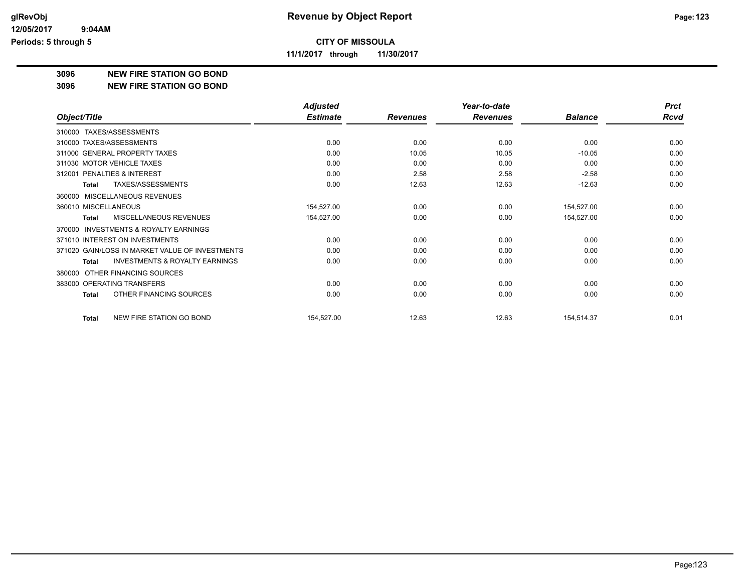**11/1/2017 through 11/30/2017**

### **3096 NEW FIRE STATION GO BOND**

### **3096 NEW FIRE STATION GO BOND**

|                                                           | <b>Adjusted</b> |                 | Year-to-date    |                | <b>Prct</b> |
|-----------------------------------------------------------|-----------------|-----------------|-----------------|----------------|-------------|
| Object/Title                                              | <b>Estimate</b> | <b>Revenues</b> | <b>Revenues</b> | <b>Balance</b> | Rcvd        |
| TAXES/ASSESSMENTS<br>310000                               |                 |                 |                 |                |             |
| 310000 TAXES/ASSESSMENTS                                  | 0.00            | 0.00            | 0.00            | 0.00           | 0.00        |
| 311000 GENERAL PROPERTY TAXES                             | 0.00            | 10.05           | 10.05           | $-10.05$       | 0.00        |
| 311030 MOTOR VEHICLE TAXES                                | 0.00            | 0.00            | 0.00            | 0.00           | 0.00        |
| <b>PENALTIES &amp; INTEREST</b><br>312001                 | 0.00            | 2.58            | 2.58            | $-2.58$        | 0.00        |
| TAXES/ASSESSMENTS<br><b>Total</b>                         | 0.00            | 12.63           | 12.63           | $-12.63$       | 0.00        |
| MISCELLANEOUS REVENUES<br>360000                          |                 |                 |                 |                |             |
| 360010 MISCELLANEOUS                                      | 154,527.00      | 0.00            | 0.00            | 154,527.00     | 0.00        |
| <b>MISCELLANEOUS REVENUES</b><br><b>Total</b>             | 154,527.00      | 0.00            | 0.00            | 154,527.00     | 0.00        |
| <b>INVESTMENTS &amp; ROYALTY EARNINGS</b><br>370000       |                 |                 |                 |                |             |
| 371010 INTEREST ON INVESTMENTS                            | 0.00            | 0.00            | 0.00            | 0.00           | 0.00        |
| 371020 GAIN/LOSS IN MARKET VALUE OF INVESTMENTS           | 0.00            | 0.00            | 0.00            | 0.00           | 0.00        |
| <b>INVESTMENTS &amp; ROYALTY EARNINGS</b><br><b>Total</b> | 0.00            | 0.00            | 0.00            | 0.00           | 0.00        |
| OTHER FINANCING SOURCES<br>380000                         |                 |                 |                 |                |             |
| 383000 OPERATING TRANSFERS                                | 0.00            | 0.00            | 0.00            | 0.00           | 0.00        |
| OTHER FINANCING SOURCES<br><b>Total</b>                   | 0.00            | 0.00            | 0.00            | 0.00           | 0.00        |
| NEW FIRE STATION GO BOND<br><b>Total</b>                  | 154,527.00      | 12.63           | 12.63           | 154,514.37     | 0.01        |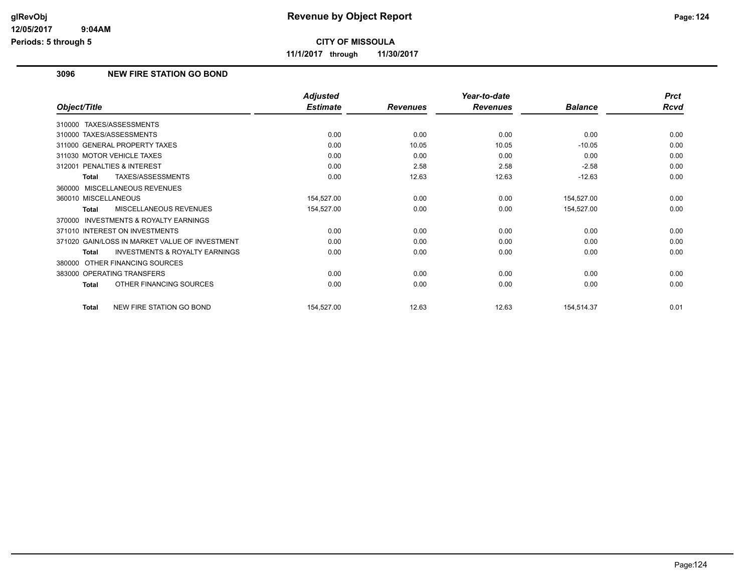**11/1/2017 through 11/30/2017**

# **3096 NEW FIRE STATION GO BOND**

|                                                           | <b>Adjusted</b> |                 | Year-to-date    |                | <b>Prct</b> |
|-----------------------------------------------------------|-----------------|-----------------|-----------------|----------------|-------------|
| Object/Title                                              | <b>Estimate</b> | <b>Revenues</b> | <b>Revenues</b> | <b>Balance</b> | <b>Rcvd</b> |
| TAXES/ASSESSMENTS<br>310000                               |                 |                 |                 |                |             |
| 310000 TAXES/ASSESSMENTS                                  | 0.00            | 0.00            | 0.00            | 0.00           | 0.00        |
| 311000 GENERAL PROPERTY TAXES                             | 0.00            | 10.05           | 10.05           | $-10.05$       | 0.00        |
| 311030 MOTOR VEHICLE TAXES                                | 0.00            | 0.00            | 0.00            | 0.00           | 0.00        |
| 312001 PENALTIES & INTEREST                               | 0.00            | 2.58            | 2.58            | $-2.58$        | 0.00        |
| TAXES/ASSESSMENTS<br>Total                                | 0.00            | 12.63           | 12.63           | $-12.63$       | 0.00        |
| 360000 MISCELLANEOUS REVENUES                             |                 |                 |                 |                |             |
| 360010 MISCELLANEOUS                                      | 154,527.00      | 0.00            | 0.00            | 154,527.00     | 0.00        |
| MISCELLANEOUS REVENUES<br>Total                           | 154,527.00      | 0.00            | 0.00            | 154,527.00     | 0.00        |
| 370000 INVESTMENTS & ROYALTY EARNINGS                     |                 |                 |                 |                |             |
| 371010 INTEREST ON INVESTMENTS                            | 0.00            | 0.00            | 0.00            | 0.00           | 0.00        |
| 371020 GAIN/LOSS IN MARKET VALUE OF INVESTMENT            | 0.00            | 0.00            | 0.00            | 0.00           | 0.00        |
| <b>INVESTMENTS &amp; ROYALTY EARNINGS</b><br><b>Total</b> | 0.00            | 0.00            | 0.00            | 0.00           | 0.00        |
| 380000 OTHER FINANCING SOURCES                            |                 |                 |                 |                |             |
| 383000 OPERATING TRANSFERS                                | 0.00            | 0.00            | 0.00            | 0.00           | 0.00        |
| OTHER FINANCING SOURCES<br>Total                          | 0.00            | 0.00            | 0.00            | 0.00           | 0.00        |
| NEW FIRE STATION GO BOND<br><b>Total</b>                  | 154,527.00      | 12.63           | 12.63           | 154,514.37     | 0.01        |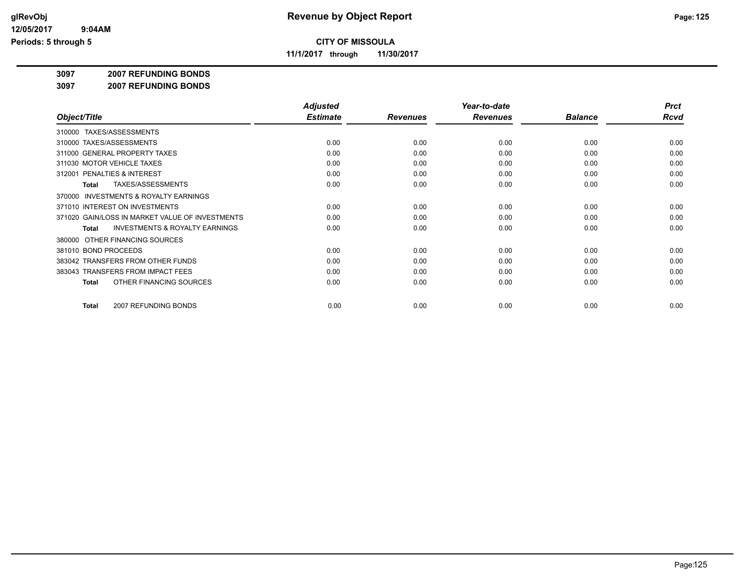**11/1/2017 through 11/30/2017**

**3097 2007 REFUNDING BONDS**

**3097 2007 REFUNDING BONDS**

|                                                     | <b>Adjusted</b> |                 | Year-to-date    |                | <b>Prct</b> |
|-----------------------------------------------------|-----------------|-----------------|-----------------|----------------|-------------|
| Object/Title                                        | <b>Estimate</b> | <b>Revenues</b> | <b>Revenues</b> | <b>Balance</b> | Rcvd        |
| 310000 TAXES/ASSESSMENTS                            |                 |                 |                 |                |             |
| 310000 TAXES/ASSESSMENTS                            | 0.00            | 0.00            | 0.00            | 0.00           | 0.00        |
| 311000 GENERAL PROPERTY TAXES                       | 0.00            | 0.00            | 0.00            | 0.00           | 0.00        |
| 311030 MOTOR VEHICLE TAXES                          | 0.00            | 0.00            | 0.00            | 0.00           | 0.00        |
| 312001 PENALTIES & INTEREST                         | 0.00            | 0.00            | 0.00            | 0.00           | 0.00        |
| TAXES/ASSESSMENTS<br>Total                          | 0.00            | 0.00            | 0.00            | 0.00           | 0.00        |
| <b>INVESTMENTS &amp; ROYALTY EARNINGS</b><br>370000 |                 |                 |                 |                |             |
| 371010 INTEREST ON INVESTMENTS                      | 0.00            | 0.00            | 0.00            | 0.00           | 0.00        |
| 371020 GAIN/LOSS IN MARKET VALUE OF INVESTMENTS     | 0.00            | 0.00            | 0.00            | 0.00           | 0.00        |
| <b>INVESTMENTS &amp; ROYALTY EARNINGS</b><br>Total  | 0.00            | 0.00            | 0.00            | 0.00           | 0.00        |
| OTHER FINANCING SOURCES<br>380000                   |                 |                 |                 |                |             |
| 381010 BOND PROCEEDS                                | 0.00            | 0.00            | 0.00            | 0.00           | 0.00        |
| 383042 TRANSFERS FROM OTHER FUNDS                   | 0.00            | 0.00            | 0.00            | 0.00           | 0.00        |
| 383043 TRANSFERS FROM IMPACT FEES                   | 0.00            | 0.00            | 0.00            | 0.00           | 0.00        |
| OTHER FINANCING SOURCES<br>Total                    | 0.00            | 0.00            | 0.00            | 0.00           | 0.00        |
| 2007 REFUNDING BONDS<br>Total                       | 0.00            | 0.00            | 0.00            | 0.00           | 0.00        |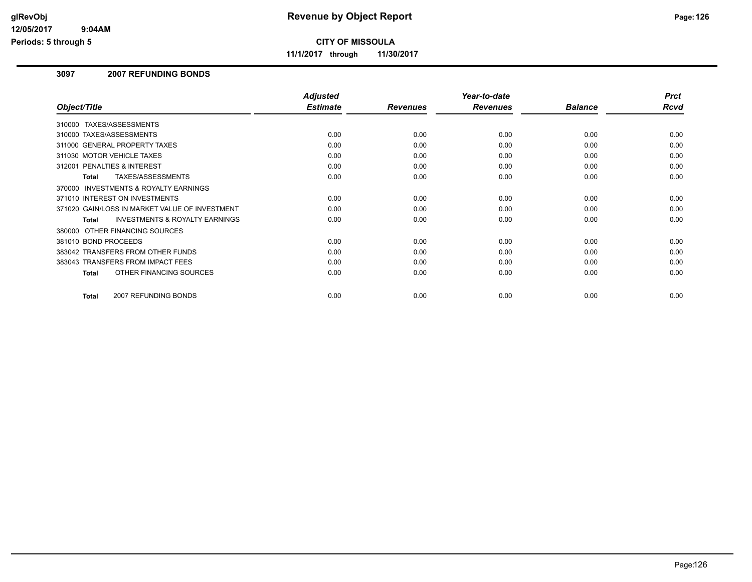**11/1/2017 through 11/30/2017**

# **3097 2007 REFUNDING BONDS**

|                                                           | <b>Adjusted</b> |                 | Year-to-date    |                | <b>Prct</b> |
|-----------------------------------------------------------|-----------------|-----------------|-----------------|----------------|-------------|
| Object/Title                                              | <b>Estimate</b> | <b>Revenues</b> | <b>Revenues</b> | <b>Balance</b> | Rcvd        |
| 310000 TAXES/ASSESSMENTS                                  |                 |                 |                 |                |             |
| 310000 TAXES/ASSESSMENTS                                  | 0.00            | 0.00            | 0.00            | 0.00           | 0.00        |
| 311000 GENERAL PROPERTY TAXES                             | 0.00            | 0.00            | 0.00            | 0.00           | 0.00        |
| 311030 MOTOR VEHICLE TAXES                                | 0.00            | 0.00            | 0.00            | 0.00           | 0.00        |
| 312001 PENALTIES & INTEREST                               | 0.00            | 0.00            | 0.00            | 0.00           | 0.00        |
| TAXES/ASSESSMENTS<br><b>Total</b>                         | 0.00            | 0.00            | 0.00            | 0.00           | 0.00        |
| <b>INVESTMENTS &amp; ROYALTY EARNINGS</b><br>370000       |                 |                 |                 |                |             |
| 371010 INTEREST ON INVESTMENTS                            | 0.00            | 0.00            | 0.00            | 0.00           | 0.00        |
| 371020 GAIN/LOSS IN MARKET VALUE OF INVESTMENT            | 0.00            | 0.00            | 0.00            | 0.00           | 0.00        |
| <b>INVESTMENTS &amp; ROYALTY EARNINGS</b><br><b>Total</b> | 0.00            | 0.00            | 0.00            | 0.00           | 0.00        |
| 380000 OTHER FINANCING SOURCES                            |                 |                 |                 |                |             |
| 381010 BOND PROCEEDS                                      | 0.00            | 0.00            | 0.00            | 0.00           | 0.00        |
| 383042 TRANSFERS FROM OTHER FUNDS                         | 0.00            | 0.00            | 0.00            | 0.00           | 0.00        |
| 383043 TRANSFERS FROM IMPACT FEES                         | 0.00            | 0.00            | 0.00            | 0.00           | 0.00        |
| OTHER FINANCING SOURCES<br><b>Total</b>                   | 0.00            | 0.00            | 0.00            | 0.00           | 0.00        |
| 2007 REFUNDING BONDS<br>Total                             | 0.00            | 0.00            | 0.00            | 0.00           | 0.00        |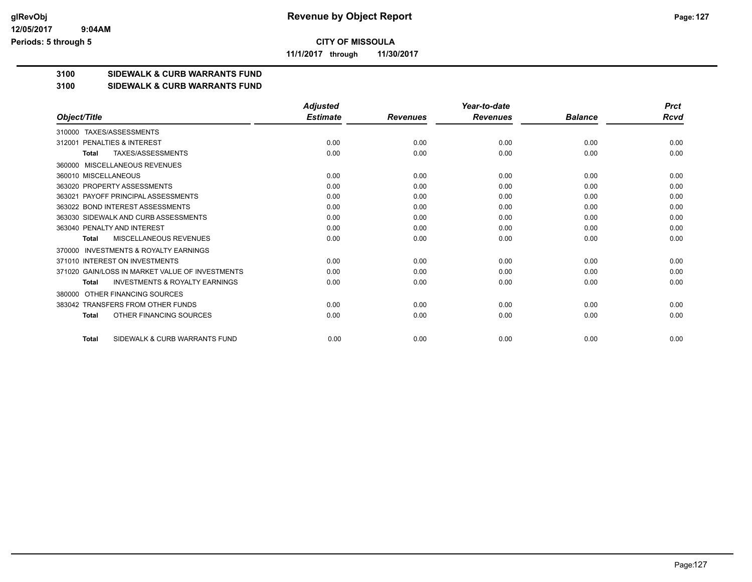**11/1/2017 through 11/30/2017**

# **3100 SIDEWALK & CURB WARRANTS FUND**

# **3100 SIDEWALK & CURB WARRANTS FUND**

|                                                           | <b>Adjusted</b> |                 | Year-to-date    |                | <b>Prct</b> |
|-----------------------------------------------------------|-----------------|-----------------|-----------------|----------------|-------------|
| Object/Title                                              | <b>Estimate</b> | <b>Revenues</b> | <b>Revenues</b> | <b>Balance</b> | <b>Rcvd</b> |
| TAXES/ASSESSMENTS<br>310000                               |                 |                 |                 |                |             |
| PENALTIES & INTEREST<br>312001                            | 0.00            | 0.00            | 0.00            | 0.00           | 0.00        |
| <b>TAXES/ASSESSMENTS</b><br>Total                         | 0.00            | 0.00            | 0.00            | 0.00           | 0.00        |
| MISCELLANEOUS REVENUES<br>360000                          |                 |                 |                 |                |             |
| 360010 MISCELLANEOUS                                      | 0.00            | 0.00            | 0.00            | 0.00           | 0.00        |
| 363020 PROPERTY ASSESSMENTS                               | 0.00            | 0.00            | 0.00            | 0.00           | 0.00        |
| 363021 PAYOFF PRINCIPAL ASSESSMENTS                       | 0.00            | 0.00            | 0.00            | 0.00           | 0.00        |
| 363022 BOND INTEREST ASSESSMENTS                          | 0.00            | 0.00            | 0.00            | 0.00           | 0.00        |
| 363030 SIDEWALK AND CURB ASSESSMENTS                      | 0.00            | 0.00            | 0.00            | 0.00           | 0.00        |
| 363040 PENALTY AND INTEREST                               | 0.00            | 0.00            | 0.00            | 0.00           | 0.00        |
| MISCELLANEOUS REVENUES<br><b>Total</b>                    | 0.00            | 0.00            | 0.00            | 0.00           | 0.00        |
| <b>INVESTMENTS &amp; ROYALTY EARNINGS</b><br>370000       |                 |                 |                 |                |             |
| 371010 INTEREST ON INVESTMENTS                            | 0.00            | 0.00            | 0.00            | 0.00           | 0.00        |
| 371020 GAIN/LOSS IN MARKET VALUE OF INVESTMENTS           | 0.00            | 0.00            | 0.00            | 0.00           | 0.00        |
| <b>INVESTMENTS &amp; ROYALTY EARNINGS</b><br><b>Total</b> | 0.00            | 0.00            | 0.00            | 0.00           | 0.00        |
| OTHER FINANCING SOURCES<br>380000                         |                 |                 |                 |                |             |
| 383042 TRANSFERS FROM OTHER FUNDS                         | 0.00            | 0.00            | 0.00            | 0.00           | 0.00        |
| OTHER FINANCING SOURCES<br>Total                          | 0.00            | 0.00            | 0.00            | 0.00           | 0.00        |
|                                                           |                 |                 |                 |                |             |
| SIDEWALK & CURB WARRANTS FUND<br><b>Total</b>             | 0.00            | 0.00            | 0.00            | 0.00           | 0.00        |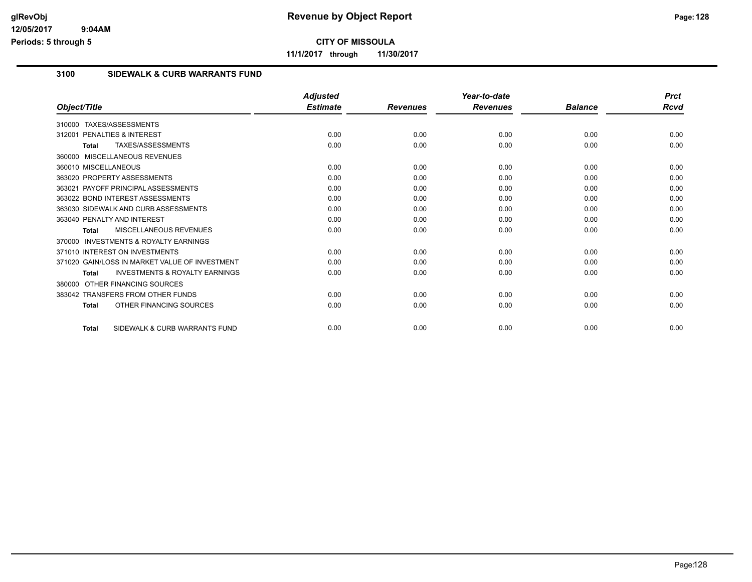**11/1/2017 through 11/30/2017**

# **3100 SIDEWALK & CURB WARRANTS FUND**

|                                                           | <b>Adjusted</b> |                 | Year-to-date    |                | <b>Prct</b> |
|-----------------------------------------------------------|-----------------|-----------------|-----------------|----------------|-------------|
| Object/Title                                              | <b>Estimate</b> | <b>Revenues</b> | <b>Revenues</b> | <b>Balance</b> | Rcvd        |
| TAXES/ASSESSMENTS<br>310000                               |                 |                 |                 |                |             |
| 312001 PENALTIES & INTEREST                               | 0.00            | 0.00            | 0.00            | 0.00           | 0.00        |
| TAXES/ASSESSMENTS<br><b>Total</b>                         | 0.00            | 0.00            | 0.00            | 0.00           | 0.00        |
| 360000 MISCELLANEOUS REVENUES                             |                 |                 |                 |                |             |
| 360010 MISCELLANEOUS                                      | 0.00            | 0.00            | 0.00            | 0.00           | 0.00        |
| 363020 PROPERTY ASSESSMENTS                               | 0.00            | 0.00            | 0.00            | 0.00           | 0.00        |
| 363021 PAYOFF PRINCIPAL ASSESSMENTS                       | 0.00            | 0.00            | 0.00            | 0.00           | 0.00        |
| 363022 BOND INTEREST ASSESSMENTS                          | 0.00            | 0.00            | 0.00            | 0.00           | 0.00        |
| 363030 SIDEWALK AND CURB ASSESSMENTS                      | 0.00            | 0.00            | 0.00            | 0.00           | 0.00        |
| 363040 PENALTY AND INTEREST                               | 0.00            | 0.00            | 0.00            | 0.00           | 0.00        |
| <b>MISCELLANEOUS REVENUES</b><br><b>Total</b>             | 0.00            | 0.00            | 0.00            | 0.00           | 0.00        |
| <b>INVESTMENTS &amp; ROYALTY EARNINGS</b><br>370000       |                 |                 |                 |                |             |
| 371010 INTEREST ON INVESTMENTS                            | 0.00            | 0.00            | 0.00            | 0.00           | 0.00        |
| 371020 GAIN/LOSS IN MARKET VALUE OF INVESTMENT            | 0.00            | 0.00            | 0.00            | 0.00           | 0.00        |
| <b>INVESTMENTS &amp; ROYALTY EARNINGS</b><br><b>Total</b> | 0.00            | 0.00            | 0.00            | 0.00           | 0.00        |
| OTHER FINANCING SOURCES<br>380000                         |                 |                 |                 |                |             |
| 383042 TRANSFERS FROM OTHER FUNDS                         | 0.00            | 0.00            | 0.00            | 0.00           | 0.00        |
| OTHER FINANCING SOURCES<br><b>Total</b>                   | 0.00            | 0.00            | 0.00            | 0.00           | 0.00        |
| SIDEWALK & CURB WARRANTS FUND<br><b>Total</b>             | 0.00            | 0.00            | 0.00            | 0.00           | 0.00        |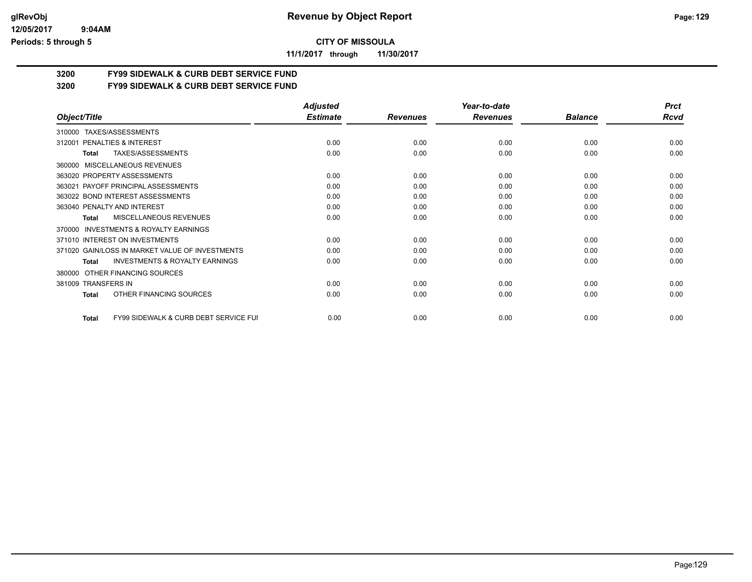#### **12/05/2017 9:04AM Periods: 5 through 5**

**CITY OF MISSOULA**

**11/1/2017 through 11/30/2017**

# **3200 FY99 SIDEWALK & CURB DEBT SERVICE FUND**

# **3200 FY99 SIDEWALK & CURB DEBT SERVICE FUND**

|                                                                  | <b>Adjusted</b> |                 | Year-to-date    |                | <b>Prct</b> |
|------------------------------------------------------------------|-----------------|-----------------|-----------------|----------------|-------------|
| Object/Title                                                     | <b>Estimate</b> | <b>Revenues</b> | <b>Revenues</b> | <b>Balance</b> | Rcvd        |
| TAXES/ASSESSMENTS<br>310000                                      |                 |                 |                 |                |             |
| PENALTIES & INTEREST<br>312001                                   | 0.00            | 0.00            | 0.00            | 0.00           | 0.00        |
| TAXES/ASSESSMENTS<br><b>Total</b>                                | 0.00            | 0.00            | 0.00            | 0.00           | 0.00        |
| MISCELLANEOUS REVENUES<br>360000                                 |                 |                 |                 |                |             |
| 363020 PROPERTY ASSESSMENTS                                      | 0.00            | 0.00            | 0.00            | 0.00           | 0.00        |
| 363021 PAYOFF PRINCIPAL ASSESSMENTS                              | 0.00            | 0.00            | 0.00            | 0.00           | 0.00        |
| 363022 BOND INTEREST ASSESSMENTS                                 | 0.00            | 0.00            | 0.00            | 0.00           | 0.00        |
| 363040 PENALTY AND INTEREST                                      | 0.00            | 0.00            | 0.00            | 0.00           | 0.00        |
| MISCELLANEOUS REVENUES<br><b>Total</b>                           | 0.00            | 0.00            | 0.00            | 0.00           | 0.00        |
| <b>INVESTMENTS &amp; ROYALTY EARNINGS</b><br>370000              |                 |                 |                 |                |             |
| 371010 INTEREST ON INVESTMENTS                                   | 0.00            | 0.00            | 0.00            | 0.00           | 0.00        |
| 371020 GAIN/LOSS IN MARKET VALUE OF INVESTMENTS                  | 0.00            | 0.00            | 0.00            | 0.00           | 0.00        |
| <b>INVESTMENTS &amp; ROYALTY EARNINGS</b><br><b>Total</b>        | 0.00            | 0.00            | 0.00            | 0.00           | 0.00        |
| OTHER FINANCING SOURCES<br>380000                                |                 |                 |                 |                |             |
| 381009 TRANSFERS IN                                              | 0.00            | 0.00            | 0.00            | 0.00           | 0.00        |
| OTHER FINANCING SOURCES<br><b>Total</b>                          | 0.00            | 0.00            | 0.00            | 0.00           | 0.00        |
| <b>FY99 SIDEWALK &amp; CURB DEBT SERVICE FUI</b><br><b>Total</b> | 0.00            | 0.00            | 0.00            | 0.00           | 0.00        |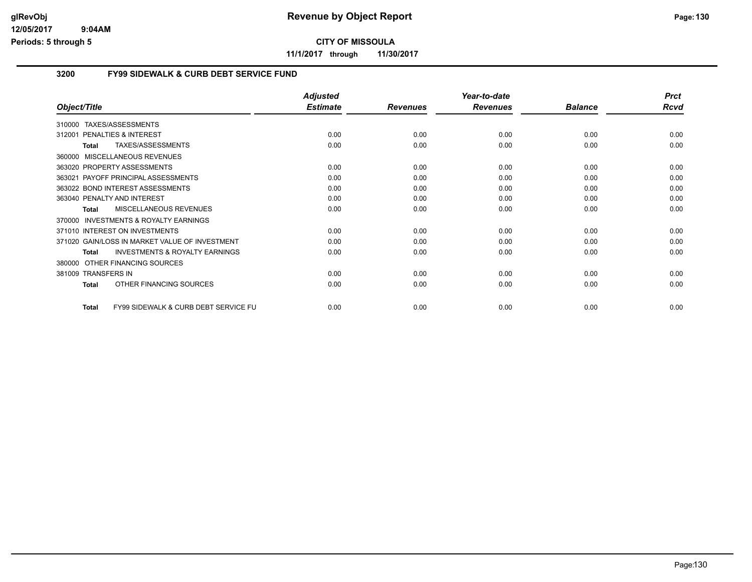**11/1/2017 through 11/30/2017**

# **3200 FY99 SIDEWALK & CURB DEBT SERVICE FUND**

|                                                           | <b>Adjusted</b> |                 | Year-to-date    |                | <b>Prct</b> |
|-----------------------------------------------------------|-----------------|-----------------|-----------------|----------------|-------------|
| Object/Title                                              | <b>Estimate</b> | <b>Revenues</b> | <b>Revenues</b> | <b>Balance</b> | <b>Rcvd</b> |
| TAXES/ASSESSMENTS<br>310000                               |                 |                 |                 |                |             |
| <b>PENALTIES &amp; INTEREST</b><br>312001                 | 0.00            | 0.00            | 0.00            | 0.00           | 0.00        |
| TAXES/ASSESSMENTS<br>Total                                | 0.00            | 0.00            | 0.00            | 0.00           | 0.00        |
| <b>MISCELLANEOUS REVENUES</b><br>360000                   |                 |                 |                 |                |             |
| 363020 PROPERTY ASSESSMENTS                               | 0.00            | 0.00            | 0.00            | 0.00           | 0.00        |
| PAYOFF PRINCIPAL ASSESSMENTS<br>363021                    | 0.00            | 0.00            | 0.00            | 0.00           | 0.00        |
| 363022 BOND INTEREST ASSESSMENTS                          | 0.00            | 0.00            | 0.00            | 0.00           | 0.00        |
| 363040 PENALTY AND INTEREST                               | 0.00            | 0.00            | 0.00            | 0.00           | 0.00        |
| MISCELLANEOUS REVENUES<br><b>Total</b>                    | 0.00            | 0.00            | 0.00            | 0.00           | 0.00        |
| INVESTMENTS & ROYALTY EARNINGS<br>370000                  |                 |                 |                 |                |             |
| 371010 INTEREST ON INVESTMENTS                            | 0.00            | 0.00            | 0.00            | 0.00           | 0.00        |
| 371020 GAIN/LOSS IN MARKET VALUE OF INVESTMENT            | 0.00            | 0.00            | 0.00            | 0.00           | 0.00        |
| <b>INVESTMENTS &amp; ROYALTY EARNINGS</b><br><b>Total</b> | 0.00            | 0.00            | 0.00            | 0.00           | 0.00        |
| OTHER FINANCING SOURCES<br>380000                         |                 |                 |                 |                |             |
| 381009 TRANSFERS IN                                       | 0.00            | 0.00            | 0.00            | 0.00           | 0.00        |
| OTHER FINANCING SOURCES<br><b>Total</b>                   | 0.00            | 0.00            | 0.00            | 0.00           | 0.00        |
| FY99 SIDEWALK & CURB DEBT SERVICE FU<br><b>Total</b>      | 0.00            | 0.00            | 0.00            | 0.00           | 0.00        |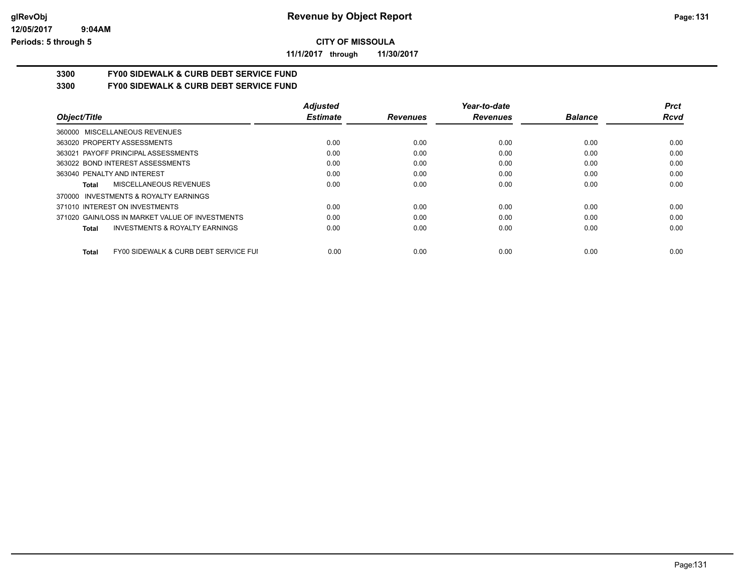#### **12/05/2017 9:04AM Periods: 5 through 5**

## **CITY OF MISSOULA**

**11/1/2017 through 11/30/2017**

# **3300 FY00 SIDEWALK & CURB DEBT SERVICE FUND**

# **3300 FY00 SIDEWALK & CURB DEBT SERVICE FUND**

|                                                           | <b>Adjusted</b> |                 | Year-to-date    |                | <b>Prct</b> |
|-----------------------------------------------------------|-----------------|-----------------|-----------------|----------------|-------------|
| Object/Title                                              | <b>Estimate</b> | <b>Revenues</b> | <b>Revenues</b> | <b>Balance</b> | <b>Rcvd</b> |
| 360000 MISCELLANEOUS REVENUES                             |                 |                 |                 |                |             |
| 363020 PROPERTY ASSESSMENTS                               | 0.00            | 0.00            | 0.00            | 0.00           | 0.00        |
| 363021 PAYOFF PRINCIPAL ASSESSMENTS                       | 0.00            | 0.00            | 0.00            | 0.00           | 0.00        |
| 363022 BOND INTEREST ASSESSMENTS                          | 0.00            | 0.00            | 0.00            | 0.00           | 0.00        |
| 363040 PENALTY AND INTEREST                               | 0.00            | 0.00            | 0.00            | 0.00           | 0.00        |
| MISCELLANEOUS REVENUES<br>Total                           | 0.00            | 0.00            | 0.00            | 0.00           | 0.00        |
| 370000 INVESTMENTS & ROYALTY EARNINGS                     |                 |                 |                 |                |             |
| 371010 INTEREST ON INVESTMENTS                            | 0.00            | 0.00            | 0.00            | 0.00           | 0.00        |
| 371020 GAIN/LOSS IN MARKET VALUE OF INVESTMENTS           | 0.00            | 0.00            | 0.00            | 0.00           | 0.00        |
| <b>INVESTMENTS &amp; ROYALTY EARNINGS</b><br>Total        | 0.00            | 0.00            | 0.00            | 0.00           | 0.00        |
| <b>FY00 SIDEWALK &amp; CURB DEBT SERVICE FUI</b><br>Total | 0.00            | 0.00            | 0.00            | 0.00           | 0.00        |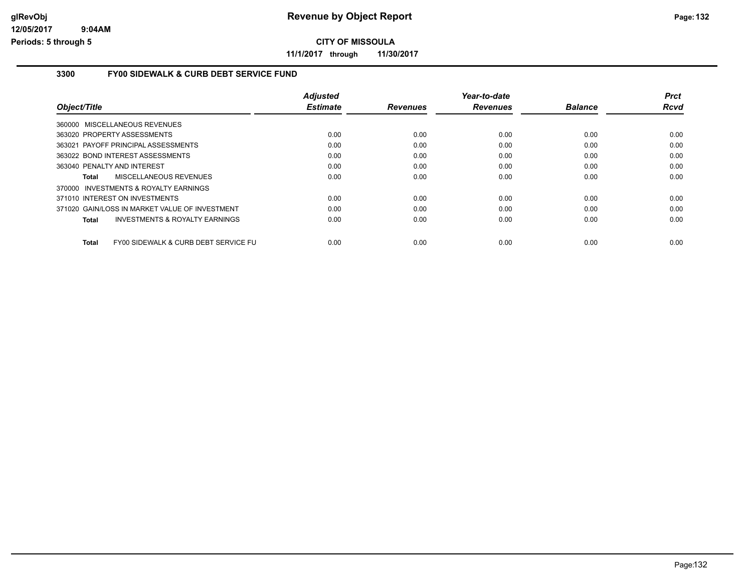**11/1/2017 through 11/30/2017**

# **3300 FY00 SIDEWALK & CURB DEBT SERVICE FUND**

|                                                      | <b>Adjusted</b> |                 | Year-to-date    |                | <b>Prct</b> |
|------------------------------------------------------|-----------------|-----------------|-----------------|----------------|-------------|
| Object/Title                                         | <b>Estimate</b> | <b>Revenues</b> | <b>Revenues</b> | <b>Balance</b> | <b>Rcvd</b> |
| 360000 MISCELLANEOUS REVENUES                        |                 |                 |                 |                |             |
| 363020 PROPERTY ASSESSMENTS                          | 0.00            | 0.00            | 0.00            | 0.00           | 0.00        |
| 363021 PAYOFF PRINCIPAL ASSESSMENTS                  | 0.00            | 0.00            | 0.00            | 0.00           | 0.00        |
| 363022 BOND INTEREST ASSESSMENTS                     | 0.00            | 0.00            | 0.00            | 0.00           | 0.00        |
| 363040 PENALTY AND INTEREST                          | 0.00            | 0.00            | 0.00            | 0.00           | 0.00        |
| <b>MISCELLANEOUS REVENUES</b><br>Total               | 0.00            | 0.00            | 0.00            | 0.00           | 0.00        |
| 370000 INVESTMENTS & ROYALTY EARNINGS                |                 |                 |                 |                |             |
| 371010 INTEREST ON INVESTMENTS                       | 0.00            | 0.00            | 0.00            | 0.00           | 0.00        |
| 371020 GAIN/LOSS IN MARKET VALUE OF INVESTMENT       | 0.00            | 0.00            | 0.00            | 0.00           | 0.00        |
| <b>INVESTMENTS &amp; ROYALTY EARNINGS</b><br>Total   | 0.00            | 0.00            | 0.00            | 0.00           | 0.00        |
| FY00 SIDEWALK & CURB DEBT SERVICE FU<br><b>Total</b> | 0.00            | 0.00            | 0.00            | 0.00           | 0.00        |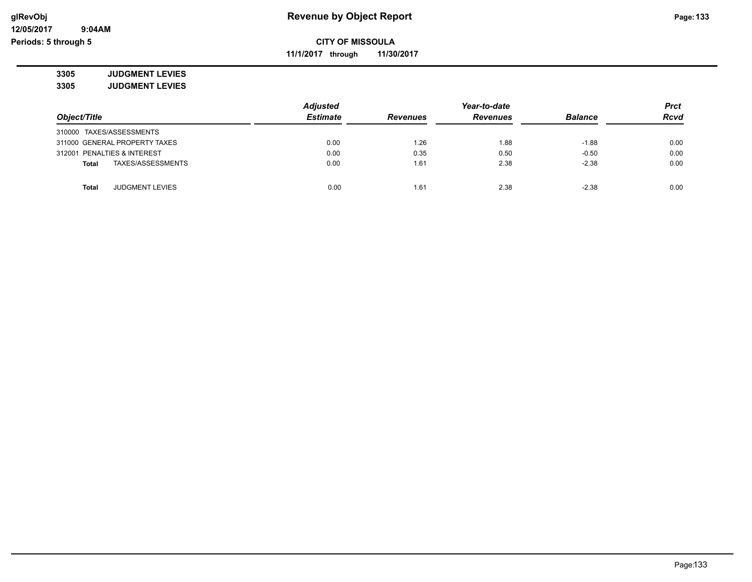**11/1/2017 through 11/30/2017**

**3305 JUDGMENT LEVIES**

| <b>JUDGMENT LEVIES</b><br>3305 |
|--------------------------------|
|--------------------------------|

|                                        | <b>Adjusted</b> |                 | Year-to-date    |                | <b>Prct</b> |
|----------------------------------------|-----------------|-----------------|-----------------|----------------|-------------|
| Object/Title                           | <b>Estimate</b> | <b>Revenues</b> | <b>Revenues</b> | <b>Balance</b> | <b>Rcvd</b> |
| 310000 TAXES/ASSESSMENTS               |                 |                 |                 |                |             |
| 311000 GENERAL PROPERTY TAXES          | 0.00            | 1.26            | 1.88            | $-1.88$        | 0.00        |
| 312001 PENALTIES & INTEREST            | 0.00            | 0.35            | 0.50            | $-0.50$        | 0.00        |
| TAXES/ASSESSMENTS<br>Total             | 0.00            | 1.61            | 2.38            | $-2.38$        | 0.00        |
| <b>Total</b><br><b>JUDGMENT LEVIES</b> | 0.00            | 1.61            | 2.38            | $-2.38$        | 0.00        |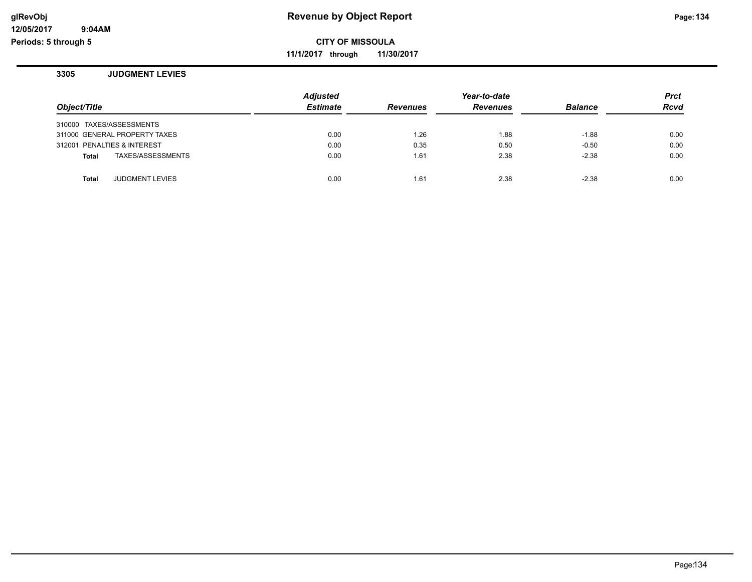**11/1/2017 through 11/30/2017**

### **3305 JUDGMENT LEVIES**

| Object/Title                           | <b>Adjusted</b><br><b>Estimate</b> | <b>Revenues</b> | Year-to-date<br><b>Revenues</b> | <b>Balance</b> | <b>Prct</b><br><b>Rcvd</b> |
|----------------------------------------|------------------------------------|-----------------|---------------------------------|----------------|----------------------------|
| 310000 TAXES/ASSESSMENTS               |                                    |                 |                                 |                |                            |
| 311000 GENERAL PROPERTY TAXES          | 0.00                               | 1.26            | 1.88                            | $-1.88$        | 0.00                       |
| 312001 PENALTIES & INTEREST            | 0.00                               | 0.35            | 0.50                            | $-0.50$        | 0.00                       |
| TAXES/ASSESSMENTS<br>Total             | 0.00                               | 1.61            | 2.38                            | $-2.38$        | 0.00                       |
|                                        |                                    |                 |                                 |                |                            |
| <b>JUDGMENT LEVIES</b><br><b>Total</b> | 0.00                               | 1.61            | 2.38                            | $-2.38$        | 0.00                       |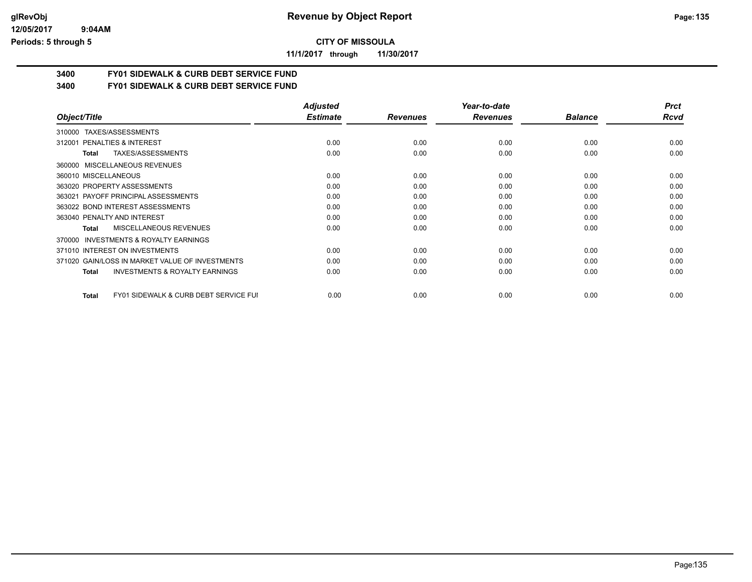#### **12/05/2017 9:04AM Periods: 5 through 5**

**CITY OF MISSOULA**

**11/1/2017 through 11/30/2017**

# **3400 FY01 SIDEWALK & CURB DEBT SERVICE FUND**

# **3400 FY01 SIDEWALK & CURB DEBT SERVICE FUND**

|                                                     | <b>Adjusted</b> |                 | Year-to-date    |                | <b>Prct</b> |
|-----------------------------------------------------|-----------------|-----------------|-----------------|----------------|-------------|
| Object/Title                                        | <b>Estimate</b> | <b>Revenues</b> | <b>Revenues</b> | <b>Balance</b> | Rcvd        |
| TAXES/ASSESSMENTS<br>310000                         |                 |                 |                 |                |             |
| 312001 PENALTIES & INTEREST                         | 0.00            | 0.00            | 0.00            | 0.00           | 0.00        |
| <b>TAXES/ASSESSMENTS</b><br>Total                   | 0.00            | 0.00            | 0.00            | 0.00           | 0.00        |
| MISCELLANEOUS REVENUES<br>360000                    |                 |                 |                 |                |             |
| 360010 MISCELLANEOUS                                | 0.00            | 0.00            | 0.00            | 0.00           | 0.00        |
| 363020 PROPERTY ASSESSMENTS                         | 0.00            | 0.00            | 0.00            | 0.00           | 0.00        |
| 363021 PAYOFF PRINCIPAL ASSESSMENTS                 | 0.00            | 0.00            | 0.00            | 0.00           | 0.00        |
| 363022 BOND INTEREST ASSESSMENTS                    | 0.00            | 0.00            | 0.00            | 0.00           | 0.00        |
| 363040 PENALTY AND INTEREST                         | 0.00            | 0.00            | 0.00            | 0.00           | 0.00        |
| MISCELLANEOUS REVENUES<br>Total                     | 0.00            | 0.00            | 0.00            | 0.00           | 0.00        |
| <b>INVESTMENTS &amp; ROYALTY EARNINGS</b><br>370000 |                 |                 |                 |                |             |
| 371010 INTEREST ON INVESTMENTS                      | 0.00            | 0.00            | 0.00            | 0.00           | 0.00        |
| 371020 GAIN/LOSS IN MARKET VALUE OF INVESTMENTS     | 0.00            | 0.00            | 0.00            | 0.00           | 0.00        |
| <b>INVESTMENTS &amp; ROYALTY EARNINGS</b><br>Total  | 0.00            | 0.00            | 0.00            | 0.00           | 0.00        |
| FY01 SIDEWALK & CURB DEBT SERVICE FUI<br>Total      | 0.00            | 0.00            | 0.00            | 0.00           | 0.00        |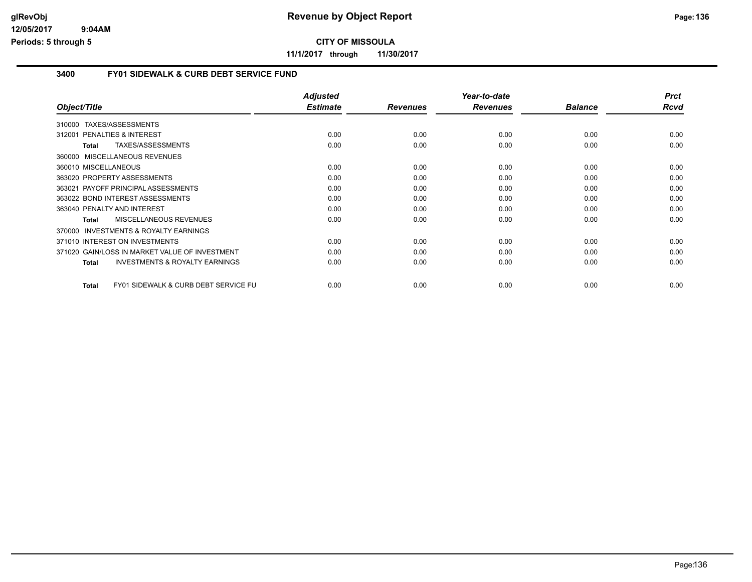**11/1/2017 through 11/30/2017**

# **3400 FY01 SIDEWALK & CURB DEBT SERVICE FUND**

|                                                           | <b>Adjusted</b> |                 | Year-to-date    |                | <b>Prct</b> |
|-----------------------------------------------------------|-----------------|-----------------|-----------------|----------------|-------------|
| Object/Title                                              | <b>Estimate</b> | <b>Revenues</b> | <b>Revenues</b> | <b>Balance</b> | <b>Rcvd</b> |
| 310000 TAXES/ASSESSMENTS                                  |                 |                 |                 |                |             |
| PENALTIES & INTEREST<br>312001                            | 0.00            | 0.00            | 0.00            | 0.00           | 0.00        |
| TAXES/ASSESSMENTS<br><b>Total</b>                         | 0.00            | 0.00            | 0.00            | 0.00           | 0.00        |
| 360000 MISCELLANEOUS REVENUES                             |                 |                 |                 |                |             |
| 360010 MISCELLANEOUS                                      | 0.00            | 0.00            | 0.00            | 0.00           | 0.00        |
| 363020 PROPERTY ASSESSMENTS                               | 0.00            | 0.00            | 0.00            | 0.00           | 0.00        |
| PAYOFF PRINCIPAL ASSESSMENTS<br>363021                    | 0.00            | 0.00            | 0.00            | 0.00           | 0.00        |
| 363022 BOND INTEREST ASSESSMENTS                          | 0.00            | 0.00            | 0.00            | 0.00           | 0.00        |
| 363040 PENALTY AND INTEREST                               | 0.00            | 0.00            | 0.00            | 0.00           | 0.00        |
| <b>MISCELLANEOUS REVENUES</b><br>Total                    | 0.00            | 0.00            | 0.00            | 0.00           | 0.00        |
| INVESTMENTS & ROYALTY EARNINGS<br>370000                  |                 |                 |                 |                |             |
| 371010 INTEREST ON INVESTMENTS                            | 0.00            | 0.00            | 0.00            | 0.00           | 0.00        |
| 371020 GAIN/LOSS IN MARKET VALUE OF INVESTMENT            | 0.00            | 0.00            | 0.00            | 0.00           | 0.00        |
| <b>INVESTMENTS &amp; ROYALTY EARNINGS</b><br><b>Total</b> | 0.00            | 0.00            | 0.00            | 0.00           | 0.00        |
| FY01 SIDEWALK & CURB DEBT SERVICE FU<br><b>Total</b>      | 0.00            | 0.00            | 0.00            | 0.00           | 0.00        |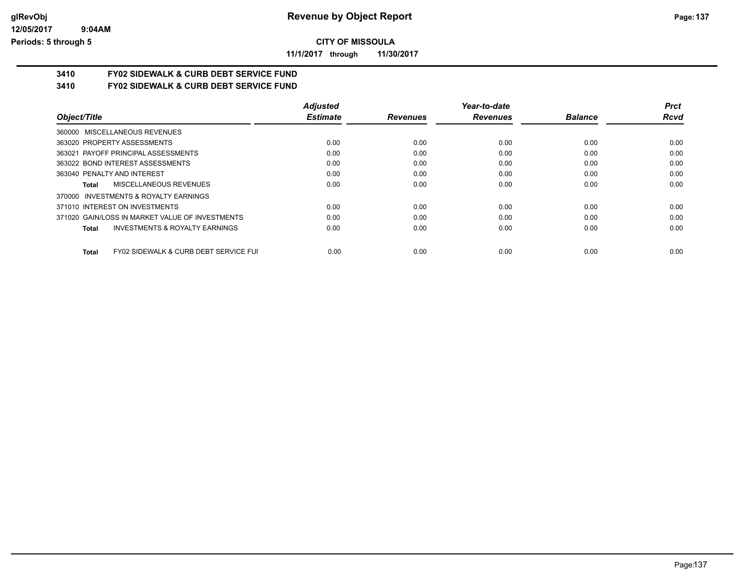#### **12/05/2017 9:04AM Periods: 5 through 5**

## **CITY OF MISSOULA**

**11/1/2017 through 11/30/2017**

# **3410 FY02 SIDEWALK & CURB DEBT SERVICE FUND**

# **3410 FY02 SIDEWALK & CURB DEBT SERVICE FUND**

|                                                           | <b>Adjusted</b> |                 | Year-to-date    |                | <b>Prct</b> |
|-----------------------------------------------------------|-----------------|-----------------|-----------------|----------------|-------------|
| Object/Title                                              | <b>Estimate</b> | <b>Revenues</b> | <b>Revenues</b> | <b>Balance</b> | <b>Rcvd</b> |
| 360000 MISCELLANEOUS REVENUES                             |                 |                 |                 |                |             |
| 363020 PROPERTY ASSESSMENTS                               | 0.00            | 0.00            | 0.00            | 0.00           | 0.00        |
| 363021 PAYOFF PRINCIPAL ASSESSMENTS                       | 0.00            | 0.00            | 0.00            | 0.00           | 0.00        |
| 363022 BOND INTEREST ASSESSMENTS                          | 0.00            | 0.00            | 0.00            | 0.00           | 0.00        |
| 363040 PENALTY AND INTEREST                               | 0.00            | 0.00            | 0.00            | 0.00           | 0.00        |
| MISCELLANEOUS REVENUES<br>Total                           | 0.00            | 0.00            | 0.00            | 0.00           | 0.00        |
| 370000 INVESTMENTS & ROYALTY EARNINGS                     |                 |                 |                 |                |             |
| 371010 INTEREST ON INVESTMENTS                            | 0.00            | 0.00            | 0.00            | 0.00           | 0.00        |
| 371020 GAIN/LOSS IN MARKET VALUE OF INVESTMENTS           | 0.00            | 0.00            | 0.00            | 0.00           | 0.00        |
| <b>INVESTMENTS &amp; ROYALTY EARNINGS</b><br>Total        | 0.00            | 0.00            | 0.00            | 0.00           | 0.00        |
| <b>FY02 SIDEWALK &amp; CURB DEBT SERVICE FUI</b><br>Total | 0.00            | 0.00            | 0.00            | 0.00           | 0.00        |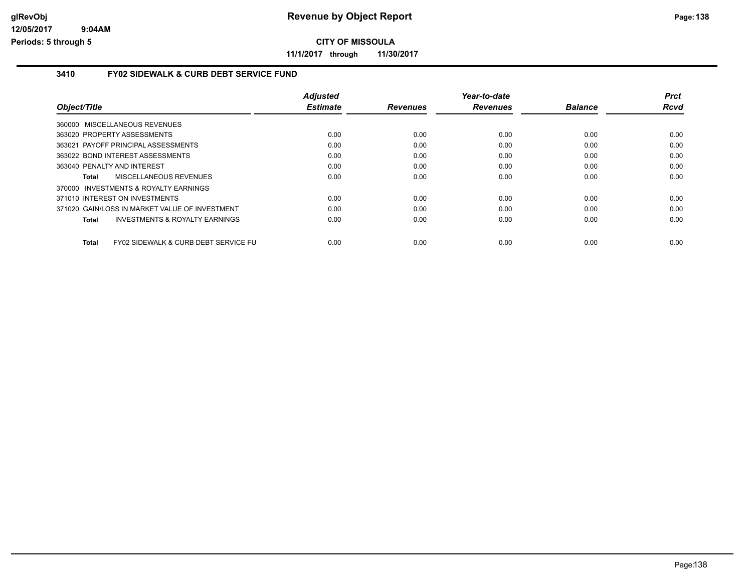**11/1/2017 through 11/30/2017**

# **3410 FY02 SIDEWALK & CURB DEBT SERVICE FUND**

|                                                                 | <b>Adjusted</b> |                 | Year-to-date    |                | <b>Prct</b> |
|-----------------------------------------------------------------|-----------------|-----------------|-----------------|----------------|-------------|
| Object/Title                                                    | <b>Estimate</b> | <b>Revenues</b> | <b>Revenues</b> | <b>Balance</b> | Rcvd        |
| 360000 MISCELLANEOUS REVENUES                                   |                 |                 |                 |                |             |
| 363020 PROPERTY ASSESSMENTS                                     | 0.00            | 0.00            | 0.00            | 0.00           | 0.00        |
| 363021 PAYOFF PRINCIPAL ASSESSMENTS                             | 0.00            | 0.00            | 0.00            | 0.00           | 0.00        |
| 363022 BOND INTEREST ASSESSMENTS                                | 0.00            | 0.00            | 0.00            | 0.00           | 0.00        |
| 363040 PENALTY AND INTEREST                                     | 0.00            | 0.00            | 0.00            | 0.00           | 0.00        |
| <b>MISCELLANEOUS REVENUES</b><br>Total                          | 0.00            | 0.00            | 0.00            | 0.00           | 0.00        |
| 370000 INVESTMENTS & ROYALTY EARNINGS                           |                 |                 |                 |                |             |
| 371010 INTEREST ON INVESTMENTS                                  | 0.00            | 0.00            | 0.00            | 0.00           | 0.00        |
| 371020 GAIN/LOSS IN MARKET VALUE OF INVESTMENT                  | 0.00            | 0.00            | 0.00            | 0.00           | 0.00        |
| <b>INVESTMENTS &amp; ROYALTY EARNINGS</b><br>Total              | 0.00            | 0.00            | 0.00            | 0.00           | 0.00        |
| <b>FY02 SIDEWALK &amp; CURB DEBT SERVICE FU</b><br><b>Total</b> | 0.00            | 0.00            | 0.00            | 0.00           | 0.00        |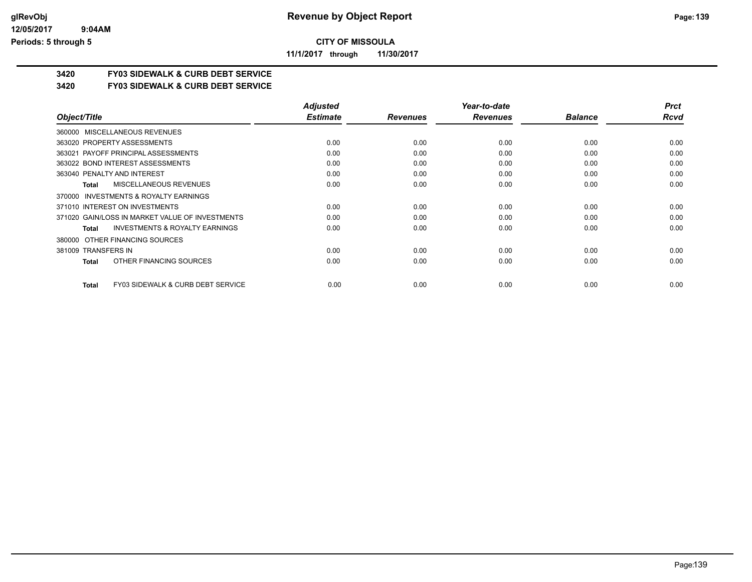**11/1/2017 through 11/30/2017**

# **3420 FY03 SIDEWALK & CURB DEBT SERVICE**

# **3420 FY03 SIDEWALK & CURB DEBT SERVICE**

|                                                    | <b>Adjusted</b> |                 | Year-to-date    |                | <b>Prct</b> |
|----------------------------------------------------|-----------------|-----------------|-----------------|----------------|-------------|
| Object/Title                                       | <b>Estimate</b> | <b>Revenues</b> | <b>Revenues</b> | <b>Balance</b> | <b>Rcvd</b> |
| MISCELLANEOUS REVENUES<br>360000                   |                 |                 |                 |                |             |
| 363020 PROPERTY ASSESSMENTS                        | 0.00            | 0.00            | 0.00            | 0.00           | 0.00        |
| 363021 PAYOFF PRINCIPAL ASSESSMENTS                | 0.00            | 0.00            | 0.00            | 0.00           | 0.00        |
| 363022 BOND INTEREST ASSESSMENTS                   | 0.00            | 0.00            | 0.00            | 0.00           | 0.00        |
| 363040 PENALTY AND INTEREST                        | 0.00            | 0.00            | 0.00            | 0.00           | 0.00        |
| MISCELLANEOUS REVENUES<br>Total                    | 0.00            | 0.00            | 0.00            | 0.00           | 0.00        |
| INVESTMENTS & ROYALTY EARNINGS<br>370000           |                 |                 |                 |                |             |
| 371010 INTEREST ON INVESTMENTS                     | 0.00            | 0.00            | 0.00            | 0.00           | 0.00        |
| 371020 GAIN/LOSS IN MARKET VALUE OF INVESTMENTS    | 0.00            | 0.00            | 0.00            | 0.00           | 0.00        |
| <b>INVESTMENTS &amp; ROYALTY EARNINGS</b><br>Total | 0.00            | 0.00            | 0.00            | 0.00           | 0.00        |
| OTHER FINANCING SOURCES<br>380000                  |                 |                 |                 |                |             |
| 381009 TRANSFERS IN                                | 0.00            | 0.00            | 0.00            | 0.00           | 0.00        |
| OTHER FINANCING SOURCES<br>Total                   | 0.00            | 0.00            | 0.00            | 0.00           | 0.00        |
|                                                    | 0.00            | 0.00            | 0.00            | 0.00           | 0.00        |
| FY03 SIDEWALK & CURB DEBT SERVICE<br><b>Total</b>  |                 |                 |                 |                |             |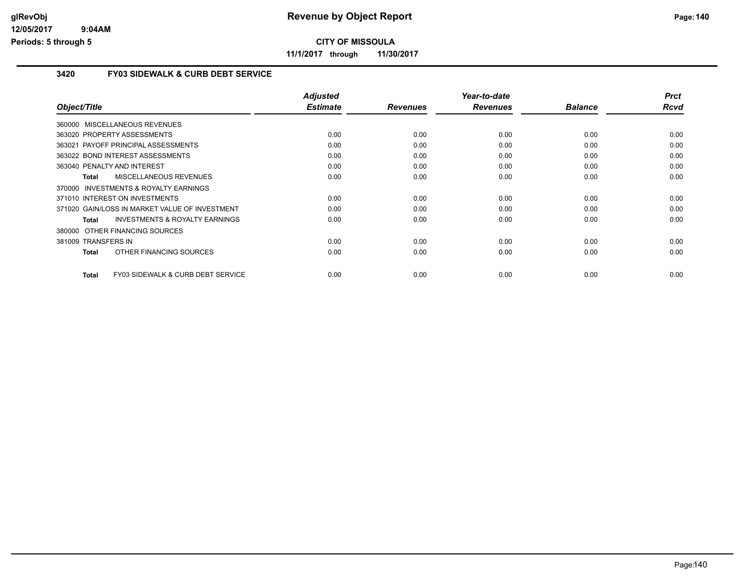**11/1/2017 through 11/30/2017**

# **3420 FY03 SIDEWALK & CURB DEBT SERVICE**

| Object/Title                                              | <b>Adjusted</b><br><b>Estimate</b> | <b>Revenues</b> | Year-to-date<br><b>Revenues</b> | <b>Balance</b> | <b>Prct</b><br>Rcvd |
|-----------------------------------------------------------|------------------------------------|-----------------|---------------------------------|----------------|---------------------|
| 360000 MISCELLANEOUS REVENUES                             |                                    |                 |                                 |                |                     |
| 363020 PROPERTY ASSESSMENTS                               | 0.00                               | 0.00            | 0.00                            | 0.00           | 0.00                |
| 363021 PAYOFF PRINCIPAL ASSESSMENTS                       | 0.00                               | 0.00            | 0.00                            | 0.00           | 0.00                |
| 363022 BOND INTEREST ASSESSMENTS                          | 0.00                               | 0.00            | 0.00                            | 0.00           | 0.00                |
| 363040 PENALTY AND INTEREST                               | 0.00                               | 0.00            | 0.00                            | 0.00           | 0.00                |
| <b>MISCELLANEOUS REVENUES</b><br><b>Total</b>             | 0.00                               | 0.00            | 0.00                            | 0.00           | 0.00                |
| 370000 INVESTMENTS & ROYALTY EARNINGS                     |                                    |                 |                                 |                |                     |
| 371010 INTEREST ON INVESTMENTS                            | 0.00                               | 0.00            | 0.00                            | 0.00           | 0.00                |
| 371020 GAIN/LOSS IN MARKET VALUE OF INVESTMENT            | 0.00                               | 0.00            | 0.00                            | 0.00           | 0.00                |
| <b>INVESTMENTS &amp; ROYALTY EARNINGS</b><br><b>Total</b> | 0.00                               | 0.00            | 0.00                            | 0.00           | 0.00                |
| 380000 OTHER FINANCING SOURCES                            |                                    |                 |                                 |                |                     |
| 381009 TRANSFERS IN                                       | 0.00                               | 0.00            | 0.00                            | 0.00           | 0.00                |
| OTHER FINANCING SOURCES<br>Total                          | 0.00                               | 0.00            | 0.00                            | 0.00           | 0.00                |
|                                                           |                                    |                 |                                 |                |                     |
| FY03 SIDEWALK & CURB DEBT SERVICE<br>Total                | 0.00                               | 0.00            | 0.00                            | 0.00           | 0.00                |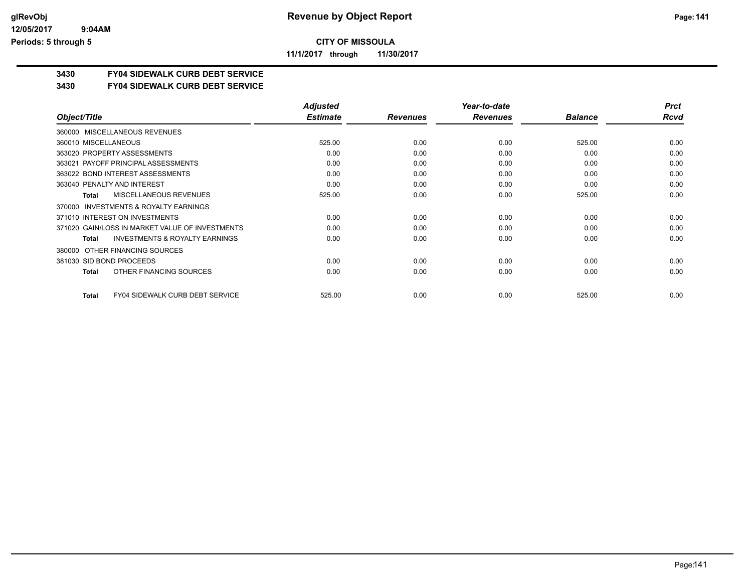**11/1/2017 through 11/30/2017**

# **3430 FY04 SIDEWALK CURB DEBT SERVICE**

## **3430 FY04 SIDEWALK CURB DEBT SERVICE**

|                                                           | <b>Adjusted</b> |                 | Year-to-date    |                | <b>Prct</b> |
|-----------------------------------------------------------|-----------------|-----------------|-----------------|----------------|-------------|
| Object/Title                                              | <b>Estimate</b> | <b>Revenues</b> | <b>Revenues</b> | <b>Balance</b> | Rcvd        |
| MISCELLANEOUS REVENUES<br>360000                          |                 |                 |                 |                |             |
| 360010 MISCELLANEOUS                                      | 525.00          | 0.00            | 0.00            | 525.00         | 0.00        |
| 363020 PROPERTY ASSESSMENTS                               | 0.00            | 0.00            | 0.00            | 0.00           | 0.00        |
| 363021 PAYOFF PRINCIPAL ASSESSMENTS                       | 0.00            | 0.00            | 0.00            | 0.00           | 0.00        |
| 363022 BOND INTEREST ASSESSMENTS                          | 0.00            | 0.00            | 0.00            | 0.00           | 0.00        |
| 363040 PENALTY AND INTEREST                               | 0.00            | 0.00            | 0.00            | 0.00           | 0.00        |
| MISCELLANEOUS REVENUES<br><b>Total</b>                    | 525.00          | 0.00            | 0.00            | 525.00         | 0.00        |
| <b>INVESTMENTS &amp; ROYALTY EARNINGS</b><br>370000       |                 |                 |                 |                |             |
| 371010 INTEREST ON INVESTMENTS                            | 0.00            | 0.00            | 0.00            | 0.00           | 0.00        |
| 371020 GAIN/LOSS IN MARKET VALUE OF INVESTMENTS           | 0.00            | 0.00            | 0.00            | 0.00           | 0.00        |
| <b>INVESTMENTS &amp; ROYALTY EARNINGS</b><br><b>Total</b> | 0.00            | 0.00            | 0.00            | 0.00           | 0.00        |
| OTHER FINANCING SOURCES<br>380000                         |                 |                 |                 |                |             |
| 381030 SID BOND PROCEEDS                                  | 0.00            | 0.00            | 0.00            | 0.00           | 0.00        |
| OTHER FINANCING SOURCES<br><b>Total</b>                   | 0.00            | 0.00            | 0.00            | 0.00           | 0.00        |
| <b>FY04 SIDEWALK CURB DEBT SERVICE</b><br><b>Total</b>    | 525.00          | 0.00            | 0.00            | 525.00         | 0.00        |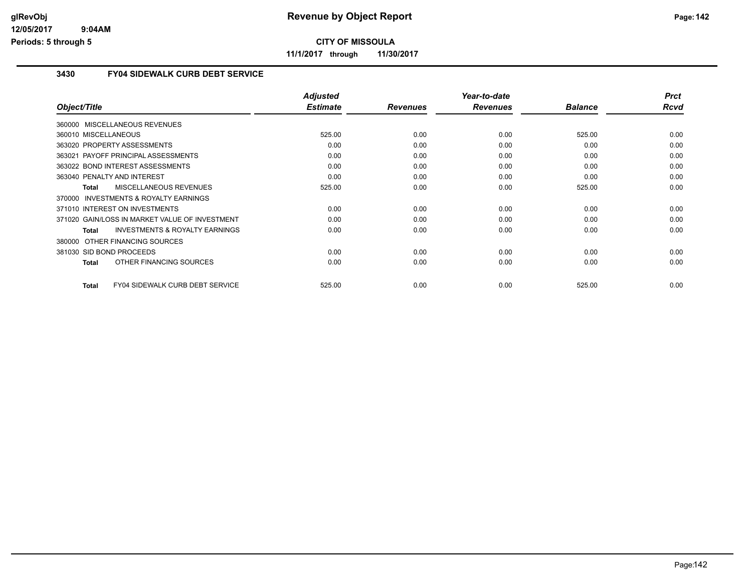**11/1/2017 through 11/30/2017**

# **3430 FY04 SIDEWALK CURB DEBT SERVICE**

|                                                     | <b>Adjusted</b> |                 | Year-to-date    |                | <b>Prct</b> |
|-----------------------------------------------------|-----------------|-----------------|-----------------|----------------|-------------|
| Object/Title                                        | <b>Estimate</b> | <b>Revenues</b> | <b>Revenues</b> | <b>Balance</b> | Rcvd        |
| 360000 MISCELLANEOUS REVENUES                       |                 |                 |                 |                |             |
| 360010 MISCELLANEOUS                                | 525.00          | 0.00            | 0.00            | 525.00         | 0.00        |
| 363020 PROPERTY ASSESSMENTS                         | 0.00            | 0.00            | 0.00            | 0.00           | 0.00        |
| 363021 PAYOFF PRINCIPAL ASSESSMENTS                 | 0.00            | 0.00            | 0.00            | 0.00           | 0.00        |
| 363022 BOND INTEREST ASSESSMENTS                    | 0.00            | 0.00            | 0.00            | 0.00           | 0.00        |
| 363040 PENALTY AND INTEREST                         | 0.00            | 0.00            | 0.00            | 0.00           | 0.00        |
| <b>MISCELLANEOUS REVENUES</b><br><b>Total</b>       | 525.00          | 0.00            | 0.00            | 525.00         | 0.00        |
| <b>INVESTMENTS &amp; ROYALTY EARNINGS</b><br>370000 |                 |                 |                 |                |             |
| 371010 INTEREST ON INVESTMENTS                      | 0.00            | 0.00            | 0.00            | 0.00           | 0.00        |
| 371020 GAIN/LOSS IN MARKET VALUE OF INVESTMENT      | 0.00            | 0.00            | 0.00            | 0.00           | 0.00        |
| <b>INVESTMENTS &amp; ROYALTY EARNINGS</b><br>Total  | 0.00            | 0.00            | 0.00            | 0.00           | 0.00        |
| 380000 OTHER FINANCING SOURCES                      |                 |                 |                 |                |             |
| 381030 SID BOND PROCEEDS                            | 0.00            | 0.00            | 0.00            | 0.00           | 0.00        |
| OTHER FINANCING SOURCES<br>Total                    | 0.00            | 0.00            | 0.00            | 0.00           | 0.00        |
|                                                     |                 |                 |                 |                |             |
| FY04 SIDEWALK CURB DEBT SERVICE<br><b>Total</b>     | 525.00          | 0.00            | 0.00            | 525.00         | 0.00        |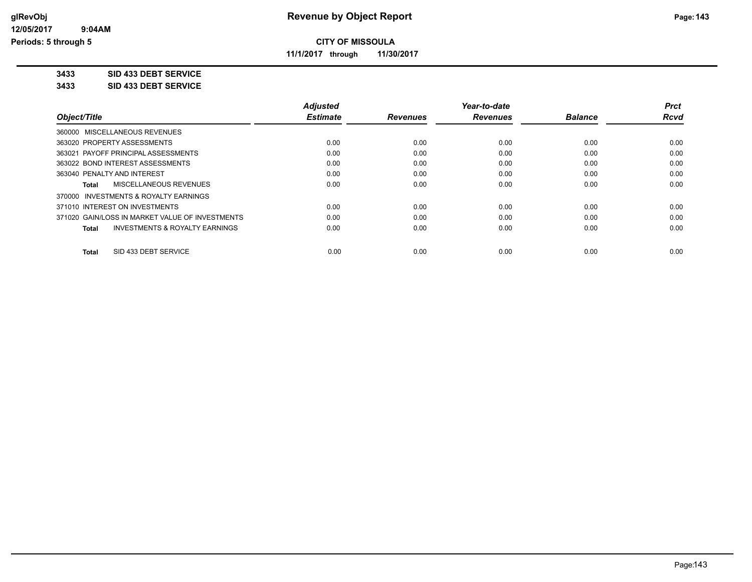**11/1/2017 through 11/30/2017**

**3433 SID 433 DEBT SERVICE**

**3433 SID 433 DEBT SERVICE**

|                                                    | <b>Adjusted</b> |                 | Year-to-date    |                | <b>Prct</b> |
|----------------------------------------------------|-----------------|-----------------|-----------------|----------------|-------------|
| Object/Title                                       | <b>Estimate</b> | <b>Revenues</b> | <b>Revenues</b> | <b>Balance</b> | Rcvd        |
| 360000 MISCELLANEOUS REVENUES                      |                 |                 |                 |                |             |
| 363020 PROPERTY ASSESSMENTS                        | 0.00            | 0.00            | 0.00            | 0.00           | 0.00        |
| 363021 PAYOFF PRINCIPAL ASSESSMENTS                | 0.00            | 0.00            | 0.00            | 0.00           | 0.00        |
| 363022 BOND INTEREST ASSESSMENTS                   | 0.00            | 0.00            | 0.00            | 0.00           | 0.00        |
| 363040 PENALTY AND INTEREST                        | 0.00            | 0.00            | 0.00            | 0.00           | 0.00        |
| <b>MISCELLANEOUS REVENUES</b><br>Total             | 0.00            | 0.00            | 0.00            | 0.00           | 0.00        |
| 370000 INVESTMENTS & ROYALTY EARNINGS              |                 |                 |                 |                |             |
| 371010 INTEREST ON INVESTMENTS                     | 0.00            | 0.00            | 0.00            | 0.00           | 0.00        |
| 371020 GAIN/LOSS IN MARKET VALUE OF INVESTMENTS    | 0.00            | 0.00            | 0.00            | 0.00           | 0.00        |
| <b>INVESTMENTS &amp; ROYALTY EARNINGS</b><br>Total | 0.00            | 0.00            | 0.00            | 0.00           | 0.00        |
| SID 433 DEBT SERVICE<br><b>Total</b>               | 0.00            | 0.00            | 0.00            | 0.00           | 0.00        |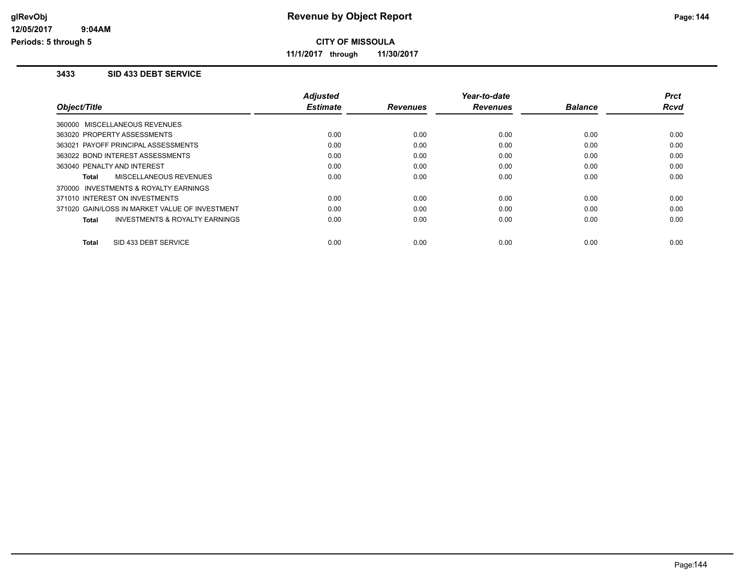**11/1/2017 through 11/30/2017**

## **3433 SID 433 DEBT SERVICE**

|                                                           | <b>Adjusted</b> |                 | Year-to-date    |                | <b>Prct</b> |
|-----------------------------------------------------------|-----------------|-----------------|-----------------|----------------|-------------|
| Object/Title                                              | <b>Estimate</b> | <b>Revenues</b> | <b>Revenues</b> | <b>Balance</b> | Rcvd        |
| 360000 MISCELLANEOUS REVENUES                             |                 |                 |                 |                |             |
| 363020 PROPERTY ASSESSMENTS                               | 0.00            | 0.00            | 0.00            | 0.00           | 0.00        |
| 363021 PAYOFF PRINCIPAL ASSESSMENTS                       | 0.00            | 0.00            | 0.00            | 0.00           | 0.00        |
| 363022 BOND INTEREST ASSESSMENTS                          | 0.00            | 0.00            | 0.00            | 0.00           | 0.00        |
| 363040 PENALTY AND INTEREST                               | 0.00            | 0.00            | 0.00            | 0.00           | 0.00        |
| MISCELLANEOUS REVENUES<br>Total                           | 0.00            | 0.00            | 0.00            | 0.00           | 0.00        |
| 370000 INVESTMENTS & ROYALTY EARNINGS                     |                 |                 |                 |                |             |
| 371010 INTEREST ON INVESTMENTS                            | 0.00            | 0.00            | 0.00            | 0.00           | 0.00        |
| 371020 GAIN/LOSS IN MARKET VALUE OF INVESTMENT            | 0.00            | 0.00            | 0.00            | 0.00           | 0.00        |
| <b>INVESTMENTS &amp; ROYALTY EARNINGS</b><br><b>Total</b> | 0.00            | 0.00            | 0.00            | 0.00           | 0.00        |
|                                                           |                 |                 |                 |                |             |
| SID 433 DEBT SERVICE<br>Total                             | 0.00            | 0.00            | 0.00            | 0.00           | 0.00        |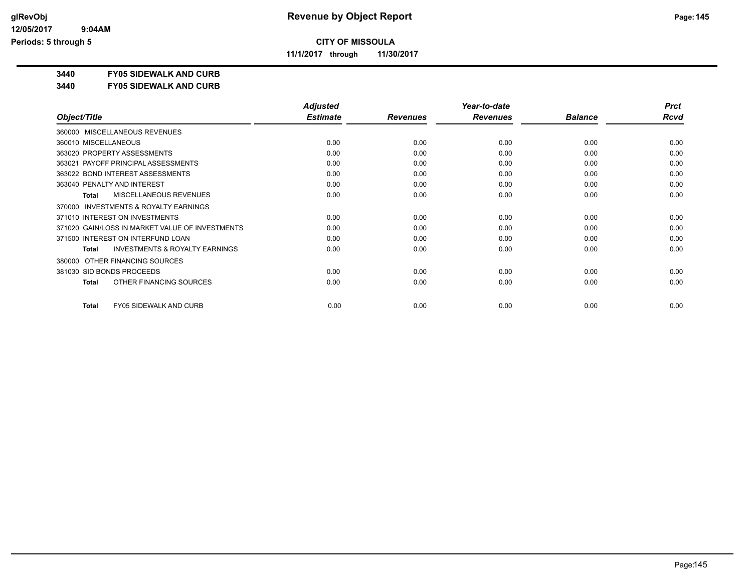**11/1/2017 through 11/30/2017**

**3440 FY05 SIDEWALK AND CURB**

**3440 FY05 SIDEWALK AND CURB**

|                                                           | <b>Adjusted</b> |                 | Year-to-date    |                | <b>Prct</b> |
|-----------------------------------------------------------|-----------------|-----------------|-----------------|----------------|-------------|
| Object/Title                                              | <b>Estimate</b> | <b>Revenues</b> | <b>Revenues</b> | <b>Balance</b> | <b>Rcvd</b> |
| 360000 MISCELLANEOUS REVENUES                             |                 |                 |                 |                |             |
| 360010 MISCELLANEOUS                                      | 0.00            | 0.00            | 0.00            | 0.00           | 0.00        |
| 363020 PROPERTY ASSESSMENTS                               | 0.00            | 0.00            | 0.00            | 0.00           | 0.00        |
| 363021 PAYOFF PRINCIPAL ASSESSMENTS                       | 0.00            | 0.00            | 0.00            | 0.00           | 0.00        |
| 363022 BOND INTEREST ASSESSMENTS                          | 0.00            | 0.00            | 0.00            | 0.00           | 0.00        |
| 363040 PENALTY AND INTEREST                               | 0.00            | 0.00            | 0.00            | 0.00           | 0.00        |
| <b>MISCELLANEOUS REVENUES</b><br>Total                    | 0.00            | 0.00            | 0.00            | 0.00           | 0.00        |
| <b>INVESTMENTS &amp; ROYALTY EARNINGS</b><br>370000       |                 |                 |                 |                |             |
| 371010 INTEREST ON INVESTMENTS                            | 0.00            | 0.00            | 0.00            | 0.00           | 0.00        |
| 371020 GAIN/LOSS IN MARKET VALUE OF INVESTMENTS           | 0.00            | 0.00            | 0.00            | 0.00           | 0.00        |
| 371500 INTEREST ON INTERFUND LOAN                         | 0.00            | 0.00            | 0.00            | 0.00           | 0.00        |
| <b>INVESTMENTS &amp; ROYALTY EARNINGS</b><br><b>Total</b> | 0.00            | 0.00            | 0.00            | 0.00           | 0.00        |
| OTHER FINANCING SOURCES<br>380000                         |                 |                 |                 |                |             |
| 381030 SID BONDS PROCEEDS                                 | 0.00            | 0.00            | 0.00            | 0.00           | 0.00        |
| OTHER FINANCING SOURCES<br>Total                          | 0.00            | 0.00            | 0.00            | 0.00           | 0.00        |
| <b>FY05 SIDEWALK AND CURB</b><br>Total                    | 0.00            | 0.00            | 0.00            | 0.00           | 0.00        |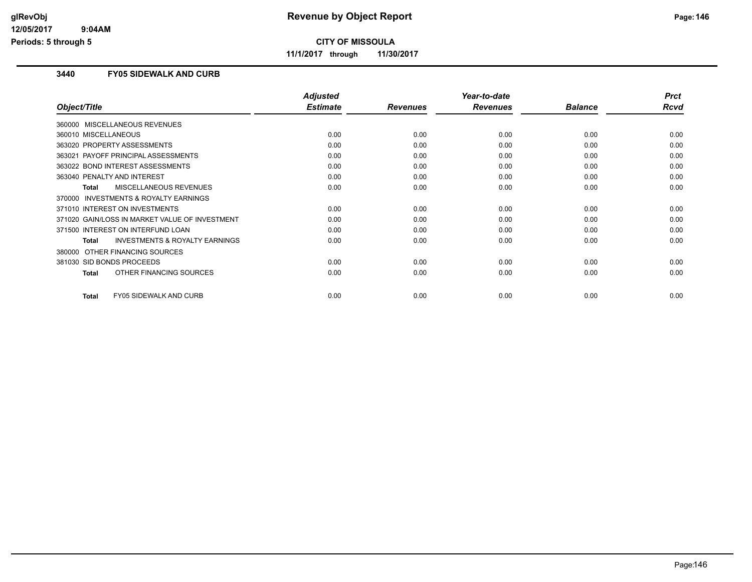**11/1/2017 through 11/30/2017**

# **3440 FY05 SIDEWALK AND CURB**

|                                                     | <b>Adjusted</b> |                 | Year-to-date    |                | <b>Prct</b> |
|-----------------------------------------------------|-----------------|-----------------|-----------------|----------------|-------------|
| Object/Title                                        | <b>Estimate</b> | <b>Revenues</b> | <b>Revenues</b> | <b>Balance</b> | Rcvd        |
| 360000 MISCELLANEOUS REVENUES                       |                 |                 |                 |                |             |
| 360010 MISCELLANEOUS                                | 0.00            | 0.00            | 0.00            | 0.00           | 0.00        |
| 363020 PROPERTY ASSESSMENTS                         | 0.00            | 0.00            | 0.00            | 0.00           | 0.00        |
| 363021 PAYOFF PRINCIPAL ASSESSMENTS                 | 0.00            | 0.00            | 0.00            | 0.00           | 0.00        |
| 363022 BOND INTEREST ASSESSMENTS                    | 0.00            | 0.00            | 0.00            | 0.00           | 0.00        |
| 363040 PENALTY AND INTEREST                         | 0.00            | 0.00            | 0.00            | 0.00           | 0.00        |
| MISCELLANEOUS REVENUES<br>Total                     | 0.00            | 0.00            | 0.00            | 0.00           | 0.00        |
| <b>INVESTMENTS &amp; ROYALTY EARNINGS</b><br>370000 |                 |                 |                 |                |             |
| 371010 INTEREST ON INVESTMENTS                      | 0.00            | 0.00            | 0.00            | 0.00           | 0.00        |
| 371020 GAIN/LOSS IN MARKET VALUE OF INVESTMENT      | 0.00            | 0.00            | 0.00            | 0.00           | 0.00        |
| 371500 INTEREST ON INTERFUND LOAN                   | 0.00            | 0.00            | 0.00            | 0.00           | 0.00        |
| <b>INVESTMENTS &amp; ROYALTY EARNINGS</b><br>Total  | 0.00            | 0.00            | 0.00            | 0.00           | 0.00        |
| 380000 OTHER FINANCING SOURCES                      |                 |                 |                 |                |             |
| 381030 SID BONDS PROCEEDS                           | 0.00            | 0.00            | 0.00            | 0.00           | 0.00        |
| OTHER FINANCING SOURCES<br><b>Total</b>             | 0.00            | 0.00            | 0.00            | 0.00           | 0.00        |
| <b>FY05 SIDEWALK AND CURB</b><br>Total              | 0.00            | 0.00            | 0.00            | 0.00           | 0.00        |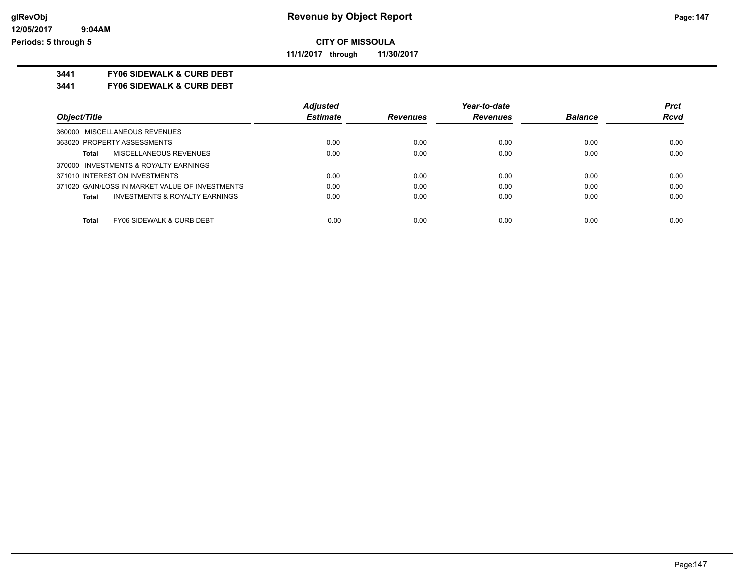**11/1/2017 through 11/30/2017**

**3441 FY06 SIDEWALK & CURB DEBT**

**3441 FY06 SIDEWALK & CURB DEBT**

|                                                 | <b>Adjusted</b> |                 | Year-to-date    |                | <b>Prct</b> |
|-------------------------------------------------|-----------------|-----------------|-----------------|----------------|-------------|
| Object/Title                                    | <b>Estimate</b> | <b>Revenues</b> | <b>Revenues</b> | <b>Balance</b> | <b>Rcvd</b> |
| 360000 MISCELLANEOUS REVENUES                   |                 |                 |                 |                |             |
| 363020 PROPERTY ASSESSMENTS                     | 0.00            | 0.00            | 0.00            | 0.00           | 0.00        |
| MISCELLANEOUS REVENUES<br>Total                 | 0.00            | 0.00            | 0.00            | 0.00           | 0.00        |
| 370000 INVESTMENTS & ROYALTY EARNINGS           |                 |                 |                 |                |             |
| 371010 INTEREST ON INVESTMENTS                  | 0.00            | 0.00            | 0.00            | 0.00           | 0.00        |
| 371020 GAIN/LOSS IN MARKET VALUE OF INVESTMENTS | 0.00            | 0.00            | 0.00            | 0.00           | 0.00        |
| INVESTMENTS & ROYALTY EARNINGS<br>Total         | 0.00            | 0.00            | 0.00            | 0.00           | 0.00        |
|                                                 |                 |                 |                 |                |             |
| Total<br><b>FY06 SIDEWALK &amp; CURB DEBT</b>   | 0.00            | 0.00            | 0.00            | 0.00           | 0.00        |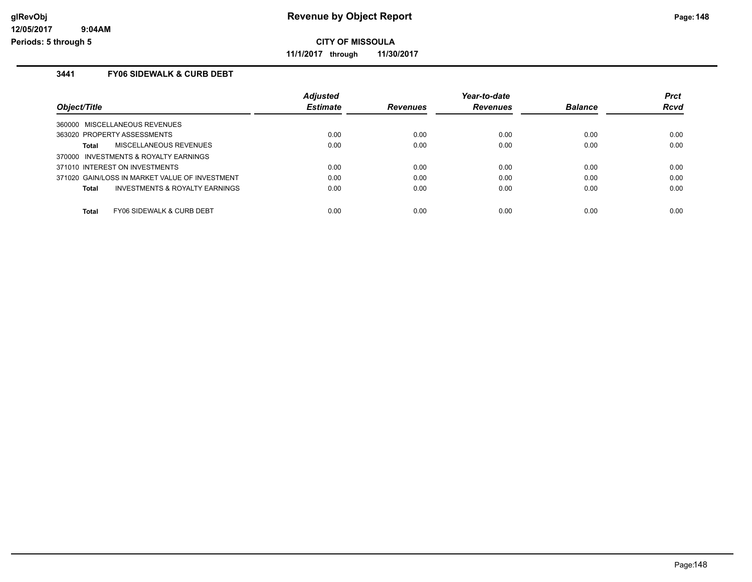**11/1/2017 through 11/30/2017**

# **3441 FY06 SIDEWALK & CURB DEBT**

|                                                           | <b>Adjusted</b> |                 | Year-to-date    |                | <b>Prct</b> |
|-----------------------------------------------------------|-----------------|-----------------|-----------------|----------------|-------------|
| Object/Title                                              | <b>Estimate</b> | <b>Revenues</b> | <b>Revenues</b> | <b>Balance</b> | <b>Rcvd</b> |
| 360000 MISCELLANEOUS REVENUES                             |                 |                 |                 |                |             |
| 363020 PROPERTY ASSESSMENTS                               | 0.00            | 0.00            | 0.00            | 0.00           | 0.00        |
| MISCELLANEOUS REVENUES<br>Total                           | 0.00            | 0.00            | 0.00            | 0.00           | 0.00        |
| 370000 INVESTMENTS & ROYALTY EARNINGS                     |                 |                 |                 |                |             |
| 371010 INTEREST ON INVESTMENTS                            | 0.00            | 0.00            | 0.00            | 0.00           | 0.00        |
| 371020 GAIN/LOSS IN MARKET VALUE OF INVESTMENT            | 0.00            | 0.00            | 0.00            | 0.00           | 0.00        |
| <b>INVESTMENTS &amp; ROYALTY EARNINGS</b><br><b>Total</b> | 0.00            | 0.00            | 0.00            | 0.00           | 0.00        |
| Total<br><b>FY06 SIDEWALK &amp; CURB DEBT</b>             | 0.00            | 0.00            | 0.00            | 0.00           | 0.00        |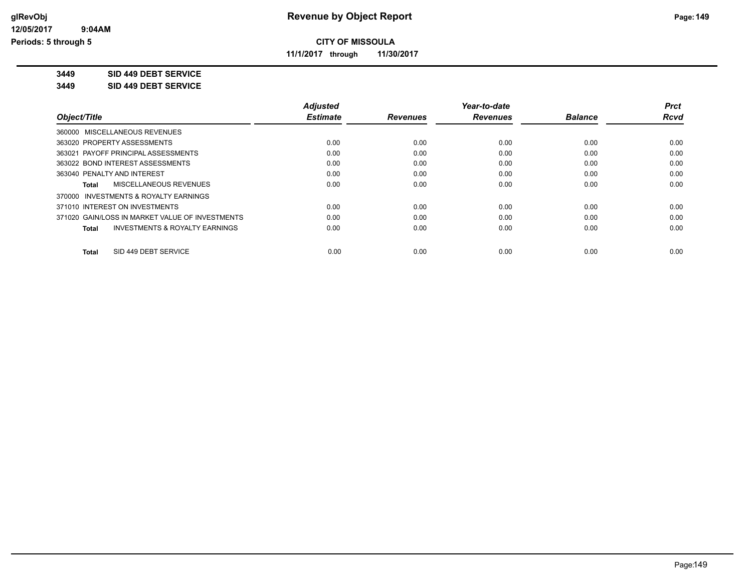**11/1/2017 through 11/30/2017**

## **3449 SID 449 DEBT SERVICE**

**3449 SID 449 DEBT SERVICE**

|                                                    | <b>Adjusted</b> |                 | Year-to-date    |                | <b>Prct</b> |
|----------------------------------------------------|-----------------|-----------------|-----------------|----------------|-------------|
| Object/Title                                       | <b>Estimate</b> | <b>Revenues</b> | <b>Revenues</b> | <b>Balance</b> | Rcvd        |
| 360000 MISCELLANEOUS REVENUES                      |                 |                 |                 |                |             |
| 363020 PROPERTY ASSESSMENTS                        | 0.00            | 0.00            | 0.00            | 0.00           | 0.00        |
| 363021 PAYOFF PRINCIPAL ASSESSMENTS                | 0.00            | 0.00            | 0.00            | 0.00           | 0.00        |
| 363022 BOND INTEREST ASSESSMENTS                   | 0.00            | 0.00            | 0.00            | 0.00           | 0.00        |
| 363040 PENALTY AND INTEREST                        | 0.00            | 0.00            | 0.00            | 0.00           | 0.00        |
| <b>MISCELLANEOUS REVENUES</b><br>Total             | 0.00            | 0.00            | 0.00            | 0.00           | 0.00        |
| 370000 INVESTMENTS & ROYALTY EARNINGS              |                 |                 |                 |                |             |
| 371010 INTEREST ON INVESTMENTS                     | 0.00            | 0.00            | 0.00            | 0.00           | 0.00        |
| 371020 GAIN/LOSS IN MARKET VALUE OF INVESTMENTS    | 0.00            | 0.00            | 0.00            | 0.00           | 0.00        |
| <b>INVESTMENTS &amp; ROYALTY EARNINGS</b><br>Total | 0.00            | 0.00            | 0.00            | 0.00           | 0.00        |
| SID 449 DEBT SERVICE<br><b>Total</b>               | 0.00            | 0.00            | 0.00            | 0.00           | 0.00        |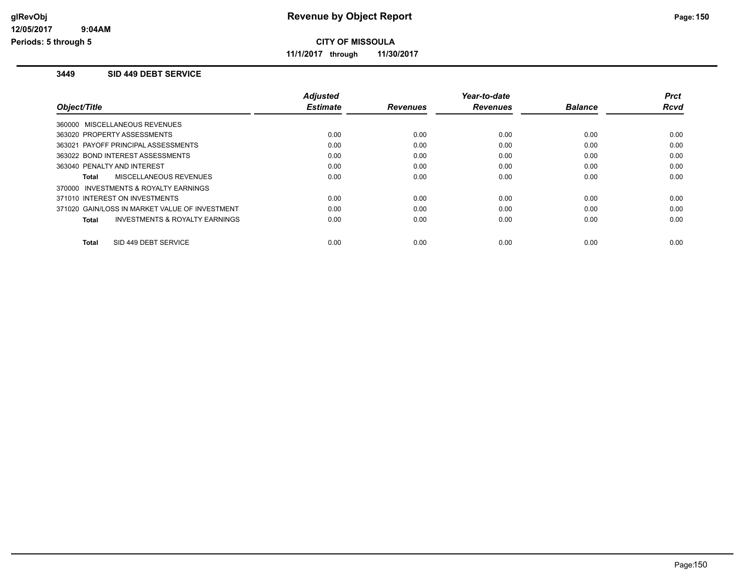**11/1/2017 through 11/30/2017**

## **3449 SID 449 DEBT SERVICE**

|                                                     | <b>Adjusted</b> |                 | Year-to-date    |                | <b>Prct</b> |
|-----------------------------------------------------|-----------------|-----------------|-----------------|----------------|-------------|
| Object/Title                                        | <b>Estimate</b> | <b>Revenues</b> | <b>Revenues</b> | <b>Balance</b> | <b>Rcvd</b> |
| 360000 MISCELLANEOUS REVENUES                       |                 |                 |                 |                |             |
| 363020 PROPERTY ASSESSMENTS                         | 0.00            | 0.00            | 0.00            | 0.00           | 0.00        |
| 363021 PAYOFF PRINCIPAL ASSESSMENTS                 | 0.00            | 0.00            | 0.00            | 0.00           | 0.00        |
| 363022 BOND INTEREST ASSESSMENTS                    | 0.00            | 0.00            | 0.00            | 0.00           | 0.00        |
| 363040 PENALTY AND INTEREST                         | 0.00            | 0.00            | 0.00            | 0.00           | 0.00        |
| <b>MISCELLANEOUS REVENUES</b><br>Total              | 0.00            | 0.00            | 0.00            | 0.00           | 0.00        |
| <b>INVESTMENTS &amp; ROYALTY EARNINGS</b><br>370000 |                 |                 |                 |                |             |
| 371010 INTEREST ON INVESTMENTS                      | 0.00            | 0.00            | 0.00            | 0.00           | 0.00        |
| 371020 GAIN/LOSS IN MARKET VALUE OF INVESTMENT      | 0.00            | 0.00            | 0.00            | 0.00           | 0.00        |
| <b>INVESTMENTS &amp; ROYALTY EARNINGS</b><br>Total  | 0.00            | 0.00            | 0.00            | 0.00           | 0.00        |
|                                                     |                 |                 |                 |                |             |
| SID 449 DEBT SERVICE<br>Total                       | 0.00            | 0.00            | 0.00            | 0.00           | 0.00        |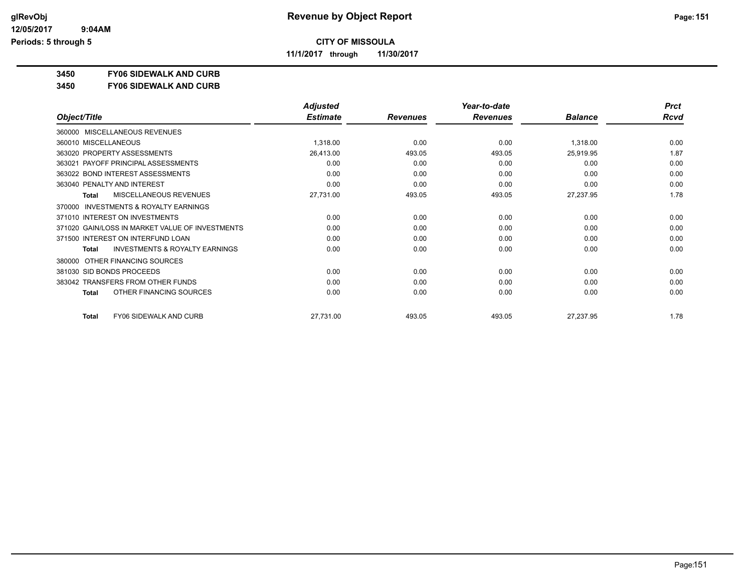**11/1/2017 through 11/30/2017**

**3450 FY06 SIDEWALK AND CURB**

**3450 FY06 SIDEWALK AND CURB**

|                                                           | <b>Adjusted</b> |                 | Year-to-date    |                | <b>Prct</b> |
|-----------------------------------------------------------|-----------------|-----------------|-----------------|----------------|-------------|
| Object/Title                                              | <b>Estimate</b> | <b>Revenues</b> | <b>Revenues</b> | <b>Balance</b> | <b>Rcvd</b> |
| 360000 MISCELLANEOUS REVENUES                             |                 |                 |                 |                |             |
| 360010 MISCELLANEOUS                                      | 1,318.00        | 0.00            | 0.00            | 1,318.00       | 0.00        |
| 363020 PROPERTY ASSESSMENTS                               | 26,413.00       | 493.05          | 493.05          | 25,919.95      | 1.87        |
| 363021 PAYOFF PRINCIPAL ASSESSMENTS                       | 0.00            | 0.00            | 0.00            | 0.00           | 0.00        |
| 363022 BOND INTEREST ASSESSMENTS                          | 0.00            | 0.00            | 0.00            | 0.00           | 0.00        |
| 363040 PENALTY AND INTEREST                               | 0.00            | 0.00            | 0.00            | 0.00           | 0.00        |
| <b>MISCELLANEOUS REVENUES</b><br><b>Total</b>             | 27,731.00       | 493.05          | 493.05          | 27,237.95      | 1.78        |
| <b>INVESTMENTS &amp; ROYALTY EARNINGS</b><br>370000       |                 |                 |                 |                |             |
| 371010 INTEREST ON INVESTMENTS                            | 0.00            | 0.00            | 0.00            | 0.00           | 0.00        |
| 371020 GAIN/LOSS IN MARKET VALUE OF INVESTMENTS           | 0.00            | 0.00            | 0.00            | 0.00           | 0.00        |
| 371500 INTEREST ON INTERFUND LOAN                         | 0.00            | 0.00            | 0.00            | 0.00           | 0.00        |
| <b>INVESTMENTS &amp; ROYALTY EARNINGS</b><br><b>Total</b> | 0.00            | 0.00            | 0.00            | 0.00           | 0.00        |
| OTHER FINANCING SOURCES<br>380000                         |                 |                 |                 |                |             |
| 381030 SID BONDS PROCEEDS                                 | 0.00            | 0.00            | 0.00            | 0.00           | 0.00        |
| 383042 TRANSFERS FROM OTHER FUNDS                         | 0.00            | 0.00            | 0.00            | 0.00           | 0.00        |
| OTHER FINANCING SOURCES<br>Total                          | 0.00            | 0.00            | 0.00            | 0.00           | 0.00        |
|                                                           |                 |                 |                 |                |             |
| FY06 SIDEWALK AND CURB<br><b>Total</b>                    | 27,731.00       | 493.05          | 493.05          | 27,237.95      | 1.78        |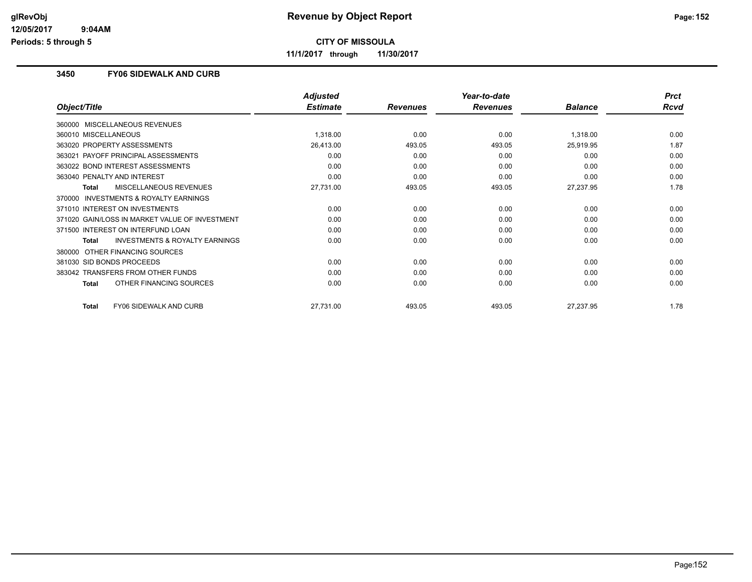**11/1/2017 through 11/30/2017**

# **3450 FY06 SIDEWALK AND CURB**

|                                                           | <b>Adjusted</b> |                 | Year-to-date    |                | <b>Prct</b> |
|-----------------------------------------------------------|-----------------|-----------------|-----------------|----------------|-------------|
| Object/Title                                              | <b>Estimate</b> | <b>Revenues</b> | <b>Revenues</b> | <b>Balance</b> | Rcvd        |
| 360000 MISCELLANEOUS REVENUES                             |                 |                 |                 |                |             |
| 360010 MISCELLANEOUS                                      | 1,318.00        | 0.00            | 0.00            | 1,318.00       | 0.00        |
| 363020 PROPERTY ASSESSMENTS                               | 26,413.00       | 493.05          | 493.05          | 25,919.95      | 1.87        |
| 363021 PAYOFF PRINCIPAL ASSESSMENTS                       | 0.00            | 0.00            | 0.00            | 0.00           | 0.00        |
| 363022 BOND INTEREST ASSESSMENTS                          | 0.00            | 0.00            | 0.00            | 0.00           | 0.00        |
| 363040 PENALTY AND INTEREST                               | 0.00            | 0.00            | 0.00            | 0.00           | 0.00        |
| <b>MISCELLANEOUS REVENUES</b><br><b>Total</b>             | 27,731.00       | 493.05          | 493.05          | 27,237.95      | 1.78        |
| <b>INVESTMENTS &amp; ROYALTY EARNINGS</b><br>370000       |                 |                 |                 |                |             |
| 371010 INTEREST ON INVESTMENTS                            | 0.00            | 0.00            | 0.00            | 0.00           | 0.00        |
| 371020 GAIN/LOSS IN MARKET VALUE OF INVESTMENT            | 0.00            | 0.00            | 0.00            | 0.00           | 0.00        |
| 371500 INTEREST ON INTERFUND LOAN                         | 0.00            | 0.00            | 0.00            | 0.00           | 0.00        |
| <b>INVESTMENTS &amp; ROYALTY EARNINGS</b><br><b>Total</b> | 0.00            | 0.00            | 0.00            | 0.00           | 0.00        |
| 380000 OTHER FINANCING SOURCES                            |                 |                 |                 |                |             |
| 381030 SID BONDS PROCEEDS                                 | 0.00            | 0.00            | 0.00            | 0.00           | 0.00        |
| 383042 TRANSFERS FROM OTHER FUNDS                         | 0.00            | 0.00            | 0.00            | 0.00           | 0.00        |
| OTHER FINANCING SOURCES<br><b>Total</b>                   | 0.00            | 0.00            | 0.00            | 0.00           | 0.00        |
| FY06 SIDEWALK AND CURB<br><b>Total</b>                    | 27,731.00       | 493.05          | 493.05          | 27,237.95      | 1.78        |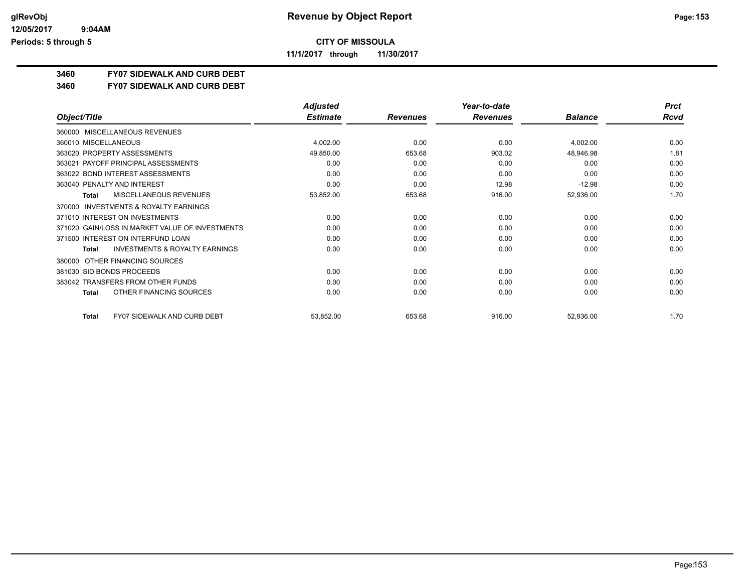**11/1/2017 through 11/30/2017**

**3460 FY07 SIDEWALK AND CURB DEBT**

## **3460 FY07 SIDEWALK AND CURB DEBT**

|                                                           | <b>Adjusted</b> |                 | Year-to-date    |                | <b>Prct</b> |
|-----------------------------------------------------------|-----------------|-----------------|-----------------|----------------|-------------|
| Object/Title                                              | <b>Estimate</b> | <b>Revenues</b> | <b>Revenues</b> | <b>Balance</b> | Rcvd        |
| 360000 MISCELLANEOUS REVENUES                             |                 |                 |                 |                |             |
| 360010 MISCELLANEOUS                                      | 4,002.00        | 0.00            | 0.00            | 4,002.00       | 0.00        |
| 363020 PROPERTY ASSESSMENTS                               | 49,850.00       | 653.68          | 903.02          | 48,946.98      | 1.81        |
| 363021 PAYOFF PRINCIPAL ASSESSMENTS                       | 0.00            | 0.00            | 0.00            | 0.00           | 0.00        |
| 363022 BOND INTEREST ASSESSMENTS                          | 0.00            | 0.00            | 0.00            | 0.00           | 0.00        |
| 363040 PENALTY AND INTEREST                               | 0.00            | 0.00            | 12.98           | $-12.98$       | 0.00        |
| MISCELLANEOUS REVENUES<br>Total                           | 53,852.00       | 653.68          | 916.00          | 52,936.00      | 1.70        |
| <b>INVESTMENTS &amp; ROYALTY EARNINGS</b><br>370000       |                 |                 |                 |                |             |
| 371010 INTEREST ON INVESTMENTS                            | 0.00            | 0.00            | 0.00            | 0.00           | 0.00        |
| 371020 GAIN/LOSS IN MARKET VALUE OF INVESTMENTS           | 0.00            | 0.00            | 0.00            | 0.00           | 0.00        |
| 371500 INTEREST ON INTERFUND LOAN                         | 0.00            | 0.00            | 0.00            | 0.00           | 0.00        |
| <b>INVESTMENTS &amp; ROYALTY EARNINGS</b><br><b>Total</b> | 0.00            | 0.00            | 0.00            | 0.00           | 0.00        |
| OTHER FINANCING SOURCES<br>380000                         |                 |                 |                 |                |             |
| 381030 SID BONDS PROCEEDS                                 | 0.00            | 0.00            | 0.00            | 0.00           | 0.00        |
| 383042 TRANSFERS FROM OTHER FUNDS                         | 0.00            | 0.00            | 0.00            | 0.00           | 0.00        |
| OTHER FINANCING SOURCES<br><b>Total</b>                   | 0.00            | 0.00            | 0.00            | 0.00           | 0.00        |
|                                                           |                 |                 |                 |                |             |
| <b>FY07 SIDEWALK AND CURB DEBT</b><br><b>Total</b>        | 53,852.00       | 653.68          | 916.00          | 52,936.00      | 1.70        |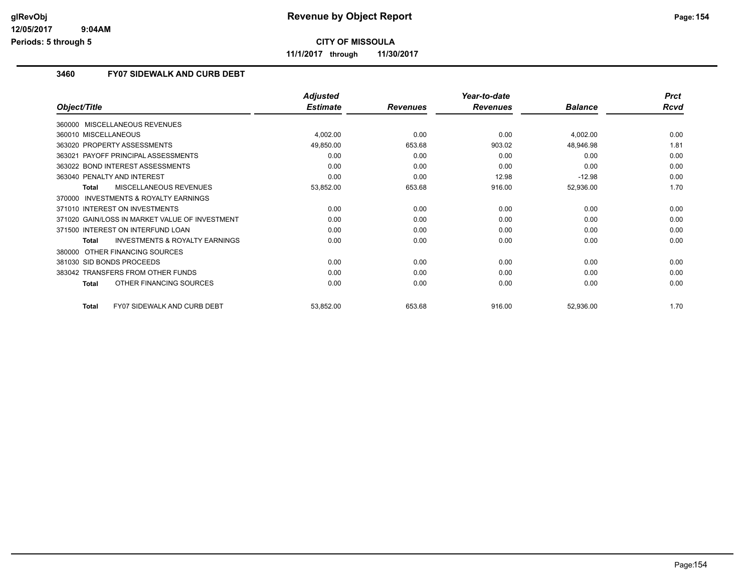**11/1/2017 through 11/30/2017**

# **3460 FY07 SIDEWALK AND CURB DEBT**

|                                                     | <b>Adjusted</b> |                 | Year-to-date    |                | <b>Prct</b> |
|-----------------------------------------------------|-----------------|-----------------|-----------------|----------------|-------------|
| Object/Title                                        | <b>Estimate</b> | <b>Revenues</b> | <b>Revenues</b> | <b>Balance</b> | Rcvd        |
| 360000 MISCELLANEOUS REVENUES                       |                 |                 |                 |                |             |
| 360010 MISCELLANEOUS                                | 4,002.00        | 0.00            | 0.00            | 4,002.00       | 0.00        |
| 363020 PROPERTY ASSESSMENTS                         | 49,850.00       | 653.68          | 903.02          | 48,946.98      | 1.81        |
| 363021 PAYOFF PRINCIPAL ASSESSMENTS                 | 0.00            | 0.00            | 0.00            | 0.00           | 0.00        |
| 363022 BOND INTEREST ASSESSMENTS                    | 0.00            | 0.00            | 0.00            | 0.00           | 0.00        |
| 363040 PENALTY AND INTEREST                         | 0.00            | 0.00            | 12.98           | $-12.98$       | 0.00        |
| <b>MISCELLANEOUS REVENUES</b><br><b>Total</b>       | 53,852.00       | 653.68          | 916.00          | 52,936.00      | 1.70        |
| <b>INVESTMENTS &amp; ROYALTY EARNINGS</b><br>370000 |                 |                 |                 |                |             |
| 371010 INTEREST ON INVESTMENTS                      | 0.00            | 0.00            | 0.00            | 0.00           | 0.00        |
| 371020 GAIN/LOSS IN MARKET VALUE OF INVESTMENT      | 0.00            | 0.00            | 0.00            | 0.00           | 0.00        |
| 371500 INTEREST ON INTERFUND LOAN                   | 0.00            | 0.00            | 0.00            | 0.00           | 0.00        |
| <b>INVESTMENTS &amp; ROYALTY EARNINGS</b><br>Total  | 0.00            | 0.00            | 0.00            | 0.00           | 0.00        |
| 380000 OTHER FINANCING SOURCES                      |                 |                 |                 |                |             |
| 381030 SID BONDS PROCEEDS                           | 0.00            | 0.00            | 0.00            | 0.00           | 0.00        |
| 383042 TRANSFERS FROM OTHER FUNDS                   | 0.00            | 0.00            | 0.00            | 0.00           | 0.00        |
| OTHER FINANCING SOURCES<br>Total                    | 0.00            | 0.00            | 0.00            | 0.00           | 0.00        |
| <b>FY07 SIDEWALK AND CURB DEBT</b><br>Total         | 53,852.00       | 653.68          | 916.00          | 52,936.00      | 1.70        |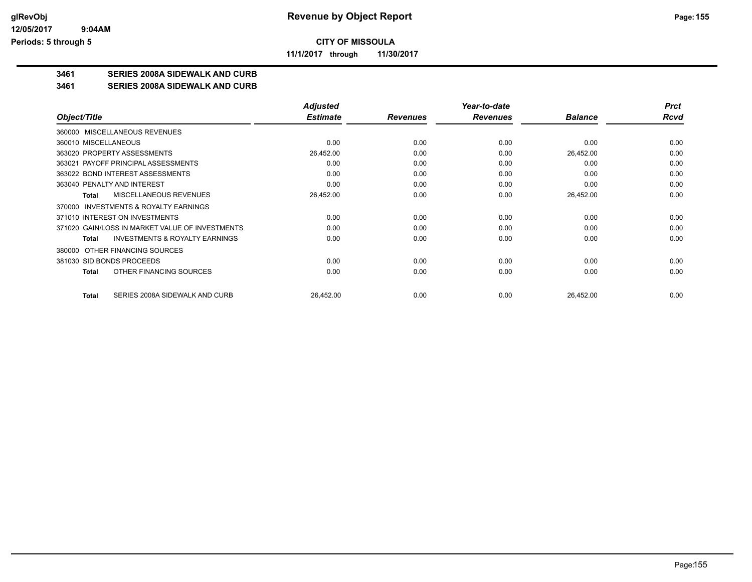**11/1/2017 through 11/30/2017**

# **3461 SERIES 2008A SIDEWALK AND CURB**

## **3461 SERIES 2008A SIDEWALK AND CURB**

|                                                           | <b>Adjusted</b> |                 | Year-to-date    |                | <b>Prct</b> |
|-----------------------------------------------------------|-----------------|-----------------|-----------------|----------------|-------------|
| Object/Title                                              | <b>Estimate</b> | <b>Revenues</b> | <b>Revenues</b> | <b>Balance</b> | Rcvd        |
| 360000 MISCELLANEOUS REVENUES                             |                 |                 |                 |                |             |
| 360010 MISCELLANEOUS                                      | 0.00            | 0.00            | 0.00            | 0.00           | 0.00        |
| 363020 PROPERTY ASSESSMENTS                               | 26,452.00       | 0.00            | 0.00            | 26,452.00      | 0.00        |
| 363021 PAYOFF PRINCIPAL ASSESSMENTS                       | 0.00            | 0.00            | 0.00            | 0.00           | 0.00        |
| 363022 BOND INTEREST ASSESSMENTS                          | 0.00            | 0.00            | 0.00            | 0.00           | 0.00        |
| 363040 PENALTY AND INTEREST                               | 0.00            | 0.00            | 0.00            | 0.00           | 0.00        |
| <b>MISCELLANEOUS REVENUES</b><br>Total                    | 26,452.00       | 0.00            | 0.00            | 26,452.00      | 0.00        |
| <b>INVESTMENTS &amp; ROYALTY EARNINGS</b><br>370000       |                 |                 |                 |                |             |
| 371010 INTEREST ON INVESTMENTS                            | 0.00            | 0.00            | 0.00            | 0.00           | 0.00        |
| 371020 GAIN/LOSS IN MARKET VALUE OF INVESTMENTS           | 0.00            | 0.00            | 0.00            | 0.00           | 0.00        |
| <b>INVESTMENTS &amp; ROYALTY EARNINGS</b><br><b>Total</b> | 0.00            | 0.00            | 0.00            | 0.00           | 0.00        |
| OTHER FINANCING SOURCES<br>380000                         |                 |                 |                 |                |             |
| 381030 SID BONDS PROCEEDS                                 | 0.00            | 0.00            | 0.00            | 0.00           | 0.00        |
| OTHER FINANCING SOURCES<br>Total                          | 0.00            | 0.00            | 0.00            | 0.00           | 0.00        |
| SERIES 2008A SIDEWALK AND CURB<br>Total                   | 26,452.00       | 0.00            | 0.00            | 26,452.00      | 0.00        |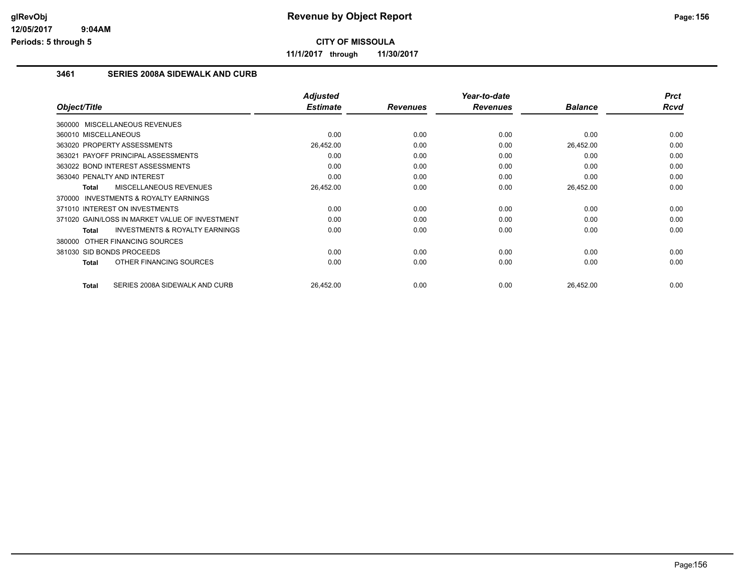**11/1/2017 through 11/30/2017**

# **3461 SERIES 2008A SIDEWALK AND CURB**

|                                                     | <b>Adjusted</b> |                 | Year-to-date    |                | <b>Prct</b> |
|-----------------------------------------------------|-----------------|-----------------|-----------------|----------------|-------------|
| Object/Title                                        | <b>Estimate</b> | <b>Revenues</b> | <b>Revenues</b> | <b>Balance</b> | Rcvd        |
| 360000 MISCELLANEOUS REVENUES                       |                 |                 |                 |                |             |
| 360010 MISCELLANEOUS                                | 0.00            | 0.00            | 0.00            | 0.00           | 0.00        |
| 363020 PROPERTY ASSESSMENTS                         | 26,452.00       | 0.00            | 0.00            | 26,452.00      | 0.00        |
| 363021 PAYOFF PRINCIPAL ASSESSMENTS                 | 0.00            | 0.00            | 0.00            | 0.00           | 0.00        |
| 363022 BOND INTEREST ASSESSMENTS                    | 0.00            | 0.00            | 0.00            | 0.00           | 0.00        |
| 363040 PENALTY AND INTEREST                         | 0.00            | 0.00            | 0.00            | 0.00           | 0.00        |
| MISCELLANEOUS REVENUES<br>Total                     | 26,452.00       | 0.00            | 0.00            | 26,452.00      | 0.00        |
| <b>INVESTMENTS &amp; ROYALTY EARNINGS</b><br>370000 |                 |                 |                 |                |             |
| 371010 INTEREST ON INVESTMENTS                      | 0.00            | 0.00            | 0.00            | 0.00           | 0.00        |
| 371020 GAIN/LOSS IN MARKET VALUE OF INVESTMENT      | 0.00            | 0.00            | 0.00            | 0.00           | 0.00        |
| <b>INVESTMENTS &amp; ROYALTY EARNINGS</b><br>Total  | 0.00            | 0.00            | 0.00            | 0.00           | 0.00        |
| 380000 OTHER FINANCING SOURCES                      |                 |                 |                 |                |             |
| 381030 SID BONDS PROCEEDS                           | 0.00            | 0.00            | 0.00            | 0.00           | 0.00        |
| OTHER FINANCING SOURCES<br>Total                    | 0.00            | 0.00            | 0.00            | 0.00           | 0.00        |
|                                                     |                 |                 |                 |                |             |
| SERIES 2008A SIDEWALK AND CURB<br>Total             | 26.452.00       | 0.00            | 0.00            | 26,452.00      | 0.00        |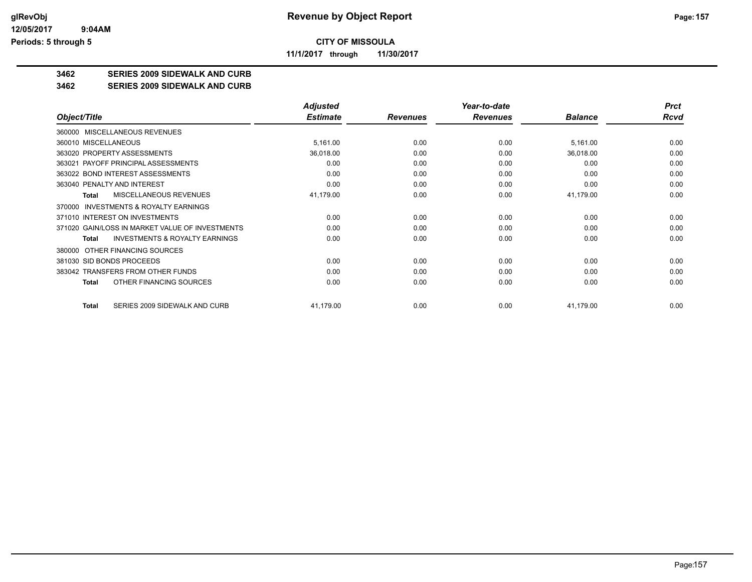**11/1/2017 through 11/30/2017**

# **3462 SERIES 2009 SIDEWALK AND CURB**

## **3462 SERIES 2009 SIDEWALK AND CURB**

|                                                     | <b>Adjusted</b> |                 | Year-to-date    |                | <b>Prct</b> |
|-----------------------------------------------------|-----------------|-----------------|-----------------|----------------|-------------|
| Object/Title                                        | <b>Estimate</b> | <b>Revenues</b> | <b>Revenues</b> | <b>Balance</b> | <b>Rcvd</b> |
| MISCELLANEOUS REVENUES<br>360000                    |                 |                 |                 |                |             |
| 360010 MISCELLANEOUS                                | 5,161.00        | 0.00            | 0.00            | 5,161.00       | 0.00        |
| 363020 PROPERTY ASSESSMENTS                         | 36,018.00       | 0.00            | 0.00            | 36,018.00      | 0.00        |
| 363021 PAYOFF PRINCIPAL ASSESSMENTS                 | 0.00            | 0.00            | 0.00            | 0.00           | 0.00        |
| 363022 BOND INTEREST ASSESSMENTS                    | 0.00            | 0.00            | 0.00            | 0.00           | 0.00        |
| 363040 PENALTY AND INTEREST                         | 0.00            | 0.00            | 0.00            | 0.00           | 0.00        |
| MISCELLANEOUS REVENUES<br>Total                     | 41,179.00       | 0.00            | 0.00            | 41,179.00      | 0.00        |
| <b>INVESTMENTS &amp; ROYALTY EARNINGS</b><br>370000 |                 |                 |                 |                |             |
| 371010 INTEREST ON INVESTMENTS                      | 0.00            | 0.00            | 0.00            | 0.00           | 0.00        |
| 371020 GAIN/LOSS IN MARKET VALUE OF INVESTMENTS     | 0.00            | 0.00            | 0.00            | 0.00           | 0.00        |
| <b>INVESTMENTS &amp; ROYALTY EARNINGS</b><br>Total  | 0.00            | 0.00            | 0.00            | 0.00           | 0.00        |
| OTHER FINANCING SOURCES<br>380000                   |                 |                 |                 |                |             |
| 381030 SID BONDS PROCEEDS                           | 0.00            | 0.00            | 0.00            | 0.00           | 0.00        |
| 383042 TRANSFERS FROM OTHER FUNDS                   | 0.00            | 0.00            | 0.00            | 0.00           | 0.00        |
| OTHER FINANCING SOURCES<br><b>Total</b>             | 0.00            | 0.00            | 0.00            | 0.00           | 0.00        |
| SERIES 2009 SIDEWALK AND CURB<br><b>Total</b>       | 41,179.00       | 0.00            | 0.00            | 41,179.00      | 0.00        |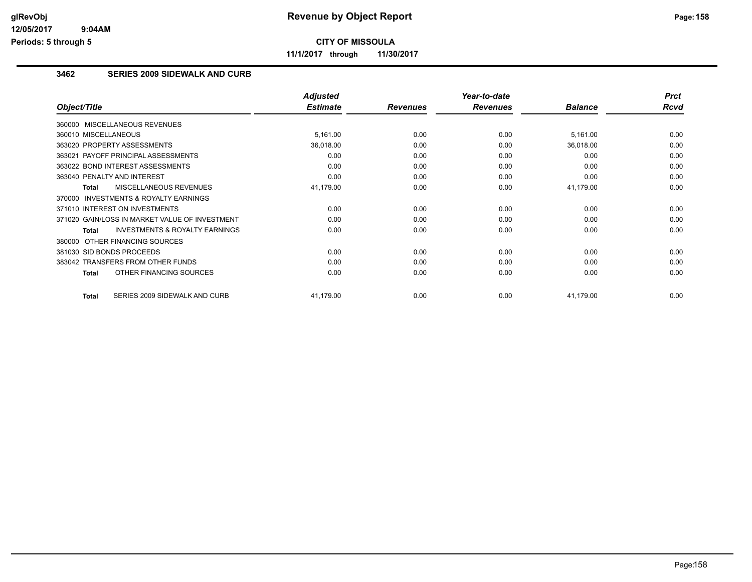**11/1/2017 through 11/30/2017**

# **3462 SERIES 2009 SIDEWALK AND CURB**

|                                                     | <b>Adjusted</b> |                 | Year-to-date    |                | <b>Prct</b> |
|-----------------------------------------------------|-----------------|-----------------|-----------------|----------------|-------------|
| Object/Title                                        | <b>Estimate</b> | <b>Revenues</b> | <b>Revenues</b> | <b>Balance</b> | <b>Rcvd</b> |
| 360000 MISCELLANEOUS REVENUES                       |                 |                 |                 |                |             |
| 360010 MISCELLANEOUS                                | 5,161.00        | 0.00            | 0.00            | 5,161.00       | 0.00        |
| 363020 PROPERTY ASSESSMENTS                         | 36,018.00       | 0.00            | 0.00            | 36,018.00      | 0.00        |
| 363021 PAYOFF PRINCIPAL ASSESSMENTS                 | 0.00            | 0.00            | 0.00            | 0.00           | 0.00        |
| 363022 BOND INTEREST ASSESSMENTS                    | 0.00            | 0.00            | 0.00            | 0.00           | 0.00        |
| 363040 PENALTY AND INTEREST                         | 0.00            | 0.00            | 0.00            | 0.00           | 0.00        |
| MISCELLANEOUS REVENUES<br>Total                     | 41,179.00       | 0.00            | 0.00            | 41,179.00      | 0.00        |
| <b>INVESTMENTS &amp; ROYALTY EARNINGS</b><br>370000 |                 |                 |                 |                |             |
| 371010 INTEREST ON INVESTMENTS                      | 0.00            | 0.00            | 0.00            | 0.00           | 0.00        |
| 371020 GAIN/LOSS IN MARKET VALUE OF INVESTMENT      | 0.00            | 0.00            | 0.00            | 0.00           | 0.00        |
| <b>INVESTMENTS &amp; ROYALTY EARNINGS</b><br>Total  | 0.00            | 0.00            | 0.00            | 0.00           | 0.00        |
| 380000 OTHER FINANCING SOURCES                      |                 |                 |                 |                |             |
| 381030 SID BONDS PROCEEDS                           | 0.00            | 0.00            | 0.00            | 0.00           | 0.00        |
| 383042 TRANSFERS FROM OTHER FUNDS                   | 0.00            | 0.00            | 0.00            | 0.00           | 0.00        |
| OTHER FINANCING SOURCES<br><b>Total</b>             | 0.00            | 0.00            | 0.00            | 0.00           | 0.00        |
| SERIES 2009 SIDEWALK AND CURB<br>Total              | 41,179.00       | 0.00            | 0.00            | 41,179.00      | 0.00        |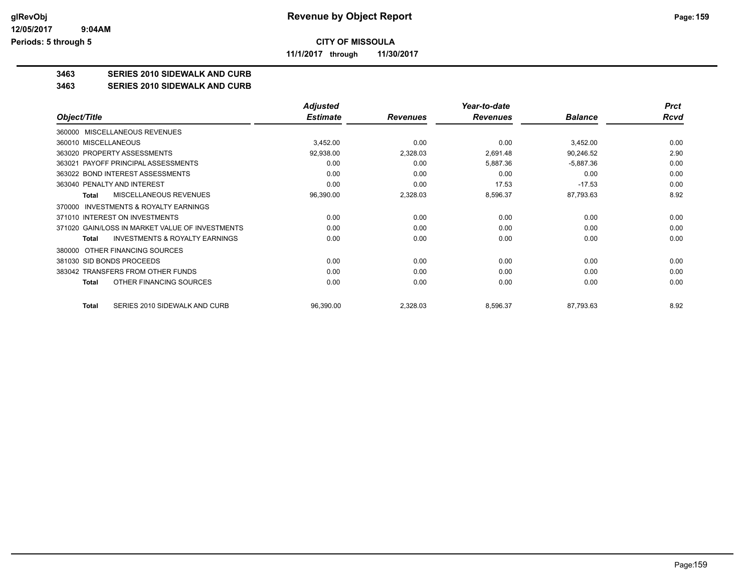**11/1/2017 through 11/30/2017**

# **3463 SERIES 2010 SIDEWALK AND CURB**

## **3463 SERIES 2010 SIDEWALK AND CURB**

|                                                     | <b>Adjusted</b> |                 | Year-to-date    |                | <b>Prct</b> |
|-----------------------------------------------------|-----------------|-----------------|-----------------|----------------|-------------|
| Object/Title                                        | <b>Estimate</b> | <b>Revenues</b> | <b>Revenues</b> | <b>Balance</b> | <b>Rcvd</b> |
| MISCELLANEOUS REVENUES<br>360000                    |                 |                 |                 |                |             |
| 360010 MISCELLANEOUS                                | 3,452.00        | 0.00            | 0.00            | 3,452.00       | 0.00        |
| 363020 PROPERTY ASSESSMENTS                         | 92,938.00       | 2,328.03        | 2,691.48        | 90,246.52      | 2.90        |
| 363021 PAYOFF PRINCIPAL ASSESSMENTS                 | 0.00            | 0.00            | 5,887.36        | $-5,887.36$    | 0.00        |
| 363022 BOND INTEREST ASSESSMENTS                    | 0.00            | 0.00            | 0.00            | 0.00           | 0.00        |
| 363040 PENALTY AND INTEREST                         | 0.00            | 0.00            | 17.53           | $-17.53$       | 0.00        |
| <b>MISCELLANEOUS REVENUES</b><br><b>Total</b>       | 96,390.00       | 2,328.03        | 8,596.37        | 87,793.63      | 8.92        |
| <b>INVESTMENTS &amp; ROYALTY EARNINGS</b><br>370000 |                 |                 |                 |                |             |
| 371010 INTEREST ON INVESTMENTS                      | 0.00            | 0.00            | 0.00            | 0.00           | 0.00        |
| 371020 GAIN/LOSS IN MARKET VALUE OF INVESTMENTS     | 0.00            | 0.00            | 0.00            | 0.00           | 0.00        |
| <b>INVESTMENTS &amp; ROYALTY EARNINGS</b><br>Total  | 0.00            | 0.00            | 0.00            | 0.00           | 0.00        |
| OTHER FINANCING SOURCES<br>380000                   |                 |                 |                 |                |             |
| 381030 SID BONDS PROCEEDS                           | 0.00            | 0.00            | 0.00            | 0.00           | 0.00        |
| 383042 TRANSFERS FROM OTHER FUNDS                   | 0.00            | 0.00            | 0.00            | 0.00           | 0.00        |
| OTHER FINANCING SOURCES<br>Total                    | 0.00            | 0.00            | 0.00            | 0.00           | 0.00        |
| SERIES 2010 SIDEWALK AND CURB<br>Total              | 96,390.00       | 2,328.03        | 8,596.37        | 87,793.63      | 8.92        |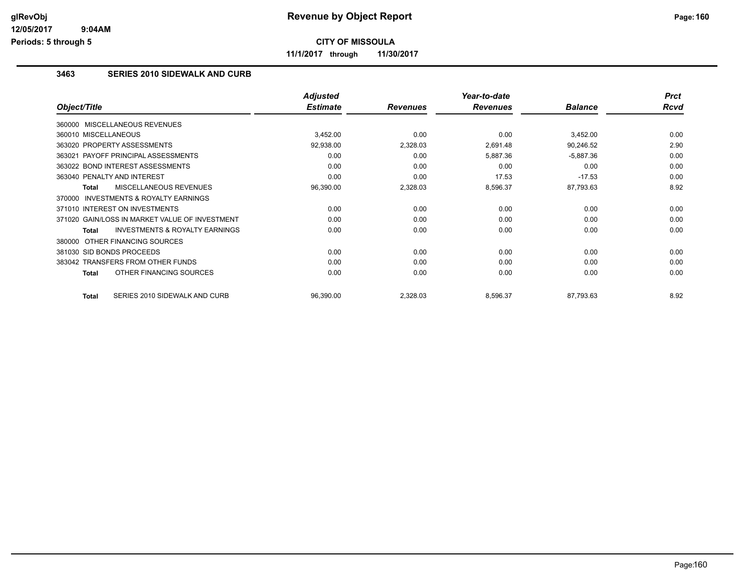**11/1/2017 through 11/30/2017**

# **3463 SERIES 2010 SIDEWALK AND CURB**

|                                                           | <b>Adjusted</b> |                 | Year-to-date    |                | <b>Prct</b> |
|-----------------------------------------------------------|-----------------|-----------------|-----------------|----------------|-------------|
| Object/Title                                              | <b>Estimate</b> | <b>Revenues</b> | <b>Revenues</b> | <b>Balance</b> | Rcvd        |
| MISCELLANEOUS REVENUES<br>360000                          |                 |                 |                 |                |             |
| 360010 MISCELLANEOUS                                      | 3,452.00        | 0.00            | 0.00            | 3,452.00       | 0.00        |
| 363020 PROPERTY ASSESSMENTS                               | 92,938.00       | 2,328.03        | 2,691.48        | 90,246.52      | 2.90        |
| 363021 PAYOFF PRINCIPAL ASSESSMENTS                       | 0.00            | 0.00            | 5,887.36        | $-5,887.36$    | 0.00        |
| 363022 BOND INTEREST ASSESSMENTS                          | 0.00            | 0.00            | 0.00            | 0.00           | 0.00        |
| 363040 PENALTY AND INTEREST                               | 0.00            | 0.00            | 17.53           | $-17.53$       | 0.00        |
| <b>MISCELLANEOUS REVENUES</b><br><b>Total</b>             | 96,390.00       | 2,328.03        | 8,596.37        | 87,793.63      | 8.92        |
| INVESTMENTS & ROYALTY EARNINGS<br>370000                  |                 |                 |                 |                |             |
| 371010 INTEREST ON INVESTMENTS                            | 0.00            | 0.00            | 0.00            | 0.00           | 0.00        |
| 371020 GAIN/LOSS IN MARKET VALUE OF INVESTMENT            | 0.00            | 0.00            | 0.00            | 0.00           | 0.00        |
| <b>INVESTMENTS &amp; ROYALTY EARNINGS</b><br><b>Total</b> | 0.00            | 0.00            | 0.00            | 0.00           | 0.00        |
| OTHER FINANCING SOURCES<br>380000                         |                 |                 |                 |                |             |
| 381030 SID BONDS PROCEEDS                                 | 0.00            | 0.00            | 0.00            | 0.00           | 0.00        |
| 383042 TRANSFERS FROM OTHER FUNDS                         | 0.00            | 0.00            | 0.00            | 0.00           | 0.00        |
| OTHER FINANCING SOURCES<br><b>Total</b>                   | 0.00            | 0.00            | 0.00            | 0.00           | 0.00        |
| SERIES 2010 SIDEWALK AND CURB<br>Total                    | 96,390.00       | 2,328.03        | 8,596.37        | 87,793.63      | 8.92        |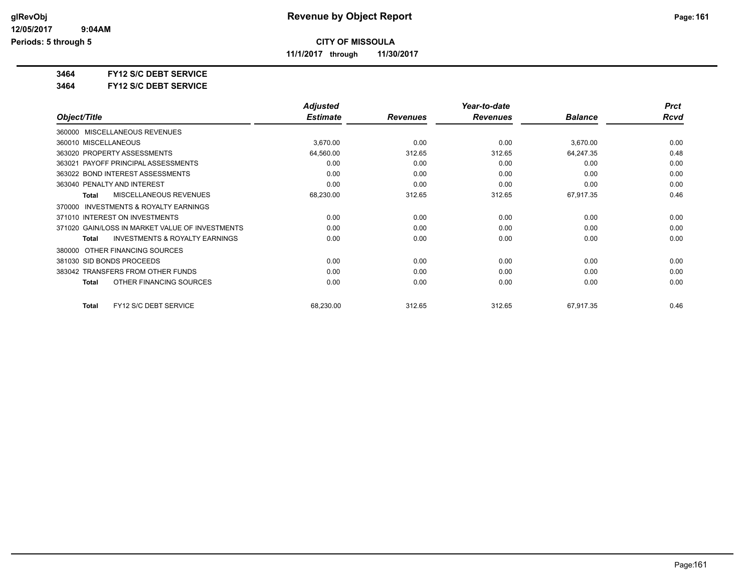**11/1/2017 through 11/30/2017**

**3464 FY12 S/C DEBT SERVICE**

**3464 FY12 S/C DEBT SERVICE**

|                                                     | <b>Adjusted</b> |                 | Year-to-date    |                | <b>Prct</b> |
|-----------------------------------------------------|-----------------|-----------------|-----------------|----------------|-------------|
| Object/Title                                        | <b>Estimate</b> | <b>Revenues</b> | <b>Revenues</b> | <b>Balance</b> | <b>Rcvd</b> |
| 360000 MISCELLANEOUS REVENUES                       |                 |                 |                 |                |             |
| 360010 MISCELLANEOUS                                | 3,670.00        | 0.00            | 0.00            | 3,670.00       | 0.00        |
| 363020 PROPERTY ASSESSMENTS                         | 64,560.00       | 312.65          | 312.65          | 64,247.35      | 0.48        |
| 363021 PAYOFF PRINCIPAL ASSESSMENTS                 | 0.00            | 0.00            | 0.00            | 0.00           | 0.00        |
| 363022 BOND INTEREST ASSESSMENTS                    | 0.00            | 0.00            | 0.00            | 0.00           | 0.00        |
| 363040 PENALTY AND INTEREST                         | 0.00            | 0.00            | 0.00            | 0.00           | 0.00        |
| <b>MISCELLANEOUS REVENUES</b><br><b>Total</b>       | 68,230.00       | 312.65          | 312.65          | 67,917.35      | 0.46        |
| <b>INVESTMENTS &amp; ROYALTY EARNINGS</b><br>370000 |                 |                 |                 |                |             |
| 371010 INTEREST ON INVESTMENTS                      | 0.00            | 0.00            | 0.00            | 0.00           | 0.00        |
| 371020 GAIN/LOSS IN MARKET VALUE OF INVESTMENTS     | 0.00            | 0.00            | 0.00            | 0.00           | 0.00        |
| <b>INVESTMENTS &amp; ROYALTY EARNINGS</b><br>Total  | 0.00            | 0.00            | 0.00            | 0.00           | 0.00        |
| OTHER FINANCING SOURCES<br>380000                   |                 |                 |                 |                |             |
| 381030 SID BONDS PROCEEDS                           | 0.00            | 0.00            | 0.00            | 0.00           | 0.00        |
| 383042 TRANSFERS FROM OTHER FUNDS                   | 0.00            | 0.00            | 0.00            | 0.00           | 0.00        |
| OTHER FINANCING SOURCES<br><b>Total</b>             | 0.00            | 0.00            | 0.00            | 0.00           | 0.00        |
| FY12 S/C DEBT SERVICE<br><b>Total</b>               | 68,230.00       | 312.65          | 312.65          | 67,917.35      | 0.46        |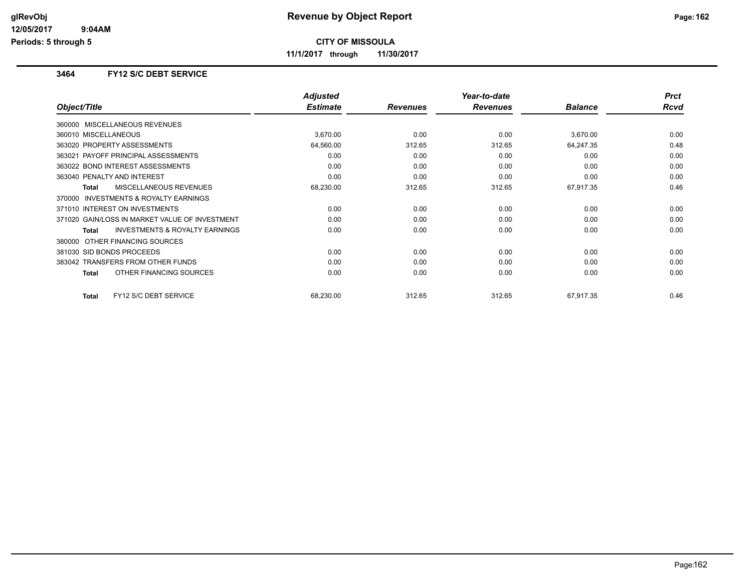**11/1/2017 through 11/30/2017**

## **3464 FY12 S/C DEBT SERVICE**

|                                                     | <b>Adjusted</b> |                 | Year-to-date    |                | <b>Prct</b> |
|-----------------------------------------------------|-----------------|-----------------|-----------------|----------------|-------------|
| Object/Title                                        | <b>Estimate</b> | <b>Revenues</b> | <b>Revenues</b> | <b>Balance</b> | Rcvd        |
| 360000 MISCELLANEOUS REVENUES                       |                 |                 |                 |                |             |
| 360010 MISCELLANEOUS                                | 3,670.00        | 0.00            | 0.00            | 3,670.00       | 0.00        |
| 363020 PROPERTY ASSESSMENTS                         | 64,560.00       | 312.65          | 312.65          | 64,247.35      | 0.48        |
| PAYOFF PRINCIPAL ASSESSMENTS<br>363021              | 0.00            | 0.00            | 0.00            | 0.00           | 0.00        |
| 363022 BOND INTEREST ASSESSMENTS                    | 0.00            | 0.00            | 0.00            | 0.00           | 0.00        |
| 363040 PENALTY AND INTEREST                         | 0.00            | 0.00            | 0.00            | 0.00           | 0.00        |
| MISCELLANEOUS REVENUES<br>Total                     | 68,230.00       | 312.65          | 312.65          | 67,917.35      | 0.46        |
| <b>INVESTMENTS &amp; ROYALTY EARNINGS</b><br>370000 |                 |                 |                 |                |             |
| 371010 INTEREST ON INVESTMENTS                      | 0.00            | 0.00            | 0.00            | 0.00           | 0.00        |
| 371020 GAIN/LOSS IN MARKET VALUE OF INVESTMENT      | 0.00            | 0.00            | 0.00            | 0.00           | 0.00        |
| <b>INVESTMENTS &amp; ROYALTY EARNINGS</b><br>Total  | 0.00            | 0.00            | 0.00            | 0.00           | 0.00        |
| 380000 OTHER FINANCING SOURCES                      |                 |                 |                 |                |             |
| 381030 SID BONDS PROCEEDS                           | 0.00            | 0.00            | 0.00            | 0.00           | 0.00        |
| 383042 TRANSFERS FROM OTHER FUNDS                   | 0.00            | 0.00            | 0.00            | 0.00           | 0.00        |
| OTHER FINANCING SOURCES<br><b>Total</b>             | 0.00            | 0.00            | 0.00            | 0.00           | 0.00        |
| FY12 S/C DEBT SERVICE<br><b>Total</b>               | 68,230.00       | 312.65          | 312.65          | 67,917.35      | 0.46        |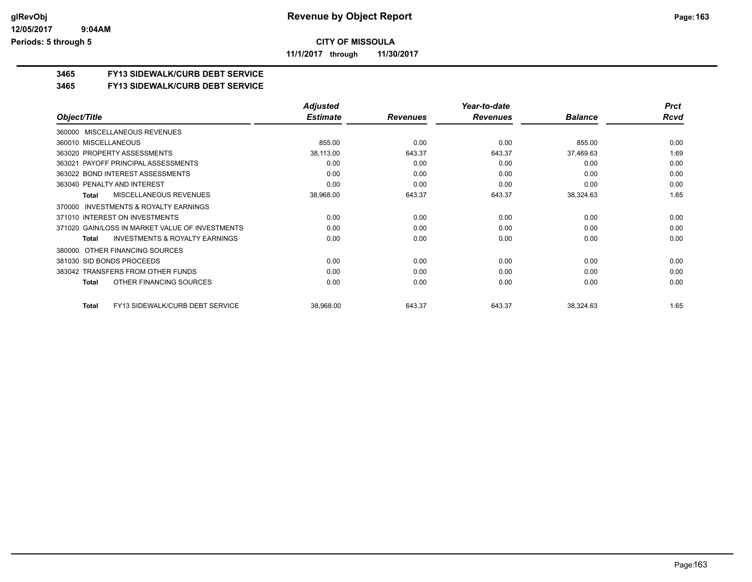**11/1/2017 through 11/30/2017**

# **3465 FY13 SIDEWALK/CURB DEBT SERVICE**

## **3465 FY13 SIDEWALK/CURB DEBT SERVICE**

|                                                     | <b>Adjusted</b> |                 | Year-to-date    |                | <b>Prct</b> |
|-----------------------------------------------------|-----------------|-----------------|-----------------|----------------|-------------|
| Object/Title                                        | <b>Estimate</b> | <b>Revenues</b> | <b>Revenues</b> | <b>Balance</b> | <b>Rcvd</b> |
| 360000 MISCELLANEOUS REVENUES                       |                 |                 |                 |                |             |
| 360010 MISCELLANEOUS                                | 855.00          | 0.00            | 0.00            | 855.00         | 0.00        |
| 363020 PROPERTY ASSESSMENTS                         | 38,113.00       | 643.37          | 643.37          | 37,469.63      | 1.69        |
| PAYOFF PRINCIPAL ASSESSMENTS<br>363021              | 0.00            | 0.00            | 0.00            | 0.00           | 0.00        |
| 363022 BOND INTEREST ASSESSMENTS                    | 0.00            | 0.00            | 0.00            | 0.00           | 0.00        |
| 363040 PENALTY AND INTEREST                         | 0.00            | 0.00            | 0.00            | 0.00           | 0.00        |
| <b>MISCELLANEOUS REVENUES</b><br>Total              | 38,968.00       | 643.37          | 643.37          | 38,324.63      | 1.65        |
| <b>INVESTMENTS &amp; ROYALTY EARNINGS</b><br>370000 |                 |                 |                 |                |             |
| 371010 INTEREST ON INVESTMENTS                      | 0.00            | 0.00            | 0.00            | 0.00           | 0.00        |
| 371020 GAIN/LOSS IN MARKET VALUE OF INVESTMENTS     | 0.00            | 0.00            | 0.00            | 0.00           | 0.00        |
| <b>INVESTMENTS &amp; ROYALTY EARNINGS</b><br>Total  | 0.00            | 0.00            | 0.00            | 0.00           | 0.00        |
| OTHER FINANCING SOURCES<br>380000                   |                 |                 |                 |                |             |
| 381030 SID BONDS PROCEEDS                           | 0.00            | 0.00            | 0.00            | 0.00           | 0.00        |
| 383042 TRANSFERS FROM OTHER FUNDS                   | 0.00            | 0.00            | 0.00            | 0.00           | 0.00        |
| OTHER FINANCING SOURCES<br>Total                    | 0.00            | 0.00            | 0.00            | 0.00           | 0.00        |
| FY13 SIDEWALK/CURB DEBT SERVICE<br>Total            | 38,968.00       | 643.37          | 643.37          | 38,324.63      | 1.65        |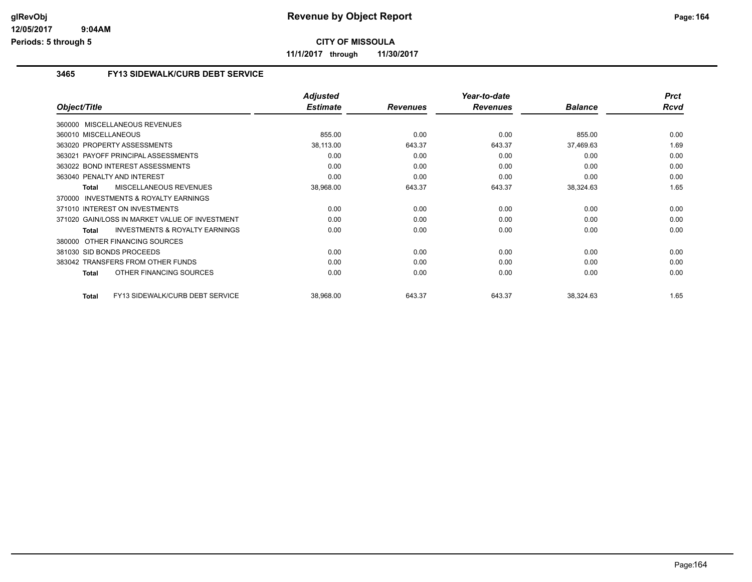**11/1/2017 through 11/30/2017**

# **3465 FY13 SIDEWALK/CURB DEBT SERVICE**

|                                                           | <b>Adjusted</b> |                 | Year-to-date    |                | <b>Prct</b> |
|-----------------------------------------------------------|-----------------|-----------------|-----------------|----------------|-------------|
| Object/Title                                              | <b>Estimate</b> | <b>Revenues</b> | <b>Revenues</b> | <b>Balance</b> | Rcvd        |
| 360000 MISCELLANEOUS REVENUES                             |                 |                 |                 |                |             |
| 360010 MISCELLANEOUS                                      | 855.00          | 0.00            | 0.00            | 855.00         | 0.00        |
| 363020 PROPERTY ASSESSMENTS                               | 38,113.00       | 643.37          | 643.37          | 37,469.63      | 1.69        |
| PAYOFF PRINCIPAL ASSESSMENTS<br>363021                    | 0.00            | 0.00            | 0.00            | 0.00           | 0.00        |
| 363022 BOND INTEREST ASSESSMENTS                          | 0.00            | 0.00            | 0.00            | 0.00           | 0.00        |
| 363040 PENALTY AND INTEREST                               | 0.00            | 0.00            | 0.00            | 0.00           | 0.00        |
| MISCELLANEOUS REVENUES<br><b>Total</b>                    | 38,968.00       | 643.37          | 643.37          | 38,324.63      | 1.65        |
| INVESTMENTS & ROYALTY EARNINGS<br>370000                  |                 |                 |                 |                |             |
| 371010 INTEREST ON INVESTMENTS                            | 0.00            | 0.00            | 0.00            | 0.00           | 0.00        |
| 371020 GAIN/LOSS IN MARKET VALUE OF INVESTMENT            | 0.00            | 0.00            | 0.00            | 0.00           | 0.00        |
| <b>INVESTMENTS &amp; ROYALTY EARNINGS</b><br><b>Total</b> | 0.00            | 0.00            | 0.00            | 0.00           | 0.00        |
| 380000 OTHER FINANCING SOURCES                            |                 |                 |                 |                |             |
| 381030 SID BONDS PROCEEDS                                 | 0.00            | 0.00            | 0.00            | 0.00           | 0.00        |
| 383042 TRANSFERS FROM OTHER FUNDS                         | 0.00            | 0.00            | 0.00            | 0.00           | 0.00        |
| OTHER FINANCING SOURCES<br>Total                          | 0.00            | 0.00            | 0.00            | 0.00           | 0.00        |
| FY13 SIDEWALK/CURB DEBT SERVICE<br><b>Total</b>           | 38,968.00       | 643.37          | 643.37          | 38,324.63      | 1.65        |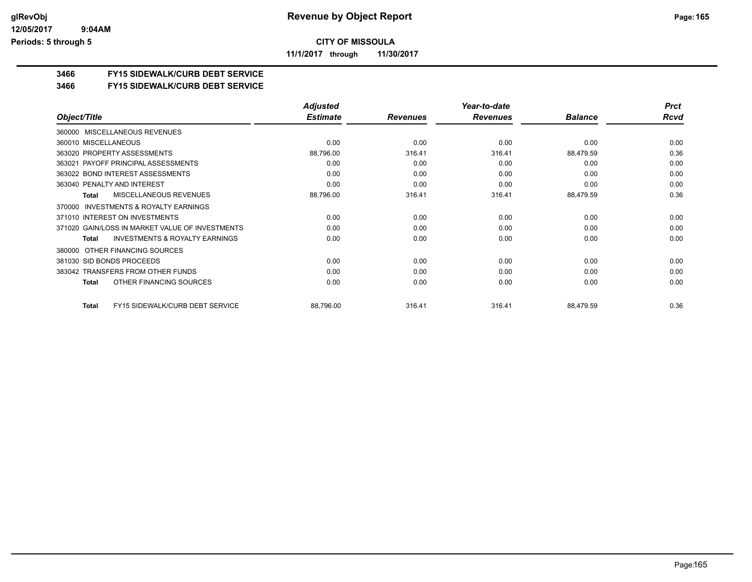**11/1/2017 through 11/30/2017**

# **3466 FY15 SIDEWALK/CURB DEBT SERVICE**

## **3466 FY15 SIDEWALK/CURB DEBT SERVICE**

|                                                           | <b>Adjusted</b> |                 | Year-to-date    |                | <b>Prct</b> |
|-----------------------------------------------------------|-----------------|-----------------|-----------------|----------------|-------------|
| Object/Title                                              | <b>Estimate</b> | <b>Revenues</b> | <b>Revenues</b> | <b>Balance</b> | <b>Rcvd</b> |
| MISCELLANEOUS REVENUES<br>360000                          |                 |                 |                 |                |             |
| 360010 MISCELLANEOUS                                      | 0.00            | 0.00            | 0.00            | 0.00           | 0.00        |
| 363020 PROPERTY ASSESSMENTS                               | 88,796.00       | 316.41          | 316.41          | 88,479.59      | 0.36        |
| 363021 PAYOFF PRINCIPAL ASSESSMENTS                       | 0.00            | 0.00            | 0.00            | 0.00           | 0.00        |
| 363022 BOND INTEREST ASSESSMENTS                          | 0.00            | 0.00            | 0.00            | 0.00           | 0.00        |
| 363040 PENALTY AND INTEREST                               | 0.00            | 0.00            | 0.00            | 0.00           | 0.00        |
| <b>MISCELLANEOUS REVENUES</b><br>Total                    | 88,796.00       | 316.41          | 316.41          | 88,479.59      | 0.36        |
| <b>INVESTMENTS &amp; ROYALTY EARNINGS</b><br>370000       |                 |                 |                 |                |             |
| 371010 INTEREST ON INVESTMENTS                            | 0.00            | 0.00            | 0.00            | 0.00           | 0.00        |
| 371020 GAIN/LOSS IN MARKET VALUE OF INVESTMENTS           | 0.00            | 0.00            | 0.00            | 0.00           | 0.00        |
| <b>INVESTMENTS &amp; ROYALTY EARNINGS</b><br><b>Total</b> | 0.00            | 0.00            | 0.00            | 0.00           | 0.00        |
| OTHER FINANCING SOURCES<br>380000                         |                 |                 |                 |                |             |
| 381030 SID BONDS PROCEEDS                                 | 0.00            | 0.00            | 0.00            | 0.00           | 0.00        |
| 383042 TRANSFERS FROM OTHER FUNDS                         | 0.00            | 0.00            | 0.00            | 0.00           | 0.00        |
| OTHER FINANCING SOURCES<br>Total                          | 0.00            | 0.00            | 0.00            | 0.00           | 0.00        |
| <b>FY15 SIDEWALK/CURB DEBT SERVICE</b><br>Total           | 88,796.00       | 316.41          | 316.41          | 88,479.59      | 0.36        |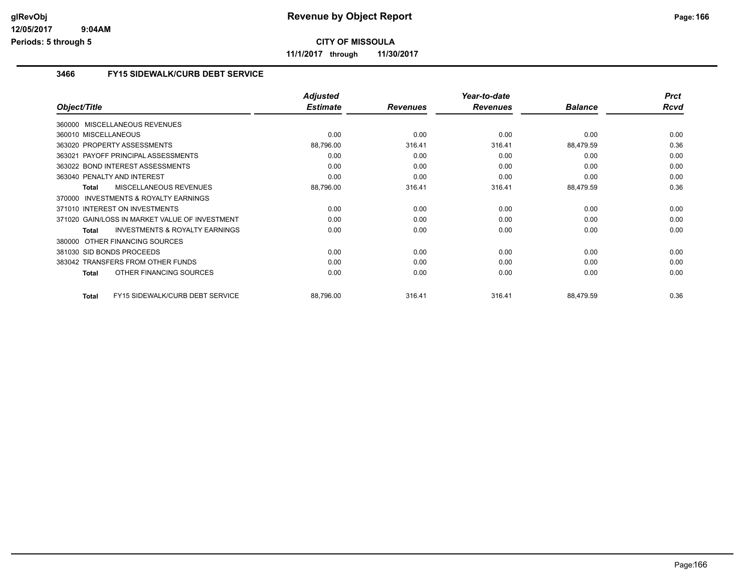**11/1/2017 through 11/30/2017**

# **3466 FY15 SIDEWALK/CURB DEBT SERVICE**

|                                                           | <b>Adjusted</b> |                 | Year-to-date    |                | <b>Prct</b> |
|-----------------------------------------------------------|-----------------|-----------------|-----------------|----------------|-------------|
| Object/Title                                              | <b>Estimate</b> | <b>Revenues</b> | <b>Revenues</b> | <b>Balance</b> | Rcvd        |
| 360000 MISCELLANEOUS REVENUES                             |                 |                 |                 |                |             |
| 360010 MISCELLANEOUS                                      | 0.00            | 0.00            | 0.00            | 0.00           | 0.00        |
| 363020 PROPERTY ASSESSMENTS                               | 88,796.00       | 316.41          | 316.41          | 88,479.59      | 0.36        |
| PAYOFF PRINCIPAL ASSESSMENTS<br>363021                    | 0.00            | 0.00            | 0.00            | 0.00           | 0.00        |
| 363022 BOND INTEREST ASSESSMENTS                          | 0.00            | 0.00            | 0.00            | 0.00           | 0.00        |
| 363040 PENALTY AND INTEREST                               | 0.00            | 0.00            | 0.00            | 0.00           | 0.00        |
| MISCELLANEOUS REVENUES<br><b>Total</b>                    | 88,796.00       | 316.41          | 316.41          | 88,479.59      | 0.36        |
| INVESTMENTS & ROYALTY EARNINGS<br>370000                  |                 |                 |                 |                |             |
| 371010 INTEREST ON INVESTMENTS                            | 0.00            | 0.00            | 0.00            | 0.00           | 0.00        |
| 371020 GAIN/LOSS IN MARKET VALUE OF INVESTMENT            | 0.00            | 0.00            | 0.00            | 0.00           | 0.00        |
| <b>INVESTMENTS &amp; ROYALTY EARNINGS</b><br><b>Total</b> | 0.00            | 0.00            | 0.00            | 0.00           | 0.00        |
| 380000 OTHER FINANCING SOURCES                            |                 |                 |                 |                |             |
| 381030 SID BONDS PROCEEDS                                 | 0.00            | 0.00            | 0.00            | 0.00           | 0.00        |
| 383042 TRANSFERS FROM OTHER FUNDS                         | 0.00            | 0.00            | 0.00            | 0.00           | 0.00        |
| OTHER FINANCING SOURCES<br>Total                          | 0.00            | 0.00            | 0.00            | 0.00           | 0.00        |
| FY15 SIDEWALK/CURB DEBT SERVICE<br><b>Total</b>           | 88,796.00       | 316.41          | 316.41          | 88,479.59      | 0.36        |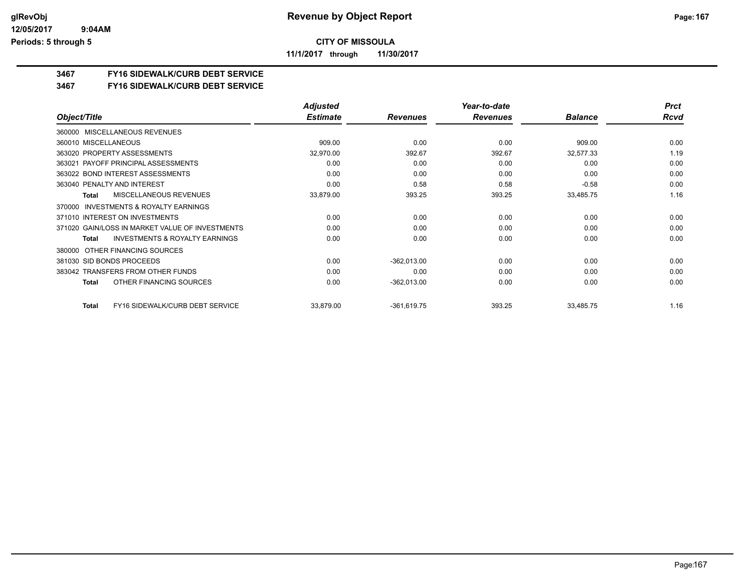**11/1/2017 through 11/30/2017**

# **3467 FY16 SIDEWALK/CURB DEBT SERVICE**

## **3467 FY16 SIDEWALK/CURB DEBT SERVICE**

|                                                    | <b>Adjusted</b> |                 | Year-to-date    |                | <b>Prct</b> |
|----------------------------------------------------|-----------------|-----------------|-----------------|----------------|-------------|
| Object/Title                                       | <b>Estimate</b> | <b>Revenues</b> | <b>Revenues</b> | <b>Balance</b> | <b>Rcvd</b> |
| 360000 MISCELLANEOUS REVENUES                      |                 |                 |                 |                |             |
| 360010 MISCELLANEOUS                               | 909.00          | 0.00            | 0.00            | 909.00         | 0.00        |
| 363020 PROPERTY ASSESSMENTS                        | 32,970.00       | 392.67          | 392.67          | 32,577.33      | 1.19        |
| 363021 PAYOFF PRINCIPAL ASSESSMENTS                | 0.00            | 0.00            | 0.00            | 0.00           | 0.00        |
| 363022 BOND INTEREST ASSESSMENTS                   | 0.00            | 0.00            | 0.00            | 0.00           | 0.00        |
| 363040 PENALTY AND INTEREST                        | 0.00            | 0.58            | 0.58            | $-0.58$        | 0.00        |
| MISCELLANEOUS REVENUES<br>Total                    | 33,879.00       | 393.25          | 393.25          | 33,485.75      | 1.16        |
| INVESTMENTS & ROYALTY EARNINGS<br>370000           |                 |                 |                 |                |             |
| 371010 INTEREST ON INVESTMENTS                     | 0.00            | 0.00            | 0.00            | 0.00           | 0.00        |
| 371020 GAIN/LOSS IN MARKET VALUE OF INVESTMENTS    | 0.00            | 0.00            | 0.00            | 0.00           | 0.00        |
| <b>INVESTMENTS &amp; ROYALTY EARNINGS</b><br>Total | 0.00            | 0.00            | 0.00            | 0.00           | 0.00        |
| OTHER FINANCING SOURCES<br>380000                  |                 |                 |                 |                |             |
| 381030 SID BONDS PROCEEDS                          | 0.00            | $-362,013.00$   | 0.00            | 0.00           | 0.00        |
| 383042 TRANSFERS FROM OTHER FUNDS                  | 0.00            | 0.00            | 0.00            | 0.00           | 0.00        |
| OTHER FINANCING SOURCES<br><b>Total</b>            | 0.00            | $-362,013.00$   | 0.00            | 0.00           | 0.00        |
| FY16 SIDEWALK/CURB DEBT SERVICE<br><b>Total</b>    | 33,879.00       | $-361,619.75$   | 393.25          | 33,485.75      | 1.16        |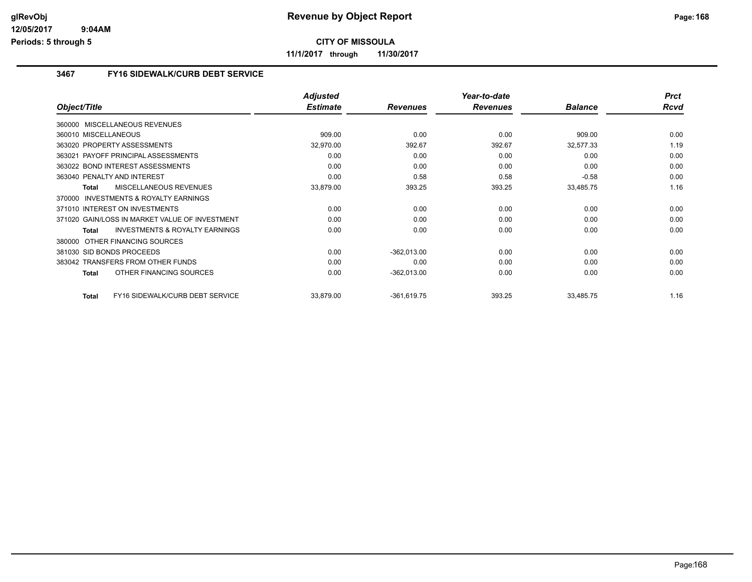**11/1/2017 through 11/30/2017**

# **3467 FY16 SIDEWALK/CURB DEBT SERVICE**

|                                                           | <b>Adjusted</b> |                 | Year-to-date    |                | <b>Prct</b> |
|-----------------------------------------------------------|-----------------|-----------------|-----------------|----------------|-------------|
| Object/Title                                              | <b>Estimate</b> | <b>Revenues</b> | <b>Revenues</b> | <b>Balance</b> | Rcvd        |
| MISCELLANEOUS REVENUES<br>360000                          |                 |                 |                 |                |             |
| 360010 MISCELLANEOUS                                      | 909.00          | 0.00            | 0.00            | 909.00         | 0.00        |
| 363020 PROPERTY ASSESSMENTS                               | 32,970.00       | 392.67          | 392.67          | 32,577.33      | 1.19        |
| 363021 PAYOFF PRINCIPAL ASSESSMENTS                       | 0.00            | 0.00            | 0.00            | 0.00           | 0.00        |
| 363022 BOND INTEREST ASSESSMENTS                          | 0.00            | 0.00            | 0.00            | 0.00           | 0.00        |
| 363040 PENALTY AND INTEREST                               | 0.00            | 0.58            | 0.58            | $-0.58$        | 0.00        |
| MISCELLANEOUS REVENUES<br><b>Total</b>                    | 33,879.00       | 393.25          | 393.25          | 33,485.75      | 1.16        |
| INVESTMENTS & ROYALTY EARNINGS<br>370000                  |                 |                 |                 |                |             |
| 371010 INTEREST ON INVESTMENTS                            | 0.00            | 0.00            | 0.00            | 0.00           | 0.00        |
| 371020 GAIN/LOSS IN MARKET VALUE OF INVESTMENT            | 0.00            | 0.00            | 0.00            | 0.00           | 0.00        |
| <b>INVESTMENTS &amp; ROYALTY EARNINGS</b><br><b>Total</b> | 0.00            | 0.00            | 0.00            | 0.00           | 0.00        |
| OTHER FINANCING SOURCES<br>380000                         |                 |                 |                 |                |             |
| 381030 SID BONDS PROCEEDS                                 | 0.00            | $-362,013.00$   | 0.00            | 0.00           | 0.00        |
| 383042 TRANSFERS FROM OTHER FUNDS                         | 0.00            | 0.00            | 0.00            | 0.00           | 0.00        |
| OTHER FINANCING SOURCES<br><b>Total</b>                   | 0.00            | $-362,013.00$   | 0.00            | 0.00           | 0.00        |
| FY16 SIDEWALK/CURB DEBT SERVICE<br>Total                  | 33,879.00       | $-361,619.75$   | 393.25          | 33,485.75      | 1.16        |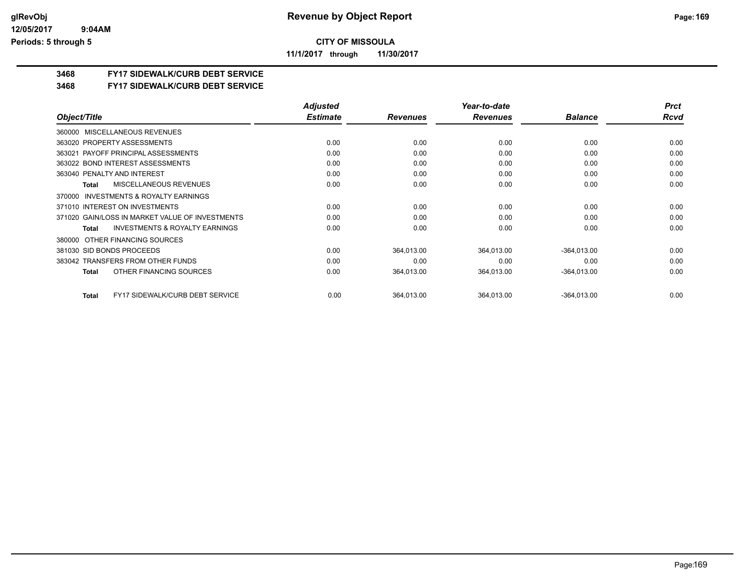**11/1/2017 through 11/30/2017**

# **3468 FY17 SIDEWALK/CURB DEBT SERVICE**

## **3468 FY17 SIDEWALK/CURB DEBT SERVICE**

|                                                           | <b>Adjusted</b> |                 | Year-to-date    |                | <b>Prct</b> |
|-----------------------------------------------------------|-----------------|-----------------|-----------------|----------------|-------------|
| Object/Title                                              | <b>Estimate</b> | <b>Revenues</b> | <b>Revenues</b> | <b>Balance</b> | Rcvd        |
| <b>MISCELLANEOUS REVENUES</b><br>360000                   |                 |                 |                 |                |             |
| 363020 PROPERTY ASSESSMENTS                               | 0.00            | 0.00            | 0.00            | 0.00           | 0.00        |
| 363021 PAYOFF PRINCIPAL ASSESSMENTS                       | 0.00            | 0.00            | 0.00            | 0.00           | 0.00        |
| 363022 BOND INTEREST ASSESSMENTS                          | 0.00            | 0.00            | 0.00            | 0.00           | 0.00        |
| 363040 PENALTY AND INTEREST                               | 0.00            | 0.00            | 0.00            | 0.00           | 0.00        |
| MISCELLANEOUS REVENUES<br><b>Total</b>                    | 0.00            | 0.00            | 0.00            | 0.00           | 0.00        |
| INVESTMENTS & ROYALTY EARNINGS<br>370000                  |                 |                 |                 |                |             |
| 371010 INTEREST ON INVESTMENTS                            | 0.00            | 0.00            | 0.00            | 0.00           | 0.00        |
| 371020 GAIN/LOSS IN MARKET VALUE OF INVESTMENTS           | 0.00            | 0.00            | 0.00            | 0.00           | 0.00        |
| <b>INVESTMENTS &amp; ROYALTY EARNINGS</b><br><b>Total</b> | 0.00            | 0.00            | 0.00            | 0.00           | 0.00        |
| OTHER FINANCING SOURCES<br>380000                         |                 |                 |                 |                |             |
| 381030 SID BONDS PROCEEDS                                 | 0.00            | 364,013.00      | 364.013.00      | $-364,013.00$  | 0.00        |
| 383042 TRANSFERS FROM OTHER FUNDS                         | 0.00            | 0.00            | 0.00            | 0.00           | 0.00        |
| OTHER FINANCING SOURCES<br><b>Total</b>                   | 0.00            | 364,013.00      | 364,013.00      | $-364,013.00$  | 0.00        |
| <b>FY17 SIDEWALK/CURB DEBT SERVICE</b><br><b>Total</b>    | 0.00            | 364,013.00      | 364,013.00      | $-364,013.00$  | 0.00        |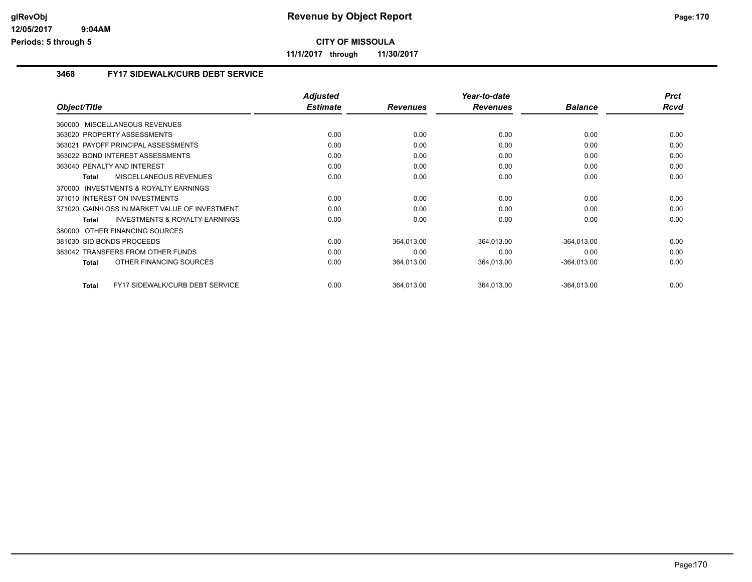**11/1/2017 through 11/30/2017**

# **3468 FY17 SIDEWALK/CURB DEBT SERVICE**

|                                                    | <b>Adjusted</b> |                 | Year-to-date    |                | <b>Prct</b> |
|----------------------------------------------------|-----------------|-----------------|-----------------|----------------|-------------|
| Object/Title                                       | <b>Estimate</b> | <b>Revenues</b> | <b>Revenues</b> | <b>Balance</b> | Rcvd        |
| 360000 MISCELLANEOUS REVENUES                      |                 |                 |                 |                |             |
| 363020 PROPERTY ASSESSMENTS                        | 0.00            | 0.00            | 0.00            | 0.00           | 0.00        |
| 363021 PAYOFF PRINCIPAL ASSESSMENTS                | 0.00            | 0.00            | 0.00            | 0.00           | 0.00        |
| 363022 BOND INTEREST ASSESSMENTS                   | 0.00            | 0.00            | 0.00            | 0.00           | 0.00        |
| 363040 PENALTY AND INTEREST                        | 0.00            | 0.00            | 0.00            | 0.00           | 0.00        |
| <b>MISCELLANEOUS REVENUES</b><br><b>Total</b>      | 0.00            | 0.00            | 0.00            | 0.00           | 0.00        |
| 370000 INVESTMENTS & ROYALTY EARNINGS              |                 |                 |                 |                |             |
| 371010 INTEREST ON INVESTMENTS                     | 0.00            | 0.00            | 0.00            | 0.00           | 0.00        |
| 371020 GAIN/LOSS IN MARKET VALUE OF INVESTMENT     | 0.00            | 0.00            | 0.00            | 0.00           | 0.00        |
| <b>INVESTMENTS &amp; ROYALTY EARNINGS</b><br>Total | 0.00            | 0.00            | 0.00            | 0.00           | 0.00        |
| OTHER FINANCING SOURCES<br>380000                  |                 |                 |                 |                |             |
| 381030 SID BONDS PROCEEDS                          | 0.00            | 364,013.00      | 364,013.00      | $-364,013.00$  | 0.00        |
| 383042 TRANSFERS FROM OTHER FUNDS                  | 0.00            | 0.00            | 0.00            | 0.00           | 0.00        |
| OTHER FINANCING SOURCES<br><b>Total</b>            | 0.00            | 364,013.00      | 364,013.00      | $-364,013.00$  | 0.00        |
| FY17 SIDEWALK/CURB DEBT SERVICE<br><b>Total</b>    | 0.00            | 364.013.00      | 364.013.00      | $-364,013.00$  | 0.00        |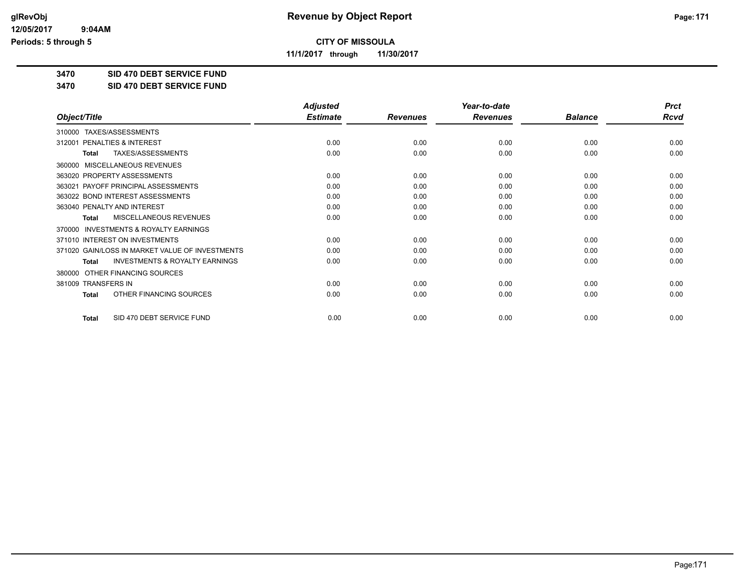**11/1/2017 through 11/30/2017**

**3470 SID 470 DEBT SERVICE FUND**

**3470 SID 470 DEBT SERVICE FUND**

|                                                           | <b>Adjusted</b> |                 | Year-to-date    |                | <b>Prct</b> |
|-----------------------------------------------------------|-----------------|-----------------|-----------------|----------------|-------------|
| Object/Title                                              | <b>Estimate</b> | <b>Revenues</b> | <b>Revenues</b> | <b>Balance</b> | <b>Rcvd</b> |
| TAXES/ASSESSMENTS<br>310000                               |                 |                 |                 |                |             |
| PENALTIES & INTEREST<br>312001                            | 0.00            | 0.00            | 0.00            | 0.00           | 0.00        |
| TAXES/ASSESSMENTS<br><b>Total</b>                         | 0.00            | 0.00            | 0.00            | 0.00           | 0.00        |
| MISCELLANEOUS REVENUES<br>360000                          |                 |                 |                 |                |             |
| 363020 PROPERTY ASSESSMENTS                               | 0.00            | 0.00            | 0.00            | 0.00           | 0.00        |
| 363021 PAYOFF PRINCIPAL ASSESSMENTS                       | 0.00            | 0.00            | 0.00            | 0.00           | 0.00        |
| 363022 BOND INTEREST ASSESSMENTS                          | 0.00            | 0.00            | 0.00            | 0.00           | 0.00        |
| 363040 PENALTY AND INTEREST                               | 0.00            | 0.00            | 0.00            | 0.00           | 0.00        |
| MISCELLANEOUS REVENUES<br><b>Total</b>                    | 0.00            | 0.00            | 0.00            | 0.00           | 0.00        |
| <b>INVESTMENTS &amp; ROYALTY EARNINGS</b><br>370000       |                 |                 |                 |                |             |
| 371010 INTEREST ON INVESTMENTS                            | 0.00            | 0.00            | 0.00            | 0.00           | 0.00        |
| 371020 GAIN/LOSS IN MARKET VALUE OF INVESTMENTS           | 0.00            | 0.00            | 0.00            | 0.00           | 0.00        |
| <b>INVESTMENTS &amp; ROYALTY EARNINGS</b><br><b>Total</b> | 0.00            | 0.00            | 0.00            | 0.00           | 0.00        |
| OTHER FINANCING SOURCES<br>380000                         |                 |                 |                 |                |             |
| 381009 TRANSFERS IN                                       | 0.00            | 0.00            | 0.00            | 0.00           | 0.00        |
| OTHER FINANCING SOURCES<br><b>Total</b>                   | 0.00            | 0.00            | 0.00            | 0.00           | 0.00        |
| SID 470 DEBT SERVICE FUND<br><b>Total</b>                 | 0.00            | 0.00            | 0.00            | 0.00           | 0.00        |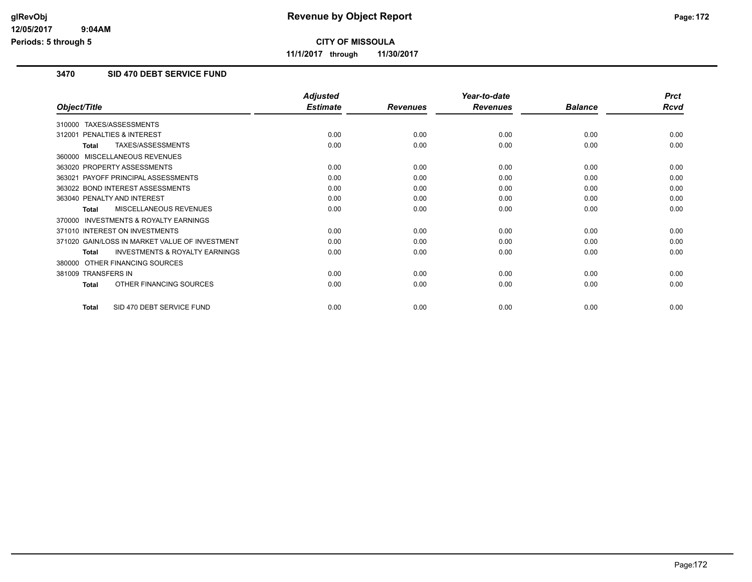**11/1/2017 through 11/30/2017**

# **3470 SID 470 DEBT SERVICE FUND**

|                                                           | <b>Adjusted</b> |                 | Year-to-date    |                | <b>Prct</b> |
|-----------------------------------------------------------|-----------------|-----------------|-----------------|----------------|-------------|
| Object/Title                                              | <b>Estimate</b> | <b>Revenues</b> | <b>Revenues</b> | <b>Balance</b> | <b>Rcvd</b> |
| TAXES/ASSESSMENTS<br>310000                               |                 |                 |                 |                |             |
| 312001 PENALTIES & INTEREST                               | 0.00            | 0.00            | 0.00            | 0.00           | 0.00        |
| TAXES/ASSESSMENTS<br><b>Total</b>                         | 0.00            | 0.00            | 0.00            | 0.00           | 0.00        |
| MISCELLANEOUS REVENUES<br>360000                          |                 |                 |                 |                |             |
| 363020 PROPERTY ASSESSMENTS                               | 0.00            | 0.00            | 0.00            | 0.00           | 0.00        |
| 363021 PAYOFF PRINCIPAL ASSESSMENTS                       | 0.00            | 0.00            | 0.00            | 0.00           | 0.00        |
| 363022 BOND INTEREST ASSESSMENTS                          | 0.00            | 0.00            | 0.00            | 0.00           | 0.00        |
| 363040 PENALTY AND INTEREST                               | 0.00            | 0.00            | 0.00            | 0.00           | 0.00        |
| <b>MISCELLANEOUS REVENUES</b><br><b>Total</b>             | 0.00            | 0.00            | 0.00            | 0.00           | 0.00        |
| <b>INVESTMENTS &amp; ROYALTY EARNINGS</b><br>370000       |                 |                 |                 |                |             |
| 371010 INTEREST ON INVESTMENTS                            | 0.00            | 0.00            | 0.00            | 0.00           | 0.00        |
| 371020 GAIN/LOSS IN MARKET VALUE OF INVESTMENT            | 0.00            | 0.00            | 0.00            | 0.00           | 0.00        |
| <b>INVESTMENTS &amp; ROYALTY EARNINGS</b><br><b>Total</b> | 0.00            | 0.00            | 0.00            | 0.00           | 0.00        |
| OTHER FINANCING SOURCES<br>380000                         |                 |                 |                 |                |             |
| 381009 TRANSFERS IN                                       | 0.00            | 0.00            | 0.00            | 0.00           | 0.00        |
| OTHER FINANCING SOURCES<br><b>Total</b>                   | 0.00            | 0.00            | 0.00            | 0.00           | 0.00        |
| SID 470 DEBT SERVICE FUND<br><b>Total</b>                 | 0.00            | 0.00            | 0.00            | 0.00           | 0.00        |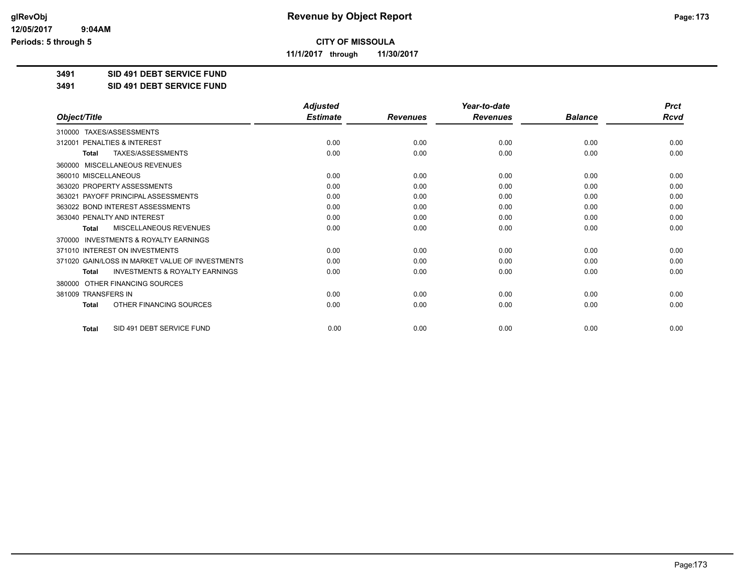**11/1/2017 through 11/30/2017**

**3491 SID 491 DEBT SERVICE FUND**

**3491 SID 491 DEBT SERVICE FUND**

|                                                           | <b>Adjusted</b> |                 | Year-to-date    |                | <b>Prct</b> |
|-----------------------------------------------------------|-----------------|-----------------|-----------------|----------------|-------------|
| Object/Title                                              | <b>Estimate</b> | <b>Revenues</b> | <b>Revenues</b> | <b>Balance</b> | <b>Rcvd</b> |
| TAXES/ASSESSMENTS<br>310000                               |                 |                 |                 |                |             |
| PENALTIES & INTEREST<br>312001                            | 0.00            | 0.00            | 0.00            | 0.00           | 0.00        |
| <b>TAXES/ASSESSMENTS</b><br>Total                         | 0.00            | 0.00            | 0.00            | 0.00           | 0.00        |
| MISCELLANEOUS REVENUES<br>360000                          |                 |                 |                 |                |             |
| 360010 MISCELLANEOUS                                      | 0.00            | 0.00            | 0.00            | 0.00           | 0.00        |
| 363020 PROPERTY ASSESSMENTS                               | 0.00            | 0.00            | 0.00            | 0.00           | 0.00        |
| 363021 PAYOFF PRINCIPAL ASSESSMENTS                       | 0.00            | 0.00            | 0.00            | 0.00           | 0.00        |
| 363022 BOND INTEREST ASSESSMENTS                          | 0.00            | 0.00            | 0.00            | 0.00           | 0.00        |
| 363040 PENALTY AND INTEREST                               | 0.00            | 0.00            | 0.00            | 0.00           | 0.00        |
| MISCELLANEOUS REVENUES<br>Total                           | 0.00            | 0.00            | 0.00            | 0.00           | 0.00        |
| <b>INVESTMENTS &amp; ROYALTY EARNINGS</b><br>370000       |                 |                 |                 |                |             |
| 371010 INTEREST ON INVESTMENTS                            | 0.00            | 0.00            | 0.00            | 0.00           | 0.00        |
| 371020 GAIN/LOSS IN MARKET VALUE OF INVESTMENTS           | 0.00            | 0.00            | 0.00            | 0.00           | 0.00        |
| <b>INVESTMENTS &amp; ROYALTY EARNINGS</b><br><b>Total</b> | 0.00            | 0.00            | 0.00            | 0.00           | 0.00        |
| OTHER FINANCING SOURCES<br>380000                         |                 |                 |                 |                |             |
| 381009 TRANSFERS IN                                       | 0.00            | 0.00            | 0.00            | 0.00           | 0.00        |
| OTHER FINANCING SOURCES<br><b>Total</b>                   | 0.00            | 0.00            | 0.00            | 0.00           | 0.00        |
| SID 491 DEBT SERVICE FUND<br><b>Total</b>                 | 0.00            | 0.00            | 0.00            | 0.00           | 0.00        |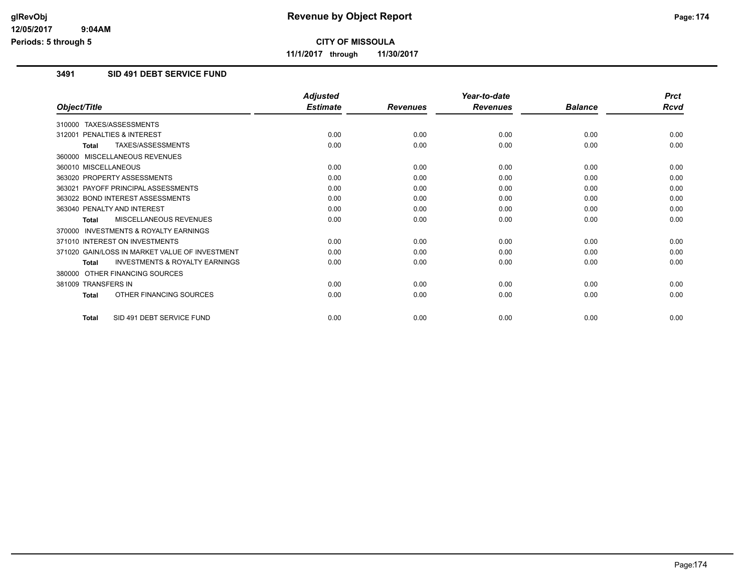**11/1/2017 through 11/30/2017**

# **3491 SID 491 DEBT SERVICE FUND**

|                                                           | <b>Adjusted</b> |                 | Year-to-date    |                | <b>Prct</b> |
|-----------------------------------------------------------|-----------------|-----------------|-----------------|----------------|-------------|
| Object/Title                                              | <b>Estimate</b> | <b>Revenues</b> | <b>Revenues</b> | <b>Balance</b> | <b>Rcvd</b> |
| 310000 TAXES/ASSESSMENTS                                  |                 |                 |                 |                |             |
| PENALTIES & INTEREST<br>312001                            | 0.00            | 0.00            | 0.00            | 0.00           | 0.00        |
| TAXES/ASSESSMENTS<br><b>Total</b>                         | 0.00            | 0.00            | 0.00            | 0.00           | 0.00        |
| 360000 MISCELLANEOUS REVENUES                             |                 |                 |                 |                |             |
| 360010 MISCELLANEOUS                                      | 0.00            | 0.00            | 0.00            | 0.00           | 0.00        |
| 363020 PROPERTY ASSESSMENTS                               | 0.00            | 0.00            | 0.00            | 0.00           | 0.00        |
| 363021 PAYOFF PRINCIPAL ASSESSMENTS                       | 0.00            | 0.00            | 0.00            | 0.00           | 0.00        |
| 363022 BOND INTEREST ASSESSMENTS                          | 0.00            | 0.00            | 0.00            | 0.00           | 0.00        |
| 363040 PENALTY AND INTEREST                               | 0.00            | 0.00            | 0.00            | 0.00           | 0.00        |
| MISCELLANEOUS REVENUES<br><b>Total</b>                    | 0.00            | 0.00            | 0.00            | 0.00           | 0.00        |
| <b>INVESTMENTS &amp; ROYALTY EARNINGS</b><br>370000       |                 |                 |                 |                |             |
| 371010 INTEREST ON INVESTMENTS                            | 0.00            | 0.00            | 0.00            | 0.00           | 0.00        |
| 371020 GAIN/LOSS IN MARKET VALUE OF INVESTMENT            | 0.00            | 0.00            | 0.00            | 0.00           | 0.00        |
| <b>INVESTMENTS &amp; ROYALTY EARNINGS</b><br><b>Total</b> | 0.00            | 0.00            | 0.00            | 0.00           | 0.00        |
| 380000 OTHER FINANCING SOURCES                            |                 |                 |                 |                |             |
| 381009 TRANSFERS IN                                       | 0.00            | 0.00            | 0.00            | 0.00           | 0.00        |
| OTHER FINANCING SOURCES<br><b>Total</b>                   | 0.00            | 0.00            | 0.00            | 0.00           | 0.00        |
| SID 491 DEBT SERVICE FUND<br><b>Total</b>                 | 0.00            | 0.00            | 0.00            | 0.00           | 0.00        |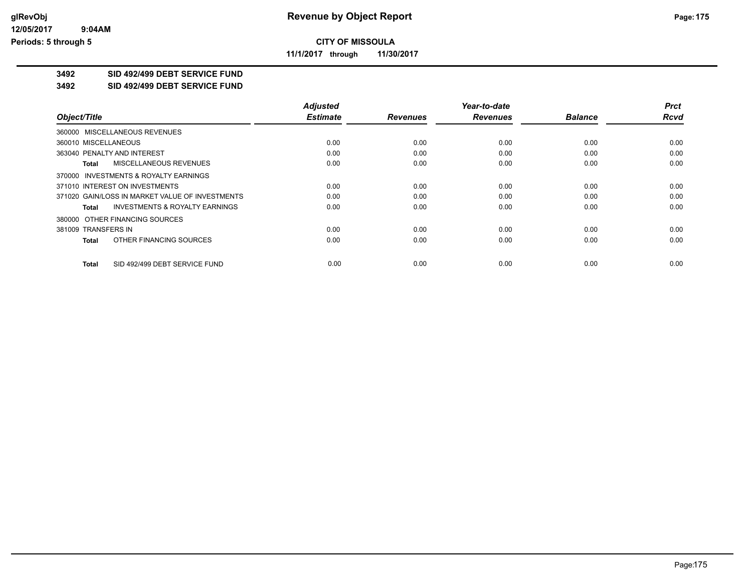**11/1/2017 through 11/30/2017**

**3492 SID 492/499 DEBT SERVICE FUND**

**3492 SID 492/499 DEBT SERVICE FUND**

|                                                    | <b>Adjusted</b> |                 | Year-to-date    |                | <b>Prct</b> |
|----------------------------------------------------|-----------------|-----------------|-----------------|----------------|-------------|
| Object/Title                                       | <b>Estimate</b> | <b>Revenues</b> | <b>Revenues</b> | <b>Balance</b> | <b>Rcvd</b> |
| 360000 MISCELLANEOUS REVENUES                      |                 |                 |                 |                |             |
| 360010 MISCELLANEOUS                               | 0.00            | 0.00            | 0.00            | 0.00           | 0.00        |
| 363040 PENALTY AND INTEREST                        | 0.00            | 0.00            | 0.00            | 0.00           | 0.00        |
| <b>MISCELLANEOUS REVENUES</b><br>Total             | 0.00            | 0.00            | 0.00            | 0.00           | 0.00        |
| 370000 INVESTMENTS & ROYALTY EARNINGS              |                 |                 |                 |                |             |
| 371010 INTEREST ON INVESTMENTS                     | 0.00            | 0.00            | 0.00            | 0.00           | 0.00        |
| 371020 GAIN/LOSS IN MARKET VALUE OF INVESTMENTS    | 0.00            | 0.00            | 0.00            | 0.00           | 0.00        |
| <b>INVESTMENTS &amp; ROYALTY EARNINGS</b><br>Total | 0.00            | 0.00            | 0.00            | 0.00           | 0.00        |
| 380000 OTHER FINANCING SOURCES                     |                 |                 |                 |                |             |
| 381009 TRANSFERS IN                                | 0.00            | 0.00            | 0.00            | 0.00           | 0.00        |
| OTHER FINANCING SOURCES<br>Total                   | 0.00            | 0.00            | 0.00            | 0.00           | 0.00        |
| SID 492/499 DEBT SERVICE FUND<br>Total             | 0.00            | 0.00            | 0.00            | 0.00           | 0.00        |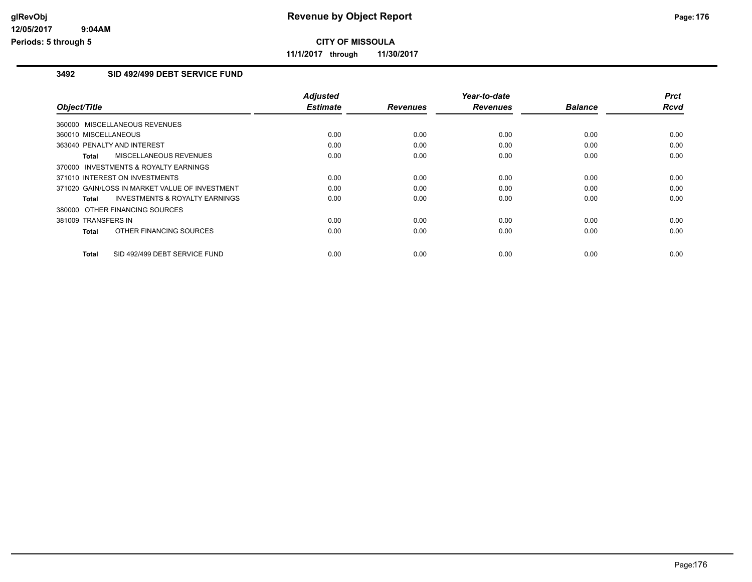**11/1/2017 through 11/30/2017**

# **3492 SID 492/499 DEBT SERVICE FUND**

| Object/Title                                   | <b>Adjusted</b><br><b>Estimate</b> | <b>Revenues</b> | Year-to-date<br><b>Revenues</b> | <b>Balance</b> | <b>Prct</b><br><b>Rcvd</b> |
|------------------------------------------------|------------------------------------|-----------------|---------------------------------|----------------|----------------------------|
| 360000 MISCELLANEOUS REVENUES                  |                                    |                 |                                 |                |                            |
| 360010 MISCELLANEOUS                           | 0.00                               | 0.00            | 0.00                            | 0.00           | 0.00                       |
| 363040 PENALTY AND INTEREST                    | 0.00                               | 0.00            | 0.00                            | 0.00           | 0.00                       |
| MISCELLANEOUS REVENUES<br>Total                | 0.00                               | 0.00            | 0.00                            | 0.00           | 0.00                       |
| 370000 INVESTMENTS & ROYALTY EARNINGS          |                                    |                 |                                 |                |                            |
| 371010 INTEREST ON INVESTMENTS                 | 0.00                               | 0.00            | 0.00                            | 0.00           | 0.00                       |
| 371020 GAIN/LOSS IN MARKET VALUE OF INVESTMENT | 0.00                               | 0.00            | 0.00                            | 0.00           | 0.00                       |
| INVESTMENTS & ROYALTY EARNINGS<br>Total        | 0.00                               | 0.00            | 0.00                            | 0.00           | 0.00                       |
| 380000 OTHER FINANCING SOURCES                 |                                    |                 |                                 |                |                            |
| 381009 TRANSFERS IN                            | 0.00                               | 0.00            | 0.00                            | 0.00           | 0.00                       |
| OTHER FINANCING SOURCES<br><b>Total</b>        | 0.00                               | 0.00            | 0.00                            | 0.00           | 0.00                       |
| SID 492/499 DEBT SERVICE FUND<br><b>Total</b>  | 0.00                               | 0.00            | 0.00                            | 0.00           | 0.00                       |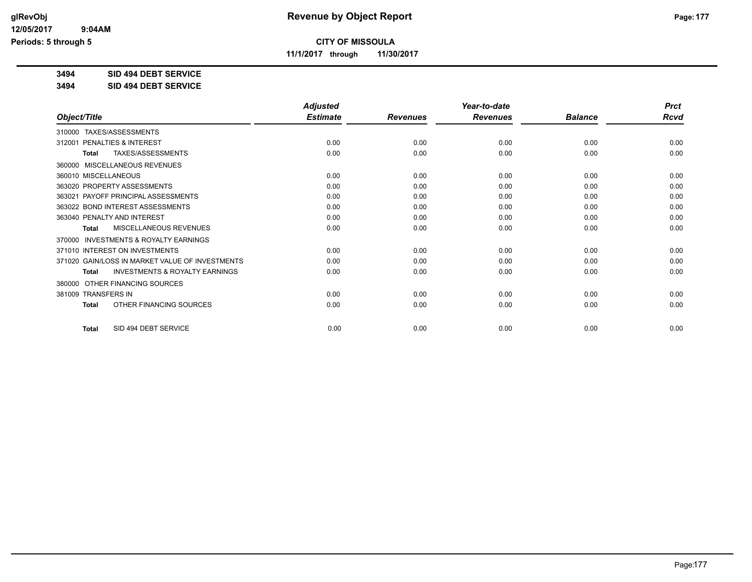**11/1/2017 through 11/30/2017**

**3494 SID 494 DEBT SERVICE**

**3494 SID 494 DEBT SERVICE**

|                                                           | <b>Adjusted</b> |                 | Year-to-date    |                | <b>Prct</b> |
|-----------------------------------------------------------|-----------------|-----------------|-----------------|----------------|-------------|
| Object/Title                                              | <b>Estimate</b> | <b>Revenues</b> | <b>Revenues</b> | <b>Balance</b> | <b>Rcvd</b> |
| 310000 TAXES/ASSESSMENTS                                  |                 |                 |                 |                |             |
| PENALTIES & INTEREST<br>312001                            | 0.00            | 0.00            | 0.00            | 0.00           | 0.00        |
| TAXES/ASSESSMENTS<br>Total                                | 0.00            | 0.00            | 0.00            | 0.00           | 0.00        |
| MISCELLANEOUS REVENUES<br>360000                          |                 |                 |                 |                |             |
| 360010 MISCELLANEOUS                                      | 0.00            | 0.00            | 0.00            | 0.00           | 0.00        |
| 363020 PROPERTY ASSESSMENTS                               | 0.00            | 0.00            | 0.00            | 0.00           | 0.00        |
| 363021 PAYOFF PRINCIPAL ASSESSMENTS                       | 0.00            | 0.00            | 0.00            | 0.00           | 0.00        |
| 363022 BOND INTEREST ASSESSMENTS                          | 0.00            | 0.00            | 0.00            | 0.00           | 0.00        |
| 363040 PENALTY AND INTEREST                               | 0.00            | 0.00            | 0.00            | 0.00           | 0.00        |
| MISCELLANEOUS REVENUES<br>Total                           | 0.00            | 0.00            | 0.00            | 0.00           | 0.00        |
| INVESTMENTS & ROYALTY EARNINGS<br>370000                  |                 |                 |                 |                |             |
| 371010 INTEREST ON INVESTMENTS                            | 0.00            | 0.00            | 0.00            | 0.00           | 0.00        |
| 371020 GAIN/LOSS IN MARKET VALUE OF INVESTMENTS           | 0.00            | 0.00            | 0.00            | 0.00           | 0.00        |
| <b>INVESTMENTS &amp; ROYALTY EARNINGS</b><br><b>Total</b> | 0.00            | 0.00            | 0.00            | 0.00           | 0.00        |
| OTHER FINANCING SOURCES<br>380000                         |                 |                 |                 |                |             |
| 381009 TRANSFERS IN                                       | 0.00            | 0.00            | 0.00            | 0.00           | 0.00        |
| OTHER FINANCING SOURCES<br>Total                          | 0.00            | 0.00            | 0.00            | 0.00           | 0.00        |
| SID 494 DEBT SERVICE<br><b>Total</b>                      | 0.00            | 0.00            | 0.00            | 0.00           | 0.00        |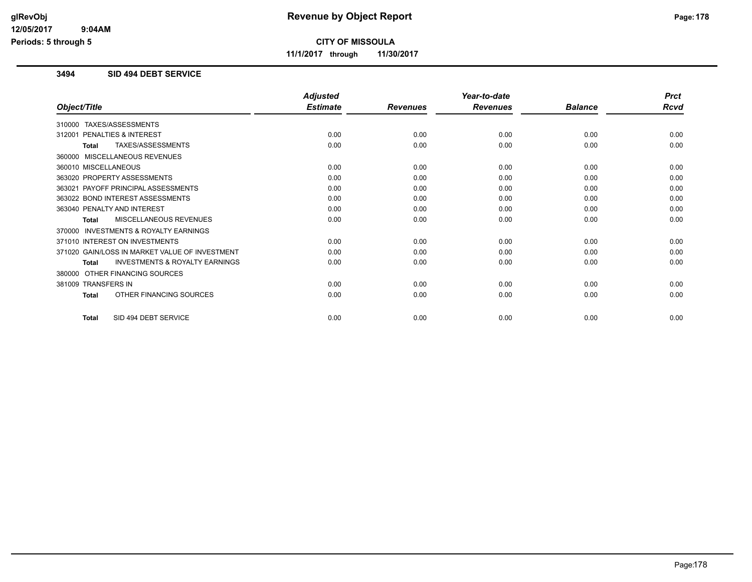**11/1/2017 through 11/30/2017**

## **3494 SID 494 DEBT SERVICE**

|                                                           | <b>Adjusted</b> |                 | Year-to-date    |                | <b>Prct</b> |
|-----------------------------------------------------------|-----------------|-----------------|-----------------|----------------|-------------|
| Object/Title                                              | <b>Estimate</b> | <b>Revenues</b> | <b>Revenues</b> | <b>Balance</b> | <b>Rcvd</b> |
| 310000 TAXES/ASSESSMENTS                                  |                 |                 |                 |                |             |
| 312001 PENALTIES & INTEREST                               | 0.00            | 0.00            | 0.00            | 0.00           | 0.00        |
| TAXES/ASSESSMENTS<br>Total                                | 0.00            | 0.00            | 0.00            | 0.00           | 0.00        |
| 360000 MISCELLANEOUS REVENUES                             |                 |                 |                 |                |             |
| 360010 MISCELLANEOUS                                      | 0.00            | 0.00            | 0.00            | 0.00           | 0.00        |
| 363020 PROPERTY ASSESSMENTS                               | 0.00            | 0.00            | 0.00            | 0.00           | 0.00        |
| 363021 PAYOFF PRINCIPAL ASSESSMENTS                       | 0.00            | 0.00            | 0.00            | 0.00           | 0.00        |
| 363022 BOND INTEREST ASSESSMENTS                          | 0.00            | 0.00            | 0.00            | 0.00           | 0.00        |
| 363040 PENALTY AND INTEREST                               | 0.00            | 0.00            | 0.00            | 0.00           | 0.00        |
| MISCELLANEOUS REVENUES<br><b>Total</b>                    | 0.00            | 0.00            | 0.00            | 0.00           | 0.00        |
| <b>INVESTMENTS &amp; ROYALTY EARNINGS</b><br>370000       |                 |                 |                 |                |             |
| 371010 INTEREST ON INVESTMENTS                            | 0.00            | 0.00            | 0.00            | 0.00           | 0.00        |
| 371020 GAIN/LOSS IN MARKET VALUE OF INVESTMENT            | 0.00            | 0.00            | 0.00            | 0.00           | 0.00        |
| <b>INVESTMENTS &amp; ROYALTY EARNINGS</b><br><b>Total</b> | 0.00            | 0.00            | 0.00            | 0.00           | 0.00        |
| 380000 OTHER FINANCING SOURCES                            |                 |                 |                 |                |             |
| 381009 TRANSFERS IN                                       | 0.00            | 0.00            | 0.00            | 0.00           | 0.00        |
| OTHER FINANCING SOURCES<br><b>Total</b>                   | 0.00            | 0.00            | 0.00            | 0.00           | 0.00        |
| SID 494 DEBT SERVICE<br><b>Total</b>                      | 0.00            | 0.00            | 0.00            | 0.00           | 0.00        |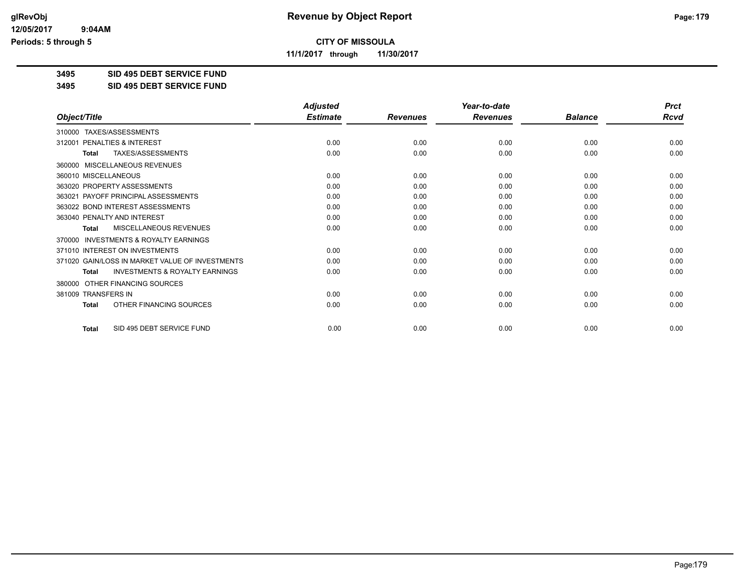**11/1/2017 through 11/30/2017**

**3495 SID 495 DEBT SERVICE FUND**

**3495 SID 495 DEBT SERVICE FUND**

|                                                           | <b>Adjusted</b> |                 | Year-to-date    |                | <b>Prct</b> |
|-----------------------------------------------------------|-----------------|-----------------|-----------------|----------------|-------------|
| Object/Title                                              | <b>Estimate</b> | <b>Revenues</b> | <b>Revenues</b> | <b>Balance</b> | <b>Rcvd</b> |
| TAXES/ASSESSMENTS<br>310000                               |                 |                 |                 |                |             |
| PENALTIES & INTEREST<br>312001                            | 0.00            | 0.00            | 0.00            | 0.00           | 0.00        |
| <b>TAXES/ASSESSMENTS</b><br>Total                         | 0.00            | 0.00            | 0.00            | 0.00           | 0.00        |
| MISCELLANEOUS REVENUES<br>360000                          |                 |                 |                 |                |             |
| 360010 MISCELLANEOUS                                      | 0.00            | 0.00            | 0.00            | 0.00           | 0.00        |
| 363020 PROPERTY ASSESSMENTS                               | 0.00            | 0.00            | 0.00            | 0.00           | 0.00        |
| 363021 PAYOFF PRINCIPAL ASSESSMENTS                       | 0.00            | 0.00            | 0.00            | 0.00           | 0.00        |
| 363022 BOND INTEREST ASSESSMENTS                          | 0.00            | 0.00            | 0.00            | 0.00           | 0.00        |
| 363040 PENALTY AND INTEREST                               | 0.00            | 0.00            | 0.00            | 0.00           | 0.00        |
| MISCELLANEOUS REVENUES<br>Total                           | 0.00            | 0.00            | 0.00            | 0.00           | 0.00        |
| <b>INVESTMENTS &amp; ROYALTY EARNINGS</b><br>370000       |                 |                 |                 |                |             |
| 371010 INTEREST ON INVESTMENTS                            | 0.00            | 0.00            | 0.00            | 0.00           | 0.00        |
| 371020 GAIN/LOSS IN MARKET VALUE OF INVESTMENTS           | 0.00            | 0.00            | 0.00            | 0.00           | 0.00        |
| <b>INVESTMENTS &amp; ROYALTY EARNINGS</b><br><b>Total</b> | 0.00            | 0.00            | 0.00            | 0.00           | 0.00        |
| OTHER FINANCING SOURCES<br>380000                         |                 |                 |                 |                |             |
| 381009 TRANSFERS IN                                       | 0.00            | 0.00            | 0.00            | 0.00           | 0.00        |
| OTHER FINANCING SOURCES<br><b>Total</b>                   | 0.00            | 0.00            | 0.00            | 0.00           | 0.00        |
| SID 495 DEBT SERVICE FUND<br><b>Total</b>                 | 0.00            | 0.00            | 0.00            | 0.00           | 0.00        |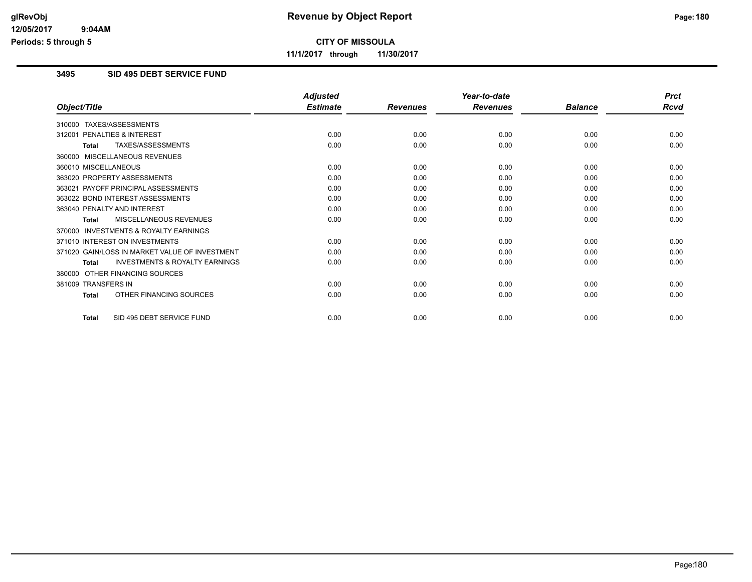**11/1/2017 through 11/30/2017**

# **3495 SID 495 DEBT SERVICE FUND**

|                                                           | <b>Adjusted</b> |                 | Year-to-date    |                | <b>Prct</b> |
|-----------------------------------------------------------|-----------------|-----------------|-----------------|----------------|-------------|
| Object/Title                                              | <b>Estimate</b> | <b>Revenues</b> | <b>Revenues</b> | <b>Balance</b> | <b>Rcvd</b> |
| 310000 TAXES/ASSESSMENTS                                  |                 |                 |                 |                |             |
| PENALTIES & INTEREST<br>312001                            | 0.00            | 0.00            | 0.00            | 0.00           | 0.00        |
| TAXES/ASSESSMENTS<br><b>Total</b>                         | 0.00            | 0.00            | 0.00            | 0.00           | 0.00        |
| 360000 MISCELLANEOUS REVENUES                             |                 |                 |                 |                |             |
| 360010 MISCELLANEOUS                                      | 0.00            | 0.00            | 0.00            | 0.00           | 0.00        |
| 363020 PROPERTY ASSESSMENTS                               | 0.00            | 0.00            | 0.00            | 0.00           | 0.00        |
| 363021 PAYOFF PRINCIPAL ASSESSMENTS                       | 0.00            | 0.00            | 0.00            | 0.00           | 0.00        |
| 363022 BOND INTEREST ASSESSMENTS                          | 0.00            | 0.00            | 0.00            | 0.00           | 0.00        |
| 363040 PENALTY AND INTEREST                               | 0.00            | 0.00            | 0.00            | 0.00           | 0.00        |
| MISCELLANEOUS REVENUES<br><b>Total</b>                    | 0.00            | 0.00            | 0.00            | 0.00           | 0.00        |
| <b>INVESTMENTS &amp; ROYALTY EARNINGS</b><br>370000       |                 |                 |                 |                |             |
| 371010 INTEREST ON INVESTMENTS                            | 0.00            | 0.00            | 0.00            | 0.00           | 0.00        |
| 371020 GAIN/LOSS IN MARKET VALUE OF INVESTMENT            | 0.00            | 0.00            | 0.00            | 0.00           | 0.00        |
| <b>INVESTMENTS &amp; ROYALTY EARNINGS</b><br><b>Total</b> | 0.00            | 0.00            | 0.00            | 0.00           | 0.00        |
| OTHER FINANCING SOURCES<br>380000                         |                 |                 |                 |                |             |
| 381009 TRANSFERS IN                                       | 0.00            | 0.00            | 0.00            | 0.00           | 0.00        |
| OTHER FINANCING SOURCES<br><b>Total</b>                   | 0.00            | 0.00            | 0.00            | 0.00           | 0.00        |
| SID 495 DEBT SERVICE FUND<br><b>Total</b>                 | 0.00            | 0.00            | 0.00            | 0.00           | 0.00        |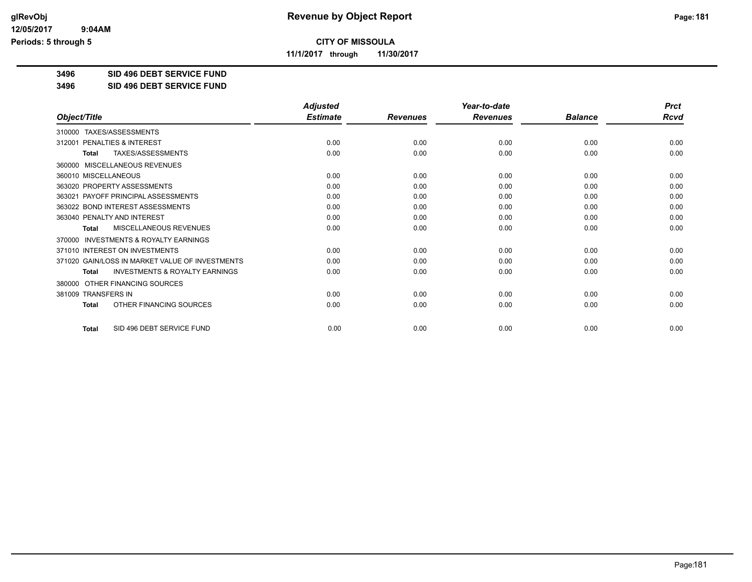**11/1/2017 through 11/30/2017**

**3496 SID 496 DEBT SERVICE FUND**

**3496 SID 496 DEBT SERVICE FUND**

|                                                           | <b>Adjusted</b> |                 | Year-to-date    |                | <b>Prct</b> |
|-----------------------------------------------------------|-----------------|-----------------|-----------------|----------------|-------------|
| Object/Title                                              | <b>Estimate</b> | <b>Revenues</b> | <b>Revenues</b> | <b>Balance</b> | <b>Rcvd</b> |
| TAXES/ASSESSMENTS<br>310000                               |                 |                 |                 |                |             |
| PENALTIES & INTEREST<br>312001                            | 0.00            | 0.00            | 0.00            | 0.00           | 0.00        |
| <b>TAXES/ASSESSMENTS</b><br>Total                         | 0.00            | 0.00            | 0.00            | 0.00           | 0.00        |
| MISCELLANEOUS REVENUES<br>360000                          |                 |                 |                 |                |             |
| 360010 MISCELLANEOUS                                      | 0.00            | 0.00            | 0.00            | 0.00           | 0.00        |
| 363020 PROPERTY ASSESSMENTS                               | 0.00            | 0.00            | 0.00            | 0.00           | 0.00        |
| 363021 PAYOFF PRINCIPAL ASSESSMENTS                       | 0.00            | 0.00            | 0.00            | 0.00           | 0.00        |
| 363022 BOND INTEREST ASSESSMENTS                          | 0.00            | 0.00            | 0.00            | 0.00           | 0.00        |
| 363040 PENALTY AND INTEREST                               | 0.00            | 0.00            | 0.00            | 0.00           | 0.00        |
| MISCELLANEOUS REVENUES<br>Total                           | 0.00            | 0.00            | 0.00            | 0.00           | 0.00        |
| <b>INVESTMENTS &amp; ROYALTY EARNINGS</b><br>370000       |                 |                 |                 |                |             |
| 371010 INTEREST ON INVESTMENTS                            | 0.00            | 0.00            | 0.00            | 0.00           | 0.00        |
| 371020 GAIN/LOSS IN MARKET VALUE OF INVESTMENTS           | 0.00            | 0.00            | 0.00            | 0.00           | 0.00        |
| <b>INVESTMENTS &amp; ROYALTY EARNINGS</b><br><b>Total</b> | 0.00            | 0.00            | 0.00            | 0.00           | 0.00        |
| OTHER FINANCING SOURCES<br>380000                         |                 |                 |                 |                |             |
| 381009 TRANSFERS IN                                       | 0.00            | 0.00            | 0.00            | 0.00           | 0.00        |
| OTHER FINANCING SOURCES<br><b>Total</b>                   | 0.00            | 0.00            | 0.00            | 0.00           | 0.00        |
| SID 496 DEBT SERVICE FUND<br><b>Total</b>                 | 0.00            | 0.00            | 0.00            | 0.00           | 0.00        |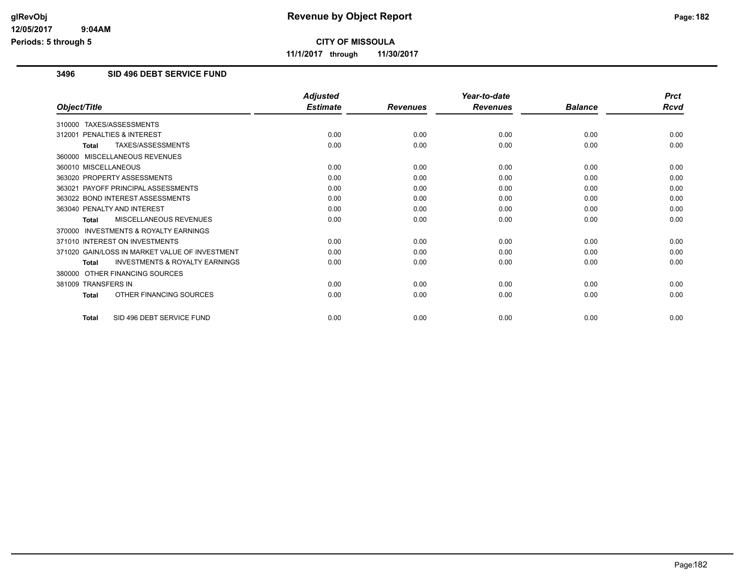**11/1/2017 through 11/30/2017**

# **3496 SID 496 DEBT SERVICE FUND**

|                                                           | <b>Adjusted</b> |                 | Year-to-date    |                | <b>Prct</b> |
|-----------------------------------------------------------|-----------------|-----------------|-----------------|----------------|-------------|
| Object/Title                                              | <b>Estimate</b> | <b>Revenues</b> | <b>Revenues</b> | <b>Balance</b> | <b>Rcvd</b> |
| 310000 TAXES/ASSESSMENTS                                  |                 |                 |                 |                |             |
| PENALTIES & INTEREST<br>312001                            | 0.00            | 0.00            | 0.00            | 0.00           | 0.00        |
| TAXES/ASSESSMENTS<br><b>Total</b>                         | 0.00            | 0.00            | 0.00            | 0.00           | 0.00        |
| 360000 MISCELLANEOUS REVENUES                             |                 |                 |                 |                |             |
| 360010 MISCELLANEOUS                                      | 0.00            | 0.00            | 0.00            | 0.00           | 0.00        |
| 363020 PROPERTY ASSESSMENTS                               | 0.00            | 0.00            | 0.00            | 0.00           | 0.00        |
| 363021 PAYOFF PRINCIPAL ASSESSMENTS                       | 0.00            | 0.00            | 0.00            | 0.00           | 0.00        |
| 363022 BOND INTEREST ASSESSMENTS                          | 0.00            | 0.00            | 0.00            | 0.00           | 0.00        |
| 363040 PENALTY AND INTEREST                               | 0.00            | 0.00            | 0.00            | 0.00           | 0.00        |
| MISCELLANEOUS REVENUES<br><b>Total</b>                    | 0.00            | 0.00            | 0.00            | 0.00           | 0.00        |
| <b>INVESTMENTS &amp; ROYALTY EARNINGS</b><br>370000       |                 |                 |                 |                |             |
| 371010 INTEREST ON INVESTMENTS                            | 0.00            | 0.00            | 0.00            | 0.00           | 0.00        |
| 371020 GAIN/LOSS IN MARKET VALUE OF INVESTMENT            | 0.00            | 0.00            | 0.00            | 0.00           | 0.00        |
| <b>INVESTMENTS &amp; ROYALTY EARNINGS</b><br><b>Total</b> | 0.00            | 0.00            | 0.00            | 0.00           | 0.00        |
| OTHER FINANCING SOURCES<br>380000                         |                 |                 |                 |                |             |
| 381009 TRANSFERS IN                                       | 0.00            | 0.00            | 0.00            | 0.00           | 0.00        |
| OTHER FINANCING SOURCES<br><b>Total</b>                   | 0.00            | 0.00            | 0.00            | 0.00           | 0.00        |
| SID 496 DEBT SERVICE FUND<br><b>Total</b>                 | 0.00            | 0.00            | 0.00            | 0.00           | 0.00        |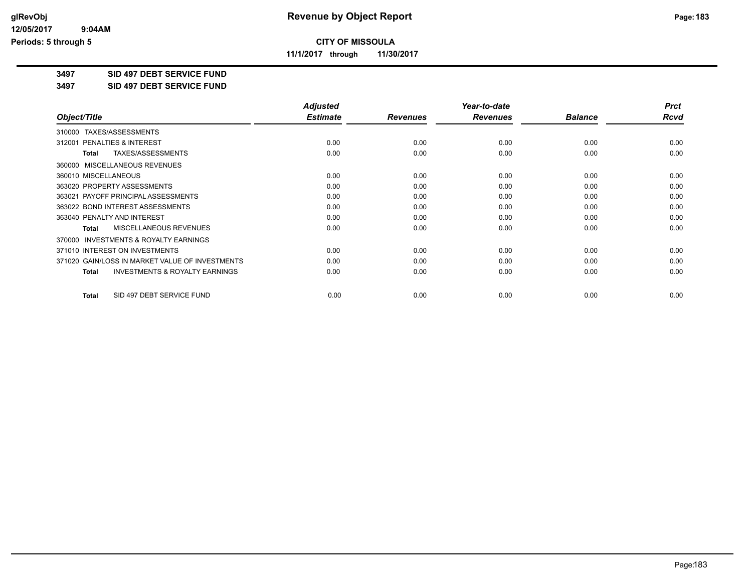**11/1/2017 through 11/30/2017**

**3497 SID 497 DEBT SERVICE FUND**

**3497 SID 497 DEBT SERVICE FUND**

|                                                     | <b>Adjusted</b> |                 | Year-to-date    |                | <b>Prct</b> |
|-----------------------------------------------------|-----------------|-----------------|-----------------|----------------|-------------|
| Object/Title                                        | <b>Estimate</b> | <b>Revenues</b> | <b>Revenues</b> | <b>Balance</b> | Rcvd        |
| 310000 TAXES/ASSESSMENTS                            |                 |                 |                 |                |             |
| <b>PENALTIES &amp; INTEREST</b><br>312001           | 0.00            | 0.00            | 0.00            | 0.00           | 0.00        |
| TAXES/ASSESSMENTS<br>Total                          | 0.00            | 0.00            | 0.00            | 0.00           | 0.00        |
| 360000 MISCELLANEOUS REVENUES                       |                 |                 |                 |                |             |
| 360010 MISCELLANEOUS                                | 0.00            | 0.00            | 0.00            | 0.00           | 0.00        |
| 363020 PROPERTY ASSESSMENTS                         | 0.00            | 0.00            | 0.00            | 0.00           | 0.00        |
| 363021 PAYOFF PRINCIPAL ASSESSMENTS                 | 0.00            | 0.00            | 0.00            | 0.00           | 0.00        |
| 363022 BOND INTEREST ASSESSMENTS                    | 0.00            | 0.00            | 0.00            | 0.00           | 0.00        |
| 363040 PENALTY AND INTEREST                         | 0.00            | 0.00            | 0.00            | 0.00           | 0.00        |
| <b>MISCELLANEOUS REVENUES</b><br>Total              | 0.00            | 0.00            | 0.00            | 0.00           | 0.00        |
| <b>INVESTMENTS &amp; ROYALTY EARNINGS</b><br>370000 |                 |                 |                 |                |             |
| 371010 INTEREST ON INVESTMENTS                      | 0.00            | 0.00            | 0.00            | 0.00           | 0.00        |
| 371020 GAIN/LOSS IN MARKET VALUE OF INVESTMENTS     | 0.00            | 0.00            | 0.00            | 0.00           | 0.00        |
| <b>INVESTMENTS &amp; ROYALTY EARNINGS</b><br>Total  | 0.00            | 0.00            | 0.00            | 0.00           | 0.00        |
| SID 497 DEBT SERVICE FUND<br><b>Total</b>           | 0.00            | 0.00            | 0.00            | 0.00           | 0.00        |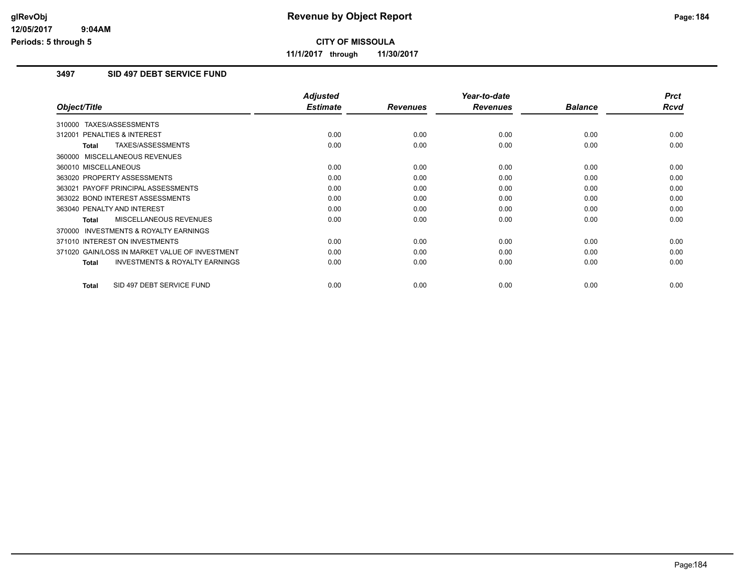**11/1/2017 through 11/30/2017**

# **3497 SID 497 DEBT SERVICE FUND**

|                                                     | <b>Adjusted</b> |                 | Year-to-date    |                | <b>Prct</b> |
|-----------------------------------------------------|-----------------|-----------------|-----------------|----------------|-------------|
| Object/Title                                        | <b>Estimate</b> | <b>Revenues</b> | <b>Revenues</b> | <b>Balance</b> | Rcvd        |
| 310000 TAXES/ASSESSMENTS                            |                 |                 |                 |                |             |
| 312001 PENALTIES & INTEREST                         | 0.00            | 0.00            | 0.00            | 0.00           | 0.00        |
| TAXES/ASSESSMENTS<br><b>Total</b>                   | 0.00            | 0.00            | 0.00            | 0.00           | 0.00        |
| 360000 MISCELLANEOUS REVENUES                       |                 |                 |                 |                |             |
| 360010 MISCELLANEOUS                                | 0.00            | 0.00            | 0.00            | 0.00           | 0.00        |
| 363020 PROPERTY ASSESSMENTS                         | 0.00            | 0.00            | 0.00            | 0.00           | 0.00        |
| 363021 PAYOFF PRINCIPAL ASSESSMENTS                 | 0.00            | 0.00            | 0.00            | 0.00           | 0.00        |
| 363022 BOND INTEREST ASSESSMENTS                    | 0.00            | 0.00            | 0.00            | 0.00           | 0.00        |
| 363040 PENALTY AND INTEREST                         | 0.00            | 0.00            | 0.00            | 0.00           | 0.00        |
| <b>MISCELLANEOUS REVENUES</b><br>Total              | 0.00            | 0.00            | 0.00            | 0.00           | 0.00        |
| <b>INVESTMENTS &amp; ROYALTY EARNINGS</b><br>370000 |                 |                 |                 |                |             |
| 371010 INTEREST ON INVESTMENTS                      | 0.00            | 0.00            | 0.00            | 0.00           | 0.00        |
| 371020 GAIN/LOSS IN MARKET VALUE OF INVESTMENT      | 0.00            | 0.00            | 0.00            | 0.00           | 0.00        |
| <b>INVESTMENTS &amp; ROYALTY EARNINGS</b><br>Total  | 0.00            | 0.00            | 0.00            | 0.00           | 0.00        |
| SID 497 DEBT SERVICE FUND<br><b>Total</b>           | 0.00            | 0.00            | 0.00            | 0.00           | 0.00        |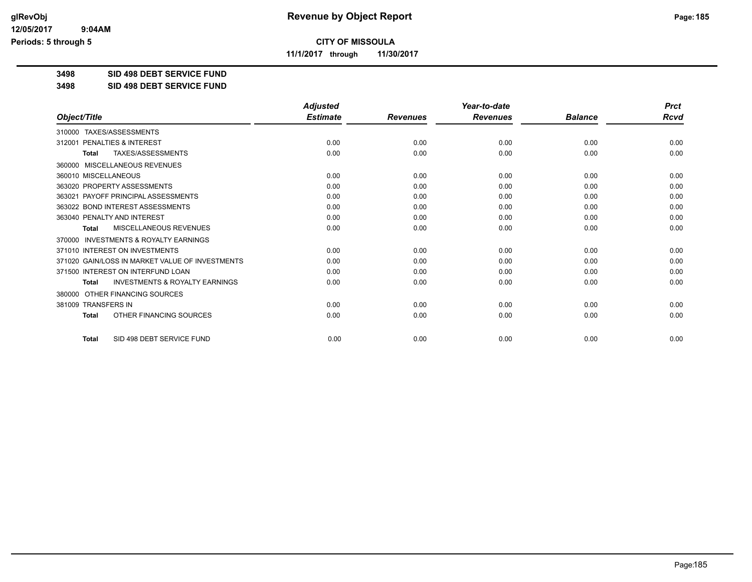**11/1/2017 through 11/30/2017**

**3498 SID 498 DEBT SERVICE FUND**

**3498 SID 498 DEBT SERVICE FUND**

|                                                           | <b>Adjusted</b> |                 | Year-to-date    |                | <b>Prct</b> |
|-----------------------------------------------------------|-----------------|-----------------|-----------------|----------------|-------------|
| Object/Title                                              | <b>Estimate</b> | <b>Revenues</b> | <b>Revenues</b> | <b>Balance</b> | <b>Rcvd</b> |
| TAXES/ASSESSMENTS<br>310000                               |                 |                 |                 |                |             |
| 312001 PENALTIES & INTEREST                               | 0.00            | 0.00            | 0.00            | 0.00           | 0.00        |
| <b>TAXES/ASSESSMENTS</b><br><b>Total</b>                  | 0.00            | 0.00            | 0.00            | 0.00           | 0.00        |
| MISCELLANEOUS REVENUES<br>360000                          |                 |                 |                 |                |             |
| 360010 MISCELLANEOUS                                      | 0.00            | 0.00            | 0.00            | 0.00           | 0.00        |
| 363020 PROPERTY ASSESSMENTS                               | 0.00            | 0.00            | 0.00            | 0.00           | 0.00        |
| 363021 PAYOFF PRINCIPAL ASSESSMENTS                       | 0.00            | 0.00            | 0.00            | 0.00           | 0.00        |
| 363022 BOND INTEREST ASSESSMENTS                          | 0.00            | 0.00            | 0.00            | 0.00           | 0.00        |
| 363040 PENALTY AND INTEREST                               | 0.00            | 0.00            | 0.00            | 0.00           | 0.00        |
| <b>MISCELLANEOUS REVENUES</b><br><b>Total</b>             | 0.00            | 0.00            | 0.00            | 0.00           | 0.00        |
| <b>INVESTMENTS &amp; ROYALTY EARNINGS</b><br>370000       |                 |                 |                 |                |             |
| 371010 INTEREST ON INVESTMENTS                            | 0.00            | 0.00            | 0.00            | 0.00           | 0.00        |
| 371020 GAIN/LOSS IN MARKET VALUE OF INVESTMENTS           | 0.00            | 0.00            | 0.00            | 0.00           | 0.00        |
| 371500 INTEREST ON INTERFUND LOAN                         | 0.00            | 0.00            | 0.00            | 0.00           | 0.00        |
| <b>INVESTMENTS &amp; ROYALTY EARNINGS</b><br><b>Total</b> | 0.00            | 0.00            | 0.00            | 0.00           | 0.00        |
| OTHER FINANCING SOURCES<br>380000                         |                 |                 |                 |                |             |
| 381009 TRANSFERS IN                                       | 0.00            | 0.00            | 0.00            | 0.00           | 0.00        |
| OTHER FINANCING SOURCES<br><b>Total</b>                   | 0.00            | 0.00            | 0.00            | 0.00           | 0.00        |
| SID 498 DEBT SERVICE FUND<br>Total                        | 0.00            | 0.00            | 0.00            | 0.00           | 0.00        |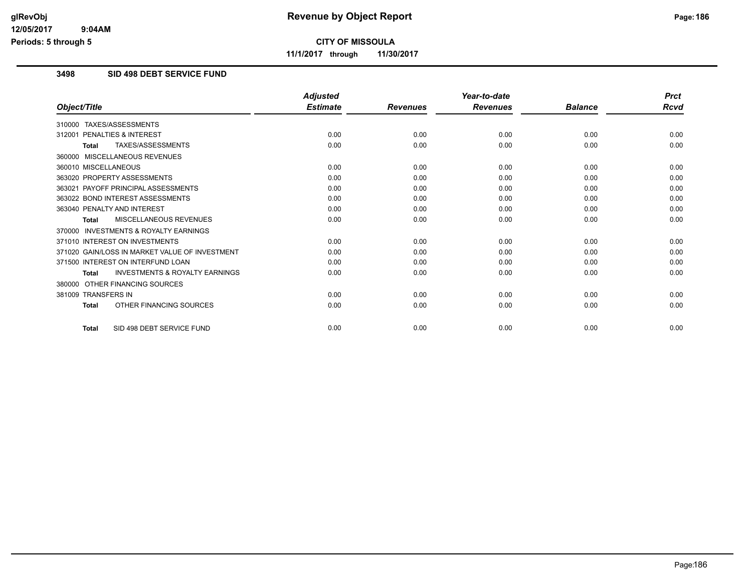**11/1/2017 through 11/30/2017**

# **3498 SID 498 DEBT SERVICE FUND**

|                                                           | <b>Adjusted</b> |                 | Year-to-date    |                | <b>Prct</b> |
|-----------------------------------------------------------|-----------------|-----------------|-----------------|----------------|-------------|
| Object/Title                                              | <b>Estimate</b> | <b>Revenues</b> | <b>Revenues</b> | <b>Balance</b> | <b>Rcvd</b> |
| TAXES/ASSESSMENTS<br>310000                               |                 |                 |                 |                |             |
| PENALTIES & INTEREST<br>312001                            | 0.00            | 0.00            | 0.00            | 0.00           | 0.00        |
| TAXES/ASSESSMENTS<br><b>Total</b>                         | 0.00            | 0.00            | 0.00            | 0.00           | 0.00        |
| 360000 MISCELLANEOUS REVENUES                             |                 |                 |                 |                |             |
| 360010 MISCELLANEOUS                                      | 0.00            | 0.00            | 0.00            | 0.00           | 0.00        |
| 363020 PROPERTY ASSESSMENTS                               | 0.00            | 0.00            | 0.00            | 0.00           | 0.00        |
| 363021 PAYOFF PRINCIPAL ASSESSMENTS                       | 0.00            | 0.00            | 0.00            | 0.00           | 0.00        |
| 363022 BOND INTEREST ASSESSMENTS                          | 0.00            | 0.00            | 0.00            | 0.00           | 0.00        |
| 363040 PENALTY AND INTEREST                               | 0.00            | 0.00            | 0.00            | 0.00           | 0.00        |
| <b>MISCELLANEOUS REVENUES</b><br><b>Total</b>             | 0.00            | 0.00            | 0.00            | 0.00           | 0.00        |
| <b>INVESTMENTS &amp; ROYALTY EARNINGS</b><br>370000       |                 |                 |                 |                |             |
| 371010 INTEREST ON INVESTMENTS                            | 0.00            | 0.00            | 0.00            | 0.00           | 0.00        |
| 371020 GAIN/LOSS IN MARKET VALUE OF INVESTMENT            | 0.00            | 0.00            | 0.00            | 0.00           | 0.00        |
| 371500 INTEREST ON INTERFUND LOAN                         | 0.00            | 0.00            | 0.00            | 0.00           | 0.00        |
| <b>INVESTMENTS &amp; ROYALTY EARNINGS</b><br><b>Total</b> | 0.00            | 0.00            | 0.00            | 0.00           | 0.00        |
| OTHER FINANCING SOURCES<br>380000                         |                 |                 |                 |                |             |
| 381009 TRANSFERS IN                                       | 0.00            | 0.00            | 0.00            | 0.00           | 0.00        |
| OTHER FINANCING SOURCES<br><b>Total</b>                   | 0.00            | 0.00            | 0.00            | 0.00           | 0.00        |
| SID 498 DEBT SERVICE FUND<br><b>Total</b>                 | 0.00            | 0.00            | 0.00            | 0.00           | 0.00        |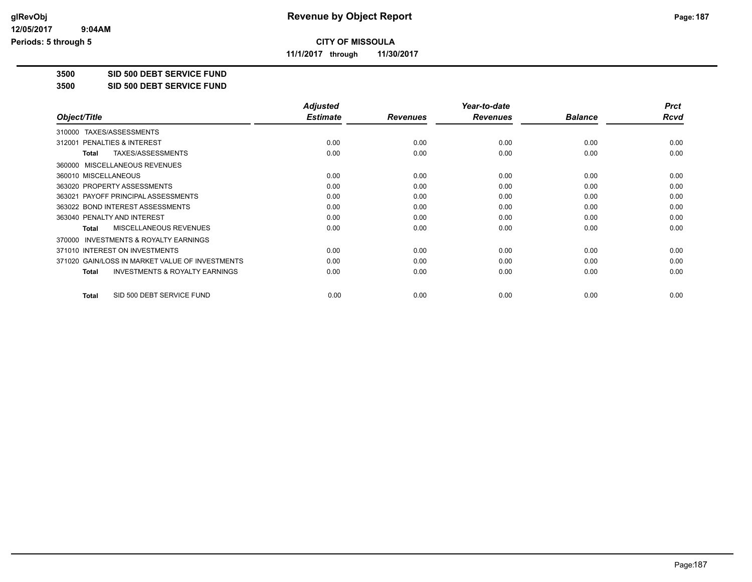**11/1/2017 through 11/30/2017**

**3500 SID 500 DEBT SERVICE FUND**

**3500 SID 500 DEBT SERVICE FUND**

|                                                           | <b>Adjusted</b> |                 | Year-to-date    |                | <b>Prct</b> |
|-----------------------------------------------------------|-----------------|-----------------|-----------------|----------------|-------------|
| Object/Title                                              | <b>Estimate</b> | <b>Revenues</b> | <b>Revenues</b> | <b>Balance</b> | Rcvd        |
| 310000 TAXES/ASSESSMENTS                                  |                 |                 |                 |                |             |
| 312001 PENALTIES & INTEREST                               | 0.00            | 0.00            | 0.00            | 0.00           | 0.00        |
| TAXES/ASSESSMENTS<br><b>Total</b>                         | 0.00            | 0.00            | 0.00            | 0.00           | 0.00        |
| MISCELLANEOUS REVENUES<br>360000                          |                 |                 |                 |                |             |
| 360010 MISCELLANEOUS                                      | 0.00            | 0.00            | 0.00            | 0.00           | 0.00        |
| 363020 PROPERTY ASSESSMENTS                               | 0.00            | 0.00            | 0.00            | 0.00           | 0.00        |
| 363021 PAYOFF PRINCIPAL ASSESSMENTS                       | 0.00            | 0.00            | 0.00            | 0.00           | 0.00        |
| 363022 BOND INTEREST ASSESSMENTS                          | 0.00            | 0.00            | 0.00            | 0.00           | 0.00        |
| 363040 PENALTY AND INTEREST                               | 0.00            | 0.00            | 0.00            | 0.00           | 0.00        |
| <b>MISCELLANEOUS REVENUES</b><br>Total                    | 0.00            | 0.00            | 0.00            | 0.00           | 0.00        |
| 370000 INVESTMENTS & ROYALTY EARNINGS                     |                 |                 |                 |                |             |
| 371010 INTEREST ON INVESTMENTS                            | 0.00            | 0.00            | 0.00            | 0.00           | 0.00        |
| 371020 GAIN/LOSS IN MARKET VALUE OF INVESTMENTS           | 0.00            | 0.00            | 0.00            | 0.00           | 0.00        |
| <b>INVESTMENTS &amp; ROYALTY EARNINGS</b><br><b>Total</b> | 0.00            | 0.00            | 0.00            | 0.00           | 0.00        |
| SID 500 DEBT SERVICE FUND<br><b>Total</b>                 | 0.00            | 0.00            | 0.00            | 0.00           | 0.00        |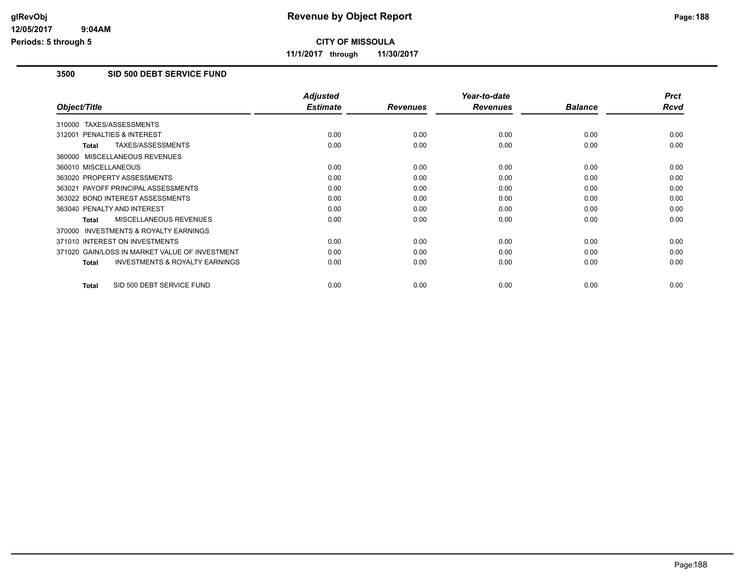**11/1/2017 through 11/30/2017**

# **3500 SID 500 DEBT SERVICE FUND**

|                                                           | <b>Adjusted</b> |                 | Year-to-date    |                | <b>Prct</b> |
|-----------------------------------------------------------|-----------------|-----------------|-----------------|----------------|-------------|
| Object/Title                                              | <b>Estimate</b> | <b>Revenues</b> | <b>Revenues</b> | <b>Balance</b> | Rcvd        |
| 310000 TAXES/ASSESSMENTS                                  |                 |                 |                 |                |             |
| 312001 PENALTIES & INTEREST                               | 0.00            | 0.00            | 0.00            | 0.00           | 0.00        |
| TAXES/ASSESSMENTS<br><b>Total</b>                         | 0.00            | 0.00            | 0.00            | 0.00           | 0.00        |
| 360000 MISCELLANEOUS REVENUES                             |                 |                 |                 |                |             |
| 360010 MISCELLANEOUS                                      | 0.00            | 0.00            | 0.00            | 0.00           | 0.00        |
| 363020 PROPERTY ASSESSMENTS                               | 0.00            | 0.00            | 0.00            | 0.00           | 0.00        |
| 363021 PAYOFF PRINCIPAL ASSESSMENTS                       | 0.00            | 0.00            | 0.00            | 0.00           | 0.00        |
| 363022 BOND INTEREST ASSESSMENTS                          | 0.00            | 0.00            | 0.00            | 0.00           | 0.00        |
| 363040 PENALTY AND INTEREST                               | 0.00            | 0.00            | 0.00            | 0.00           | 0.00        |
| MISCELLANEOUS REVENUES<br>Total                           | 0.00            | 0.00            | 0.00            | 0.00           | 0.00        |
| INVESTMENTS & ROYALTY EARNINGS<br>370000                  |                 |                 |                 |                |             |
| 371010 INTEREST ON INVESTMENTS                            | 0.00            | 0.00            | 0.00            | 0.00           | 0.00        |
| 371020 GAIN/LOSS IN MARKET VALUE OF INVESTMENT            | 0.00            | 0.00            | 0.00            | 0.00           | 0.00        |
| <b>INVESTMENTS &amp; ROYALTY EARNINGS</b><br><b>Total</b> | 0.00            | 0.00            | 0.00            | 0.00           | 0.00        |
| SID 500 DEBT SERVICE FUND<br><b>Total</b>                 | 0.00            | 0.00            | 0.00            | 0.00           | 0.00        |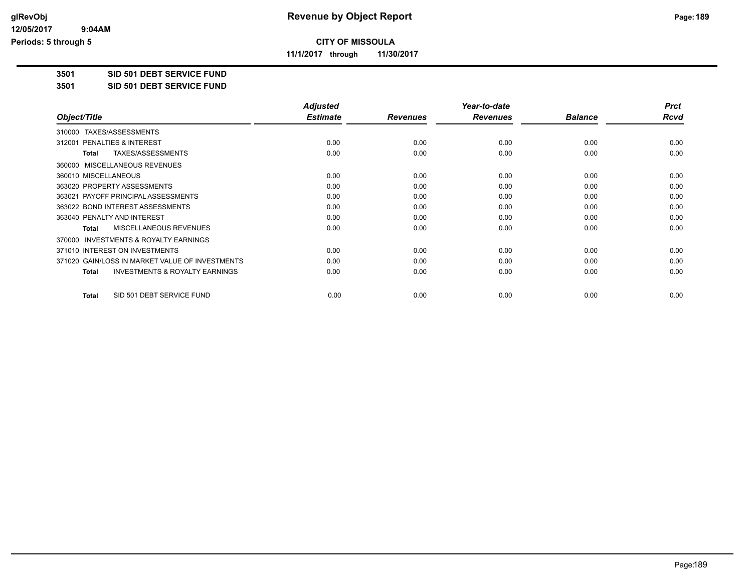**11/1/2017 through 11/30/2017**

**3501 SID 501 DEBT SERVICE FUND**

**3501 SID 501 DEBT SERVICE FUND**

|                                                           | <b>Adjusted</b> |                 | Year-to-date    |                | <b>Prct</b> |
|-----------------------------------------------------------|-----------------|-----------------|-----------------|----------------|-------------|
| Object/Title                                              | <b>Estimate</b> | <b>Revenues</b> | <b>Revenues</b> | <b>Balance</b> | Rcvd        |
| TAXES/ASSESSMENTS<br>310000                               |                 |                 |                 |                |             |
| 312001 PENALTIES & INTEREST                               | 0.00            | 0.00            | 0.00            | 0.00           | 0.00        |
| TAXES/ASSESSMENTS<br>Total                                | 0.00            | 0.00            | 0.00            | 0.00           | 0.00        |
| MISCELLANEOUS REVENUES<br>360000                          |                 |                 |                 |                |             |
| 360010 MISCELLANEOUS                                      | 0.00            | 0.00            | 0.00            | 0.00           | 0.00        |
| 363020 PROPERTY ASSESSMENTS                               | 0.00            | 0.00            | 0.00            | 0.00           | 0.00        |
| 363021 PAYOFF PRINCIPAL ASSESSMENTS                       | 0.00            | 0.00            | 0.00            | 0.00           | 0.00        |
| 363022 BOND INTEREST ASSESSMENTS                          | 0.00            | 0.00            | 0.00            | 0.00           | 0.00        |
| 363040 PENALTY AND INTEREST                               | 0.00            | 0.00            | 0.00            | 0.00           | 0.00        |
| <b>MISCELLANEOUS REVENUES</b><br><b>Total</b>             | 0.00            | 0.00            | 0.00            | 0.00           | 0.00        |
| 370000 INVESTMENTS & ROYALTY EARNINGS                     |                 |                 |                 |                |             |
| 371010 INTEREST ON INVESTMENTS                            | 0.00            | 0.00            | 0.00            | 0.00           | 0.00        |
| 371020 GAIN/LOSS IN MARKET VALUE OF INVESTMENTS           | 0.00            | 0.00            | 0.00            | 0.00           | 0.00        |
| <b>INVESTMENTS &amp; ROYALTY EARNINGS</b><br><b>Total</b> | 0.00            | 0.00            | 0.00            | 0.00           | 0.00        |
| SID 501 DEBT SERVICE FUND<br><b>Total</b>                 | 0.00            | 0.00            | 0.00            | 0.00           | 0.00        |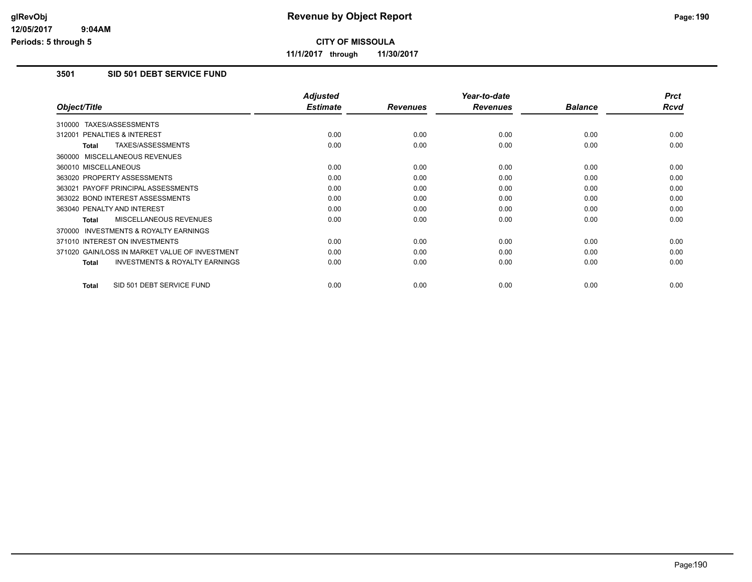**11/1/2017 through 11/30/2017**

# **3501 SID 501 DEBT SERVICE FUND**

|                                                     | <b>Adjusted</b> |                 | Year-to-date    |                | <b>Prct</b> |
|-----------------------------------------------------|-----------------|-----------------|-----------------|----------------|-------------|
| Object/Title                                        | <b>Estimate</b> | <b>Revenues</b> | <b>Revenues</b> | <b>Balance</b> | Rcvd        |
| 310000 TAXES/ASSESSMENTS                            |                 |                 |                 |                |             |
| 312001 PENALTIES & INTEREST                         | 0.00            | 0.00            | 0.00            | 0.00           | 0.00        |
| TAXES/ASSESSMENTS<br><b>Total</b>                   | 0.00            | 0.00            | 0.00            | 0.00           | 0.00        |
| 360000 MISCELLANEOUS REVENUES                       |                 |                 |                 |                |             |
| 360010 MISCELLANEOUS                                | 0.00            | 0.00            | 0.00            | 0.00           | 0.00        |
| 363020 PROPERTY ASSESSMENTS                         | 0.00            | 0.00            | 0.00            | 0.00           | 0.00        |
| 363021 PAYOFF PRINCIPAL ASSESSMENTS                 | 0.00            | 0.00            | 0.00            | 0.00           | 0.00        |
| 363022 BOND INTEREST ASSESSMENTS                    | 0.00            | 0.00            | 0.00            | 0.00           | 0.00        |
| 363040 PENALTY AND INTEREST                         | 0.00            | 0.00            | 0.00            | 0.00           | 0.00        |
| <b>MISCELLANEOUS REVENUES</b><br>Total              | 0.00            | 0.00            | 0.00            | 0.00           | 0.00        |
| <b>INVESTMENTS &amp; ROYALTY EARNINGS</b><br>370000 |                 |                 |                 |                |             |
| 371010 INTEREST ON INVESTMENTS                      | 0.00            | 0.00            | 0.00            | 0.00           | 0.00        |
| 371020 GAIN/LOSS IN MARKET VALUE OF INVESTMENT      | 0.00            | 0.00            | 0.00            | 0.00           | 0.00        |
| <b>INVESTMENTS &amp; ROYALTY EARNINGS</b><br>Total  | 0.00            | 0.00            | 0.00            | 0.00           | 0.00        |
| SID 501 DEBT SERVICE FUND<br><b>Total</b>           | 0.00            | 0.00            | 0.00            | 0.00           | 0.00        |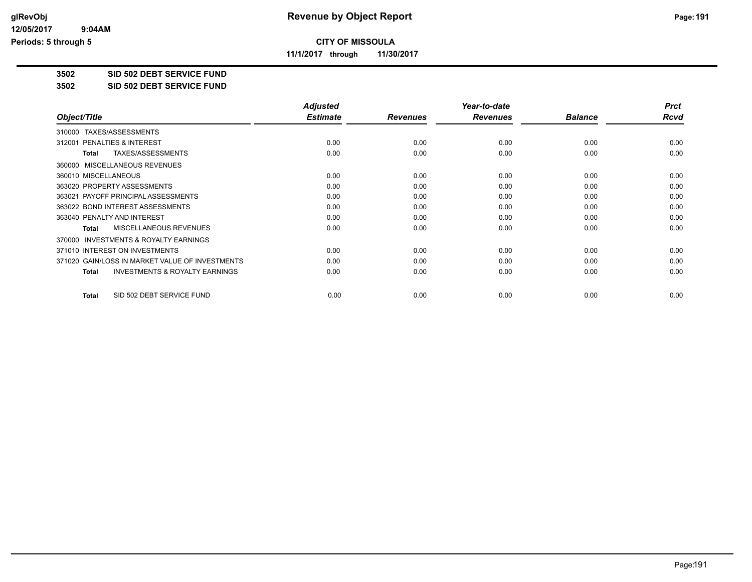**11/1/2017 through 11/30/2017**

**3502 SID 502 DEBT SERVICE FUND**

**3502 SID 502 DEBT SERVICE FUND**

|                                                           | <b>Adjusted</b> |                 | Year-to-date    |                | <b>Prct</b> |
|-----------------------------------------------------------|-----------------|-----------------|-----------------|----------------|-------------|
| Object/Title                                              | <b>Estimate</b> | <b>Revenues</b> | <b>Revenues</b> | <b>Balance</b> | Rcvd        |
| 310000 TAXES/ASSESSMENTS                                  |                 |                 |                 |                |             |
| <b>PENALTIES &amp; INTEREST</b><br>312001                 | 0.00            | 0.00            | 0.00            | 0.00           | 0.00        |
| TAXES/ASSESSMENTS<br>Total                                | 0.00            | 0.00            | 0.00            | 0.00           | 0.00        |
| 360000 MISCELLANEOUS REVENUES                             |                 |                 |                 |                |             |
| 360010 MISCELLANEOUS                                      | 0.00            | 0.00            | 0.00            | 0.00           | 0.00        |
| 363020 PROPERTY ASSESSMENTS                               | 0.00            | 0.00            | 0.00            | 0.00           | 0.00        |
| 363021 PAYOFF PRINCIPAL ASSESSMENTS                       | 0.00            | 0.00            | 0.00            | 0.00           | 0.00        |
| 363022 BOND INTEREST ASSESSMENTS                          | 0.00            | 0.00            | 0.00            | 0.00           | 0.00        |
| 363040 PENALTY AND INTEREST                               | 0.00            | 0.00            | 0.00            | 0.00           | 0.00        |
| <b>MISCELLANEOUS REVENUES</b><br>Total                    | 0.00            | 0.00            | 0.00            | 0.00           | 0.00        |
| <b>INVESTMENTS &amp; ROYALTY EARNINGS</b><br>370000       |                 |                 |                 |                |             |
| 371010 INTEREST ON INVESTMENTS                            | 0.00            | 0.00            | 0.00            | 0.00           | 0.00        |
| 371020 GAIN/LOSS IN MARKET VALUE OF INVESTMENTS           | 0.00            | 0.00            | 0.00            | 0.00           | 0.00        |
| <b>INVESTMENTS &amp; ROYALTY EARNINGS</b><br><b>Total</b> | 0.00            | 0.00            | 0.00            | 0.00           | 0.00        |
| SID 502 DEBT SERVICE FUND<br><b>Total</b>                 | 0.00            | 0.00            | 0.00            | 0.00           | 0.00        |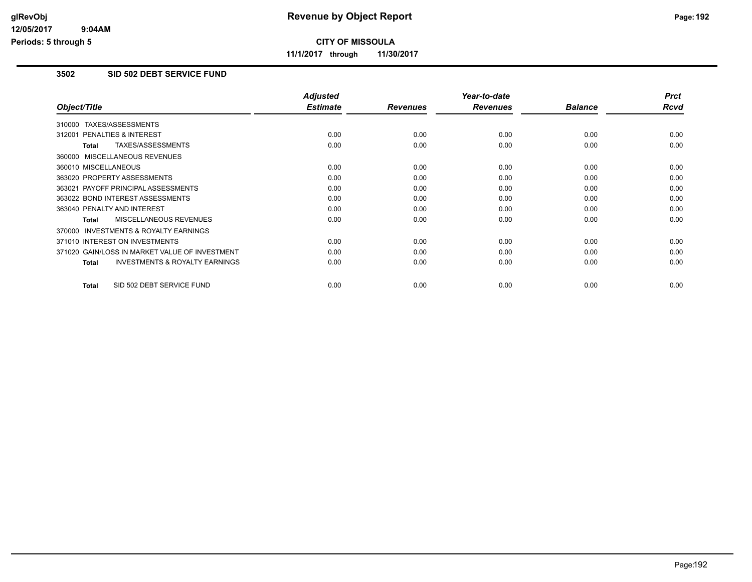**11/1/2017 through 11/30/2017**

# **3502 SID 502 DEBT SERVICE FUND**

|                                                           | <b>Adjusted</b> |                 | Year-to-date    |                | <b>Prct</b> |
|-----------------------------------------------------------|-----------------|-----------------|-----------------|----------------|-------------|
| Object/Title                                              | <b>Estimate</b> | <b>Revenues</b> | <b>Revenues</b> | <b>Balance</b> | Rcvd        |
| TAXES/ASSESSMENTS<br>310000                               |                 |                 |                 |                |             |
| 312001 PENALTIES & INTEREST                               | 0.00            | 0.00            | 0.00            | 0.00           | 0.00        |
| TAXES/ASSESSMENTS<br><b>Total</b>                         | 0.00            | 0.00            | 0.00            | 0.00           | 0.00        |
| 360000 MISCELLANEOUS REVENUES                             |                 |                 |                 |                |             |
| 360010 MISCELLANEOUS                                      | 0.00            | 0.00            | 0.00            | 0.00           | 0.00        |
| 363020 PROPERTY ASSESSMENTS                               | 0.00            | 0.00            | 0.00            | 0.00           | 0.00        |
| 363021 PAYOFF PRINCIPAL ASSESSMENTS                       | 0.00            | 0.00            | 0.00            | 0.00           | 0.00        |
| 363022 BOND INTEREST ASSESSMENTS                          | 0.00            | 0.00            | 0.00            | 0.00           | 0.00        |
| 363040 PENALTY AND INTEREST                               | 0.00            | 0.00            | 0.00            | 0.00           | 0.00        |
| MISCELLANEOUS REVENUES<br>Total                           | 0.00            | 0.00            | 0.00            | 0.00           | 0.00        |
| <b>INVESTMENTS &amp; ROYALTY EARNINGS</b><br>370000       |                 |                 |                 |                |             |
| 371010 INTEREST ON INVESTMENTS                            | 0.00            | 0.00            | 0.00            | 0.00           | 0.00        |
| 371020 GAIN/LOSS IN MARKET VALUE OF INVESTMENT            | 0.00            | 0.00            | 0.00            | 0.00           | 0.00        |
| <b>INVESTMENTS &amp; ROYALTY EARNINGS</b><br><b>Total</b> | 0.00            | 0.00            | 0.00            | 0.00           | 0.00        |
| SID 502 DEBT SERVICE FUND<br><b>Total</b>                 | 0.00            | 0.00            | 0.00            | 0.00           | 0.00        |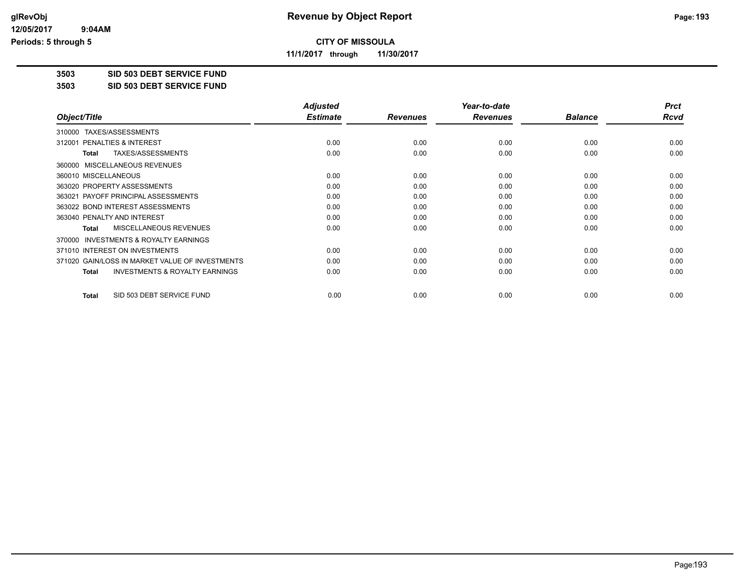**11/1/2017 through 11/30/2017**

**3503 SID 503 DEBT SERVICE FUND**

**3503 SID 503 DEBT SERVICE FUND**

|                                                     | <b>Adjusted</b> |                 | Year-to-date    |                | <b>Prct</b> |
|-----------------------------------------------------|-----------------|-----------------|-----------------|----------------|-------------|
| Object/Title                                        | <b>Estimate</b> | <b>Revenues</b> | <b>Revenues</b> | <b>Balance</b> | <b>Rcvd</b> |
| 310000 TAXES/ASSESSMENTS                            |                 |                 |                 |                |             |
| 312001 PENALTIES & INTEREST                         | 0.00            | 0.00            | 0.00            | 0.00           | 0.00        |
| TAXES/ASSESSMENTS<br>Total                          | 0.00            | 0.00            | 0.00            | 0.00           | 0.00        |
| 360000 MISCELLANEOUS REVENUES                       |                 |                 |                 |                |             |
| 360010 MISCELLANEOUS                                | 0.00            | 0.00            | 0.00            | 0.00           | 0.00        |
| 363020 PROPERTY ASSESSMENTS                         | 0.00            | 0.00            | 0.00            | 0.00           | 0.00        |
| 363021 PAYOFF PRINCIPAL ASSESSMENTS                 | 0.00            | 0.00            | 0.00            | 0.00           | 0.00        |
| 363022 BOND INTEREST ASSESSMENTS                    | 0.00            | 0.00            | 0.00            | 0.00           | 0.00        |
| 363040 PENALTY AND INTEREST                         | 0.00            | 0.00            | 0.00            | 0.00           | 0.00        |
| <b>MISCELLANEOUS REVENUES</b><br>Total              | 0.00            | 0.00            | 0.00            | 0.00           | 0.00        |
| <b>INVESTMENTS &amp; ROYALTY EARNINGS</b><br>370000 |                 |                 |                 |                |             |
| 371010 INTEREST ON INVESTMENTS                      | 0.00            | 0.00            | 0.00            | 0.00           | 0.00        |
| 371020 GAIN/LOSS IN MARKET VALUE OF INVESTMENTS     | 0.00            | 0.00            | 0.00            | 0.00           | 0.00        |
| <b>INVESTMENTS &amp; ROYALTY EARNINGS</b><br>Total  | 0.00            | 0.00            | 0.00            | 0.00           | 0.00        |
| SID 503 DEBT SERVICE FUND<br><b>Total</b>           | 0.00            | 0.00            | 0.00            | 0.00           | 0.00        |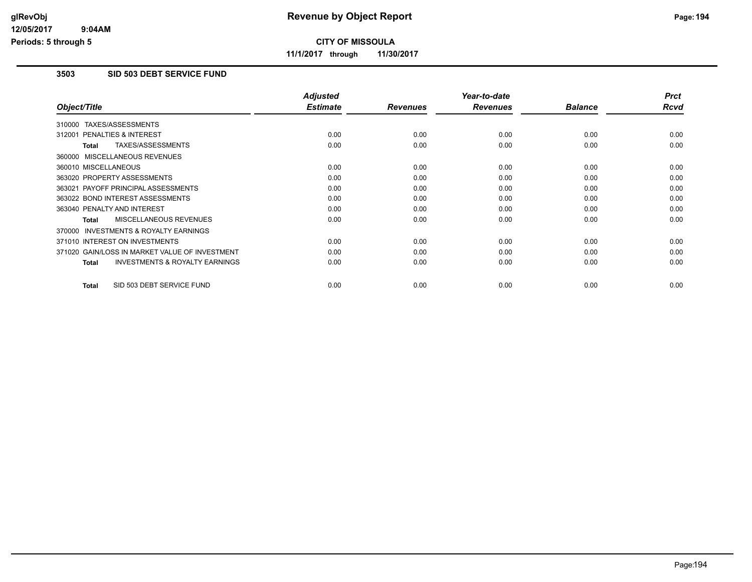**11/1/2017 through 11/30/2017**

# **3503 SID 503 DEBT SERVICE FUND**

|                                                     | <b>Adjusted</b> |                 | Year-to-date    |                | <b>Prct</b> |
|-----------------------------------------------------|-----------------|-----------------|-----------------|----------------|-------------|
| Object/Title                                        | <b>Estimate</b> | <b>Revenues</b> | <b>Revenues</b> | <b>Balance</b> | Rcvd        |
| 310000 TAXES/ASSESSMENTS                            |                 |                 |                 |                |             |
| 312001 PENALTIES & INTEREST                         | 0.00            | 0.00            | 0.00            | 0.00           | 0.00        |
| TAXES/ASSESSMENTS<br><b>Total</b>                   | 0.00            | 0.00            | 0.00            | 0.00           | 0.00        |
| 360000 MISCELLANEOUS REVENUES                       |                 |                 |                 |                |             |
| 360010 MISCELLANEOUS                                | 0.00            | 0.00            | 0.00            | 0.00           | 0.00        |
| 363020 PROPERTY ASSESSMENTS                         | 0.00            | 0.00            | 0.00            | 0.00           | 0.00        |
| 363021 PAYOFF PRINCIPAL ASSESSMENTS                 | 0.00            | 0.00            | 0.00            | 0.00           | 0.00        |
| 363022 BOND INTEREST ASSESSMENTS                    | 0.00            | 0.00            | 0.00            | 0.00           | 0.00        |
| 363040 PENALTY AND INTEREST                         | 0.00            | 0.00            | 0.00            | 0.00           | 0.00        |
| <b>MISCELLANEOUS REVENUES</b><br>Total              | 0.00            | 0.00            | 0.00            | 0.00           | 0.00        |
| <b>INVESTMENTS &amp; ROYALTY EARNINGS</b><br>370000 |                 |                 |                 |                |             |
| 371010 INTEREST ON INVESTMENTS                      | 0.00            | 0.00            | 0.00            | 0.00           | 0.00        |
| 371020 GAIN/LOSS IN MARKET VALUE OF INVESTMENT      | 0.00            | 0.00            | 0.00            | 0.00           | 0.00        |
| <b>INVESTMENTS &amp; ROYALTY EARNINGS</b><br>Total  | 0.00            | 0.00            | 0.00            | 0.00           | 0.00        |
| SID 503 DEBT SERVICE FUND<br><b>Total</b>           | 0.00            | 0.00            | 0.00            | 0.00           | 0.00        |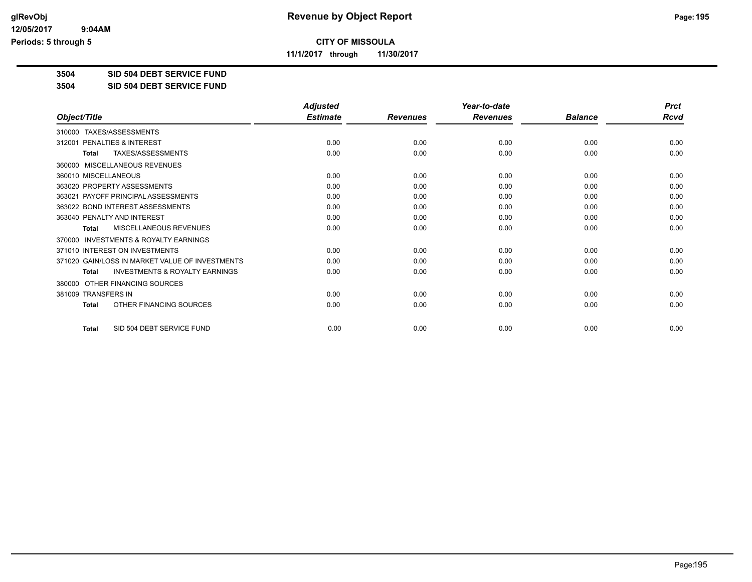**11/1/2017 through 11/30/2017**

**3504 SID 504 DEBT SERVICE FUND**

**3504 SID 504 DEBT SERVICE FUND**

|                                                           | <b>Adjusted</b> |                 | Year-to-date    |                | <b>Prct</b> |
|-----------------------------------------------------------|-----------------|-----------------|-----------------|----------------|-------------|
| Object/Title                                              | <b>Estimate</b> | <b>Revenues</b> | <b>Revenues</b> | <b>Balance</b> | <b>Rcvd</b> |
| TAXES/ASSESSMENTS<br>310000                               |                 |                 |                 |                |             |
| PENALTIES & INTEREST<br>312001                            | 0.00            | 0.00            | 0.00            | 0.00           | 0.00        |
| <b>TAXES/ASSESSMENTS</b><br>Total                         | 0.00            | 0.00            | 0.00            | 0.00           | 0.00        |
| MISCELLANEOUS REVENUES<br>360000                          |                 |                 |                 |                |             |
| 360010 MISCELLANEOUS                                      | 0.00            | 0.00            | 0.00            | 0.00           | 0.00        |
| 363020 PROPERTY ASSESSMENTS                               | 0.00            | 0.00            | 0.00            | 0.00           | 0.00        |
| 363021 PAYOFF PRINCIPAL ASSESSMENTS                       | 0.00            | 0.00            | 0.00            | 0.00           | 0.00        |
| 363022 BOND INTEREST ASSESSMENTS                          | 0.00            | 0.00            | 0.00            | 0.00           | 0.00        |
| 363040 PENALTY AND INTEREST                               | 0.00            | 0.00            | 0.00            | 0.00           | 0.00        |
| MISCELLANEOUS REVENUES<br>Total                           | 0.00            | 0.00            | 0.00            | 0.00           | 0.00        |
| <b>INVESTMENTS &amp; ROYALTY EARNINGS</b><br>370000       |                 |                 |                 |                |             |
| 371010 INTEREST ON INVESTMENTS                            | 0.00            | 0.00            | 0.00            | 0.00           | 0.00        |
| 371020 GAIN/LOSS IN MARKET VALUE OF INVESTMENTS           | 0.00            | 0.00            | 0.00            | 0.00           | 0.00        |
| <b>INVESTMENTS &amp; ROYALTY EARNINGS</b><br><b>Total</b> | 0.00            | 0.00            | 0.00            | 0.00           | 0.00        |
| OTHER FINANCING SOURCES<br>380000                         |                 |                 |                 |                |             |
| 381009 TRANSFERS IN                                       | 0.00            | 0.00            | 0.00            | 0.00           | 0.00        |
| OTHER FINANCING SOURCES<br><b>Total</b>                   | 0.00            | 0.00            | 0.00            | 0.00           | 0.00        |
| SID 504 DEBT SERVICE FUND<br><b>Total</b>                 | 0.00            | 0.00            | 0.00            | 0.00           | 0.00        |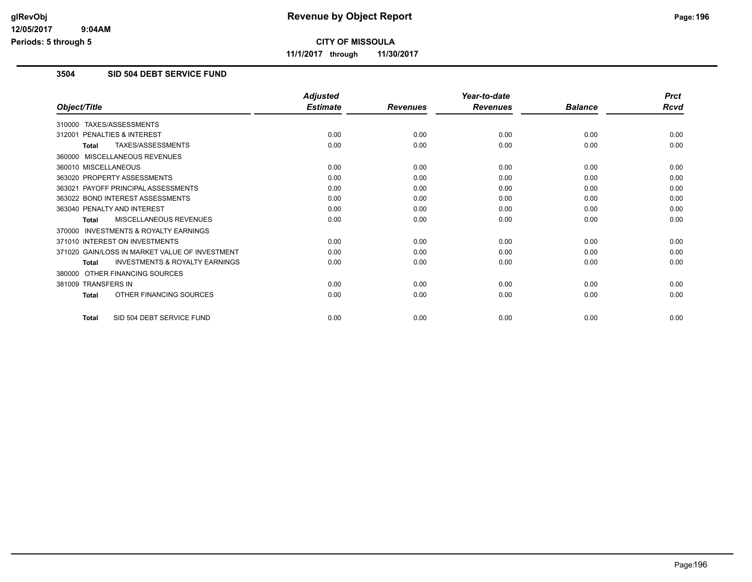**11/1/2017 through 11/30/2017**

# **3504 SID 504 DEBT SERVICE FUND**

|                                                           | <b>Adjusted</b> |                 | Year-to-date    |                | <b>Prct</b> |
|-----------------------------------------------------------|-----------------|-----------------|-----------------|----------------|-------------|
| Object/Title                                              | <b>Estimate</b> | <b>Revenues</b> | <b>Revenues</b> | <b>Balance</b> | <b>Rcvd</b> |
| 310000 TAXES/ASSESSMENTS                                  |                 |                 |                 |                |             |
| PENALTIES & INTEREST<br>312001                            | 0.00            | 0.00            | 0.00            | 0.00           | 0.00        |
| TAXES/ASSESSMENTS<br><b>Total</b>                         | 0.00            | 0.00            | 0.00            | 0.00           | 0.00        |
| 360000 MISCELLANEOUS REVENUES                             |                 |                 |                 |                |             |
| 360010 MISCELLANEOUS                                      | 0.00            | 0.00            | 0.00            | 0.00           | 0.00        |
| 363020 PROPERTY ASSESSMENTS                               | 0.00            | 0.00            | 0.00            | 0.00           | 0.00        |
| 363021 PAYOFF PRINCIPAL ASSESSMENTS                       | 0.00            | 0.00            | 0.00            | 0.00           | 0.00        |
| 363022 BOND INTEREST ASSESSMENTS                          | 0.00            | 0.00            | 0.00            | 0.00           | 0.00        |
| 363040 PENALTY AND INTEREST                               | 0.00            | 0.00            | 0.00            | 0.00           | 0.00        |
| MISCELLANEOUS REVENUES<br><b>Total</b>                    | 0.00            | 0.00            | 0.00            | 0.00           | 0.00        |
| <b>INVESTMENTS &amp; ROYALTY EARNINGS</b><br>370000       |                 |                 |                 |                |             |
| 371010 INTEREST ON INVESTMENTS                            | 0.00            | 0.00            | 0.00            | 0.00           | 0.00        |
| 371020 GAIN/LOSS IN MARKET VALUE OF INVESTMENT            | 0.00            | 0.00            | 0.00            | 0.00           | 0.00        |
| <b>INVESTMENTS &amp; ROYALTY EARNINGS</b><br><b>Total</b> | 0.00            | 0.00            | 0.00            | 0.00           | 0.00        |
| OTHER FINANCING SOURCES<br>380000                         |                 |                 |                 |                |             |
| 381009 TRANSFERS IN                                       | 0.00            | 0.00            | 0.00            | 0.00           | 0.00        |
| OTHER FINANCING SOURCES<br><b>Total</b>                   | 0.00            | 0.00            | 0.00            | 0.00           | 0.00        |
| SID 504 DEBT SERVICE FUND<br><b>Total</b>                 | 0.00            | 0.00            | 0.00            | 0.00           | 0.00        |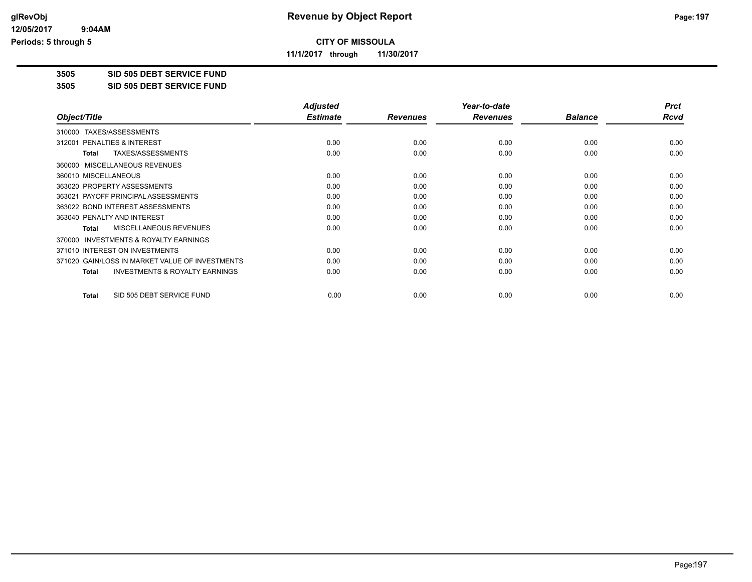**11/1/2017 through 11/30/2017**

**3505 SID 505 DEBT SERVICE FUND**

**3505 SID 505 DEBT SERVICE FUND**

|                                                           | <b>Adjusted</b> |                 | Year-to-date    |                | <b>Prct</b> |
|-----------------------------------------------------------|-----------------|-----------------|-----------------|----------------|-------------|
| Object/Title                                              | <b>Estimate</b> | <b>Revenues</b> | <b>Revenues</b> | <b>Balance</b> | Rcvd        |
| 310000 TAXES/ASSESSMENTS                                  |                 |                 |                 |                |             |
| 312001 PENALTIES & INTEREST                               | 0.00            | 0.00            | 0.00            | 0.00           | 0.00        |
| TAXES/ASSESSMENTS<br><b>Total</b>                         | 0.00            | 0.00            | 0.00            | 0.00           | 0.00        |
| MISCELLANEOUS REVENUES<br>360000                          |                 |                 |                 |                |             |
| 360010 MISCELLANEOUS                                      | 0.00            | 0.00            | 0.00            | 0.00           | 0.00        |
| 363020 PROPERTY ASSESSMENTS                               | 0.00            | 0.00            | 0.00            | 0.00           | 0.00        |
| 363021 PAYOFF PRINCIPAL ASSESSMENTS                       | 0.00            | 0.00            | 0.00            | 0.00           | 0.00        |
| 363022 BOND INTEREST ASSESSMENTS                          | 0.00            | 0.00            | 0.00            | 0.00           | 0.00        |
| 363040 PENALTY AND INTEREST                               | 0.00            | 0.00            | 0.00            | 0.00           | 0.00        |
| <b>MISCELLANEOUS REVENUES</b><br>Total                    | 0.00            | 0.00            | 0.00            | 0.00           | 0.00        |
| 370000 INVESTMENTS & ROYALTY EARNINGS                     |                 |                 |                 |                |             |
| 371010 INTEREST ON INVESTMENTS                            | 0.00            | 0.00            | 0.00            | 0.00           | 0.00        |
| 371020 GAIN/LOSS IN MARKET VALUE OF INVESTMENTS           | 0.00            | 0.00            | 0.00            | 0.00           | 0.00        |
| <b>INVESTMENTS &amp; ROYALTY EARNINGS</b><br><b>Total</b> | 0.00            | 0.00            | 0.00            | 0.00           | 0.00        |
| SID 505 DEBT SERVICE FUND<br><b>Total</b>                 | 0.00            | 0.00            | 0.00            | 0.00           | 0.00        |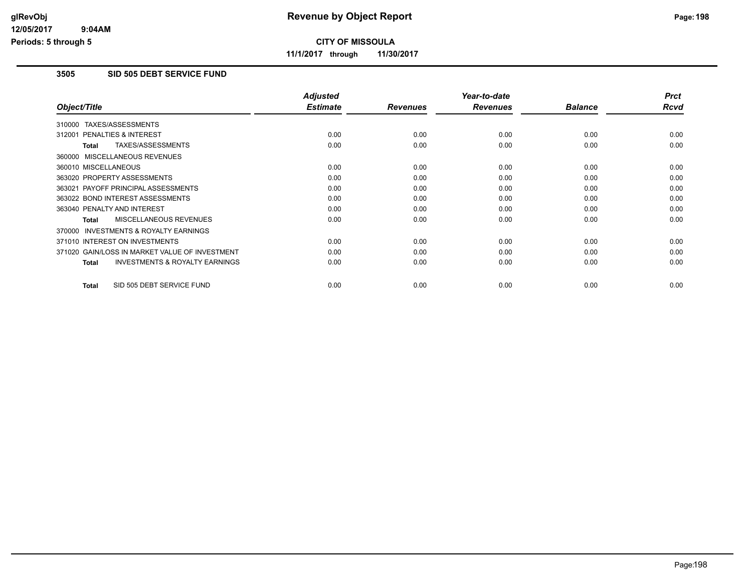**11/1/2017 through 11/30/2017**

# **3505 SID 505 DEBT SERVICE FUND**

|                                                           | <b>Adjusted</b> |                 | Year-to-date    |                | <b>Prct</b> |
|-----------------------------------------------------------|-----------------|-----------------|-----------------|----------------|-------------|
| Object/Title                                              | <b>Estimate</b> | <b>Revenues</b> | <b>Revenues</b> | <b>Balance</b> | <b>Rcvd</b> |
| 310000 TAXES/ASSESSMENTS                                  |                 |                 |                 |                |             |
| 312001 PENALTIES & INTEREST                               | 0.00            | 0.00            | 0.00            | 0.00           | 0.00        |
| TAXES/ASSESSMENTS<br>Total                                | 0.00            | 0.00            | 0.00            | 0.00           | 0.00        |
| 360000 MISCELLANEOUS REVENUES                             |                 |                 |                 |                |             |
| 360010 MISCELLANEOUS                                      | 0.00            | 0.00            | 0.00            | 0.00           | 0.00        |
| 363020 PROPERTY ASSESSMENTS                               | 0.00            | 0.00            | 0.00            | 0.00           | 0.00        |
| 363021 PAYOFF PRINCIPAL ASSESSMENTS                       | 0.00            | 0.00            | 0.00            | 0.00           | 0.00        |
| 363022 BOND INTEREST ASSESSMENTS                          | 0.00            | 0.00            | 0.00            | 0.00           | 0.00        |
| 363040 PENALTY AND INTEREST                               | 0.00            | 0.00            | 0.00            | 0.00           | 0.00        |
| <b>MISCELLANEOUS REVENUES</b><br>Total                    | 0.00            | 0.00            | 0.00            | 0.00           | 0.00        |
| <b>INVESTMENTS &amp; ROYALTY EARNINGS</b><br>370000       |                 |                 |                 |                |             |
| 371010 INTEREST ON INVESTMENTS                            | 0.00            | 0.00            | 0.00            | 0.00           | 0.00        |
| 371020 GAIN/LOSS IN MARKET VALUE OF INVESTMENT            | 0.00            | 0.00            | 0.00            | 0.00           | 0.00        |
| <b>INVESTMENTS &amp; ROYALTY EARNINGS</b><br><b>Total</b> | 0.00            | 0.00            | 0.00            | 0.00           | 0.00        |
| SID 505 DEBT SERVICE FUND<br><b>Total</b>                 | 0.00            | 0.00            | 0.00            | 0.00           | 0.00        |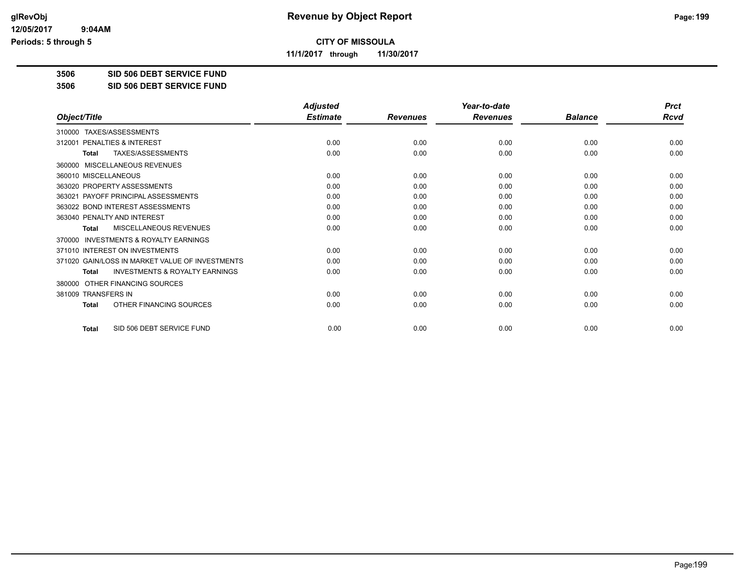**11/1/2017 through 11/30/2017**

**3506 SID 506 DEBT SERVICE FUND**

**3506 SID 506 DEBT SERVICE FUND**

|                                                           | <b>Adjusted</b> |                 | Year-to-date    |                | <b>Prct</b> |
|-----------------------------------------------------------|-----------------|-----------------|-----------------|----------------|-------------|
| Object/Title                                              | <b>Estimate</b> | <b>Revenues</b> | <b>Revenues</b> | <b>Balance</b> | <b>Rcvd</b> |
| TAXES/ASSESSMENTS<br>310000                               |                 |                 |                 |                |             |
| PENALTIES & INTEREST<br>312001                            | 0.00            | 0.00            | 0.00            | 0.00           | 0.00        |
| TAXES/ASSESSMENTS<br>Total                                | 0.00            | 0.00            | 0.00            | 0.00           | 0.00        |
| MISCELLANEOUS REVENUES<br>360000                          |                 |                 |                 |                |             |
| 360010 MISCELLANEOUS                                      | 0.00            | 0.00            | 0.00            | 0.00           | 0.00        |
| 363020 PROPERTY ASSESSMENTS                               | 0.00            | 0.00            | 0.00            | 0.00           | 0.00        |
| 363021 PAYOFF PRINCIPAL ASSESSMENTS                       | 0.00            | 0.00            | 0.00            | 0.00           | 0.00        |
| 363022 BOND INTEREST ASSESSMENTS                          | 0.00            | 0.00            | 0.00            | 0.00           | 0.00        |
| 363040 PENALTY AND INTEREST                               | 0.00            | 0.00            | 0.00            | 0.00           | 0.00        |
| MISCELLANEOUS REVENUES<br><b>Total</b>                    | 0.00            | 0.00            | 0.00            | 0.00           | 0.00        |
| <b>INVESTMENTS &amp; ROYALTY EARNINGS</b><br>370000       |                 |                 |                 |                |             |
| 371010 INTEREST ON INVESTMENTS                            | 0.00            | 0.00            | 0.00            | 0.00           | 0.00        |
| 371020 GAIN/LOSS IN MARKET VALUE OF INVESTMENTS           | 0.00            | 0.00            | 0.00            | 0.00           | 0.00        |
| <b>INVESTMENTS &amp; ROYALTY EARNINGS</b><br><b>Total</b> | 0.00            | 0.00            | 0.00            | 0.00           | 0.00        |
| OTHER FINANCING SOURCES<br>380000                         |                 |                 |                 |                |             |
| 381009 TRANSFERS IN                                       | 0.00            | 0.00            | 0.00            | 0.00           | 0.00        |
| OTHER FINANCING SOURCES<br><b>Total</b>                   | 0.00            | 0.00            | 0.00            | 0.00           | 0.00        |
| SID 506 DEBT SERVICE FUND<br><b>Total</b>                 | 0.00            | 0.00            | 0.00            | 0.00           | 0.00        |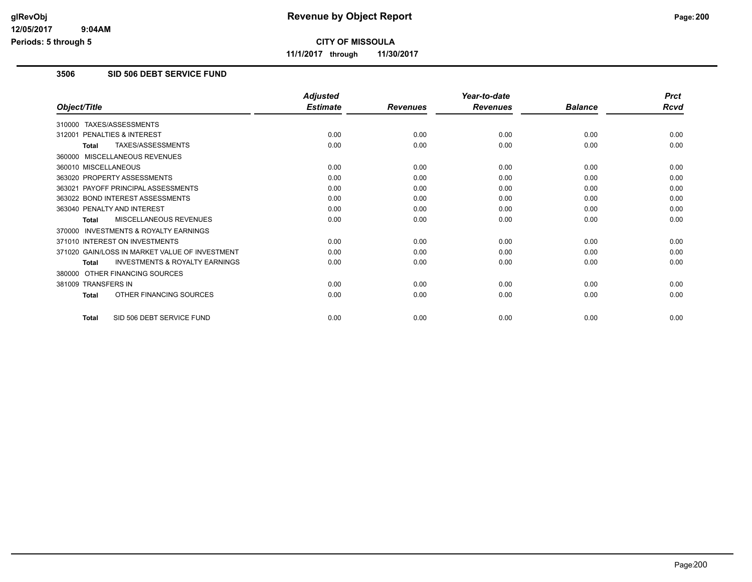**11/1/2017 through 11/30/2017**

# **3506 SID 506 DEBT SERVICE FUND**

|                                                           | <b>Adjusted</b> |                 | Year-to-date    |                | <b>Prct</b> |
|-----------------------------------------------------------|-----------------|-----------------|-----------------|----------------|-------------|
| Object/Title                                              | <b>Estimate</b> | <b>Revenues</b> | <b>Revenues</b> | <b>Balance</b> | Rcvd        |
| 310000 TAXES/ASSESSMENTS                                  |                 |                 |                 |                |             |
| PENALTIES & INTEREST<br>312001                            | 0.00            | 0.00            | 0.00            | 0.00           | 0.00        |
| TAXES/ASSESSMENTS<br><b>Total</b>                         | 0.00            | 0.00            | 0.00            | 0.00           | 0.00        |
| 360000 MISCELLANEOUS REVENUES                             |                 |                 |                 |                |             |
| 360010 MISCELLANEOUS                                      | 0.00            | 0.00            | 0.00            | 0.00           | 0.00        |
| 363020 PROPERTY ASSESSMENTS                               | 0.00            | 0.00            | 0.00            | 0.00           | 0.00        |
| 363021 PAYOFF PRINCIPAL ASSESSMENTS                       | 0.00            | 0.00            | 0.00            | 0.00           | 0.00        |
| 363022 BOND INTEREST ASSESSMENTS                          | 0.00            | 0.00            | 0.00            | 0.00           | 0.00        |
| 363040 PENALTY AND INTEREST                               | 0.00            | 0.00            | 0.00            | 0.00           | 0.00        |
| MISCELLANEOUS REVENUES<br><b>Total</b>                    | 0.00            | 0.00            | 0.00            | 0.00           | 0.00        |
| <b>INVESTMENTS &amp; ROYALTY EARNINGS</b><br>370000       |                 |                 |                 |                |             |
| 371010 INTEREST ON INVESTMENTS                            | 0.00            | 0.00            | 0.00            | 0.00           | 0.00        |
| 371020 GAIN/LOSS IN MARKET VALUE OF INVESTMENT            | 0.00            | 0.00            | 0.00            | 0.00           | 0.00        |
| <b>INVESTMENTS &amp; ROYALTY EARNINGS</b><br><b>Total</b> | 0.00            | 0.00            | 0.00            | 0.00           | 0.00        |
| OTHER FINANCING SOURCES<br>380000                         |                 |                 |                 |                |             |
| 381009 TRANSFERS IN                                       | 0.00            | 0.00            | 0.00            | 0.00           | 0.00        |
| OTHER FINANCING SOURCES<br><b>Total</b>                   | 0.00            | 0.00            | 0.00            | 0.00           | 0.00        |
| SID 506 DEBT SERVICE FUND<br><b>Total</b>                 | 0.00            | 0.00            | 0.00            | 0.00           | 0.00        |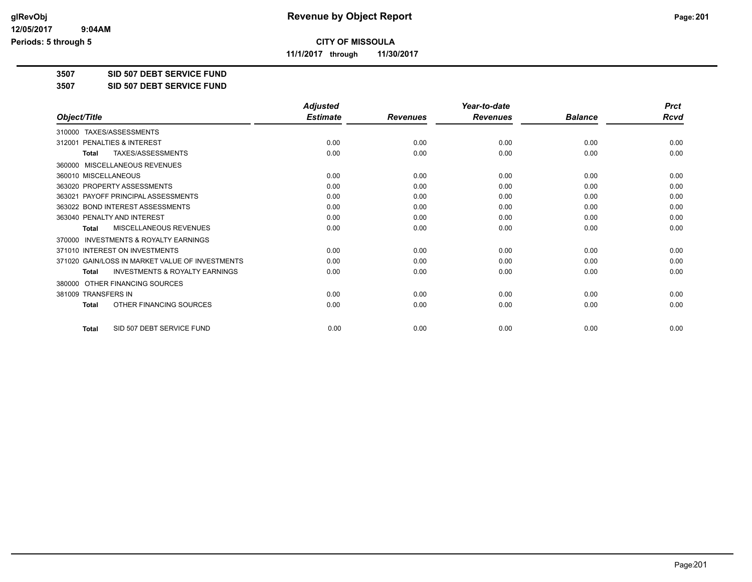**11/1/2017 through 11/30/2017**

**3507 SID 507 DEBT SERVICE FUND**

**3507 SID 507 DEBT SERVICE FUND**

|                                                           | <b>Adjusted</b> |                 | Year-to-date    |                | <b>Prct</b> |
|-----------------------------------------------------------|-----------------|-----------------|-----------------|----------------|-------------|
| Object/Title                                              | <b>Estimate</b> | <b>Revenues</b> | <b>Revenues</b> | <b>Balance</b> | <b>Rcvd</b> |
| TAXES/ASSESSMENTS<br>310000                               |                 |                 |                 |                |             |
| PENALTIES & INTEREST<br>312001                            | 0.00            | 0.00            | 0.00            | 0.00           | 0.00        |
| TAXES/ASSESSMENTS<br>Total                                | 0.00            | 0.00            | 0.00            | 0.00           | 0.00        |
| MISCELLANEOUS REVENUES<br>360000                          |                 |                 |                 |                |             |
| 360010 MISCELLANEOUS                                      | 0.00            | 0.00            | 0.00            | 0.00           | 0.00        |
| 363020 PROPERTY ASSESSMENTS                               | 0.00            | 0.00            | 0.00            | 0.00           | 0.00        |
| 363021 PAYOFF PRINCIPAL ASSESSMENTS                       | 0.00            | 0.00            | 0.00            | 0.00           | 0.00        |
| 363022 BOND INTEREST ASSESSMENTS                          | 0.00            | 0.00            | 0.00            | 0.00           | 0.00        |
| 363040 PENALTY AND INTEREST                               | 0.00            | 0.00            | 0.00            | 0.00           | 0.00        |
| MISCELLANEOUS REVENUES<br><b>Total</b>                    | 0.00            | 0.00            | 0.00            | 0.00           | 0.00        |
| <b>INVESTMENTS &amp; ROYALTY EARNINGS</b><br>370000       |                 |                 |                 |                |             |
| 371010 INTEREST ON INVESTMENTS                            | 0.00            | 0.00            | 0.00            | 0.00           | 0.00        |
| 371020 GAIN/LOSS IN MARKET VALUE OF INVESTMENTS           | 0.00            | 0.00            | 0.00            | 0.00           | 0.00        |
| <b>INVESTMENTS &amp; ROYALTY EARNINGS</b><br><b>Total</b> | 0.00            | 0.00            | 0.00            | 0.00           | 0.00        |
| OTHER FINANCING SOURCES<br>380000                         |                 |                 |                 |                |             |
| 381009 TRANSFERS IN                                       | 0.00            | 0.00            | 0.00            | 0.00           | 0.00        |
| OTHER FINANCING SOURCES<br><b>Total</b>                   | 0.00            | 0.00            | 0.00            | 0.00           | 0.00        |
| SID 507 DEBT SERVICE FUND<br><b>Total</b>                 | 0.00            | 0.00            | 0.00            | 0.00           | 0.00        |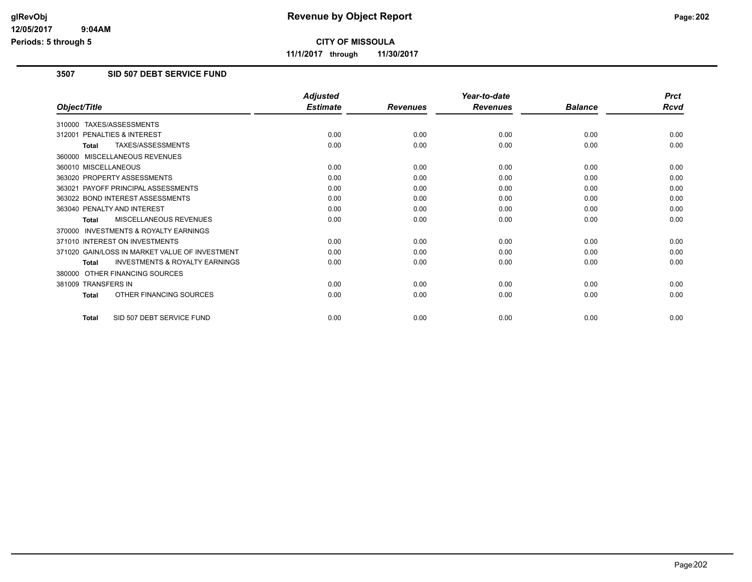**11/1/2017 through 11/30/2017**

# **3507 SID 507 DEBT SERVICE FUND**

|                                                           | <b>Adjusted</b> |                 | Year-to-date    |                | <b>Prct</b> |
|-----------------------------------------------------------|-----------------|-----------------|-----------------|----------------|-------------|
| Object/Title                                              | <b>Estimate</b> | <b>Revenues</b> | <b>Revenues</b> | <b>Balance</b> | <b>Rcvd</b> |
| 310000 TAXES/ASSESSMENTS                                  |                 |                 |                 |                |             |
| 312001 PENALTIES & INTEREST                               | 0.00            | 0.00            | 0.00            | 0.00           | 0.00        |
| TAXES/ASSESSMENTS<br><b>Total</b>                         | 0.00            | 0.00            | 0.00            | 0.00           | 0.00        |
| 360000 MISCELLANEOUS REVENUES                             |                 |                 |                 |                |             |
| 360010 MISCELLANEOUS                                      | 0.00            | 0.00            | 0.00            | 0.00           | 0.00        |
| 363020 PROPERTY ASSESSMENTS                               | 0.00            | 0.00            | 0.00            | 0.00           | 0.00        |
| 363021 PAYOFF PRINCIPAL ASSESSMENTS                       | 0.00            | 0.00            | 0.00            | 0.00           | 0.00        |
| 363022 BOND INTEREST ASSESSMENTS                          | 0.00            | 0.00            | 0.00            | 0.00           | 0.00        |
| 363040 PENALTY AND INTEREST                               | 0.00            | 0.00            | 0.00            | 0.00           | 0.00        |
| MISCELLANEOUS REVENUES<br><b>Total</b>                    | 0.00            | 0.00            | 0.00            | 0.00           | 0.00        |
| <b>INVESTMENTS &amp; ROYALTY EARNINGS</b><br>370000       |                 |                 |                 |                |             |
| 371010 INTEREST ON INVESTMENTS                            | 0.00            | 0.00            | 0.00            | 0.00           | 0.00        |
| 371020 GAIN/LOSS IN MARKET VALUE OF INVESTMENT            | 0.00            | 0.00            | 0.00            | 0.00           | 0.00        |
| <b>INVESTMENTS &amp; ROYALTY EARNINGS</b><br><b>Total</b> | 0.00            | 0.00            | 0.00            | 0.00           | 0.00        |
| 380000 OTHER FINANCING SOURCES                            |                 |                 |                 |                |             |
| 381009 TRANSFERS IN                                       | 0.00            | 0.00            | 0.00            | 0.00           | 0.00        |
| OTHER FINANCING SOURCES<br><b>Total</b>                   | 0.00            | 0.00            | 0.00            | 0.00           | 0.00        |
| SID 507 DEBT SERVICE FUND<br><b>Total</b>                 | 0.00            | 0.00            | 0.00            | 0.00           | 0.00        |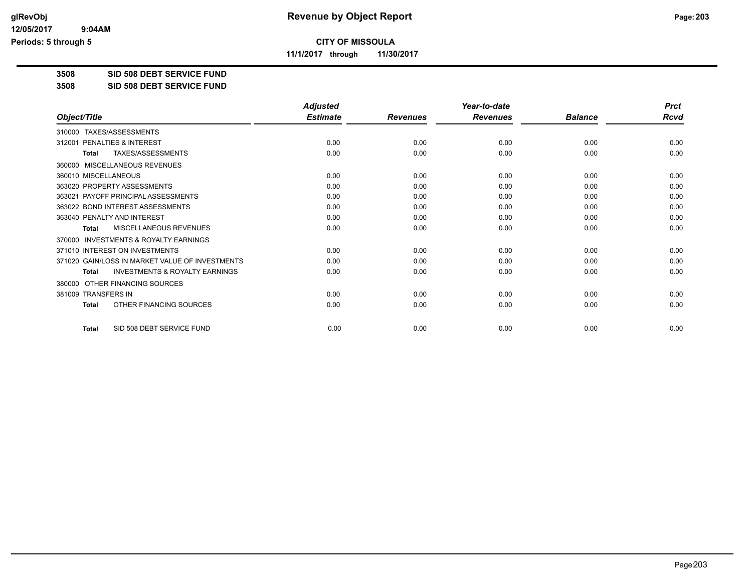**11/1/2017 through 11/30/2017**

**3508 SID 508 DEBT SERVICE FUND**

**3508 SID 508 DEBT SERVICE FUND**

|                                                     | <b>Adjusted</b> |                 | Year-to-date    |                | <b>Prct</b> |
|-----------------------------------------------------|-----------------|-----------------|-----------------|----------------|-------------|
| Object/Title                                        | <b>Estimate</b> | <b>Revenues</b> | <b>Revenues</b> | <b>Balance</b> | <b>Rcvd</b> |
| 310000 TAXES/ASSESSMENTS                            |                 |                 |                 |                |             |
| PENALTIES & INTEREST<br>312001                      | 0.00            | 0.00            | 0.00            | 0.00           | 0.00        |
| <b>TAXES/ASSESSMENTS</b><br><b>Total</b>            | 0.00            | 0.00            | 0.00            | 0.00           | 0.00        |
| MISCELLANEOUS REVENUES<br>360000                    |                 |                 |                 |                |             |
| 360010 MISCELLANEOUS                                | 0.00            | 0.00            | 0.00            | 0.00           | 0.00        |
| 363020 PROPERTY ASSESSMENTS                         | 0.00            | 0.00            | 0.00            | 0.00           | 0.00        |
| 363021 PAYOFF PRINCIPAL ASSESSMENTS                 | 0.00            | 0.00            | 0.00            | 0.00           | 0.00        |
| 363022 BOND INTEREST ASSESSMENTS                    | 0.00            | 0.00            | 0.00            | 0.00           | 0.00        |
| 363040 PENALTY AND INTEREST                         | 0.00            | 0.00            | 0.00            | 0.00           | 0.00        |
| MISCELLANEOUS REVENUES<br>Total                     | 0.00            | 0.00            | 0.00            | 0.00           | 0.00        |
| <b>INVESTMENTS &amp; ROYALTY EARNINGS</b><br>370000 |                 |                 |                 |                |             |
| 371010 INTEREST ON INVESTMENTS                      | 0.00            | 0.00            | 0.00            | 0.00           | 0.00        |
| 371020 GAIN/LOSS IN MARKET VALUE OF INVESTMENTS     | 0.00            | 0.00            | 0.00            | 0.00           | 0.00        |
| <b>INVESTMENTS &amp; ROYALTY EARNINGS</b><br>Total  | 0.00            | 0.00            | 0.00            | 0.00           | 0.00        |
| OTHER FINANCING SOURCES<br>380000                   |                 |                 |                 |                |             |
| 381009 TRANSFERS IN                                 | 0.00            | 0.00            | 0.00            | 0.00           | 0.00        |
| OTHER FINANCING SOURCES<br><b>Total</b>             | 0.00            | 0.00            | 0.00            | 0.00           | 0.00        |
| SID 508 DEBT SERVICE FUND<br><b>Total</b>           | 0.00            | 0.00            | 0.00            | 0.00           | 0.00        |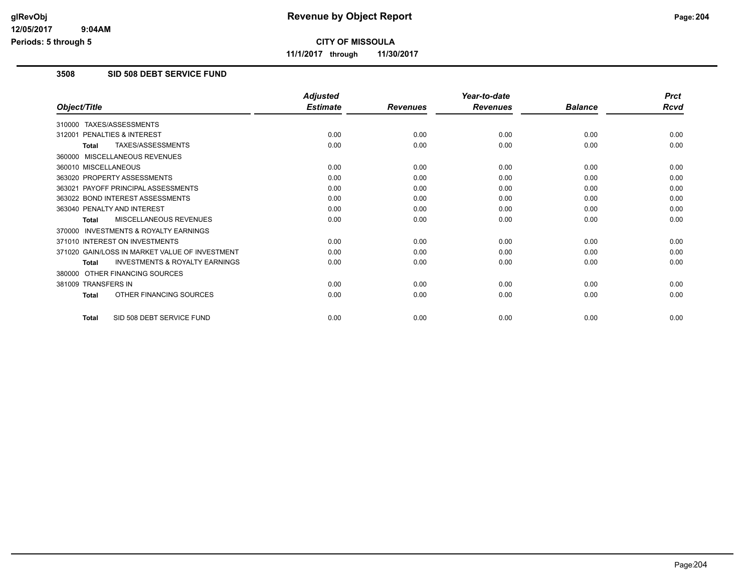**11/1/2017 through 11/30/2017**

# **3508 SID 508 DEBT SERVICE FUND**

|                                                           | <b>Adjusted</b> |                 | Year-to-date    |                | <b>Prct</b> |
|-----------------------------------------------------------|-----------------|-----------------|-----------------|----------------|-------------|
| Object/Title                                              | <b>Estimate</b> | <b>Revenues</b> | <b>Revenues</b> | <b>Balance</b> | <b>Rcvd</b> |
| 310000 TAXES/ASSESSMENTS                                  |                 |                 |                 |                |             |
| PENALTIES & INTEREST<br>312001                            | 0.00            | 0.00            | 0.00            | 0.00           | 0.00        |
| TAXES/ASSESSMENTS<br><b>Total</b>                         | 0.00            | 0.00            | 0.00            | 0.00           | 0.00        |
| 360000 MISCELLANEOUS REVENUES                             |                 |                 |                 |                |             |
| 360010 MISCELLANEOUS                                      | 0.00            | 0.00            | 0.00            | 0.00           | 0.00        |
| 363020 PROPERTY ASSESSMENTS                               | 0.00            | 0.00            | 0.00            | 0.00           | 0.00        |
| 363021 PAYOFF PRINCIPAL ASSESSMENTS                       | 0.00            | 0.00            | 0.00            | 0.00           | 0.00        |
| 363022 BOND INTEREST ASSESSMENTS                          | 0.00            | 0.00            | 0.00            | 0.00           | 0.00        |
| 363040 PENALTY AND INTEREST                               | 0.00            | 0.00            | 0.00            | 0.00           | 0.00        |
| MISCELLANEOUS REVENUES<br><b>Total</b>                    | 0.00            | 0.00            | 0.00            | 0.00           | 0.00        |
| <b>INVESTMENTS &amp; ROYALTY EARNINGS</b><br>370000       |                 |                 |                 |                |             |
| 371010 INTEREST ON INVESTMENTS                            | 0.00            | 0.00            | 0.00            | 0.00           | 0.00        |
| 371020 GAIN/LOSS IN MARKET VALUE OF INVESTMENT            | 0.00            | 0.00            | 0.00            | 0.00           | 0.00        |
| <b>INVESTMENTS &amp; ROYALTY EARNINGS</b><br><b>Total</b> | 0.00            | 0.00            | 0.00            | 0.00           | 0.00        |
| OTHER FINANCING SOURCES<br>380000                         |                 |                 |                 |                |             |
| 381009 TRANSFERS IN                                       | 0.00            | 0.00            | 0.00            | 0.00           | 0.00        |
| OTHER FINANCING SOURCES<br><b>Total</b>                   | 0.00            | 0.00            | 0.00            | 0.00           | 0.00        |
| SID 508 DEBT SERVICE FUND<br><b>Total</b>                 | 0.00            | 0.00            | 0.00            | 0.00           | 0.00        |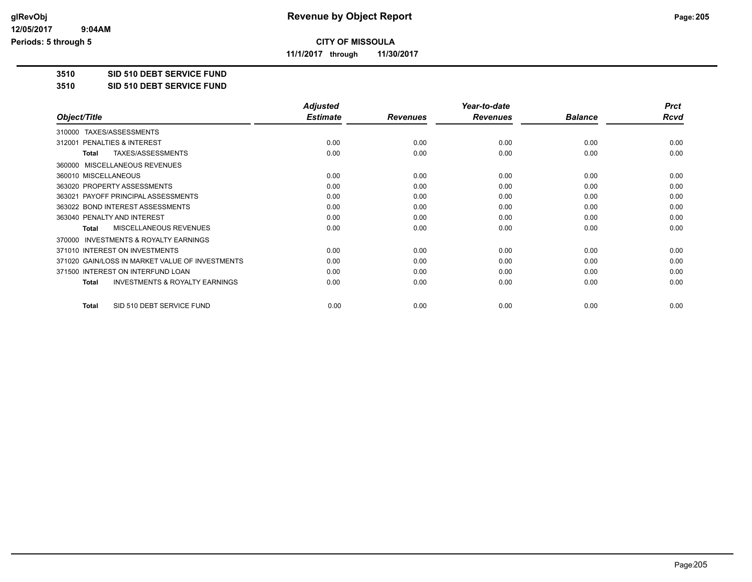**11/1/2017 through 11/30/2017**

**3510 SID 510 DEBT SERVICE FUND**

**3510 SID 510 DEBT SERVICE FUND**

|                                                           | <b>Adjusted</b> |                 | Year-to-date    |                | <b>Prct</b> |
|-----------------------------------------------------------|-----------------|-----------------|-----------------|----------------|-------------|
| Object/Title                                              | <b>Estimate</b> | <b>Revenues</b> | <b>Revenues</b> | <b>Balance</b> | <b>Rcvd</b> |
| TAXES/ASSESSMENTS<br>310000                               |                 |                 |                 |                |             |
| 312001 PENALTIES & INTEREST                               | 0.00            | 0.00            | 0.00            | 0.00           | 0.00        |
| TAXES/ASSESSMENTS<br><b>Total</b>                         | 0.00            | 0.00            | 0.00            | 0.00           | 0.00        |
| MISCELLANEOUS REVENUES<br>360000                          |                 |                 |                 |                |             |
| 360010 MISCELLANEOUS                                      | 0.00            | 0.00            | 0.00            | 0.00           | 0.00        |
| 363020 PROPERTY ASSESSMENTS                               | 0.00            | 0.00            | 0.00            | 0.00           | 0.00        |
| 363021 PAYOFF PRINCIPAL ASSESSMENTS                       | 0.00            | 0.00            | 0.00            | 0.00           | 0.00        |
| 363022 BOND INTEREST ASSESSMENTS                          | 0.00            | 0.00            | 0.00            | 0.00           | 0.00        |
| 363040 PENALTY AND INTEREST                               | 0.00            | 0.00            | 0.00            | 0.00           | 0.00        |
| <b>MISCELLANEOUS REVENUES</b><br>Total                    | 0.00            | 0.00            | 0.00            | 0.00           | 0.00        |
| <b>INVESTMENTS &amp; ROYALTY EARNINGS</b><br>370000       |                 |                 |                 |                |             |
| 371010 INTEREST ON INVESTMENTS                            | 0.00            | 0.00            | 0.00            | 0.00           | 0.00        |
| 371020 GAIN/LOSS IN MARKET VALUE OF INVESTMENTS           | 0.00            | 0.00            | 0.00            | 0.00           | 0.00        |
| 371500 INTEREST ON INTERFUND LOAN                         | 0.00            | 0.00            | 0.00            | 0.00           | 0.00        |
| <b>INVESTMENTS &amp; ROYALTY EARNINGS</b><br><b>Total</b> | 0.00            | 0.00            | 0.00            | 0.00           | 0.00        |
| SID 510 DEBT SERVICE FUND<br>Total                        | 0.00            | 0.00            | 0.00            | 0.00           | 0.00        |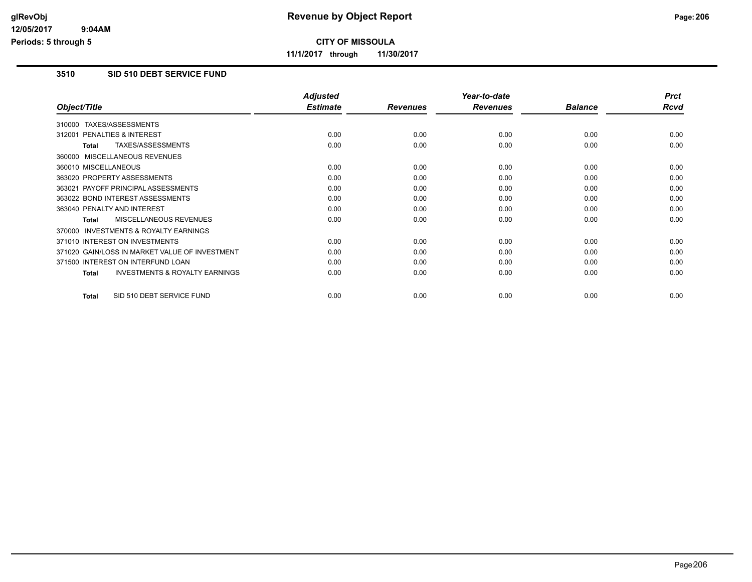**11/1/2017 through 11/30/2017**

# **3510 SID 510 DEBT SERVICE FUND**

|                                                           | <b>Adjusted</b> |                 | Year-to-date    |                | <b>Prct</b> |
|-----------------------------------------------------------|-----------------|-----------------|-----------------|----------------|-------------|
| Object/Title                                              | <b>Estimate</b> | <b>Revenues</b> | <b>Revenues</b> | <b>Balance</b> | Rcvd        |
| TAXES/ASSESSMENTS<br>310000                               |                 |                 |                 |                |             |
| PENALTIES & INTEREST<br>312001                            | 0.00            | 0.00            | 0.00            | 0.00           | 0.00        |
| TAXES/ASSESSMENTS<br><b>Total</b>                         | 0.00            | 0.00            | 0.00            | 0.00           | 0.00        |
| 360000 MISCELLANEOUS REVENUES                             |                 |                 |                 |                |             |
| 360010 MISCELLANEOUS                                      | 0.00            | 0.00            | 0.00            | 0.00           | 0.00        |
| 363020 PROPERTY ASSESSMENTS                               | 0.00            | 0.00            | 0.00            | 0.00           | 0.00        |
| 363021 PAYOFF PRINCIPAL ASSESSMENTS                       | 0.00            | 0.00            | 0.00            | 0.00           | 0.00        |
| 363022 BOND INTEREST ASSESSMENTS                          | 0.00            | 0.00            | 0.00            | 0.00           | 0.00        |
| 363040 PENALTY AND INTEREST                               | 0.00            | 0.00            | 0.00            | 0.00           | 0.00        |
| <b>MISCELLANEOUS REVENUES</b><br><b>Total</b>             | 0.00            | 0.00            | 0.00            | 0.00           | 0.00        |
| <b>INVESTMENTS &amp; ROYALTY EARNINGS</b><br>370000       |                 |                 |                 |                |             |
| 371010 INTEREST ON INVESTMENTS                            | 0.00            | 0.00            | 0.00            | 0.00           | 0.00        |
| 371020 GAIN/LOSS IN MARKET VALUE OF INVESTMENT            | 0.00            | 0.00            | 0.00            | 0.00           | 0.00        |
| 371500 INTEREST ON INTERFUND LOAN                         | 0.00            | 0.00            | 0.00            | 0.00           | 0.00        |
| <b>INVESTMENTS &amp; ROYALTY EARNINGS</b><br><b>Total</b> | 0.00            | 0.00            | 0.00            | 0.00           | 0.00        |
| SID 510 DEBT SERVICE FUND<br>Total                        | 0.00            | 0.00            | 0.00            | 0.00           | 0.00        |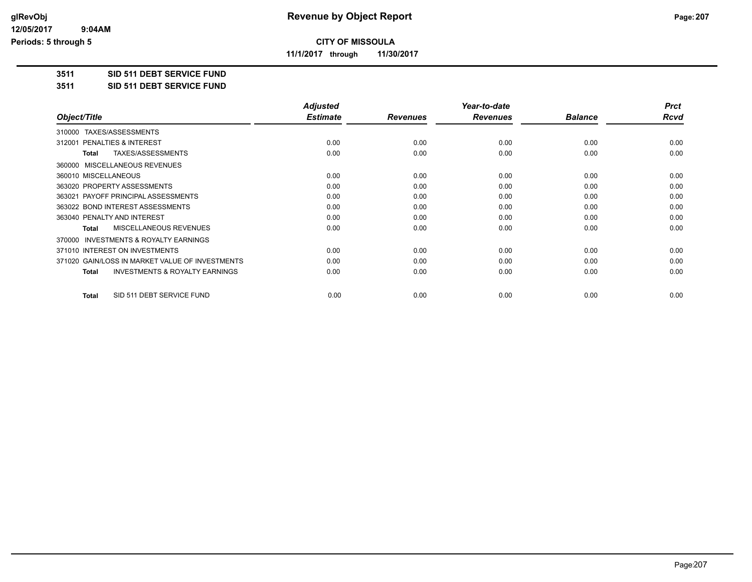**11/1/2017 through 11/30/2017**

**3511 SID 511 DEBT SERVICE FUND**

**3511 SID 511 DEBT SERVICE FUND**

|                                                           | <b>Adjusted</b> |                 | Year-to-date    |                | <b>Prct</b> |
|-----------------------------------------------------------|-----------------|-----------------|-----------------|----------------|-------------|
| Object/Title                                              | <b>Estimate</b> | <b>Revenues</b> | <b>Revenues</b> | <b>Balance</b> | Rcvd        |
| 310000 TAXES/ASSESSMENTS                                  |                 |                 |                 |                |             |
| 312001 PENALTIES & INTEREST                               | 0.00            | 0.00            | 0.00            | 0.00           | 0.00        |
| TAXES/ASSESSMENTS<br><b>Total</b>                         | 0.00            | 0.00            | 0.00            | 0.00           | 0.00        |
| 360000 MISCELLANEOUS REVENUES                             |                 |                 |                 |                |             |
| 360010 MISCELLANEOUS                                      | 0.00            | 0.00            | 0.00            | 0.00           | 0.00        |
| 363020 PROPERTY ASSESSMENTS                               | 0.00            | 0.00            | 0.00            | 0.00           | 0.00        |
| 363021 PAYOFF PRINCIPAL ASSESSMENTS                       | 0.00            | 0.00            | 0.00            | 0.00           | 0.00        |
| 363022 BOND INTEREST ASSESSMENTS                          | 0.00            | 0.00            | 0.00            | 0.00           | 0.00        |
| 363040 PENALTY AND INTEREST                               | 0.00            | 0.00            | 0.00            | 0.00           | 0.00        |
| MISCELLANEOUS REVENUES<br><b>Total</b>                    | 0.00            | 0.00            | 0.00            | 0.00           | 0.00        |
| 370000 INVESTMENTS & ROYALTY EARNINGS                     |                 |                 |                 |                |             |
| 371010 INTEREST ON INVESTMENTS                            | 0.00            | 0.00            | 0.00            | 0.00           | 0.00        |
| 371020 GAIN/LOSS IN MARKET VALUE OF INVESTMENTS           | 0.00            | 0.00            | 0.00            | 0.00           | 0.00        |
| <b>INVESTMENTS &amp; ROYALTY EARNINGS</b><br><b>Total</b> | 0.00            | 0.00            | 0.00            | 0.00           | 0.00        |
| SID 511 DEBT SERVICE FUND<br><b>Total</b>                 | 0.00            | 0.00            | 0.00            | 0.00           | 0.00        |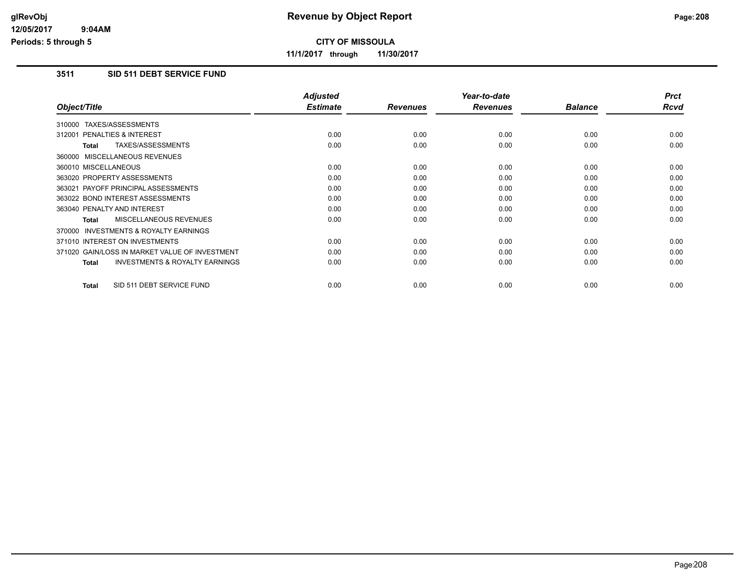**11/1/2017 through 11/30/2017**

# **3511 SID 511 DEBT SERVICE FUND**

|                                                           | <b>Adjusted</b> |                 | Year-to-date    |                | <b>Prct</b> |
|-----------------------------------------------------------|-----------------|-----------------|-----------------|----------------|-------------|
| Object/Title                                              | <b>Estimate</b> | <b>Revenues</b> | <b>Revenues</b> | <b>Balance</b> | Rcvd        |
| 310000 TAXES/ASSESSMENTS                                  |                 |                 |                 |                |             |
| 312001 PENALTIES & INTEREST                               | 0.00            | 0.00            | 0.00            | 0.00           | 0.00        |
| TAXES/ASSESSMENTS<br><b>Total</b>                         | 0.00            | 0.00            | 0.00            | 0.00           | 0.00        |
| 360000 MISCELLANEOUS REVENUES                             |                 |                 |                 |                |             |
| 360010 MISCELLANEOUS                                      | 0.00            | 0.00            | 0.00            | 0.00           | 0.00        |
| 363020 PROPERTY ASSESSMENTS                               | 0.00            | 0.00            | 0.00            | 0.00           | 0.00        |
| 363021 PAYOFF PRINCIPAL ASSESSMENTS                       | 0.00            | 0.00            | 0.00            | 0.00           | 0.00        |
| 363022 BOND INTEREST ASSESSMENTS                          | 0.00            | 0.00            | 0.00            | 0.00           | 0.00        |
| 363040 PENALTY AND INTEREST                               | 0.00            | 0.00            | 0.00            | 0.00           | 0.00        |
| MISCELLANEOUS REVENUES<br>Total                           | 0.00            | 0.00            | 0.00            | 0.00           | 0.00        |
| INVESTMENTS & ROYALTY EARNINGS<br>370000                  |                 |                 |                 |                |             |
| 371010 INTEREST ON INVESTMENTS                            | 0.00            | 0.00            | 0.00            | 0.00           | 0.00        |
| 371020 GAIN/LOSS IN MARKET VALUE OF INVESTMENT            | 0.00            | 0.00            | 0.00            | 0.00           | 0.00        |
| <b>INVESTMENTS &amp; ROYALTY EARNINGS</b><br><b>Total</b> | 0.00            | 0.00            | 0.00            | 0.00           | 0.00        |
| SID 511 DEBT SERVICE FUND<br><b>Total</b>                 | 0.00            | 0.00            | 0.00            | 0.00           | 0.00        |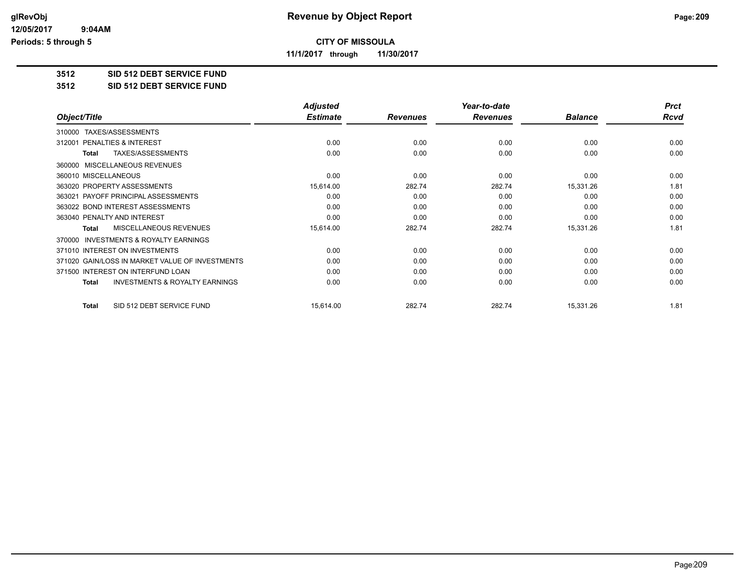**11/1/2017 through 11/30/2017**

**3512 SID 512 DEBT SERVICE FUND**

**3512 SID 512 DEBT SERVICE FUND**

|                                                           | <b>Adjusted</b> |                 | Year-to-date    |                | <b>Prct</b> |
|-----------------------------------------------------------|-----------------|-----------------|-----------------|----------------|-------------|
| Object/Title                                              | <b>Estimate</b> | <b>Revenues</b> | <b>Revenues</b> | <b>Balance</b> | <b>Rcvd</b> |
| TAXES/ASSESSMENTS<br>310000                               |                 |                 |                 |                |             |
| 312001 PENALTIES & INTEREST                               | 0.00            | 0.00            | 0.00            | 0.00           | 0.00        |
| TAXES/ASSESSMENTS<br><b>Total</b>                         | 0.00            | 0.00            | 0.00            | 0.00           | 0.00        |
| <b>MISCELLANEOUS REVENUES</b><br>360000                   |                 |                 |                 |                |             |
| 360010 MISCELLANEOUS                                      | 0.00            | 0.00            | 0.00            | 0.00           | 0.00        |
| 363020 PROPERTY ASSESSMENTS                               | 15,614.00       | 282.74          | 282.74          | 15,331.26      | 1.81        |
| 363021 PAYOFF PRINCIPAL ASSESSMENTS                       | 0.00            | 0.00            | 0.00            | 0.00           | 0.00        |
| 363022 BOND INTEREST ASSESSMENTS                          | 0.00            | 0.00            | 0.00            | 0.00           | 0.00        |
| 363040 PENALTY AND INTEREST                               | 0.00            | 0.00            | 0.00            | 0.00           | 0.00        |
| MISCELLANEOUS REVENUES<br>Total                           | 15,614.00       | 282.74          | 282.74          | 15,331.26      | 1.81        |
| <b>INVESTMENTS &amp; ROYALTY EARNINGS</b><br>370000       |                 |                 |                 |                |             |
| 371010 INTEREST ON INVESTMENTS                            | 0.00            | 0.00            | 0.00            | 0.00           | 0.00        |
| 371020 GAIN/LOSS IN MARKET VALUE OF INVESTMENTS           | 0.00            | 0.00            | 0.00            | 0.00           | 0.00        |
| 371500 INTEREST ON INTERFUND LOAN                         | 0.00            | 0.00            | 0.00            | 0.00           | 0.00        |
| <b>INVESTMENTS &amp; ROYALTY EARNINGS</b><br><b>Total</b> | 0.00            | 0.00            | 0.00            | 0.00           | 0.00        |
| SID 512 DEBT SERVICE FUND<br>Total                        | 15,614.00       | 282.74          | 282.74          | 15,331.26      | 1.81        |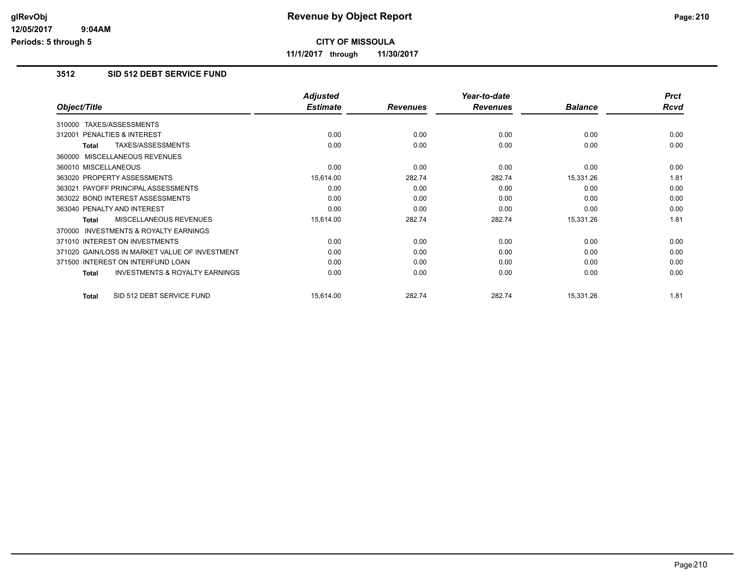**11/1/2017 through 11/30/2017**

# **3512 SID 512 DEBT SERVICE FUND**

|                                                           | <b>Adjusted</b> |                 | Year-to-date    |                | <b>Prct</b> |
|-----------------------------------------------------------|-----------------|-----------------|-----------------|----------------|-------------|
| Object/Title                                              | <b>Estimate</b> | <b>Revenues</b> | <b>Revenues</b> | <b>Balance</b> | Rcvd        |
| TAXES/ASSESSMENTS<br>310000                               |                 |                 |                 |                |             |
| <b>PENALTIES &amp; INTEREST</b><br>312001                 | 0.00            | 0.00            | 0.00            | 0.00           | 0.00        |
| TAXES/ASSESSMENTS<br>Total                                | 0.00            | 0.00            | 0.00            | 0.00           | 0.00        |
| 360000 MISCELLANEOUS REVENUES                             |                 |                 |                 |                |             |
| 360010 MISCELLANEOUS                                      | 0.00            | 0.00            | 0.00            | 0.00           | 0.00        |
| 363020 PROPERTY ASSESSMENTS                               | 15,614.00       | 282.74          | 282.74          | 15,331.26      | 1.81        |
| 363021 PAYOFF PRINCIPAL ASSESSMENTS                       | 0.00            | 0.00            | 0.00            | 0.00           | 0.00        |
| 363022 BOND INTEREST ASSESSMENTS                          | 0.00            | 0.00            | 0.00            | 0.00           | 0.00        |
| 363040 PENALTY AND INTEREST                               | 0.00            | 0.00            | 0.00            | 0.00           | 0.00        |
| <b>MISCELLANEOUS REVENUES</b><br><b>Total</b>             | 15,614.00       | 282.74          | 282.74          | 15,331.26      | 1.81        |
| <b>INVESTMENTS &amp; ROYALTY EARNINGS</b><br>370000       |                 |                 |                 |                |             |
| 371010 INTEREST ON INVESTMENTS                            | 0.00            | 0.00            | 0.00            | 0.00           | 0.00        |
| 371020 GAIN/LOSS IN MARKET VALUE OF INVESTMENT            | 0.00            | 0.00            | 0.00            | 0.00           | 0.00        |
| 371500 INTEREST ON INTERFUND LOAN                         | 0.00            | 0.00            | 0.00            | 0.00           | 0.00        |
| <b>INVESTMENTS &amp; ROYALTY EARNINGS</b><br><b>Total</b> | 0.00            | 0.00            | 0.00            | 0.00           | 0.00        |
| SID 512 DEBT SERVICE FUND<br><b>Total</b>                 | 15,614.00       | 282.74          | 282.74          | 15,331.26      | 1.81        |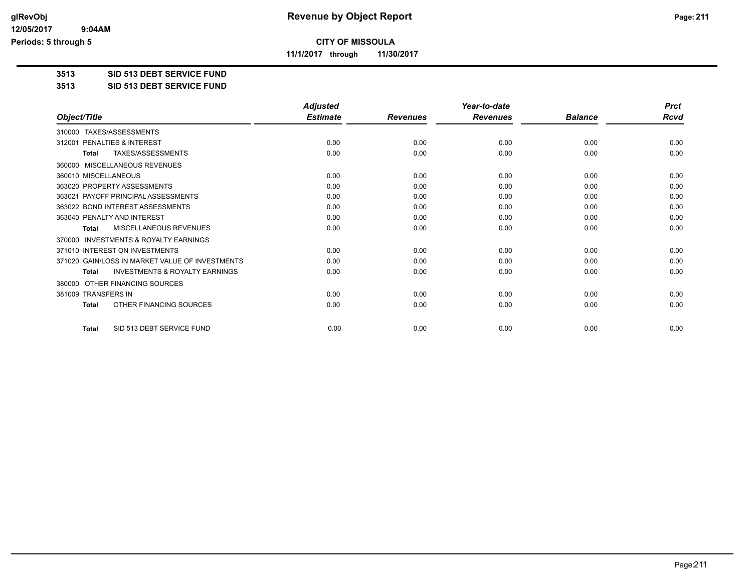**11/1/2017 through 11/30/2017**

**3513 SID 513 DEBT SERVICE FUND**

**3513 SID 513 DEBT SERVICE FUND**

|                                                     | <b>Adjusted</b> |                 | Year-to-date    |                | <b>Prct</b> |
|-----------------------------------------------------|-----------------|-----------------|-----------------|----------------|-------------|
| Object/Title                                        | <b>Estimate</b> | <b>Revenues</b> | <b>Revenues</b> | <b>Balance</b> | <b>Rcvd</b> |
| 310000 TAXES/ASSESSMENTS                            |                 |                 |                 |                |             |
| PENALTIES & INTEREST<br>312001                      | 0.00            | 0.00            | 0.00            | 0.00           | 0.00        |
| <b>TAXES/ASSESSMENTS</b><br><b>Total</b>            | 0.00            | 0.00            | 0.00            | 0.00           | 0.00        |
| MISCELLANEOUS REVENUES<br>360000                    |                 |                 |                 |                |             |
| 360010 MISCELLANEOUS                                | 0.00            | 0.00            | 0.00            | 0.00           | 0.00        |
| 363020 PROPERTY ASSESSMENTS                         | 0.00            | 0.00            | 0.00            | 0.00           | 0.00        |
| 363021 PAYOFF PRINCIPAL ASSESSMENTS                 | 0.00            | 0.00            | 0.00            | 0.00           | 0.00        |
| 363022 BOND INTEREST ASSESSMENTS                    | 0.00            | 0.00            | 0.00            | 0.00           | 0.00        |
| 363040 PENALTY AND INTEREST                         | 0.00            | 0.00            | 0.00            | 0.00           | 0.00        |
| MISCELLANEOUS REVENUES<br>Total                     | 0.00            | 0.00            | 0.00            | 0.00           | 0.00        |
| <b>INVESTMENTS &amp; ROYALTY EARNINGS</b><br>370000 |                 |                 |                 |                |             |
| 371010 INTEREST ON INVESTMENTS                      | 0.00            | 0.00            | 0.00            | 0.00           | 0.00        |
| 371020 GAIN/LOSS IN MARKET VALUE OF INVESTMENTS     | 0.00            | 0.00            | 0.00            | 0.00           | 0.00        |
| <b>INVESTMENTS &amp; ROYALTY EARNINGS</b><br>Total  | 0.00            | 0.00            | 0.00            | 0.00           | 0.00        |
| OTHER FINANCING SOURCES<br>380000                   |                 |                 |                 |                |             |
| 381009 TRANSFERS IN                                 | 0.00            | 0.00            | 0.00            | 0.00           | 0.00        |
| OTHER FINANCING SOURCES<br><b>Total</b>             | 0.00            | 0.00            | 0.00            | 0.00           | 0.00        |
| SID 513 DEBT SERVICE FUND<br><b>Total</b>           | 0.00            | 0.00            | 0.00            | 0.00           | 0.00        |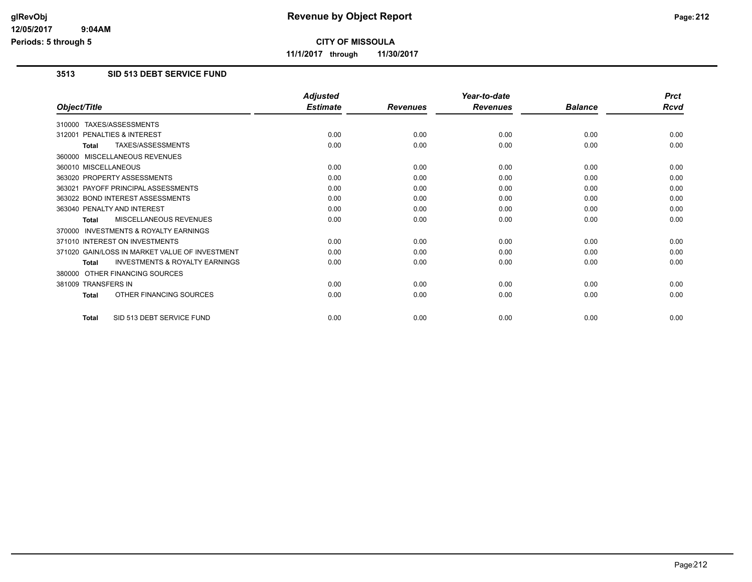**11/1/2017 through 11/30/2017**

# **3513 SID 513 DEBT SERVICE FUND**

|                                                           | <b>Adjusted</b> |                 | Year-to-date    |                | <b>Prct</b> |
|-----------------------------------------------------------|-----------------|-----------------|-----------------|----------------|-------------|
| Object/Title                                              | <b>Estimate</b> | <b>Revenues</b> | <b>Revenues</b> | <b>Balance</b> | <b>Rcvd</b> |
| 310000 TAXES/ASSESSMENTS                                  |                 |                 |                 |                |             |
| PENALTIES & INTEREST<br>312001                            | 0.00            | 0.00            | 0.00            | 0.00           | 0.00        |
| TAXES/ASSESSMENTS<br><b>Total</b>                         | 0.00            | 0.00            | 0.00            | 0.00           | 0.00        |
| 360000 MISCELLANEOUS REVENUES                             |                 |                 |                 |                |             |
| 360010 MISCELLANEOUS                                      | 0.00            | 0.00            | 0.00            | 0.00           | 0.00        |
| 363020 PROPERTY ASSESSMENTS                               | 0.00            | 0.00            | 0.00            | 0.00           | 0.00        |
| 363021 PAYOFF PRINCIPAL ASSESSMENTS                       | 0.00            | 0.00            | 0.00            | 0.00           | 0.00        |
| 363022 BOND INTEREST ASSESSMENTS                          | 0.00            | 0.00            | 0.00            | 0.00           | 0.00        |
| 363040 PENALTY AND INTEREST                               | 0.00            | 0.00            | 0.00            | 0.00           | 0.00        |
| MISCELLANEOUS REVENUES<br><b>Total</b>                    | 0.00            | 0.00            | 0.00            | 0.00           | 0.00        |
| <b>INVESTMENTS &amp; ROYALTY EARNINGS</b><br>370000       |                 |                 |                 |                |             |
| 371010 INTEREST ON INVESTMENTS                            | 0.00            | 0.00            | 0.00            | 0.00           | 0.00        |
| 371020 GAIN/LOSS IN MARKET VALUE OF INVESTMENT            | 0.00            | 0.00            | 0.00            | 0.00           | 0.00        |
| <b>INVESTMENTS &amp; ROYALTY EARNINGS</b><br><b>Total</b> | 0.00            | 0.00            | 0.00            | 0.00           | 0.00        |
| OTHER FINANCING SOURCES<br>380000                         |                 |                 |                 |                |             |
| 381009 TRANSFERS IN                                       | 0.00            | 0.00            | 0.00            | 0.00           | 0.00        |
| OTHER FINANCING SOURCES<br><b>Total</b>                   | 0.00            | 0.00            | 0.00            | 0.00           | 0.00        |
| SID 513 DEBT SERVICE FUND<br><b>Total</b>                 | 0.00            | 0.00            | 0.00            | 0.00           | 0.00        |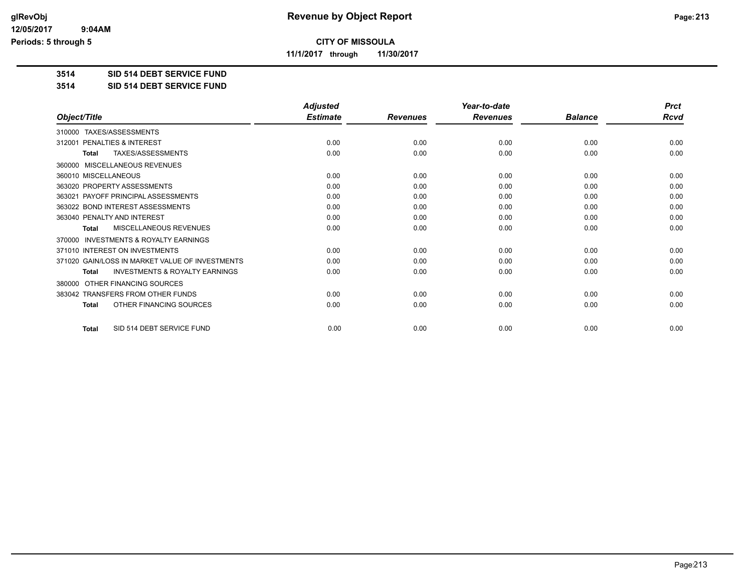**11/1/2017 through 11/30/2017**

**3514 SID 514 DEBT SERVICE FUND**

**3514 SID 514 DEBT SERVICE FUND**

|                                                    | <b>Adjusted</b> |                 | Year-to-date    |                | <b>Prct</b> |
|----------------------------------------------------|-----------------|-----------------|-----------------|----------------|-------------|
| Object/Title                                       | <b>Estimate</b> | <b>Revenues</b> | <b>Revenues</b> | <b>Balance</b> | <b>Rcvd</b> |
| 310000 TAXES/ASSESSMENTS                           |                 |                 |                 |                |             |
| PENALTIES & INTEREST<br>312001                     | 0.00            | 0.00            | 0.00            | 0.00           | 0.00        |
| TAXES/ASSESSMENTS<br><b>Total</b>                  | 0.00            | 0.00            | 0.00            | 0.00           | 0.00        |
| MISCELLANEOUS REVENUES<br>360000                   |                 |                 |                 |                |             |
| 360010 MISCELLANEOUS                               | 0.00            | 0.00            | 0.00            | 0.00           | 0.00        |
| 363020 PROPERTY ASSESSMENTS                        | 0.00            | 0.00            | 0.00            | 0.00           | 0.00        |
| 363021 PAYOFF PRINCIPAL ASSESSMENTS                | 0.00            | 0.00            | 0.00            | 0.00           | 0.00        |
| 363022 BOND INTEREST ASSESSMENTS                   | 0.00            | 0.00            | 0.00            | 0.00           | 0.00        |
| 363040 PENALTY AND INTEREST                        | 0.00            | 0.00            | 0.00            | 0.00           | 0.00        |
| MISCELLANEOUS REVENUES<br>Total                    | 0.00            | 0.00            | 0.00            | 0.00           | 0.00        |
| INVESTMENTS & ROYALTY EARNINGS<br>370000           |                 |                 |                 |                |             |
| 371010 INTEREST ON INVESTMENTS                     | 0.00            | 0.00            | 0.00            | 0.00           | 0.00        |
| 371020 GAIN/LOSS IN MARKET VALUE OF INVESTMENTS    | 0.00            | 0.00            | 0.00            | 0.00           | 0.00        |
| <b>INVESTMENTS &amp; ROYALTY EARNINGS</b><br>Total | 0.00            | 0.00            | 0.00            | 0.00           | 0.00        |
| OTHER FINANCING SOURCES<br>380000                  |                 |                 |                 |                |             |
| 383042 TRANSFERS FROM OTHER FUNDS                  | 0.00            | 0.00            | 0.00            | 0.00           | 0.00        |
| OTHER FINANCING SOURCES<br><b>Total</b>            | 0.00            | 0.00            | 0.00            | 0.00           | 0.00        |
| SID 514 DEBT SERVICE FUND<br><b>Total</b>          | 0.00            | 0.00            | 0.00            | 0.00           | 0.00        |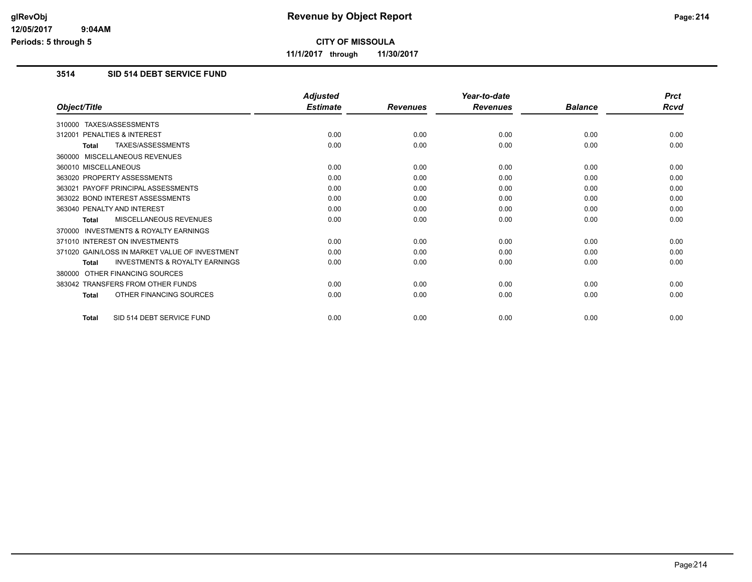**11/1/2017 through 11/30/2017**

# **3514 SID 514 DEBT SERVICE FUND**

|                                                           | <b>Adjusted</b> |                 | Year-to-date    |                | <b>Prct</b> |
|-----------------------------------------------------------|-----------------|-----------------|-----------------|----------------|-------------|
| Object/Title                                              | <b>Estimate</b> | <b>Revenues</b> | <b>Revenues</b> | <b>Balance</b> | <b>Rcvd</b> |
| 310000 TAXES/ASSESSMENTS                                  |                 |                 |                 |                |             |
| 312001 PENALTIES & INTEREST                               | 0.00            | 0.00            | 0.00            | 0.00           | 0.00        |
| TAXES/ASSESSMENTS<br><b>Total</b>                         | 0.00            | 0.00            | 0.00            | 0.00           | 0.00        |
| 360000 MISCELLANEOUS REVENUES                             |                 |                 |                 |                |             |
| 360010 MISCELLANEOUS                                      | 0.00            | 0.00            | 0.00            | 0.00           | 0.00        |
| 363020 PROPERTY ASSESSMENTS                               | 0.00            | 0.00            | 0.00            | 0.00           | 0.00        |
| 363021 PAYOFF PRINCIPAL ASSESSMENTS                       | 0.00            | 0.00            | 0.00            | 0.00           | 0.00        |
| 363022 BOND INTEREST ASSESSMENTS                          | 0.00            | 0.00            | 0.00            | 0.00           | 0.00        |
| 363040 PENALTY AND INTEREST                               | 0.00            | 0.00            | 0.00            | 0.00           | 0.00        |
| MISCELLANEOUS REVENUES<br><b>Total</b>                    | 0.00            | 0.00            | 0.00            | 0.00           | 0.00        |
| INVESTMENTS & ROYALTY EARNINGS<br>370000                  |                 |                 |                 |                |             |
| 371010 INTEREST ON INVESTMENTS                            | 0.00            | 0.00            | 0.00            | 0.00           | 0.00        |
| 371020 GAIN/LOSS IN MARKET VALUE OF INVESTMENT            | 0.00            | 0.00            | 0.00            | 0.00           | 0.00        |
| <b>INVESTMENTS &amp; ROYALTY EARNINGS</b><br><b>Total</b> | 0.00            | 0.00            | 0.00            | 0.00           | 0.00        |
| OTHER FINANCING SOURCES<br>380000                         |                 |                 |                 |                |             |
| 383042 TRANSFERS FROM OTHER FUNDS                         | 0.00            | 0.00            | 0.00            | 0.00           | 0.00        |
| OTHER FINANCING SOURCES<br><b>Total</b>                   | 0.00            | 0.00            | 0.00            | 0.00           | 0.00        |
| SID 514 DEBT SERVICE FUND<br><b>Total</b>                 | 0.00            | 0.00            | 0.00            | 0.00           | 0.00        |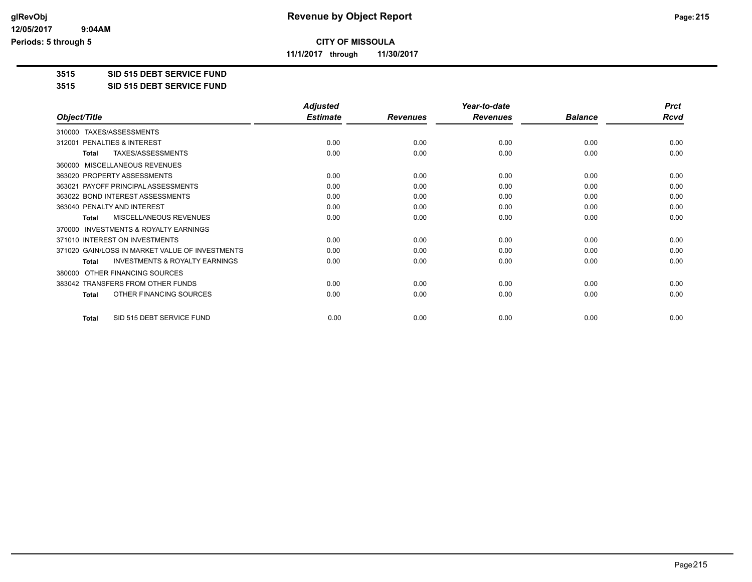**11/1/2017 through 11/30/2017**

**3515 SID 515 DEBT SERVICE FUND**

**3515 SID 515 DEBT SERVICE FUND**

|                                                           | <b>Adjusted</b> |                 | Year-to-date    |                | <b>Prct</b> |
|-----------------------------------------------------------|-----------------|-----------------|-----------------|----------------|-------------|
| Object/Title                                              | <b>Estimate</b> | <b>Revenues</b> | <b>Revenues</b> | <b>Balance</b> | <b>Rcvd</b> |
| TAXES/ASSESSMENTS<br>310000                               |                 |                 |                 |                |             |
| PENALTIES & INTEREST<br>312001                            | 0.00            | 0.00            | 0.00            | 0.00           | 0.00        |
| TAXES/ASSESSMENTS<br><b>Total</b>                         | 0.00            | 0.00            | 0.00            | 0.00           | 0.00        |
| MISCELLANEOUS REVENUES<br>360000                          |                 |                 |                 |                |             |
| 363020 PROPERTY ASSESSMENTS                               | 0.00            | 0.00            | 0.00            | 0.00           | 0.00        |
| 363021 PAYOFF PRINCIPAL ASSESSMENTS                       | 0.00            | 0.00            | 0.00            | 0.00           | 0.00        |
| 363022 BOND INTEREST ASSESSMENTS                          | 0.00            | 0.00            | 0.00            | 0.00           | 0.00        |
| 363040 PENALTY AND INTEREST                               | 0.00            | 0.00            | 0.00            | 0.00           | 0.00        |
| MISCELLANEOUS REVENUES<br><b>Total</b>                    | 0.00            | 0.00            | 0.00            | 0.00           | 0.00        |
| <b>INVESTMENTS &amp; ROYALTY EARNINGS</b><br>370000       |                 |                 |                 |                |             |
| 371010 INTEREST ON INVESTMENTS                            | 0.00            | 0.00            | 0.00            | 0.00           | 0.00        |
| 371020 GAIN/LOSS IN MARKET VALUE OF INVESTMENTS           | 0.00            | 0.00            | 0.00            | 0.00           | 0.00        |
| <b>INVESTMENTS &amp; ROYALTY EARNINGS</b><br><b>Total</b> | 0.00            | 0.00            | 0.00            | 0.00           | 0.00        |
| OTHER FINANCING SOURCES<br>380000                         |                 |                 |                 |                |             |
| 383042 TRANSFERS FROM OTHER FUNDS                         | 0.00            | 0.00            | 0.00            | 0.00           | 0.00        |
| OTHER FINANCING SOURCES<br><b>Total</b>                   | 0.00            | 0.00            | 0.00            | 0.00           | 0.00        |
| SID 515 DEBT SERVICE FUND<br><b>Total</b>                 | 0.00            | 0.00            | 0.00            | 0.00           | 0.00        |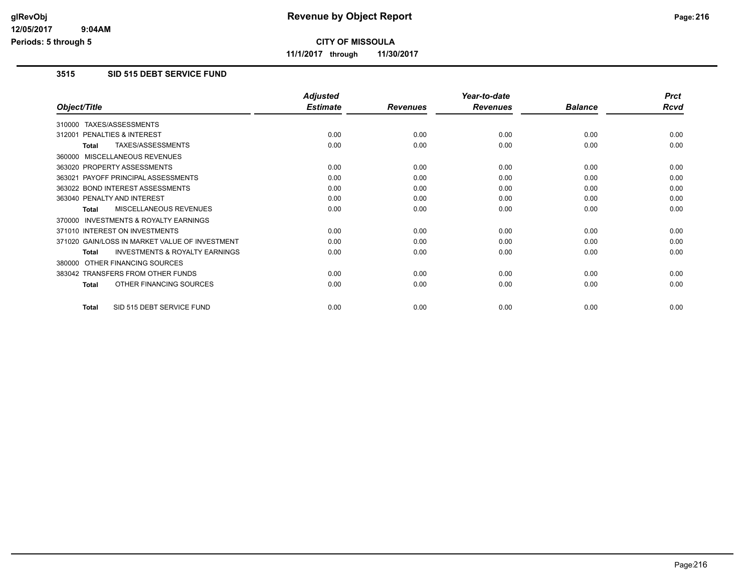**11/1/2017 through 11/30/2017**

# **3515 SID 515 DEBT SERVICE FUND**

|                                                           | <b>Adjusted</b> |                 | Year-to-date    |                | <b>Prct</b> |
|-----------------------------------------------------------|-----------------|-----------------|-----------------|----------------|-------------|
| Object/Title                                              | <b>Estimate</b> | <b>Revenues</b> | <b>Revenues</b> | <b>Balance</b> | <b>Rcvd</b> |
| TAXES/ASSESSMENTS<br>310000                               |                 |                 |                 |                |             |
| 312001 PENALTIES & INTEREST                               | 0.00            | 0.00            | 0.00            | 0.00           | 0.00        |
| TAXES/ASSESSMENTS<br><b>Total</b>                         | 0.00            | 0.00            | 0.00            | 0.00           | 0.00        |
| MISCELLANEOUS REVENUES<br>360000                          |                 |                 |                 |                |             |
| 363020 PROPERTY ASSESSMENTS                               | 0.00            | 0.00            | 0.00            | 0.00           | 0.00        |
| 363021 PAYOFF PRINCIPAL ASSESSMENTS                       | 0.00            | 0.00            | 0.00            | 0.00           | 0.00        |
| 363022 BOND INTEREST ASSESSMENTS                          | 0.00            | 0.00            | 0.00            | 0.00           | 0.00        |
| 363040 PENALTY AND INTEREST                               | 0.00            | 0.00            | 0.00            | 0.00           | 0.00        |
| <b>MISCELLANEOUS REVENUES</b><br><b>Total</b>             | 0.00            | 0.00            | 0.00            | 0.00           | 0.00        |
| <b>INVESTMENTS &amp; ROYALTY EARNINGS</b><br>370000       |                 |                 |                 |                |             |
| 371010 INTEREST ON INVESTMENTS                            | 0.00            | 0.00            | 0.00            | 0.00           | 0.00        |
| 371020 GAIN/LOSS IN MARKET VALUE OF INVESTMENT            | 0.00            | 0.00            | 0.00            | 0.00           | 0.00        |
| <b>INVESTMENTS &amp; ROYALTY EARNINGS</b><br><b>Total</b> | 0.00            | 0.00            | 0.00            | 0.00           | 0.00        |
| OTHER FINANCING SOURCES<br>380000                         |                 |                 |                 |                |             |
| 383042 TRANSFERS FROM OTHER FUNDS                         | 0.00            | 0.00            | 0.00            | 0.00           | 0.00        |
| OTHER FINANCING SOURCES<br><b>Total</b>                   | 0.00            | 0.00            | 0.00            | 0.00           | 0.00        |
| SID 515 DEBT SERVICE FUND<br><b>Total</b>                 | 0.00            | 0.00            | 0.00            | 0.00           | 0.00        |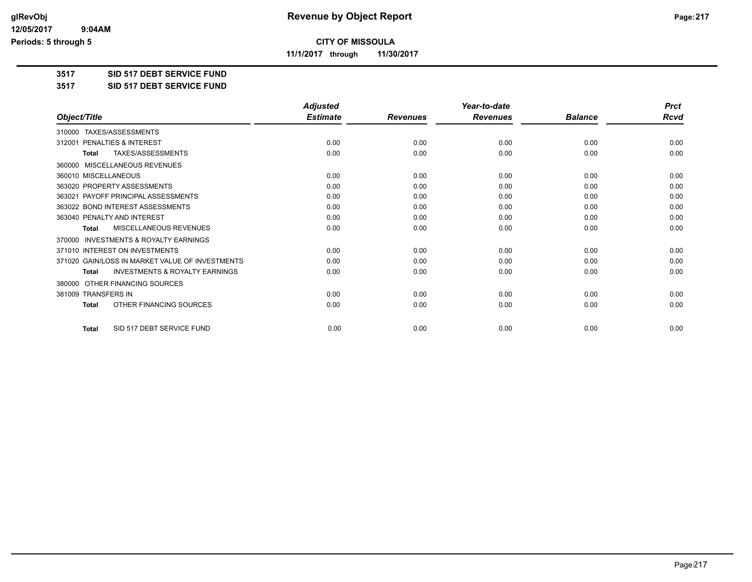**11/1/2017 through 11/30/2017**

**3517 SID 517 DEBT SERVICE FUND**

**3517 SID 517 DEBT SERVICE FUND**

|                                                           | <b>Adjusted</b> |                 | Year-to-date    |                | <b>Prct</b> |
|-----------------------------------------------------------|-----------------|-----------------|-----------------|----------------|-------------|
| Object/Title                                              | <b>Estimate</b> | <b>Revenues</b> | <b>Revenues</b> | <b>Balance</b> | <b>Rcvd</b> |
| TAXES/ASSESSMENTS<br>310000                               |                 |                 |                 |                |             |
| PENALTIES & INTEREST<br>312001                            | 0.00            | 0.00            | 0.00            | 0.00           | 0.00        |
| <b>TAXES/ASSESSMENTS</b><br><b>Total</b>                  | 0.00            | 0.00            | 0.00            | 0.00           | 0.00        |
| MISCELLANEOUS REVENUES<br>360000                          |                 |                 |                 |                |             |
| 360010 MISCELLANEOUS                                      | 0.00            | 0.00            | 0.00            | 0.00           | 0.00        |
| 363020 PROPERTY ASSESSMENTS                               | 0.00            | 0.00            | 0.00            | 0.00           | 0.00        |
| 363021 PAYOFF PRINCIPAL ASSESSMENTS                       | 0.00            | 0.00            | 0.00            | 0.00           | 0.00        |
| 363022 BOND INTEREST ASSESSMENTS                          | 0.00            | 0.00            | 0.00            | 0.00           | 0.00        |
| 363040 PENALTY AND INTEREST                               | 0.00            | 0.00            | 0.00            | 0.00           | 0.00        |
| MISCELLANEOUS REVENUES<br><b>Total</b>                    | 0.00            | 0.00            | 0.00            | 0.00           | 0.00        |
| <b>INVESTMENTS &amp; ROYALTY EARNINGS</b><br>370000       |                 |                 |                 |                |             |
| 371010 INTEREST ON INVESTMENTS                            | 0.00            | 0.00            | 0.00            | 0.00           | 0.00        |
| 371020 GAIN/LOSS IN MARKET VALUE OF INVESTMENTS           | 0.00            | 0.00            | 0.00            | 0.00           | 0.00        |
| <b>INVESTMENTS &amp; ROYALTY EARNINGS</b><br><b>Total</b> | 0.00            | 0.00            | 0.00            | 0.00           | 0.00        |
| OTHER FINANCING SOURCES<br>380000                         |                 |                 |                 |                |             |
| 381009 TRANSFERS IN                                       | 0.00            | 0.00            | 0.00            | 0.00           | 0.00        |
| OTHER FINANCING SOURCES<br><b>Total</b>                   | 0.00            | 0.00            | 0.00            | 0.00           | 0.00        |
| SID 517 DEBT SERVICE FUND<br><b>Total</b>                 | 0.00            | 0.00            | 0.00            | 0.00           | 0.00        |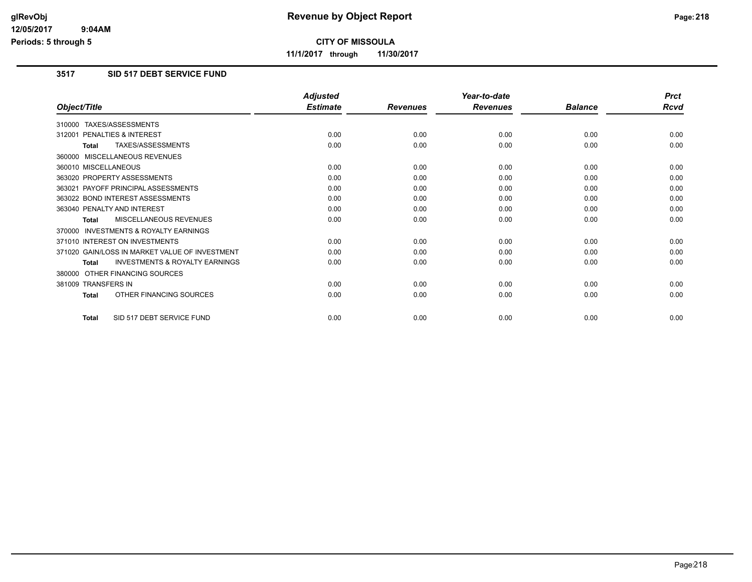**11/1/2017 through 11/30/2017**

## **3517 SID 517 DEBT SERVICE FUND**

|                                                           | <b>Adjusted</b> |                 | Year-to-date    |                | <b>Prct</b> |
|-----------------------------------------------------------|-----------------|-----------------|-----------------|----------------|-------------|
| Object/Title                                              | <b>Estimate</b> | <b>Revenues</b> | <b>Revenues</b> | <b>Balance</b> | <b>Rcvd</b> |
| 310000 TAXES/ASSESSMENTS                                  |                 |                 |                 |                |             |
| PENALTIES & INTEREST<br>312001                            | 0.00            | 0.00            | 0.00            | 0.00           | 0.00        |
| TAXES/ASSESSMENTS<br><b>Total</b>                         | 0.00            | 0.00            | 0.00            | 0.00           | 0.00        |
| 360000 MISCELLANEOUS REVENUES                             |                 |                 |                 |                |             |
| 360010 MISCELLANEOUS                                      | 0.00            | 0.00            | 0.00            | 0.00           | 0.00        |
| 363020 PROPERTY ASSESSMENTS                               | 0.00            | 0.00            | 0.00            | 0.00           | 0.00        |
| 363021 PAYOFF PRINCIPAL ASSESSMENTS                       | 0.00            | 0.00            | 0.00            | 0.00           | 0.00        |
| 363022 BOND INTEREST ASSESSMENTS                          | 0.00            | 0.00            | 0.00            | 0.00           | 0.00        |
| 363040 PENALTY AND INTEREST                               | 0.00            | 0.00            | 0.00            | 0.00           | 0.00        |
| MISCELLANEOUS REVENUES<br><b>Total</b>                    | 0.00            | 0.00            | 0.00            | 0.00           | 0.00        |
| <b>INVESTMENTS &amp; ROYALTY EARNINGS</b><br>370000       |                 |                 |                 |                |             |
| 371010 INTEREST ON INVESTMENTS                            | 0.00            | 0.00            | 0.00            | 0.00           | 0.00        |
| 371020 GAIN/LOSS IN MARKET VALUE OF INVESTMENT            | 0.00            | 0.00            | 0.00            | 0.00           | 0.00        |
| <b>INVESTMENTS &amp; ROYALTY EARNINGS</b><br><b>Total</b> | 0.00            | 0.00            | 0.00            | 0.00           | 0.00        |
| OTHER FINANCING SOURCES<br>380000                         |                 |                 |                 |                |             |
| 381009 TRANSFERS IN                                       | 0.00            | 0.00            | 0.00            | 0.00           | 0.00        |
| OTHER FINANCING SOURCES<br><b>Total</b>                   | 0.00            | 0.00            | 0.00            | 0.00           | 0.00        |
| SID 517 DEBT SERVICE FUND<br><b>Total</b>                 | 0.00            | 0.00            | 0.00            | 0.00           | 0.00        |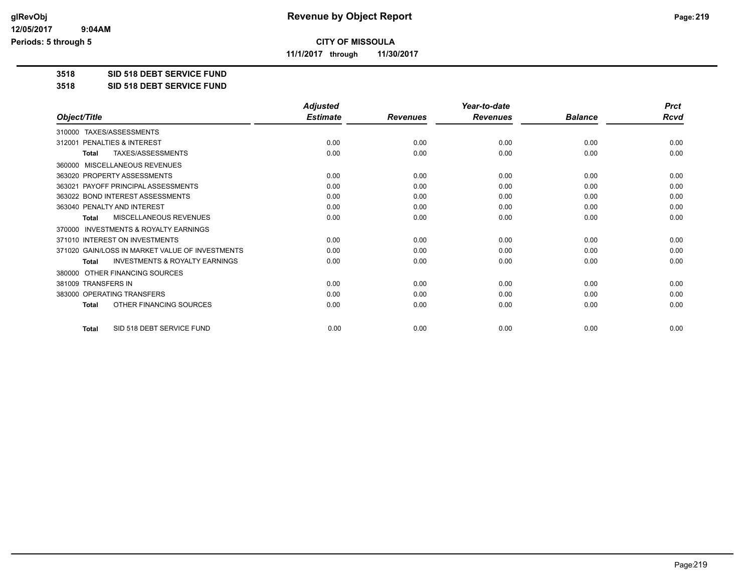**11/1/2017 through 11/30/2017**

**3518 SID 518 DEBT SERVICE FUND**

**3518 SID 518 DEBT SERVICE FUND**

|                                                     | <b>Adjusted</b> |                 | Year-to-date    |                | <b>Prct</b> |
|-----------------------------------------------------|-----------------|-----------------|-----------------|----------------|-------------|
| Object/Title                                        | <b>Estimate</b> | <b>Revenues</b> | <b>Revenues</b> | <b>Balance</b> | <b>Rcvd</b> |
| TAXES/ASSESSMENTS<br>310000                         |                 |                 |                 |                |             |
| PENALTIES & INTEREST<br>312001                      | 0.00            | 0.00            | 0.00            | 0.00           | 0.00        |
| <b>TAXES/ASSESSMENTS</b><br>Total                   | 0.00            | 0.00            | 0.00            | 0.00           | 0.00        |
| <b>MISCELLANEOUS REVENUES</b><br>360000             |                 |                 |                 |                |             |
| 363020 PROPERTY ASSESSMENTS                         | 0.00            | 0.00            | 0.00            | 0.00           | 0.00        |
| 363021 PAYOFF PRINCIPAL ASSESSMENTS                 | 0.00            | 0.00            | 0.00            | 0.00           | 0.00        |
| 363022 BOND INTEREST ASSESSMENTS                    | 0.00            | 0.00            | 0.00            | 0.00           | 0.00        |
| 363040 PENALTY AND INTEREST                         | 0.00            | 0.00            | 0.00            | 0.00           | 0.00        |
| MISCELLANEOUS REVENUES<br>Total                     | 0.00            | 0.00            | 0.00            | 0.00           | 0.00        |
| <b>INVESTMENTS &amp; ROYALTY EARNINGS</b><br>370000 |                 |                 |                 |                |             |
| 371010 INTEREST ON INVESTMENTS                      | 0.00            | 0.00            | 0.00            | 0.00           | 0.00        |
| 371020 GAIN/LOSS IN MARKET VALUE OF INVESTMENTS     | 0.00            | 0.00            | 0.00            | 0.00           | 0.00        |
| <b>INVESTMENTS &amp; ROYALTY EARNINGS</b><br>Total  | 0.00            | 0.00            | 0.00            | 0.00           | 0.00        |
| OTHER FINANCING SOURCES<br>380000                   |                 |                 |                 |                |             |
| <b>TRANSFERS IN</b><br>381009                       | 0.00            | 0.00            | 0.00            | 0.00           | 0.00        |
| 383000 OPERATING TRANSFERS                          | 0.00            | 0.00            | 0.00            | 0.00           | 0.00        |
| OTHER FINANCING SOURCES<br><b>Total</b>             | 0.00            | 0.00            | 0.00            | 0.00           | 0.00        |
| SID 518 DEBT SERVICE FUND<br><b>Total</b>           | 0.00            | 0.00            | 0.00            | 0.00           | 0.00        |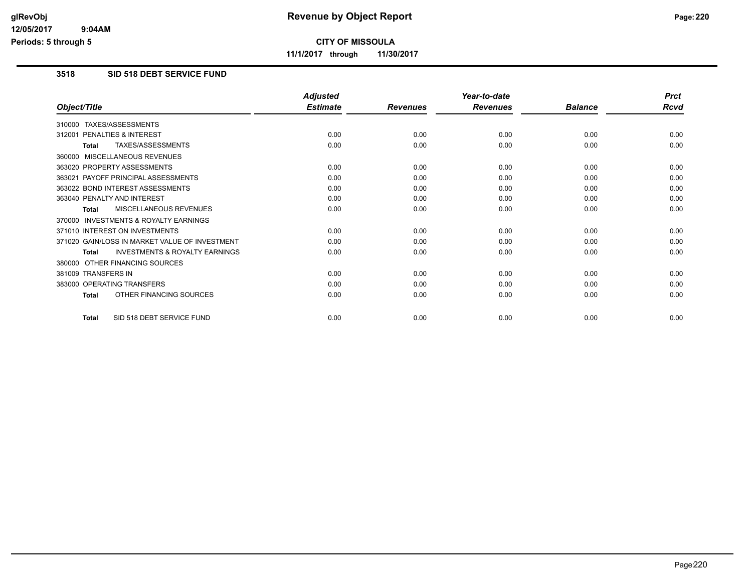**11/1/2017 through 11/30/2017**

## **3518 SID 518 DEBT SERVICE FUND**

|                                                           | <b>Adjusted</b> |                 | Year-to-date    |                | <b>Prct</b> |
|-----------------------------------------------------------|-----------------|-----------------|-----------------|----------------|-------------|
| Object/Title                                              | <b>Estimate</b> | <b>Revenues</b> | <b>Revenues</b> | <b>Balance</b> | <b>Rcvd</b> |
| 310000 TAXES/ASSESSMENTS                                  |                 |                 |                 |                |             |
| 312001 PENALTIES & INTEREST                               | 0.00            | 0.00            | 0.00            | 0.00           | 0.00        |
| TAXES/ASSESSMENTS<br><b>Total</b>                         | 0.00            | 0.00            | 0.00            | 0.00           | 0.00        |
| 360000 MISCELLANEOUS REVENUES                             |                 |                 |                 |                |             |
| 363020 PROPERTY ASSESSMENTS                               | 0.00            | 0.00            | 0.00            | 0.00           | 0.00        |
| 363021 PAYOFF PRINCIPAL ASSESSMENTS                       | 0.00            | 0.00            | 0.00            | 0.00           | 0.00        |
| 363022 BOND INTEREST ASSESSMENTS                          | 0.00            | 0.00            | 0.00            | 0.00           | 0.00        |
| 363040 PENALTY AND INTEREST                               | 0.00            | 0.00            | 0.00            | 0.00           | 0.00        |
| MISCELLANEOUS REVENUES<br><b>Total</b>                    | 0.00            | 0.00            | 0.00            | 0.00           | 0.00        |
| <b>INVESTMENTS &amp; ROYALTY EARNINGS</b><br>370000       |                 |                 |                 |                |             |
| 371010 INTEREST ON INVESTMENTS                            | 0.00            | 0.00            | 0.00            | 0.00           | 0.00        |
| 371020 GAIN/LOSS IN MARKET VALUE OF INVESTMENT            | 0.00            | 0.00            | 0.00            | 0.00           | 0.00        |
| <b>INVESTMENTS &amp; ROYALTY EARNINGS</b><br><b>Total</b> | 0.00            | 0.00            | 0.00            | 0.00           | 0.00        |
| 380000 OTHER FINANCING SOURCES                            |                 |                 |                 |                |             |
| 381009 TRANSFERS IN                                       | 0.00            | 0.00            | 0.00            | 0.00           | 0.00        |
| 383000 OPERATING TRANSFERS                                | 0.00            | 0.00            | 0.00            | 0.00           | 0.00        |
| OTHER FINANCING SOURCES<br><b>Total</b>                   | 0.00            | 0.00            | 0.00            | 0.00           | 0.00        |
| SID 518 DEBT SERVICE FUND<br><b>Total</b>                 | 0.00            | 0.00            | 0.00            | 0.00           | 0.00        |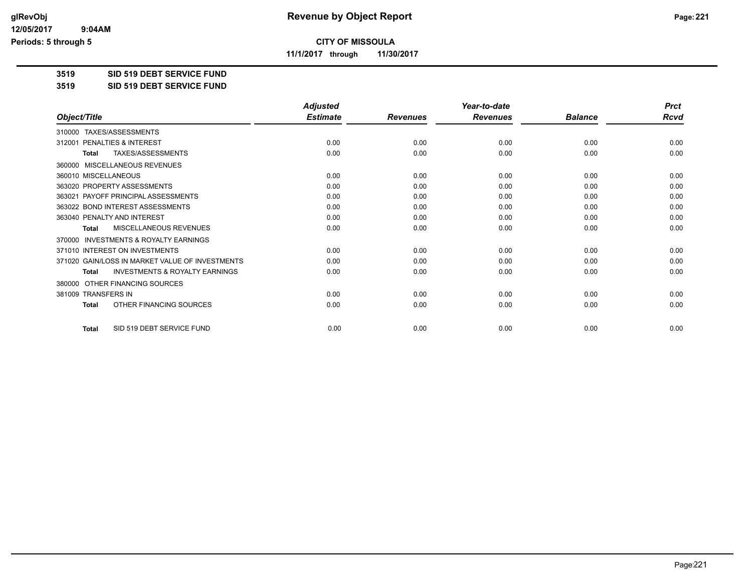**11/1/2017 through 11/30/2017**

**3519 SID 519 DEBT SERVICE FUND**

**3519 SID 519 DEBT SERVICE FUND**

|                                                     | <b>Adjusted</b> |                 | Year-to-date    |                |             |
|-----------------------------------------------------|-----------------|-----------------|-----------------|----------------|-------------|
| Object/Title                                        | <b>Estimate</b> | <b>Revenues</b> | <b>Revenues</b> | <b>Balance</b> | <b>Rcvd</b> |
| 310000 TAXES/ASSESSMENTS                            |                 |                 |                 |                |             |
| PENALTIES & INTEREST<br>312001                      | 0.00            | 0.00            | 0.00            | 0.00           | 0.00        |
| <b>TAXES/ASSESSMENTS</b><br><b>Total</b>            | 0.00            | 0.00            | 0.00            | 0.00           | 0.00        |
| MISCELLANEOUS REVENUES<br>360000                    |                 |                 |                 |                |             |
| 360010 MISCELLANEOUS                                | 0.00            | 0.00            | 0.00            | 0.00           | 0.00        |
| 363020 PROPERTY ASSESSMENTS                         | 0.00            | 0.00            | 0.00            | 0.00           | 0.00        |
| 363021 PAYOFF PRINCIPAL ASSESSMENTS                 | 0.00            | 0.00            | 0.00            | 0.00           | 0.00        |
| 363022 BOND INTEREST ASSESSMENTS                    | 0.00            | 0.00            | 0.00            | 0.00           | 0.00        |
| 363040 PENALTY AND INTEREST                         | 0.00            | 0.00            | 0.00            | 0.00           | 0.00        |
| MISCELLANEOUS REVENUES<br>Total                     | 0.00            | 0.00            | 0.00            | 0.00           | 0.00        |
| <b>INVESTMENTS &amp; ROYALTY EARNINGS</b><br>370000 |                 |                 |                 |                |             |
| 371010 INTEREST ON INVESTMENTS                      | 0.00            | 0.00            | 0.00            | 0.00           | 0.00        |
| 371020 GAIN/LOSS IN MARKET VALUE OF INVESTMENTS     | 0.00            | 0.00            | 0.00            | 0.00           | 0.00        |
| <b>INVESTMENTS &amp; ROYALTY EARNINGS</b><br>Total  | 0.00            | 0.00            | 0.00            | 0.00           | 0.00        |
| OTHER FINANCING SOURCES<br>380000                   |                 |                 |                 |                |             |
| 381009 TRANSFERS IN                                 | 0.00            | 0.00            | 0.00            | 0.00           | 0.00        |
| OTHER FINANCING SOURCES<br><b>Total</b>             | 0.00            | 0.00            | 0.00            | 0.00           | 0.00        |
| SID 519 DEBT SERVICE FUND<br><b>Total</b>           | 0.00            | 0.00            | 0.00            | 0.00           | 0.00        |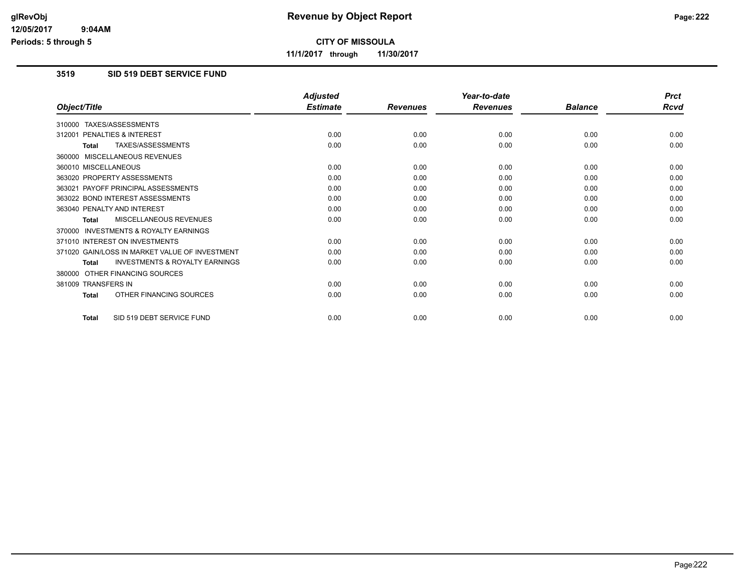**11/1/2017 through 11/30/2017**

## **3519 SID 519 DEBT SERVICE FUND**

|                                                           | <b>Adjusted</b> |                 | Year-to-date    |                | <b>Prct</b> |  |
|-----------------------------------------------------------|-----------------|-----------------|-----------------|----------------|-------------|--|
| Object/Title                                              | <b>Estimate</b> | <b>Revenues</b> | <b>Revenues</b> | <b>Balance</b> | <b>Rcvd</b> |  |
| 310000 TAXES/ASSESSMENTS                                  |                 |                 |                 |                |             |  |
| 312001 PENALTIES & INTEREST                               | 0.00            | 0.00            | 0.00            | 0.00           | 0.00        |  |
| TAXES/ASSESSMENTS<br><b>Total</b>                         | 0.00            | 0.00            | 0.00            | 0.00           | 0.00        |  |
| 360000 MISCELLANEOUS REVENUES                             |                 |                 |                 |                |             |  |
| 360010 MISCELLANEOUS                                      | 0.00            | 0.00            | 0.00            | 0.00           | 0.00        |  |
| 363020 PROPERTY ASSESSMENTS                               | 0.00            | 0.00            | 0.00            | 0.00           | 0.00        |  |
| 363021 PAYOFF PRINCIPAL ASSESSMENTS                       | 0.00            | 0.00            | 0.00            | 0.00           | 0.00        |  |
| 363022 BOND INTEREST ASSESSMENTS                          | 0.00            | 0.00            | 0.00            | 0.00           | 0.00        |  |
| 363040 PENALTY AND INTEREST                               | 0.00            | 0.00            | 0.00            | 0.00           | 0.00        |  |
| MISCELLANEOUS REVENUES<br><b>Total</b>                    | 0.00            | 0.00            | 0.00            | 0.00           | 0.00        |  |
| <b>INVESTMENTS &amp; ROYALTY EARNINGS</b><br>370000       |                 |                 |                 |                |             |  |
| 371010 INTEREST ON INVESTMENTS                            | 0.00            | 0.00            | 0.00            | 0.00           | 0.00        |  |
| 371020 GAIN/LOSS IN MARKET VALUE OF INVESTMENT            | 0.00            | 0.00            | 0.00            | 0.00           | 0.00        |  |
| <b>INVESTMENTS &amp; ROYALTY EARNINGS</b><br><b>Total</b> | 0.00            | 0.00            | 0.00            | 0.00           | 0.00        |  |
| 380000 OTHER FINANCING SOURCES                            |                 |                 |                 |                |             |  |
| 381009 TRANSFERS IN                                       | 0.00            | 0.00            | 0.00            | 0.00           | 0.00        |  |
| OTHER FINANCING SOURCES<br><b>Total</b>                   | 0.00            | 0.00            | 0.00            | 0.00           | 0.00        |  |
| SID 519 DEBT SERVICE FUND<br><b>Total</b>                 | 0.00            | 0.00            | 0.00            | 0.00           | 0.00        |  |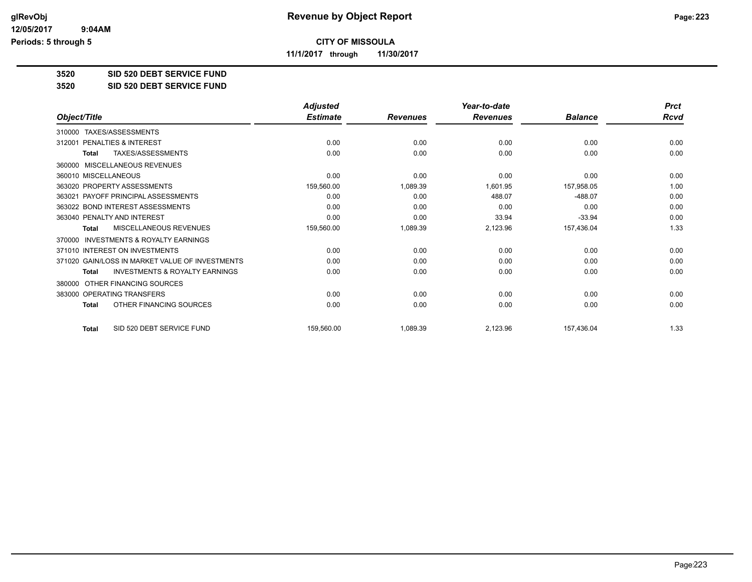**11/1/2017 through 11/30/2017**

**3520 SID 520 DEBT SERVICE FUND**

**3520 SID 520 DEBT SERVICE FUND**

|                                                           | <b>Adjusted</b> |                 | Year-to-date    |                | <b>Prct</b> |
|-----------------------------------------------------------|-----------------|-----------------|-----------------|----------------|-------------|
| Object/Title                                              | <b>Estimate</b> | <b>Revenues</b> | <b>Revenues</b> | <b>Balance</b> | Rcvd        |
| TAXES/ASSESSMENTS<br>310000                               |                 |                 |                 |                |             |
| PENALTIES & INTEREST<br>312001                            | 0.00            | 0.00            | 0.00            | 0.00           | 0.00        |
| <b>TAXES/ASSESSMENTS</b><br>Total                         | 0.00            | 0.00            | 0.00            | 0.00           | 0.00        |
| MISCELLANEOUS REVENUES<br>360000                          |                 |                 |                 |                |             |
| 360010 MISCELLANEOUS                                      | 0.00            | 0.00            | 0.00            | 0.00           | 0.00        |
| 363020 PROPERTY ASSESSMENTS                               | 159,560.00      | 1,089.39        | 1,601.95        | 157,958.05     | 1.00        |
| PAYOFF PRINCIPAL ASSESSMENTS<br>363021                    | 0.00            | 0.00            | 488.07          | $-488.07$      | 0.00        |
| 363022 BOND INTEREST ASSESSMENTS                          | 0.00            | 0.00            | 0.00            | 0.00           | 0.00        |
| 363040 PENALTY AND INTEREST                               | 0.00            | 0.00            | 33.94           | $-33.94$       | 0.00        |
| MISCELLANEOUS REVENUES<br>Total                           | 159,560.00      | 1,089.39        | 2,123.96        | 157,436.04     | 1.33        |
| <b>INVESTMENTS &amp; ROYALTY EARNINGS</b><br>370000       |                 |                 |                 |                |             |
| 371010 INTEREST ON INVESTMENTS                            | 0.00            | 0.00            | 0.00            | 0.00           | 0.00        |
| 371020 GAIN/LOSS IN MARKET VALUE OF INVESTMENTS           | 0.00            | 0.00            | 0.00            | 0.00           | 0.00        |
| <b>INVESTMENTS &amp; ROYALTY EARNINGS</b><br><b>Total</b> | 0.00            | 0.00            | 0.00            | 0.00           | 0.00        |
| OTHER FINANCING SOURCES<br>380000                         |                 |                 |                 |                |             |
| 383000 OPERATING TRANSFERS                                | 0.00            | 0.00            | 0.00            | 0.00           | 0.00        |
| OTHER FINANCING SOURCES<br><b>Total</b>                   | 0.00            | 0.00            | 0.00            | 0.00           | 0.00        |
| SID 520 DEBT SERVICE FUND<br><b>Total</b>                 | 159,560.00      | 1,089.39        | 2,123.96        | 157,436.04     | 1.33        |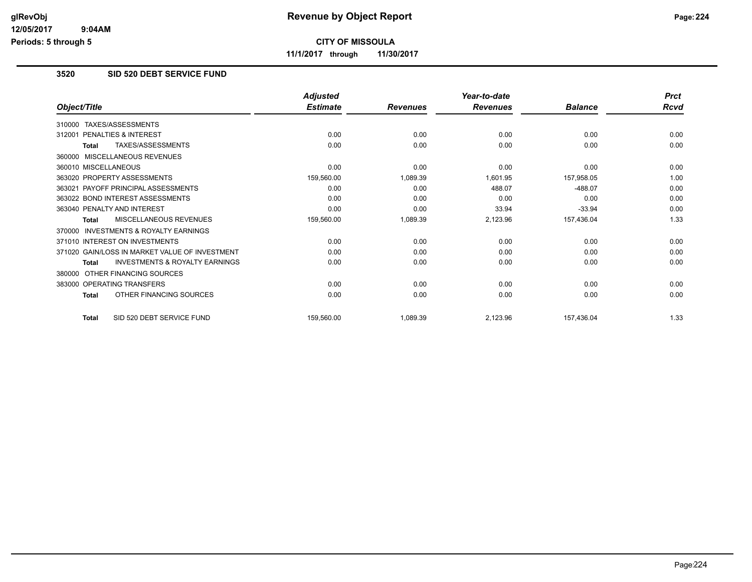**11/1/2017 through 11/30/2017**

## **3520 SID 520 DEBT SERVICE FUND**

|                                                           | <b>Adjusted</b> |                 | Year-to-date    |                | <b>Prct</b> |
|-----------------------------------------------------------|-----------------|-----------------|-----------------|----------------|-------------|
| Object/Title                                              | <b>Estimate</b> | <b>Revenues</b> | <b>Revenues</b> | <b>Balance</b> | <b>Rcvd</b> |
| TAXES/ASSESSMENTS<br>310000                               |                 |                 |                 |                |             |
| PENALTIES & INTEREST<br>312001                            | 0.00            | 0.00            | 0.00            | 0.00           | 0.00        |
| TAXES/ASSESSMENTS<br><b>Total</b>                         | 0.00            | 0.00            | 0.00            | 0.00           | 0.00        |
| MISCELLANEOUS REVENUES<br>360000                          |                 |                 |                 |                |             |
| 360010 MISCELLANEOUS                                      | 0.00            | 0.00            | 0.00            | 0.00           | 0.00        |
| 363020 PROPERTY ASSESSMENTS                               | 159,560.00      | 1,089.39        | 1,601.95        | 157,958.05     | 1.00        |
| 363021 PAYOFF PRINCIPAL ASSESSMENTS                       | 0.00            | 0.00            | 488.07          | $-488.07$      | 0.00        |
| 363022 BOND INTEREST ASSESSMENTS                          | 0.00            | 0.00            | 0.00            | 0.00           | 0.00        |
| 363040 PENALTY AND INTEREST                               | 0.00            | 0.00            | 33.94           | $-33.94$       | 0.00        |
| MISCELLANEOUS REVENUES<br><b>Total</b>                    | 159,560.00      | 1,089.39        | 2,123.96        | 157,436.04     | 1.33        |
| <b>INVESTMENTS &amp; ROYALTY EARNINGS</b><br>370000       |                 |                 |                 |                |             |
| 371010 INTEREST ON INVESTMENTS                            | 0.00            | 0.00            | 0.00            | 0.00           | 0.00        |
| 371020 GAIN/LOSS IN MARKET VALUE OF INVESTMENT            | 0.00            | 0.00            | 0.00            | 0.00           | 0.00        |
| <b>INVESTMENTS &amp; ROYALTY EARNINGS</b><br><b>Total</b> | 0.00            | 0.00            | 0.00            | 0.00           | 0.00        |
| OTHER FINANCING SOURCES<br>380000                         |                 |                 |                 |                |             |
| 383000 OPERATING TRANSFERS                                | 0.00            | 0.00            | 0.00            | 0.00           | 0.00        |
| OTHER FINANCING SOURCES<br><b>Total</b>                   | 0.00            | 0.00            | 0.00            | 0.00           | 0.00        |
| SID 520 DEBT SERVICE FUND<br><b>Total</b>                 | 159,560.00      | 1,089.39        | 2,123.96        | 157,436.04     | 1.33        |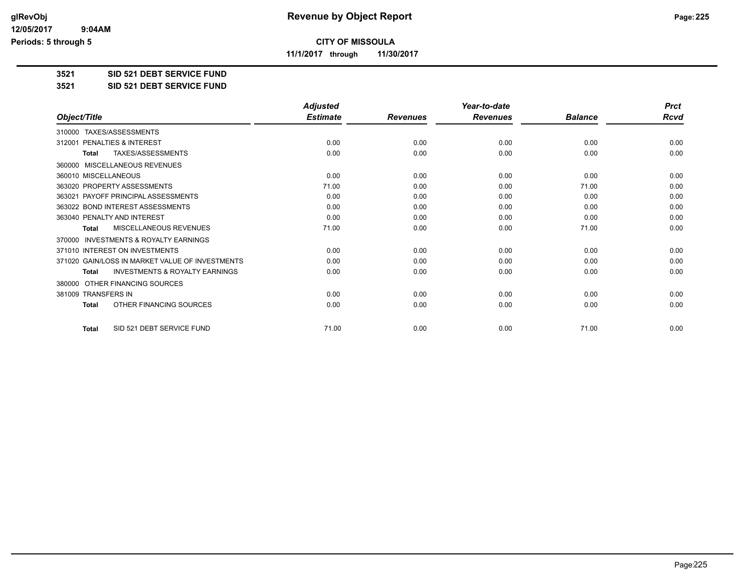**11/1/2017 through 11/30/2017**

**3521 SID 521 DEBT SERVICE FUND**

**3521 SID 521 DEBT SERVICE FUND**

|                                                           | <b>Adjusted</b> |                 | Year-to-date    |                | <b>Prct</b> |
|-----------------------------------------------------------|-----------------|-----------------|-----------------|----------------|-------------|
| Object/Title                                              | <b>Estimate</b> | <b>Revenues</b> | <b>Revenues</b> | <b>Balance</b> | <b>Rcvd</b> |
| TAXES/ASSESSMENTS<br>310000                               |                 |                 |                 |                |             |
| PENALTIES & INTEREST<br>312001                            | 0.00            | 0.00            | 0.00            | 0.00           | 0.00        |
| <b>TAXES/ASSESSMENTS</b><br>Total                         | 0.00            | 0.00            | 0.00            | 0.00           | 0.00        |
| MISCELLANEOUS REVENUES<br>360000                          |                 |                 |                 |                |             |
| 360010 MISCELLANEOUS                                      | 0.00            | 0.00            | 0.00            | 0.00           | 0.00        |
| 363020 PROPERTY ASSESSMENTS                               | 71.00           | 0.00            | 0.00            | 71.00          | 0.00        |
| 363021 PAYOFF PRINCIPAL ASSESSMENTS                       | 0.00            | 0.00            | 0.00            | 0.00           | 0.00        |
| 363022 BOND INTEREST ASSESSMENTS                          | 0.00            | 0.00            | 0.00            | 0.00           | 0.00        |
| 363040 PENALTY AND INTEREST                               | 0.00            | 0.00            | 0.00            | 0.00           | 0.00        |
| MISCELLANEOUS REVENUES<br>Total                           | 71.00           | 0.00            | 0.00            | 71.00          | 0.00        |
| <b>INVESTMENTS &amp; ROYALTY EARNINGS</b><br>370000       |                 |                 |                 |                |             |
| 371010 INTEREST ON INVESTMENTS                            | 0.00            | 0.00            | 0.00            | 0.00           | 0.00        |
| 371020 GAIN/LOSS IN MARKET VALUE OF INVESTMENTS           | 0.00            | 0.00            | 0.00            | 0.00           | 0.00        |
| <b>INVESTMENTS &amp; ROYALTY EARNINGS</b><br><b>Total</b> | 0.00            | 0.00            | 0.00            | 0.00           | 0.00        |
| OTHER FINANCING SOURCES<br>380000                         |                 |                 |                 |                |             |
| 381009 TRANSFERS IN                                       | 0.00            | 0.00            | 0.00            | 0.00           | 0.00        |
| OTHER FINANCING SOURCES<br><b>Total</b>                   | 0.00            | 0.00            | 0.00            | 0.00           | 0.00        |
| SID 521 DEBT SERVICE FUND<br><b>Total</b>                 | 71.00           | 0.00            | 0.00            | 71.00          | 0.00        |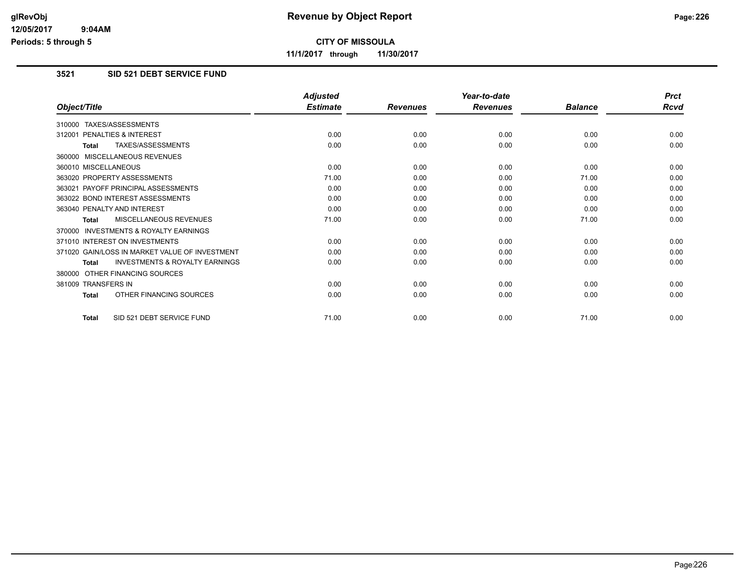**11/1/2017 through 11/30/2017**

## **3521 SID 521 DEBT SERVICE FUND**

|                                                           | <b>Adjusted</b> |                 | Year-to-date    |                | <b>Prct</b> |
|-----------------------------------------------------------|-----------------|-----------------|-----------------|----------------|-------------|
| Object/Title                                              | <b>Estimate</b> | <b>Revenues</b> | <b>Revenues</b> | <b>Balance</b> | Rcvd        |
| 310000 TAXES/ASSESSMENTS                                  |                 |                 |                 |                |             |
| PENALTIES & INTEREST<br>312001                            | 0.00            | 0.00            | 0.00            | 0.00           | 0.00        |
| TAXES/ASSESSMENTS<br><b>Total</b>                         | 0.00            | 0.00            | 0.00            | 0.00           | 0.00        |
| 360000 MISCELLANEOUS REVENUES                             |                 |                 |                 |                |             |
| 360010 MISCELLANEOUS                                      | 0.00            | 0.00            | 0.00            | 0.00           | 0.00        |
| 363020 PROPERTY ASSESSMENTS                               | 71.00           | 0.00            | 0.00            | 71.00          | 0.00        |
| 363021 PAYOFF PRINCIPAL ASSESSMENTS                       | 0.00            | 0.00            | 0.00            | 0.00           | 0.00        |
| 363022 BOND INTEREST ASSESSMENTS                          | 0.00            | 0.00            | 0.00            | 0.00           | 0.00        |
| 363040 PENALTY AND INTEREST                               | 0.00            | 0.00            | 0.00            | 0.00           | 0.00        |
| MISCELLANEOUS REVENUES<br><b>Total</b>                    | 71.00           | 0.00            | 0.00            | 71.00          | 0.00        |
| <b>INVESTMENTS &amp; ROYALTY EARNINGS</b><br>370000       |                 |                 |                 |                |             |
| 371010 INTEREST ON INVESTMENTS                            | 0.00            | 0.00            | 0.00            | 0.00           | 0.00        |
| 371020 GAIN/LOSS IN MARKET VALUE OF INVESTMENT            | 0.00            | 0.00            | 0.00            | 0.00           | 0.00        |
| <b>INVESTMENTS &amp; ROYALTY EARNINGS</b><br><b>Total</b> | 0.00            | 0.00            | 0.00            | 0.00           | 0.00        |
| OTHER FINANCING SOURCES<br>380000                         |                 |                 |                 |                |             |
| 381009 TRANSFERS IN                                       | 0.00            | 0.00            | 0.00            | 0.00           | 0.00        |
| OTHER FINANCING SOURCES<br><b>Total</b>                   | 0.00            | 0.00            | 0.00            | 0.00           | 0.00        |
| SID 521 DEBT SERVICE FUND<br><b>Total</b>                 | 71.00           | 0.00            | 0.00            | 71.00          | 0.00        |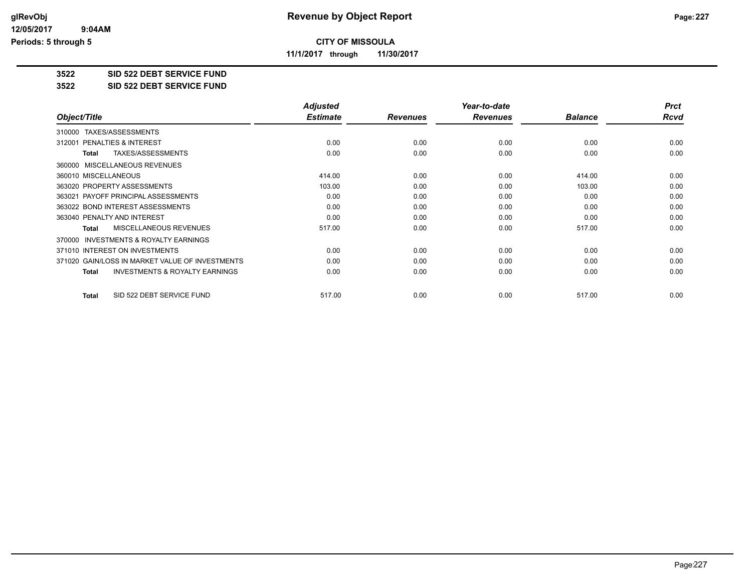**11/1/2017 through 11/30/2017**

**3522 SID 522 DEBT SERVICE FUND**

**3522 SID 522 DEBT SERVICE FUND**

|                                                    | <b>Adjusted</b> |                 | Year-to-date    |                | <b>Prct</b> |
|----------------------------------------------------|-----------------|-----------------|-----------------|----------------|-------------|
| Object/Title                                       | <b>Estimate</b> | <b>Revenues</b> | <b>Revenues</b> | <b>Balance</b> | Rcvd        |
| 310000 TAXES/ASSESSMENTS                           |                 |                 |                 |                |             |
| PENALTIES & INTEREST<br>312001                     | 0.00            | 0.00            | 0.00            | 0.00           | 0.00        |
| TAXES/ASSESSMENTS<br>Total                         | 0.00            | 0.00            | 0.00            | 0.00           | 0.00        |
| 360000 MISCELLANEOUS REVENUES                      |                 |                 |                 |                |             |
| 360010 MISCELLANEOUS                               | 414.00          | 0.00            | 0.00            | 414.00         | 0.00        |
| 363020 PROPERTY ASSESSMENTS                        | 103.00          | 0.00            | 0.00            | 103.00         | 0.00        |
| 363021 PAYOFF PRINCIPAL ASSESSMENTS                | 0.00            | 0.00            | 0.00            | 0.00           | 0.00        |
| 363022 BOND INTEREST ASSESSMENTS                   | 0.00            | 0.00            | 0.00            | 0.00           | 0.00        |
| 363040 PENALTY AND INTEREST                        | 0.00            | 0.00            | 0.00            | 0.00           | 0.00        |
| <b>MISCELLANEOUS REVENUES</b><br>Total             | 517.00          | 0.00            | 0.00            | 517.00         | 0.00        |
| INVESTMENTS & ROYALTY EARNINGS<br>370000           |                 |                 |                 |                |             |
| 371010 INTEREST ON INVESTMENTS                     | 0.00            | 0.00            | 0.00            | 0.00           | 0.00        |
| 371020 GAIN/LOSS IN MARKET VALUE OF INVESTMENTS    | 0.00            | 0.00            | 0.00            | 0.00           | 0.00        |
| <b>INVESTMENTS &amp; ROYALTY EARNINGS</b><br>Total | 0.00            | 0.00            | 0.00            | 0.00           | 0.00        |
| SID 522 DEBT SERVICE FUND<br><b>Total</b>          | 517.00          | 0.00            | 0.00            | 517.00         | 0.00        |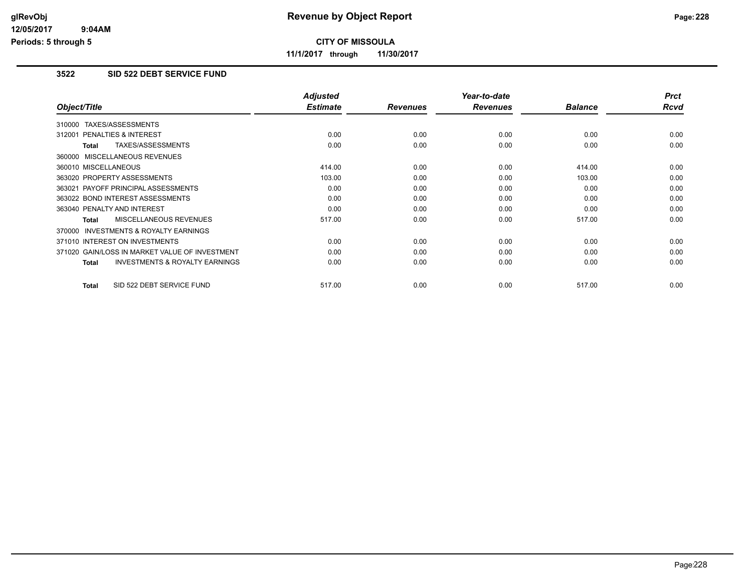**11/1/2017 through 11/30/2017**

## **3522 SID 522 DEBT SERVICE FUND**

|                                                           | <b>Adjusted</b> |                 | Year-to-date    |                | <b>Prct</b> |
|-----------------------------------------------------------|-----------------|-----------------|-----------------|----------------|-------------|
| Object/Title                                              | <b>Estimate</b> | <b>Revenues</b> | <b>Revenues</b> | <b>Balance</b> | <b>Rcvd</b> |
| 310000 TAXES/ASSESSMENTS                                  |                 |                 |                 |                |             |
| 312001 PENALTIES & INTEREST                               | 0.00            | 0.00            | 0.00            | 0.00           | 0.00        |
| TAXES/ASSESSMENTS<br>Total                                | 0.00            | 0.00            | 0.00            | 0.00           | 0.00        |
| 360000 MISCELLANEOUS REVENUES                             |                 |                 |                 |                |             |
| 360010 MISCELLANEOUS                                      | 414.00          | 0.00            | 0.00            | 414.00         | 0.00        |
| 363020 PROPERTY ASSESSMENTS                               | 103.00          | 0.00            | 0.00            | 103.00         | 0.00        |
| 363021 PAYOFF PRINCIPAL ASSESSMENTS                       | 0.00            | 0.00            | 0.00            | 0.00           | 0.00        |
| 363022 BOND INTEREST ASSESSMENTS                          | 0.00            | 0.00            | 0.00            | 0.00           | 0.00        |
| 363040 PENALTY AND INTEREST                               | 0.00            | 0.00            | 0.00            | 0.00           | 0.00        |
| <b>MISCELLANEOUS REVENUES</b><br>Total                    | 517.00          | 0.00            | 0.00            | 517.00         | 0.00        |
| <b>INVESTMENTS &amp; ROYALTY EARNINGS</b><br>370000       |                 |                 |                 |                |             |
| 371010 INTEREST ON INVESTMENTS                            | 0.00            | 0.00            | 0.00            | 0.00           | 0.00        |
| 371020 GAIN/LOSS IN MARKET VALUE OF INVESTMENT            | 0.00            | 0.00            | 0.00            | 0.00           | 0.00        |
| <b>INVESTMENTS &amp; ROYALTY EARNINGS</b><br><b>Total</b> | 0.00            | 0.00            | 0.00            | 0.00           | 0.00        |
| SID 522 DEBT SERVICE FUND<br><b>Total</b>                 | 517.00          | 0.00            | 0.00            | 517.00         | 0.00        |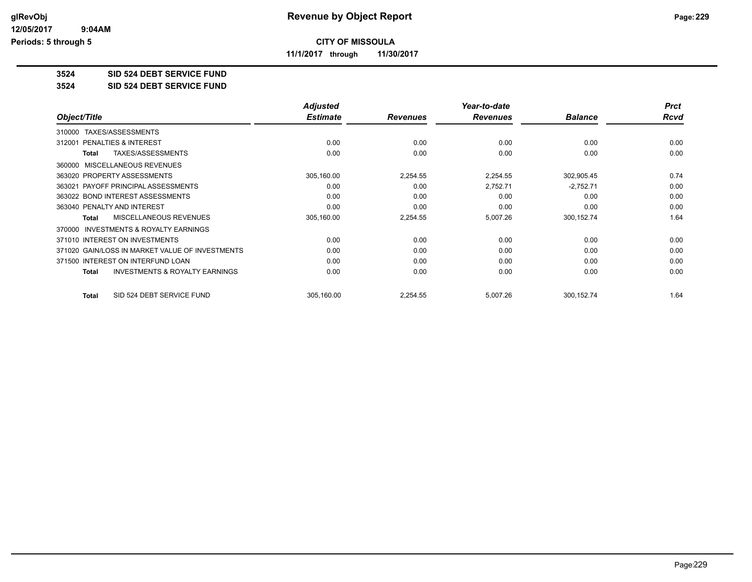**11/1/2017 through 11/30/2017**

**3524 SID 524 DEBT SERVICE FUND**

**3524 SID 524 DEBT SERVICE FUND**

|                                                           | <b>Adjusted</b> |                 | Year-to-date    |                | <b>Prct</b> |
|-----------------------------------------------------------|-----------------|-----------------|-----------------|----------------|-------------|
| Object/Title                                              | <b>Estimate</b> | <b>Revenues</b> | <b>Revenues</b> | <b>Balance</b> | <b>Rcvd</b> |
| 310000 TAXES/ASSESSMENTS                                  |                 |                 |                 |                |             |
| PENALTIES & INTEREST<br>312001                            | 0.00            | 0.00            | 0.00            | 0.00           | 0.00        |
| TAXES/ASSESSMENTS<br>Total                                | 0.00            | 0.00            | 0.00            | 0.00           | 0.00        |
| MISCELLANEOUS REVENUES<br>360000                          |                 |                 |                 |                |             |
| 363020 PROPERTY ASSESSMENTS                               | 305,160.00      | 2,254.55        | 2,254.55        | 302,905.45     | 0.74        |
| 363021 PAYOFF PRINCIPAL ASSESSMENTS                       | 0.00            | 0.00            | 2,752.71        | $-2,752.71$    | 0.00        |
| 363022 BOND INTEREST ASSESSMENTS                          | 0.00            | 0.00            | 0.00            | 0.00           | 0.00        |
| 363040 PENALTY AND INTEREST                               | 0.00            | 0.00            | 0.00            | 0.00           | 0.00        |
| MISCELLANEOUS REVENUES<br>Total                           | 305,160.00      | 2,254.55        | 5,007.26        | 300,152.74     | 1.64        |
| INVESTMENTS & ROYALTY EARNINGS<br>370000                  |                 |                 |                 |                |             |
| 371010 INTEREST ON INVESTMENTS                            | 0.00            | 0.00            | 0.00            | 0.00           | 0.00        |
| 371020 GAIN/LOSS IN MARKET VALUE OF INVESTMENTS           | 0.00            | 0.00            | 0.00            | 0.00           | 0.00        |
| 371500 INTEREST ON INTERFUND LOAN                         | 0.00            | 0.00            | 0.00            | 0.00           | 0.00        |
| <b>INVESTMENTS &amp; ROYALTY EARNINGS</b><br><b>Total</b> | 0.00            | 0.00            | 0.00            | 0.00           | 0.00        |
| SID 524 DEBT SERVICE FUND<br>Total                        | 305,160.00      | 2,254.55        | 5,007.26        | 300,152.74     | 1.64        |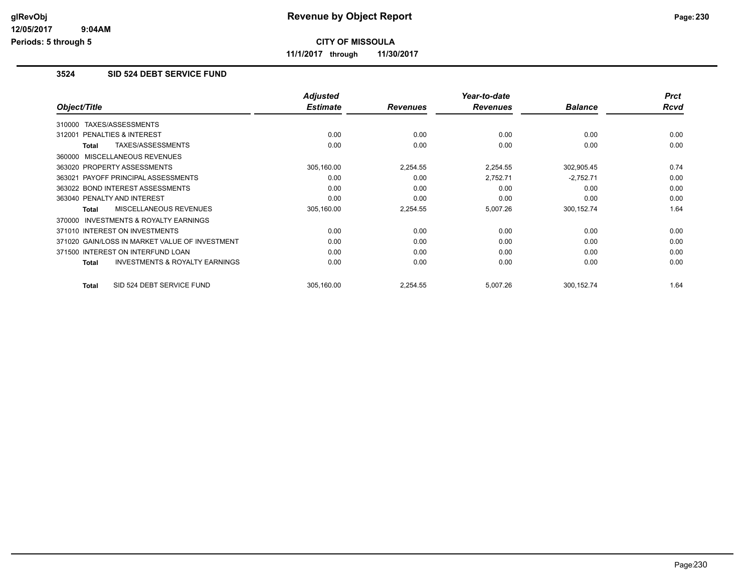**11/1/2017 through 11/30/2017**

## **3524 SID 524 DEBT SERVICE FUND**

|                                                     | <b>Adjusted</b> |                 | Year-to-date    |                | <b>Prct</b> |
|-----------------------------------------------------|-----------------|-----------------|-----------------|----------------|-------------|
| Object/Title                                        | <b>Estimate</b> | <b>Revenues</b> | <b>Revenues</b> | <b>Balance</b> | Rcvd        |
| 310000 TAXES/ASSESSMENTS                            |                 |                 |                 |                |             |
| 312001 PENALTIES & INTEREST                         | 0.00            | 0.00            | 0.00            | 0.00           | 0.00        |
| TAXES/ASSESSMENTS<br><b>Total</b>                   | 0.00            | 0.00            | 0.00            | 0.00           | 0.00        |
| 360000 MISCELLANEOUS REVENUES                       |                 |                 |                 |                |             |
| 363020 PROPERTY ASSESSMENTS                         | 305,160.00      | 2,254.55        | 2,254.55        | 302,905.45     | 0.74        |
| 363021 PAYOFF PRINCIPAL ASSESSMENTS                 | 0.00            | 0.00            | 2,752.71        | $-2,752.71$    | 0.00        |
| 363022 BOND INTEREST ASSESSMENTS                    | 0.00            | 0.00            | 0.00            | 0.00           | 0.00        |
| 363040 PENALTY AND INTEREST                         | 0.00            | 0.00            | 0.00            | 0.00           | 0.00        |
| <b>MISCELLANEOUS REVENUES</b><br>Total              | 305,160.00      | 2,254.55        | 5,007.26        | 300,152.74     | 1.64        |
| <b>INVESTMENTS &amp; ROYALTY EARNINGS</b><br>370000 |                 |                 |                 |                |             |
| 371010 INTEREST ON INVESTMENTS                      | 0.00            | 0.00            | 0.00            | 0.00           | 0.00        |
| 371020 GAIN/LOSS IN MARKET VALUE OF INVESTMENT      | 0.00            | 0.00            | 0.00            | 0.00           | 0.00        |
| 371500 INTEREST ON INTERFUND LOAN                   | 0.00            | 0.00            | 0.00            | 0.00           | 0.00        |
| <b>INVESTMENTS &amp; ROYALTY EARNINGS</b><br>Total  | 0.00            | 0.00            | 0.00            | 0.00           | 0.00        |
| SID 524 DEBT SERVICE FUND<br>Total                  | 305,160.00      | 2,254.55        | 5,007.26        | 300,152.74     | 1.64        |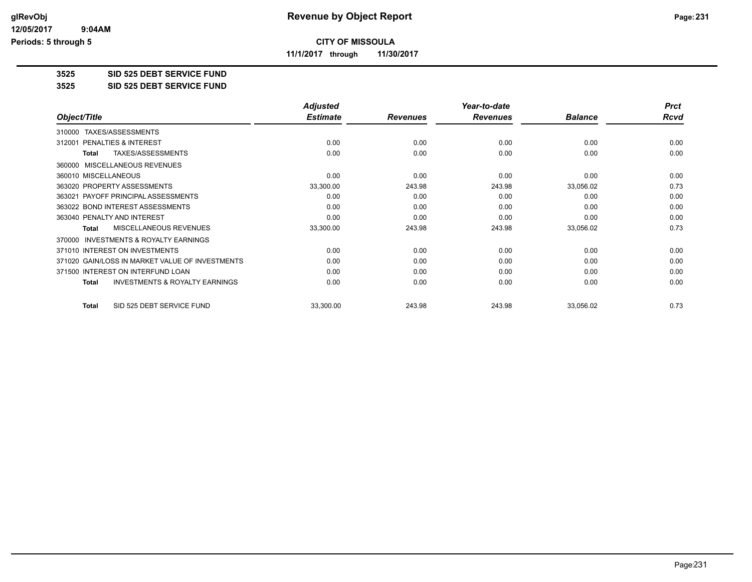**11/1/2017 through 11/30/2017**

**3525 SID 525 DEBT SERVICE FUND**

**3525 SID 525 DEBT SERVICE FUND**

|                                                           | <b>Adjusted</b> |                 | Year-to-date    |                | <b>Prct</b> |
|-----------------------------------------------------------|-----------------|-----------------|-----------------|----------------|-------------|
| Object/Title                                              | <b>Estimate</b> | <b>Revenues</b> | <b>Revenues</b> | <b>Balance</b> | <b>Rcvd</b> |
| TAXES/ASSESSMENTS<br>310000                               |                 |                 |                 |                |             |
| <b>PENALTIES &amp; INTEREST</b><br>312001                 | 0.00            | 0.00            | 0.00            | 0.00           | 0.00        |
| TAXES/ASSESSMENTS<br>Total                                | 0.00            | 0.00            | 0.00            | 0.00           | 0.00        |
| MISCELLANEOUS REVENUES<br>360000                          |                 |                 |                 |                |             |
| 360010 MISCELLANEOUS                                      | 0.00            | 0.00            | 0.00            | 0.00           | 0.00        |
| 363020 PROPERTY ASSESSMENTS                               | 33,300.00       | 243.98          | 243.98          | 33,056.02      | 0.73        |
| 363021 PAYOFF PRINCIPAL ASSESSMENTS                       | 0.00            | 0.00            | 0.00            | 0.00           | 0.00        |
| 363022 BOND INTEREST ASSESSMENTS                          | 0.00            | 0.00            | 0.00            | 0.00           | 0.00        |
| 363040 PENALTY AND INTEREST                               | 0.00            | 0.00            | 0.00            | 0.00           | 0.00        |
| <b>MISCELLANEOUS REVENUES</b><br><b>Total</b>             | 33,300.00       | 243.98          | 243.98          | 33,056.02      | 0.73        |
| <b>INVESTMENTS &amp; ROYALTY EARNINGS</b><br>370000       |                 |                 |                 |                |             |
| 371010 INTEREST ON INVESTMENTS                            | 0.00            | 0.00            | 0.00            | 0.00           | 0.00        |
| 371020 GAIN/LOSS IN MARKET VALUE OF INVESTMENTS           | 0.00            | 0.00            | 0.00            | 0.00           | 0.00        |
| 371500 INTEREST ON INTERFUND LOAN                         | 0.00            | 0.00            | 0.00            | 0.00           | 0.00        |
| <b>INVESTMENTS &amp; ROYALTY EARNINGS</b><br><b>Total</b> | 0.00            | 0.00            | 0.00            | 0.00           | 0.00        |
| SID 525 DEBT SERVICE FUND<br><b>Total</b>                 | 33,300.00       | 243.98          | 243.98          | 33,056.02      | 0.73        |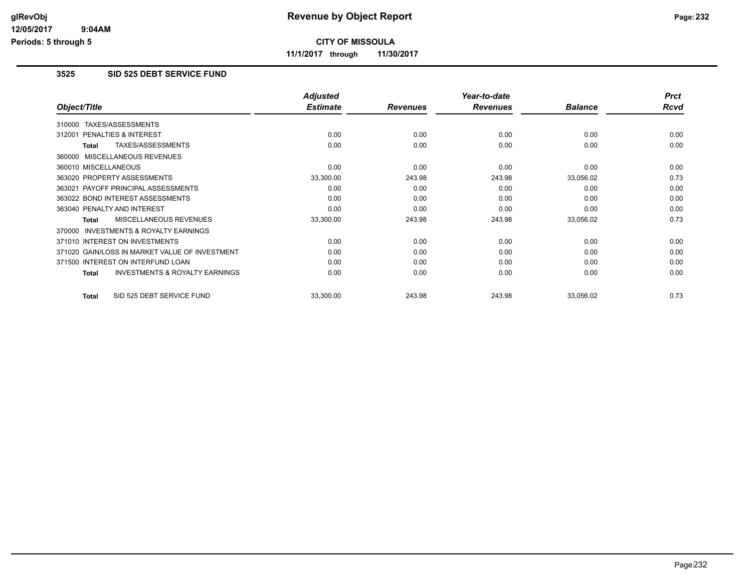**11/1/2017 through 11/30/2017**

## **3525 SID 525 DEBT SERVICE FUND**

|                                                           | <b>Adjusted</b> |                 | Year-to-date    |                | <b>Prct</b> |
|-----------------------------------------------------------|-----------------|-----------------|-----------------|----------------|-------------|
| Object/Title                                              | <b>Estimate</b> | <b>Revenues</b> | <b>Revenues</b> | <b>Balance</b> | Rcvd        |
| TAXES/ASSESSMENTS<br>310000                               |                 |                 |                 |                |             |
| PENALTIES & INTEREST<br>312001                            | 0.00            | 0.00            | 0.00            | 0.00           | 0.00        |
| TAXES/ASSESSMENTS<br><b>Total</b>                         | 0.00            | 0.00            | 0.00            | 0.00           | 0.00        |
| 360000 MISCELLANEOUS REVENUES                             |                 |                 |                 |                |             |
| 360010 MISCELLANEOUS                                      | 0.00            | 0.00            | 0.00            | 0.00           | 0.00        |
| 363020 PROPERTY ASSESSMENTS                               | 33,300.00       | 243.98          | 243.98          | 33,056.02      | 0.73        |
| 363021 PAYOFF PRINCIPAL ASSESSMENTS                       | 0.00            | 0.00            | 0.00            | 0.00           | 0.00        |
| 363022 BOND INTEREST ASSESSMENTS                          | 0.00            | 0.00            | 0.00            | 0.00           | 0.00        |
| 363040 PENALTY AND INTEREST                               | 0.00            | 0.00            | 0.00            | 0.00           | 0.00        |
| <b>MISCELLANEOUS REVENUES</b><br><b>Total</b>             | 33,300.00       | 243.98          | 243.98          | 33,056.02      | 0.73        |
| <b>INVESTMENTS &amp; ROYALTY EARNINGS</b><br>370000       |                 |                 |                 |                |             |
| 371010 INTEREST ON INVESTMENTS                            | 0.00            | 0.00            | 0.00            | 0.00           | 0.00        |
| 371020 GAIN/LOSS IN MARKET VALUE OF INVESTMENT            | 0.00            | 0.00            | 0.00            | 0.00           | 0.00        |
| 371500 INTEREST ON INTERFUND LOAN                         | 0.00            | 0.00            | 0.00            | 0.00           | 0.00        |
| <b>INVESTMENTS &amp; ROYALTY EARNINGS</b><br><b>Total</b> | 0.00            | 0.00            | 0.00            | 0.00           | 0.00        |
| SID 525 DEBT SERVICE FUND<br><b>Total</b>                 | 33,300.00       | 243.98          | 243.98          | 33,056.02      | 0.73        |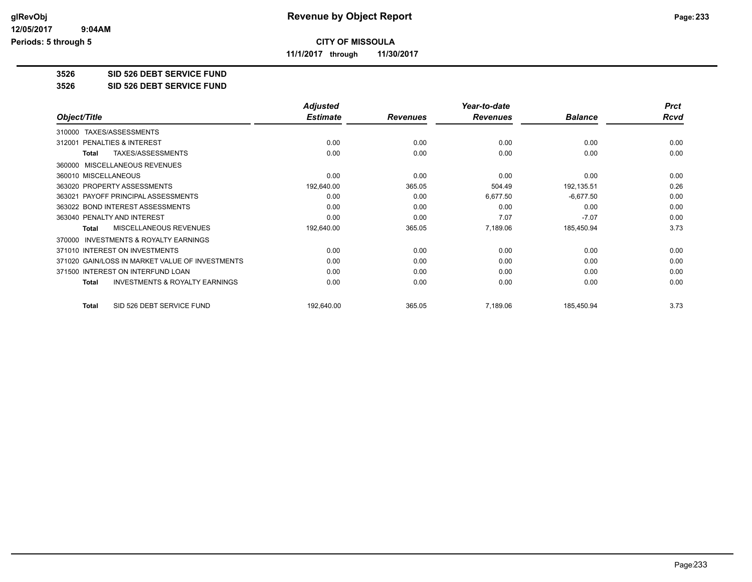**11/1/2017 through 11/30/2017**

**3526 SID 526 DEBT SERVICE FUND**

**3526 SID 526 DEBT SERVICE FUND**

|                                                           | <b>Adjusted</b> |                 | Year-to-date    |                | <b>Prct</b> |
|-----------------------------------------------------------|-----------------|-----------------|-----------------|----------------|-------------|
| Object/Title                                              | <b>Estimate</b> | <b>Revenues</b> | <b>Revenues</b> | <b>Balance</b> | <b>Rcvd</b> |
| TAXES/ASSESSMENTS<br>310000                               |                 |                 |                 |                |             |
| PENALTIES & INTEREST<br>312001                            | 0.00            | 0.00            | 0.00            | 0.00           | 0.00        |
| TAXES/ASSESSMENTS<br><b>Total</b>                         | 0.00            | 0.00            | 0.00            | 0.00           | 0.00        |
| MISCELLANEOUS REVENUES<br>360000                          |                 |                 |                 |                |             |
| 360010 MISCELLANEOUS                                      | 0.00            | 0.00            | 0.00            | 0.00           | 0.00        |
| 363020 PROPERTY ASSESSMENTS                               | 192,640.00      | 365.05          | 504.49          | 192,135.51     | 0.26        |
| 363021 PAYOFF PRINCIPAL ASSESSMENTS                       | 0.00            | 0.00            | 6,677.50        | $-6,677.50$    | 0.00        |
| 363022 BOND INTEREST ASSESSMENTS                          | 0.00            | 0.00            | 0.00            | 0.00           | 0.00        |
| 363040 PENALTY AND INTEREST                               | 0.00            | 0.00            | 7.07            | $-7.07$        | 0.00        |
| <b>MISCELLANEOUS REVENUES</b><br><b>Total</b>             | 192,640.00      | 365.05          | 7,189.06        | 185,450.94     | 3.73        |
| <b>INVESTMENTS &amp; ROYALTY EARNINGS</b><br>370000       |                 |                 |                 |                |             |
| 371010 INTEREST ON INVESTMENTS                            | 0.00            | 0.00            | 0.00            | 0.00           | 0.00        |
| 371020 GAIN/LOSS IN MARKET VALUE OF INVESTMENTS           | 0.00            | 0.00            | 0.00            | 0.00           | 0.00        |
| 371500 INTEREST ON INTERFUND LOAN                         | 0.00            | 0.00            | 0.00            | 0.00           | 0.00        |
| <b>INVESTMENTS &amp; ROYALTY EARNINGS</b><br><b>Total</b> | 0.00            | 0.00            | 0.00            | 0.00           | 0.00        |
| SID 526 DEBT SERVICE FUND<br><b>Total</b>                 | 192,640.00      | 365.05          | 7,189.06        | 185,450.94     | 3.73        |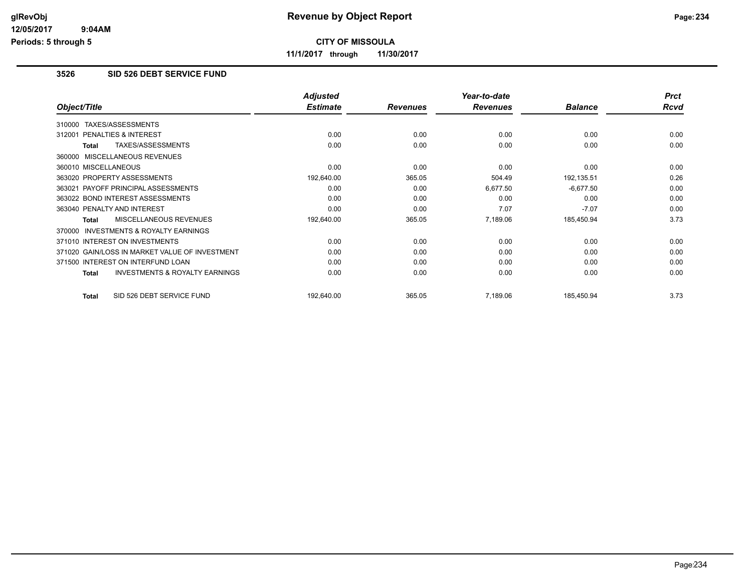**11/1/2017 through 11/30/2017**

## **3526 SID 526 DEBT SERVICE FUND**

|                                                           | <b>Adjusted</b> |                 | Year-to-date    |                | <b>Prct</b> |
|-----------------------------------------------------------|-----------------|-----------------|-----------------|----------------|-------------|
| Object/Title                                              | <b>Estimate</b> | <b>Revenues</b> | <b>Revenues</b> | <b>Balance</b> | Rcvd        |
| TAXES/ASSESSMENTS<br>310000                               |                 |                 |                 |                |             |
| <b>PENALTIES &amp; INTEREST</b><br>312001                 | 0.00            | 0.00            | 0.00            | 0.00           | 0.00        |
| TAXES/ASSESSMENTS<br>Total                                | 0.00            | 0.00            | 0.00            | 0.00           | 0.00        |
| 360000 MISCELLANEOUS REVENUES                             |                 |                 |                 |                |             |
| 360010 MISCELLANEOUS                                      | 0.00            | 0.00            | 0.00            | 0.00           | 0.00        |
| 363020 PROPERTY ASSESSMENTS                               | 192,640.00      | 365.05          | 504.49          | 192,135.51     | 0.26        |
| 363021 PAYOFF PRINCIPAL ASSESSMENTS                       | 0.00            | 0.00            | 6,677.50        | $-6,677.50$    | 0.00        |
| 363022 BOND INTEREST ASSESSMENTS                          | 0.00            | 0.00            | 0.00            | 0.00           | 0.00        |
| 363040 PENALTY AND INTEREST                               | 0.00            | 0.00            | 7.07            | $-7.07$        | 0.00        |
| <b>MISCELLANEOUS REVENUES</b><br>Total                    | 192,640.00      | 365.05          | 7,189.06        | 185,450.94     | 3.73        |
| 370000 INVESTMENTS & ROYALTY EARNINGS                     |                 |                 |                 |                |             |
| 371010 INTEREST ON INVESTMENTS                            | 0.00            | 0.00            | 0.00            | 0.00           | 0.00        |
| 371020 GAIN/LOSS IN MARKET VALUE OF INVESTMENT            | 0.00            | 0.00            | 0.00            | 0.00           | 0.00        |
| 371500 INTEREST ON INTERFUND LOAN                         | 0.00            | 0.00            | 0.00            | 0.00           | 0.00        |
| <b>INVESTMENTS &amp; ROYALTY EARNINGS</b><br><b>Total</b> | 0.00            | 0.00            | 0.00            | 0.00           | 0.00        |
| SID 526 DEBT SERVICE FUND<br>Total                        | 192,640.00      | 365.05          | 7,189.06        | 185,450.94     | 3.73        |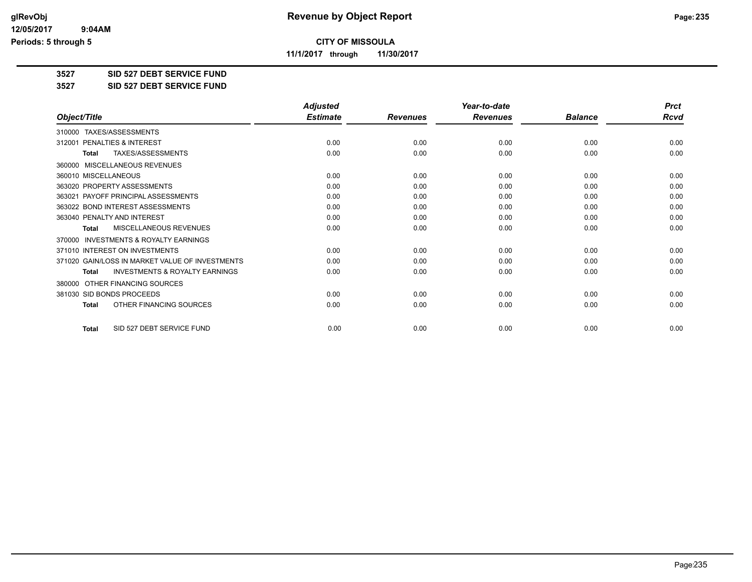**11/1/2017 through 11/30/2017**

**3527 SID 527 DEBT SERVICE FUND**

**3527 SID 527 DEBT SERVICE FUND**

|                                                           | <b>Adjusted</b> |                 | Year-to-date    |                | <b>Prct</b> |
|-----------------------------------------------------------|-----------------|-----------------|-----------------|----------------|-------------|
| Object/Title                                              | <b>Estimate</b> | <b>Revenues</b> | <b>Revenues</b> | <b>Balance</b> | <b>Rcvd</b> |
| TAXES/ASSESSMENTS<br>310000                               |                 |                 |                 |                |             |
| PENALTIES & INTEREST<br>312001                            | 0.00            | 0.00            | 0.00            | 0.00           | 0.00        |
| TAXES/ASSESSMENTS<br>Total                                | 0.00            | 0.00            | 0.00            | 0.00           | 0.00        |
| MISCELLANEOUS REVENUES<br>360000                          |                 |                 |                 |                |             |
| 360010 MISCELLANEOUS                                      | 0.00            | 0.00            | 0.00            | 0.00           | 0.00        |
| 363020 PROPERTY ASSESSMENTS                               | 0.00            | 0.00            | 0.00            | 0.00           | 0.00        |
| 363021 PAYOFF PRINCIPAL ASSESSMENTS                       | 0.00            | 0.00            | 0.00            | 0.00           | 0.00        |
| 363022 BOND INTEREST ASSESSMENTS                          | 0.00            | 0.00            | 0.00            | 0.00           | 0.00        |
| 363040 PENALTY AND INTEREST                               | 0.00            | 0.00            | 0.00            | 0.00           | 0.00        |
| MISCELLANEOUS REVENUES<br>Total                           | 0.00            | 0.00            | 0.00            | 0.00           | 0.00        |
| <b>INVESTMENTS &amp; ROYALTY EARNINGS</b><br>370000       |                 |                 |                 |                |             |
| 371010 INTEREST ON INVESTMENTS                            | 0.00            | 0.00            | 0.00            | 0.00           | 0.00        |
| 371020 GAIN/LOSS IN MARKET VALUE OF INVESTMENTS           | 0.00            | 0.00            | 0.00            | 0.00           | 0.00        |
| <b>INVESTMENTS &amp; ROYALTY EARNINGS</b><br><b>Total</b> | 0.00            | 0.00            | 0.00            | 0.00           | 0.00        |
| OTHER FINANCING SOURCES<br>380000                         |                 |                 |                 |                |             |
| 381030 SID BONDS PROCEEDS                                 | 0.00            | 0.00            | 0.00            | 0.00           | 0.00        |
| OTHER FINANCING SOURCES<br><b>Total</b>                   | 0.00            | 0.00            | 0.00            | 0.00           | 0.00        |
| SID 527 DEBT SERVICE FUND<br><b>Total</b>                 | 0.00            | 0.00            | 0.00            | 0.00           | 0.00        |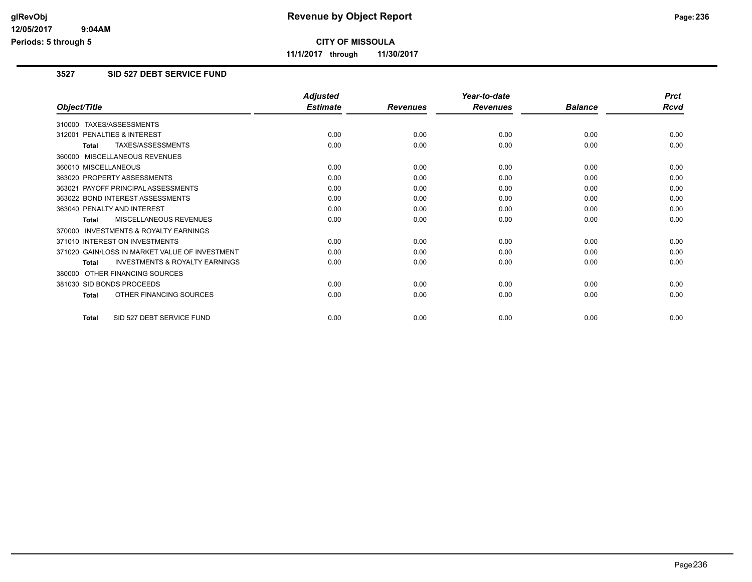**11/1/2017 through 11/30/2017**

## **3527 SID 527 DEBT SERVICE FUND**

|                                                           | <b>Adjusted</b> |                 | Year-to-date    |                | <b>Prct</b> |
|-----------------------------------------------------------|-----------------|-----------------|-----------------|----------------|-------------|
| Object/Title                                              | <b>Estimate</b> | <b>Revenues</b> | <b>Revenues</b> | <b>Balance</b> | <b>Rcvd</b> |
| 310000 TAXES/ASSESSMENTS                                  |                 |                 |                 |                |             |
| 312001 PENALTIES & INTEREST                               | 0.00            | 0.00            | 0.00            | 0.00           | 0.00        |
| TAXES/ASSESSMENTS<br><b>Total</b>                         | 0.00            | 0.00            | 0.00            | 0.00           | 0.00        |
| 360000 MISCELLANEOUS REVENUES                             |                 |                 |                 |                |             |
| 360010 MISCELLANEOUS                                      | 0.00            | 0.00            | 0.00            | 0.00           | 0.00        |
| 363020 PROPERTY ASSESSMENTS                               | 0.00            | 0.00            | 0.00            | 0.00           | 0.00        |
| 363021 PAYOFF PRINCIPAL ASSESSMENTS                       | 0.00            | 0.00            | 0.00            | 0.00           | 0.00        |
| 363022 BOND INTEREST ASSESSMENTS                          | 0.00            | 0.00            | 0.00            | 0.00           | 0.00        |
| 363040 PENALTY AND INTEREST                               | 0.00            | 0.00            | 0.00            | 0.00           | 0.00        |
| MISCELLANEOUS REVENUES<br><b>Total</b>                    | 0.00            | 0.00            | 0.00            | 0.00           | 0.00        |
| INVESTMENTS & ROYALTY EARNINGS<br>370000                  |                 |                 |                 |                |             |
| 371010 INTEREST ON INVESTMENTS                            | 0.00            | 0.00            | 0.00            | 0.00           | 0.00        |
| 371020 GAIN/LOSS IN MARKET VALUE OF INVESTMENT            | 0.00            | 0.00            | 0.00            | 0.00           | 0.00        |
| <b>INVESTMENTS &amp; ROYALTY EARNINGS</b><br><b>Total</b> | 0.00            | 0.00            | 0.00            | 0.00           | 0.00        |
| 380000 OTHER FINANCING SOURCES                            |                 |                 |                 |                |             |
| 381030 SID BONDS PROCEEDS                                 | 0.00            | 0.00            | 0.00            | 0.00           | 0.00        |
| OTHER FINANCING SOURCES<br><b>Total</b>                   | 0.00            | 0.00            | 0.00            | 0.00           | 0.00        |
| SID 527 DEBT SERVICE FUND<br><b>Total</b>                 | 0.00            | 0.00            | 0.00            | 0.00           | 0.00        |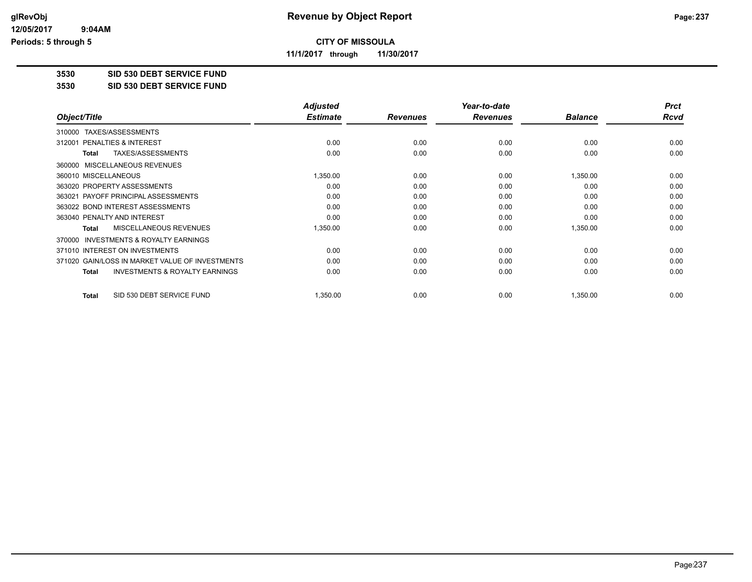**11/1/2017 through 11/30/2017**

**3530 SID 530 DEBT SERVICE FUND**

**3530 SID 530 DEBT SERVICE FUND**

|                                                           | <b>Adjusted</b> |                 | Year-to-date    |                | <b>Prct</b> |
|-----------------------------------------------------------|-----------------|-----------------|-----------------|----------------|-------------|
| Object/Title                                              | <b>Estimate</b> | <b>Revenues</b> | <b>Revenues</b> | <b>Balance</b> | Rcvd        |
| TAXES/ASSESSMENTS<br>310000                               |                 |                 |                 |                |             |
| 312001 PENALTIES & INTEREST                               | 0.00            | 0.00            | 0.00            | 0.00           | 0.00        |
| TAXES/ASSESSMENTS<br>Total                                | 0.00            | 0.00            | 0.00            | 0.00           | 0.00        |
| MISCELLANEOUS REVENUES<br>360000                          |                 |                 |                 |                |             |
| 360010 MISCELLANEOUS                                      | 1,350.00        | 0.00            | 0.00            | 1,350.00       | 0.00        |
| 363020 PROPERTY ASSESSMENTS                               | 0.00            | 0.00            | 0.00            | 0.00           | 0.00        |
| 363021 PAYOFF PRINCIPAL ASSESSMENTS                       | 0.00            | 0.00            | 0.00            | 0.00           | 0.00        |
| 363022 BOND INTEREST ASSESSMENTS                          | 0.00            | 0.00            | 0.00            | 0.00           | 0.00        |
| 363040 PENALTY AND INTEREST                               | 0.00            | 0.00            | 0.00            | 0.00           | 0.00        |
| <b>MISCELLANEOUS REVENUES</b><br><b>Total</b>             | 1,350.00        | 0.00            | 0.00            | 1,350.00       | 0.00        |
| INVESTMENTS & ROYALTY EARNINGS<br>370000                  |                 |                 |                 |                |             |
| 371010 INTEREST ON INVESTMENTS                            | 0.00            | 0.00            | 0.00            | 0.00           | 0.00        |
| 371020 GAIN/LOSS IN MARKET VALUE OF INVESTMENTS           | 0.00            | 0.00            | 0.00            | 0.00           | 0.00        |
| <b>INVESTMENTS &amp; ROYALTY EARNINGS</b><br><b>Total</b> | 0.00            | 0.00            | 0.00            | 0.00           | 0.00        |
| SID 530 DEBT SERVICE FUND<br><b>Total</b>                 | 1,350.00        | 0.00            | 0.00            | 1,350.00       | 0.00        |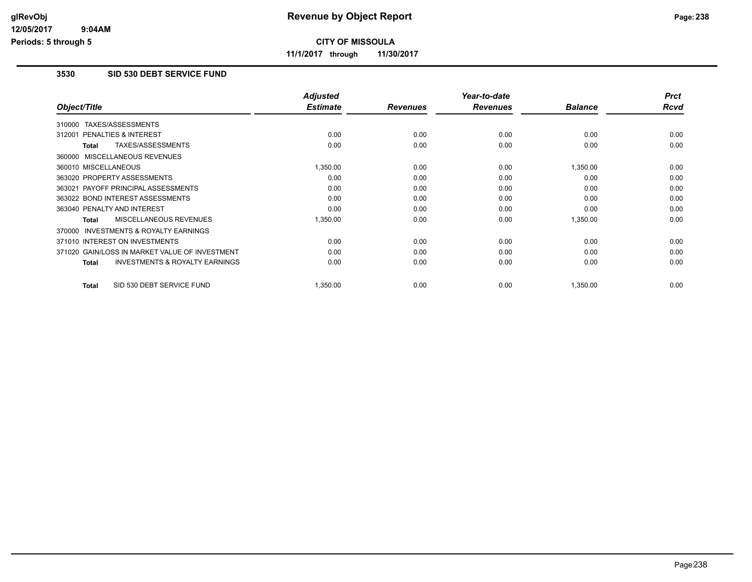**11/1/2017 through 11/30/2017**

## **3530 SID 530 DEBT SERVICE FUND**

|                                                           | <b>Adjusted</b> |                 | Year-to-date    |                | <b>Prct</b> |
|-----------------------------------------------------------|-----------------|-----------------|-----------------|----------------|-------------|
| Object/Title                                              | <b>Estimate</b> | <b>Revenues</b> | <b>Revenues</b> | <b>Balance</b> | Rcvd        |
| TAXES/ASSESSMENTS<br>310000                               |                 |                 |                 |                |             |
| 312001 PENALTIES & INTEREST                               | 0.00            | 0.00            | 0.00            | 0.00           | 0.00        |
| TAXES/ASSESSMENTS<br>Total                                | 0.00            | 0.00            | 0.00            | 0.00           | 0.00        |
| 360000 MISCELLANEOUS REVENUES                             |                 |                 |                 |                |             |
| 360010 MISCELLANEOUS                                      | 1,350.00        | 0.00            | 0.00            | 1,350.00       | 0.00        |
| 363020 PROPERTY ASSESSMENTS                               | 0.00            | 0.00            | 0.00            | 0.00           | 0.00        |
| 363021 PAYOFF PRINCIPAL ASSESSMENTS                       | 0.00            | 0.00            | 0.00            | 0.00           | 0.00        |
| 363022 BOND INTEREST ASSESSMENTS                          | 0.00            | 0.00            | 0.00            | 0.00           | 0.00        |
| 363040 PENALTY AND INTEREST                               | 0.00            | 0.00            | 0.00            | 0.00           | 0.00        |
| <b>MISCELLANEOUS REVENUES</b><br><b>Total</b>             | 1,350.00        | 0.00            | 0.00            | 1,350.00       | 0.00        |
| <b>INVESTMENTS &amp; ROYALTY EARNINGS</b><br>370000       |                 |                 |                 |                |             |
| 371010 INTEREST ON INVESTMENTS                            | 0.00            | 0.00            | 0.00            | 0.00           | 0.00        |
| 371020 GAIN/LOSS IN MARKET VALUE OF INVESTMENT            | 0.00            | 0.00            | 0.00            | 0.00           | 0.00        |
| <b>INVESTMENTS &amp; ROYALTY EARNINGS</b><br><b>Total</b> | 0.00            | 0.00            | 0.00            | 0.00           | 0.00        |
| SID 530 DEBT SERVICE FUND<br><b>Total</b>                 | 1,350.00        | 0.00            | 0.00            | 1,350.00       | 0.00        |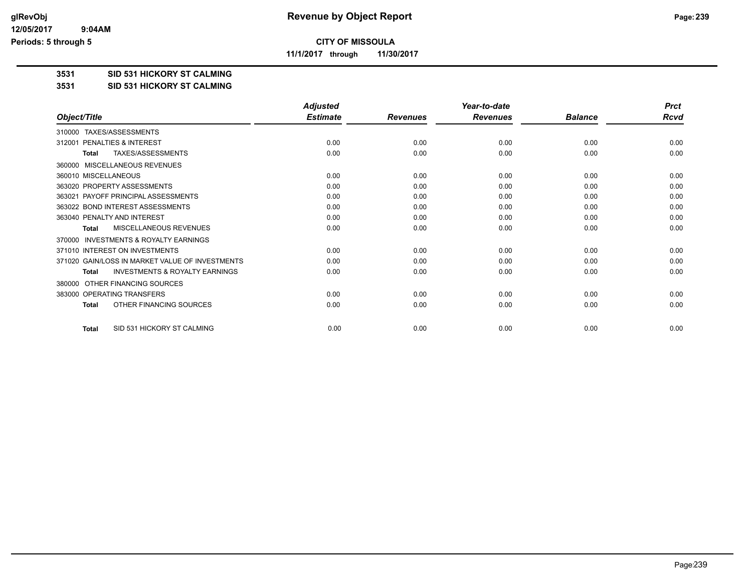**11/1/2017 through 11/30/2017**

**3531 SID 531 HICKORY ST CALMING**

**3531 SID 531 HICKORY ST CALMING**

|                                                           | <b>Adjusted</b> |                 | Year-to-date    |                | <b>Prct</b> |
|-----------------------------------------------------------|-----------------|-----------------|-----------------|----------------|-------------|
| Object/Title                                              | <b>Estimate</b> | <b>Revenues</b> | <b>Revenues</b> | <b>Balance</b> | Rcvd        |
| 310000 TAXES/ASSESSMENTS                                  |                 |                 |                 |                |             |
| 312001 PENALTIES & INTEREST                               | 0.00            | 0.00            | 0.00            | 0.00           | 0.00        |
| TAXES/ASSESSMENTS<br><b>Total</b>                         | 0.00            | 0.00            | 0.00            | 0.00           | 0.00        |
| <b>MISCELLANEOUS REVENUES</b><br>360000                   |                 |                 |                 |                |             |
| 360010 MISCELLANEOUS                                      | 0.00            | 0.00            | 0.00            | 0.00           | 0.00        |
| 363020 PROPERTY ASSESSMENTS                               | 0.00            | 0.00            | 0.00            | 0.00           | 0.00        |
| PAYOFF PRINCIPAL ASSESSMENTS<br>363021                    | 0.00            | 0.00            | 0.00            | 0.00           | 0.00        |
| 363022 BOND INTEREST ASSESSMENTS                          | 0.00            | 0.00            | 0.00            | 0.00           | 0.00        |
| 363040 PENALTY AND INTEREST                               | 0.00            | 0.00            | 0.00            | 0.00           | 0.00        |
| <b>MISCELLANEOUS REVENUES</b><br><b>Total</b>             | 0.00            | 0.00            | 0.00            | 0.00           | 0.00        |
| <b>INVESTMENTS &amp; ROYALTY EARNINGS</b><br>370000       |                 |                 |                 |                |             |
| 371010 INTEREST ON INVESTMENTS                            | 0.00            | 0.00            | 0.00            | 0.00           | 0.00        |
| 371020 GAIN/LOSS IN MARKET VALUE OF INVESTMENTS           | 0.00            | 0.00            | 0.00            | 0.00           | 0.00        |
| <b>INVESTMENTS &amp; ROYALTY EARNINGS</b><br><b>Total</b> | 0.00            | 0.00            | 0.00            | 0.00           | 0.00        |
| OTHER FINANCING SOURCES<br>380000                         |                 |                 |                 |                |             |
| 383000 OPERATING TRANSFERS                                | 0.00            | 0.00            | 0.00            | 0.00           | 0.00        |
| OTHER FINANCING SOURCES<br><b>Total</b>                   | 0.00            | 0.00            | 0.00            | 0.00           | 0.00        |
| SID 531 HICKORY ST CALMING<br><b>Total</b>                | 0.00            | 0.00            | 0.00            | 0.00           | 0.00        |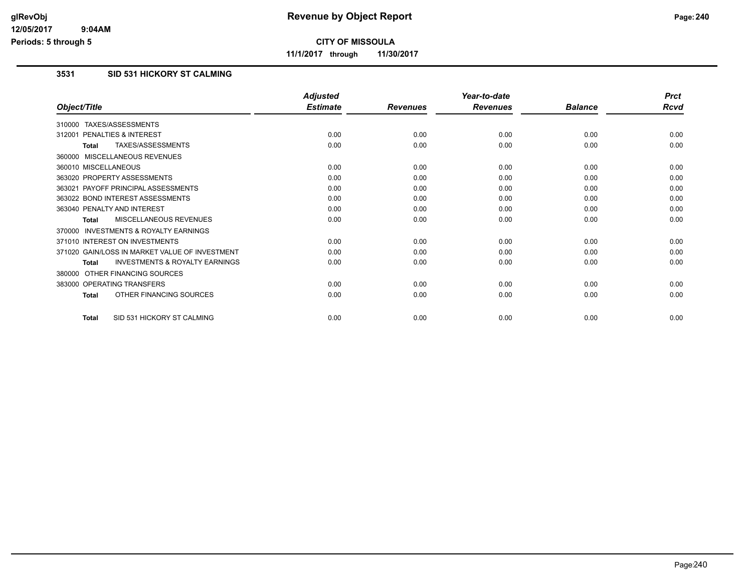**11/1/2017 through 11/30/2017**

## **3531 SID 531 HICKORY ST CALMING**

|                                                           | <b>Adjusted</b> |                 | Year-to-date    |                | <b>Prct</b> |
|-----------------------------------------------------------|-----------------|-----------------|-----------------|----------------|-------------|
| Object/Title                                              | <b>Estimate</b> | <b>Revenues</b> | <b>Revenues</b> | <b>Balance</b> | Rcvd        |
| 310000 TAXES/ASSESSMENTS                                  |                 |                 |                 |                |             |
| PENALTIES & INTEREST<br>312001                            | 0.00            | 0.00            | 0.00            | 0.00           | 0.00        |
| TAXES/ASSESSMENTS<br><b>Total</b>                         | 0.00            | 0.00            | 0.00            | 0.00           | 0.00        |
| 360000 MISCELLANEOUS REVENUES                             |                 |                 |                 |                |             |
| 360010 MISCELLANEOUS                                      | 0.00            | 0.00            | 0.00            | 0.00           | 0.00        |
| 363020 PROPERTY ASSESSMENTS                               | 0.00            | 0.00            | 0.00            | 0.00           | 0.00        |
| 363021 PAYOFF PRINCIPAL ASSESSMENTS                       | 0.00            | 0.00            | 0.00            | 0.00           | 0.00        |
| 363022 BOND INTEREST ASSESSMENTS                          | 0.00            | 0.00            | 0.00            | 0.00           | 0.00        |
| 363040 PENALTY AND INTEREST                               | 0.00            | 0.00            | 0.00            | 0.00           | 0.00        |
| MISCELLANEOUS REVENUES<br><b>Total</b>                    | 0.00            | 0.00            | 0.00            | 0.00           | 0.00        |
| 370000 INVESTMENTS & ROYALTY EARNINGS                     |                 |                 |                 |                |             |
| 371010 INTEREST ON INVESTMENTS                            | 0.00            | 0.00            | 0.00            | 0.00           | 0.00        |
| 371020 GAIN/LOSS IN MARKET VALUE OF INVESTMENT            | 0.00            | 0.00            | 0.00            | 0.00           | 0.00        |
| <b>INVESTMENTS &amp; ROYALTY EARNINGS</b><br><b>Total</b> | 0.00            | 0.00            | 0.00            | 0.00           | 0.00        |
| 380000 OTHER FINANCING SOURCES                            |                 |                 |                 |                |             |
| 383000 OPERATING TRANSFERS                                | 0.00            | 0.00            | 0.00            | 0.00           | 0.00        |
| OTHER FINANCING SOURCES<br><b>Total</b>                   | 0.00            | 0.00            | 0.00            | 0.00           | 0.00        |
| SID 531 HICKORY ST CALMING<br><b>Total</b>                | 0.00            | 0.00            | 0.00            | 0.00           | 0.00        |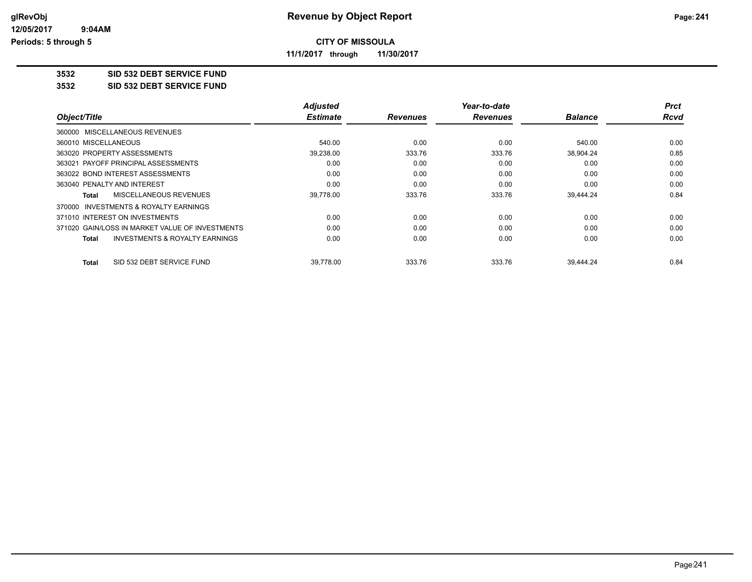**11/1/2017 through 11/30/2017**

**3532 SID 532 DEBT SERVICE FUND**

**3532 SID 532 DEBT SERVICE FUND**

|                                                 | <b>Adjusted</b> |                 | Year-to-date    |                | <b>Prct</b> |
|-------------------------------------------------|-----------------|-----------------|-----------------|----------------|-------------|
| Object/Title                                    | <b>Estimate</b> | <b>Revenues</b> | <b>Revenues</b> | <b>Balance</b> | Rcvd        |
| 360000 MISCELLANEOUS REVENUES                   |                 |                 |                 |                |             |
| 360010 MISCELLANEOUS                            | 540.00          | 0.00            | 0.00            | 540.00         | 0.00        |
| 363020 PROPERTY ASSESSMENTS                     | 39,238.00       | 333.76          | 333.76          | 38.904.24      | 0.85        |
| 363021 PAYOFF PRINCIPAL ASSESSMENTS             | 0.00            | 0.00            | 0.00            | 0.00           | 0.00        |
| 363022 BOND INTEREST ASSESSMENTS                | 0.00            | 0.00            | 0.00            | 0.00           | 0.00        |
| 363040 PENALTY AND INTEREST                     | 0.00            | 0.00            | 0.00            | 0.00           | 0.00        |
| MISCELLANEOUS REVENUES<br><b>Total</b>          | 39,778.00       | 333.76          | 333.76          | 39.444.24      | 0.84        |
| 370000 INVESTMENTS & ROYALTY EARNINGS           |                 |                 |                 |                |             |
| 371010 INTEREST ON INVESTMENTS                  | 0.00            | 0.00            | 0.00            | 0.00           | 0.00        |
| 371020 GAIN/LOSS IN MARKET VALUE OF INVESTMENTS | 0.00            | 0.00            | 0.00            | 0.00           | 0.00        |
| INVESTMENTS & ROYALTY EARNINGS<br><b>Total</b>  | 0.00            | 0.00            | 0.00            | 0.00           | 0.00        |
| SID 532 DEBT SERVICE FUND<br>Total              | 39.778.00       | 333.76          | 333.76          | 39.444.24      | 0.84        |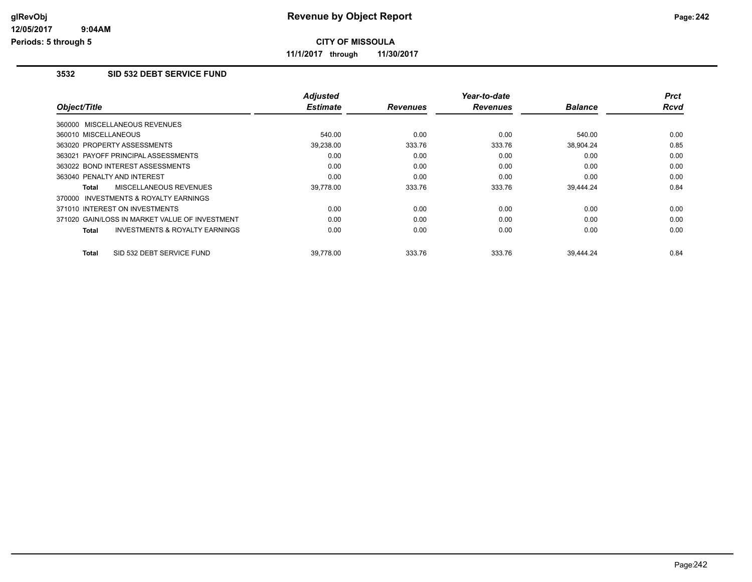**11/1/2017 through 11/30/2017**

## **3532 SID 532 DEBT SERVICE FUND**

|                                                    | <b>Adjusted</b> |                 | Year-to-date    |                | <b>Prct</b> |
|----------------------------------------------------|-----------------|-----------------|-----------------|----------------|-------------|
| Object/Title                                       | <b>Estimate</b> | <b>Revenues</b> | <b>Revenues</b> | <b>Balance</b> | Rcvd        |
| 360000 MISCELLANEOUS REVENUES                      |                 |                 |                 |                |             |
| 360010 MISCELLANEOUS                               | 540.00          | 0.00            | 0.00            | 540.00         | 0.00        |
| 363020 PROPERTY ASSESSMENTS                        | 39.238.00       | 333.76          | 333.76          | 38.904.24      | 0.85        |
| 363021 PAYOFF PRINCIPAL ASSESSMENTS                | 0.00            | 0.00            | 0.00            | 0.00           | 0.00        |
| 363022 BOND INTEREST ASSESSMENTS                   | 0.00            | 0.00            | 0.00            | 0.00           | 0.00        |
| 363040 PENALTY AND INTEREST                        | 0.00            | 0.00            | 0.00            | 0.00           | 0.00        |
| MISCELLANEOUS REVENUES<br>Total                    | 39,778.00       | 333.76          | 333.76          | 39,444.24      | 0.84        |
| 370000 INVESTMENTS & ROYALTY EARNINGS              |                 |                 |                 |                |             |
| 371010 INTEREST ON INVESTMENTS                     | 0.00            | 0.00            | 0.00            | 0.00           | 0.00        |
| 371020 GAIN/LOSS IN MARKET VALUE OF INVESTMENT     | 0.00            | 0.00            | 0.00            | 0.00           | 0.00        |
| <b>INVESTMENTS &amp; ROYALTY EARNINGS</b><br>Total | 0.00            | 0.00            | 0.00            | 0.00           | 0.00        |
| SID 532 DEBT SERVICE FUND<br>Total                 | 39,778.00       | 333.76          | 333.76          | 39,444.24      | 0.84        |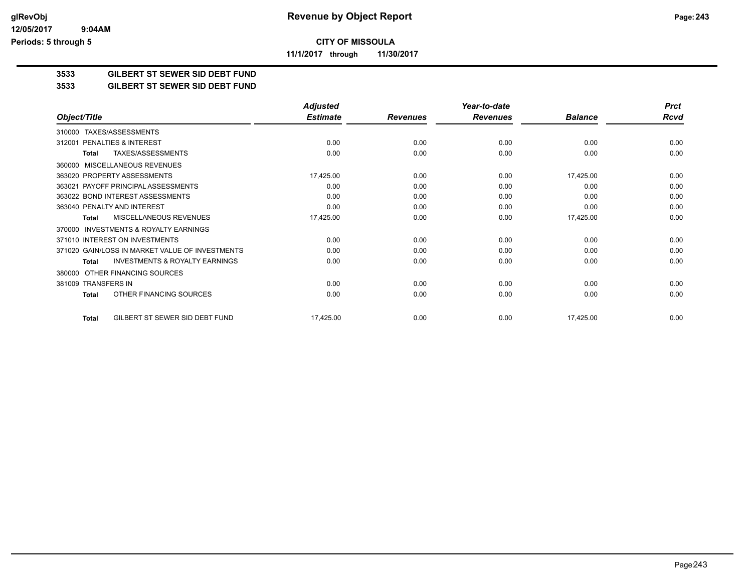**11/1/2017 through 11/30/2017**

# **3533 GILBERT ST SEWER SID DEBT FUND**

## **3533 GILBERT ST SEWER SID DEBT FUND**

|                                                     | <b>Adjusted</b> |                 | Year-to-date    |                | <b>Prct</b> |
|-----------------------------------------------------|-----------------|-----------------|-----------------|----------------|-------------|
| Object/Title                                        | <b>Estimate</b> | <b>Revenues</b> | <b>Revenues</b> | <b>Balance</b> | <b>Rcvd</b> |
| TAXES/ASSESSMENTS<br>310000                         |                 |                 |                 |                |             |
| PENALTIES & INTEREST<br>312001                      | 0.00            | 0.00            | 0.00            | 0.00           | 0.00        |
| TAXES/ASSESSMENTS<br>Total                          | 0.00            | 0.00            | 0.00            | 0.00           | 0.00        |
| MISCELLANEOUS REVENUES<br>360000                    |                 |                 |                 |                |             |
| 363020 PROPERTY ASSESSMENTS                         | 17,425.00       | 0.00            | 0.00            | 17,425.00      | 0.00        |
| 363021 PAYOFF PRINCIPAL ASSESSMENTS                 | 0.00            | 0.00            | 0.00            | 0.00           | 0.00        |
| 363022 BOND INTEREST ASSESSMENTS                    | 0.00            | 0.00            | 0.00            | 0.00           | 0.00        |
| 363040 PENALTY AND INTEREST                         | 0.00            | 0.00            | 0.00            | 0.00           | 0.00        |
| <b>MISCELLANEOUS REVENUES</b><br><b>Total</b>       | 17,425.00       | 0.00            | 0.00            | 17,425.00      | 0.00        |
| <b>INVESTMENTS &amp; ROYALTY EARNINGS</b><br>370000 |                 |                 |                 |                |             |
| 371010 INTEREST ON INVESTMENTS                      | 0.00            | 0.00            | 0.00            | 0.00           | 0.00        |
| 371020 GAIN/LOSS IN MARKET VALUE OF INVESTMENTS     | 0.00            | 0.00            | 0.00            | 0.00           | 0.00        |
| <b>INVESTMENTS &amp; ROYALTY EARNINGS</b><br>Total  | 0.00            | 0.00            | 0.00            | 0.00           | 0.00        |
| OTHER FINANCING SOURCES<br>380000                   |                 |                 |                 |                |             |
| 381009 TRANSFERS IN                                 | 0.00            | 0.00            | 0.00            | 0.00           | 0.00        |
| OTHER FINANCING SOURCES<br><b>Total</b>             | 0.00            | 0.00            | 0.00            | 0.00           | 0.00        |
| GILBERT ST SEWER SID DEBT FUND<br><b>Total</b>      | 17,425.00       | 0.00            | 0.00            | 17,425.00      | 0.00        |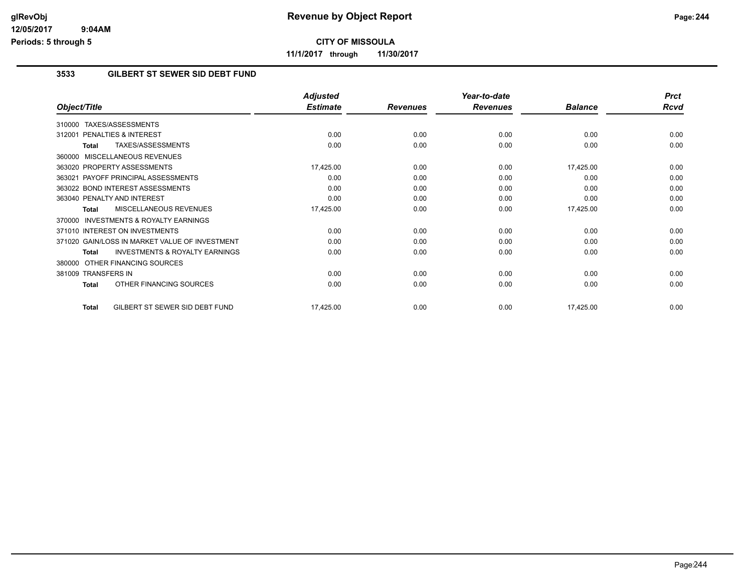**11/1/2017 through 11/30/2017**

## **3533 GILBERT ST SEWER SID DEBT FUND**

|                                                           | <b>Adjusted</b> |                 | Year-to-date    |                | <b>Prct</b> |
|-----------------------------------------------------------|-----------------|-----------------|-----------------|----------------|-------------|
| Object/Title                                              | <b>Estimate</b> | <b>Revenues</b> | <b>Revenues</b> | <b>Balance</b> | <b>Rcvd</b> |
| TAXES/ASSESSMENTS<br>310000                               |                 |                 |                 |                |             |
| 312001 PENALTIES & INTEREST                               | 0.00            | 0.00            | 0.00            | 0.00           | 0.00        |
| TAXES/ASSESSMENTS<br><b>Total</b>                         | 0.00            | 0.00            | 0.00            | 0.00           | 0.00        |
| MISCELLANEOUS REVENUES<br>360000                          |                 |                 |                 |                |             |
| 363020 PROPERTY ASSESSMENTS                               | 17,425.00       | 0.00            | 0.00            | 17,425.00      | 0.00        |
| 363021 PAYOFF PRINCIPAL ASSESSMENTS                       | 0.00            | 0.00            | 0.00            | 0.00           | 0.00        |
| 363022 BOND INTEREST ASSESSMENTS                          | 0.00            | 0.00            | 0.00            | 0.00           | 0.00        |
| 363040 PENALTY AND INTEREST                               | 0.00            | 0.00            | 0.00            | 0.00           | 0.00        |
| <b>MISCELLANEOUS REVENUES</b><br><b>Total</b>             | 17,425.00       | 0.00            | 0.00            | 17,425.00      | 0.00        |
| <b>INVESTMENTS &amp; ROYALTY EARNINGS</b><br>370000       |                 |                 |                 |                |             |
| 371010 INTEREST ON INVESTMENTS                            | 0.00            | 0.00            | 0.00            | 0.00           | 0.00        |
| 371020 GAIN/LOSS IN MARKET VALUE OF INVESTMENT            | 0.00            | 0.00            | 0.00            | 0.00           | 0.00        |
| <b>INVESTMENTS &amp; ROYALTY EARNINGS</b><br><b>Total</b> | 0.00            | 0.00            | 0.00            | 0.00           | 0.00        |
| 380000 OTHER FINANCING SOURCES                            |                 |                 |                 |                |             |
| 381009 TRANSFERS IN                                       | 0.00            | 0.00            | 0.00            | 0.00           | 0.00        |
| OTHER FINANCING SOURCES<br><b>Total</b>                   | 0.00            | 0.00            | 0.00            | 0.00           | 0.00        |
| GILBERT ST SEWER SID DEBT FUND<br><b>Total</b>            | 17,425.00       | 0.00            | 0.00            | 17,425.00      | 0.00        |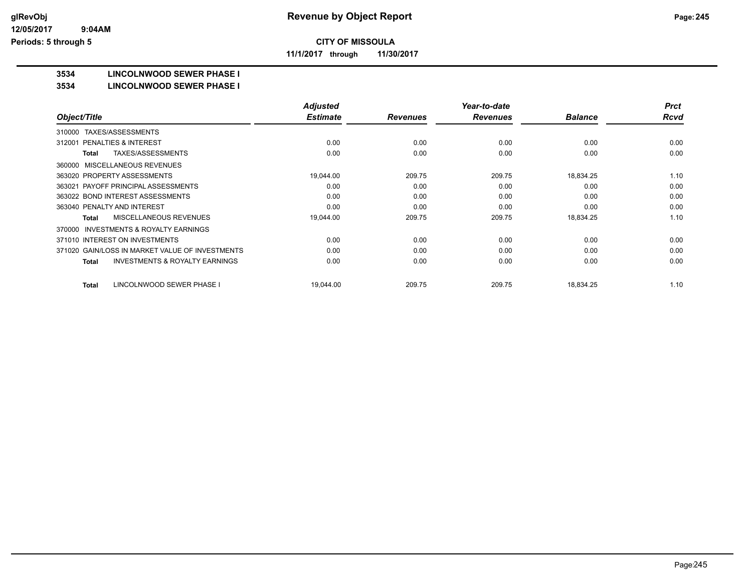**11/1/2017 through 11/30/2017**

## **3534 LINCOLNWOOD SEWER PHASE I**

#### **3534 LINCOLNWOOD SEWER PHASE I**

|                                                     | <b>Adjusted</b> |                 | Year-to-date    |                | <b>Prct</b> |
|-----------------------------------------------------|-----------------|-----------------|-----------------|----------------|-------------|
| Object/Title                                        | <b>Estimate</b> | <b>Revenues</b> | <b>Revenues</b> | <b>Balance</b> | <b>Rcvd</b> |
| TAXES/ASSESSMENTS<br>310000                         |                 |                 |                 |                |             |
| <b>PENALTIES &amp; INTEREST</b><br>312001           | 0.00            | 0.00            | 0.00            | 0.00           | 0.00        |
| TAXES/ASSESSMENTS<br>Total                          | 0.00            | 0.00            | 0.00            | 0.00           | 0.00        |
| MISCELLANEOUS REVENUES<br>360000                    |                 |                 |                 |                |             |
| 363020 PROPERTY ASSESSMENTS                         | 19,044.00       | 209.75          | 209.75          | 18,834.25      | 1.10        |
| 363021 PAYOFF PRINCIPAL ASSESSMENTS                 | 0.00            | 0.00            | 0.00            | 0.00           | 0.00        |
| 363022 BOND INTEREST ASSESSMENTS                    | 0.00            | 0.00            | 0.00            | 0.00           | 0.00        |
| 363040 PENALTY AND INTEREST                         | 0.00            | 0.00            | 0.00            | 0.00           | 0.00        |
| <b>MISCELLANEOUS REVENUES</b><br>Total              | 19,044.00       | 209.75          | 209.75          | 18,834.25      | 1.10        |
| <b>INVESTMENTS &amp; ROYALTY EARNINGS</b><br>370000 |                 |                 |                 |                |             |
| 371010 INTEREST ON INVESTMENTS                      | 0.00            | 0.00            | 0.00            | 0.00           | 0.00        |
| 371020 GAIN/LOSS IN MARKET VALUE OF INVESTMENTS     | 0.00            | 0.00            | 0.00            | 0.00           | 0.00        |
| <b>INVESTMENTS &amp; ROYALTY EARNINGS</b><br>Total  | 0.00            | 0.00            | 0.00            | 0.00           | 0.00        |
| LINCOLNWOOD SEWER PHASE I<br><b>Total</b>           | 19,044.00       | 209.75          | 209.75          | 18,834.25      | 1.10        |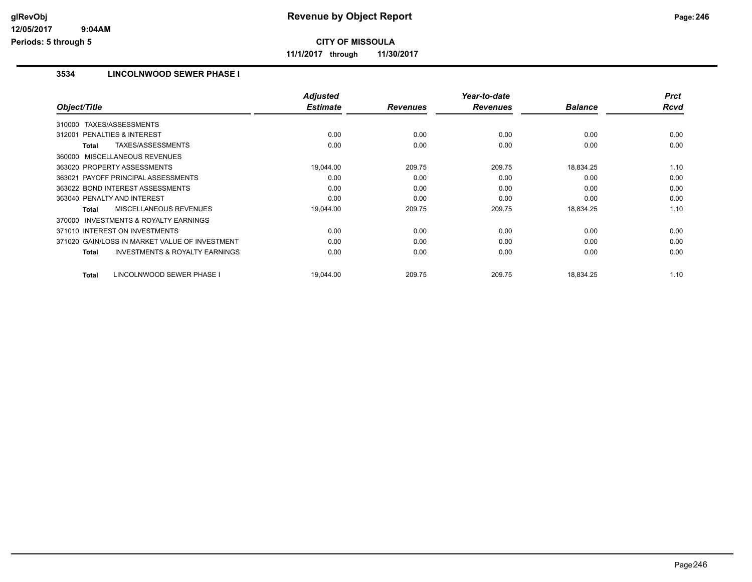**11/1/2017 through 11/30/2017**

## **3534 LINCOLNWOOD SEWER PHASE I**

| Object/Title                                              | <b>Adjusted</b><br><b>Estimate</b> | <b>Revenues</b> | Year-to-date<br><b>Revenues</b> | <b>Balance</b> | <b>Prct</b><br><b>Rcvd</b> |
|-----------------------------------------------------------|------------------------------------|-----------------|---------------------------------|----------------|----------------------------|
|                                                           |                                    |                 |                                 |                |                            |
| TAXES/ASSESSMENTS<br>310000                               |                                    |                 |                                 |                |                            |
| 312001 PENALTIES & INTEREST                               | 0.00                               | 0.00            | 0.00                            | 0.00           | 0.00                       |
| TAXES/ASSESSMENTS<br>Total                                | 0.00                               | 0.00            | 0.00                            | 0.00           | 0.00                       |
| 360000 MISCELLANEOUS REVENUES                             |                                    |                 |                                 |                |                            |
| 363020 PROPERTY ASSESSMENTS                               | 19,044.00                          | 209.75          | 209.75                          | 18,834.25      | 1.10                       |
| 363021 PAYOFF PRINCIPAL ASSESSMENTS                       | 0.00                               | 0.00            | 0.00                            | 0.00           | 0.00                       |
| 363022 BOND INTEREST ASSESSMENTS                          | 0.00                               | 0.00            | 0.00                            | 0.00           | 0.00                       |
| 363040 PENALTY AND INTEREST                               | 0.00                               | 0.00            | 0.00                            | 0.00           | 0.00                       |
| MISCELLANEOUS REVENUES<br>Total                           | 19,044.00                          | 209.75          | 209.75                          | 18,834.25      | 1.10                       |
| <b>INVESTMENTS &amp; ROYALTY EARNINGS</b><br>370000       |                                    |                 |                                 |                |                            |
| 371010 INTEREST ON INVESTMENTS                            | 0.00                               | 0.00            | 0.00                            | 0.00           | 0.00                       |
| 371020 GAIN/LOSS IN MARKET VALUE OF INVESTMENT            | 0.00                               | 0.00            | 0.00                            | 0.00           | 0.00                       |
| <b>INVESTMENTS &amp; ROYALTY EARNINGS</b><br><b>Total</b> | 0.00                               | 0.00            | 0.00                            | 0.00           | 0.00                       |
| LINCOLNWOOD SEWER PHASE I<br><b>Total</b>                 | 19,044.00                          | 209.75          | 209.75                          | 18,834.25      | 1.10                       |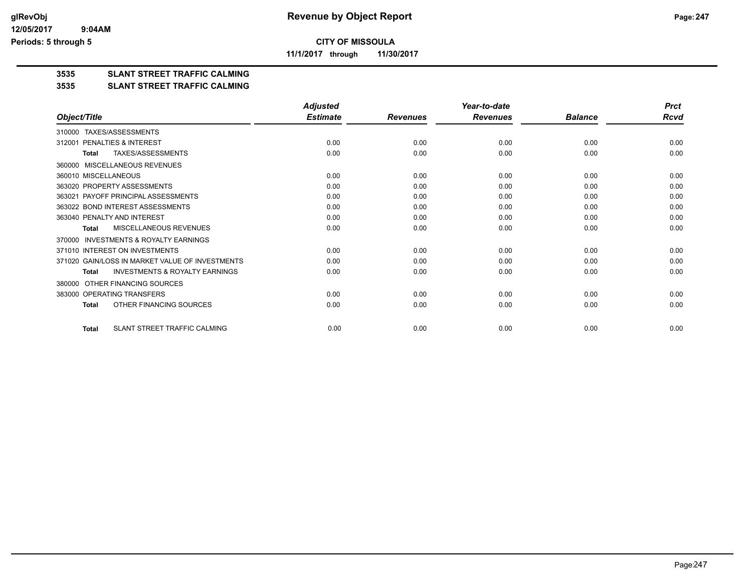**11/1/2017 through 11/30/2017**

## **3535 SLANT STREET TRAFFIC CALMING**

### **3535 SLANT STREET TRAFFIC CALMING**

|                                                           | <b>Adjusted</b> |                 | Year-to-date    |                | <b>Prct</b> |
|-----------------------------------------------------------|-----------------|-----------------|-----------------|----------------|-------------|
| Object/Title                                              | <b>Estimate</b> | <b>Revenues</b> | <b>Revenues</b> | <b>Balance</b> | Rcvd        |
| TAXES/ASSESSMENTS<br>310000                               |                 |                 |                 |                |             |
| PENALTIES & INTEREST<br>312001                            | 0.00            | 0.00            | 0.00            | 0.00           | 0.00        |
| TAXES/ASSESSMENTS<br>Total                                | 0.00            | 0.00            | 0.00            | 0.00           | 0.00        |
| MISCELLANEOUS REVENUES<br>360000                          |                 |                 |                 |                |             |
| 360010 MISCELLANEOUS                                      | 0.00            | 0.00            | 0.00            | 0.00           | 0.00        |
| 363020 PROPERTY ASSESSMENTS                               | 0.00            | 0.00            | 0.00            | 0.00           | 0.00        |
| 363021 PAYOFF PRINCIPAL ASSESSMENTS                       | 0.00            | 0.00            | 0.00            | 0.00           | 0.00        |
| 363022 BOND INTEREST ASSESSMENTS                          | 0.00            | 0.00            | 0.00            | 0.00           | 0.00        |
| 363040 PENALTY AND INTEREST                               | 0.00            | 0.00            | 0.00            | 0.00           | 0.00        |
| <b>MISCELLANEOUS REVENUES</b><br>Total                    | 0.00            | 0.00            | 0.00            | 0.00           | 0.00        |
| <b>INVESTMENTS &amp; ROYALTY EARNINGS</b><br>370000       |                 |                 |                 |                |             |
| 371010 INTEREST ON INVESTMENTS                            | 0.00            | 0.00            | 0.00            | 0.00           | 0.00        |
| 371020 GAIN/LOSS IN MARKET VALUE OF INVESTMENTS           | 0.00            | 0.00            | 0.00            | 0.00           | 0.00        |
| <b>INVESTMENTS &amp; ROYALTY EARNINGS</b><br><b>Total</b> | 0.00            | 0.00            | 0.00            | 0.00           | 0.00        |
| OTHER FINANCING SOURCES<br>380000                         |                 |                 |                 |                |             |
| 383000 OPERATING TRANSFERS                                | 0.00            | 0.00            | 0.00            | 0.00           | 0.00        |
| OTHER FINANCING SOURCES<br>Total                          | 0.00            | 0.00            | 0.00            | 0.00           | 0.00        |
| SLANT STREET TRAFFIC CALMING<br><b>Total</b>              | 0.00            | 0.00            | 0.00            | 0.00           | 0.00        |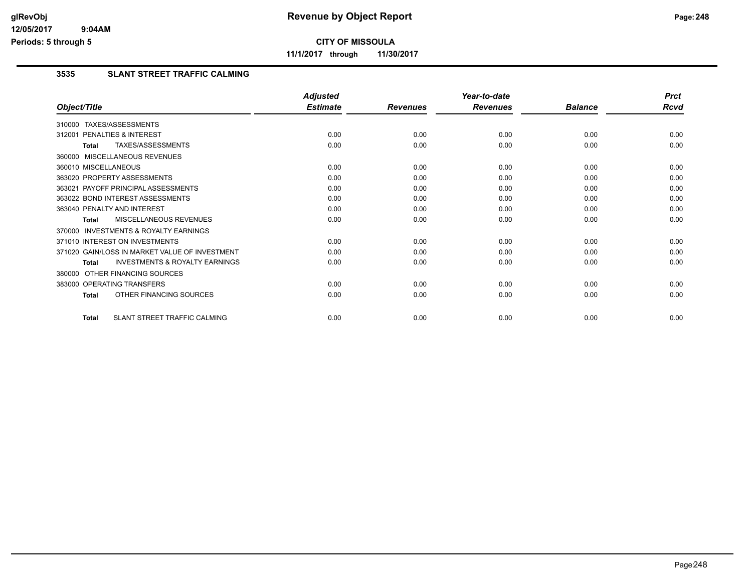**11/1/2017 through 11/30/2017**

## **3535 SLANT STREET TRAFFIC CALMING**

|                                                           | <b>Adjusted</b> |                 | Year-to-date    |                | <b>Prct</b> |
|-----------------------------------------------------------|-----------------|-----------------|-----------------|----------------|-------------|
| Object/Title                                              | <b>Estimate</b> | <b>Revenues</b> | <b>Revenues</b> | <b>Balance</b> | Rcvd        |
| 310000 TAXES/ASSESSMENTS                                  |                 |                 |                 |                |             |
| PENALTIES & INTEREST<br>312001                            | 0.00            | 0.00            | 0.00            | 0.00           | 0.00        |
| TAXES/ASSESSMENTS<br><b>Total</b>                         | 0.00            | 0.00            | 0.00            | 0.00           | 0.00        |
| 360000 MISCELLANEOUS REVENUES                             |                 |                 |                 |                |             |
| 360010 MISCELLANEOUS                                      | 0.00            | 0.00            | 0.00            | 0.00           | 0.00        |
| 363020 PROPERTY ASSESSMENTS                               | 0.00            | 0.00            | 0.00            | 0.00           | 0.00        |
| 363021 PAYOFF PRINCIPAL ASSESSMENTS                       | 0.00            | 0.00            | 0.00            | 0.00           | 0.00        |
| 363022 BOND INTEREST ASSESSMENTS                          | 0.00            | 0.00            | 0.00            | 0.00           | 0.00        |
| 363040 PENALTY AND INTEREST                               | 0.00            | 0.00            | 0.00            | 0.00           | 0.00        |
| MISCELLANEOUS REVENUES<br><b>Total</b>                    | 0.00            | 0.00            | 0.00            | 0.00           | 0.00        |
| <b>INVESTMENTS &amp; ROYALTY EARNINGS</b><br>370000       |                 |                 |                 |                |             |
| 371010 INTEREST ON INVESTMENTS                            | 0.00            | 0.00            | 0.00            | 0.00           | 0.00        |
| 371020 GAIN/LOSS IN MARKET VALUE OF INVESTMENT            | 0.00            | 0.00            | 0.00            | 0.00           | 0.00        |
| <b>INVESTMENTS &amp; ROYALTY EARNINGS</b><br><b>Total</b> | 0.00            | 0.00            | 0.00            | 0.00           | 0.00        |
| OTHER FINANCING SOURCES<br>380000                         |                 |                 |                 |                |             |
| 383000 OPERATING TRANSFERS                                | 0.00            | 0.00            | 0.00            | 0.00           | 0.00        |
| OTHER FINANCING SOURCES<br><b>Total</b>                   | 0.00            | 0.00            | 0.00            | 0.00           | 0.00        |
| SLANT STREET TRAFFIC CALMING<br><b>Total</b>              | 0.00            | 0.00            | 0.00            | 0.00           | 0.00        |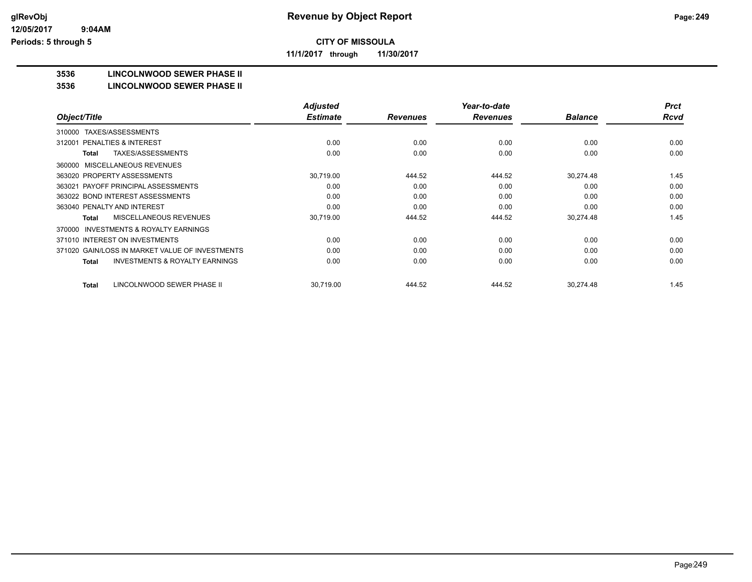**11/1/2017 through 11/30/2017**

## **3536 LINCOLNWOOD SEWER PHASE II**

#### **3536 LINCOLNWOOD SEWER PHASE II**

|                                                     | <b>Adjusted</b> |                 | Year-to-date    |                | <b>Prct</b> |
|-----------------------------------------------------|-----------------|-----------------|-----------------|----------------|-------------|
| Object/Title                                        | <b>Estimate</b> | <b>Revenues</b> | <b>Revenues</b> | <b>Balance</b> | Rcvd        |
| TAXES/ASSESSMENTS<br>310000                         |                 |                 |                 |                |             |
| PENALTIES & INTEREST<br>312001                      | 0.00            | 0.00            | 0.00            | 0.00           | 0.00        |
| TAXES/ASSESSMENTS<br>Total                          | 0.00            | 0.00            | 0.00            | 0.00           | 0.00        |
| 360000 MISCELLANEOUS REVENUES                       |                 |                 |                 |                |             |
| 363020 PROPERTY ASSESSMENTS                         | 30.719.00       | 444.52          | 444.52          | 30,274.48      | 1.45        |
| 363021 PAYOFF PRINCIPAL ASSESSMENTS                 | 0.00            | 0.00            | 0.00            | 0.00           | 0.00        |
| 363022 BOND INTEREST ASSESSMENTS                    | 0.00            | 0.00            | 0.00            | 0.00           | 0.00        |
| 363040 PENALTY AND INTEREST                         | 0.00            | 0.00            | 0.00            | 0.00           | 0.00        |
| <b>MISCELLANEOUS REVENUES</b><br>Total              | 30,719.00       | 444.52          | 444.52          | 30,274.48      | 1.45        |
| <b>INVESTMENTS &amp; ROYALTY EARNINGS</b><br>370000 |                 |                 |                 |                |             |
| 371010 INTEREST ON INVESTMENTS                      | 0.00            | 0.00            | 0.00            | 0.00           | 0.00        |
| 371020 GAIN/LOSS IN MARKET VALUE OF INVESTMENTS     | 0.00            | 0.00            | 0.00            | 0.00           | 0.00        |
| <b>INVESTMENTS &amp; ROYALTY EARNINGS</b><br>Total  | 0.00            | 0.00            | 0.00            | 0.00           | 0.00        |
| LINCOLNWOOD SEWER PHASE II<br><b>Total</b>          | 30,719.00       | 444.52          | 444.52          | 30,274.48      | 1.45        |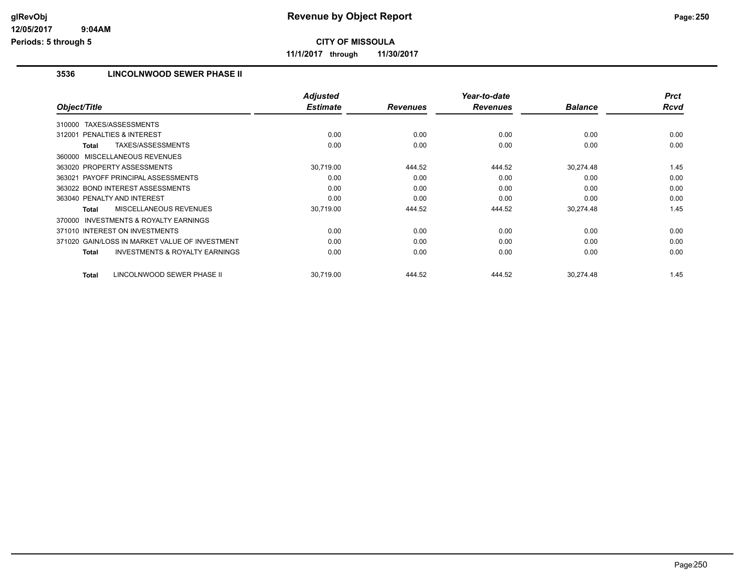**11/1/2017 through 11/30/2017**

## **3536 LINCOLNWOOD SEWER PHASE II**

|                                                     | <b>Adjusted</b> |                 | Year-to-date    |                | <b>Prct</b> |
|-----------------------------------------------------|-----------------|-----------------|-----------------|----------------|-------------|
| Object/Title                                        | <b>Estimate</b> | <b>Revenues</b> | <b>Revenues</b> | <b>Balance</b> | <b>Rcvd</b> |
| TAXES/ASSESSMENTS<br>310000                         |                 |                 |                 |                |             |
| 312001 PENALTIES & INTEREST                         | 0.00            | 0.00            | 0.00            | 0.00           | 0.00        |
| TAXES/ASSESSMENTS<br>Total                          | 0.00            | 0.00            | 0.00            | 0.00           | 0.00        |
| 360000 MISCELLANEOUS REVENUES                       |                 |                 |                 |                |             |
| 363020 PROPERTY ASSESSMENTS                         | 30,719.00       | 444.52          | 444.52          | 30,274.48      | 1.45        |
| 363021 PAYOFF PRINCIPAL ASSESSMENTS                 | 0.00            | 0.00            | 0.00            | 0.00           | 0.00        |
| 363022 BOND INTEREST ASSESSMENTS                    | 0.00            | 0.00            | 0.00            | 0.00           | 0.00        |
| 363040 PENALTY AND INTEREST                         | 0.00            | 0.00            | 0.00            | 0.00           | 0.00        |
| MISCELLANEOUS REVENUES<br><b>Total</b>              | 30,719.00       | 444.52          | 444.52          | 30,274.48      | 1.45        |
| <b>INVESTMENTS &amp; ROYALTY EARNINGS</b><br>370000 |                 |                 |                 |                |             |
| 371010 INTEREST ON INVESTMENTS                      | 0.00            | 0.00            | 0.00            | 0.00           | 0.00        |
| 371020 GAIN/LOSS IN MARKET VALUE OF INVESTMENT      | 0.00            | 0.00            | 0.00            | 0.00           | 0.00        |
| <b>INVESTMENTS &amp; ROYALTY EARNINGS</b><br>Total  | 0.00            | 0.00            | 0.00            | 0.00           | 0.00        |
| LINCOLNWOOD SEWER PHASE II<br><b>Total</b>          | 30,719.00       | 444.52          | 444.52          | 30.274.48      | 1.45        |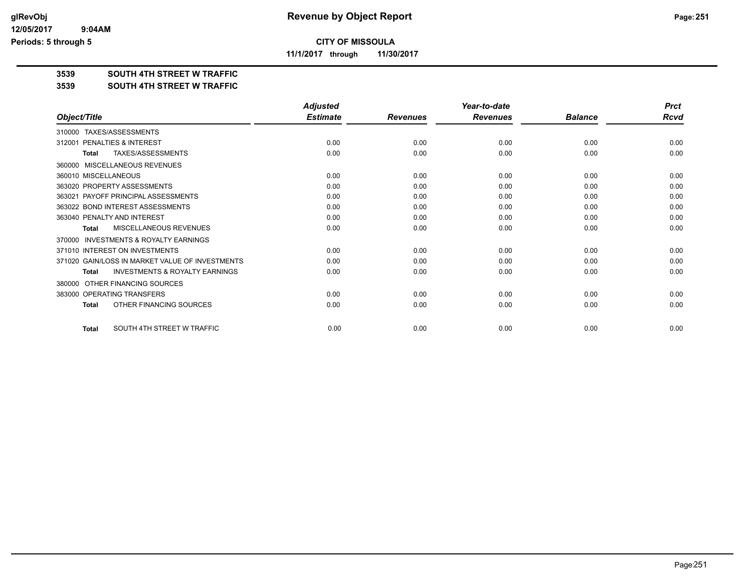**11/1/2017 through 11/30/2017**

### **3539 SOUTH 4TH STREET W TRAFFIC**

#### **3539 SOUTH 4TH STREET W TRAFFIC**

|                                                           | <b>Adjusted</b> |                 | Year-to-date    |                | <b>Prct</b> |
|-----------------------------------------------------------|-----------------|-----------------|-----------------|----------------|-------------|
| Object/Title                                              | <b>Estimate</b> | <b>Revenues</b> | <b>Revenues</b> | <b>Balance</b> | Rcvd        |
| TAXES/ASSESSMENTS<br>310000                               |                 |                 |                 |                |             |
| PENALTIES & INTEREST<br>312001                            | 0.00            | 0.00            | 0.00            | 0.00           | 0.00        |
| TAXES/ASSESSMENTS<br><b>Total</b>                         | 0.00            | 0.00            | 0.00            | 0.00           | 0.00        |
| MISCELLANEOUS REVENUES<br>360000                          |                 |                 |                 |                |             |
| 360010 MISCELLANEOUS                                      | 0.00            | 0.00            | 0.00            | 0.00           | 0.00        |
| 363020 PROPERTY ASSESSMENTS                               | 0.00            | 0.00            | 0.00            | 0.00           | 0.00        |
| 363021 PAYOFF PRINCIPAL ASSESSMENTS                       | 0.00            | 0.00            | 0.00            | 0.00           | 0.00        |
| 363022 BOND INTEREST ASSESSMENTS                          | 0.00            | 0.00            | 0.00            | 0.00           | 0.00        |
| 363040 PENALTY AND INTEREST                               | 0.00            | 0.00            | 0.00            | 0.00           | 0.00        |
| MISCELLANEOUS REVENUES<br><b>Total</b>                    | 0.00            | 0.00            | 0.00            | 0.00           | 0.00        |
| <b>INVESTMENTS &amp; ROYALTY EARNINGS</b><br>370000       |                 |                 |                 |                |             |
| 371010 INTEREST ON INVESTMENTS                            | 0.00            | 0.00            | 0.00            | 0.00           | 0.00        |
| 371020 GAIN/LOSS IN MARKET VALUE OF INVESTMENTS           | 0.00            | 0.00            | 0.00            | 0.00           | 0.00        |
| <b>INVESTMENTS &amp; ROYALTY EARNINGS</b><br><b>Total</b> | 0.00            | 0.00            | 0.00            | 0.00           | 0.00        |
| OTHER FINANCING SOURCES<br>380000                         |                 |                 |                 |                |             |
| 383000 OPERATING TRANSFERS                                | 0.00            | 0.00            | 0.00            | 0.00           | 0.00        |
| OTHER FINANCING SOURCES<br><b>Total</b>                   | 0.00            | 0.00            | 0.00            | 0.00           | 0.00        |
| SOUTH 4TH STREET W TRAFFIC<br><b>Total</b>                | 0.00            | 0.00            | 0.00            | 0.00           | 0.00        |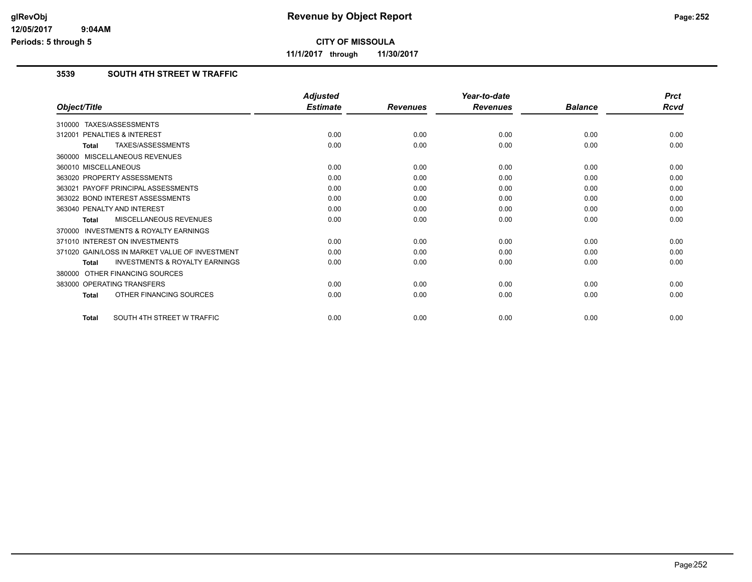**11/1/2017 through 11/30/2017**

## **3539 SOUTH 4TH STREET W TRAFFIC**

|                                                           | <b>Adjusted</b> |                 | Year-to-date    |                | <b>Prct</b> |
|-----------------------------------------------------------|-----------------|-----------------|-----------------|----------------|-------------|
| Object/Title                                              | <b>Estimate</b> | <b>Revenues</b> | <b>Revenues</b> | <b>Balance</b> | <b>Rcvd</b> |
| 310000 TAXES/ASSESSMENTS                                  |                 |                 |                 |                |             |
| 312001 PENALTIES & INTEREST                               | 0.00            | 0.00            | 0.00            | 0.00           | 0.00        |
| TAXES/ASSESSMENTS<br><b>Total</b>                         | 0.00            | 0.00            | 0.00            | 0.00           | 0.00        |
| 360000 MISCELLANEOUS REVENUES                             |                 |                 |                 |                |             |
| 360010 MISCELLANEOUS                                      | 0.00            | 0.00            | 0.00            | 0.00           | 0.00        |
| 363020 PROPERTY ASSESSMENTS                               | 0.00            | 0.00            | 0.00            | 0.00           | 0.00        |
| 363021 PAYOFF PRINCIPAL ASSESSMENTS                       | 0.00            | 0.00            | 0.00            | 0.00           | 0.00        |
| 363022 BOND INTEREST ASSESSMENTS                          | 0.00            | 0.00            | 0.00            | 0.00           | 0.00        |
| 363040 PENALTY AND INTEREST                               | 0.00            | 0.00            | 0.00            | 0.00           | 0.00        |
| MISCELLANEOUS REVENUES<br><b>Total</b>                    | 0.00            | 0.00            | 0.00            | 0.00           | 0.00        |
| INVESTMENTS & ROYALTY EARNINGS<br>370000                  |                 |                 |                 |                |             |
| 371010 INTEREST ON INVESTMENTS                            | 0.00            | 0.00            | 0.00            | 0.00           | 0.00        |
| 371020 GAIN/LOSS IN MARKET VALUE OF INVESTMENT            | 0.00            | 0.00            | 0.00            | 0.00           | 0.00        |
| <b>INVESTMENTS &amp; ROYALTY EARNINGS</b><br><b>Total</b> | 0.00            | 0.00            | 0.00            | 0.00           | 0.00        |
| OTHER FINANCING SOURCES<br>380000                         |                 |                 |                 |                |             |
| 383000 OPERATING TRANSFERS                                | 0.00            | 0.00            | 0.00            | 0.00           | 0.00        |
| OTHER FINANCING SOURCES<br><b>Total</b>                   | 0.00            | 0.00            | 0.00            | 0.00           | 0.00        |
| SOUTH 4TH STREET W TRAFFIC<br><b>Total</b>                | 0.00            | 0.00            | 0.00            | 0.00           | 0.00        |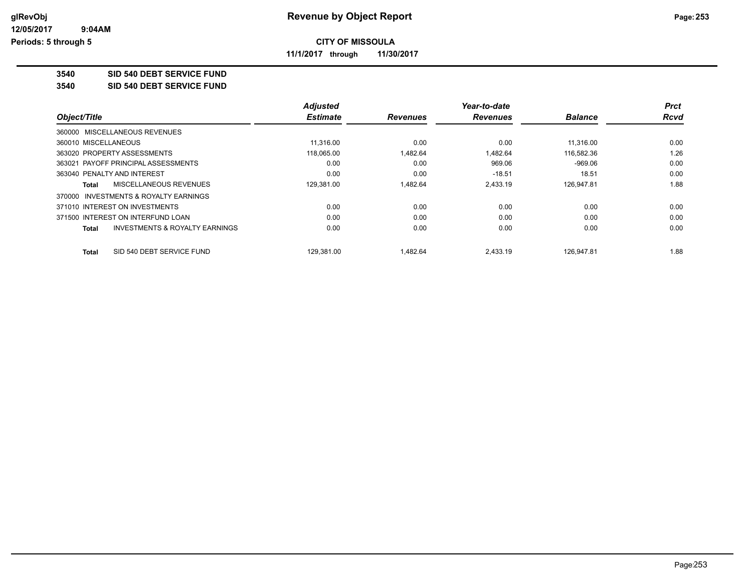**11/1/2017 through 11/30/2017**

**3540 SID 540 DEBT SERVICE FUND**

**3540 SID 540 DEBT SERVICE FUND**

|                                                    | <b>Adjusted</b> |                 | Year-to-date    |                | <b>Prct</b> |
|----------------------------------------------------|-----------------|-----------------|-----------------|----------------|-------------|
| Object/Title                                       | <b>Estimate</b> | <b>Revenues</b> | <b>Revenues</b> | <b>Balance</b> | <b>Rcvd</b> |
| 360000 MISCELLANEOUS REVENUES                      |                 |                 |                 |                |             |
| 360010 MISCELLANEOUS                               | 11.316.00       | 0.00            | 0.00            | 11.316.00      | 0.00        |
| 363020 PROPERTY ASSESSMENTS                        | 118,065.00      | 1.482.64        | 1.482.64        | 116.582.36     | 1.26        |
| 363021 PAYOFF PRINCIPAL ASSESSMENTS                | 0.00            | 0.00            | 969.06          | $-969.06$      | 0.00        |
| 363040 PENALTY AND INTEREST                        | 0.00            | 0.00            | $-18.51$        | 18.51          | 0.00        |
| <b>MISCELLANEOUS REVENUES</b><br>Total             | 129,381.00      | 1,482.64        | 2.433.19        | 126.947.81     | 1.88        |
| INVESTMENTS & ROYALTY EARNINGS<br>370000           |                 |                 |                 |                |             |
| 371010 INTEREST ON INVESTMENTS                     | 0.00            | 0.00            | 0.00            | 0.00           | 0.00        |
| 371500 INTEREST ON INTERFUND LOAN                  | 0.00            | 0.00            | 0.00            | 0.00           | 0.00        |
| <b>INVESTMENTS &amp; ROYALTY EARNINGS</b><br>Total | 0.00            | 0.00            | 0.00            | 0.00           | 0.00        |
| SID 540 DEBT SERVICE FUND<br><b>Total</b>          | 129.381.00      | 1.482.64        | 2.433.19        | 126.947.81     | 1.88        |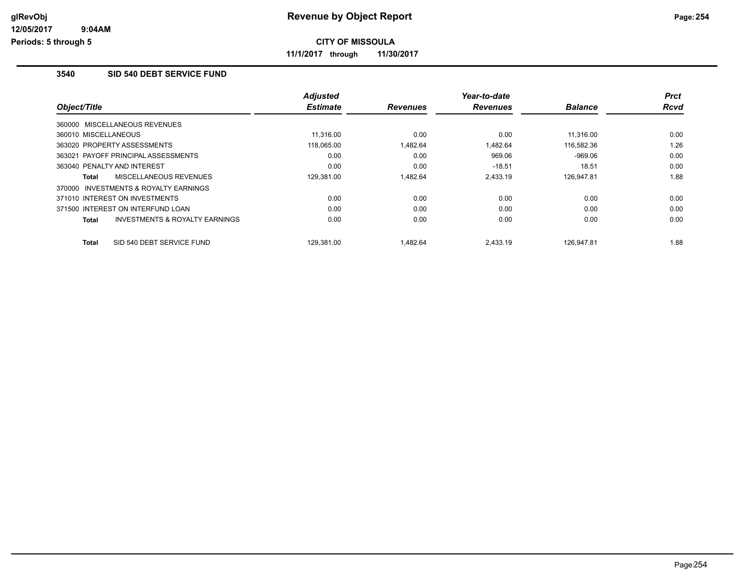**11/1/2017 through 11/30/2017**

#### **3540 SID 540 DEBT SERVICE FUND**

|                                                     | <b>Adjusted</b> |                 | Year-to-date    |                | <b>Prct</b> |
|-----------------------------------------------------|-----------------|-----------------|-----------------|----------------|-------------|
| Object/Title                                        | <b>Estimate</b> | <b>Revenues</b> | <b>Revenues</b> | <b>Balance</b> | <b>Rcvd</b> |
| 360000 MISCELLANEOUS REVENUES                       |                 |                 |                 |                |             |
| 360010 MISCELLANEOUS                                | 11.316.00       | 0.00            | 0.00            | 11.316.00      | 0.00        |
| 363020 PROPERTY ASSESSMENTS                         | 118.065.00      | 1.482.64        | 1.482.64        | 116.582.36     | 1.26        |
| 363021 PAYOFF PRINCIPAL ASSESSMENTS                 | 0.00            | 0.00            | 969.06          | $-969.06$      | 0.00        |
| 363040 PENALTY AND INTEREST                         | 0.00            | 0.00            | $-18.51$        | 18.51          | 0.00        |
| <b>MISCELLANEOUS REVENUES</b><br>Total              | 129,381.00      | 1,482.64        | 2.433.19        | 126,947.81     | 1.88        |
| <b>INVESTMENTS &amp; ROYALTY EARNINGS</b><br>370000 |                 |                 |                 |                |             |
| 371010 INTEREST ON INVESTMENTS                      | 0.00            | 0.00            | 0.00            | 0.00           | 0.00        |
| 371500 INTEREST ON INTERFUND LOAN                   | 0.00            | 0.00            | 0.00            | 0.00           | 0.00        |
| <b>INVESTMENTS &amp; ROYALTY EARNINGS</b><br>Total  | 0.00            | 0.00            | 0.00            | 0.00           | 0.00        |
| SID 540 DEBT SERVICE FUND<br>Total                  | 129.381.00      | 1.482.64        | 2.433.19        | 126.947.81     | 1.88        |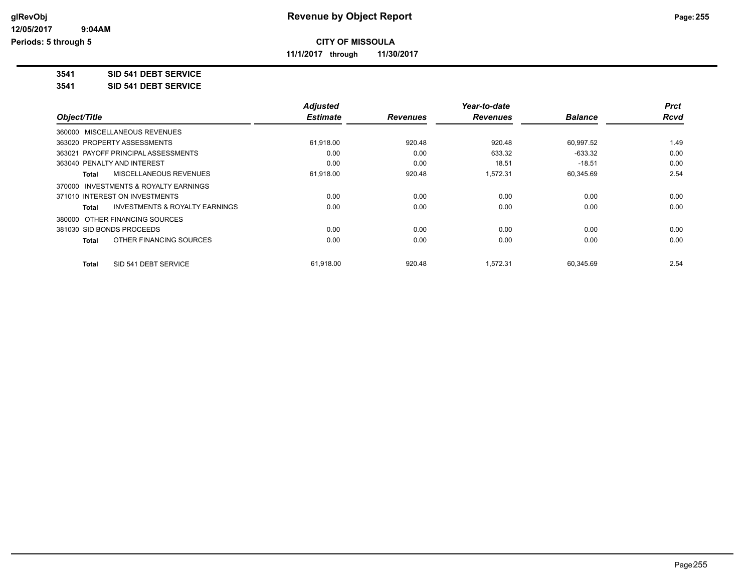**11/1/2017 through 11/30/2017**

**3541 SID 541 DEBT SERVICE**

**3541 SID 541 DEBT SERVICE**

|                                                    | <b>Adjusted</b> |                 | Year-to-date    |                | <b>Prct</b> |
|----------------------------------------------------|-----------------|-----------------|-----------------|----------------|-------------|
| Object/Title                                       | <b>Estimate</b> | <b>Revenues</b> | <b>Revenues</b> | <b>Balance</b> | <b>Rcvd</b> |
| 360000 MISCELLANEOUS REVENUES                      |                 |                 |                 |                |             |
| 363020 PROPERTY ASSESSMENTS                        | 61,918.00       | 920.48          | 920.48          | 60,997.52      | 1.49        |
| PAYOFF PRINCIPAL ASSESSMENTS<br>363021             | 0.00            | 0.00            | 633.32          | $-633.32$      | 0.00        |
| 363040 PENALTY AND INTEREST                        | 0.00            | 0.00            | 18.51           | $-18.51$       | 0.00        |
| <b>MISCELLANEOUS REVENUES</b><br>Total             | 61,918.00       | 920.48          | 1,572.31        | 60,345.69      | 2.54        |
| 370000 INVESTMENTS & ROYALTY EARNINGS              |                 |                 |                 |                |             |
| 371010 INTEREST ON INVESTMENTS                     | 0.00            | 0.00            | 0.00            | 0.00           | 0.00        |
| <b>INVESTMENTS &amp; ROYALTY EARNINGS</b><br>Total | 0.00            | 0.00            | 0.00            | 0.00           | 0.00        |
| 380000 OTHER FINANCING SOURCES                     |                 |                 |                 |                |             |
| 381030 SID BONDS PROCEEDS                          | 0.00            | 0.00            | 0.00            | 0.00           | 0.00        |
| OTHER FINANCING SOURCES<br><b>Total</b>            | 0.00            | 0.00            | 0.00            | 0.00           | 0.00        |
| SID 541 DEBT SERVICE<br>Total                      | 61.918.00       | 920.48          | 1.572.31        | 60.345.69      | 2.54        |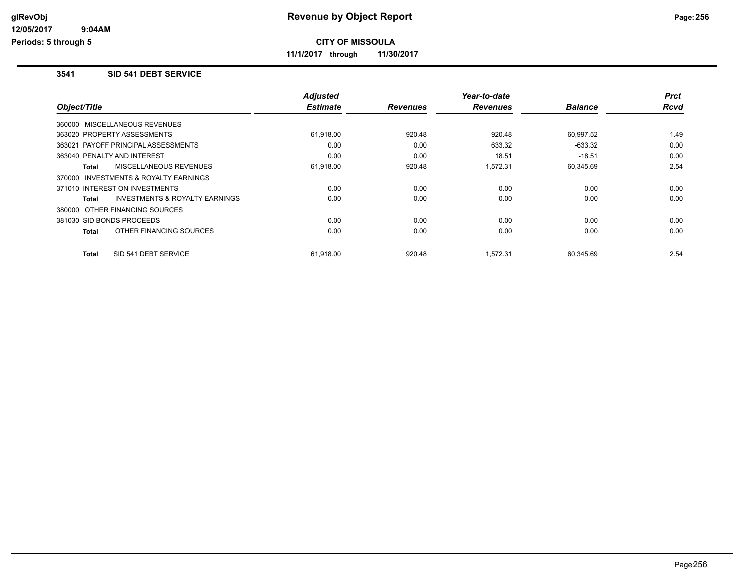**11/1/2017 through 11/30/2017**

#### **3541 SID 541 DEBT SERVICE**

| Object/Title                                        | <b>Adjusted</b><br><b>Estimate</b> | <b>Revenues</b> | Year-to-date<br><b>Revenues</b> | <b>Balance</b> | <b>Prct</b><br>Rcvd |
|-----------------------------------------------------|------------------------------------|-----------------|---------------------------------|----------------|---------------------|
|                                                     |                                    |                 |                                 |                |                     |
| 360000 MISCELLANEOUS REVENUES                       |                                    |                 |                                 |                |                     |
| 363020 PROPERTY ASSESSMENTS                         | 61,918.00                          | 920.48          | 920.48                          | 60,997.52      | 1.49                |
| 363021 PAYOFF PRINCIPAL ASSESSMENTS                 | 0.00                               | 0.00            | 633.32                          | $-633.32$      | 0.00                |
| 363040 PENALTY AND INTEREST                         | 0.00                               | 0.00            | 18.51                           | $-18.51$       | 0.00                |
| MISCELLANEOUS REVENUES<br>Total                     | 61,918.00                          | 920.48          | 1,572.31                        | 60,345.69      | 2.54                |
| <b>INVESTMENTS &amp; ROYALTY EARNINGS</b><br>370000 |                                    |                 |                                 |                |                     |
| 371010 INTEREST ON INVESTMENTS                      | 0.00                               | 0.00            | 0.00                            | 0.00           | 0.00                |
| <b>INVESTMENTS &amp; ROYALTY EARNINGS</b><br>Total  | 0.00                               | 0.00            | 0.00                            | 0.00           | 0.00                |
| 380000 OTHER FINANCING SOURCES                      |                                    |                 |                                 |                |                     |
| 381030 SID BONDS PROCEEDS                           | 0.00                               | 0.00            | 0.00                            | 0.00           | 0.00                |
| OTHER FINANCING SOURCES<br>Total                    | 0.00                               | 0.00            | 0.00                            | 0.00           | 0.00                |
| SID 541 DEBT SERVICE<br>Total                       | 61,918.00                          | 920.48          | 1,572.31                        | 60,345.69      | 2.54                |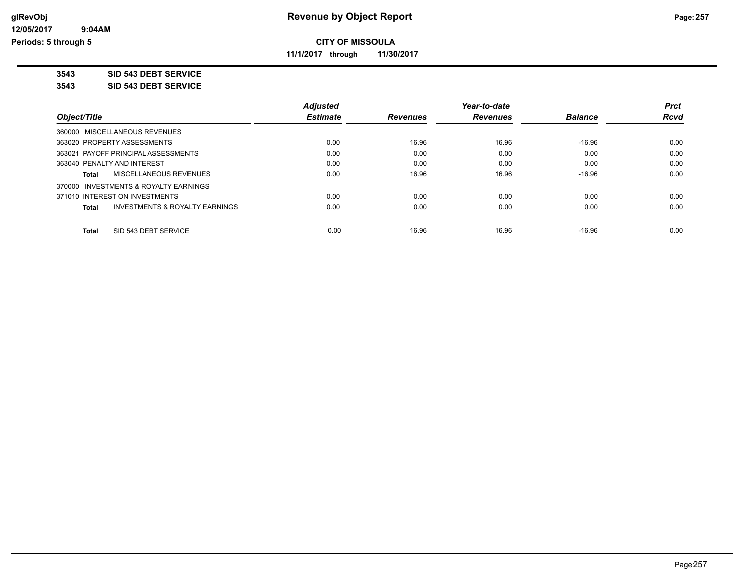**11/1/2017 through 11/30/2017**

**3543 SID 543 DEBT SERVICE**

**3543 SID 543 DEBT SERVICE**

|                                         | <b>Adjusted</b> |                 | Year-to-date    |                | <b>Prct</b> |
|-----------------------------------------|-----------------|-----------------|-----------------|----------------|-------------|
| Object/Title                            | <b>Estimate</b> | <b>Revenues</b> | <b>Revenues</b> | <b>Balance</b> | Rcvd        |
| 360000 MISCELLANEOUS REVENUES           |                 |                 |                 |                |             |
| 363020 PROPERTY ASSESSMENTS             | 0.00            | 16.96           | 16.96           | $-16.96$       | 0.00        |
| 363021 PAYOFF PRINCIPAL ASSESSMENTS     | 0.00            | 0.00            | 0.00            | 0.00           | 0.00        |
| 363040 PENALTY AND INTEREST             | 0.00            | 0.00            | 0.00            | 0.00           | 0.00        |
| MISCELLANEOUS REVENUES<br>Total         | 0.00            | 16.96           | 16.96           | $-16.96$       | 0.00        |
| 370000 INVESTMENTS & ROYALTY EARNINGS   |                 |                 |                 |                |             |
| 371010 INTEREST ON INVESTMENTS          | 0.00            | 0.00            | 0.00            | 0.00           | 0.00        |
| INVESTMENTS & ROYALTY EARNINGS<br>Total | 0.00            | 0.00            | 0.00            | 0.00           | 0.00        |
| SID 543 DEBT SERVICE<br><b>Total</b>    | 0.00            | 16.96           | 16.96           | $-16.96$       | 0.00        |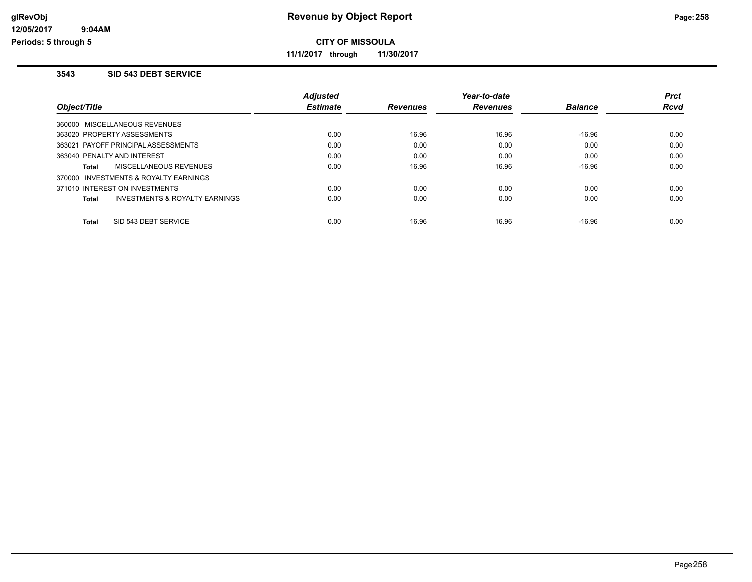**11/1/2017 through 11/30/2017**

#### **3543 SID 543 DEBT SERVICE**

|                             |                                       | <b>Adjusted</b> |                 | Year-to-date    |                | <b>Prct</b> |
|-----------------------------|---------------------------------------|-----------------|-----------------|-----------------|----------------|-------------|
| Object/Title                |                                       | <b>Estimate</b> | <b>Revenues</b> | <b>Revenues</b> | <b>Balance</b> | Rcvd        |
|                             | 360000 MISCELLANEOUS REVENUES         |                 |                 |                 |                |             |
|                             | 363020 PROPERTY ASSESSMENTS           | 0.00            | 16.96           | 16.96           | $-16.96$       | 0.00        |
|                             | 363021 PAYOFF PRINCIPAL ASSESSMENTS   | 0.00            | 0.00            | 0.00            | 0.00           | 0.00        |
| 363040 PENALTY AND INTEREST |                                       | 0.00            | 0.00            | 0.00            | 0.00           | 0.00        |
| Total                       | MISCELLANEOUS REVENUES                | 0.00            | 16.96           | 16.96           | $-16.96$       | 0.00        |
|                             | 370000 INVESTMENTS & ROYALTY EARNINGS |                 |                 |                 |                |             |
|                             | 371010 INTEREST ON INVESTMENTS        | 0.00            | 0.00            | 0.00            | 0.00           | 0.00        |
| Total                       | INVESTMENTS & ROYALTY EARNINGS        | 0.00            | 0.00            | 0.00            | 0.00           | 0.00        |
| <b>Total</b>                | SID 543 DEBT SERVICE                  | 0.00            | 16.96           | 16.96           | $-16.96$       | 0.00        |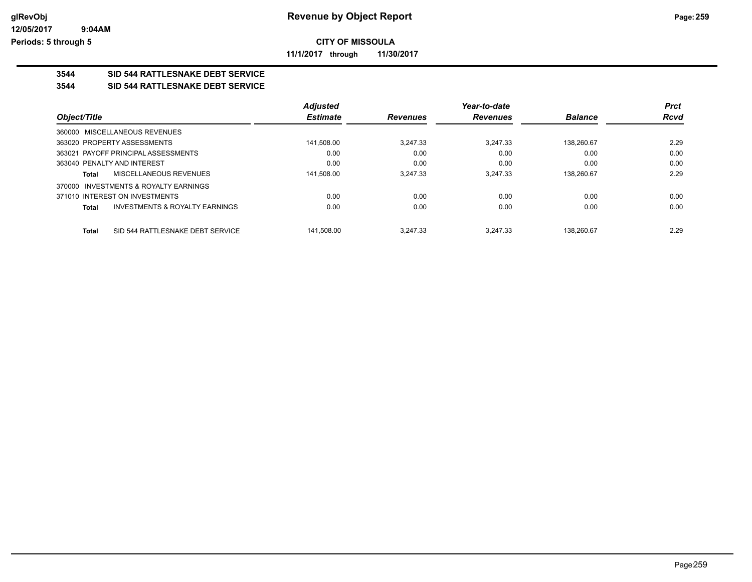**11/1/2017 through 11/30/2017**

# **3544 SID 544 RATTLESNAKE DEBT SERVICE**

## **3544 SID 544 RATTLESNAKE DEBT SERVICE**

|                                                           | <b>Adjusted</b> |                 | Year-to-date    |                | <b>Prct</b> |
|-----------------------------------------------------------|-----------------|-----------------|-----------------|----------------|-------------|
| Object/Title                                              | <b>Estimate</b> | <b>Revenues</b> | <b>Revenues</b> | <b>Balance</b> | <b>Rcvd</b> |
| 360000 MISCELLANEOUS REVENUES                             |                 |                 |                 |                |             |
| 363020 PROPERTY ASSESSMENTS                               | 141,508.00      | 3.247.33        | 3.247.33        | 138.260.67     | 2.29        |
| 363021 PAYOFF PRINCIPAL ASSESSMENTS                       | 0.00            | 0.00            | 0.00            | 0.00           | 0.00        |
| 363040 PENALTY AND INTEREST                               | 0.00            | 0.00            | 0.00            | 0.00           | 0.00        |
| <b>MISCELLANEOUS REVENUES</b><br>Total                    | 141,508.00      | 3.247.33        | 3.247.33        | 138.260.67     | 2.29        |
| 370000 INVESTMENTS & ROYALTY EARNINGS                     |                 |                 |                 |                |             |
| 371010 INTEREST ON INVESTMENTS                            | 0.00            | 0.00            | 0.00            | 0.00           | 0.00        |
| <b>INVESTMENTS &amp; ROYALTY EARNINGS</b><br><b>Total</b> | 0.00            | 0.00            | 0.00            | 0.00           | 0.00        |
| SID 544 RATTLESNAKE DEBT SERVICE<br><b>Total</b>          | 141.508.00      | 3.247.33        | 3.247.33        | 138.260.67     | 2.29        |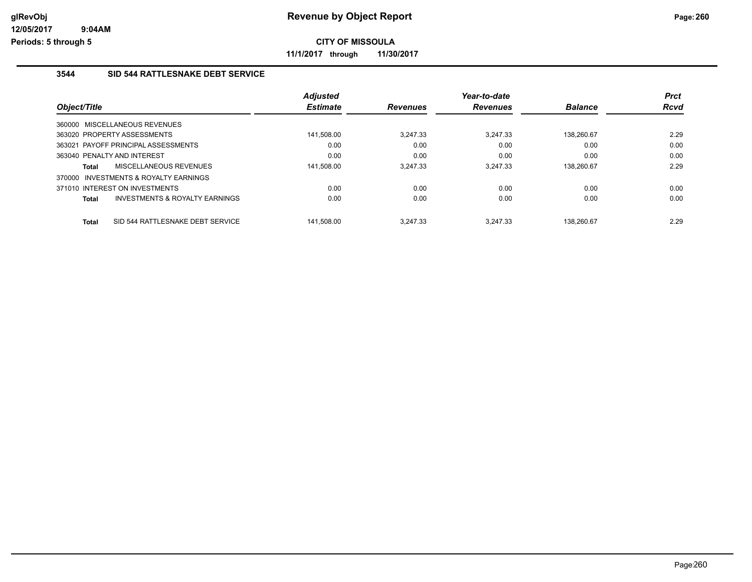**11/1/2017 through 11/30/2017**

#### **3544 SID 544 RATTLESNAKE DEBT SERVICE**

|              |                                       | <b>Adjusted</b> |                 | Year-to-date    |                | <b>Prct</b> |
|--------------|---------------------------------------|-----------------|-----------------|-----------------|----------------|-------------|
| Object/Title |                                       | <b>Estimate</b> | <b>Revenues</b> | <b>Revenues</b> | <b>Balance</b> | <b>Rcvd</b> |
|              | 360000 MISCELLANEOUS REVENUES         |                 |                 |                 |                |             |
|              | 363020 PROPERTY ASSESSMENTS           | 141,508.00      | 3.247.33        | 3.247.33        | 138,260.67     | 2.29        |
|              | 363021 PAYOFF PRINCIPAL ASSESSMENTS   | 0.00            | 0.00            | 0.00            | 0.00           | 0.00        |
|              | 363040 PENALTY AND INTEREST           | 0.00            | 0.00            | 0.00            | 0.00           | 0.00        |
| Total        | MISCELLANEOUS REVENUES                | 141,508.00      | 3.247.33        | 3.247.33        | 138.260.67     | 2.29        |
|              | 370000 INVESTMENTS & ROYALTY EARNINGS |                 |                 |                 |                |             |
|              | 371010 INTEREST ON INVESTMENTS        | 0.00            | 0.00            | 0.00            | 0.00           | 0.00        |
| <b>Total</b> | INVESTMENTS & ROYALTY EARNINGS        | 0.00            | 0.00            | 0.00            | 0.00           | 0.00        |
| <b>Total</b> | SID 544 RATTLESNAKE DEBT SERVICE      | 141.508.00      | 3.247.33        | 3.247.33        | 138.260.67     | 2.29        |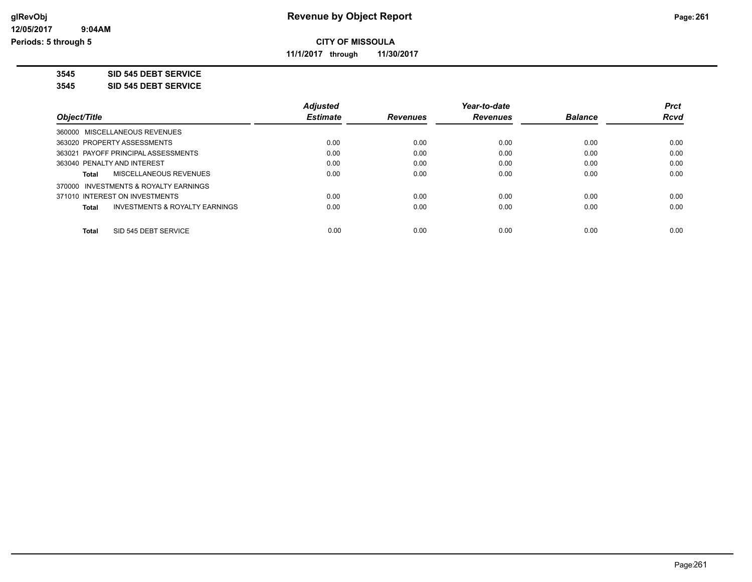**11/1/2017 through 11/30/2017**

**3545 SID 545 DEBT SERVICE**

**3545 SID 545 DEBT SERVICE**

|                                                    | <b>Adjusted</b> |                 | Year-to-date    |                | <b>Prct</b> |
|----------------------------------------------------|-----------------|-----------------|-----------------|----------------|-------------|
| Object/Title                                       | <b>Estimate</b> | <b>Revenues</b> | <b>Revenues</b> | <b>Balance</b> | <b>Rcvd</b> |
| 360000 MISCELLANEOUS REVENUES                      |                 |                 |                 |                |             |
| 363020 PROPERTY ASSESSMENTS                        | 0.00            | 0.00            | 0.00            | 0.00           | 0.00        |
| 363021 PAYOFF PRINCIPAL ASSESSMENTS                | 0.00            | 0.00            | 0.00            | 0.00           | 0.00        |
| 363040 PENALTY AND INTEREST                        | 0.00            | 0.00            | 0.00            | 0.00           | 0.00        |
| MISCELLANEOUS REVENUES<br>Total                    | 0.00            | 0.00            | 0.00            | 0.00           | 0.00        |
| 370000 INVESTMENTS & ROYALTY EARNINGS              |                 |                 |                 |                |             |
| 371010 INTEREST ON INVESTMENTS                     | 0.00            | 0.00            | 0.00            | 0.00           | 0.00        |
| <b>INVESTMENTS &amp; ROYALTY EARNINGS</b><br>Total | 0.00            | 0.00            | 0.00            | 0.00           | 0.00        |
| SID 545 DEBT SERVICE<br><b>Total</b>               | 0.00            | 0.00            | 0.00            | 0.00           | 0.00        |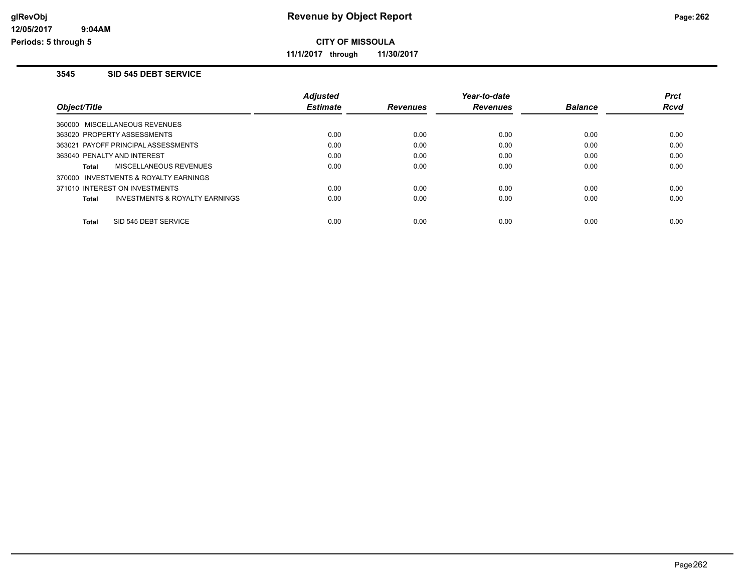**11/1/2017 through 11/30/2017**

#### **3545 SID 545 DEBT SERVICE**

|                                                | Adiusted        |                 | Year-to-date    |                | <b>Prct</b> |
|------------------------------------------------|-----------------|-----------------|-----------------|----------------|-------------|
| Obiect/Title                                   | <b>Estimate</b> | <b>Revenues</b> | <b>Revenues</b> | <b>Balance</b> | Rcvd        |
| 360000 MISCELLANEOUS REVENUES                  |                 |                 |                 |                |             |
| 363020 PROPERTY ASSESSMENTS                    | 0.00            | 0.00            | 0.00            | 0.00           | 0.00        |
| 363021 PAYOFF PRINCIPAL ASSESSMENTS            | 0.00            | 0.00            | 0.00            | 0.00           | 0.00        |
| 363040 PENALTY AND INTEREST                    | 0.00            | 0.00            | 0.00            | 0.00           | 0.00        |
| MISCELLANEOUS REVENUES<br><b>Total</b>         | 0.00            | 0.00            | 0.00            | 0.00           | 0.00        |
| 370000 INVESTMENTS & ROYALTY EARNINGS          |                 |                 |                 |                |             |
| 371010 INTEREST ON INVESTMENTS                 | 0.00            | 0.00            | 0.00            | 0.00           | 0.00        |
| INVESTMENTS & ROYALTY EARNINGS<br><b>Total</b> | 0.00            | 0.00            | 0.00            | 0.00           | 0.00        |
| SID 545 DEBT SERVICE<br><b>Total</b>           | 0.00            | 0.00            | 0.00            | 0.00           | 0.00        |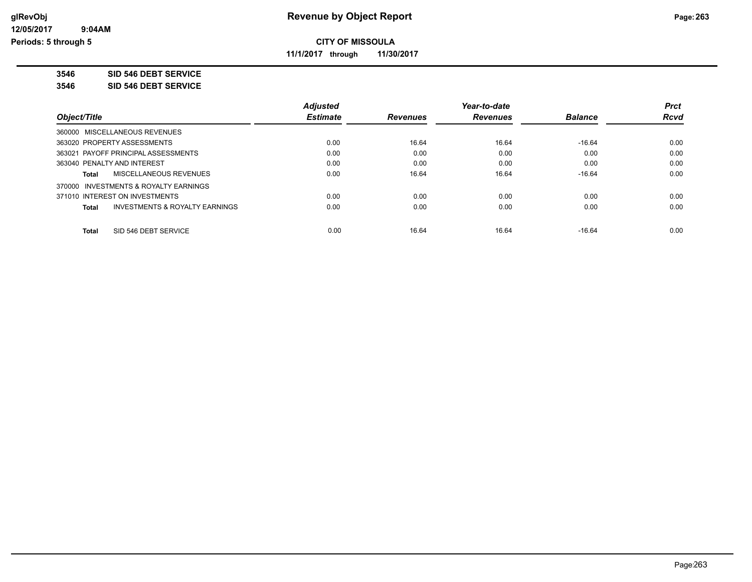**11/1/2017 through 11/30/2017**

**3546 SID 546 DEBT SERVICE**

**3546 SID 546 DEBT SERVICE**

|                                                    | <b>Adjusted</b> |                 | Year-to-date    |                | <b>Prct</b> |
|----------------------------------------------------|-----------------|-----------------|-----------------|----------------|-------------|
| Object/Title                                       | <b>Estimate</b> | <b>Revenues</b> | <b>Revenues</b> | <b>Balance</b> | <b>Rcvd</b> |
| 360000 MISCELLANEOUS REVENUES                      |                 |                 |                 |                |             |
| 363020 PROPERTY ASSESSMENTS                        | 0.00            | 16.64           | 16.64           | $-16.64$       | 0.00        |
| 363021 PAYOFF PRINCIPAL ASSESSMENTS                | 0.00            | 0.00            | 0.00            | 0.00           | 0.00        |
| 363040 PENALTY AND INTEREST                        | 0.00            | 0.00            | 0.00            | 0.00           | 0.00        |
| MISCELLANEOUS REVENUES<br>Total                    | 0.00            | 16.64           | 16.64           | $-16.64$       | 0.00        |
| 370000 INVESTMENTS & ROYALTY EARNINGS              |                 |                 |                 |                |             |
| 371010 INTEREST ON INVESTMENTS                     | 0.00            | 0.00            | 0.00            | 0.00           | 0.00        |
| <b>INVESTMENTS &amp; ROYALTY EARNINGS</b><br>Total | 0.00            | 0.00            | 0.00            | 0.00           | 0.00        |
| SID 546 DEBT SERVICE<br>Total                      | 0.00            | 16.64           | 16.64           | $-16.64$       | 0.00        |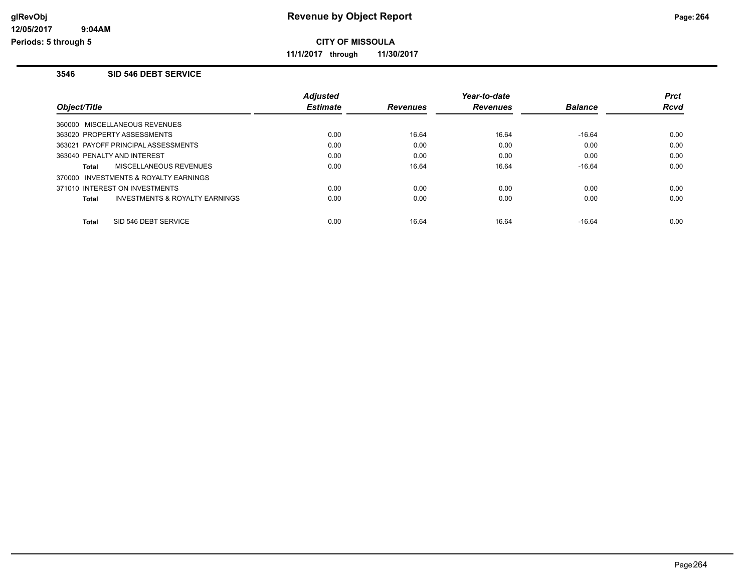**11/1/2017 through 11/30/2017**

#### **3546 SID 546 DEBT SERVICE**

|                                     |                                | <b>Adjusted</b> |                 | Year-to-date    |                | <b>Prct</b> |
|-------------------------------------|--------------------------------|-----------------|-----------------|-----------------|----------------|-------------|
| Object/Title                        |                                | <b>Estimate</b> | <b>Revenues</b> | <b>Revenues</b> | <b>Balance</b> | <b>Rcvd</b> |
| 360000 MISCELLANEOUS REVENUES       |                                |                 |                 |                 |                |             |
| 363020 PROPERTY ASSESSMENTS         |                                | 0.00            | 16.64           | 16.64           | -16.64         | 0.00        |
| 363021 PAYOFF PRINCIPAL ASSESSMENTS |                                | 0.00            | 0.00            | 0.00            | 0.00           | 0.00        |
| 363040 PENALTY AND INTEREST         |                                | 0.00            | 0.00            | 0.00            | 0.00           | 0.00        |
| Total                               | MISCELLANEOUS REVENUES         | 0.00            | 16.64           | 16.64           | $-16.64$       | 0.00        |
| 370000                              | INVESTMENTS & ROYALTY EARNINGS |                 |                 |                 |                |             |
| 371010 INTEREST ON INVESTMENTS      |                                | 0.00            | 0.00            | 0.00            | 0.00           | 0.00        |
| Total                               | INVESTMENTS & ROYALTY EARNINGS | 0.00            | 0.00            | 0.00            | 0.00           | 0.00        |
| <b>Total</b>                        | SID 546 DEBT SERVICE           | 0.00            | 16.64           | 16.64           | $-16.64$       | 0.00        |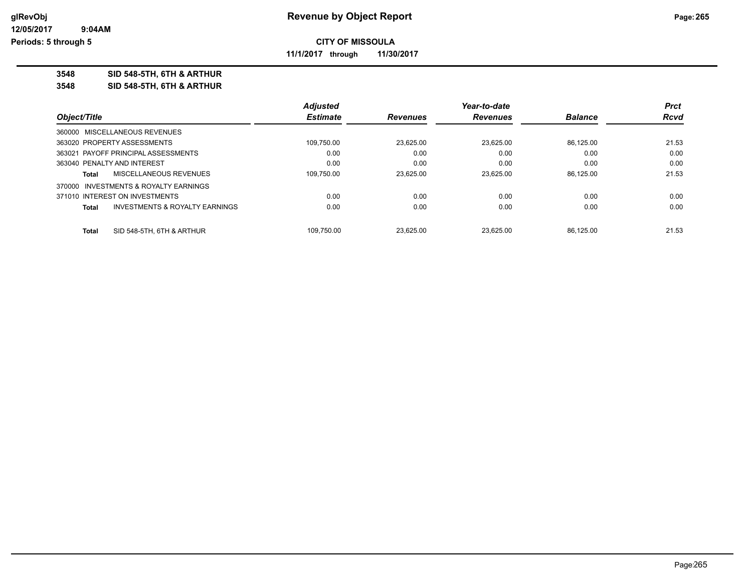**11/1/2017 through 11/30/2017**

#### **3548 SID 548-5TH, 6TH & ARTHUR**

**3548 SID 548-5TH, 6TH & ARTHUR**

|              |                                           | <b>Adjusted</b> |                 | Year-to-date   |             | <b>Prct</b> |
|--------------|-------------------------------------------|-----------------|-----------------|----------------|-------------|-------------|
| Object/Title | <b>Estimate</b>                           | <b>Revenues</b> | <b>Revenues</b> | <b>Balance</b> | <b>Rcvd</b> |             |
|              | 360000 MISCELLANEOUS REVENUES             |                 |                 |                |             |             |
|              | 363020 PROPERTY ASSESSMENTS               | 109,750.00      | 23.625.00       | 23.625.00      | 86.125.00   | 21.53       |
|              | 363021 PAYOFF PRINCIPAL ASSESSMENTS       | 0.00            | 0.00            | 0.00           | 0.00        | 0.00        |
|              | 363040 PENALTY AND INTEREST               | 0.00            | 0.00            | 0.00           | 0.00        | 0.00        |
| Total        | MISCELLANEOUS REVENUES                    | 109,750.00      | 23.625.00       | 23.625.00      | 86.125.00   | 21.53       |
|              | 370000 INVESTMENTS & ROYALTY EARNINGS     |                 |                 |                |             |             |
|              | 371010 INTEREST ON INVESTMENTS            | 0.00            | 0.00            | 0.00           | 0.00        | 0.00        |
| Total        | <b>INVESTMENTS &amp; ROYALTY EARNINGS</b> | 0.00            | 0.00            | 0.00           | 0.00        | 0.00        |
| <b>Total</b> | SID 548-5TH, 6TH & ARTHUR                 | 109.750.00      | 23.625.00       | 23.625.00      | 86.125.00   | 21.53       |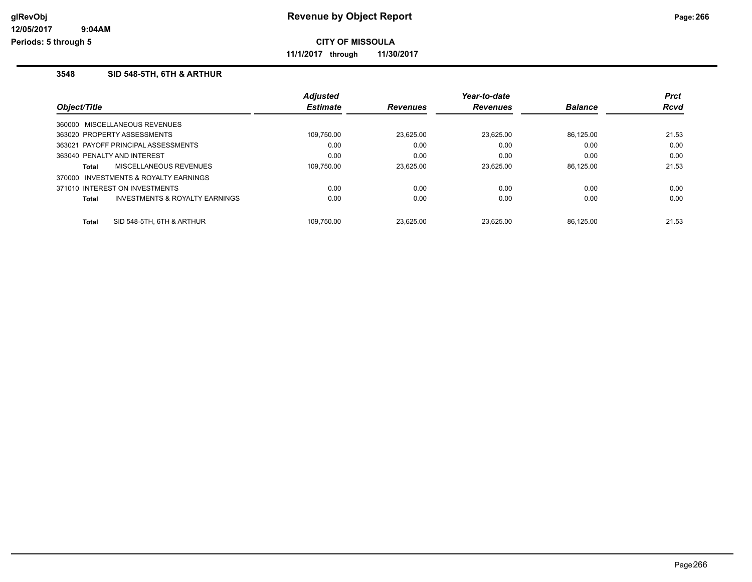**11/1/2017 through 11/30/2017**

#### **3548 SID 548-5TH, 6TH & ARTHUR**

|              |                                       | <b>Adjusted</b> |                 | Year-to-date    |                | <b>Prct</b> |
|--------------|---------------------------------------|-----------------|-----------------|-----------------|----------------|-------------|
| Object/Title |                                       | <b>Estimate</b> | <b>Revenues</b> | <b>Revenues</b> | <b>Balance</b> | <b>Rcvd</b> |
|              | 360000 MISCELLANEOUS REVENUES         |                 |                 |                 |                |             |
|              | 363020 PROPERTY ASSESSMENTS           | 109.750.00      | 23.625.00       | 23.625.00       | 86,125.00      | 21.53       |
|              | 363021 PAYOFF PRINCIPAL ASSESSMENTS   | 0.00            | 0.00            | 0.00            | 0.00           | 0.00        |
|              | 363040 PENALTY AND INTEREST           | 0.00            | 0.00            | 0.00            | 0.00           | 0.00        |
| <b>Total</b> | MISCELLANEOUS REVENUES                | 109.750.00      | 23.625.00       | 23.625.00       | 86.125.00      | 21.53       |
|              | 370000 INVESTMENTS & ROYALTY EARNINGS |                 |                 |                 |                |             |
|              | 371010 INTEREST ON INVESTMENTS        | 0.00            | 0.00            | 0.00            | 0.00           | 0.00        |
| <b>Total</b> | INVESTMENTS & ROYALTY EARNINGS        | 0.00            | 0.00            | 0.00            | 0.00           | 0.00        |
| <b>Total</b> | SID 548-5TH, 6TH & ARTHUR             | 109.750.00      | 23.625.00       | 23.625.00       | 86.125.00      | 21.53       |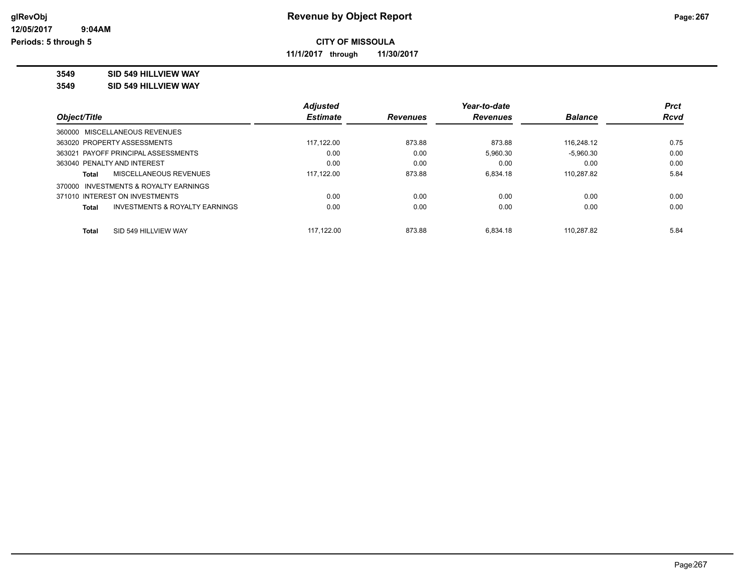**11/1/2017 through 11/30/2017**

#### **3549 SID 549 HILLVIEW WAY**

#### **3549 SID 549 HILLVIEW WAY**

|                                                           | <b>Adjusted</b> |                 | Year-to-date    |                | <b>Prct</b> |
|-----------------------------------------------------------|-----------------|-----------------|-----------------|----------------|-------------|
| Object/Title                                              | <b>Estimate</b> | <b>Revenues</b> | <b>Revenues</b> | <b>Balance</b> | <b>Rcvd</b> |
| 360000 MISCELLANEOUS REVENUES                             |                 |                 |                 |                |             |
| 363020 PROPERTY ASSESSMENTS                               | 117.122.00      | 873.88          | 873.88          | 116.248.12     | 0.75        |
| 363021 PAYOFF PRINCIPAL ASSESSMENTS                       | 0.00            | 0.00            | 5.960.30        | $-5.960.30$    | 0.00        |
| 363040 PENALTY AND INTEREST                               | 0.00            | 0.00            | 0.00            | 0.00           | 0.00        |
| MISCELLANEOUS REVENUES<br><b>Total</b>                    | 117.122.00      | 873.88          | 6.834.18        | 110,287.82     | 5.84        |
| 370000 INVESTMENTS & ROYALTY EARNINGS                     |                 |                 |                 |                |             |
| 371010 INTEREST ON INVESTMENTS                            | 0.00            | 0.00            | 0.00            | 0.00           | 0.00        |
| <b>INVESTMENTS &amp; ROYALTY EARNINGS</b><br><b>Total</b> | 0.00            | 0.00            | 0.00            | 0.00           | 0.00        |
|                                                           |                 |                 |                 |                |             |
| SID 549 HILLVIEW WAY<br><b>Total</b>                      | 117.122.00      | 873.88          | 6.834.18        | 110.287.82     | 5.84        |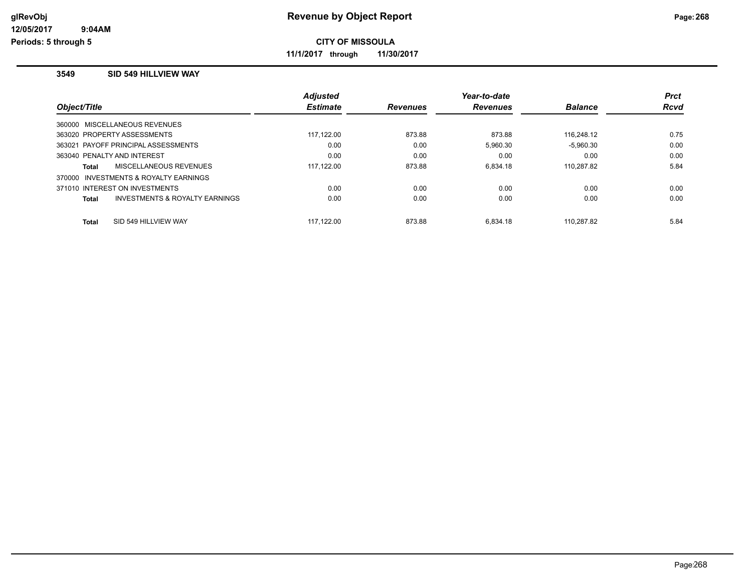**11/1/2017 through 11/30/2017**

#### **3549 SID 549 HILLVIEW WAY**

| Object/Title |                                       | <b>Adjusted</b> |                 | Year-to-date    |                | <b>Prct</b> |
|--------------|---------------------------------------|-----------------|-----------------|-----------------|----------------|-------------|
|              |                                       | <b>Estimate</b> | <b>Revenues</b> | <b>Revenues</b> | <b>Balance</b> | <b>Rcvd</b> |
|              | 360000 MISCELLANEOUS REVENUES         |                 |                 |                 |                |             |
|              | 363020 PROPERTY ASSESSMENTS           | 117.122.00      | 873.88          | 873.88          | 116.248.12     | 0.75        |
|              | 363021 PAYOFF PRINCIPAL ASSESSMENTS   | 0.00            | 0.00            | 5.960.30        | $-5.960.30$    | 0.00        |
|              | 363040 PENALTY AND INTEREST           | 0.00            | 0.00            | 0.00            | 0.00           | 0.00        |
| <b>Total</b> | MISCELLANEOUS REVENUES                | 117.122.00      | 873.88          | 6.834.18        | 110.287.82     | 5.84        |
|              | 370000 INVESTMENTS & ROYALTY EARNINGS |                 |                 |                 |                |             |
|              | 371010 INTEREST ON INVESTMENTS        | 0.00            | 0.00            | 0.00            | 0.00           | 0.00        |
| <b>Total</b> | INVESTMENTS & ROYALTY EARNINGS        | 0.00            | 0.00            | 0.00            | 0.00           | 0.00        |
| <b>Total</b> | SID 549 HILLVIEW WAY                  | 117.122.00      | 873.88          | 6.834.18        | 110.287.82     | 5.84        |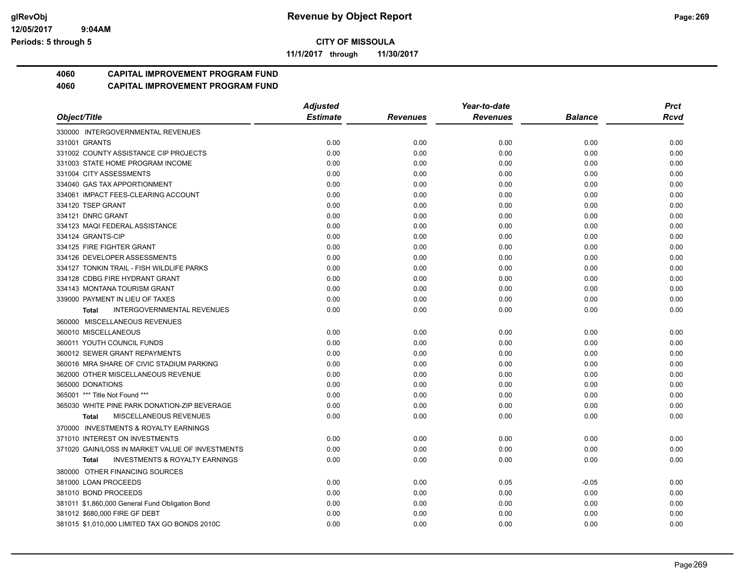**11/1/2017 through 11/30/2017**

## **4060 CAPITAL IMPROVEMENT PROGRAM FUND**

|                                                    | <b>Adjusted</b> | Year-to-date    |                 |                | <b>Prct</b> |
|----------------------------------------------------|-----------------|-----------------|-----------------|----------------|-------------|
| Object/Title                                       | <b>Estimate</b> | <b>Revenues</b> | <b>Revenues</b> | <b>Balance</b> | <b>Rcvd</b> |
| 330000 INTERGOVERNMENTAL REVENUES                  |                 |                 |                 |                |             |
| 331001 GRANTS                                      | 0.00            | 0.00            | 0.00            | 0.00           | 0.00        |
| 331002 COUNTY ASSISTANCE CIP PROJECTS              | 0.00            | 0.00            | 0.00            | 0.00           | 0.00        |
| 331003 STATE HOME PROGRAM INCOME                   | 0.00            | 0.00            | 0.00            | 0.00           | 0.00        |
| 331004 CITY ASSESSMENTS                            | 0.00            | 0.00            | 0.00            | 0.00           | 0.00        |
| 334040 GAS TAX APPORTIONMENT                       | 0.00            | 0.00            | 0.00            | 0.00           | 0.00        |
| 334061 IMPACT FEES-CLEARING ACCOUNT                | 0.00            | 0.00            | 0.00            | 0.00           | 0.00        |
| 334120 TSEP GRANT                                  | 0.00            | 0.00            | 0.00            | 0.00           | 0.00        |
| 334121 DNRC GRANT                                  | 0.00            | 0.00            | 0.00            | 0.00           | 0.00        |
| 334123 MAQI FEDERAL ASSISTANCE                     | 0.00            | 0.00            | 0.00            | 0.00           | 0.00        |
| 334124 GRANTS-CIP                                  | 0.00            | 0.00            | 0.00            | 0.00           | 0.00        |
| 334125 FIRE FIGHTER GRANT                          | 0.00            | 0.00            | 0.00            | 0.00           | 0.00        |
| 334126 DEVELOPER ASSESSMENTS                       | 0.00            | 0.00            | 0.00            | 0.00           | 0.00        |
| 334127 TONKIN TRAIL - FISH WILDLIFE PARKS          | 0.00            | 0.00            | 0.00            | 0.00           | 0.00        |
| 334128 CDBG FIRE HYDRANT GRANT                     | 0.00            | 0.00            | 0.00            | 0.00           | 0.00        |
| 334143 MONTANA TOURISM GRANT                       | 0.00            | 0.00            | 0.00            | 0.00           | 0.00        |
| 339000 PAYMENT IN LIEU OF TAXES                    | 0.00            | 0.00            | 0.00            | 0.00           | 0.00        |
| <b>INTERGOVERNMENTAL REVENUES</b><br><b>Total</b>  | 0.00            | 0.00            | 0.00            | 0.00           | 0.00        |
| 360000 MISCELLANEOUS REVENUES                      |                 |                 |                 |                |             |
| 360010 MISCELLANEOUS                               | 0.00            | 0.00            | 0.00            | 0.00           | 0.00        |
| 360011 YOUTH COUNCIL FUNDS                         | 0.00            | 0.00            | 0.00            | 0.00           | 0.00        |
| 360012 SEWER GRANT REPAYMENTS                      | 0.00            | 0.00            | 0.00            | 0.00           | 0.00        |
| 360016 MRA SHARE OF CIVIC STADIUM PARKING          | 0.00            | 0.00            | 0.00            | 0.00           | 0.00        |
| 362000 OTHER MISCELLANEOUS REVENUE                 | 0.00            | 0.00            | 0.00            | 0.00           | 0.00        |
| 365000 DONATIONS                                   | 0.00            | 0.00            | 0.00            | 0.00           | 0.00        |
| 365001 *** Title Not Found ***                     | 0.00            | 0.00            | 0.00            | 0.00           | 0.00        |
| 365030 WHITE PINE PARK DONATION-ZIP BEVERAGE       | 0.00            | 0.00            | 0.00            | 0.00           | 0.00        |
| MISCELLANEOUS REVENUES<br>Total                    | 0.00            | 0.00            | 0.00            | 0.00           | 0.00        |
| 370000 INVESTMENTS & ROYALTY EARNINGS              |                 |                 |                 |                |             |
| 371010 INTEREST ON INVESTMENTS                     | 0.00            | 0.00            | 0.00            | 0.00           | 0.00        |
| 371020 GAIN/LOSS IN MARKET VALUE OF INVESTMENTS    | 0.00            | 0.00            | 0.00            | 0.00           | 0.00        |
| <b>INVESTMENTS &amp; ROYALTY EARNINGS</b><br>Total | 0.00            | 0.00            | 0.00            | 0.00           | 0.00        |
| 380000 OTHER FINANCING SOURCES                     |                 |                 |                 |                |             |
| 381000 LOAN PROCEEDS                               | 0.00            | 0.00            | 0.05            | $-0.05$        | 0.00        |
| 381010 BOND PROCEEDS                               | 0.00            | 0.00            | 0.00            | 0.00           | 0.00        |
| 381011 \$1,860,000 General Fund Obligation Bond    | 0.00            | 0.00            | 0.00            | 0.00           | 0.00        |
| 381012 \$680,000 FIRE GF DEBT                      | 0.00            | 0.00            | 0.00            | 0.00           | 0.00        |
| 381015 \$1,010,000 LIMITED TAX GO BONDS 2010C      | 0.00            | 0.00            | 0.00            | 0.00           | 0.00        |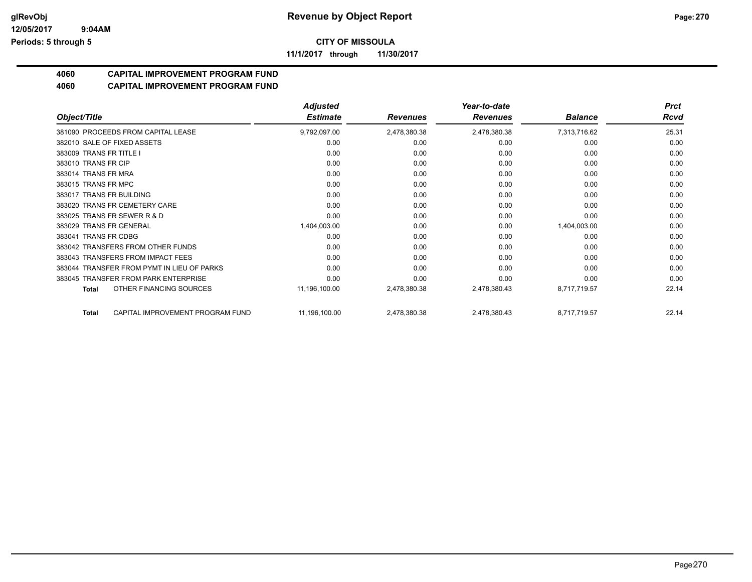**11/1/2017 through 11/30/2017**

# **4060 CAPITAL IMPROVEMENT PROGRAM FUND**

|                                                  | <b>Adjusted</b> |                 | Year-to-date    |                | Prct  |
|--------------------------------------------------|-----------------|-----------------|-----------------|----------------|-------|
| Object/Title                                     | <b>Estimate</b> | <b>Revenues</b> | <b>Revenues</b> | <b>Balance</b> | Rcvd  |
| 381090 PROCEEDS FROM CAPITAL LEASE               | 9,792,097.00    | 2,478,380.38    | 2,478,380.38    | 7,313,716.62   | 25.31 |
| 382010 SALE OF FIXED ASSETS                      | 0.00            | 0.00            | 0.00            | 0.00           | 0.00  |
| 383009 TRANS FR TITLE I                          | 0.00            | 0.00            | 0.00            | 0.00           | 0.00  |
| 383010 TRANS FR CIP                              | 0.00            | 0.00            | 0.00            | 0.00           | 0.00  |
| 383014 TRANS FR MRA                              | 0.00            | 0.00            | 0.00            | 0.00           | 0.00  |
| 383015 TRANS FR MPC                              | 0.00            | 0.00            | 0.00            | 0.00           | 0.00  |
| 383017 TRANS FR BUILDING                         | 0.00            | 0.00            | 0.00            | 0.00           | 0.00  |
| 383020 TRANS FR CEMETERY CARE                    | 0.00            | 0.00            | 0.00            | 0.00           | 0.00  |
| 383025 TRANS FR SEWER R & D                      | 0.00            | 0.00            | 0.00            | 0.00           | 0.00  |
| 383029 TRANS FR GENERAL                          | 1,404,003.00    | 0.00            | 0.00            | 1,404,003.00   | 0.00  |
| 383041 TRANS FR CDBG                             | 0.00            | 0.00            | 0.00            | 0.00           | 0.00  |
| 383042 TRANSFERS FROM OTHER FUNDS                | 0.00            | 0.00            | 0.00            | 0.00           | 0.00  |
| 383043 TRANSFERS FROM IMPACT FEES                | 0.00            | 0.00            | 0.00            | 0.00           | 0.00  |
| 383044 TRANSFER FROM PYMT IN LIEU OF PARKS       | 0.00            | 0.00            | 0.00            | 0.00           | 0.00  |
| 383045 TRANSFER FROM PARK ENTERPRISE             | 0.00            | 0.00            | 0.00            | 0.00           | 0.00  |
| OTHER FINANCING SOURCES<br><b>Total</b>          | 11,196,100.00   | 2,478,380.38    | 2,478,380.43    | 8,717,719.57   | 22.14 |
| CAPITAL IMPROVEMENT PROGRAM FUND<br><b>Total</b> | 11,196,100.00   | 2,478,380.38    | 2,478,380.43    | 8,717,719.57   | 22.14 |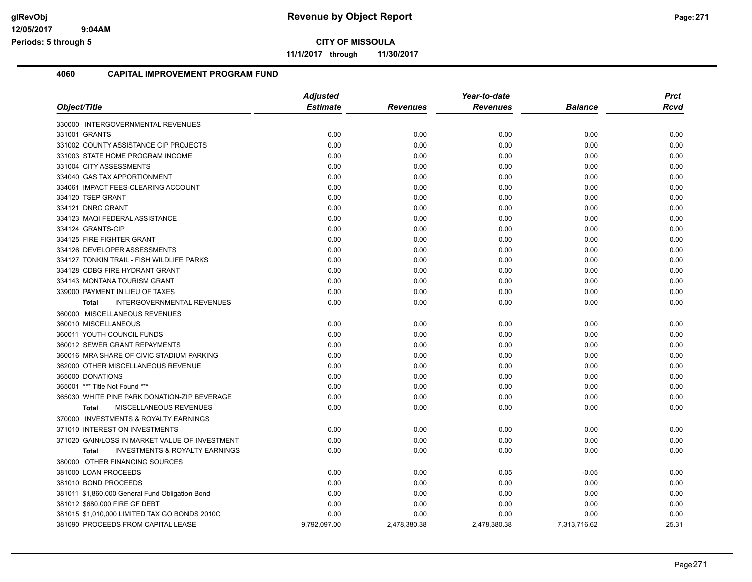**11/1/2017 through 11/30/2017**

|                                                           | <b>Adjusted</b> |                 | Year-to-date    |                | <b>Prct</b> |
|-----------------------------------------------------------|-----------------|-----------------|-----------------|----------------|-------------|
| Object/Title                                              | <b>Estimate</b> | <b>Revenues</b> | <b>Revenues</b> | <b>Balance</b> | <b>Rcvd</b> |
| 330000 INTERGOVERNMENTAL REVENUES                         |                 |                 |                 |                |             |
| 331001 GRANTS                                             | 0.00            | 0.00            | 0.00            | 0.00           | 0.00        |
| 331002 COUNTY ASSISTANCE CIP PROJECTS                     | 0.00            | 0.00            | 0.00            | 0.00           | 0.00        |
| 331003 STATE HOME PROGRAM INCOME                          | 0.00            | 0.00            | 0.00            | 0.00           | 0.00        |
| 331004 CITY ASSESSMENTS                                   | 0.00            | 0.00            | 0.00            | 0.00           | 0.00        |
| 334040 GAS TAX APPORTIONMENT                              | 0.00            | 0.00            | 0.00            | 0.00           | 0.00        |
| 334061 IMPACT FEES-CLEARING ACCOUNT                       | 0.00            | 0.00            | 0.00            | 0.00           | 0.00        |
| 334120 TSEP GRANT                                         | 0.00            | 0.00            | 0.00            | 0.00           | 0.00        |
| 334121 DNRC GRANT                                         | 0.00            | 0.00            | 0.00            | 0.00           | 0.00        |
| 334123 MAQI FEDERAL ASSISTANCE                            | 0.00            | 0.00            | 0.00            | 0.00           | 0.00        |
| 334124 GRANTS-CIP                                         | 0.00            | 0.00            | 0.00            | 0.00           | 0.00        |
| 334125 FIRE FIGHTER GRANT                                 | 0.00            | 0.00            | 0.00            | 0.00           | 0.00        |
| 334126 DEVELOPER ASSESSMENTS                              | 0.00            | 0.00            | 0.00            | 0.00           | 0.00        |
| 334127 TONKIN TRAIL - FISH WILDLIFE PARKS                 | 0.00            | 0.00            | 0.00            | 0.00           | 0.00        |
| 334128 CDBG FIRE HYDRANT GRANT                            | 0.00            | 0.00            | 0.00            | 0.00           | 0.00        |
| 334143 MONTANA TOURISM GRANT                              | 0.00            | 0.00            | 0.00            | 0.00           | 0.00        |
| 339000 PAYMENT IN LIEU OF TAXES                           | 0.00            | 0.00            | 0.00            | 0.00           | 0.00        |
| <b>INTERGOVERNMENTAL REVENUES</b><br><b>Total</b>         | 0.00            | 0.00            | 0.00            | 0.00           | 0.00        |
| 360000 MISCELLANEOUS REVENUES                             |                 |                 |                 |                |             |
| 360010 MISCELLANEOUS                                      | 0.00            | 0.00            | 0.00            | 0.00           | 0.00        |
| 360011 YOUTH COUNCIL FUNDS                                | 0.00            | 0.00            | 0.00            | 0.00           | 0.00        |
| 360012 SEWER GRANT REPAYMENTS                             | 0.00            | 0.00            | 0.00            | 0.00           | 0.00        |
| 360016 MRA SHARE OF CIVIC STADIUM PARKING                 | 0.00            | 0.00            | 0.00            | 0.00           | 0.00        |
| 362000 OTHER MISCELLANEOUS REVENUE                        | 0.00            | 0.00            | 0.00            | 0.00           | 0.00        |
| 365000 DONATIONS                                          | 0.00            | 0.00            | 0.00            | 0.00           | 0.00        |
| 365001 *** Title Not Found ***                            | 0.00            | 0.00            | 0.00            | 0.00           | 0.00        |
| 365030 WHITE PINE PARK DONATION-ZIP BEVERAGE              | 0.00            | 0.00            | 0.00            | 0.00           | 0.00        |
| MISCELLANEOUS REVENUES<br><b>Total</b>                    | 0.00            | 0.00            | 0.00            | 0.00           | 0.00        |
| 370000 INVESTMENTS & ROYALTY EARNINGS                     |                 |                 |                 |                |             |
| 371010 INTEREST ON INVESTMENTS                            | 0.00            | 0.00            | 0.00            | 0.00           | 0.00        |
| 371020 GAIN/LOSS IN MARKET VALUE OF INVESTMENT            | 0.00            | 0.00            | 0.00            | 0.00           | 0.00        |
| <b>INVESTMENTS &amp; ROYALTY EARNINGS</b><br><b>Total</b> | 0.00            | 0.00            | 0.00            | 0.00           | 0.00        |
| 380000 OTHER FINANCING SOURCES                            |                 |                 |                 |                |             |
| 381000 LOAN PROCEEDS                                      | 0.00            | 0.00            | 0.05            | $-0.05$        | 0.00        |
| 381010 BOND PROCEEDS                                      | 0.00            | 0.00            | 0.00            | 0.00           | 0.00        |
| 381011 \$1,860,000 General Fund Obligation Bond           | 0.00            | 0.00            | 0.00            | 0.00           | 0.00        |
| 381012 \$680,000 FIRE GF DEBT                             | 0.00            | 0.00            | 0.00            | 0.00           | 0.00        |
| 381015 \$1,010,000 LIMITED TAX GO BONDS 2010C             | 0.00            | 0.00            | 0.00            | 0.00           | 0.00        |
| 381090 PROCEEDS FROM CAPITAL LEASE                        | 9.792.097.00    | 2.478.380.38    | 2.478.380.38    | 7.313.716.62   | 25.31       |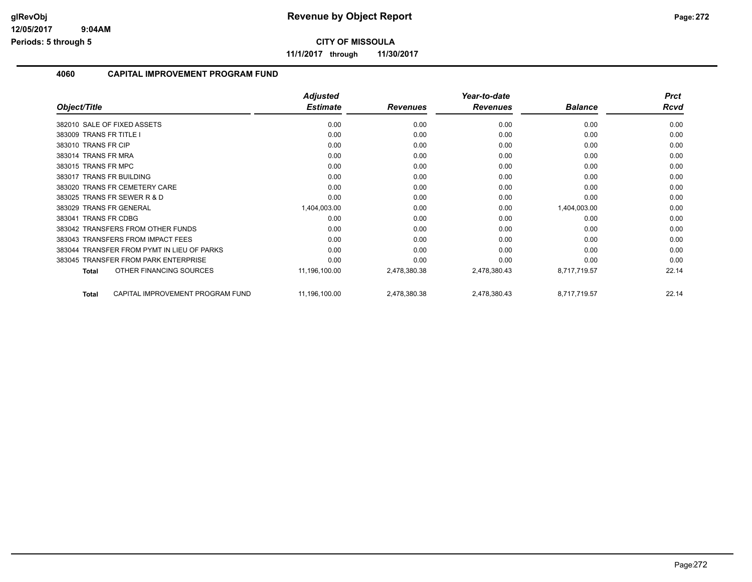**11/1/2017 through 11/30/2017**

|                                                  | <b>Adjusted</b> |                 | Year-to-date    |                | <b>Prct</b> |
|--------------------------------------------------|-----------------|-----------------|-----------------|----------------|-------------|
| Object/Title                                     | <b>Estimate</b> | <b>Revenues</b> | <b>Revenues</b> | <b>Balance</b> | <b>Rcvd</b> |
| 382010 SALE OF FIXED ASSETS                      | 0.00            | 0.00            | 0.00            | 0.00           | 0.00        |
| 383009 TRANS FR TITLE I                          | 0.00            | 0.00            | 0.00            | 0.00           | 0.00        |
| 383010 TRANS FR CIP                              | 0.00            | 0.00            | 0.00            | 0.00           | 0.00        |
| 383014 TRANS FR MRA                              | 0.00            | 0.00            | 0.00            | 0.00           | 0.00        |
| 383015 TRANS FR MPC                              | 0.00            | 0.00            | 0.00            | 0.00           | 0.00        |
| 383017 TRANS FR BUILDING                         | 0.00            | 0.00            | 0.00            | 0.00           | 0.00        |
| 383020 TRANS FR CEMETERY CARE                    | 0.00            | 0.00            | 0.00            | 0.00           | 0.00        |
| 383025 TRANS FR SEWER R & D                      | 0.00            | 0.00            | 0.00            | 0.00           | 0.00        |
| 383029 TRANS FR GENERAL                          | 1,404,003.00    | 0.00            | 0.00            | 1,404,003.00   | 0.00        |
| 383041 TRANS FR CDBG                             | 0.00            | 0.00            | 0.00            | 0.00           | 0.00        |
| 383042 TRANSFERS FROM OTHER FUNDS                | 0.00            | 0.00            | 0.00            | 0.00           | 0.00        |
| 383043 TRANSFERS FROM IMPACT FEES                | 0.00            | 0.00            | 0.00            | 0.00           | 0.00        |
| 383044 TRANSFER FROM PYMT IN LIEU OF PARKS       | 0.00            | 0.00            | 0.00            | 0.00           | 0.00        |
| 383045 TRANSFER FROM PARK ENTERPRISE             | 0.00            | 0.00            | 0.00            | 0.00           | 0.00        |
| OTHER FINANCING SOURCES<br><b>Total</b>          | 11,196,100.00   | 2,478,380.38    | 2,478,380.43    | 8,717,719.57   | 22.14       |
| CAPITAL IMPROVEMENT PROGRAM FUND<br><b>Total</b> | 11,196,100.00   | 2,478,380.38    | 2,478,380.43    | 8,717,719.57   | 22.14       |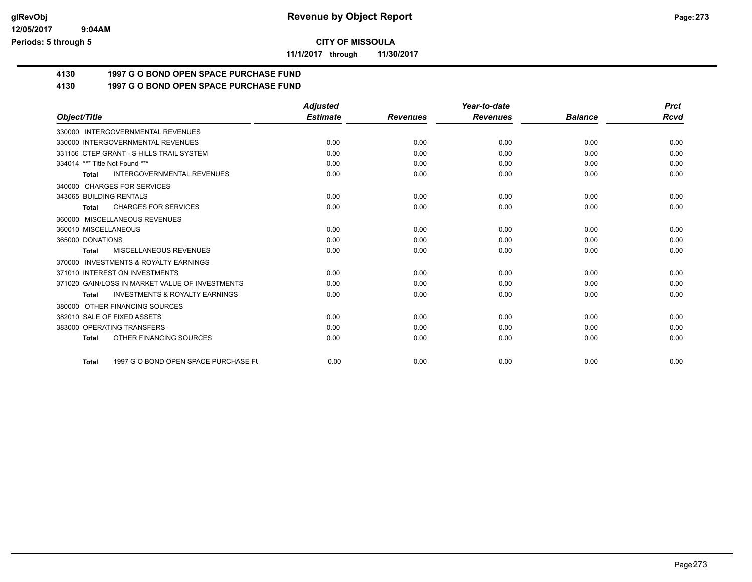**11/1/2017 through 11/30/2017**

## **4130 1997 G O BOND OPEN SPACE PURCHASE FUND**

## **4130 1997 G O BOND OPEN SPACE PURCHASE FUND**

|                                                           | <b>Adjusted</b> |                 | Year-to-date    |                | <b>Prct</b> |
|-----------------------------------------------------------|-----------------|-----------------|-----------------|----------------|-------------|
| Object/Title                                              | <b>Estimate</b> | <b>Revenues</b> | <b>Revenues</b> | <b>Balance</b> | Rcvd        |
| 330000 INTERGOVERNMENTAL REVENUES                         |                 |                 |                 |                |             |
| 330000 INTERGOVERNMENTAL REVENUES                         | 0.00            | 0.00            | 0.00            | 0.00           | 0.00        |
| 331156 CTEP GRANT - S HILLS TRAIL SYSTEM                  | 0.00            | 0.00            | 0.00            | 0.00           | 0.00        |
| 334014 *** Title Not Found ***                            | 0.00            | 0.00            | 0.00            | 0.00           | 0.00        |
| <b>INTERGOVERNMENTAL REVENUES</b><br><b>Total</b>         | 0.00            | 0.00            | 0.00            | 0.00           | 0.00        |
| 340000 CHARGES FOR SERVICES                               |                 |                 |                 |                |             |
| 343065 BUILDING RENTALS                                   | 0.00            | 0.00            | 0.00            | 0.00           | 0.00        |
| <b>CHARGES FOR SERVICES</b><br><b>Total</b>               | 0.00            | 0.00            | 0.00            | 0.00           | 0.00        |
| 360000 MISCELLANEOUS REVENUES                             |                 |                 |                 |                |             |
| 360010 MISCELLANEOUS                                      | 0.00            | 0.00            | 0.00            | 0.00           | 0.00        |
| 365000 DONATIONS                                          | 0.00            | 0.00            | 0.00            | 0.00           | 0.00        |
| MISCELLANEOUS REVENUES<br><b>Total</b>                    | 0.00            | 0.00            | 0.00            | 0.00           | 0.00        |
| <b>INVESTMENTS &amp; ROYALTY EARNINGS</b><br>370000       |                 |                 |                 |                |             |
| 371010 INTEREST ON INVESTMENTS                            | 0.00            | 0.00            | 0.00            | 0.00           | 0.00        |
| 371020 GAIN/LOSS IN MARKET VALUE OF INVESTMENTS           | 0.00            | 0.00            | 0.00            | 0.00           | 0.00        |
| <b>INVESTMENTS &amp; ROYALTY EARNINGS</b><br><b>Total</b> | 0.00            | 0.00            | 0.00            | 0.00           | 0.00        |
| OTHER FINANCING SOURCES<br>380000                         |                 |                 |                 |                |             |
| 382010 SALE OF FIXED ASSETS                               | 0.00            | 0.00            | 0.00            | 0.00           | 0.00        |
| 383000 OPERATING TRANSFERS                                | 0.00            | 0.00            | 0.00            | 0.00           | 0.00        |
| OTHER FINANCING SOURCES<br><b>Total</b>                   | 0.00            | 0.00            | 0.00            | 0.00           | 0.00        |
| 1997 G O BOND OPEN SPACE PURCHASE FU<br><b>Total</b>      | 0.00            | 0.00            | 0.00            | 0.00           | 0.00        |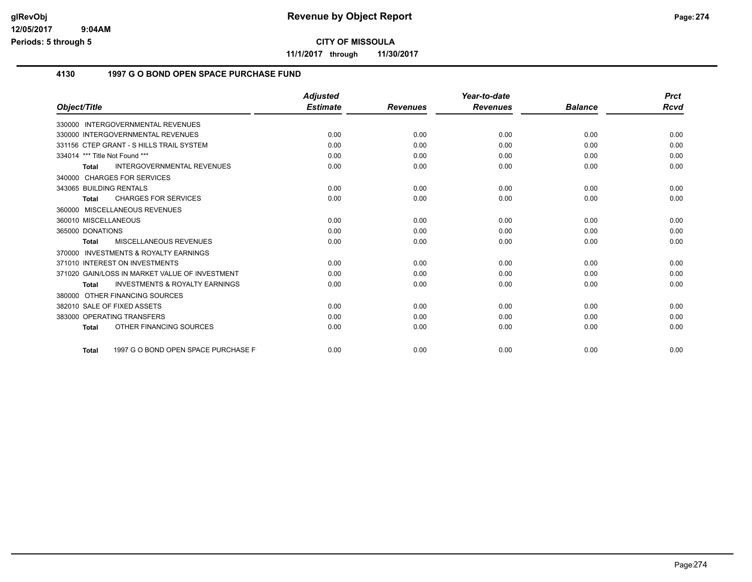**11/1/2017 through 11/30/2017**

#### **4130 1997 G O BOND OPEN SPACE PURCHASE FUND**

|                                                           | <b>Adjusted</b> |                 | Year-to-date    |                | <b>Prct</b> |
|-----------------------------------------------------------|-----------------|-----------------|-----------------|----------------|-------------|
| Object/Title                                              | <b>Estimate</b> | <b>Revenues</b> | <b>Revenues</b> | <b>Balance</b> | <b>Rcvd</b> |
| 330000 INTERGOVERNMENTAL REVENUES                         |                 |                 |                 |                |             |
| 330000 INTERGOVERNMENTAL REVENUES                         | 0.00            | 0.00            | 0.00            | 0.00           | 0.00        |
| 331156 CTEP GRANT - S HILLS TRAIL SYSTEM                  | 0.00            | 0.00            | 0.00            | 0.00           | 0.00        |
| 334014 *** Title Not Found ***                            | 0.00            | 0.00            | 0.00            | 0.00           | 0.00        |
| <b>INTERGOVERNMENTAL REVENUES</b><br><b>Total</b>         | 0.00            | 0.00            | 0.00            | 0.00           | 0.00        |
| 340000 CHARGES FOR SERVICES                               |                 |                 |                 |                |             |
| 343065 BUILDING RENTALS                                   | 0.00            | 0.00            | 0.00            | 0.00           | 0.00        |
| <b>CHARGES FOR SERVICES</b><br><b>Total</b>               | 0.00            | 0.00            | 0.00            | 0.00           | 0.00        |
| 360000 MISCELLANEOUS REVENUES                             |                 |                 |                 |                |             |
| 360010 MISCELLANEOUS                                      | 0.00            | 0.00            | 0.00            | 0.00           | 0.00        |
| 365000 DONATIONS                                          | 0.00            | 0.00            | 0.00            | 0.00           | 0.00        |
| MISCELLANEOUS REVENUES<br><b>Total</b>                    | 0.00            | 0.00            | 0.00            | 0.00           | 0.00        |
| <b>INVESTMENTS &amp; ROYALTY EARNINGS</b><br>370000       |                 |                 |                 |                |             |
| 371010 INTEREST ON INVESTMENTS                            | 0.00            | 0.00            | 0.00            | 0.00           | 0.00        |
| 371020 GAIN/LOSS IN MARKET VALUE OF INVESTMENT            | 0.00            | 0.00            | 0.00            | 0.00           | 0.00        |
| <b>INVESTMENTS &amp; ROYALTY EARNINGS</b><br><b>Total</b> | 0.00            | 0.00            | 0.00            | 0.00           | 0.00        |
| 380000 OTHER FINANCING SOURCES                            |                 |                 |                 |                |             |
| 382010 SALE OF FIXED ASSETS                               | 0.00            | 0.00            | 0.00            | 0.00           | 0.00        |
| 383000 OPERATING TRANSFERS                                | 0.00            | 0.00            | 0.00            | 0.00           | 0.00        |
| OTHER FINANCING SOURCES<br><b>Total</b>                   | 0.00            | 0.00            | 0.00            | 0.00           | 0.00        |
| 1997 G O BOND OPEN SPACE PURCHASE F<br><b>Total</b>       | 0.00            | 0.00            | 0.00            | 0.00           | 0.00        |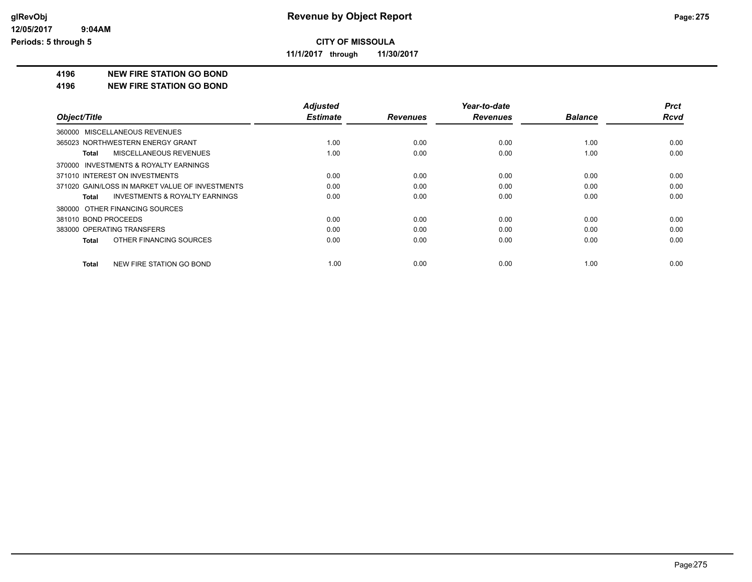**11/1/2017 through 11/30/2017**

#### **4196 NEW FIRE STATION GO BOND**

#### **4196 NEW FIRE STATION GO BOND**

| Object/Title                                       | <b>Adjusted</b><br><b>Estimate</b> | <b>Revenues</b> | Year-to-date<br><b>Revenues</b> | <b>Balance</b> | <b>Prct</b><br><b>Rcvd</b> |
|----------------------------------------------------|------------------------------------|-----------------|---------------------------------|----------------|----------------------------|
|                                                    |                                    |                 |                                 |                |                            |
| 360000 MISCELLANEOUS REVENUES                      |                                    |                 |                                 |                |                            |
| 365023 NORTHWESTERN ENERGY GRANT                   | 1.00                               | 0.00            | 0.00                            | 1.00           | 0.00                       |
| MISCELLANEOUS REVENUES<br>Total                    | 1.00                               | 0.00            | 0.00                            | 1.00           | 0.00                       |
| 370000 INVESTMENTS & ROYALTY EARNINGS              |                                    |                 |                                 |                |                            |
| 371010 INTEREST ON INVESTMENTS                     | 0.00                               | 0.00            | 0.00                            | 0.00           | 0.00                       |
| 371020 GAIN/LOSS IN MARKET VALUE OF INVESTMENTS    | 0.00                               | 0.00            | 0.00                            | 0.00           | 0.00                       |
| <b>INVESTMENTS &amp; ROYALTY EARNINGS</b><br>Total | 0.00                               | 0.00            | 0.00                            | 0.00           | 0.00                       |
| 380000 OTHER FINANCING SOURCES                     |                                    |                 |                                 |                |                            |
| 381010 BOND PROCEEDS                               | 0.00                               | 0.00            | 0.00                            | 0.00           | 0.00                       |
| 383000 OPERATING TRANSFERS                         | 0.00                               | 0.00            | 0.00                            | 0.00           | 0.00                       |
| OTHER FINANCING SOURCES<br>Total                   | 0.00                               | 0.00            | 0.00                            | 0.00           | 0.00                       |
| NEW FIRE STATION GO BOND<br>Total                  | 1.00                               | 0.00            | 0.00                            | 1.00           | 0.00                       |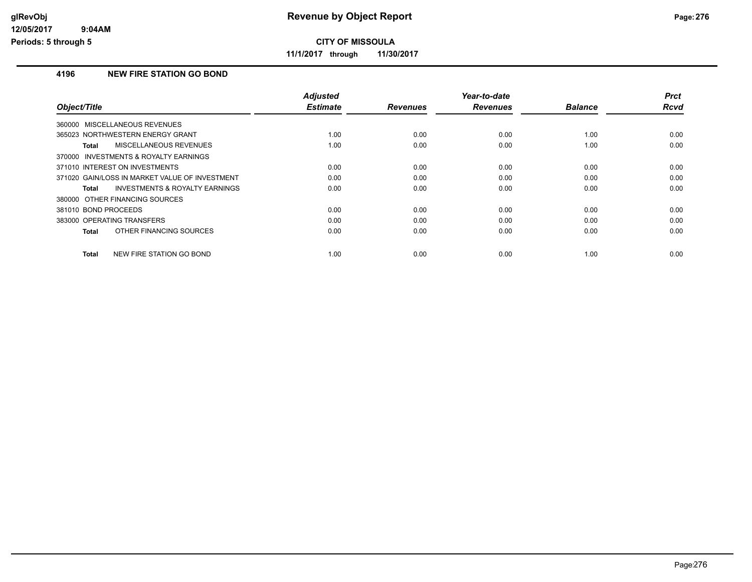**11/1/2017 through 11/30/2017**

#### **4196 NEW FIRE STATION GO BOND**

| Object/Title                                              | <b>Adjusted</b><br><b>Estimate</b> | <b>Revenues</b> | Year-to-date<br><b>Revenues</b> | <b>Balance</b> | <b>Prct</b><br>Rcvd |
|-----------------------------------------------------------|------------------------------------|-----------------|---------------------------------|----------------|---------------------|
| 360000 MISCELLANEOUS REVENUES                             |                                    |                 |                                 |                |                     |
| 365023 NORTHWESTERN ENERGY GRANT                          | 1.00                               | 0.00            | 0.00                            | 1.00           | 0.00                |
| MISCELLANEOUS REVENUES<br><b>Total</b>                    | 1.00                               | 0.00            | 0.00                            | 1.00           | 0.00                |
| 370000 INVESTMENTS & ROYALTY EARNINGS                     |                                    |                 |                                 |                |                     |
| 371010 INTEREST ON INVESTMENTS                            | 0.00                               | 0.00            | 0.00                            | 0.00           | 0.00                |
| 371020 GAIN/LOSS IN MARKET VALUE OF INVESTMENT            | 0.00                               | 0.00            | 0.00                            | 0.00           | 0.00                |
| <b>INVESTMENTS &amp; ROYALTY EARNINGS</b><br><b>Total</b> | 0.00                               | 0.00            | 0.00                            | 0.00           | 0.00                |
| 380000 OTHER FINANCING SOURCES                            |                                    |                 |                                 |                |                     |
| 381010 BOND PROCEEDS                                      | 0.00                               | 0.00            | 0.00                            | 0.00           | 0.00                |
| 383000 OPERATING TRANSFERS                                | 0.00                               | 0.00            | 0.00                            | 0.00           | 0.00                |
| OTHER FINANCING SOURCES<br>Total                          | 0.00                               | 0.00            | 0.00                            | 0.00           | 0.00                |
| NEW FIRE STATION GO BOND<br><b>Total</b>                  | 1.00                               | 0.00            | 0.00                            | 1.00           | 0.00                |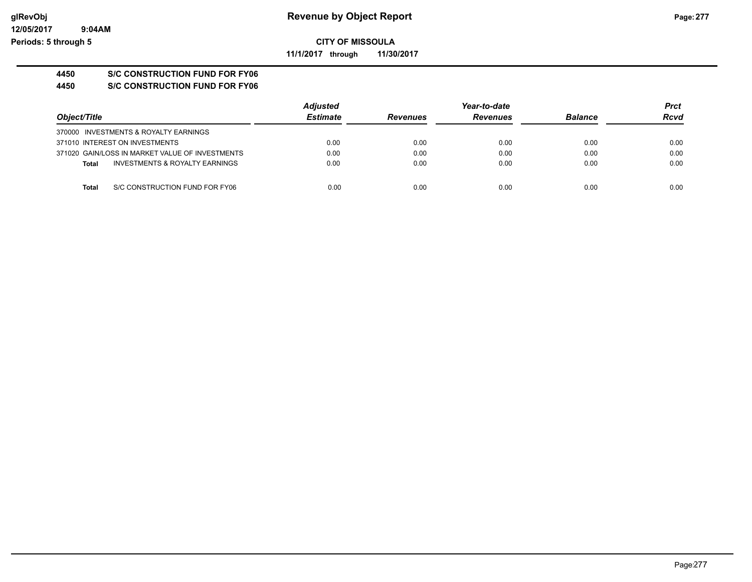**11/1/2017 through 11/30/2017**

#### **4450 S/C CONSTRUCTION FUND FOR FY06 4450 S/C CONSTRUCTION FUND FOR FY06**

|                                                    | <b>Adjusted</b> |                 | Year-to-date    |                | Prct |
|----------------------------------------------------|-----------------|-----------------|-----------------|----------------|------|
| Object/Title                                       | <b>Estimate</b> | <b>Revenues</b> | <b>Revenues</b> | <b>Balance</b> | Rcvd |
| 370000 INVESTMENTS & ROYALTY EARNINGS              |                 |                 |                 |                |      |
| 371010 INTEREST ON INVESTMENTS                     | 0.00            | 0.00            | 0.00            | 0.00           | 0.00 |
| 371020 GAIN/LOSS IN MARKET VALUE OF INVESTMENTS    | 0.00            | 0.00            | 0.00            | 0.00           | 0.00 |
| <b>INVESTMENTS &amp; ROYALTY EARNINGS</b><br>Total | 0.00            | 0.00            | 0.00            | 0.00           | 0.00 |
| S/C CONSTRUCTION FUND FOR FY06<br>Total            | 0.00            | 0.00            | 0.00            | 0.00           | 0.00 |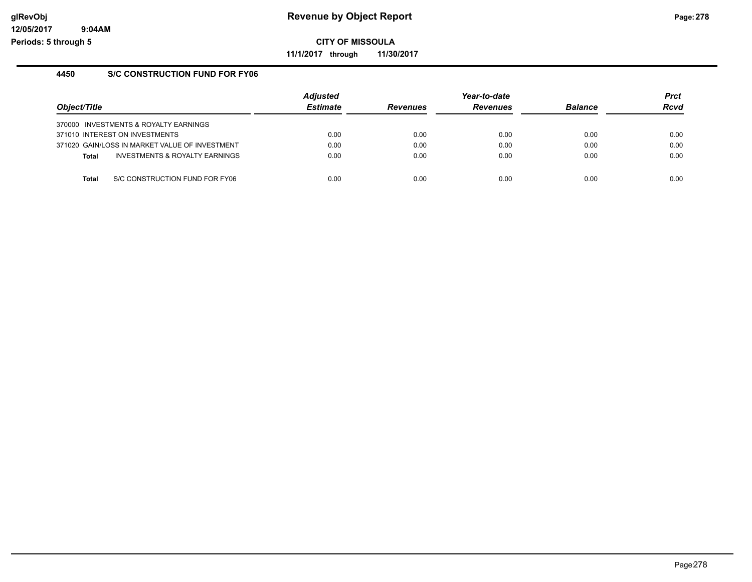**11/1/2017 through 11/30/2017**

#### **4450 S/C CONSTRUCTION FUND FOR FY06**

| Object/Title                   |                                                | <b>Adjusted</b><br><b>Estimate</b> | <b>Revenues</b> | Year-to-date<br><b>Revenues</b> | <b>Balance</b> | <b>Prct</b><br><b>Rcvd</b> |
|--------------------------------|------------------------------------------------|------------------------------------|-----------------|---------------------------------|----------------|----------------------------|
|                                | 370000 INVESTMENTS & ROYALTY EARNINGS          |                                    |                 |                                 |                |                            |
| 371010 INTEREST ON INVESTMENTS |                                                | 0.00                               | 0.00            | 0.00                            | 0.00           | 0.00                       |
|                                | 371020 GAIN/LOSS IN MARKET VALUE OF INVESTMENT | 0.00                               | 0.00            | 0.00                            | 0.00           | 0.00                       |
| Total                          | INVESTMENTS & ROYALTY EARNINGS                 | 0.00                               | 0.00            | 0.00                            | 0.00           | 0.00                       |
|                                |                                                |                                    |                 |                                 |                |                            |
| Total                          | S/C CONSTRUCTION FUND FOR FY06                 | 0.00                               | 0.00            | 0.00                            | 0.00           | 0.00                       |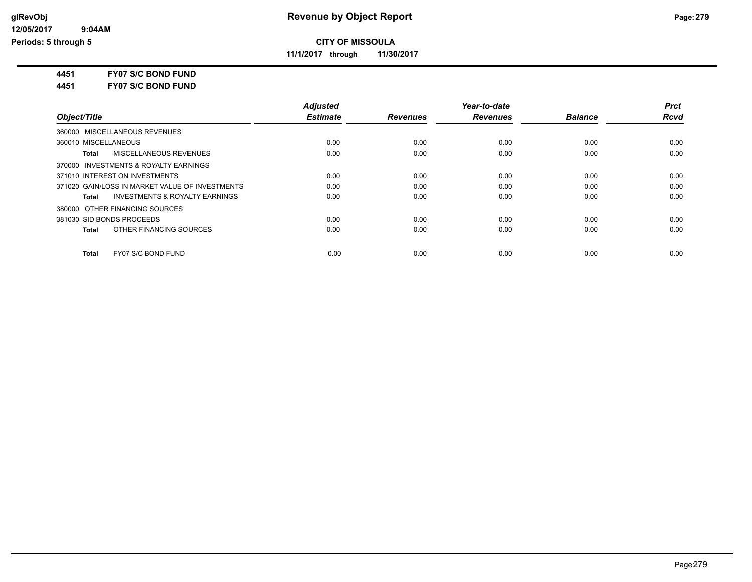**11/1/2017 through 11/30/2017**

**4451 FY07 S/C BOND FUND**

**4451 FY07 S/C BOND FUND**

|                                                    | <b>Adjusted</b> |                 | Year-to-date    |                | <b>Prct</b> |
|----------------------------------------------------|-----------------|-----------------|-----------------|----------------|-------------|
| Object/Title                                       | <b>Estimate</b> | <b>Revenues</b> | <b>Revenues</b> | <b>Balance</b> | <b>Rcvd</b> |
| 360000 MISCELLANEOUS REVENUES                      |                 |                 |                 |                |             |
| 360010 MISCELLANEOUS                               | 0.00            | 0.00            | 0.00            | 0.00           | 0.00        |
| MISCELLANEOUS REVENUES<br>Total                    | 0.00            | 0.00            | 0.00            | 0.00           | 0.00        |
| 370000 INVESTMENTS & ROYALTY EARNINGS              |                 |                 |                 |                |             |
| 371010 INTEREST ON INVESTMENTS                     | 0.00            | 0.00            | 0.00            | 0.00           | 0.00        |
| 371020 GAIN/LOSS IN MARKET VALUE OF INVESTMENTS    | 0.00            | 0.00            | 0.00            | 0.00           | 0.00        |
| <b>INVESTMENTS &amp; ROYALTY EARNINGS</b><br>Total | 0.00            | 0.00            | 0.00            | 0.00           | 0.00        |
| 380000 OTHER FINANCING SOURCES                     |                 |                 |                 |                |             |
| 381030 SID BONDS PROCEEDS                          | 0.00            | 0.00            | 0.00            | 0.00           | 0.00        |
| OTHER FINANCING SOURCES<br>Total                   | 0.00            | 0.00            | 0.00            | 0.00           | 0.00        |
| FY07 S/C BOND FUND<br><b>Total</b>                 | 0.00            | 0.00            | 0.00            | 0.00           | 0.00        |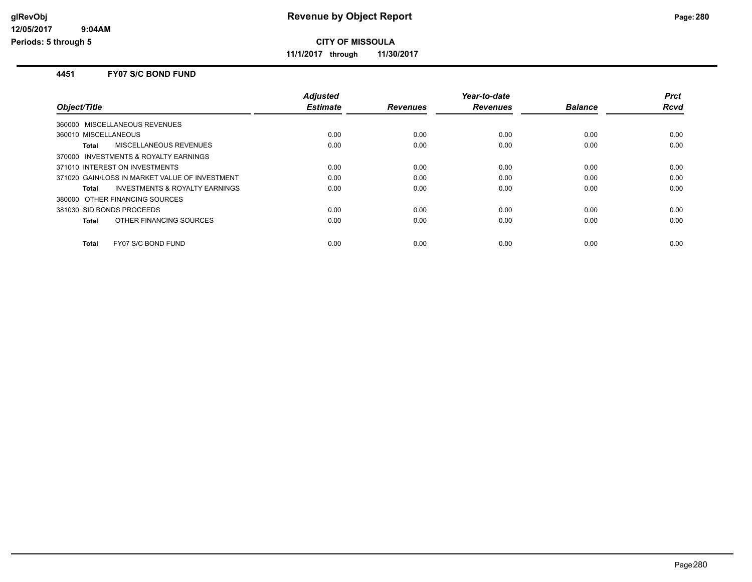**11/1/2017 through 11/30/2017**

#### **4451 FY07 S/C BOND FUND**

| Object/Title                                       | <b>Adjusted</b><br><b>Estimate</b> | <b>Revenues</b> | Year-to-date<br><b>Revenues</b> | <b>Balance</b> | <b>Prct</b><br><b>Rcvd</b> |
|----------------------------------------------------|------------------------------------|-----------------|---------------------------------|----------------|----------------------------|
|                                                    |                                    |                 |                                 |                |                            |
| 360000 MISCELLANEOUS REVENUES                      |                                    |                 |                                 |                |                            |
| 360010 MISCELLANEOUS                               | 0.00                               | 0.00            | 0.00                            | 0.00           | 0.00                       |
| MISCELLANEOUS REVENUES<br>Total                    | 0.00                               | 0.00            | 0.00                            | 0.00           | 0.00                       |
| 370000 INVESTMENTS & ROYALTY EARNINGS              |                                    |                 |                                 |                |                            |
| 371010 INTEREST ON INVESTMENTS                     | 0.00                               | 0.00            | 0.00                            | 0.00           | 0.00                       |
| 371020 GAIN/LOSS IN MARKET VALUE OF INVESTMENT     | 0.00                               | 0.00            | 0.00                            | 0.00           | 0.00                       |
| <b>INVESTMENTS &amp; ROYALTY EARNINGS</b><br>Total | 0.00                               | 0.00            | 0.00                            | 0.00           | 0.00                       |
| 380000 OTHER FINANCING SOURCES                     |                                    |                 |                                 |                |                            |
| 381030 SID BONDS PROCEEDS                          | 0.00                               | 0.00            | 0.00                            | 0.00           | 0.00                       |
| OTHER FINANCING SOURCES<br>Total                   | 0.00                               | 0.00            | 0.00                            | 0.00           | 0.00                       |
| <b>FY07 S/C BOND FUND</b><br><b>Total</b>          | 0.00                               | 0.00            | 0.00                            | 0.00           | 0.00                       |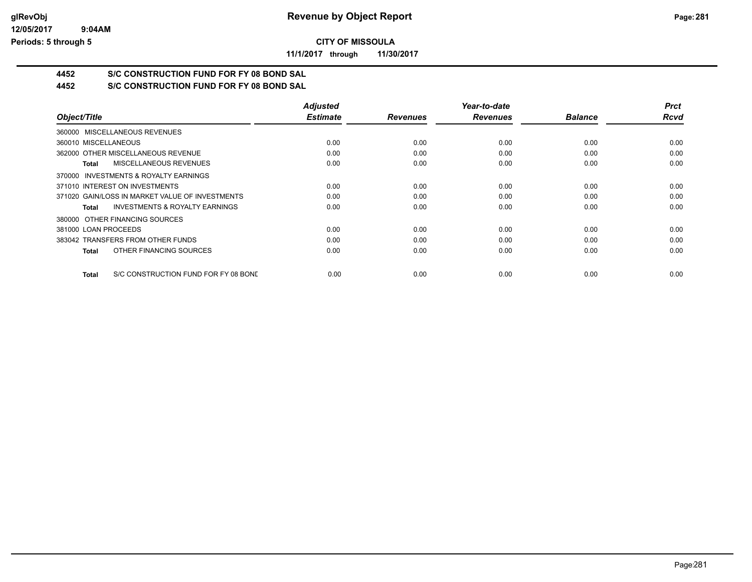**11/1/2017 through 11/30/2017**

## **4452 S/C CONSTRUCTION FUND FOR FY 08 BOND SAL**

## **4452 S/C CONSTRUCTION FUND FOR FY 08 BOND SAL**

|                                                      | <b>Adjusted</b> |                 | Year-to-date    |                | <b>Prct</b> |
|------------------------------------------------------|-----------------|-----------------|-----------------|----------------|-------------|
| Object/Title                                         | <b>Estimate</b> | <b>Revenues</b> | <b>Revenues</b> | <b>Balance</b> | <b>Rcvd</b> |
| 360000 MISCELLANEOUS REVENUES                        |                 |                 |                 |                |             |
| 360010 MISCELLANEOUS                                 | 0.00            | 0.00            | 0.00            | 0.00           | 0.00        |
| 362000 OTHER MISCELLANEOUS REVENUE                   | 0.00            | 0.00            | 0.00            | 0.00           | 0.00        |
| MISCELLANEOUS REVENUES<br><b>Total</b>               | 0.00            | 0.00            | 0.00            | 0.00           | 0.00        |
| <b>INVESTMENTS &amp; ROYALTY EARNINGS</b><br>370000  |                 |                 |                 |                |             |
| 371010 INTEREST ON INVESTMENTS                       | 0.00            | 0.00            | 0.00            | 0.00           | 0.00        |
| 371020 GAIN/LOSS IN MARKET VALUE OF INVESTMENTS      | 0.00            | 0.00            | 0.00            | 0.00           | 0.00        |
| <b>INVESTMENTS &amp; ROYALTY EARNINGS</b><br>Total   | 0.00            | 0.00            | 0.00            | 0.00           | 0.00        |
| 380000 OTHER FINANCING SOURCES                       |                 |                 |                 |                |             |
| 381000 LOAN PROCEEDS                                 | 0.00            | 0.00            | 0.00            | 0.00           | 0.00        |
| 383042 TRANSFERS FROM OTHER FUNDS                    | 0.00            | 0.00            | 0.00            | 0.00           | 0.00        |
| OTHER FINANCING SOURCES<br><b>Total</b>              | 0.00            | 0.00            | 0.00            | 0.00           | 0.00        |
| S/C CONSTRUCTION FUND FOR FY 08 BONE<br><b>Total</b> | 0.00            | 0.00            | 0.00            | 0.00           | 0.00        |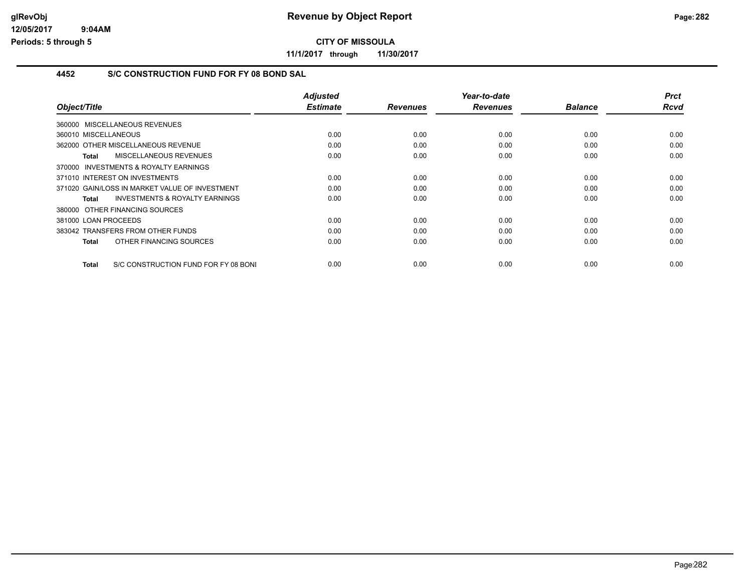**11/1/2017 through 11/30/2017**

#### **4452 S/C CONSTRUCTION FUND FOR FY 08 BOND SAL**

| Object/Title                                         | <b>Adjusted</b><br><b>Estimate</b> | <b>Revenues</b> | Year-to-date<br><b>Revenues</b> | <b>Balance</b> | <b>Prct</b><br><b>Rcvd</b> |
|------------------------------------------------------|------------------------------------|-----------------|---------------------------------|----------------|----------------------------|
|                                                      |                                    |                 |                                 |                |                            |
| 360000 MISCELLANEOUS REVENUES                        |                                    |                 |                                 |                |                            |
| 360010 MISCELLANEOUS                                 | 0.00                               | 0.00            | 0.00                            | 0.00           | 0.00                       |
| 362000 OTHER MISCELLANEOUS REVENUE                   | 0.00                               | 0.00            | 0.00                            | 0.00           | 0.00                       |
| MISCELLANEOUS REVENUES<br>Total                      | 0.00                               | 0.00            | 0.00                            | 0.00           | 0.00                       |
| 370000 INVESTMENTS & ROYALTY EARNINGS                |                                    |                 |                                 |                |                            |
| 371010 INTEREST ON INVESTMENTS                       | 0.00                               | 0.00            | 0.00                            | 0.00           | 0.00                       |
| 371020 GAIN/LOSS IN MARKET VALUE OF INVESTMENT       | 0.00                               | 0.00            | 0.00                            | 0.00           | 0.00                       |
| <b>INVESTMENTS &amp; ROYALTY EARNINGS</b><br>Total   | 0.00                               | 0.00            | 0.00                            | 0.00           | 0.00                       |
| 380000 OTHER FINANCING SOURCES                       |                                    |                 |                                 |                |                            |
| 381000 LOAN PROCEEDS                                 | 0.00                               | 0.00            | 0.00                            | 0.00           | 0.00                       |
| 383042 TRANSFERS FROM OTHER FUNDS                    | 0.00                               | 0.00            | 0.00                            | 0.00           | 0.00                       |
| OTHER FINANCING SOURCES<br>Total                     | 0.00                               | 0.00            | 0.00                            | 0.00           | 0.00                       |
|                                                      |                                    |                 |                                 |                |                            |
| S/C CONSTRUCTION FUND FOR FY 08 BONI<br><b>Total</b> | 0.00                               | 0.00            | 0.00                            | 0.00           | 0.00                       |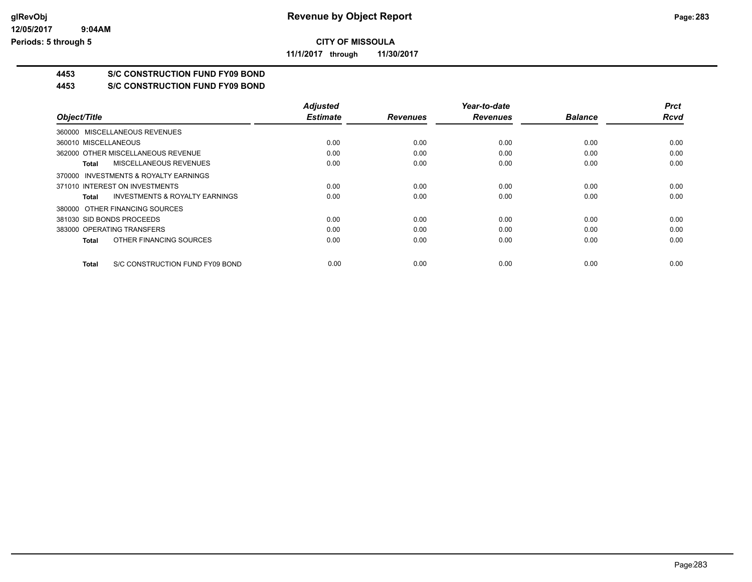**11/1/2017 through 11/30/2017**

## **4453 S/C CONSTRUCTION FUND FY09 BOND**

### **4453 S/C CONSTRUCTION FUND FY09 BOND**

|                                                 | <b>Adjusted</b> |                 | Year-to-date    |                | <b>Prct</b> |
|-------------------------------------------------|-----------------|-----------------|-----------------|----------------|-------------|
| Object/Title                                    | <b>Estimate</b> | <b>Revenues</b> | <b>Revenues</b> | <b>Balance</b> | <b>Rcvd</b> |
| 360000 MISCELLANEOUS REVENUES                   |                 |                 |                 |                |             |
| 360010 MISCELLANEOUS                            | 0.00            | 0.00            | 0.00            | 0.00           | 0.00        |
| 362000 OTHER MISCELLANEOUS REVENUE              | 0.00            | 0.00            | 0.00            | 0.00           | 0.00        |
| MISCELLANEOUS REVENUES<br>Total                 | 0.00            | 0.00            | 0.00            | 0.00           | 0.00        |
| 370000 INVESTMENTS & ROYALTY EARNINGS           |                 |                 |                 |                |             |
| 371010 INTEREST ON INVESTMENTS                  | 0.00            | 0.00            | 0.00            | 0.00           | 0.00        |
| INVESTMENTS & ROYALTY EARNINGS<br>Total         | 0.00            | 0.00            | 0.00            | 0.00           | 0.00        |
| 380000 OTHER FINANCING SOURCES                  |                 |                 |                 |                |             |
| 381030 SID BONDS PROCEEDS                       | 0.00            | 0.00            | 0.00            | 0.00           | 0.00        |
| 383000 OPERATING TRANSFERS                      | 0.00            | 0.00            | 0.00            | 0.00           | 0.00        |
| OTHER FINANCING SOURCES<br><b>Total</b>         | 0.00            | 0.00            | 0.00            | 0.00           | 0.00        |
| S/C CONSTRUCTION FUND FY09 BOND<br><b>Total</b> | 0.00            | 0.00            | 0.00            | 0.00           | 0.00        |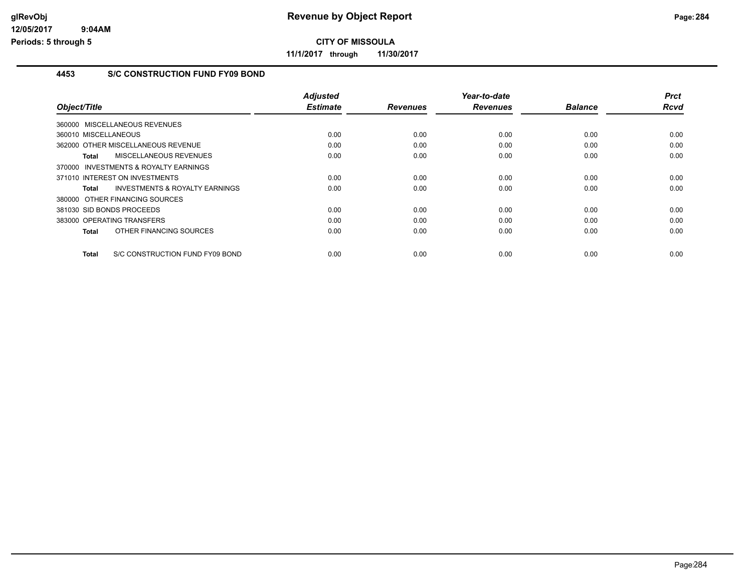**11/1/2017 through 11/30/2017**

#### **4453 S/C CONSTRUCTION FUND FY09 BOND**

|                                                    | <b>Adjusted</b> |                 | Year-to-date    |                | <b>Prct</b> |
|----------------------------------------------------|-----------------|-----------------|-----------------|----------------|-------------|
| Object/Title                                       | <b>Estimate</b> | <b>Revenues</b> | <b>Revenues</b> | <b>Balance</b> | Rcvd        |
| 360000 MISCELLANEOUS REVENUES                      |                 |                 |                 |                |             |
| 360010 MISCELLANEOUS                               | 0.00            | 0.00            | 0.00            | 0.00           | 0.00        |
| 362000 OTHER MISCELLANEOUS REVENUE                 | 0.00            | 0.00            | 0.00            | 0.00           | 0.00        |
| <b>MISCELLANEOUS REVENUES</b><br>Total             | 0.00            | 0.00            | 0.00            | 0.00           | 0.00        |
| 370000 INVESTMENTS & ROYALTY EARNINGS              |                 |                 |                 |                |             |
| 371010 INTEREST ON INVESTMENTS                     | 0.00            | 0.00            | 0.00            | 0.00           | 0.00        |
| <b>INVESTMENTS &amp; ROYALTY EARNINGS</b><br>Total | 0.00            | 0.00            | 0.00            | 0.00           | 0.00        |
| 380000 OTHER FINANCING SOURCES                     |                 |                 |                 |                |             |
| 381030 SID BONDS PROCEEDS                          | 0.00            | 0.00            | 0.00            | 0.00           | 0.00        |
| 383000 OPERATING TRANSFERS                         | 0.00            | 0.00            | 0.00            | 0.00           | 0.00        |
| OTHER FINANCING SOURCES<br>Total                   | 0.00            | 0.00            | 0.00            | 0.00           | 0.00        |
| S/C CONSTRUCTION FUND FY09 BOND<br>Total           | 0.00            | 0.00            | 0.00            | 0.00           | 0.00        |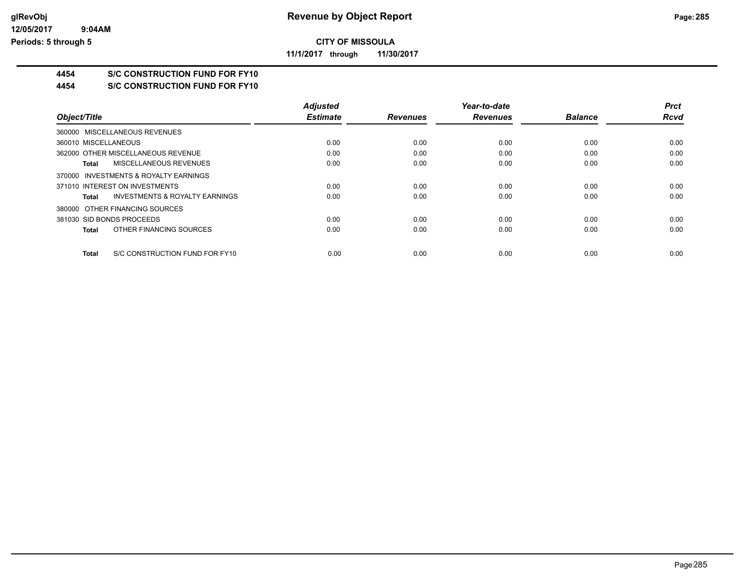**11/1/2017 through 11/30/2017**

## **4454 S/C CONSTRUCTION FUND FOR FY10**

#### **4454 S/C CONSTRUCTION FUND FOR FY10**

|                                                    | <b>Adjusted</b> |                 | Year-to-date    |                | <b>Prct</b> |
|----------------------------------------------------|-----------------|-----------------|-----------------|----------------|-------------|
| Object/Title                                       | <b>Estimate</b> | <b>Revenues</b> | <b>Revenues</b> | <b>Balance</b> | <b>Rcvd</b> |
| 360000 MISCELLANEOUS REVENUES                      |                 |                 |                 |                |             |
| 360010 MISCELLANEOUS                               | 0.00            | 0.00            | 0.00            | 0.00           | 0.00        |
| 362000 OTHER MISCELLANEOUS REVENUE                 | 0.00            | 0.00            | 0.00            | 0.00           | 0.00        |
| MISCELLANEOUS REVENUES<br>Total                    | 0.00            | 0.00            | 0.00            | 0.00           | 0.00        |
| 370000 INVESTMENTS & ROYALTY EARNINGS              |                 |                 |                 |                |             |
| 371010 INTEREST ON INVESTMENTS                     | 0.00            | 0.00            | 0.00            | 0.00           | 0.00        |
| <b>INVESTMENTS &amp; ROYALTY EARNINGS</b><br>Total | 0.00            | 0.00            | 0.00            | 0.00           | 0.00        |
| 380000 OTHER FINANCING SOURCES                     |                 |                 |                 |                |             |
| 381030 SID BONDS PROCEEDS                          | 0.00            | 0.00            | 0.00            | 0.00           | 0.00        |
| OTHER FINANCING SOURCES<br>Total                   | 0.00            | 0.00            | 0.00            | 0.00           | 0.00        |
| S/C CONSTRUCTION FUND FOR FY10<br>Total            | 0.00            | 0.00            | 0.00            | 0.00           | 0.00        |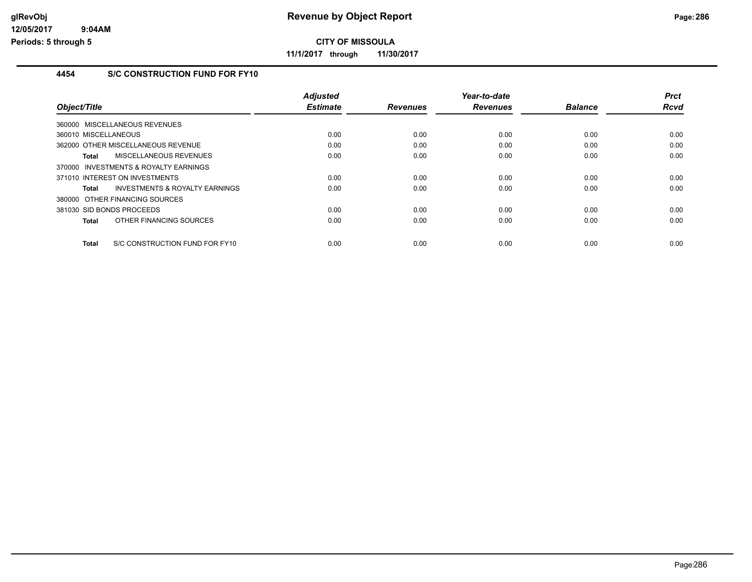**11/1/2017 through 11/30/2017**

#### **4454 S/C CONSTRUCTION FUND FOR FY10**

|                                                | <b>Adjusted</b> |                 | Year-to-date    |                | <b>Prct</b> |
|------------------------------------------------|-----------------|-----------------|-----------------|----------------|-------------|
| Object/Title                                   | <b>Estimate</b> | <b>Revenues</b> | <b>Revenues</b> | <b>Balance</b> | Rcvd        |
| 360000 MISCELLANEOUS REVENUES                  |                 |                 |                 |                |             |
| 360010 MISCELLANEOUS                           | 0.00            | 0.00            | 0.00            | 0.00           | 0.00        |
| 362000 OTHER MISCELLANEOUS REVENUE             | 0.00            | 0.00            | 0.00            | 0.00           | 0.00        |
| MISCELLANEOUS REVENUES<br>Total                | 0.00            | 0.00            | 0.00            | 0.00           | 0.00        |
| 370000 INVESTMENTS & ROYALTY EARNINGS          |                 |                 |                 |                |             |
| 371010 INTEREST ON INVESTMENTS                 | 0.00            | 0.00            | 0.00            | 0.00           | 0.00        |
| INVESTMENTS & ROYALTY EARNINGS<br>Total        | 0.00            | 0.00            | 0.00            | 0.00           | 0.00        |
| 380000 OTHER FINANCING SOURCES                 |                 |                 |                 |                |             |
| 381030 SID BONDS PROCEEDS                      | 0.00            | 0.00            | 0.00            | 0.00           | 0.00        |
| OTHER FINANCING SOURCES<br><b>Total</b>        | 0.00            | 0.00            | 0.00            | 0.00           | 0.00        |
| S/C CONSTRUCTION FUND FOR FY10<br><b>Total</b> | 0.00            | 0.00            | 0.00            | 0.00           | 0.00        |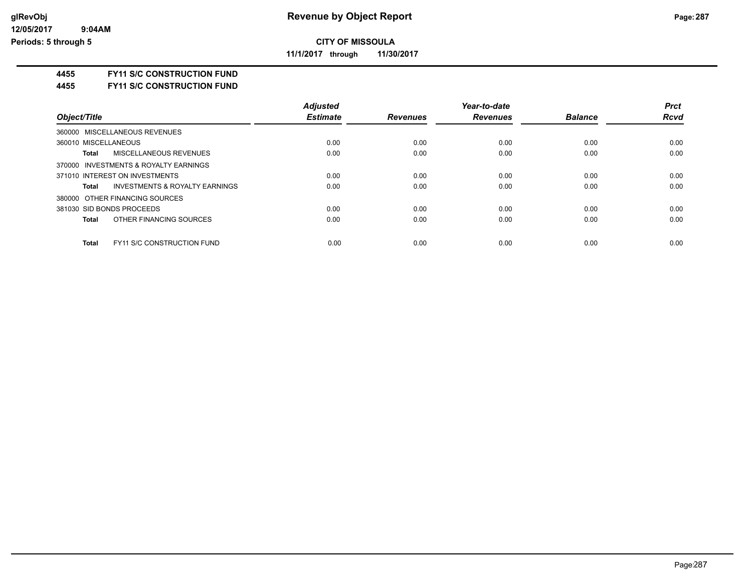**11/1/2017 through 11/30/2017**

### **4455 FY11 S/C CONSTRUCTION FUND**

#### **4455 FY11 S/C CONSTRUCTION FUND**

|                                                    | <b>Adjusted</b> |                 | Year-to-date    |                | <b>Prct</b> |
|----------------------------------------------------|-----------------|-----------------|-----------------|----------------|-------------|
| Object/Title                                       | <b>Estimate</b> | <b>Revenues</b> | <b>Revenues</b> | <b>Balance</b> | <b>Rcvd</b> |
| 360000 MISCELLANEOUS REVENUES                      |                 |                 |                 |                |             |
| 360010 MISCELLANEOUS                               | 0.00            | 0.00            | 0.00            | 0.00           | 0.00        |
| MISCELLANEOUS REVENUES<br>Total                    | 0.00            | 0.00            | 0.00            | 0.00           | 0.00        |
| 370000 INVESTMENTS & ROYALTY EARNINGS              |                 |                 |                 |                |             |
| 371010 INTEREST ON INVESTMENTS                     | 0.00            | 0.00            | 0.00            | 0.00           | 0.00        |
| <b>INVESTMENTS &amp; ROYALTY EARNINGS</b><br>Total | 0.00            | 0.00            | 0.00            | 0.00           | 0.00        |
| 380000 OTHER FINANCING SOURCES                     |                 |                 |                 |                |             |
| 381030 SID BONDS PROCEEDS                          | 0.00            | 0.00            | 0.00            | 0.00           | 0.00        |
| OTHER FINANCING SOURCES<br><b>Total</b>            | 0.00            | 0.00            | 0.00            | 0.00           | 0.00        |
| <b>FY11 S/C CONSTRUCTION FUND</b><br><b>Total</b>  | 0.00            | 0.00            | 0.00            | 0.00           | 0.00        |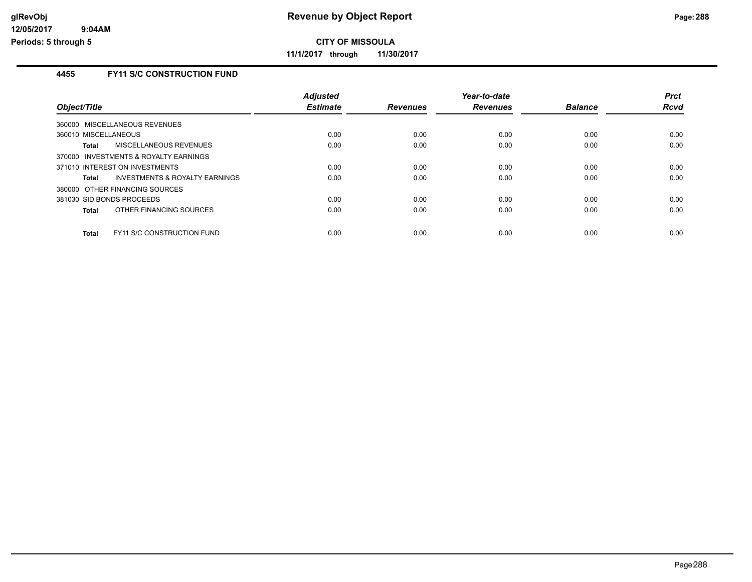**11/1/2017 through 11/30/2017**

### **4455 FY11 S/C CONSTRUCTION FUND**

| Object/Title                               | <b>Adjusted</b><br><b>Estimate</b> | <b>Revenues</b> | Year-to-date<br><b>Revenues</b> | <b>Balance</b> | <b>Prct</b><br><b>Rcvd</b> |
|--------------------------------------------|------------------------------------|-----------------|---------------------------------|----------------|----------------------------|
|                                            |                                    |                 |                                 |                |                            |
| 360000 MISCELLANEOUS REVENUES              |                                    |                 |                                 |                |                            |
| 360010 MISCELLANEOUS                       | 0.00                               | 0.00            | 0.00                            | 0.00           | 0.00                       |
| MISCELLANEOUS REVENUES<br>Total            | 0.00                               | 0.00            | 0.00                            | 0.00           | 0.00                       |
| 370000 INVESTMENTS & ROYALTY EARNINGS      |                                    |                 |                                 |                |                            |
| 371010 INTEREST ON INVESTMENTS             | 0.00                               | 0.00            | 0.00                            | 0.00           | 0.00                       |
| INVESTMENTS & ROYALTY EARNINGS<br>Total    | 0.00                               | 0.00            | 0.00                            | 0.00           | 0.00                       |
| 380000 OTHER FINANCING SOURCES             |                                    |                 |                                 |                |                            |
| 381030 SID BONDS PROCEEDS                  | 0.00                               | 0.00            | 0.00                            | 0.00           | 0.00                       |
| OTHER FINANCING SOURCES<br>Total           | 0.00                               | 0.00            | 0.00                            | 0.00           | 0.00                       |
| <b>FY11 S/C CONSTRUCTION FUND</b><br>Total | 0.00                               | 0.00            | 0.00                            | 0.00           | 0.00                       |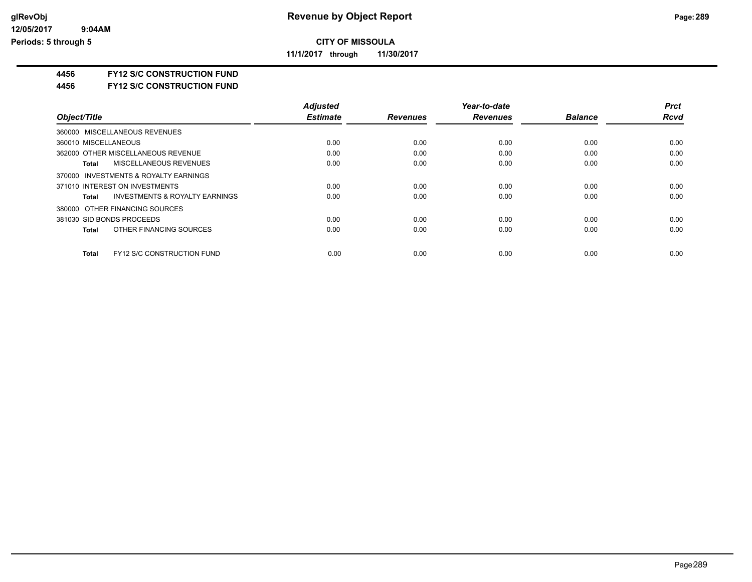**11/1/2017 through 11/30/2017**

## **4456 FY12 S/C CONSTRUCTION FUND**

#### **4456 FY12 S/C CONSTRUCTION FUND**

|                                                    | <b>Adjusted</b> |                 | Year-to-date    |                | <b>Prct</b> |
|----------------------------------------------------|-----------------|-----------------|-----------------|----------------|-------------|
| Object/Title                                       | <b>Estimate</b> | <b>Revenues</b> | <b>Revenues</b> | <b>Balance</b> | <b>Rcvd</b> |
| 360000 MISCELLANEOUS REVENUES                      |                 |                 |                 |                |             |
| 360010 MISCELLANEOUS                               | 0.00            | 0.00            | 0.00            | 0.00           | 0.00        |
| 362000 OTHER MISCELLANEOUS REVENUE                 | 0.00            | 0.00            | 0.00            | 0.00           | 0.00        |
| MISCELLANEOUS REVENUES<br>Total                    | 0.00            | 0.00            | 0.00            | 0.00           | 0.00        |
| 370000 INVESTMENTS & ROYALTY EARNINGS              |                 |                 |                 |                |             |
| 371010 INTEREST ON INVESTMENTS                     | 0.00            | 0.00            | 0.00            | 0.00           | 0.00        |
| <b>INVESTMENTS &amp; ROYALTY EARNINGS</b><br>Total | 0.00            | 0.00            | 0.00            | 0.00           | 0.00        |
| 380000 OTHER FINANCING SOURCES                     |                 |                 |                 |                |             |
| 381030 SID BONDS PROCEEDS                          | 0.00            | 0.00            | 0.00            | 0.00           | 0.00        |
| OTHER FINANCING SOURCES<br>Total                   | 0.00            | 0.00            | 0.00            | 0.00           | 0.00        |
| FY12 S/C CONSTRUCTION FUND<br><b>Total</b>         | 0.00            | 0.00            | 0.00            | 0.00           | 0.00        |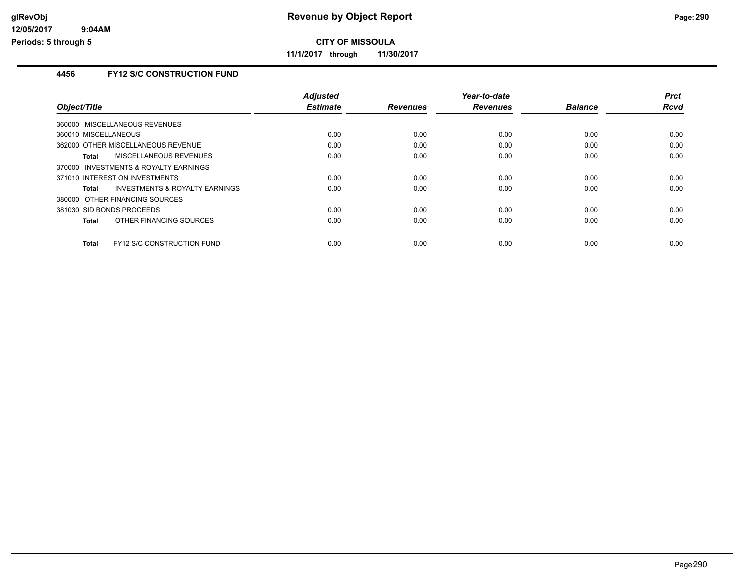**11/1/2017 through 11/30/2017**

### **4456 FY12 S/C CONSTRUCTION FUND**

|                                                    | <b>Adjusted</b> |                 | Year-to-date    |                | <b>Prct</b> |
|----------------------------------------------------|-----------------|-----------------|-----------------|----------------|-------------|
| Object/Title                                       | <b>Estimate</b> | <b>Revenues</b> | <b>Revenues</b> | <b>Balance</b> | <b>Rcvd</b> |
| 360000 MISCELLANEOUS REVENUES                      |                 |                 |                 |                |             |
| 360010 MISCELLANEOUS                               | 0.00            | 0.00            | 0.00            | 0.00           | 0.00        |
| 362000 OTHER MISCELLANEOUS REVENUE                 | 0.00            | 0.00            | 0.00            | 0.00           | 0.00        |
| <b>MISCELLANEOUS REVENUES</b><br>Total             | 0.00            | 0.00            | 0.00            | 0.00           | 0.00        |
| 370000 INVESTMENTS & ROYALTY EARNINGS              |                 |                 |                 |                |             |
| 371010 INTEREST ON INVESTMENTS                     | 0.00            | 0.00            | 0.00            | 0.00           | 0.00        |
| <b>INVESTMENTS &amp; ROYALTY EARNINGS</b><br>Total | 0.00            | 0.00            | 0.00            | 0.00           | 0.00        |
| 380000 OTHER FINANCING SOURCES                     |                 |                 |                 |                |             |
| 381030 SID BONDS PROCEEDS                          | 0.00            | 0.00            | 0.00            | 0.00           | 0.00        |
| OTHER FINANCING SOURCES<br>Total                   | 0.00            | 0.00            | 0.00            | 0.00           | 0.00        |
| FY12 S/C CONSTRUCTION FUND<br><b>Total</b>         | 0.00            | 0.00            | 0.00            | 0.00           | 0.00        |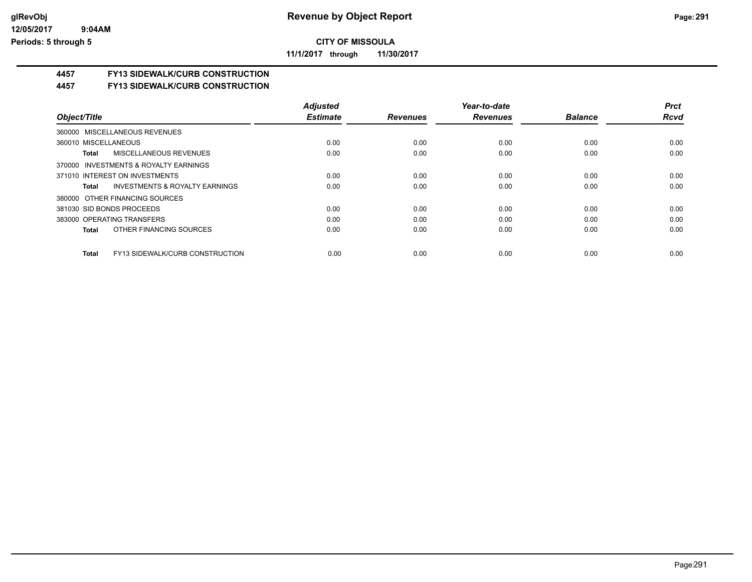**11/1/2017 through 11/30/2017**

# **4457 FY13 SIDEWALK/CURB CONSTRUCTION**

### **4457 FY13 SIDEWALK/CURB CONSTRUCTION**

|                                                    | <b>Adjusted</b> |                 | Year-to-date    |                | <b>Prct</b> |
|----------------------------------------------------|-----------------|-----------------|-----------------|----------------|-------------|
| Object/Title                                       | <b>Estimate</b> | <b>Revenues</b> | <b>Revenues</b> | <b>Balance</b> | <b>Rcvd</b> |
| 360000 MISCELLANEOUS REVENUES                      |                 |                 |                 |                |             |
| 360010 MISCELLANEOUS                               | 0.00            | 0.00            | 0.00            | 0.00           | 0.00        |
| <b>MISCELLANEOUS REVENUES</b><br>Total             | 0.00            | 0.00            | 0.00            | 0.00           | 0.00        |
| 370000 INVESTMENTS & ROYALTY EARNINGS              |                 |                 |                 |                |             |
| 371010 INTEREST ON INVESTMENTS                     | 0.00            | 0.00            | 0.00            | 0.00           | 0.00        |
| <b>INVESTMENTS &amp; ROYALTY EARNINGS</b><br>Total | 0.00            | 0.00            | 0.00            | 0.00           | 0.00        |
| 380000 OTHER FINANCING SOURCES                     |                 |                 |                 |                |             |
| 381030 SID BONDS PROCEEDS                          | 0.00            | 0.00            | 0.00            | 0.00           | 0.00        |
| 383000 OPERATING TRANSFERS                         | 0.00            | 0.00            | 0.00            | 0.00           | 0.00        |
| OTHER FINANCING SOURCES<br>Total                   | 0.00            | 0.00            | 0.00            | 0.00           | 0.00        |
| FY13 SIDEWALK/CURB CONSTRUCTION<br>Total           | 0.00            | 0.00            | 0.00            | 0.00           | 0.00        |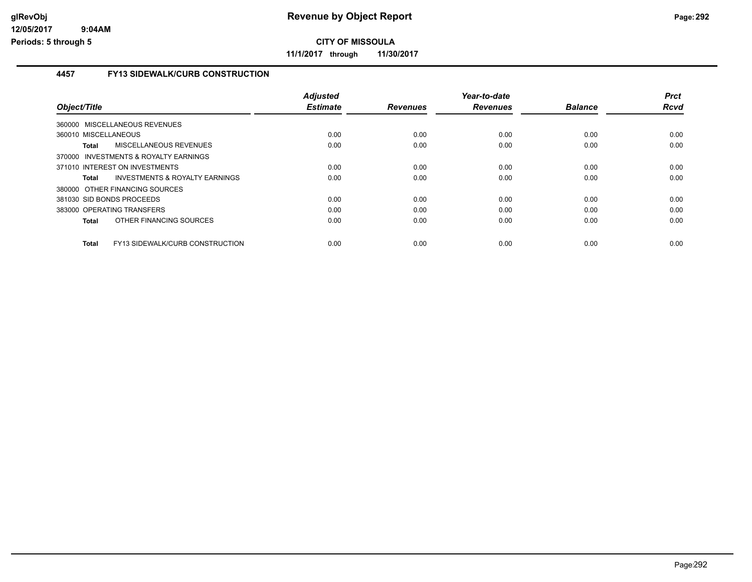**11/1/2017 through 11/30/2017**

### **4457 FY13 SIDEWALK/CURB CONSTRUCTION**

|                                                 | <b>Adjusted</b> |                 | Year-to-date    |                | <b>Prct</b> |
|-------------------------------------------------|-----------------|-----------------|-----------------|----------------|-------------|
| Object/Title                                    | <b>Estimate</b> | <b>Revenues</b> | <b>Revenues</b> | <b>Balance</b> | <b>Rcvd</b> |
| 360000 MISCELLANEOUS REVENUES                   |                 |                 |                 |                |             |
| 360010 MISCELLANEOUS                            | 0.00            | 0.00            | 0.00            | 0.00           | 0.00        |
| MISCELLANEOUS REVENUES<br><b>Total</b>          | 0.00            | 0.00            | 0.00            | 0.00           | 0.00        |
| 370000 INVESTMENTS & ROYALTY EARNINGS           |                 |                 |                 |                |             |
| 371010 INTEREST ON INVESTMENTS                  | 0.00            | 0.00            | 0.00            | 0.00           | 0.00        |
| INVESTMENTS & ROYALTY EARNINGS<br>Total         | 0.00            | 0.00            | 0.00            | 0.00           | 0.00        |
| 380000 OTHER FINANCING SOURCES                  |                 |                 |                 |                |             |
| 381030 SID BONDS PROCEEDS                       | 0.00            | 0.00            | 0.00            | 0.00           | 0.00        |
| 383000 OPERATING TRANSFERS                      | 0.00            | 0.00            | 0.00            | 0.00           | 0.00        |
| OTHER FINANCING SOURCES<br><b>Total</b>         | 0.00            | 0.00            | 0.00            | 0.00           | 0.00        |
| <b>Total</b><br>FY13 SIDEWALK/CURB CONSTRUCTION | 0.00            | 0.00            | 0.00            | 0.00           | 0.00        |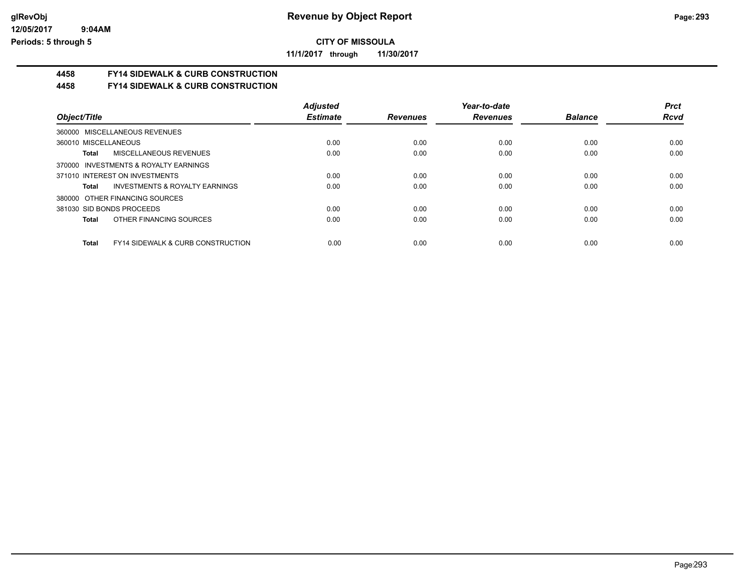**11/1/2017 through 11/30/2017**

# **4458 FY14 SIDEWALK & CURB CONSTRUCTION**

# **4458 FY14 SIDEWALK & CURB CONSTRUCTION**

|                                                              | <b>Adjusted</b> |                 | Year-to-date    |                | <b>Prct</b> |
|--------------------------------------------------------------|-----------------|-----------------|-----------------|----------------|-------------|
| Object/Title                                                 | <b>Estimate</b> | <b>Revenues</b> | <b>Revenues</b> | <b>Balance</b> | <b>Rcvd</b> |
| 360000 MISCELLANEOUS REVENUES                                |                 |                 |                 |                |             |
| 360010 MISCELLANEOUS                                         | 0.00            | 0.00            | 0.00            | 0.00           | 0.00        |
| MISCELLANEOUS REVENUES<br>Total                              | 0.00            | 0.00            | 0.00            | 0.00           | 0.00        |
| 370000 INVESTMENTS & ROYALTY EARNINGS                        |                 |                 |                 |                |             |
| 371010 INTEREST ON INVESTMENTS                               | 0.00            | 0.00            | 0.00            | 0.00           | 0.00        |
| <b>INVESTMENTS &amp; ROYALTY EARNINGS</b><br>Total           | 0.00            | 0.00            | 0.00            | 0.00           | 0.00        |
| 380000 OTHER FINANCING SOURCES                               |                 |                 |                 |                |             |
| 381030 SID BONDS PROCEEDS                                    | 0.00            | 0.00            | 0.00            | 0.00           | 0.00        |
| OTHER FINANCING SOURCES<br>Total                             | 0.00            | 0.00            | 0.00            | 0.00           | 0.00        |
| <b>FY14 SIDEWALK &amp; CURB CONSTRUCTION</b><br><b>Total</b> | 0.00            | 0.00            | 0.00            | 0.00           | 0.00        |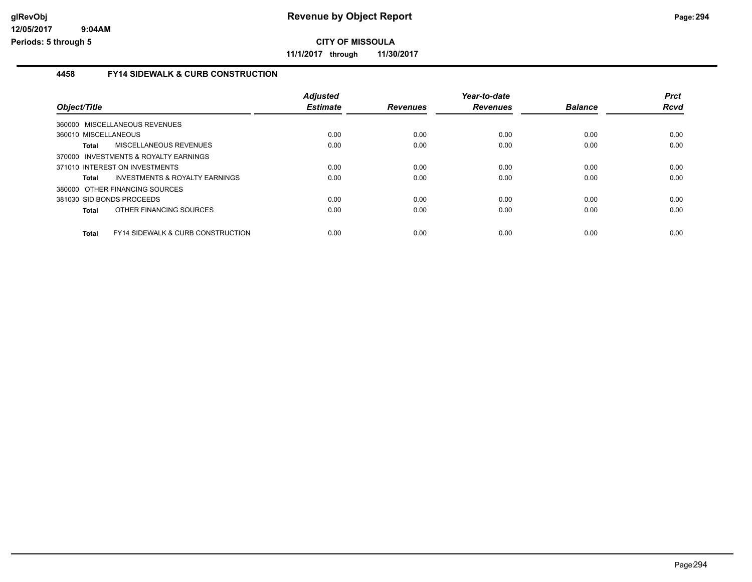**11/1/2017 through 11/30/2017**

### **4458 FY14 SIDEWALK & CURB CONSTRUCTION**

| Object/Title                          |                                              | <b>Adjusted</b><br><b>Estimate</b> | <b>Revenues</b> | Year-to-date<br><b>Revenues</b> | <b>Balance</b> | <b>Prct</b><br>Rcvd |
|---------------------------------------|----------------------------------------------|------------------------------------|-----------------|---------------------------------|----------------|---------------------|
| 360000 MISCELLANEOUS REVENUES         |                                              |                                    |                 |                                 |                |                     |
| 360010 MISCELLANEOUS                  |                                              | 0.00                               | 0.00            | 0.00                            | 0.00           | 0.00                |
| <b>Total</b>                          | <b>MISCELLANEOUS REVENUES</b>                | 0.00                               | 0.00            | 0.00                            | 0.00           | 0.00                |
| 370000 INVESTMENTS & ROYALTY EARNINGS |                                              |                                    |                 |                                 |                |                     |
| 371010 INTEREST ON INVESTMENTS        |                                              | 0.00                               | 0.00            | 0.00                            | 0.00           | 0.00                |
| <b>Total</b>                          | <b>INVESTMENTS &amp; ROYALTY EARNINGS</b>    | 0.00                               | 0.00            | 0.00                            | 0.00           | 0.00                |
| 380000 OTHER FINANCING SOURCES        |                                              |                                    |                 |                                 |                |                     |
| 381030 SID BONDS PROCEEDS             |                                              | 0.00                               | 0.00            | 0.00                            | 0.00           | 0.00                |
| <b>Total</b>                          | OTHER FINANCING SOURCES                      | 0.00                               | 0.00            | 0.00                            | 0.00           | 0.00                |
| <b>Total</b>                          | <b>FY14 SIDEWALK &amp; CURB CONSTRUCTION</b> | 0.00                               | 0.00            | 0.00                            | 0.00           | 0.00                |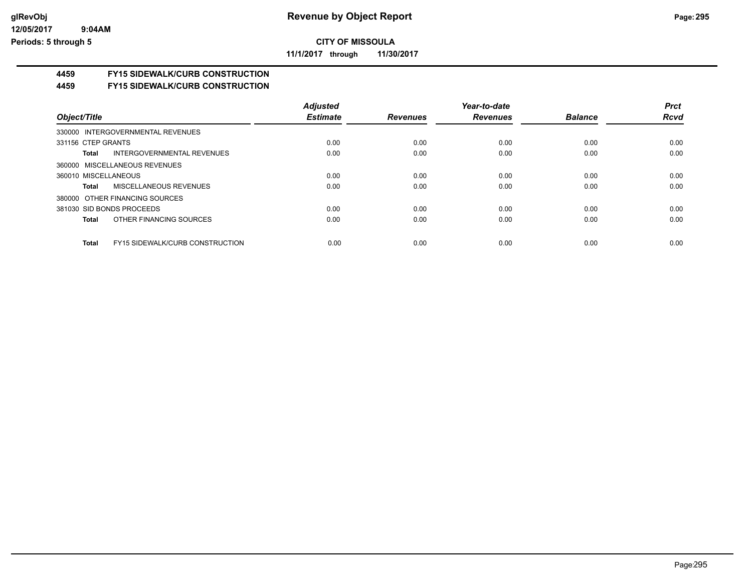#### **12/05/2017 9:04AM Periods: 5 through 5**

**CITY OF MISSOULA**

**11/1/2017 through 11/30/2017**

# **4459 FY15 SIDEWALK/CURB CONSTRUCTION**

**4459 FY15 SIDEWALK/CURB CONSTRUCTION**

|                                                 | <b>Adjusted</b> |                 | Year-to-date    |                | <b>Prct</b> |
|-------------------------------------------------|-----------------|-----------------|-----------------|----------------|-------------|
| Object/Title                                    | <b>Estimate</b> | <b>Revenues</b> | <b>Revenues</b> | <b>Balance</b> | <b>Rcvd</b> |
| 330000 INTERGOVERNMENTAL REVENUES               |                 |                 |                 |                |             |
| 331156 CTEP GRANTS                              | 0.00            | 0.00            | 0.00            | 0.00           | 0.00        |
| INTERGOVERNMENTAL REVENUES<br>Total             | 0.00            | 0.00            | 0.00            | 0.00           | 0.00        |
| 360000 MISCELLANEOUS REVENUES                   |                 |                 |                 |                |             |
| 360010 MISCELLANEOUS                            | 0.00            | 0.00            | 0.00            | 0.00           | 0.00        |
| <b>MISCELLANEOUS REVENUES</b><br>Total          | 0.00            | 0.00            | 0.00            | 0.00           | 0.00        |
| 380000 OTHER FINANCING SOURCES                  |                 |                 |                 |                |             |
| 381030 SID BONDS PROCEEDS                       | 0.00            | 0.00            | 0.00            | 0.00           | 0.00        |
| OTHER FINANCING SOURCES<br>Total                | 0.00            | 0.00            | 0.00            | 0.00           | 0.00        |
| <b>FY15 SIDEWALK/CURB CONSTRUCTION</b><br>Total | 0.00            | 0.00            | 0.00            | 0.00           | 0.00        |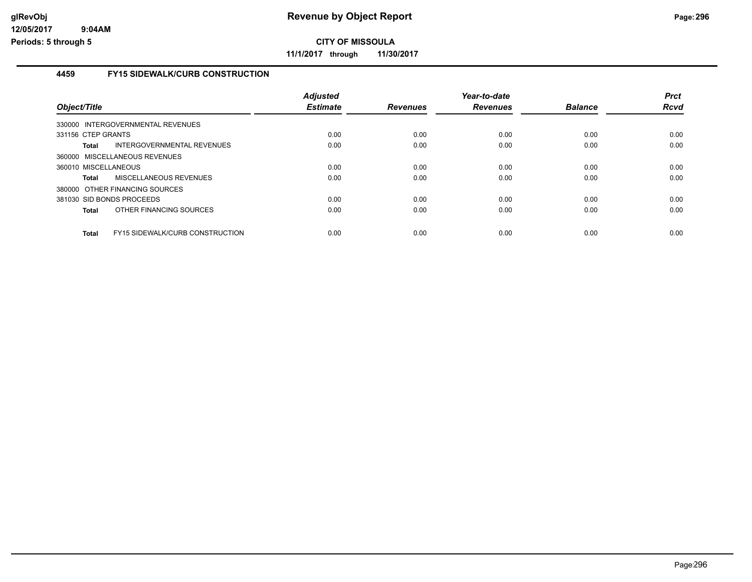**11/1/2017 through 11/30/2017**

### **4459 FY15 SIDEWALK/CURB CONSTRUCTION**

| Object/Title                   |                                   | <b>Adjusted</b><br><b>Estimate</b> | <b>Revenues</b> | Year-to-date<br><b>Revenues</b> | <b>Balance</b> | <b>Prct</b><br><b>Rcvd</b> |
|--------------------------------|-----------------------------------|------------------------------------|-----------------|---------------------------------|----------------|----------------------------|
|                                | 330000 INTERGOVERNMENTAL REVENUES |                                    |                 |                                 |                |                            |
| 331156 CTEP GRANTS             |                                   | 0.00                               | 0.00            | 0.00                            | 0.00           | 0.00                       |
| <b>Total</b>                   | INTERGOVERNMENTAL REVENUES        | 0.00                               | 0.00            | 0.00                            | 0.00           | 0.00                       |
| 360000 MISCELLANEOUS REVENUES  |                                   |                                    |                 |                                 |                |                            |
| 360010 MISCELLANEOUS           |                                   | 0.00                               | 0.00            | 0.00                            | 0.00           | 0.00                       |
| <b>Total</b>                   | <b>MISCELLANEOUS REVENUES</b>     | 0.00                               | 0.00            | 0.00                            | 0.00           | 0.00                       |
| 380000 OTHER FINANCING SOURCES |                                   |                                    |                 |                                 |                |                            |
| 381030 SID BONDS PROCEEDS      |                                   | 0.00                               | 0.00            | 0.00                            | 0.00           | 0.00                       |
| <b>Total</b>                   | OTHER FINANCING SOURCES           | 0.00                               | 0.00            | 0.00                            | 0.00           | 0.00                       |
| <b>Total</b>                   | FY15 SIDEWALK/CURB CONSTRUCTION   | 0.00                               | 0.00            | 0.00                            | 0.00           | 0.00                       |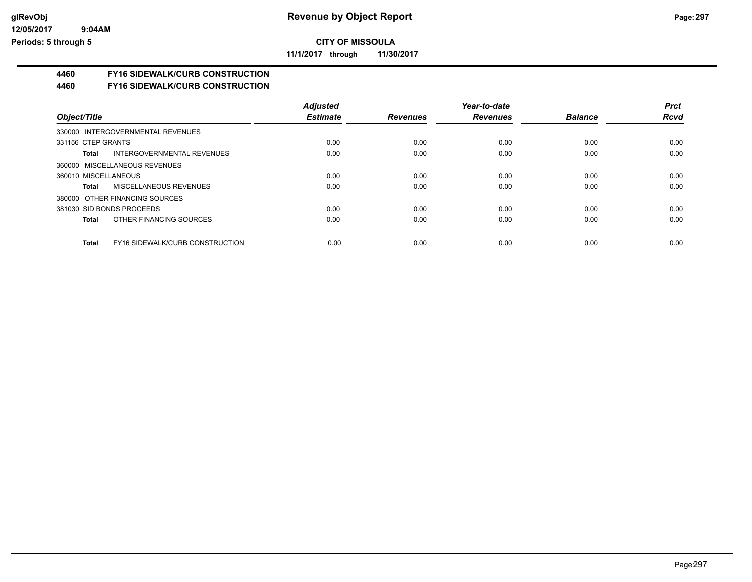#### **12/05/2017 9:04AM Periods: 5 through 5**

## **CITY OF MISSOULA**

**11/1/2017 through 11/30/2017**

# **4460 FY16 SIDEWALK/CURB CONSTRUCTION**

**4460 FY16 SIDEWALK/CURB CONSTRUCTION**

|                                                 | <b>Adjusted</b> |                 | Year-to-date    |                | <b>Prct</b> |
|-------------------------------------------------|-----------------|-----------------|-----------------|----------------|-------------|
| Object/Title                                    | <b>Estimate</b> | <b>Revenues</b> | <b>Revenues</b> | <b>Balance</b> | <b>Rcvd</b> |
| 330000 INTERGOVERNMENTAL REVENUES               |                 |                 |                 |                |             |
| 331156 CTEP GRANTS                              | 0.00            | 0.00            | 0.00            | 0.00           | 0.00        |
| INTERGOVERNMENTAL REVENUES<br>Total             | 0.00            | 0.00            | 0.00            | 0.00           | 0.00        |
| 360000 MISCELLANEOUS REVENUES                   |                 |                 |                 |                |             |
| 360010 MISCELLANEOUS                            | 0.00            | 0.00            | 0.00            | 0.00           | 0.00        |
| MISCELLANEOUS REVENUES<br>Total                 | 0.00            | 0.00            | 0.00            | 0.00           | 0.00        |
| 380000 OTHER FINANCING SOURCES                  |                 |                 |                 |                |             |
| 381030 SID BONDS PROCEEDS                       | 0.00            | 0.00            | 0.00            | 0.00           | 0.00        |
| OTHER FINANCING SOURCES<br>Total                | 0.00            | 0.00            | 0.00            | 0.00           | 0.00        |
| <b>FY16 SIDEWALK/CURB CONSTRUCTION</b><br>Total | 0.00            | 0.00            | 0.00            | 0.00           | 0.00        |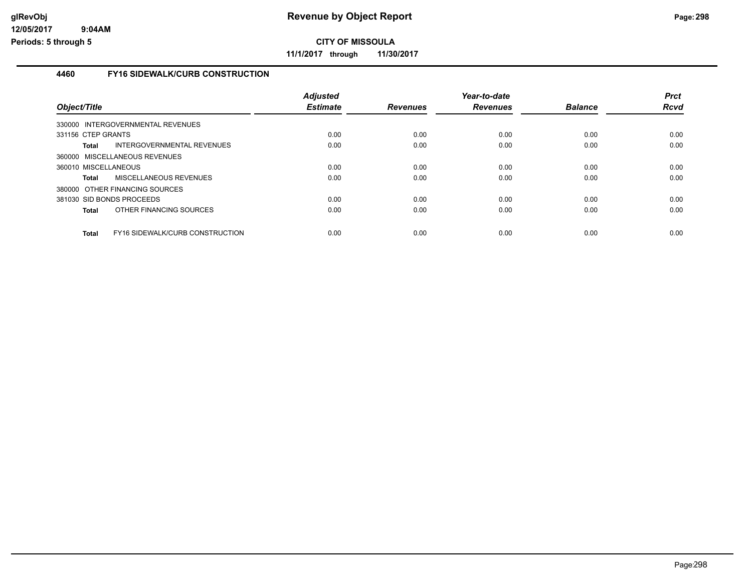**11/1/2017 through 11/30/2017**

### **4460 FY16 SIDEWALK/CURB CONSTRUCTION**

| Object/Title                                    | <b>Adjusted</b><br><b>Estimate</b> | <b>Revenues</b> | Year-to-date<br><b>Revenues</b> | <b>Balance</b> | <b>Prct</b><br><b>Rcvd</b> |
|-------------------------------------------------|------------------------------------|-----------------|---------------------------------|----------------|----------------------------|
| 330000 INTERGOVERNMENTAL REVENUES               |                                    |                 |                                 |                |                            |
| 331156 CTEP GRANTS                              | 0.00                               | 0.00            | 0.00                            | 0.00           | 0.00                       |
| INTERGOVERNMENTAL REVENUES<br><b>Total</b>      | 0.00                               | 0.00            | 0.00                            | 0.00           | 0.00                       |
| 360000 MISCELLANEOUS REVENUES                   |                                    |                 |                                 |                |                            |
| 360010 MISCELLANEOUS                            | 0.00                               | 0.00            | 0.00                            | 0.00           | 0.00                       |
| MISCELLANEOUS REVENUES<br>Total                 | 0.00                               | 0.00            | 0.00                            | 0.00           | 0.00                       |
| 380000 OTHER FINANCING SOURCES                  |                                    |                 |                                 |                |                            |
| 381030 SID BONDS PROCEEDS                       | 0.00                               | 0.00            | 0.00                            | 0.00           | 0.00                       |
| OTHER FINANCING SOURCES<br><b>Total</b>         | 0.00                               | 0.00            | 0.00                            | 0.00           | 0.00                       |
| FY16 SIDEWALK/CURB CONSTRUCTION<br><b>Total</b> | 0.00                               | 0.00            | 0.00                            | 0.00           | 0.00                       |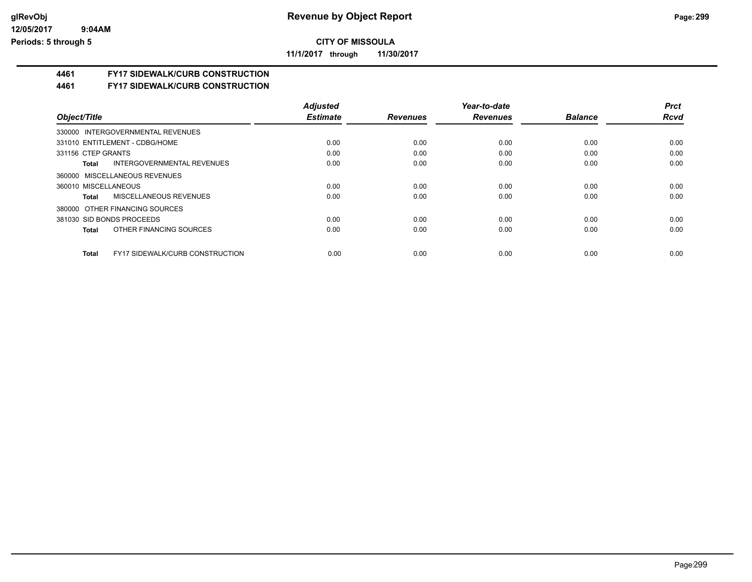**11/1/2017 through 11/30/2017**

# **4461 FY17 SIDEWALK/CURB CONSTRUCTION**

**4461 FY17 SIDEWALK/CURB CONSTRUCTION**

|                                                 | <b>Adjusted</b> |                 | Year-to-date    |                | <b>Prct</b> |
|-------------------------------------------------|-----------------|-----------------|-----------------|----------------|-------------|
| Object/Title                                    | <b>Estimate</b> | <b>Revenues</b> | <b>Revenues</b> | <b>Balance</b> | <b>Rcvd</b> |
| 330000 INTERGOVERNMENTAL REVENUES               |                 |                 |                 |                |             |
| 331010 ENTITLEMENT - CDBG/HOME                  | 0.00            | 0.00            | 0.00            | 0.00           | 0.00        |
| 331156 CTEP GRANTS                              | 0.00            | 0.00            | 0.00            | 0.00           | 0.00        |
| INTERGOVERNMENTAL REVENUES<br>Total             | 0.00            | 0.00            | 0.00            | 0.00           | 0.00        |
| 360000 MISCELLANEOUS REVENUES                   |                 |                 |                 |                |             |
| 360010 MISCELLANEOUS                            | 0.00            | 0.00            | 0.00            | 0.00           | 0.00        |
| MISCELLANEOUS REVENUES<br>Total                 | 0.00            | 0.00            | 0.00            | 0.00           | 0.00        |
| 380000 OTHER FINANCING SOURCES                  |                 |                 |                 |                |             |
| 381030 SID BONDS PROCEEDS                       | 0.00            | 0.00            | 0.00            | 0.00           | 0.00        |
| OTHER FINANCING SOURCES<br>Total                | 0.00            | 0.00            | 0.00            | 0.00           | 0.00        |
| <b>FY17 SIDEWALK/CURB CONSTRUCTION</b><br>Total | 0.00            | 0.00            | 0.00            | 0.00           | 0.00        |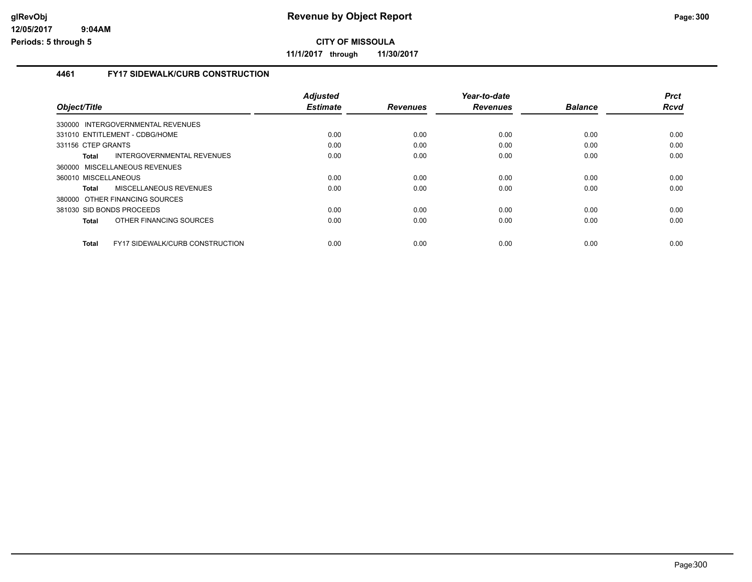**11/1/2017 through 11/30/2017**

### **4461 FY17 SIDEWALK/CURB CONSTRUCTION**

|                                                        | <b>Adjusted</b> |                 | Year-to-date    |                | <b>Prct</b> |
|--------------------------------------------------------|-----------------|-----------------|-----------------|----------------|-------------|
| Object/Title                                           | <b>Estimate</b> | <b>Revenues</b> | <b>Revenues</b> | <b>Balance</b> | <b>Rcvd</b> |
| 330000 INTERGOVERNMENTAL REVENUES                      |                 |                 |                 |                |             |
| 331010 ENTITLEMENT - CDBG/HOME                         | 0.00            | 0.00            | 0.00            | 0.00           | 0.00        |
| 331156 CTEP GRANTS                                     | 0.00            | 0.00            | 0.00            | 0.00           | 0.00        |
| INTERGOVERNMENTAL REVENUES<br>Total                    | 0.00            | 0.00            | 0.00            | 0.00           | 0.00        |
| 360000 MISCELLANEOUS REVENUES                          |                 |                 |                 |                |             |
| 360010 MISCELLANEOUS                                   | 0.00            | 0.00            | 0.00            | 0.00           | 0.00        |
| <b>MISCELLANEOUS REVENUES</b><br>Total                 | 0.00            | 0.00            | 0.00            | 0.00           | 0.00        |
| 380000 OTHER FINANCING SOURCES                         |                 |                 |                 |                |             |
| 381030 SID BONDS PROCEEDS                              | 0.00            | 0.00            | 0.00            | 0.00           | 0.00        |
| OTHER FINANCING SOURCES<br>Total                       | 0.00            | 0.00            | 0.00            | 0.00           | 0.00        |
| <b>Total</b><br><b>FY17 SIDEWALK/CURB CONSTRUCTION</b> | 0.00            | 0.00            | 0.00            | 0.00           | 0.00        |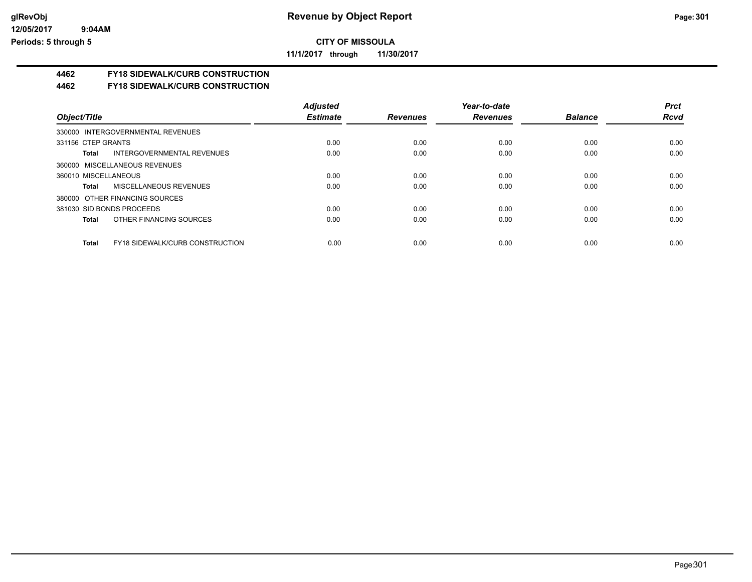#### **12/05/2017 9:04AM Periods: 5 through 5**

## **CITY OF MISSOULA**

**11/1/2017 through 11/30/2017**

# **4462 FY18 SIDEWALK/CURB CONSTRUCTION**

**4462 FY18 SIDEWALK/CURB CONSTRUCTION**

|                                                 | <b>Adjusted</b> |                 | Year-to-date    |                | <b>Prct</b> |
|-------------------------------------------------|-----------------|-----------------|-----------------|----------------|-------------|
| Object/Title                                    | <b>Estimate</b> | <b>Revenues</b> | <b>Revenues</b> | <b>Balance</b> | <b>Rcvd</b> |
| 330000 INTERGOVERNMENTAL REVENUES               |                 |                 |                 |                |             |
| 331156 CTEP GRANTS                              | 0.00            | 0.00            | 0.00            | 0.00           | 0.00        |
| INTERGOVERNMENTAL REVENUES<br>Total             | 0.00            | 0.00            | 0.00            | 0.00           | 0.00        |
| 360000 MISCELLANEOUS REVENUES                   |                 |                 |                 |                |             |
| 360010 MISCELLANEOUS                            | 0.00            | 0.00            | 0.00            | 0.00           | 0.00        |
| <b>MISCELLANEOUS REVENUES</b><br>Total          | 0.00            | 0.00            | 0.00            | 0.00           | 0.00        |
| 380000 OTHER FINANCING SOURCES                  |                 |                 |                 |                |             |
| 381030 SID BONDS PROCEEDS                       | 0.00            | 0.00            | 0.00            | 0.00           | 0.00        |
| OTHER FINANCING SOURCES<br>Total                | 0.00            | 0.00            | 0.00            | 0.00           | 0.00        |
| <b>FY18 SIDEWALK/CURB CONSTRUCTION</b><br>Total | 0.00            | 0.00            | 0.00            | 0.00           | 0.00        |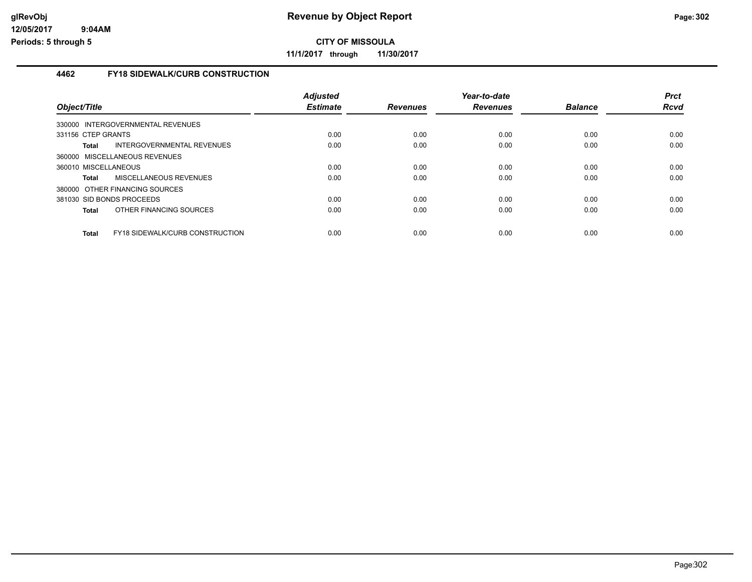**11/1/2017 through 11/30/2017**

### **4462 FY18 SIDEWALK/CURB CONSTRUCTION**

| Object/Title                                    | <b>Adjusted</b><br><b>Estimate</b> | <b>Revenues</b> | Year-to-date<br><b>Revenues</b> | <b>Balance</b> | <b>Prct</b><br><b>Rcvd</b> |
|-------------------------------------------------|------------------------------------|-----------------|---------------------------------|----------------|----------------------------|
| 330000 INTERGOVERNMENTAL REVENUES               |                                    |                 |                                 |                |                            |
| 331156 CTEP GRANTS                              | 0.00                               | 0.00            | 0.00                            | 0.00           | 0.00                       |
| INTERGOVERNMENTAL REVENUES<br><b>Total</b>      | 0.00                               | 0.00            | 0.00                            | 0.00           | 0.00                       |
| 360000 MISCELLANEOUS REVENUES                   |                                    |                 |                                 |                |                            |
| 360010 MISCELLANEOUS                            | 0.00                               | 0.00            | 0.00                            | 0.00           | 0.00                       |
| MISCELLANEOUS REVENUES<br>Total                 | 0.00                               | 0.00            | 0.00                            | 0.00           | 0.00                       |
| 380000 OTHER FINANCING SOURCES                  |                                    |                 |                                 |                |                            |
| 381030 SID BONDS PROCEEDS                       | 0.00                               | 0.00            | 0.00                            | 0.00           | 0.00                       |
| OTHER FINANCING SOURCES<br><b>Total</b>         | 0.00                               | 0.00            | 0.00                            | 0.00           | 0.00                       |
| FY18 SIDEWALK/CURB CONSTRUCTION<br><b>Total</b> | 0.00                               | 0.00            | 0.00                            | 0.00           | 0.00                       |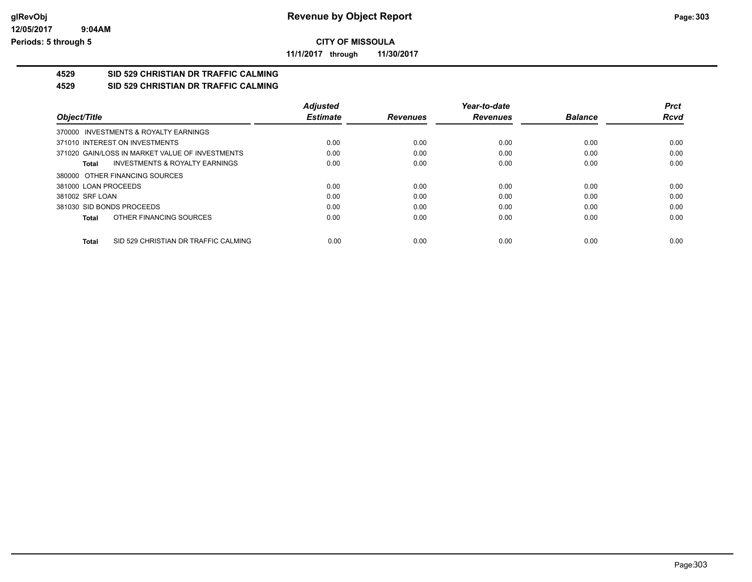**11/1/2017 through 11/30/2017**

### **4529 SID 529 CHRISTIAN DR TRAFFIC CALMING 4529 SID 529 CHRISTIAN DR TRAFFIC CALMING**

|                                                      | <b>Adjusted</b> |                 | Year-to-date    |                | <b>Prct</b> |
|------------------------------------------------------|-----------------|-----------------|-----------------|----------------|-------------|
| Object/Title                                         | <b>Estimate</b> | <b>Revenues</b> | <b>Revenues</b> | <b>Balance</b> | <b>Rcvd</b> |
| 370000 INVESTMENTS & ROYALTY EARNINGS                |                 |                 |                 |                |             |
| 371010 INTEREST ON INVESTMENTS                       | 0.00            | 0.00            | 0.00            | 0.00           | 0.00        |
| 371020 GAIN/LOSS IN MARKET VALUE OF INVESTMENTS      | 0.00            | 0.00            | 0.00            | 0.00           | 0.00        |
| <b>INVESTMENTS &amp; ROYALTY EARNINGS</b><br>Total   | 0.00            | 0.00            | 0.00            | 0.00           | 0.00        |
| 380000 OTHER FINANCING SOURCES                       |                 |                 |                 |                |             |
| 381000 LOAN PROCEEDS                                 | 0.00            | 0.00            | 0.00            | 0.00           | 0.00        |
| 381002 SRF LOAN                                      | 0.00            | 0.00            | 0.00            | 0.00           | 0.00        |
| 381030 SID BONDS PROCEEDS                            | 0.00            | 0.00            | 0.00            | 0.00           | 0.00        |
| OTHER FINANCING SOURCES<br>Total                     | 0.00            | 0.00            | 0.00            | 0.00           | 0.00        |
|                                                      |                 |                 |                 |                |             |
| SID 529 CHRISTIAN DR TRAFFIC CALMING<br><b>Total</b> | 0.00            | 0.00            | 0.00            | 0.00           | 0.00        |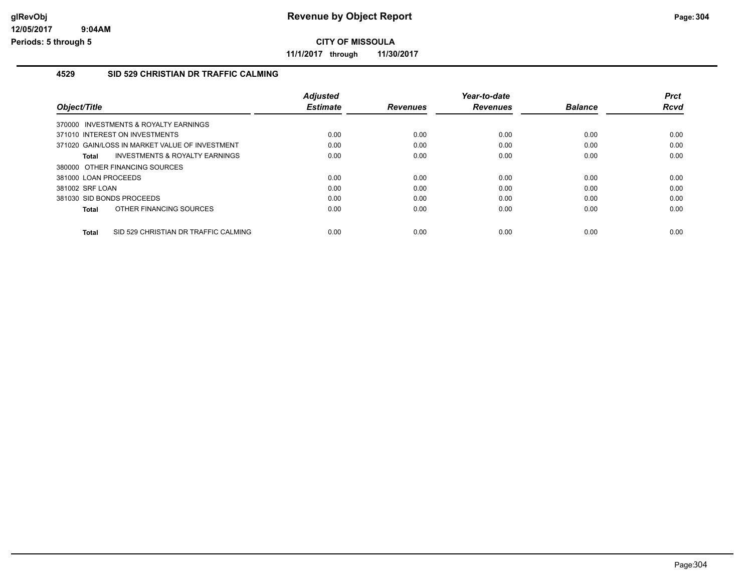**11/1/2017 through 11/30/2017**

### **4529 SID 529 CHRISTIAN DR TRAFFIC CALMING**

| Object/Title                                       | <b>Adjusted</b><br><b>Estimate</b> | <b>Revenues</b> | Year-to-date<br><b>Revenues</b> | <b>Balance</b> | <b>Prct</b><br>Rcvd |
|----------------------------------------------------|------------------------------------|-----------------|---------------------------------|----------------|---------------------|
| 370000 INVESTMENTS & ROYALTY EARNINGS              |                                    |                 |                                 |                |                     |
| 371010 INTEREST ON INVESTMENTS                     | 0.00                               | 0.00            | 0.00                            | 0.00           | 0.00                |
| 371020 GAIN/LOSS IN MARKET VALUE OF INVESTMENT     | 0.00                               | 0.00            | 0.00                            | 0.00           | 0.00                |
| <b>INVESTMENTS &amp; ROYALTY EARNINGS</b><br>Total | 0.00                               | 0.00            | 0.00                            | 0.00           | 0.00                |
| 380000 OTHER FINANCING SOURCES                     |                                    |                 |                                 |                |                     |
| 381000 LOAN PROCEEDS                               | 0.00                               | 0.00            | 0.00                            | 0.00           | 0.00                |
| 381002 SRF LOAN                                    | 0.00                               | 0.00            | 0.00                            | 0.00           | 0.00                |
| 381030 SID BONDS PROCEEDS                          | 0.00                               | 0.00            | 0.00                            | 0.00           | 0.00                |
| OTHER FINANCING SOURCES<br>Total                   | 0.00                               | 0.00            | 0.00                            | 0.00           | 0.00                |
| SID 529 CHRISTIAN DR TRAFFIC CALMING<br>Total      | 0.00                               | 0.00            | 0.00                            | 0.00           | 0.00                |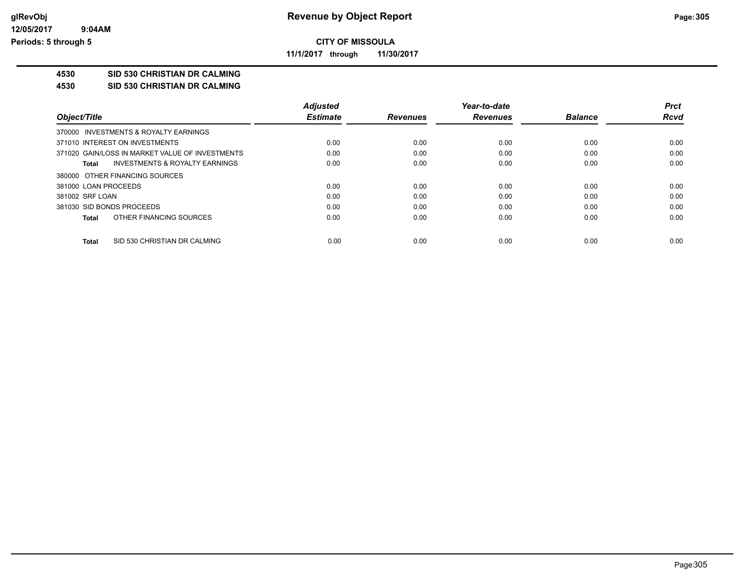**11/1/2017 through 11/30/2017**

# **4530 SID 530 CHRISTIAN DR CALMING**

### **4530 SID 530 CHRISTIAN DR CALMING**

|                                                 | <b>Adjusted</b> |                 | Year-to-date    |                | <b>Prct</b> |
|-------------------------------------------------|-----------------|-----------------|-----------------|----------------|-------------|
| Object/Title                                    | <b>Estimate</b> | <b>Revenues</b> | <b>Revenues</b> | <b>Balance</b> | <b>Rcvd</b> |
| 370000 INVESTMENTS & ROYALTY EARNINGS           |                 |                 |                 |                |             |
| 371010 INTEREST ON INVESTMENTS                  | 0.00            | 0.00            | 0.00            | 0.00           | 0.00        |
| 371020 GAIN/LOSS IN MARKET VALUE OF INVESTMENTS | 0.00            | 0.00            | 0.00            | 0.00           | 0.00        |
| INVESTMENTS & ROYALTY EARNINGS<br>Total         | 0.00            | 0.00            | 0.00            | 0.00           | 0.00        |
| 380000 OTHER FINANCING SOURCES                  |                 |                 |                 |                |             |
| 381000 LOAN PROCEEDS                            | 0.00            | 0.00            | 0.00            | 0.00           | 0.00        |
| 381002 SRF LOAN                                 | 0.00            | 0.00            | 0.00            | 0.00           | 0.00        |
| 381030 SID BONDS PROCEEDS                       | 0.00            | 0.00            | 0.00            | 0.00           | 0.00        |
| OTHER FINANCING SOURCES<br>Total                | 0.00            | 0.00            | 0.00            | 0.00           | 0.00        |
| SID 530 CHRISTIAN DR CALMING<br>Total           | 0.00            | 0.00            | 0.00            | 0.00           | 0.00        |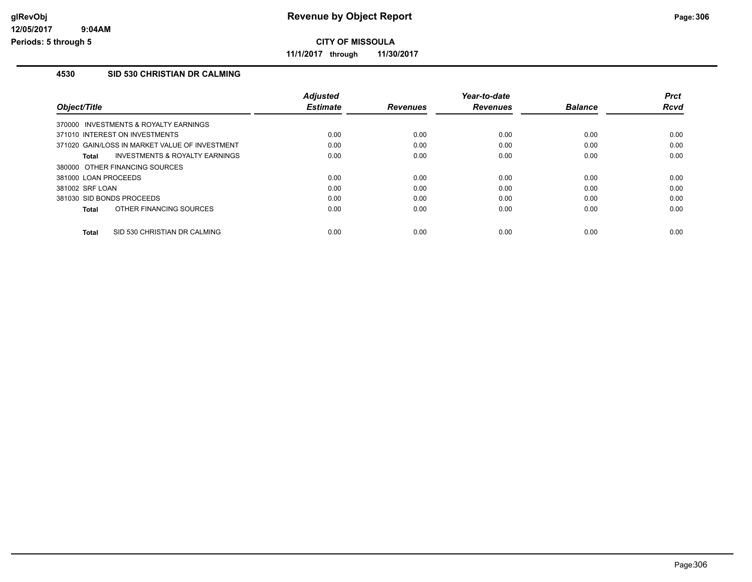**11/1/2017 through 11/30/2017**

### **4530 SID 530 CHRISTIAN DR CALMING**

| Object/Title                                   | <b>Adjusted</b><br><b>Estimate</b> | <b>Revenues</b> | Year-to-date<br><b>Revenues</b> | <b>Balance</b> | <b>Prct</b><br>Rcvd |
|------------------------------------------------|------------------------------------|-----------------|---------------------------------|----------------|---------------------|
| 370000 INVESTMENTS & ROYALTY EARNINGS          |                                    |                 |                                 |                |                     |
| 371010 INTEREST ON INVESTMENTS                 | 0.00                               | 0.00            | 0.00                            | 0.00           | 0.00                |
| 371020 GAIN/LOSS IN MARKET VALUE OF INVESTMENT | 0.00                               | 0.00            | 0.00                            | 0.00           | 0.00                |
| INVESTMENTS & ROYALTY EARNINGS<br>Total        | 0.00                               | 0.00            | 0.00                            | 0.00           | 0.00                |
| 380000 OTHER FINANCING SOURCES                 |                                    |                 |                                 |                |                     |
| 381000 LOAN PROCEEDS                           | 0.00                               | 0.00            | 0.00                            | 0.00           | 0.00                |
| 381002 SRF LOAN                                | 0.00                               | 0.00            | 0.00                            | 0.00           | 0.00                |
| 381030 SID BONDS PROCEEDS                      | 0.00                               | 0.00            | 0.00                            | 0.00           | 0.00                |
| OTHER FINANCING SOURCES<br>Total               | 0.00                               | 0.00            | 0.00                            | 0.00           | 0.00                |
| SID 530 CHRISTIAN DR CALMING<br>Total          | 0.00                               | 0.00            | 0.00                            | 0.00           | 0.00                |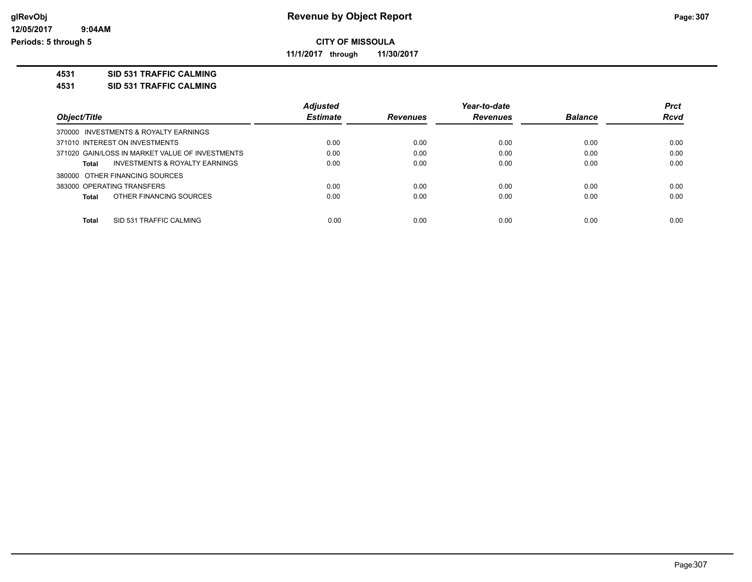**11/1/2017 through 11/30/2017**

### **4531 SID 531 TRAFFIC CALMING**

**4531 SID 531 TRAFFIC CALMING**

|                                                 | <b>Adjusted</b> |                 | Year-to-date    |                | <b>Prct</b> |
|-------------------------------------------------|-----------------|-----------------|-----------------|----------------|-------------|
| Object/Title                                    | <b>Estimate</b> | <b>Revenues</b> | <b>Revenues</b> | <b>Balance</b> | <b>Rcvd</b> |
| 370000 INVESTMENTS & ROYALTY EARNINGS           |                 |                 |                 |                |             |
| 371010 INTEREST ON INVESTMENTS                  | 0.00            | 0.00            | 0.00            | 0.00           | 0.00        |
| 371020 GAIN/LOSS IN MARKET VALUE OF INVESTMENTS | 0.00            | 0.00            | 0.00            | 0.00           | 0.00        |
| INVESTMENTS & ROYALTY EARNINGS<br>Total         | 0.00            | 0.00            | 0.00            | 0.00           | 0.00        |
| 380000 OTHER FINANCING SOURCES                  |                 |                 |                 |                |             |
| 383000 OPERATING TRANSFERS                      | 0.00            | 0.00            | 0.00            | 0.00           | 0.00        |
| OTHER FINANCING SOURCES<br>Total                | 0.00            | 0.00            | 0.00            | 0.00           | 0.00        |
|                                                 |                 |                 |                 |                |             |
| <b>Total</b><br>SID 531 TRAFFIC CALMING         | 0.00            | 0.00            | 0.00            | 0.00           | 0.00        |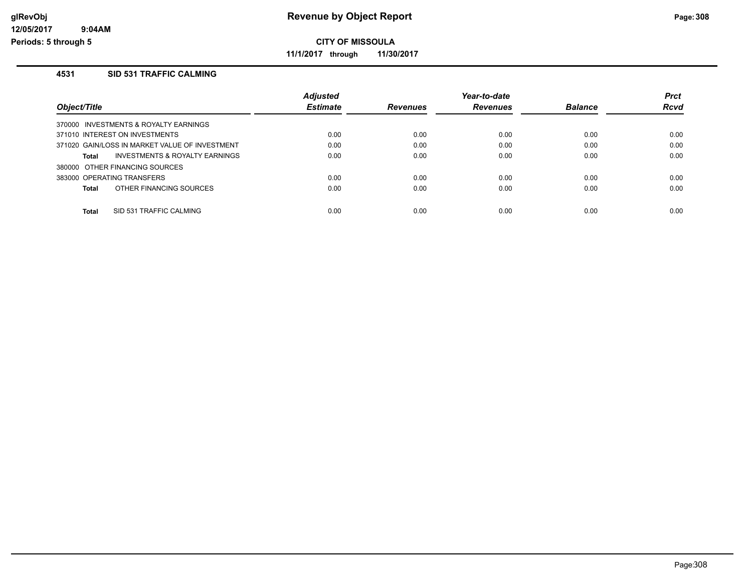**11/1/2017 through 11/30/2017**

### **4531 SID 531 TRAFFIC CALMING**

|                                                    | <b>Adjusted</b> |                 | Year-to-date    |                | <b>Prct</b> |
|----------------------------------------------------|-----------------|-----------------|-----------------|----------------|-------------|
| Object/Title                                       | <b>Estimate</b> | <b>Revenues</b> | <b>Revenues</b> | <b>Balance</b> | <b>Rcvd</b> |
| INVESTMENTS & ROYALTY EARNINGS<br>370000           |                 |                 |                 |                |             |
| 371010 INTEREST ON INVESTMENTS                     | 0.00            | 0.00            | 0.00            | 0.00           | 0.00        |
| 371020 GAIN/LOSS IN MARKET VALUE OF INVESTMENT     | 0.00            | 0.00            | 0.00            | 0.00           | 0.00        |
| <b>INVESTMENTS &amp; ROYALTY EARNINGS</b><br>Total | 0.00            | 0.00            | 0.00            | 0.00           | 0.00        |
| 380000 OTHER FINANCING SOURCES                     |                 |                 |                 |                |             |
| 383000 OPERATING TRANSFERS                         | 0.00            | 0.00            | 0.00            | 0.00           | 0.00        |
| OTHER FINANCING SOURCES<br>Total                   | 0.00            | 0.00            | 0.00            | 0.00           | 0.00        |
|                                                    |                 |                 |                 |                |             |
| Total<br>SID 531 TRAFFIC CALMING                   | 0.00            | 0.00            | 0.00            | 0.00           | 0.00        |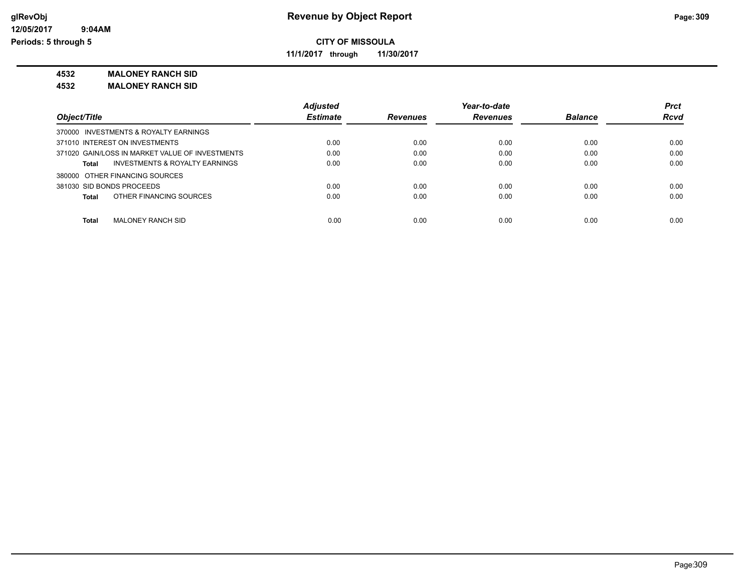**11/1/2017 through 11/30/2017**

### **4532 MALONEY RANCH SID**

**4532 MALONEY RANCH SID**

|                                                    | <b>Adjusted</b> |                 | Year-to-date    |                | <b>Prct</b> |
|----------------------------------------------------|-----------------|-----------------|-----------------|----------------|-------------|
| Object/Title                                       | <b>Estimate</b> | <b>Revenues</b> | <b>Revenues</b> | <b>Balance</b> | <b>Rcvd</b> |
| 370000 INVESTMENTS & ROYALTY EARNINGS              |                 |                 |                 |                |             |
| 371010 INTEREST ON INVESTMENTS                     | 0.00            | 0.00            | 0.00            | 0.00           | 0.00        |
| 371020 GAIN/LOSS IN MARKET VALUE OF INVESTMENTS    | 0.00            | 0.00            | 0.00            | 0.00           | 0.00        |
| <b>INVESTMENTS &amp; ROYALTY EARNINGS</b><br>Total | 0.00            | 0.00            | 0.00            | 0.00           | 0.00        |
| 380000 OTHER FINANCING SOURCES                     |                 |                 |                 |                |             |
| 381030 SID BONDS PROCEEDS                          | 0.00            | 0.00            | 0.00            | 0.00           | 0.00        |
| OTHER FINANCING SOURCES<br><b>Total</b>            | 0.00            | 0.00            | 0.00            | 0.00           | 0.00        |
|                                                    |                 |                 |                 |                |             |
| <b>Total</b><br>MALONEY RANCH SID                  | 0.00            | 0.00            | 0.00            | 0.00           | 0.00        |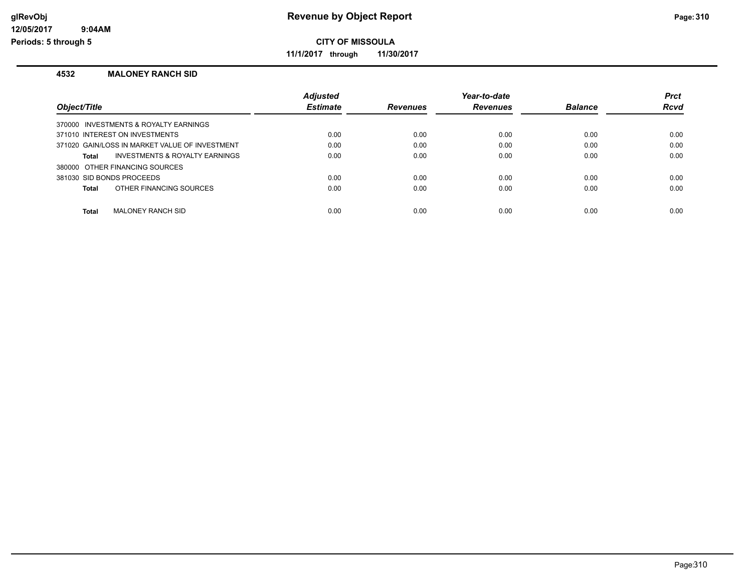**11/1/2017 through 11/30/2017**

### **4532 MALONEY RANCH SID**

|                                                | <b>Adjusted</b> |                 | Year-to-date    |                | <b>Prct</b> |
|------------------------------------------------|-----------------|-----------------|-----------------|----------------|-------------|
| Object/Title                                   | <b>Estimate</b> | <b>Revenues</b> | <b>Revenues</b> | <b>Balance</b> | <b>Rcvd</b> |
| 370000 INVESTMENTS & ROYALTY EARNINGS          |                 |                 |                 |                |             |
| 371010 INTEREST ON INVESTMENTS                 | 0.00            | 0.00            | 0.00            | 0.00           | 0.00        |
| 371020 GAIN/LOSS IN MARKET VALUE OF INVESTMENT | 0.00            | 0.00            | 0.00            | 0.00           | 0.00        |
| INVESTMENTS & ROYALTY EARNINGS<br>Total        | 0.00            | 0.00            | 0.00            | 0.00           | 0.00        |
| 380000 OTHER FINANCING SOURCES                 |                 |                 |                 |                |             |
| 381030 SID BONDS PROCEEDS                      | 0.00            | 0.00            | 0.00            | 0.00           | 0.00        |
| OTHER FINANCING SOURCES<br>Total               | 0.00            | 0.00            | 0.00            | 0.00           | 0.00        |
|                                                |                 |                 |                 |                |             |
| <b>Total</b><br>MALONEY RANCH SID              | 0.00            | 0.00            | 0.00            | 0.00           | 0.00        |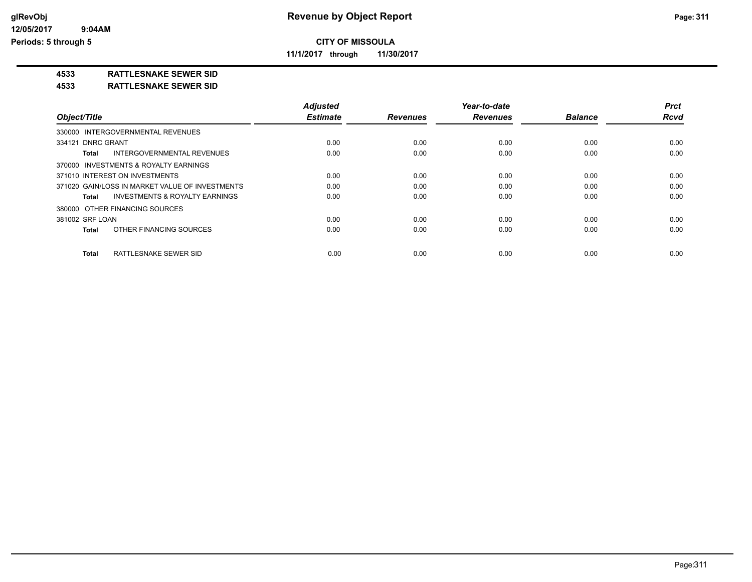**11/1/2017 through 11/30/2017**

### **4533 RATTLESNAKE SEWER SID**

**4533 RATTLESNAKE SEWER SID**

|                                                    | <b>Adjusted</b> |                 | Year-to-date    |                | <b>Prct</b> |
|----------------------------------------------------|-----------------|-----------------|-----------------|----------------|-------------|
| Object/Title                                       | <b>Estimate</b> | <b>Revenues</b> | <b>Revenues</b> | <b>Balance</b> | <b>Rcvd</b> |
| 330000 INTERGOVERNMENTAL REVENUES                  |                 |                 |                 |                |             |
| 334121 DNRC GRANT                                  | 0.00            | 0.00            | 0.00            | 0.00           | 0.00        |
| INTERGOVERNMENTAL REVENUES<br>Total                | 0.00            | 0.00            | 0.00            | 0.00           | 0.00        |
| 370000 INVESTMENTS & ROYALTY EARNINGS              |                 |                 |                 |                |             |
| 371010 INTEREST ON INVESTMENTS                     | 0.00            | 0.00            | 0.00            | 0.00           | 0.00        |
| 371020 GAIN/LOSS IN MARKET VALUE OF INVESTMENTS    | 0.00            | 0.00            | 0.00            | 0.00           | 0.00        |
| <b>INVESTMENTS &amp; ROYALTY EARNINGS</b><br>Total | 0.00            | 0.00            | 0.00            | 0.00           | 0.00        |
| 380000 OTHER FINANCING SOURCES                     |                 |                 |                 |                |             |
| 381002 SRF LOAN                                    | 0.00            | 0.00            | 0.00            | 0.00           | 0.00        |
| OTHER FINANCING SOURCES<br>Total                   | 0.00            | 0.00            | 0.00            | 0.00           | 0.00        |
| RATTLESNAKE SEWER SID<br>Total                     | 0.00            | 0.00            | 0.00            | 0.00           | 0.00        |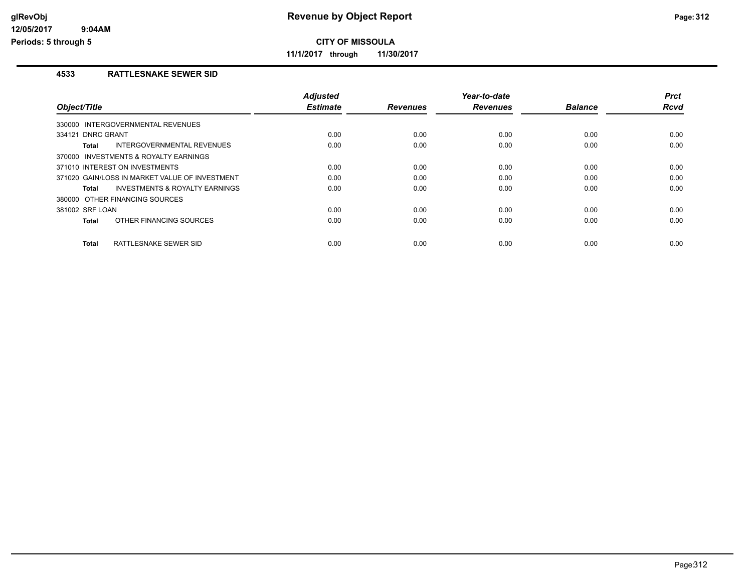**11/1/2017 through 11/30/2017**

### **4533 RATTLESNAKE SEWER SID**

| Object/Title                                       | <b>Adjusted</b><br><b>Estimate</b> | <b>Revenues</b> | Year-to-date<br><b>Revenues</b> | <b>Balance</b> | <b>Prct</b><br><b>Rcvd</b> |
|----------------------------------------------------|------------------------------------|-----------------|---------------------------------|----------------|----------------------------|
| INTERGOVERNMENTAL REVENUES<br>330000               |                                    |                 |                                 |                |                            |
| 334121 DNRC GRANT                                  | 0.00                               | 0.00            | 0.00                            | 0.00           | 0.00                       |
| INTERGOVERNMENTAL REVENUES<br>Total                | 0.00                               | 0.00            | 0.00                            | 0.00           | 0.00                       |
| 370000 INVESTMENTS & ROYALTY EARNINGS              |                                    |                 |                                 |                |                            |
| 371010 INTEREST ON INVESTMENTS                     | 0.00                               | 0.00            | 0.00                            | 0.00           | 0.00                       |
| 371020 GAIN/LOSS IN MARKET VALUE OF INVESTMENT     | 0.00                               | 0.00            | 0.00                            | 0.00           | 0.00                       |
| <b>INVESTMENTS &amp; ROYALTY EARNINGS</b><br>Total | 0.00                               | 0.00            | 0.00                            | 0.00           | 0.00                       |
| 380000 OTHER FINANCING SOURCES                     |                                    |                 |                                 |                |                            |
| 381002 SRF LOAN                                    | 0.00                               | 0.00            | 0.00                            | 0.00           | 0.00                       |
| OTHER FINANCING SOURCES<br>Total                   | 0.00                               | 0.00            | 0.00                            | 0.00           | 0.00                       |
| RATTLESNAKE SEWER SID<br><b>Total</b>              | 0.00                               | 0.00            | 0.00                            | 0.00           | 0.00                       |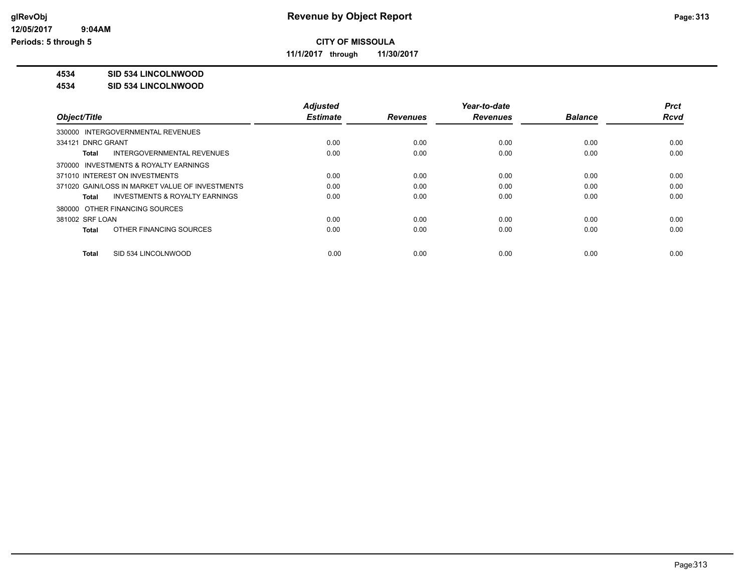**11/1/2017 through 11/30/2017**

### **4534 SID 534 LINCOLNWOOD**

#### **4534 SID 534 LINCOLNWOOD**

|                                                    | <b>Adjusted</b> |                 | Year-to-date    |                | <b>Prct</b> |
|----------------------------------------------------|-----------------|-----------------|-----------------|----------------|-------------|
| Object/Title                                       | <b>Estimate</b> | <b>Revenues</b> | <b>Revenues</b> | <b>Balance</b> | <b>Rcvd</b> |
| 330000 INTERGOVERNMENTAL REVENUES                  |                 |                 |                 |                |             |
| 334121 DNRC GRANT                                  | 0.00            | 0.00            | 0.00            | 0.00           | 0.00        |
| INTERGOVERNMENTAL REVENUES<br>Total                | 0.00            | 0.00            | 0.00            | 0.00           | 0.00        |
| 370000 INVESTMENTS & ROYALTY EARNINGS              |                 |                 |                 |                |             |
| 371010 INTEREST ON INVESTMENTS                     | 0.00            | 0.00            | 0.00            | 0.00           | 0.00        |
| 371020 GAIN/LOSS IN MARKET VALUE OF INVESTMENTS    | 0.00            | 0.00            | 0.00            | 0.00           | 0.00        |
| <b>INVESTMENTS &amp; ROYALTY EARNINGS</b><br>Total | 0.00            | 0.00            | 0.00            | 0.00           | 0.00        |
| 380000 OTHER FINANCING SOURCES                     |                 |                 |                 |                |             |
| 381002 SRF LOAN                                    | 0.00            | 0.00            | 0.00            | 0.00           | 0.00        |
| OTHER FINANCING SOURCES<br>Total                   | 0.00            | 0.00            | 0.00            | 0.00           | 0.00        |
| SID 534 LINCOLNWOOD<br>Total                       | 0.00            | 0.00            | 0.00            | 0.00           | 0.00        |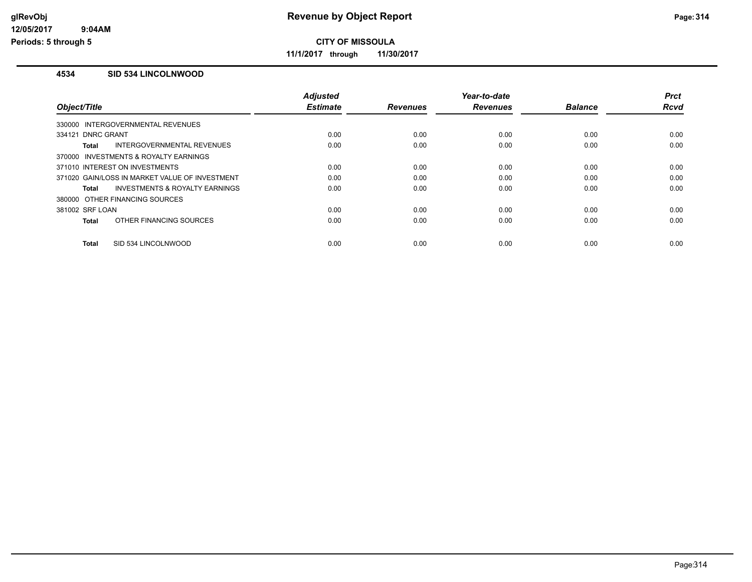**11/1/2017 through 11/30/2017**

### **4534 SID 534 LINCOLNWOOD**

|                                                    | <b>Adjusted</b> |                 | Year-to-date    |                | <b>Prct</b> |
|----------------------------------------------------|-----------------|-----------------|-----------------|----------------|-------------|
| Object/Title                                       | <b>Estimate</b> | <b>Revenues</b> | <b>Revenues</b> | <b>Balance</b> | <b>Rcvd</b> |
| INTERGOVERNMENTAL REVENUES<br>330000               |                 |                 |                 |                |             |
| 334121 DNRC GRANT                                  | 0.00            | 0.00            | 0.00            | 0.00           | 0.00        |
| INTERGOVERNMENTAL REVENUES<br>Total                | 0.00            | 0.00            | 0.00            | 0.00           | 0.00        |
| 370000 INVESTMENTS & ROYALTY EARNINGS              |                 |                 |                 |                |             |
| 371010 INTEREST ON INVESTMENTS                     | 0.00            | 0.00            | 0.00            | 0.00           | 0.00        |
| 371020 GAIN/LOSS IN MARKET VALUE OF INVESTMENT     | 0.00            | 0.00            | 0.00            | 0.00           | 0.00        |
| <b>INVESTMENTS &amp; ROYALTY EARNINGS</b><br>Total | 0.00            | 0.00            | 0.00            | 0.00           | 0.00        |
| 380000 OTHER FINANCING SOURCES                     |                 |                 |                 |                |             |
| 381002 SRF LOAN                                    | 0.00            | 0.00            | 0.00            | 0.00           | 0.00        |
| OTHER FINANCING SOURCES<br><b>Total</b>            | 0.00            | 0.00            | 0.00            | 0.00           | 0.00        |
| SID 534 LINCOLNWOOD<br><b>Total</b>                | 0.00            | 0.00            | 0.00            | 0.00           | 0.00        |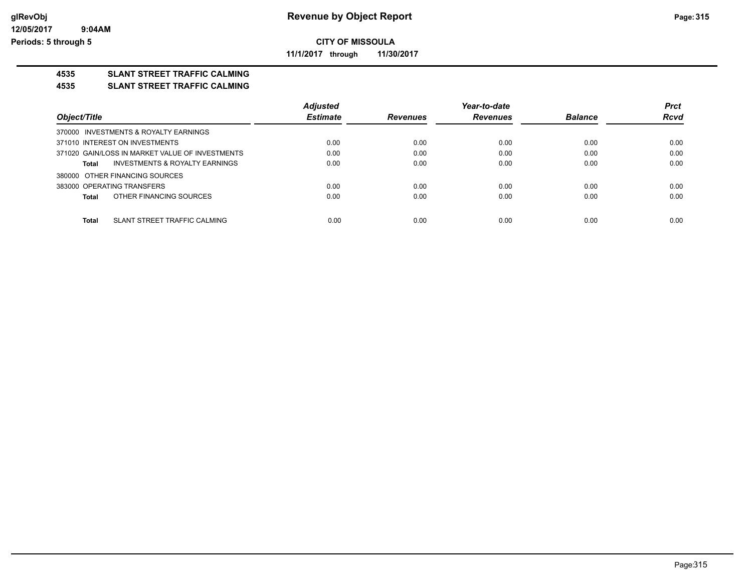**11/1/2017 through 11/30/2017**

# **4535 SLANT STREET TRAFFIC CALMING**

### **4535 SLANT STREET TRAFFIC CALMING**

| <b>Adjusted</b> |                 | Year-to-date    |                | <b>Prct</b> |
|-----------------|-----------------|-----------------|----------------|-------------|
| <b>Estimate</b> | <b>Revenues</b> | <b>Revenues</b> | <b>Balance</b> | <b>Rcvd</b> |
|                 |                 |                 |                |             |
| 0.00            | 0.00            | 0.00            | 0.00           | 0.00        |
| 0.00            | 0.00            | 0.00            | 0.00           | 0.00        |
| 0.00            | 0.00            | 0.00            | 0.00           | 0.00        |
|                 |                 |                 |                |             |
| 0.00            | 0.00            | 0.00            | 0.00           | 0.00        |
| 0.00            | 0.00            | 0.00            | 0.00           | 0.00        |
|                 |                 |                 |                | 0.00        |
|                 | 0.00            | 0.00            | 0.00           | 0.00        |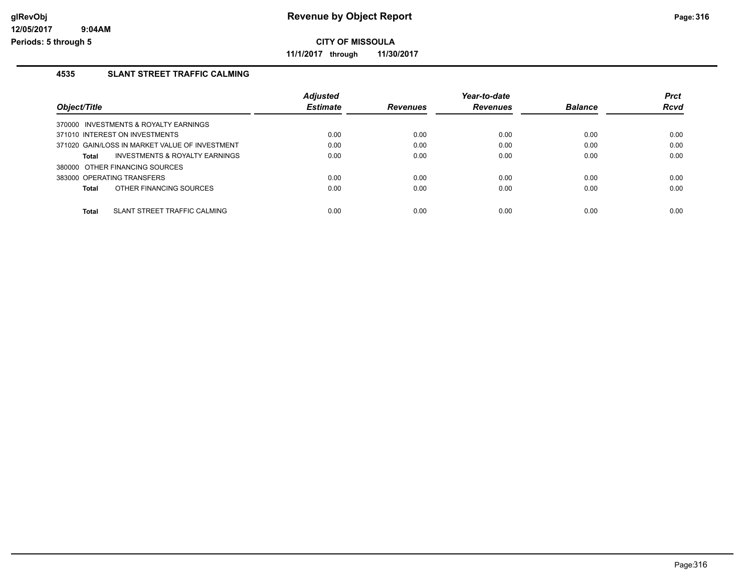**11/1/2017 through 11/30/2017**

### **4535 SLANT STREET TRAFFIC CALMING**

|                                                    | <b>Adjusted</b> |                 | Year-to-date    |                | <b>Prct</b> |
|----------------------------------------------------|-----------------|-----------------|-----------------|----------------|-------------|
| Object/Title                                       | <b>Estimate</b> | <b>Revenues</b> | <b>Revenues</b> | <b>Balance</b> | <b>Rcvd</b> |
| 370000 INVESTMENTS & ROYALTY EARNINGS              |                 |                 |                 |                |             |
| 371010 INTEREST ON INVESTMENTS                     | 0.00            | 0.00            | 0.00            | 0.00           | 0.00        |
| 371020 GAIN/LOSS IN MARKET VALUE OF INVESTMENT     | 0.00            | 0.00            | 0.00            | 0.00           | 0.00        |
| <b>INVESTMENTS &amp; ROYALTY EARNINGS</b><br>Total | 0.00            | 0.00            | 0.00            | 0.00           | 0.00        |
| 380000 OTHER FINANCING SOURCES                     |                 |                 |                 |                |             |
| 383000 OPERATING TRANSFERS                         | 0.00            | 0.00            | 0.00            | 0.00           | 0.00        |
| OTHER FINANCING SOURCES<br>Total                   | 0.00            | 0.00            | 0.00            | 0.00           | 0.00        |
|                                                    |                 |                 |                 |                |             |
| Total<br>SLANT STREET TRAFFIC CALMING              | 0.00            | 0.00            | 0.00            | 0.00           | 0.00        |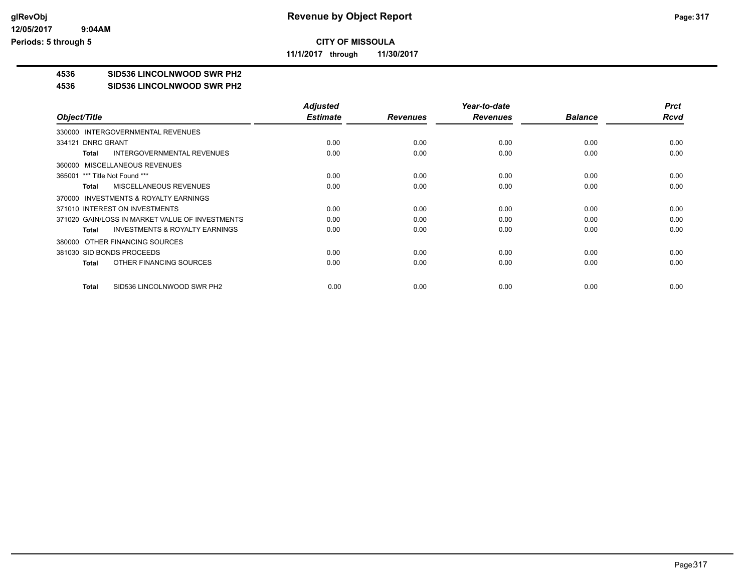**11/1/2017 through 11/30/2017**

## **4536 SID536 LINCOLNWOOD SWR PH2**

### **4536 SID536 LINCOLNWOOD SWR PH2**

|                                                    | <b>Adjusted</b> |                 | Year-to-date    |                | <b>Prct</b> |
|----------------------------------------------------|-----------------|-----------------|-----------------|----------------|-------------|
| Object/Title                                       | <b>Estimate</b> | <b>Revenues</b> | <b>Revenues</b> | <b>Balance</b> | Rcvd        |
| 330000 INTERGOVERNMENTAL REVENUES                  |                 |                 |                 |                |             |
| 334121 DNRC GRANT                                  | 0.00            | 0.00            | 0.00            | 0.00           | 0.00        |
| <b>INTERGOVERNMENTAL REVENUES</b><br>Total         | 0.00            | 0.00            | 0.00            | 0.00           | 0.00        |
| 360000 MISCELLANEOUS REVENUES                      |                 |                 |                 |                |             |
| 365001 *** Title Not Found ***                     | 0.00            | 0.00            | 0.00            | 0.00           | 0.00        |
| MISCELLANEOUS REVENUES<br>Total                    | 0.00            | 0.00            | 0.00            | 0.00           | 0.00        |
| 370000 INVESTMENTS & ROYALTY EARNINGS              |                 |                 |                 |                |             |
| 371010 INTEREST ON INVESTMENTS                     | 0.00            | 0.00            | 0.00            | 0.00           | 0.00        |
| 371020 GAIN/LOSS IN MARKET VALUE OF INVESTMENTS    | 0.00            | 0.00            | 0.00            | 0.00           | 0.00        |
| <b>INVESTMENTS &amp; ROYALTY EARNINGS</b><br>Total | 0.00            | 0.00            | 0.00            | 0.00           | 0.00        |
| 380000 OTHER FINANCING SOURCES                     |                 |                 |                 |                |             |
| 381030 SID BONDS PROCEEDS                          | 0.00            | 0.00            | 0.00            | 0.00           | 0.00        |
| OTHER FINANCING SOURCES<br>Total                   | 0.00            | 0.00            | 0.00            | 0.00           | 0.00        |
|                                                    |                 |                 |                 |                |             |
| SID536 LINCOLNWOOD SWR PH2<br>Total                | 0.00            | 0.00            | 0.00            | 0.00           | 0.00        |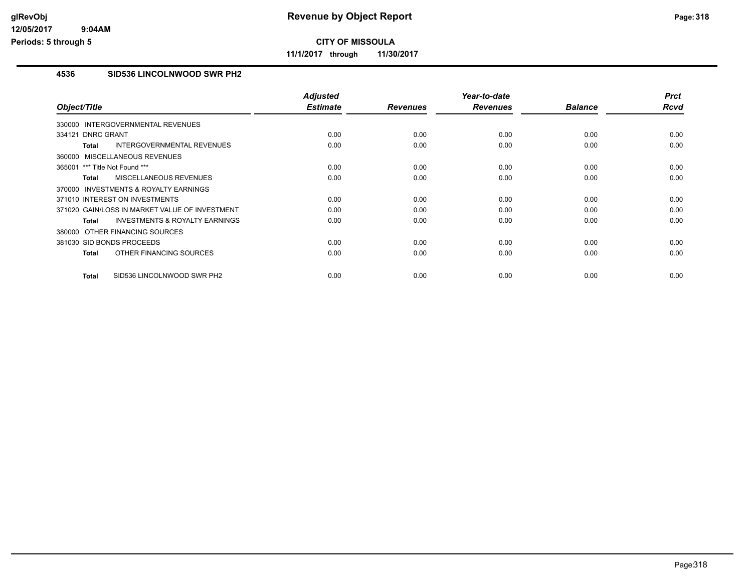**11/1/2017 through 11/30/2017**

### **4536 SID536 LINCOLNWOOD SWR PH2**

| Object/Title                                              | <b>Adjusted</b><br><b>Estimate</b> | <b>Revenues</b> | Year-to-date<br><b>Revenues</b> | <b>Balance</b> | <b>Prct</b><br><b>Rcvd</b> |
|-----------------------------------------------------------|------------------------------------|-----------------|---------------------------------|----------------|----------------------------|
|                                                           |                                    |                 |                                 |                |                            |
| INTERGOVERNMENTAL REVENUES<br>330000                      |                                    |                 |                                 |                |                            |
| 334121 DNRC GRANT                                         | 0.00                               | 0.00            | 0.00                            | 0.00           | 0.00                       |
| INTERGOVERNMENTAL REVENUES<br><b>Total</b>                | 0.00                               | 0.00            | 0.00                            | 0.00           | 0.00                       |
| MISCELLANEOUS REVENUES<br>360000                          |                                    |                 |                                 |                |                            |
| 365001 *** Title Not Found ***                            | 0.00                               | 0.00            | 0.00                            | 0.00           | 0.00                       |
| <b>MISCELLANEOUS REVENUES</b><br><b>Total</b>             | 0.00                               | 0.00            | 0.00                            | 0.00           | 0.00                       |
| 370000 INVESTMENTS & ROYALTY EARNINGS                     |                                    |                 |                                 |                |                            |
| 371010 INTEREST ON INVESTMENTS                            | 0.00                               | 0.00            | 0.00                            | 0.00           | 0.00                       |
| 371020 GAIN/LOSS IN MARKET VALUE OF INVESTMENT            | 0.00                               | 0.00            | 0.00                            | 0.00           | 0.00                       |
| <b>INVESTMENTS &amp; ROYALTY EARNINGS</b><br><b>Total</b> | 0.00                               | 0.00            | 0.00                            | 0.00           | 0.00                       |
| 380000 OTHER FINANCING SOURCES                            |                                    |                 |                                 |                |                            |
| 381030 SID BONDS PROCEEDS                                 | 0.00                               | 0.00            | 0.00                            | 0.00           | 0.00                       |
| OTHER FINANCING SOURCES<br><b>Total</b>                   | 0.00                               | 0.00            | 0.00                            | 0.00           | 0.00                       |
|                                                           |                                    |                 |                                 |                |                            |
| SID536 LINCOLNWOOD SWR PH2<br><b>Total</b>                | 0.00                               | 0.00            | 0.00                            | 0.00           | 0.00                       |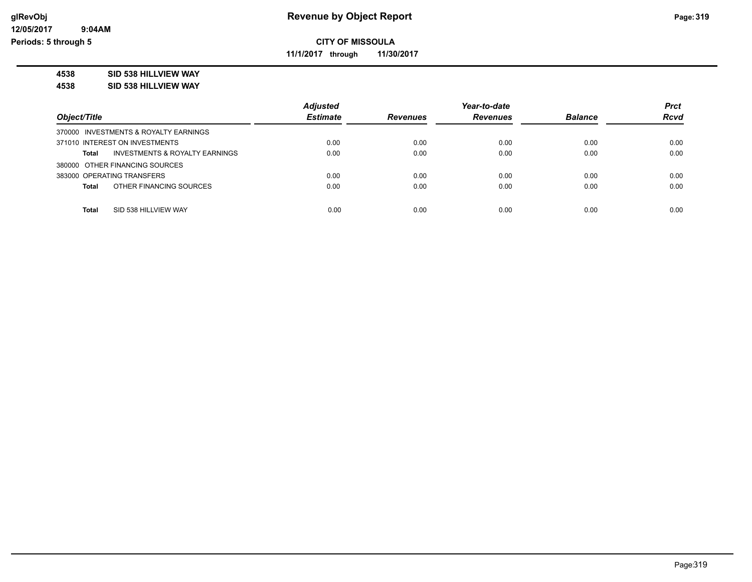**11/1/2017 through 11/30/2017**

### **4538 SID 538 HILLVIEW WAY**

**4538 SID 538 HILLVIEW WAY**

|                                                           | <b>Adjusted</b> |                 | Year-to-date    |                | <b>Prct</b> |
|-----------------------------------------------------------|-----------------|-----------------|-----------------|----------------|-------------|
| Object/Title                                              | <b>Estimate</b> | <b>Revenues</b> | <b>Revenues</b> | <b>Balance</b> | <b>Rcvd</b> |
| 370000 INVESTMENTS & ROYALTY EARNINGS                     |                 |                 |                 |                |             |
| 371010 INTEREST ON INVESTMENTS                            | 0.00            | 0.00            | 0.00            | 0.00           | 0.00        |
| <b>INVESTMENTS &amp; ROYALTY EARNINGS</b><br><b>Total</b> | 0.00            | 0.00            | 0.00            | 0.00           | 0.00        |
| 380000 OTHER FINANCING SOURCES                            |                 |                 |                 |                |             |
| 383000 OPERATING TRANSFERS                                | 0.00            | 0.00            | 0.00            | 0.00           | 0.00        |
| OTHER FINANCING SOURCES<br><b>Total</b>                   | 0.00            | 0.00            | 0.00            | 0.00           | 0.00        |
|                                                           |                 |                 |                 |                |             |
| SID 538 HILLVIEW WAY<br><b>Total</b>                      | 0.00            | 0.00            | 0.00            | 0.00           | 0.00        |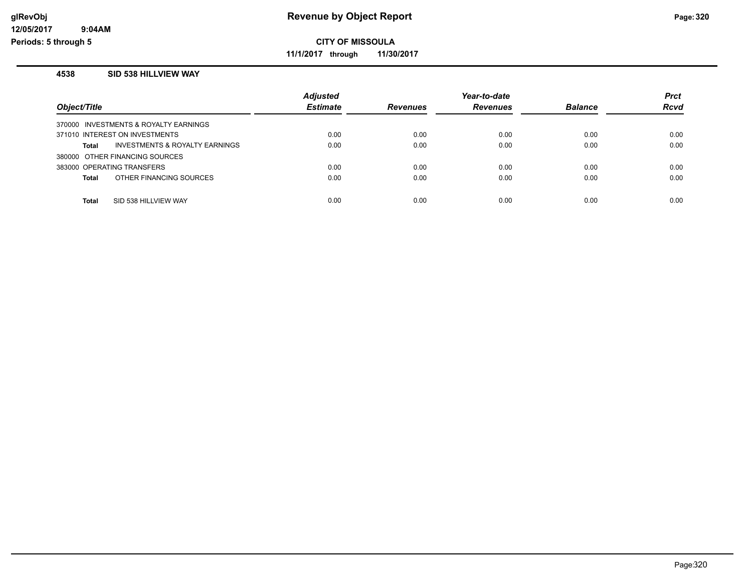**11/1/2017 through 11/30/2017**

### **4538 SID 538 HILLVIEW WAY**

| Object/Title                            | <b>Adjusted</b><br><b>Estimate</b> | <b>Revenues</b> | Year-to-date<br><b>Revenues</b> | <b>Balance</b> | <b>Prct</b><br><b>Rcvd</b> |
|-----------------------------------------|------------------------------------|-----------------|---------------------------------|----------------|----------------------------|
| 370000 INVESTMENTS & ROYALTY EARNINGS   |                                    |                 |                                 |                |                            |
| 371010 INTEREST ON INVESTMENTS          | 0.00                               | 0.00            | 0.00                            | 0.00           | 0.00                       |
| INVESTMENTS & ROYALTY EARNINGS<br>Total | 0.00                               | 0.00            | 0.00                            | 0.00           | 0.00                       |
| 380000 OTHER FINANCING SOURCES          |                                    |                 |                                 |                |                            |
| 383000 OPERATING TRANSFERS              | 0.00                               | 0.00            | 0.00                            | 0.00           | 0.00                       |
| OTHER FINANCING SOURCES<br><b>Total</b> | 0.00                               | 0.00            | 0.00                            | 0.00           | 0.00                       |
|                                         |                                    |                 |                                 |                |                            |
| SID 538 HILLVIEW WAY<br>Total           | 0.00                               | 0.00            | 0.00                            | 0.00           | 0.00                       |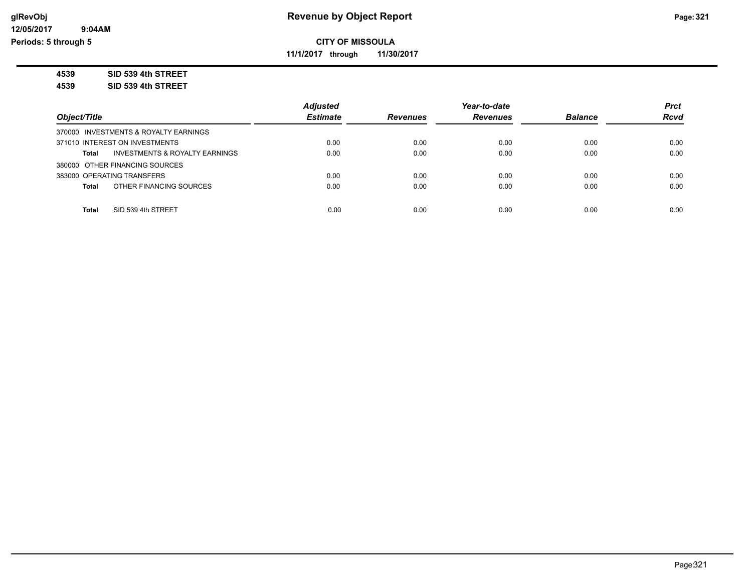**11/1/2017 through 11/30/2017**

**4539 SID 539 4th STREET**

**4539 SID 539 4th STREET**

|                                                | <b>Adjusted</b> |                 | Year-to-date    |                | <b>Prct</b> |
|------------------------------------------------|-----------------|-----------------|-----------------|----------------|-------------|
| Object/Title                                   | <b>Estimate</b> | <b>Revenues</b> | <b>Revenues</b> | <b>Balance</b> | <b>Rcvd</b> |
| 370000 INVESTMENTS & ROYALTY EARNINGS          |                 |                 |                 |                |             |
| 371010 INTEREST ON INVESTMENTS                 | 0.00            | 0.00            | 0.00            | 0.00           | 0.00        |
| INVESTMENTS & ROYALTY EARNINGS<br><b>Total</b> | 0.00            | 0.00            | 0.00            | 0.00           | 0.00        |
| 380000 OTHER FINANCING SOURCES                 |                 |                 |                 |                |             |
| 383000 OPERATING TRANSFERS                     | 0.00            | 0.00            | 0.00            | 0.00           | 0.00        |
| OTHER FINANCING SOURCES<br><b>Total</b>        | 0.00            | 0.00            | 0.00            | 0.00           | 0.00        |
|                                                |                 |                 |                 |                |             |
| SID 539 4th STREET<br><b>Total</b>             | 0.00            | 0.00            | 0.00            | 0.00           | 0.00        |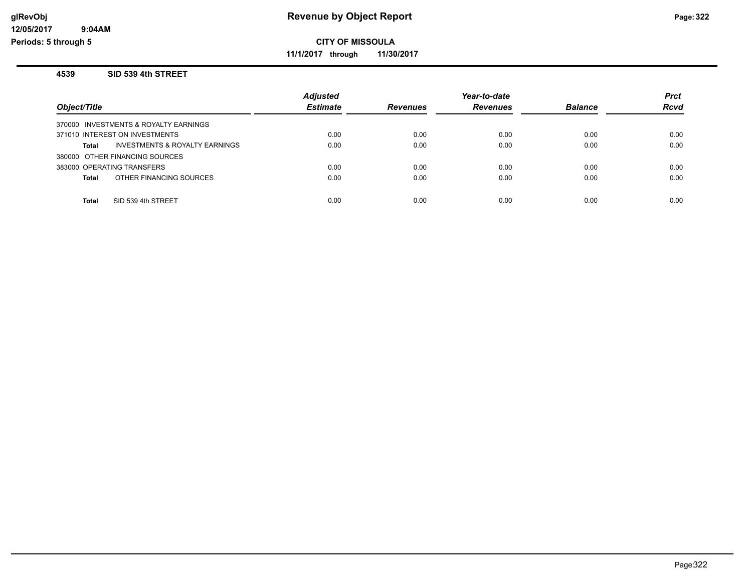**11/1/2017 through 11/30/2017**

#### **4539 SID 539 4th STREET**

| Object/Title                                       | <b>Adjusted</b><br><b>Estimate</b> | <b>Revenues</b> | Year-to-date<br><b>Revenues</b> | <b>Balance</b> | <b>Prct</b><br><b>Rcvd</b> |
|----------------------------------------------------|------------------------------------|-----------------|---------------------------------|----------------|----------------------------|
| 370000 INVESTMENTS & ROYALTY EARNINGS              |                                    |                 |                                 |                |                            |
| 371010 INTEREST ON INVESTMENTS                     | 0.00                               | 0.00            | 0.00                            | 0.00           | 0.00                       |
| <b>INVESTMENTS &amp; ROYALTY EARNINGS</b><br>Total | 0.00                               | 0.00            | 0.00                            | 0.00           | 0.00                       |
| 380000 OTHER FINANCING SOURCES                     |                                    |                 |                                 |                |                            |
| 383000 OPERATING TRANSFERS                         | 0.00                               | 0.00            | 0.00                            | 0.00           | 0.00                       |
| OTHER FINANCING SOURCES<br><b>Total</b>            | 0.00                               | 0.00            | 0.00                            | 0.00           | 0.00                       |
|                                                    |                                    |                 |                                 |                |                            |
| SID 539 4th STREET<br><b>Total</b>                 | 0.00                               | 0.00            | 0.00                            | 0.00           | 0.00                       |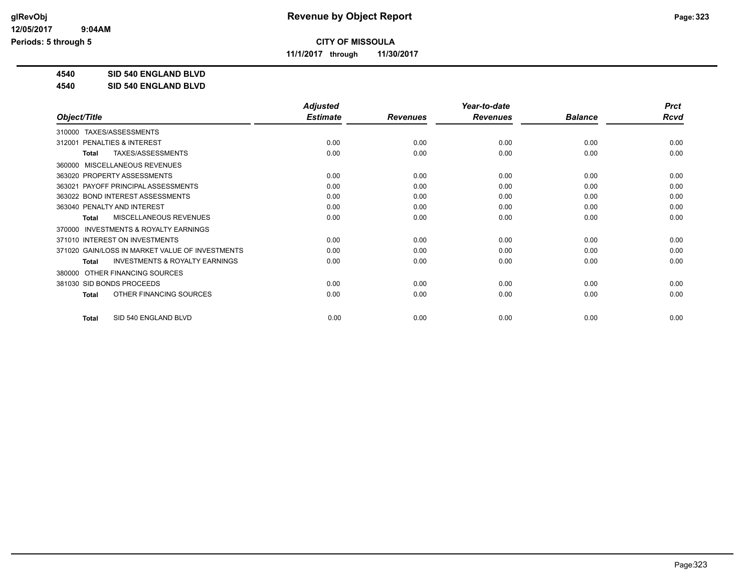**11/1/2017 through 11/30/2017**

**4540 SID 540 ENGLAND BLVD**

**4540 SID 540 ENGLAND BLVD**

|                                                           | <b>Adjusted</b> |                 | Year-to-date    |                | <b>Prct</b> |
|-----------------------------------------------------------|-----------------|-----------------|-----------------|----------------|-------------|
| Object/Title                                              | <b>Estimate</b> | <b>Revenues</b> | <b>Revenues</b> | <b>Balance</b> | <b>Rcvd</b> |
| TAXES/ASSESSMENTS<br>310000                               |                 |                 |                 |                |             |
| PENALTIES & INTEREST<br>312001                            | 0.00            | 0.00            | 0.00            | 0.00           | 0.00        |
| TAXES/ASSESSMENTS<br><b>Total</b>                         | 0.00            | 0.00            | 0.00            | 0.00           | 0.00        |
| MISCELLANEOUS REVENUES<br>360000                          |                 |                 |                 |                |             |
| 363020 PROPERTY ASSESSMENTS                               | 0.00            | 0.00            | 0.00            | 0.00           | 0.00        |
| 363021 PAYOFF PRINCIPAL ASSESSMENTS                       | 0.00            | 0.00            | 0.00            | 0.00           | 0.00        |
| 363022 BOND INTEREST ASSESSMENTS                          | 0.00            | 0.00            | 0.00            | 0.00           | 0.00        |
| 363040 PENALTY AND INTEREST                               | 0.00            | 0.00            | 0.00            | 0.00           | 0.00        |
| <b>MISCELLANEOUS REVENUES</b><br><b>Total</b>             | 0.00            | 0.00            | 0.00            | 0.00           | 0.00        |
| <b>INVESTMENTS &amp; ROYALTY EARNINGS</b><br>370000       |                 |                 |                 |                |             |
| 371010 INTEREST ON INVESTMENTS                            | 0.00            | 0.00            | 0.00            | 0.00           | 0.00        |
| 371020 GAIN/LOSS IN MARKET VALUE OF INVESTMENTS           | 0.00            | 0.00            | 0.00            | 0.00           | 0.00        |
| <b>INVESTMENTS &amp; ROYALTY EARNINGS</b><br><b>Total</b> | 0.00            | 0.00            | 0.00            | 0.00           | 0.00        |
| OTHER FINANCING SOURCES<br>380000                         |                 |                 |                 |                |             |
| 381030 SID BONDS PROCEEDS                                 | 0.00            | 0.00            | 0.00            | 0.00           | 0.00        |
| OTHER FINANCING SOURCES<br><b>Total</b>                   | 0.00            | 0.00            | 0.00            | 0.00           | 0.00        |
|                                                           |                 |                 |                 |                |             |
| SID 540 ENGLAND BLVD<br><b>Total</b>                      | 0.00            | 0.00            | 0.00            | 0.00           | 0.00        |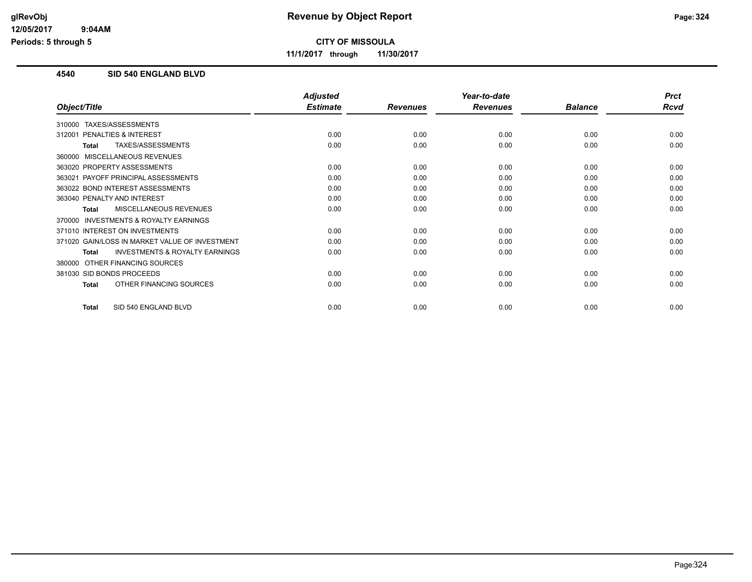**11/1/2017 through 11/30/2017**

### **4540 SID 540 ENGLAND BLVD**

|                                                           | <b>Adjusted</b> |                 | Year-to-date    |                | <b>Prct</b> |
|-----------------------------------------------------------|-----------------|-----------------|-----------------|----------------|-------------|
| Object/Title                                              | <b>Estimate</b> | <b>Revenues</b> | <b>Revenues</b> | <b>Balance</b> | <b>Rcvd</b> |
| TAXES/ASSESSMENTS<br>310000                               |                 |                 |                 |                |             |
| PENALTIES & INTEREST<br>312001                            | 0.00            | 0.00            | 0.00            | 0.00           | 0.00        |
| TAXES/ASSESSMENTS<br><b>Total</b>                         | 0.00            | 0.00            | 0.00            | 0.00           | 0.00        |
| MISCELLANEOUS REVENUES<br>360000                          |                 |                 |                 |                |             |
| 363020 PROPERTY ASSESSMENTS                               | 0.00            | 0.00            | 0.00            | 0.00           | 0.00        |
| PAYOFF PRINCIPAL ASSESSMENTS<br>363021                    | 0.00            | 0.00            | 0.00            | 0.00           | 0.00        |
| 363022 BOND INTEREST ASSESSMENTS                          | 0.00            | 0.00            | 0.00            | 0.00           | 0.00        |
| 363040 PENALTY AND INTEREST                               | 0.00            | 0.00            | 0.00            | 0.00           | 0.00        |
| <b>MISCELLANEOUS REVENUES</b><br>Total                    | 0.00            | 0.00            | 0.00            | 0.00           | 0.00        |
| 370000 INVESTMENTS & ROYALTY EARNINGS                     |                 |                 |                 |                |             |
| 371010 INTEREST ON INVESTMENTS                            | 0.00            | 0.00            | 0.00            | 0.00           | 0.00        |
| 371020 GAIN/LOSS IN MARKET VALUE OF INVESTMENT            | 0.00            | 0.00            | 0.00            | 0.00           | 0.00        |
| <b>INVESTMENTS &amp; ROYALTY EARNINGS</b><br><b>Total</b> | 0.00            | 0.00            | 0.00            | 0.00           | 0.00        |
| OTHER FINANCING SOURCES<br>380000                         |                 |                 |                 |                |             |
| 381030 SID BONDS PROCEEDS                                 | 0.00            | 0.00            | 0.00            | 0.00           | 0.00        |
| OTHER FINANCING SOURCES<br><b>Total</b>                   | 0.00            | 0.00            | 0.00            | 0.00           | 0.00        |
| SID 540 ENGLAND BLVD<br><b>Total</b>                      | 0.00            | 0.00            | 0.00            | 0.00           | 0.00        |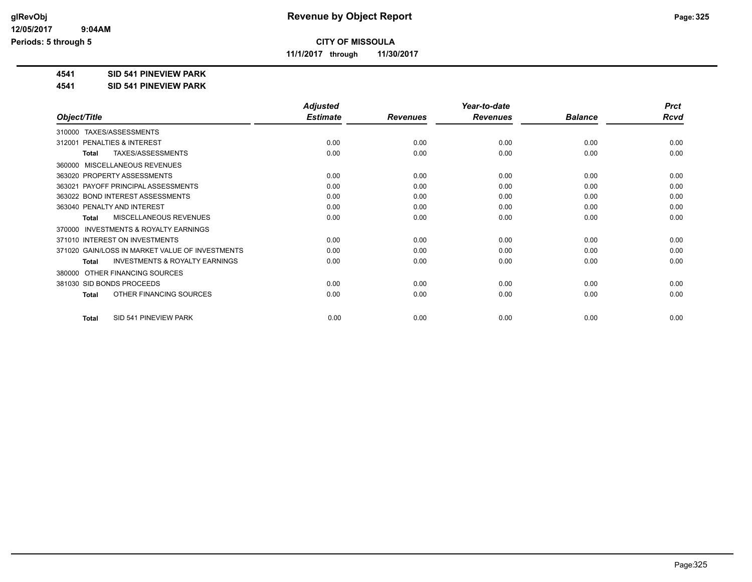**11/1/2017 through 11/30/2017**

#### **4541 SID 541 PINEVIEW PARK**

**4541 SID 541 PINEVIEW PARK**

|                                                           | <b>Adjusted</b> |                 | Year-to-date    |                | <b>Prct</b> |
|-----------------------------------------------------------|-----------------|-----------------|-----------------|----------------|-------------|
| Object/Title                                              | <b>Estimate</b> | <b>Revenues</b> | <b>Revenues</b> | <b>Balance</b> | <b>Rcvd</b> |
| TAXES/ASSESSMENTS<br>310000                               |                 |                 |                 |                |             |
| PENALTIES & INTEREST<br>312001                            | 0.00            | 0.00            | 0.00            | 0.00           | 0.00        |
| TAXES/ASSESSMENTS<br><b>Total</b>                         | 0.00            | 0.00            | 0.00            | 0.00           | 0.00        |
| MISCELLANEOUS REVENUES<br>360000                          |                 |                 |                 |                |             |
| 363020 PROPERTY ASSESSMENTS                               | 0.00            | 0.00            | 0.00            | 0.00           | 0.00        |
| 363021 PAYOFF PRINCIPAL ASSESSMENTS                       | 0.00            | 0.00            | 0.00            | 0.00           | 0.00        |
| 363022 BOND INTEREST ASSESSMENTS                          | 0.00            | 0.00            | 0.00            | 0.00           | 0.00        |
| 363040 PENALTY AND INTEREST                               | 0.00            | 0.00            | 0.00            | 0.00           | 0.00        |
| <b>MISCELLANEOUS REVENUES</b><br><b>Total</b>             | 0.00            | 0.00            | 0.00            | 0.00           | 0.00        |
| <b>INVESTMENTS &amp; ROYALTY EARNINGS</b><br>370000       |                 |                 |                 |                |             |
| 371010 INTEREST ON INVESTMENTS                            | 0.00            | 0.00            | 0.00            | 0.00           | 0.00        |
| 371020 GAIN/LOSS IN MARKET VALUE OF INVESTMENTS           | 0.00            | 0.00            | 0.00            | 0.00           | 0.00        |
| <b>INVESTMENTS &amp; ROYALTY EARNINGS</b><br><b>Total</b> | 0.00            | 0.00            | 0.00            | 0.00           | 0.00        |
| OTHER FINANCING SOURCES<br>380000                         |                 |                 |                 |                |             |
| 381030 SID BONDS PROCEEDS                                 | 0.00            | 0.00            | 0.00            | 0.00           | 0.00        |
| OTHER FINANCING SOURCES<br><b>Total</b>                   | 0.00            | 0.00            | 0.00            | 0.00           | 0.00        |
|                                                           |                 |                 |                 |                |             |
| SID 541 PINEVIEW PARK<br><b>Total</b>                     | 0.00            | 0.00            | 0.00            | 0.00           | 0.00        |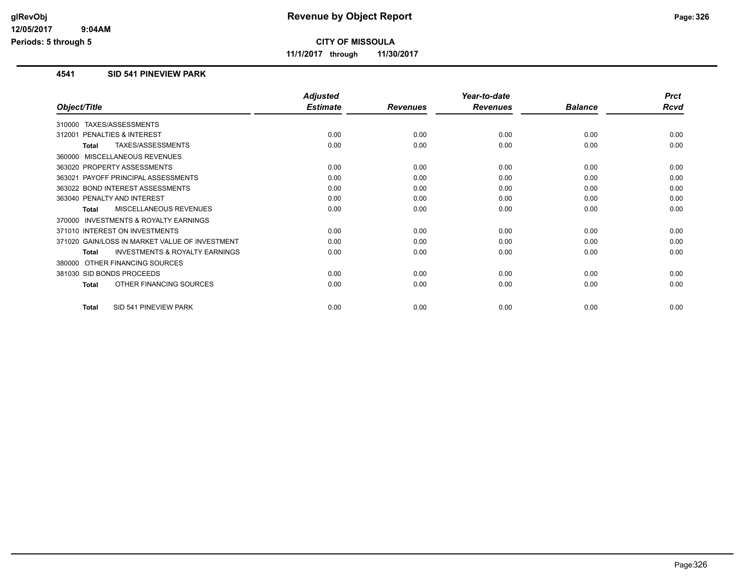**11/1/2017 through 11/30/2017**

#### **4541 SID 541 PINEVIEW PARK**

|                                                           | <b>Adjusted</b> |                 | Year-to-date    |                | <b>Prct</b> |
|-----------------------------------------------------------|-----------------|-----------------|-----------------|----------------|-------------|
| Object/Title                                              | <b>Estimate</b> | <b>Revenues</b> | <b>Revenues</b> | <b>Balance</b> | <b>Rcvd</b> |
| TAXES/ASSESSMENTS<br>310000                               |                 |                 |                 |                |             |
| PENALTIES & INTEREST<br>312001                            | 0.00            | 0.00            | 0.00            | 0.00           | 0.00        |
| TAXES/ASSESSMENTS<br><b>Total</b>                         | 0.00            | 0.00            | 0.00            | 0.00           | 0.00        |
| MISCELLANEOUS REVENUES<br>360000                          |                 |                 |                 |                |             |
| 363020 PROPERTY ASSESSMENTS                               | 0.00            | 0.00            | 0.00            | 0.00           | 0.00        |
| PAYOFF PRINCIPAL ASSESSMENTS<br>363021                    | 0.00            | 0.00            | 0.00            | 0.00           | 0.00        |
| 363022 BOND INTEREST ASSESSMENTS                          | 0.00            | 0.00            | 0.00            | 0.00           | 0.00        |
| 363040 PENALTY AND INTEREST                               | 0.00            | 0.00            | 0.00            | 0.00           | 0.00        |
| <b>MISCELLANEOUS REVENUES</b><br><b>Total</b>             | 0.00            | 0.00            | 0.00            | 0.00           | 0.00        |
| <b>INVESTMENTS &amp; ROYALTY EARNINGS</b><br>370000       |                 |                 |                 |                |             |
| 371010 INTEREST ON INVESTMENTS                            | 0.00            | 0.00            | 0.00            | 0.00           | 0.00        |
| 371020 GAIN/LOSS IN MARKET VALUE OF INVESTMENT            | 0.00            | 0.00            | 0.00            | 0.00           | 0.00        |
| <b>INVESTMENTS &amp; ROYALTY EARNINGS</b><br><b>Total</b> | 0.00            | 0.00            | 0.00            | 0.00           | 0.00        |
| OTHER FINANCING SOURCES<br>380000                         |                 |                 |                 |                |             |
| 381030 SID BONDS PROCEEDS                                 | 0.00            | 0.00            | 0.00            | 0.00           | 0.00        |
| OTHER FINANCING SOURCES<br><b>Total</b>                   | 0.00            | 0.00            | 0.00            | 0.00           | 0.00        |
| SID 541 PINEVIEW PARK<br><b>Total</b>                     | 0.00            | 0.00            | 0.00            | 0.00           | 0.00        |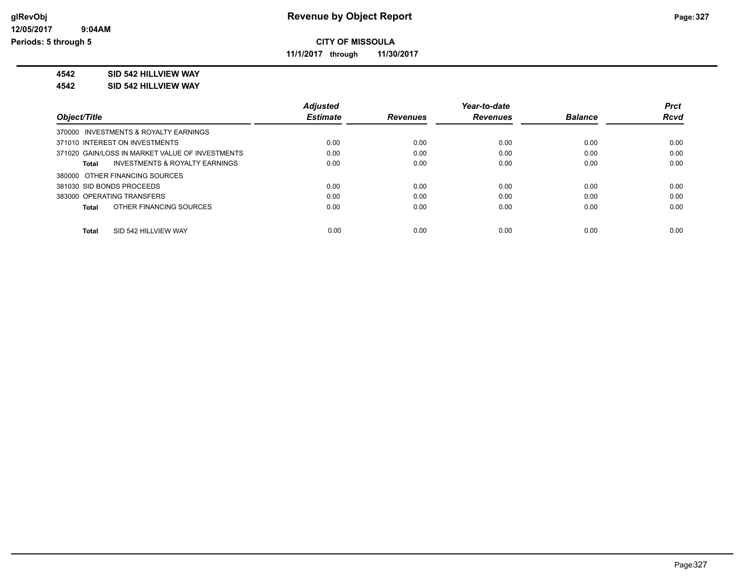**11/1/2017 through 11/30/2017**

#### **4542 SID 542 HILLVIEW WAY**

**4542 SID 542 HILLVIEW WAY**

|                                                    | <b>Adjusted</b> |                 | Year-to-date    |                | <b>Prct</b> |
|----------------------------------------------------|-----------------|-----------------|-----------------|----------------|-------------|
| Object/Title                                       | <b>Estimate</b> | <b>Revenues</b> | <b>Revenues</b> | <b>Balance</b> | <b>Rcvd</b> |
| 370000 INVESTMENTS & ROYALTY EARNINGS              |                 |                 |                 |                |             |
| 371010 INTEREST ON INVESTMENTS                     | 0.00            | 0.00            | 0.00            | 0.00           | 0.00        |
| 371020 GAIN/LOSS IN MARKET VALUE OF INVESTMENTS    | 0.00            | 0.00            | 0.00            | 0.00           | 0.00        |
| <b>INVESTMENTS &amp; ROYALTY EARNINGS</b><br>Total | 0.00            | 0.00            | 0.00            | 0.00           | 0.00        |
| 380000 OTHER FINANCING SOURCES                     |                 |                 |                 |                |             |
| 381030 SID BONDS PROCEEDS                          | 0.00            | 0.00            | 0.00            | 0.00           | 0.00        |
| 383000 OPERATING TRANSFERS                         | 0.00            | 0.00            | 0.00            | 0.00           | 0.00        |
| OTHER FINANCING SOURCES<br><b>Total</b>            | 0.00            | 0.00            | 0.00            | 0.00           | 0.00        |
|                                                    |                 |                 |                 |                |             |
| SID 542 HILLVIEW WAY<br><b>Total</b>               | 0.00            | 0.00            | 0.00            | 0.00           | 0.00        |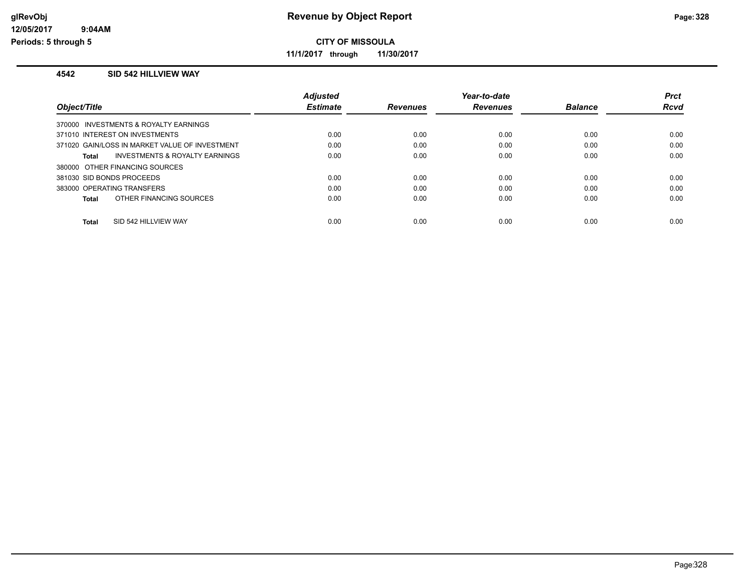**11/1/2017 through 11/30/2017**

#### **4542 SID 542 HILLVIEW WAY**

|                                                | <b>Adjusted</b> |                 | Year-to-date    |                | <b>Prct</b> |
|------------------------------------------------|-----------------|-----------------|-----------------|----------------|-------------|
| Object/Title                                   | <b>Estimate</b> | <b>Revenues</b> | <b>Revenues</b> | <b>Balance</b> | Rcvd        |
| 370000 INVESTMENTS & ROYALTY EARNINGS          |                 |                 |                 |                |             |
| 371010 INTEREST ON INVESTMENTS                 | 0.00            | 0.00            | 0.00            | 0.00           | 0.00        |
| 371020 GAIN/LOSS IN MARKET VALUE OF INVESTMENT | 0.00            | 0.00            | 0.00            | 0.00           | 0.00        |
| INVESTMENTS & ROYALTY EARNINGS<br>Total        | 0.00            | 0.00            | 0.00            | 0.00           | 0.00        |
| 380000 OTHER FINANCING SOURCES                 |                 |                 |                 |                |             |
| 381030 SID BONDS PROCEEDS                      | 0.00            | 0.00            | 0.00            | 0.00           | 0.00        |
| 383000 OPERATING TRANSFERS                     | 0.00            | 0.00            | 0.00            | 0.00           | 0.00        |
| OTHER FINANCING SOURCES<br>Total               | 0.00            | 0.00            | 0.00            | 0.00           | 0.00        |
|                                                |                 |                 |                 |                |             |
| SID 542 HILLVIEW WAY<br><b>Total</b>           | 0.00            | 0.00            | 0.00            | 0.00           | 0.00        |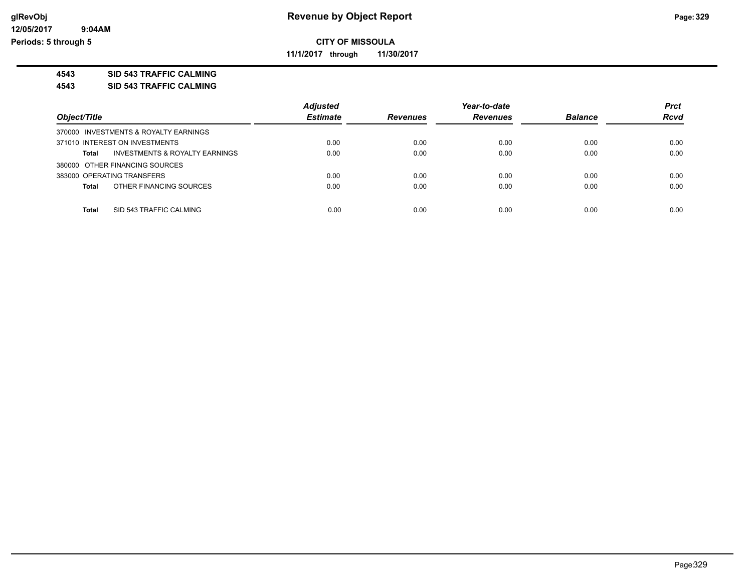**11/1/2017 through 11/30/2017**

#### **4543 SID 543 TRAFFIC CALMING**

#### **4543 SID 543 TRAFFIC CALMING**

|                                                           | <b>Adjusted</b> |                 | Year-to-date    |                | <b>Prct</b> |
|-----------------------------------------------------------|-----------------|-----------------|-----------------|----------------|-------------|
| Object/Title                                              | <b>Estimate</b> | <b>Revenues</b> | <b>Revenues</b> | <b>Balance</b> | <b>Rcvd</b> |
| 370000 INVESTMENTS & ROYALTY EARNINGS                     |                 |                 |                 |                |             |
| 371010 INTEREST ON INVESTMENTS                            | 0.00            | 0.00            | 0.00            | 0.00           | 0.00        |
| <b>INVESTMENTS &amp; ROYALTY EARNINGS</b><br><b>Total</b> | 0.00            | 0.00            | 0.00            | 0.00           | 0.00        |
| 380000 OTHER FINANCING SOURCES                            |                 |                 |                 |                |             |
| 383000 OPERATING TRANSFERS                                | 0.00            | 0.00            | 0.00            | 0.00           | 0.00        |
| OTHER FINANCING SOURCES<br><b>Total</b>                   | 0.00            | 0.00            | 0.00            | 0.00           | 0.00        |
|                                                           |                 |                 |                 |                |             |
| SID 543 TRAFFIC CALMING<br><b>Total</b>                   | 0.00            | 0.00            | 0.00            | 0.00           | 0.00        |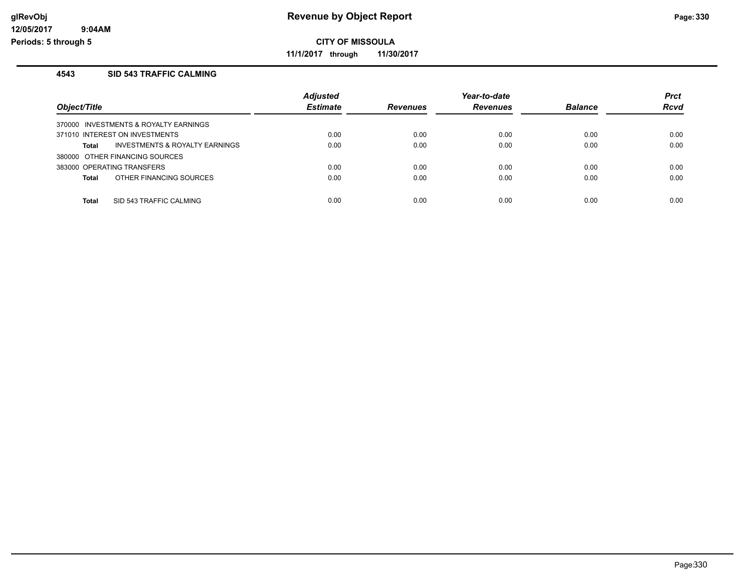**11/1/2017 through 11/30/2017**

#### **4543 SID 543 TRAFFIC CALMING**

| Object/Title                            | <b>Adjusted</b><br><b>Estimate</b> | <b>Revenues</b> | Year-to-date<br><b>Revenues</b> | <b>Balance</b> | <b>Prct</b><br><b>Rcvd</b> |
|-----------------------------------------|------------------------------------|-----------------|---------------------------------|----------------|----------------------------|
| 370000 INVESTMENTS & ROYALTY EARNINGS   |                                    |                 |                                 |                |                            |
| 371010 INTEREST ON INVESTMENTS          | 0.00                               | 0.00            | 0.00                            | 0.00           | 0.00                       |
| INVESTMENTS & ROYALTY EARNINGS<br>Total | 0.00                               | 0.00            | 0.00                            | 0.00           | 0.00                       |
| 380000 OTHER FINANCING SOURCES          |                                    |                 |                                 |                |                            |
| 383000 OPERATING TRANSFERS              | 0.00                               | 0.00            | 0.00                            | 0.00           | 0.00                       |
| OTHER FINANCING SOURCES<br>Total        | 0.00                               | 0.00            | 0.00                            | 0.00           | 0.00                       |
|                                         |                                    |                 |                                 |                |                            |
| SID 543 TRAFFIC CALMING<br><b>Total</b> | 0.00                               | 0.00            | 0.00                            | 0.00           | 0.00                       |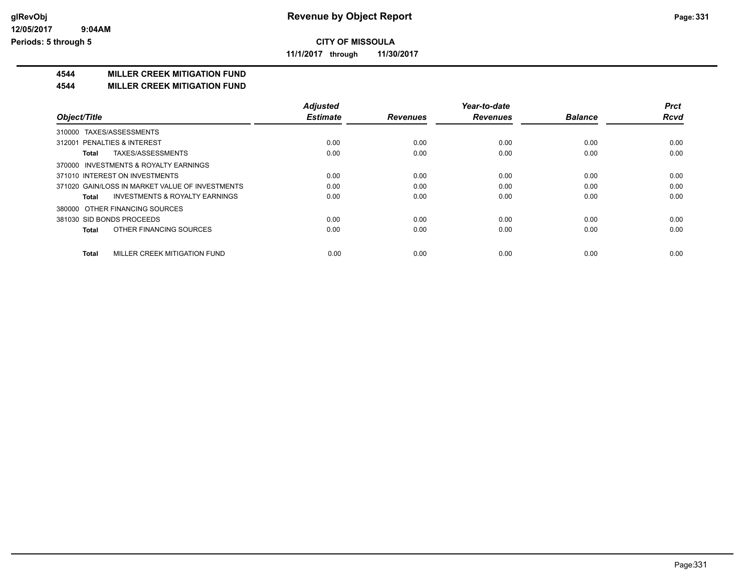**11/1/2017 through 11/30/2017**

# **4544 MILLER CREEK MITIGATION FUND**

#### **4544 MILLER CREEK MITIGATION FUND**

|                                                    | <b>Adjusted</b> |                 | Year-to-date    |                | <b>Prct</b> |
|----------------------------------------------------|-----------------|-----------------|-----------------|----------------|-------------|
| Object/Title                                       | <b>Estimate</b> | <b>Revenues</b> | <b>Revenues</b> | <b>Balance</b> | <b>Rcvd</b> |
| TAXES/ASSESSMENTS<br>310000                        |                 |                 |                 |                |             |
| 312001 PENALTIES & INTEREST                        | 0.00            | 0.00            | 0.00            | 0.00           | 0.00        |
| TAXES/ASSESSMENTS<br>Total                         | 0.00            | 0.00            | 0.00            | 0.00           | 0.00        |
| 370000 INVESTMENTS & ROYALTY EARNINGS              |                 |                 |                 |                |             |
| 371010 INTEREST ON INVESTMENTS                     | 0.00            | 0.00            | 0.00            | 0.00           | 0.00        |
| 371020 GAIN/LOSS IN MARKET VALUE OF INVESTMENTS    | 0.00            | 0.00            | 0.00            | 0.00           | 0.00        |
| <b>INVESTMENTS &amp; ROYALTY EARNINGS</b><br>Total | 0.00            | 0.00            | 0.00            | 0.00           | 0.00        |
| 380000 OTHER FINANCING SOURCES                     |                 |                 |                 |                |             |
| 381030 SID BONDS PROCEEDS                          | 0.00            | 0.00            | 0.00            | 0.00           | 0.00        |
| OTHER FINANCING SOURCES<br>Total                   | 0.00            | 0.00            | 0.00            | 0.00           | 0.00        |
| MILLER CREEK MITIGATION FUND<br><b>Total</b>       | 0.00            | 0.00            | 0.00            | 0.00           | 0.00        |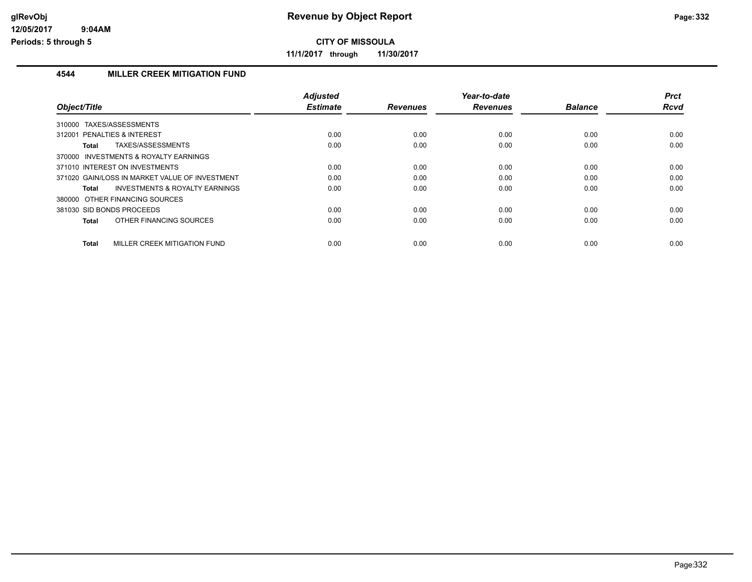**11/1/2017 through 11/30/2017**

### **4544 MILLER CREEK MITIGATION FUND**

|                                                    | <b>Adjusted</b> |                 | Year-to-date    |                | <b>Prct</b> |
|----------------------------------------------------|-----------------|-----------------|-----------------|----------------|-------------|
| Object/Title                                       | <b>Estimate</b> | <b>Revenues</b> | <b>Revenues</b> | <b>Balance</b> | <b>Rcvd</b> |
| TAXES/ASSESSMENTS<br>310000                        |                 |                 |                 |                |             |
| 312001 PENALTIES & INTEREST                        | 0.00            | 0.00            | 0.00            | 0.00           | 0.00        |
| TAXES/ASSESSMENTS<br>Total                         | 0.00            | 0.00            | 0.00            | 0.00           | 0.00        |
| 370000 INVESTMENTS & ROYALTY EARNINGS              |                 |                 |                 |                |             |
| 371010 INTEREST ON INVESTMENTS                     | 0.00            | 0.00            | 0.00            | 0.00           | 0.00        |
| 371020 GAIN/LOSS IN MARKET VALUE OF INVESTMENT     | 0.00            | 0.00            | 0.00            | 0.00           | 0.00        |
| <b>INVESTMENTS &amp; ROYALTY EARNINGS</b><br>Total | 0.00            | 0.00            | 0.00            | 0.00           | 0.00        |
| 380000 OTHER FINANCING SOURCES                     |                 |                 |                 |                |             |
| 381030 SID BONDS PROCEEDS                          | 0.00            | 0.00            | 0.00            | 0.00           | 0.00        |
| OTHER FINANCING SOURCES<br>Total                   | 0.00            | 0.00            | 0.00            | 0.00           | 0.00        |
| <b>Total</b><br>MILLER CREEK MITIGATION FUND       | 0.00            | 0.00            | 0.00            | 0.00           | 0.00        |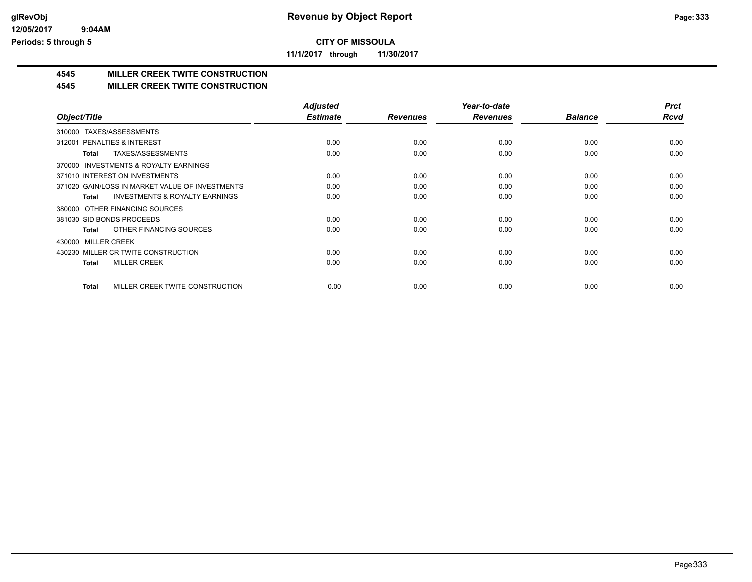**11/1/2017 through 11/30/2017**

# **4545 MILLER CREEK TWITE CONSTRUCTION**

# **4545 MILLER CREEK TWITE CONSTRUCTION**

|                                                     | <b>Adjusted</b> |                 | Year-to-date    |                | <b>Prct</b> |
|-----------------------------------------------------|-----------------|-----------------|-----------------|----------------|-------------|
| Object/Title                                        | <b>Estimate</b> | <b>Revenues</b> | <b>Revenues</b> | <b>Balance</b> | <b>Rcvd</b> |
| TAXES/ASSESSMENTS<br>310000                         |                 |                 |                 |                |             |
| 312001 PENALTIES & INTEREST                         | 0.00            | 0.00            | 0.00            | 0.00           | 0.00        |
| TAXES/ASSESSMENTS<br>Total                          | 0.00            | 0.00            | 0.00            | 0.00           | 0.00        |
| <b>INVESTMENTS &amp; ROYALTY EARNINGS</b><br>370000 |                 |                 |                 |                |             |
| 371010 INTEREST ON INVESTMENTS                      | 0.00            | 0.00            | 0.00            | 0.00           | 0.00        |
| 371020 GAIN/LOSS IN MARKET VALUE OF INVESTMENTS     | 0.00            | 0.00            | 0.00            | 0.00           | 0.00        |
| <b>INVESTMENTS &amp; ROYALTY EARNINGS</b><br>Total  | 0.00            | 0.00            | 0.00            | 0.00           | 0.00        |
| OTHER FINANCING SOURCES<br>380000                   |                 |                 |                 |                |             |
| 381030 SID BONDS PROCEEDS                           | 0.00            | 0.00            | 0.00            | 0.00           | 0.00        |
| OTHER FINANCING SOURCES<br>Total                    | 0.00            | 0.00            | 0.00            | 0.00           | 0.00        |
| <b>MILLER CREEK</b><br>430000                       |                 |                 |                 |                |             |
| 430230 MILLER CR TWITE CONSTRUCTION                 | 0.00            | 0.00            | 0.00            | 0.00           | 0.00        |
| <b>MILLER CREEK</b><br>Total                        | 0.00            | 0.00            | 0.00            | 0.00           | 0.00        |
|                                                     |                 |                 |                 |                |             |
| MILLER CREEK TWITE CONSTRUCTION<br>Total            | 0.00            | 0.00            | 0.00            | 0.00           | 0.00        |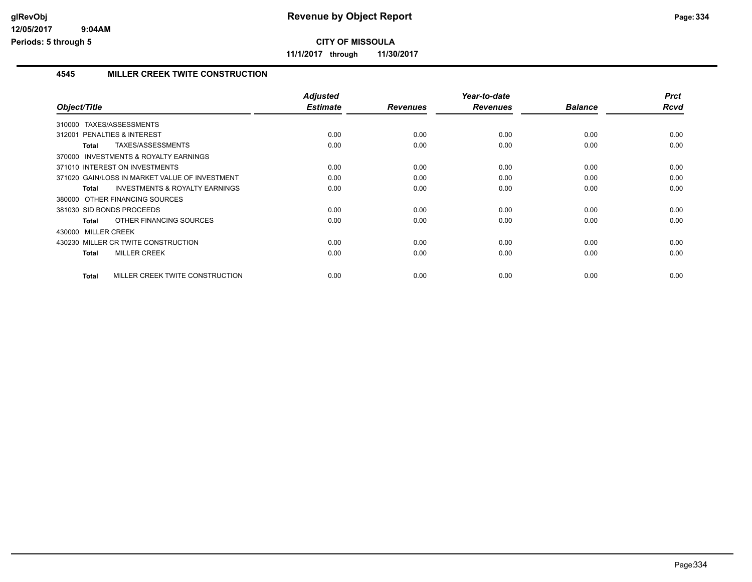**11/1/2017 through 11/30/2017**

# **4545 MILLER CREEK TWITE CONSTRUCTION**

| Object/Title                                              | <b>Adjusted</b><br><b>Estimate</b> | <b>Revenues</b> | Year-to-date<br><b>Revenues</b> | <b>Balance</b> | <b>Prct</b><br><b>Rcvd</b> |
|-----------------------------------------------------------|------------------------------------|-----------------|---------------------------------|----------------|----------------------------|
| 310000 TAXES/ASSESSMENTS                                  |                                    |                 |                                 |                |                            |
| 312001 PENALTIES & INTEREST                               | 0.00                               | 0.00            | 0.00                            | 0.00           | 0.00                       |
| TAXES/ASSESSMENTS<br><b>Total</b>                         | 0.00                               | 0.00            | 0.00                            | 0.00           | 0.00                       |
| 370000 INVESTMENTS & ROYALTY EARNINGS                     |                                    |                 |                                 |                |                            |
| 371010 INTEREST ON INVESTMENTS                            | 0.00                               | 0.00            | 0.00                            | 0.00           | 0.00                       |
| 371020 GAIN/LOSS IN MARKET VALUE OF INVESTMENT            | 0.00                               | 0.00            | 0.00                            | 0.00           | 0.00                       |
| <b>INVESTMENTS &amp; ROYALTY EARNINGS</b><br><b>Total</b> | 0.00                               | 0.00            | 0.00                            | 0.00           | 0.00                       |
| 380000 OTHER FINANCING SOURCES                            |                                    |                 |                                 |                |                            |
| 381030 SID BONDS PROCEEDS                                 | 0.00                               | 0.00            | 0.00                            | 0.00           | 0.00                       |
| OTHER FINANCING SOURCES<br><b>Total</b>                   | 0.00                               | 0.00            | 0.00                            | 0.00           | 0.00                       |
| 430000 MILLER CREEK                                       |                                    |                 |                                 |                |                            |
| 430230 MILLER CR TWITE CONSTRUCTION                       | 0.00                               | 0.00            | 0.00                            | 0.00           | 0.00                       |
| <b>MILLER CREEK</b><br><b>Total</b>                       | 0.00                               | 0.00            | 0.00                            | 0.00           | 0.00                       |
| MILLER CREEK TWITE CONSTRUCTION<br><b>Total</b>           | 0.00                               | 0.00            | 0.00                            | 0.00           | 0.00                       |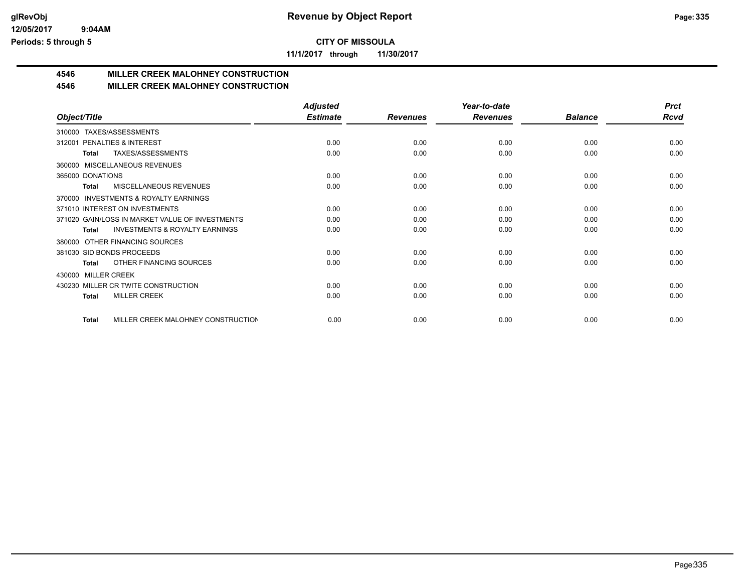**11/1/2017 through 11/30/2017**

# **4546 MILLER CREEK MALOHNEY CONSTRUCTION**

# **4546 MILLER CREEK MALOHNEY CONSTRUCTION**

|                                                           | <b>Adjusted</b> |                 | Year-to-date    |                | <b>Prct</b> |
|-----------------------------------------------------------|-----------------|-----------------|-----------------|----------------|-------------|
| Object/Title                                              | <b>Estimate</b> | <b>Revenues</b> | <b>Revenues</b> | <b>Balance</b> | <b>Rcvd</b> |
| TAXES/ASSESSMENTS<br>310000                               |                 |                 |                 |                |             |
| <b>PENALTIES &amp; INTEREST</b><br>312001                 | 0.00            | 0.00            | 0.00            | 0.00           | 0.00        |
| <b>TAXES/ASSESSMENTS</b><br><b>Total</b>                  | 0.00            | 0.00            | 0.00            | 0.00           | 0.00        |
| MISCELLANEOUS REVENUES<br>360000                          |                 |                 |                 |                |             |
| 365000 DONATIONS                                          | 0.00            | 0.00            | 0.00            | 0.00           | 0.00        |
| MISCELLANEOUS REVENUES<br><b>Total</b>                    | 0.00            | 0.00            | 0.00            | 0.00           | 0.00        |
| <b>INVESTMENTS &amp; ROYALTY EARNINGS</b><br>370000       |                 |                 |                 |                |             |
| 371010 INTEREST ON INVESTMENTS                            | 0.00            | 0.00            | 0.00            | 0.00           | 0.00        |
| 371020 GAIN/LOSS IN MARKET VALUE OF INVESTMENTS           | 0.00            | 0.00            | 0.00            | 0.00           | 0.00        |
| <b>INVESTMENTS &amp; ROYALTY EARNINGS</b><br><b>Total</b> | 0.00            | 0.00            | 0.00            | 0.00           | 0.00        |
| OTHER FINANCING SOURCES<br>380000                         |                 |                 |                 |                |             |
| 381030 SID BONDS PROCEEDS                                 | 0.00            | 0.00            | 0.00            | 0.00           | 0.00        |
| OTHER FINANCING SOURCES<br><b>Total</b>                   | 0.00            | 0.00            | 0.00            | 0.00           | 0.00        |
| <b>MILLER CREEK</b><br>430000                             |                 |                 |                 |                |             |
| 430230 MILLER CR TWITE CONSTRUCTION                       | 0.00            | 0.00            | 0.00            | 0.00           | 0.00        |
| <b>MILLER CREEK</b><br><b>Total</b>                       | 0.00            | 0.00            | 0.00            | 0.00           | 0.00        |
| MILLER CREEK MALOHNEY CONSTRUCTION<br><b>Total</b>        | 0.00            | 0.00            | 0.00            | 0.00           | 0.00        |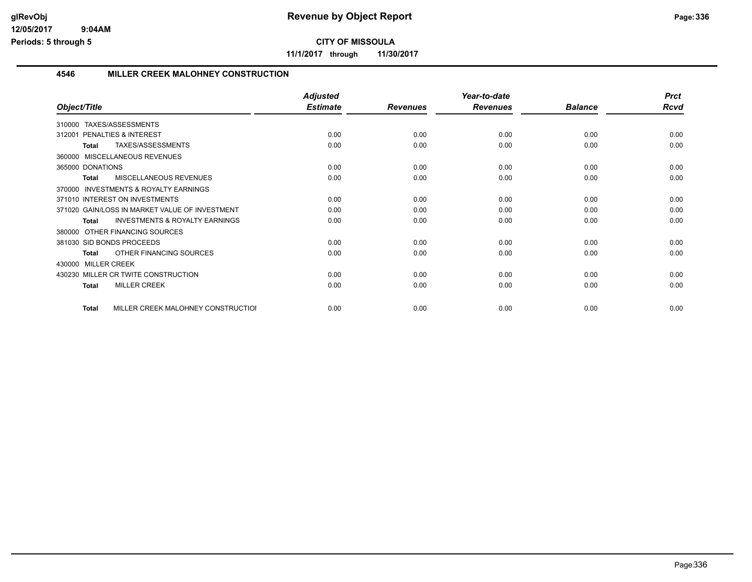**11/1/2017 through 11/30/2017**

#### **4546 MILLER CREEK MALOHNEY CONSTRUCTION**

|                                                           | <b>Adjusted</b> |                 | Year-to-date    |                | <b>Prct</b> |
|-----------------------------------------------------------|-----------------|-----------------|-----------------|----------------|-------------|
| Object/Title                                              | <b>Estimate</b> | <b>Revenues</b> | <b>Revenues</b> | <b>Balance</b> | <b>Rcvd</b> |
| TAXES/ASSESSMENTS<br>310000                               |                 |                 |                 |                |             |
| 312001 PENALTIES & INTEREST                               | 0.00            | 0.00            | 0.00            | 0.00           | 0.00        |
| TAXES/ASSESSMENTS<br><b>Total</b>                         | 0.00            | 0.00            | 0.00            | 0.00           | 0.00        |
| 360000 MISCELLANEOUS REVENUES                             |                 |                 |                 |                |             |
| 365000 DONATIONS                                          | 0.00            | 0.00            | 0.00            | 0.00           | 0.00        |
| <b>MISCELLANEOUS REVENUES</b><br><b>Total</b>             | 0.00            | 0.00            | 0.00            | 0.00           | 0.00        |
| <b>INVESTMENTS &amp; ROYALTY EARNINGS</b><br>370000       |                 |                 |                 |                |             |
| 371010 INTEREST ON INVESTMENTS                            | 0.00            | 0.00            | 0.00            | 0.00           | 0.00        |
| 371020 GAIN/LOSS IN MARKET VALUE OF INVESTMENT            | 0.00            | 0.00            | 0.00            | 0.00           | 0.00        |
| <b>INVESTMENTS &amp; ROYALTY EARNINGS</b><br><b>Total</b> | 0.00            | 0.00            | 0.00            | 0.00           | 0.00        |
| 380000 OTHER FINANCING SOURCES                            |                 |                 |                 |                |             |
| 381030 SID BONDS PROCEEDS                                 | 0.00            | 0.00            | 0.00            | 0.00           | 0.00        |
| OTHER FINANCING SOURCES<br><b>Total</b>                   | 0.00            | 0.00            | 0.00            | 0.00           | 0.00        |
| 430000 MILLER CREEK                                       |                 |                 |                 |                |             |
| 430230 MILLER CR TWITE CONSTRUCTION                       | 0.00            | 0.00            | 0.00            | 0.00           | 0.00        |
| <b>MILLER CREEK</b><br><b>Total</b>                       | 0.00            | 0.00            | 0.00            | 0.00           | 0.00        |
| MILLER CREEK MALOHNEY CONSTRUCTIOI<br><b>Total</b>        | 0.00            | 0.00            | 0.00            | 0.00           | 0.00        |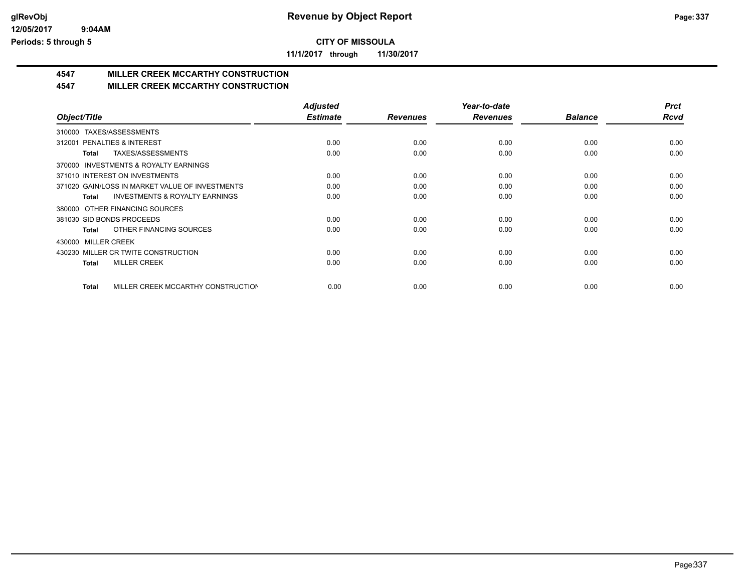**11/1/2017 through 11/30/2017**

# **4547 MILLER CREEK MCCARTHY CONSTRUCTION**

# **4547 MILLER CREEK MCCARTHY CONSTRUCTION**

|                                                     | <b>Adjusted</b> |                 | Year-to-date    |                | <b>Prct</b> |
|-----------------------------------------------------|-----------------|-----------------|-----------------|----------------|-------------|
| Object/Title                                        | <b>Estimate</b> | <b>Revenues</b> | <b>Revenues</b> | <b>Balance</b> | <b>Rcvd</b> |
| TAXES/ASSESSMENTS<br>310000                         |                 |                 |                 |                |             |
| 312001 PENALTIES & INTEREST                         | 0.00            | 0.00            | 0.00            | 0.00           | 0.00        |
| TAXES/ASSESSMENTS<br>Total                          | 0.00            | 0.00            | 0.00            | 0.00           | 0.00        |
| <b>INVESTMENTS &amp; ROYALTY EARNINGS</b><br>370000 |                 |                 |                 |                |             |
| 371010 INTEREST ON INVESTMENTS                      | 0.00            | 0.00            | 0.00            | 0.00           | 0.00        |
| 371020 GAIN/LOSS IN MARKET VALUE OF INVESTMENTS     | 0.00            | 0.00            | 0.00            | 0.00           | 0.00        |
| <b>INVESTMENTS &amp; ROYALTY EARNINGS</b><br>Total  | 0.00            | 0.00            | 0.00            | 0.00           | 0.00        |
| OTHER FINANCING SOURCES<br>380000                   |                 |                 |                 |                |             |
| 381030 SID BONDS PROCEEDS                           | 0.00            | 0.00            | 0.00            | 0.00           | 0.00        |
| OTHER FINANCING SOURCES<br>Total                    | 0.00            | 0.00            | 0.00            | 0.00           | 0.00        |
| <b>MILLER CREEK</b><br>430000                       |                 |                 |                 |                |             |
| 430230 MILLER CR TWITE CONSTRUCTION                 | 0.00            | 0.00            | 0.00            | 0.00           | 0.00        |
| <b>MILLER CREEK</b><br><b>Total</b>                 | 0.00            | 0.00            | 0.00            | 0.00           | 0.00        |
|                                                     |                 |                 |                 |                |             |
| MILLER CREEK MCCARTHY CONSTRUCTION<br><b>Total</b>  | 0.00            | 0.00            | 0.00            | 0.00           | 0.00        |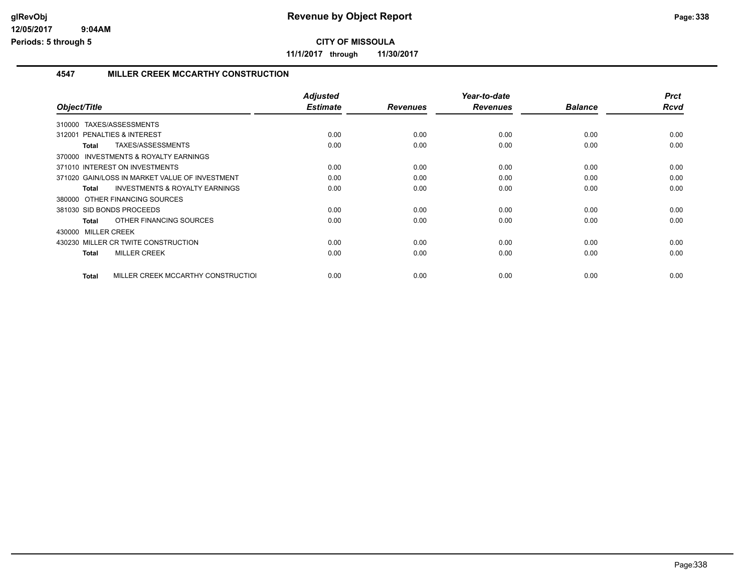**11/1/2017 through 11/30/2017**

### **4547 MILLER CREEK MCCARTHY CONSTRUCTION**

| Object/Title                                              | <b>Adjusted</b><br><b>Estimate</b> | <b>Revenues</b> | Year-to-date<br><b>Revenues</b> | <b>Balance</b> | <b>Prct</b><br><b>Rcvd</b> |
|-----------------------------------------------------------|------------------------------------|-----------------|---------------------------------|----------------|----------------------------|
| TAXES/ASSESSMENTS<br>310000                               |                                    |                 |                                 |                |                            |
| 312001 PENALTIES & INTEREST                               | 0.00                               | 0.00            | 0.00                            | 0.00           | 0.00                       |
| TAXES/ASSESSMENTS<br><b>Total</b>                         | 0.00                               | 0.00            | 0.00                            | 0.00           | 0.00                       |
| <b>INVESTMENTS &amp; ROYALTY EARNINGS</b><br>370000       |                                    |                 |                                 |                |                            |
| 371010 INTEREST ON INVESTMENTS                            | 0.00                               | 0.00            | 0.00                            | 0.00           | 0.00                       |
| 371020 GAIN/LOSS IN MARKET VALUE OF INVESTMENT            | 0.00                               | 0.00            | 0.00                            | 0.00           | 0.00                       |
| <b>INVESTMENTS &amp; ROYALTY EARNINGS</b><br><b>Total</b> | 0.00                               | 0.00            | 0.00                            | 0.00           | 0.00                       |
| 380000 OTHER FINANCING SOURCES                            |                                    |                 |                                 |                |                            |
| 381030 SID BONDS PROCEEDS                                 | 0.00                               | 0.00            | 0.00                            | 0.00           | 0.00                       |
| OTHER FINANCING SOURCES<br>Total                          | 0.00                               | 0.00            | 0.00                            | 0.00           | 0.00                       |
| 430000 MILLER CREEK                                       |                                    |                 |                                 |                |                            |
| 430230 MILLER CR TWITE CONSTRUCTION                       | 0.00                               | 0.00            | 0.00                            | 0.00           | 0.00                       |
| <b>MILLER CREEK</b><br><b>Total</b>                       | 0.00                               | 0.00            | 0.00                            | 0.00           | 0.00                       |
|                                                           |                                    |                 |                                 |                |                            |
| MILLER CREEK MCCARTHY CONSTRUCTIOL<br><b>Total</b>        | 0.00                               | 0.00            | 0.00                            | 0.00           | 0.00                       |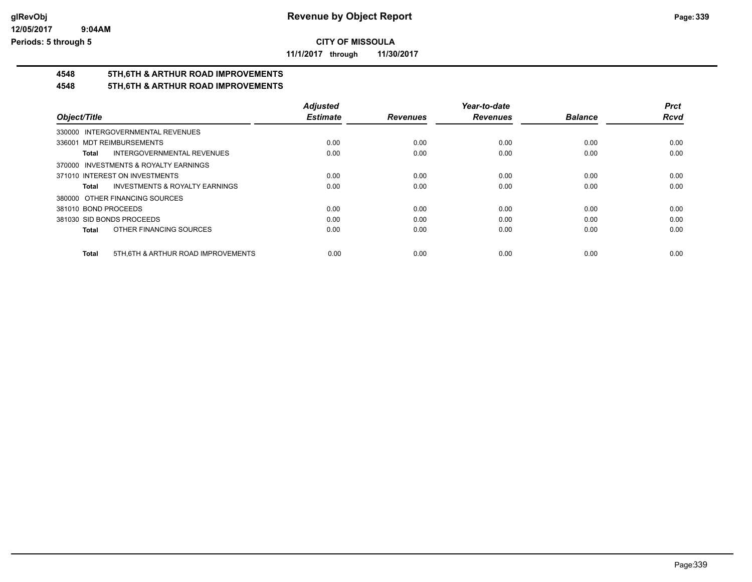**11/1/2017 through 11/30/2017**

# **4548 5TH,6TH & ARTHUR ROAD IMPROVEMENTS**

# **4548 5TH,6TH & ARTHUR ROAD IMPROVEMENTS**

|                                                    | <b>Adjusted</b> |                 | Year-to-date    |                | <b>Prct</b> |
|----------------------------------------------------|-----------------|-----------------|-----------------|----------------|-------------|
| Object/Title                                       | <b>Estimate</b> | <b>Revenues</b> | <b>Revenues</b> | <b>Balance</b> | <b>Rcvd</b> |
| 330000 INTERGOVERNMENTAL REVENUES                  |                 |                 |                 |                |             |
| 336001 MDT REIMBURSEMENTS                          | 0.00            | 0.00            | 0.00            | 0.00           | 0.00        |
| <b>INTERGOVERNMENTAL REVENUES</b><br>Total         | 0.00            | 0.00            | 0.00            | 0.00           | 0.00        |
| 370000 INVESTMENTS & ROYALTY EARNINGS              |                 |                 |                 |                |             |
| 371010 INTEREST ON INVESTMENTS                     | 0.00            | 0.00            | 0.00            | 0.00           | 0.00        |
| <b>INVESTMENTS &amp; ROYALTY EARNINGS</b><br>Total | 0.00            | 0.00            | 0.00            | 0.00           | 0.00        |
| 380000 OTHER FINANCING SOURCES                     |                 |                 |                 |                |             |
| 381010 BOND PROCEEDS                               | 0.00            | 0.00            | 0.00            | 0.00           | 0.00        |
| 381030 SID BONDS PROCEEDS                          | 0.00            | 0.00            | 0.00            | 0.00           | 0.00        |
| OTHER FINANCING SOURCES<br>Total                   | 0.00            | 0.00            | 0.00            | 0.00           | 0.00        |
| Total<br>5TH.6TH & ARTHUR ROAD IMPROVEMENTS        | 0.00            | 0.00            | 0.00            | 0.00           | 0.00        |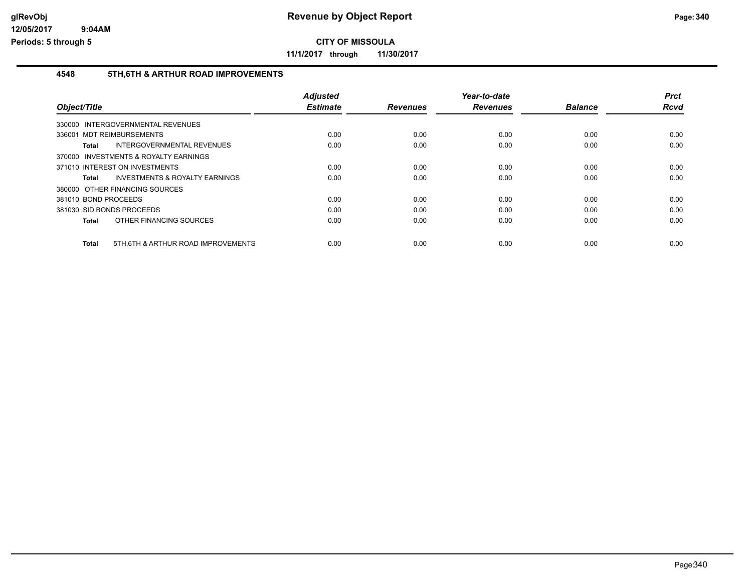**11/1/2017 through 11/30/2017**

#### **4548 5TH,6TH & ARTHUR ROAD IMPROVEMENTS**

|                                                     | <b>Adjusted</b> |                 | Year-to-date    |                | <b>Prct</b> |
|-----------------------------------------------------|-----------------|-----------------|-----------------|----------------|-------------|
| Object/Title                                        | <b>Estimate</b> | <b>Revenues</b> | <b>Revenues</b> | <b>Balance</b> | <b>Rcvd</b> |
| 330000 INTERGOVERNMENTAL REVENUES                   |                 |                 |                 |                |             |
| 336001 MDT REIMBURSEMENTS                           | 0.00            | 0.00            | 0.00            | 0.00           | 0.00        |
| <b>INTERGOVERNMENTAL REVENUES</b><br>Total          | 0.00            | 0.00            | 0.00            | 0.00           | 0.00        |
| 370000 INVESTMENTS & ROYALTY EARNINGS               |                 |                 |                 |                |             |
| 371010 INTEREST ON INVESTMENTS                      | 0.00            | 0.00            | 0.00            | 0.00           | 0.00        |
| <b>INVESTMENTS &amp; ROYALTY EARNINGS</b><br>Total  | 0.00            | 0.00            | 0.00            | 0.00           | 0.00        |
| 380000 OTHER FINANCING SOURCES                      |                 |                 |                 |                |             |
| 381010 BOND PROCEEDS                                | 0.00            | 0.00            | 0.00            | 0.00           | 0.00        |
| 381030 SID BONDS PROCEEDS                           | 0.00            | 0.00            | 0.00            | 0.00           | 0.00        |
| OTHER FINANCING SOURCES<br>Total                    | 0.00            | 0.00            | 0.00            | 0.00           | 0.00        |
| <b>Total</b><br>5TH, 6TH & ARTHUR ROAD IMPROVEMENTS | 0.00            | 0.00            | 0.00            | 0.00           | 0.00        |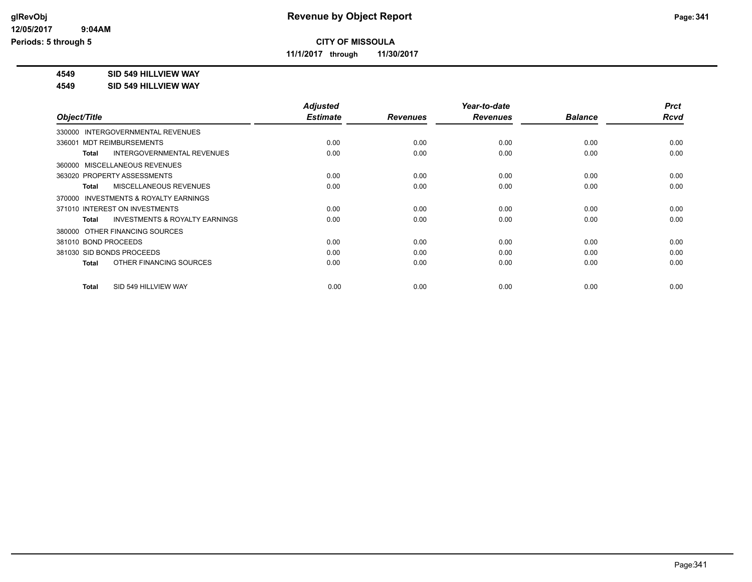**11/1/2017 through 11/30/2017**

**4549 SID 549 HILLVIEW WAY**

**4549 SID 549 HILLVIEW WAY**

|                                                    | <b>Adjusted</b> |                 | Year-to-date    |                | <b>Prct</b> |
|----------------------------------------------------|-----------------|-----------------|-----------------|----------------|-------------|
| Object/Title                                       | <b>Estimate</b> | <b>Revenues</b> | <b>Revenues</b> | <b>Balance</b> | <b>Rcvd</b> |
| INTERGOVERNMENTAL REVENUES<br>330000               |                 |                 |                 |                |             |
| <b>MDT REIMBURSEMENTS</b><br>336001                | 0.00            | 0.00            | 0.00            | 0.00           | 0.00        |
| <b>INTERGOVERNMENTAL REVENUES</b><br>Total         | 0.00            | 0.00            | 0.00            | 0.00           | 0.00        |
| 360000 MISCELLANEOUS REVENUES                      |                 |                 |                 |                |             |
| 363020 PROPERTY ASSESSMENTS                        | 0.00            | 0.00            | 0.00            | 0.00           | 0.00        |
| MISCELLANEOUS REVENUES<br>Total                    | 0.00            | 0.00            | 0.00            | 0.00           | 0.00        |
| 370000 INVESTMENTS & ROYALTY EARNINGS              |                 |                 |                 |                |             |
| 371010 INTEREST ON INVESTMENTS                     | 0.00            | 0.00            | 0.00            | 0.00           | 0.00        |
| <b>INVESTMENTS &amp; ROYALTY EARNINGS</b><br>Total | 0.00            | 0.00            | 0.00            | 0.00           | 0.00        |
| 380000 OTHER FINANCING SOURCES                     |                 |                 |                 |                |             |
| 381010 BOND PROCEEDS                               | 0.00            | 0.00            | 0.00            | 0.00           | 0.00        |
| 381030 SID BONDS PROCEEDS                          | 0.00            | 0.00            | 0.00            | 0.00           | 0.00        |
| OTHER FINANCING SOURCES<br><b>Total</b>            | 0.00            | 0.00            | 0.00            | 0.00           | 0.00        |
| SID 549 HILLVIEW WAY<br><b>Total</b>               | 0.00            | 0.00            | 0.00            | 0.00           | 0.00        |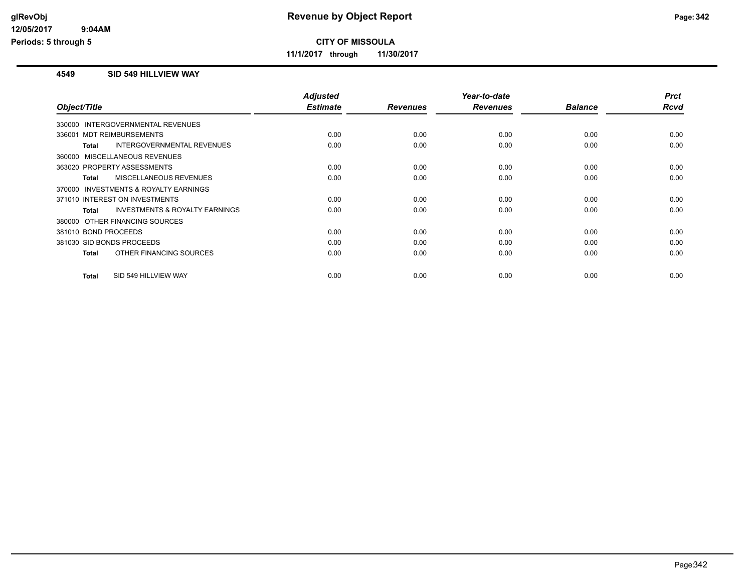**11/1/2017 through 11/30/2017**

#### **4549 SID 549 HILLVIEW WAY**

| Object/Title                                              | <b>Adjusted</b><br><b>Estimate</b> | <b>Revenues</b> | Year-to-date<br><b>Revenues</b> | <b>Balance</b> | <b>Prct</b><br><b>Rcvd</b> |
|-----------------------------------------------------------|------------------------------------|-----------------|---------------------------------|----------------|----------------------------|
| 330000 INTERGOVERNMENTAL REVENUES                         |                                    |                 |                                 |                |                            |
| 336001 MDT REIMBURSEMENTS                                 | 0.00                               | 0.00            | 0.00                            | 0.00           | 0.00                       |
| INTERGOVERNMENTAL REVENUES<br><b>Total</b>                | 0.00                               | 0.00            | 0.00                            | 0.00           | 0.00                       |
| MISCELLANEOUS REVENUES<br>360000                          |                                    |                 |                                 |                |                            |
| 363020 PROPERTY ASSESSMENTS                               | 0.00                               | 0.00            | 0.00                            | 0.00           | 0.00                       |
| MISCELLANEOUS REVENUES<br><b>Total</b>                    | 0.00                               | 0.00            | 0.00                            | 0.00           | 0.00                       |
| 370000 INVESTMENTS & ROYALTY EARNINGS                     |                                    |                 |                                 |                |                            |
| 371010 INTEREST ON INVESTMENTS                            | 0.00                               | 0.00            | 0.00                            | 0.00           | 0.00                       |
| <b>INVESTMENTS &amp; ROYALTY EARNINGS</b><br><b>Total</b> | 0.00                               | 0.00            | 0.00                            | 0.00           | 0.00                       |
| 380000 OTHER FINANCING SOURCES                            |                                    |                 |                                 |                |                            |
| 381010 BOND PROCEEDS                                      | 0.00                               | 0.00            | 0.00                            | 0.00           | 0.00                       |
| 381030 SID BONDS PROCEEDS                                 | 0.00                               | 0.00            | 0.00                            | 0.00           | 0.00                       |
| OTHER FINANCING SOURCES<br><b>Total</b>                   | 0.00                               | 0.00            | 0.00                            | 0.00           | 0.00                       |
| SID 549 HILLVIEW WAY<br><b>Total</b>                      | 0.00                               | 0.00            | 0.00                            | 0.00           | 0.00                       |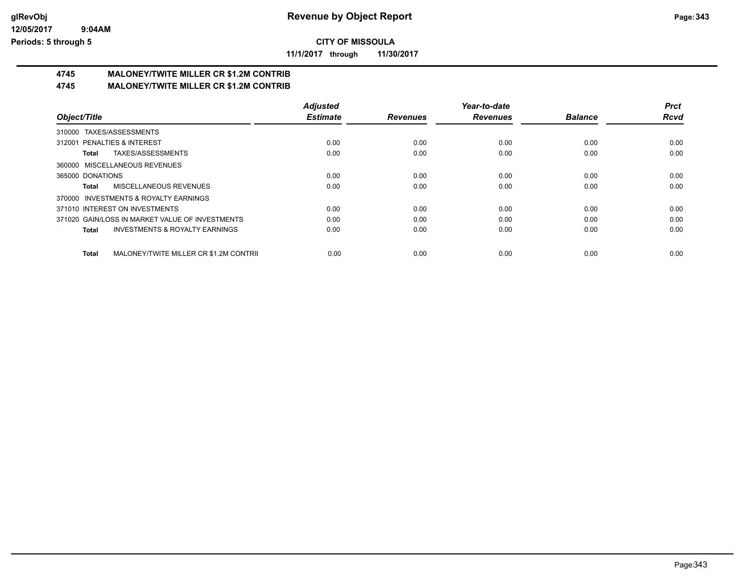**11/1/2017 through 11/30/2017**

# **4745 MALONEY/TWITE MILLER CR \$1.2M CONTRIB**

# **4745 MALONEY/TWITE MILLER CR \$1.2M CONTRIB**

|                                                        | <b>Adjusted</b> |                 | Year-to-date    |                | <b>Prct</b> |
|--------------------------------------------------------|-----------------|-----------------|-----------------|----------------|-------------|
| Object/Title                                           | <b>Estimate</b> | <b>Revenues</b> | <b>Revenues</b> | <b>Balance</b> | <b>Rcvd</b> |
| 310000 TAXES/ASSESSMENTS                               |                 |                 |                 |                |             |
| 312001 PENALTIES & INTEREST                            | 0.00            | 0.00            | 0.00            | 0.00           | 0.00        |
| TAXES/ASSESSMENTS<br>Total                             | 0.00            | 0.00            | 0.00            | 0.00           | 0.00        |
| 360000 MISCELLANEOUS REVENUES                          |                 |                 |                 |                |             |
| 365000 DONATIONS                                       | 0.00            | 0.00            | 0.00            | 0.00           | 0.00        |
| MISCELLANEOUS REVENUES<br>Total                        | 0.00            | 0.00            | 0.00            | 0.00           | 0.00        |
| 370000 INVESTMENTS & ROYALTY EARNINGS                  |                 |                 |                 |                |             |
| 371010 INTEREST ON INVESTMENTS                         | 0.00            | 0.00            | 0.00            | 0.00           | 0.00        |
| 371020 GAIN/LOSS IN MARKET VALUE OF INVESTMENTS        | 0.00            | 0.00            | 0.00            | 0.00           | 0.00        |
| <b>INVESTMENTS &amp; ROYALTY EARNINGS</b><br>Total     | 0.00            | 0.00            | 0.00            | 0.00           | 0.00        |
| MALONEY/TWITE MILLER CR \$1.2M CONTRII<br><b>Total</b> | 0.00            | 0.00            | 0.00            | 0.00           | 0.00        |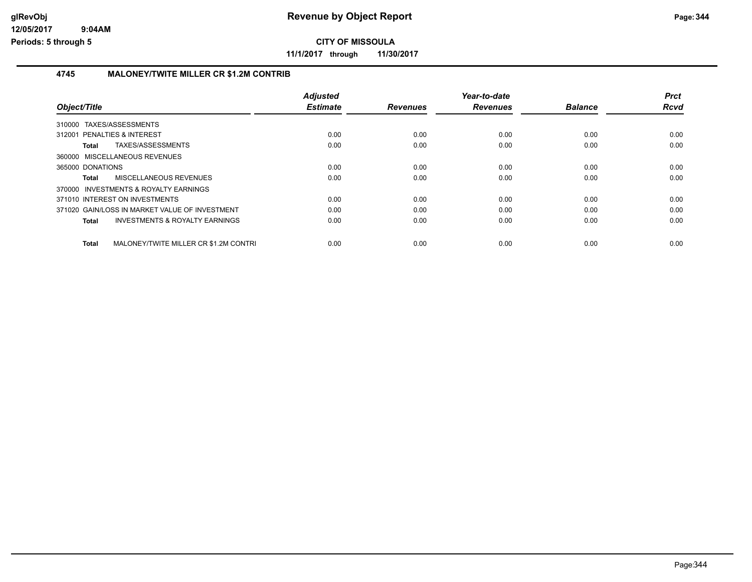**11/1/2017 through 11/30/2017**

#### **4745 MALONEY/TWITE MILLER CR \$1.2M CONTRIB**

|                                                       | <b>Adjusted</b> |                 | Year-to-date    |                | <b>Prct</b> |
|-------------------------------------------------------|-----------------|-----------------|-----------------|----------------|-------------|
| Object/Title                                          | <b>Estimate</b> | <b>Revenues</b> | <b>Revenues</b> | <b>Balance</b> | <b>Rcvd</b> |
| 310000 TAXES/ASSESSMENTS                              |                 |                 |                 |                |             |
| 312001 PENALTIES & INTEREST                           | 0.00            | 0.00            | 0.00            | 0.00           | 0.00        |
| TAXES/ASSESSMENTS<br>Total                            | 0.00            | 0.00            | 0.00            | 0.00           | 0.00        |
| 360000 MISCELLANEOUS REVENUES                         |                 |                 |                 |                |             |
| 365000 DONATIONS                                      | 0.00            | 0.00            | 0.00            | 0.00           | 0.00        |
| MISCELLANEOUS REVENUES<br>Total                       | 0.00            | 0.00            | 0.00            | 0.00           | 0.00        |
| 370000 INVESTMENTS & ROYALTY EARNINGS                 |                 |                 |                 |                |             |
| 371010 INTEREST ON INVESTMENTS                        | 0.00            | 0.00            | 0.00            | 0.00           | 0.00        |
| 371020 GAIN/LOSS IN MARKET VALUE OF INVESTMENT        | 0.00            | 0.00            | 0.00            | 0.00           | 0.00        |
| <b>INVESTMENTS &amp; ROYALTY EARNINGS</b><br>Total    | 0.00            | 0.00            | 0.00            | 0.00           | 0.00        |
|                                                       |                 |                 |                 |                |             |
| MALONEY/TWITE MILLER CR \$1.2M CONTRI<br><b>Total</b> | 0.00            | 0.00            | 0.00            | 0.00           | 0.00        |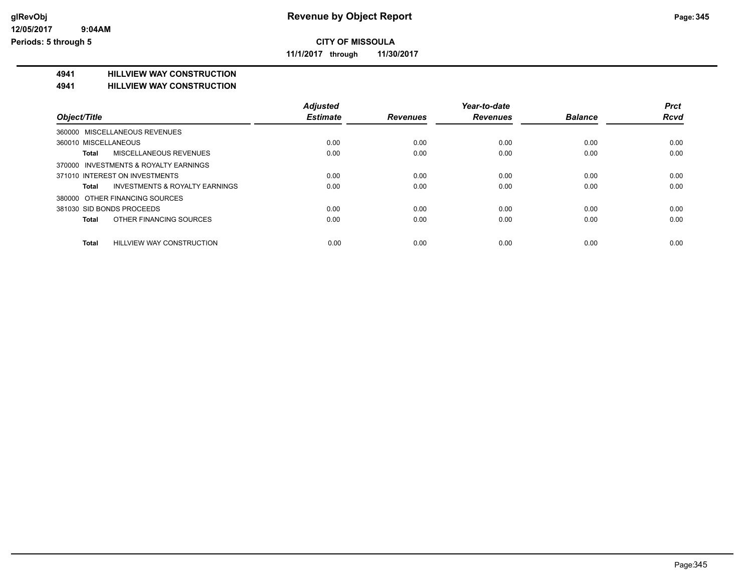**11/1/2017 through 11/30/2017**

## **4941 HILLVIEW WAY CONSTRUCTION**

#### **4941 HILLVIEW WAY CONSTRUCTION**

|                                           | <b>Adjusted</b> |                 | Year-to-date    |                | <b>Prct</b> |
|-------------------------------------------|-----------------|-----------------|-----------------|----------------|-------------|
| Object/Title                              | <b>Estimate</b> | <b>Revenues</b> | <b>Revenues</b> | <b>Balance</b> | <b>Rcvd</b> |
| 360000 MISCELLANEOUS REVENUES             |                 |                 |                 |                |             |
| 360010 MISCELLANEOUS                      | 0.00            | 0.00            | 0.00            | 0.00           | 0.00        |
| <b>MISCELLANEOUS REVENUES</b><br>Total    | 0.00            | 0.00            | 0.00            | 0.00           | 0.00        |
| 370000 INVESTMENTS & ROYALTY EARNINGS     |                 |                 |                 |                |             |
| 371010 INTEREST ON INVESTMENTS            | 0.00            | 0.00            | 0.00            | 0.00           | 0.00        |
| INVESTMENTS & ROYALTY EARNINGS<br>Total   | 0.00            | 0.00            | 0.00            | 0.00           | 0.00        |
| 380000 OTHER FINANCING SOURCES            |                 |                 |                 |                |             |
| 381030 SID BONDS PROCEEDS                 | 0.00            | 0.00            | 0.00            | 0.00           | 0.00        |
| OTHER FINANCING SOURCES<br>Total          | 0.00            | 0.00            | 0.00            | 0.00           | 0.00        |
|                                           |                 |                 |                 |                |             |
| <b>HILLVIEW WAY CONSTRUCTION</b><br>Total | 0.00            | 0.00            | 0.00            | 0.00           | 0.00        |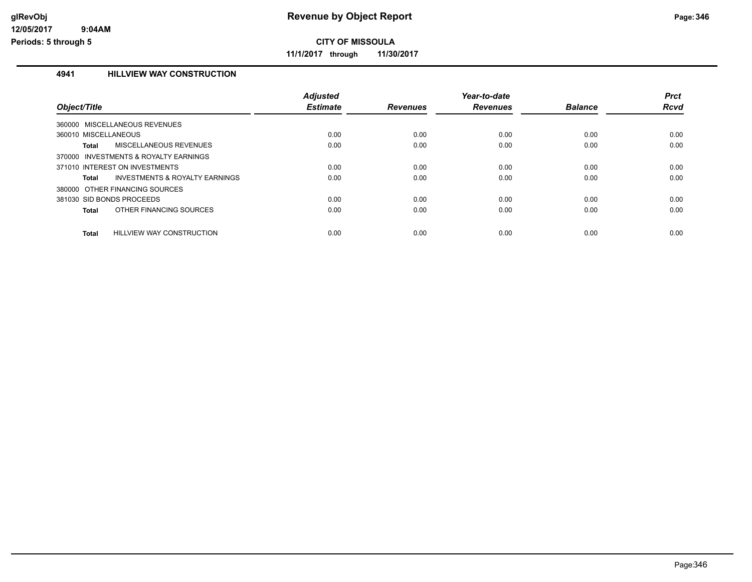**11/1/2017 through 11/30/2017**

# **4941 HILLVIEW WAY CONSTRUCTION**

| Object/Title                                        | <b>Adjusted</b><br><b>Estimate</b> | <b>Revenues</b> | Year-to-date<br><b>Revenues</b> | <b>Balance</b> | <b>Prct</b><br><b>Rcvd</b> |
|-----------------------------------------------------|------------------------------------|-----------------|---------------------------------|----------------|----------------------------|
| MISCELLANEOUS REVENUES<br>360000                    |                                    |                 |                                 |                |                            |
| 360010 MISCELLANEOUS                                | 0.00                               | 0.00            | 0.00                            | 0.00           | 0.00                       |
| MISCELLANEOUS REVENUES<br>Total                     | 0.00                               | 0.00            | 0.00                            | 0.00           | 0.00                       |
| <b>INVESTMENTS &amp; ROYALTY EARNINGS</b><br>370000 |                                    |                 |                                 |                |                            |
| 371010 INTEREST ON INVESTMENTS                      | 0.00                               | 0.00            | 0.00                            | 0.00           | 0.00                       |
| INVESTMENTS & ROYALTY EARNINGS<br><b>Total</b>      | 0.00                               | 0.00            | 0.00                            | 0.00           | 0.00                       |
| OTHER FINANCING SOURCES<br>380000                   |                                    |                 |                                 |                |                            |
| 381030 SID BONDS PROCEEDS                           | 0.00                               | 0.00            | 0.00                            | 0.00           | 0.00                       |
| OTHER FINANCING SOURCES<br><b>Total</b>             | 0.00                               | 0.00            | 0.00                            | 0.00           | 0.00                       |
| HILLVIEW WAY CONSTRUCTION<br><b>Total</b>           | 0.00                               | 0.00            | 0.00                            | 0.00           | 0.00                       |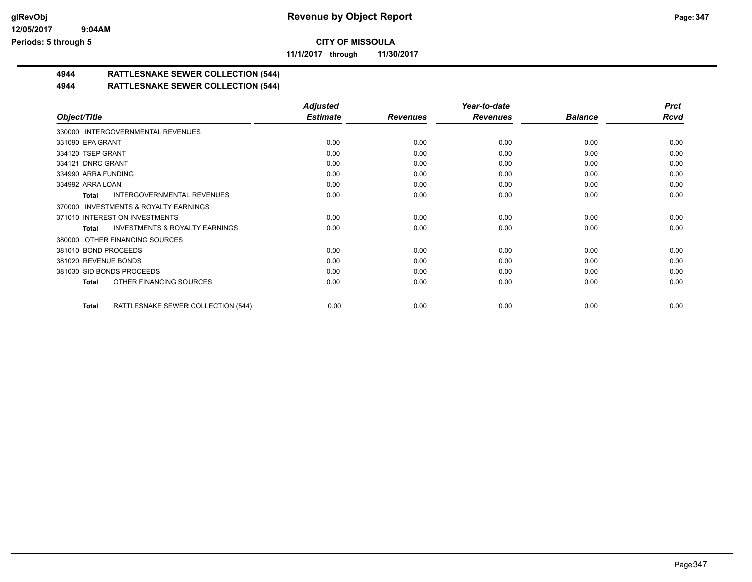**11/1/2017 through 11/30/2017**

# **4944 RATTLESNAKE SEWER COLLECTION (544)**

# **4944 RATTLESNAKE SEWER COLLECTION (544)**

|                                                     | <b>Adjusted</b> |                 | Year-to-date    |                | <b>Prct</b> |
|-----------------------------------------------------|-----------------|-----------------|-----------------|----------------|-------------|
| Object/Title                                        | <b>Estimate</b> | <b>Revenues</b> | <b>Revenues</b> | <b>Balance</b> | <b>Rcvd</b> |
| 330000 INTERGOVERNMENTAL REVENUES                   |                 |                 |                 |                |             |
| 331090 EPA GRANT                                    | 0.00            | 0.00            | 0.00            | 0.00           | 0.00        |
| 334120 TSEP GRANT                                   | 0.00            | 0.00            | 0.00            | 0.00           | 0.00        |
| 334121 DNRC GRANT                                   | 0.00            | 0.00            | 0.00            | 0.00           | 0.00        |
| 334990 ARRA FUNDING                                 | 0.00            | 0.00            | 0.00            | 0.00           | 0.00        |
| 334992 ARRA LOAN                                    | 0.00            | 0.00            | 0.00            | 0.00           | 0.00        |
| <b>INTERGOVERNMENTAL REVENUES</b><br><b>Total</b>   | 0.00            | 0.00            | 0.00            | 0.00           | 0.00        |
| <b>INVESTMENTS &amp; ROYALTY EARNINGS</b><br>370000 |                 |                 |                 |                |             |
| 371010 INTEREST ON INVESTMENTS                      | 0.00            | 0.00            | 0.00            | 0.00           | 0.00        |
| <b>INVESTMENTS &amp; ROYALTY EARNINGS</b><br>Total  | 0.00            | 0.00            | 0.00            | 0.00           | 0.00        |
| 380000 OTHER FINANCING SOURCES                      |                 |                 |                 |                |             |
| 381010 BOND PROCEEDS                                | 0.00            | 0.00            | 0.00            | 0.00           | 0.00        |
| 381020 REVENUE BONDS                                | 0.00            | 0.00            | 0.00            | 0.00           | 0.00        |
| 381030 SID BONDS PROCEEDS                           | 0.00            | 0.00            | 0.00            | 0.00           | 0.00        |
| OTHER FINANCING SOURCES<br><b>Total</b>             | 0.00            | 0.00            | 0.00            | 0.00           | 0.00        |
| RATTLESNAKE SEWER COLLECTION (544)<br>Total         | 0.00            | 0.00            | 0.00            | 0.00           | 0.00        |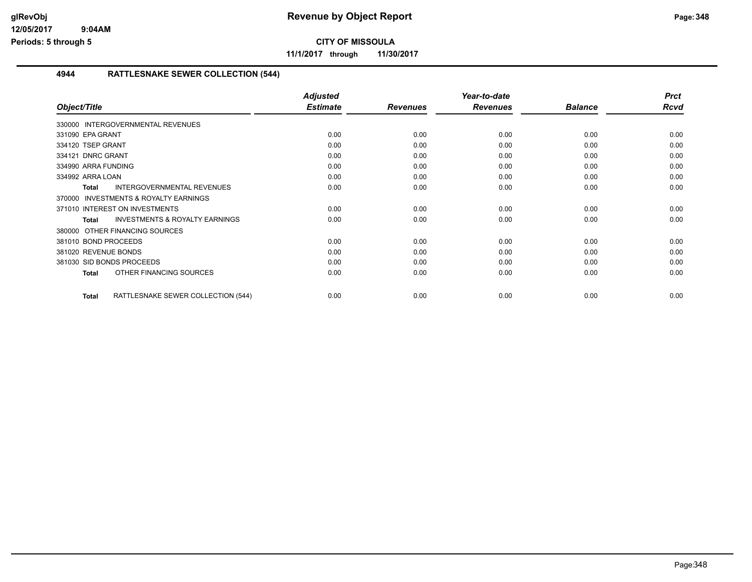**11/1/2017 through 11/30/2017**

# **4944 RATTLESNAKE SEWER COLLECTION (544)**

|                                                     | <b>Adjusted</b> |                 | Year-to-date    |                | <b>Prct</b> |
|-----------------------------------------------------|-----------------|-----------------|-----------------|----------------|-------------|
| Object/Title                                        | <b>Estimate</b> | <b>Revenues</b> | <b>Revenues</b> | <b>Balance</b> | <b>Rcvd</b> |
| 330000 INTERGOVERNMENTAL REVENUES                   |                 |                 |                 |                |             |
| 331090 EPA GRANT                                    | 0.00            | 0.00            | 0.00            | 0.00           | 0.00        |
| 334120 TSEP GRANT                                   | 0.00            | 0.00            | 0.00            | 0.00           | 0.00        |
| 334121 DNRC GRANT                                   | 0.00            | 0.00            | 0.00            | 0.00           | 0.00        |
| 334990 ARRA FUNDING                                 | 0.00            | 0.00            | 0.00            | 0.00           | 0.00        |
| 334992 ARRA LOAN                                    | 0.00            | 0.00            | 0.00            | 0.00           | 0.00        |
| <b>INTERGOVERNMENTAL REVENUES</b><br>Total          | 0.00            | 0.00            | 0.00            | 0.00           | 0.00        |
| <b>INVESTMENTS &amp; ROYALTY EARNINGS</b><br>370000 |                 |                 |                 |                |             |
| 371010 INTEREST ON INVESTMENTS                      | 0.00            | 0.00            | 0.00            | 0.00           | 0.00        |
| <b>INVESTMENTS &amp; ROYALTY EARNINGS</b><br>Total  | 0.00            | 0.00            | 0.00            | 0.00           | 0.00        |
| 380000 OTHER FINANCING SOURCES                      |                 |                 |                 |                |             |
| 381010 BOND PROCEEDS                                | 0.00            | 0.00            | 0.00            | 0.00           | 0.00        |
| 381020 REVENUE BONDS                                | 0.00            | 0.00            | 0.00            | 0.00           | 0.00        |
| 381030 SID BONDS PROCEEDS                           | 0.00            | 0.00            | 0.00            | 0.00           | 0.00        |
| OTHER FINANCING SOURCES<br><b>Total</b>             | 0.00            | 0.00            | 0.00            | 0.00           | 0.00        |
| RATTLESNAKE SEWER COLLECTION (544)<br><b>Total</b>  | 0.00            | 0.00            | 0.00            | 0.00           | 0.00        |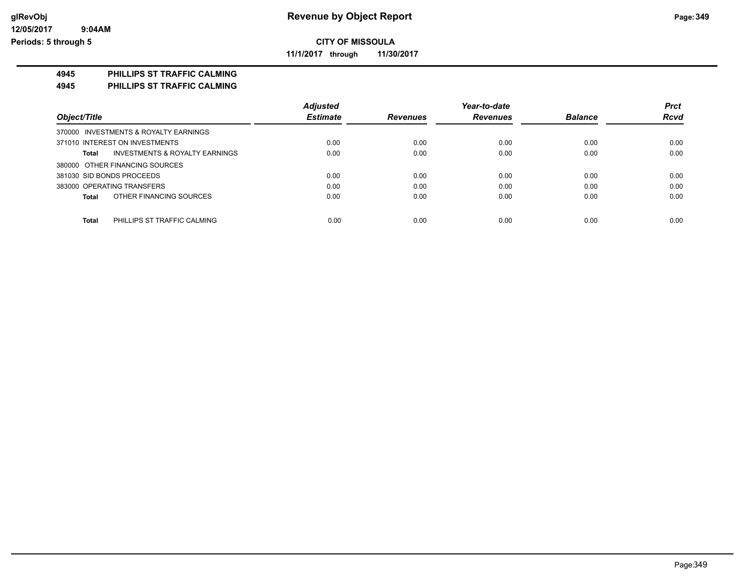**11/1/2017 through 11/30/2017**

# **4945 PHILLIPS ST TRAFFIC CALMING**

**4945 PHILLIPS ST TRAFFIC CALMING**

|                                             |                                           | <b>Adjusted</b> |                 | Year-to-date    |                | <b>Prct</b> |
|---------------------------------------------|-------------------------------------------|-----------------|-----------------|-----------------|----------------|-------------|
| Object/Title                                |                                           | <b>Estimate</b> | <b>Revenues</b> | <b>Revenues</b> | <b>Balance</b> | <b>Rcvd</b> |
| 370000 INVESTMENTS & ROYALTY EARNINGS       |                                           |                 |                 |                 |                |             |
| 371010 INTEREST ON INVESTMENTS              |                                           | 0.00            | 0.00            | 0.00            | 0.00           | 0.00        |
| Total                                       | <b>INVESTMENTS &amp; ROYALTY EARNINGS</b> | 0.00            | 0.00            | 0.00            | 0.00           | 0.00        |
| 380000 OTHER FINANCING SOURCES              |                                           |                 |                 |                 |                |             |
| 381030 SID BONDS PROCEEDS                   |                                           | 0.00            | 0.00            | 0.00            | 0.00           | 0.00        |
| 383000 OPERATING TRANSFERS                  |                                           | 0.00            | 0.00            | 0.00            | 0.00           | 0.00        |
| OTHER FINANCING SOURCES<br>Total            |                                           | 0.00            | 0.00            | 0.00            | 0.00           | 0.00        |
| <b>Total</b><br>PHILLIPS ST TRAFFIC CALMING |                                           | 0.00            | 0.00            | 0.00            | 0.00           | 0.00        |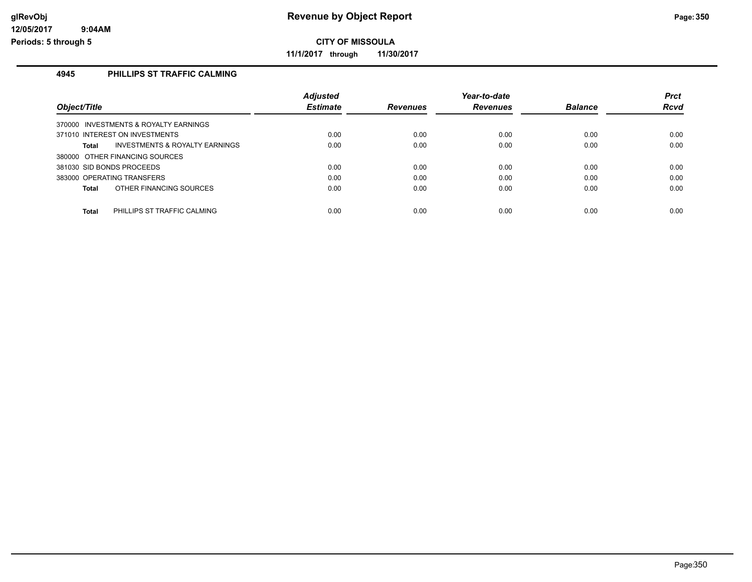**11/1/2017 through 11/30/2017**

# **4945 PHILLIPS ST TRAFFIC CALMING**

|                                         | <b>Adjusted</b> |                 | Year-to-date    |                | <b>Prct</b> |
|-----------------------------------------|-----------------|-----------------|-----------------|----------------|-------------|
| Object/Title                            | <b>Estimate</b> | <b>Revenues</b> | <b>Revenues</b> | <b>Balance</b> | <b>Rcvd</b> |
| 370000 INVESTMENTS & ROYALTY EARNINGS   |                 |                 |                 |                |             |
| 371010 INTEREST ON INVESTMENTS          | 0.00            | 0.00            | 0.00            | 0.00           | 0.00        |
| INVESTMENTS & ROYALTY EARNINGS<br>Total | 0.00            | 0.00            | 0.00            | 0.00           | 0.00        |
| 380000 OTHER FINANCING SOURCES          |                 |                 |                 |                |             |
| 381030 SID BONDS PROCEEDS               | 0.00            | 0.00            | 0.00            | 0.00           | 0.00        |
| 383000 OPERATING TRANSFERS              | 0.00            | 0.00            | 0.00            | 0.00           | 0.00        |
| OTHER FINANCING SOURCES<br>Total        | 0.00            | 0.00            | 0.00            | 0.00           | 0.00        |
|                                         |                 |                 |                 |                |             |
| Total<br>PHILLIPS ST TRAFFIC CALMING    | 0.00            | 0.00            | 0.00            | 0.00           | 0.00        |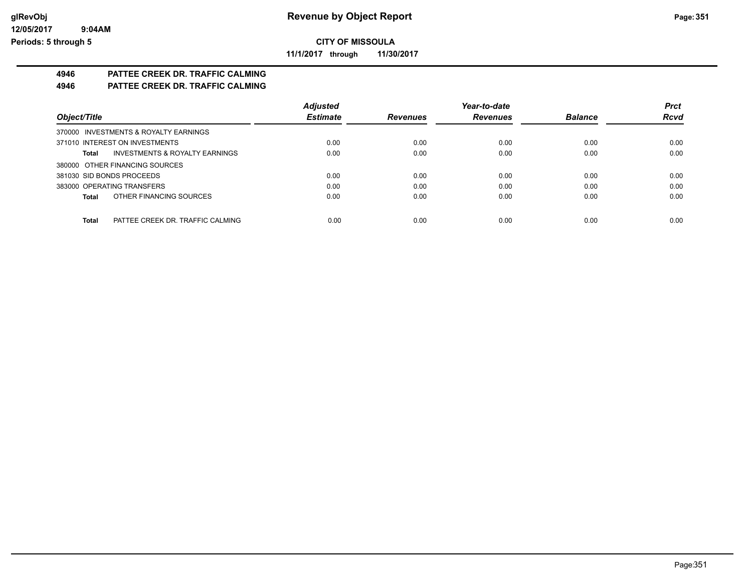**11/1/2017 through 11/30/2017**

#### **4946 PATTEE CREEK DR. TRAFFIC CALMING 4946 PATTEE CREEK DR. TRAFFIC CALMING**

|                                                  | <b>Adjusted</b> |                 | Year-to-date    |                | <b>Prct</b> |
|--------------------------------------------------|-----------------|-----------------|-----------------|----------------|-------------|
| Object/Title                                     | <b>Estimate</b> | <b>Revenues</b> | <b>Revenues</b> | <b>Balance</b> | <b>Rcvd</b> |
| 370000 INVESTMENTS & ROYALTY EARNINGS            |                 |                 |                 |                |             |
| 371010 INTEREST ON INVESTMENTS                   | 0.00            | 0.00            | 0.00            | 0.00           | 0.00        |
| INVESTMENTS & ROYALTY EARNINGS<br>Total          | 0.00            | 0.00            | 0.00            | 0.00           | 0.00        |
| 380000 OTHER FINANCING SOURCES                   |                 |                 |                 |                |             |
| 381030 SID BONDS PROCEEDS                        | 0.00            | 0.00            | 0.00            | 0.00           | 0.00        |
| 383000 OPERATING TRANSFERS                       | 0.00            | 0.00            | 0.00            | 0.00           | 0.00        |
| OTHER FINANCING SOURCES<br>Total                 | 0.00            | 0.00            | 0.00            | 0.00           | 0.00        |
|                                                  |                 |                 |                 |                |             |
| <b>Total</b><br>PATTEE CREEK DR. TRAFFIC CALMING | 0.00            | 0.00            | 0.00            | 0.00           | 0.00        |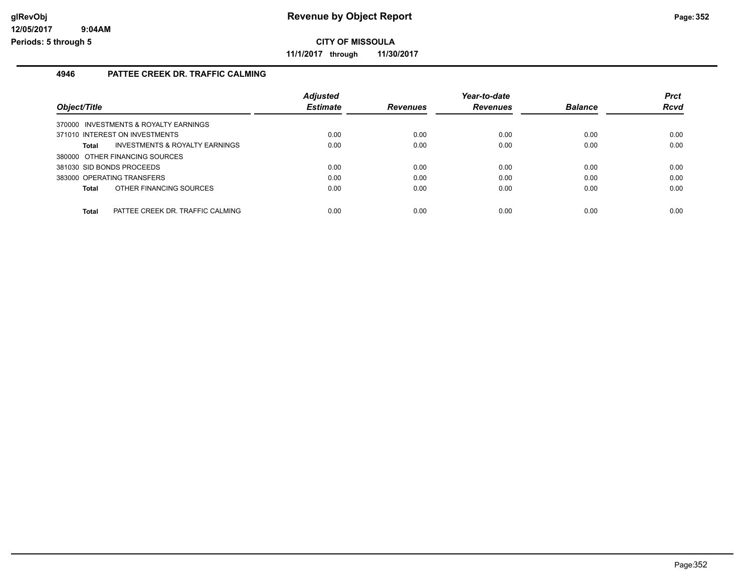**11/1/2017 through 11/30/2017**

# **4946 PATTEE CREEK DR. TRAFFIC CALMING**

|                                                  | <b>Adiusted</b> |                 | Year-to-date    |                | <b>Prct</b> |
|--------------------------------------------------|-----------------|-----------------|-----------------|----------------|-------------|
| Object/Title                                     | <b>Estimate</b> | <b>Revenues</b> | <b>Revenues</b> | <b>Balance</b> | <b>Rcvd</b> |
| 370000 INVESTMENTS & ROYALTY EARNINGS            |                 |                 |                 |                |             |
| 371010 INTEREST ON INVESTMENTS                   | 0.00            | 0.00            | 0.00            | 0.00           | 0.00        |
| INVESTMENTS & ROYALTY EARNINGS<br>Total          | 0.00            | 0.00            | 0.00            | 0.00           | 0.00        |
| 380000 OTHER FINANCING SOURCES                   |                 |                 |                 |                |             |
| 381030 SID BONDS PROCEEDS                        | 0.00            | 0.00            | 0.00            | 0.00           | 0.00        |
| 383000 OPERATING TRANSFERS                       | 0.00            | 0.00            | 0.00            | 0.00           | 0.00        |
| OTHER FINANCING SOURCES<br><b>Total</b>          | 0.00            | 0.00            | 0.00            | 0.00           | 0.00        |
|                                                  |                 |                 |                 |                |             |
| <b>Total</b><br>PATTEE CREEK DR. TRAFFIC CALMING | 0.00            | 0.00            | 0.00            | 0.00           | 0.00        |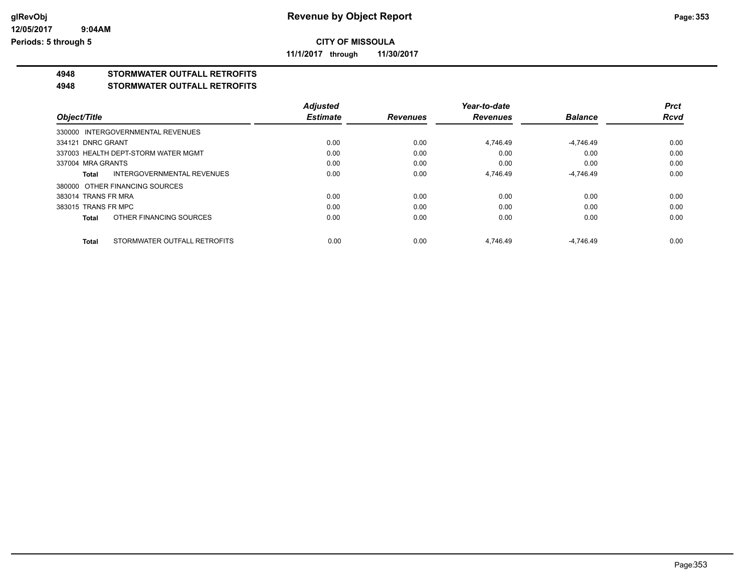**11/1/2017 through 11/30/2017**

# **4948 STORMWATER OUTFALL RETROFITS**

# **4948 STORMWATER OUTFALL RETROFITS**

|                                     |                                   | <b>Adjusted</b> |                 | Year-to-date    |                | Prct |
|-------------------------------------|-----------------------------------|-----------------|-----------------|-----------------|----------------|------|
| Object/Title                        |                                   | <b>Estimate</b> | <b>Revenues</b> | <b>Revenues</b> | <b>Balance</b> | Rcvd |
| 330000 INTERGOVERNMENTAL REVENUES   |                                   |                 |                 |                 |                |      |
| 334121 DNRC GRANT                   |                                   | 0.00            | 0.00            | 4,746.49        | $-4,746.49$    | 0.00 |
| 337003 HEALTH DEPT-STORM WATER MGMT |                                   | 0.00            | 0.00            | 0.00            | 0.00           | 0.00 |
| 337004 MRA GRANTS                   |                                   | 0.00            | 0.00            | 0.00            | 0.00           | 0.00 |
| Total                               | <b>INTERGOVERNMENTAL REVENUES</b> | 0.00            | 0.00            | 4,746.49        | $-4,746.49$    | 0.00 |
| 380000 OTHER FINANCING SOURCES      |                                   |                 |                 |                 |                |      |
| 383014 TRANS FR MRA                 |                                   | 0.00            | 0.00            | 0.00            | 0.00           | 0.00 |
| 383015 TRANS FR MPC                 |                                   | 0.00            | 0.00            | 0.00            | 0.00           | 0.00 |
| Total                               | OTHER FINANCING SOURCES           | 0.00            | 0.00            | 0.00            | 0.00           | 0.00 |
| Total                               | STORMWATER OUTFALL RETROFITS      | 0.00            | 0.00            | 4.746.49        | $-4.746.49$    | 0.00 |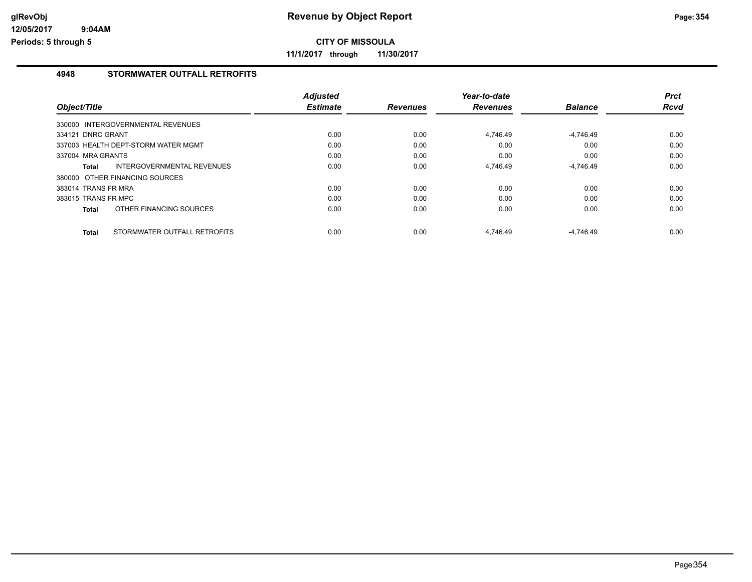**11/1/2017 through 11/30/2017**

# **4948 STORMWATER OUTFALL RETROFITS**

| Object/Title                          | <b>Adjusted</b><br><b>Estimate</b> | <b>Revenues</b> | Year-to-date<br><b>Revenues</b> | <b>Balance</b> | <b>Prct</b><br>Rcvd |
|---------------------------------------|------------------------------------|-----------------|---------------------------------|----------------|---------------------|
| 330000 INTERGOVERNMENTAL REVENUES     |                                    |                 |                                 |                |                     |
| 334121 DNRC GRANT                     | 0.00                               | 0.00            | 4.746.49                        | -4,746.49      | 0.00                |
| 337003 HEALTH DEPT-STORM WATER MGMT   | 0.00                               | 0.00            | 0.00                            | 0.00           | 0.00                |
| 337004 MRA GRANTS                     | 0.00                               | 0.00            | 0.00                            | 0.00           | 0.00                |
| INTERGOVERNMENTAL REVENUES<br>Total   | 0.00                               | 0.00            | 4.746.49                        | $-4.746.49$    | 0.00                |
| 380000 OTHER FINANCING SOURCES        |                                    |                 |                                 |                |                     |
| 383014 TRANS FR MRA                   | 0.00                               | 0.00            | 0.00                            | 0.00           | 0.00                |
| 383015 TRANS FR MPC                   | 0.00                               | 0.00            | 0.00                            | 0.00           | 0.00                |
| OTHER FINANCING SOURCES<br>Total      | 0.00                               | 0.00            | 0.00                            | 0.00           | 0.00                |
| STORMWATER OUTFALL RETROFITS<br>Total | 0.00                               | 0.00            | 4.746.49                        | $-4.746.49$    | 0.00                |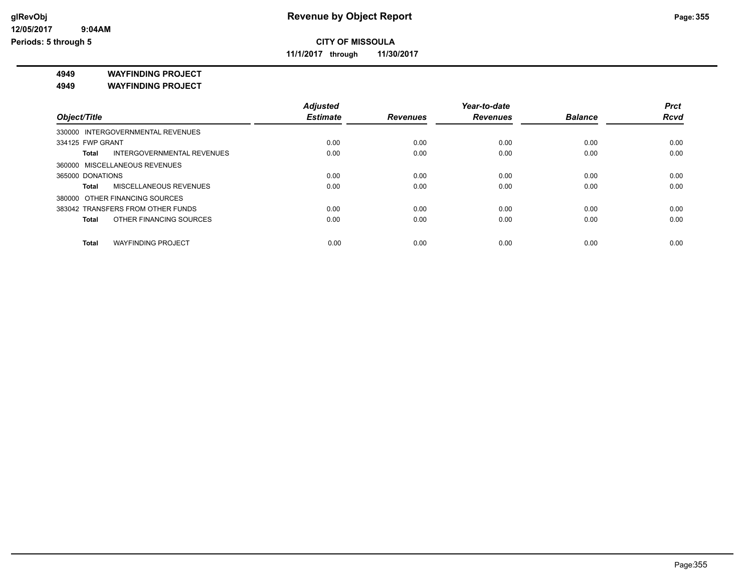**11/1/2017 through 11/30/2017**

**4949 WAYFINDING PROJECT**

**4949 WAYFINDING PROJECT**

|                                            | <b>Adjusted</b> |                 | Year-to-date    |                | <b>Prct</b> |
|--------------------------------------------|-----------------|-----------------|-----------------|----------------|-------------|
| Object/Title                               | <b>Estimate</b> | <b>Revenues</b> | <b>Revenues</b> | <b>Balance</b> | <b>Rcvd</b> |
| 330000 INTERGOVERNMENTAL REVENUES          |                 |                 |                 |                |             |
| 334125 FWP GRANT                           | 0.00            | 0.00            | 0.00            | 0.00           | 0.00        |
| <b>INTERGOVERNMENTAL REVENUES</b><br>Total | 0.00            | 0.00            | 0.00            | 0.00           | 0.00        |
| 360000 MISCELLANEOUS REVENUES              |                 |                 |                 |                |             |
| 365000 DONATIONS                           | 0.00            | 0.00            | 0.00            | 0.00           | 0.00        |
| MISCELLANEOUS REVENUES<br>Total            | 0.00            | 0.00            | 0.00            | 0.00           | 0.00        |
| 380000 OTHER FINANCING SOURCES             |                 |                 |                 |                |             |
| 383042 TRANSFERS FROM OTHER FUNDS          | 0.00            | 0.00            | 0.00            | 0.00           | 0.00        |
| OTHER FINANCING SOURCES<br>Total           | 0.00            | 0.00            | 0.00            | 0.00           | 0.00        |
|                                            |                 |                 |                 |                |             |
| <b>WAYFINDING PROJECT</b><br>Total         | 0.00            | 0.00            | 0.00            | 0.00           | 0.00        |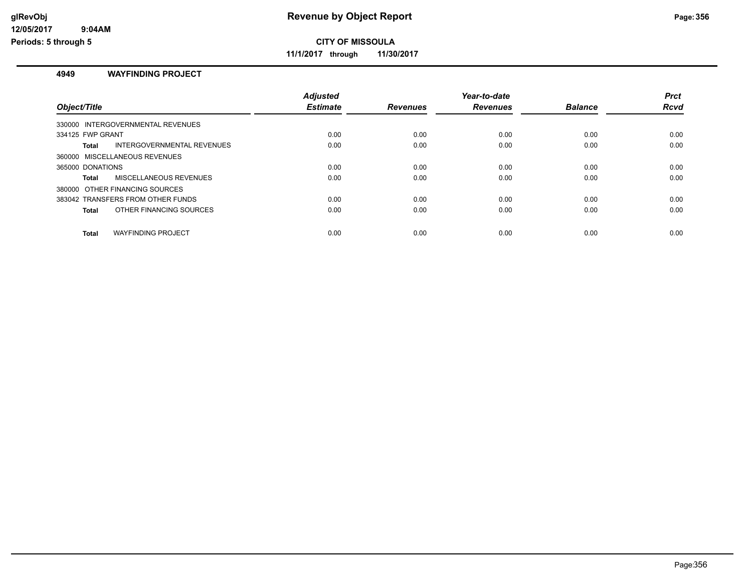**11/1/2017 through 11/30/2017**

#### **4949 WAYFINDING PROJECT**

| Object/Title                              | <b>Adjusted</b><br><b>Estimate</b> | <b>Revenues</b> | Year-to-date<br><b>Revenues</b> | <b>Balance</b> | <b>Prct</b><br><b>Rcvd</b> |
|-------------------------------------------|------------------------------------|-----------------|---------------------------------|----------------|----------------------------|
| 330000 INTERGOVERNMENTAL REVENUES         |                                    |                 |                                 |                |                            |
| 334125 FWP GRANT                          | 0.00                               | 0.00            | 0.00                            | 0.00           | 0.00                       |
| INTERGOVERNMENTAL REVENUES<br>Total       | 0.00                               | 0.00            | 0.00                            | 0.00           | 0.00                       |
| 360000 MISCELLANEOUS REVENUES             |                                    |                 |                                 |                |                            |
| 365000 DONATIONS                          | 0.00                               | 0.00            | 0.00                            | 0.00           | 0.00                       |
| <b>MISCELLANEOUS REVENUES</b><br>Total    | 0.00                               | 0.00            | 0.00                            | 0.00           | 0.00                       |
| 380000 OTHER FINANCING SOURCES            |                                    |                 |                                 |                |                            |
| 383042 TRANSFERS FROM OTHER FUNDS         | 0.00                               | 0.00            | 0.00                            | 0.00           | 0.00                       |
| OTHER FINANCING SOURCES<br>Total          | 0.00                               | 0.00            | 0.00                            | 0.00           | 0.00                       |
| <b>WAYFINDING PROJECT</b><br><b>Total</b> | 0.00                               | 0.00            | 0.00                            | 0.00           | 0.00                       |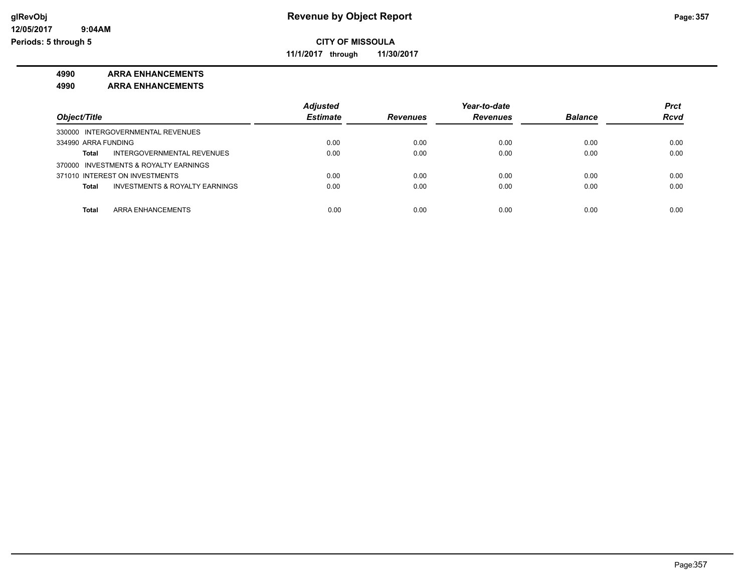**11/1/2017 through 11/30/2017**

#### **4990 ARRA ENHANCEMENTS**

**4990 ARRA ENHANCEMENTS**

|                                                    | <b>Adjusted</b> |                 | Year-to-date    |                | <b>Prct</b> |
|----------------------------------------------------|-----------------|-----------------|-----------------|----------------|-------------|
| Object/Title                                       | <b>Estimate</b> | <b>Revenues</b> | <b>Revenues</b> | <b>Balance</b> | <b>Rcvd</b> |
| 330000 INTERGOVERNMENTAL REVENUES                  |                 |                 |                 |                |             |
| 334990 ARRA FUNDING                                | 0.00            | 0.00            | 0.00            | 0.00           | 0.00        |
| INTERGOVERNMENTAL REVENUES<br><b>Total</b>         | 0.00            | 0.00            | 0.00            | 0.00           | 0.00        |
| 370000 INVESTMENTS & ROYALTY EARNINGS              |                 |                 |                 |                |             |
| 371010 INTEREST ON INVESTMENTS                     | 0.00            | 0.00            | 0.00            | 0.00           | 0.00        |
| <b>INVESTMENTS &amp; ROYALTY EARNINGS</b><br>Total | 0.00            | 0.00            | 0.00            | 0.00           | 0.00        |
| ARRA ENHANCEMENTS<br>Total                         | 0.00            | 0.00            | 0.00            | 0.00           | 0.00        |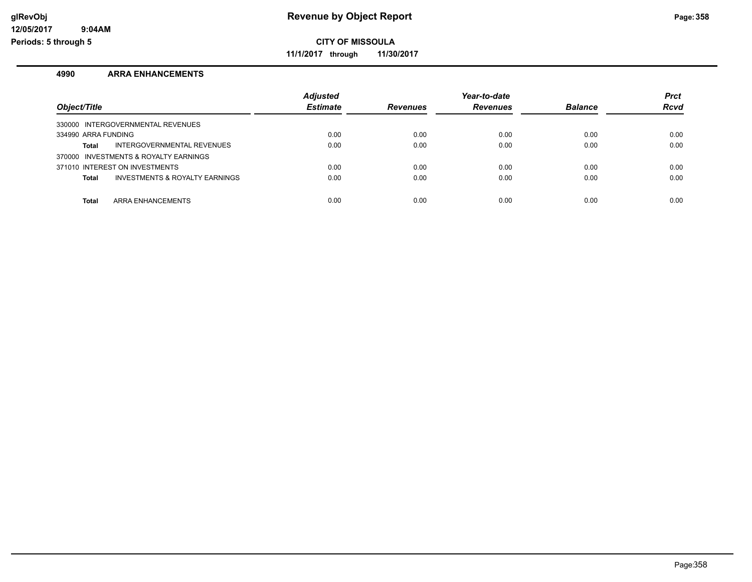**11/1/2017 through 11/30/2017**

#### **4990 ARRA ENHANCEMENTS**

| Object/Title                                   | <b>Adjusted</b><br><b>Estimate</b> | <b>Revenues</b> | Year-to-date<br><b>Revenues</b> | <b>Balance</b> | <b>Prct</b><br><b>Rcvd</b> |
|------------------------------------------------|------------------------------------|-----------------|---------------------------------|----------------|----------------------------|
| 330000 INTERGOVERNMENTAL REVENUES              |                                    |                 |                                 |                |                            |
| 334990 ARRA FUNDING                            | 0.00                               | 0.00            | 0.00                            | 0.00           | 0.00                       |
| INTERGOVERNMENTAL REVENUES<br>Total            | 0.00                               | 0.00            | 0.00                            | 0.00           | 0.00                       |
| 370000 INVESTMENTS & ROYALTY EARNINGS          |                                    |                 |                                 |                |                            |
| 371010 INTEREST ON INVESTMENTS                 | 0.00                               | 0.00            | 0.00                            | 0.00           | 0.00                       |
| INVESTMENTS & ROYALTY EARNINGS<br><b>Total</b> | 0.00                               | 0.00            | 0.00                            | 0.00           | 0.00                       |
|                                                |                                    |                 |                                 |                |                            |
| ARRA ENHANCEMENTS<br><b>Total</b>              | 0.00                               | 0.00            | 0.00                            | 0.00           | 0.00                       |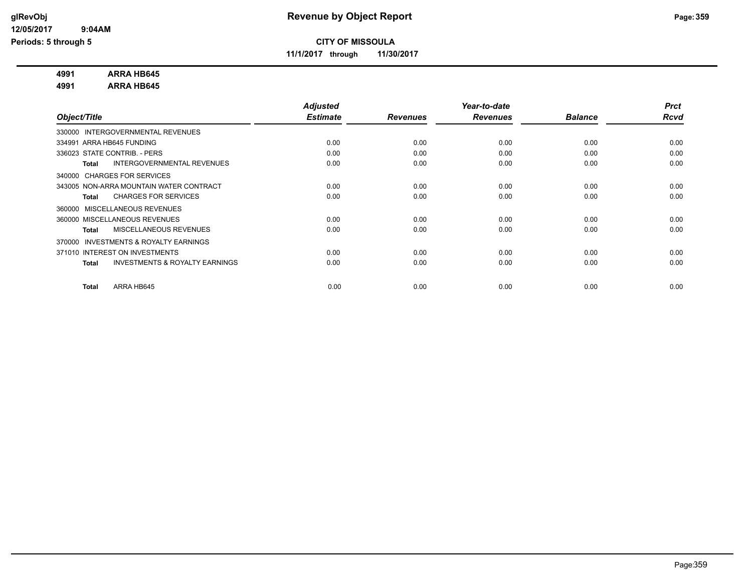**11/1/2017 through 11/30/2017**

# **4991 ARRA HB645**

**4991 ARRA HB645**

|                                                           | <b>Adjusted</b> |                 | Year-to-date    |                | <b>Prct</b> |
|-----------------------------------------------------------|-----------------|-----------------|-----------------|----------------|-------------|
| Object/Title                                              | <b>Estimate</b> | <b>Revenues</b> | <b>Revenues</b> | <b>Balance</b> | <b>Rcvd</b> |
| INTERGOVERNMENTAL REVENUES<br>330000                      |                 |                 |                 |                |             |
| 334991 ARRA HB645 FUNDING                                 | 0.00            | 0.00            | 0.00            | 0.00           | 0.00        |
| 336023 STATE CONTRIB. - PERS                              | 0.00            | 0.00            | 0.00            | 0.00           | 0.00        |
| <b>INTERGOVERNMENTAL REVENUES</b><br><b>Total</b>         | 0.00            | 0.00            | 0.00            | 0.00           | 0.00        |
| <b>CHARGES FOR SERVICES</b><br>340000                     |                 |                 |                 |                |             |
| 343005 NON-ARRA MOUNTAIN WATER CONTRACT                   | 0.00            | 0.00            | 0.00            | 0.00           | 0.00        |
| <b>CHARGES FOR SERVICES</b><br>Total                      | 0.00            | 0.00            | 0.00            | 0.00           | 0.00        |
| MISCELLANEOUS REVENUES<br>360000                          |                 |                 |                 |                |             |
| 360000 MISCELLANEOUS REVENUES                             | 0.00            | 0.00            | 0.00            | 0.00           | 0.00        |
| MISCELLANEOUS REVENUES<br><b>Total</b>                    | 0.00            | 0.00            | 0.00            | 0.00           | 0.00        |
| <b>INVESTMENTS &amp; ROYALTY EARNINGS</b><br>370000       |                 |                 |                 |                |             |
| 371010 INTEREST ON INVESTMENTS                            | 0.00            | 0.00            | 0.00            | 0.00           | 0.00        |
| <b>INVESTMENTS &amp; ROYALTY EARNINGS</b><br><b>Total</b> | 0.00            | 0.00            | 0.00            | 0.00           | 0.00        |
|                                                           |                 |                 |                 |                |             |
| ARRA HB645<br><b>Total</b>                                | 0.00            | 0.00            | 0.00            | 0.00           | 0.00        |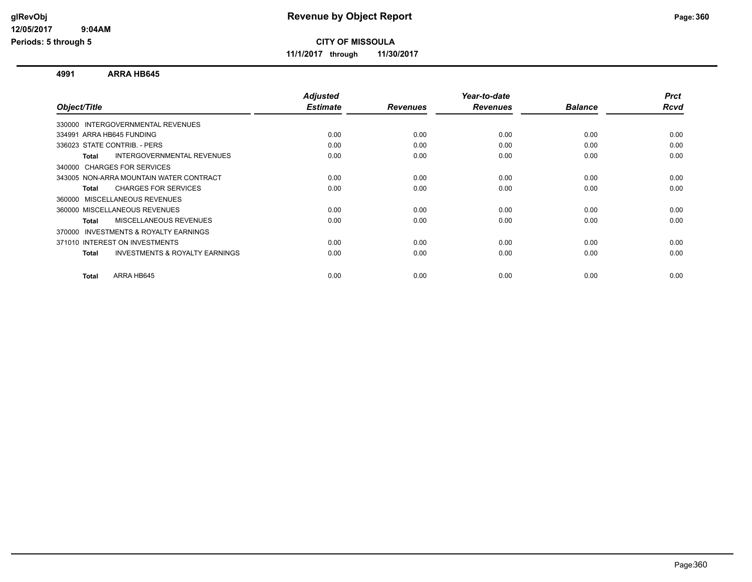**11/1/2017 through 11/30/2017**

**4991 ARRA HB645**

| Object/Title                                              | <b>Adjusted</b><br><b>Estimate</b> | <b>Revenues</b> | Year-to-date<br><b>Revenues</b> | <b>Balance</b> | <b>Prct</b><br><b>Rcvd</b> |
|-----------------------------------------------------------|------------------------------------|-----------------|---------------------------------|----------------|----------------------------|
| 330000 INTERGOVERNMENTAL REVENUES                         |                                    |                 |                                 |                |                            |
| 334991 ARRA HB645 FUNDING                                 | 0.00                               | 0.00            | 0.00                            | 0.00           | 0.00                       |
| 336023 STATE CONTRIB. - PERS                              | 0.00                               | 0.00            | 0.00                            | 0.00           | 0.00                       |
| <b>INTERGOVERNMENTAL REVENUES</b><br>Total                | 0.00                               | 0.00            | 0.00                            | 0.00           | 0.00                       |
| 340000 CHARGES FOR SERVICES                               |                                    |                 |                                 |                |                            |
| 343005 NON-ARRA MOUNTAIN WATER CONTRACT                   | 0.00                               | 0.00            | 0.00                            | 0.00           | 0.00                       |
| <b>CHARGES FOR SERVICES</b><br>Total                      | 0.00                               | 0.00            | 0.00                            | 0.00           | 0.00                       |
| 360000 MISCELLANEOUS REVENUES                             |                                    |                 |                                 |                |                            |
| 360000 MISCELLANEOUS REVENUES                             | 0.00                               | 0.00            | 0.00                            | 0.00           | 0.00                       |
| <b>MISCELLANEOUS REVENUES</b><br>Total                    | 0.00                               | 0.00            | 0.00                            | 0.00           | 0.00                       |
| 370000 INVESTMENTS & ROYALTY EARNINGS                     |                                    |                 |                                 |                |                            |
| 371010 INTEREST ON INVESTMENTS                            | 0.00                               | 0.00            | 0.00                            | 0.00           | 0.00                       |
| <b>INVESTMENTS &amp; ROYALTY EARNINGS</b><br><b>Total</b> | 0.00                               | 0.00            | 0.00                            | 0.00           | 0.00                       |
|                                                           |                                    |                 |                                 |                |                            |
| ARRA HB645<br><b>Total</b>                                | 0.00                               | 0.00            | 0.00                            | 0.00           | 0.00                       |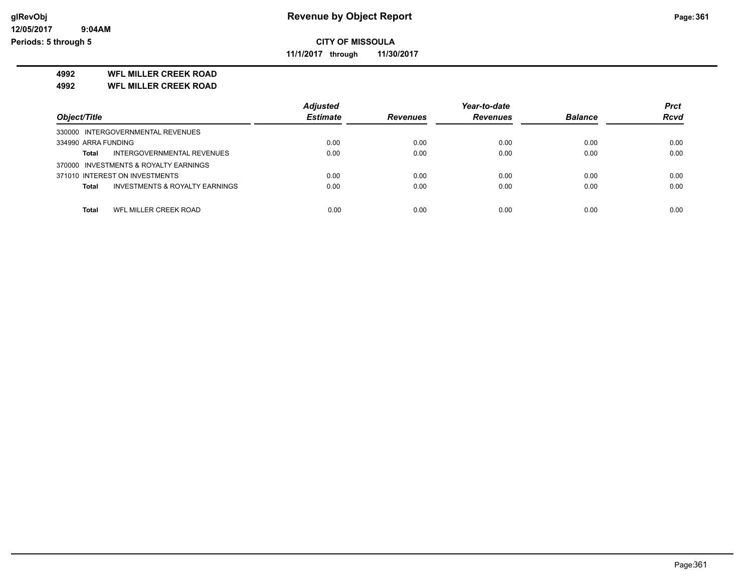**11/1/2017 through 11/30/2017**

#### **4992 WFL MILLER CREEK ROAD**

**4992 WFL MILLER CREEK ROAD**

|                                                           | <b>Adjusted</b> |                 | Year-to-date    |                | <b>Prct</b> |
|-----------------------------------------------------------|-----------------|-----------------|-----------------|----------------|-------------|
| Object/Title                                              | <b>Estimate</b> | <b>Revenues</b> | <b>Revenues</b> | <b>Balance</b> | <b>Rcvd</b> |
| 330000 INTERGOVERNMENTAL REVENUES                         |                 |                 |                 |                |             |
| 334990 ARRA FUNDING                                       | 0.00            | 0.00            | 0.00            | 0.00           | 0.00        |
| INTERGOVERNMENTAL REVENUES<br>Total                       | 0.00            | 0.00            | 0.00            | 0.00           | 0.00        |
| 370000 INVESTMENTS & ROYALTY EARNINGS                     |                 |                 |                 |                |             |
| 371010 INTEREST ON INVESTMENTS                            | 0.00            | 0.00            | 0.00            | 0.00           | 0.00        |
| <b>INVESTMENTS &amp; ROYALTY EARNINGS</b><br><b>Total</b> | 0.00            | 0.00            | 0.00            | 0.00           | 0.00        |
|                                                           |                 |                 |                 |                |             |
| WFL MILLER CREEK ROAD<br><b>Total</b>                     | 0.00            | 0.00            | 0.00            | 0.00           | 0.00        |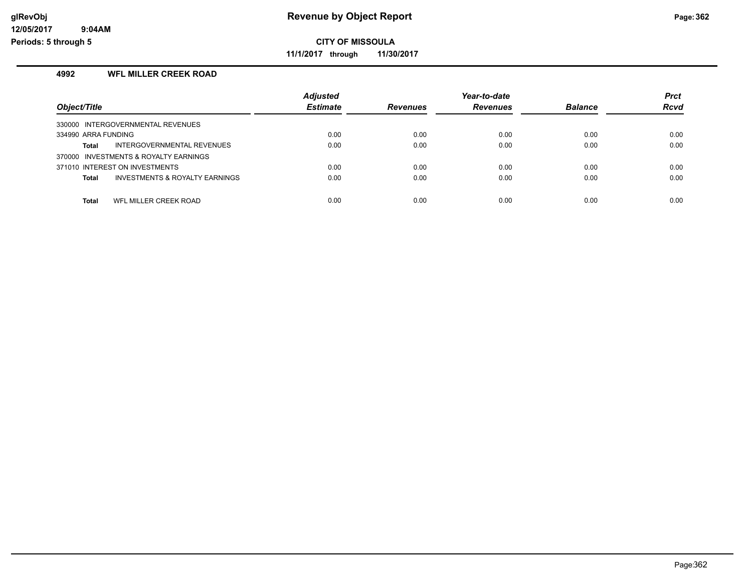**11/1/2017 through 11/30/2017**

#### **4992 WFL MILLER CREEK ROAD**

| Object/Title                                              | <b>Adjusted</b><br><b>Estimate</b> | <b>Revenues</b> | Year-to-date<br><b>Revenues</b> | <b>Balance</b> | <b>Prct</b><br><b>Rcvd</b> |
|-----------------------------------------------------------|------------------------------------|-----------------|---------------------------------|----------------|----------------------------|
| 330000 INTERGOVERNMENTAL REVENUES                         |                                    |                 |                                 |                |                            |
| 334990 ARRA FUNDING                                       | 0.00                               | 0.00            | 0.00                            | 0.00           | 0.00                       |
| INTERGOVERNMENTAL REVENUES<br>Total                       | 0.00                               | 0.00            | 0.00                            | 0.00           | 0.00                       |
| 370000 INVESTMENTS & ROYALTY EARNINGS                     |                                    |                 |                                 |                |                            |
| 371010 INTEREST ON INVESTMENTS                            | 0.00                               | 0.00            | 0.00                            | 0.00           | 0.00                       |
| <b>INVESTMENTS &amp; ROYALTY EARNINGS</b><br><b>Total</b> | 0.00                               | 0.00            | 0.00                            | 0.00           | 0.00                       |
|                                                           |                                    |                 |                                 |                |                            |
| WFL MILLER CREEK ROAD<br>Total                            | 0.00                               | 0.00            | 0.00                            | 0.00           | 0.00                       |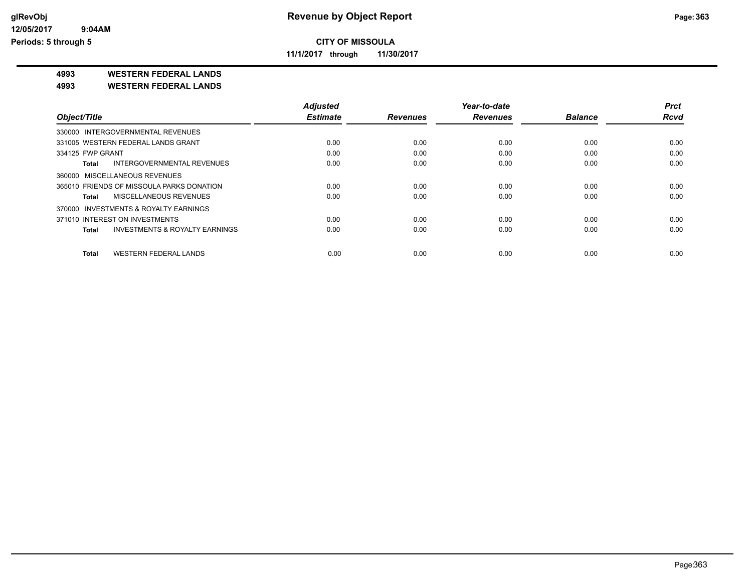**11/1/2017 through 11/30/2017**

#### **4993 WESTERN FEDERAL LANDS**

**4993 WESTERN FEDERAL LANDS**

|                                                           | <b>Adjusted</b> |                 | Year-to-date    |                | <b>Prct</b> |
|-----------------------------------------------------------|-----------------|-----------------|-----------------|----------------|-------------|
| Object/Title                                              | <b>Estimate</b> | <b>Revenues</b> | <b>Revenues</b> | <b>Balance</b> | <b>Rcvd</b> |
| 330000 INTERGOVERNMENTAL REVENUES                         |                 |                 |                 |                |             |
| 331005 WESTERN FEDERAL LANDS GRANT                        | 0.00            | 0.00            | 0.00            | 0.00           | 0.00        |
| 334125 FWP GRANT                                          | 0.00            | 0.00            | 0.00            | 0.00           | 0.00        |
| INTERGOVERNMENTAL REVENUES<br>Total                       | 0.00            | 0.00            | 0.00            | 0.00           | 0.00        |
| 360000 MISCELLANEOUS REVENUES                             |                 |                 |                 |                |             |
| 365010 FRIENDS OF MISSOULA PARKS DONATION                 | 0.00            | 0.00            | 0.00            | 0.00           | 0.00        |
| MISCELLANEOUS REVENUES<br>Total                           | 0.00            | 0.00            | 0.00            | 0.00           | 0.00        |
| 370000 INVESTMENTS & ROYALTY EARNINGS                     |                 |                 |                 |                |             |
| 371010 INTEREST ON INVESTMENTS                            | 0.00            | 0.00            | 0.00            | 0.00           | 0.00        |
| <b>INVESTMENTS &amp; ROYALTY EARNINGS</b><br><b>Total</b> | 0.00            | 0.00            | 0.00            | 0.00           | 0.00        |
| <b>WESTERN FEDERAL LANDS</b><br><b>Total</b>              | 0.00            | 0.00            | 0.00            | 0.00           | 0.00        |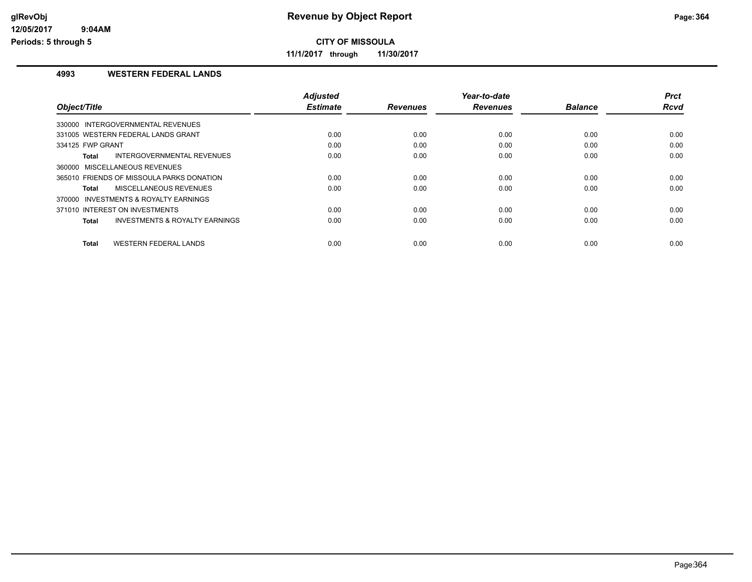**11/1/2017 through 11/30/2017**

#### **4993 WESTERN FEDERAL LANDS**

| Object/Title                                   | <b>Adjusted</b><br><b>Estimate</b> | <b>Revenues</b> | Year-to-date<br><b>Revenues</b> | <b>Balance</b> | <b>Prct</b><br>Rcvd |
|------------------------------------------------|------------------------------------|-----------------|---------------------------------|----------------|---------------------|
|                                                |                                    |                 |                                 |                |                     |
| 330000 INTERGOVERNMENTAL REVENUES              |                                    |                 |                                 |                |                     |
| 331005 WESTERN FEDERAL LANDS GRANT             | 0.00                               | 0.00            | 0.00                            | 0.00           | 0.00                |
| 334125 FWP GRANT                               | 0.00                               | 0.00            | 0.00                            | 0.00           | 0.00                |
| INTERGOVERNMENTAL REVENUES<br>Total            | 0.00                               | 0.00            | 0.00                            | 0.00           | 0.00                |
| 360000 MISCELLANEOUS REVENUES                  |                                    |                 |                                 |                |                     |
| 365010 FRIENDS OF MISSOULA PARKS DONATION      | 0.00                               | 0.00            | 0.00                            | 0.00           | 0.00                |
| MISCELLANEOUS REVENUES<br>Total                | 0.00                               | 0.00            | 0.00                            | 0.00           | 0.00                |
| 370000 INVESTMENTS & ROYALTY EARNINGS          |                                    |                 |                                 |                |                     |
| 371010 INTEREST ON INVESTMENTS                 | 0.00                               | 0.00            | 0.00                            | 0.00           | 0.00                |
| INVESTMENTS & ROYALTY EARNINGS<br><b>Total</b> | 0.00                               | 0.00            | 0.00                            | 0.00           | 0.00                |
|                                                |                                    |                 |                                 |                |                     |
| <b>WESTERN FEDERAL LANDS</b><br><b>Total</b>   | 0.00                               | 0.00            | 0.00                            | 0.00           | 0.00                |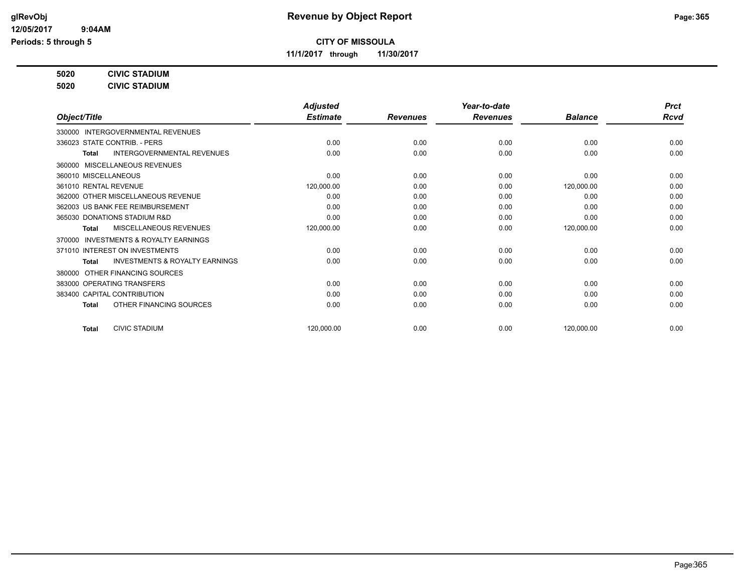**11/1/2017 through 11/30/2017**

**5020 CIVIC STADIUM**

**5020 CIVIC STADIUM**

|                                                     | <b>Adjusted</b> |                 | Year-to-date    |                | <b>Prct</b> |
|-----------------------------------------------------|-----------------|-----------------|-----------------|----------------|-------------|
| Object/Title                                        | <b>Estimate</b> | <b>Revenues</b> | <b>Revenues</b> | <b>Balance</b> | Rcvd        |
| 330000 INTERGOVERNMENTAL REVENUES                   |                 |                 |                 |                |             |
| 336023 STATE CONTRIB. - PERS                        | 0.00            | 0.00            | 0.00            | 0.00           | 0.00        |
| <b>INTERGOVERNMENTAL REVENUES</b><br><b>Total</b>   | 0.00            | 0.00            | 0.00            | 0.00           | 0.00        |
| MISCELLANEOUS REVENUES<br>360000                    |                 |                 |                 |                |             |
| 360010 MISCELLANEOUS                                | 0.00            | 0.00            | 0.00            | 0.00           | 0.00        |
| 361010 RENTAL REVENUE                               | 120,000.00      | 0.00            | 0.00            | 120,000.00     | 0.00        |
| 362000 OTHER MISCELLANEOUS REVENUE                  | 0.00            | 0.00            | 0.00            | 0.00           | 0.00        |
| 362003 US BANK FEE REIMBURSEMENT                    | 0.00            | 0.00            | 0.00            | 0.00           | 0.00        |
| 365030 DONATIONS STADIUM R&D                        | 0.00            | 0.00            | 0.00            | 0.00           | 0.00        |
| MISCELLANEOUS REVENUES<br><b>Total</b>              | 120,000.00      | 0.00            | 0.00            | 120,000.00     | 0.00        |
| <b>INVESTMENTS &amp; ROYALTY EARNINGS</b><br>370000 |                 |                 |                 |                |             |
| 371010 INTEREST ON INVESTMENTS                      | 0.00            | 0.00            | 0.00            | 0.00           | 0.00        |
| <b>INVESTMENTS &amp; ROYALTY EARNINGS</b><br>Total  | 0.00            | 0.00            | 0.00            | 0.00           | 0.00        |
| OTHER FINANCING SOURCES<br>380000                   |                 |                 |                 |                |             |
| 383000 OPERATING TRANSFERS                          | 0.00            | 0.00            | 0.00            | 0.00           | 0.00        |
| 383400 CAPITAL CONTRIBUTION                         | 0.00            | 0.00            | 0.00            | 0.00           | 0.00        |
| OTHER FINANCING SOURCES<br><b>Total</b>             | 0.00            | 0.00            | 0.00            | 0.00           | 0.00        |
| <b>CIVIC STADIUM</b><br><b>Total</b>                | 120,000.00      | 0.00            | 0.00            | 120,000.00     | 0.00        |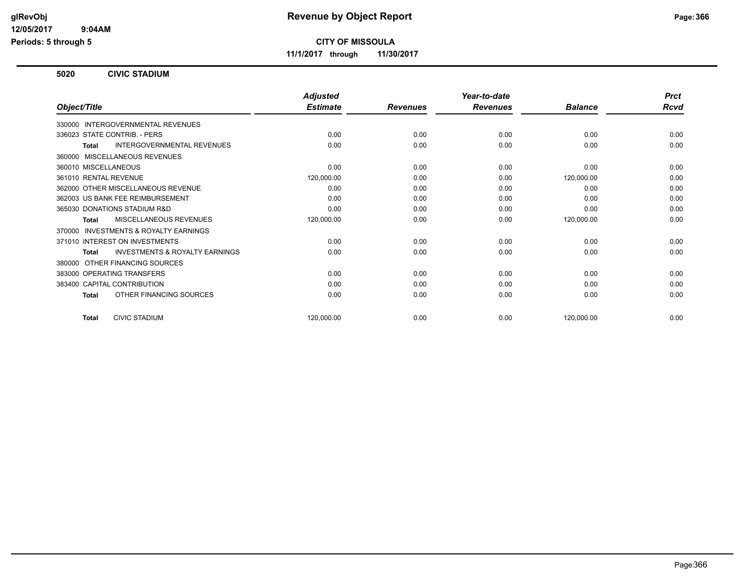**11/1/2017 through 11/30/2017**

#### **5020 CIVIC STADIUM**

|                                                           | <b>Adjusted</b> |                 | Year-to-date    |                | <b>Prct</b> |
|-----------------------------------------------------------|-----------------|-----------------|-----------------|----------------|-------------|
| Object/Title                                              | <b>Estimate</b> | <b>Revenues</b> | <b>Revenues</b> | <b>Balance</b> | <b>Rcvd</b> |
| 330000 INTERGOVERNMENTAL REVENUES                         |                 |                 |                 |                |             |
| 336023 STATE CONTRIB. - PERS                              | 0.00            | 0.00            | 0.00            | 0.00           | 0.00        |
| <b>INTERGOVERNMENTAL REVENUES</b><br><b>Total</b>         | 0.00            | 0.00            | 0.00            | 0.00           | 0.00        |
| 360000 MISCELLANEOUS REVENUES                             |                 |                 |                 |                |             |
| 360010 MISCELLANEOUS                                      | 0.00            | 0.00            | 0.00            | 0.00           | 0.00        |
| 361010 RENTAL REVENUE                                     | 120,000.00      | 0.00            | 0.00            | 120,000.00     | 0.00        |
| 362000 OTHER MISCELLANEOUS REVENUE                        | 0.00            | 0.00            | 0.00            | 0.00           | 0.00        |
| 362003 US BANK FEE REIMBURSEMENT                          | 0.00            | 0.00            | 0.00            | 0.00           | 0.00        |
| 365030 DONATIONS STADIUM R&D                              | 0.00            | 0.00            | 0.00            | 0.00           | 0.00        |
| MISCELLANEOUS REVENUES<br><b>Total</b>                    | 120,000.00      | 0.00            | 0.00            | 120,000.00     | 0.00        |
| <b>INVESTMENTS &amp; ROYALTY EARNINGS</b><br>370000       |                 |                 |                 |                |             |
| 371010 INTEREST ON INVESTMENTS                            | 0.00            | 0.00            | 0.00            | 0.00           | 0.00        |
| <b>INVESTMENTS &amp; ROYALTY EARNINGS</b><br><b>Total</b> | 0.00            | 0.00            | 0.00            | 0.00           | 0.00        |
| OTHER FINANCING SOURCES<br>380000                         |                 |                 |                 |                |             |
| 383000 OPERATING TRANSFERS                                | 0.00            | 0.00            | 0.00            | 0.00           | 0.00        |
| 383400 CAPITAL CONTRIBUTION                               | 0.00            | 0.00            | 0.00            | 0.00           | 0.00        |
| OTHER FINANCING SOURCES<br><b>Total</b>                   | 0.00            | 0.00            | 0.00            | 0.00           | 0.00        |
| <b>CIVIC STADIUM</b><br><b>Total</b>                      | 120,000.00      | 0.00            | 0.00            | 120,000.00     | 0.00        |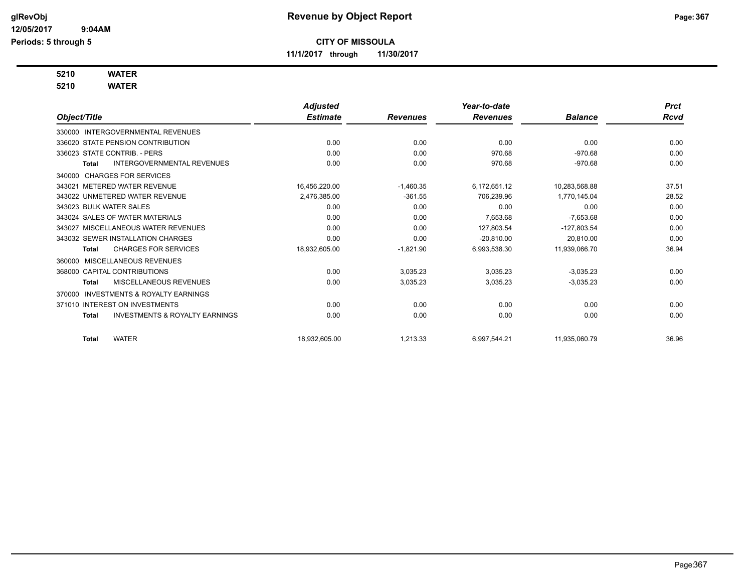**11/1/2017 through 11/30/2017**

## **5210 WATER**

**5210 WATER**

|                                                           | <b>Adjusted</b> |                 | Year-to-date    |                | <b>Prct</b> |
|-----------------------------------------------------------|-----------------|-----------------|-----------------|----------------|-------------|
| Object/Title                                              | <b>Estimate</b> | <b>Revenues</b> | <b>Revenues</b> | <b>Balance</b> | Rcvd        |
| INTERGOVERNMENTAL REVENUES<br>330000                      |                 |                 |                 |                |             |
| 336020 STATE PENSION CONTRIBUTION                         | 0.00            | 0.00            | 0.00            | 0.00           | 0.00        |
| 336023 STATE CONTRIB. - PERS                              | 0.00            | 0.00            | 970.68          | $-970.68$      | 0.00        |
| <b>INTERGOVERNMENTAL REVENUES</b><br>Total                | 0.00            | 0.00            | 970.68          | $-970.68$      | 0.00        |
| 340000 CHARGES FOR SERVICES                               |                 |                 |                 |                |             |
| 343021 METERED WATER REVENUE                              | 16.456.220.00   | $-1.460.35$     | 6,172,651.12    | 10.283.568.88  | 37.51       |
| 343022 UNMETERED WATER REVENUE                            | 2,476,385.00    | $-361.55$       | 706,239.96      | 1,770,145.04   | 28.52       |
| 343023 BULK WATER SALES                                   | 0.00            | 0.00            | 0.00            | 0.00           | 0.00        |
| 343024 SALES OF WATER MATERIALS                           | 0.00            | 0.00            | 7,653.68        | $-7,653.68$    | 0.00        |
| 343027 MISCELLANEOUS WATER REVENUES                       | 0.00            | 0.00            | 127.803.54      | $-127,803.54$  | 0.00        |
| 343032 SEWER INSTALLATION CHARGES                         | 0.00            | 0.00            | $-20,810.00$    | 20,810.00      | 0.00        |
| <b>CHARGES FOR SERVICES</b><br><b>Total</b>               | 18,932,605.00   | $-1,821.90$     | 6,993,538.30    | 11,939,066.70  | 36.94       |
| 360000 MISCELLANEOUS REVENUES                             |                 |                 |                 |                |             |
| 368000 CAPITAL CONTRIBUTIONS                              | 0.00            | 3,035.23        | 3,035.23        | $-3,035.23$    | 0.00        |
| MISCELLANEOUS REVENUES<br><b>Total</b>                    | 0.00            | 3,035.23        | 3,035.23        | $-3,035.23$    | 0.00        |
| <b>INVESTMENTS &amp; ROYALTY EARNINGS</b><br>370000       |                 |                 |                 |                |             |
| 371010 INTEREST ON INVESTMENTS                            | 0.00            | 0.00            | 0.00            | 0.00           | 0.00        |
| <b>INVESTMENTS &amp; ROYALTY EARNINGS</b><br><b>Total</b> | 0.00            | 0.00            | 0.00            | 0.00           | 0.00        |
| <b>WATER</b><br><b>Total</b>                              | 18,932,605.00   | 1,213.33        | 6,997,544.21    | 11,935,060.79  | 36.96       |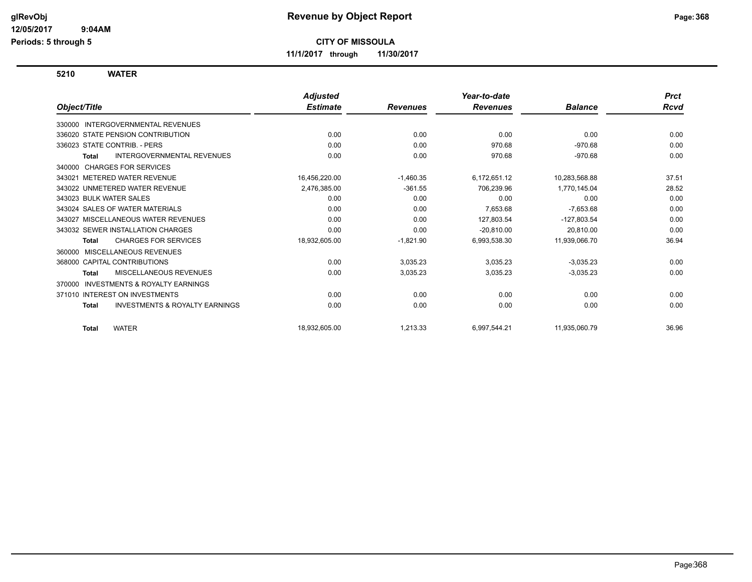**11/1/2017 through 11/30/2017**

**5210 WATER**

|                                                           | <b>Adjusted</b> |                 | Year-to-date    |                | <b>Prct</b> |
|-----------------------------------------------------------|-----------------|-----------------|-----------------|----------------|-------------|
| Object/Title                                              | <b>Estimate</b> | <b>Revenues</b> | <b>Revenues</b> | <b>Balance</b> | <b>Rcvd</b> |
| <b>INTERGOVERNMENTAL REVENUES</b><br>330000               |                 |                 |                 |                |             |
| 336020 STATE PENSION CONTRIBUTION                         | 0.00            | 0.00            | 0.00            | 0.00           | 0.00        |
| 336023 STATE CONTRIB. - PERS                              | 0.00            | 0.00            | 970.68          | $-970.68$      | 0.00        |
| INTERGOVERNMENTAL REVENUES<br><b>Total</b>                | 0.00            | 0.00            | 970.68          | $-970.68$      | 0.00        |
| <b>CHARGES FOR SERVICES</b><br>340000                     |                 |                 |                 |                |             |
| 343021 METERED WATER REVENUE                              | 16,456,220.00   | $-1,460.35$     | 6,172,651.12    | 10,283,568.88  | 37.51       |
| 343022 UNMETERED WATER REVENUE                            | 2,476,385.00    | $-361.55$       | 706.239.96      | 1.770.145.04   | 28.52       |
| 343023 BULK WATER SALES                                   | 0.00            | 0.00            | 0.00            | 0.00           | 0.00        |
| 343024 SALES OF WATER MATERIALS                           | 0.00            | 0.00            | 7,653.68        | $-7,653.68$    | 0.00        |
| 343027 MISCELLANEOUS WATER REVENUES                       | 0.00            | 0.00            | 127,803.54      | $-127,803.54$  | 0.00        |
| 343032 SEWER INSTALLATION CHARGES                         | 0.00            | 0.00            | $-20,810.00$    | 20,810.00      | 0.00        |
| <b>CHARGES FOR SERVICES</b><br><b>Total</b>               | 18,932,605.00   | $-1,821.90$     | 6,993,538.30    | 11,939,066.70  | 36.94       |
| MISCELLANEOUS REVENUES<br>360000                          |                 |                 |                 |                |             |
| 368000 CAPITAL CONTRIBUTIONS                              | 0.00            | 3,035.23        | 3,035.23        | $-3,035.23$    | 0.00        |
| <b>MISCELLANEOUS REVENUES</b><br><b>Total</b>             | 0.00            | 3,035.23        | 3,035.23        | $-3,035.23$    | 0.00        |
| <b>INVESTMENTS &amp; ROYALTY EARNINGS</b><br>370000       |                 |                 |                 |                |             |
| 371010 INTEREST ON INVESTMENTS                            | 0.00            | 0.00            | 0.00            | 0.00           | 0.00        |
| <b>INVESTMENTS &amp; ROYALTY EARNINGS</b><br><b>Total</b> | 0.00            | 0.00            | 0.00            | 0.00           | 0.00        |
| <b>WATER</b><br><b>Total</b>                              | 18,932,605.00   | 1,213.33        | 6,997,544.21    | 11,935,060.79  | 36.96       |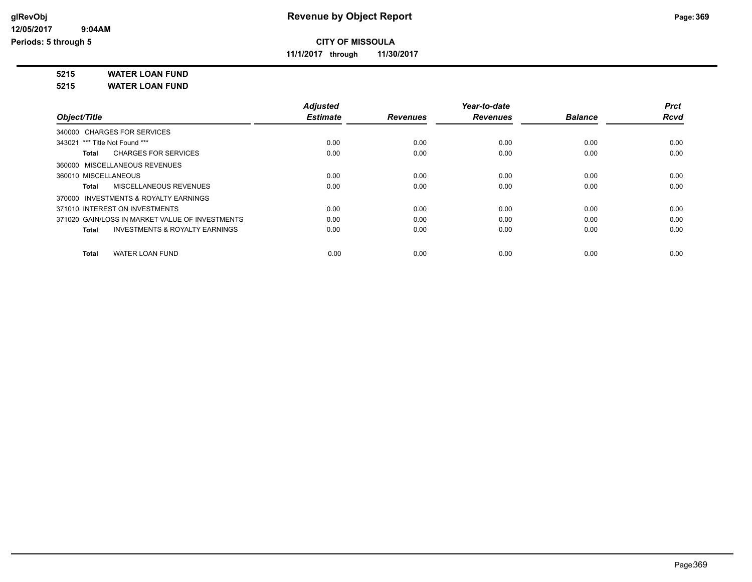**11/1/2017 through 11/30/2017**

**5215 WATER LOAN FUND**

**5215 WATER LOAN FUND**

|                                                    | <b>Adjusted</b> |                 | Year-to-date    |                | <b>Prct</b> |
|----------------------------------------------------|-----------------|-----------------|-----------------|----------------|-------------|
| Object/Title                                       | <b>Estimate</b> | <b>Revenues</b> | <b>Revenues</b> | <b>Balance</b> | <b>Rcvd</b> |
| 340000 CHARGES FOR SERVICES                        |                 |                 |                 |                |             |
| 343021 *** Title Not Found ***                     | 0.00            | 0.00            | 0.00            | 0.00           | 0.00        |
| <b>CHARGES FOR SERVICES</b><br>Total               | 0.00            | 0.00            | 0.00            | 0.00           | 0.00        |
| 360000 MISCELLANEOUS REVENUES                      |                 |                 |                 |                |             |
| 360010 MISCELLANEOUS                               | 0.00            | 0.00            | 0.00            | 0.00           | 0.00        |
| MISCELLANEOUS REVENUES<br>Total                    | 0.00            | 0.00            | 0.00            | 0.00           | 0.00        |
| 370000 INVESTMENTS & ROYALTY EARNINGS              |                 |                 |                 |                |             |
| 371010 INTEREST ON INVESTMENTS                     | 0.00            | 0.00            | 0.00            | 0.00           | 0.00        |
| 371020 GAIN/LOSS IN MARKET VALUE OF INVESTMENTS    | 0.00            | 0.00            | 0.00            | 0.00           | 0.00        |
| <b>INVESTMENTS &amp; ROYALTY EARNINGS</b><br>Total | 0.00            | 0.00            | 0.00            | 0.00           | 0.00        |
| <b>WATER LOAN FUND</b><br><b>Total</b>             | 0.00            | 0.00            | 0.00            | 0.00           | 0.00        |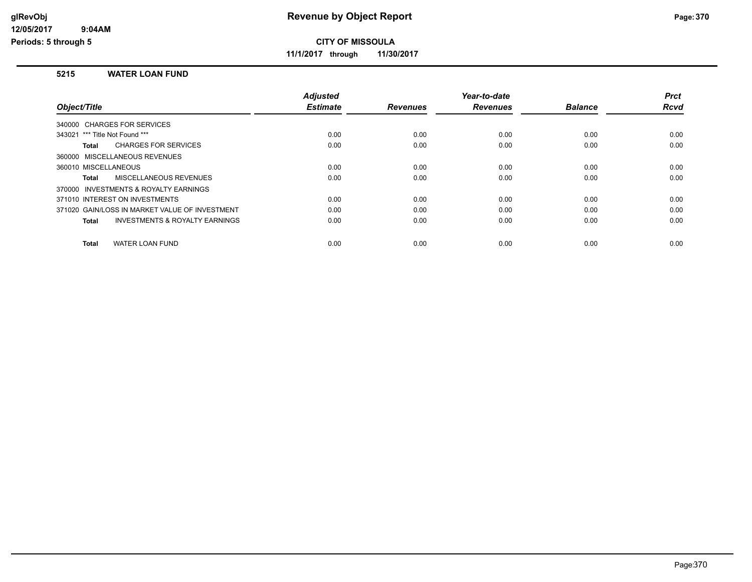**11/1/2017 through 11/30/2017**

#### **5215 WATER LOAN FUND**

|                                                    | <b>Adjusted</b> |                 | Year-to-date    |                | <b>Prct</b> |
|----------------------------------------------------|-----------------|-----------------|-----------------|----------------|-------------|
| Object/Title                                       | <b>Estimate</b> | <b>Revenues</b> | <b>Revenues</b> | <b>Balance</b> | <b>Rcvd</b> |
| 340000 CHARGES FOR SERVICES                        |                 |                 |                 |                |             |
| 343021 *** Title Not Found ***                     | 0.00            | 0.00            | 0.00            | 0.00           | 0.00        |
| <b>CHARGES FOR SERVICES</b><br>Total               | 0.00            | 0.00            | 0.00            | 0.00           | 0.00        |
| 360000 MISCELLANEOUS REVENUES                      |                 |                 |                 |                |             |
| 360010 MISCELLANEOUS                               | 0.00            | 0.00            | 0.00            | 0.00           | 0.00        |
| MISCELLANEOUS REVENUES<br>Total                    | 0.00            | 0.00            | 0.00            | 0.00           | 0.00        |
| 370000 INVESTMENTS & ROYALTY EARNINGS              |                 |                 |                 |                |             |
| 371010 INTEREST ON INVESTMENTS                     | 0.00            | 0.00            | 0.00            | 0.00           | 0.00        |
| 371020 GAIN/LOSS IN MARKET VALUE OF INVESTMENT     | 0.00            | 0.00            | 0.00            | 0.00           | 0.00        |
| <b>INVESTMENTS &amp; ROYALTY EARNINGS</b><br>Total | 0.00            | 0.00            | 0.00            | 0.00           | 0.00        |
| <b>WATER LOAN FUND</b><br><b>Total</b>             | 0.00            | 0.00            | 0.00            | 0.00           | 0.00        |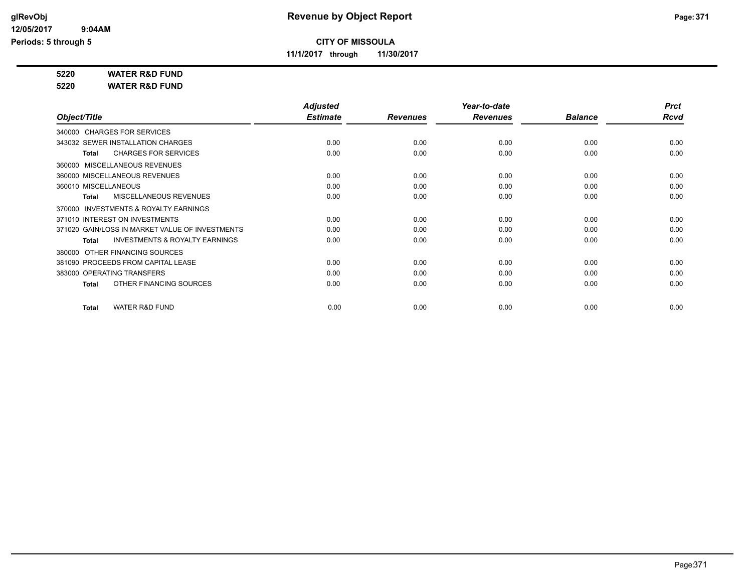**11/1/2017 through 11/30/2017**

**5220 WATER R&D FUND**

**5220 WATER R&D FUND**

|                                                    | <b>Adjusted</b> |                 | Year-to-date    | <b>Prct</b>    |             |
|----------------------------------------------------|-----------------|-----------------|-----------------|----------------|-------------|
| Object/Title                                       | <b>Estimate</b> | <b>Revenues</b> | <b>Revenues</b> | <b>Balance</b> | <b>Rcvd</b> |
| 340000 CHARGES FOR SERVICES                        |                 |                 |                 |                |             |
| 343032 SEWER INSTALLATION CHARGES                  | 0.00            | 0.00            | 0.00            | 0.00           | 0.00        |
| <b>CHARGES FOR SERVICES</b><br><b>Total</b>        | 0.00            | 0.00            | 0.00            | 0.00           | 0.00        |
| 360000 MISCELLANEOUS REVENUES                      |                 |                 |                 |                |             |
| 360000 MISCELLANEOUS REVENUES                      | 0.00            | 0.00            | 0.00            | 0.00           | 0.00        |
| 360010 MISCELLANEOUS                               | 0.00            | 0.00            | 0.00            | 0.00           | 0.00        |
| MISCELLANEOUS REVENUES<br><b>Total</b>             | 0.00            | 0.00            | 0.00            | 0.00           | 0.00        |
| 370000 INVESTMENTS & ROYALTY EARNINGS              |                 |                 |                 |                |             |
| 371010 INTEREST ON INVESTMENTS                     | 0.00            | 0.00            | 0.00            | 0.00           | 0.00        |
| 371020 GAIN/LOSS IN MARKET VALUE OF INVESTMENTS    | 0.00            | 0.00            | 0.00            | 0.00           | 0.00        |
| <b>INVESTMENTS &amp; ROYALTY EARNINGS</b><br>Total | 0.00            | 0.00            | 0.00            | 0.00           | 0.00        |
| OTHER FINANCING SOURCES<br>380000                  |                 |                 |                 |                |             |
| 381090 PROCEEDS FROM CAPITAL LEASE                 | 0.00            | 0.00            | 0.00            | 0.00           | 0.00        |
| 383000 OPERATING TRANSFERS                         | 0.00            | 0.00            | 0.00            | 0.00           | 0.00        |
| OTHER FINANCING SOURCES<br><b>Total</b>            | 0.00            | 0.00            | 0.00            | 0.00           | 0.00        |
| WATER R&D FUND<br><b>Total</b>                     | 0.00            | 0.00            | 0.00            | 0.00           | 0.00        |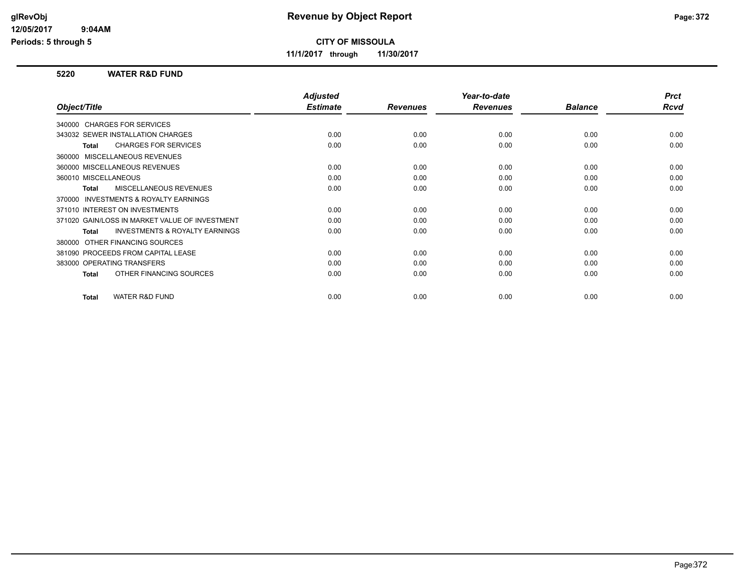**11/1/2017 through 11/30/2017**

#### **5220 WATER R&D FUND**

|                                                           | <b>Adjusted</b> |                 | Year-to-date    |                | <b>Prct</b> |
|-----------------------------------------------------------|-----------------|-----------------|-----------------|----------------|-------------|
| Object/Title                                              | <b>Estimate</b> | <b>Revenues</b> | <b>Revenues</b> | <b>Balance</b> | <b>Rcvd</b> |
| 340000 CHARGES FOR SERVICES                               |                 |                 |                 |                |             |
| 343032 SEWER INSTALLATION CHARGES                         | 0.00            | 0.00            | 0.00            | 0.00           | 0.00        |
| <b>CHARGES FOR SERVICES</b><br><b>Total</b>               | 0.00            | 0.00            | 0.00            | 0.00           | 0.00        |
| 360000 MISCELLANEOUS REVENUES                             |                 |                 |                 |                |             |
| 360000 MISCELLANEOUS REVENUES                             | 0.00            | 0.00            | 0.00            | 0.00           | 0.00        |
| 360010 MISCELLANEOUS                                      | 0.00            | 0.00            | 0.00            | 0.00           | 0.00        |
| <b>MISCELLANEOUS REVENUES</b><br><b>Total</b>             | 0.00            | 0.00            | 0.00            | 0.00           | 0.00        |
| INVESTMENTS & ROYALTY EARNINGS<br>370000                  |                 |                 |                 |                |             |
| 371010 INTEREST ON INVESTMENTS                            | 0.00            | 0.00            | 0.00            | 0.00           | 0.00        |
| 371020 GAIN/LOSS IN MARKET VALUE OF INVESTMENT            | 0.00            | 0.00            | 0.00            | 0.00           | 0.00        |
| <b>INVESTMENTS &amp; ROYALTY EARNINGS</b><br><b>Total</b> | 0.00            | 0.00            | 0.00            | 0.00           | 0.00        |
| 380000 OTHER FINANCING SOURCES                            |                 |                 |                 |                |             |
| 381090 PROCEEDS FROM CAPITAL LEASE                        | 0.00            | 0.00            | 0.00            | 0.00           | 0.00        |
| 383000 OPERATING TRANSFERS                                | 0.00            | 0.00            | 0.00            | 0.00           | 0.00        |
| OTHER FINANCING SOURCES<br><b>Total</b>                   | 0.00            | 0.00            | 0.00            | 0.00           | 0.00        |
|                                                           |                 |                 |                 |                |             |
| <b>WATER R&amp;D FUND</b><br><b>Total</b>                 | 0.00            | 0.00            | 0.00            | 0.00           | 0.00        |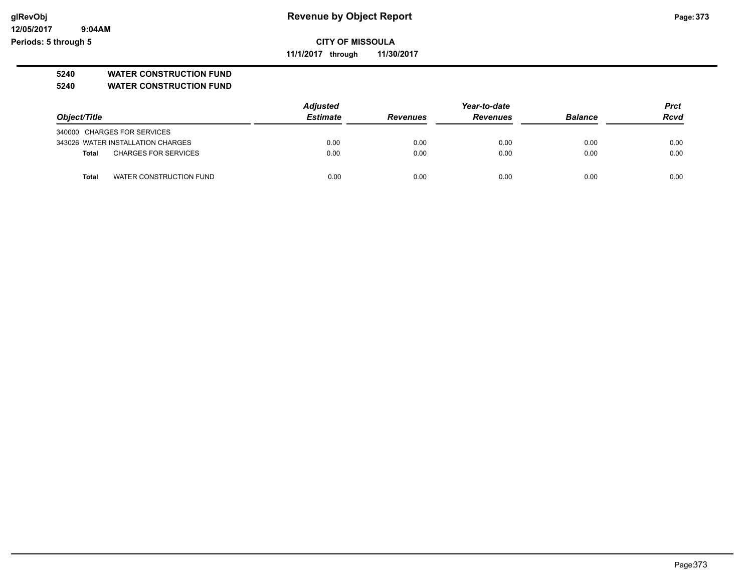**12/05/2017 9:04AM Periods: 5 through 5**

## **CITY OF MISSOULA**

**11/1/2017 through 11/30/2017**

#### **5240 WATER CONSTRUCTION FUND**

**5240 WATER CONSTRUCTION FUND**

|                                         | <b>Adjusted</b> |                 | Year-to-date    |                | <b>Prct</b> |
|-----------------------------------------|-----------------|-----------------|-----------------|----------------|-------------|
| Object/Title                            | <b>Estimate</b> | <b>Revenues</b> | <b>Revenues</b> | <b>Balance</b> | <b>Rcvd</b> |
| 340000 CHARGES FOR SERVICES             |                 |                 |                 |                |             |
| 343026 WATER INSTALLATION CHARGES       | 0.00            | 0.00            | 0.00            | 0.00           | 0.00        |
| <b>CHARGES FOR SERVICES</b><br>Total    | 0.00            | 0.00            | 0.00            | 0.00           | 0.00        |
| WATER CONSTRUCTION FUND<br><b>Total</b> | 0.00            | 0.00            | 0.00            | 0.00           | 0.00        |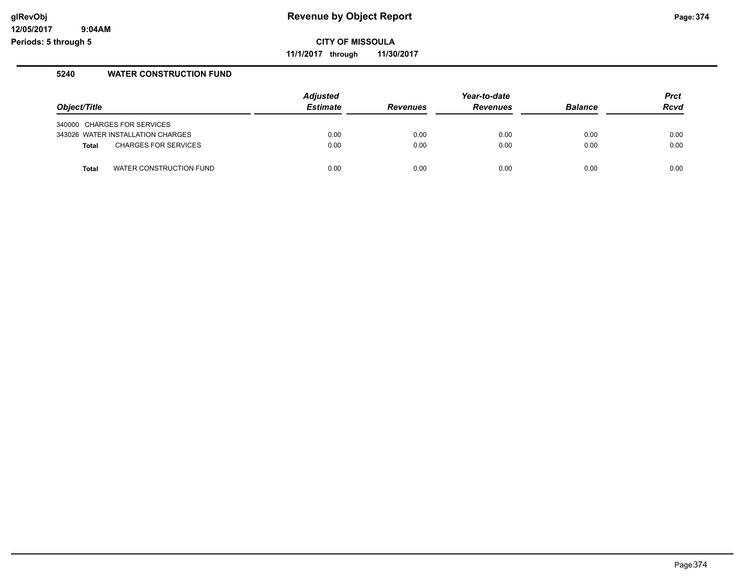**11/1/2017 through 11/30/2017**

#### **5240 WATER CONSTRUCTION FUND**

|                                             | <b>Adjusted</b> |                 | Year-to-date    |                | <b>Prct</b> |
|---------------------------------------------|-----------------|-----------------|-----------------|----------------|-------------|
| Object/Title                                | <b>Estimate</b> | <b>Revenues</b> | <b>Revenues</b> | <b>Balance</b> | <b>Rcvd</b> |
| 340000 CHARGES FOR SERVICES                 |                 |                 |                 |                |             |
| 343026 WATER INSTALLATION CHARGES           | 0.00            | 0.00            | 0.00            | 0.00           | 0.00        |
| <b>CHARGES FOR SERVICES</b><br><b>Total</b> | 0.00            | 0.00            | 0.00            | 0.00           | 0.00        |
|                                             |                 |                 |                 |                |             |
| <b>Total</b><br>WATER CONSTRUCTION FUND     | 0.00            | 0.00            | 0.00            | 0.00           | 0.00        |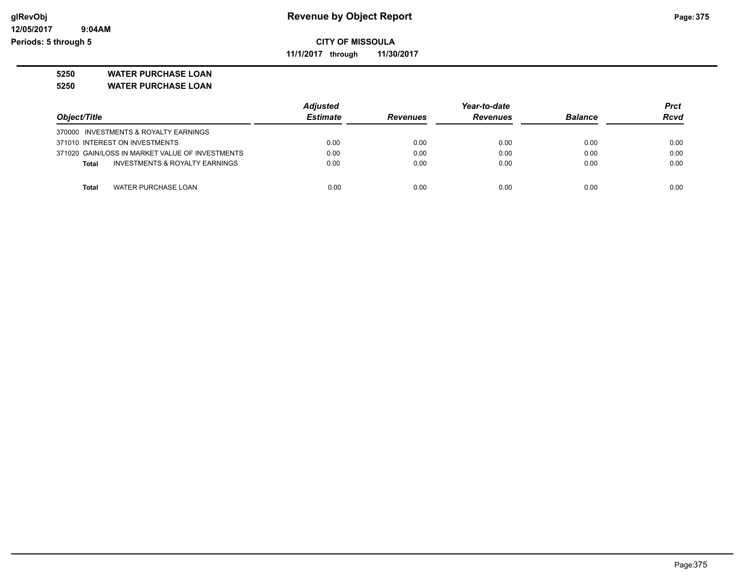**11/1/2017 through 11/30/2017**

#### **5250 WATER PURCHASE LOAN**

**5250 WATER PURCHASE LOAN**

|                                                           | <b>Adjusted</b> |                 | Year-to-date    |                | Prct |
|-----------------------------------------------------------|-----------------|-----------------|-----------------|----------------|------|
| Object/Title                                              | <b>Estimate</b> | <b>Revenues</b> | <b>Revenues</b> | <b>Balance</b> | Rcvd |
| 370000 INVESTMENTS & ROYALTY EARNINGS                     |                 |                 |                 |                |      |
| 371010 INTEREST ON INVESTMENTS                            | 0.00            | 0.00            | 0.00            | 0.00           | 0.00 |
| 371020 GAIN/LOSS IN MARKET VALUE OF INVESTMENTS           | 0.00            | 0.00            | 0.00            | 0.00           | 0.00 |
| <b>INVESTMENTS &amp; ROYALTY EARNINGS</b><br><b>Total</b> | 0.00            | 0.00            | 0.00            | 0.00           | 0.00 |
|                                                           |                 |                 |                 |                |      |
| <b>Total</b><br>WATER PURCHASE LOAN                       | 0.00            | 0.00            | 0.00            | 0.00           | 0.00 |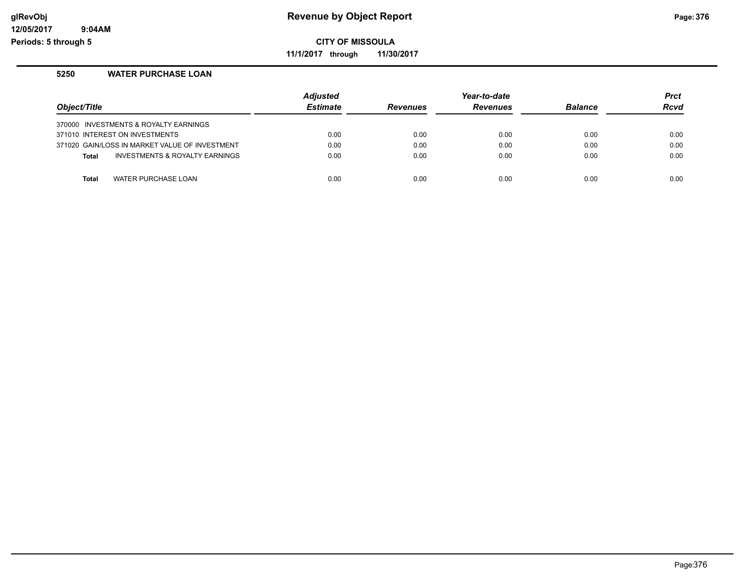**11/1/2017 through 11/30/2017**

#### **5250 WATER PURCHASE LOAN**

| Object/Title                   |                                                | <b>Adjusted</b><br><b>Estimate</b> | <b>Revenues</b> | Year-to-date<br><b>Revenues</b> | <b>Balance</b> | <b>Prct</b><br><b>Rcvd</b> |
|--------------------------------|------------------------------------------------|------------------------------------|-----------------|---------------------------------|----------------|----------------------------|
|                                | 370000 INVESTMENTS & ROYALTY EARNINGS          |                                    |                 |                                 |                |                            |
| 371010 INTEREST ON INVESTMENTS |                                                | 0.00                               | 0.00            | 0.00                            | 0.00           | 0.00                       |
|                                | 371020 GAIN/LOSS IN MARKET VALUE OF INVESTMENT | 0.00                               | 0.00            | 0.00                            | 0.00           | 0.00                       |
| <b>Total</b>                   | <b>INVESTMENTS &amp; ROYALTY EARNINGS</b>      | 0.00                               | 0.00            | 0.00                            | 0.00           | 0.00                       |
|                                |                                                |                                    |                 |                                 |                |                            |
| Total                          | WATER PURCHASE LOAN                            | 0.00                               | 0.00            | 0.00                            | 0.00           | 0.00                       |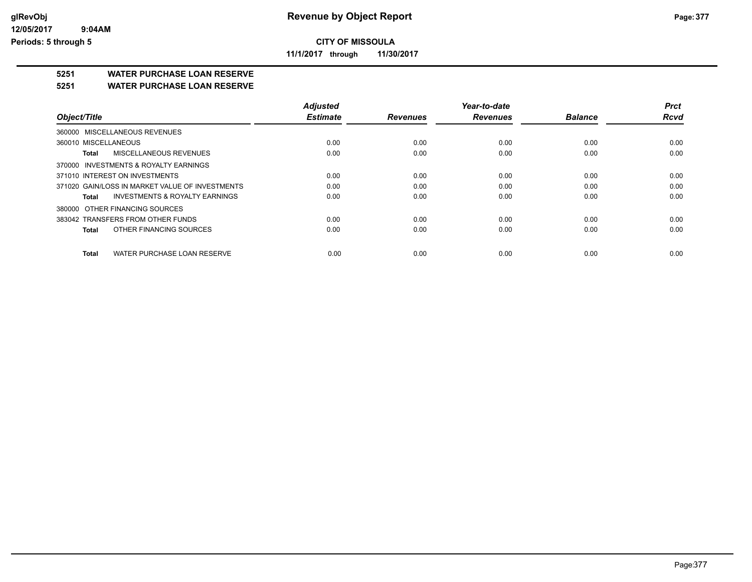**11/1/2017 through 11/30/2017**

#### **5251 WATER PURCHASE LOAN RESERVE**

#### **5251 WATER PURCHASE LOAN RESERVE**

|                                                    | <b>Adjusted</b> |                 | Year-to-date    |                | <b>Prct</b> |
|----------------------------------------------------|-----------------|-----------------|-----------------|----------------|-------------|
| Object/Title                                       | <b>Estimate</b> | <b>Revenues</b> | <b>Revenues</b> | <b>Balance</b> | <b>Rcvd</b> |
| 360000 MISCELLANEOUS REVENUES                      |                 |                 |                 |                |             |
| 360010 MISCELLANEOUS                               | 0.00            | 0.00            | 0.00            | 0.00           | 0.00        |
| MISCELLANEOUS REVENUES<br>Total                    | 0.00            | 0.00            | 0.00            | 0.00           | 0.00        |
| 370000 INVESTMENTS & ROYALTY EARNINGS              |                 |                 |                 |                |             |
| 371010 INTEREST ON INVESTMENTS                     | 0.00            | 0.00            | 0.00            | 0.00           | 0.00        |
| 371020 GAIN/LOSS IN MARKET VALUE OF INVESTMENTS    | 0.00            | 0.00            | 0.00            | 0.00           | 0.00        |
| <b>INVESTMENTS &amp; ROYALTY EARNINGS</b><br>Total | 0.00            | 0.00            | 0.00            | 0.00           | 0.00        |
| 380000 OTHER FINANCING SOURCES                     |                 |                 |                 |                |             |
| 383042 TRANSFERS FROM OTHER FUNDS                  | 0.00            | 0.00            | 0.00            | 0.00           | 0.00        |
| OTHER FINANCING SOURCES<br>Total                   | 0.00            | 0.00            | 0.00            | 0.00           | 0.00        |
| WATER PURCHASE LOAN RESERVE<br>Total               | 0.00            | 0.00            | 0.00            | 0.00           | 0.00        |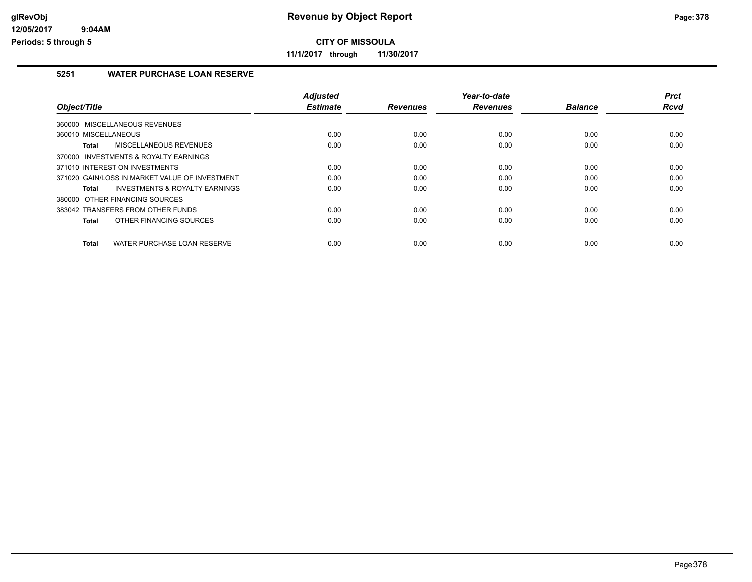**11/1/2017 through 11/30/2017**

#### **5251 WATER PURCHASE LOAN RESERVE**

|                                                    | <b>Adjusted</b> |                 | Year-to-date    |                | <b>Prct</b> |
|----------------------------------------------------|-----------------|-----------------|-----------------|----------------|-------------|
| Object/Title                                       | <b>Estimate</b> | <b>Revenues</b> | <b>Revenues</b> | <b>Balance</b> | <b>Rcvd</b> |
| 360000 MISCELLANEOUS REVENUES                      |                 |                 |                 |                |             |
| 360010 MISCELLANEOUS                               | 0.00            | 0.00            | 0.00            | 0.00           | 0.00        |
| MISCELLANEOUS REVENUES<br>Total                    | 0.00            | 0.00            | 0.00            | 0.00           | 0.00        |
| 370000 INVESTMENTS & ROYALTY EARNINGS              |                 |                 |                 |                |             |
| 371010 INTEREST ON INVESTMENTS                     | 0.00            | 0.00            | 0.00            | 0.00           | 0.00        |
| 371020 GAIN/LOSS IN MARKET VALUE OF INVESTMENT     | 0.00            | 0.00            | 0.00            | 0.00           | 0.00        |
| <b>INVESTMENTS &amp; ROYALTY EARNINGS</b><br>Total | 0.00            | 0.00            | 0.00            | 0.00           | 0.00        |
| 380000 OTHER FINANCING SOURCES                     |                 |                 |                 |                |             |
| 383042 TRANSFERS FROM OTHER FUNDS                  | 0.00            | 0.00            | 0.00            | 0.00           | 0.00        |
| OTHER FINANCING SOURCES<br>Total                   | 0.00            | 0.00            | 0.00            | 0.00           | 0.00        |
| <b>Total</b><br>WATER PURCHASE LOAN RESERVE        | 0.00            | 0.00            | 0.00            | 0.00           | 0.00        |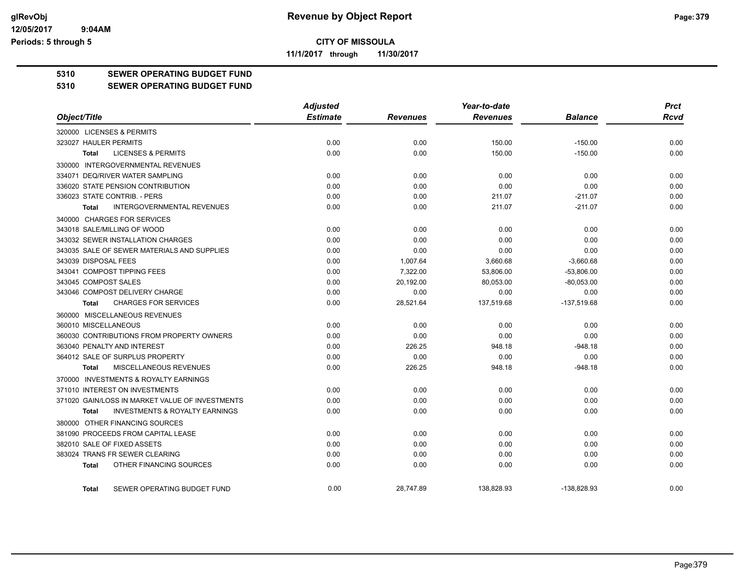**11/1/2017 through 11/30/2017**

#### **5310 SEWER OPERATING BUDGET FUND**

#### **5310 SEWER OPERATING BUDGET FUND**

|                                                    | <b>Adjusted</b> |                 | Year-to-date    |                | <b>Prct</b> |
|----------------------------------------------------|-----------------|-----------------|-----------------|----------------|-------------|
| Object/Title                                       | <b>Estimate</b> | <b>Revenues</b> | <b>Revenues</b> | <b>Balance</b> | <b>Rcvd</b> |
| 320000 LICENSES & PERMITS                          |                 |                 |                 |                |             |
| 323027 HAULER PERMITS                              | 0.00            | 0.00            | 150.00          | $-150.00$      | 0.00        |
| <b>LICENSES &amp; PERMITS</b><br>Total             | 0.00            | 0.00            | 150.00          | $-150.00$      | 0.00        |
| 330000 INTERGOVERNMENTAL REVENUES                  |                 |                 |                 |                |             |
| 334071 DEQ/RIVER WATER SAMPLING                    | 0.00            | 0.00            | 0.00            | 0.00           | 0.00        |
| 336020 STATE PENSION CONTRIBUTION                  | 0.00            | 0.00            | 0.00            | 0.00           | 0.00        |
| 336023 STATE CONTRIB. - PERS                       | 0.00            | 0.00            | 211.07          | $-211.07$      | 0.00        |
| <b>INTERGOVERNMENTAL REVENUES</b><br><b>Total</b>  | 0.00            | 0.00            | 211.07          | $-211.07$      | 0.00        |
| 340000 CHARGES FOR SERVICES                        |                 |                 |                 |                |             |
| 343018 SALE/MILLING OF WOOD                        | 0.00            | 0.00            | 0.00            | 0.00           | 0.00        |
| 343032 SEWER INSTALLATION CHARGES                  | 0.00            | 0.00            | 0.00            | 0.00           | 0.00        |
| 343035 SALE OF SEWER MATERIALS AND SUPPLIES        | 0.00            | 0.00            | 0.00            | 0.00           | 0.00        |
| 343039 DISPOSAL FEES                               | 0.00            | 1,007.64        | 3,660.68        | $-3,660.68$    | 0.00        |
| 343041 COMPOST TIPPING FEES                        | 0.00            | 7,322.00        | 53,806.00       | $-53,806.00$   | 0.00        |
| 343045 COMPOST SALES                               | 0.00            | 20,192.00       | 80,053.00       | $-80,053.00$   | 0.00        |
| 343046 COMPOST DELIVERY CHARGE                     | 0.00            | 0.00            | 0.00            | 0.00           | 0.00        |
| <b>CHARGES FOR SERVICES</b><br><b>Total</b>        | 0.00            | 28,521.64       | 137,519.68      | $-137,519.68$  | 0.00        |
| 360000 MISCELLANEOUS REVENUES                      |                 |                 |                 |                |             |
| 360010 MISCELLANEOUS                               | 0.00            | 0.00            | 0.00            | 0.00           | 0.00        |
| 360030 CONTRIBUTIONS FROM PROPERTY OWNERS          | 0.00            | 0.00            | 0.00            | 0.00           | 0.00        |
| 363040 PENALTY AND INTEREST                        | 0.00            | 226.25          | 948.18          | $-948.18$      | 0.00        |
| 364012 SALE OF SURPLUS PROPERTY                    | 0.00            | 0.00            | 0.00            | 0.00           | 0.00        |
| MISCELLANEOUS REVENUES<br>Total                    | 0.00            | 226.25          | 948.18          | $-948.18$      | 0.00        |
| 370000 INVESTMENTS & ROYALTY EARNINGS              |                 |                 |                 |                |             |
| 371010 INTEREST ON INVESTMENTS                     | 0.00            | 0.00            | 0.00            | 0.00           | 0.00        |
| 371020 GAIN/LOSS IN MARKET VALUE OF INVESTMENTS    | 0.00            | 0.00            | 0.00            | 0.00           | 0.00        |
| <b>INVESTMENTS &amp; ROYALTY EARNINGS</b><br>Total | 0.00            | 0.00            | 0.00            | 0.00           | 0.00        |
| 380000 OTHER FINANCING SOURCES                     |                 |                 |                 |                |             |
| 381090 PROCEEDS FROM CAPITAL LEASE                 | 0.00            | 0.00            | 0.00            | 0.00           | 0.00        |
| 382010 SALE OF FIXED ASSETS                        | 0.00            | 0.00            | 0.00            | 0.00           | 0.00        |
| 383024 TRANS FR SEWER CLEARING                     | 0.00            | 0.00            | 0.00            | 0.00           | 0.00        |
| OTHER FINANCING SOURCES<br><b>Total</b>            | 0.00            | 0.00            | 0.00            | 0.00           | 0.00        |
| Total<br>SEWER OPERATING BUDGET FUND               | 0.00            | 28,747.89       | 138,828.93      | -138,828.93    | 0.00        |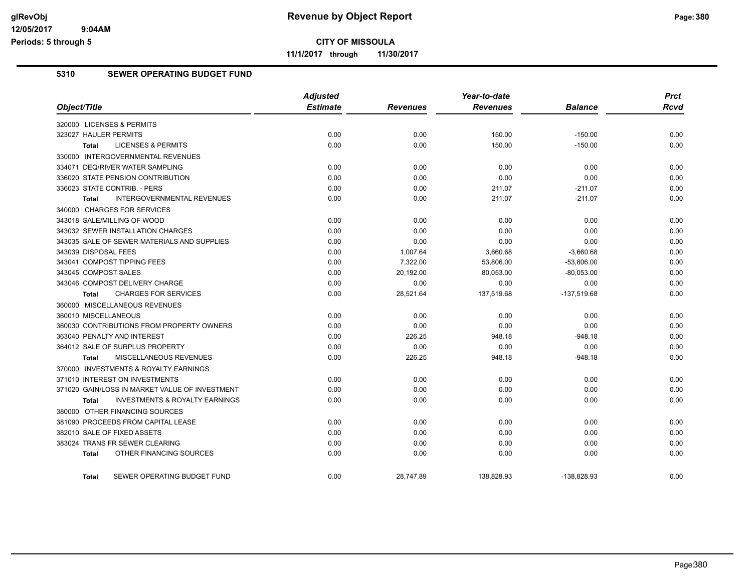**11/1/2017 through 11/30/2017**

#### **5310 SEWER OPERATING BUDGET FUND**

|                                                    | <b>Adjusted</b> |                 | Year-to-date    |                | <b>Prct</b> |
|----------------------------------------------------|-----------------|-----------------|-----------------|----------------|-------------|
| Object/Title                                       | <b>Estimate</b> | <b>Revenues</b> | <b>Revenues</b> | <b>Balance</b> | <b>Rcvd</b> |
| 320000 LICENSES & PERMITS                          |                 |                 |                 |                |             |
| 323027 HAULER PERMITS                              | 0.00            | 0.00            | 150.00          | $-150.00$      | 0.00        |
| <b>LICENSES &amp; PERMITS</b><br>Total             | 0.00            | 0.00            | 150.00          | $-150.00$      | 0.00        |
| 330000 INTERGOVERNMENTAL REVENUES                  |                 |                 |                 |                |             |
| 334071 DEQ/RIVER WATER SAMPLING                    | 0.00            | 0.00            | 0.00            | 0.00           | 0.00        |
| 336020 STATE PENSION CONTRIBUTION                  | 0.00            | 0.00            | 0.00            | 0.00           | 0.00        |
| 336023 STATE CONTRIB. - PERS                       | 0.00            | 0.00            | 211.07          | $-211.07$      | 0.00        |
| <b>INTERGOVERNMENTAL REVENUES</b><br><b>Total</b>  | 0.00            | 0.00            | 211.07          | $-211.07$      | 0.00        |
| 340000 CHARGES FOR SERVICES                        |                 |                 |                 |                |             |
| 343018 SALE/MILLING OF WOOD                        | 0.00            | 0.00            | 0.00            | 0.00           | 0.00        |
| 343032 SEWER INSTALLATION CHARGES                  | 0.00            | 0.00            | 0.00            | 0.00           | 0.00        |
| 343035 SALE OF SEWER MATERIALS AND SUPPLIES        | 0.00            | 0.00            | 0.00            | 0.00           | 0.00        |
| 343039 DISPOSAL FEES                               | 0.00            | 1,007.64        | 3,660.68        | $-3,660.68$    | 0.00        |
| 343041 COMPOST TIPPING FEES                        | 0.00            | 7,322.00        | 53,806.00       | $-53,806.00$   | 0.00        |
| 343045 COMPOST SALES                               | 0.00            | 20,192.00       | 80,053.00       | $-80,053.00$   | 0.00        |
| 343046 COMPOST DELIVERY CHARGE                     | 0.00            | 0.00            | 0.00            | 0.00           | 0.00        |
| <b>CHARGES FOR SERVICES</b><br>Total               | 0.00            | 28,521.64       | 137,519.68      | $-137,519.68$  | 0.00        |
| 360000 MISCELLANEOUS REVENUES                      |                 |                 |                 |                |             |
| 360010 MISCELLANEOUS                               | 0.00            | 0.00            | 0.00            | 0.00           | 0.00        |
| 360030 CONTRIBUTIONS FROM PROPERTY OWNERS          | 0.00            | 0.00            | 0.00            | 0.00           | 0.00        |
| 363040 PENALTY AND INTEREST                        | 0.00            | 226.25          | 948.18          | $-948.18$      | 0.00        |
| 364012 SALE OF SURPLUS PROPERTY                    | 0.00            | 0.00            | 0.00            | 0.00           | 0.00        |
| MISCELLANEOUS REVENUES<br><b>Total</b>             | 0.00            | 226.25          | 948.18          | $-948.18$      | 0.00        |
| 370000 INVESTMENTS & ROYALTY EARNINGS              |                 |                 |                 |                |             |
| 371010 INTEREST ON INVESTMENTS                     | 0.00            | 0.00            | 0.00            | 0.00           | 0.00        |
| 371020 GAIN/LOSS IN MARKET VALUE OF INVESTMENT     | 0.00            | 0.00            | 0.00            | 0.00           | 0.00        |
| <b>INVESTMENTS &amp; ROYALTY EARNINGS</b><br>Total | 0.00            | 0.00            | 0.00            | 0.00           | 0.00        |
| 380000 OTHER FINANCING SOURCES                     |                 |                 |                 |                |             |
| 381090 PROCEEDS FROM CAPITAL LEASE                 | 0.00            | 0.00            | 0.00            | 0.00           | 0.00        |
| 382010 SALE OF FIXED ASSETS                        | 0.00            | 0.00            | 0.00            | 0.00           | 0.00        |
| 383024 TRANS FR SEWER CLEARING                     | 0.00            | 0.00            | 0.00            | 0.00           | 0.00        |
| OTHER FINANCING SOURCES<br><b>Total</b>            |                 |                 |                 |                |             |
|                                                    | 0.00            | 0.00            | 0.00            | 0.00           | 0.00        |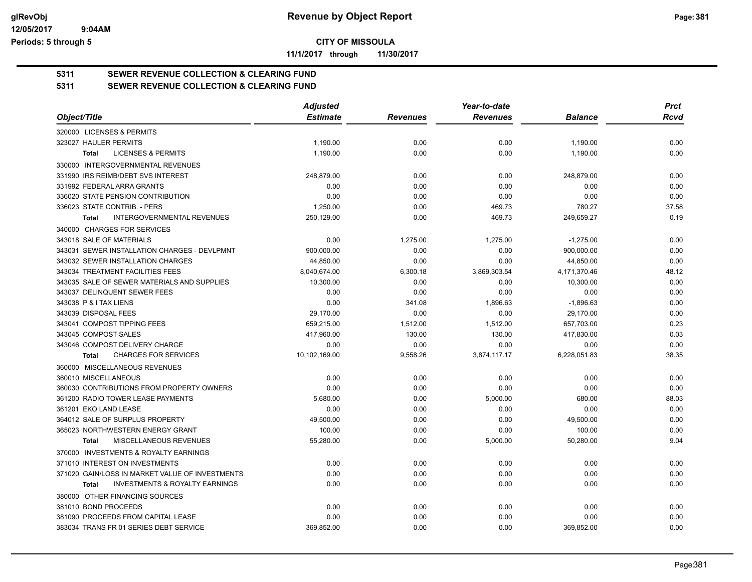**11/1/2017 through 11/30/2017**

# **5311 SEWER REVENUE COLLECTION & CLEARING FUND**

## **5311 SEWER REVENUE COLLECTION & CLEARING FUND**

|                                                           | <b>Adjusted</b> |                 | Year-to-date    | <b>Prct</b>    |             |
|-----------------------------------------------------------|-----------------|-----------------|-----------------|----------------|-------------|
| Object/Title                                              | <b>Estimate</b> | <b>Revenues</b> | <b>Revenues</b> | <b>Balance</b> | <b>Rcvd</b> |
| 320000 LICENSES & PERMITS                                 |                 |                 |                 |                |             |
| 323027 HAULER PERMITS                                     | 1,190.00        | 0.00            | 0.00            | 1,190.00       | 0.00        |
| <b>LICENSES &amp; PERMITS</b><br>Total                    | 1,190.00        | 0.00            | 0.00            | 1,190.00       | 0.00        |
| 330000 INTERGOVERNMENTAL REVENUES                         |                 |                 |                 |                |             |
| 331990 IRS REIMB/DEBT SVS INTEREST                        | 248,879.00      | 0.00            | 0.00            | 248,879.00     | 0.00        |
| 331992 FEDERAL ARRA GRANTS                                | 0.00            | 0.00            | 0.00            | 0.00           | 0.00        |
| 336020 STATE PENSION CONTRIBUTION                         | 0.00            | 0.00            | 0.00            | 0.00           | 0.00        |
| 336023 STATE CONTRIB. - PERS                              | 1,250.00        | 0.00            | 469.73          | 780.27         | 37.58       |
| <b>INTERGOVERNMENTAL REVENUES</b><br><b>Total</b>         | 250,129.00      | 0.00            | 469.73          | 249,659.27     | 0.19        |
| 340000 CHARGES FOR SERVICES                               |                 |                 |                 |                |             |
| 343018 SALE OF MATERIALS                                  | 0.00            | 1,275.00        | 1,275.00        | $-1,275.00$    | 0.00        |
| 343031 SEWER INSTALLATION CHARGES - DEVLPMNT              | 900,000.00      | 0.00            | 0.00            | 900,000.00     | 0.00        |
| 343032 SEWER INSTALLATION CHARGES                         | 44,850.00       | 0.00            | 0.00            | 44,850.00      | 0.00        |
| 343034 TREATMENT FACILITIES FEES                          | 8,040,674.00    | 6,300.18        | 3,869,303.54    | 4,171,370.46   | 48.12       |
| 343035 SALE OF SEWER MATERIALS AND SUPPLIES               | 10,300.00       | 0.00            | 0.00            | 10,300.00      | 0.00        |
| 343037 DELINQUENT SEWER FEES                              | 0.00            | 0.00            | 0.00            | 0.00           | 0.00        |
| 343038 P & I TAX LIENS                                    | 0.00            | 341.08          | 1,896.63        | $-1,896.63$    | 0.00        |
| 343039 DISPOSAL FEES                                      | 29,170.00       | 0.00            | 0.00            | 29,170.00      | 0.00        |
| 343041 COMPOST TIPPING FEES                               | 659,215.00      | 1,512.00        | 1,512.00        | 657,703.00     | 0.23        |
| 343045 COMPOST SALES                                      | 417,960.00      | 130.00          | 130.00          | 417,830.00     | 0.03        |
| 343046 COMPOST DELIVERY CHARGE                            | 0.00            | 0.00            | 0.00            | 0.00           | 0.00        |
| <b>CHARGES FOR SERVICES</b><br>Total                      | 10,102,169.00   | 9,558.26        | 3,874,117.17    | 6,228,051.83   | 38.35       |
| 360000 MISCELLANEOUS REVENUES                             |                 |                 |                 |                |             |
| 360010 MISCELLANEOUS                                      | 0.00            | 0.00            | 0.00            | 0.00           | 0.00        |
| 360030 CONTRIBUTIONS FROM PROPERTY OWNERS                 | 0.00            | 0.00            | 0.00            | 0.00           | 0.00        |
| 361200 RADIO TOWER LEASE PAYMENTS                         | 5,680.00        | 0.00            | 5,000.00        | 680.00         | 88.03       |
| 361201 EKO LAND LEASE                                     | 0.00            | 0.00            | 0.00            | 0.00           | 0.00        |
| 364012 SALE OF SURPLUS PROPERTY                           | 49,500.00       | 0.00            | 0.00            | 49,500.00      | 0.00        |
| 365023 NORTHWESTERN ENERGY GRANT                          | 100.00          | 0.00            | 0.00            | 100.00         | 0.00        |
| MISCELLANEOUS REVENUES<br><b>Total</b>                    | 55,280.00       | 0.00            | 5,000.00        | 50,280.00      | 9.04        |
| 370000 INVESTMENTS & ROYALTY EARNINGS                     |                 |                 |                 |                |             |
| 371010 INTEREST ON INVESTMENTS                            | 0.00            | 0.00            | 0.00            | 0.00           | 0.00        |
| 371020 GAIN/LOSS IN MARKET VALUE OF INVESTMENTS           | 0.00            | 0.00            | 0.00            | 0.00           | 0.00        |
| <b>INVESTMENTS &amp; ROYALTY EARNINGS</b><br><b>Total</b> | 0.00            | 0.00            | 0.00            | 0.00           | 0.00        |
| 380000 OTHER FINANCING SOURCES                            |                 |                 |                 |                |             |
| 381010 BOND PROCEEDS                                      | 0.00            | 0.00            | 0.00            | 0.00           | 0.00        |
| 381090 PROCEEDS FROM CAPITAL LEASE                        | 0.00            | 0.00            | 0.00            | 0.00           | 0.00        |
| 383034 TRANS FR 01 SERIES DEBT SERVICE                    | 369.852.00      | 0.00            | 0.00            | 369.852.00     | 0.00        |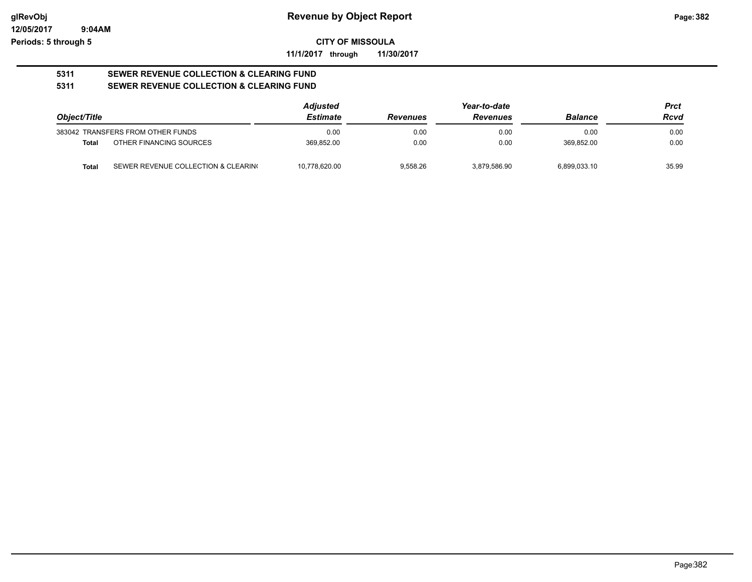**11/1/2017 through 11/30/2017**

#### **5311 SEWER REVENUE COLLECTION & CLEARING FUND 5311 SEWER REVENUE COLLECTION & CLEARING FUND**

|                                   |                                     | <b>Adjusted</b> | Year-to-date    |                 |                | Prct  |
|-----------------------------------|-------------------------------------|-----------------|-----------------|-----------------|----------------|-------|
| Object/Title                      |                                     | <b>Estimate</b> | <b>Revenues</b> | <b>Revenues</b> | <b>Balance</b> | Rcvd  |
| 383042 TRANSFERS FROM OTHER FUNDS |                                     | 0.00            | 0.00            | 0.00            | 0.00           | 0.00  |
| <b>Total</b>                      | OTHER FINANCING SOURCES             | 369.852.00      | 0.00            | 0.00            | 369.852.00     | 0.00  |
| <b>Total</b>                      | SEWER REVENUE COLLECTION & CLEARING | 10,778,620.00   | 9,558.26        | 3,879,586.90    | 6,899,033.10   | 35.99 |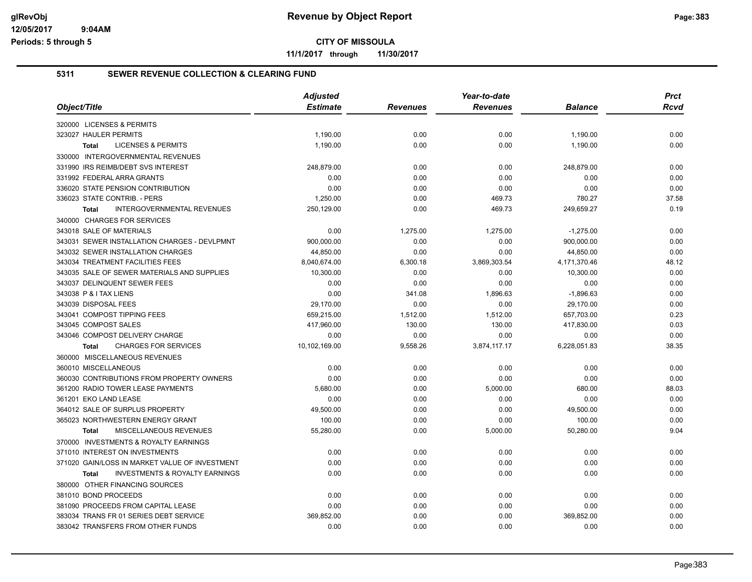**11/1/2017 through 11/30/2017**

#### **5311 SEWER REVENUE COLLECTION & CLEARING FUND**

|                                                    | <b>Adjusted</b> |                 | Year-to-date    |                | <b>Prct</b> |
|----------------------------------------------------|-----------------|-----------------|-----------------|----------------|-------------|
| Object/Title                                       | <b>Estimate</b> | <b>Revenues</b> | <b>Revenues</b> | <b>Balance</b> | Rcvd        |
| 320000 LICENSES & PERMITS                          |                 |                 |                 |                |             |
| 323027 HAULER PERMITS                              | 1,190.00        | 0.00            | 0.00            | 1,190.00       | 0.00        |
| <b>LICENSES &amp; PERMITS</b><br><b>Total</b>      | 1,190.00        | 0.00            | 0.00            | 1,190.00       | 0.00        |
| 330000 INTERGOVERNMENTAL REVENUES                  |                 |                 |                 |                |             |
| 331990 IRS REIMB/DEBT SVS INTEREST                 | 248,879.00      | 0.00            | 0.00            | 248,879.00     | 0.00        |
| 331992 FEDERAL ARRA GRANTS                         | 0.00            | 0.00            | 0.00            | 0.00           | 0.00        |
| 336020 STATE PENSION CONTRIBUTION                  | 0.00            | 0.00            | 0.00            | 0.00           | 0.00        |
| 336023 STATE CONTRIB. - PERS                       | 1,250.00        | 0.00            | 469.73          | 780.27         | 37.58       |
| <b>INTERGOVERNMENTAL REVENUES</b><br><b>Total</b>  | 250,129.00      | 0.00            | 469.73          | 249,659.27     | 0.19        |
| 340000 CHARGES FOR SERVICES                        |                 |                 |                 |                |             |
| 343018 SALE OF MATERIALS                           | 0.00            | 1,275.00        | 1,275.00        | $-1,275.00$    | 0.00        |
| 343031 SEWER INSTALLATION CHARGES - DEVLPMNT       | 900,000.00      | 0.00            | 0.00            | 900,000.00     | 0.00        |
| 343032 SEWER INSTALLATION CHARGES                  | 44,850.00       | 0.00            | 0.00            | 44,850.00      | 0.00        |
| 343034 TREATMENT FACILITIES FEES                   | 8,040,674.00    | 6,300.18        | 3,869,303.54    | 4,171,370.46   | 48.12       |
| 343035 SALE OF SEWER MATERIALS AND SUPPLIES        | 10,300.00       | 0.00            | 0.00            | 10,300.00      | 0.00        |
| 343037 DELINQUENT SEWER FEES                       | 0.00            | 0.00            | 0.00            | 0.00           | 0.00        |
| 343038 P & I TAX LIENS                             | 0.00            | 341.08          | 1,896.63        | $-1,896.63$    | 0.00        |
| 343039 DISPOSAL FEES                               | 29,170.00       | 0.00            | 0.00            | 29,170.00      | 0.00        |
| 343041 COMPOST TIPPING FEES                        | 659,215.00      | 1,512.00        | 1,512.00        | 657,703.00     | 0.23        |
| 343045 COMPOST SALES                               | 417,960.00      | 130.00          | 130.00          | 417,830.00     | 0.03        |
| 343046 COMPOST DELIVERY CHARGE                     | 0.00            | 0.00            | 0.00            | 0.00           | 0.00        |
| <b>CHARGES FOR SERVICES</b><br><b>Total</b>        | 10,102,169.00   | 9,558.26        | 3,874,117.17    | 6,228,051.83   | 38.35       |
| 360000 MISCELLANEOUS REVENUES                      |                 |                 |                 |                |             |
| 360010 MISCELLANEOUS                               | 0.00            | 0.00            | 0.00            | 0.00           | 0.00        |
| 360030 CONTRIBUTIONS FROM PROPERTY OWNERS          | 0.00            | 0.00            | 0.00            | 0.00           | 0.00        |
| 361200 RADIO TOWER LEASE PAYMENTS                  | 5.680.00        | 0.00            | 5.000.00        | 680.00         | 88.03       |
| 361201 EKO LAND LEASE                              | 0.00            | 0.00            | 0.00            | 0.00           | 0.00        |
| 364012 SALE OF SURPLUS PROPERTY                    | 49,500.00       | 0.00            | 0.00            | 49,500.00      | 0.00        |
| 365023 NORTHWESTERN ENERGY GRANT                   | 100.00          | 0.00            | 0.00            | 100.00         | 0.00        |
| MISCELLANEOUS REVENUES<br><b>Total</b>             | 55,280.00       | 0.00            | 5,000.00        | 50,280.00      | 9.04        |
| 370000 INVESTMENTS & ROYALTY EARNINGS              |                 |                 |                 |                |             |
| 371010 INTEREST ON INVESTMENTS                     | 0.00            | 0.00            | 0.00            | 0.00           | 0.00        |
| 371020 GAIN/LOSS IN MARKET VALUE OF INVESTMENT     | 0.00            | 0.00            | 0.00            | 0.00           | 0.00        |
| <b>INVESTMENTS &amp; ROYALTY EARNINGS</b><br>Total | 0.00            | 0.00            | 0.00            | 0.00           | 0.00        |
| 380000 OTHER FINANCING SOURCES                     |                 |                 |                 |                |             |
| 381010 BOND PROCEEDS                               | 0.00            | 0.00            | 0.00            | 0.00           | 0.00        |
| 381090 PROCEEDS FROM CAPITAL LEASE                 | 0.00            | 0.00            | 0.00            | 0.00           | 0.00        |
| 383034 TRANS FR 01 SERIES DEBT SERVICE             | 369,852.00      | 0.00            | 0.00            | 369,852.00     | 0.00        |
| 383042 TRANSFERS FROM OTHER FUNDS                  | 0.00            | 0.00            | 0.00            | 0.00           | 0.00        |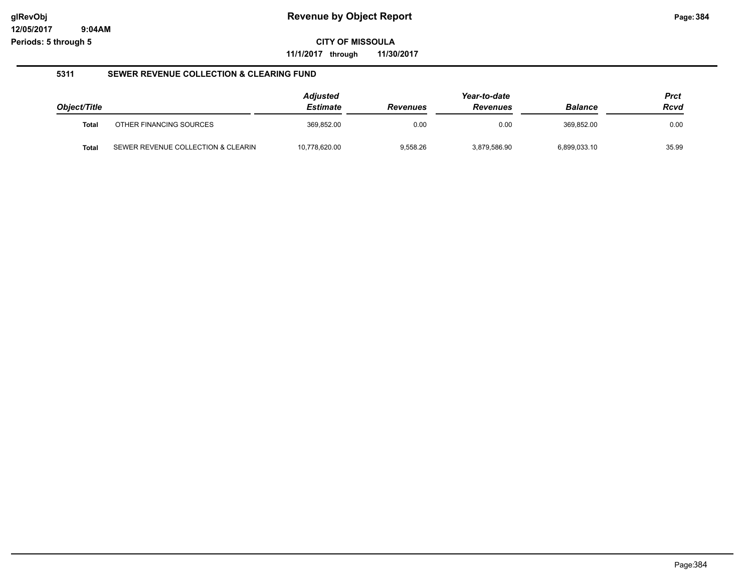**11/1/2017 through 11/30/2017**

#### **5311 SEWER REVENUE COLLECTION & CLEARING FUND**

|              |                                    | <b>Adjusted</b> |                 | Year-to-date    |                | <b>Prct</b> |
|--------------|------------------------------------|-----------------|-----------------|-----------------|----------------|-------------|
| Object/Title |                                    | Estimate        | <b>Revenues</b> | <b>Revenues</b> | <b>Balance</b> | Rcvd        |
| Total        | OTHER FINANCING SOURCES            | 369,852.00      | 0.00            | 0.00            | 369.852.00     | 0.00        |
| Total        | SEWER REVENUE COLLECTION & CLEARIN | 10,778,620.00   | 9,558.26        | 3,879,586.90    | 6,899,033.10   | 35.99       |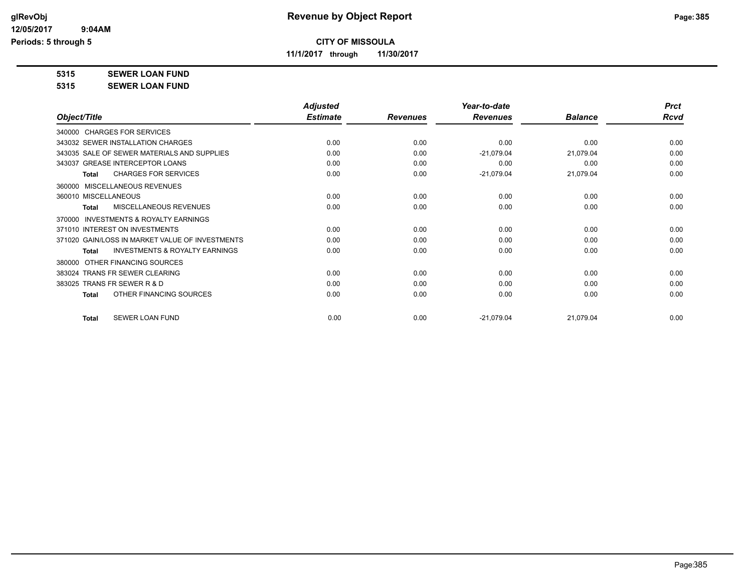**11/1/2017 through 11/30/2017**

#### **5315 SEWER LOAN FUND**

#### **5315 SEWER LOAN FUND**

|                                                           | <b>Adjusted</b> |                 | Year-to-date    |                | <b>Prct</b> |
|-----------------------------------------------------------|-----------------|-----------------|-----------------|----------------|-------------|
| Object/Title                                              | <b>Estimate</b> | <b>Revenues</b> | <b>Revenues</b> | <b>Balance</b> | Rcvd        |
| 340000 CHARGES FOR SERVICES                               |                 |                 |                 |                |             |
| 343032 SEWER INSTALLATION CHARGES                         | 0.00            | 0.00            | 0.00            | 0.00           | 0.00        |
| 343035 SALE OF SEWER MATERIALS AND SUPPLIES               | 0.00            | 0.00            | $-21,079.04$    | 21,079.04      | 0.00        |
| 343037 GREASE INTERCEPTOR LOANS                           | 0.00            | 0.00            | 0.00            | 0.00           | 0.00        |
| <b>CHARGES FOR SERVICES</b><br><b>Total</b>               | 0.00            | 0.00            | $-21,079.04$    | 21,079.04      | 0.00        |
| MISCELLANEOUS REVENUES<br>360000                          |                 |                 |                 |                |             |
| 360010 MISCELLANEOUS                                      | 0.00            | 0.00            | 0.00            | 0.00           | 0.00        |
| MISCELLANEOUS REVENUES<br><b>Total</b>                    | 0.00            | 0.00            | 0.00            | 0.00           | 0.00        |
| INVESTMENTS & ROYALTY EARNINGS<br>370000                  |                 |                 |                 |                |             |
| 371010 INTEREST ON INVESTMENTS                            | 0.00            | 0.00            | 0.00            | 0.00           | 0.00        |
| 371020 GAIN/LOSS IN MARKET VALUE OF INVESTMENTS           | 0.00            | 0.00            | 0.00            | 0.00           | 0.00        |
| <b>INVESTMENTS &amp; ROYALTY EARNINGS</b><br><b>Total</b> | 0.00            | 0.00            | 0.00            | 0.00           | 0.00        |
| OTHER FINANCING SOURCES<br>380000                         |                 |                 |                 |                |             |
| 383024 TRANS FR SEWER CLEARING                            | 0.00            | 0.00            | 0.00            | 0.00           | 0.00        |
| 383025 TRANS FR SEWER R & D                               | 0.00            | 0.00            | 0.00            | 0.00           | 0.00        |
| OTHER FINANCING SOURCES<br><b>Total</b>                   | 0.00            | 0.00            | 0.00            | 0.00           | 0.00        |
|                                                           |                 |                 |                 |                |             |
| SEWER LOAN FUND<br><b>Total</b>                           | 0.00            | 0.00            | $-21,079.04$    | 21,079.04      | 0.00        |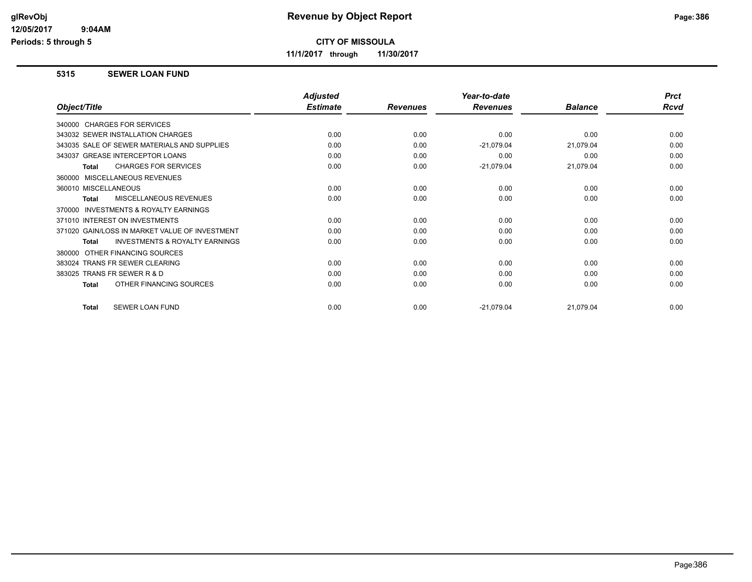**11/1/2017 through 11/30/2017**

#### **5315 SEWER LOAN FUND**

|                                                           | <b>Adjusted</b> |                 | Year-to-date    |                | <b>Prct</b> |
|-----------------------------------------------------------|-----------------|-----------------|-----------------|----------------|-------------|
| Object/Title                                              | <b>Estimate</b> | <b>Revenues</b> | <b>Revenues</b> | <b>Balance</b> | Rcvd        |
| 340000 CHARGES FOR SERVICES                               |                 |                 |                 |                |             |
| 343032 SEWER INSTALLATION CHARGES                         | 0.00            | 0.00            | 0.00            | 0.00           | 0.00        |
| 343035 SALE OF SEWER MATERIALS AND SUPPLIES               | 0.00            | 0.00            | $-21,079.04$    | 21,079.04      | 0.00        |
| 343037 GREASE INTERCEPTOR LOANS                           | 0.00            | 0.00            | 0.00            | 0.00           | 0.00        |
| <b>CHARGES FOR SERVICES</b><br>Total                      | 0.00            | 0.00            | $-21,079.04$    | 21,079.04      | 0.00        |
| 360000 MISCELLANEOUS REVENUES                             |                 |                 |                 |                |             |
| 360010 MISCELLANEOUS                                      | 0.00            | 0.00            | 0.00            | 0.00           | 0.00        |
| MISCELLANEOUS REVENUES<br><b>Total</b>                    | 0.00            | 0.00            | 0.00            | 0.00           | 0.00        |
| INVESTMENTS & ROYALTY EARNINGS<br>370000                  |                 |                 |                 |                |             |
| 371010 INTEREST ON INVESTMENTS                            | 0.00            | 0.00            | 0.00            | 0.00           | 0.00        |
| 371020 GAIN/LOSS IN MARKET VALUE OF INVESTMENT            | 0.00            | 0.00            | 0.00            | 0.00           | 0.00        |
| <b>INVESTMENTS &amp; ROYALTY EARNINGS</b><br><b>Total</b> | 0.00            | 0.00            | 0.00            | 0.00           | 0.00        |
| OTHER FINANCING SOURCES<br>380000                         |                 |                 |                 |                |             |
| 383024 TRANS FR SEWER CLEARING                            | 0.00            | 0.00            | 0.00            | 0.00           | 0.00        |
| 383025 TRANS FR SEWER R & D                               | 0.00            | 0.00            | 0.00            | 0.00           | 0.00        |
| OTHER FINANCING SOURCES<br><b>Total</b>                   | 0.00            | 0.00            | 0.00            | 0.00           | 0.00        |
| SEWER LOAN FUND<br><b>Total</b>                           | 0.00            | 0.00            | $-21,079.04$    | 21,079.04      | 0.00        |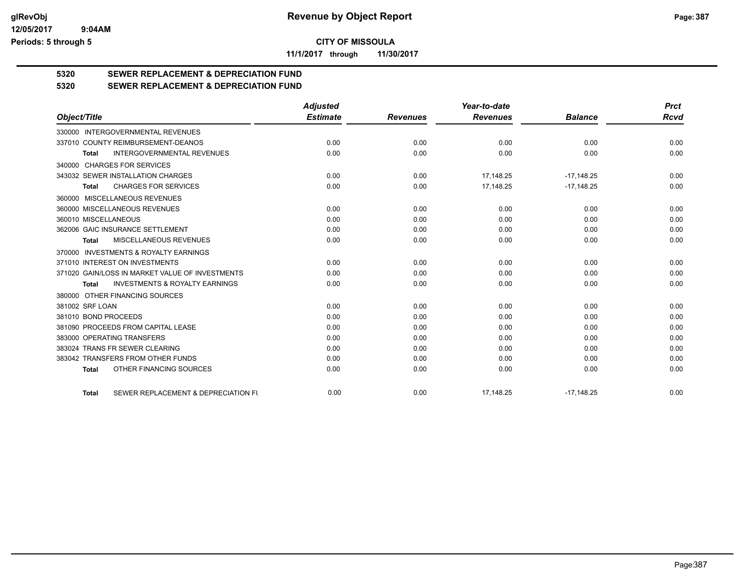**11/1/2017 through 11/30/2017**

# **5320 SEWER REPLACEMENT & DEPRECIATION FUND**

## **5320 SEWER REPLACEMENT & DEPRECIATION FUND**

|                                                           | <b>Adjusted</b> |                 | Year-to-date    |                | <b>Prct</b> |
|-----------------------------------------------------------|-----------------|-----------------|-----------------|----------------|-------------|
| Object/Title                                              | <b>Estimate</b> | <b>Revenues</b> | <b>Revenues</b> | <b>Balance</b> | <b>Rcvd</b> |
| 330000 INTERGOVERNMENTAL REVENUES                         |                 |                 |                 |                |             |
| 337010 COUNTY REIMBURSEMENT-DEANOS                        | 0.00            | 0.00            | 0.00            | 0.00           | 0.00        |
| <b>INTERGOVERNMENTAL REVENUES</b><br><b>Total</b>         | 0.00            | 0.00            | 0.00            | 0.00           | 0.00        |
| 340000 CHARGES FOR SERVICES                               |                 |                 |                 |                |             |
| 343032 SEWER INSTALLATION CHARGES                         | 0.00            | 0.00            | 17,148.25       | $-17,148.25$   | 0.00        |
| <b>CHARGES FOR SERVICES</b><br><b>Total</b>               | 0.00            | 0.00            | 17,148.25       | $-17,148.25$   | 0.00        |
| 360000 MISCELLANEOUS REVENUES                             |                 |                 |                 |                |             |
| 360000 MISCELLANEOUS REVENUES                             | 0.00            | 0.00            | 0.00            | 0.00           | 0.00        |
| 360010 MISCELLANEOUS                                      | 0.00            | 0.00            | 0.00            | 0.00           | 0.00        |
| 362006 GAIC INSURANCE SETTLEMENT                          | 0.00            | 0.00            | 0.00            | 0.00           | 0.00        |
| MISCELLANEOUS REVENUES<br><b>Total</b>                    | 0.00            | 0.00            | 0.00            | 0.00           | 0.00        |
| <b>INVESTMENTS &amp; ROYALTY EARNINGS</b><br>370000       |                 |                 |                 |                |             |
| 371010 INTEREST ON INVESTMENTS                            | 0.00            | 0.00            | 0.00            | 0.00           | 0.00        |
| 371020 GAIN/LOSS IN MARKET VALUE OF INVESTMENTS           | 0.00            | 0.00            | 0.00            | 0.00           | 0.00        |
| <b>INVESTMENTS &amp; ROYALTY EARNINGS</b><br><b>Total</b> | 0.00            | 0.00            | 0.00            | 0.00           | 0.00        |
| 380000 OTHER FINANCING SOURCES                            |                 |                 |                 |                |             |
| 381002 SRF LOAN                                           | 0.00            | 0.00            | 0.00            | 0.00           | 0.00        |
| 381010 BOND PROCEEDS                                      | 0.00            | 0.00            | 0.00            | 0.00           | 0.00        |
| 381090 PROCEEDS FROM CAPITAL LEASE                        | 0.00            | 0.00            | 0.00            | 0.00           | 0.00        |
| 383000 OPERATING TRANSFERS                                | 0.00            | 0.00            | 0.00            | 0.00           | 0.00        |
| 383024 TRANS FR SEWER CLEARING                            | 0.00            | 0.00            | 0.00            | 0.00           | 0.00        |
| 383042 TRANSFERS FROM OTHER FUNDS                         | 0.00            | 0.00            | 0.00            | 0.00           | 0.00        |
| OTHER FINANCING SOURCES<br><b>Total</b>                   | 0.00            | 0.00            | 0.00            | 0.00           | 0.00        |
| SEWER REPLACEMENT & DEPRECIATION FU<br><b>Total</b>       | 0.00            | 0.00            | 17,148.25       | $-17,148.25$   | 0.00        |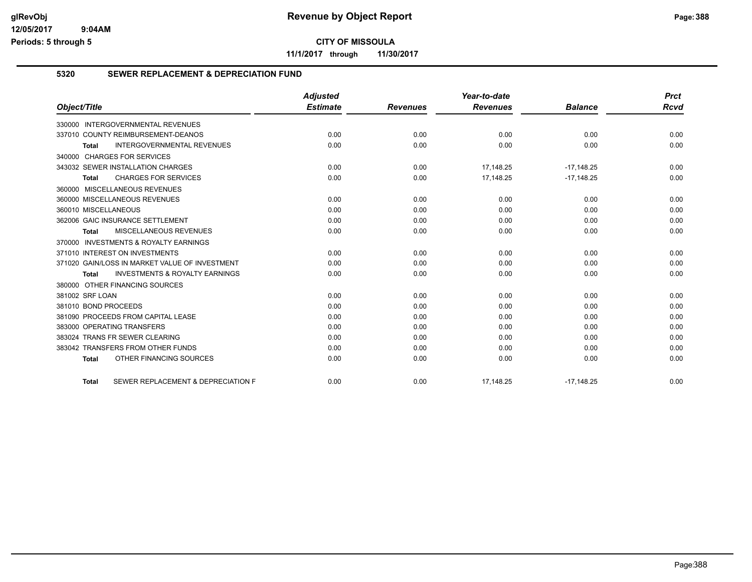**11/1/2017 through 11/30/2017**

#### **5320 SEWER REPLACEMENT & DEPRECIATION FUND**

|                                                           | <b>Adjusted</b> |                 | Year-to-date    |                | <b>Prct</b> |
|-----------------------------------------------------------|-----------------|-----------------|-----------------|----------------|-------------|
| Object/Title                                              | <b>Estimate</b> | <b>Revenues</b> | <b>Revenues</b> | <b>Balance</b> | <b>Rcvd</b> |
| <b>INTERGOVERNMENTAL REVENUES</b><br>330000               |                 |                 |                 |                |             |
| 337010 COUNTY REIMBURSEMENT-DEANOS                        | 0.00            | 0.00            | 0.00            | 0.00           | 0.00        |
| <b>INTERGOVERNMENTAL REVENUES</b><br><b>Total</b>         | 0.00            | 0.00            | 0.00            | 0.00           | 0.00        |
| 340000 CHARGES FOR SERVICES                               |                 |                 |                 |                |             |
| 343032 SEWER INSTALLATION CHARGES                         | 0.00            | 0.00            | 17.148.25       | $-17,148.25$   | 0.00        |
| <b>CHARGES FOR SERVICES</b><br>Total                      | 0.00            | 0.00            | 17,148.25       | $-17,148.25$   | 0.00        |
| 360000 MISCELLANEOUS REVENUES                             |                 |                 |                 |                |             |
| 360000 MISCELLANEOUS REVENUES                             | 0.00            | 0.00            | 0.00            | 0.00           | 0.00        |
| 360010 MISCELLANEOUS                                      | 0.00            | 0.00            | 0.00            | 0.00           | 0.00        |
| 362006 GAIC INSURANCE SETTLEMENT                          | 0.00            | 0.00            | 0.00            | 0.00           | 0.00        |
| MISCELLANEOUS REVENUES<br><b>Total</b>                    | 0.00            | 0.00            | 0.00            | 0.00           | 0.00        |
| 370000 INVESTMENTS & ROYALTY EARNINGS                     |                 |                 |                 |                |             |
| 371010 INTEREST ON INVESTMENTS                            | 0.00            | 0.00            | 0.00            | 0.00           | 0.00        |
| 371020 GAIN/LOSS IN MARKET VALUE OF INVESTMENT            | 0.00            | 0.00            | 0.00            | 0.00           | 0.00        |
| <b>INVESTMENTS &amp; ROYALTY EARNINGS</b><br><b>Total</b> | 0.00            | 0.00            | 0.00            | 0.00           | 0.00        |
| 380000 OTHER FINANCING SOURCES                            |                 |                 |                 |                |             |
| 381002 SRF LOAN                                           | 0.00            | 0.00            | 0.00            | 0.00           | 0.00        |
| 381010 BOND PROCEEDS                                      | 0.00            | 0.00            | 0.00            | 0.00           | 0.00        |
| 381090 PROCEEDS FROM CAPITAL LEASE                        | 0.00            | 0.00            | 0.00            | 0.00           | 0.00        |
| 383000 OPERATING TRANSFERS                                | 0.00            | 0.00            | 0.00            | 0.00           | 0.00        |
| 383024 TRANS FR SEWER CLEARING                            | 0.00            | 0.00            | 0.00            | 0.00           | 0.00        |
| 383042 TRANSFERS FROM OTHER FUNDS                         | 0.00            | 0.00            | 0.00            | 0.00           | 0.00        |
| OTHER FINANCING SOURCES<br><b>Total</b>                   | 0.00            | 0.00            | 0.00            | 0.00           | 0.00        |
| SEWER REPLACEMENT & DEPRECIATION F<br><b>Total</b>        | 0.00            | 0.00            | 17,148.25       | $-17,148.25$   | 0.00        |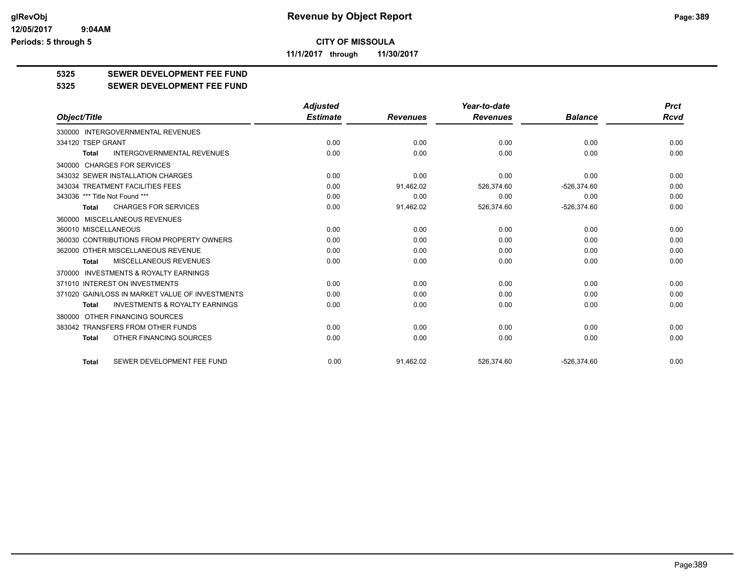**11/1/2017 through 11/30/2017**

**5325 SEWER DEVELOPMENT FEE FUND**

**5325 SEWER DEVELOPMENT FEE FUND**

|                                                    | <b>Adjusted</b> |                 | Year-to-date    |                | <b>Prct</b> |
|----------------------------------------------------|-----------------|-----------------|-----------------|----------------|-------------|
| Object/Title                                       | <b>Estimate</b> | <b>Revenues</b> | <b>Revenues</b> | <b>Balance</b> | <b>Rcvd</b> |
| 330000 INTERGOVERNMENTAL REVENUES                  |                 |                 |                 |                |             |
| 334120 TSEP GRANT                                  | 0.00            | 0.00            | 0.00            | 0.00           | 0.00        |
| <b>INTERGOVERNMENTAL REVENUES</b><br>Total         | 0.00            | 0.00            | 0.00            | 0.00           | 0.00        |
| 340000 CHARGES FOR SERVICES                        |                 |                 |                 |                |             |
| 343032 SEWER INSTALLATION CHARGES                  | 0.00            | 0.00            | 0.00            | 0.00           | 0.00        |
| 343034 TREATMENT FACILITIES FEES                   | 0.00            | 91,462.02       | 526,374.60      | $-526,374.60$  | 0.00        |
| 343036 *** Title Not Found ***                     | 0.00            | 0.00            | 0.00            | 0.00           | 0.00        |
| <b>CHARGES FOR SERVICES</b><br>Total               | 0.00            | 91,462.02       | 526,374.60      | $-526,374.60$  | 0.00        |
| 360000 MISCELLANEOUS REVENUES                      |                 |                 |                 |                |             |
| 360010 MISCELLANEOUS                               | 0.00            | 0.00            | 0.00            | 0.00           | 0.00        |
| 360030 CONTRIBUTIONS FROM PROPERTY OWNERS          | 0.00            | 0.00            | 0.00            | 0.00           | 0.00        |
| 362000 OTHER MISCELLANEOUS REVENUE                 | 0.00            | 0.00            | 0.00            | 0.00           | 0.00        |
| <b>MISCELLANEOUS REVENUES</b><br><b>Total</b>      | 0.00            | 0.00            | 0.00            | 0.00           | 0.00        |
| INVESTMENTS & ROYALTY EARNINGS<br>370000           |                 |                 |                 |                |             |
| 371010 INTEREST ON INVESTMENTS                     | 0.00            | 0.00            | 0.00            | 0.00           | 0.00        |
| 371020 GAIN/LOSS IN MARKET VALUE OF INVESTMENTS    | 0.00            | 0.00            | 0.00            | 0.00           | 0.00        |
| <b>INVESTMENTS &amp; ROYALTY EARNINGS</b><br>Total | 0.00            | 0.00            | 0.00            | 0.00           | 0.00        |
| 380000 OTHER FINANCING SOURCES                     |                 |                 |                 |                |             |
| 383042 TRANSFERS FROM OTHER FUNDS                  | 0.00            | 0.00            | 0.00            | 0.00           | 0.00        |
| OTHER FINANCING SOURCES<br>Total                   | 0.00            | 0.00            | 0.00            | 0.00           | 0.00        |
| SEWER DEVELOPMENT FEE FUND<br><b>Total</b>         | 0.00            | 91,462.02       | 526.374.60      | -526.374.60    | 0.00        |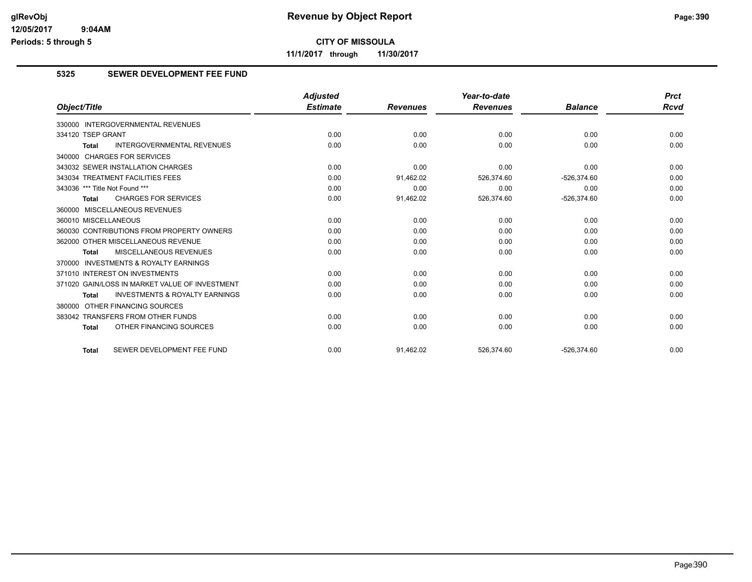**11/1/2017 through 11/30/2017**

#### **5325 SEWER DEVELOPMENT FEE FUND**

|                                                    | <b>Adjusted</b> |                 | Year-to-date    |                | <b>Prct</b> |
|----------------------------------------------------|-----------------|-----------------|-----------------|----------------|-------------|
| Object/Title                                       | <b>Estimate</b> | <b>Revenues</b> | <b>Revenues</b> | <b>Balance</b> | <b>Rcvd</b> |
| <b>INTERGOVERNMENTAL REVENUES</b><br>330000        |                 |                 |                 |                |             |
| 334120 TSEP GRANT                                  | 0.00            | 0.00            | 0.00            | 0.00           | 0.00        |
| <b>INTERGOVERNMENTAL REVENUES</b><br><b>Total</b>  | 0.00            | 0.00            | 0.00            | 0.00           | 0.00        |
| 340000 CHARGES FOR SERVICES                        |                 |                 |                 |                |             |
| 343032 SEWER INSTALLATION CHARGES                  | 0.00            | 0.00            | 0.00            | 0.00           | 0.00        |
| 343034 TREATMENT FACILITIES FEES                   | 0.00            | 91,462.02       | 526,374.60      | $-526,374.60$  | 0.00        |
| 343036 *** Title Not Found ***                     | 0.00            | 0.00            | 0.00            | 0.00           | 0.00        |
| <b>Total</b><br><b>CHARGES FOR SERVICES</b>        | 0.00            | 91,462.02       | 526,374.60      | $-526,374.60$  | 0.00        |
| 360000 MISCELLANEOUS REVENUES                      |                 |                 |                 |                |             |
| 360010 MISCELLANEOUS                               | 0.00            | 0.00            | 0.00            | 0.00           | 0.00        |
| 360030 CONTRIBUTIONS FROM PROPERTY OWNERS          | 0.00            | 0.00            | 0.00            | 0.00           | 0.00        |
| 362000 OTHER MISCELLANEOUS REVENUE                 | 0.00            | 0.00            | 0.00            | 0.00           | 0.00        |
| MISCELLANEOUS REVENUES<br><b>Total</b>             | 0.00            | 0.00            | 0.00            | 0.00           | 0.00        |
| 370000 INVESTMENTS & ROYALTY EARNINGS              |                 |                 |                 |                |             |
| 371010 INTEREST ON INVESTMENTS                     | 0.00            | 0.00            | 0.00            | 0.00           | 0.00        |
| 371020 GAIN/LOSS IN MARKET VALUE OF INVESTMENT     | 0.00            | 0.00            | 0.00            | 0.00           | 0.00        |
| <b>INVESTMENTS &amp; ROYALTY EARNINGS</b><br>Total | 0.00            | 0.00            | 0.00            | 0.00           | 0.00        |
| 380000 OTHER FINANCING SOURCES                     |                 |                 |                 |                |             |
| 383042 TRANSFERS FROM OTHER FUNDS                  | 0.00            | 0.00            | 0.00            | 0.00           | 0.00        |
| OTHER FINANCING SOURCES<br><b>Total</b>            | 0.00            | 0.00            | 0.00            | 0.00           | 0.00        |
| SEWER DEVELOPMENT FEE FUND<br><b>Total</b>         | 0.00            | 91,462.02       | 526.374.60      | $-526.374.60$  | 0.00        |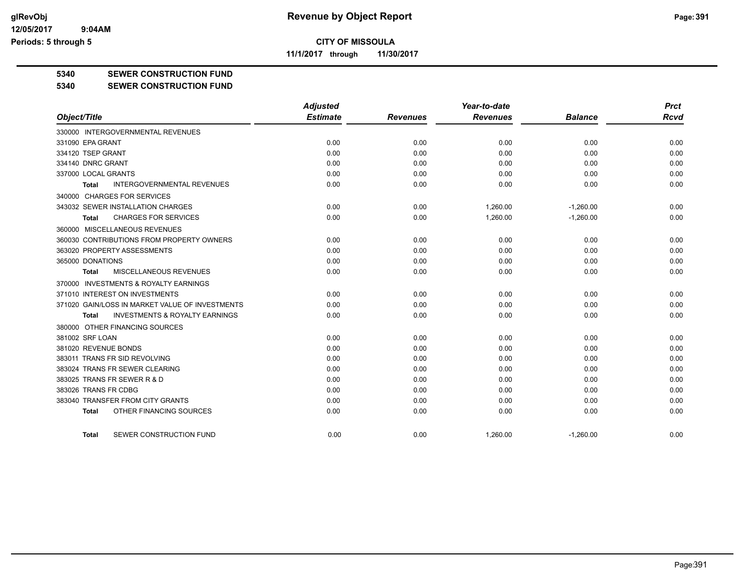**11/1/2017 through 11/30/2017**

**5340 SEWER CONSTRUCTION FUND**

**5340 SEWER CONSTRUCTION FUND**

|                                                    | <b>Adjusted</b> |                 | Year-to-date    |                | <b>Prct</b> |
|----------------------------------------------------|-----------------|-----------------|-----------------|----------------|-------------|
| Object/Title                                       | <b>Estimate</b> | <b>Revenues</b> | <b>Revenues</b> | <b>Balance</b> | <b>Rcvd</b> |
| 330000 INTERGOVERNMENTAL REVENUES                  |                 |                 |                 |                |             |
| 331090 EPA GRANT                                   | 0.00            | 0.00            | 0.00            | 0.00           | 0.00        |
| 334120 TSEP GRANT                                  | 0.00            | 0.00            | 0.00            | 0.00           | 0.00        |
| 334140 DNRC GRANT                                  | 0.00            | 0.00            | 0.00            | 0.00           | 0.00        |
| 337000 LOCAL GRANTS                                | 0.00            | 0.00            | 0.00            | 0.00           | 0.00        |
| <b>INTERGOVERNMENTAL REVENUES</b><br>Total         | 0.00            | 0.00            | 0.00            | 0.00           | 0.00        |
| 340000 CHARGES FOR SERVICES                        |                 |                 |                 |                |             |
| 343032 SEWER INSTALLATION CHARGES                  | 0.00            | 0.00            | 1,260.00        | $-1,260.00$    | 0.00        |
| <b>CHARGES FOR SERVICES</b><br>Total               | 0.00            | 0.00            | 1,260.00        | $-1,260.00$    | 0.00        |
| 360000 MISCELLANEOUS REVENUES                      |                 |                 |                 |                |             |
| 360030 CONTRIBUTIONS FROM PROPERTY OWNERS          | 0.00            | 0.00            | 0.00            | 0.00           | 0.00        |
| 363020 PROPERTY ASSESSMENTS                        | 0.00            | 0.00            | 0.00            | 0.00           | 0.00        |
| 365000 DONATIONS                                   | 0.00            | 0.00            | 0.00            | 0.00           | 0.00        |
| <b>MISCELLANEOUS REVENUES</b><br><b>Total</b>      | 0.00            | 0.00            | 0.00            | 0.00           | 0.00        |
| 370000 INVESTMENTS & ROYALTY EARNINGS              |                 |                 |                 |                |             |
| 371010 INTEREST ON INVESTMENTS                     | 0.00            | 0.00            | 0.00            | 0.00           | 0.00        |
| 371020 GAIN/LOSS IN MARKET VALUE OF INVESTMENTS    | 0.00            | 0.00            | 0.00            | 0.00           | 0.00        |
| <b>INVESTMENTS &amp; ROYALTY EARNINGS</b><br>Total | 0.00            | 0.00            | 0.00            | 0.00           | 0.00        |
| 380000 OTHER FINANCING SOURCES                     |                 |                 |                 |                |             |
| 381002 SRF LOAN                                    | 0.00            | 0.00            | 0.00            | 0.00           | 0.00        |
| 381020 REVENUE BONDS                               | 0.00            | 0.00            | 0.00            | 0.00           | 0.00        |
| 383011 TRANS FR SID REVOLVING                      | 0.00            | 0.00            | 0.00            | 0.00           | 0.00        |
| 383024 TRANS FR SEWER CLEARING                     | 0.00            | 0.00            | 0.00            | 0.00           | 0.00        |
| 383025 TRANS FR SEWER R & D                        | 0.00            | 0.00            | 0.00            | 0.00           | 0.00        |
| 383026 TRANS FR CDBG                               | 0.00            | 0.00            | 0.00            | 0.00           | 0.00        |
| 383040 TRANSFER FROM CITY GRANTS                   | 0.00            | 0.00            | 0.00            | 0.00           | 0.00        |
| OTHER FINANCING SOURCES<br><b>Total</b>            | 0.00            | 0.00            | 0.00            | 0.00           | 0.00        |
| SEWER CONSTRUCTION FUND<br>Total                   | 0.00            | 0.00            | 1.260.00        | $-1.260.00$    | 0.00        |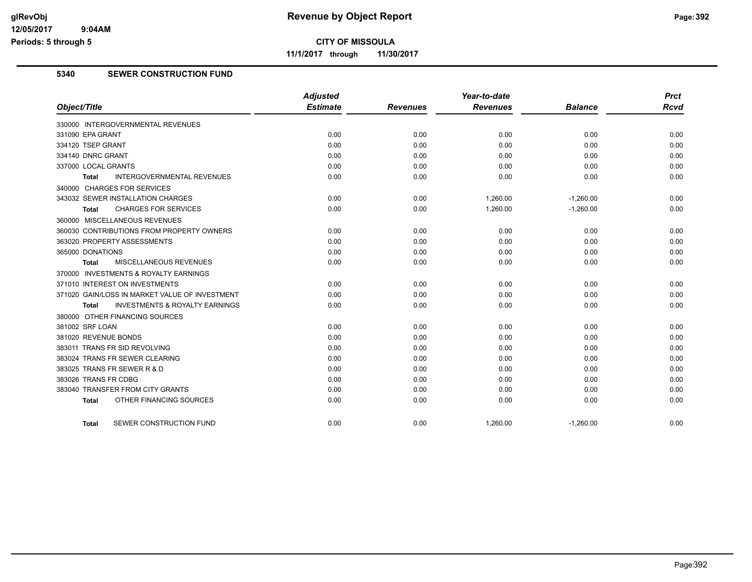**11/1/2017 through 11/30/2017**

#### **5340 SEWER CONSTRUCTION FUND**

|                                                    | <b>Adjusted</b> |                 | Year-to-date    |                | <b>Prct</b> |
|----------------------------------------------------|-----------------|-----------------|-----------------|----------------|-------------|
| Object/Title                                       | <b>Estimate</b> | <b>Revenues</b> | <b>Revenues</b> | <b>Balance</b> | <b>Rcvd</b> |
| 330000 INTERGOVERNMENTAL REVENUES                  |                 |                 |                 |                |             |
| 331090 EPA GRANT                                   | 0.00            | 0.00            | 0.00            | 0.00           | 0.00        |
| 334120 TSEP GRANT                                  | 0.00            | 0.00            | 0.00            | 0.00           | 0.00        |
| 334140 DNRC GRANT                                  | 0.00            | 0.00            | 0.00            | 0.00           | 0.00        |
| 337000 LOCAL GRANTS                                | 0.00            | 0.00            | 0.00            | 0.00           | 0.00        |
| <b>INTERGOVERNMENTAL REVENUES</b><br><b>Total</b>  | 0.00            | 0.00            | 0.00            | 0.00           | 0.00        |
| 340000 CHARGES FOR SERVICES                        |                 |                 |                 |                |             |
| 343032 SEWER INSTALLATION CHARGES                  | 0.00            | 0.00            | 1,260.00        | $-1,260.00$    | 0.00        |
| <b>CHARGES FOR SERVICES</b><br>Total               | 0.00            | 0.00            | 1,260.00        | $-1,260.00$    | 0.00        |
| 360000 MISCELLANEOUS REVENUES                      |                 |                 |                 |                |             |
| 360030 CONTRIBUTIONS FROM PROPERTY OWNERS          | 0.00            | 0.00            | 0.00            | 0.00           | 0.00        |
| 363020 PROPERTY ASSESSMENTS                        | 0.00            | 0.00            | 0.00            | 0.00           | 0.00        |
| 365000 DONATIONS                                   | 0.00            | 0.00            | 0.00            | 0.00           | 0.00        |
| MISCELLANEOUS REVENUES<br><b>Total</b>             | 0.00            | 0.00            | 0.00            | 0.00           | 0.00        |
| 370000 INVESTMENTS & ROYALTY EARNINGS              |                 |                 |                 |                |             |
| 371010 INTEREST ON INVESTMENTS                     | 0.00            | 0.00            | 0.00            | 0.00           | 0.00        |
| 371020 GAIN/LOSS IN MARKET VALUE OF INVESTMENT     | 0.00            | 0.00            | 0.00            | 0.00           | 0.00        |
| <b>INVESTMENTS &amp; ROYALTY EARNINGS</b><br>Total | 0.00            | 0.00            | 0.00            | 0.00           | 0.00        |
| 380000 OTHER FINANCING SOURCES                     |                 |                 |                 |                |             |
| 381002 SRF LOAN                                    | 0.00            | 0.00            | 0.00            | 0.00           | 0.00        |
| 381020 REVENUE BONDS                               | 0.00            | 0.00            | 0.00            | 0.00           | 0.00        |
| 383011 TRANS FR SID REVOLVING                      | 0.00            | 0.00            | 0.00            | 0.00           | 0.00        |
| 383024 TRANS FR SEWER CLEARING                     | 0.00            | 0.00            | 0.00            | 0.00           | 0.00        |
| 383025 TRANS FR SEWER R & D                        | 0.00            | 0.00            | 0.00            | 0.00           | 0.00        |
| 383026 TRANS FR CDBG                               | 0.00            | 0.00            | 0.00            | 0.00           | 0.00        |
| 383040 TRANSFER FROM CITY GRANTS                   | 0.00            | 0.00            | 0.00            | 0.00           | 0.00        |
| OTHER FINANCING SOURCES<br><b>Total</b>            | 0.00            | 0.00            | 0.00            | 0.00           | 0.00        |
| SEWER CONSTRUCTION FUND<br><b>Total</b>            | 0.00            | 0.00            | 1,260.00        | $-1,260.00$    | 0.00        |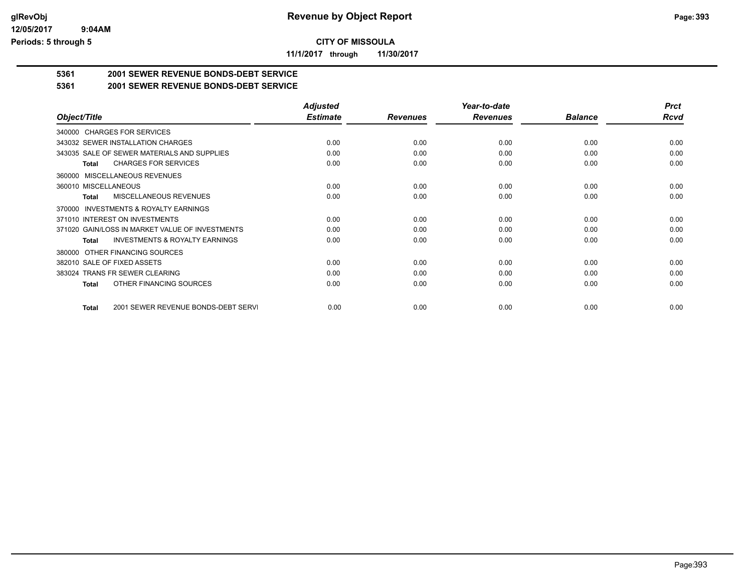**11/1/2017 through 11/30/2017**

# **5361 2001 SEWER REVENUE BONDS-DEBT SERVICE**

#### **5361 2001 SEWER REVENUE BONDS-DEBT SERVICE**

|                                                     | <b>Adjusted</b> |                 | Year-to-date    |                | <b>Prct</b> |
|-----------------------------------------------------|-----------------|-----------------|-----------------|----------------|-------------|
| Object/Title                                        | <b>Estimate</b> | <b>Revenues</b> | <b>Revenues</b> | <b>Balance</b> | <b>Rcvd</b> |
| 340000 CHARGES FOR SERVICES                         |                 |                 |                 |                |             |
| 343032 SEWER INSTALLATION CHARGES                   | 0.00            | 0.00            | 0.00            | 0.00           | 0.00        |
| 343035 SALE OF SEWER MATERIALS AND SUPPLIES         | 0.00            | 0.00            | 0.00            | 0.00           | 0.00        |
| <b>CHARGES FOR SERVICES</b><br>Total                | 0.00            | 0.00            | 0.00            | 0.00           | 0.00        |
| MISCELLANEOUS REVENUES<br>360000                    |                 |                 |                 |                |             |
| 360010 MISCELLANEOUS                                | 0.00            | 0.00            | 0.00            | 0.00           | 0.00        |
| MISCELLANEOUS REVENUES<br>Total                     | 0.00            | 0.00            | 0.00            | 0.00           | 0.00        |
| <b>INVESTMENTS &amp; ROYALTY EARNINGS</b><br>370000 |                 |                 |                 |                |             |
| 371010 INTEREST ON INVESTMENTS                      | 0.00            | 0.00            | 0.00            | 0.00           | 0.00        |
| 371020 GAIN/LOSS IN MARKET VALUE OF INVESTMENTS     | 0.00            | 0.00            | 0.00            | 0.00           | 0.00        |
| <b>INVESTMENTS &amp; ROYALTY EARNINGS</b><br>Total  | 0.00            | 0.00            | 0.00            | 0.00           | 0.00        |
| OTHER FINANCING SOURCES<br>380000                   |                 |                 |                 |                |             |
| 382010 SALE OF FIXED ASSETS                         | 0.00            | 0.00            | 0.00            | 0.00           | 0.00        |
| 383024 TRANS FR SEWER CLEARING                      | 0.00            | 0.00            | 0.00            | 0.00           | 0.00        |
| OTHER FINANCING SOURCES<br><b>Total</b>             | 0.00            | 0.00            | 0.00            | 0.00           | 0.00        |
| 2001 SEWER REVENUE BONDS-DEBT SERVI<br><b>Total</b> | 0.00            | 0.00            | 0.00            | 0.00           | 0.00        |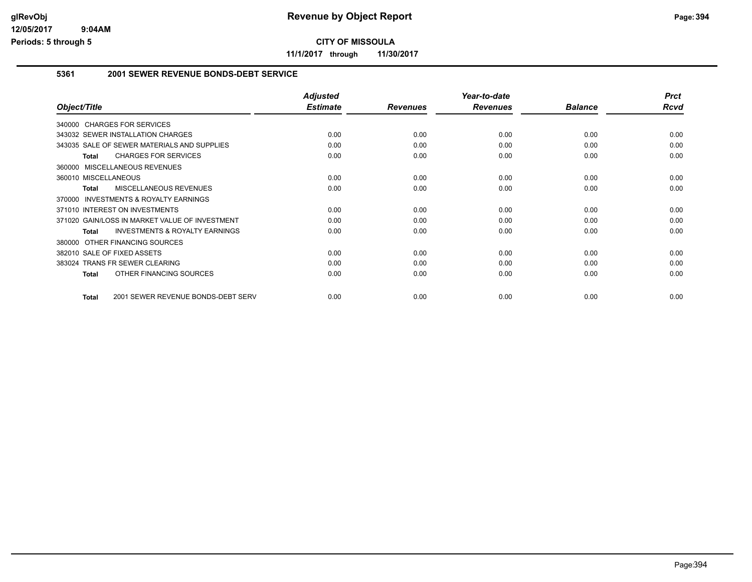**11/1/2017 through 11/30/2017**

#### **5361 2001 SEWER REVENUE BONDS-DEBT SERVICE**

|                                                    | <b>Adjusted</b> |                 | Year-to-date    |                | <b>Prct</b> |
|----------------------------------------------------|-----------------|-----------------|-----------------|----------------|-------------|
| Object/Title                                       | <b>Estimate</b> | <b>Revenues</b> | <b>Revenues</b> | <b>Balance</b> | Rcvd        |
| 340000 CHARGES FOR SERVICES                        |                 |                 |                 |                |             |
| 343032 SEWER INSTALLATION CHARGES                  | 0.00            | 0.00            | 0.00            | 0.00           | 0.00        |
| 343035 SALE OF SEWER MATERIALS AND SUPPLIES        | 0.00            | 0.00            | 0.00            | 0.00           | 0.00        |
| <b>CHARGES FOR SERVICES</b><br>Total               | 0.00            | 0.00            | 0.00            | 0.00           | 0.00        |
| 360000 MISCELLANEOUS REVENUES                      |                 |                 |                 |                |             |
| 360010 MISCELLANEOUS                               | 0.00            | 0.00            | 0.00            | 0.00           | 0.00        |
| MISCELLANEOUS REVENUES<br>Total                    | 0.00            | 0.00            | 0.00            | 0.00           | 0.00        |
| INVESTMENTS & ROYALTY EARNINGS<br>370000           |                 |                 |                 |                |             |
| 371010 INTEREST ON INVESTMENTS                     | 0.00            | 0.00            | 0.00            | 0.00           | 0.00        |
| 371020 GAIN/LOSS IN MARKET VALUE OF INVESTMENT     | 0.00            | 0.00            | 0.00            | 0.00           | 0.00        |
| <b>INVESTMENTS &amp; ROYALTY EARNINGS</b><br>Total | 0.00            | 0.00            | 0.00            | 0.00           | 0.00        |
| 380000 OTHER FINANCING SOURCES                     |                 |                 |                 |                |             |
| 382010 SALE OF FIXED ASSETS                        | 0.00            | 0.00            | 0.00            | 0.00           | 0.00        |
| 383024 TRANS FR SEWER CLEARING                     | 0.00            | 0.00            | 0.00            | 0.00           | 0.00        |
| OTHER FINANCING SOURCES<br><b>Total</b>            | 0.00            | 0.00            | 0.00            | 0.00           | 0.00        |
|                                                    |                 |                 |                 |                |             |
| 2001 SEWER REVENUE BONDS-DEBT SERV<br>Total        | 0.00            | 0.00            | 0.00            | 0.00           | 0.00        |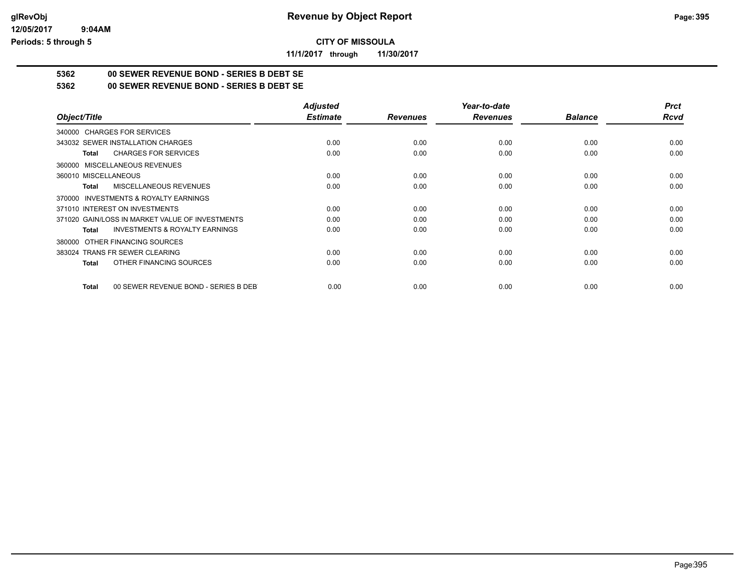**11/1/2017 through 11/30/2017**

# **5362 00 SEWER REVENUE BOND - SERIES B DEBT SE**

**5362 00 SEWER REVENUE BOND - SERIES B DEBT SE**

|                                                      | <b>Adjusted</b> |                 | Year-to-date    |                | <b>Prct</b> |
|------------------------------------------------------|-----------------|-----------------|-----------------|----------------|-------------|
| Object/Title                                         | <b>Estimate</b> | <b>Revenues</b> | <b>Revenues</b> | <b>Balance</b> | Rcvd        |
| 340000 CHARGES FOR SERVICES                          |                 |                 |                 |                |             |
| 343032 SEWER INSTALLATION CHARGES                    | 0.00            | 0.00            | 0.00            | 0.00           | 0.00        |
| <b>CHARGES FOR SERVICES</b><br>Total                 | 0.00            | 0.00            | 0.00            | 0.00           | 0.00        |
| 360000 MISCELLANEOUS REVENUES                        |                 |                 |                 |                |             |
| 360010 MISCELLANEOUS                                 | 0.00            | 0.00            | 0.00            | 0.00           | 0.00        |
| MISCELLANEOUS REVENUES<br>Total                      | 0.00            | 0.00            | 0.00            | 0.00           | 0.00        |
| 370000 INVESTMENTS & ROYALTY EARNINGS                |                 |                 |                 |                |             |
| 371010 INTEREST ON INVESTMENTS                       | 0.00            | 0.00            | 0.00            | 0.00           | 0.00        |
| 371020 GAIN/LOSS IN MARKET VALUE OF INVESTMENTS      | 0.00            | 0.00            | 0.00            | 0.00           | 0.00        |
| <b>INVESTMENTS &amp; ROYALTY EARNINGS</b><br>Total   | 0.00            | 0.00            | 0.00            | 0.00           | 0.00        |
| 380000 OTHER FINANCING SOURCES                       |                 |                 |                 |                |             |
| 383024 TRANS FR SEWER CLEARING                       | 0.00            | 0.00            | 0.00            | 0.00           | 0.00        |
| OTHER FINANCING SOURCES<br>Total                     | 0.00            | 0.00            | 0.00            | 0.00           | 0.00        |
| 00 SEWER REVENUE BOND - SERIES B DEB<br><b>Total</b> | 0.00            | 0.00            | 0.00            | 0.00           | 0.00        |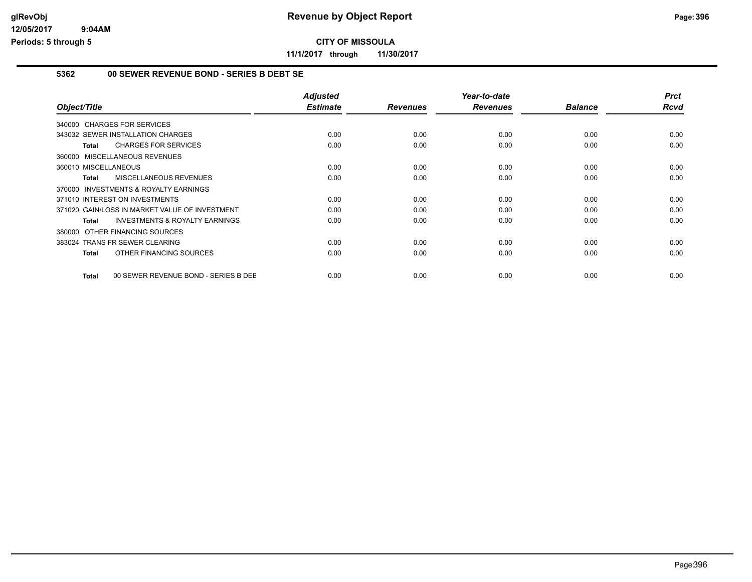**11/1/2017 through 11/30/2017**

#### **5362 00 SEWER REVENUE BOND - SERIES B DEBT SE**

| Object/Title                                         | <b>Adjusted</b><br><b>Estimate</b> | <b>Revenues</b> | Year-to-date<br><b>Revenues</b> | <b>Balance</b> | <b>Prct</b><br>Rcvd |
|------------------------------------------------------|------------------------------------|-----------------|---------------------------------|----------------|---------------------|
|                                                      |                                    |                 |                                 |                |                     |
| 340000 CHARGES FOR SERVICES                          |                                    |                 |                                 |                |                     |
| 343032 SEWER INSTALLATION CHARGES                    | 0.00                               | 0.00            | 0.00                            | 0.00           | 0.00                |
| <b>CHARGES FOR SERVICES</b><br>Total                 | 0.00                               | 0.00            | 0.00                            | 0.00           | 0.00                |
| 360000 MISCELLANEOUS REVENUES                        |                                    |                 |                                 |                |                     |
| 360010 MISCELLANEOUS                                 | 0.00                               | 0.00            | 0.00                            | 0.00           | 0.00                |
| <b>MISCELLANEOUS REVENUES</b><br>Total               | 0.00                               | 0.00            | 0.00                            | 0.00           | 0.00                |
| <b>INVESTMENTS &amp; ROYALTY EARNINGS</b><br>370000  |                                    |                 |                                 |                |                     |
| 371010 INTEREST ON INVESTMENTS                       | 0.00                               | 0.00            | 0.00                            | 0.00           | 0.00                |
| 371020 GAIN/LOSS IN MARKET VALUE OF INVESTMENT       | 0.00                               | 0.00            | 0.00                            | 0.00           | 0.00                |
| <b>INVESTMENTS &amp; ROYALTY EARNINGS</b><br>Total   | 0.00                               | 0.00            | 0.00                            | 0.00           | 0.00                |
| 380000 OTHER FINANCING SOURCES                       |                                    |                 |                                 |                |                     |
| 383024 TRANS FR SEWER CLEARING                       | 0.00                               | 0.00            | 0.00                            | 0.00           | 0.00                |
| OTHER FINANCING SOURCES<br><b>Total</b>              | 0.00                               | 0.00            | 0.00                            | 0.00           | 0.00                |
|                                                      |                                    |                 |                                 |                |                     |
| 00 SEWER REVENUE BOND - SERIES B DEE<br><b>Total</b> | 0.00                               | 0.00            | 0.00                            | 0.00           | 0.00                |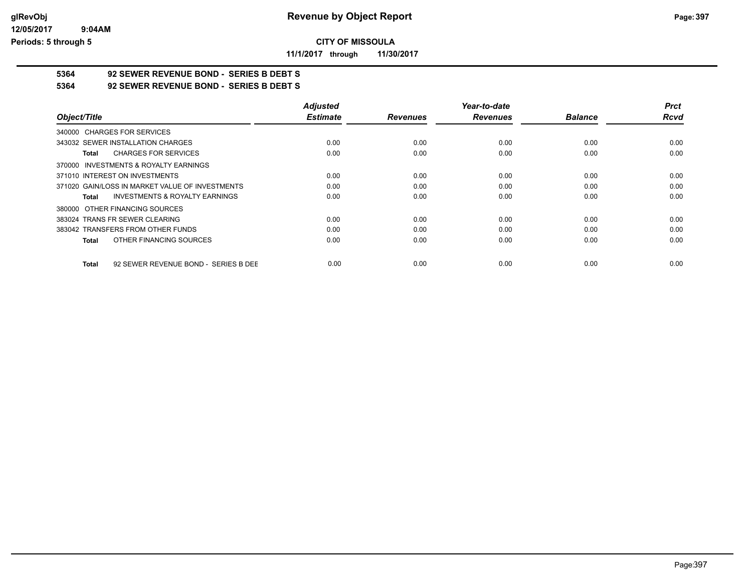**11/1/2017 through 11/30/2017**

# **5364 92 SEWER REVENUE BOND - SERIES B DEBT S**

**5364 92 SEWER REVENUE BOND - SERIES B DEBT S**

|                                                 | <b>Adjusted</b> |                 | Year-to-date    |                | <b>Prct</b> |
|-------------------------------------------------|-----------------|-----------------|-----------------|----------------|-------------|
| Object/Title                                    | <b>Estimate</b> | <b>Revenues</b> | <b>Revenues</b> | <b>Balance</b> | Rcvd        |
| 340000 CHARGES FOR SERVICES                     |                 |                 |                 |                |             |
| 343032 SEWER INSTALLATION CHARGES               | 0.00            | 0.00            | 0.00            | 0.00           | 0.00        |
| <b>CHARGES FOR SERVICES</b><br>Total            | 0.00            | 0.00            | 0.00            | 0.00           | 0.00        |
| 370000 INVESTMENTS & ROYALTY EARNINGS           |                 |                 |                 |                |             |
| 371010 INTEREST ON INVESTMENTS                  | 0.00            | 0.00            | 0.00            | 0.00           | 0.00        |
| 371020 GAIN/LOSS IN MARKET VALUE OF INVESTMENTS | 0.00            | 0.00            | 0.00            | 0.00           | 0.00        |
| INVESTMENTS & ROYALTY EARNINGS<br>Total         | 0.00            | 0.00            | 0.00            | 0.00           | 0.00        |
| 380000 OTHER FINANCING SOURCES                  |                 |                 |                 |                |             |
| 383024 TRANS FR SEWER CLEARING                  | 0.00            | 0.00            | 0.00            | 0.00           | 0.00        |
| 383042 TRANSFERS FROM OTHER FUNDS               | 0.00            | 0.00            | 0.00            | 0.00           | 0.00        |
| OTHER FINANCING SOURCES<br>Total                | 0.00            | 0.00            | 0.00            | 0.00           | 0.00        |
| 92 SEWER REVENUE BOND - SERIES B DEE<br>Total   | 0.00            | 0.00            | 0.00            | 0.00           | 0.00        |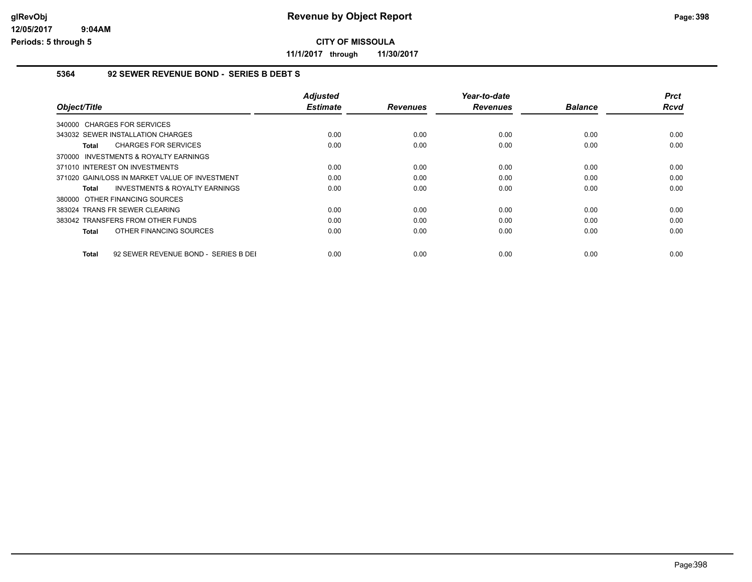**11/1/2017 through 11/30/2017**

#### **5364 92 SEWER REVENUE BOND - SERIES B DEBT S**

| Object/Title                                         | <b>Adjusted</b><br><b>Estimate</b> | <b>Revenues</b> | Year-to-date<br><b>Revenues</b> | <b>Balance</b> | <b>Prct</b><br>Rcvd |
|------------------------------------------------------|------------------------------------|-----------------|---------------------------------|----------------|---------------------|
| 340000 CHARGES FOR SERVICES                          |                                    |                 |                                 |                |                     |
| 343032 SEWER INSTALLATION CHARGES                    | 0.00                               | 0.00            | 0.00                            | 0.00           | 0.00                |
| <b>CHARGES FOR SERVICES</b><br><b>Total</b>          | 0.00                               | 0.00            | 0.00                            | 0.00           | 0.00                |
| 370000 INVESTMENTS & ROYALTY EARNINGS                |                                    |                 |                                 |                |                     |
| 371010 INTEREST ON INVESTMENTS                       | 0.00                               | 0.00            | 0.00                            | 0.00           | 0.00                |
| 371020 GAIN/LOSS IN MARKET VALUE OF INVESTMENT       | 0.00                               | 0.00            | 0.00                            | 0.00           | 0.00                |
| <b>INVESTMENTS &amp; ROYALTY EARNINGS</b><br>Total   | 0.00                               | 0.00            | 0.00                            | 0.00           | 0.00                |
| 380000 OTHER FINANCING SOURCES                       |                                    |                 |                                 |                |                     |
| 383024 TRANS FR SEWER CLEARING                       | 0.00                               | 0.00            | 0.00                            | 0.00           | 0.00                |
| 383042 TRANSFERS FROM OTHER FUNDS                    | 0.00                               | 0.00            | 0.00                            | 0.00           | 0.00                |
| OTHER FINANCING SOURCES<br>Total                     | 0.00                               | 0.00            | 0.00                            | 0.00           | 0.00                |
| 92 SEWER REVENUE BOND - SERIES B DEI<br><b>Total</b> | 0.00                               | 0.00            | 0.00                            | 0.00           | 0.00                |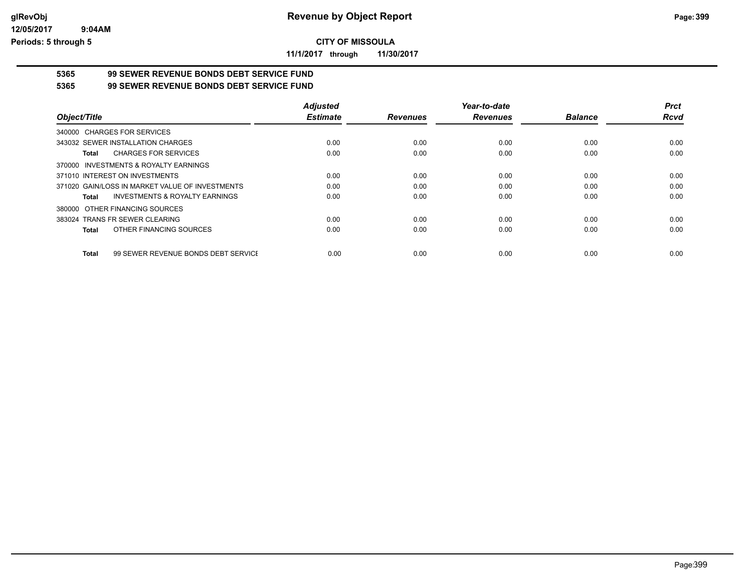**11/1/2017 through 11/30/2017**

#### **5365 99 SEWER REVENUE BONDS DEBT SERVICE FUND 5365 99 SEWER REVENUE BONDS DEBT SERVICE FUND**

|                                                     | <b>Adjusted</b> |                 | Year-to-date    |                | <b>Prct</b> |
|-----------------------------------------------------|-----------------|-----------------|-----------------|----------------|-------------|
| Object/Title                                        | <b>Estimate</b> | <b>Revenues</b> | <b>Revenues</b> | <b>Balance</b> | <b>Rcvd</b> |
| 340000 CHARGES FOR SERVICES                         |                 |                 |                 |                |             |
| 343032 SEWER INSTALLATION CHARGES                   | 0.00            | 0.00            | 0.00            | 0.00           | 0.00        |
| <b>CHARGES FOR SERVICES</b><br>Total                | 0.00            | 0.00            | 0.00            | 0.00           | 0.00        |
| 370000 INVESTMENTS & ROYALTY EARNINGS               |                 |                 |                 |                |             |
| 371010 INTEREST ON INVESTMENTS                      | 0.00            | 0.00            | 0.00            | 0.00           | 0.00        |
| 371020 GAIN/LOSS IN MARKET VALUE OF INVESTMENTS     | 0.00            | 0.00            | 0.00            | 0.00           | 0.00        |
| <b>INVESTMENTS &amp; ROYALTY EARNINGS</b><br>Total  | 0.00            | 0.00            | 0.00            | 0.00           | 0.00        |
| 380000 OTHER FINANCING SOURCES                      |                 |                 |                 |                |             |
| 383024 TRANS FR SEWER CLEARING                      | 0.00            | 0.00            | 0.00            | 0.00           | 0.00        |
| OTHER FINANCING SOURCES<br>Total                    | 0.00            | 0.00            | 0.00            | 0.00           | 0.00        |
| 99 SEWER REVENUE BONDS DEBT SERVICE<br><b>Total</b> | 0.00            | 0.00            | 0.00            | 0.00           | 0.00        |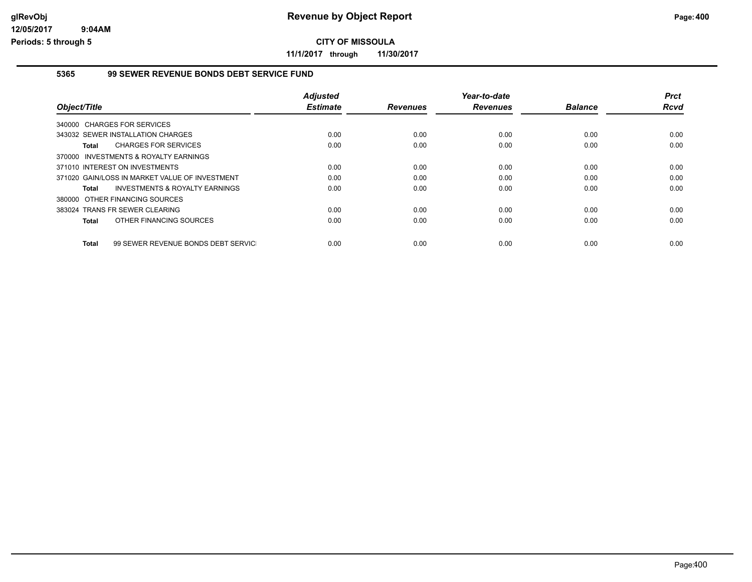**11/1/2017 through 11/30/2017**

#### **5365 99 SEWER REVENUE BONDS DEBT SERVICE FUND**

|                                                    | <b>Adjusted</b> |                 | Year-to-date    |                | <b>Prct</b> |
|----------------------------------------------------|-----------------|-----------------|-----------------|----------------|-------------|
| Object/Title                                       | <b>Estimate</b> | <b>Revenues</b> | <b>Revenues</b> | <b>Balance</b> | <b>Rcvd</b> |
| 340000 CHARGES FOR SERVICES                        |                 |                 |                 |                |             |
| 343032 SEWER INSTALLATION CHARGES                  | 0.00            | 0.00            | 0.00            | 0.00           | 0.00        |
| <b>CHARGES FOR SERVICES</b><br>Total               | 0.00            | 0.00            | 0.00            | 0.00           | 0.00        |
| 370000 INVESTMENTS & ROYALTY EARNINGS              |                 |                 |                 |                |             |
| 371010 INTEREST ON INVESTMENTS                     | 0.00            | 0.00            | 0.00            | 0.00           | 0.00        |
| 371020 GAIN/LOSS IN MARKET VALUE OF INVESTMENT     | 0.00            | 0.00            | 0.00            | 0.00           | 0.00        |
| <b>INVESTMENTS &amp; ROYALTY EARNINGS</b><br>Total | 0.00            | 0.00            | 0.00            | 0.00           | 0.00        |
| 380000 OTHER FINANCING SOURCES                     |                 |                 |                 |                |             |
| 383024 TRANS FR SEWER CLEARING                     | 0.00            | 0.00            | 0.00            | 0.00           | 0.00        |
| OTHER FINANCING SOURCES<br>Total                   | 0.00            | 0.00            | 0.00            | 0.00           | 0.00        |
| 99 SEWER REVENUE BONDS DEBT SERVIC<br><b>Total</b> | 0.00            | 0.00            | 0.00            | 0.00           | 0.00        |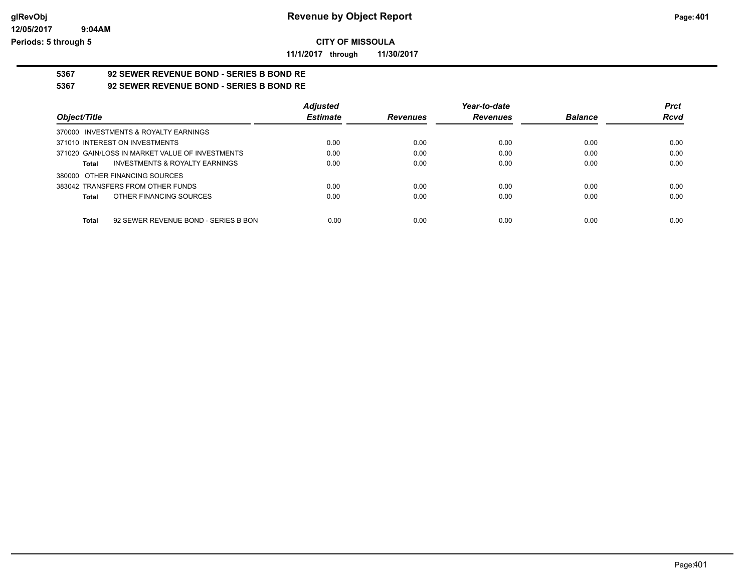**11/1/2017 through 11/30/2017**

# **5367 92 SEWER REVENUE BOND - SERIES B BOND RE**

**5367 92 SEWER REVENUE BOND - SERIES B BOND RE**

|                                                    | <b>Adjusted</b> |                 | Year-to-date    |                | <b>Prct</b> |
|----------------------------------------------------|-----------------|-----------------|-----------------|----------------|-------------|
| Object/Title                                       | <b>Estimate</b> | <b>Revenues</b> | <b>Revenues</b> | <b>Balance</b> | <b>Rcvd</b> |
| 370000 INVESTMENTS & ROYALTY EARNINGS              |                 |                 |                 |                |             |
| 371010 INTEREST ON INVESTMENTS                     | 0.00            | 0.00            | 0.00            | 0.00           | 0.00        |
| 371020 GAIN/LOSS IN MARKET VALUE OF INVESTMENTS    | 0.00            | 0.00            | 0.00            | 0.00           | 0.00        |
| <b>INVESTMENTS &amp; ROYALTY EARNINGS</b><br>Total | 0.00            | 0.00            | 0.00            | 0.00           | 0.00        |
| 380000 OTHER FINANCING SOURCES                     |                 |                 |                 |                |             |
| 383042 TRANSFERS FROM OTHER FUNDS                  | 0.00            | 0.00            | 0.00            | 0.00           | 0.00        |
| OTHER FINANCING SOURCES<br>Total                   | 0.00            | 0.00            | 0.00            | 0.00           | 0.00        |
|                                                    |                 |                 |                 |                |             |
| 92 SEWER REVENUE BOND - SERIES B BON<br>Total      | 0.00            | 0.00            | 0.00            | 0.00           | 0.00        |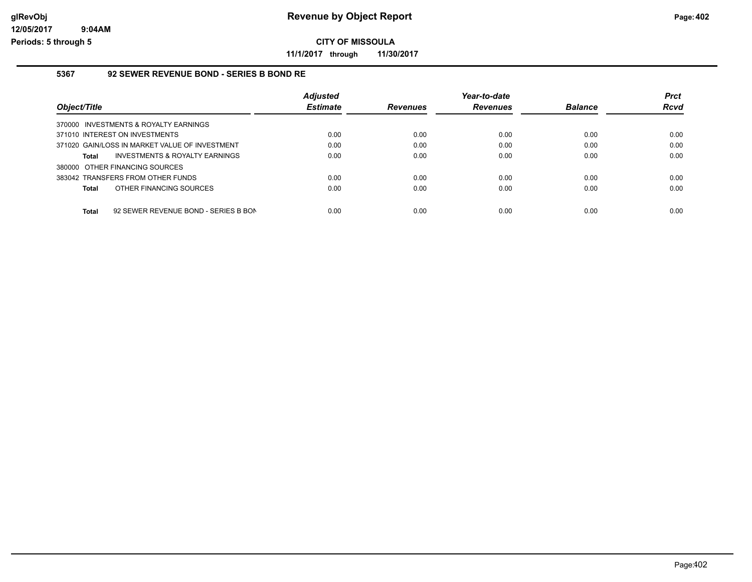**11/1/2017 through 11/30/2017**

#### **5367 92 SEWER REVENUE BOND - SERIES B BOND RE**

|                                                | <b>Adjusted</b> |                 | Year-to-date    |                | <b>Prct</b> |
|------------------------------------------------|-----------------|-----------------|-----------------|----------------|-------------|
| Object/Title                                   | <b>Estimate</b> | <b>Revenues</b> | <b>Revenues</b> | <b>Balance</b> | <b>Rcvd</b> |
| 370000 INVESTMENTS & ROYALTY EARNINGS          |                 |                 |                 |                |             |
| 371010 INTEREST ON INVESTMENTS                 | 0.00            | 0.00            | 0.00            | 0.00           | 0.00        |
| 371020 GAIN/LOSS IN MARKET VALUE OF INVESTMENT | 0.00            | 0.00            | 0.00            | 0.00           | 0.00        |
| INVESTMENTS & ROYALTY EARNINGS<br>Total        | 0.00            | 0.00            | 0.00            | 0.00           | 0.00        |
| 380000 OTHER FINANCING SOURCES                 |                 |                 |                 |                |             |
| 383042 TRANSFERS FROM OTHER FUNDS              | 0.00            | 0.00            | 0.00            | 0.00           | 0.00        |
| OTHER FINANCING SOURCES<br>Total               | 0.00            | 0.00            | 0.00            | 0.00           | 0.00        |
| Total<br>92 SEWER REVENUE BOND - SERIES B BON  | 0.00            | 0.00            | 0.00            | 0.00           | 0.00        |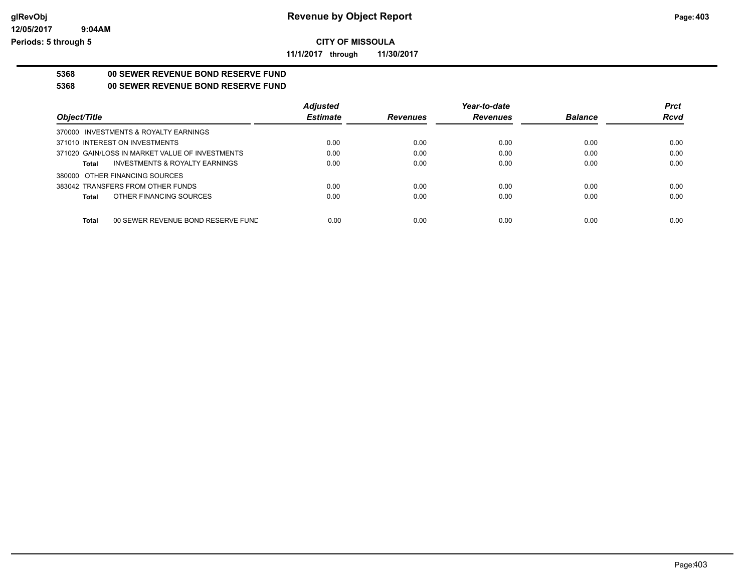**11/1/2017 through 11/30/2017**

# **5368 00 SEWER REVENUE BOND RESERVE FUND**

# **5368 00 SEWER REVENUE BOND RESERVE FUND**

|                                                    | <b>Adjusted</b> |                 | Year-to-date    |                | <b>Prct</b> |
|----------------------------------------------------|-----------------|-----------------|-----------------|----------------|-------------|
| Object/Title                                       | <b>Estimate</b> | <b>Revenues</b> | <b>Revenues</b> | <b>Balance</b> | <b>Rcvd</b> |
| 370000 INVESTMENTS & ROYALTY EARNINGS              |                 |                 |                 |                |             |
| 371010 INTEREST ON INVESTMENTS                     | 0.00            | 0.00            | 0.00            | 0.00           | 0.00        |
| 371020 GAIN/LOSS IN MARKET VALUE OF INVESTMENTS    | 0.00            | 0.00            | 0.00            | 0.00           | 0.00        |
| <b>INVESTMENTS &amp; ROYALTY EARNINGS</b><br>Total | 0.00            | 0.00            | 0.00            | 0.00           | 0.00        |
| 380000 OTHER FINANCING SOURCES                     |                 |                 |                 |                |             |
| 383042 TRANSFERS FROM OTHER FUNDS                  | 0.00            | 0.00            | 0.00            | 0.00           | 0.00        |
| OTHER FINANCING SOURCES<br>Total                   | 0.00            | 0.00            | 0.00            | 0.00           | 0.00        |
|                                                    |                 |                 |                 |                |             |
| <b>Total</b><br>00 SEWER REVENUE BOND RESERVE FUND | 0.00            | 0.00            | 0.00            | 0.00           | 0.00        |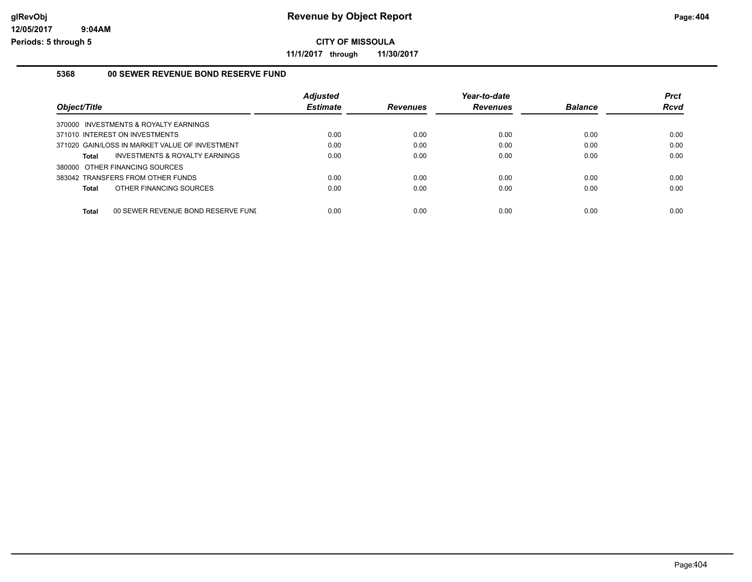**11/1/2017 through 11/30/2017**

#### **5368 00 SEWER REVENUE BOND RESERVE FUND**

| Object/Title                                       | <b>Adjusted</b><br><b>Estimate</b> | <b>Revenues</b> | Year-to-date<br><b>Revenues</b> | <b>Balance</b> | <b>Prct</b><br><b>Rcvd</b> |
|----------------------------------------------------|------------------------------------|-----------------|---------------------------------|----------------|----------------------------|
|                                                    |                                    |                 |                                 |                |                            |
| 370000 INVESTMENTS & ROYALTY EARNINGS              |                                    |                 |                                 |                |                            |
| 371010 INTEREST ON INVESTMENTS                     | 0.00                               | 0.00            | 0.00                            | 0.00           | 0.00                       |
| 371020 GAIN/LOSS IN MARKET VALUE OF INVESTMENT     | 0.00                               | 0.00            | 0.00                            | 0.00           | 0.00                       |
| INVESTMENTS & ROYALTY EARNINGS<br>Total            | 0.00                               | 0.00            | 0.00                            | 0.00           | 0.00                       |
| 380000 OTHER FINANCING SOURCES                     |                                    |                 |                                 |                |                            |
| 383042 TRANSFERS FROM OTHER FUNDS                  | 0.00                               | 0.00            | 0.00                            | 0.00           | 0.00                       |
| OTHER FINANCING SOURCES<br>Total                   | 0.00                               | 0.00            | 0.00                            | 0.00           | 0.00                       |
|                                                    |                                    |                 |                                 |                |                            |
| <b>Total</b><br>00 SEWER REVENUE BOND RESERVE FUNI | 0.00                               | 0.00            | 0.00                            | 0.00           | 0.00                       |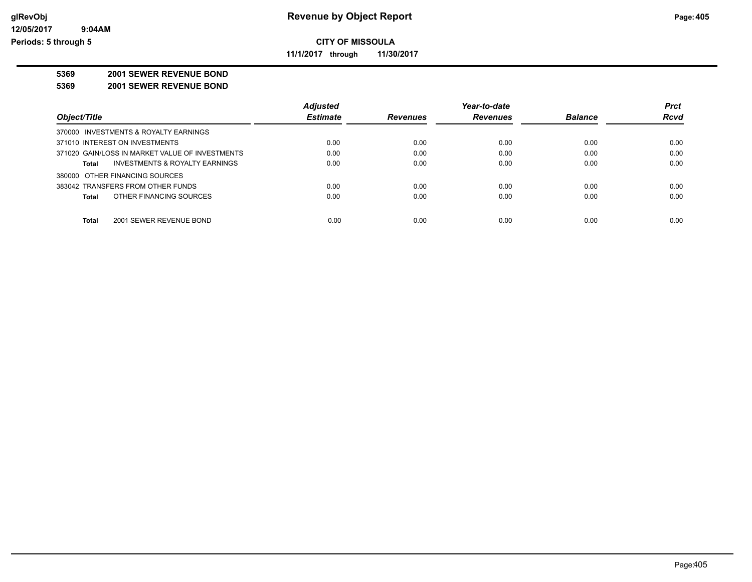**11/1/2017 through 11/30/2017**

#### **5369 2001 SEWER REVENUE BOND**

**5369 2001 SEWER REVENUE BOND**

|                                                 | <b>Adjusted</b> |                 | Year-to-date    |                | <b>Prct</b> |
|-------------------------------------------------|-----------------|-----------------|-----------------|----------------|-------------|
| Object/Title                                    | <b>Estimate</b> | <b>Revenues</b> | <b>Revenues</b> | <b>Balance</b> | <b>Rcvd</b> |
| 370000 INVESTMENTS & ROYALTY EARNINGS           |                 |                 |                 |                |             |
| 371010 INTEREST ON INVESTMENTS                  | 0.00            | 0.00            | 0.00            | 0.00           | 0.00        |
| 371020 GAIN/LOSS IN MARKET VALUE OF INVESTMENTS | 0.00            | 0.00            | 0.00            | 0.00           | 0.00        |
| INVESTMENTS & ROYALTY EARNINGS<br>Total         | 0.00            | 0.00            | 0.00            | 0.00           | 0.00        |
| 380000 OTHER FINANCING SOURCES                  |                 |                 |                 |                |             |
| 383042 TRANSFERS FROM OTHER FUNDS               | 0.00            | 0.00            | 0.00            | 0.00           | 0.00        |
| OTHER FINANCING SOURCES<br><b>Total</b>         | 0.00            | 0.00            | 0.00            | 0.00           | 0.00        |
| <b>Total</b><br>2001 SEWER REVENUE BOND         | 0.00            | 0.00            | 0.00            | 0.00           | 0.00        |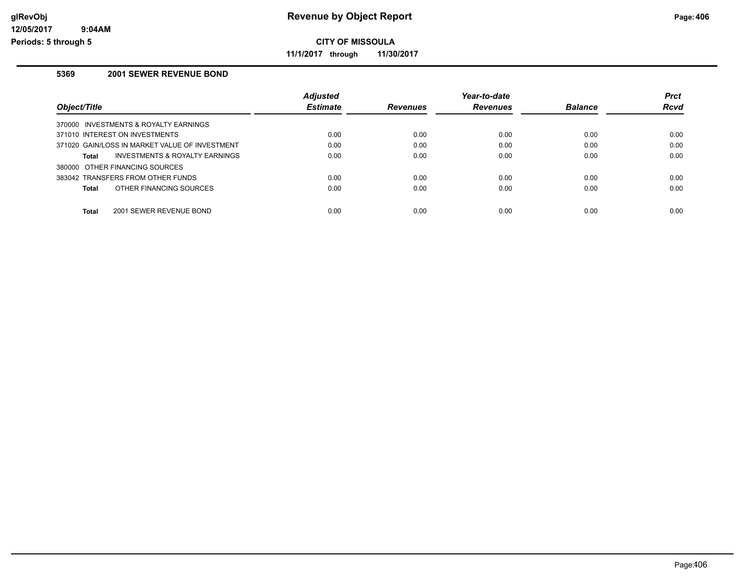**11/1/2017 through 11/30/2017**

#### **5369 2001 SEWER REVENUE BOND**

|                                                | <b>Adjusted</b> |                 | Year-to-date    |                | <b>Prct</b> |
|------------------------------------------------|-----------------|-----------------|-----------------|----------------|-------------|
| Object/Title                                   | <b>Estimate</b> | <b>Revenues</b> | <b>Revenues</b> | <b>Balance</b> | <b>Rcvd</b> |
| INVESTMENTS & ROYALTY EARNINGS<br>370000       |                 |                 |                 |                |             |
| 371010 INTEREST ON INVESTMENTS                 | 0.00            | 0.00            | 0.00            | 0.00           | 0.00        |
| 371020 GAIN/LOSS IN MARKET VALUE OF INVESTMENT | 0.00            | 0.00            | 0.00            | 0.00           | 0.00        |
| INVESTMENTS & ROYALTY EARNINGS<br>Total        | 0.00            | 0.00            | 0.00            | 0.00           | 0.00        |
| 380000 OTHER FINANCING SOURCES                 |                 |                 |                 |                |             |
| 383042 TRANSFERS FROM OTHER FUNDS              | 0.00            | 0.00            | 0.00            | 0.00           | 0.00        |
| OTHER FINANCING SOURCES<br>Total               | 0.00            | 0.00            | 0.00            | 0.00           | 0.00        |
| Total<br>2001 SEWER REVENUE BOND               | 0.00            | 0.00            | 0.00            | 0.00           | 0.00        |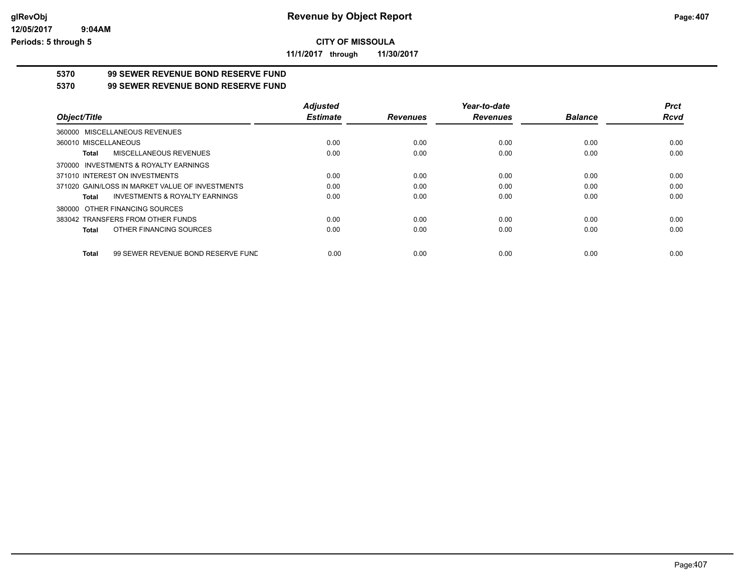**11/1/2017 through 11/30/2017**

# **5370 99 SEWER REVENUE BOND RESERVE FUND**

### **5370 99 SEWER REVENUE BOND RESERVE FUND**

| Object/Title                                       | <b>Adjusted</b><br><b>Estimate</b> | <b>Revenues</b> | Year-to-date<br><b>Revenues</b> | <b>Balance</b> | <b>Prct</b><br><b>Rcvd</b> |
|----------------------------------------------------|------------------------------------|-----------------|---------------------------------|----------------|----------------------------|
| 360000 MISCELLANEOUS REVENUES                      |                                    |                 |                                 |                |                            |
| 360010 MISCELLANEOUS                               | 0.00                               | 0.00            | 0.00                            | 0.00           | 0.00                       |
| MISCELLANEOUS REVENUES<br>Total                    | 0.00                               | 0.00            | 0.00                            | 0.00           | 0.00                       |
| 370000 INVESTMENTS & ROYALTY EARNINGS              |                                    |                 |                                 |                |                            |
| 371010 INTEREST ON INVESTMENTS                     | 0.00                               | 0.00            | 0.00                            | 0.00           | 0.00                       |
| 371020 GAIN/LOSS IN MARKET VALUE OF INVESTMENTS    | 0.00                               | 0.00            | 0.00                            | 0.00           | 0.00                       |
| <b>INVESTMENTS &amp; ROYALTY EARNINGS</b><br>Total | 0.00                               | 0.00            | 0.00                            | 0.00           | 0.00                       |
| 380000 OTHER FINANCING SOURCES                     |                                    |                 |                                 |                |                            |
| 383042 TRANSFERS FROM OTHER FUNDS                  | 0.00                               | 0.00            | 0.00                            | 0.00           | 0.00                       |
| OTHER FINANCING SOURCES<br><b>Total</b>            | 0.00                               | 0.00            | 0.00                            | 0.00           | 0.00                       |
| 99 SEWER REVENUE BOND RESERVE FUND<br><b>Total</b> | 0.00                               | 0.00            | 0.00                            | 0.00           | 0.00                       |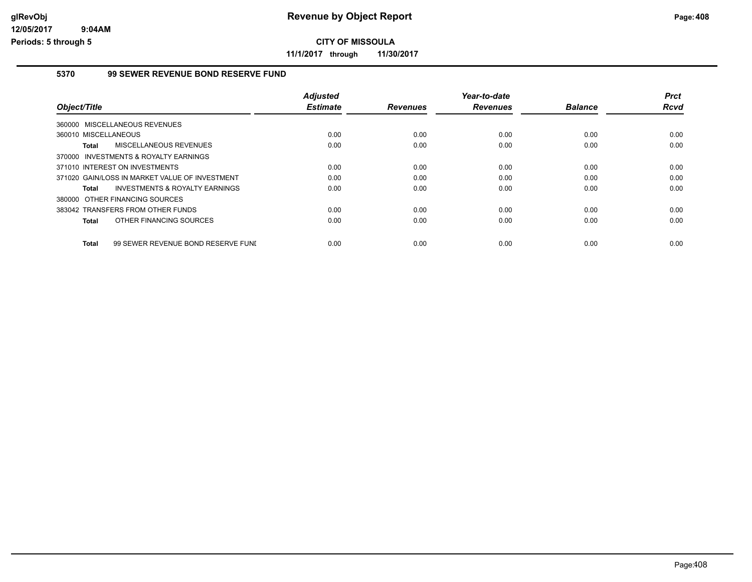**11/1/2017 through 11/30/2017**

#### **5370 99 SEWER REVENUE BOND RESERVE FUND**

|                                                    | <b>Adjusted</b> |                 | Year-to-date    |                | <b>Prct</b> |
|----------------------------------------------------|-----------------|-----------------|-----------------|----------------|-------------|
| Object/Title                                       | <b>Estimate</b> | <b>Revenues</b> | <b>Revenues</b> | <b>Balance</b> | <b>Rcvd</b> |
| 360000 MISCELLANEOUS REVENUES                      |                 |                 |                 |                |             |
| 360010 MISCELLANEOUS                               | 0.00            | 0.00            | 0.00            | 0.00           | 0.00        |
| MISCELLANEOUS REVENUES<br>Total                    | 0.00            | 0.00            | 0.00            | 0.00           | 0.00        |
| 370000 INVESTMENTS & ROYALTY EARNINGS              |                 |                 |                 |                |             |
| 371010 INTEREST ON INVESTMENTS                     | 0.00            | 0.00            | 0.00            | 0.00           | 0.00        |
| 371020 GAIN/LOSS IN MARKET VALUE OF INVESTMENT     | 0.00            | 0.00            | 0.00            | 0.00           | 0.00        |
| <b>INVESTMENTS &amp; ROYALTY EARNINGS</b><br>Total | 0.00            | 0.00            | 0.00            | 0.00           | 0.00        |
| 380000 OTHER FINANCING SOURCES                     |                 |                 |                 |                |             |
| 383042 TRANSFERS FROM OTHER FUNDS                  | 0.00            | 0.00            | 0.00            | 0.00           | 0.00        |
| OTHER FINANCING SOURCES<br>Total                   | 0.00            | 0.00            | 0.00            | 0.00           | 0.00        |
| <b>Total</b><br>99 SEWER REVENUE BOND RESERVE FUNI | 0.00            | 0.00            | 0.00            | 0.00           | 0.00        |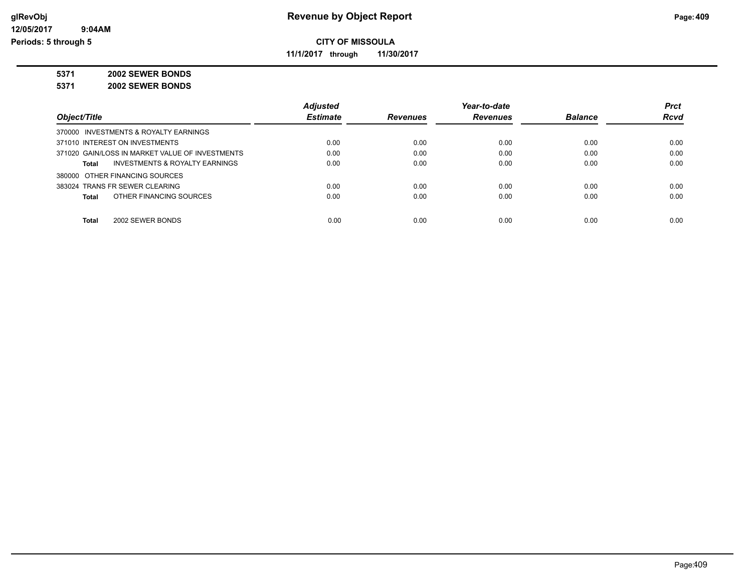**11/1/2017 through 11/30/2017**

#### **5371 2002 SEWER BONDS**

**5371 2002 SEWER BONDS**

|                                                    | <b>Adjusted</b> |                 | Year-to-date    |                | <b>Prct</b> |
|----------------------------------------------------|-----------------|-----------------|-----------------|----------------|-------------|
| Object/Title                                       | <b>Estimate</b> | <b>Revenues</b> | <b>Revenues</b> | <b>Balance</b> | <b>Rcvd</b> |
| 370000 INVESTMENTS & ROYALTY EARNINGS              |                 |                 |                 |                |             |
| 371010 INTEREST ON INVESTMENTS                     | 0.00            | 0.00            | 0.00            | 0.00           | 0.00        |
| 371020 GAIN/LOSS IN MARKET VALUE OF INVESTMENTS    | 0.00            | 0.00            | 0.00            | 0.00           | 0.00        |
| <b>INVESTMENTS &amp; ROYALTY EARNINGS</b><br>Total | 0.00            | 0.00            | 0.00            | 0.00           | 0.00        |
| 380000 OTHER FINANCING SOURCES                     |                 |                 |                 |                |             |
| 383024 TRANS FR SEWER CLEARING                     | 0.00            | 0.00            | 0.00            | 0.00           | 0.00        |
| OTHER FINANCING SOURCES<br><b>Total</b>            | 0.00            | 0.00            | 0.00            | 0.00           | 0.00        |
|                                                    |                 |                 |                 |                |             |
| <b>Total</b><br>2002 SEWER BONDS                   | 0.00            | 0.00            | 0.00            | 0.00           | 0.00        |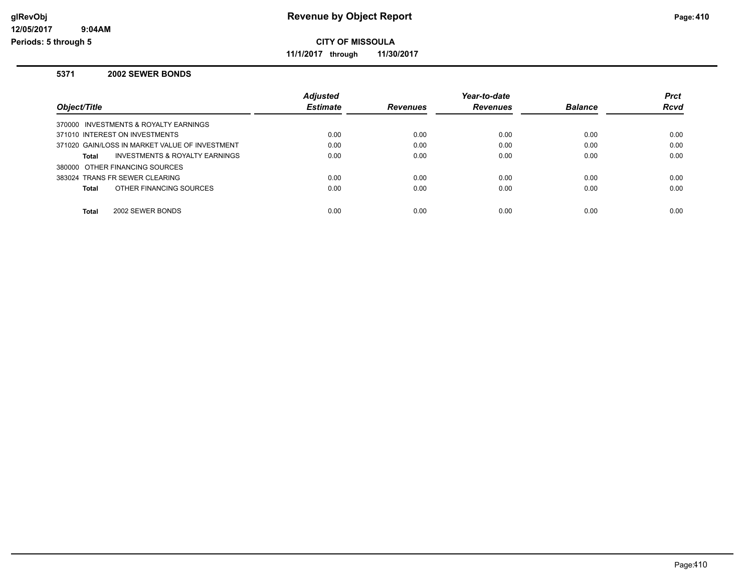**11/1/2017 through 11/30/2017**

#### **5371 2002 SEWER BONDS**

|                                                | <b>Adjusted</b> |                 | Year-to-date    |                | <b>Prct</b> |
|------------------------------------------------|-----------------|-----------------|-----------------|----------------|-------------|
| <b>Object/Title</b>                            | <b>Estimate</b> | <b>Revenues</b> | <b>Revenues</b> | <b>Balance</b> | <b>Rcvd</b> |
| 370000 INVESTMENTS & ROYALTY EARNINGS          |                 |                 |                 |                |             |
| 371010 INTEREST ON INVESTMENTS                 | 0.00            | 0.00            | 0.00            | 0.00           | 0.00        |
| 371020 GAIN/LOSS IN MARKET VALUE OF INVESTMENT | 0.00            | 0.00            | 0.00            | 0.00           | 0.00        |
| INVESTMENTS & ROYALTY EARNINGS<br>Total        | 0.00            | 0.00            | 0.00            | 0.00           | 0.00        |
| 380000 OTHER FINANCING SOURCES                 |                 |                 |                 |                |             |
| 383024 TRANS FR SEWER CLEARING                 | 0.00            | 0.00            | 0.00            | 0.00           | 0.00        |
| OTHER FINANCING SOURCES<br>Total               | 0.00            | 0.00            | 0.00            | 0.00           | 0.00        |
|                                                |                 |                 |                 |                |             |
| Total<br>2002 SEWER BONDS                      | 0.00            | 0.00            | 0.00            | 0.00           | 0.00        |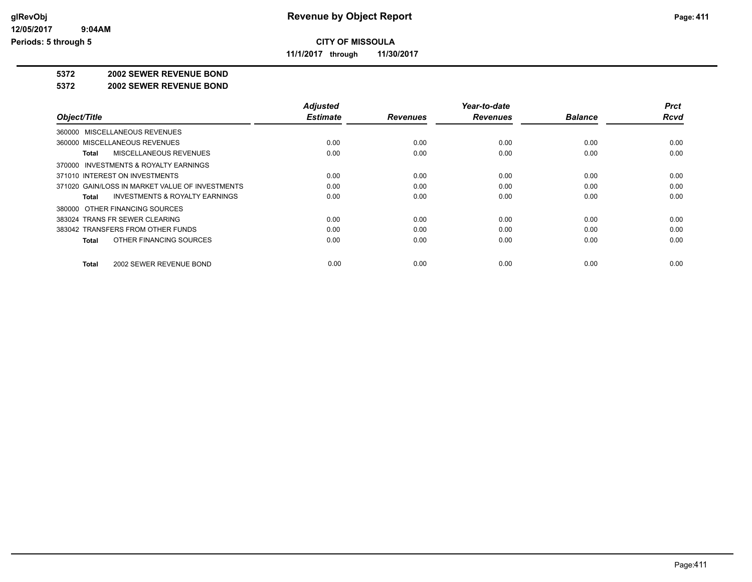**11/1/2017 through 11/30/2017**

#### **5372 2002 SEWER REVENUE BOND**

#### **5372 2002 SEWER REVENUE BOND**

|                                                    | <b>Adjusted</b> |                 | Year-to-date    |                | <b>Prct</b> |
|----------------------------------------------------|-----------------|-----------------|-----------------|----------------|-------------|
| Object/Title                                       | <b>Estimate</b> | <b>Revenues</b> | <b>Revenues</b> | <b>Balance</b> | <b>Rcvd</b> |
| 360000 MISCELLANEOUS REVENUES                      |                 |                 |                 |                |             |
| 360000 MISCELLANEOUS REVENUES                      | 0.00            | 0.00            | 0.00            | 0.00           | 0.00        |
| <b>MISCELLANEOUS REVENUES</b><br>Total             | 0.00            | 0.00            | 0.00            | 0.00           | 0.00        |
| 370000 INVESTMENTS & ROYALTY EARNINGS              |                 |                 |                 |                |             |
| 371010 INTEREST ON INVESTMENTS                     | 0.00            | 0.00            | 0.00            | 0.00           | 0.00        |
| 371020 GAIN/LOSS IN MARKET VALUE OF INVESTMENTS    | 0.00            | 0.00            | 0.00            | 0.00           | 0.00        |
| <b>INVESTMENTS &amp; ROYALTY EARNINGS</b><br>Total | 0.00            | 0.00            | 0.00            | 0.00           | 0.00        |
| 380000 OTHER FINANCING SOURCES                     |                 |                 |                 |                |             |
| 383024 TRANS FR SEWER CLEARING                     | 0.00            | 0.00            | 0.00            | 0.00           | 0.00        |
| 383042 TRANSFERS FROM OTHER FUNDS                  | 0.00            | 0.00            | 0.00            | 0.00           | 0.00        |
| OTHER FINANCING SOURCES<br>Total                   | 0.00            | 0.00            | 0.00            | 0.00           | 0.00        |
| 2002 SEWER REVENUE BOND<br>Total                   | 0.00            | 0.00            | 0.00            | 0.00           | 0.00        |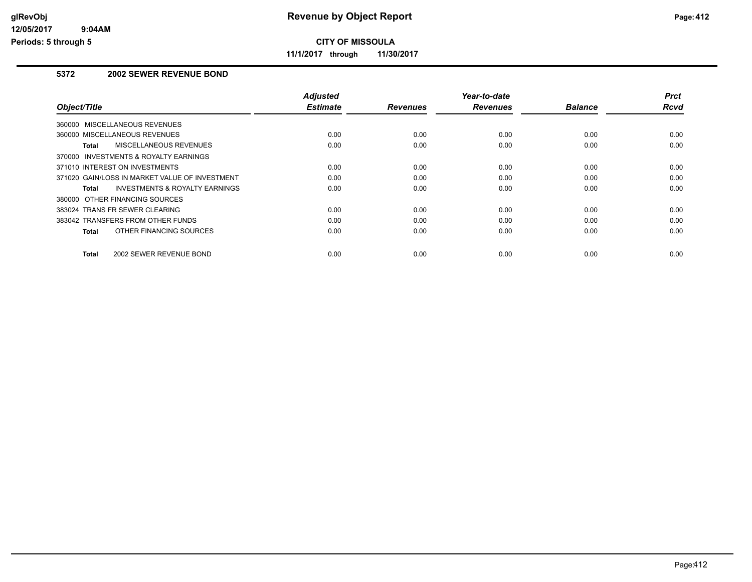**11/1/2017 through 11/30/2017**

#### **5372 2002 SEWER REVENUE BOND**

| Object/Title                                       | <b>Adjusted</b><br><b>Estimate</b> | <b>Revenues</b> | Year-to-date<br><b>Revenues</b> | <b>Balance</b> | <b>Prct</b><br>Rcvd |
|----------------------------------------------------|------------------------------------|-----------------|---------------------------------|----------------|---------------------|
| 360000 MISCELLANEOUS REVENUES                      |                                    |                 |                                 |                |                     |
| 360000 MISCELLANEOUS REVENUES                      | 0.00                               | 0.00            | 0.00                            | 0.00           | 0.00                |
| MISCELLANEOUS REVENUES<br>Total                    | 0.00                               | 0.00            | 0.00                            | 0.00           | 0.00                |
| 370000 INVESTMENTS & ROYALTY EARNINGS              |                                    |                 |                                 |                |                     |
| 371010 INTEREST ON INVESTMENTS                     | 0.00                               | 0.00            | 0.00                            | 0.00           | 0.00                |
| 371020 GAIN/LOSS IN MARKET VALUE OF INVESTMENT     | 0.00                               | 0.00            | 0.00                            | 0.00           | 0.00                |
| <b>INVESTMENTS &amp; ROYALTY EARNINGS</b><br>Total | 0.00                               | 0.00            | 0.00                            | 0.00           | 0.00                |
| 380000 OTHER FINANCING SOURCES                     |                                    |                 |                                 |                |                     |
| 383024 TRANS FR SEWER CLEARING                     | 0.00                               | 0.00            | 0.00                            | 0.00           | 0.00                |
| 383042 TRANSFERS FROM OTHER FUNDS                  | 0.00                               | 0.00            | 0.00                            | 0.00           | 0.00                |
| OTHER FINANCING SOURCES<br><b>Total</b>            | 0.00                               | 0.00            | 0.00                            | 0.00           | 0.00                |
| 2002 SEWER REVENUE BOND<br><b>Total</b>            | 0.00                               | 0.00            | 0.00                            | 0.00           | 0.00                |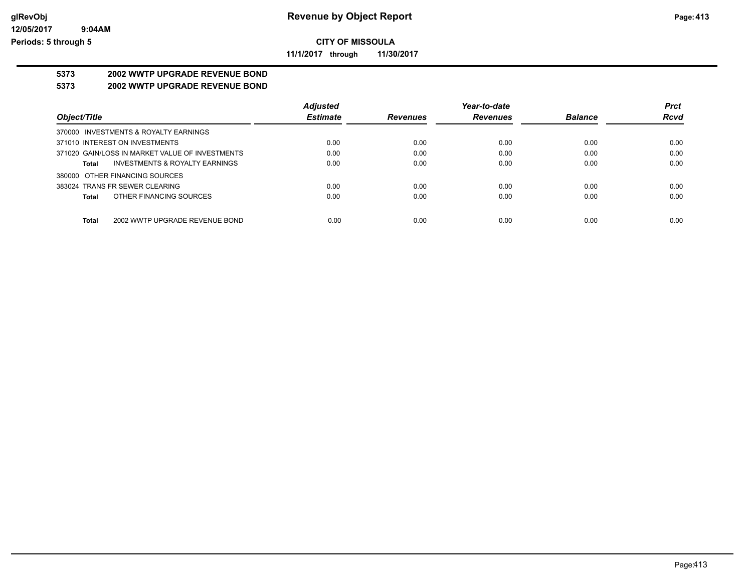**11/1/2017 through 11/30/2017**

# **5373 2002 WWTP UPGRADE REVENUE BOND**

# **5373 2002 WWTP UPGRADE REVENUE BOND**

|                                                 | <b>Adjusted</b> |                 | Year-to-date    |                | <b>Prct</b> |
|-------------------------------------------------|-----------------|-----------------|-----------------|----------------|-------------|
| Object/Title                                    | <b>Estimate</b> | <b>Revenues</b> | <b>Revenues</b> | <b>Balance</b> | <b>Rcvd</b> |
| 370000 INVESTMENTS & ROYALTY EARNINGS           |                 |                 |                 |                |             |
| 371010 INTEREST ON INVESTMENTS                  | 0.00            | 0.00            | 0.00            | 0.00           | 0.00        |
| 371020 GAIN/LOSS IN MARKET VALUE OF INVESTMENTS | 0.00            | 0.00            | 0.00            | 0.00           | 0.00        |
| INVESTMENTS & ROYALTY EARNINGS<br>Total         | 0.00            | 0.00            | 0.00            | 0.00           | 0.00        |
| 380000 OTHER FINANCING SOURCES                  |                 |                 |                 |                |             |
| 383024 TRANS FR SEWER CLEARING                  | 0.00            | 0.00            | 0.00            | 0.00           | 0.00        |
| OTHER FINANCING SOURCES<br>Total                | 0.00            | 0.00            | 0.00            | 0.00           | 0.00        |
|                                                 |                 |                 |                 |                |             |
| <b>Total</b><br>2002 WWTP UPGRADE REVENUE BOND  | 0.00            | 0.00            | 0.00            | 0.00           | 0.00        |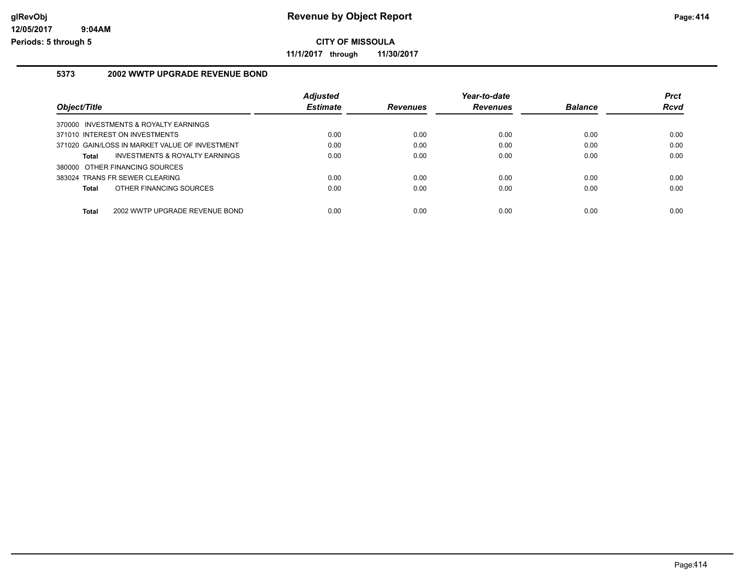**11/1/2017 through 11/30/2017**

#### **5373 2002 WWTP UPGRADE REVENUE BOND**

|                                                    | <b>Adjusted</b> |                 | Year-to-date    |                | <b>Prct</b> |
|----------------------------------------------------|-----------------|-----------------|-----------------|----------------|-------------|
| Object/Title                                       | <b>Estimate</b> | <b>Revenues</b> | <b>Revenues</b> | <b>Balance</b> | <b>Rcvd</b> |
| 370000 INVESTMENTS & ROYALTY EARNINGS              |                 |                 |                 |                |             |
| 371010 INTEREST ON INVESTMENTS                     | 0.00            | 0.00            | 0.00            | 0.00           | 0.00        |
| 371020 GAIN/LOSS IN MARKET VALUE OF INVESTMENT     | 0.00            | 0.00            | 0.00            | 0.00           | 0.00        |
| <b>INVESTMENTS &amp; ROYALTY EARNINGS</b><br>Total | 0.00            | 0.00            | 0.00            | 0.00           | 0.00        |
| 380000 OTHER FINANCING SOURCES                     |                 |                 |                 |                |             |
| 383024 TRANS FR SEWER CLEARING                     | 0.00            | 0.00            | 0.00            | 0.00           | 0.00        |
| OTHER FINANCING SOURCES<br>Total                   | 0.00            | 0.00            | 0.00            | 0.00           | 0.00        |
|                                                    |                 |                 |                 |                |             |
| <b>Total</b><br>2002 WWTP UPGRADE REVENUE BOND     | 0.00            | 0.00            | 0.00            | 0.00           | 0.00        |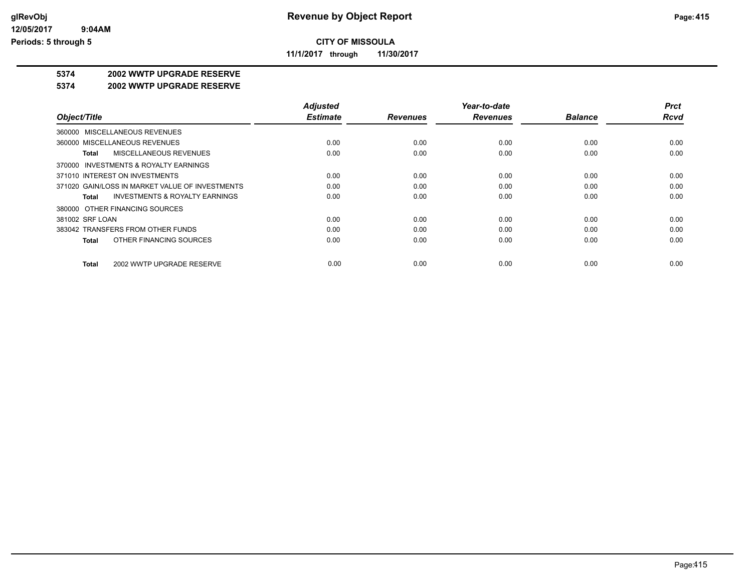**11/1/2017 through 11/30/2017**

#### **5374 2002 WWTP UPGRADE RESERVE**

#### **5374 2002 WWTP UPGRADE RESERVE**

|                                                    | <b>Adjusted</b> |                 | Year-to-date    |                | <b>Prct</b> |
|----------------------------------------------------|-----------------|-----------------|-----------------|----------------|-------------|
| Object/Title                                       | <b>Estimate</b> | <b>Revenues</b> | <b>Revenues</b> | <b>Balance</b> | <b>Rcvd</b> |
| 360000 MISCELLANEOUS REVENUES                      |                 |                 |                 |                |             |
| 360000 MISCELLANEOUS REVENUES                      | 0.00            | 0.00            | 0.00            | 0.00           | 0.00        |
| <b>MISCELLANEOUS REVENUES</b><br>Total             | 0.00            | 0.00            | 0.00            | 0.00           | 0.00        |
| 370000 INVESTMENTS & ROYALTY EARNINGS              |                 |                 |                 |                |             |
| 371010 INTEREST ON INVESTMENTS                     | 0.00            | 0.00            | 0.00            | 0.00           | 0.00        |
| 371020 GAIN/LOSS IN MARKET VALUE OF INVESTMENTS    | 0.00            | 0.00            | 0.00            | 0.00           | 0.00        |
| <b>INVESTMENTS &amp; ROYALTY EARNINGS</b><br>Total | 0.00            | 0.00            | 0.00            | 0.00           | 0.00        |
| 380000 OTHER FINANCING SOURCES                     |                 |                 |                 |                |             |
| 381002 SRF LOAN                                    | 0.00            | 0.00            | 0.00            | 0.00           | 0.00        |
| 383042 TRANSFERS FROM OTHER FUNDS                  | 0.00            | 0.00            | 0.00            | 0.00           | 0.00        |
| OTHER FINANCING SOURCES<br>Total                   | 0.00            | 0.00            | 0.00            | 0.00           | 0.00        |
| 2002 WWTP UPGRADE RESERVE<br>Total                 | 0.00            | 0.00            | 0.00            | 0.00           | 0.00        |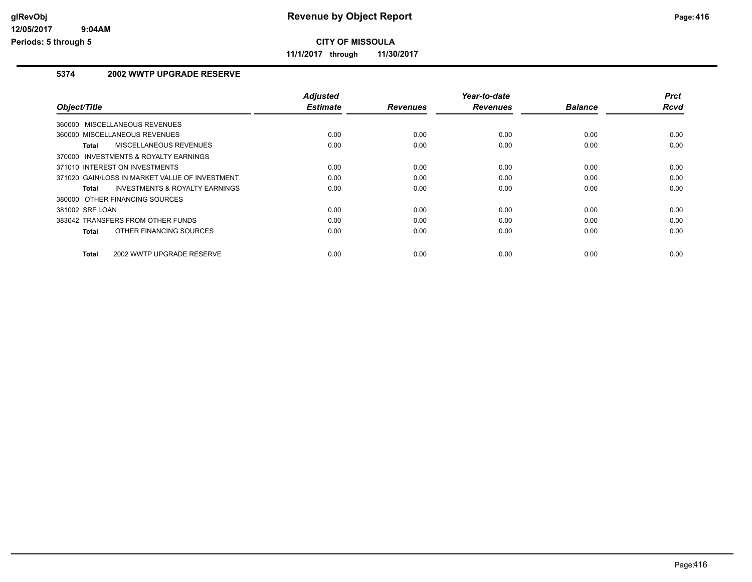**11/1/2017 through 11/30/2017**

#### **5374 2002 WWTP UPGRADE RESERVE**

| Object/Title                                       | <b>Adjusted</b><br><b>Estimate</b> | <b>Revenues</b> | Year-to-date<br><b>Revenues</b> | <b>Balance</b> | <b>Prct</b><br><b>Rcvd</b> |
|----------------------------------------------------|------------------------------------|-----------------|---------------------------------|----------------|----------------------------|
| 360000 MISCELLANEOUS REVENUES                      |                                    |                 |                                 |                |                            |
| 360000 MISCELLANEOUS REVENUES                      | 0.00                               | 0.00            | 0.00                            | 0.00           | 0.00                       |
| MISCELLANEOUS REVENUES<br><b>Total</b>             | 0.00                               | 0.00            | 0.00                            | 0.00           | 0.00                       |
| 370000 INVESTMENTS & ROYALTY EARNINGS              |                                    |                 |                                 |                |                            |
| 371010 INTEREST ON INVESTMENTS                     | 0.00                               | 0.00            | 0.00                            | 0.00           | 0.00                       |
| 371020 GAIN/LOSS IN MARKET VALUE OF INVESTMENT     | 0.00                               | 0.00            | 0.00                            | 0.00           | 0.00                       |
| <b>INVESTMENTS &amp; ROYALTY EARNINGS</b><br>Total | 0.00                               | 0.00            | 0.00                            | 0.00           | 0.00                       |
| 380000 OTHER FINANCING SOURCES                     |                                    |                 |                                 |                |                            |
| 381002 SRF LOAN                                    | 0.00                               | 0.00            | 0.00                            | 0.00           | 0.00                       |
| 383042 TRANSFERS FROM OTHER FUNDS                  | 0.00                               | 0.00            | 0.00                            | 0.00           | 0.00                       |
| OTHER FINANCING SOURCES<br><b>Total</b>            | 0.00                               | 0.00            | 0.00                            | 0.00           | 0.00                       |
| 2002 WWTP UPGRADE RESERVE<br><b>Total</b>          | 0.00                               | 0.00            | 0.00                            | 0.00           | 0.00                       |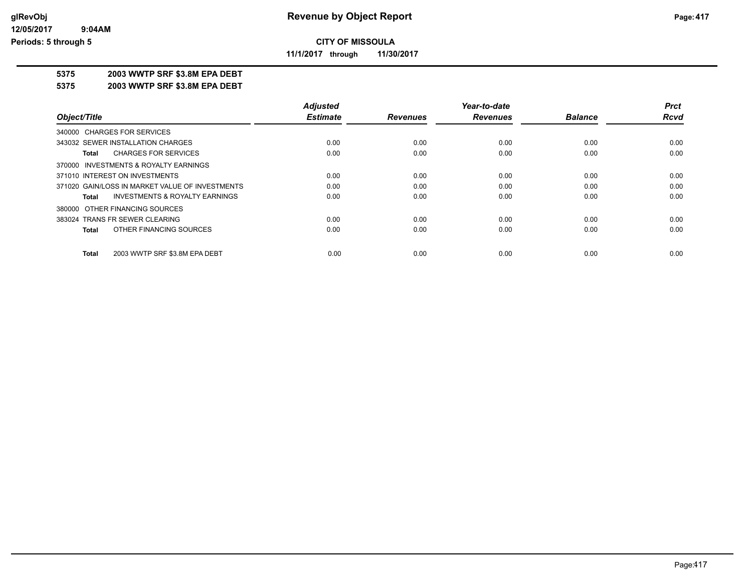**11/1/2017 through 11/30/2017**

### **5375 2003 WWTP SRF \$3.8M EPA DEBT**

#### **5375 2003 WWTP SRF \$3.8M EPA DEBT**

|                                                 | <b>Adjusted</b> |                 | Year-to-date    |                | <b>Prct</b> |
|-------------------------------------------------|-----------------|-----------------|-----------------|----------------|-------------|
| Object/Title                                    | <b>Estimate</b> | <b>Revenues</b> | <b>Revenues</b> | <b>Balance</b> | <b>Rcvd</b> |
| 340000 CHARGES FOR SERVICES                     |                 |                 |                 |                |             |
| 343032 SEWER INSTALLATION CHARGES               | 0.00            | 0.00            | 0.00            | 0.00           | 0.00        |
| <b>CHARGES FOR SERVICES</b><br>Total            | 0.00            | 0.00            | 0.00            | 0.00           | 0.00        |
| 370000 INVESTMENTS & ROYALTY EARNINGS           |                 |                 |                 |                |             |
| 371010 INTEREST ON INVESTMENTS                  | 0.00            | 0.00            | 0.00            | 0.00           | 0.00        |
| 371020 GAIN/LOSS IN MARKET VALUE OF INVESTMENTS | 0.00            | 0.00            | 0.00            | 0.00           | 0.00        |
| INVESTMENTS & ROYALTY EARNINGS<br>Total         | 0.00            | 0.00            | 0.00            | 0.00           | 0.00        |
| 380000 OTHER FINANCING SOURCES                  |                 |                 |                 |                |             |
| 383024 TRANS FR SEWER CLEARING                  | 0.00            | 0.00            | 0.00            | 0.00           | 0.00        |
| OTHER FINANCING SOURCES<br>Total                | 0.00            | 0.00            | 0.00            | 0.00           | 0.00        |
| 2003 WWTP SRF \$3.8M EPA DEBT<br>Total          | 0.00            | 0.00            | 0.00            | 0.00           | 0.00        |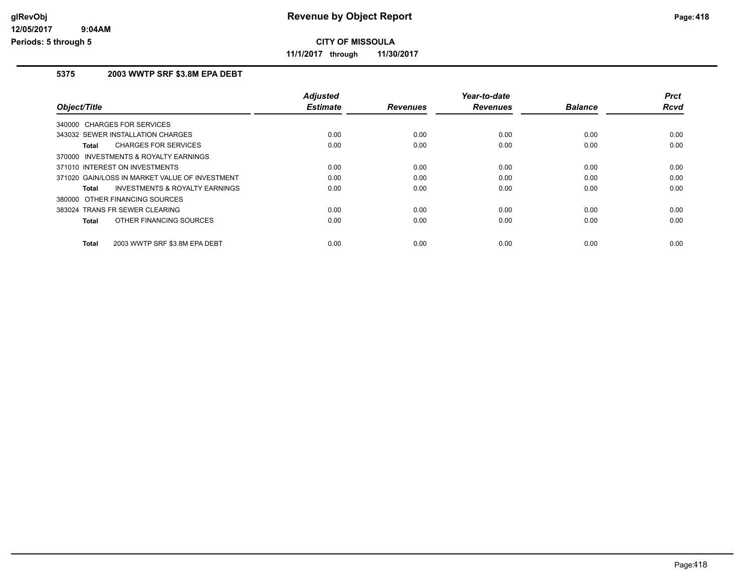**11/1/2017 through 11/30/2017**

#### **5375 2003 WWTP SRF \$3.8M EPA DEBT**

|                                                     | <b>Adjusted</b> |                 | Year-to-date    |                | <b>Prct</b> |
|-----------------------------------------------------|-----------------|-----------------|-----------------|----------------|-------------|
| Object/Title                                        | <b>Estimate</b> | <b>Revenues</b> | <b>Revenues</b> | <b>Balance</b> | <b>Rcvd</b> |
| <b>CHARGES FOR SERVICES</b><br>340000               |                 |                 |                 |                |             |
| 343032 SEWER INSTALLATION CHARGES                   | 0.00            | 0.00            | 0.00            | 0.00           | 0.00        |
| <b>CHARGES FOR SERVICES</b><br>Total                | 0.00            | 0.00            | 0.00            | 0.00           | 0.00        |
| <b>INVESTMENTS &amp; ROYALTY EARNINGS</b><br>370000 |                 |                 |                 |                |             |
| 371010 INTEREST ON INVESTMENTS                      | 0.00            | 0.00            | 0.00            | 0.00           | 0.00        |
| 371020 GAIN/LOSS IN MARKET VALUE OF INVESTMENT      | 0.00            | 0.00            | 0.00            | 0.00           | 0.00        |
| INVESTMENTS & ROYALTY EARNINGS<br><b>Total</b>      | 0.00            | 0.00            | 0.00            | 0.00           | 0.00        |
| OTHER FINANCING SOURCES<br>380000                   |                 |                 |                 |                |             |
| 383024 TRANS FR SEWER CLEARING                      | 0.00            | 0.00            | 0.00            | 0.00           | 0.00        |
| OTHER FINANCING SOURCES<br><b>Total</b>             | 0.00            | 0.00            | 0.00            | 0.00           | 0.00        |
| 2003 WWTP SRF \$3.8M EPA DEBT<br><b>Total</b>       | 0.00            | 0.00            | 0.00            | 0.00           | 0.00        |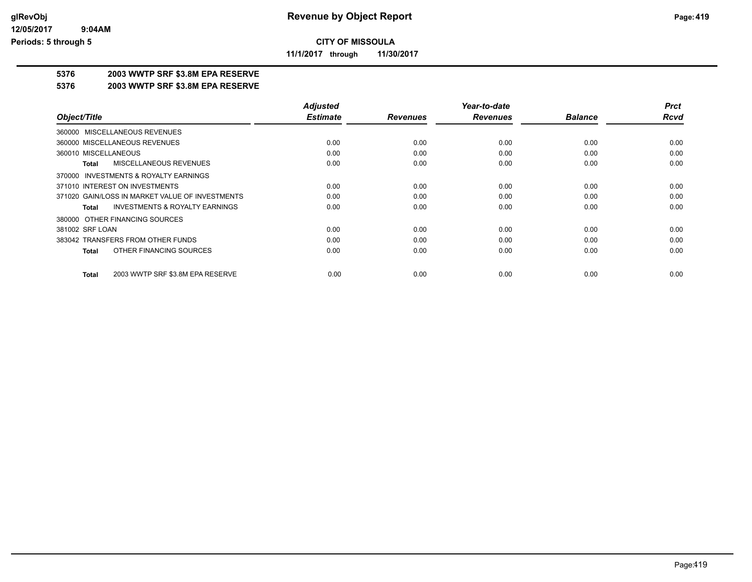**11/1/2017 through 11/30/2017**

### **5376 2003 WWTP SRF \$3.8M EPA RESERVE**

#### **5376 2003 WWTP SRF \$3.8M EPA RESERVE**

|                                                    | <b>Adjusted</b> |                 | Year-to-date    |                | <b>Prct</b> |
|----------------------------------------------------|-----------------|-----------------|-----------------|----------------|-------------|
| Object/Title                                       | <b>Estimate</b> | <b>Revenues</b> | <b>Revenues</b> | <b>Balance</b> | <b>Rcvd</b> |
| MISCELLANEOUS REVENUES<br>360000                   |                 |                 |                 |                |             |
| 360000 MISCELLANEOUS REVENUES                      | 0.00            | 0.00            | 0.00            | 0.00           | 0.00        |
| 360010 MISCELLANEOUS                               | 0.00            | 0.00            | 0.00            | 0.00           | 0.00        |
| MISCELLANEOUS REVENUES<br><b>Total</b>             | 0.00            | 0.00            | 0.00            | 0.00           | 0.00        |
| INVESTMENTS & ROYALTY EARNINGS<br>370000           |                 |                 |                 |                |             |
| 371010 INTEREST ON INVESTMENTS                     | 0.00            | 0.00            | 0.00            | 0.00           | 0.00        |
| 371020 GAIN/LOSS IN MARKET VALUE OF INVESTMENTS    | 0.00            | 0.00            | 0.00            | 0.00           | 0.00        |
| <b>INVESTMENTS &amp; ROYALTY EARNINGS</b><br>Total | 0.00            | 0.00            | 0.00            | 0.00           | 0.00        |
| 380000 OTHER FINANCING SOURCES                     |                 |                 |                 |                |             |
| 381002 SRF LOAN                                    | 0.00            | 0.00            | 0.00            | 0.00           | 0.00        |
| 383042 TRANSFERS FROM OTHER FUNDS                  | 0.00            | 0.00            | 0.00            | 0.00           | 0.00        |
| OTHER FINANCING SOURCES<br><b>Total</b>            | 0.00            | 0.00            | 0.00            | 0.00           | 0.00        |
| 2003 WWTP SRF \$3.8M EPA RESERVE<br>Total          | 0.00            | 0.00            | 0.00            | 0.00           | 0.00        |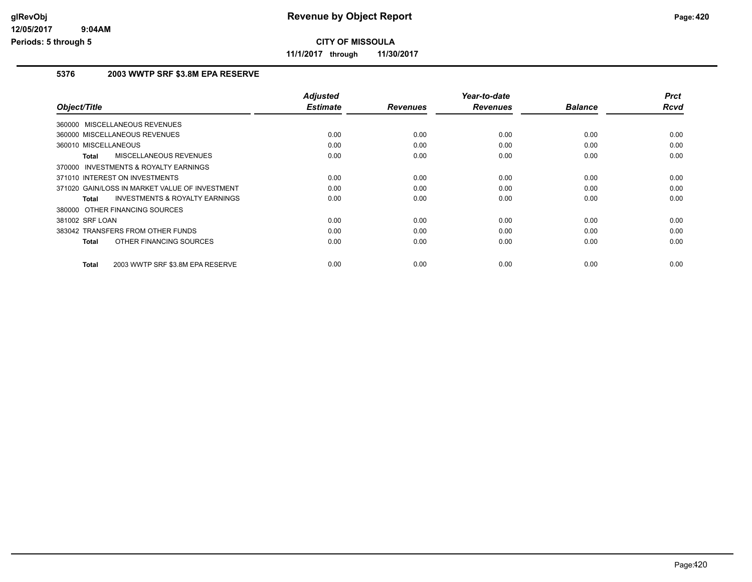**11/1/2017 through 11/30/2017**

#### **5376 2003 WWTP SRF \$3.8M EPA RESERVE**

| Object/Title                                              | <b>Adjusted</b><br><b>Estimate</b> | <b>Revenues</b> | Year-to-date<br><b>Revenues</b> | <b>Balance</b> | <b>Prct</b><br>Rcvd |
|-----------------------------------------------------------|------------------------------------|-----------------|---------------------------------|----------------|---------------------|
|                                                           |                                    |                 |                                 |                |                     |
| 360000 MISCELLANEOUS REVENUES                             |                                    |                 |                                 |                |                     |
| 360000 MISCELLANEOUS REVENUES                             | 0.00                               | 0.00            | 0.00                            | 0.00           | 0.00                |
| 360010 MISCELLANEOUS                                      | 0.00                               | 0.00            | 0.00                            | 0.00           | 0.00                |
| MISCELLANEOUS REVENUES<br><b>Total</b>                    | 0.00                               | 0.00            | 0.00                            | 0.00           | 0.00                |
| <b>INVESTMENTS &amp; ROYALTY EARNINGS</b><br>370000       |                                    |                 |                                 |                |                     |
| 371010 INTEREST ON INVESTMENTS                            | 0.00                               | 0.00            | 0.00                            | 0.00           | 0.00                |
| 371020 GAIN/LOSS IN MARKET VALUE OF INVESTMENT            | 0.00                               | 0.00            | 0.00                            | 0.00           | 0.00                |
| <b>INVESTMENTS &amp; ROYALTY EARNINGS</b><br><b>Total</b> | 0.00                               | 0.00            | 0.00                            | 0.00           | 0.00                |
| 380000 OTHER FINANCING SOURCES                            |                                    |                 |                                 |                |                     |
| 381002 SRF LOAN                                           | 0.00                               | 0.00            | 0.00                            | 0.00           | 0.00                |
| 383042 TRANSFERS FROM OTHER FUNDS                         | 0.00                               | 0.00            | 0.00                            | 0.00           | 0.00                |
| OTHER FINANCING SOURCES<br><b>Total</b>                   | 0.00                               | 0.00            | 0.00                            | 0.00           | 0.00                |
|                                                           |                                    |                 |                                 |                |                     |
| 2003 WWTP SRF \$3.8M EPA RESERVE<br><b>Total</b>          | 0.00                               | 0.00            | 0.00                            | 0.00           | 0.00                |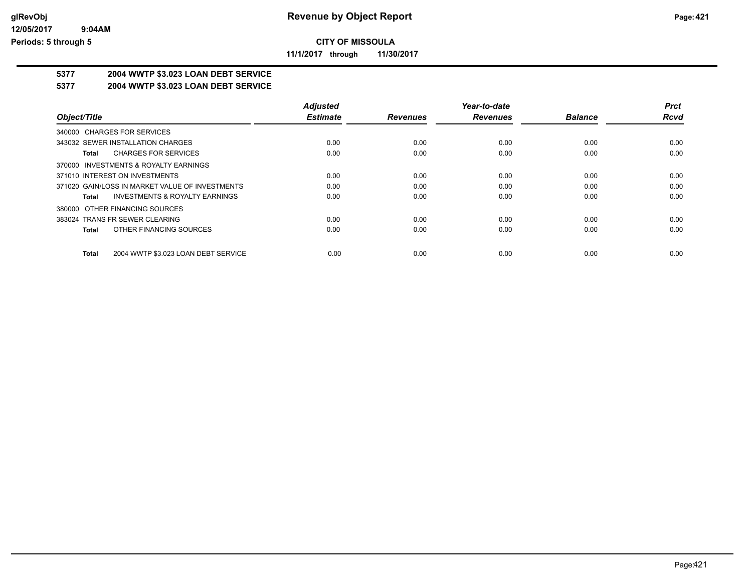**11/1/2017 through 11/30/2017**

# **5377 2004 WWTP \$3.023 LOAN DEBT SERVICE**

# **5377 2004 WWTP \$3.023 LOAN DEBT SERVICE**

|                                                     | <b>Adjusted</b> |                 | Year-to-date    |                | <b>Prct</b> |
|-----------------------------------------------------|-----------------|-----------------|-----------------|----------------|-------------|
| Object/Title                                        | <b>Estimate</b> | <b>Revenues</b> | <b>Revenues</b> | <b>Balance</b> | Rcvd        |
| 340000 CHARGES FOR SERVICES                         |                 |                 |                 |                |             |
| 343032 SEWER INSTALLATION CHARGES                   | 0.00            | 0.00            | 0.00            | 0.00           | 0.00        |
| <b>CHARGES FOR SERVICES</b><br>Total                | 0.00            | 0.00            | 0.00            | 0.00           | 0.00        |
| 370000 INVESTMENTS & ROYALTY EARNINGS               |                 |                 |                 |                |             |
| 371010 INTEREST ON INVESTMENTS                      | 0.00            | 0.00            | 0.00            | 0.00           | 0.00        |
| 371020 GAIN/LOSS IN MARKET VALUE OF INVESTMENTS     | 0.00            | 0.00            | 0.00            | 0.00           | 0.00        |
| <b>INVESTMENTS &amp; ROYALTY EARNINGS</b><br>Total  | 0.00            | 0.00            | 0.00            | 0.00           | 0.00        |
| OTHER FINANCING SOURCES<br>380000                   |                 |                 |                 |                |             |
| 383024 TRANS FR SEWER CLEARING                      | 0.00            | 0.00            | 0.00            | 0.00           | 0.00        |
| OTHER FINANCING SOURCES<br>Total                    | 0.00            | 0.00            | 0.00            | 0.00           | 0.00        |
| 2004 WWTP \$3.023 LOAN DEBT SERVICE<br><b>Total</b> | 0.00            | 0.00            | 0.00            | 0.00           | 0.00        |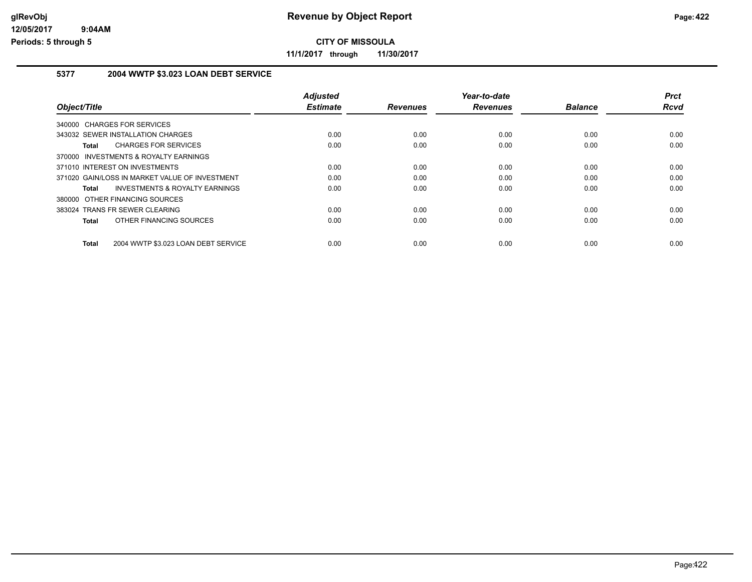**11/1/2017 through 11/30/2017**

#### **5377 2004 WWTP \$3.023 LOAN DEBT SERVICE**

|                                                     | <b>Adjusted</b> |                 | Year-to-date    |                | <b>Prct</b> |
|-----------------------------------------------------|-----------------|-----------------|-----------------|----------------|-------------|
| Object/Title                                        | <b>Estimate</b> | <b>Revenues</b> | <b>Revenues</b> | <b>Balance</b> | <b>Rcvd</b> |
| 340000 CHARGES FOR SERVICES                         |                 |                 |                 |                |             |
| 343032 SEWER INSTALLATION CHARGES                   | 0.00            | 0.00            | 0.00            | 0.00           | 0.00        |
| <b>CHARGES FOR SERVICES</b><br><b>Total</b>         | 0.00            | 0.00            | 0.00            | 0.00           | 0.00        |
| 370000 INVESTMENTS & ROYALTY EARNINGS               |                 |                 |                 |                |             |
| 371010 INTEREST ON INVESTMENTS                      | 0.00            | 0.00            | 0.00            | 0.00           | 0.00        |
| 371020 GAIN/LOSS IN MARKET VALUE OF INVESTMENT      | 0.00            | 0.00            | 0.00            | 0.00           | 0.00        |
| INVESTMENTS & ROYALTY EARNINGS<br><b>Total</b>      | 0.00            | 0.00            | 0.00            | 0.00           | 0.00        |
| 380000 OTHER FINANCING SOURCES                      |                 |                 |                 |                |             |
| 383024 TRANS FR SEWER CLEARING                      | 0.00            | 0.00            | 0.00            | 0.00           | 0.00        |
| OTHER FINANCING SOURCES<br><b>Total</b>             | 0.00            | 0.00            | 0.00            | 0.00           | 0.00        |
| 2004 WWTP \$3.023 LOAN DEBT SERVICE<br><b>Total</b> | 0.00            | 0.00            | 0.00            | 0.00           | 0.00        |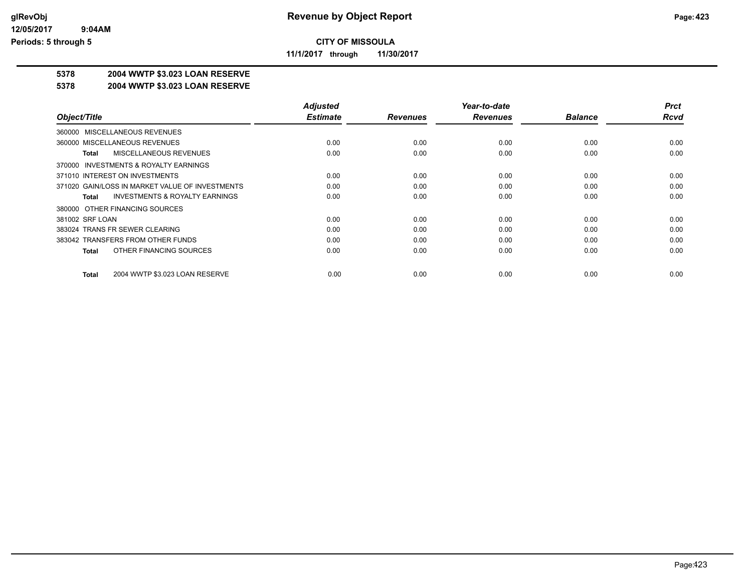**11/1/2017 through 11/30/2017**

## **5378 2004 WWTP \$3.023 LOAN RESERVE**

#### **5378 2004 WWTP \$3.023 LOAN RESERVE**

|                                                    | <b>Adjusted</b> |                 | Year-to-date    |                | <b>Prct</b> |
|----------------------------------------------------|-----------------|-----------------|-----------------|----------------|-------------|
| Object/Title                                       | <b>Estimate</b> | <b>Revenues</b> | <b>Revenues</b> | <b>Balance</b> | <b>Rcvd</b> |
| 360000 MISCELLANEOUS REVENUES                      |                 |                 |                 |                |             |
| 360000 MISCELLANEOUS REVENUES                      | 0.00            | 0.00            | 0.00            | 0.00           | 0.00        |
| MISCELLANEOUS REVENUES<br>Total                    | 0.00            | 0.00            | 0.00            | 0.00           | 0.00        |
| 370000 INVESTMENTS & ROYALTY EARNINGS              |                 |                 |                 |                |             |
| 371010 INTEREST ON INVESTMENTS                     | 0.00            | 0.00            | 0.00            | 0.00           | 0.00        |
| 371020 GAIN/LOSS IN MARKET VALUE OF INVESTMENTS    | 0.00            | 0.00            | 0.00            | 0.00           | 0.00        |
| <b>INVESTMENTS &amp; ROYALTY EARNINGS</b><br>Total | 0.00            | 0.00            | 0.00            | 0.00           | 0.00        |
| 380000 OTHER FINANCING SOURCES                     |                 |                 |                 |                |             |
| 381002 SRF LOAN                                    | 0.00            | 0.00            | 0.00            | 0.00           | 0.00        |
| 383024 TRANS FR SEWER CLEARING                     | 0.00            | 0.00            | 0.00            | 0.00           | 0.00        |
| 383042 TRANSFERS FROM OTHER FUNDS                  | 0.00            | 0.00            | 0.00            | 0.00           | 0.00        |
| OTHER FINANCING SOURCES<br>Total                   | 0.00            | 0.00            | 0.00            | 0.00           | 0.00        |
|                                                    |                 |                 |                 |                |             |
| 2004 WWTP \$3.023 LOAN RESERVE<br>Total            | 0.00            | 0.00            | 0.00            | 0.00           | 0.00        |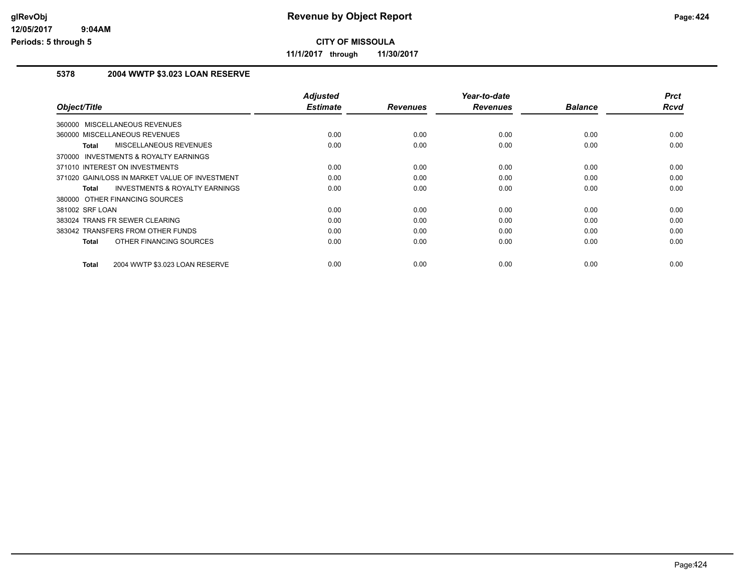**11/1/2017 through 11/30/2017**

#### **5378 2004 WWTP \$3.023 LOAN RESERVE**

| Object/Title                                              | <b>Adjusted</b><br><b>Estimate</b> | <b>Revenues</b> | Year-to-date<br><b>Revenues</b> | <b>Balance</b> | <b>Prct</b><br>Rcvd |
|-----------------------------------------------------------|------------------------------------|-----------------|---------------------------------|----------------|---------------------|
| MISCELLANEOUS REVENUES<br>360000                          |                                    |                 |                                 |                |                     |
| 360000 MISCELLANEOUS REVENUES                             | 0.00                               | 0.00            | 0.00                            | 0.00           | 0.00                |
| MISCELLANEOUS REVENUES<br><b>Total</b>                    | 0.00                               | 0.00            | 0.00                            | 0.00           | 0.00                |
| INVESTMENTS & ROYALTY EARNINGS<br>370000                  |                                    |                 |                                 |                |                     |
| 371010 INTEREST ON INVESTMENTS                            | 0.00                               | 0.00            | 0.00                            | 0.00           | 0.00                |
| 371020 GAIN/LOSS IN MARKET VALUE OF INVESTMENT            | 0.00                               | 0.00            | 0.00                            | 0.00           | 0.00                |
| <b>INVESTMENTS &amp; ROYALTY EARNINGS</b><br><b>Total</b> | 0.00                               | 0.00            | 0.00                            | 0.00           | 0.00                |
| 380000 OTHER FINANCING SOURCES                            |                                    |                 |                                 |                |                     |
| 381002 SRF LOAN                                           | 0.00                               | 0.00            | 0.00                            | 0.00           | 0.00                |
| 383024 TRANS FR SEWER CLEARING                            | 0.00                               | 0.00            | 0.00                            | 0.00           | 0.00                |
| 383042 TRANSFERS FROM OTHER FUNDS                         | 0.00                               | 0.00            | 0.00                            | 0.00           | 0.00                |
| OTHER FINANCING SOURCES<br><b>Total</b>                   | 0.00                               | 0.00            | 0.00                            | 0.00           | 0.00                |
|                                                           |                                    |                 |                                 |                |                     |
| 2004 WWTP \$3.023 LOAN RESERVE<br><b>Total</b>            | 0.00                               | 0.00            | 0.00                            | 0.00           | 0.00                |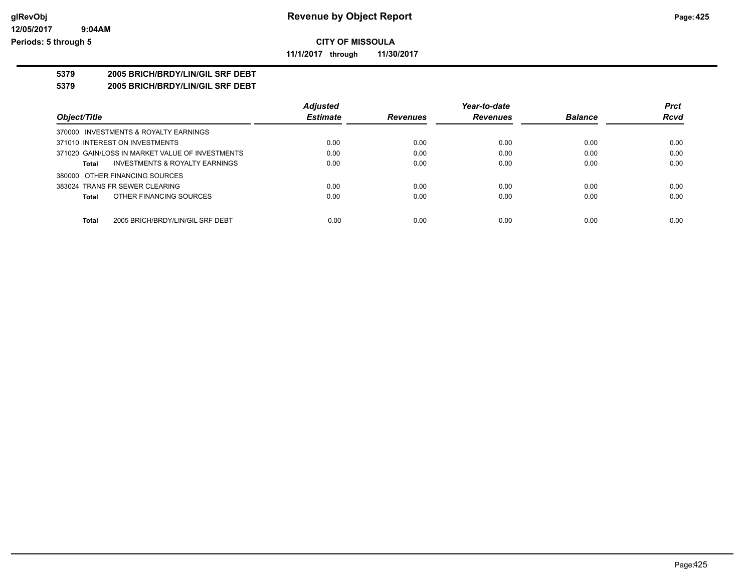**11/1/2017 through 11/30/2017**

# **5379 2005 BRICH/BRDY/LIN/GIL SRF DEBT**

#### **5379 2005 BRICH/BRDY/LIN/GIL SRF DEBT**

|                                                  | <b>Adjusted</b> |                 | Year-to-date    |                | <b>Prct</b> |
|--------------------------------------------------|-----------------|-----------------|-----------------|----------------|-------------|
| Object/Title                                     | <b>Estimate</b> | <b>Revenues</b> | <b>Revenues</b> | <b>Balance</b> | <b>Rcvd</b> |
| 370000 INVESTMENTS & ROYALTY EARNINGS            |                 |                 |                 |                |             |
| 371010 INTEREST ON INVESTMENTS                   | 0.00            | 0.00            | 0.00            | 0.00           | 0.00        |
| 371020 GAIN/LOSS IN MARKET VALUE OF INVESTMENTS  | 0.00            | 0.00            | 0.00            | 0.00           | 0.00        |
| INVESTMENTS & ROYALTY EARNINGS<br><b>Total</b>   | 0.00            | 0.00            | 0.00            | 0.00           | 0.00        |
| 380000 OTHER FINANCING SOURCES                   |                 |                 |                 |                |             |
| 383024 TRANS FR SEWER CLEARING                   | 0.00            | 0.00            | 0.00            | 0.00           | 0.00        |
| OTHER FINANCING SOURCES<br><b>Total</b>          | 0.00            | 0.00            | 0.00            | 0.00           | 0.00        |
|                                                  |                 |                 |                 |                |             |
| <b>Total</b><br>2005 BRICH/BRDY/LIN/GIL SRF DEBT | 0.00            | 0.00            | 0.00            | 0.00           | 0.00        |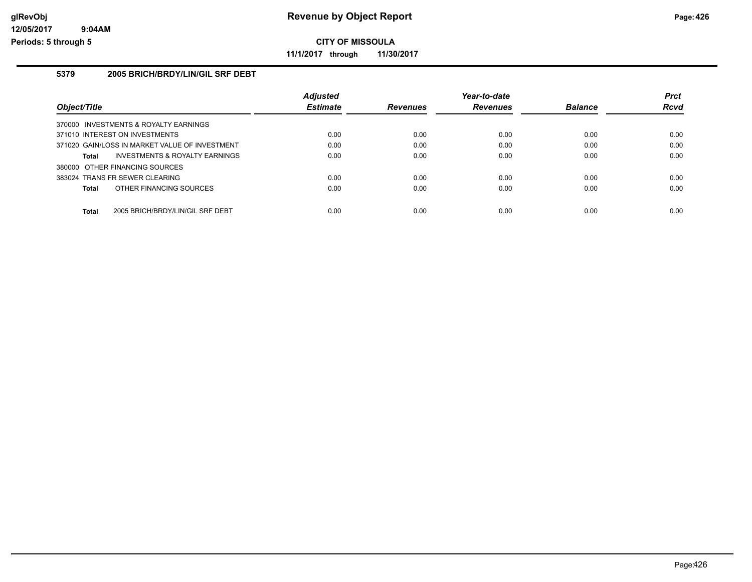**11/1/2017 through 11/30/2017**

#### **5379 2005 BRICH/BRDY/LIN/GIL SRF DEBT**

|                                                    | <b>Adiusted</b> |                 | Year-to-date    |                | <b>Prct</b> |
|----------------------------------------------------|-----------------|-----------------|-----------------|----------------|-------------|
| Object/Title                                       | <b>Estimate</b> | <b>Revenues</b> | <b>Revenues</b> | <b>Balance</b> | <b>Rcvd</b> |
| 370000 INVESTMENTS & ROYALTY EARNINGS              |                 |                 |                 |                |             |
| 371010 INTEREST ON INVESTMENTS                     | 0.00            | 0.00            | 0.00            | 0.00           | 0.00        |
| 371020 GAIN/LOSS IN MARKET VALUE OF INVESTMENT     | 0.00            | 0.00            | 0.00            | 0.00           | 0.00        |
| <b>INVESTMENTS &amp; ROYALTY EARNINGS</b><br>Total | 0.00            | 0.00            | 0.00            | 0.00           | 0.00        |
| 380000 OTHER FINANCING SOURCES                     |                 |                 |                 |                |             |
| 383024 TRANS FR SEWER CLEARING                     | 0.00            | 0.00            | 0.00            | 0.00           | 0.00        |
| OTHER FINANCING SOURCES<br>Total                   | 0.00            | 0.00            | 0.00            | 0.00           | 0.00        |
| <b>Total</b><br>2005 BRICH/BRDY/LIN/GIL SRF DEBT   | 0.00            | 0.00            | 0.00            | 0.00           | 0.00        |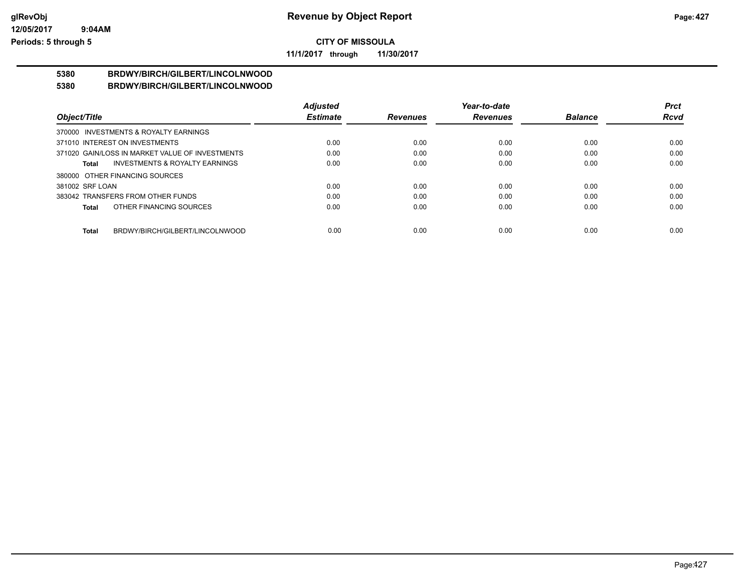**11/1/2017 through 11/30/2017**

#### **5380 BRDWY/BIRCH/GILBERT/LINCOLNWOOD 5380 BRDWY/BIRCH/GILBERT/LINCOLNWOOD**

|                                                    | <b>Adjusted</b> |                 | Year-to-date    |                | <b>Prct</b> |
|----------------------------------------------------|-----------------|-----------------|-----------------|----------------|-------------|
| Object/Title                                       | <b>Estimate</b> | <b>Revenues</b> | <b>Revenues</b> | <b>Balance</b> | <b>Rcvd</b> |
| 370000 INVESTMENTS & ROYALTY EARNINGS              |                 |                 |                 |                |             |
| 371010 INTEREST ON INVESTMENTS                     | 0.00            | 0.00            | 0.00            | 0.00           | 0.00        |
| 371020 GAIN/LOSS IN MARKET VALUE OF INVESTMENTS    | 0.00            | 0.00            | 0.00            | 0.00           | 0.00        |
| <b>INVESTMENTS &amp; ROYALTY EARNINGS</b><br>Total | 0.00            | 0.00            | 0.00            | 0.00           | 0.00        |
| 380000 OTHER FINANCING SOURCES                     |                 |                 |                 |                |             |
| 381002 SRF LOAN                                    | 0.00            | 0.00            | 0.00            | 0.00           | 0.00        |
| 383042 TRANSFERS FROM OTHER FUNDS                  | 0.00            | 0.00            | 0.00            | 0.00           | 0.00        |
| OTHER FINANCING SOURCES<br>Total                   | 0.00            | 0.00            | 0.00            | 0.00           | 0.00        |
|                                                    |                 |                 |                 |                |             |
| BRDWY/BIRCH/GILBERT/LINCOLNWOOD<br>Total           | 0.00            | 0.00            | 0.00            | 0.00           | 0.00        |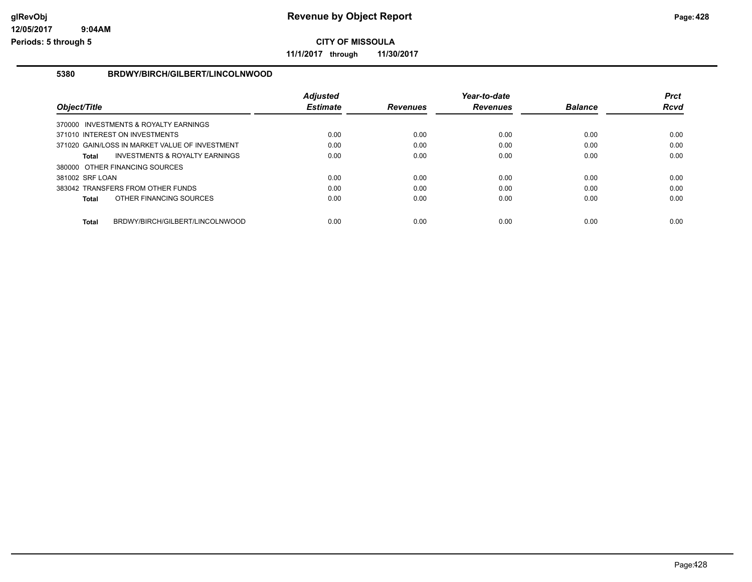**11/1/2017 through 11/30/2017**

#### **5380 BRDWY/BIRCH/GILBERT/LINCOLNWOOD**

|                 |                                                | <b>Adjusted</b> |                 | Year-to-date    |                | <b>Prct</b> |
|-----------------|------------------------------------------------|-----------------|-----------------|-----------------|----------------|-------------|
| Object/Title    |                                                | <b>Estimate</b> | <b>Revenues</b> | <b>Revenues</b> | <b>Balance</b> | Rcvd        |
|                 | 370000 INVESTMENTS & ROYALTY EARNINGS          |                 |                 |                 |                |             |
|                 | 371010 INTEREST ON INVESTMENTS                 | 0.00            | 0.00            | 0.00            | 0.00           | 0.00        |
|                 | 371020 GAIN/LOSS IN MARKET VALUE OF INVESTMENT | 0.00            | 0.00            | 0.00            | 0.00           | 0.00        |
| Total           | INVESTMENTS & ROYALTY EARNINGS                 | 0.00            | 0.00            | 0.00            | 0.00           | 0.00        |
|                 | 380000 OTHER FINANCING SOURCES                 |                 |                 |                 |                |             |
| 381002 SRF LOAN |                                                | 0.00            | 0.00            | 0.00            | 0.00           | 0.00        |
|                 | 383042 TRANSFERS FROM OTHER FUNDS              | 0.00            | 0.00            | 0.00            | 0.00           | 0.00        |
| <b>Total</b>    | OTHER FINANCING SOURCES                        | 0.00            | 0.00            | 0.00            | 0.00           | 0.00        |
| <b>Total</b>    | BRDWY/BIRCH/GILBERT/LINCOLNWOOD                | 0.00            | 0.00            | 0.00            | 0.00           | 0.00        |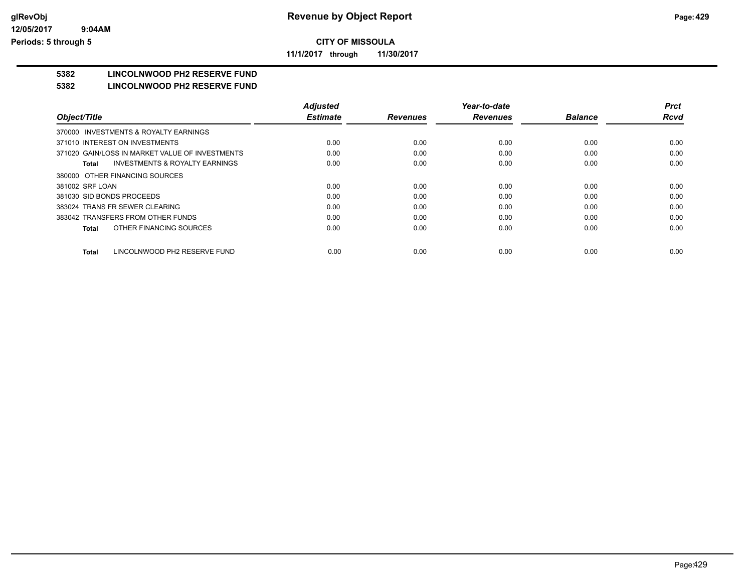**11/1/2017 through 11/30/2017**

# **5382 LINCOLNWOOD PH2 RESERVE FUND**

#### **5382 LINCOLNWOOD PH2 RESERVE FUND**

|                                                    | <b>Adjusted</b> |                 | Year-to-date    |                | <b>Prct</b> |
|----------------------------------------------------|-----------------|-----------------|-----------------|----------------|-------------|
| Object/Title                                       | <b>Estimate</b> | <b>Revenues</b> | <b>Revenues</b> | <b>Balance</b> | <b>Rcvd</b> |
| INVESTMENTS & ROYALTY EARNINGS<br>370000           |                 |                 |                 |                |             |
| 371010 INTEREST ON INVESTMENTS                     | 0.00            | 0.00            | 0.00            | 0.00           | 0.00        |
| 371020 GAIN/LOSS IN MARKET VALUE OF INVESTMENTS    | 0.00            | 0.00            | 0.00            | 0.00           | 0.00        |
| <b>INVESTMENTS &amp; ROYALTY EARNINGS</b><br>Total | 0.00            | 0.00            | 0.00            | 0.00           | 0.00        |
| 380000 OTHER FINANCING SOURCES                     |                 |                 |                 |                |             |
| 381002 SRF LOAN                                    | 0.00            | 0.00            | 0.00            | 0.00           | 0.00        |
| 381030 SID BONDS PROCEEDS                          | 0.00            | 0.00            | 0.00            | 0.00           | 0.00        |
| 383024 TRANS FR SEWER CLEARING                     | 0.00            | 0.00            | 0.00            | 0.00           | 0.00        |
| 383042 TRANSFERS FROM OTHER FUNDS                  | 0.00            | 0.00            | 0.00            | 0.00           | 0.00        |
| OTHER FINANCING SOURCES<br>Total                   | 0.00            | 0.00            | 0.00            | 0.00           | 0.00        |
| LINCOLNWOOD PH2 RESERVE FUND<br><b>Total</b>       | 0.00            | 0.00            | 0.00            | 0.00           | 0.00        |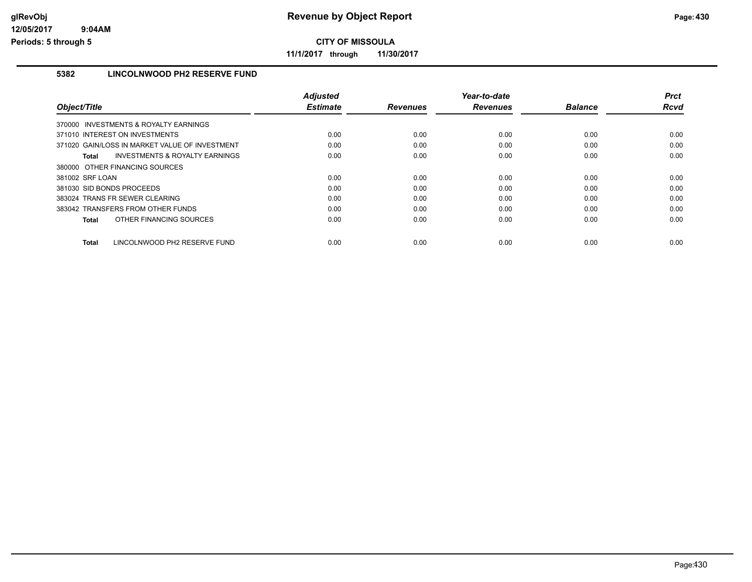**11/1/2017 through 11/30/2017**

### **5382 LINCOLNWOOD PH2 RESERVE FUND**

|                                                    | <b>Adjusted</b> |                 | Year-to-date    |                | <b>Prct</b> |
|----------------------------------------------------|-----------------|-----------------|-----------------|----------------|-------------|
| Object/Title                                       | <b>Estimate</b> | <b>Revenues</b> | <b>Revenues</b> | <b>Balance</b> | Rcvd        |
| 370000 INVESTMENTS & ROYALTY EARNINGS              |                 |                 |                 |                |             |
| 371010 INTEREST ON INVESTMENTS                     | 0.00            | 0.00            | 0.00            | 0.00           | 0.00        |
| 371020 GAIN/LOSS IN MARKET VALUE OF INVESTMENT     | 0.00            | 0.00            | 0.00            | 0.00           | 0.00        |
| <b>INVESTMENTS &amp; ROYALTY EARNINGS</b><br>Total | 0.00            | 0.00            | 0.00            | 0.00           | 0.00        |
| 380000 OTHER FINANCING SOURCES                     |                 |                 |                 |                |             |
| 381002 SRF LOAN                                    | 0.00            | 0.00            | 0.00            | 0.00           | 0.00        |
| 381030 SID BONDS PROCEEDS                          | 0.00            | 0.00            | 0.00            | 0.00           | 0.00        |
| 383024 TRANS FR SEWER CLEARING                     | 0.00            | 0.00            | 0.00            | 0.00           | 0.00        |
| 383042 TRANSFERS FROM OTHER FUNDS                  | 0.00            | 0.00            | 0.00            | 0.00           | 0.00        |
| OTHER FINANCING SOURCES<br><b>Total</b>            | 0.00            | 0.00            | 0.00            | 0.00           | 0.00        |
| <b>Total</b><br>LINCOLNWOOD PH2 RESERVE FUND       | 0.00            | 0.00            | 0.00            | 0.00           | 0.00        |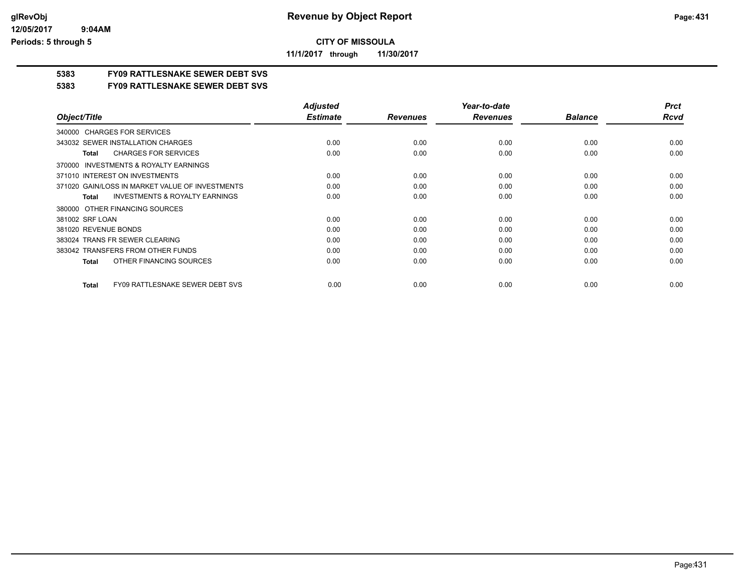**11/1/2017 through 11/30/2017**

# **5383 FY09 RATTLESNAKE SEWER DEBT SVS**

#### **5383 FY09 RATTLESNAKE SEWER DEBT SVS**

|                                                        | <b>Adjusted</b> |                 | Year-to-date    |                | <b>Prct</b> |
|--------------------------------------------------------|-----------------|-----------------|-----------------|----------------|-------------|
| Object/Title                                           | <b>Estimate</b> | <b>Revenues</b> | <b>Revenues</b> | <b>Balance</b> | <b>Rcvd</b> |
| 340000 CHARGES FOR SERVICES                            |                 |                 |                 |                |             |
| 343032 SEWER INSTALLATION CHARGES                      | 0.00            | 0.00            | 0.00            | 0.00           | 0.00        |
| <b>CHARGES FOR SERVICES</b><br><b>Total</b>            | 0.00            | 0.00            | 0.00            | 0.00           | 0.00        |
| <b>INVESTMENTS &amp; ROYALTY EARNINGS</b><br>370000    |                 |                 |                 |                |             |
| 371010 INTEREST ON INVESTMENTS                         | 0.00            | 0.00            | 0.00            | 0.00           | 0.00        |
| 371020 GAIN/LOSS IN MARKET VALUE OF INVESTMENTS        | 0.00            | 0.00            | 0.00            | 0.00           | 0.00        |
| <b>INVESTMENTS &amp; ROYALTY EARNINGS</b><br>Total     | 0.00            | 0.00            | 0.00            | 0.00           | 0.00        |
| OTHER FINANCING SOURCES<br>380000                      |                 |                 |                 |                |             |
| 381002 SRF LOAN                                        | 0.00            | 0.00            | 0.00            | 0.00           | 0.00        |
| 381020 REVENUE BONDS                                   | 0.00            | 0.00            | 0.00            | 0.00           | 0.00        |
| 383024 TRANS FR SEWER CLEARING                         | 0.00            | 0.00            | 0.00            | 0.00           | 0.00        |
| 383042 TRANSFERS FROM OTHER FUNDS                      | 0.00            | 0.00            | 0.00            | 0.00           | 0.00        |
| OTHER FINANCING SOURCES<br>Total                       | 0.00            | 0.00            | 0.00            | 0.00           | 0.00        |
| <b>FY09 RATTLESNAKE SEWER DEBT SVS</b><br><b>Total</b> | 0.00            | 0.00            | 0.00            | 0.00           | 0.00        |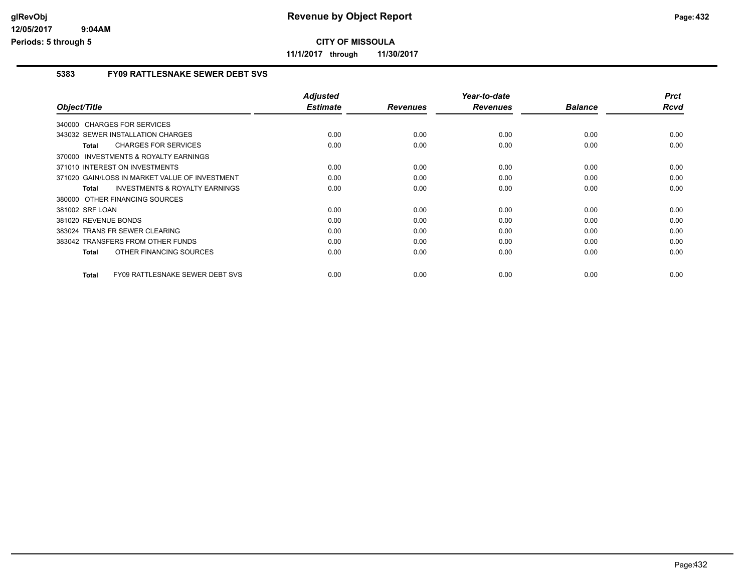**11/1/2017 through 11/30/2017**

#### **5383 FY09 RATTLESNAKE SEWER DEBT SVS**

| Object/Title                                              | <b>Adjusted</b><br><b>Estimate</b> | <b>Revenues</b> | Year-to-date<br><b>Revenues</b> | <b>Balance</b> | <b>Prct</b><br><b>Rcvd</b> |
|-----------------------------------------------------------|------------------------------------|-----------------|---------------------------------|----------------|----------------------------|
|                                                           |                                    |                 |                                 |                |                            |
| 340000 CHARGES FOR SERVICES                               |                                    |                 |                                 |                |                            |
| 343032 SEWER INSTALLATION CHARGES                         | 0.00                               | 0.00            | 0.00                            | 0.00           | 0.00                       |
| <b>CHARGES FOR SERVICES</b><br>Total                      | 0.00                               | 0.00            | 0.00                            | 0.00           | 0.00                       |
| INVESTMENTS & ROYALTY EARNINGS<br>370000                  |                                    |                 |                                 |                |                            |
| 371010 INTEREST ON INVESTMENTS                            | 0.00                               | 0.00            | 0.00                            | 0.00           | 0.00                       |
| 371020 GAIN/LOSS IN MARKET VALUE OF INVESTMENT            | 0.00                               | 0.00            | 0.00                            | 0.00           | 0.00                       |
| <b>INVESTMENTS &amp; ROYALTY EARNINGS</b><br><b>Total</b> | 0.00                               | 0.00            | 0.00                            | 0.00           | 0.00                       |
| 380000 OTHER FINANCING SOURCES                            |                                    |                 |                                 |                |                            |
| 381002 SRF LOAN                                           | 0.00                               | 0.00            | 0.00                            | 0.00           | 0.00                       |
| 381020 REVENUE BONDS                                      | 0.00                               | 0.00            | 0.00                            | 0.00           | 0.00                       |
| 383024 TRANS FR SEWER CLEARING                            | 0.00                               | 0.00            | 0.00                            | 0.00           | 0.00                       |
| 383042 TRANSFERS FROM OTHER FUNDS                         | 0.00                               | 0.00            | 0.00                            | 0.00           | 0.00                       |
| OTHER FINANCING SOURCES<br><b>Total</b>                   | 0.00                               | 0.00            | 0.00                            | 0.00           | 0.00                       |
|                                                           |                                    |                 |                                 |                |                            |
| FY09 RATTLESNAKE SEWER DEBT SVS<br><b>Total</b>           | 0.00                               | 0.00            | 0.00                            | 0.00           | 0.00                       |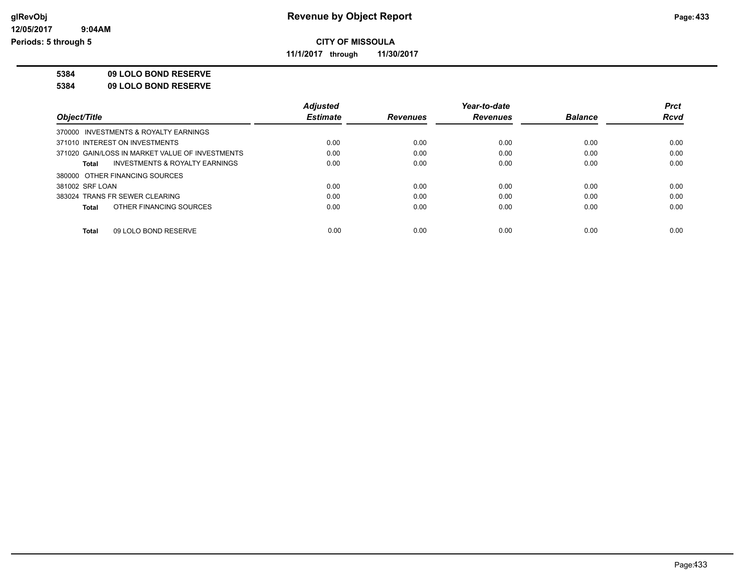**11/1/2017 through 11/30/2017**

#### **5384 09 LOLO BOND RESERVE**

**5384 09 LOLO BOND RESERVE**

|                                                    |  | <b>Adjusted</b> |                 | Year-to-date    |                | <b>Prct</b> |
|----------------------------------------------------|--|-----------------|-----------------|-----------------|----------------|-------------|
| Object/Title                                       |  | <b>Estimate</b> | <b>Revenues</b> | <b>Revenues</b> | <b>Balance</b> | <b>Rcvd</b> |
| 370000 INVESTMENTS & ROYALTY EARNINGS              |  |                 |                 |                 |                |             |
| 371010 INTEREST ON INVESTMENTS                     |  | 0.00            | 0.00            | 0.00            | 0.00           | 0.00        |
| 371020 GAIN/LOSS IN MARKET VALUE OF INVESTMENTS    |  | 0.00            | 0.00            | 0.00            | 0.00           | 0.00        |
| <b>INVESTMENTS &amp; ROYALTY EARNINGS</b><br>Total |  | 0.00            | 0.00            | 0.00            | 0.00           | 0.00        |
| 380000 OTHER FINANCING SOURCES                     |  |                 |                 |                 |                |             |
| 381002 SRF LOAN                                    |  | 0.00            | 0.00            | 0.00            | 0.00           | 0.00        |
| 383024 TRANS FR SEWER CLEARING                     |  | 0.00            | 0.00            | 0.00            | 0.00           | 0.00        |
| OTHER FINANCING SOURCES<br>Total                   |  | 0.00            | 0.00            | 0.00            | 0.00           | 0.00        |
| 09 LOLO BOND RESERVE<br>Total                      |  | 0.00            | 0.00            | 0.00            | 0.00           | 0.00        |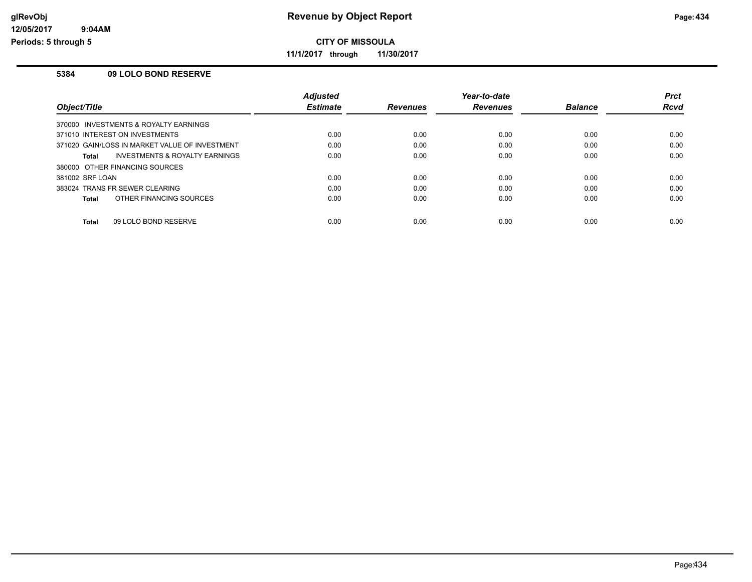**11/1/2017 through 11/30/2017**

#### **5384 09 LOLO BOND RESERVE**

|                                                    | <b>Adjusted</b> |                 | Year-to-date    |                | <b>Prct</b> |
|----------------------------------------------------|-----------------|-----------------|-----------------|----------------|-------------|
| Object/Title                                       | <b>Estimate</b> | <b>Revenues</b> | <b>Revenues</b> | <b>Balance</b> | <b>Rcvd</b> |
| 370000 INVESTMENTS & ROYALTY EARNINGS              |                 |                 |                 |                |             |
| 371010 INTEREST ON INVESTMENTS                     | 0.00            | 0.00            | 0.00            | 0.00           | 0.00        |
| 371020 GAIN/LOSS IN MARKET VALUE OF INVESTMENT     | 0.00            | 0.00            | 0.00            | 0.00           | 0.00        |
| <b>INVESTMENTS &amp; ROYALTY EARNINGS</b><br>Total | 0.00            | 0.00            | 0.00            | 0.00           | 0.00        |
| 380000 OTHER FINANCING SOURCES                     |                 |                 |                 |                |             |
| 381002 SRF LOAN                                    | 0.00            | 0.00            | 0.00            | 0.00           | 0.00        |
| 383024 TRANS FR SEWER CLEARING                     | 0.00            | 0.00            | 0.00            | 0.00           | 0.00        |
| OTHER FINANCING SOURCES<br>Total                   | 0.00            | 0.00            | 0.00            | 0.00           | 0.00        |
| 09 LOLO BOND RESERVE<br><b>Total</b>               | 0.00            | 0.00            | 0.00            | 0.00           | 0.00        |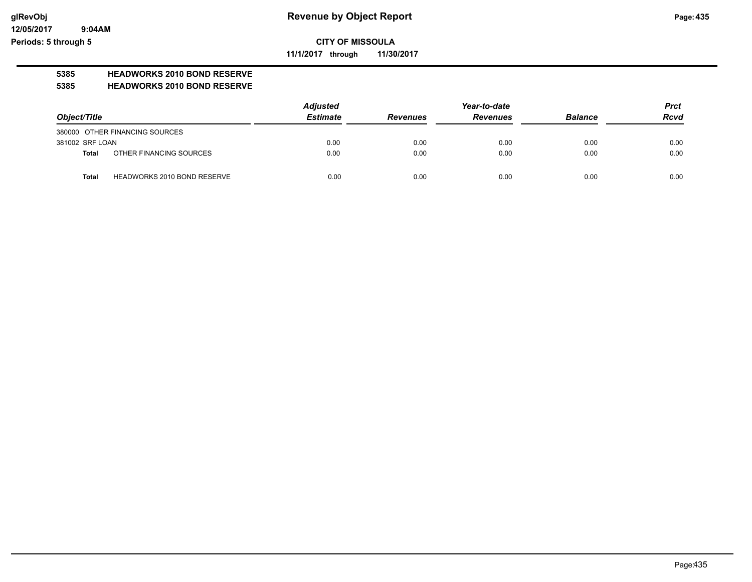**11/1/2017 through 11/30/2017**

# **5385 HEADWORKS 2010 BOND RESERVE**

#### **5385 HEADWORKS 2010 BOND RESERVE**

|                 |                                | <b>Adjusted</b> |                 | Year-to-date    |                | <b>Prct</b> |
|-----------------|--------------------------------|-----------------|-----------------|-----------------|----------------|-------------|
| Object/Title    |                                | <b>Estimate</b> | <b>Revenues</b> | <b>Revenues</b> | <b>Balance</b> | <b>Rcvd</b> |
|                 | 380000 OTHER FINANCING SOURCES |                 |                 |                 |                |             |
| 381002 SRF LOAN |                                | 0.00            | 0.00            | 0.00            | 0.00           | 0.00        |
| <b>Total</b>    | OTHER FINANCING SOURCES        | 0.00            | 0.00            | 0.00            | 0.00           | 0.00        |
| <b>Total</b>    | HEADWORKS 2010 BOND RESERVE    | 0.00            | 0.00            | 0.00            | 0.00           | 0.00        |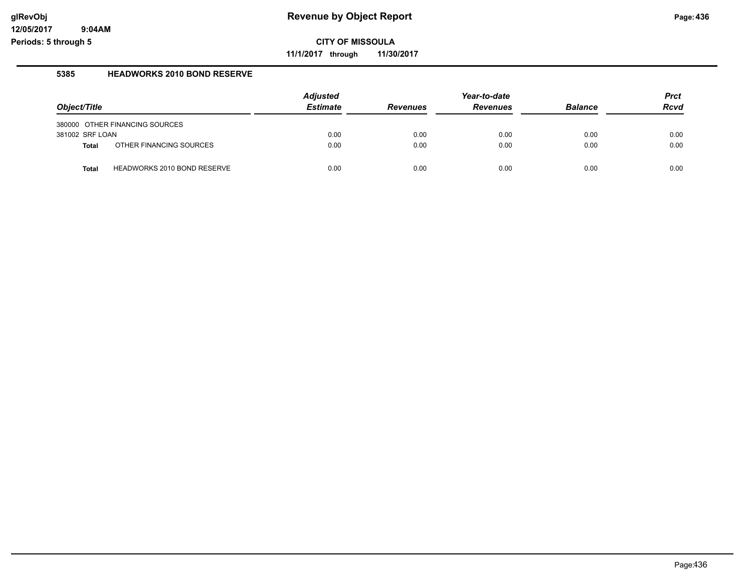**11/1/2017 through 11/30/2017**

#### **5385 HEADWORKS 2010 BOND RESERVE**

| Object/Title    |                                | <b>Adjusted</b><br><b>Estimate</b> | <b>Revenues</b> | Year-to-date<br><b>Revenues</b> | <b>Balance</b> | <b>Prct</b><br>Rcvd |
|-----------------|--------------------------------|------------------------------------|-----------------|---------------------------------|----------------|---------------------|
|                 | 380000 OTHER FINANCING SOURCES |                                    |                 |                                 |                |                     |
| 381002 SRF LOAN |                                | 0.00                               | 0.00            | 0.00                            | 0.00           | 0.00                |
| Total           | OTHER FINANCING SOURCES        | 0.00                               | 0.00            | 0.00                            | 0.00           | 0.00                |
| <b>Total</b>    | HEADWORKS 2010 BOND RESERVE    | 0.00                               | 0.00            | 0.00                            | 0.00           | 0.00                |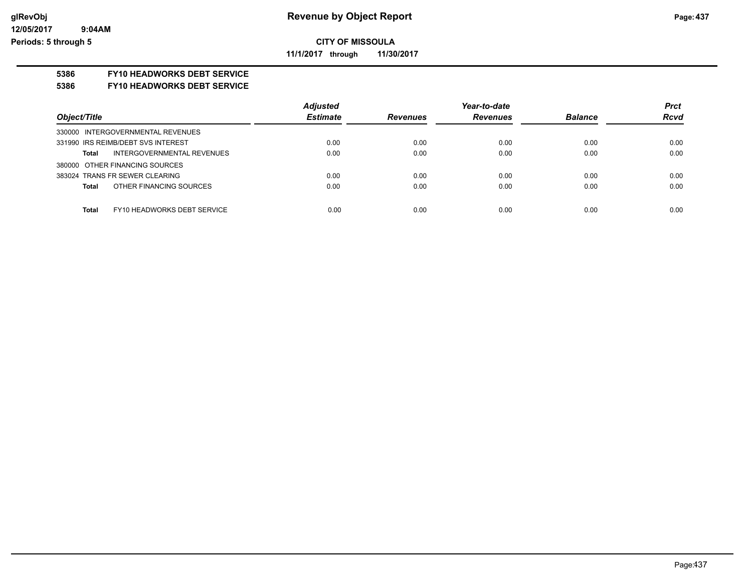**11/1/2017 through 11/30/2017**

#### **5386 FY10 HEADWORKS DEBT SERVICE**

#### **5386 FY10 HEADWORKS DEBT SERVICE**

|                                             | <b>Adjusted</b> |                 | Year-to-date    |                | <b>Prct</b> |
|---------------------------------------------|-----------------|-----------------|-----------------|----------------|-------------|
| Object/Title                                | <b>Estimate</b> | <b>Revenues</b> | <b>Revenues</b> | <b>Balance</b> | <b>Rcvd</b> |
| 330000 INTERGOVERNMENTAL REVENUES           |                 |                 |                 |                |             |
| 331990 IRS REIMB/DEBT SVS INTEREST          | 0.00            | 0.00            | 0.00            | 0.00           | 0.00        |
| INTERGOVERNMENTAL REVENUES<br><b>Total</b>  | 0.00            | 0.00            | 0.00            | 0.00           | 0.00        |
| 380000 OTHER FINANCING SOURCES              |                 |                 |                 |                |             |
| 383024 TRANS FR SEWER CLEARING              | 0.00            | 0.00            | 0.00            | 0.00           | 0.00        |
| OTHER FINANCING SOURCES<br><b>Total</b>     | 0.00            | 0.00            | 0.00            | 0.00           | 0.00        |
|                                             |                 |                 |                 |                |             |
| FY10 HEADWORKS DEBT SERVICE<br><b>Total</b> | 0.00            | 0.00            | 0.00            | 0.00           | 0.00        |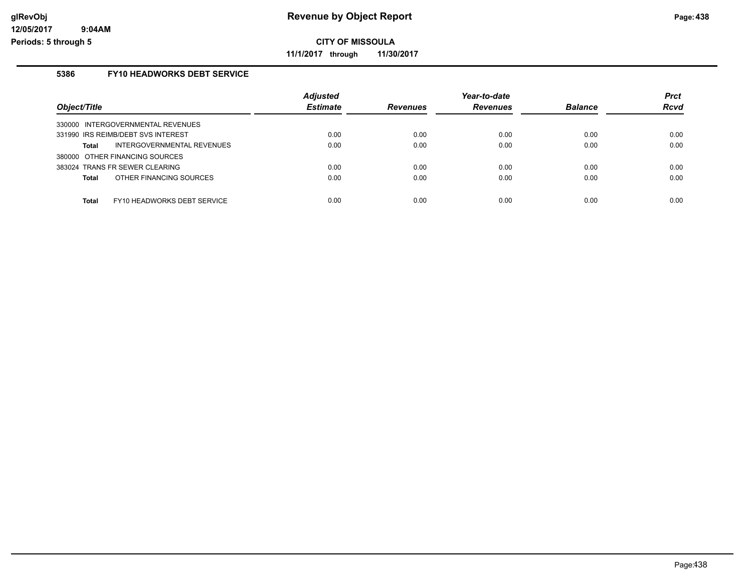**11/1/2017 through 11/30/2017**

#### **5386 FY10 HEADWORKS DEBT SERVICE**

| Object/Title                                | <b>Adjusted</b><br><b>Estimate</b> | <b>Revenues</b> | Year-to-date<br><b>Revenues</b> | <b>Balance</b> | <b>Prct</b><br><b>Rcvd</b> |
|---------------------------------------------|------------------------------------|-----------------|---------------------------------|----------------|----------------------------|
| 330000 INTERGOVERNMENTAL REVENUES           |                                    |                 |                                 |                |                            |
| 331990 IRS REIMB/DEBT SVS INTEREST          | 0.00                               | 0.00            | 0.00                            | 0.00           | 0.00                       |
| INTERGOVERNMENTAL REVENUES<br>Total         | 0.00                               | 0.00            | 0.00                            | 0.00           | 0.00                       |
| 380000 OTHER FINANCING SOURCES              |                                    |                 |                                 |                |                            |
| 383024 TRANS FR SEWER CLEARING              | 0.00                               | 0.00            | 0.00                            | 0.00           | 0.00                       |
| OTHER FINANCING SOURCES<br><b>Total</b>     | 0.00                               | 0.00            | 0.00                            | 0.00           | 0.00                       |
|                                             |                                    |                 |                                 |                |                            |
| <b>FY10 HEADWORKS DEBT SERVICE</b><br>Total | 0.00                               | 0.00            | 0.00                            | 0.00           | 0.00                       |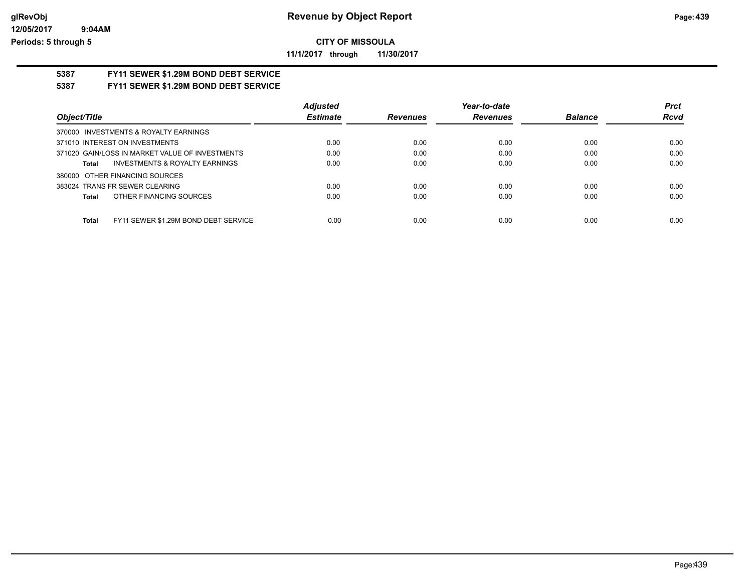**11/1/2017 through 11/30/2017**

# **5387 FY11 SEWER \$1.29M BOND DEBT SERVICE**

# **5387 FY11 SEWER \$1.29M BOND DEBT SERVICE**

|                                                 | <b>Adjusted</b> |                 | Year-to-date    |                | <b>Prct</b> |
|-------------------------------------------------|-----------------|-----------------|-----------------|----------------|-------------|
| Object/Title                                    | <b>Estimate</b> | <b>Revenues</b> | <b>Revenues</b> | <b>Balance</b> | <b>Rcvd</b> |
| 370000 INVESTMENTS & ROYALTY EARNINGS           |                 |                 |                 |                |             |
| 371010 INTEREST ON INVESTMENTS                  | 0.00            | 0.00            | 0.00            | 0.00           | 0.00        |
| 371020 GAIN/LOSS IN MARKET VALUE OF INVESTMENTS | 0.00            | 0.00            | 0.00            | 0.00           | 0.00        |
| INVESTMENTS & ROYALTY EARNINGS<br>Total         | 0.00            | 0.00            | 0.00            | 0.00           | 0.00        |
| 380000 OTHER FINANCING SOURCES                  |                 |                 |                 |                |             |
| 383024 TRANS FR SEWER CLEARING                  | 0.00            | 0.00            | 0.00            | 0.00           | 0.00        |
| OTHER FINANCING SOURCES<br>Total                | 0.00            | 0.00            | 0.00            | 0.00           | 0.00        |
|                                                 |                 |                 |                 |                |             |
| FY11 SEWER \$1.29M BOND DEBT SERVICE<br>Total   | 0.00            | 0.00            | 0.00            | 0.00           | 0.00        |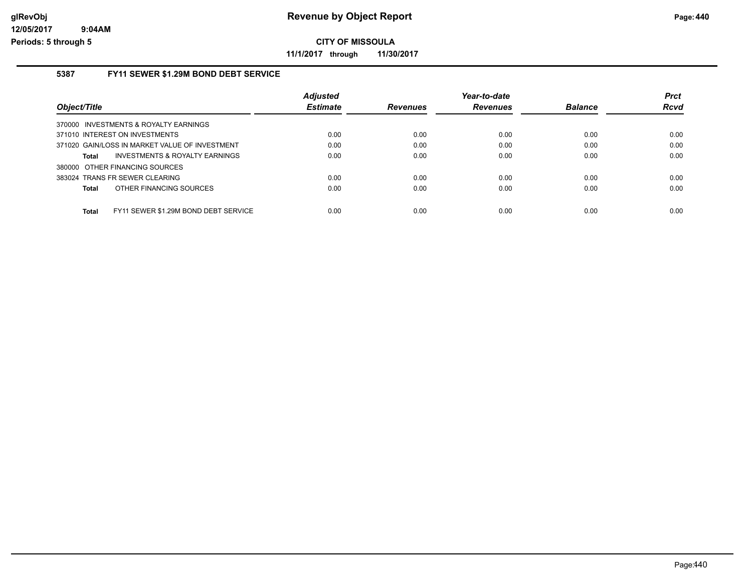**11/1/2017 through 11/30/2017**

#### **5387 FY11 SEWER \$1.29M BOND DEBT SERVICE**

|                                                      | <b>Adjusted</b> |                 | Year-to-date    |                | <b>Prct</b> |
|------------------------------------------------------|-----------------|-----------------|-----------------|----------------|-------------|
| Object/Title                                         | <b>Estimate</b> | <b>Revenues</b> | <b>Revenues</b> | <b>Balance</b> | <b>Rcvd</b> |
| 370000 INVESTMENTS & ROYALTY EARNINGS                |                 |                 |                 |                |             |
| 371010 INTEREST ON INVESTMENTS                       | 0.00            | 0.00            | 0.00            | 0.00           | 0.00        |
| 371020 GAIN/LOSS IN MARKET VALUE OF INVESTMENT       | 0.00            | 0.00            | 0.00            | 0.00           | 0.00        |
| INVESTMENTS & ROYALTY EARNINGS<br>Total              | 0.00            | 0.00            | 0.00            | 0.00           | 0.00        |
| 380000 OTHER FINANCING SOURCES                       |                 |                 |                 |                |             |
| 383024 TRANS FR SEWER CLEARING                       | 0.00            | 0.00            | 0.00            | 0.00           | 0.00        |
| OTHER FINANCING SOURCES<br>Total                     | 0.00            | 0.00            | 0.00            | 0.00           | 0.00        |
|                                                      |                 |                 |                 |                |             |
| <b>Total</b><br>FY11 SEWER \$1.29M BOND DEBT SERVICE | 0.00            | 0.00            | 0.00            | 0.00           | 0.00        |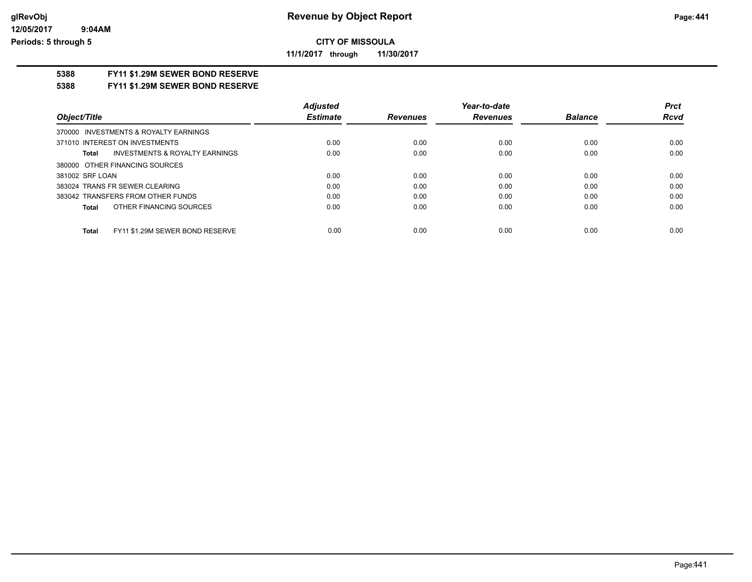**11/1/2017 through 11/30/2017**

#### **5388 FY11 \$1.29M SEWER BOND RESERVE**

#### **5388 FY11 \$1.29M SEWER BOND RESERVE**

|                                                    | <b>Adjusted</b> |                 | Year-to-date    |                | <b>Prct</b> |
|----------------------------------------------------|-----------------|-----------------|-----------------|----------------|-------------|
| Object/Title                                       | <b>Estimate</b> | <b>Revenues</b> | <b>Revenues</b> | <b>Balance</b> | <b>Rcvd</b> |
| 370000 INVESTMENTS & ROYALTY EARNINGS              |                 |                 |                 |                |             |
| 371010 INTEREST ON INVESTMENTS                     | 0.00            | 0.00            | 0.00            | 0.00           | 0.00        |
| <b>INVESTMENTS &amp; ROYALTY EARNINGS</b><br>Total | 0.00            | 0.00            | 0.00            | 0.00           | 0.00        |
| 380000 OTHER FINANCING SOURCES                     |                 |                 |                 |                |             |
| 381002 SRF LOAN                                    | 0.00            | 0.00            | 0.00            | 0.00           | 0.00        |
| 383024 TRANS FR SEWER CLEARING                     | 0.00            | 0.00            | 0.00            | 0.00           | 0.00        |
| 383042 TRANSFERS FROM OTHER FUNDS                  | 0.00            | 0.00            | 0.00            | 0.00           | 0.00        |
| OTHER FINANCING SOURCES<br>Total                   | 0.00            | 0.00            | 0.00            | 0.00           | 0.00        |
| FY11 \$1.29M SEWER BOND RESERVE<br><b>Total</b>    | 0.00            | 0.00            | 0.00            | 0.00           | 0.00        |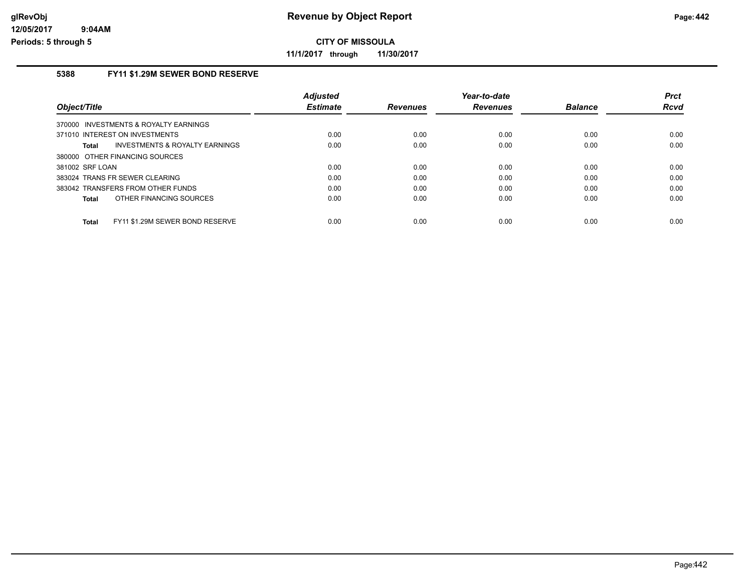**11/1/2017 through 11/30/2017**

#### **5388 FY11 \$1.29M SEWER BOND RESERVE**

|                                                 | <b>Adjusted</b> |                 | Year-to-date    |                | <b>Prct</b> |
|-------------------------------------------------|-----------------|-----------------|-----------------|----------------|-------------|
| Object/Title                                    | <b>Estimate</b> | <b>Revenues</b> | <b>Revenues</b> | <b>Balance</b> | <b>Rcvd</b> |
| 370000 INVESTMENTS & ROYALTY EARNINGS           |                 |                 |                 |                |             |
| 371010 INTEREST ON INVESTMENTS                  | 0.00            | 0.00            | 0.00            | 0.00           | 0.00        |
| INVESTMENTS & ROYALTY EARNINGS<br><b>Total</b>  | 0.00            | 0.00            | 0.00            | 0.00           | 0.00        |
| 380000 OTHER FINANCING SOURCES                  |                 |                 |                 |                |             |
| 381002 SRF LOAN                                 | 0.00            | 0.00            | 0.00            | 0.00           | 0.00        |
| 383024 TRANS FR SEWER CLEARING                  | 0.00            | 0.00            | 0.00            | 0.00           | 0.00        |
| 383042 TRANSFERS FROM OTHER FUNDS               | 0.00            | 0.00            | 0.00            | 0.00           | 0.00        |
| OTHER FINANCING SOURCES<br><b>Total</b>         | 0.00            | 0.00            | 0.00            | 0.00           | 0.00        |
| FY11 \$1.29M SEWER BOND RESERVE<br><b>Total</b> | 0.00            | 0.00            | 0.00            | 0.00           | 0.00        |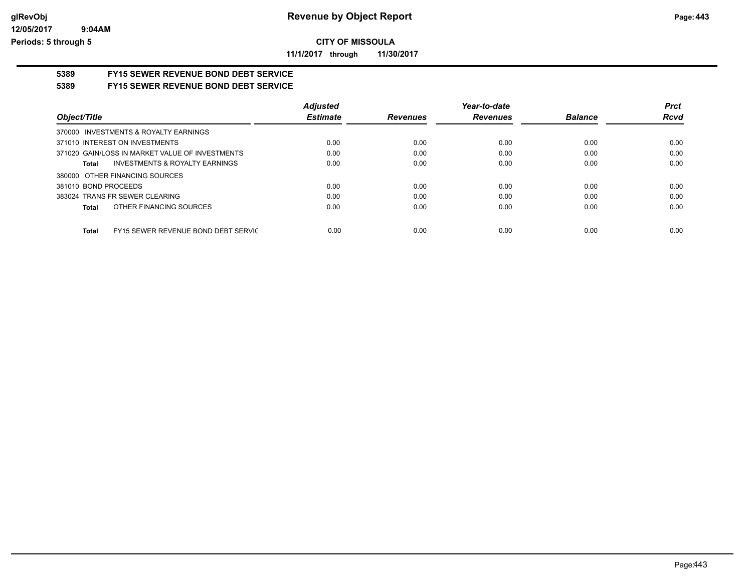**11/1/2017 through 11/30/2017**

#### **5389 FY15 SEWER REVENUE BOND DEBT SERVICE 5389 FY15 SEWER REVENUE BOND DEBT SERVICE**

|                                                     | <b>Adjusted</b> |                 | Year-to-date    |                | <b>Prct</b> |
|-----------------------------------------------------|-----------------|-----------------|-----------------|----------------|-------------|
| Object/Title                                        | <b>Estimate</b> | <b>Revenues</b> | <b>Revenues</b> | <b>Balance</b> | <b>Rcvd</b> |
| 370000 INVESTMENTS & ROYALTY EARNINGS               |                 |                 |                 |                |             |
| 371010 INTEREST ON INVESTMENTS                      | 0.00            | 0.00            | 0.00            | 0.00           | 0.00        |
| 371020 GAIN/LOSS IN MARKET VALUE OF INVESTMENTS     | 0.00            | 0.00            | 0.00            | 0.00           | 0.00        |
| <b>INVESTMENTS &amp; ROYALTY EARNINGS</b><br>Total  | 0.00            | 0.00            | 0.00            | 0.00           | 0.00        |
| 380000 OTHER FINANCING SOURCES                      |                 |                 |                 |                |             |
| 381010 BOND PROCEEDS                                | 0.00            | 0.00            | 0.00            | 0.00           | 0.00        |
| 383024 TRANS FR SEWER CLEARING                      | 0.00            | 0.00            | 0.00            | 0.00           | 0.00        |
| OTHER FINANCING SOURCES<br>Total                    | 0.00            | 0.00            | 0.00            | 0.00           | 0.00        |
| FY15 SEWER REVENUE BOND DEBT SERVIC<br><b>Total</b> | 0.00            | 0.00            | 0.00            | 0.00           | 0.00        |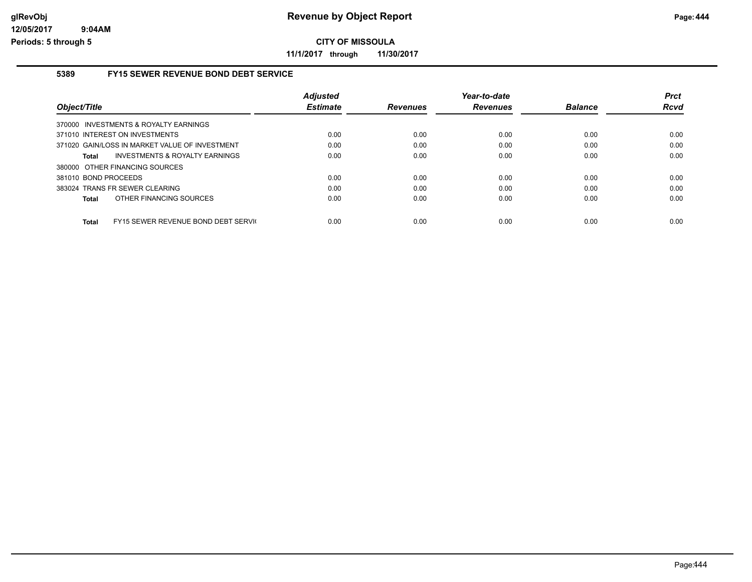**11/1/2017 through 11/30/2017**

#### **5389 FY15 SEWER REVENUE BOND DEBT SERVICE**

|                                                      | <b>Adjusted</b> |                 | Year-to-date    |                | <b>Prct</b> |
|------------------------------------------------------|-----------------|-----------------|-----------------|----------------|-------------|
| Object/Title                                         | <b>Estimate</b> | <b>Revenues</b> | <b>Revenues</b> | <b>Balance</b> | Rcvd        |
| 370000 INVESTMENTS & ROYALTY EARNINGS                |                 |                 |                 |                |             |
| 371010 INTEREST ON INVESTMENTS                       | 0.00            | 0.00            | 0.00            | 0.00           | 0.00        |
| 371020 GAIN/LOSS IN MARKET VALUE OF INVESTMENT       | 0.00            | 0.00            | 0.00            | 0.00           | 0.00        |
| INVESTMENTS & ROYALTY EARNINGS<br>Total              | 0.00            | 0.00            | 0.00            | 0.00           | 0.00        |
| 380000 OTHER FINANCING SOURCES                       |                 |                 |                 |                |             |
| 381010 BOND PROCEEDS                                 | 0.00            | 0.00            | 0.00            | 0.00           | 0.00        |
| 383024 TRANS FR SEWER CLEARING                       | 0.00            | 0.00            | 0.00            | 0.00           | 0.00        |
| OTHER FINANCING SOURCES<br>Total                     | 0.00            | 0.00            | 0.00            | 0.00           | 0.00        |
|                                                      |                 |                 |                 |                |             |
| <b>FY15 SEWER REVENUE BOND DEBT SERVICE</b><br>Total | 0.00            | 0.00            | 0.00            | 0.00           | 0.00        |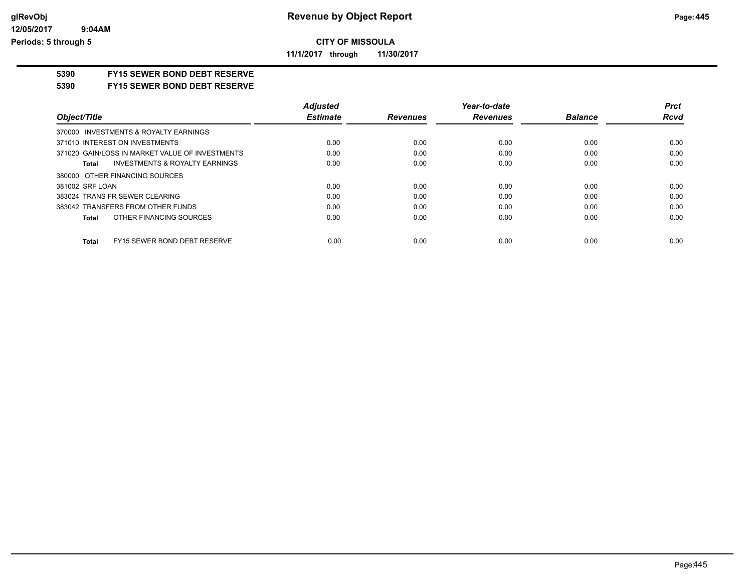**11/1/2017 through 11/30/2017**

### **5390 FY15 SEWER BOND DEBT RESERVE**

#### **5390 FY15 SEWER BOND DEBT RESERVE**

|                                                    | <b>Adjusted</b> |                 | Year-to-date    |                | <b>Prct</b> |
|----------------------------------------------------|-----------------|-----------------|-----------------|----------------|-------------|
| Object/Title                                       | <b>Estimate</b> | <b>Revenues</b> | <b>Revenues</b> | <b>Balance</b> | <b>Rcvd</b> |
| 370000 INVESTMENTS & ROYALTY EARNINGS              |                 |                 |                 |                |             |
| 371010 INTEREST ON INVESTMENTS                     | 0.00            | 0.00            | 0.00            | 0.00           | 0.00        |
| 371020 GAIN/LOSS IN MARKET VALUE OF INVESTMENTS    | 0.00            | 0.00            | 0.00            | 0.00           | 0.00        |
| <b>INVESTMENTS &amp; ROYALTY EARNINGS</b><br>Total | 0.00            | 0.00            | 0.00            | 0.00           | 0.00        |
| 380000 OTHER FINANCING SOURCES                     |                 |                 |                 |                |             |
| 381002 SRF LOAN                                    | 0.00            | 0.00            | 0.00            | 0.00           | 0.00        |
| 383024 TRANS FR SEWER CLEARING                     | 0.00            | 0.00            | 0.00            | 0.00           | 0.00        |
| 383042 TRANSFERS FROM OTHER FUNDS                  | 0.00            | 0.00            | 0.00            | 0.00           | 0.00        |
| OTHER FINANCING SOURCES<br>Total                   | 0.00            | 0.00            | 0.00            | 0.00           | 0.00        |
|                                                    |                 |                 |                 |                |             |
| FY15 SEWER BOND DEBT RESERVE<br><b>Total</b>       | 0.00            | 0.00            | 0.00            | 0.00           | 0.00        |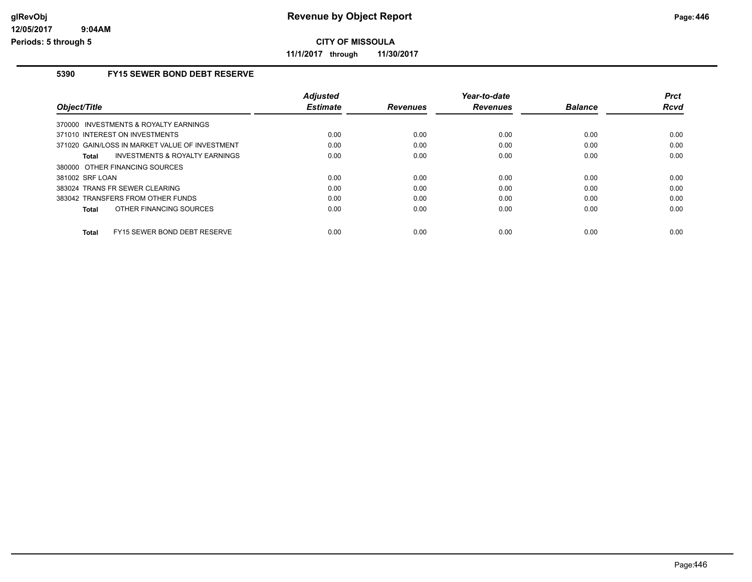**11/1/2017 through 11/30/2017**

#### **5390 FY15 SEWER BOND DEBT RESERVE**

| Object/Title                                       | <b>Adiusted</b><br><b>Estimate</b> | <b>Revenues</b> | Year-to-date<br><b>Revenues</b> | <b>Balance</b> | <b>Prct</b><br>Rcvd |
|----------------------------------------------------|------------------------------------|-----------------|---------------------------------|----------------|---------------------|
| 370000 INVESTMENTS & ROYALTY EARNINGS              |                                    |                 |                                 |                |                     |
| 371010 INTEREST ON INVESTMENTS                     | 0.00                               | 0.00            | 0.00                            | 0.00           | 0.00                |
| 371020 GAIN/LOSS IN MARKET VALUE OF INVESTMENT     | 0.00                               | 0.00            | 0.00                            | 0.00           | 0.00                |
| <b>INVESTMENTS &amp; ROYALTY EARNINGS</b><br>Total | 0.00                               | 0.00            | 0.00                            | 0.00           | 0.00                |
| 380000 OTHER FINANCING SOURCES                     |                                    |                 |                                 |                |                     |
| 381002 SRF LOAN                                    | 0.00                               | 0.00            | 0.00                            | 0.00           | 0.00                |
| 383024 TRANS FR SEWER CLEARING                     | 0.00                               | 0.00            | 0.00                            | 0.00           | 0.00                |
| 383042 TRANSFERS FROM OTHER FUNDS                  | 0.00                               | 0.00            | 0.00                            | 0.00           | 0.00                |
| OTHER FINANCING SOURCES<br>Total                   | 0.00                               | 0.00            | 0.00                            | 0.00           | 0.00                |
| FY15 SEWER BOND DEBT RESERVE<br>Total              | 0.00                               | 0.00            | 0.00                            | 0.00           | 0.00                |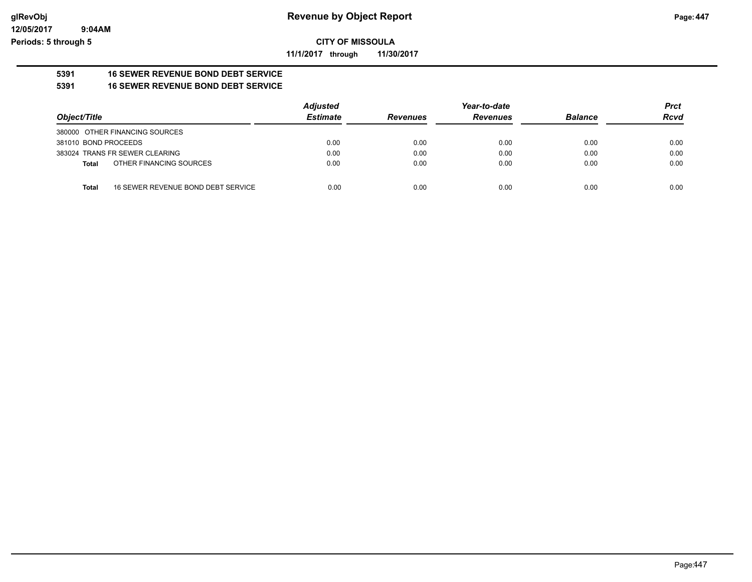#### **12/05/2017 9:04AM Periods: 5 through 5**

#### **CITY OF MISSOULA**

**11/1/2017 through 11/30/2017**

#### **5391 16 SEWER REVENUE BOND DEBT SERVICE 5391 16 SEWER REVENUE BOND DEBT SERVICE**

|                                                    | <b>Adjusted</b> |                 | Year-to-date    |                | <b>Prct</b> |  |
|----------------------------------------------------|-----------------|-----------------|-----------------|----------------|-------------|--|
| Object/Title                                       | <b>Estimate</b> | <b>Revenues</b> | <b>Revenues</b> | <b>Balance</b> | <b>Rcvd</b> |  |
| 380000 OTHER FINANCING SOURCES                     |                 |                 |                 |                |             |  |
| 381010 BOND PROCEEDS                               | 0.00            | 0.00            | 0.00            | 0.00           | 0.00        |  |
| 383024 TRANS FR SEWER CLEARING                     | 0.00            | 0.00            | 0.00            | 0.00           | 0.00        |  |
| OTHER FINANCING SOURCES<br>Total                   | 0.00            | 0.00            | 0.00            | 0.00           | 0.00        |  |
|                                                    |                 |                 |                 |                |             |  |
| 16 SEWER REVENUE BOND DEBT SERVICE<br><b>Total</b> | 0.00            | 0.00            | 0.00            | 0.00           | 0.00        |  |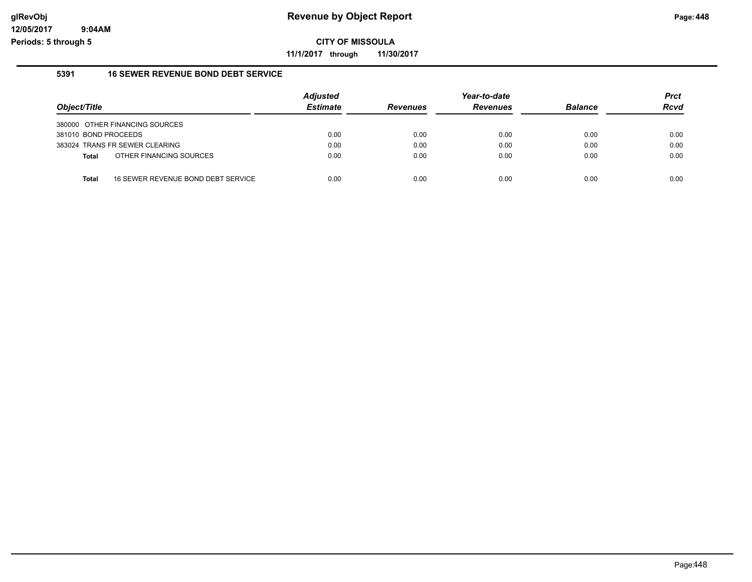**11/1/2017 through 11/30/2017**

#### **5391 16 SEWER REVENUE BOND DEBT SERVICE**

|                      |                                    | <b>Adjusted</b> |                 | Year-to-date    |                | <b>Prct</b> |
|----------------------|------------------------------------|-----------------|-----------------|-----------------|----------------|-------------|
| Object/Title         |                                    | <b>Estimate</b> | <b>Revenues</b> | <b>Revenues</b> | <b>Balance</b> | <b>Rcvd</b> |
|                      | 380000 OTHER FINANCING SOURCES     |                 |                 |                 |                |             |
| 381010 BOND PROCEEDS |                                    | 0.00            | 0.00            | 0.00            | 0.00           | 0.00        |
|                      | 383024 TRANS FR SEWER CLEARING     | 0.00            | 0.00            | 0.00            | 0.00           | 0.00        |
| Total                | OTHER FINANCING SOURCES            | 0.00            | 0.00            | 0.00            | 0.00           | 0.00        |
|                      |                                    |                 |                 |                 |                |             |
| <b>Total</b>         | 16 SEWER REVENUE BOND DEBT SERVICE | 0.00            | 0.00            | 0.00            | 0.00           | 0.00        |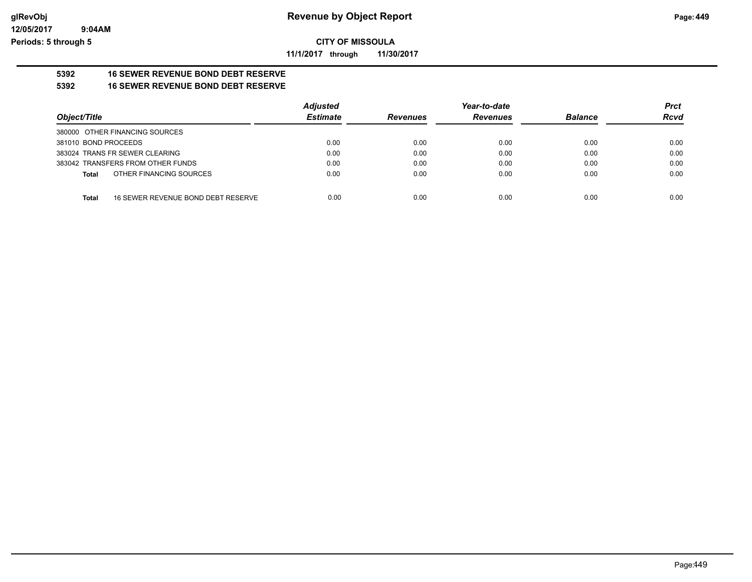#### **12/05/2017 9:04AM Periods: 5 through 5**

**CITY OF MISSOULA**

**11/1/2017 through 11/30/2017**

# **5392 16 SEWER REVENUE BOND DEBT RESERVE**

# **5392 16 SEWER REVENUE BOND DEBT RESERVE**

|                                                    | <b>Adjusted</b> |                 | Year-to-date    |                | <b>Prct</b> |
|----------------------------------------------------|-----------------|-----------------|-----------------|----------------|-------------|
| Object/Title                                       | <b>Estimate</b> | <b>Revenues</b> | <b>Revenues</b> | <b>Balance</b> | <b>Rcvd</b> |
| 380000 OTHER FINANCING SOURCES                     |                 |                 |                 |                |             |
| 381010 BOND PROCEEDS                               | 0.00            | 0.00            | 0.00            | 0.00           | 0.00        |
| 383024 TRANS FR SEWER CLEARING                     | 0.00            | 0.00            | 0.00            | 0.00           | 0.00        |
| 383042 TRANSFERS FROM OTHER FUNDS                  | 0.00            | 0.00            | 0.00            | 0.00           | 0.00        |
| OTHER FINANCING SOURCES<br><b>Total</b>            | 0.00            | 0.00            | 0.00            | 0.00           | 0.00        |
|                                                    |                 |                 |                 |                |             |
| 16 SEWER REVENUE BOND DEBT RESERVE<br><b>Total</b> | 0.00            | 0.00            | 0.00            | 0.00           | 0.00        |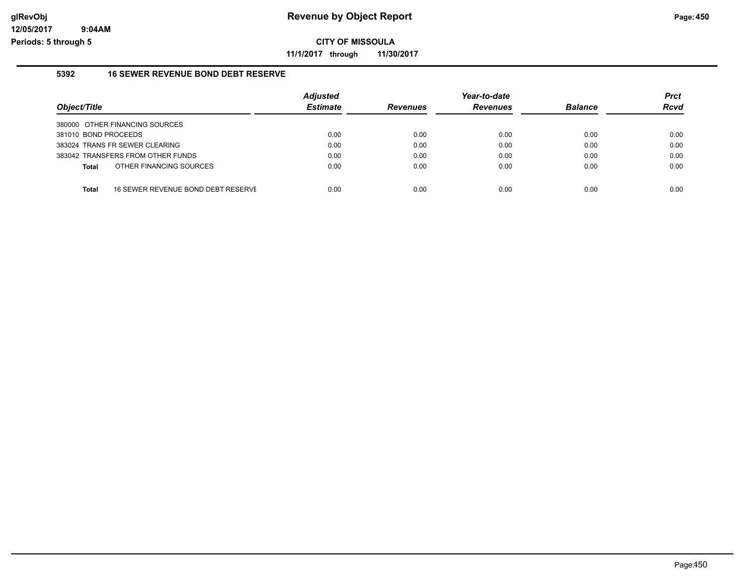**11/1/2017 through 11/30/2017**

#### **5392 16 SEWER REVENUE BOND DEBT RESERVE**

| Object/Title         |                                    | <b>Adjusted</b><br><b>Estimate</b> | <b>Revenues</b> | Year-to-date<br><b>Revenues</b> | <b>Balance</b> | <b>Prct</b><br><b>Rcvd</b> |
|----------------------|------------------------------------|------------------------------------|-----------------|---------------------------------|----------------|----------------------------|
|                      | 380000 OTHER FINANCING SOURCES     |                                    |                 |                                 |                |                            |
| 381010 BOND PROCEEDS |                                    | 0.00                               | 0.00            | 0.00                            | 0.00           | 0.00                       |
|                      | 383024 TRANS FR SEWER CLEARING     | 0.00                               | 0.00            | 0.00                            | 0.00           | 0.00                       |
|                      | 383042 TRANSFERS FROM OTHER FUNDS  | 0.00                               | 0.00            | 0.00                            | 0.00           | 0.00                       |
| Total                | OTHER FINANCING SOURCES            | 0.00                               | 0.00            | 0.00                            | 0.00           | 0.00                       |
| <b>Total</b>         | 16 SEWER REVENUE BOND DEBT RESERVE | 0.00                               | 0.00            | 0.00                            | 0.00           | 0.00                       |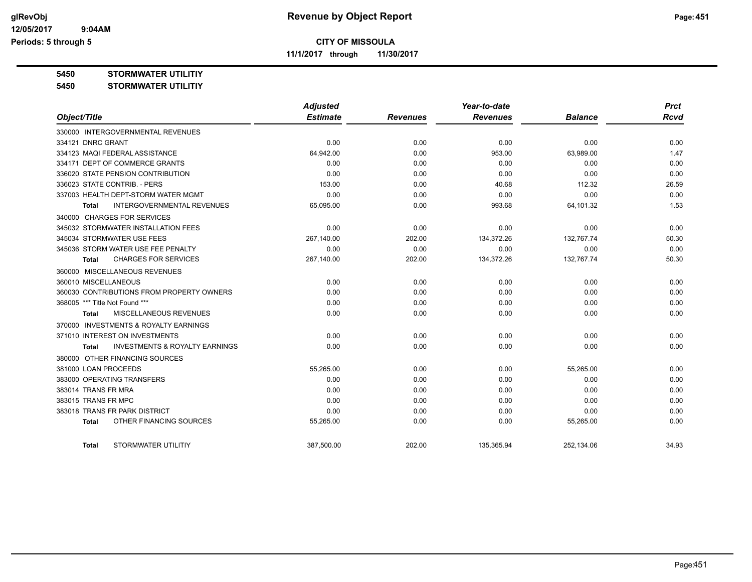**11/1/2017 through 11/30/2017**

**5450 STORMWATER UTILITIY**

**5450 STORMWATER UTILITIY**

|                                                           | <b>Adjusted</b> |                 | Year-to-date    |                | <b>Prct</b> |
|-----------------------------------------------------------|-----------------|-----------------|-----------------|----------------|-------------|
| Object/Title                                              | <b>Estimate</b> | <b>Revenues</b> | <b>Revenues</b> | <b>Balance</b> | <b>Rcvd</b> |
| 330000 INTERGOVERNMENTAL REVENUES                         |                 |                 |                 |                |             |
| 334121 DNRC GRANT                                         | 0.00            | 0.00            | 0.00            | 0.00           | 0.00        |
| 334123 MAQI FEDERAL ASSISTANCE                            | 64,942.00       | 0.00            | 953.00          | 63,989.00      | 1.47        |
| 334171 DEPT OF COMMERCE GRANTS                            | 0.00            | 0.00            | 0.00            | 0.00           | 0.00        |
| 336020 STATE PENSION CONTRIBUTION                         | 0.00            | 0.00            | 0.00            | 0.00           | 0.00        |
| 336023 STATE CONTRIB. - PERS                              | 153.00          | 0.00            | 40.68           | 112.32         | 26.59       |
| 337003 HEALTH DEPT-STORM WATER MGMT                       | 0.00            | 0.00            | 0.00            | 0.00           | 0.00        |
| <b>INTERGOVERNMENTAL REVENUES</b><br>Total                | 65,095.00       | 0.00            | 993.68          | 64,101.32      | 1.53        |
| 340000 CHARGES FOR SERVICES                               |                 |                 |                 |                |             |
| 345032 STORMWATER INSTALLATION FEES                       | 0.00            | 0.00            | 0.00            | 0.00           | 0.00        |
| 345034 STORMWATER USE FEES                                | 267,140.00      | 202.00          | 134,372.26      | 132,767.74     | 50.30       |
| 345036 STORM WATER USE FEE PENALTY                        | 0.00            | 0.00            | 0.00            | 0.00           | 0.00        |
| <b>CHARGES FOR SERVICES</b><br><b>Total</b>               | 267,140.00      | 202.00          | 134,372.26      | 132,767.74     | 50.30       |
| 360000 MISCELLANEOUS REVENUES                             |                 |                 |                 |                |             |
| 360010 MISCELLANEOUS                                      | 0.00            | 0.00            | 0.00            | 0.00           | 0.00        |
| 360030 CONTRIBUTIONS FROM PROPERTY OWNERS                 | 0.00            | 0.00            | 0.00            | 0.00           | 0.00        |
| 368005 *** Title Not Found ***                            | 0.00            | 0.00            | 0.00            | 0.00           | 0.00        |
| MISCELLANEOUS REVENUES<br>Total                           | 0.00            | 0.00            | 0.00            | 0.00           | 0.00        |
| <b>INVESTMENTS &amp; ROYALTY EARNINGS</b><br>370000       |                 |                 |                 |                |             |
| 371010 INTEREST ON INVESTMENTS                            | 0.00            | 0.00            | 0.00            | 0.00           | 0.00        |
| <b>INVESTMENTS &amp; ROYALTY EARNINGS</b><br><b>Total</b> | 0.00            | 0.00            | 0.00            | 0.00           | 0.00        |
| 380000 OTHER FINANCING SOURCES                            |                 |                 |                 |                |             |
| 381000 LOAN PROCEEDS                                      | 55,265.00       | 0.00            | 0.00            | 55,265.00      | 0.00        |
| 383000 OPERATING TRANSFERS                                | 0.00            | 0.00            | 0.00            | 0.00           | 0.00        |
| 383014 TRANS FR MRA                                       | 0.00            | 0.00            | 0.00            | 0.00           | 0.00        |
| 383015 TRANS FR MPC                                       | 0.00            | 0.00            | 0.00            | 0.00           | 0.00        |
| 383018 TRANS FR PARK DISTRICT                             | 0.00            | 0.00            | 0.00            | 0.00           | 0.00        |
| OTHER FINANCING SOURCES<br><b>Total</b>                   | 55,265.00       | 0.00            | 0.00            | 55,265.00      | 0.00        |
| STORMWATER UTILITIY<br>Total                              | 387.500.00      | 202.00          | 135.365.94      | 252.134.06     | 34.93       |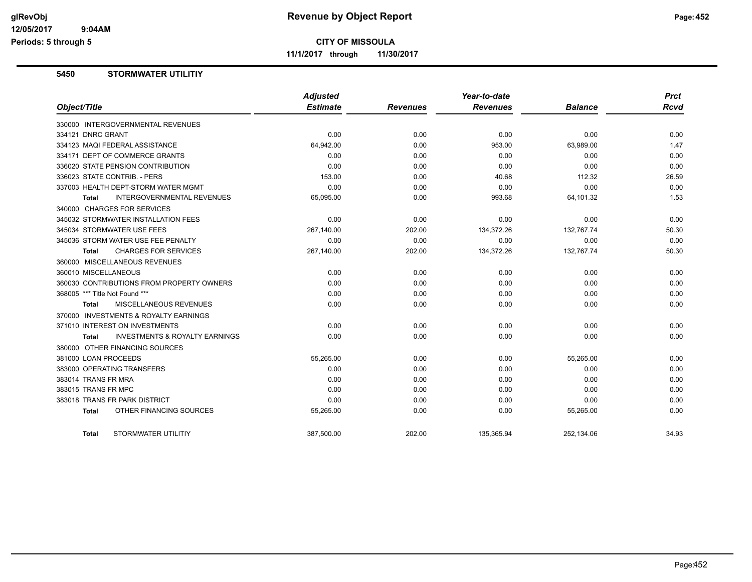**11/1/2017 through 11/30/2017**

#### **5450 STORMWATER UTILITIY**

|                                                    | <b>Adjusted</b> |                 | Year-to-date    |                | <b>Prct</b> |
|----------------------------------------------------|-----------------|-----------------|-----------------|----------------|-------------|
| Object/Title                                       | <b>Estimate</b> | <b>Revenues</b> | <b>Revenues</b> | <b>Balance</b> | <b>Rcvd</b> |
| 330000 INTERGOVERNMENTAL REVENUES                  |                 |                 |                 |                |             |
| 334121 DNRC GRANT                                  | 0.00            | 0.00            | 0.00            | 0.00           | 0.00        |
| 334123 MAQI FEDERAL ASSISTANCE                     | 64,942.00       | 0.00            | 953.00          | 63,989.00      | 1.47        |
| 334171 DEPT OF COMMERCE GRANTS                     | 0.00            | 0.00            | 0.00            | 0.00           | 0.00        |
| 336020 STATE PENSION CONTRIBUTION                  | 0.00            | 0.00            | 0.00            | 0.00           | 0.00        |
| 336023 STATE CONTRIB. - PERS                       | 153.00          | 0.00            | 40.68           | 112.32         | 26.59       |
| 337003 HEALTH DEPT-STORM WATER MGMT                | 0.00            | 0.00            | 0.00            | 0.00           | 0.00        |
| <b>INTERGOVERNMENTAL REVENUES</b><br>Total         | 65,095.00       | 0.00            | 993.68          | 64,101.32      | 1.53        |
| 340000 CHARGES FOR SERVICES                        |                 |                 |                 |                |             |
| 345032 STORMWATER INSTALLATION FEES                | 0.00            | 0.00            | 0.00            | 0.00           | 0.00        |
| 345034 STORMWATER USE FEES                         | 267,140.00      | 202.00          | 134,372.26      | 132,767.74     | 50.30       |
| 345036 STORM WATER USE FEE PENALTY                 | 0.00            | 0.00            | 0.00            | 0.00           | 0.00        |
| <b>CHARGES FOR SERVICES</b><br>Total               | 267,140.00      | 202.00          | 134,372.26      | 132,767.74     | 50.30       |
| 360000 MISCELLANEOUS REVENUES                      |                 |                 |                 |                |             |
| 360010 MISCELLANEOUS                               | 0.00            | 0.00            | 0.00            | 0.00           | 0.00        |
| 360030 CONTRIBUTIONS FROM PROPERTY OWNERS          | 0.00            | 0.00            | 0.00            | 0.00           | 0.00        |
| 368005 *** Title Not Found ***                     | 0.00            | 0.00            | 0.00            | 0.00           | 0.00        |
| MISCELLANEOUS REVENUES<br>Total                    | 0.00            | 0.00            | 0.00            | 0.00           | 0.00        |
| 370000 INVESTMENTS & ROYALTY EARNINGS              |                 |                 |                 |                |             |
| 371010 INTEREST ON INVESTMENTS                     | 0.00            | 0.00            | 0.00            | 0.00           | 0.00        |
| <b>INVESTMENTS &amp; ROYALTY EARNINGS</b><br>Total | 0.00            | 0.00            | 0.00            | 0.00           | 0.00        |
| 380000 OTHER FINANCING SOURCES                     |                 |                 |                 |                |             |
| 381000 LOAN PROCEEDS                               | 55,265.00       | 0.00            | 0.00            | 55,265.00      | 0.00        |
| 383000 OPERATING TRANSFERS                         | 0.00            | 0.00            | 0.00            | 0.00           | 0.00        |
| 383014 TRANS FR MRA                                | 0.00            | 0.00            | 0.00            | 0.00           | 0.00        |
| 383015 TRANS FR MPC                                | 0.00            | 0.00            | 0.00            | 0.00           | 0.00        |
| 383018 TRANS FR PARK DISTRICT                      | 0.00            | 0.00            | 0.00            | 0.00           | 0.00        |
| OTHER FINANCING SOURCES<br><b>Total</b>            | 55,265.00       | 0.00            | 0.00            | 55,265.00      | 0.00        |
| STORMWATER UTILITIY<br><b>Total</b>                | 387,500.00      | 202.00          | 135,365.94      | 252,134.06     | 34.93       |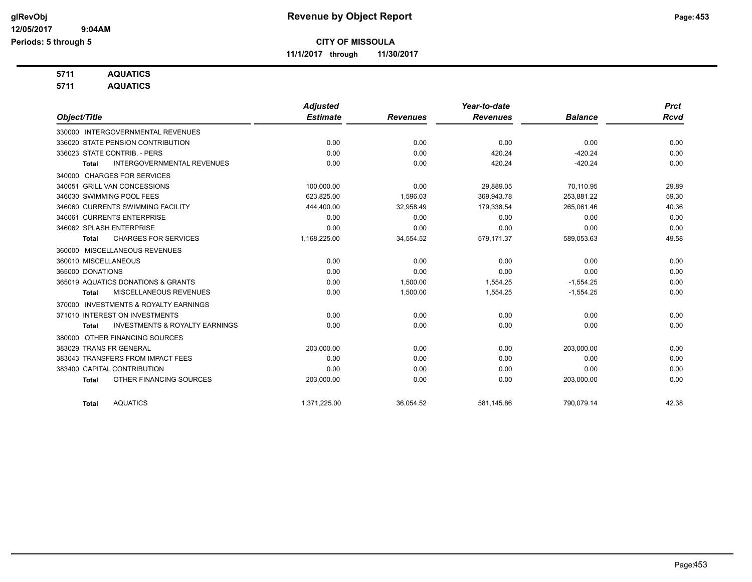**11/1/2017 through 11/30/2017**

# **5711 AQUATICS**

**5711 AQUATICS**

|                                                    | <b>Adjusted</b> |                 | Year-to-date    |                | <b>Prct</b> |
|----------------------------------------------------|-----------------|-----------------|-----------------|----------------|-------------|
| Object/Title                                       | <b>Estimate</b> | <b>Revenues</b> | <b>Revenues</b> | <b>Balance</b> | <b>Rcvd</b> |
| 330000 INTERGOVERNMENTAL REVENUES                  |                 |                 |                 |                |             |
| 336020 STATE PENSION CONTRIBUTION                  | 0.00            | 0.00            | 0.00            | 0.00           | 0.00        |
| 336023 STATE CONTRIB. - PERS                       | 0.00            | 0.00            | 420.24          | $-420.24$      | 0.00        |
| <b>INTERGOVERNMENTAL REVENUES</b><br><b>Total</b>  | 0.00            | 0.00            | 420.24          | $-420.24$      | 0.00        |
| <b>CHARGES FOR SERVICES</b><br>340000              |                 |                 |                 |                |             |
| 340051 GRILL VAN CONCESSIONS                       | 100.000.00      | 0.00            | 29,889.05       | 70.110.95      | 29.89       |
| 346030 SWIMMING POOL FEES                          | 623.825.00      | 1,596.03        | 369.943.78      | 253.881.22     | 59.30       |
| 346060 CURRENTS SWIMMING FACILITY                  | 444,400.00      | 32,958.49       | 179,338.54      | 265,061.46     | 40.36       |
| 346061 CURRENTS ENTERPRISE                         | 0.00            | 0.00            | 0.00            | 0.00           | 0.00        |
| 346062 SPLASH ENTERPRISE                           | 0.00            | 0.00            | 0.00            | 0.00           | 0.00        |
| <b>CHARGES FOR SERVICES</b><br><b>Total</b>        | 1,168,225.00    | 34,554.52       | 579,171.37      | 589,053.63     | 49.58       |
| 360000 MISCELLANEOUS REVENUES                      |                 |                 |                 |                |             |
| 360010 MISCELLANEOUS                               | 0.00            | 0.00            | 0.00            | 0.00           | 0.00        |
| 365000 DONATIONS                                   | 0.00            | 0.00            | 0.00            | 0.00           | 0.00        |
| 365019 AQUATICS DONATIONS & GRANTS                 | 0.00            | 1,500.00        | 1,554.25        | $-1,554.25$    | 0.00        |
| <b>MISCELLANEOUS REVENUES</b><br><b>Total</b>      | 0.00            | 1,500.00        | 1,554.25        | $-1,554.25$    | 0.00        |
| 370000 INVESTMENTS & ROYALTY EARNINGS              |                 |                 |                 |                |             |
| 371010 INTEREST ON INVESTMENTS                     | 0.00            | 0.00            | 0.00            | 0.00           | 0.00        |
| <b>INVESTMENTS &amp; ROYALTY EARNINGS</b><br>Total | 0.00            | 0.00            | 0.00            | 0.00           | 0.00        |
| OTHER FINANCING SOURCES<br>380000                  |                 |                 |                 |                |             |
| 383029 TRANS FR GENERAL                            | 203,000.00      | 0.00            | 0.00            | 203,000.00     | 0.00        |
| 383043 TRANSFERS FROM IMPACT FEES                  | 0.00            | 0.00            | 0.00            | 0.00           | 0.00        |
| 383400 CAPITAL CONTRIBUTION                        | 0.00            | 0.00            | 0.00            | 0.00           | 0.00        |
| OTHER FINANCING SOURCES<br><b>Total</b>            | 203,000.00      | 0.00            | 0.00            | 203,000.00     | 0.00        |
| <b>AQUATICS</b><br><b>Total</b>                    | 1,371,225.00    | 36,054.52       | 581,145.86      | 790,079.14     | 42.38       |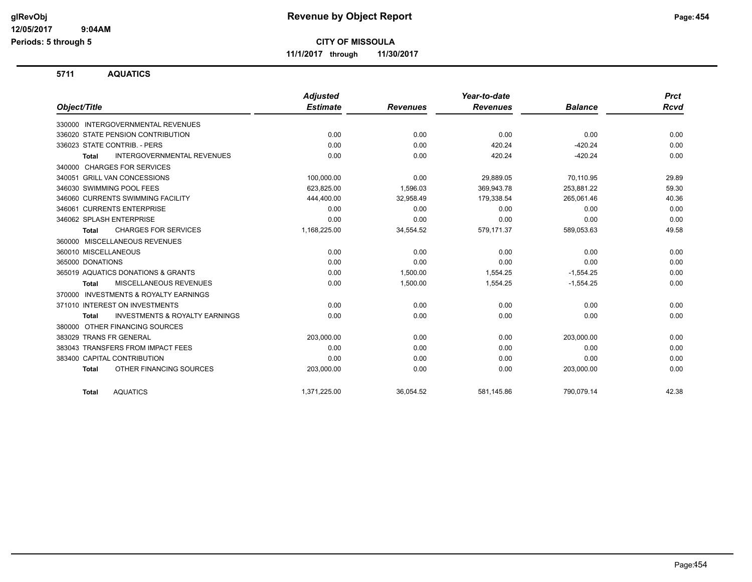**11/1/2017 through 11/30/2017**

**5711 AQUATICS**

|                                                     | <b>Adjusted</b> |                 | Year-to-date    |                | <b>Prct</b> |
|-----------------------------------------------------|-----------------|-----------------|-----------------|----------------|-------------|
| Object/Title                                        | <b>Estimate</b> | <b>Revenues</b> | <b>Revenues</b> | <b>Balance</b> | Rcvd        |
| 330000 INTERGOVERNMENTAL REVENUES                   |                 |                 |                 |                |             |
| 336020 STATE PENSION CONTRIBUTION                   | 0.00            | 0.00            | 0.00            | 0.00           | 0.00        |
| 336023 STATE CONTRIB. - PERS                        | 0.00            | 0.00            | 420.24          | $-420.24$      | 0.00        |
| <b>INTERGOVERNMENTAL REVENUES</b><br><b>Total</b>   | 0.00            | 0.00            | 420.24          | $-420.24$      | 0.00        |
| 340000 CHARGES FOR SERVICES                         |                 |                 |                 |                |             |
| 340051 GRILL VAN CONCESSIONS                        | 100.000.00      | 0.00            | 29.889.05       | 70.110.95      | 29.89       |
| 346030 SWIMMING POOL FEES                           | 623,825.00      | 1,596.03        | 369,943.78      | 253,881.22     | 59.30       |
| 346060 CURRENTS SWIMMING FACILITY                   | 444,400.00      | 32,958.49       | 179,338.54      | 265,061.46     | 40.36       |
| 346061 CURRENTS ENTERPRISE                          | 0.00            | 0.00            | 0.00            | 0.00           | 0.00        |
| 346062 SPLASH ENTERPRISE                            | 0.00            | 0.00            | 0.00            | 0.00           | 0.00        |
| <b>CHARGES FOR SERVICES</b><br><b>Total</b>         | 1,168,225.00    | 34,554.52       | 579,171.37      | 589,053.63     | 49.58       |
| 360000 MISCELLANEOUS REVENUES                       |                 |                 |                 |                |             |
| 360010 MISCELLANEOUS                                | 0.00            | 0.00            | 0.00            | 0.00           | 0.00        |
| 365000 DONATIONS                                    | 0.00            | 0.00            | 0.00            | 0.00           | 0.00        |
| 365019 AQUATICS DONATIONS & GRANTS                  | 0.00            | 1.500.00        | 1,554.25        | $-1,554.25$    | 0.00        |
| MISCELLANEOUS REVENUES<br>Total                     | 0.00            | 1,500.00        | 1,554.25        | $-1,554.25$    | 0.00        |
| <b>INVESTMENTS &amp; ROYALTY EARNINGS</b><br>370000 |                 |                 |                 |                |             |
| 371010 INTEREST ON INVESTMENTS                      | 0.00            | 0.00            | 0.00            | 0.00           | 0.00        |
| <b>INVESTMENTS &amp; ROYALTY EARNINGS</b><br>Total  | 0.00            | 0.00            | 0.00            | 0.00           | 0.00        |
| 380000 OTHER FINANCING SOURCES                      |                 |                 |                 |                |             |
| 383029 TRANS FR GENERAL                             | 203,000.00      | 0.00            | 0.00            | 203,000.00     | 0.00        |
| 383043 TRANSFERS FROM IMPACT FEES                   | 0.00            | 0.00            | 0.00            | 0.00           | 0.00        |
| 383400 CAPITAL CONTRIBUTION                         | 0.00            | 0.00            | 0.00            | 0.00           | 0.00        |
| OTHER FINANCING SOURCES<br><b>Total</b>             | 203,000.00      | 0.00            | 0.00            | 203,000.00     | 0.00        |
| <b>AQUATICS</b><br><b>Total</b>                     | 1,371,225.00    | 36,054.52       | 581,145.86      | 790.079.14     | 42.38       |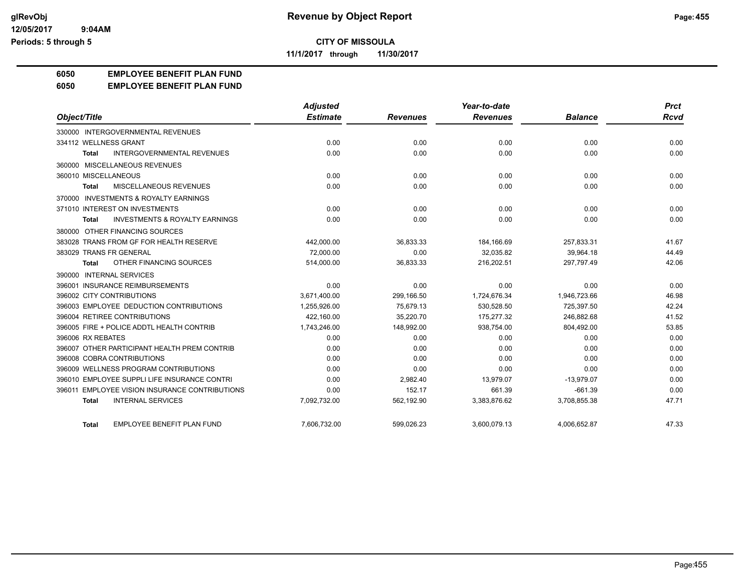**11/1/2017 through 11/30/2017**

#### **6050 EMPLOYEE BENEFIT PLAN FUND**

#### **6050 EMPLOYEE BENEFIT PLAN FUND**

|                                                    | <b>Adjusted</b> |                 | Year-to-date    |                | <b>Prct</b> |
|----------------------------------------------------|-----------------|-----------------|-----------------|----------------|-------------|
| Object/Title                                       | <b>Estimate</b> | <b>Revenues</b> | <b>Revenues</b> | <b>Balance</b> | Rcvd        |
| 330000 INTERGOVERNMENTAL REVENUES                  |                 |                 |                 |                |             |
| 334112 WELLNESS GRANT                              | 0.00            | 0.00            | 0.00            | 0.00           | 0.00        |
| <b>INTERGOVERNMENTAL REVENUES</b><br><b>Total</b>  | 0.00            | 0.00            | 0.00            | 0.00           | 0.00        |
| 360000 MISCELLANEOUS REVENUES                      |                 |                 |                 |                |             |
| 360010 MISCELLANEOUS                               | 0.00            | 0.00            | 0.00            | 0.00           | 0.00        |
| MISCELLANEOUS REVENUES<br>Total                    | 0.00            | 0.00            | 0.00            | 0.00           | 0.00        |
| 370000 INVESTMENTS & ROYALTY EARNINGS              |                 |                 |                 |                |             |
| 371010 INTEREST ON INVESTMENTS                     | 0.00            | 0.00            | 0.00            | 0.00           | 0.00        |
| <b>INVESTMENTS &amp; ROYALTY EARNINGS</b><br>Total | 0.00            | 0.00            | 0.00            | 0.00           | 0.00        |
| 380000 OTHER FINANCING SOURCES                     |                 |                 |                 |                |             |
| 383028 TRANS FROM GF FOR HEALTH RESERVE            | 442,000.00      | 36,833.33       | 184,166.69      | 257,833.31     | 41.67       |
| 383029 TRANS FR GENERAL                            | 72,000.00       | 0.00            | 32,035.82       | 39,964.18      | 44.49       |
| OTHER FINANCING SOURCES<br>Total                   | 514,000.00      | 36,833.33       | 216,202.51      | 297,797.49     | 42.06       |
| 390000 INTERNAL SERVICES                           |                 |                 |                 |                |             |
| 396001 INSURANCE REIMBURSEMENTS                    | 0.00            | 0.00            | 0.00            | 0.00           | 0.00        |
| 396002 CITY CONTRIBUTIONS                          | 3,671,400.00    | 299,166.50      | 1,724,676.34    | 1,946,723.66   | 46.98       |
| 396003 EMPLOYEE DEDUCTION CONTRIBUTIONS            | 1,255,926.00    | 75,679.13       | 530,528.50      | 725,397.50     | 42.24       |
| 396004 RETIREE CONTRIBUTIONS                       | 422,160.00      | 35,220.70       | 175,277.32      | 246,882.68     | 41.52       |
| 396005 FIRE + POLICE ADDTL HEALTH CONTRIB          | 1,743,246.00    | 148,992.00      | 938.754.00      | 804,492.00     | 53.85       |
| 396006 RX REBATES                                  | 0.00            | 0.00            | 0.00            | 0.00           | 0.00        |
| 396007 OTHER PARTICIPANT HEALTH PREM CONTRIB       | 0.00            | 0.00            | 0.00            | 0.00           | 0.00        |
| 396008 COBRA CONTRIBUTIONS                         | 0.00            | 0.00            | 0.00            | 0.00           | 0.00        |
| 396009 WELLNESS PROGRAM CONTRIBUTIONS              | 0.00            | 0.00            | 0.00            | 0.00           | 0.00        |
| 396010 EMPLOYEE SUPPLI LIFE INSURANCE CONTRI       | 0.00            | 2,982.40        | 13,979.07       | $-13,979.07$   | 0.00        |
| 396011 EMPLOYEE VISION INSURANCE CONTRIBUTIONS     | 0.00            | 152.17          | 661.39          | $-661.39$      | 0.00        |
| <b>INTERNAL SERVICES</b><br><b>Total</b>           | 7,092,732.00    | 562,192.90      | 3,383,876.62    | 3,708,855.38   | 47.71       |
| <b>EMPLOYEE BENEFIT PLAN FUND</b><br><b>Total</b>  | 7,606,732.00    | 599,026.23      | 3,600,079.13    | 4,006,652.87   | 47.33       |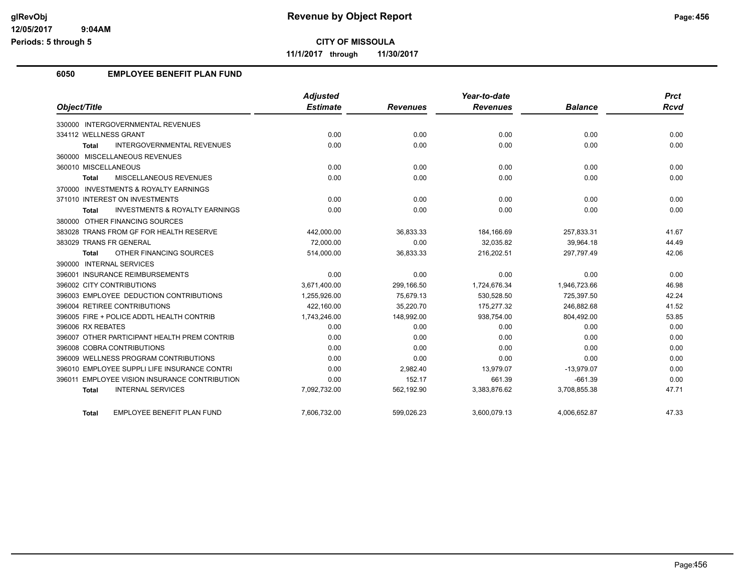**11/1/2017 through 11/30/2017**

#### **6050 EMPLOYEE BENEFIT PLAN FUND**

|                                                           | Adjusted        |                 | Year-to-date    |                | <b>Prct</b> |
|-----------------------------------------------------------|-----------------|-----------------|-----------------|----------------|-------------|
| Object/Title                                              | <b>Estimate</b> | <b>Revenues</b> | <b>Revenues</b> | <b>Balance</b> | Rcvd        |
| 330000 INTERGOVERNMENTAL REVENUES                         |                 |                 |                 |                |             |
| 334112 WELLNESS GRANT                                     | 0.00            | 0.00            | 0.00            | 0.00           | 0.00        |
| <b>INTERGOVERNMENTAL REVENUES</b><br><b>Total</b>         | 0.00            | 0.00            | 0.00            | 0.00           | 0.00        |
| 360000 MISCELLANEOUS REVENUES                             |                 |                 |                 |                |             |
| 360010 MISCELLANEOUS                                      | 0.00            | 0.00            | 0.00            | 0.00           | 0.00        |
| MISCELLANEOUS REVENUES<br><b>Total</b>                    | 0.00            | 0.00            | 0.00            | 0.00           | 0.00        |
| 370000 INVESTMENTS & ROYALTY EARNINGS                     |                 |                 |                 |                |             |
| 371010 INTEREST ON INVESTMENTS                            | 0.00            | 0.00            | 0.00            | 0.00           | 0.00        |
| <b>INVESTMENTS &amp; ROYALTY EARNINGS</b><br><b>Total</b> | 0.00            | 0.00            | 0.00            | 0.00           | 0.00        |
| 380000 OTHER FINANCING SOURCES                            |                 |                 |                 |                |             |
| 383028 TRANS FROM GF FOR HEALTH RESERVE                   | 442,000.00      | 36,833.33       | 184,166.69      | 257,833.31     | 41.67       |
| 383029 TRANS FR GENERAL                                   | 72.000.00       | 0.00            | 32.035.82       | 39.964.18      | 44.49       |
| OTHER FINANCING SOURCES<br><b>Total</b>                   | 514,000.00      | 36,833.33       | 216,202.51      | 297,797.49     | 42.06       |
| 390000 INTERNAL SERVICES                                  |                 |                 |                 |                |             |
| 396001 INSURANCE REIMBURSEMENTS                           | 0.00            | 0.00            | 0.00            | 0.00           | 0.00        |
| 396002 CITY CONTRIBUTIONS                                 | 3,671,400.00    | 299,166.50      | 1,724,676.34    | 1,946,723.66   | 46.98       |
| 396003 EMPLOYEE DEDUCTION CONTRIBUTIONS                   | 1,255,926.00    | 75,679.13       | 530,528.50      | 725,397.50     | 42.24       |
| 396004 RETIREE CONTRIBUTIONS                              | 422,160.00      | 35,220.70       | 175,277.32      | 246,882.68     | 41.52       |
| 396005 FIRE + POLICE ADDTL HEALTH CONTRIB                 | 1,743,246.00    | 148,992.00      | 938,754.00      | 804,492.00     | 53.85       |
| 396006 RX REBATES                                         | 0.00            | 0.00            | 0.00            | 0.00           | 0.00        |
| 396007 OTHER PARTICIPANT HEALTH PREM CONTRIB              | 0.00            | 0.00            | 0.00            | 0.00           | 0.00        |
| 396008 COBRA CONTRIBUTIONS                                | 0.00            | 0.00            | 0.00            | 0.00           | 0.00        |
| 396009 WELLNESS PROGRAM CONTRIBUTIONS                     | 0.00            | 0.00            | 0.00            | 0.00           | 0.00        |
| 396010 EMPLOYEE SUPPLI LIFE INSURANCE CONTRI              | 0.00            | 2,982.40        | 13,979.07       | $-13,979.07$   | 0.00        |
| 396011 EMPLOYEE VISION INSURANCE CONTRIBUTION             | 0.00            | 152.17          | 661.39          | $-661.39$      | 0.00        |
| <b>INTERNAL SERVICES</b><br><b>Total</b>                  | 7,092,732.00    | 562,192.90      | 3,383,876.62    | 3,708,855.38   | 47.71       |
| EMPLOYEE BENEFIT PLAN FUND<br><b>Total</b>                | 7,606,732.00    | 599,026.23      | 3,600,079.13    | 4,006,652.87   | 47.33       |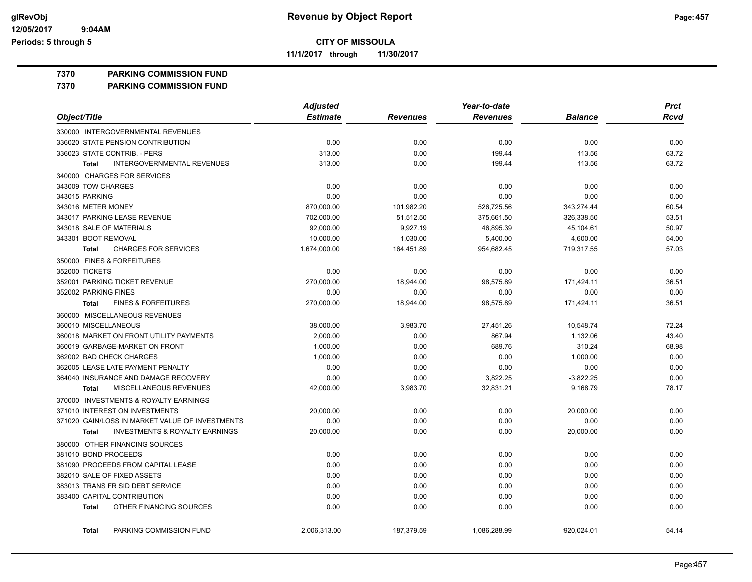**11/1/2017 through 11/30/2017**

**7370 PARKING COMMISSION FUND**

**7370 PARKING COMMISSION FUND**

|                                                           | <b>Adjusted</b> |                 | Year-to-date    |                | <b>Prct</b> |
|-----------------------------------------------------------|-----------------|-----------------|-----------------|----------------|-------------|
| Object/Title                                              | <b>Estimate</b> | <b>Revenues</b> | <b>Revenues</b> | <b>Balance</b> | Rcvd        |
| 330000 INTERGOVERNMENTAL REVENUES                         |                 |                 |                 |                |             |
| 336020 STATE PENSION CONTRIBUTION                         | 0.00            | 0.00            | 0.00            | 0.00           | 0.00        |
| 336023 STATE CONTRIB. - PERS                              | 313.00          | 0.00            | 199.44          | 113.56         | 63.72       |
| <b>INTERGOVERNMENTAL REVENUES</b><br><b>Total</b>         | 313.00          | 0.00            | 199.44          | 113.56         | 63.72       |
| 340000 CHARGES FOR SERVICES                               |                 |                 |                 |                |             |
| 343009 TOW CHARGES                                        | 0.00            | 0.00            | 0.00            | 0.00           | 0.00        |
| 343015 PARKING                                            | 0.00            | 0.00            | 0.00            | 0.00           | 0.00        |
| 343016 METER MONEY                                        | 870,000.00      | 101,982.20      | 526,725.56      | 343,274.44     | 60.54       |
| 343017 PARKING LEASE REVENUE                              | 702,000.00      | 51,512.50       | 375,661.50      | 326,338.50     | 53.51       |
| 343018 SALE OF MATERIALS                                  | 92,000.00       | 9,927.19        | 46,895.39       | 45,104.61      | 50.97       |
| 343301 BOOT REMOVAL                                       | 10,000.00       | 1,030.00        | 5,400.00        | 4,600.00       | 54.00       |
| <b>CHARGES FOR SERVICES</b><br><b>Total</b>               | 1,674,000.00    | 164,451.89      | 954,682.45      | 719,317.55     | 57.03       |
| 350000 FINES & FORFEITURES                                |                 |                 |                 |                |             |
| 352000 TICKETS                                            | 0.00            | 0.00            | 0.00            | 0.00           | 0.00        |
| 352001 PARKING TICKET REVENUE                             | 270,000.00      | 18,944.00       | 98,575.89       | 171,424.11     | 36.51       |
| 352002 PARKING FINES                                      | 0.00            | 0.00            | 0.00            | 0.00           | 0.00        |
| <b>FINES &amp; FORFEITURES</b><br><b>Total</b>            | 270,000.00      | 18,944.00       | 98,575.89       | 171,424.11     | 36.51       |
| 360000 MISCELLANEOUS REVENUES                             |                 |                 |                 |                |             |
| 360010 MISCELLANEOUS                                      | 38,000.00       | 3,983.70        | 27,451.26       | 10,548.74      | 72.24       |
| 360018 MARKET ON FRONT UTILITY PAYMENTS                   | 2,000.00        | 0.00            | 867.94          | 1,132.06       | 43.40       |
| 360019 GARBAGE-MARKET ON FRONT                            | 1,000.00        | 0.00            | 689.76          | 310.24         | 68.98       |
| 362002 BAD CHECK CHARGES                                  | 1,000.00        | 0.00            | 0.00            | 1,000.00       | 0.00        |
| 362005 LEASE LATE PAYMENT PENALTY                         | 0.00            | 0.00            | 0.00            | 0.00           | 0.00        |
| 364040 INSURANCE AND DAMAGE RECOVERY                      | 0.00            | 0.00            | 3,822.25        | $-3,822.25$    | 0.00        |
| MISCELLANEOUS REVENUES<br>Total                           | 42,000.00       | 3,983.70        | 32,831.21       | 9,168.79       | 78.17       |
| 370000 INVESTMENTS & ROYALTY EARNINGS                     |                 |                 |                 |                |             |
| 371010 INTEREST ON INVESTMENTS                            | 20,000.00       | 0.00            | 0.00            | 20,000.00      | 0.00        |
| 371020 GAIN/LOSS IN MARKET VALUE OF INVESTMENTS           | 0.00            | 0.00            | 0.00            | 0.00           | 0.00        |
| <b>INVESTMENTS &amp; ROYALTY EARNINGS</b><br><b>Total</b> | 20,000.00       | 0.00            | 0.00            | 20,000.00      | 0.00        |
| 380000 OTHER FINANCING SOURCES                            |                 |                 |                 |                |             |
| 381010 BOND PROCEEDS                                      | 0.00            | 0.00            | 0.00            | 0.00           | 0.00        |
| 381090 PROCEEDS FROM CAPITAL LEASE                        | 0.00            | 0.00            | 0.00            | 0.00           | 0.00        |
| 382010 SALE OF FIXED ASSETS                               | 0.00            | 0.00            | 0.00            | 0.00           | 0.00        |
| 383013 TRANS FR SID DEBT SERVICE                          | 0.00            | 0.00            | 0.00            | 0.00           | 0.00        |
| 383400 CAPITAL CONTRIBUTION                               | 0.00            | 0.00            | 0.00            | 0.00           | 0.00        |
| OTHER FINANCING SOURCES<br><b>Total</b>                   | 0.00            | 0.00            | 0.00            | 0.00           | 0.00        |
| PARKING COMMISSION FUND<br><b>Total</b>                   | 2.006.313.00    | 187,379.59      | 1,086,288.99    | 920.024.01     | 54.14       |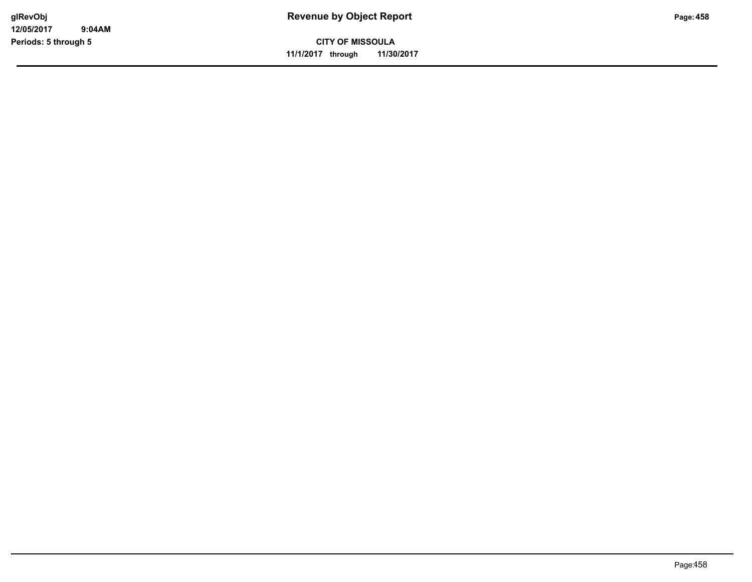**CITY OF MISSOULA 11/1/2017 through 11/30/2017**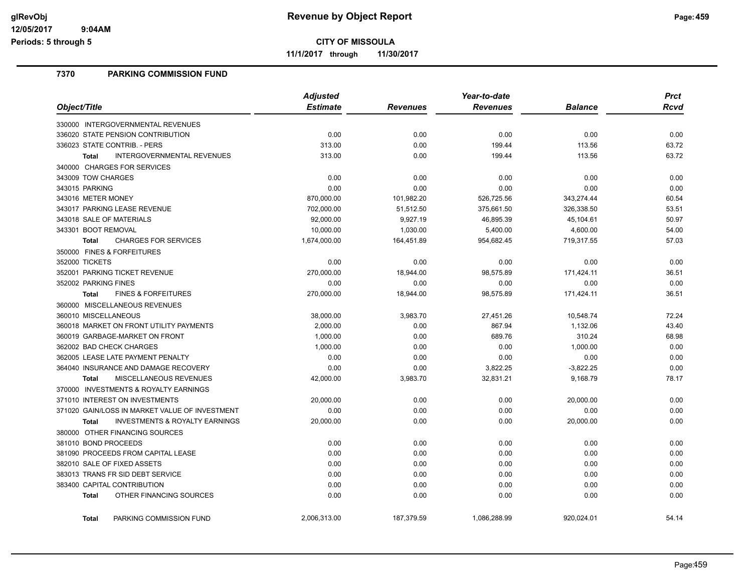**11/1/2017 through 11/30/2017**

#### **7370 PARKING COMMISSION FUND**

|                                                           | <b>Adjusted</b> |                 | Year-to-date    |                | <b>Prct</b> |
|-----------------------------------------------------------|-----------------|-----------------|-----------------|----------------|-------------|
| Object/Title                                              | <b>Estimate</b> | <b>Revenues</b> | <b>Revenues</b> | <b>Balance</b> | Rcvd        |
| 330000 INTERGOVERNMENTAL REVENUES                         |                 |                 |                 |                |             |
| 336020 STATE PENSION CONTRIBUTION                         | 0.00            | 0.00            | 0.00            | 0.00           | 0.00        |
| 336023 STATE CONTRIB. - PERS                              | 313.00          | 0.00            | 199.44          | 113.56         | 63.72       |
| <b>INTERGOVERNMENTAL REVENUES</b><br><b>Total</b>         | 313.00          | 0.00            | 199.44          | 113.56         | 63.72       |
| 340000 CHARGES FOR SERVICES                               |                 |                 |                 |                |             |
| 343009 TOW CHARGES                                        | 0.00            | 0.00            | 0.00            | 0.00           | 0.00        |
| 343015 PARKING                                            | 0.00            | 0.00            | 0.00            | 0.00           | 0.00        |
| 343016 METER MONEY                                        | 870,000.00      | 101,982.20      | 526,725.56      | 343,274.44     | 60.54       |
| 343017 PARKING LEASE REVENUE                              | 702,000.00      | 51,512.50       | 375,661.50      | 326,338.50     | 53.51       |
| 343018 SALE OF MATERIALS                                  | 92,000.00       | 9,927.19        | 46,895.39       | 45,104.61      | 50.97       |
| 343301 BOOT REMOVAL                                       | 10,000.00       | 1,030.00        | 5,400.00        | 4,600.00       | 54.00       |
| <b>CHARGES FOR SERVICES</b><br>Total                      | 1,674,000.00    | 164,451.89      | 954,682.45      | 719,317.55     | 57.03       |
| 350000 FINES & FORFEITURES                                |                 |                 |                 |                |             |
| 352000 TICKETS                                            | 0.00            | 0.00            | 0.00            | 0.00           | 0.00        |
| 352001 PARKING TICKET REVENUE                             | 270,000.00      | 18,944.00       | 98,575.89       | 171,424.11     | 36.51       |
| 352002 PARKING FINES                                      | 0.00            | 0.00            | 0.00            | 0.00           | 0.00        |
| <b>FINES &amp; FORFEITURES</b><br><b>Total</b>            | 270,000.00      | 18,944.00       | 98,575.89       | 171,424.11     | 36.51       |
| 360000 MISCELLANEOUS REVENUES                             |                 |                 |                 |                |             |
| 360010 MISCELLANEOUS                                      | 38,000.00       | 3,983.70        | 27,451.26       | 10,548.74      | 72.24       |
| 360018 MARKET ON FRONT UTILITY PAYMENTS                   | 2,000.00        | 0.00            | 867.94          | 1,132.06       | 43.40       |
| 360019 GARBAGE-MARKET ON FRONT                            | 1,000.00        | 0.00            | 689.76          | 310.24         | 68.98       |
| 362002 BAD CHECK CHARGES                                  | 1,000.00        | 0.00            | 0.00            | 1,000.00       | 0.00        |
| 362005 LEASE LATE PAYMENT PENALTY                         | 0.00            | 0.00            | 0.00            | 0.00           | 0.00        |
| 364040 INSURANCE AND DAMAGE RECOVERY                      | 0.00            | 0.00            | 3,822.25        | $-3,822.25$    | 0.00        |
| MISCELLANEOUS REVENUES<br><b>Total</b>                    | 42,000.00       | 3,983.70        | 32,831.21       | 9,168.79       | 78.17       |
| 370000 INVESTMENTS & ROYALTY EARNINGS                     |                 |                 |                 |                |             |
| 371010 INTEREST ON INVESTMENTS                            | 20,000.00       | 0.00            | 0.00            | 20,000.00      | 0.00        |
| 371020 GAIN/LOSS IN MARKET VALUE OF INVESTMENT            | 0.00            | 0.00            | 0.00            | 0.00           | 0.00        |
| <b>INVESTMENTS &amp; ROYALTY EARNINGS</b><br><b>Total</b> | 20,000.00       | 0.00            | 0.00            | 20,000.00      | 0.00        |
| 380000 OTHER FINANCING SOURCES                            |                 |                 |                 |                |             |
| 381010 BOND PROCEEDS                                      | 0.00            | 0.00            | 0.00            | 0.00           | 0.00        |
| 381090 PROCEEDS FROM CAPITAL LEASE                        | 0.00            | 0.00            | 0.00            | 0.00           | 0.00        |
| 382010 SALE OF FIXED ASSETS                               | 0.00            | 0.00            | 0.00            | 0.00           | 0.00        |
| 383013 TRANS FR SID DEBT SERVICE                          | 0.00            | 0.00            | 0.00            | 0.00           | 0.00        |
| 383400 CAPITAL CONTRIBUTION                               | 0.00            | 0.00            | 0.00            | 0.00           | 0.00        |
| OTHER FINANCING SOURCES<br><b>Total</b>                   | 0.00            | 0.00            | 0.00            | 0.00           | 0.00        |
| PARKING COMMISSION FUND<br><b>Total</b>                   | 2,006,313.00    | 187,379.59      | 1,086,288.99    | 920.024.01     | 54.14       |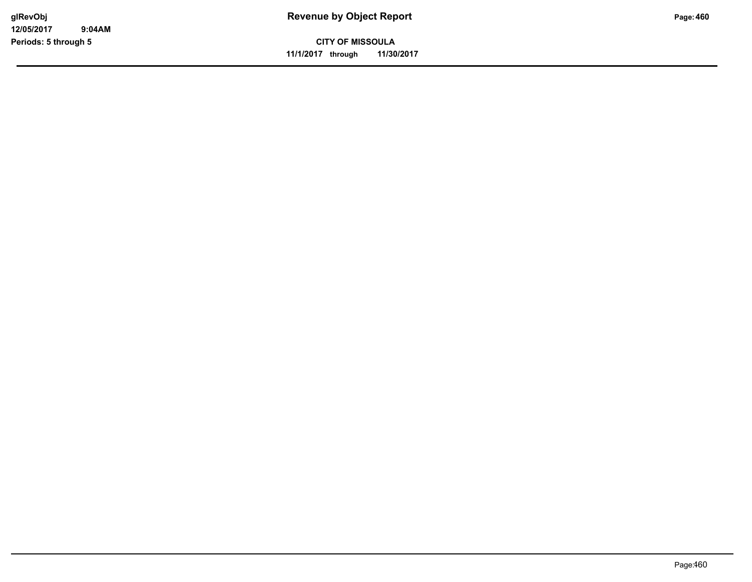**CITY OF MISSOULA 11/1/2017 through 11/30/2017**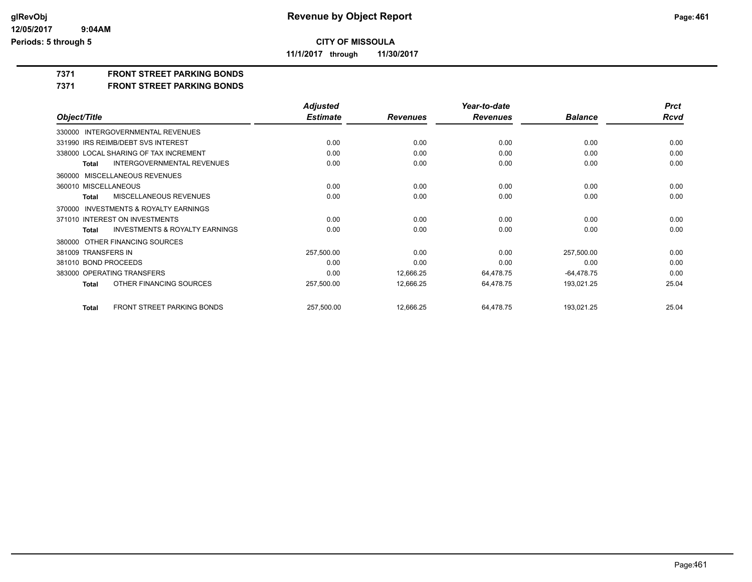**11/1/2017 through 11/30/2017**

#### **7371 FRONT STREET PARKING BONDS**

**7371 FRONT STREET PARKING BONDS**

|                                                     | <b>Adjusted</b> |                 | Year-to-date    |                | <b>Prct</b> |
|-----------------------------------------------------|-----------------|-----------------|-----------------|----------------|-------------|
| Object/Title                                        | <b>Estimate</b> | <b>Revenues</b> | <b>Revenues</b> | <b>Balance</b> | <b>Rcvd</b> |
| 330000 INTERGOVERNMENTAL REVENUES                   |                 |                 |                 |                |             |
| 331990 IRS REIMB/DEBT SVS INTEREST                  | 0.00            | 0.00            | 0.00            | 0.00           | 0.00        |
| 338000 LOCAL SHARING OF TAX INCREMENT               | 0.00            | 0.00            | 0.00            | 0.00           | 0.00        |
| <b>INTERGOVERNMENTAL REVENUES</b><br>Total          | 0.00            | 0.00            | 0.00            | 0.00           | 0.00        |
| 360000 MISCELLANEOUS REVENUES                       |                 |                 |                 |                |             |
| 360010 MISCELLANEOUS                                | 0.00            | 0.00            | 0.00            | 0.00           | 0.00        |
| MISCELLANEOUS REVENUES<br>Total                     | 0.00            | 0.00            | 0.00            | 0.00           | 0.00        |
| <b>INVESTMENTS &amp; ROYALTY EARNINGS</b><br>370000 |                 |                 |                 |                |             |
| 371010 INTEREST ON INVESTMENTS                      | 0.00            | 0.00            | 0.00            | 0.00           | 0.00        |
| <b>INVESTMENTS &amp; ROYALTY EARNINGS</b><br>Total  | 0.00            | 0.00            | 0.00            | 0.00           | 0.00        |
| 380000 OTHER FINANCING SOURCES                      |                 |                 |                 |                |             |
| 381009 TRANSFERS IN                                 | 257,500.00      | 0.00            | 0.00            | 257,500.00     | 0.00        |
| 381010 BOND PROCEEDS                                | 0.00            | 0.00            | 0.00            | 0.00           | 0.00        |
| 383000 OPERATING TRANSFERS                          | 0.00            | 12,666.25       | 64,478.75       | $-64,478.75$   | 0.00        |
| OTHER FINANCING SOURCES<br>Total                    | 257,500.00      | 12,666.25       | 64,478.75       | 193,021.25     | 25.04       |
| FRONT STREET PARKING BONDS<br>Total                 | 257,500.00      | 12,666.25       | 64,478.75       | 193,021.25     | 25.04       |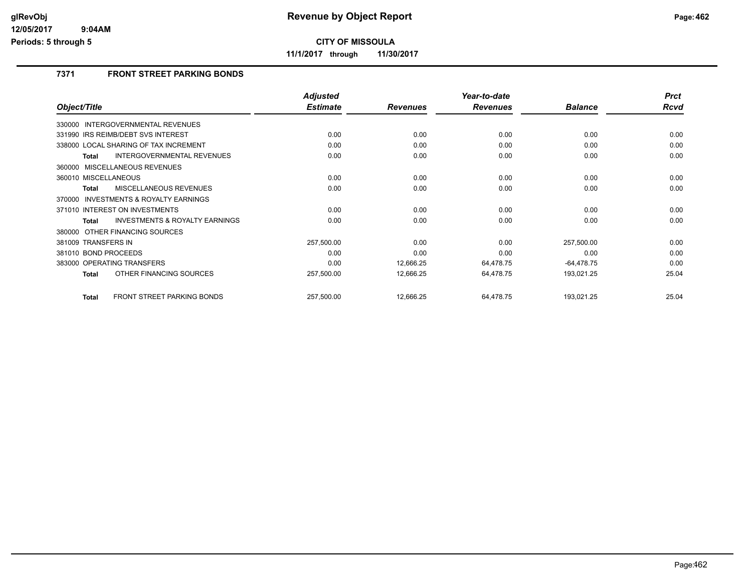**11/1/2017 through 11/30/2017**

#### **7371 FRONT STREET PARKING BONDS**

|                                                   | <b>Adjusted</b> |                 | Year-to-date    |                | <b>Prct</b> |
|---------------------------------------------------|-----------------|-----------------|-----------------|----------------|-------------|
| Object/Title                                      | <b>Estimate</b> | <b>Revenues</b> | <b>Revenues</b> | <b>Balance</b> | Rcvd        |
| 330000 INTERGOVERNMENTAL REVENUES                 |                 |                 |                 |                |             |
| 331990 IRS REIMB/DEBT SVS INTEREST                | 0.00            | 0.00            | 0.00            | 0.00           | 0.00        |
| 338000 LOCAL SHARING OF TAX INCREMENT             | 0.00            | 0.00            | 0.00            | 0.00           | 0.00        |
| <b>INTERGOVERNMENTAL REVENUES</b><br><b>Total</b> | 0.00            | 0.00            | 0.00            | 0.00           | 0.00        |
| 360000 MISCELLANEOUS REVENUES                     |                 |                 |                 |                |             |
| 360010 MISCELLANEOUS                              | 0.00            | 0.00            | 0.00            | 0.00           | 0.00        |
| MISCELLANEOUS REVENUES<br><b>Total</b>            | 0.00            | 0.00            | 0.00            | 0.00           | 0.00        |
| INVESTMENTS & ROYALTY EARNINGS<br>370000          |                 |                 |                 |                |             |
| 371010 INTEREST ON INVESTMENTS                    | 0.00            | 0.00            | 0.00            | 0.00           | 0.00        |
| INVESTMENTS & ROYALTY EARNINGS<br><b>Total</b>    | 0.00            | 0.00            | 0.00            | 0.00           | 0.00        |
| 380000 OTHER FINANCING SOURCES                    |                 |                 |                 |                |             |
| 381009 TRANSFERS IN                               | 257,500.00      | 0.00            | 0.00            | 257,500.00     | 0.00        |
| 381010 BOND PROCEEDS                              | 0.00            | 0.00            | 0.00            | 0.00           | 0.00        |
| 383000 OPERATING TRANSFERS                        | 0.00            | 12,666.25       | 64,478.75       | $-64,478.75$   | 0.00        |
| OTHER FINANCING SOURCES<br><b>Total</b>           | 257,500.00      | 12,666.25       | 64,478.75       | 193,021.25     | 25.04       |
| <b>FRONT STREET PARKING BONDS</b><br><b>Total</b> | 257,500.00      | 12,666.25       | 64,478.75       | 193,021.25     | 25.04       |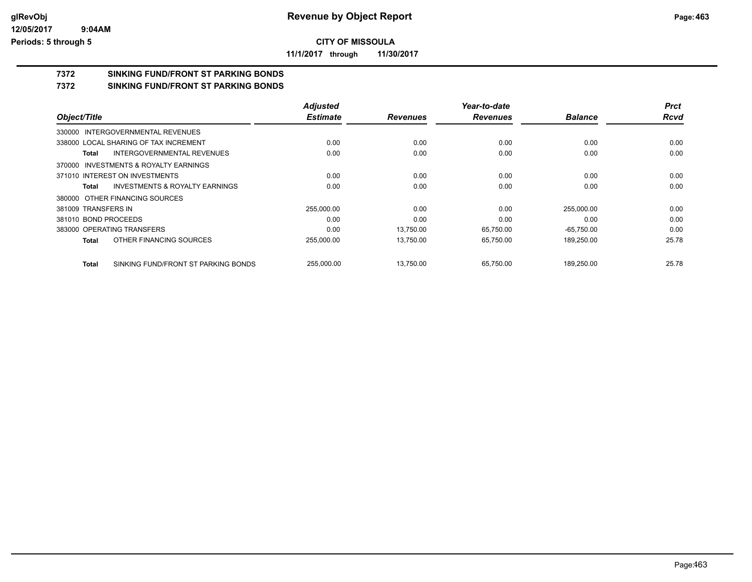**11/1/2017 through 11/30/2017**

# **7372 SINKING FUND/FRONT ST PARKING BONDS**

#### **7372 SINKING FUND/FRONT ST PARKING BONDS**

|                                                    | <b>Adjusted</b> |                 | Year-to-date    |                | <b>Prct</b> |
|----------------------------------------------------|-----------------|-----------------|-----------------|----------------|-------------|
| Object/Title                                       | <b>Estimate</b> | <b>Revenues</b> | <b>Revenues</b> | <b>Balance</b> | <b>Rcvd</b> |
| 330000 INTERGOVERNMENTAL REVENUES                  |                 |                 |                 |                |             |
| 338000 LOCAL SHARING OF TAX INCREMENT              | 0.00            | 0.00            | 0.00            | 0.00           | 0.00        |
| INTERGOVERNMENTAL REVENUES<br>Total                | 0.00            | 0.00            | 0.00            | 0.00           | 0.00        |
| 370000 INVESTMENTS & ROYALTY EARNINGS              |                 |                 |                 |                |             |
| 371010 INTEREST ON INVESTMENTS                     | 0.00            | 0.00            | 0.00            | 0.00           | 0.00        |
| <b>INVESTMENTS &amp; ROYALTY EARNINGS</b><br>Total | 0.00            | 0.00            | 0.00            | 0.00           | 0.00        |
| 380000 OTHER FINANCING SOURCES                     |                 |                 |                 |                |             |
| 381009 TRANSFERS IN                                | 255,000.00      | 0.00            | 0.00            | 255,000.00     | 0.00        |
| 381010 BOND PROCEEDS                               | 0.00            | 0.00            | 0.00            | 0.00           | 0.00        |
| 383000 OPERATING TRANSFERS                         | 0.00            | 13.750.00       | 65,750.00       | $-65,750.00$   | 0.00        |
| OTHER FINANCING SOURCES<br>Total                   | 255,000.00      | 13.750.00       | 65,750.00       | 189,250.00     | 25.78       |
| SINKING FUND/FRONT ST PARKING BONDS<br>Total       | 255.000.00      | 13.750.00       | 65,750.00       | 189.250.00     | 25.78       |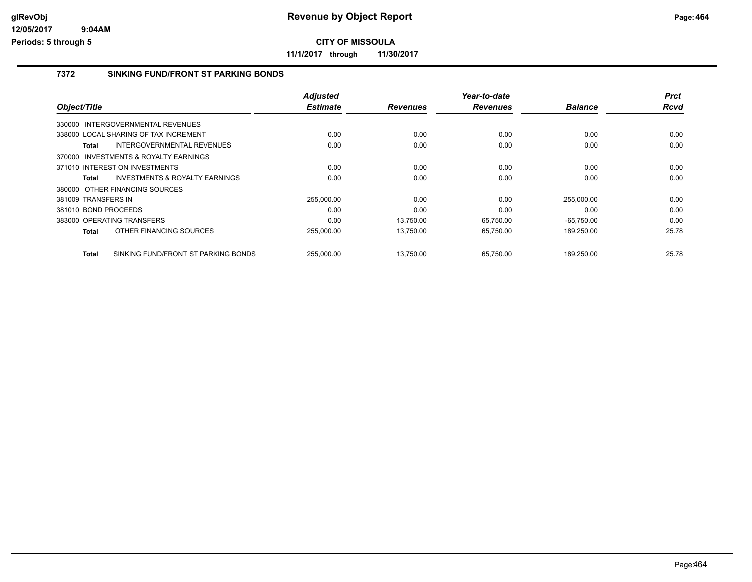**11/1/2017 through 11/30/2017**

#### **7372 SINKING FUND/FRONT ST PARKING BONDS**

| Object/Title                                        |                                           | <b>Adjusted</b><br><b>Estimate</b> | <b>Revenues</b> | Year-to-date<br><b>Revenues</b> | <b>Balance</b> | <b>Prct</b><br>Rcvd |
|-----------------------------------------------------|-------------------------------------------|------------------------------------|-----------------|---------------------------------|----------------|---------------------|
| 330000 INTERGOVERNMENTAL REVENUES                   |                                           |                                    |                 |                                 |                |                     |
| 338000 LOCAL SHARING OF TAX INCREMENT               |                                           | 0.00                               | 0.00            | 0.00                            | 0.00           | 0.00                |
| <b>Total</b>                                        | <b>INTERGOVERNMENTAL REVENUES</b>         | 0.00                               | 0.00            | 0.00                            | 0.00           | 0.00                |
| <b>INVESTMENTS &amp; ROYALTY EARNINGS</b><br>370000 |                                           |                                    |                 |                                 |                |                     |
| 371010 INTEREST ON INVESTMENTS                      |                                           | 0.00                               | 0.00            | 0.00                            | 0.00           | 0.00                |
| Total                                               | <b>INVESTMENTS &amp; ROYALTY EARNINGS</b> | 0.00                               | 0.00            | 0.00                            | 0.00           | 0.00                |
| 380000 OTHER FINANCING SOURCES                      |                                           |                                    |                 |                                 |                |                     |
| 381009 TRANSFERS IN                                 |                                           | 255,000.00                         | 0.00            | 0.00                            | 255,000.00     | 0.00                |
| 381010 BOND PROCEEDS                                |                                           | 0.00                               | 0.00            | 0.00                            | 0.00           | 0.00                |
| 383000 OPERATING TRANSFERS                          |                                           | 0.00                               | 13.750.00       | 65,750.00                       | $-65,750.00$   | 0.00                |
| OTHER FINANCING SOURCES<br><b>Total</b>             |                                           | 255,000.00                         | 13.750.00       | 65.750.00                       | 189,250.00     | 25.78               |
| <b>Total</b>                                        | SINKING FUND/FRONT ST PARKING BONDS       | 255.000.00                         | 13.750.00       | 65.750.00                       | 189.250.00     | 25.78               |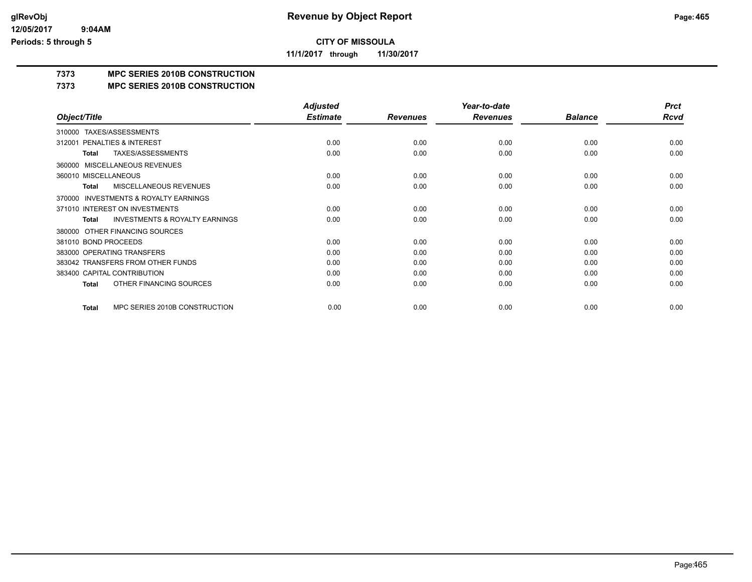**11/1/2017 through 11/30/2017**

#### **7373 MPC SERIES 2010B CONSTRUCTION**

#### **7373 MPC SERIES 2010B CONSTRUCTION**

|                                                           | <b>Adjusted</b> |                 | Year-to-date    |                | <b>Prct</b> |
|-----------------------------------------------------------|-----------------|-----------------|-----------------|----------------|-------------|
| Object/Title                                              | <b>Estimate</b> | <b>Revenues</b> | <b>Revenues</b> | <b>Balance</b> | <b>Rcvd</b> |
| 310000 TAXES/ASSESSMENTS                                  |                 |                 |                 |                |             |
| PENALTIES & INTEREST<br>312001                            | 0.00            | 0.00            | 0.00            | 0.00           | 0.00        |
| TAXES/ASSESSMENTS<br><b>Total</b>                         | 0.00            | 0.00            | 0.00            | 0.00           | 0.00        |
| 360000 MISCELLANEOUS REVENUES                             |                 |                 |                 |                |             |
| 360010 MISCELLANEOUS                                      | 0.00            | 0.00            | 0.00            | 0.00           | 0.00        |
| <b>MISCELLANEOUS REVENUES</b><br><b>Total</b>             | 0.00            | 0.00            | 0.00            | 0.00           | 0.00        |
| <b>INVESTMENTS &amp; ROYALTY EARNINGS</b><br>370000       |                 |                 |                 |                |             |
| 371010 INTEREST ON INVESTMENTS                            | 0.00            | 0.00            | 0.00            | 0.00           | 0.00        |
| <b>INVESTMENTS &amp; ROYALTY EARNINGS</b><br><b>Total</b> | 0.00            | 0.00            | 0.00            | 0.00           | 0.00        |
| OTHER FINANCING SOURCES<br>380000                         |                 |                 |                 |                |             |
| 381010 BOND PROCEEDS                                      | 0.00            | 0.00            | 0.00            | 0.00           | 0.00        |
| 383000 OPERATING TRANSFERS                                | 0.00            | 0.00            | 0.00            | 0.00           | 0.00        |
| 383042 TRANSFERS FROM OTHER FUNDS                         | 0.00            | 0.00            | 0.00            | 0.00           | 0.00        |
| 383400 CAPITAL CONTRIBUTION                               | 0.00            | 0.00            | 0.00            | 0.00           | 0.00        |
| OTHER FINANCING SOURCES<br><b>Total</b>                   | 0.00            | 0.00            | 0.00            | 0.00           | 0.00        |
| MPC SERIES 2010B CONSTRUCTION<br><b>Total</b>             | 0.00            | 0.00            | 0.00            | 0.00           | 0.00        |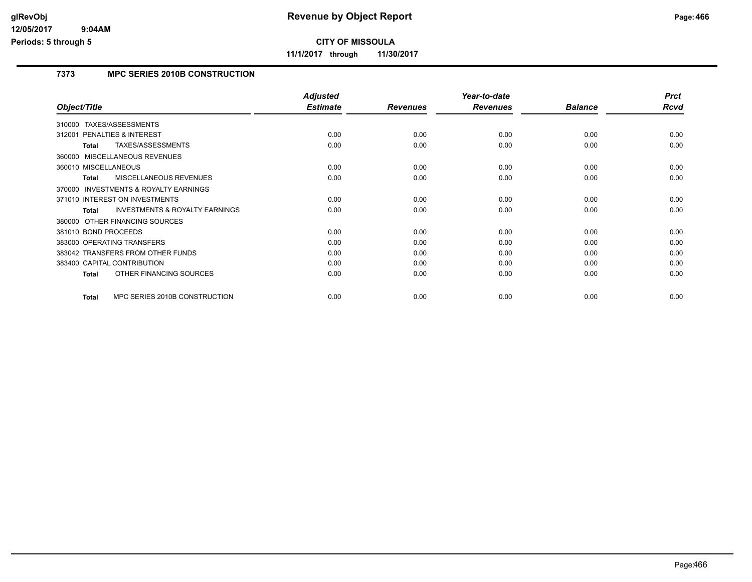**11/1/2017 through 11/30/2017**

#### **7373 MPC SERIES 2010B CONSTRUCTION**

|                                                           | <b>Adjusted</b> |                 | Year-to-date    |                | <b>Prct</b> |
|-----------------------------------------------------------|-----------------|-----------------|-----------------|----------------|-------------|
| Object/Title                                              | <b>Estimate</b> | <b>Revenues</b> | <b>Revenues</b> | <b>Balance</b> | Rcvd        |
| TAXES/ASSESSMENTS<br>310000                               |                 |                 |                 |                |             |
| 312001 PENALTIES & INTEREST                               | 0.00            | 0.00            | 0.00            | 0.00           | 0.00        |
| TAXES/ASSESSMENTS<br><b>Total</b>                         | 0.00            | 0.00            | 0.00            | 0.00           | 0.00        |
| 360000 MISCELLANEOUS REVENUES                             |                 |                 |                 |                |             |
| 360010 MISCELLANEOUS                                      | 0.00            | 0.00            | 0.00            | 0.00           | 0.00        |
| <b>MISCELLANEOUS REVENUES</b><br><b>Total</b>             | 0.00            | 0.00            | 0.00            | 0.00           | 0.00        |
| <b>INVESTMENTS &amp; ROYALTY EARNINGS</b><br>370000       |                 |                 |                 |                |             |
| 371010 INTEREST ON INVESTMENTS                            | 0.00            | 0.00            | 0.00            | 0.00           | 0.00        |
| <b>INVESTMENTS &amp; ROYALTY EARNINGS</b><br><b>Total</b> | 0.00            | 0.00            | 0.00            | 0.00           | 0.00        |
| 380000 OTHER FINANCING SOURCES                            |                 |                 |                 |                |             |
| 381010 BOND PROCEEDS                                      | 0.00            | 0.00            | 0.00            | 0.00           | 0.00        |
| 383000 OPERATING TRANSFERS                                | 0.00            | 0.00            | 0.00            | 0.00           | 0.00        |
| 383042 TRANSFERS FROM OTHER FUNDS                         | 0.00            | 0.00            | 0.00            | 0.00           | 0.00        |
| 383400 CAPITAL CONTRIBUTION                               | 0.00            | 0.00            | 0.00            | 0.00           | 0.00        |
| OTHER FINANCING SOURCES<br>Total                          | 0.00            | 0.00            | 0.00            | 0.00           | 0.00        |
| MPC SERIES 2010B CONSTRUCTION<br>Total                    | 0.00            | 0.00            | 0.00            | 0.00           | 0.00        |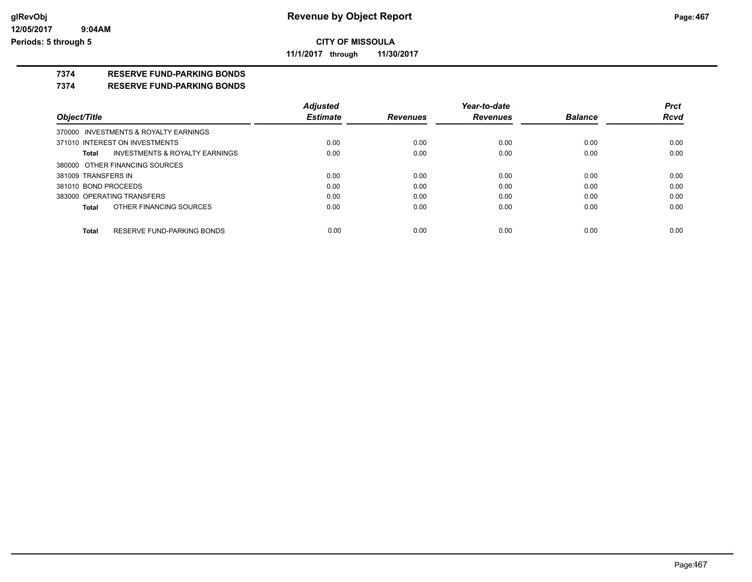**11/1/2017 through 11/30/2017**

#### **7374 RESERVE FUND-PARKING BONDS**

#### **7374 RESERVE FUND-PARKING BONDS**

|                      |                                       | <b>Adjusted</b> |                 | Year-to-date    |                | <b>Prct</b> |
|----------------------|---------------------------------------|-----------------|-----------------|-----------------|----------------|-------------|
| Object/Title         |                                       | <b>Estimate</b> | <b>Revenues</b> | <b>Revenues</b> | <b>Balance</b> | <b>Rcvd</b> |
|                      | 370000 INVESTMENTS & ROYALTY EARNINGS |                 |                 |                 |                |             |
|                      | 371010 INTEREST ON INVESTMENTS        | 0.00            | 0.00            | 0.00            | 0.00           | 0.00        |
| Total                | INVESTMENTS & ROYALTY EARNINGS        | 0.00            | 0.00            | 0.00            | 0.00           | 0.00        |
|                      | 380000 OTHER FINANCING SOURCES        |                 |                 |                 |                |             |
| 381009 TRANSFERS IN  |                                       | 0.00            | 0.00            | 0.00            | 0.00           | 0.00        |
| 381010 BOND PROCEEDS |                                       | 0.00            | 0.00            | 0.00            | 0.00           | 0.00        |
|                      | 383000 OPERATING TRANSFERS            | 0.00            | 0.00            | 0.00            | 0.00           | 0.00        |
| Total                | OTHER FINANCING SOURCES               | 0.00            | 0.00            | 0.00            | 0.00           | 0.00        |
|                      |                                       |                 |                 |                 |                |             |
| Total                | RESERVE FUND-PARKING BONDS            | 0.00            | 0.00            | 0.00            | 0.00           | 0.00        |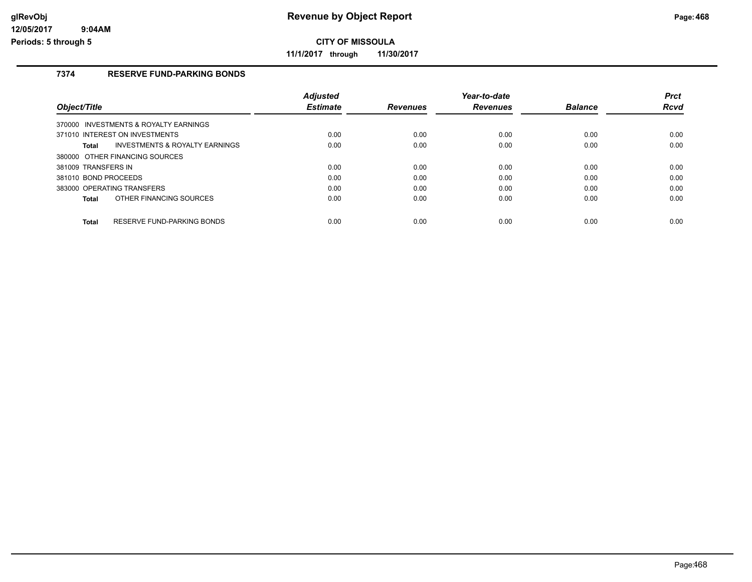**11/1/2017 through 11/30/2017**

#### **7374 RESERVE FUND-PARKING BONDS**

|                                            | <b>Adjusted</b> |                 | Year-to-date    |                | <b>Prct</b> |
|--------------------------------------------|-----------------|-----------------|-----------------|----------------|-------------|
| Object/Title                               | <b>Estimate</b> | <b>Revenues</b> | <b>Revenues</b> | <b>Balance</b> | <b>Rcvd</b> |
| 370000 INVESTMENTS & ROYALTY EARNINGS      |                 |                 |                 |                |             |
| 371010 INTEREST ON INVESTMENTS             | 0.00            | 0.00            | 0.00            | 0.00           | 0.00        |
| INVESTMENTS & ROYALTY EARNINGS<br>Total    | 0.00            | 0.00            | 0.00            | 0.00           | 0.00        |
| 380000 OTHER FINANCING SOURCES             |                 |                 |                 |                |             |
| 381009 TRANSFERS IN                        | 0.00            | 0.00            | 0.00            | 0.00           | 0.00        |
| 381010 BOND PROCEEDS                       | 0.00            | 0.00            | 0.00            | 0.00           | 0.00        |
| 383000 OPERATING TRANSFERS                 | 0.00            | 0.00            | 0.00            | 0.00           | 0.00        |
| OTHER FINANCING SOURCES<br>Total           | 0.00            | 0.00            | 0.00            | 0.00           | 0.00        |
| RESERVE FUND-PARKING BONDS<br><b>Total</b> | 0.00            | 0.00            | 0.00            | 0.00           | 0.00        |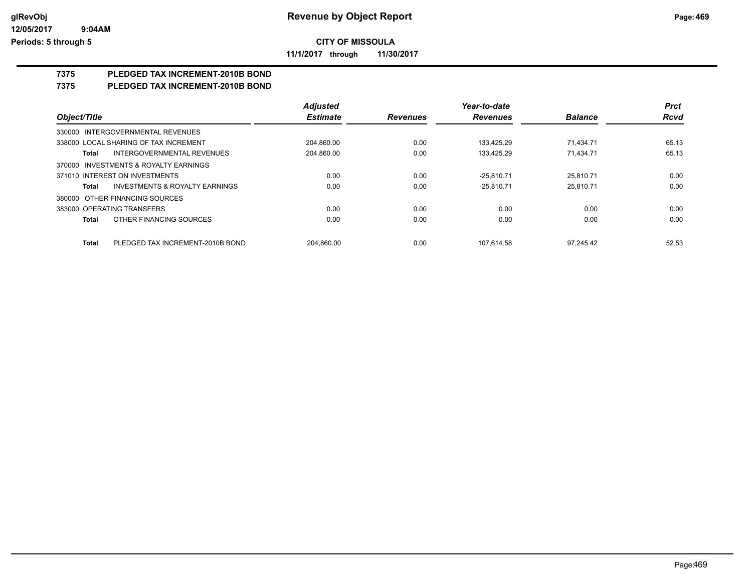**11/1/2017 through 11/30/2017**

# **7375 PLEDGED TAX INCREMENT-2010B BOND**

# **7375 PLEDGED TAX INCREMENT-2010B BOND**

|                                                    | <b>Adjusted</b> |                 | Year-to-date    |                | <b>Prct</b> |
|----------------------------------------------------|-----------------|-----------------|-----------------|----------------|-------------|
| Object/Title                                       | <b>Estimate</b> | <b>Revenues</b> | <b>Revenues</b> | <b>Balance</b> | <b>Rcvd</b> |
| 330000 INTERGOVERNMENTAL REVENUES                  |                 |                 |                 |                |             |
| 338000 LOCAL SHARING OF TAX INCREMENT              | 204,860.00      | 0.00            | 133,425.29      | 71.434.71      | 65.13       |
| <b>INTERGOVERNMENTAL REVENUES</b><br>Total         | 204,860.00      | 0.00            | 133.425.29      | 71.434.71      | 65.13       |
| 370000 INVESTMENTS & ROYALTY EARNINGS              |                 |                 |                 |                |             |
| 371010 INTEREST ON INVESTMENTS                     | 0.00            | 0.00            | $-25.810.71$    | 25.810.71      | 0.00        |
| <b>INVESTMENTS &amp; ROYALTY EARNINGS</b><br>Total | 0.00            | 0.00            | $-25.810.71$    | 25.810.71      | 0.00        |
| 380000 OTHER FINANCING SOURCES                     |                 |                 |                 |                |             |
| 383000 OPERATING TRANSFERS                         | 0.00            | 0.00            | 0.00            | 0.00           | 0.00        |
| OTHER FINANCING SOURCES<br><b>Total</b>            | 0.00            | 0.00            | 0.00            | 0.00           | 0.00        |
| PLEDGED TAX INCREMENT-2010B BOND<br><b>Total</b>   | 204.860.00      | 0.00            | 107.614.58      | 97.245.42      | 52.53       |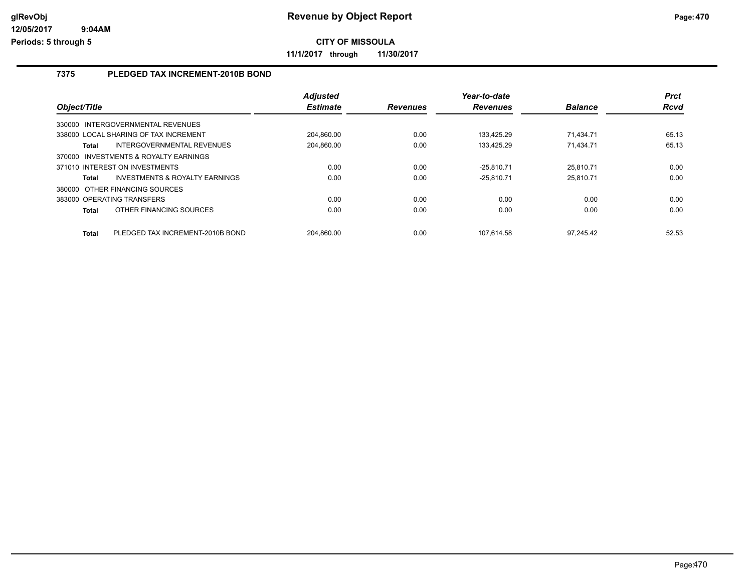**11/1/2017 through 11/30/2017**

### **7375 PLEDGED TAX INCREMENT-2010B BOND**

| Object/Title |                                       | <b>Adjusted</b><br><b>Estimate</b> | <b>Revenues</b> | Year-to-date<br><b>Revenues</b> | <b>Balance</b> | <b>Prct</b><br><b>Rcvd</b> |
|--------------|---------------------------------------|------------------------------------|-----------------|---------------------------------|----------------|----------------------------|
|              | 330000 INTERGOVERNMENTAL REVENUES     |                                    |                 |                                 |                |                            |
|              | 338000 LOCAL SHARING OF TAX INCREMENT | 204.860.00                         | 0.00            | 133.425.29                      | 71.434.71      | 65.13                      |
| Total        | INTERGOVERNMENTAL REVENUES            | 204.860.00                         | 0.00            | 133.425.29                      | 71.434.71      | 65.13                      |
|              | 370000 INVESTMENTS & ROYALTY EARNINGS |                                    |                 |                                 |                |                            |
|              | 371010 INTEREST ON INVESTMENTS        | 0.00                               | 0.00            | $-25.810.71$                    | 25.810.71      | 0.00                       |
| Total        | INVESTMENTS & ROYALTY EARNINGS        | 0.00                               | 0.00            | $-25.810.71$                    | 25.810.71      | 0.00                       |
|              | 380000 OTHER FINANCING SOURCES        |                                    |                 |                                 |                |                            |
|              | 383000 OPERATING TRANSFERS            | 0.00                               | 0.00            | 0.00                            | 0.00           | 0.00                       |
| Total        | OTHER FINANCING SOURCES               | 0.00                               | 0.00            | 0.00                            | 0.00           | 0.00                       |
| <b>Total</b> | PLEDGED TAX INCREMENT-2010B BOND      | 204.860.00                         | 0.00            | 107.614.58                      | 97.245.42      | 52.53                      |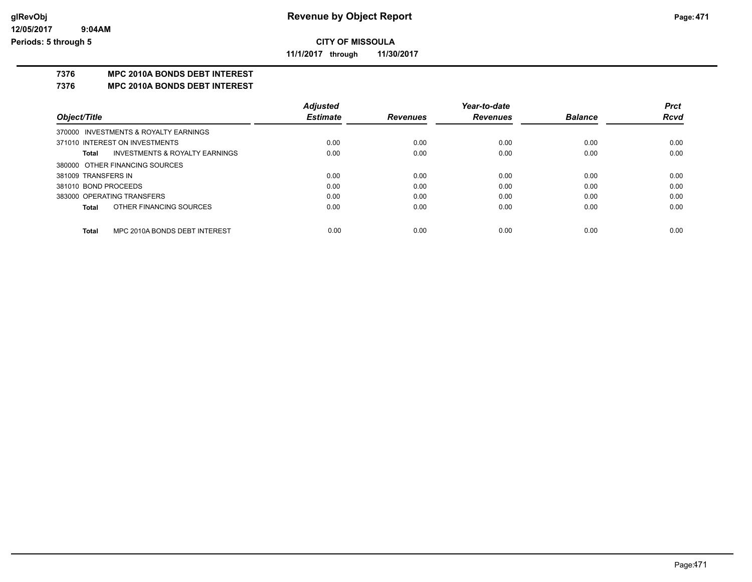**11/1/2017 through 11/30/2017**

# **7376 MPC 2010A BONDS DEBT INTEREST**

#### **7376 MPC 2010A BONDS DEBT INTEREST**

|                      |                                       | <b>Adjusted</b> |                 | Year-to-date    |                | <b>Prct</b> |
|----------------------|---------------------------------------|-----------------|-----------------|-----------------|----------------|-------------|
| Object/Title         |                                       | <b>Estimate</b> | <b>Revenues</b> | <b>Revenues</b> | <b>Balance</b> | <b>Rcvd</b> |
|                      | 370000 INVESTMENTS & ROYALTY EARNINGS |                 |                 |                 |                |             |
|                      | 371010 INTEREST ON INVESTMENTS        | 0.00            | 0.00            | 0.00            | 0.00           | 0.00        |
| Total                | INVESTMENTS & ROYALTY EARNINGS        | 0.00            | 0.00            | 0.00            | 0.00           | 0.00        |
|                      | 380000 OTHER FINANCING SOURCES        |                 |                 |                 |                |             |
| 381009 TRANSFERS IN  |                                       | 0.00            | 0.00            | 0.00            | 0.00           | 0.00        |
| 381010 BOND PROCEEDS |                                       | 0.00            | 0.00            | 0.00            | 0.00           | 0.00        |
|                      | 383000 OPERATING TRANSFERS            | 0.00            | 0.00            | 0.00            | 0.00           | 0.00        |
| Total                | OTHER FINANCING SOURCES               | 0.00            | 0.00            | 0.00            | 0.00           | 0.00        |
| Total                | MPC 2010A BONDS DEBT INTEREST         | 0.00            | 0.00            | 0.00            | 0.00           | 0.00        |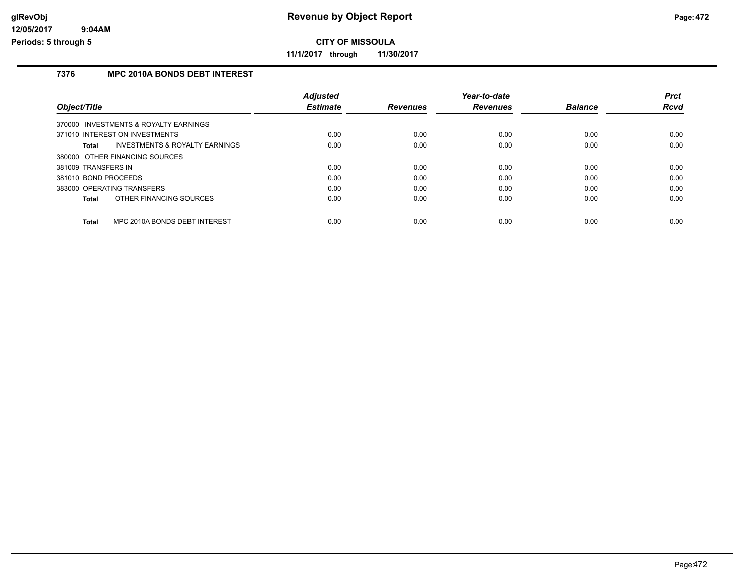**11/1/2017 through 11/30/2017**

# **7376 MPC 2010A BONDS DEBT INTEREST**

|                                               | <b>Adjusted</b> |                 | Year-to-date    |                | <b>Prct</b> |
|-----------------------------------------------|-----------------|-----------------|-----------------|----------------|-------------|
| Object/Title                                  | <b>Estimate</b> | <b>Revenues</b> | <b>Revenues</b> | <b>Balance</b> | <b>Rcvd</b> |
| 370000 INVESTMENTS & ROYALTY EARNINGS         |                 |                 |                 |                |             |
| 371010 INTEREST ON INVESTMENTS                | 0.00            | 0.00            | 0.00            | 0.00           | 0.00        |
| INVESTMENTS & ROYALTY EARNINGS<br>Total       | 0.00            | 0.00            | 0.00            | 0.00           | 0.00        |
| 380000 OTHER FINANCING SOURCES                |                 |                 |                 |                |             |
| 381009 TRANSFERS IN                           | 0.00            | 0.00            | 0.00            | 0.00           | 0.00        |
| 381010 BOND PROCEEDS                          | 0.00            | 0.00            | 0.00            | 0.00           | 0.00        |
| 383000 OPERATING TRANSFERS                    | 0.00            | 0.00            | 0.00            | 0.00           | 0.00        |
| OTHER FINANCING SOURCES<br>Total              | 0.00            | 0.00            | 0.00            | 0.00           | 0.00        |
| MPC 2010A BONDS DEBT INTEREST<br><b>Total</b> | 0.00            | 0.00            | 0.00            | 0.00           | 0.00        |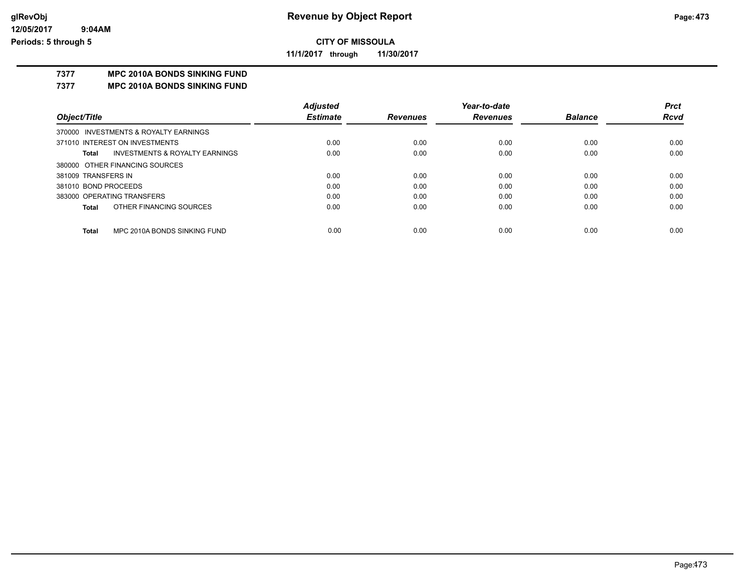**11/1/2017 through 11/30/2017**

# **7377 MPC 2010A BONDS SINKING FUND**

**7377 MPC 2010A BONDS SINKING FUND**

|                                                           | <b>Adjusted</b> |                 | Year-to-date    |                | <b>Prct</b> |
|-----------------------------------------------------------|-----------------|-----------------|-----------------|----------------|-------------|
| Object/Title                                              | <b>Estimate</b> | <b>Revenues</b> | <b>Revenues</b> | <b>Balance</b> | <b>Rcvd</b> |
| 370000 INVESTMENTS & ROYALTY EARNINGS                     |                 |                 |                 |                |             |
| 371010 INTEREST ON INVESTMENTS                            | 0.00            | 0.00            | 0.00            | 0.00           | 0.00        |
| <b>INVESTMENTS &amp; ROYALTY EARNINGS</b><br><b>Total</b> | 0.00            | 0.00            | 0.00            | 0.00           | 0.00        |
| 380000 OTHER FINANCING SOURCES                            |                 |                 |                 |                |             |
| 381009 TRANSFERS IN                                       | 0.00            | 0.00            | 0.00            | 0.00           | 0.00        |
| 381010 BOND PROCEEDS                                      | 0.00            | 0.00            | 0.00            | 0.00           | 0.00        |
| 383000 OPERATING TRANSFERS                                | 0.00            | 0.00            | 0.00            | 0.00           | 0.00        |
| OTHER FINANCING SOURCES<br><b>Total</b>                   | 0.00            | 0.00            | 0.00            | 0.00           | 0.00        |
| MPC 2010A BONDS SINKING FUND<br><b>Total</b>              | 0.00            | 0.00            | 0.00            | 0.00           | 0.00        |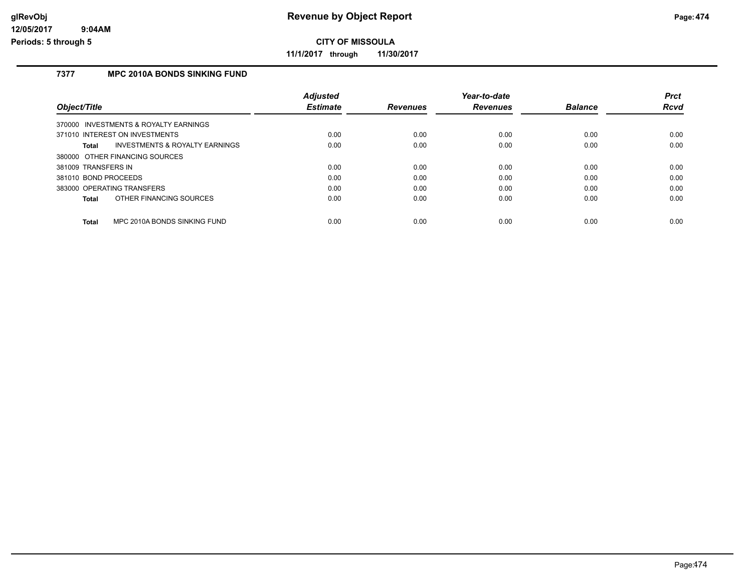**11/1/2017 through 11/30/2017**

# **7377 MPC 2010A BONDS SINKING FUND**

|                                                           | <b>Adjusted</b> |                 | Year-to-date    |                | <b>Prct</b> |
|-----------------------------------------------------------|-----------------|-----------------|-----------------|----------------|-------------|
| Object/Title                                              | <b>Estimate</b> | <b>Revenues</b> | <b>Revenues</b> | <b>Balance</b> | <b>Rcvd</b> |
| 370000 INVESTMENTS & ROYALTY EARNINGS                     |                 |                 |                 |                |             |
| 371010 INTEREST ON INVESTMENTS                            | 0.00            | 0.00            | 0.00            | 0.00           | 0.00        |
| <b>INVESTMENTS &amp; ROYALTY EARNINGS</b><br><b>Total</b> | 0.00            | 0.00            | 0.00            | 0.00           | 0.00        |
| 380000 OTHER FINANCING SOURCES                            |                 |                 |                 |                |             |
| 381009 TRANSFERS IN                                       | 0.00            | 0.00            | 0.00            | 0.00           | 0.00        |
| 381010 BOND PROCEEDS                                      | 0.00            | 0.00            | 0.00            | 0.00           | 0.00        |
| 383000 OPERATING TRANSFERS                                | 0.00            | 0.00            | 0.00            | 0.00           | 0.00        |
| OTHER FINANCING SOURCES<br>Total                          | 0.00            | 0.00            | 0.00            | 0.00           | 0.00        |
| MPC 2010A BONDS SINKING FUND<br>Total                     | 0.00            | 0.00            | 0.00            | 0.00           | 0.00        |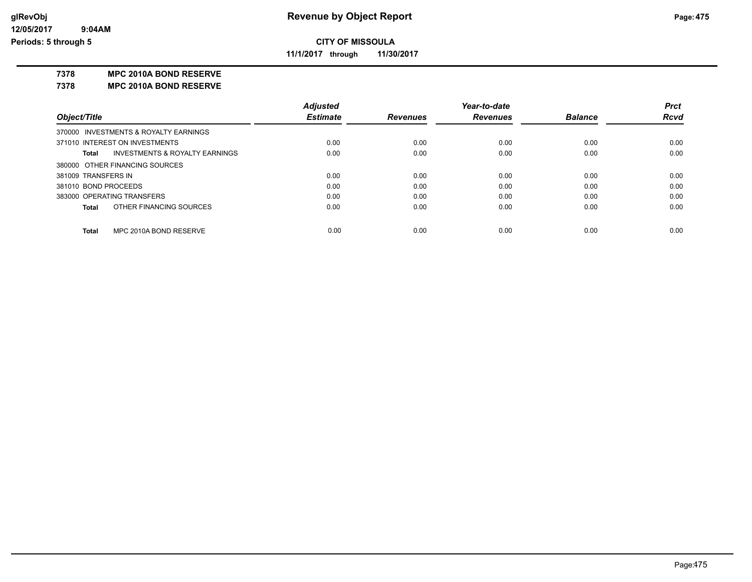**11/1/2017 through 11/30/2017**

#### **7378 MPC 2010A BOND RESERVE**

**7378 MPC 2010A BOND RESERVE**

|                      |                                           | <b>Adjusted</b> |                 | Year-to-date    |                | <b>Prct</b> |
|----------------------|-------------------------------------------|-----------------|-----------------|-----------------|----------------|-------------|
| Object/Title         |                                           | <b>Estimate</b> | <b>Revenues</b> | <b>Revenues</b> | <b>Balance</b> | Rcvd        |
|                      | 370000 INVESTMENTS & ROYALTY EARNINGS     |                 |                 |                 |                |             |
|                      | 371010 INTEREST ON INVESTMENTS            | 0.00            | 0.00            | 0.00            | 0.00           | 0.00        |
| Total                | <b>INVESTMENTS &amp; ROYALTY EARNINGS</b> | 0.00            | 0.00            | 0.00            | 0.00           | 0.00        |
|                      | 380000 OTHER FINANCING SOURCES            |                 |                 |                 |                |             |
| 381009 TRANSFERS IN  |                                           | 0.00            | 0.00            | 0.00            | 0.00           | 0.00        |
| 381010 BOND PROCEEDS |                                           | 0.00            | 0.00            | 0.00            | 0.00           | 0.00        |
|                      | 383000 OPERATING TRANSFERS                | 0.00            | 0.00            | 0.00            | 0.00           | 0.00        |
| Total                | OTHER FINANCING SOURCES                   | 0.00            | 0.00            | 0.00            | 0.00           | 0.00        |
| <b>Total</b>         | MPC 2010A BOND RESERVE                    | 0.00            | 0.00            | 0.00            | 0.00           | 0.00        |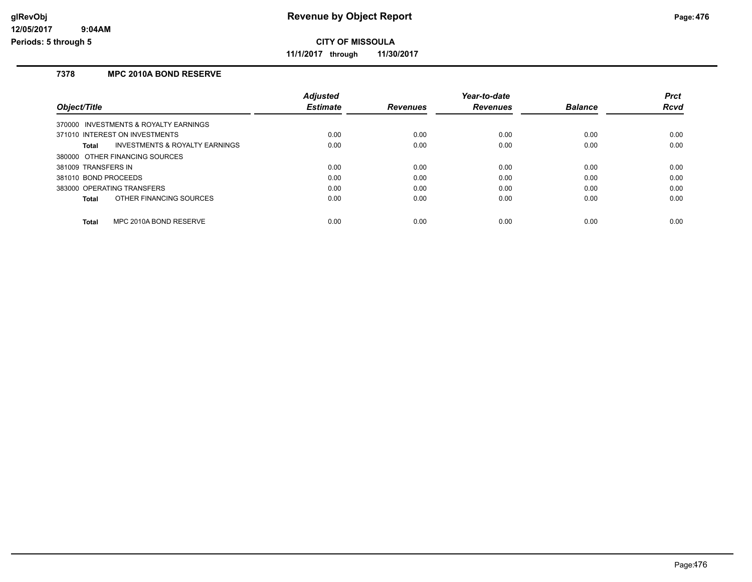**11/1/2017 through 11/30/2017**

## **7378 MPC 2010A BOND RESERVE**

|                      |                                           | <b>Adjusted</b> |                 | Year-to-date    |                | <b>Prct</b> |
|----------------------|-------------------------------------------|-----------------|-----------------|-----------------|----------------|-------------|
| Object/Title         |                                           | <b>Estimate</b> | <b>Revenues</b> | <b>Revenues</b> | <b>Balance</b> | <b>Rcvd</b> |
|                      | 370000 INVESTMENTS & ROYALTY EARNINGS     |                 |                 |                 |                |             |
|                      | 371010 INTEREST ON INVESTMENTS            | 0.00            | 0.00            | 0.00            | 0.00           | 0.00        |
| Total                | <b>INVESTMENTS &amp; ROYALTY EARNINGS</b> | 0.00            | 0.00            | 0.00            | 0.00           | 0.00        |
|                      | 380000 OTHER FINANCING SOURCES            |                 |                 |                 |                |             |
| 381009 TRANSFERS IN  |                                           | 0.00            | 0.00            | 0.00            | 0.00           | 0.00        |
| 381010 BOND PROCEEDS |                                           | 0.00            | 0.00            | 0.00            | 0.00           | 0.00        |
|                      | 383000 OPERATING TRANSFERS                | 0.00            | 0.00            | 0.00            | 0.00           | 0.00        |
| Total                | OTHER FINANCING SOURCES                   | 0.00            | 0.00            | 0.00            | 0.00           | 0.00        |
| Total                | MPC 2010A BOND RESERVE                    | 0.00            | 0.00            | 0.00            | 0.00           | 0.00        |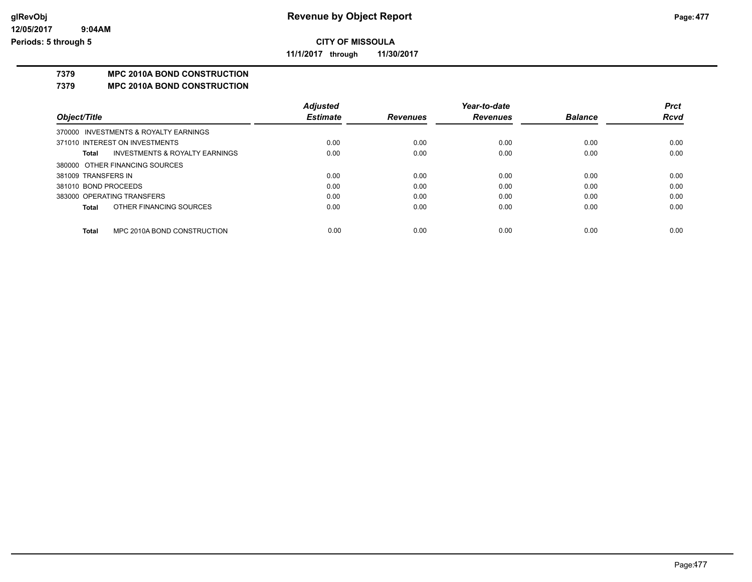**11/1/2017 through 11/30/2017**

# **7379 MPC 2010A BOND CONSTRUCTION**

#### **7379 MPC 2010A BOND CONSTRUCTION**

|                      |                                       | <b>Adjusted</b> |                 | Year-to-date    |                | <b>Prct</b> |
|----------------------|---------------------------------------|-----------------|-----------------|-----------------|----------------|-------------|
| Object/Title         |                                       | <b>Estimate</b> | <b>Revenues</b> | <b>Revenues</b> | <b>Balance</b> | <b>Rcvd</b> |
|                      | 370000 INVESTMENTS & ROYALTY EARNINGS |                 |                 |                 |                |             |
|                      | 371010 INTEREST ON INVESTMENTS        | 0.00            | 0.00            | 0.00            | 0.00           | 0.00        |
| Total                | INVESTMENTS & ROYALTY EARNINGS        | 0.00            | 0.00            | 0.00            | 0.00           | 0.00        |
|                      | 380000 OTHER FINANCING SOURCES        |                 |                 |                 |                |             |
| 381009 TRANSFERS IN  |                                       | 0.00            | 0.00            | 0.00            | 0.00           | 0.00        |
| 381010 BOND PROCEEDS |                                       | 0.00            | 0.00            | 0.00            | 0.00           | 0.00        |
|                      | 383000 OPERATING TRANSFERS            | 0.00            | 0.00            | 0.00            | 0.00           | 0.00        |
| Total                | OTHER FINANCING SOURCES               | 0.00            | 0.00            | 0.00            | 0.00           | 0.00        |
|                      |                                       |                 |                 |                 |                |             |
| Total                | MPC 2010A BOND CONSTRUCTION           | 0.00            | 0.00            | 0.00            | 0.00           | 0.00        |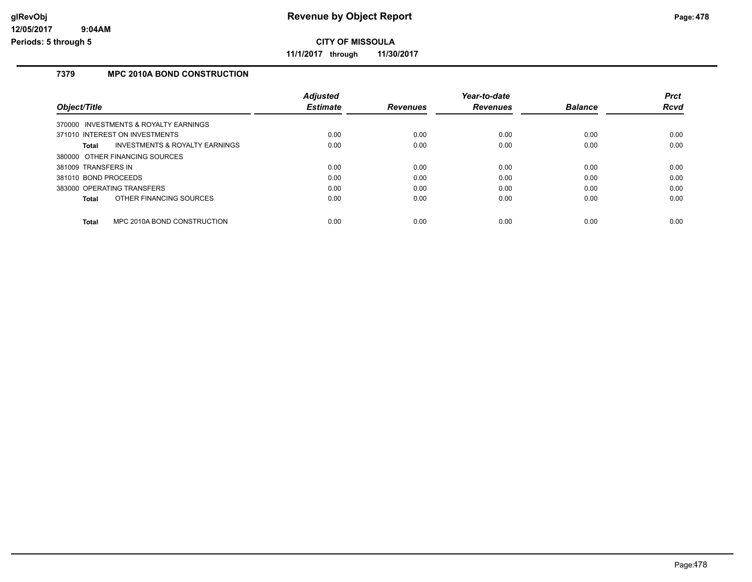**11/1/2017 through 11/30/2017**

# **7379 MPC 2010A BOND CONSTRUCTION**

|                                                    | <b>Adjusted</b> |                 | Year-to-date    |                | <b>Prct</b> |
|----------------------------------------------------|-----------------|-----------------|-----------------|----------------|-------------|
| Object/Title                                       | <b>Estimate</b> | <b>Revenues</b> | <b>Revenues</b> | <b>Balance</b> | <b>Rcvd</b> |
| 370000 INVESTMENTS & ROYALTY EARNINGS              |                 |                 |                 |                |             |
| 371010 INTEREST ON INVESTMENTS                     | 0.00            | 0.00            | 0.00            | 0.00           | 0.00        |
| <b>INVESTMENTS &amp; ROYALTY EARNINGS</b><br>Total | 0.00            | 0.00            | 0.00            | 0.00           | 0.00        |
| 380000 OTHER FINANCING SOURCES                     |                 |                 |                 |                |             |
| 381009 TRANSFERS IN                                | 0.00            | 0.00            | 0.00            | 0.00           | 0.00        |
| 381010 BOND PROCEEDS                               | 0.00            | 0.00            | 0.00            | 0.00           | 0.00        |
| 383000 OPERATING TRANSFERS                         | 0.00            | 0.00            | 0.00            | 0.00           | 0.00        |
| OTHER FINANCING SOURCES<br><b>Total</b>            | 0.00            | 0.00            | 0.00            | 0.00           | 0.00        |
| MPC 2010A BOND CONSTRUCTION<br><b>Total</b>        | 0.00            | 0.00            | 0.00            | 0.00           | 0.00        |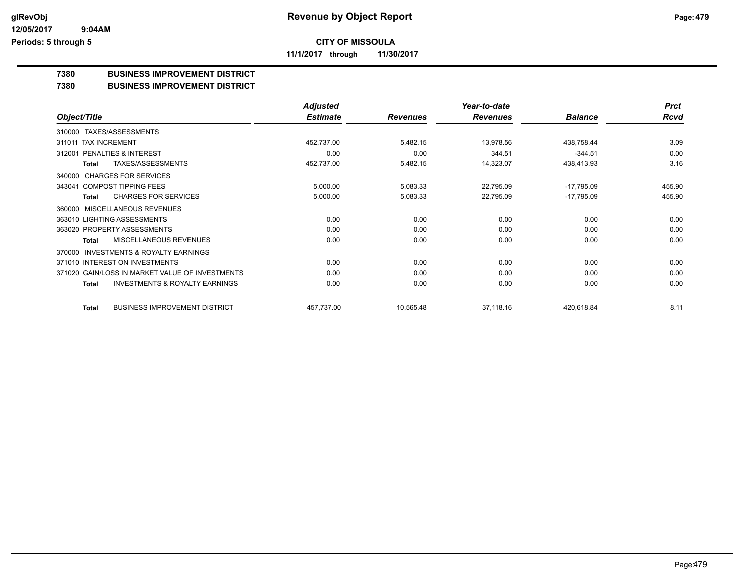**11/1/2017 through 11/30/2017**

# **7380 BUSINESS IMPROVEMENT DISTRICT**

#### **7380 BUSINESS IMPROVEMENT DISTRICT**

|                                                     | <b>Adjusted</b> |                 | Year-to-date    |                | <b>Prct</b> |
|-----------------------------------------------------|-----------------|-----------------|-----------------|----------------|-------------|
| Object/Title                                        | <b>Estimate</b> | <b>Revenues</b> | <b>Revenues</b> | <b>Balance</b> | Rcvd        |
| TAXES/ASSESSMENTS<br>310000                         |                 |                 |                 |                |             |
| <b>TAX INCREMENT</b><br>311011                      | 452,737.00      | 5,482.15        | 13,978.56       | 438,758.44     | 3.09        |
| PENALTIES & INTEREST<br>312001                      | 0.00            | 0.00            | 344.51          | $-344.51$      | 0.00        |
| TAXES/ASSESSMENTS<br>Total                          | 452,737.00      | 5,482.15        | 14,323.07       | 438,413.93     | 3.16        |
| <b>CHARGES FOR SERVICES</b><br>340000               |                 |                 |                 |                |             |
| <b>COMPOST TIPPING FEES</b><br>343041               | 5,000.00        | 5,083.33        | 22,795.09       | $-17,795.09$   | 455.90      |
| <b>CHARGES FOR SERVICES</b><br><b>Total</b>         | 5,000.00        | 5,083.33        | 22,795.09       | $-17,795.09$   | 455.90      |
| <b>MISCELLANEOUS REVENUES</b><br>360000             |                 |                 |                 |                |             |
| 363010 LIGHTING ASSESSMENTS                         | 0.00            | 0.00            | 0.00            | 0.00           | 0.00        |
| 363020 PROPERTY ASSESSMENTS                         | 0.00            | 0.00            | 0.00            | 0.00           | 0.00        |
| MISCELLANEOUS REVENUES<br>Total                     | 0.00            | 0.00            | 0.00            | 0.00           | 0.00        |
| <b>INVESTMENTS &amp; ROYALTY EARNINGS</b><br>370000 |                 |                 |                 |                |             |
| 371010 INTEREST ON INVESTMENTS                      | 0.00            | 0.00            | 0.00            | 0.00           | 0.00        |
| 371020 GAIN/LOSS IN MARKET VALUE OF INVESTMENTS     | 0.00            | 0.00            | 0.00            | 0.00           | 0.00        |
| <b>INVESTMENTS &amp; ROYALTY EARNINGS</b><br>Total  | 0.00            | 0.00            | 0.00            | 0.00           | 0.00        |
| <b>BUSINESS IMPROVEMENT DISTRICT</b><br>Total       | 457,737.00      | 10,565.48       | 37,118.16       | 420,618.84     | 8.11        |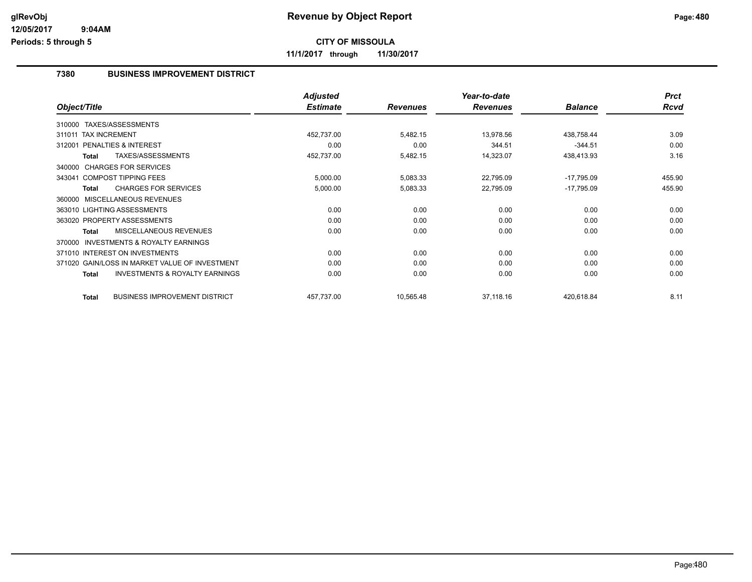**11/1/2017 through 11/30/2017**

### **7380 BUSINESS IMPROVEMENT DISTRICT**

|                                                           | <b>Adjusted</b> |                 | Year-to-date    |                | <b>Prct</b> |
|-----------------------------------------------------------|-----------------|-----------------|-----------------|----------------|-------------|
| Object/Title                                              | <b>Estimate</b> | <b>Revenues</b> | <b>Revenues</b> | <b>Balance</b> | Rcvd        |
| TAXES/ASSESSMENTS<br>310000                               |                 |                 |                 |                |             |
| <b>TAX INCREMENT</b><br>311011                            | 452,737.00      | 5,482.15        | 13,978.56       | 438,758.44     | 3.09        |
| PENALTIES & INTEREST<br>312001                            | 0.00            | 0.00            | 344.51          | $-344.51$      | 0.00        |
| TAXES/ASSESSMENTS<br><b>Total</b>                         | 452,737.00      | 5,482.15        | 14,323.07       | 438,413.93     | 3.16        |
| 340000 CHARGES FOR SERVICES                               |                 |                 |                 |                |             |
| 343041 COMPOST TIPPING FEES                               | 5,000.00        | 5,083.33        | 22,795.09       | -17,795.09     | 455.90      |
| <b>CHARGES FOR SERVICES</b><br>Total                      | 5,000.00        | 5,083.33        | 22,795.09       | $-17,795.09$   | 455.90      |
| MISCELLANEOUS REVENUES<br>360000                          |                 |                 |                 |                |             |
| 363010 LIGHTING ASSESSMENTS                               | 0.00            | 0.00            | 0.00            | 0.00           | 0.00        |
| 363020 PROPERTY ASSESSMENTS                               | 0.00            | 0.00            | 0.00            | 0.00           | 0.00        |
| <b>MISCELLANEOUS REVENUES</b><br>Total                    | 0.00            | 0.00            | 0.00            | 0.00           | 0.00        |
| <b>INVESTMENTS &amp; ROYALTY EARNINGS</b><br>370000       |                 |                 |                 |                |             |
| 371010 INTEREST ON INVESTMENTS                            | 0.00            | 0.00            | 0.00            | 0.00           | 0.00        |
| 371020 GAIN/LOSS IN MARKET VALUE OF INVESTMENT            | 0.00            | 0.00            | 0.00            | 0.00           | 0.00        |
| <b>INVESTMENTS &amp; ROYALTY EARNINGS</b><br><b>Total</b> | 0.00            | 0.00            | 0.00            | 0.00           | 0.00        |
| <b>BUSINESS IMPROVEMENT DISTRICT</b><br><b>Total</b>      | 457,737.00      | 10,565.48       | 37,118.16       | 420,618.84     | 8.11        |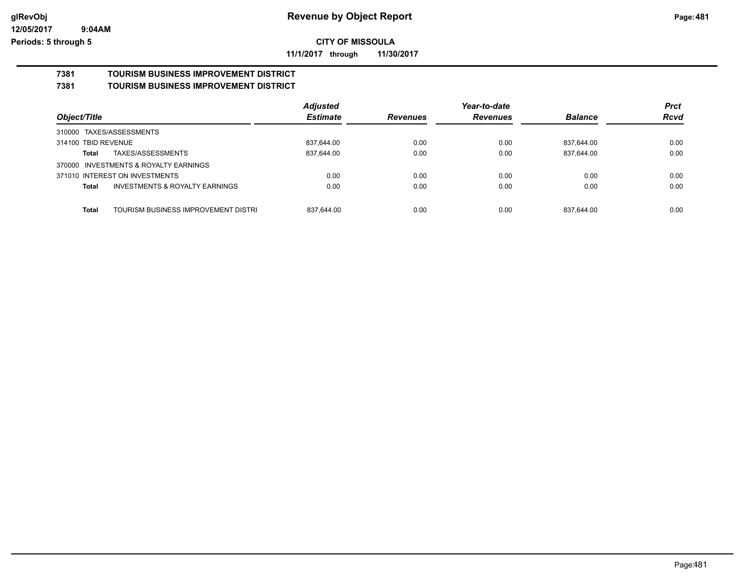**11/1/2017 through 11/30/2017**

#### **7381 TOURISM BUSINESS IMPROVEMENT DISTRICT 7381 TOURISM BUSINESS IMPROVEMENT DISTRICT**

|                                                     | <b>Adjusted</b> |                 | Year-to-date    |                | <b>Prct</b> |
|-----------------------------------------------------|-----------------|-----------------|-----------------|----------------|-------------|
| Object/Title                                        | <b>Estimate</b> | <b>Revenues</b> | <b>Revenues</b> | <b>Balance</b> | <b>Rcvd</b> |
| 310000 TAXES/ASSESSMENTS                            |                 |                 |                 |                |             |
| 314100 TBID REVENUE                                 | 837,644.00      | 0.00            | 0.00            | 837,644.00     | 0.00        |
| TAXES/ASSESSMENTS<br>Total                          | 837,644.00      | 0.00            | 0.00            | 837,644.00     | 0.00        |
| 370000 INVESTMENTS & ROYALTY EARNINGS               |                 |                 |                 |                |             |
| 371010 INTEREST ON INVESTMENTS                      | 0.00            | 0.00            | 0.00            | 0.00           | 0.00        |
| <b>INVESTMENTS &amp; ROYALTY EARNINGS</b><br>Total  | 0.00            | 0.00            | 0.00            | 0.00           | 0.00        |
|                                                     |                 |                 |                 |                |             |
| TOURISM BUSINESS IMPROVEMENT DISTRI<br><b>Total</b> | 837.644.00      | 0.00            | 0.00            | 837.644.00     | 0.00        |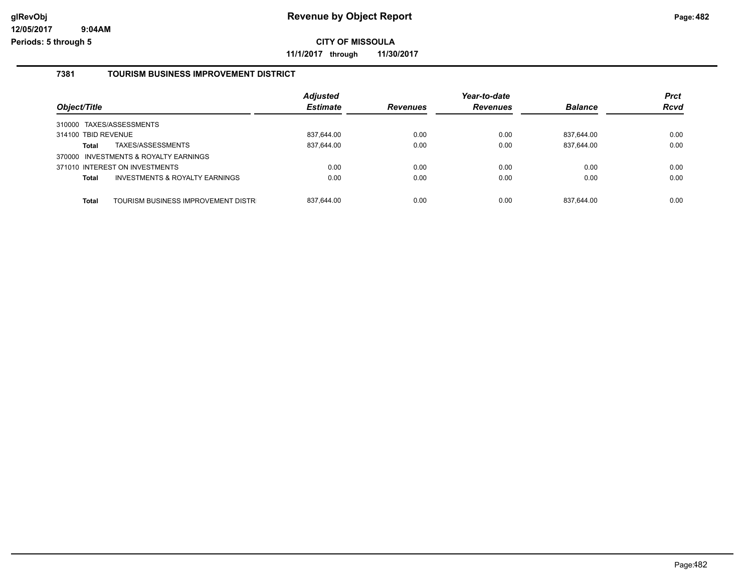**11/1/2017 through 11/30/2017**

#### **7381 TOURISM BUSINESS IMPROVEMENT DISTRICT**

| Object/Title                                              | <b>Adjusted</b><br><b>Estimate</b> | <b>Revenues</b> | Year-to-date<br><b>Revenues</b> | <b>Balance</b> | <b>Prct</b><br><b>Rcvd</b> |
|-----------------------------------------------------------|------------------------------------|-----------------|---------------------------------|----------------|----------------------------|
| 310000 TAXES/ASSESSMENTS                                  |                                    |                 |                                 |                |                            |
| 314100 TBID REVENUE                                       | 837,644.00                         | 0.00            | 0.00                            | 837,644.00     | 0.00                       |
| TAXES/ASSESSMENTS<br><b>Total</b>                         | 837,644.00                         | 0.00            | 0.00                            | 837,644.00     | 0.00                       |
| 370000 INVESTMENTS & ROYALTY EARNINGS                     |                                    |                 |                                 |                |                            |
| 371010 INTEREST ON INVESTMENTS                            | 0.00                               | 0.00            | 0.00                            | 0.00           | 0.00                       |
| <b>INVESTMENTS &amp; ROYALTY EARNINGS</b><br><b>Total</b> | 0.00                               | 0.00            | 0.00                            | 0.00           | 0.00                       |
|                                                           |                                    |                 |                                 |                |                            |
| TOURISM BUSINESS IMPROVEMENT DISTR<br><b>Total</b>        | 837.644.00                         | 0.00            | 0.00                            | 837.644.00     | 0.00                       |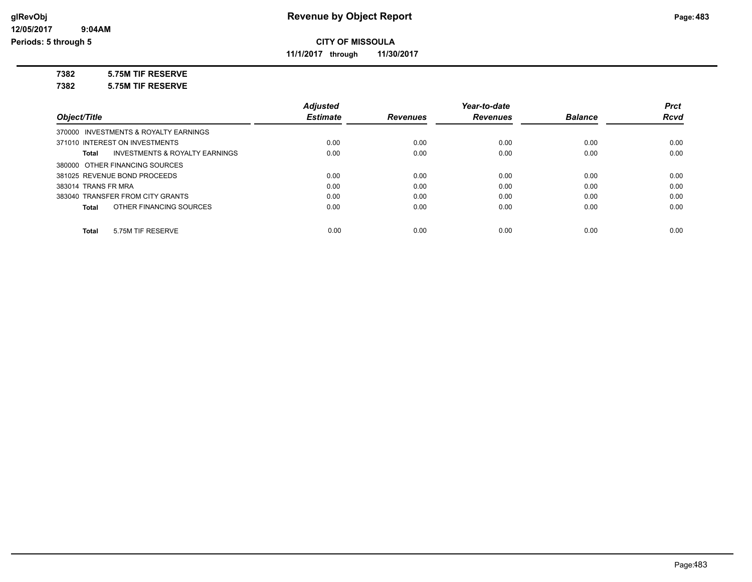**11/1/2017 through 11/30/2017**

**7382 5.75M TIF RESERVE**

**7382 5.75M TIF RESERVE**

|                                         | <b>Adjusted</b> |                 | Year-to-date    |                | <b>Prct</b> |
|-----------------------------------------|-----------------|-----------------|-----------------|----------------|-------------|
| Object/Title                            | <b>Estimate</b> | <b>Revenues</b> | <b>Revenues</b> | <b>Balance</b> | <b>Rcvd</b> |
| 370000 INVESTMENTS & ROYALTY EARNINGS   |                 |                 |                 |                |             |
| 371010 INTEREST ON INVESTMENTS          | 0.00            | 0.00            | 0.00            | 0.00           | 0.00        |
| INVESTMENTS & ROYALTY EARNINGS<br>Total | 0.00            | 0.00            | 0.00            | 0.00           | 0.00        |
| 380000 OTHER FINANCING SOURCES          |                 |                 |                 |                |             |
| 381025 REVENUE BOND PROCEEDS            | 0.00            | 0.00            | 0.00            | 0.00           | 0.00        |
| 383014 TRANS FR MRA                     | 0.00            | 0.00            | 0.00            | 0.00           | 0.00        |
| 383040 TRANSFER FROM CITY GRANTS        | 0.00            | 0.00            | 0.00            | 0.00           | 0.00        |
| OTHER FINANCING SOURCES<br>Total        | 0.00            | 0.00            | 0.00            | 0.00           | 0.00        |
| 5.75M TIF RESERVE<br><b>Total</b>       | 0.00            | 0.00            | 0.00            | 0.00           | 0.00        |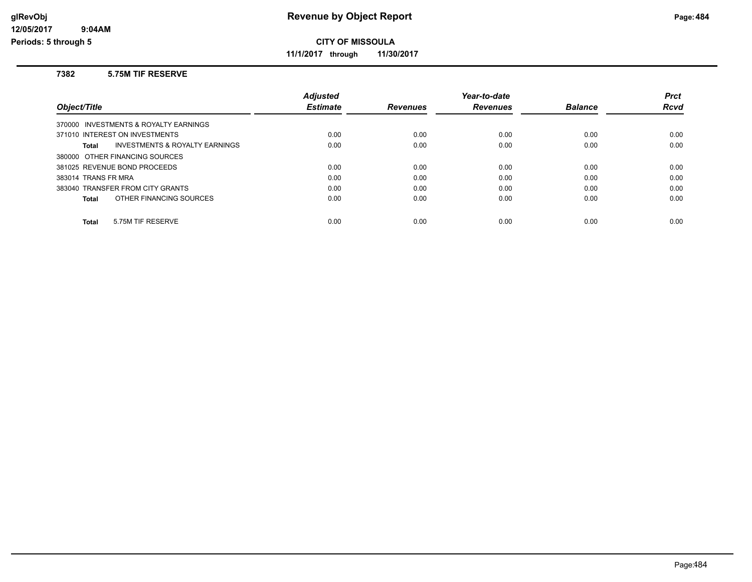**11/1/2017 through 11/30/2017**

#### **7382 5.75M TIF RESERVE**

|                                                           | <b>Adiusted</b> |                 | Year-to-date    |                | <b>Prct</b> |
|-----------------------------------------------------------|-----------------|-----------------|-----------------|----------------|-------------|
| Obiect/Title                                              | <b>Estimate</b> | <b>Revenues</b> | <b>Revenues</b> | <b>Balance</b> | Rcvd        |
| 370000 INVESTMENTS & ROYALTY EARNINGS                     |                 |                 |                 |                |             |
| 371010 INTEREST ON INVESTMENTS                            | 0.00            | 0.00            | 0.00            | 0.00           | 0.00        |
| <b>INVESTMENTS &amp; ROYALTY EARNINGS</b><br><b>Total</b> | 0.00            | 0.00            | 0.00            | 0.00           | 0.00        |
| 380000 OTHER FINANCING SOURCES                            |                 |                 |                 |                |             |
| 381025 REVENUE BOND PROCEEDS                              | 0.00            | 0.00            | 0.00            | 0.00           | 0.00        |
| 383014 TRANS FR MRA                                       | 0.00            | 0.00            | 0.00            | 0.00           | 0.00        |
| 383040 TRANSFER FROM CITY GRANTS                          | 0.00            | 0.00            | 0.00            | 0.00           | 0.00        |
| OTHER FINANCING SOURCES<br><b>Total</b>                   | 0.00            | 0.00            | 0.00            | 0.00           | 0.00        |
|                                                           |                 |                 |                 |                |             |
| 5.75M TIF RESERVE<br><b>Total</b>                         | 0.00            | 0.00            | 0.00            | 0.00           | 0.00        |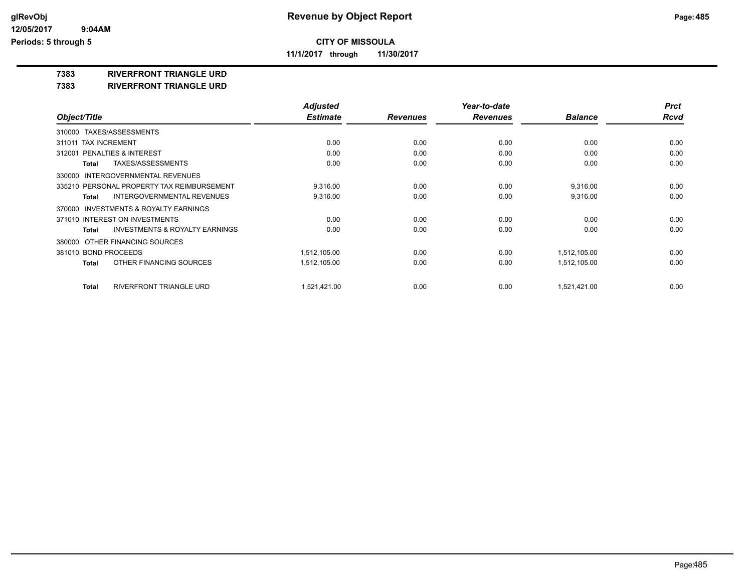**11/1/2017 through 11/30/2017**

#### **7383 RIVERFRONT TRIANGLE URD**

#### **7383 RIVERFRONT TRIANGLE URD**

|                                                     | <b>Adjusted</b> |                 | Year-to-date    |                | <b>Prct</b> |
|-----------------------------------------------------|-----------------|-----------------|-----------------|----------------|-------------|
| Object/Title                                        | <b>Estimate</b> | <b>Revenues</b> | <b>Revenues</b> | <b>Balance</b> | <b>Rcvd</b> |
| TAXES/ASSESSMENTS<br>310000                         |                 |                 |                 |                |             |
| 311011 TAX INCREMENT                                | 0.00            | 0.00            | 0.00            | 0.00           | 0.00        |
| 312001 PENALTIES & INTEREST                         | 0.00            | 0.00            | 0.00            | 0.00           | 0.00        |
| TAXES/ASSESSMENTS<br><b>Total</b>                   | 0.00            | 0.00            | 0.00            | 0.00           | 0.00        |
| INTERGOVERNMENTAL REVENUES<br>330000                |                 |                 |                 |                |             |
| 335210 PERSONAL PROPERTY TAX REIMBURSEMENT          | 9,316.00        | 0.00            | 0.00            | 9,316.00       | 0.00        |
| <b>INTERGOVERNMENTAL REVENUES</b><br><b>Total</b>   | 9,316.00        | 0.00            | 0.00            | 9,316.00       | 0.00        |
| <b>INVESTMENTS &amp; ROYALTY EARNINGS</b><br>370000 |                 |                 |                 |                |             |
| 371010 INTEREST ON INVESTMENTS                      | 0.00            | 0.00            | 0.00            | 0.00           | 0.00        |
| <b>INVESTMENTS &amp; ROYALTY EARNINGS</b><br>Total  | 0.00            | 0.00            | 0.00            | 0.00           | 0.00        |
| OTHER FINANCING SOURCES<br>380000                   |                 |                 |                 |                |             |
| 381010 BOND PROCEEDS                                | 1,512,105.00    | 0.00            | 0.00            | 1,512,105.00   | 0.00        |
| OTHER FINANCING SOURCES<br><b>Total</b>             | 1,512,105.00    | 0.00            | 0.00            | 1,512,105.00   | 0.00        |
| <b>RIVERFRONT TRIANGLE URD</b><br><b>Total</b>      | 1,521,421.00    | 0.00            | 0.00            | 1,521,421.00   | 0.00        |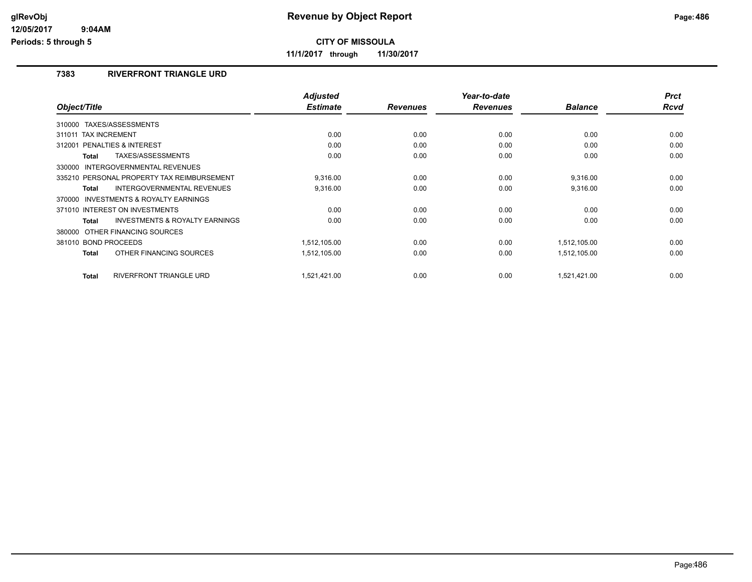**11/1/2017 through 11/30/2017**

# **7383 RIVERFRONT TRIANGLE URD**

|                                                    | <b>Adjusted</b> |                 | Year-to-date    |                | <b>Prct</b> |
|----------------------------------------------------|-----------------|-----------------|-----------------|----------------|-------------|
| Object/Title                                       | <b>Estimate</b> | <b>Revenues</b> | <b>Revenues</b> | <b>Balance</b> | <b>Rcvd</b> |
| 310000 TAXES/ASSESSMENTS                           |                 |                 |                 |                |             |
| 311011 TAX INCREMENT                               | 0.00            | 0.00            | 0.00            | 0.00           | 0.00        |
| 312001 PENALTIES & INTEREST                        | 0.00            | 0.00            | 0.00            | 0.00           | 0.00        |
| TAXES/ASSESSMENTS<br>Total                         | 0.00            | 0.00            | 0.00            | 0.00           | 0.00        |
| INTERGOVERNMENTAL REVENUES<br>330000               |                 |                 |                 |                |             |
| 335210 PERSONAL PROPERTY TAX REIMBURSEMENT         | 9,316.00        | 0.00            | 0.00            | 9,316.00       | 0.00        |
| <b>INTERGOVERNMENTAL REVENUES</b><br>Total         | 9,316.00        | 0.00            | 0.00            | 9,316.00       | 0.00        |
| 370000 INVESTMENTS & ROYALTY EARNINGS              |                 |                 |                 |                |             |
| 371010 INTEREST ON INVESTMENTS                     | 0.00            | 0.00            | 0.00            | 0.00           | 0.00        |
| <b>INVESTMENTS &amp; ROYALTY EARNINGS</b><br>Total | 0.00            | 0.00            | 0.00            | 0.00           | 0.00        |
| 380000 OTHER FINANCING SOURCES                     |                 |                 |                 |                |             |
| 381010 BOND PROCEEDS                               | 1,512,105.00    | 0.00            | 0.00            | 1,512,105.00   | 0.00        |
| OTHER FINANCING SOURCES<br>Total                   | 1,512,105.00    | 0.00            | 0.00            | 1,512,105.00   | 0.00        |
| <b>RIVERFRONT TRIANGLE URD</b><br><b>Total</b>     | 1,521,421.00    | 0.00            | 0.00            | 1,521,421.00   | 0.00        |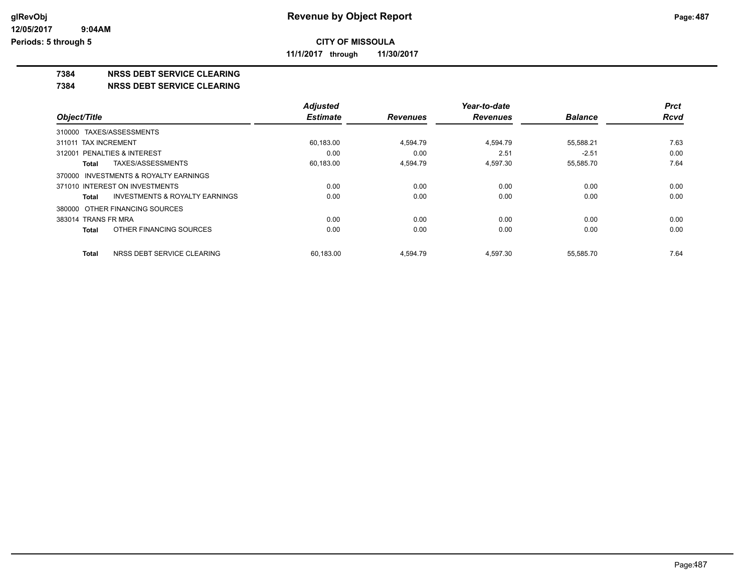**11/1/2017 through 11/30/2017**

# **7384 NRSS DEBT SERVICE CLEARING**

#### **7384 NRSS DEBT SERVICE CLEARING**

|                                                    | <b>Adjusted</b> |                 | Year-to-date    |                | <b>Prct</b> |
|----------------------------------------------------|-----------------|-----------------|-----------------|----------------|-------------|
| Object/Title                                       | <b>Estimate</b> | <b>Revenues</b> | <b>Revenues</b> | <b>Balance</b> | <b>Rcvd</b> |
| TAXES/ASSESSMENTS<br>310000                        |                 |                 |                 |                |             |
| 311011 TAX INCREMENT                               | 60,183.00       | 4,594.79        | 4,594.79        | 55,588.21      | 7.63        |
| 312001 PENALTIES & INTEREST                        | 0.00            | 0.00            | 2.51            | $-2.51$        | 0.00        |
| TAXES/ASSESSMENTS<br>Total                         | 60,183.00       | 4,594.79        | 4,597.30        | 55,585.70      | 7.64        |
| 370000 INVESTMENTS & ROYALTY EARNINGS              |                 |                 |                 |                |             |
| 371010 INTEREST ON INVESTMENTS                     | 0.00            | 0.00            | 0.00            | 0.00           | 0.00        |
| <b>INVESTMENTS &amp; ROYALTY EARNINGS</b><br>Total | 0.00            | 0.00            | 0.00            | 0.00           | 0.00        |
| 380000 OTHER FINANCING SOURCES                     |                 |                 |                 |                |             |
| 383014 TRANS FR MRA                                | 0.00            | 0.00            | 0.00            | 0.00           | 0.00        |
| OTHER FINANCING SOURCES<br><b>Total</b>            | 0.00            | 0.00            | 0.00            | 0.00           | 0.00        |
| NRSS DEBT SERVICE CLEARING<br><b>Total</b>         | 60.183.00       | 4.594.79        | 4.597.30        | 55.585.70      | 7.64        |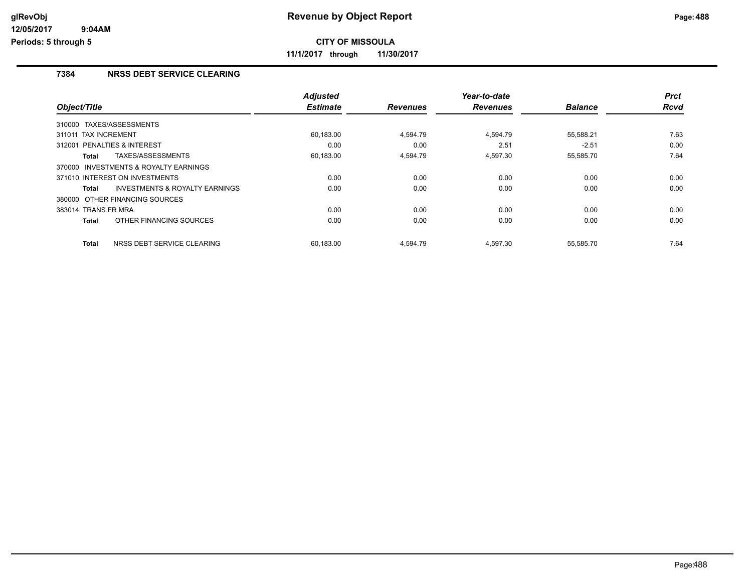**11/1/2017 through 11/30/2017**

## **7384 NRSS DEBT SERVICE CLEARING**

|                                            | <b>Adjusted</b> |                 | Year-to-date    |                | <b>Prct</b> |
|--------------------------------------------|-----------------|-----------------|-----------------|----------------|-------------|
| Object/Title                               | <b>Estimate</b> | <b>Revenues</b> | <b>Revenues</b> | <b>Balance</b> | <b>Rcvd</b> |
| 310000 TAXES/ASSESSMENTS                   |                 |                 |                 |                |             |
| 311011 TAX INCREMENT                       | 60,183.00       | 4,594.79        | 4,594.79        | 55,588.21      | 7.63        |
| <b>PENALTIES &amp; INTEREST</b><br>312001  | 0.00            | 0.00            | 2.51            | $-2.51$        | 0.00        |
| TAXES/ASSESSMENTS<br>Total                 | 60,183.00       | 4,594.79        | 4,597.30        | 55,585.70      | 7.64        |
| 370000 INVESTMENTS & ROYALTY EARNINGS      |                 |                 |                 |                |             |
| 371010 INTEREST ON INVESTMENTS             | 0.00            | 0.00            | 0.00            | 0.00           | 0.00        |
| INVESTMENTS & ROYALTY EARNINGS<br>Total    | 0.00            | 0.00            | 0.00            | 0.00           | 0.00        |
| 380000 OTHER FINANCING SOURCES             |                 |                 |                 |                |             |
| 383014 TRANS FR MRA                        | 0.00            | 0.00            | 0.00            | 0.00           | 0.00        |
| OTHER FINANCING SOURCES<br>Total           | 0.00            | 0.00            | 0.00            | 0.00           | 0.00        |
| NRSS DEBT SERVICE CLEARING<br><b>Total</b> | 60.183.00       | 4.594.79        | 4.597.30        | 55.585.70      | 7.64        |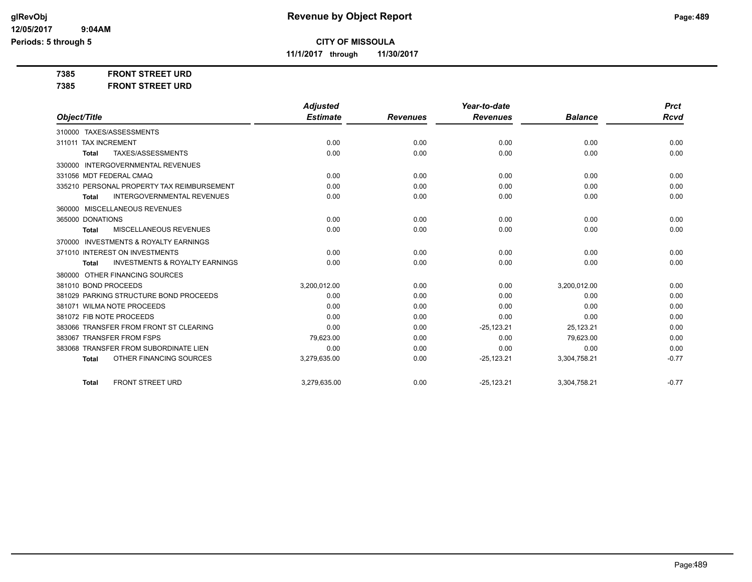**11/1/2017 through 11/30/2017**

**7385 FRONT STREET URD**

**7385 FRONT STREET URD**

|                          |                                            | <b>Adjusted</b> |                 | Year-to-date    |                | <b>Prct</b> |
|--------------------------|--------------------------------------------|-----------------|-----------------|-----------------|----------------|-------------|
| Object/Title             |                                            | <b>Estimate</b> | <b>Revenues</b> | <b>Revenues</b> | <b>Balance</b> | <b>Rcvd</b> |
|                          | 310000 TAXES/ASSESSMENTS                   |                 |                 |                 |                |             |
| 311011 TAX INCREMENT     |                                            | 0.00            | 0.00            | 0.00            | 0.00           | 0.00        |
| <b>Total</b>             | TAXES/ASSESSMENTS                          | 0.00            | 0.00            | 0.00            | 0.00           | 0.00        |
|                          | 330000 INTERGOVERNMENTAL REVENUES          |                 |                 |                 |                |             |
| 331056 MDT FEDERAL CMAQ  |                                            | 0.00            | 0.00            | 0.00            | 0.00           | 0.00        |
|                          | 335210 PERSONAL PROPERTY TAX REIMBURSEMENT | 0.00            | 0.00            | 0.00            | 0.00           | 0.00        |
| <b>Total</b>             | <b>INTERGOVERNMENTAL REVENUES</b>          | 0.00            | 0.00            | 0.00            | 0.00           | 0.00        |
| 360000                   | MISCELLANEOUS REVENUES                     |                 |                 |                 |                |             |
| 365000 DONATIONS         |                                            | 0.00            | 0.00            | 0.00            | 0.00           | 0.00        |
| <b>Total</b>             | MISCELLANEOUS REVENUES                     | 0.00            | 0.00            | 0.00            | 0.00           | 0.00        |
|                          | 370000 INVESTMENTS & ROYALTY EARNINGS      |                 |                 |                 |                |             |
|                          | 371010 INTEREST ON INVESTMENTS             | 0.00            | 0.00            | 0.00            | 0.00           | 0.00        |
| <b>Total</b>             | <b>INVESTMENTS &amp; ROYALTY EARNINGS</b>  | 0.00            | 0.00            | 0.00            | 0.00           | 0.00        |
| 380000                   | OTHER FINANCING SOURCES                    |                 |                 |                 |                |             |
| 381010 BOND PROCEEDS     |                                            | 3,200,012.00    | 0.00            | 0.00            | 3,200,012.00   | 0.00        |
|                          | 381029 PARKING STRUCTURE BOND PROCEEDS     | 0.00            | 0.00            | 0.00            | 0.00           | 0.00        |
|                          | 381071 WILMA NOTE PROCEEDS                 | 0.00            | 0.00            | 0.00            | 0.00           | 0.00        |
| 381072 FIB NOTE PROCEEDS |                                            | 0.00            | 0.00            | 0.00            | 0.00           | 0.00        |
|                          | 383066 TRANSFER FROM FRONT ST CLEARING     | 0.00            | 0.00            | $-25,123.21$    | 25,123.21      | 0.00        |
|                          | 383067 TRANSFER FROM FSPS                  | 79,623.00       | 0.00            | 0.00            | 79,623.00      | 0.00        |
|                          | 383068 TRANSFER FROM SUBORDINATE LIEN      | 0.00            | 0.00            | 0.00            | 0.00           | 0.00        |
| Total                    | OTHER FINANCING SOURCES                    | 3,279,635.00    | 0.00            | $-25, 123.21$   | 3,304,758.21   | $-0.77$     |
| <b>Total</b>             | <b>FRONT STREET URD</b>                    | 3,279,635.00    | 0.00            | $-25, 123.21$   | 3,304,758.21   | $-0.77$     |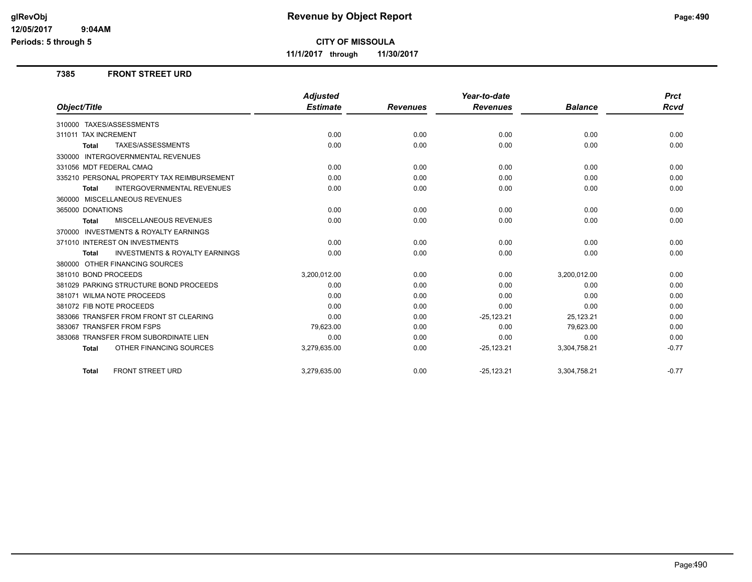**11/1/2017 through 11/30/2017**

#### **7385 FRONT STREET URD**

|                                                           | <b>Adjusted</b> |                 | Year-to-date    |                | <b>Prct</b> |
|-----------------------------------------------------------|-----------------|-----------------|-----------------|----------------|-------------|
| Object/Title                                              | <b>Estimate</b> | <b>Revenues</b> | <b>Revenues</b> | <b>Balance</b> | Rcvd        |
| 310000 TAXES/ASSESSMENTS                                  |                 |                 |                 |                |             |
| 311011 TAX INCREMENT                                      | 0.00            | 0.00            | 0.00            | 0.00           | 0.00        |
| TAXES/ASSESSMENTS<br><b>Total</b>                         | 0.00            | 0.00            | 0.00            | 0.00           | 0.00        |
| 330000 INTERGOVERNMENTAL REVENUES                         |                 |                 |                 |                |             |
| 331056 MDT FEDERAL CMAQ                                   | 0.00            | 0.00            | 0.00            | 0.00           | 0.00        |
| 335210 PERSONAL PROPERTY TAX REIMBURSEMENT                | 0.00            | 0.00            | 0.00            | 0.00           | 0.00        |
| <b>INTERGOVERNMENTAL REVENUES</b><br><b>Total</b>         | 0.00            | 0.00            | 0.00            | 0.00           | 0.00        |
| 360000 MISCELLANEOUS REVENUES                             |                 |                 |                 |                |             |
| 365000 DONATIONS                                          | 0.00            | 0.00            | 0.00            | 0.00           | 0.00        |
| MISCELLANEOUS REVENUES<br><b>Total</b>                    | 0.00            | 0.00            | 0.00            | 0.00           | 0.00        |
| 370000 INVESTMENTS & ROYALTY EARNINGS                     |                 |                 |                 |                |             |
| 371010 INTEREST ON INVESTMENTS                            | 0.00            | 0.00            | 0.00            | 0.00           | 0.00        |
| <b>INVESTMENTS &amp; ROYALTY EARNINGS</b><br><b>Total</b> | 0.00            | 0.00            | 0.00            | 0.00           | 0.00        |
| 380000 OTHER FINANCING SOURCES                            |                 |                 |                 |                |             |
| 381010 BOND PROCEEDS                                      | 3,200,012.00    | 0.00            | 0.00            | 3,200,012.00   | 0.00        |
| 381029 PARKING STRUCTURE BOND PROCEEDS                    | 0.00            | 0.00            | 0.00            | 0.00           | 0.00        |
| 381071 WILMA NOTE PROCEEDS                                | 0.00            | 0.00            | 0.00            | 0.00           | 0.00        |
| 381072 FIB NOTE PROCEEDS                                  | 0.00            | 0.00            | 0.00            | 0.00           | 0.00        |
| 383066 TRANSFER FROM FRONT ST CLEARING                    | 0.00            | 0.00            | $-25, 123.21$   | 25,123.21      | 0.00        |
| 383067 TRANSFER FROM FSPS                                 | 79,623.00       | 0.00            | 0.00            | 79,623.00      | 0.00        |
| 383068 TRANSFER FROM SUBORDINATE LIEN                     | 0.00            | 0.00            | 0.00            | 0.00           | 0.00        |
| OTHER FINANCING SOURCES<br><b>Total</b>                   | 3,279,635.00    | 0.00            | $-25, 123.21$   | 3,304,758.21   | $-0.77$     |
| <b>FRONT STREET URD</b><br><b>Total</b>                   | 3.279.635.00    | 0.00            | $-25.123.21$    | 3.304.758.21   | $-0.77$     |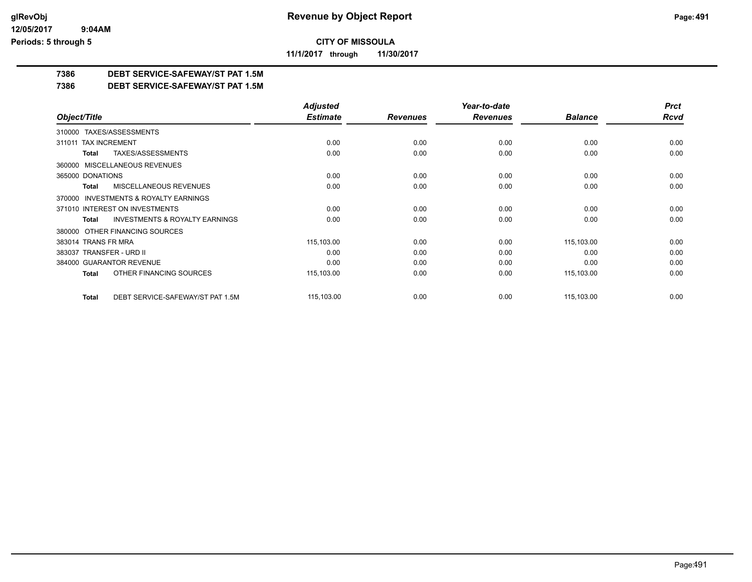**11/1/2017 through 11/30/2017**

# **7386 DEBT SERVICE-SAFEWAY/ST PAT 1.5M**

## **7386 DEBT SERVICE-SAFEWAY/ST PAT 1.5M**

|                                                    | <b>Adjusted</b> |                 | Year-to-date    |                | <b>Prct</b> |
|----------------------------------------------------|-----------------|-----------------|-----------------|----------------|-------------|
| Object/Title                                       | <b>Estimate</b> | <b>Revenues</b> | <b>Revenues</b> | <b>Balance</b> | <b>Rcvd</b> |
| 310000 TAXES/ASSESSMENTS                           |                 |                 |                 |                |             |
| <b>TAX INCREMENT</b><br>311011                     | 0.00            | 0.00            | 0.00            | 0.00           | 0.00        |
| TAXES/ASSESSMENTS<br>Total                         | 0.00            | 0.00            | 0.00            | 0.00           | 0.00        |
| 360000 MISCELLANEOUS REVENUES                      |                 |                 |                 |                |             |
| 365000 DONATIONS                                   | 0.00            | 0.00            | 0.00            | 0.00           | 0.00        |
| <b>MISCELLANEOUS REVENUES</b><br>Total             | 0.00            | 0.00            | 0.00            | 0.00           | 0.00        |
| 370000 INVESTMENTS & ROYALTY EARNINGS              |                 |                 |                 |                |             |
| 371010 INTEREST ON INVESTMENTS                     | 0.00            | 0.00            | 0.00            | 0.00           | 0.00        |
| <b>INVESTMENTS &amp; ROYALTY EARNINGS</b><br>Total | 0.00            | 0.00            | 0.00            | 0.00           | 0.00        |
| 380000 OTHER FINANCING SOURCES                     |                 |                 |                 |                |             |
| 383014 TRANS FR MRA                                | 115,103.00      | 0.00            | 0.00            | 115,103.00     | 0.00        |
| 383037 TRANSFER - URD II                           | 0.00            | 0.00            | 0.00            | 0.00           | 0.00        |
| 384000 GUARANTOR REVENUE                           | 0.00            | 0.00            | 0.00            | 0.00           | 0.00        |
| OTHER FINANCING SOURCES<br>Total                   | 115,103.00      | 0.00            | 0.00            | 115,103.00     | 0.00        |
| DEBT SERVICE-SAFEWAY/ST PAT 1.5M<br>Total          | 115,103.00      | 0.00            | 0.00            | 115,103.00     | 0.00        |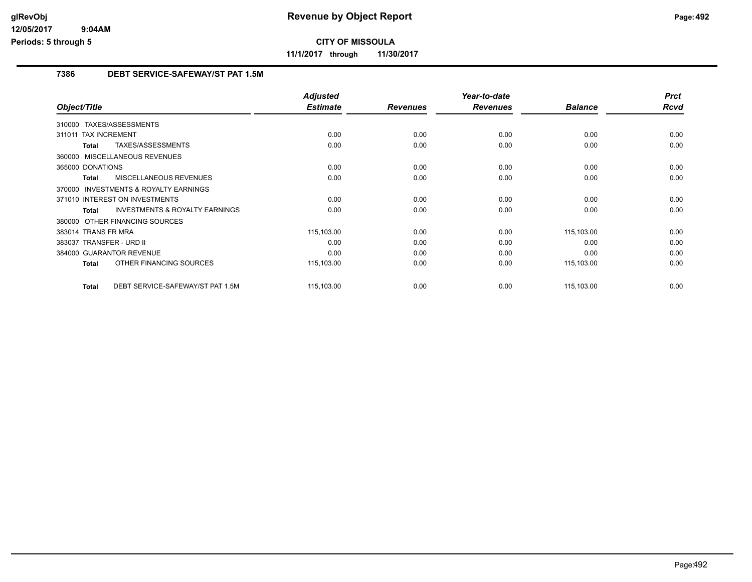**11/1/2017 through 11/30/2017**

# **7386 DEBT SERVICE-SAFEWAY/ST PAT 1.5M**

|                                                    | <b>Adjusted</b> |                 | Year-to-date    |                | <b>Prct</b> |
|----------------------------------------------------|-----------------|-----------------|-----------------|----------------|-------------|
| Object/Title                                       | <b>Estimate</b> | <b>Revenues</b> | <b>Revenues</b> | <b>Balance</b> | <b>Rcvd</b> |
| 310000 TAXES/ASSESSMENTS                           |                 |                 |                 |                |             |
| 311011 TAX INCREMENT                               | 0.00            | 0.00            | 0.00            | 0.00           | 0.00        |
| TAXES/ASSESSMENTS<br><b>Total</b>                  | 0.00            | 0.00            | 0.00            | 0.00           | 0.00        |
| 360000 MISCELLANEOUS REVENUES                      |                 |                 |                 |                |             |
| 365000 DONATIONS                                   | 0.00            | 0.00            | 0.00            | 0.00           | 0.00        |
| MISCELLANEOUS REVENUES<br><b>Total</b>             | 0.00            | 0.00            | 0.00            | 0.00           | 0.00        |
| 370000 INVESTMENTS & ROYALTY EARNINGS              |                 |                 |                 |                |             |
| 371010 INTEREST ON INVESTMENTS                     | 0.00            | 0.00            | 0.00            | 0.00           | 0.00        |
| <b>INVESTMENTS &amp; ROYALTY EARNINGS</b><br>Total | 0.00            | 0.00            | 0.00            | 0.00           | 0.00        |
| 380000 OTHER FINANCING SOURCES                     |                 |                 |                 |                |             |
| 383014 TRANS FR MRA                                | 115,103.00      | 0.00            | 0.00            | 115,103.00     | 0.00        |
| 383037 TRANSFER - URD II                           | 0.00            | 0.00            | 0.00            | 0.00           | 0.00        |
| 384000 GUARANTOR REVENUE                           | 0.00            | 0.00            | 0.00            | 0.00           | 0.00        |
| OTHER FINANCING SOURCES<br><b>Total</b>            | 115,103.00      | 0.00            | 0.00            | 115,103.00     | 0.00        |
| DEBT SERVICE-SAFEWAY/ST PAT 1.5M<br><b>Total</b>   | 115,103.00      | 0.00            | 0.00            | 115,103.00     | 0.00        |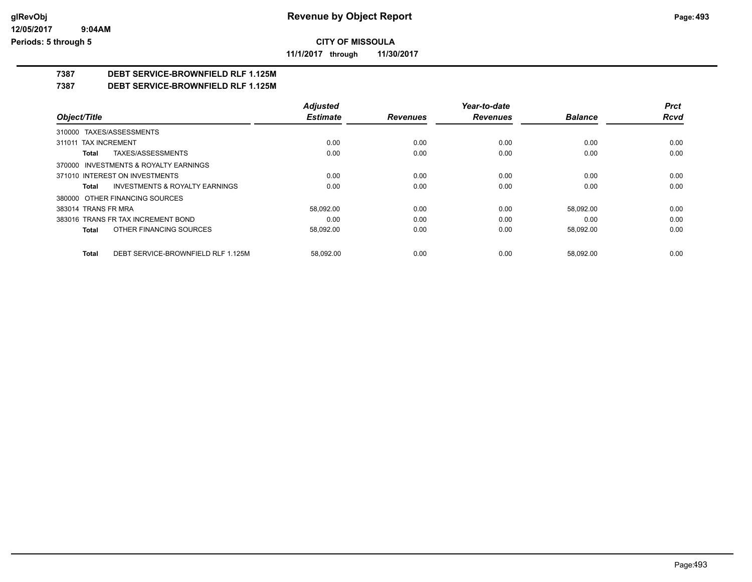**11/1/2017 through 11/30/2017**

# **7387 DEBT SERVICE-BROWNFIELD RLF 1.125M**

# **7387 DEBT SERVICE-BROWNFIELD RLF 1.125M**

|                                                    | <b>Adjusted</b> |                 | Year-to-date    |                | <b>Prct</b> |
|----------------------------------------------------|-----------------|-----------------|-----------------|----------------|-------------|
| Object/Title                                       | <b>Estimate</b> | <b>Revenues</b> | <b>Revenues</b> | <b>Balance</b> | <b>Rcvd</b> |
| 310000 TAXES/ASSESSMENTS                           |                 |                 |                 |                |             |
| 311011 TAX INCREMENT                               | 0.00            | 0.00            | 0.00            | 0.00           | 0.00        |
| TAXES/ASSESSMENTS<br>Total                         | 0.00            | 0.00            | 0.00            | 0.00           | 0.00        |
| 370000 INVESTMENTS & ROYALTY EARNINGS              |                 |                 |                 |                |             |
| 371010 INTEREST ON INVESTMENTS                     | 0.00            | 0.00            | 0.00            | 0.00           | 0.00        |
| <b>INVESTMENTS &amp; ROYALTY EARNINGS</b><br>Total | 0.00            | 0.00            | 0.00            | 0.00           | 0.00        |
| 380000 OTHER FINANCING SOURCES                     |                 |                 |                 |                |             |
| 383014 TRANS FR MRA                                | 58,092.00       | 0.00            | 0.00            | 58,092.00      | 0.00        |
| 383016 TRANS FR TAX INCREMENT BOND                 | 0.00            | 0.00            | 0.00            | 0.00           | 0.00        |
| OTHER FINANCING SOURCES<br>Total                   | 58,092.00       | 0.00            | 0.00            | 58,092.00      | 0.00        |
| DEBT SERVICE-BROWNFIELD RLF 1.125M<br><b>Total</b> | 58.092.00       | 0.00            | 0.00            | 58.092.00      | 0.00        |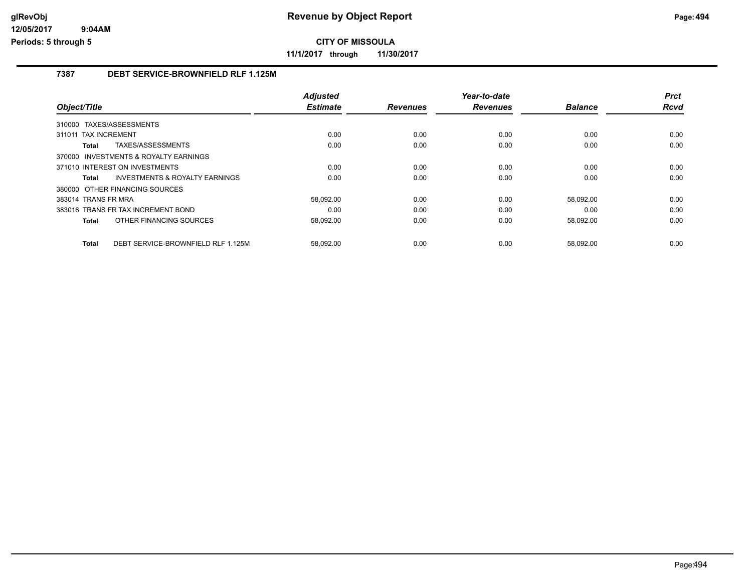**11/1/2017 through 11/30/2017**

### **7387 DEBT SERVICE-BROWNFIELD RLF 1.125M**

|                                                    | <b>Adjusted</b> |                 | Year-to-date    |                | <b>Prct</b> |
|----------------------------------------------------|-----------------|-----------------|-----------------|----------------|-------------|
| Object/Title                                       | <b>Estimate</b> | <b>Revenues</b> | <b>Revenues</b> | <b>Balance</b> | <b>Rcvd</b> |
| 310000 TAXES/ASSESSMENTS                           |                 |                 |                 |                |             |
| 311011 TAX INCREMENT                               | 0.00            | 0.00            | 0.00            | 0.00           | 0.00        |
| TAXES/ASSESSMENTS<br><b>Total</b>                  | 0.00            | 0.00            | 0.00            | 0.00           | 0.00        |
| 370000 INVESTMENTS & ROYALTY EARNINGS              |                 |                 |                 |                |             |
| 371010 INTEREST ON INVESTMENTS                     | 0.00            | 0.00            | 0.00            | 0.00           | 0.00        |
| <b>INVESTMENTS &amp; ROYALTY EARNINGS</b><br>Total | 0.00            | 0.00            | 0.00            | 0.00           | 0.00        |
| 380000 OTHER FINANCING SOURCES                     |                 |                 |                 |                |             |
| 383014 TRANS FR MRA                                | 58.092.00       | 0.00            | 0.00            | 58.092.00      | 0.00        |
| 383016 TRANS FR TAX INCREMENT BOND                 | 0.00            | 0.00            | 0.00            | 0.00           | 0.00        |
| OTHER FINANCING SOURCES<br>Total                   | 58.092.00       | 0.00            | 0.00            | 58,092.00      | 0.00        |
| DEBT SERVICE-BROWNFIELD RLF 1.125M<br><b>Total</b> | 58,092.00       | 0.00            | 0.00            | 58.092.00      | 0.00        |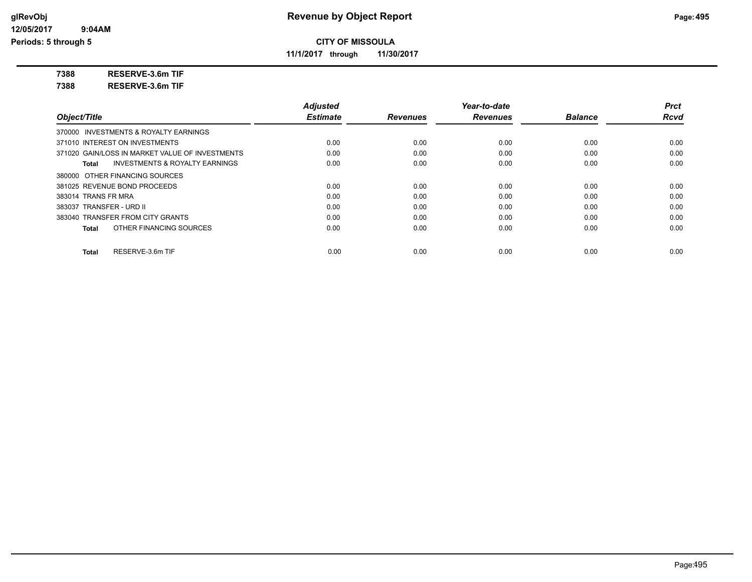**11/1/2017 through 11/30/2017**

**7388 RESERVE-3.6m TIF**

**7388 RESERVE-3.6m TIF**

|                                                    | <b>Adjusted</b> |                 | Year-to-date    |                | <b>Prct</b> |
|----------------------------------------------------|-----------------|-----------------|-----------------|----------------|-------------|
| Object/Title                                       | <b>Estimate</b> | <b>Revenues</b> | <b>Revenues</b> | <b>Balance</b> | <b>Rcvd</b> |
| 370000 INVESTMENTS & ROYALTY EARNINGS              |                 |                 |                 |                |             |
| 371010 INTEREST ON INVESTMENTS                     | 0.00            | 0.00            | 0.00            | 0.00           | 0.00        |
| 371020 GAIN/LOSS IN MARKET VALUE OF INVESTMENTS    | 0.00            | 0.00            | 0.00            | 0.00           | 0.00        |
| <b>INVESTMENTS &amp; ROYALTY EARNINGS</b><br>Total | 0.00            | 0.00            | 0.00            | 0.00           | 0.00        |
| 380000 OTHER FINANCING SOURCES                     |                 |                 |                 |                |             |
| 381025 REVENUE BOND PROCEEDS                       | 0.00            | 0.00            | 0.00            | 0.00           | 0.00        |
| 383014 TRANS FR MRA                                | 0.00            | 0.00            | 0.00            | 0.00           | 0.00        |
| 383037 TRANSFER - URD II                           | 0.00            | 0.00            | 0.00            | 0.00           | 0.00        |
| 383040 TRANSFER FROM CITY GRANTS                   | 0.00            | 0.00            | 0.00            | 0.00           | 0.00        |
| OTHER FINANCING SOURCES<br>Total                   | 0.00            | 0.00            | 0.00            | 0.00           | 0.00        |
|                                                    |                 |                 |                 |                |             |
| RESERVE-3.6m TIF<br>Total                          | 0.00            | 0.00            | 0.00            | 0.00           | 0.00        |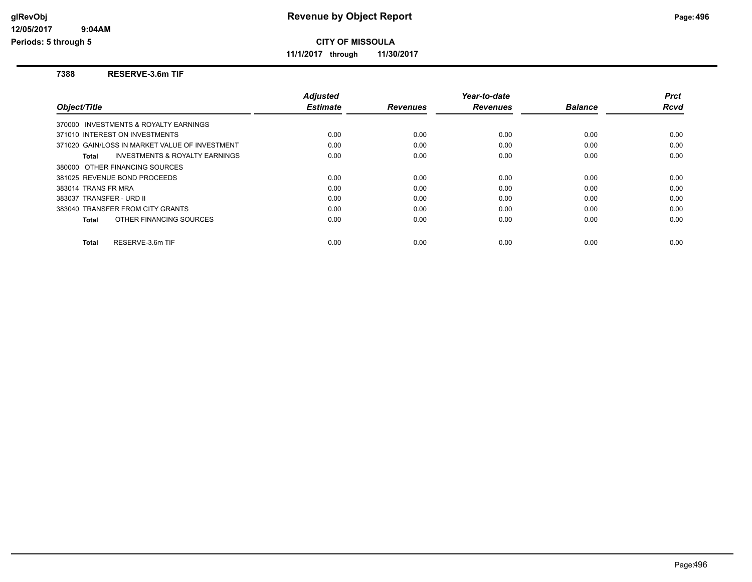**11/1/2017 through 11/30/2017**

#### **7388 RESERVE-3.6m TIF**

|                                                    | <b>Adjusted</b> |                 | Year-to-date    |                | <b>Prct</b> |
|----------------------------------------------------|-----------------|-----------------|-----------------|----------------|-------------|
| Object/Title                                       | <b>Estimate</b> | <b>Revenues</b> | <b>Revenues</b> | <b>Balance</b> | <b>Rcvd</b> |
| 370000 INVESTMENTS & ROYALTY EARNINGS              |                 |                 |                 |                |             |
| 371010 INTEREST ON INVESTMENTS                     | 0.00            | 0.00            | 0.00            | 0.00           | 0.00        |
| 371020 GAIN/LOSS IN MARKET VALUE OF INVESTMENT     | 0.00            | 0.00            | 0.00            | 0.00           | 0.00        |
| <b>INVESTMENTS &amp; ROYALTY EARNINGS</b><br>Total | 0.00            | 0.00            | 0.00            | 0.00           | 0.00        |
| 380000 OTHER FINANCING SOURCES                     |                 |                 |                 |                |             |
| 381025 REVENUE BOND PROCEEDS                       | 0.00            | 0.00            | 0.00            | 0.00           | 0.00        |
| 383014 TRANS FR MRA                                | 0.00            | 0.00            | 0.00            | 0.00           | 0.00        |
| 383037 TRANSFER - URD II                           | 0.00            | 0.00            | 0.00            | 0.00           | 0.00        |
| 383040 TRANSFER FROM CITY GRANTS                   | 0.00            | 0.00            | 0.00            | 0.00           | 0.00        |
| OTHER FINANCING SOURCES<br>Total                   | 0.00            | 0.00            | 0.00            | 0.00           | 0.00        |
|                                                    |                 |                 |                 |                |             |
| RESERVE-3.6m TIF<br>Total                          | 0.00            | 0.00            | 0.00            | 0.00           | 0.00        |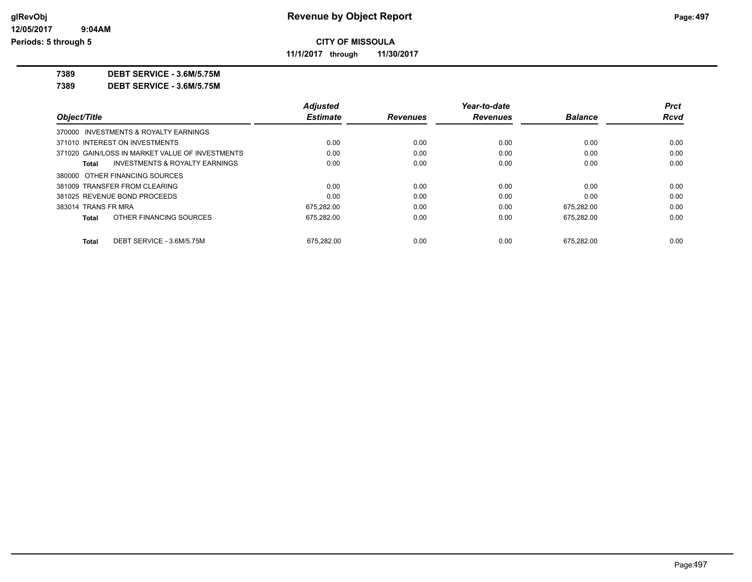**11/1/2017 through 11/30/2017**

**7389 DEBT SERVICE - 3.6M/5.75M**

**7389 DEBT SERVICE - 3.6M/5.75M**

|                     |                                                 | <b>Adjusted</b> |                 | Year-to-date    |                | <b>Prct</b> |
|---------------------|-------------------------------------------------|-----------------|-----------------|-----------------|----------------|-------------|
| Object/Title        |                                                 | <b>Estimate</b> | <b>Revenues</b> | <b>Revenues</b> | <b>Balance</b> | <b>Rcvd</b> |
|                     | 370000 INVESTMENTS & ROYALTY EARNINGS           |                 |                 |                 |                |             |
|                     | 371010 INTEREST ON INVESTMENTS                  | 0.00            | 0.00            | 0.00            | 0.00           | 0.00        |
|                     | 371020 GAIN/LOSS IN MARKET VALUE OF INVESTMENTS | 0.00            | 0.00            | 0.00            | 0.00           | 0.00        |
| Total               | INVESTMENTS & ROYALTY EARNINGS                  | 0.00            | 0.00            | 0.00            | 0.00           | 0.00        |
|                     | 380000 OTHER FINANCING SOURCES                  |                 |                 |                 |                |             |
|                     | 381009 TRANSFER FROM CLEARING                   | 0.00            | 0.00            | 0.00            | 0.00           | 0.00        |
|                     | 381025 REVENUE BOND PROCEEDS                    | 0.00            | 0.00            | 0.00            | 0.00           | 0.00        |
| 383014 TRANS FR MRA |                                                 | 675,282.00      | 0.00            | 0.00            | 675,282.00     | 0.00        |
| Total               | OTHER FINANCING SOURCES                         | 675.282.00      | 0.00            | 0.00            | 675.282.00     | 0.00        |
| Total               | DEBT SERVICE - 3.6M/5.75M                       | 675.282.00      | 0.00            | 0.00            | 675.282.00     | 0.00        |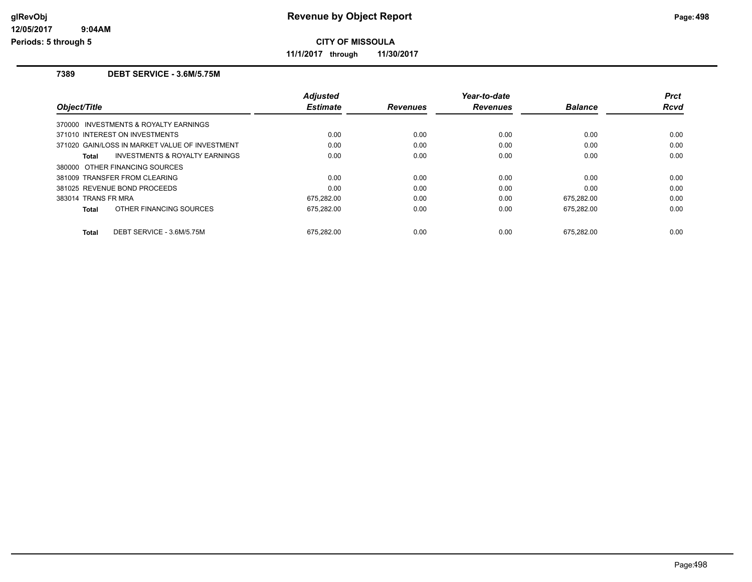**11/1/2017 through 11/30/2017**

#### **7389 DEBT SERVICE - 3.6M/5.75M**

| Object/Title        |                                                | <b>Adjusted</b><br><b>Estimate</b> | <b>Revenues</b> | Year-to-date<br><b>Revenues</b> | <b>Balance</b> | <b>Prct</b><br><b>Rcvd</b> |
|---------------------|------------------------------------------------|------------------------------------|-----------------|---------------------------------|----------------|----------------------------|
|                     | 370000 INVESTMENTS & ROYALTY EARNINGS          |                                    |                 |                                 |                |                            |
|                     | 371010 INTEREST ON INVESTMENTS                 | 0.00                               | 0.00            | 0.00                            | 0.00           | 0.00                       |
|                     | 371020 GAIN/LOSS IN MARKET VALUE OF INVESTMENT | 0.00                               | 0.00            | 0.00                            | 0.00           | 0.00                       |
| Total               | INVESTMENTS & ROYALTY EARNINGS                 | 0.00                               | 0.00            | 0.00                            | 0.00           | 0.00                       |
|                     | 380000 OTHER FINANCING SOURCES                 |                                    |                 |                                 |                |                            |
|                     | 381009 TRANSFER FROM CLEARING                  | 0.00                               | 0.00            | 0.00                            | 0.00           | 0.00                       |
|                     | 381025 REVENUE BOND PROCEEDS                   | 0.00                               | 0.00            | 0.00                            | 0.00           | 0.00                       |
| 383014 TRANS FR MRA |                                                | 675.282.00                         | 0.00            | 0.00                            | 675.282.00     | 0.00                       |
| Total               | OTHER FINANCING SOURCES                        | 675.282.00                         | 0.00            | 0.00                            | 675.282.00     | 0.00                       |
| Total               | DEBT SERVICE - 3.6M/5.75M                      | 675.282.00                         | 0.00            | 0.00                            | 675.282.00     | 0.00                       |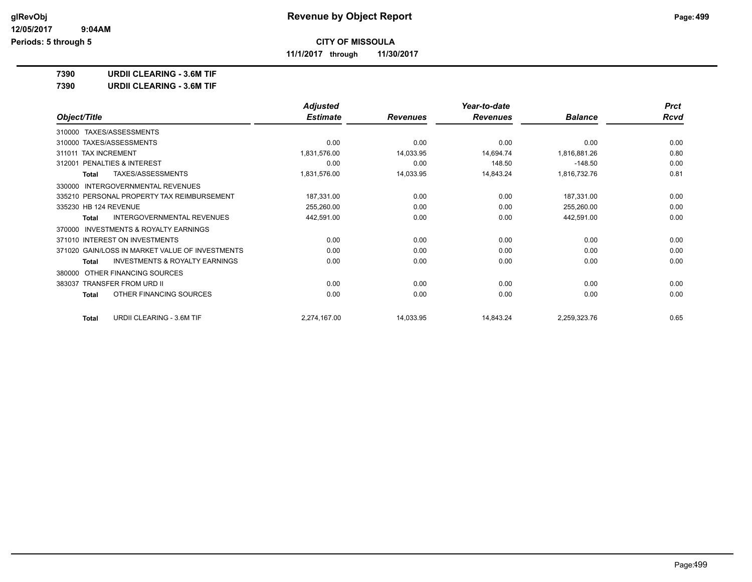**11/1/2017 through 11/30/2017**

**7390 URDII CLEARING - 3.6M TIF**

**7390 URDII CLEARING - 3.6M TIF**

|                                                           | <b>Adjusted</b> |                 | Year-to-date    |                | <b>Prct</b> |
|-----------------------------------------------------------|-----------------|-----------------|-----------------|----------------|-------------|
| Object/Title                                              | <b>Estimate</b> | <b>Revenues</b> | <b>Revenues</b> | <b>Balance</b> | <b>Rcvd</b> |
| TAXES/ASSESSMENTS<br>310000                               |                 |                 |                 |                |             |
| 310000 TAXES/ASSESSMENTS                                  | 0.00            | 0.00            | 0.00            | 0.00           | 0.00        |
| 311011 TAX INCREMENT                                      | 1,831,576.00    | 14,033.95       | 14,694.74       | 1,816,881.26   | 0.80        |
| PENALTIES & INTEREST<br>312001                            | 0.00            | 0.00            | 148.50          | $-148.50$      | 0.00        |
| TAXES/ASSESSMENTS<br><b>Total</b>                         | 1,831,576.00    | 14,033.95       | 14,843.24       | 1,816,732.76   | 0.81        |
| INTERGOVERNMENTAL REVENUES<br>330000                      |                 |                 |                 |                |             |
| 335210 PERSONAL PROPERTY TAX REIMBURSEMENT                | 187,331.00      | 0.00            | 0.00            | 187,331.00     | 0.00        |
| 335230 HB 124 REVENUE                                     | 255,260.00      | 0.00            | 0.00            | 255,260.00     | 0.00        |
| INTERGOVERNMENTAL REVENUES<br>Total                       | 442,591.00      | 0.00            | 0.00            | 442,591.00     | 0.00        |
| INVESTMENTS & ROYALTY EARNINGS<br>370000                  |                 |                 |                 |                |             |
| 371010 INTEREST ON INVESTMENTS                            | 0.00            | 0.00            | 0.00            | 0.00           | 0.00        |
| 371020 GAIN/LOSS IN MARKET VALUE OF INVESTMENTS           | 0.00            | 0.00            | 0.00            | 0.00           | 0.00        |
| <b>INVESTMENTS &amp; ROYALTY EARNINGS</b><br><b>Total</b> | 0.00            | 0.00            | 0.00            | 0.00           | 0.00        |
| OTHER FINANCING SOURCES<br>380000                         |                 |                 |                 |                |             |
| <b>TRANSFER FROM URD II</b><br>383037                     | 0.00            | 0.00            | 0.00            | 0.00           | 0.00        |
| OTHER FINANCING SOURCES<br><b>Total</b>                   | 0.00            | 0.00            | 0.00            | 0.00           | 0.00        |
| URDII CLEARING - 3.6M TIF<br><b>Total</b>                 | 2,274,167.00    | 14,033.95       | 14,843.24       | 2,259,323.76   | 0.65        |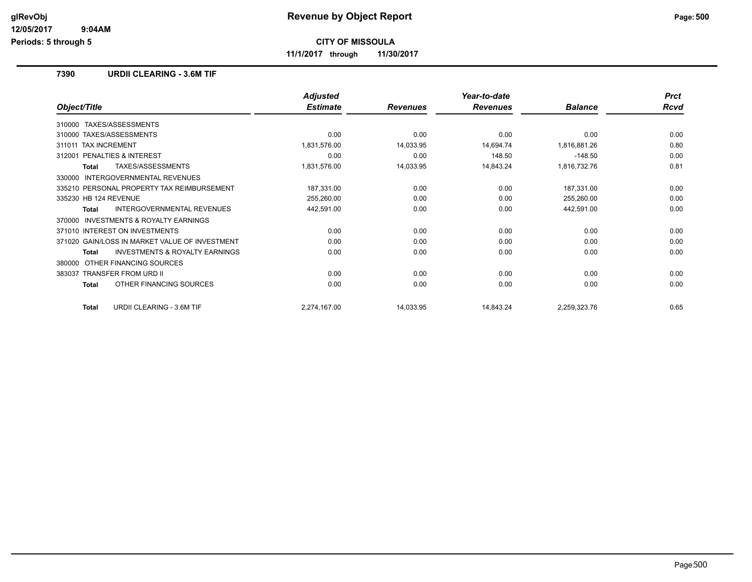**11/1/2017 through 11/30/2017**

#### **7390 URDII CLEARING - 3.6M TIF**

|                                                           | <b>Adjusted</b> |                 | Year-to-date    |                | <b>Prct</b> |
|-----------------------------------------------------------|-----------------|-----------------|-----------------|----------------|-------------|
| Object/Title                                              | <b>Estimate</b> | <b>Revenues</b> | <b>Revenues</b> | <b>Balance</b> | Rcvd        |
| TAXES/ASSESSMENTS<br>310000                               |                 |                 |                 |                |             |
| 310000 TAXES/ASSESSMENTS                                  | 0.00            | 0.00            | 0.00            | 0.00           | 0.00        |
| 311011 TAX INCREMENT                                      | 1,831,576.00    | 14,033.95       | 14,694.74       | 1,816,881.26   | 0.80        |
| 312001 PENALTIES & INTEREST                               | 0.00            | 0.00            | 148.50          | $-148.50$      | 0.00        |
| TAXES/ASSESSMENTS<br><b>Total</b>                         | 1,831,576.00    | 14,033.95       | 14,843.24       | 1,816,732.76   | 0.81        |
| INTERGOVERNMENTAL REVENUES<br>330000                      |                 |                 |                 |                |             |
| 335210 PERSONAL PROPERTY TAX REIMBURSEMENT                | 187,331.00      | 0.00            | 0.00            | 187,331.00     | 0.00        |
| 335230 HB 124 REVENUE                                     | 255,260.00      | 0.00            | 0.00            | 255,260.00     | 0.00        |
| <b>INTERGOVERNMENTAL REVENUES</b><br><b>Total</b>         | 442,591.00      | 0.00            | 0.00            | 442,591.00     | 0.00        |
| <b>INVESTMENTS &amp; ROYALTY EARNINGS</b><br>370000       |                 |                 |                 |                |             |
| 371010 INTEREST ON INVESTMENTS                            | 0.00            | 0.00            | 0.00            | 0.00           | 0.00        |
| 371020 GAIN/LOSS IN MARKET VALUE OF INVESTMENT            | 0.00            | 0.00            | 0.00            | 0.00           | 0.00        |
| <b>INVESTMENTS &amp; ROYALTY EARNINGS</b><br><b>Total</b> | 0.00            | 0.00            | 0.00            | 0.00           | 0.00        |
| OTHER FINANCING SOURCES<br>380000                         |                 |                 |                 |                |             |
| <b>TRANSFER FROM URD II</b><br>383037                     | 0.00            | 0.00            | 0.00            | 0.00           | 0.00        |
| OTHER FINANCING SOURCES<br><b>Total</b>                   | 0.00            | 0.00            | 0.00            | 0.00           | 0.00        |
| URDII CLEARING - 3.6M TIF<br><b>Total</b>                 | 2,274,167.00    | 14,033.95       | 14,843.24       | 2,259,323.76   | 0.65        |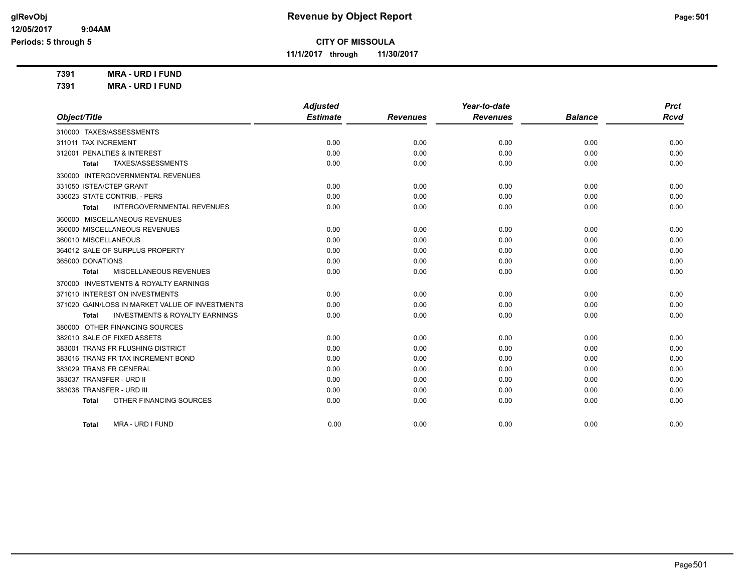**11/1/2017 through 11/30/2017**

**7391 MRA - URD I FUND**

**7391 MRA - URD I FUND**

| <b>Rcvd</b> |
|-------------|
|             |
|             |
| 0.00        |
| 0.00        |
| 0.00        |
|             |
| 0.00        |
| 0.00        |
| 0.00        |
|             |
| 0.00        |
| 0.00        |
| 0.00        |
| 0.00        |
| 0.00        |
|             |
| 0.00        |
| 0.00        |
| 0.00        |
|             |
| 0.00        |
| 0.00        |
| 0.00        |
| 0.00        |
| 0.00        |
| 0.00        |
| 0.00        |
| 0.00        |
|             |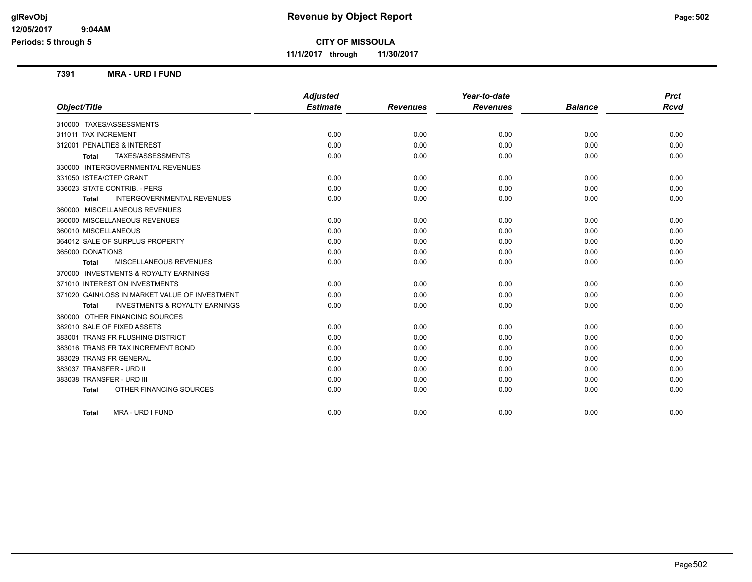**Periods: 5 through 5**

**CITY OF MISSOULA**

**11/1/2017 through 11/30/2017**

#### **7391 MRA - URD I FUND**

|                                                           | <b>Adjusted</b> |                 | Year-to-date    |                | <b>Prct</b> |
|-----------------------------------------------------------|-----------------|-----------------|-----------------|----------------|-------------|
| Object/Title                                              | <b>Estimate</b> | <b>Revenues</b> | <b>Revenues</b> | <b>Balance</b> | <b>Rcvd</b> |
| 310000 TAXES/ASSESSMENTS                                  |                 |                 |                 |                |             |
| 311011 TAX INCREMENT                                      | 0.00            | 0.00            | 0.00            | 0.00           | 0.00        |
| 312001 PENALTIES & INTEREST                               | 0.00            | 0.00            | 0.00            | 0.00           | 0.00        |
| TAXES/ASSESSMENTS<br><b>Total</b>                         | 0.00            | 0.00            | 0.00            | 0.00           | 0.00        |
| 330000 INTERGOVERNMENTAL REVENUES                         |                 |                 |                 |                |             |
| 331050 ISTEA/CTEP GRANT                                   | 0.00            | 0.00            | 0.00            | 0.00           | 0.00        |
| 336023 STATE CONTRIB. - PERS                              | 0.00            | 0.00            | 0.00            | 0.00           | 0.00        |
| <b>INTERGOVERNMENTAL REVENUES</b><br><b>Total</b>         | 0.00            | 0.00            | 0.00            | 0.00           | 0.00        |
| 360000 MISCELLANEOUS REVENUES                             |                 |                 |                 |                |             |
| 360000 MISCELLANEOUS REVENUES                             | 0.00            | 0.00            | 0.00            | 0.00           | 0.00        |
| 360010 MISCELLANEOUS                                      | 0.00            | 0.00            | 0.00            | 0.00           | 0.00        |
| 364012 SALE OF SURPLUS PROPERTY                           | 0.00            | 0.00            | 0.00            | 0.00           | 0.00        |
| 365000 DONATIONS                                          | 0.00            | 0.00            | 0.00            | 0.00           | 0.00        |
| MISCELLANEOUS REVENUES<br>Total                           | 0.00            | 0.00            | 0.00            | 0.00           | 0.00        |
| 370000 INVESTMENTS & ROYALTY EARNINGS                     |                 |                 |                 |                |             |
| 371010 INTEREST ON INVESTMENTS                            | 0.00            | 0.00            | 0.00            | 0.00           | 0.00        |
| 371020 GAIN/LOSS IN MARKET VALUE OF INVESTMENT            | 0.00            | 0.00            | 0.00            | 0.00           | 0.00        |
| <b>INVESTMENTS &amp; ROYALTY EARNINGS</b><br><b>Total</b> | 0.00            | 0.00            | 0.00            | 0.00           | 0.00        |
| 380000 OTHER FINANCING SOURCES                            |                 |                 |                 |                |             |
| 382010 SALE OF FIXED ASSETS                               | 0.00            | 0.00            | 0.00            | 0.00           | 0.00        |
| 383001 TRANS FR FLUSHING DISTRICT                         | 0.00            | 0.00            | 0.00            | 0.00           | 0.00        |
| 383016 TRANS FR TAX INCREMENT BOND                        | 0.00            | 0.00            | 0.00            | 0.00           | 0.00        |
| 383029 TRANS FR GENERAL                                   | 0.00            | 0.00            | 0.00            | 0.00           | 0.00        |
| 383037 TRANSFER - URD II                                  | 0.00            | 0.00            | 0.00            | 0.00           | 0.00        |
| 383038 TRANSFER - URD III                                 | 0.00            | 0.00            | 0.00            | 0.00           | 0.00        |
| OTHER FINANCING SOURCES<br><b>Total</b>                   | 0.00            | 0.00            | 0.00            | 0.00           | 0.00        |
| MRA - URD I FUND<br><b>Total</b>                          | 0.00            | 0.00            | 0.00            | 0.00           | 0.00        |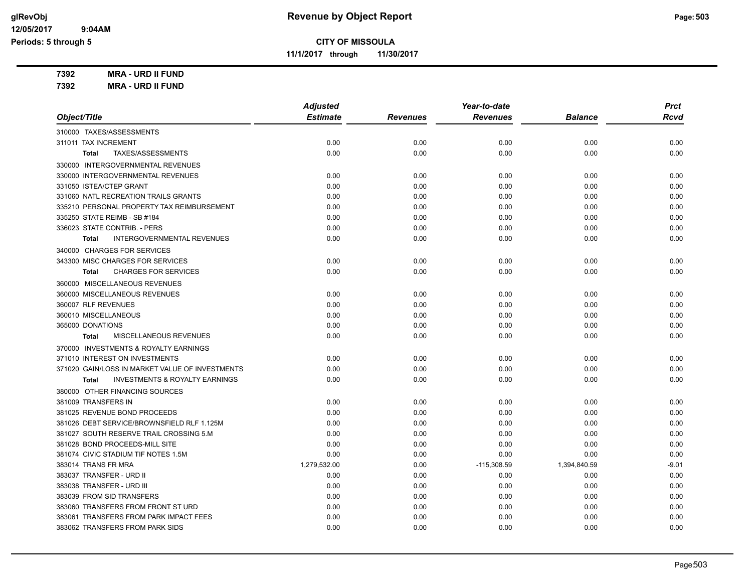**11/1/2017 through 11/30/2017**

**7392 MRA - URD II FUND**

**7392 MRA - URD II FUND**

|                                                           | <b>Adjusted</b> |                 | Year-to-date    |                | <b>Prct</b> |
|-----------------------------------------------------------|-----------------|-----------------|-----------------|----------------|-------------|
| Object/Title                                              | <b>Estimate</b> | <b>Revenues</b> | <b>Revenues</b> | <b>Balance</b> | Rcvd        |
| 310000 TAXES/ASSESSMENTS                                  |                 |                 |                 |                |             |
| 311011 TAX INCREMENT                                      | 0.00            | 0.00            | 0.00            | 0.00           | 0.00        |
| TAXES/ASSESSMENTS<br><b>Total</b>                         | 0.00            | 0.00            | 0.00            | 0.00           | 0.00        |
| 330000 INTERGOVERNMENTAL REVENUES                         |                 |                 |                 |                |             |
| 330000 INTERGOVERNMENTAL REVENUES                         | 0.00            | 0.00            | 0.00            | 0.00           | 0.00        |
| 331050 ISTEA/CTEP GRANT                                   | 0.00            | 0.00            | 0.00            | 0.00           | 0.00        |
| 331060 NATL RECREATION TRAILS GRANTS                      | 0.00            | 0.00            | 0.00            | 0.00           | 0.00        |
| 335210 PERSONAL PROPERTY TAX REIMBURSEMENT                | 0.00            | 0.00            | 0.00            | 0.00           | 0.00        |
| 335250 STATE REIMB - SB #184                              | 0.00            | 0.00            | 0.00            | 0.00           | 0.00        |
| 336023 STATE CONTRIB. - PERS                              | 0.00            | 0.00            | 0.00            | 0.00           | 0.00        |
| <b>INTERGOVERNMENTAL REVENUES</b><br><b>Total</b>         | 0.00            | 0.00            | 0.00            | 0.00           | 0.00        |
| 340000 CHARGES FOR SERVICES                               |                 |                 |                 |                |             |
| 343300 MISC CHARGES FOR SERVICES                          | 0.00            | 0.00            | 0.00            | 0.00           | 0.00        |
| <b>CHARGES FOR SERVICES</b><br>Total                      | 0.00            | 0.00            | 0.00            | 0.00           | 0.00        |
| 360000 MISCELLANEOUS REVENUES                             |                 |                 |                 |                |             |
| 360000 MISCELLANEOUS REVENUES                             | 0.00            | 0.00            | 0.00            | 0.00           | 0.00        |
| 360007 RLF REVENUES                                       | 0.00            | 0.00            | 0.00            | 0.00           | 0.00        |
| 360010 MISCELLANEOUS                                      | 0.00            | 0.00            | 0.00            | 0.00           | 0.00        |
| 365000 DONATIONS                                          | 0.00            | 0.00            | 0.00            | 0.00           | 0.00        |
| MISCELLANEOUS REVENUES<br><b>Total</b>                    | 0.00            | 0.00            | 0.00            | 0.00           | 0.00        |
| 370000 INVESTMENTS & ROYALTY EARNINGS                     |                 |                 |                 |                |             |
| 371010 INTEREST ON INVESTMENTS                            | 0.00            | 0.00            | 0.00            | 0.00           | 0.00        |
| 371020 GAIN/LOSS IN MARKET VALUE OF INVESTMENTS           | 0.00            | 0.00            | 0.00            | 0.00           | 0.00        |
| <b>INVESTMENTS &amp; ROYALTY EARNINGS</b><br><b>Total</b> | 0.00            | 0.00            | 0.00            | 0.00           | 0.00        |
| 380000 OTHER FINANCING SOURCES                            |                 |                 |                 |                |             |
| 381009 TRANSFERS IN                                       | 0.00            | 0.00            | 0.00            | 0.00           | 0.00        |
| 381025 REVENUE BOND PROCEEDS                              | 0.00            | 0.00            | 0.00            | 0.00           | 0.00        |
| 381026 DEBT SERVICE/BROWNSFIELD RLF 1.125M                | 0.00            | 0.00            | 0.00            | 0.00           | 0.00        |
| 381027 SOUTH RESERVE TRAIL CROSSING 5.M                   | 0.00            | 0.00            | 0.00            | 0.00           | 0.00        |
| 381028 BOND PROCEEDS-MILL SITE                            | 0.00            | 0.00            | 0.00            | 0.00           | 0.00        |
| 381074 CIVIC STADIUM TIF NOTES 1.5M                       | 0.00            | 0.00            | 0.00            | 0.00           | 0.00        |
| 383014 TRANS FR MRA                                       | 1,279,532.00    | 0.00            | $-115,308.59$   | 1,394,840.59   | $-9.01$     |
| 383037 TRANSFER - URD II                                  | 0.00            | 0.00            | 0.00            | 0.00           | 0.00        |
| 383038 TRANSFER - URD III                                 | 0.00            | 0.00            | 0.00            | 0.00           | 0.00        |
| 383039 FROM SID TRANSFERS                                 | 0.00            | 0.00            | 0.00            | 0.00           | 0.00        |
| 383060 TRANSFERS FROM FRONT ST URD                        | 0.00            | 0.00            | 0.00            | 0.00           | 0.00        |
| 383061 TRANSFERS FROM PARK IMPACT FEES                    | 0.00            | 0.00            | 0.00            | 0.00           | 0.00        |
| 383062 TRANSFERS FROM PARK SIDS                           | 0.00            | 0.00            | 0.00            | 0.00           | 0.00        |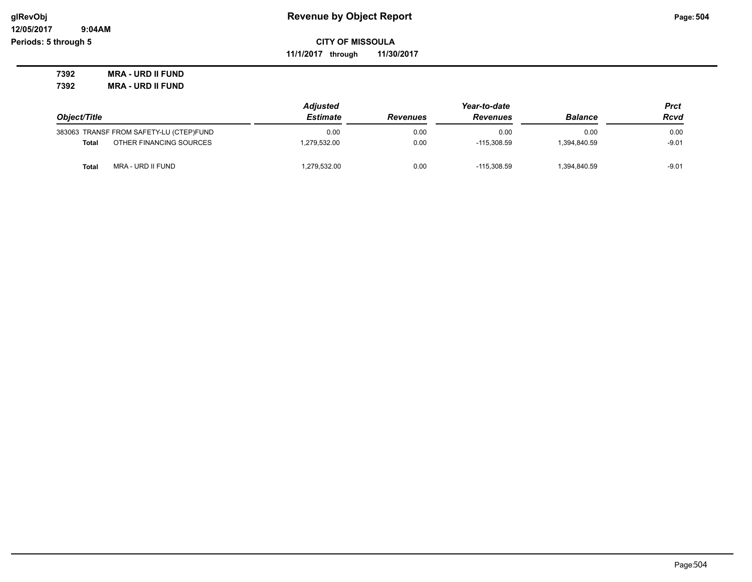**11/1/2017 through 11/30/2017**

**7392 MRA - URD II FUND 7392 MRA - URD II FUND**

|                                         | <b>Adjusted</b> |                 | <b>Prct</b>     |                |         |
|-----------------------------------------|-----------------|-----------------|-----------------|----------------|---------|
| Object/Title                            | <b>Estimate</b> | <b>Revenues</b> | <b>Revenues</b> | <b>Balance</b> | Rcvd    |
| 383063 TRANSF FROM SAFETY-LU (CTEP)FUND | 0.00            | 0.00            | 0.00            | 0.00           | 0.00    |
| OTHER FINANCING SOURCES<br><b>Total</b> | 1,279,532.00    | 0.00            | $-115.308.59$   | 1,394,840.59   | $-9.01$ |
| MRA - URD II FUND<br><b>Total</b>       | 1,279,532.00    | 0.00            | $-115.308.59$   | 1.394.840.59   | $-9.01$ |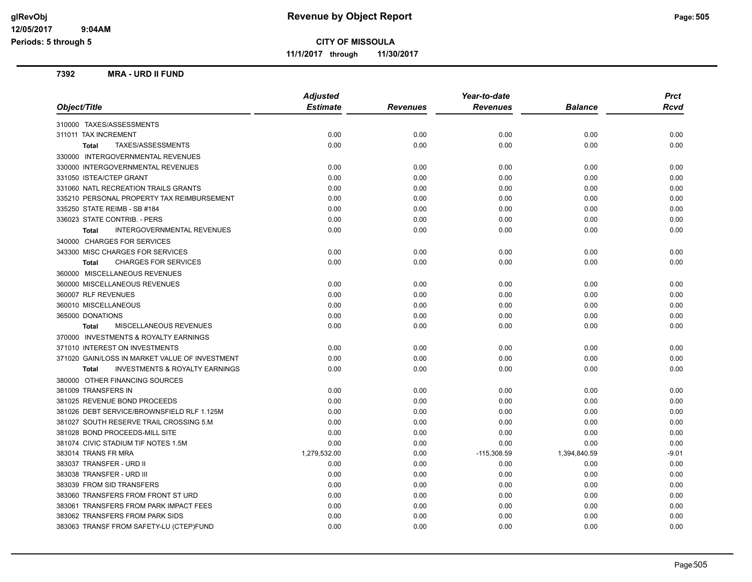**11/1/2017 through 11/30/2017**

#### **7392 MRA - URD II FUND**

|                                                           | <b>Adjusted</b> | Year-to-date    |                 |                | <b>Prct</b> |
|-----------------------------------------------------------|-----------------|-----------------|-----------------|----------------|-------------|
| Object/Title                                              | <b>Estimate</b> | <b>Revenues</b> | <b>Revenues</b> | <b>Balance</b> | Rcvd        |
| 310000 TAXES/ASSESSMENTS                                  |                 |                 |                 |                |             |
| 311011 TAX INCREMENT                                      | 0.00            | 0.00            | 0.00            | 0.00           | 0.00        |
| TAXES/ASSESSMENTS<br><b>Total</b>                         | 0.00            | 0.00            | 0.00            | 0.00           | 0.00        |
| 330000 INTERGOVERNMENTAL REVENUES                         |                 |                 |                 |                |             |
| 330000 INTERGOVERNMENTAL REVENUES                         | 0.00            | 0.00            | 0.00            | 0.00           | 0.00        |
| 331050 ISTEA/CTEP GRANT                                   | 0.00            | 0.00            | 0.00            | 0.00           | 0.00        |
| 331060 NATL RECREATION TRAILS GRANTS                      | 0.00            | 0.00            | 0.00            | 0.00           | 0.00        |
| 335210 PERSONAL PROPERTY TAX REIMBURSEMENT                | 0.00            | 0.00            | 0.00            | 0.00           | 0.00        |
| 335250 STATE REIMB - SB #184                              | 0.00            | 0.00            | 0.00            | 0.00           | 0.00        |
| 336023 STATE CONTRIB. - PERS                              | 0.00            | 0.00            | 0.00            | 0.00           | 0.00        |
| <b>INTERGOVERNMENTAL REVENUES</b><br>Total                | 0.00            | 0.00            | 0.00            | 0.00           | 0.00        |
| 340000 CHARGES FOR SERVICES                               |                 |                 |                 |                |             |
| 343300 MISC CHARGES FOR SERVICES                          | 0.00            | 0.00            | 0.00            | 0.00           | 0.00        |
| <b>CHARGES FOR SERVICES</b><br><b>Total</b>               | 0.00            | 0.00            | 0.00            | 0.00           | 0.00        |
| 360000 MISCELLANEOUS REVENUES                             |                 |                 |                 |                |             |
| 360000 MISCELLANEOUS REVENUES                             | 0.00            | 0.00            | 0.00            | 0.00           | 0.00        |
| 360007 RLF REVENUES                                       | 0.00            | 0.00            | 0.00            | 0.00           | 0.00        |
| 360010 MISCELLANEOUS                                      | 0.00            | 0.00            | 0.00            | 0.00           | 0.00        |
| 365000 DONATIONS                                          | 0.00            | 0.00            | 0.00            | 0.00           | 0.00        |
| MISCELLANEOUS REVENUES<br><b>Total</b>                    | 0.00            | 0.00            | 0.00            | 0.00           | 0.00        |
| 370000 INVESTMENTS & ROYALTY EARNINGS                     |                 |                 |                 |                |             |
| 371010 INTEREST ON INVESTMENTS                            | 0.00            | 0.00            | 0.00            | 0.00           | 0.00        |
| 371020 GAIN/LOSS IN MARKET VALUE OF INVESTMENT            | 0.00            | 0.00            | 0.00            | 0.00           | 0.00        |
| <b>INVESTMENTS &amp; ROYALTY EARNINGS</b><br><b>Total</b> | 0.00            | 0.00            | 0.00            | 0.00           | 0.00        |
| 380000 OTHER FINANCING SOURCES                            |                 |                 |                 |                |             |
| 381009 TRANSFERS IN                                       | 0.00            | 0.00            | 0.00            | 0.00           | 0.00        |
| 381025 REVENUE BOND PROCEEDS                              | 0.00            | 0.00            | 0.00            | 0.00           | 0.00        |
| 381026 DEBT SERVICE/BROWNSFIELD RLF 1.125M                | 0.00            | 0.00            | 0.00            | 0.00           | 0.00        |
| 381027 SOUTH RESERVE TRAIL CROSSING 5.M                   | 0.00            | 0.00            | 0.00            | 0.00           | 0.00        |
| 381028 BOND PROCEEDS-MILL SITE                            | 0.00            | 0.00            | 0.00            | 0.00           | 0.00        |
| 381074 CIVIC STADIUM TIF NOTES 1.5M                       | 0.00            | 0.00            | 0.00            | 0.00           | 0.00        |
| 383014 TRANS FR MRA                                       | 1,279,532.00    | 0.00            | $-115,308.59$   | 1,394,840.59   | $-9.01$     |
| 383037 TRANSFER - URD II                                  | 0.00            | 0.00            | 0.00            | 0.00           | 0.00        |
| 383038 TRANSFER - URD III                                 | 0.00            | 0.00            | 0.00            | 0.00           | 0.00        |
| 383039 FROM SID TRANSFERS                                 | 0.00            | 0.00            | 0.00            | 0.00           | 0.00        |
| 383060 TRANSFERS FROM FRONT ST URD                        | 0.00            | 0.00            | 0.00            | 0.00           | 0.00        |
| 383061 TRANSFERS FROM PARK IMPACT FEES                    | 0.00            | 0.00            | 0.00            | 0.00           | 0.00        |
| 383062 TRANSFERS FROM PARK SIDS                           | 0.00            | 0.00            | 0.00            | 0.00           | 0.00        |
| 383063 TRANSF FROM SAFETY-LU (CTEP)FUND                   | 0.00            | 0.00            | 0.00            | 0.00           | 0.00        |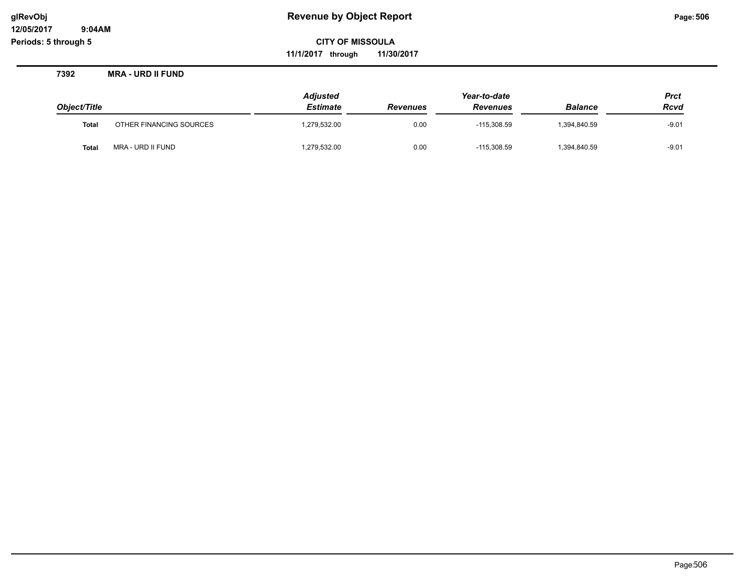**Periods: 5 through 5**

**CITY OF MISSOULA**

**11/1/2017 through 11/30/2017**

**7392 MRA - URD II FUND**

|              |                         | <b>Adjusted</b> |                 | Year-to-date    |                |         |
|--------------|-------------------------|-----------------|-----------------|-----------------|----------------|---------|
| Object/Title |                         | Estimate        | <b>Revenues</b> | <b>Revenues</b> | <b>Balance</b> | Rcvd    |
| Total        | OTHER FINANCING SOURCES | 1,279,532.00    | 0.00            | $-115.308.59$   | 1.394.840.59   | $-9.01$ |
| <b>Tota</b>  | MRA - URD II FUND       | 1,279,532.00    | 0.00            | $-115,308.59$   | 1,394,840.59   | $-9.01$ |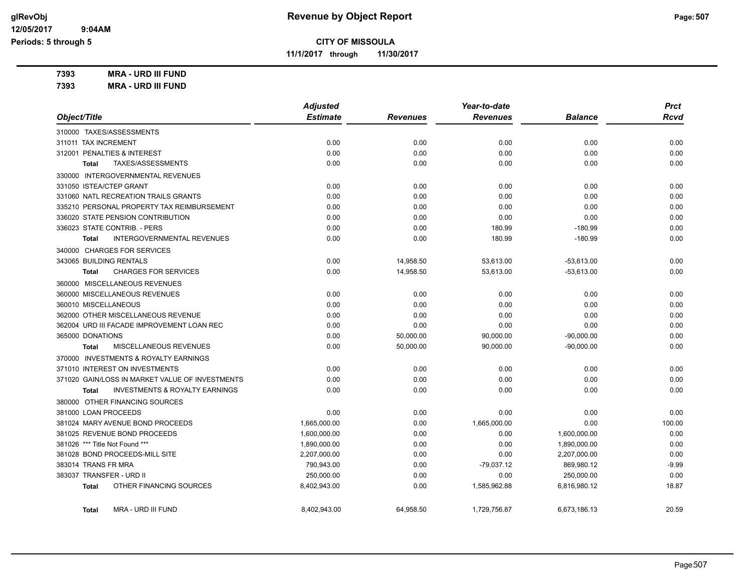**11/1/2017 through 11/30/2017**

**7393 MRA - URD III FUND**

**7393 MRA - URD III FUND**

|                                                           | <b>Adjusted</b> |                 | Year-to-date    |                | <b>Prct</b> |
|-----------------------------------------------------------|-----------------|-----------------|-----------------|----------------|-------------|
| Object/Title                                              | <b>Estimate</b> | <b>Revenues</b> | <b>Revenues</b> | <b>Balance</b> | <b>Rcvd</b> |
| 310000 TAXES/ASSESSMENTS                                  |                 |                 |                 |                |             |
| 311011 TAX INCREMENT                                      | 0.00            | 0.00            | 0.00            | 0.00           | 0.00        |
| 312001 PENALTIES & INTEREST                               | 0.00            | 0.00            | 0.00            | 0.00           | 0.00        |
| TAXES/ASSESSMENTS<br><b>Total</b>                         | 0.00            | 0.00            | 0.00            | 0.00           | 0.00        |
| 330000 INTERGOVERNMENTAL REVENUES                         |                 |                 |                 |                |             |
| 331050 ISTEA/CTEP GRANT                                   | 0.00            | 0.00            | 0.00            | 0.00           | 0.00        |
| 331060 NATL RECREATION TRAILS GRANTS                      | 0.00            | 0.00            | 0.00            | 0.00           | 0.00        |
| 335210 PERSONAL PROPERTY TAX REIMBURSEMENT                | 0.00            | 0.00            | 0.00            | 0.00           | 0.00        |
| 336020 STATE PENSION CONTRIBUTION                         | 0.00            | 0.00            | 0.00            | 0.00           | 0.00        |
| 336023 STATE CONTRIB. - PERS                              | 0.00            | 0.00            | 180.99          | $-180.99$      | 0.00        |
| <b>INTERGOVERNMENTAL REVENUES</b><br>Total                | 0.00            | 0.00            | 180.99          | $-180.99$      | 0.00        |
| 340000 CHARGES FOR SERVICES                               |                 |                 |                 |                |             |
| 343065 BUILDING RENTALS                                   | 0.00            | 14,958.50       | 53,613.00       | $-53,613.00$   | 0.00        |
| <b>CHARGES FOR SERVICES</b><br><b>Total</b>               | 0.00            | 14,958.50       | 53,613.00       | $-53,613.00$   | 0.00        |
| 360000 MISCELLANEOUS REVENUES                             |                 |                 |                 |                |             |
| 360000 MISCELLANEOUS REVENUES                             | 0.00            | 0.00            | 0.00            | 0.00           | 0.00        |
| 360010 MISCELLANEOUS                                      | 0.00            | 0.00            | 0.00            | 0.00           | 0.00        |
| 362000 OTHER MISCELLANEOUS REVENUE                        | 0.00            | 0.00            | 0.00            | 0.00           | 0.00        |
| 362004 URD III FACADE IMPROVEMENT LOAN REC                | 0.00            | 0.00            | 0.00            | 0.00           | 0.00        |
| 365000 DONATIONS                                          | 0.00            | 50,000.00       | 90,000.00       | $-90,000.00$   | 0.00        |
| MISCELLANEOUS REVENUES<br><b>Total</b>                    | 0.00            | 50,000.00       | 90,000.00       | $-90,000.00$   | 0.00        |
| 370000 INVESTMENTS & ROYALTY EARNINGS                     |                 |                 |                 |                |             |
| 371010 INTEREST ON INVESTMENTS                            | 0.00            | 0.00            | 0.00            | 0.00           | 0.00        |
| 371020 GAIN/LOSS IN MARKET VALUE OF INVESTMENTS           | 0.00            | 0.00            | 0.00            | 0.00           | 0.00        |
| <b>INVESTMENTS &amp; ROYALTY EARNINGS</b><br><b>Total</b> | 0.00            | 0.00            | 0.00            | 0.00           | 0.00        |
| 380000 OTHER FINANCING SOURCES                            |                 |                 |                 |                |             |
| 381000 LOAN PROCEEDS                                      | 0.00            | 0.00            | 0.00            | 0.00           | 0.00        |
| 381024 MARY AVENUE BOND PROCEEDS                          | 1,665,000.00    | 0.00            | 1,665,000.00    | 0.00           | 100.00      |
| 381025 REVENUE BOND PROCEEDS                              | 1,600,000.00    | 0.00            | 0.00            | 1,600,000.00   | 0.00        |
| 381026 *** Title Not Found ***                            | 1,890,000.00    | 0.00            | 0.00            | 1,890,000.00   | 0.00        |
| 381028 BOND PROCEEDS-MILL SITE                            | 2,207,000.00    | 0.00            | 0.00            | 2,207,000.00   | 0.00        |
| 383014 TRANS FR MRA                                       | 790,943.00      | 0.00            | $-79,037.12$    | 869,980.12     | $-9.99$     |
| 383037 TRANSFER - URD II                                  | 250,000.00      | 0.00            | 0.00            | 250,000.00     | 0.00        |
| OTHER FINANCING SOURCES<br><b>Total</b>                   | 8,402,943.00    | 0.00            | 1,585,962.88    | 6,816,980.12   | 18.87       |
| MRA - URD III FUND<br><b>Total</b>                        | 8,402,943.00    | 64,958.50       | 1,729,756.87    | 6,673,186.13   | 20.59       |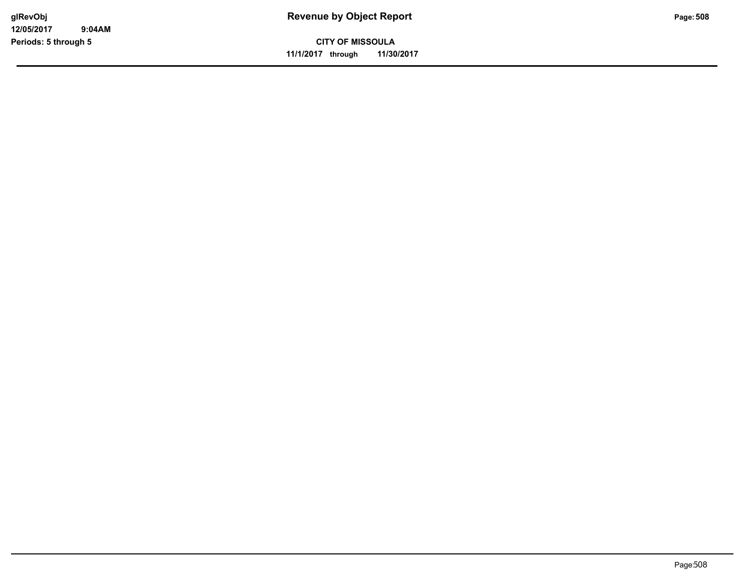**CITY OF MISSOULA 11/1/2017 through 11/30/2017**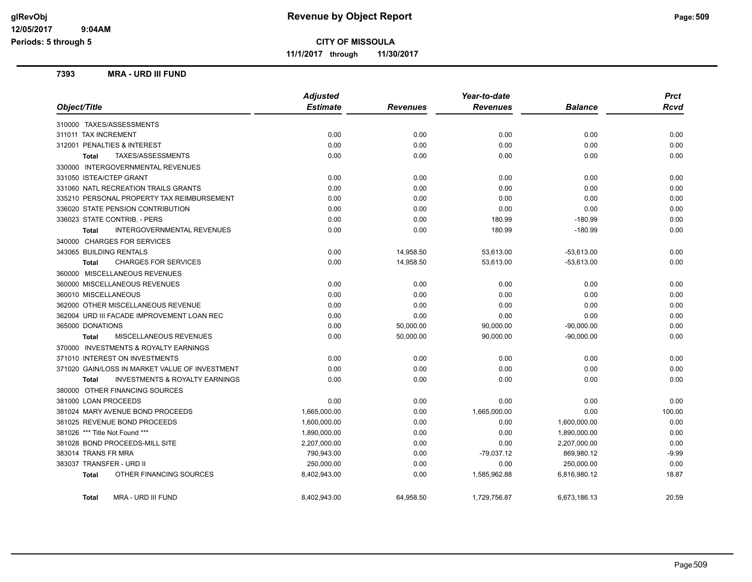**11/1/2017 through 11/30/2017**

#### **7393 MRA - URD III FUND**

|                                                           | <b>Adjusted</b> |                 | Year-to-date    |                | <b>Prct</b> |
|-----------------------------------------------------------|-----------------|-----------------|-----------------|----------------|-------------|
| Object/Title                                              | <b>Estimate</b> | <b>Revenues</b> | <b>Revenues</b> | <b>Balance</b> | <b>Rcvd</b> |
| 310000 TAXES/ASSESSMENTS                                  |                 |                 |                 |                |             |
| 311011 TAX INCREMENT                                      | 0.00            | 0.00            | 0.00            | 0.00           | 0.00        |
| 312001 PENALTIES & INTEREST                               | 0.00            | 0.00            | 0.00            | 0.00           | 0.00        |
| TAXES/ASSESSMENTS<br><b>Total</b>                         | 0.00            | 0.00            | 0.00            | 0.00           | 0.00        |
| 330000 INTERGOVERNMENTAL REVENUES                         |                 |                 |                 |                |             |
| 331050 ISTEA/CTEP GRANT                                   | 0.00            | 0.00            | 0.00            | 0.00           | 0.00        |
| 331060 NATL RECREATION TRAILS GRANTS                      | 0.00            | 0.00            | 0.00            | 0.00           | 0.00        |
| 335210 PERSONAL PROPERTY TAX REIMBURSEMENT                | 0.00            | 0.00            | 0.00            | 0.00           | 0.00        |
| 336020 STATE PENSION CONTRIBUTION                         | 0.00            | 0.00            | 0.00            | 0.00           | 0.00        |
| 336023 STATE CONTRIB. - PERS                              | 0.00            | 0.00            | 180.99          | $-180.99$      | 0.00        |
| <b>INTERGOVERNMENTAL REVENUES</b><br><b>Total</b>         | 0.00            | 0.00            | 180.99          | $-180.99$      | 0.00        |
| 340000 CHARGES FOR SERVICES                               |                 |                 |                 |                |             |
| 343065 BUILDING RENTALS                                   | 0.00            | 14,958.50       | 53,613.00       | $-53,613.00$   | 0.00        |
| <b>CHARGES FOR SERVICES</b><br>Total                      | 0.00            | 14,958.50       | 53,613.00       | $-53,613.00$   | 0.00        |
| 360000 MISCELLANEOUS REVENUES                             |                 |                 |                 |                |             |
| 360000 MISCELLANEOUS REVENUES                             | 0.00            | 0.00            | 0.00            | 0.00           | 0.00        |
| 360010 MISCELLANEOUS                                      | 0.00            | 0.00            | 0.00            | 0.00           | 0.00        |
| 362000 OTHER MISCELLANEOUS REVENUE                        | 0.00            | 0.00            | 0.00            | 0.00           | 0.00        |
| 362004 URD III FACADE IMPROVEMENT LOAN REC                | 0.00            | 0.00            | 0.00            | 0.00           | 0.00        |
| 365000 DONATIONS                                          | 0.00            | 50,000.00       | 90,000.00       | $-90,000.00$   | 0.00        |
| <b>MISCELLANEOUS REVENUES</b><br><b>Total</b>             | 0.00            | 50,000.00       | 90,000.00       | $-90,000.00$   | 0.00        |
| 370000 INVESTMENTS & ROYALTY EARNINGS                     |                 |                 |                 |                |             |
| 371010 INTEREST ON INVESTMENTS                            | 0.00            | 0.00            | 0.00            | 0.00           | 0.00        |
| 371020 GAIN/LOSS IN MARKET VALUE OF INVESTMENT            | 0.00            | 0.00            | 0.00            | 0.00           | 0.00        |
| <b>INVESTMENTS &amp; ROYALTY EARNINGS</b><br><b>Total</b> | 0.00            | 0.00            | 0.00            | 0.00           | 0.00        |
| 380000 OTHER FINANCING SOURCES                            |                 |                 |                 |                |             |
| 381000 LOAN PROCEEDS                                      | 0.00            | 0.00            | 0.00            | 0.00           | 0.00        |
| 381024 MARY AVENUE BOND PROCEEDS                          | 1,665,000.00    | 0.00            | 1,665,000.00    | 0.00           | 100.00      |
| 381025 REVENUE BOND PROCEEDS                              | 1,600,000.00    | 0.00            | 0.00            | 1,600,000.00   | 0.00        |
| 381026 *** Title Not Found ***                            | 1,890,000.00    | 0.00            | 0.00            | 1,890,000.00   | 0.00        |
| 381028 BOND PROCEEDS-MILL SITE                            | 2,207,000.00    | 0.00            | 0.00            | 2,207,000.00   | 0.00        |
| 383014 TRANS FR MRA                                       | 790,943.00      | 0.00            | $-79,037.12$    | 869,980.12     | $-9.99$     |
| 383037 TRANSFER - URD II                                  | 250,000.00      | 0.00            | 0.00            | 250,000.00     | 0.00        |
| OTHER FINANCING SOURCES<br><b>Total</b>                   | 8,402,943.00    | 0.00            | 1,585,962.88    | 6,816,980.12   | 18.87       |
| MRA - URD III FUND<br><b>Total</b>                        | 8.402.943.00    | 64,958.50       | 1,729,756.87    | 6,673,186.13   | 20.59       |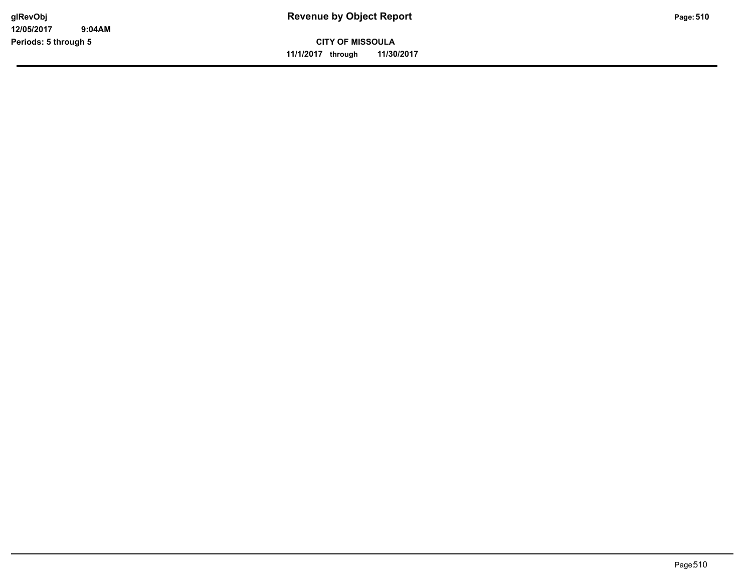**CITY OF MISSOULA 11/1/2017 through 11/30/2017**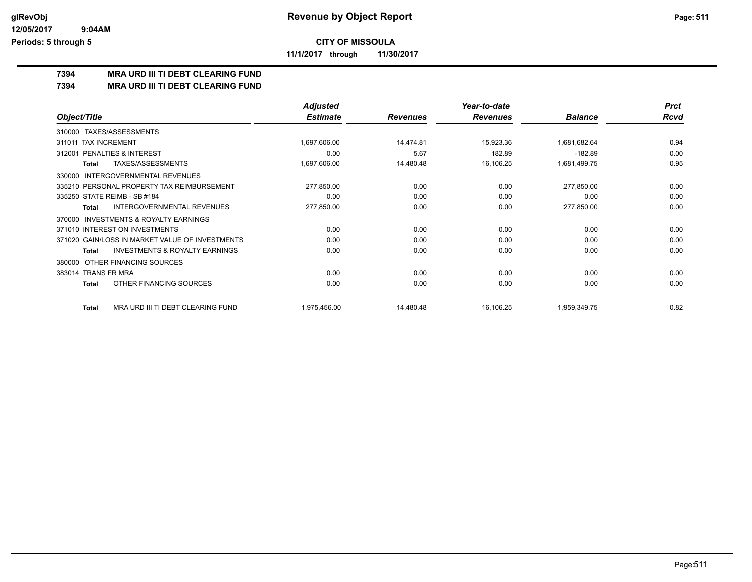**11/1/2017 through 11/30/2017**

# **7394 MRA URD III TI DEBT CLEARING FUND**

**7394 MRA URD III TI DEBT CLEARING FUND**

|                                                     | <b>Adjusted</b> |                 | Year-to-date    |                | <b>Prct</b> |
|-----------------------------------------------------|-----------------|-----------------|-----------------|----------------|-------------|
| Object/Title                                        | <b>Estimate</b> | <b>Revenues</b> | <b>Revenues</b> | <b>Balance</b> | Rcvd        |
| TAXES/ASSESSMENTS<br>310000                         |                 |                 |                 |                |             |
| <b>TAX INCREMENT</b><br>311011                      | 1,697,606.00    | 14,474.81       | 15,923.36       | 1,681,682.64   | 0.94        |
| PENALTIES & INTEREST<br>312001                      | 0.00            | 5.67            | 182.89          | $-182.89$      | 0.00        |
| <b>TAXES/ASSESSMENTS</b><br>Total                   | 1,697,606.00    | 14,480.48       | 16,106.25       | 1,681,499.75   | 0.95        |
| INTERGOVERNMENTAL REVENUES<br>330000                |                 |                 |                 |                |             |
| 335210 PERSONAL PROPERTY TAX REIMBURSEMENT          | 277,850.00      | 0.00            | 0.00            | 277,850.00     | 0.00        |
| 335250 STATE REIMB - SB #184                        | 0.00            | 0.00            | 0.00            | 0.00           | 0.00        |
| INTERGOVERNMENTAL REVENUES<br>Total                 | 277,850.00      | 0.00            | 0.00            | 277,850.00     | 0.00        |
| <b>INVESTMENTS &amp; ROYALTY EARNINGS</b><br>370000 |                 |                 |                 |                |             |
| 371010 INTEREST ON INVESTMENTS                      | 0.00            | 0.00            | 0.00            | 0.00           | 0.00        |
| 371020 GAIN/LOSS IN MARKET VALUE OF INVESTMENTS     | 0.00            | 0.00            | 0.00            | 0.00           | 0.00        |
| <b>INVESTMENTS &amp; ROYALTY EARNINGS</b><br>Total  | 0.00            | 0.00            | 0.00            | 0.00           | 0.00        |
| OTHER FINANCING SOURCES<br>380000                   |                 |                 |                 |                |             |
| 383014 TRANS FR MRA                                 | 0.00            | 0.00            | 0.00            | 0.00           | 0.00        |
| OTHER FINANCING SOURCES<br><b>Total</b>             | 0.00            | 0.00            | 0.00            | 0.00           | 0.00        |
| MRA URD III TI DEBT CLEARING FUND<br><b>Total</b>   | 1,975,456.00    | 14,480.48       | 16,106.25       | 1,959,349.75   | 0.82        |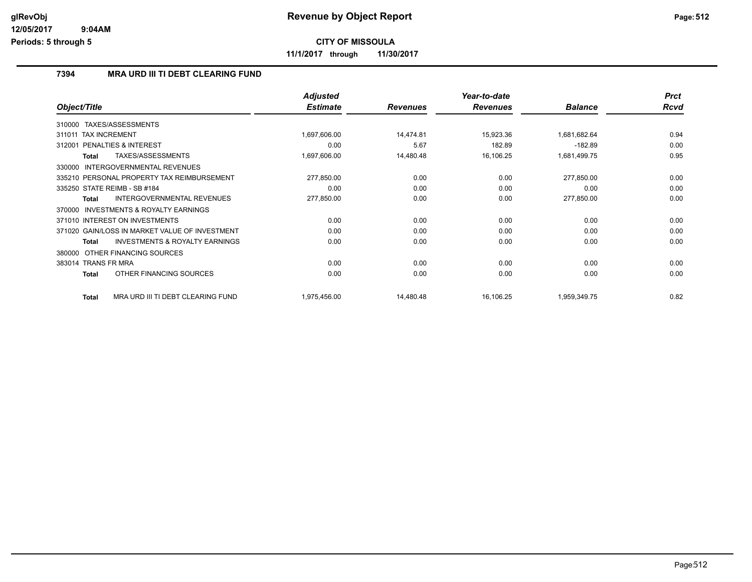**11/1/2017 through 11/30/2017**

### **7394 MRA URD III TI DEBT CLEARING FUND**

|                                                           | <b>Adjusted</b> |                 | Year-to-date    |                | <b>Prct</b> |
|-----------------------------------------------------------|-----------------|-----------------|-----------------|----------------|-------------|
| Object/Title                                              | <b>Estimate</b> | <b>Revenues</b> | <b>Revenues</b> | <b>Balance</b> | Rcvd        |
| TAXES/ASSESSMENTS<br>310000                               |                 |                 |                 |                |             |
| 311011 TAX INCREMENT                                      | 1,697,606.00    | 14,474.81       | 15,923.36       | 1,681,682.64   | 0.94        |
| <b>PENALTIES &amp; INTEREST</b><br>312001                 | 0.00            | 5.67            | 182.89          | $-182.89$      | 0.00        |
| TAXES/ASSESSMENTS<br><b>Total</b>                         | 1,697,606.00    | 14,480.48       | 16,106.25       | 1,681,499.75   | 0.95        |
| INTERGOVERNMENTAL REVENUES<br>330000                      |                 |                 |                 |                |             |
| 335210 PERSONAL PROPERTY TAX REIMBURSEMENT                | 277,850.00      | 0.00            | 0.00            | 277,850.00     | 0.00        |
| 335250 STATE REIMB - SB #184                              | 0.00            | 0.00            | 0.00            | 0.00           | 0.00        |
| INTERGOVERNMENTAL REVENUES<br><b>Total</b>                | 277,850.00      | 0.00            | 0.00            | 277,850.00     | 0.00        |
| INVESTMENTS & ROYALTY EARNINGS<br>370000                  |                 |                 |                 |                |             |
| 371010 INTEREST ON INVESTMENTS                            | 0.00            | 0.00            | 0.00            | 0.00           | 0.00        |
| 371020 GAIN/LOSS IN MARKET VALUE OF INVESTMENT            | 0.00            | 0.00            | 0.00            | 0.00           | 0.00        |
| <b>INVESTMENTS &amp; ROYALTY EARNINGS</b><br><b>Total</b> | 0.00            | 0.00            | 0.00            | 0.00           | 0.00        |
| OTHER FINANCING SOURCES<br>380000                         |                 |                 |                 |                |             |
| 383014 TRANS FR MRA                                       | 0.00            | 0.00            | 0.00            | 0.00           | 0.00        |
| OTHER FINANCING SOURCES<br><b>Total</b>                   | 0.00            | 0.00            | 0.00            | 0.00           | 0.00        |
| MRA URD III TI DEBT CLEARING FUND<br><b>Total</b>         | 1,975,456.00    | 14,480.48       | 16,106.25       | 1,959,349.75   | 0.82        |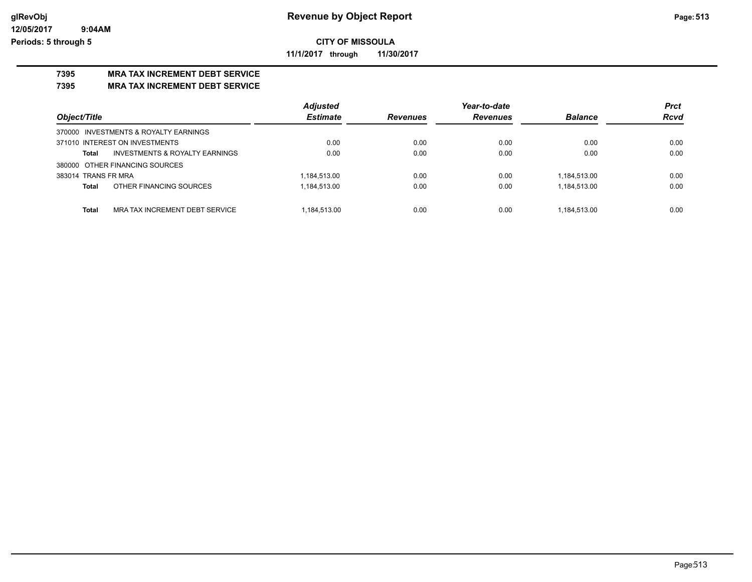**11/1/2017 through 11/30/2017**

# **7395 MRA TAX INCREMENT DEBT SERVICE**

# **7395 MRA TAX INCREMENT DEBT SERVICE**

|                                                    | <b>Adjusted</b> |                 | Year-to-date    |                | <b>Prct</b> |
|----------------------------------------------------|-----------------|-----------------|-----------------|----------------|-------------|
| Object/Title                                       | <b>Estimate</b> | <b>Revenues</b> | <b>Revenues</b> | <b>Balance</b> | <b>Rcvd</b> |
| 370000 INVESTMENTS & ROYALTY EARNINGS              |                 |                 |                 |                |             |
| 371010 INTEREST ON INVESTMENTS                     | 0.00            | 0.00            | 0.00            | 0.00           | 0.00        |
| <b>INVESTMENTS &amp; ROYALTY EARNINGS</b><br>Total | 0.00            | 0.00            | 0.00            | 0.00           | 0.00        |
| 380000 OTHER FINANCING SOURCES                     |                 |                 |                 |                |             |
| 383014 TRANS FR MRA                                | 1,184,513.00    | 0.00            | 0.00            | 1,184,513.00   | 0.00        |
| OTHER FINANCING SOURCES<br>Total                   | 1,184,513.00    | 0.00            | 0.00            | 1,184,513.00   | 0.00        |
|                                                    |                 |                 |                 |                |             |
| MRA TAX INCREMENT DEBT SERVICE<br>Total            | 1.184.513.00    | 0.00            | 0.00            | 1.184.513.00   | 0.00        |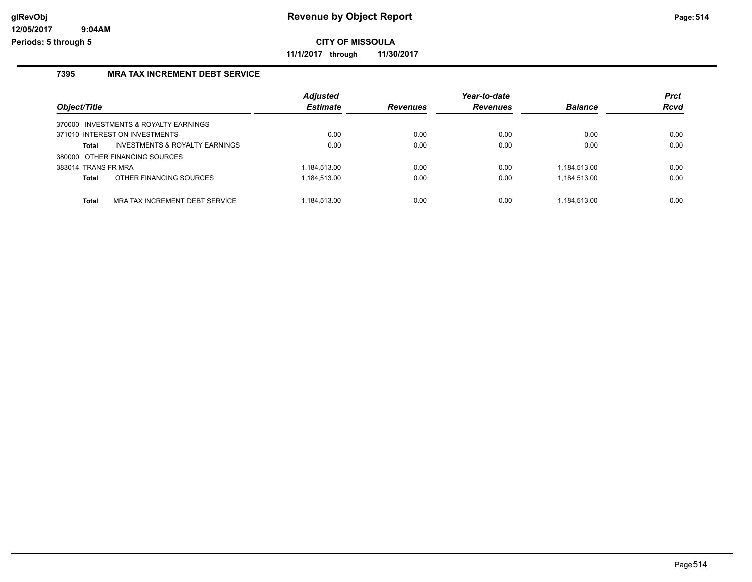**11/1/2017 through 11/30/2017**

### **7395 MRA TAX INCREMENT DEBT SERVICE**

| Object/Title                                              | <b>Adjusted</b><br><b>Estimate</b> | <b>Revenues</b> | Year-to-date<br><b>Revenues</b> | <b>Balance</b> | <b>Prct</b><br><b>Rcvd</b> |
|-----------------------------------------------------------|------------------------------------|-----------------|---------------------------------|----------------|----------------------------|
| 370000 INVESTMENTS & ROYALTY EARNINGS                     |                                    |                 |                                 |                |                            |
| 371010 INTEREST ON INVESTMENTS                            | 0.00                               | 0.00            | 0.00                            | 0.00           | 0.00                       |
| <b>INVESTMENTS &amp; ROYALTY EARNINGS</b><br><b>Total</b> | 0.00                               | 0.00            | 0.00                            | 0.00           | 0.00                       |
| 380000 OTHER FINANCING SOURCES                            |                                    |                 |                                 |                |                            |
| 383014 TRANS FR MRA                                       | 1.184.513.00                       | 0.00            | 0.00                            | 1.184.513.00   | 0.00                       |
| OTHER FINANCING SOURCES<br><b>Total</b>                   | 1,184,513.00                       | 0.00            | 0.00                            | 1,184,513.00   | 0.00                       |
|                                                           |                                    |                 |                                 |                |                            |
| MRA TAX INCREMENT DEBT SERVICE<br><b>Total</b>            | 1.184.513.00                       | 0.00            | 0.00                            | 1.184.513.00   | 0.00                       |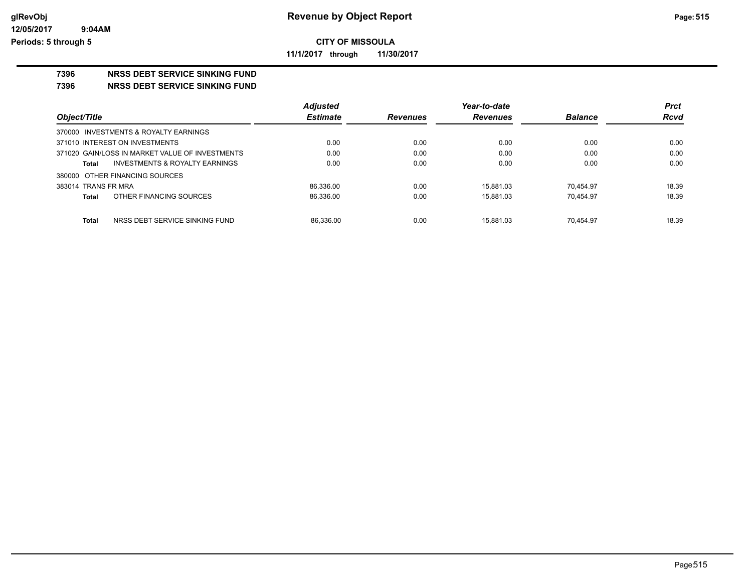**11/1/2017 through 11/30/2017**

# **7396 NRSS DEBT SERVICE SINKING FUND**

**7396 NRSS DEBT SERVICE SINKING FUND**

|                                                    | <b>Adjusted</b> |                 | Year-to-date    |                | <b>Prct</b> |
|----------------------------------------------------|-----------------|-----------------|-----------------|----------------|-------------|
| Object/Title                                       | <b>Estimate</b> | <b>Revenues</b> | <b>Revenues</b> | <b>Balance</b> | <b>Rcvd</b> |
| 370000 INVESTMENTS & ROYALTY EARNINGS              |                 |                 |                 |                |             |
| 371010 INTEREST ON INVESTMENTS                     | 0.00            | 0.00            | 0.00            | 0.00           | 0.00        |
| 371020 GAIN/LOSS IN MARKET VALUE OF INVESTMENTS    | 0.00            | 0.00            | 0.00            | 0.00           | 0.00        |
| <b>INVESTMENTS &amp; ROYALTY EARNINGS</b><br>Total | 0.00            | 0.00            | 0.00            | 0.00           | 0.00        |
| 380000 OTHER FINANCING SOURCES                     |                 |                 |                 |                |             |
| 383014 TRANS FR MRA                                | 86.336.00       | 0.00            | 15.881.03       | 70.454.97      | 18.39       |
| OTHER FINANCING SOURCES<br>Total                   | 86.336.00       | 0.00            | 15.881.03       | 70.454.97      | 18.39       |
|                                                    |                 |                 |                 |                |             |
| <b>Total</b><br>NRSS DEBT SERVICE SINKING FUND     | 86.336.00       | 0.00            | 15.881.03       | 70.454.97      | 18.39       |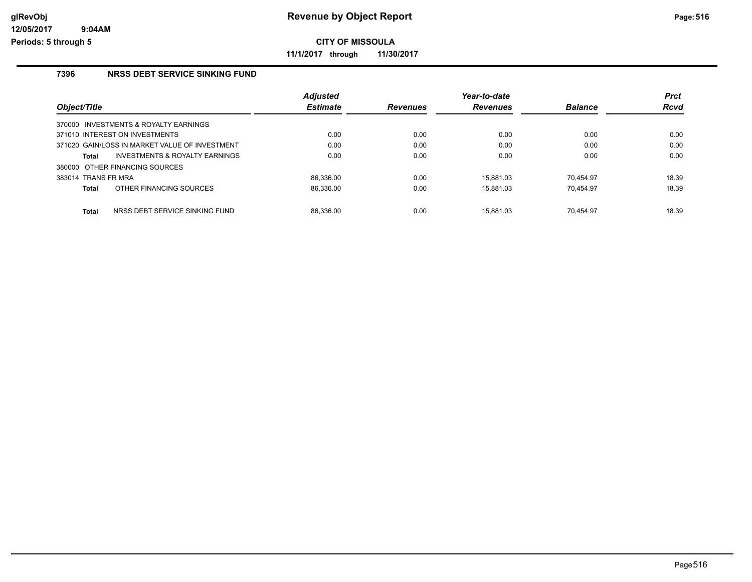**11/1/2017 through 11/30/2017**

### **7396 NRSS DEBT SERVICE SINKING FUND**

|                                                |  | <b>Adjusted</b> |                 | Year-to-date    |                | <b>Prct</b> |
|------------------------------------------------|--|-----------------|-----------------|-----------------|----------------|-------------|
| Object/Title                                   |  | <b>Estimate</b> | <b>Revenues</b> | <b>Revenues</b> | <b>Balance</b> | <b>Rcvd</b> |
| 370000 INVESTMENTS & ROYALTY EARNINGS          |  |                 |                 |                 |                |             |
| 371010 INTEREST ON INVESTMENTS                 |  | 0.00            | 0.00            | 0.00            | 0.00           | 0.00        |
| 371020 GAIN/LOSS IN MARKET VALUE OF INVESTMENT |  | 0.00            | 0.00            | 0.00            | 0.00           | 0.00        |
| INVESTMENTS & ROYALTY EARNINGS<br>Total        |  | 0.00            | 0.00            | 0.00            | 0.00           | 0.00        |
| 380000 OTHER FINANCING SOURCES                 |  |                 |                 |                 |                |             |
| 383014 TRANS FR MRA                            |  | 86.336.00       | 0.00            | 15.881.03       | 70.454.97      | 18.39       |
| OTHER FINANCING SOURCES<br><b>Total</b>        |  | 86,336.00       | 0.00            | 15.881.03       | 70.454.97      | 18.39       |
| <b>Total</b><br>NRSS DEBT SERVICE SINKING FUND |  | 86.336.00       | 0.00            | 15.881.03       | 70.454.97      | 18.39       |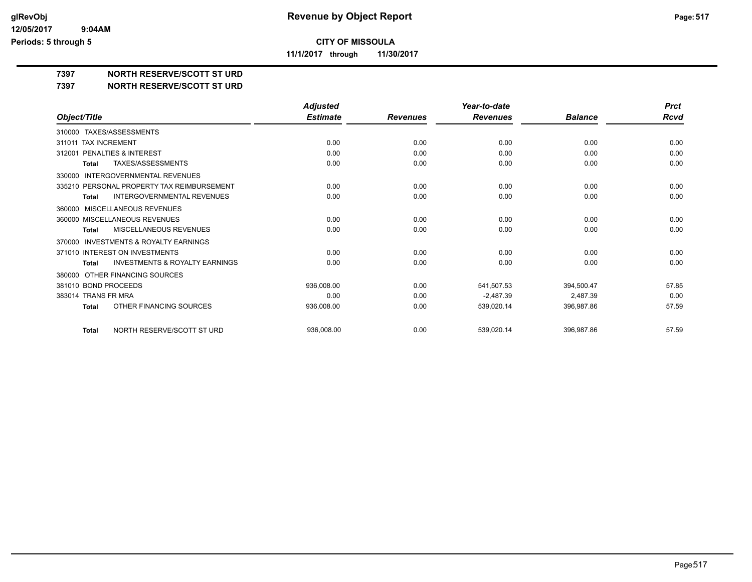**11/1/2017 through 11/30/2017**

# **7397 NORTH RESERVE/SCOTT ST URD**

**7397 NORTH RESERVE/SCOTT ST URD**

|                                                           | <b>Adjusted</b> |                 | Year-to-date    |                | <b>Prct</b> |
|-----------------------------------------------------------|-----------------|-----------------|-----------------|----------------|-------------|
| Object/Title                                              | <b>Estimate</b> | <b>Revenues</b> | <b>Revenues</b> | <b>Balance</b> | Rcvd        |
| TAXES/ASSESSMENTS<br>310000                               |                 |                 |                 |                |             |
| <b>TAX INCREMENT</b><br>311011                            | 0.00            | 0.00            | 0.00            | 0.00           | 0.00        |
| PENALTIES & INTEREST<br>312001                            | 0.00            | 0.00            | 0.00            | 0.00           | 0.00        |
| TAXES/ASSESSMENTS<br><b>Total</b>                         | 0.00            | 0.00            | 0.00            | 0.00           | 0.00        |
| INTERGOVERNMENTAL REVENUES<br>330000                      |                 |                 |                 |                |             |
| 335210 PERSONAL PROPERTY TAX REIMBURSEMENT                | 0.00            | 0.00            | 0.00            | 0.00           | 0.00        |
| <b>INTERGOVERNMENTAL REVENUES</b><br>Total                | 0.00            | 0.00            | 0.00            | 0.00           | 0.00        |
| 360000 MISCELLANEOUS REVENUES                             |                 |                 |                 |                |             |
| 360000 MISCELLANEOUS REVENUES                             | 0.00            | 0.00            | 0.00            | 0.00           | 0.00        |
| MISCELLANEOUS REVENUES<br><b>Total</b>                    | 0.00            | 0.00            | 0.00            | 0.00           | 0.00        |
| <b>INVESTMENTS &amp; ROYALTY EARNINGS</b><br>370000       |                 |                 |                 |                |             |
| 371010 INTEREST ON INVESTMENTS                            | 0.00            | 0.00            | 0.00            | 0.00           | 0.00        |
| <b>INVESTMENTS &amp; ROYALTY EARNINGS</b><br><b>Total</b> | 0.00            | 0.00            | 0.00            | 0.00           | 0.00        |
| OTHER FINANCING SOURCES<br>380000                         |                 |                 |                 |                |             |
| 381010 BOND PROCEEDS                                      | 936,008.00      | 0.00            | 541,507.53      | 394,500.47     | 57.85       |
| 383014 TRANS FR MRA                                       | 0.00            | 0.00            | $-2,487.39$     | 2,487.39       | 0.00        |
| OTHER FINANCING SOURCES<br><b>Total</b>                   | 936,008.00      | 0.00            | 539,020.14      | 396,987.86     | 57.59       |
| NORTH RESERVE/SCOTT ST URD<br><b>Total</b>                | 936,008.00      | 0.00            | 539,020.14      | 396,987.86     | 57.59       |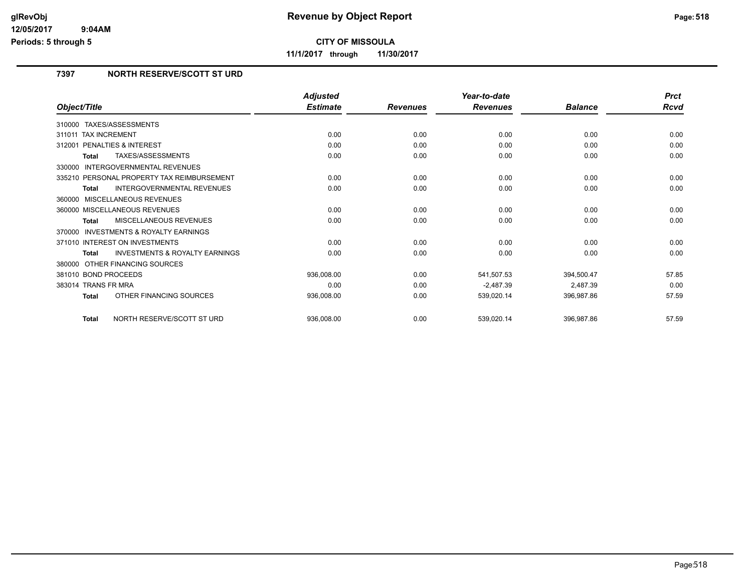**11/1/2017 through 11/30/2017**

## **7397 NORTH RESERVE/SCOTT ST URD**

|                                                           | <b>Adjusted</b> |                 | Year-to-date    |                | <b>Prct</b> |
|-----------------------------------------------------------|-----------------|-----------------|-----------------|----------------|-------------|
| Object/Title                                              | <b>Estimate</b> | <b>Revenues</b> | <b>Revenues</b> | <b>Balance</b> | <b>Rcvd</b> |
| 310000 TAXES/ASSESSMENTS                                  |                 |                 |                 |                |             |
| 311011 TAX INCREMENT                                      | 0.00            | 0.00            | 0.00            | 0.00           | 0.00        |
| 312001 PENALTIES & INTEREST                               | 0.00            | 0.00            | 0.00            | 0.00           | 0.00        |
| <b>TAXES/ASSESSMENTS</b><br><b>Total</b>                  | 0.00            | 0.00            | 0.00            | 0.00           | 0.00        |
| <b>INTERGOVERNMENTAL REVENUES</b><br>330000               |                 |                 |                 |                |             |
| 335210 PERSONAL PROPERTY TAX REIMBURSEMENT                | 0.00            | 0.00            | 0.00            | 0.00           | 0.00        |
| <b>INTERGOVERNMENTAL REVENUES</b><br><b>Total</b>         | 0.00            | 0.00            | 0.00            | 0.00           | 0.00        |
| 360000 MISCELLANEOUS REVENUES                             |                 |                 |                 |                |             |
| 360000 MISCELLANEOUS REVENUES                             | 0.00            | 0.00            | 0.00            | 0.00           | 0.00        |
| MISCELLANEOUS REVENUES<br><b>Total</b>                    | 0.00            | 0.00            | 0.00            | 0.00           | 0.00        |
| <b>INVESTMENTS &amp; ROYALTY EARNINGS</b><br>370000       |                 |                 |                 |                |             |
| 371010 INTEREST ON INVESTMENTS                            | 0.00            | 0.00            | 0.00            | 0.00           | 0.00        |
| <b>INVESTMENTS &amp; ROYALTY EARNINGS</b><br><b>Total</b> | 0.00            | 0.00            | 0.00            | 0.00           | 0.00        |
| OTHER FINANCING SOURCES<br>380000                         |                 |                 |                 |                |             |
| 381010 BOND PROCEEDS                                      | 936,008.00      | 0.00            | 541,507.53      | 394,500.47     | 57.85       |
| 383014 TRANS FR MRA                                       | 0.00            | 0.00            | $-2,487.39$     | 2,487.39       | 0.00        |
| OTHER FINANCING SOURCES<br>Total                          | 936,008.00      | 0.00            | 539,020.14      | 396,987.86     | 57.59       |
| NORTH RESERVE/SCOTT ST URD<br><b>Total</b>                | 936,008.00      | 0.00            | 539,020.14      | 396,987.86     | 57.59       |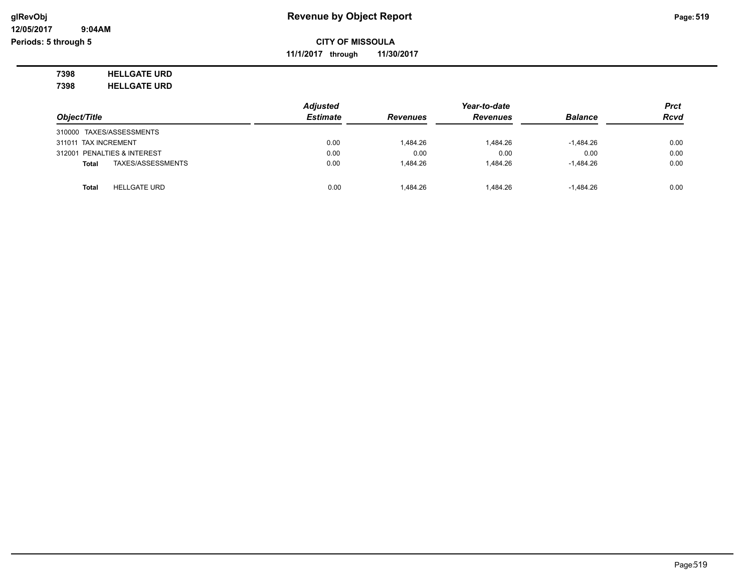**11/1/2017 through 11/30/2017**

**7398 HELLGATE URD**

**7398 HELLGATE URD**

|                                     | <b>Adjusted</b> |                 | Year-to-date    |                | <b>Prct</b> |
|-------------------------------------|-----------------|-----------------|-----------------|----------------|-------------|
| Object/Title                        | <b>Estimate</b> | <b>Revenues</b> | <b>Revenues</b> | <b>Balance</b> | <b>Rcvd</b> |
| 310000 TAXES/ASSESSMENTS            |                 |                 |                 |                |             |
| 311011 TAX INCREMENT                | 0.00            | 1.484.26        | 1.484.26        | $-1.484.26$    | 0.00        |
| 312001 PENALTIES & INTEREST         | 0.00            | 0.00            | 0.00            | 0.00           | 0.00        |
| TAXES/ASSESSMENTS<br>Total          | 0.00            | 1.484.26        | 1.484.26        | $-1.484.26$    | 0.00        |
| <b>HELLGATE URD</b><br><b>Total</b> | 0.00            | 1.484.26        | 1.484.26        | $-1.484.26$    | 0.00        |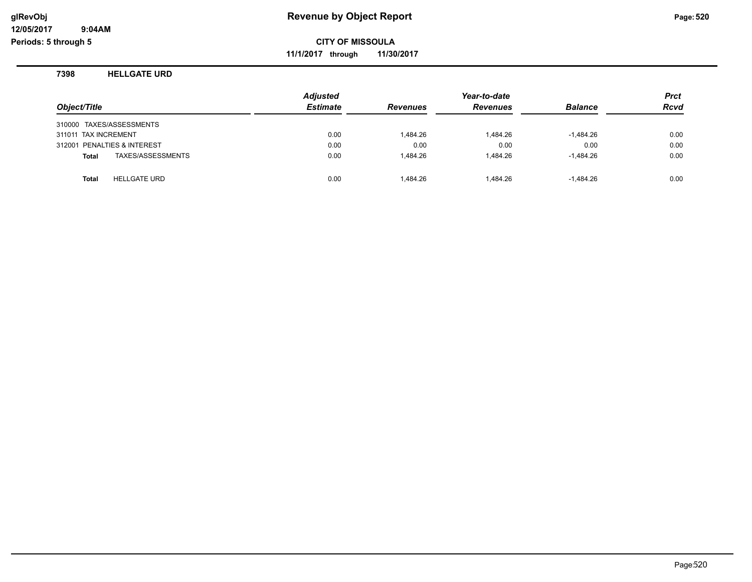**11/1/2017 through 11/30/2017**

#### **7398 HELLGATE URD**

| Object/Title                        | <b>Adjusted</b><br><b>Estimate</b> | <b>Revenues</b> | Year-to-date<br><b>Revenues</b> | <b>Balance</b> | <b>Prct</b><br><b>Rcvd</b> |
|-------------------------------------|------------------------------------|-----------------|---------------------------------|----------------|----------------------------|
|                                     |                                    |                 |                                 |                |                            |
| 310000 TAXES/ASSESSMENTS            |                                    |                 |                                 |                |                            |
| 311011 TAX INCREMENT                | 0.00                               | 1.484.26        | 1.484.26                        | $-1.484.26$    | 0.00                       |
| 312001 PENALTIES & INTEREST         | 0.00                               | 0.00            | 0.00                            | 0.00           | 0.00                       |
| TAXES/ASSESSMENTS<br>Total          | 0.00                               | 1.484.26        | 1.484.26                        | $-1.484.26$    | 0.00                       |
|                                     |                                    |                 |                                 |                |                            |
| <b>HELLGATE URD</b><br><b>Total</b> | 0.00                               | 1.484.26        | 1.484.26                        | $-1.484.26$    | 0.00                       |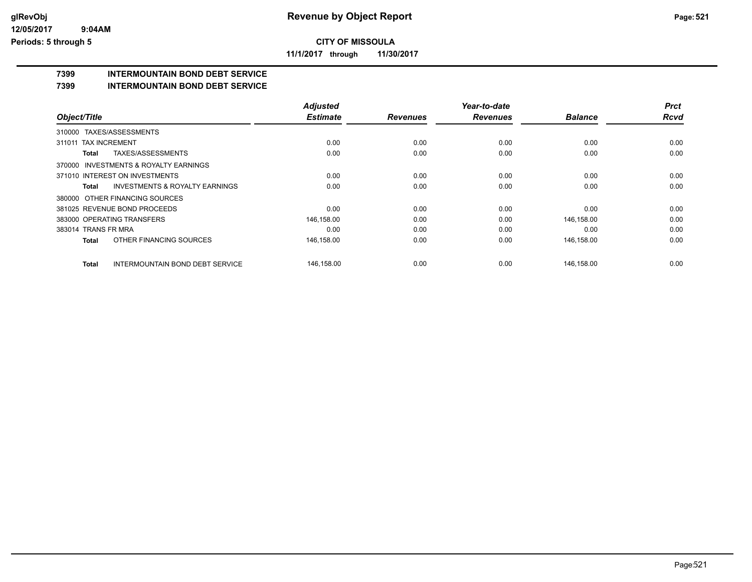**11/1/2017 through 11/30/2017**

# **7399 INTERMOUNTAIN BOND DEBT SERVICE**

# **7399 INTERMOUNTAIN BOND DEBT SERVICE**

|                                                    | <b>Adjusted</b> |                 | Year-to-date    |                | <b>Prct</b> |
|----------------------------------------------------|-----------------|-----------------|-----------------|----------------|-------------|
| Object/Title                                       | <b>Estimate</b> | <b>Revenues</b> | <b>Revenues</b> | <b>Balance</b> | <b>Rcvd</b> |
| TAXES/ASSESSMENTS<br>310000                        |                 |                 |                 |                |             |
| 311011 TAX INCREMENT                               | 0.00            | 0.00            | 0.00            | 0.00           | 0.00        |
| TAXES/ASSESSMENTS<br>Total                         | 0.00            | 0.00            | 0.00            | 0.00           | 0.00        |
| INVESTMENTS & ROYALTY EARNINGS<br>370000           |                 |                 |                 |                |             |
| 371010 INTEREST ON INVESTMENTS                     | 0.00            | 0.00            | 0.00            | 0.00           | 0.00        |
| <b>INVESTMENTS &amp; ROYALTY EARNINGS</b><br>Total | 0.00            | 0.00            | 0.00            | 0.00           | 0.00        |
| 380000 OTHER FINANCING SOURCES                     |                 |                 |                 |                |             |
| 381025 REVENUE BOND PROCEEDS                       | 0.00            | 0.00            | 0.00            | 0.00           | 0.00        |
| 383000 OPERATING TRANSFERS                         | 146,158.00      | 0.00            | 0.00            | 146,158.00     | 0.00        |
| 383014 TRANS FR MRA                                | 0.00            | 0.00            | 0.00            | 0.00           | 0.00        |
| OTHER FINANCING SOURCES<br>Total                   | 146,158.00      | 0.00            | 0.00            | 146,158.00     | 0.00        |
| <b>INTERMOUNTAIN BOND DEBT SERVICE</b><br>Total    | 146,158.00      | 0.00            | 0.00            | 146.158.00     | 0.00        |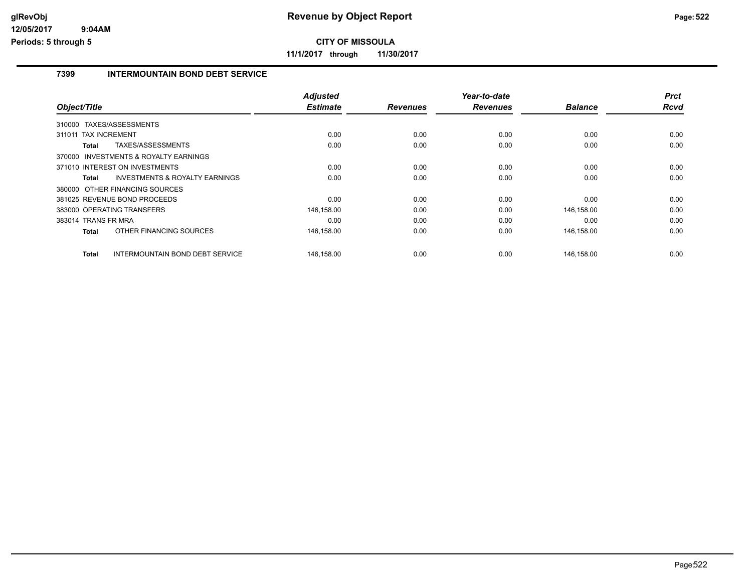**11/1/2017 through 11/30/2017**

### **7399 INTERMOUNTAIN BOND DEBT SERVICE**

| Object/Title        |                                           | <b>Adjusted</b><br><b>Estimate</b> | <b>Revenues</b> | Year-to-date<br><b>Revenues</b> | <b>Balance</b> | <b>Prct</b><br>Rcvd |
|---------------------|-------------------------------------------|------------------------------------|-----------------|---------------------------------|----------------|---------------------|
|                     |                                           |                                    |                 |                                 |                |                     |
|                     | 310000 TAXES/ASSESSMENTS                  |                                    |                 |                                 |                |                     |
| 311011              | <b>TAX INCREMENT</b>                      | 0.00                               | 0.00            | 0.00                            | 0.00           | 0.00                |
| Total               | TAXES/ASSESSMENTS                         | 0.00                               | 0.00            | 0.00                            | 0.00           | 0.00                |
|                     | 370000 INVESTMENTS & ROYALTY EARNINGS     |                                    |                 |                                 |                |                     |
|                     | 371010 INTEREST ON INVESTMENTS            | 0.00                               | 0.00            | 0.00                            | 0.00           | 0.00                |
| Total               | <b>INVESTMENTS &amp; ROYALTY EARNINGS</b> | 0.00                               | 0.00            | 0.00                            | 0.00           | 0.00                |
|                     | 380000 OTHER FINANCING SOURCES            |                                    |                 |                                 |                |                     |
|                     | 381025 REVENUE BOND PROCEEDS              | 0.00                               | 0.00            | 0.00                            | 0.00           | 0.00                |
|                     | 383000 OPERATING TRANSFERS                | 146,158.00                         | 0.00            | 0.00                            | 146,158.00     | 0.00                |
| 383014 TRANS FR MRA |                                           | 0.00                               | 0.00            | 0.00                            | 0.00           | 0.00                |
| Total               | OTHER FINANCING SOURCES                   | 146,158.00                         | 0.00            | 0.00                            | 146,158.00     | 0.00                |
| Total               | INTERMOUNTAIN BOND DEBT SERVICE           | 146,158.00                         | 0.00            | 0.00                            | 146,158.00     | 0.00                |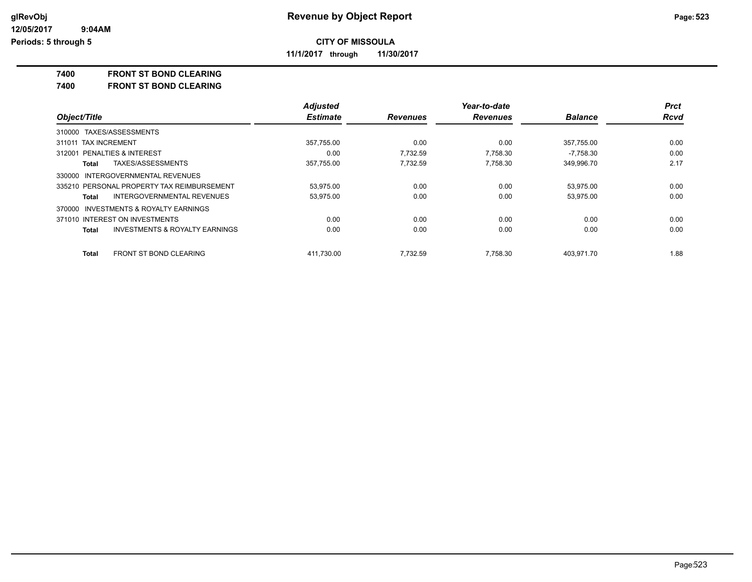**11/1/2017 through 11/30/2017**

#### **7400 FRONT ST BOND CLEARING**

**7400 FRONT ST BOND CLEARING**

|                                                    | <b>Adjusted</b> |                 | Year-to-date    |                | <b>Prct</b> |
|----------------------------------------------------|-----------------|-----------------|-----------------|----------------|-------------|
| Object/Title                                       | <b>Estimate</b> | <b>Revenues</b> | <b>Revenues</b> | <b>Balance</b> | Rcvd        |
| 310000 TAXES/ASSESSMENTS                           |                 |                 |                 |                |             |
| 311011 TAX INCREMENT                               | 357,755.00      | 0.00            | 0.00            | 357,755.00     | 0.00        |
| <b>PENALTIES &amp; INTEREST</b><br>312001          | 0.00            | 7.732.59        | 7.758.30        | $-7.758.30$    | 0.00        |
| TAXES/ASSESSMENTS<br>Total                         | 357,755.00      | 7.732.59        | 7.758.30        | 349,996.70     | 2.17        |
| 330000 INTERGOVERNMENTAL REVENUES                  |                 |                 |                 |                |             |
| 335210 PERSONAL PROPERTY TAX REIMBURSEMENT         | 53,975.00       | 0.00            | 0.00            | 53,975.00      | 0.00        |
| INTERGOVERNMENTAL REVENUES<br>Total                | 53,975.00       | 0.00            | 0.00            | 53.975.00      | 0.00        |
| 370000 INVESTMENTS & ROYALTY EARNINGS              |                 |                 |                 |                |             |
| 371010 INTEREST ON INVESTMENTS                     | 0.00            | 0.00            | 0.00            | 0.00           | 0.00        |
| <b>INVESTMENTS &amp; ROYALTY EARNINGS</b><br>Total | 0.00            | 0.00            | 0.00            | 0.00           | 0.00        |
| <b>FRONT ST BOND CLEARING</b><br><b>Total</b>      | 411.730.00      | 7.732.59        | 7.758.30        | 403.971.70     | 1.88        |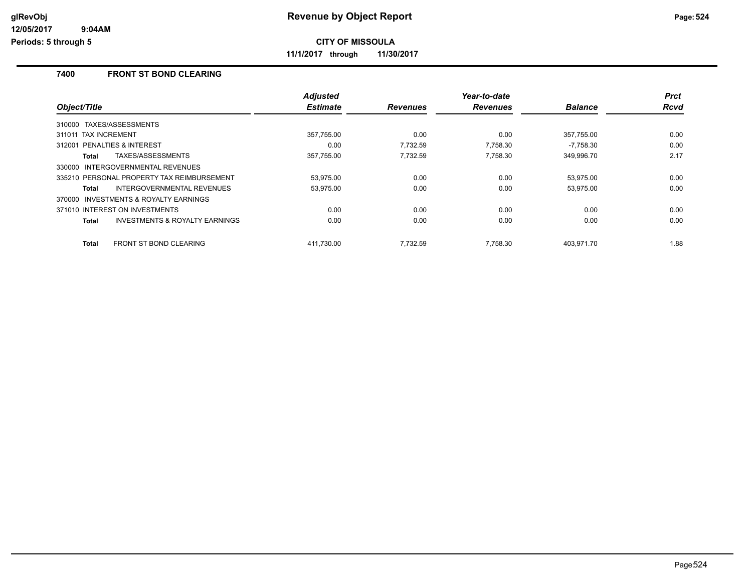**11/1/2017 through 11/30/2017**

### **7400 FRONT ST BOND CLEARING**

|                                                    | <b>Adjusted</b> |                 | Year-to-date    |                | <b>Prct</b> |
|----------------------------------------------------|-----------------|-----------------|-----------------|----------------|-------------|
| Object/Title                                       | <b>Estimate</b> | <b>Revenues</b> | <b>Revenues</b> | <b>Balance</b> | Rcvd        |
| TAXES/ASSESSMENTS<br>310000                        |                 |                 |                 |                |             |
| 311011 TAX INCREMENT                               | 357,755.00      | 0.00            | 0.00            | 357,755.00     | 0.00        |
| PENALTIES & INTEREST<br>312001                     | 0.00            | 7.732.59        | 7.758.30        | -7.758.30      | 0.00        |
| TAXES/ASSESSMENTS<br>Total                         | 357,755.00      | 7,732.59        | 7,758.30        | 349,996.70     | 2.17        |
| 330000 INTERGOVERNMENTAL REVENUES                  |                 |                 |                 |                |             |
| 335210 PERSONAL PROPERTY TAX REIMBURSEMENT         | 53,975.00       | 0.00            | 0.00            | 53,975.00      | 0.00        |
| INTERGOVERNMENTAL REVENUES<br>Total                | 53.975.00       | 0.00            | 0.00            | 53.975.00      | 0.00        |
| 370000 INVESTMENTS & ROYALTY EARNINGS              |                 |                 |                 |                |             |
| 371010 INTEREST ON INVESTMENTS                     | 0.00            | 0.00            | 0.00            | 0.00           | 0.00        |
| <b>INVESTMENTS &amp; ROYALTY EARNINGS</b><br>Total | 0.00            | 0.00            | 0.00            | 0.00           | 0.00        |
| FRONT ST BOND CLEARING<br><b>Total</b>             | 411.730.00      | 7.732.59        | 7.758.30        | 403.971.70     | 1.88        |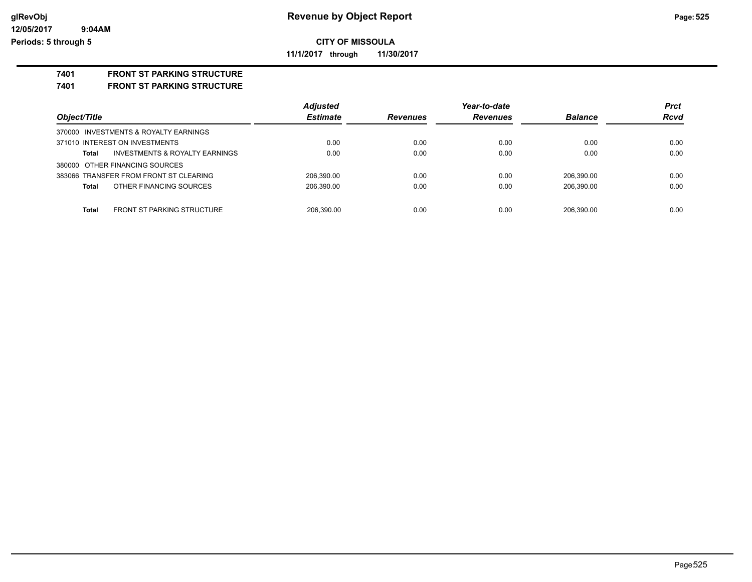**11/1/2017 through 11/30/2017**

# **7401 FRONT ST PARKING STRUCTURE**

**7401 FRONT ST PARKING STRUCTURE**

|                                            | <b>Adjusted</b> |                 | Year-to-date    |                | <b>Prct</b> |
|--------------------------------------------|-----------------|-----------------|-----------------|----------------|-------------|
| Object/Title                               | <b>Estimate</b> | <b>Revenues</b> | <b>Revenues</b> | <b>Balance</b> | Rcvd        |
| 370000 INVESTMENTS & ROYALTY EARNINGS      |                 |                 |                 |                |             |
| 371010 INTEREST ON INVESTMENTS             | 0.00            | 0.00            | 0.00            | 0.00           | 0.00        |
| INVESTMENTS & ROYALTY EARNINGS<br>Total    | 0.00            | 0.00            | 0.00            | 0.00           | 0.00        |
| 380000 OTHER FINANCING SOURCES             |                 |                 |                 |                |             |
| 383066 TRANSFER FROM FRONT ST CLEARING     | 206.390.00      | 0.00            | 0.00            | 206.390.00     | 0.00        |
| OTHER FINANCING SOURCES<br>Total           | 206,390.00      | 0.00            | 0.00            | 206,390.00     | 0.00        |
|                                            |                 |                 |                 |                |             |
| FRONT ST PARKING STRUCTURE<br><b>Total</b> | 206.390.00      | 0.00            | 0.00            | 206.390.00     | 0.00        |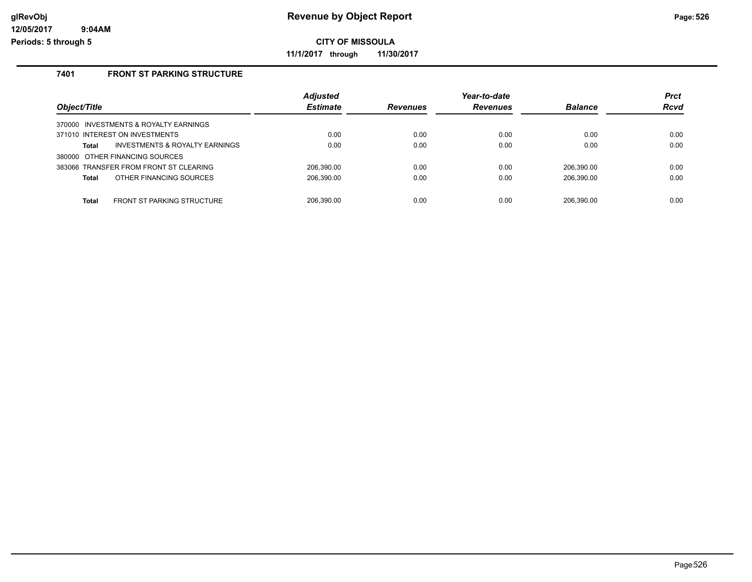**11/1/2017 through 11/30/2017**

### **7401 FRONT ST PARKING STRUCTURE**

| Object/Title                                       | <b>Adjusted</b><br><b>Estimate</b> | <b>Revenues</b> | Year-to-date<br><b>Revenues</b> | <b>Balance</b> | <b>Prct</b><br><b>Rcvd</b> |
|----------------------------------------------------|------------------------------------|-----------------|---------------------------------|----------------|----------------------------|
| 370000 INVESTMENTS & ROYALTY EARNINGS              |                                    |                 |                                 |                |                            |
| 371010 INTEREST ON INVESTMENTS                     | 0.00                               | 0.00            | 0.00                            | 0.00           | 0.00                       |
| <b>INVESTMENTS &amp; ROYALTY EARNINGS</b><br>Total | 0.00                               | 0.00            | 0.00                            | 0.00           | 0.00                       |
| 380000 OTHER FINANCING SOURCES                     |                                    |                 |                                 |                |                            |
| 383066 TRANSFER FROM FRONT ST CLEARING             | 206.390.00                         | 0.00            | 0.00                            | 206.390.00     | 0.00                       |
| OTHER FINANCING SOURCES<br>Total                   | 206,390.00                         | 0.00            | 0.00                            | 206,390.00     | 0.00                       |
|                                                    |                                    |                 |                                 |                |                            |
| <b>FRONT ST PARKING STRUCTURE</b><br><b>Total</b>  | 206.390.00                         | 0.00            | 0.00                            | 206.390.00     | 0.00                       |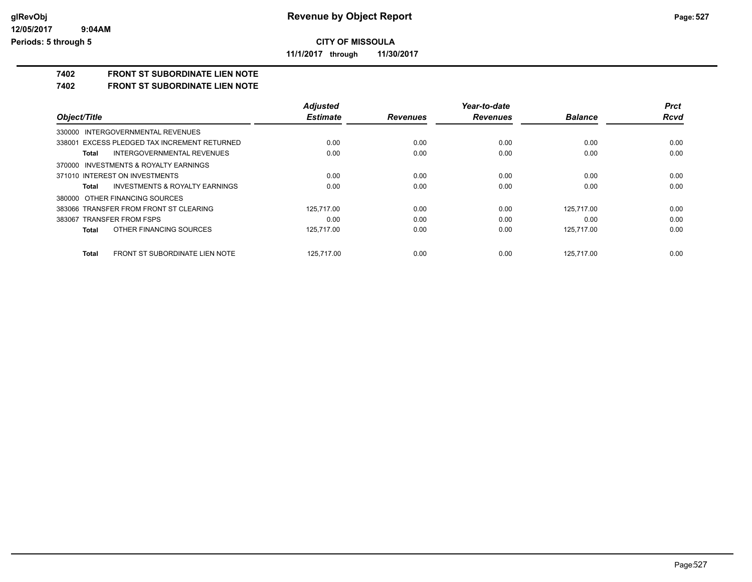**11/1/2017 through 11/30/2017**

# **7402 FRONT ST SUBORDINATE LIEN NOTE**

**7402 FRONT ST SUBORDINATE LIEN NOTE**

|                                                    | <b>Adjusted</b> |                 | Year-to-date    |                | <b>Prct</b> |
|----------------------------------------------------|-----------------|-----------------|-----------------|----------------|-------------|
| Object/Title                                       | <b>Estimate</b> | <b>Revenues</b> | <b>Revenues</b> | <b>Balance</b> | Rcvd        |
| 330000 INTERGOVERNMENTAL REVENUES                  |                 |                 |                 |                |             |
| 338001 EXCESS PLEDGED TAX INCREMENT RETURNED       | 0.00            | 0.00            | 0.00            | 0.00           | 0.00        |
| <b>INTERGOVERNMENTAL REVENUES</b><br>Total         | 0.00            | 0.00            | 0.00            | 0.00           | 0.00        |
| 370000 INVESTMENTS & ROYALTY EARNINGS              |                 |                 |                 |                |             |
| 371010 INTEREST ON INVESTMENTS                     | 0.00            | 0.00            | 0.00            | 0.00           | 0.00        |
| <b>INVESTMENTS &amp; ROYALTY EARNINGS</b><br>Total | 0.00            | 0.00            | 0.00            | 0.00           | 0.00        |
| 380000 OTHER FINANCING SOURCES                     |                 |                 |                 |                |             |
| 383066 TRANSFER FROM FRONT ST CLEARING             | 125.717.00      | 0.00            | 0.00            | 125.717.00     | 0.00        |
| 383067 TRANSFER FROM FSPS                          | 0.00            | 0.00            | 0.00            | 0.00           | 0.00        |
| OTHER FINANCING SOURCES<br>Total                   | 125,717.00      | 0.00            | 0.00            | 125,717.00     | 0.00        |
| FRONT ST SUBORDINATE LIEN NOTE<br>Total            | 125.717.00      | 0.00            | 0.00            | 125.717.00     | 0.00        |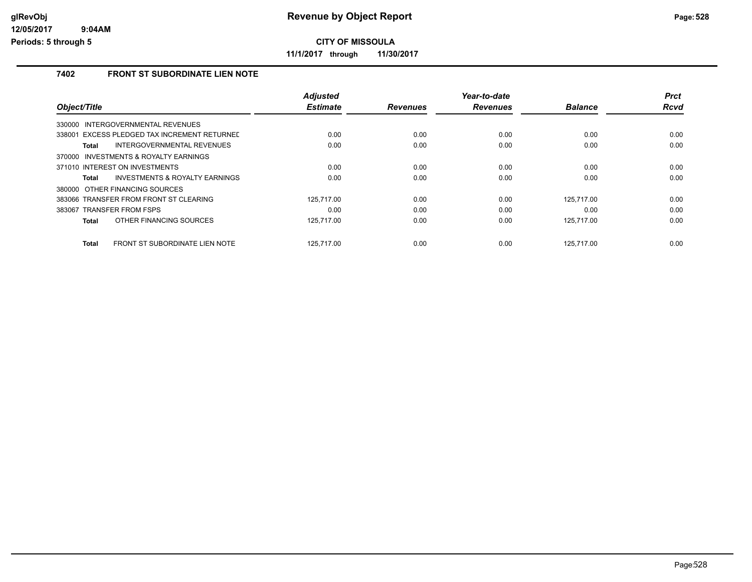**11/1/2017 through 11/30/2017**

### **7402 FRONT ST SUBORDINATE LIEN NOTE**

|                                                | <b>Adjusted</b> |                 | Year-to-date    |                | <b>Prct</b> |
|------------------------------------------------|-----------------|-----------------|-----------------|----------------|-------------|
| Object/Title                                   | <b>Estimate</b> | <b>Revenues</b> | <b>Revenues</b> | <b>Balance</b> | <b>Rcvd</b> |
| INTERGOVERNMENTAL REVENUES<br>330000           |                 |                 |                 |                |             |
| 338001 EXCESS PLEDGED TAX INCREMENT RETURNED   | 0.00            | 0.00            | 0.00            | 0.00           | 0.00        |
| INTERGOVERNMENTAL REVENUES<br>Total            | 0.00            | 0.00            | 0.00            | 0.00           | 0.00        |
| INVESTMENTS & ROYALTY EARNINGS<br>370000       |                 |                 |                 |                |             |
| 371010 INTEREST ON INVESTMENTS                 | 0.00            | 0.00            | 0.00            | 0.00           | 0.00        |
| INVESTMENTS & ROYALTY EARNINGS<br>Total        | 0.00            | 0.00            | 0.00            | 0.00           | 0.00        |
| 380000 OTHER FINANCING SOURCES                 |                 |                 |                 |                |             |
| 383066 TRANSFER FROM FRONT ST CLEARING         | 125.717.00      | 0.00            | 0.00            | 125.717.00     | 0.00        |
| 383067 TRANSFER FROM FSPS                      | 0.00            | 0.00            | 0.00            | 0.00           | 0.00        |
| OTHER FINANCING SOURCES<br>Total               | 125,717.00      | 0.00            | 0.00            | 125,717.00     | 0.00        |
| FRONT ST SUBORDINATE LIEN NOTE<br><b>Total</b> | 125.717.00      | 0.00            | 0.00            | 125.717.00     | 0.00        |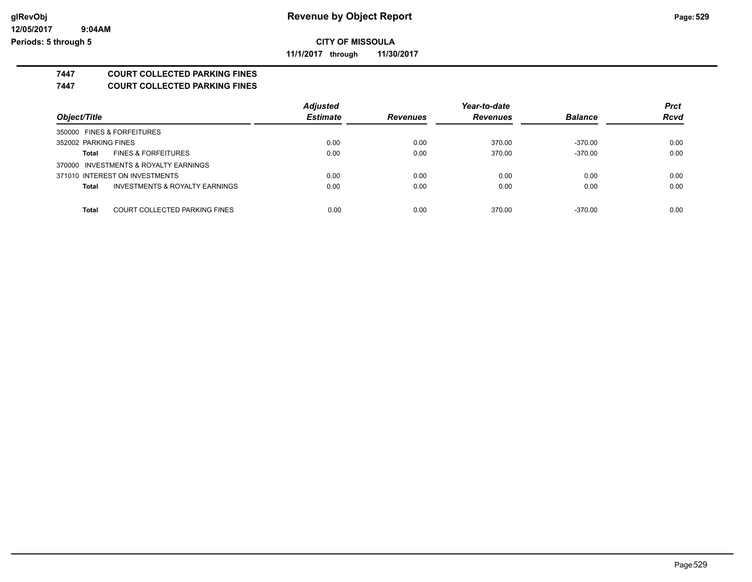**11/1/2017 through 11/30/2017**

# **7447 COURT COLLECTED PARKING FINES**

# **7447 COURT COLLECTED PARKING FINES**

|                                         | <b>Adjusted</b> |                 | Year-to-date    |                | <b>Prct</b> |
|-----------------------------------------|-----------------|-----------------|-----------------|----------------|-------------|
| Object/Title                            | <b>Estimate</b> | <b>Revenues</b> | <b>Revenues</b> | <b>Balance</b> | <b>Rcvd</b> |
| 350000 FINES & FORFEITURES              |                 |                 |                 |                |             |
| 352002 PARKING FINES                    | 0.00            | 0.00            | 370.00          | $-370.00$      | 0.00        |
| <b>FINES &amp; FORFEITURES</b><br>Total | 0.00            | 0.00            | 370.00          | $-370.00$      | 0.00        |
| 370000 INVESTMENTS & ROYALTY EARNINGS   |                 |                 |                 |                |             |
| 371010 INTEREST ON INVESTMENTS          | 0.00            | 0.00            | 0.00            | 0.00           | 0.00        |
| INVESTMENTS & ROYALTY EARNINGS<br>Total | 0.00            | 0.00            | 0.00            | 0.00           | 0.00        |
|                                         |                 |                 |                 |                |             |
| COURT COLLECTED PARKING FINES<br>Total  | 0.00            | 0.00            | 370.00          | $-370.00$      | 0.00        |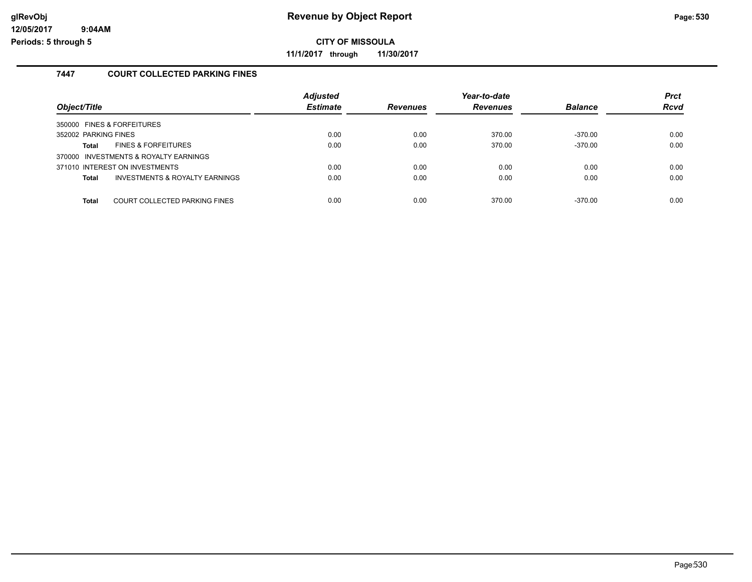**11/1/2017 through 11/30/2017**

### **7447 COURT COLLECTED PARKING FINES**

| Object/Title                                              | <b>Adjusted</b><br><b>Estimate</b> | <b>Revenues</b> | Year-to-date<br><b>Revenues</b> | <b>Balance</b> | <b>Prct</b><br><b>Rcvd</b> |
|-----------------------------------------------------------|------------------------------------|-----------------|---------------------------------|----------------|----------------------------|
| 350000 FINES & FORFEITURES                                |                                    |                 |                                 |                |                            |
| 352002 PARKING FINES                                      | 0.00                               | 0.00            | 370.00                          | $-370.00$      | 0.00                       |
| <b>FINES &amp; FORFEITURES</b><br>Total                   | 0.00                               | 0.00            | 370.00                          | $-370.00$      | 0.00                       |
| 370000 INVESTMENTS & ROYALTY EARNINGS                     |                                    |                 |                                 |                |                            |
| 371010 INTEREST ON INVESTMENTS                            | 0.00                               | 0.00            | 0.00                            | 0.00           | 0.00                       |
| <b>INVESTMENTS &amp; ROYALTY EARNINGS</b><br><b>Total</b> | 0.00                               | 0.00            | 0.00                            | 0.00           | 0.00                       |
|                                                           |                                    |                 |                                 |                |                            |
| <b>COURT COLLECTED PARKING FINES</b><br><b>Total</b>      | 0.00                               | 0.00            | 370.00                          | $-370.00$      | 0.00                       |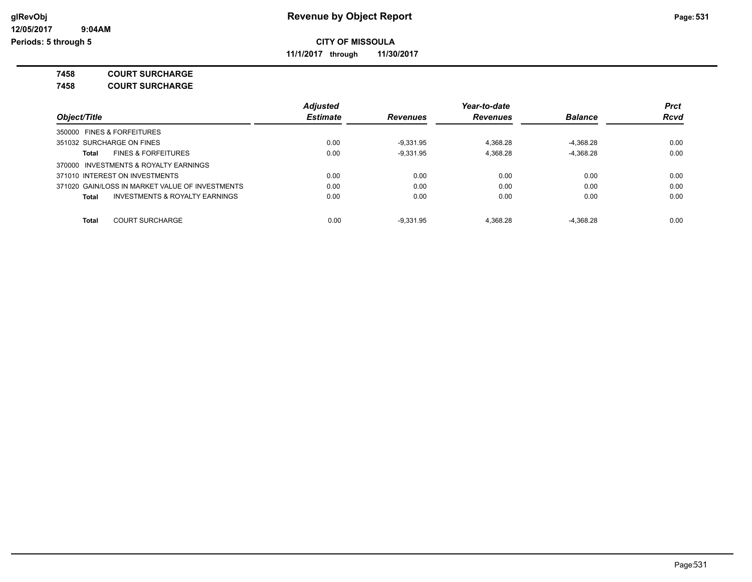**11/1/2017 through 11/30/2017**

**7458 COURT SURCHARGE**

**7458 COURT SURCHARGE**

|                                                    | <b>Adjusted</b> |                 | Year-to-date    |                | <b>Prct</b> |
|----------------------------------------------------|-----------------|-----------------|-----------------|----------------|-------------|
| Object/Title                                       | <b>Estimate</b> | <b>Revenues</b> | <b>Revenues</b> | <b>Balance</b> | <b>Rcvd</b> |
| 350000 FINES & FORFEITURES                         |                 |                 |                 |                |             |
| 351032 SURCHARGE ON FINES                          | 0.00            | $-9.331.95$     | 4.368.28        | $-4.368.28$    | 0.00        |
| <b>FINES &amp; FORFEITURES</b><br>Total            | 0.00            | $-9.331.95$     | 4.368.28        | $-4.368.28$    | 0.00        |
| 370000 INVESTMENTS & ROYALTY EARNINGS              |                 |                 |                 |                |             |
| 371010 INTEREST ON INVESTMENTS                     | 0.00            | 0.00            | 0.00            | 0.00           | 0.00        |
| 371020 GAIN/LOSS IN MARKET VALUE OF INVESTMENTS    | 0.00            | 0.00            | 0.00            | 0.00           | 0.00        |
| <b>INVESTMENTS &amp; ROYALTY EARNINGS</b><br>Total | 0.00            | 0.00            | 0.00            | 0.00           | 0.00        |
| <b>COURT SURCHARGE</b><br><b>Total</b>             | 0.00            | $-9.331.95$     | 4.368.28        | $-4.368.28$    | 0.00        |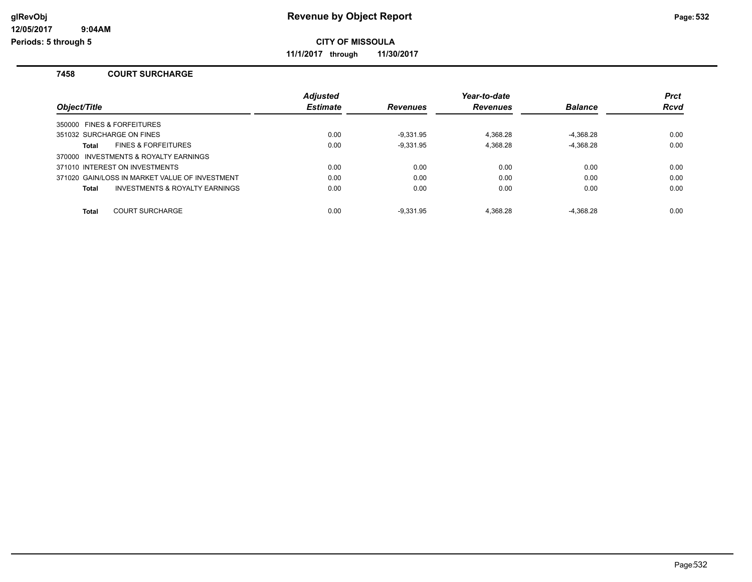**11/1/2017 through 11/30/2017**

#### **7458 COURT SURCHARGE**

|                                                | <b>Adjusted</b> |                 | Year-to-date    |                | <b>Prct</b> |
|------------------------------------------------|-----------------|-----------------|-----------------|----------------|-------------|
| Object/Title                                   | <b>Estimate</b> | <b>Revenues</b> | <b>Revenues</b> | <b>Balance</b> | Rcvd        |
| 350000 FINES & FORFEITURES                     |                 |                 |                 |                |             |
| 351032 SURCHARGE ON FINES                      | 0.00            | $-9.331.95$     | 4.368.28        | $-4.368.28$    | 0.00        |
| <b>FINES &amp; FORFEITURES</b><br>Total        | 0.00            | $-9,331.95$     | 4,368.28        | $-4,368.28$    | 0.00        |
| 370000 INVESTMENTS & ROYALTY EARNINGS          |                 |                 |                 |                |             |
| 371010 INTEREST ON INVESTMENTS                 | 0.00            | 0.00            | 0.00            | 0.00           | 0.00        |
| 371020 GAIN/LOSS IN MARKET VALUE OF INVESTMENT | 0.00            | 0.00            | 0.00            | 0.00           | 0.00        |
| INVESTMENTS & ROYALTY EARNINGS<br>Total        | 0.00            | 0.00            | 0.00            | 0.00           | 0.00        |
|                                                |                 |                 |                 |                |             |
| <b>Total</b><br><b>COURT SURCHARGE</b>         | 0.00            | $-9.331.95$     | 4.368.28        | $-4.368.28$    | 0.00        |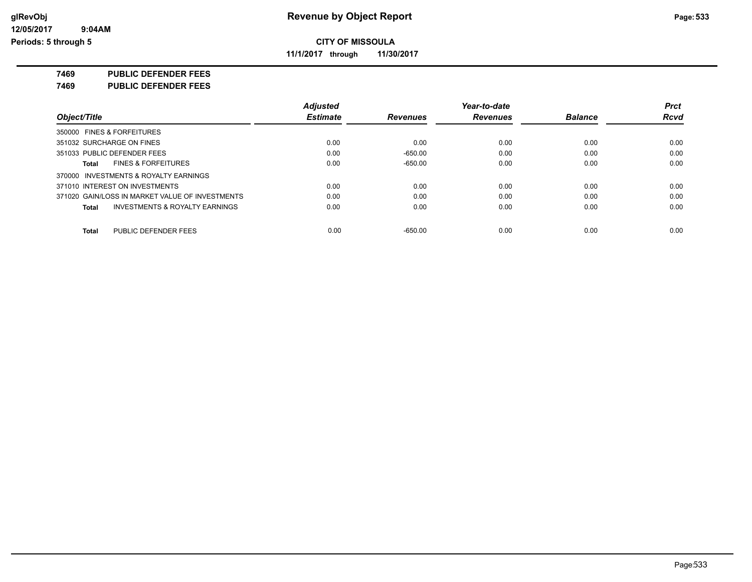**11/1/2017 through 11/30/2017**

**7469 PUBLIC DEFENDER FEES**

**7469 PUBLIC DEFENDER FEES**

|                                                    | <b>Adjusted</b> |                 | Year-to-date    |                | <b>Prct</b> |
|----------------------------------------------------|-----------------|-----------------|-----------------|----------------|-------------|
| Object/Title                                       | <b>Estimate</b> | <b>Revenues</b> | <b>Revenues</b> | <b>Balance</b> | <b>Rcvd</b> |
| 350000 FINES & FORFEITURES                         |                 |                 |                 |                |             |
| 351032 SURCHARGE ON FINES                          | 0.00            | 0.00            | 0.00            | 0.00           | 0.00        |
| 351033 PUBLIC DEFENDER FEES                        | 0.00            | $-650.00$       | 0.00            | 0.00           | 0.00        |
| <b>FINES &amp; FORFEITURES</b><br>Total            | 0.00            | $-650.00$       | 0.00            | 0.00           | 0.00        |
| 370000 INVESTMENTS & ROYALTY EARNINGS              |                 |                 |                 |                |             |
| 371010 INTEREST ON INVESTMENTS                     | 0.00            | 0.00            | 0.00            | 0.00           | 0.00        |
| 371020 GAIN/LOSS IN MARKET VALUE OF INVESTMENTS    | 0.00            | 0.00            | 0.00            | 0.00           | 0.00        |
| <b>INVESTMENTS &amp; ROYALTY EARNINGS</b><br>Total | 0.00            | 0.00            | 0.00            | 0.00           | 0.00        |
| PUBLIC DEFENDER FEES<br>Total                      | 0.00            | $-650.00$       | 0.00            | 0.00           | 0.00        |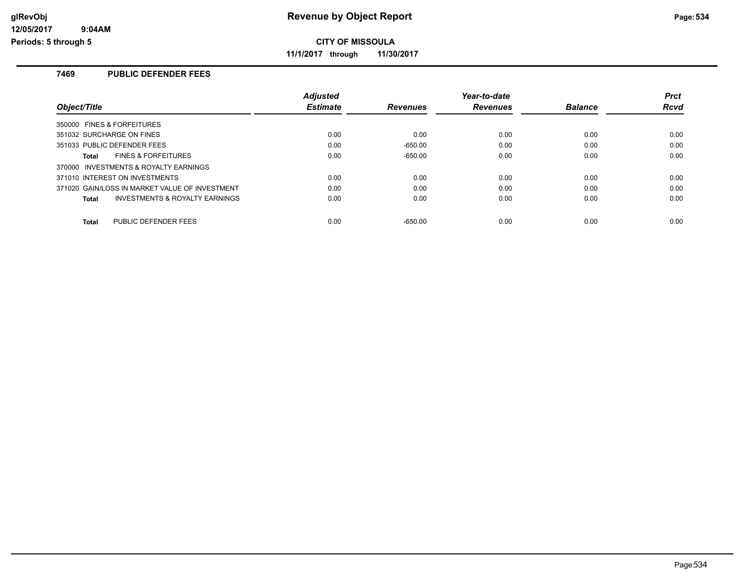**11/1/2017 through 11/30/2017**

### **7469 PUBLIC DEFENDER FEES**

|                                                    | <b>Adjusted</b> |                 | Year-to-date    |                | <b>Prct</b> |
|----------------------------------------------------|-----------------|-----------------|-----------------|----------------|-------------|
| Object/Title                                       | <b>Estimate</b> | <b>Revenues</b> | <b>Revenues</b> | <b>Balance</b> | <b>Rcvd</b> |
| 350000 FINES & FORFEITURES                         |                 |                 |                 |                |             |
| 351032 SURCHARGE ON FINES                          | 0.00            | 0.00            | 0.00            | 0.00           | 0.00        |
| 351033 PUBLIC DEFENDER FEES                        | 0.00            | $-650.00$       | 0.00            | 0.00           | 0.00        |
| <b>FINES &amp; FORFEITURES</b><br>Total            | 0.00            | $-650.00$       | 0.00            | 0.00           | 0.00        |
| 370000 INVESTMENTS & ROYALTY EARNINGS              |                 |                 |                 |                |             |
| 371010 INTEREST ON INVESTMENTS                     | 0.00            | 0.00            | 0.00            | 0.00           | 0.00        |
| 371020 GAIN/LOSS IN MARKET VALUE OF INVESTMENT     | 0.00            | 0.00            | 0.00            | 0.00           | 0.00        |
| <b>INVESTMENTS &amp; ROYALTY EARNINGS</b><br>Total | 0.00            | 0.00            | 0.00            | 0.00           | 0.00        |
| <b>PUBLIC DEFENDER FEES</b><br>Total               | 0.00            | $-650.00$       | 0.00            | 0.00           | 0.00        |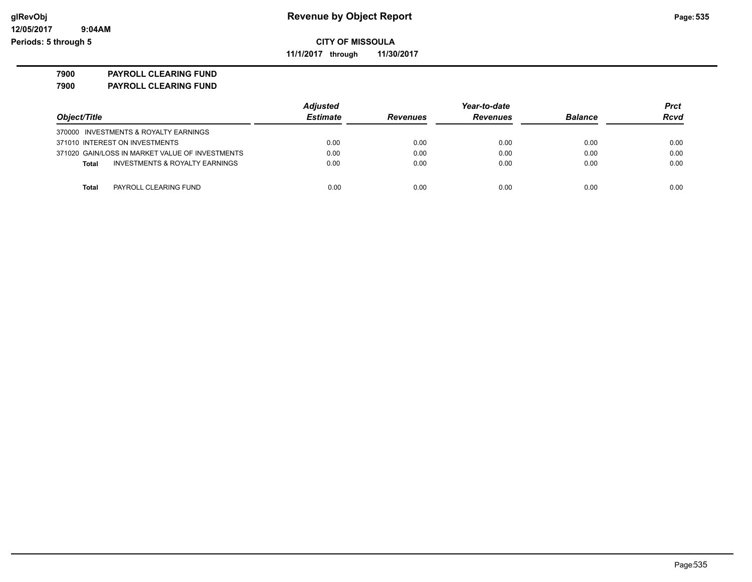**11/1/2017 through 11/30/2017**

## **7900 PAYROLL CLEARING FUND**

**7900 PAYROLL CLEARING FUND**

|                                                           | <b>Adjusted</b> |                 | Year-to-date    |                | Prct |
|-----------------------------------------------------------|-----------------|-----------------|-----------------|----------------|------|
| Object/Title                                              | <b>Estimate</b> | <b>Revenues</b> | <b>Revenues</b> | <b>Balance</b> | Rcvd |
| 370000 INVESTMENTS & ROYALTY EARNINGS                     |                 |                 |                 |                |      |
| 371010 INTEREST ON INVESTMENTS                            | 0.00            | 0.00            | 0.00            | 0.00           | 0.00 |
| 371020 GAIN/LOSS IN MARKET VALUE OF INVESTMENTS           | 0.00            | 0.00            | 0.00            | 0.00           | 0.00 |
| <b>INVESTMENTS &amp; ROYALTY EARNINGS</b><br><b>Total</b> | 0.00            | 0.00            | 0.00            | 0.00           | 0.00 |
|                                                           |                 |                 |                 |                |      |
| <b>Total</b><br>PAYROLL CLEARING FUND                     | 0.00            | 0.00            | 0.00            | 0.00           | 0.00 |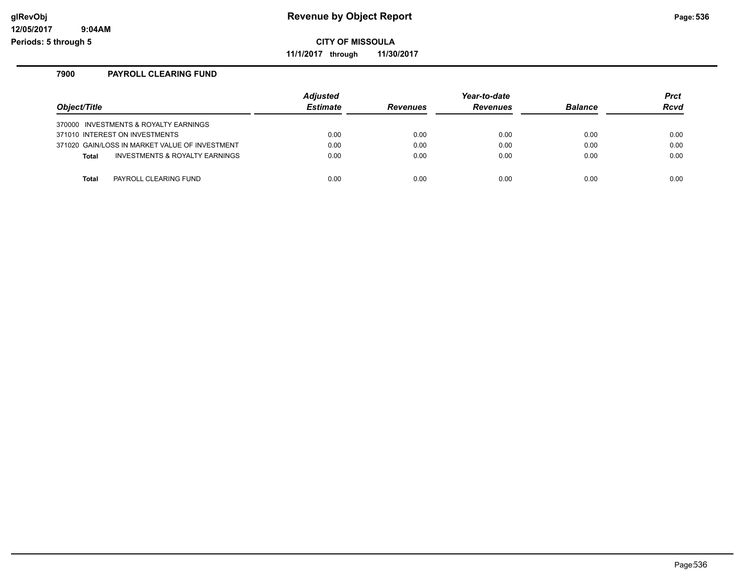**11/1/2017 through 11/30/2017**

#### **7900 PAYROLL CLEARING FUND**

| Object/Title                   |                                                | <b>Adjusted</b><br><b>Estimate</b> | <b>Revenues</b> | Year-to-date<br><b>Revenues</b> | <b>Balance</b> | <b>Prct</b><br><b>Rcvd</b> |
|--------------------------------|------------------------------------------------|------------------------------------|-----------------|---------------------------------|----------------|----------------------------|
|                                | 370000 INVESTMENTS & ROYALTY EARNINGS          |                                    |                 |                                 |                |                            |
| 371010 INTEREST ON INVESTMENTS |                                                | 0.00                               | 0.00            | 0.00                            | 0.00           | 0.00                       |
|                                | 371020 GAIN/LOSS IN MARKET VALUE OF INVESTMENT | 0.00                               | 0.00            | 0.00                            | 0.00           | 0.00                       |
| <b>Total</b>                   | <b>INVESTMENTS &amp; ROYALTY EARNINGS</b>      | 0.00                               | 0.00            | 0.00                            | 0.00           | 0.00                       |
|                                |                                                |                                    |                 |                                 |                |                            |
| Total                          | PAYROLL CLEARING FUND                          | 0.00                               | 0.00            | 0.00                            | 0.00           | 0.00                       |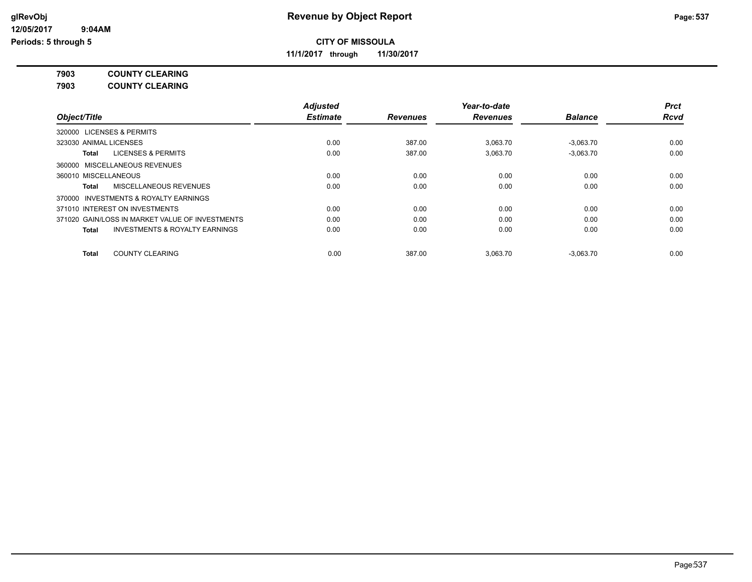**11/1/2017 through 11/30/2017**

## **7903 COUNTY CLEARING**

**7903 COUNTY CLEARING**

|                                                           | <b>Adjusted</b> |                 | Year-to-date    |                | <b>Prct</b> |
|-----------------------------------------------------------|-----------------|-----------------|-----------------|----------------|-------------|
| Object/Title                                              | <b>Estimate</b> | <b>Revenues</b> | <b>Revenues</b> | <b>Balance</b> | Rcvd        |
| 320000 LICENSES & PERMITS                                 |                 |                 |                 |                |             |
| 323030 ANIMAL LICENSES                                    | 0.00            | 387.00          | 3.063.70        | $-3,063.70$    | 0.00        |
| <b>LICENSES &amp; PERMITS</b><br>Total                    | 0.00            | 387.00          | 3,063.70        | $-3,063.70$    | 0.00        |
| 360000 MISCELLANEOUS REVENUES                             |                 |                 |                 |                |             |
| 360010 MISCELLANEOUS                                      | 0.00            | 0.00            | 0.00            | 0.00           | 0.00        |
| MISCELLANEOUS REVENUES<br>Total                           | 0.00            | 0.00            | 0.00            | 0.00           | 0.00        |
| 370000 INVESTMENTS & ROYALTY EARNINGS                     |                 |                 |                 |                |             |
| 371010 INTEREST ON INVESTMENTS                            | 0.00            | 0.00            | 0.00            | 0.00           | 0.00        |
| 371020 GAIN/LOSS IN MARKET VALUE OF INVESTMENTS           | 0.00            | 0.00            | 0.00            | 0.00           | 0.00        |
| <b>INVESTMENTS &amp; ROYALTY EARNINGS</b><br><b>Total</b> | 0.00            | 0.00            | 0.00            | 0.00           | 0.00        |
| <b>COUNTY CLEARING</b><br><b>Total</b>                    | 0.00            | 387.00          | 3.063.70        | $-3.063.70$    | 0.00        |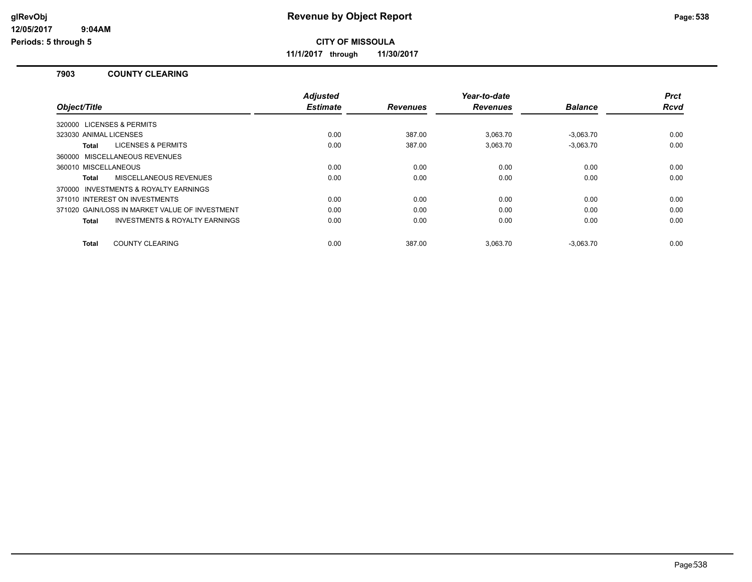**11/1/2017 through 11/30/2017**

#### **7903 COUNTY CLEARING**

|                                                           | <b>Adjusted</b> |                 | Year-to-date    |                | <b>Prct</b> |
|-----------------------------------------------------------|-----------------|-----------------|-----------------|----------------|-------------|
| Object/Title                                              | <b>Estimate</b> | <b>Revenues</b> | <b>Revenues</b> | <b>Balance</b> | <b>Rcvd</b> |
| 320000 LICENSES & PERMITS                                 |                 |                 |                 |                |             |
| 323030 ANIMAL LICENSES                                    | 0.00            | 387.00          | 3.063.70        | $-3,063.70$    | 0.00        |
| LICENSES & PERMITS<br><b>Total</b>                        | 0.00            | 387.00          | 3.063.70        | $-3,063.70$    | 0.00        |
| 360000 MISCELLANEOUS REVENUES                             |                 |                 |                 |                |             |
| 360010 MISCELLANEOUS                                      | 0.00            | 0.00            | 0.00            | 0.00           | 0.00        |
| MISCELLANEOUS REVENUES<br>Total                           | 0.00            | 0.00            | 0.00            | 0.00           | 0.00        |
| 370000 INVESTMENTS & ROYALTY EARNINGS                     |                 |                 |                 |                |             |
| 371010 INTEREST ON INVESTMENTS                            | 0.00            | 0.00            | 0.00            | 0.00           | 0.00        |
| 371020 GAIN/LOSS IN MARKET VALUE OF INVESTMENT            | 0.00            | 0.00            | 0.00            | 0.00           | 0.00        |
| <b>INVESTMENTS &amp; ROYALTY EARNINGS</b><br><b>Total</b> | 0.00            | 0.00            | 0.00            | 0.00           | 0.00        |
| <b>COUNTY CLEARING</b><br><b>Total</b>                    | 0.00            | 387.00          | 3.063.70        | $-3.063.70$    | 0.00        |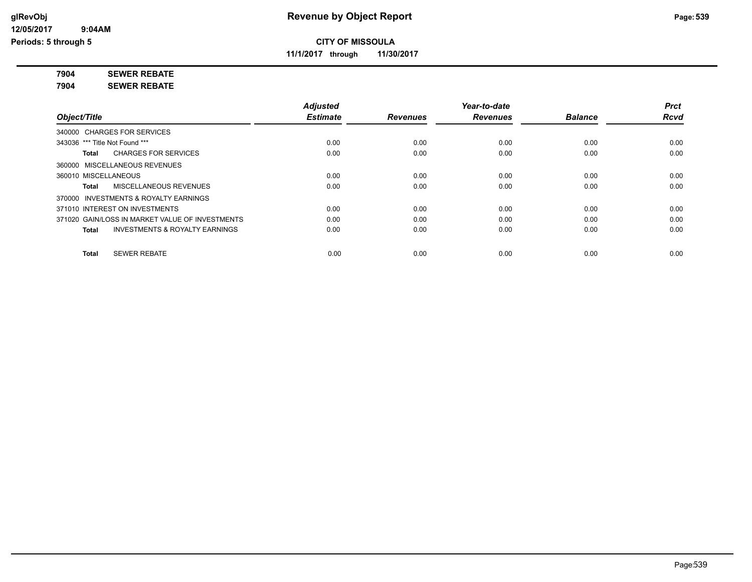**11/1/2017 through 11/30/2017**

## **7904 SEWER REBATE**

**7904 SEWER REBATE**

|                                                           | <b>Adjusted</b> |                 | Year-to-date    |                | <b>Prct</b> |
|-----------------------------------------------------------|-----------------|-----------------|-----------------|----------------|-------------|
| Object/Title                                              | <b>Estimate</b> | <b>Revenues</b> | <b>Revenues</b> | <b>Balance</b> | Rcvd        |
| 340000 CHARGES FOR SERVICES                               |                 |                 |                 |                |             |
| 343036 *** Title Not Found ***                            | 0.00            | 0.00            | 0.00            | 0.00           | 0.00        |
| <b>CHARGES FOR SERVICES</b><br>Total                      | 0.00            | 0.00            | 0.00            | 0.00           | 0.00        |
| 360000 MISCELLANEOUS REVENUES                             |                 |                 |                 |                |             |
| 360010 MISCELLANEOUS                                      | 0.00            | 0.00            | 0.00            | 0.00           | 0.00        |
| <b>MISCELLANEOUS REVENUES</b><br>Total                    | 0.00            | 0.00            | 0.00            | 0.00           | 0.00        |
| 370000 INVESTMENTS & ROYALTY EARNINGS                     |                 |                 |                 |                |             |
| 371010 INTEREST ON INVESTMENTS                            | 0.00            | 0.00            | 0.00            | 0.00           | 0.00        |
| 371020 GAIN/LOSS IN MARKET VALUE OF INVESTMENTS           | 0.00            | 0.00            | 0.00            | 0.00           | 0.00        |
| <b>INVESTMENTS &amp; ROYALTY EARNINGS</b><br><b>Total</b> | 0.00            | 0.00            | 0.00            | 0.00           | 0.00        |
| <b>SEWER REBATE</b><br><b>Total</b>                       | 0.00            | 0.00            | 0.00            | 0.00           | 0.00        |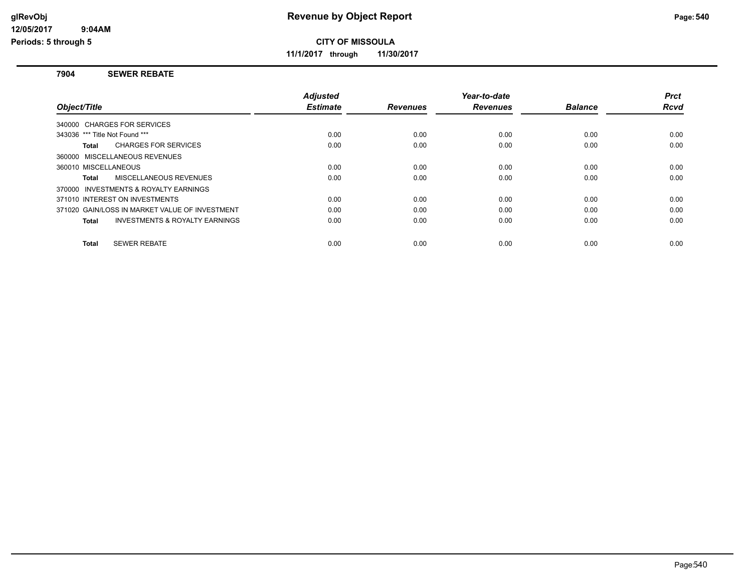**11/1/2017 through 11/30/2017**

#### **7904 SEWER REBATE**

|                                                    | <b>Adjusted</b> |                 | Year-to-date    |                | <b>Prct</b> |
|----------------------------------------------------|-----------------|-----------------|-----------------|----------------|-------------|
| Object/Title                                       | <b>Estimate</b> | <b>Revenues</b> | <b>Revenues</b> | <b>Balance</b> | <b>Rcvd</b> |
| 340000 CHARGES FOR SERVICES                        |                 |                 |                 |                |             |
| 343036 *** Title Not Found ***                     | 0.00            | 0.00            | 0.00            | 0.00           | 0.00        |
| <b>CHARGES FOR SERVICES</b><br>Total               | 0.00            | 0.00            | 0.00            | 0.00           | 0.00        |
| 360000 MISCELLANEOUS REVENUES                      |                 |                 |                 |                |             |
| 360010 MISCELLANEOUS                               | 0.00            | 0.00            | 0.00            | 0.00           | 0.00        |
| MISCELLANEOUS REVENUES<br>Total                    | 0.00            | 0.00            | 0.00            | 0.00           | 0.00        |
| 370000 INVESTMENTS & ROYALTY EARNINGS              |                 |                 |                 |                |             |
| 371010 INTEREST ON INVESTMENTS                     | 0.00            | 0.00            | 0.00            | 0.00           | 0.00        |
| 371020 GAIN/LOSS IN MARKET VALUE OF INVESTMENT     | 0.00            | 0.00            | 0.00            | 0.00           | 0.00        |
| <b>INVESTMENTS &amp; ROYALTY EARNINGS</b><br>Total | 0.00            | 0.00            | 0.00            | 0.00           | 0.00        |
|                                                    |                 |                 |                 |                |             |
| <b>SEWER REBATE</b><br>Total                       | 0.00            | 0.00            | 0.00            | 0.00           | 0.00        |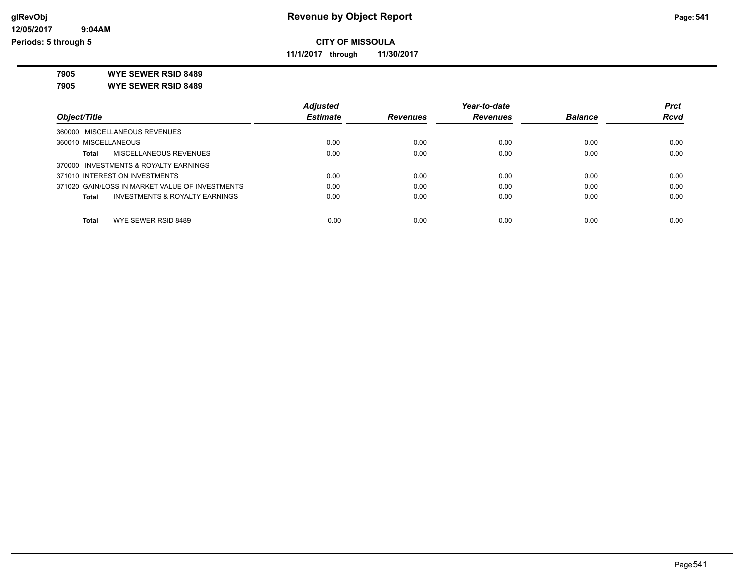**11/1/2017 through 11/30/2017**

**7905 WYE SEWER RSID 8489**

**7905 WYE SEWER RSID 8489**

|                                                 | <b>Adjusted</b> |                 | Year-to-date    |                | <b>Prct</b> |
|-------------------------------------------------|-----------------|-----------------|-----------------|----------------|-------------|
| Object/Title                                    | <b>Estimate</b> | <b>Revenues</b> | <b>Revenues</b> | <b>Balance</b> | <b>Rcvd</b> |
| 360000 MISCELLANEOUS REVENUES                   |                 |                 |                 |                |             |
| 360010 MISCELLANEOUS                            | 0.00            | 0.00            | 0.00            | 0.00           | 0.00        |
| MISCELLANEOUS REVENUES<br>Total                 | 0.00            | 0.00            | 0.00            | 0.00           | 0.00        |
| 370000 INVESTMENTS & ROYALTY EARNINGS           |                 |                 |                 |                |             |
| 371010 INTEREST ON INVESTMENTS                  | 0.00            | 0.00            | 0.00            | 0.00           | 0.00        |
| 371020 GAIN/LOSS IN MARKET VALUE OF INVESTMENTS | 0.00            | 0.00            | 0.00            | 0.00           | 0.00        |
| INVESTMENTS & ROYALTY EARNINGS<br>Total         | 0.00            | 0.00            | 0.00            | 0.00           | 0.00        |
|                                                 |                 |                 |                 |                |             |
| WYE SEWER RSID 8489<br><b>Total</b>             | 0.00            | 0.00            | 0.00            | 0.00           | 0.00        |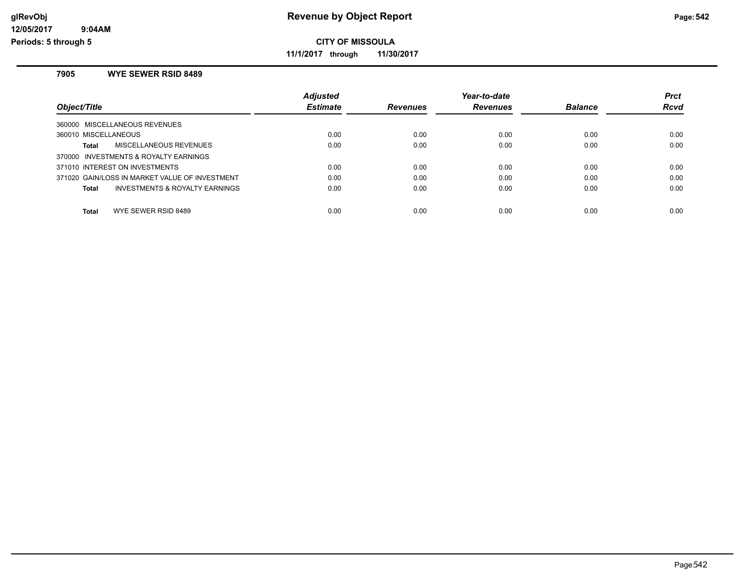**11/1/2017 through 11/30/2017**

#### **7905 WYE SEWER RSID 8489**

|                                                | <b>Adjusted</b> |                 | Year-to-date    |                | <b>Prct</b> |
|------------------------------------------------|-----------------|-----------------|-----------------|----------------|-------------|
| Object/Title                                   | <b>Estimate</b> | <b>Revenues</b> | <b>Revenues</b> | <b>Balance</b> | <b>Rcvd</b> |
| MISCELLANEOUS REVENUES<br>360000               |                 |                 |                 |                |             |
| 360010 MISCELLANEOUS                           | 0.00            | 0.00            | 0.00            | 0.00           | 0.00        |
| MISCELLANEOUS REVENUES<br>Total                | 0.00            | 0.00            | 0.00            | 0.00           | 0.00        |
| 370000 INVESTMENTS & ROYALTY EARNINGS          |                 |                 |                 |                |             |
| 371010 INTEREST ON INVESTMENTS                 | 0.00            | 0.00            | 0.00            | 0.00           | 0.00        |
| 371020 GAIN/LOSS IN MARKET VALUE OF INVESTMENT | 0.00            | 0.00            | 0.00            | 0.00           | 0.00        |
| INVESTMENTS & ROYALTY EARNINGS<br>Total        | 0.00            | 0.00            | 0.00            | 0.00           | 0.00        |
| Total<br>WYE SEWER RSID 8489                   | 0.00            | 0.00            | 0.00            | 0.00           | 0.00        |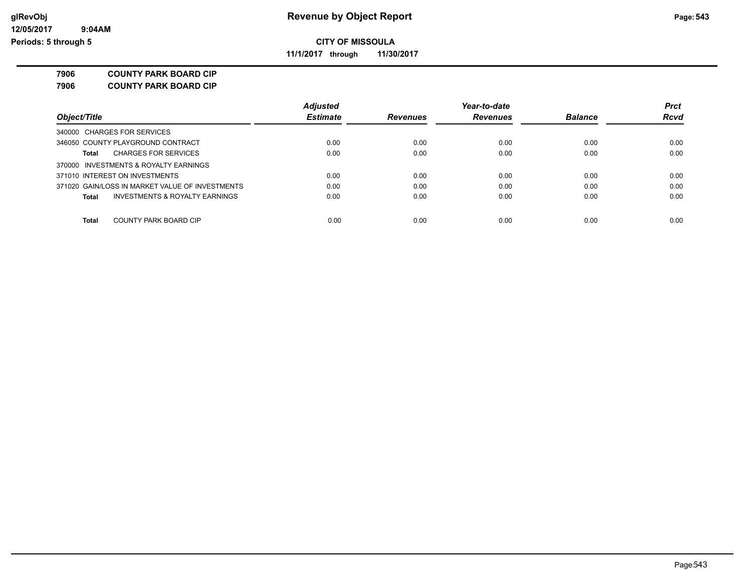**11/1/2017 through 11/30/2017**

#### **7906 COUNTY PARK BOARD CIP**

**7906 COUNTY PARK BOARD CIP**

|                                                 | <b>Adjusted</b> |                 | Year-to-date    |                | <b>Prct</b> |
|-------------------------------------------------|-----------------|-----------------|-----------------|----------------|-------------|
| Object/Title                                    | <b>Estimate</b> | <b>Revenues</b> | <b>Revenues</b> | <b>Balance</b> | <b>Rcvd</b> |
| 340000 CHARGES FOR SERVICES                     |                 |                 |                 |                |             |
| 346050 COUNTY PLAYGROUND CONTRACT               | 0.00            | 0.00            | 0.00            | 0.00           | 0.00        |
| <b>CHARGES FOR SERVICES</b><br>Total            | 0.00            | 0.00            | 0.00            | 0.00           | 0.00        |
| 370000 INVESTMENTS & ROYALTY EARNINGS           |                 |                 |                 |                |             |
| 371010 INTEREST ON INVESTMENTS                  | 0.00            | 0.00            | 0.00            | 0.00           | 0.00        |
| 371020 GAIN/LOSS IN MARKET VALUE OF INVESTMENTS | 0.00            | 0.00            | 0.00            | 0.00           | 0.00        |
| INVESTMENTS & ROYALTY EARNINGS<br>Total         | 0.00            | 0.00            | 0.00            | 0.00           | 0.00        |
|                                                 |                 |                 |                 |                |             |
| COUNTY PARK BOARD CIP<br>Total                  | 0.00            | 0.00            | 0.00            | 0.00           | 0.00        |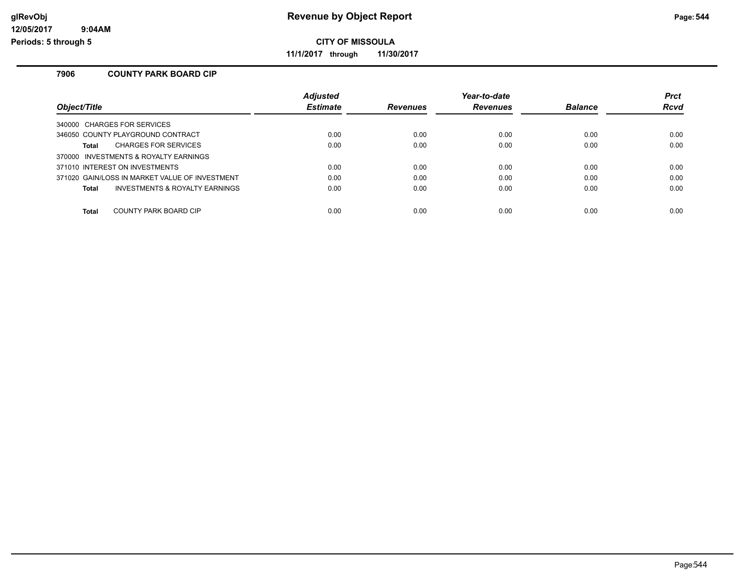**11/1/2017 through 11/30/2017**

#### **7906 COUNTY PARK BOARD CIP**

|                                                | <b>Adjusted</b> |                 | Year-to-date    |                | <b>Prct</b> |
|------------------------------------------------|-----------------|-----------------|-----------------|----------------|-------------|
| <b>Object/Title</b>                            | <b>Estimate</b> | <b>Revenues</b> | <b>Revenues</b> | <b>Balance</b> | <b>Rcvd</b> |
| 340000 CHARGES FOR SERVICES                    |                 |                 |                 |                |             |
| 346050 COUNTY PLAYGROUND CONTRACT              | 0.00            | 0.00            | 0.00            | 0.00           | 0.00        |
| <b>CHARGES FOR SERVICES</b><br>Total           | 0.00            | 0.00            | 0.00            | 0.00           | 0.00        |
| 370000 INVESTMENTS & ROYALTY EARNINGS          |                 |                 |                 |                |             |
| 371010 INTEREST ON INVESTMENTS                 | 0.00            | 0.00            | 0.00            | 0.00           | 0.00        |
| 371020 GAIN/LOSS IN MARKET VALUE OF INVESTMENT | 0.00            | 0.00            | 0.00            | 0.00           | 0.00        |
| INVESTMENTS & ROYALTY EARNINGS<br>Total        | 0.00            | 0.00            | 0.00            | 0.00           | 0.00        |
| Total<br>COUNTY PARK BOARD CIP                 | 0.00            | 0.00            | 0.00            | 0.00           | 0.00        |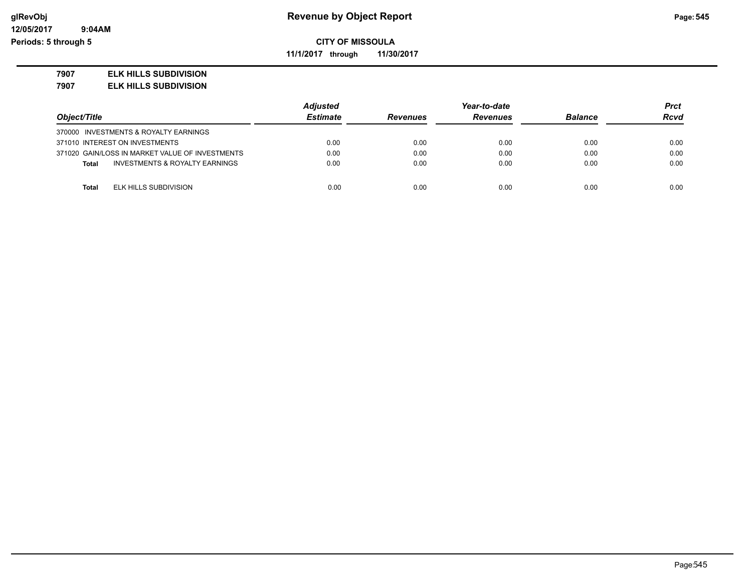**11/1/2017 through 11/30/2017**

#### **7907 ELK HILLS SUBDIVISION**

**7907 ELK HILLS SUBDIVISION**

|                                                 | <b>Adjusted</b> |                 | Year-to-date    |                |      |
|-------------------------------------------------|-----------------|-----------------|-----------------|----------------|------|
| Object/Title                                    | <b>Estimate</b> | <b>Revenues</b> | <b>Revenues</b> | <b>Balance</b> | Rcvd |
| 370000 INVESTMENTS & ROYALTY EARNINGS           |                 |                 |                 |                |      |
| 371010 INTEREST ON INVESTMENTS                  | 0.00            | 0.00            | 0.00            | 0.00           | 0.00 |
| 371020 GAIN/LOSS IN MARKET VALUE OF INVESTMENTS | 0.00            | 0.00            | 0.00            | 0.00           | 0.00 |
| INVESTMENTS & ROYALTY EARNINGS<br><b>Total</b>  | 0.00            | 0.00            | 0.00            | 0.00           | 0.00 |
| <b>Total</b><br>ELK HILLS SUBDIVISION           | 0.00            | 0.00            | 0.00            | 0.00           | 0.00 |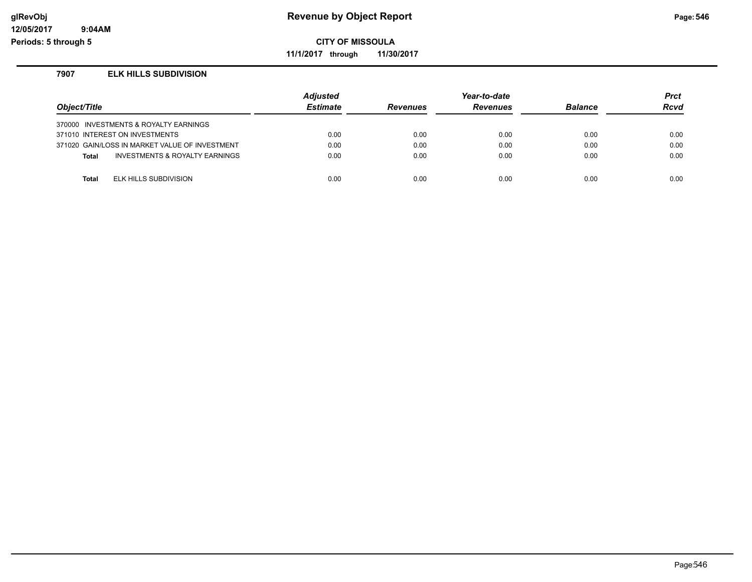**11/1/2017 through 11/30/2017**

#### **7907 ELK HILLS SUBDIVISION**

| Obiect/Title |                                                | <b>Adjusted</b><br><b>Estimate</b> | <b>Revenues</b> | Year-to-date<br><b>Revenues</b> | <b>Balance</b> | <b>Prct</b><br><b>Rcvd</b> |
|--------------|------------------------------------------------|------------------------------------|-----------------|---------------------------------|----------------|----------------------------|
|              | 370000 INVESTMENTS & ROYALTY EARNINGS          |                                    |                 |                                 |                |                            |
|              | 371010 INTEREST ON INVESTMENTS                 | 0.00                               | 0.00            | 0.00                            | 0.00           | 0.00                       |
|              | 371020 GAIN/LOSS IN MARKET VALUE OF INVESTMENT | 0.00                               | 0.00            | 0.00                            | 0.00           | 0.00                       |
| <b>Total</b> | INVESTMENTS & ROYALTY EARNINGS                 | 0.00                               | 0.00            | 0.00                            | 0.00           | 0.00                       |
|              |                                                |                                    |                 |                                 |                |                            |
| Total        | ELK HILLS SUBDIVISION                          | 0.00                               | 0.00            | 0.00                            | 0.00           | 0.00                       |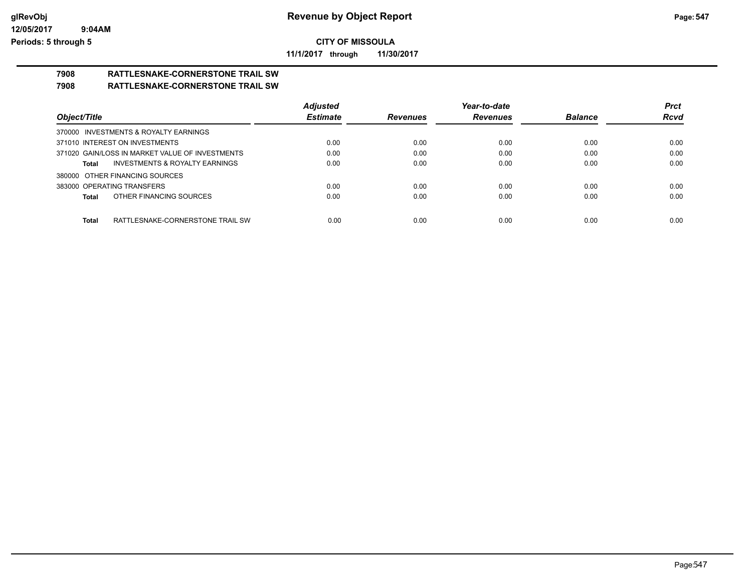**11/1/2017 through 11/30/2017**

# **7908 RATTLESNAKE-CORNERSTONE TRAIL SW**

# **7908 RATTLESNAKE-CORNERSTONE TRAIL SW**

|                                                    | <b>Adjusted</b> |                 | Year-to-date    |                | <b>Prct</b> |
|----------------------------------------------------|-----------------|-----------------|-----------------|----------------|-------------|
| Object/Title                                       | <b>Estimate</b> | <b>Revenues</b> | <b>Revenues</b> | <b>Balance</b> | <b>Rcvd</b> |
| 370000 INVESTMENTS & ROYALTY EARNINGS              |                 |                 |                 |                |             |
| 371010 INTEREST ON INVESTMENTS                     | 0.00            | 0.00            | 0.00            | 0.00           | 0.00        |
| 371020 GAIN/LOSS IN MARKET VALUE OF INVESTMENTS    | 0.00            | 0.00            | 0.00            | 0.00           | 0.00        |
| <b>INVESTMENTS &amp; ROYALTY EARNINGS</b><br>Total | 0.00            | 0.00            | 0.00            | 0.00           | 0.00        |
| 380000 OTHER FINANCING SOURCES                     |                 |                 |                 |                |             |
| 383000 OPERATING TRANSFERS                         | 0.00            | 0.00            | 0.00            | 0.00           | 0.00        |
| OTHER FINANCING SOURCES<br>Total                   | 0.00            | 0.00            | 0.00            | 0.00           | 0.00        |
|                                                    |                 |                 |                 |                |             |
| Total<br>RATTLESNAKE-CORNERSTONE TRAIL SW          | 0.00            | 0.00            | 0.00            | 0.00           | 0.00        |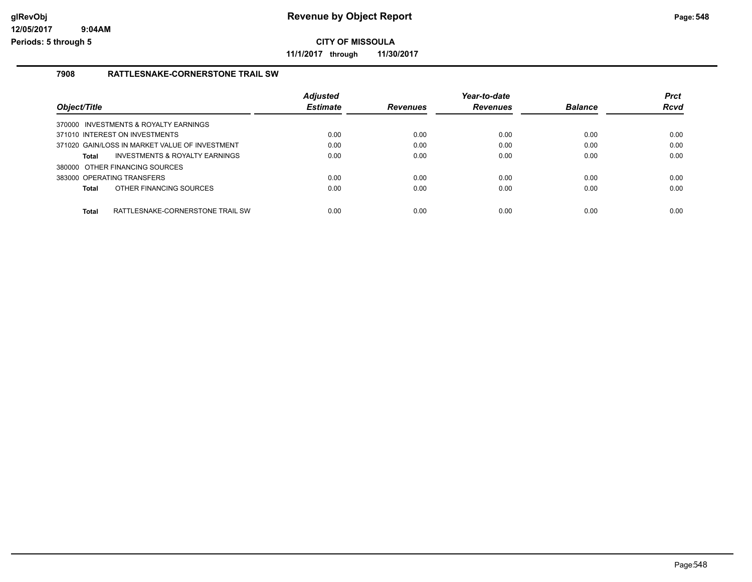**11/1/2017 through 11/30/2017**

#### **7908 RATTLESNAKE-CORNERSTONE TRAIL SW**

|                                                  | <b>Adjusted</b> |                 | Year-to-date    |                | <b>Prct</b> |
|--------------------------------------------------|-----------------|-----------------|-----------------|----------------|-------------|
| Object/Title                                     | <b>Estimate</b> | <b>Revenues</b> | <b>Revenues</b> | <b>Balance</b> | <b>Rcvd</b> |
| 370000 INVESTMENTS & ROYALTY EARNINGS            |                 |                 |                 |                |             |
| 371010 INTEREST ON INVESTMENTS                   | 0.00            | 0.00            | 0.00            | 0.00           | 0.00        |
| 371020 GAIN/LOSS IN MARKET VALUE OF INVESTMENT   | 0.00            | 0.00            | 0.00            | 0.00           | 0.00        |
| INVESTMENTS & ROYALTY EARNINGS<br><b>Total</b>   | 0.00            | 0.00            | 0.00            | 0.00           | 0.00        |
| 380000 OTHER FINANCING SOURCES                   |                 |                 |                 |                |             |
| 383000 OPERATING TRANSFERS                       | 0.00            | 0.00            | 0.00            | 0.00           | 0.00        |
| OTHER FINANCING SOURCES<br><b>Total</b>          | 0.00            | 0.00            | 0.00            | 0.00           | 0.00        |
|                                                  |                 |                 |                 |                |             |
| RATTLESNAKE-CORNERSTONE TRAIL SW<br><b>Total</b> | 0.00            | 0.00            | 0.00            | 0.00           | 0.00        |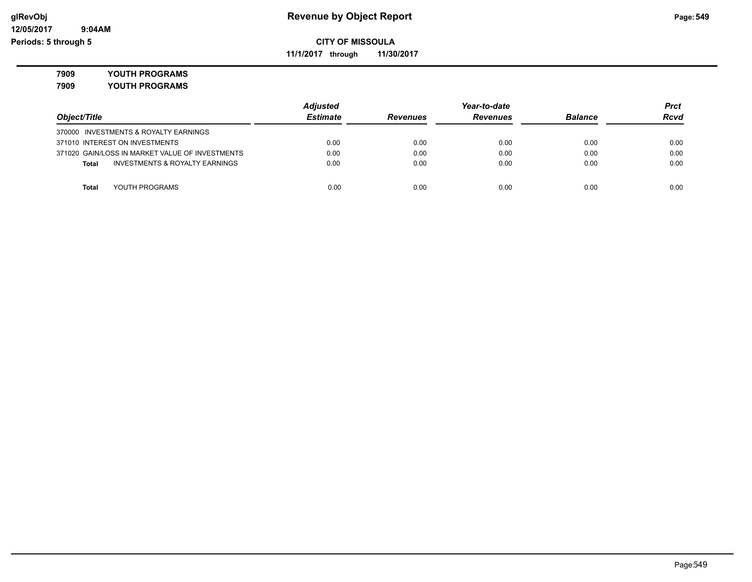**11/1/2017 through 11/30/2017**

### **7909 YOUTH PROGRAMS**

**7909 YOUTH PROGRAMS**

|                                                           | <b>Adjusted</b> | Year-to-date    |                 |                | Prct        |
|-----------------------------------------------------------|-----------------|-----------------|-----------------|----------------|-------------|
| Object/Title                                              | <b>Estimate</b> | <b>Revenues</b> | <b>Revenues</b> | <b>Balance</b> | <b>Rcvd</b> |
| 370000 INVESTMENTS & ROYALTY EARNINGS                     |                 |                 |                 |                |             |
| 371010 INTEREST ON INVESTMENTS                            | 0.00            | 0.00            | 0.00            | 0.00           | 0.00        |
| 371020 GAIN/LOSS IN MARKET VALUE OF INVESTMENTS           | 0.00            | 0.00            | 0.00            | 0.00           | 0.00        |
| <b>INVESTMENTS &amp; ROYALTY EARNINGS</b><br><b>Total</b> | 0.00            | 0.00            | 0.00            | 0.00           | 0.00        |
|                                                           |                 |                 |                 |                |             |
| YOUTH PROGRAMS<br>Total                                   | 0.00            | 0.00            | 0.00            | 0.00           | 0.00        |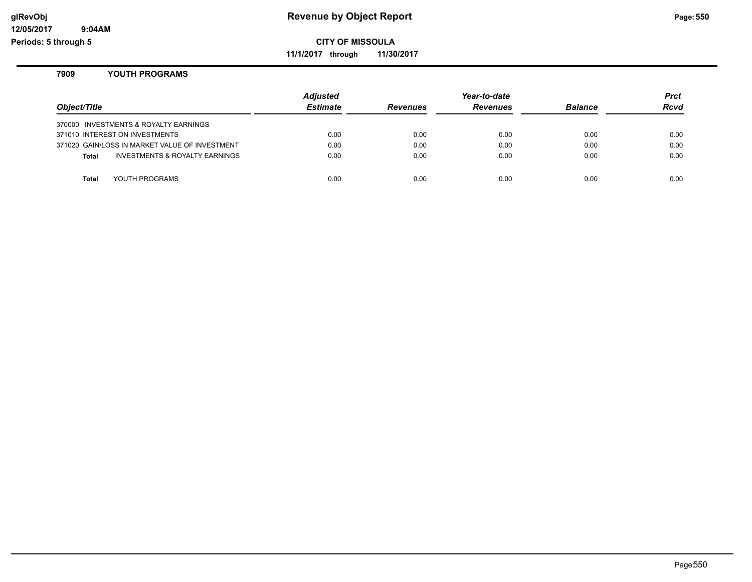**11/1/2017 through 11/30/2017**

#### **7909 YOUTH PROGRAMS**

| Object/Title                                   | Adjusted<br><b>Estimate</b> | <b>Revenues</b> | Year-to-date<br><b>Revenues</b> | <b>Balance</b> | <b>Prct</b><br><b>Rcvd</b> |
|------------------------------------------------|-----------------------------|-----------------|---------------------------------|----------------|----------------------------|
| 370000 INVESTMENTS & ROYALTY EARNINGS          |                             |                 |                                 |                |                            |
| 371010 INTEREST ON INVESTMENTS                 | 0.00                        | 0.00            | 0.00                            | 0.00           | 0.00                       |
| 371020 GAIN/LOSS IN MARKET VALUE OF INVESTMENT | 0.00                        | 0.00            | 0.00                            | 0.00           | 0.00                       |
| INVESTMENTS & ROYALTY EARNINGS<br><b>Total</b> | 0.00                        | 0.00            | 0.00                            | 0.00           | 0.00                       |
|                                                |                             |                 |                                 |                |                            |
| YOUTH PROGRAMS<br>Tota                         | 0.00                        | 0.00            | 0.00                            | 0.00           | 0.00                       |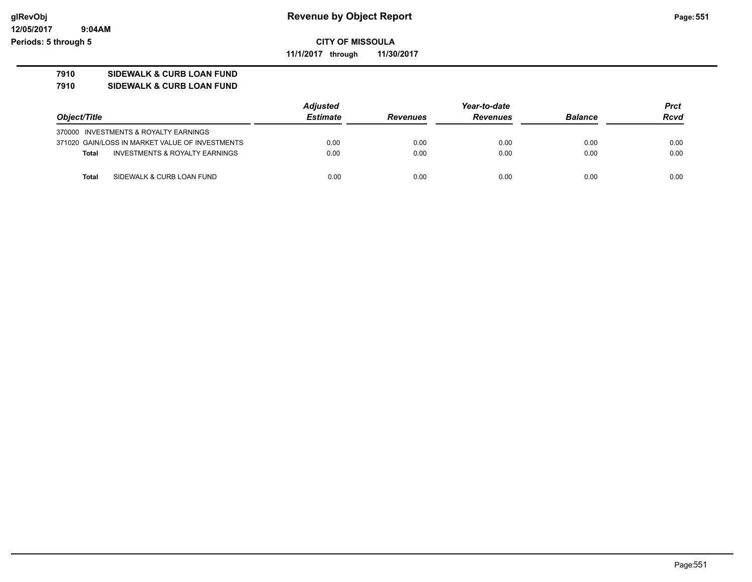**11/1/2017 through 11/30/2017**

# **7910 SIDEWALK & CURB LOAN FUND**

**7910 SIDEWALK & CURB LOAN FUND**

|                                                    | <b>Adjusted</b> | Year-to-date    |                 |                | Prct        |
|----------------------------------------------------|-----------------|-----------------|-----------------|----------------|-------------|
| Object/Title                                       | <b>Estimate</b> | <b>Revenues</b> | <b>Revenues</b> | <b>Balance</b> | <b>Rcvd</b> |
| 370000 INVESTMENTS & ROYALTY EARNINGS              |                 |                 |                 |                |             |
| 371020 GAIN/LOSS IN MARKET VALUE OF INVESTMENTS    | 0.00            | 0.00            | 0.00            | 0.00           | 0.00        |
| <b>INVESTMENTS &amp; ROYALTY EARNINGS</b><br>Total | 0.00            | 0.00            | 0.00            | 0.00           | 0.00        |
| SIDEWALK & CURB LOAN FUND<br><b>Total</b>          | 0.00            | 0.00            | 0.00            | 0.00           | 0.00        |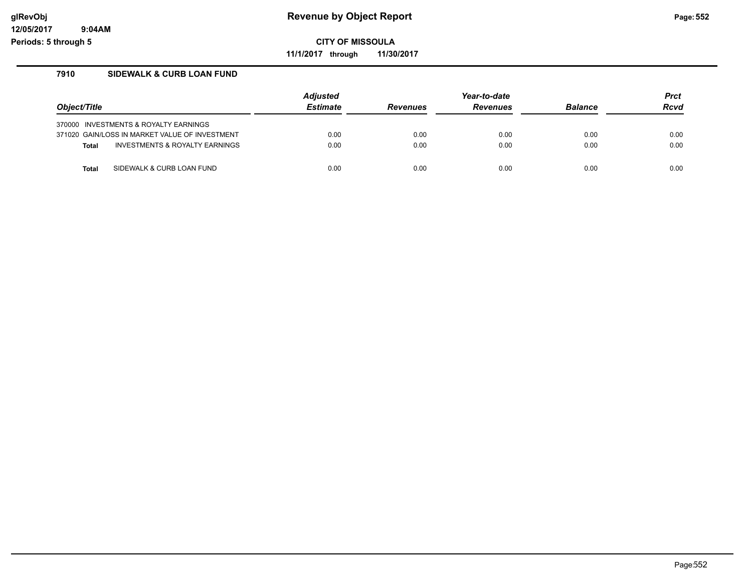**11/1/2017 through 11/30/2017**

#### **7910 SIDEWALK & CURB LOAN FUND**

|              |                                                | <b>Adjusted</b> |                 | Year-to-date    |                | <b>Prct</b> |
|--------------|------------------------------------------------|-----------------|-----------------|-----------------|----------------|-------------|
| Object/Title |                                                | <b>Estimate</b> | <b>Revenues</b> | <b>Revenues</b> | <b>Balance</b> | Rcvd        |
|              | 370000 INVESTMENTS & ROYALTY EARNINGS          |                 |                 |                 |                |             |
|              | 371020 GAIN/LOSS IN MARKET VALUE OF INVESTMENT | 0.00            | 0.00            | 0.00            | 0.00           | 0.00        |
| <b>Total</b> | INVESTMENTS & ROYALTY EARNINGS                 | 0.00            | 0.00            | 0.00            | 0.00           | 0.00        |
| Total        | SIDEWALK & CURB LOAN FUND                      | 0.00            | 0.00            | 0.00            | 0.00           | 0.00        |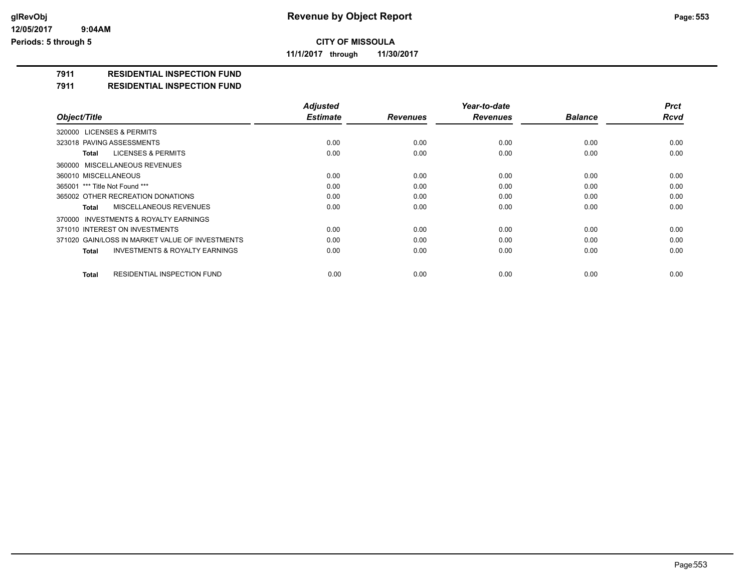**11/1/2017 through 11/30/2017**

**7911 RESIDENTIAL INSPECTION FUND**

**7911 RESIDENTIAL INSPECTION FUND**

|                                                    | <b>Adjusted</b> |                 | Year-to-date    |                | <b>Prct</b> |
|----------------------------------------------------|-----------------|-----------------|-----------------|----------------|-------------|
| Object/Title                                       | <b>Estimate</b> | <b>Revenues</b> | <b>Revenues</b> | <b>Balance</b> | <b>Rcvd</b> |
| 320000 LICENSES & PERMITS                          |                 |                 |                 |                |             |
| 323018 PAVING ASSESSMENTS                          | 0.00            | 0.00            | 0.00            | 0.00           | 0.00        |
| <b>LICENSES &amp; PERMITS</b><br>Total             | 0.00            | 0.00            | 0.00            | 0.00           | 0.00        |
| 360000 MISCELLANEOUS REVENUES                      |                 |                 |                 |                |             |
| 360010 MISCELLANEOUS                               | 0.00            | 0.00            | 0.00            | 0.00           | 0.00        |
| 365001 *** Title Not Found ***                     | 0.00            | 0.00            | 0.00            | 0.00           | 0.00        |
| 365002 OTHER RECREATION DONATIONS                  | 0.00            | 0.00            | 0.00            | 0.00           | 0.00        |
| MISCELLANEOUS REVENUES<br>Total                    | 0.00            | 0.00            | 0.00            | 0.00           | 0.00        |
| 370000 INVESTMENTS & ROYALTY EARNINGS              |                 |                 |                 |                |             |
| 371010 INTEREST ON INVESTMENTS                     | 0.00            | 0.00            | 0.00            | 0.00           | 0.00        |
| 371020 GAIN/LOSS IN MARKET VALUE OF INVESTMENTS    | 0.00            | 0.00            | 0.00            | 0.00           | 0.00        |
| <b>INVESTMENTS &amp; ROYALTY EARNINGS</b><br>Total | 0.00            | 0.00            | 0.00            | 0.00           | 0.00        |
| <b>RESIDENTIAL INSPECTION FUND</b><br>Total        | 0.00            | 0.00            | 0.00            | 0.00           | 0.00        |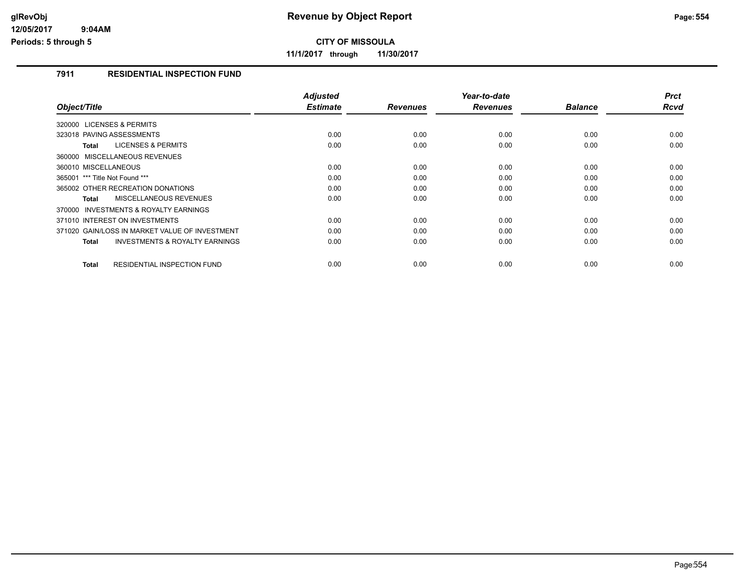**11/1/2017 through 11/30/2017**

#### **7911 RESIDENTIAL INSPECTION FUND**

| Object/Title                                              | <b>Adjusted</b><br><b>Estimate</b> | <b>Revenues</b> | Year-to-date<br><b>Revenues</b> | <b>Balance</b> | <b>Prct</b><br><b>Rcvd</b> |
|-----------------------------------------------------------|------------------------------------|-----------------|---------------------------------|----------------|----------------------------|
|                                                           |                                    |                 |                                 |                |                            |
| 320000 LICENSES & PERMITS                                 |                                    |                 |                                 |                |                            |
| 323018 PAVING ASSESSMENTS                                 | 0.00                               | 0.00            | 0.00                            | 0.00           | 0.00                       |
| <b>LICENSES &amp; PERMITS</b><br>Total                    | 0.00                               | 0.00            | 0.00                            | 0.00           | 0.00                       |
| 360000 MISCELLANEOUS REVENUES                             |                                    |                 |                                 |                |                            |
| 360010 MISCELLANEOUS                                      | 0.00                               | 0.00            | 0.00                            | 0.00           | 0.00                       |
| 365001 *** Title Not Found ***                            | 0.00                               | 0.00            | 0.00                            | 0.00           | 0.00                       |
| 365002 OTHER RECREATION DONATIONS                         | 0.00                               | 0.00            | 0.00                            | 0.00           | 0.00                       |
| <b>MISCELLANEOUS REVENUES</b><br>Total                    | 0.00                               | 0.00            | 0.00                            | 0.00           | 0.00                       |
| 370000 INVESTMENTS & ROYALTY EARNINGS                     |                                    |                 |                                 |                |                            |
| 371010 INTEREST ON INVESTMENTS                            | 0.00                               | 0.00            | 0.00                            | 0.00           | 0.00                       |
| 371020 GAIN/LOSS IN MARKET VALUE OF INVESTMENT            | 0.00                               | 0.00            | 0.00                            | 0.00           | 0.00                       |
| <b>INVESTMENTS &amp; ROYALTY EARNINGS</b><br><b>Total</b> | 0.00                               | 0.00            | 0.00                            | 0.00           | 0.00                       |
| <b>RESIDENTIAL INSPECTION FUND</b><br><b>Total</b>        | 0.00                               | 0.00            | 0.00                            | 0.00           | 0.00                       |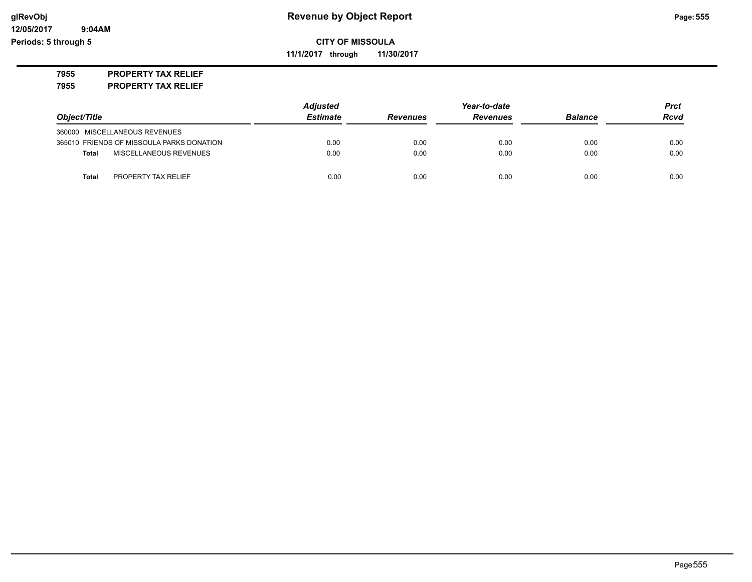**11/1/2017 through 11/30/2017**

#### **7955 PROPERTY TAX RELIEF**

**7955 PROPERTY TAX RELIEF**

|                                           | <b>Adjusted</b> |                 | <b>Prct</b>     |                |             |
|-------------------------------------------|-----------------|-----------------|-----------------|----------------|-------------|
| Object/Title                              | <b>Estimate</b> | <b>Revenues</b> | <b>Revenues</b> | <b>Balance</b> | <b>Rcvd</b> |
| 360000 MISCELLANEOUS REVENUES             |                 |                 |                 |                |             |
| 365010 FRIENDS OF MISSOULA PARKS DONATION | 0.00            | 0.00            | 0.00            | 0.00           | 0.00        |
| MISCELLANEOUS REVENUES<br><b>Total</b>    | 0.00            | 0.00            | 0.00            | 0.00           | 0.00        |
| PROPERTY TAX RELIEF<br><b>Total</b>       | 0.00            | 0.00            | 0.00            | 0.00           | 0.00        |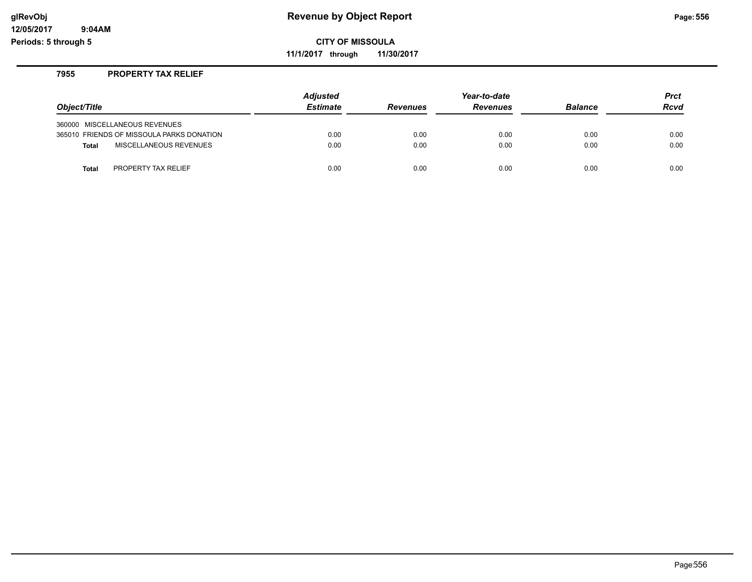**11/1/2017 through 11/30/2017**

#### **7955 PROPERTY TAX RELIEF**

| Object/Title                              | <b>Adjusted</b><br><b>Estimate</b> | <b>Revenues</b> | Year-to-date<br><b>Revenues</b> | <b>Balance</b> | <b>Prct</b><br><b>Rcvd</b> |
|-------------------------------------------|------------------------------------|-----------------|---------------------------------|----------------|----------------------------|
| 360000 MISCELLANEOUS REVENUES             |                                    |                 |                                 |                |                            |
| 365010 FRIENDS OF MISSOULA PARKS DONATION | 0.00                               | 0.00            | 0.00                            | 0.00           | 0.00                       |
| MISCELLANEOUS REVENUES<br><b>Total</b>    | 0.00                               | 0.00            | 0.00                            | 0.00           | 0.00                       |
| PROPERTY TAX RELIEF<br>Total              | 0.00                               | 0.00            | 0.00                            | 0.00           | 0.00                       |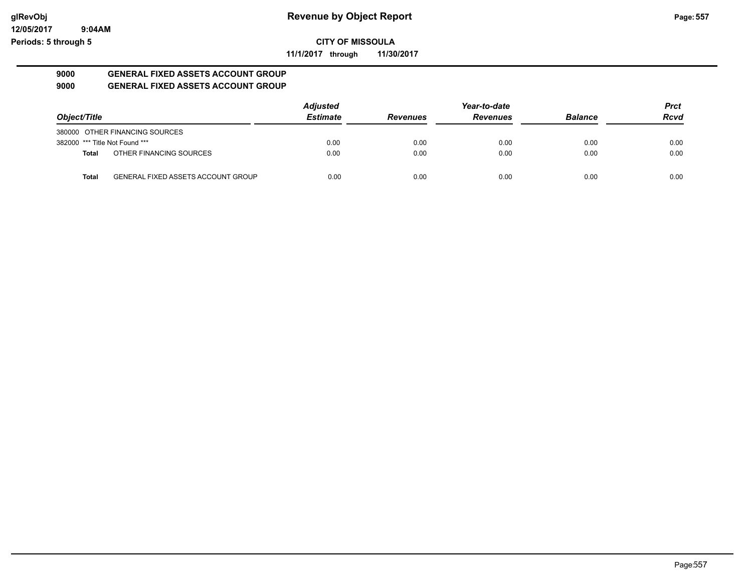#### **12/05/2017 9:04AM Periods: 5 through 5**

#### **CITY OF MISSOULA**

**11/1/2017 through 11/30/2017**

#### **9000 GENERAL FIXED ASSETS ACCOUNT GROUP 9000 GENERAL FIXED ASSETS ACCOUNT GROUP**

| Object/Title                   |                                           | <b>Adjusted</b> |                 | Year-to-date    |                | <b>Prct</b><br><b>Rcvd</b> |
|--------------------------------|-------------------------------------------|-----------------|-----------------|-----------------|----------------|----------------------------|
|                                |                                           | <b>Estimate</b> | <b>Revenues</b> | <b>Revenues</b> | <b>Balance</b> |                            |
|                                | 380000 OTHER FINANCING SOURCES            |                 |                 |                 |                |                            |
| 382000 *** Title Not Found *** |                                           | 0.00            | 0.00            | 0.00            | 0.00           | 0.00                       |
| <b>Total</b>                   | OTHER FINANCING SOURCES                   | 0.00            | 0.00            | 0.00            | 0.00           | 0.00                       |
| <b>Total</b>                   | <b>GENERAL FIXED ASSETS ACCOUNT GROUP</b> | 0.00            | 0.00            | 0.00            | 0.00           | 0.00                       |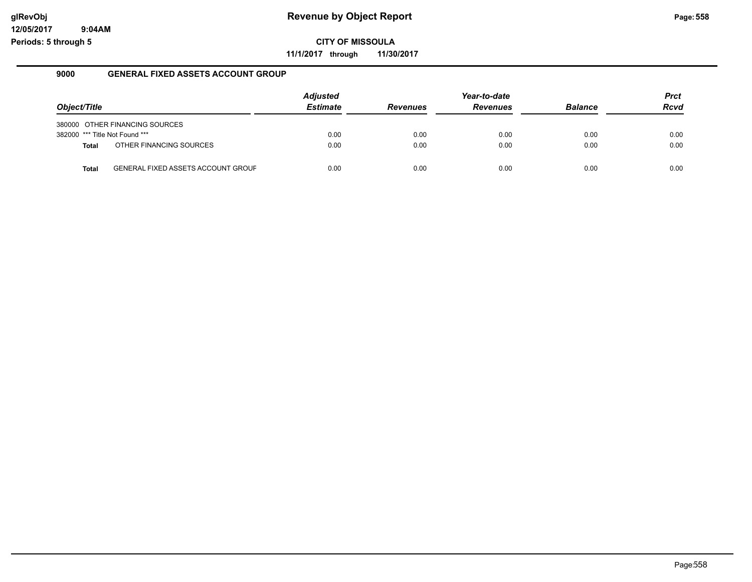**11/1/2017 through 11/30/2017**

#### **9000 GENERAL FIXED ASSETS ACCOUNT GROUP**

| Object/Title                   |                                           | <b>Adjusted</b><br><b>Estimate</b> | <b>Revenues</b> | Year-to-date<br><b>Revenues</b> | <b>Balance</b> | <b>Prct</b><br><b>Rcvd</b> |
|--------------------------------|-------------------------------------------|------------------------------------|-----------------|---------------------------------|----------------|----------------------------|
| 382000 *** Title Not Found *** | 380000 OTHER FINANCING SOURCES            | 0.00                               | 0.00            | 0.00                            | 0.00           | 0.00                       |
| Total                          | OTHER FINANCING SOURCES                   | 0.00                               | 0.00            | 0.00                            | 0.00           | 0.00                       |
| <b>Total</b>                   | <b>GENERAL FIXED ASSETS ACCOUNT GROUF</b> | 0.00                               | 0.00            | 0.00                            | 0.00           | 0.00                       |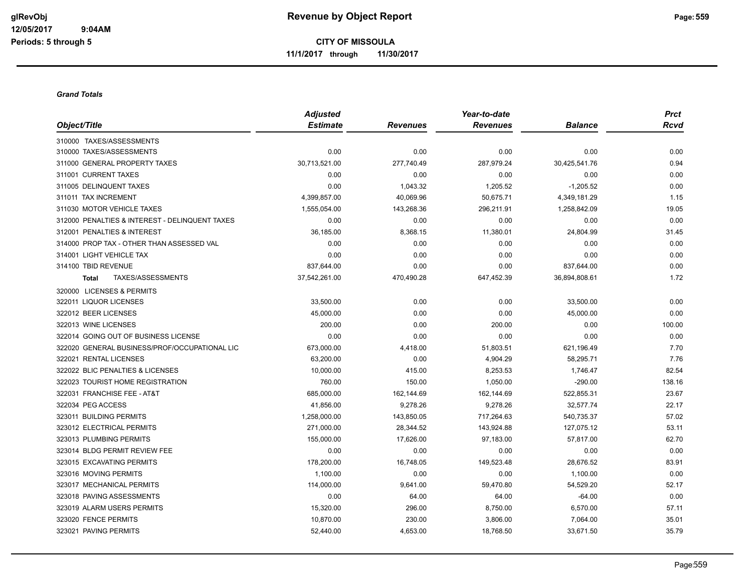**CITY OF MISSOULA 11/1/2017 through 11/30/2017**

#### *Grand Totals*

|                                                | <b>Adjusted</b> |                 | Year-to-date    |                | <b>Prct</b> |
|------------------------------------------------|-----------------|-----------------|-----------------|----------------|-------------|
| Object/Title                                   | <b>Estimate</b> | <b>Revenues</b> | <b>Revenues</b> | <b>Balance</b> | Rcvd        |
| 310000 TAXES/ASSESSMENTS                       |                 |                 |                 |                |             |
| 310000 TAXES/ASSESSMENTS                       | 0.00            | 0.00            | 0.00            | 0.00           | 0.00        |
| 311000 GENERAL PROPERTY TAXES                  | 30,713,521.00   | 277,740.49      | 287,979.24      | 30,425,541.76  | 0.94        |
| 311001 CURRENT TAXES                           | 0.00            | 0.00            | 0.00            | 0.00           | 0.00        |
| 311005 DELINQUENT TAXES                        | 0.00            | 1,043.32        | 1,205.52        | $-1,205.52$    | 0.00        |
| 311011 TAX INCREMENT                           | 4,399,857.00    | 40,069.96       | 50,675.71       | 4,349,181.29   | 1.15        |
| 311030 MOTOR VEHICLE TAXES                     | 1,555,054.00    | 143,268.36      | 296,211.91      | 1,258,842.09   | 19.05       |
| 312000 PENALTIES & INTEREST - DELINQUENT TAXES | 0.00            | 0.00            | 0.00            | 0.00           | 0.00        |
| 312001 PENALTIES & INTEREST                    | 36,185.00       | 8,368.15        | 11,380.01       | 24,804.99      | 31.45       |
| 314000 PROP TAX - OTHER THAN ASSESSED VAL      | 0.00            | 0.00            | 0.00            | 0.00           | 0.00        |
| 314001 LIGHT VEHICLE TAX                       | 0.00            | 0.00            | 0.00            | 0.00           | 0.00        |
| 314100 TBID REVENUE                            | 837,644.00      | 0.00            | 0.00            | 837,644.00     | 0.00        |
| TAXES/ASSESSMENTS<br><b>Total</b>              | 37,542,261.00   | 470,490.28      | 647,452.39      | 36,894,808.61  | 1.72        |
| 320000 LICENSES & PERMITS                      |                 |                 |                 |                |             |
| 322011 LIQUOR LICENSES                         | 33,500.00       | 0.00            | 0.00            | 33,500.00      | 0.00        |
| 322012 BEER LICENSES                           | 45,000.00       | 0.00            | 0.00            | 45,000.00      | 0.00        |
| 322013 WINE LICENSES                           | 200.00          | 0.00            | 200.00          | 0.00           | 100.00      |
| 322014 GOING OUT OF BUSINESS LICENSE           | 0.00            | 0.00            | 0.00            | 0.00           | 0.00        |
| 322020 GENERAL BUSINESS/PROF/OCCUPATIONAL LIC  | 673,000.00      | 4,418.00        | 51,803.51       | 621,196.49     | 7.70        |
| 322021 RENTAL LICENSES                         | 63,200.00       | 0.00            | 4,904.29        | 58,295.71      | 7.76        |
| 322022 BLIC PENALTIES & LICENSES               | 10,000.00       | 415.00          | 8,253.53        | 1,746.47       | 82.54       |
| 322023 TOURIST HOME REGISTRATION               | 760.00          | 150.00          | 1,050.00        | $-290.00$      | 138.16      |
| 322031 FRANCHISE FEE - AT&T                    | 685,000.00      | 162,144.69      | 162,144.69      | 522,855.31     | 23.67       |
| 322034 PEG ACCESS                              | 41,856.00       | 9,278.26        | 9,278.26        | 32,577.74      | 22.17       |
| 323011 BUILDING PERMITS                        | 1,258,000.00    | 143,850.05      | 717,264.63      | 540,735.37     | 57.02       |
| 323012 ELECTRICAL PERMITS                      | 271,000.00      | 28,344.52       | 143,924.88      | 127,075.12     | 53.11       |
| 323013 PLUMBING PERMITS                        | 155,000.00      | 17,626.00       | 97,183.00       | 57,817.00      | 62.70       |
| 323014 BLDG PERMIT REVIEW FEE                  | 0.00            | 0.00            | 0.00            | 0.00           | 0.00        |
| 323015 EXCAVATING PERMITS                      | 178,200.00      | 16,748.05       | 149,523.48      | 28,676.52      | 83.91       |
| 323016 MOVING PERMITS                          | 1,100.00        | 0.00            | 0.00            | 1,100.00       | 0.00        |
| 323017 MECHANICAL PERMITS                      | 114,000.00      | 9,641.00        | 59,470.80       | 54,529.20      | 52.17       |
| 323018 PAVING ASSESSMENTS                      | 0.00            | 64.00           | 64.00           | $-64.00$       | 0.00        |
| 323019 ALARM USERS PERMITS                     | 15,320.00       | 296.00          | 8,750.00        | 6,570.00       | 57.11       |
| 323020 FENCE PERMITS                           | 10,870.00       | 230.00          | 3,806.00        | 7,064.00       | 35.01       |
| 323021 PAVING PERMITS                          | 52,440.00       | 4,653.00        | 18,768.50       | 33,671.50      | 35.79       |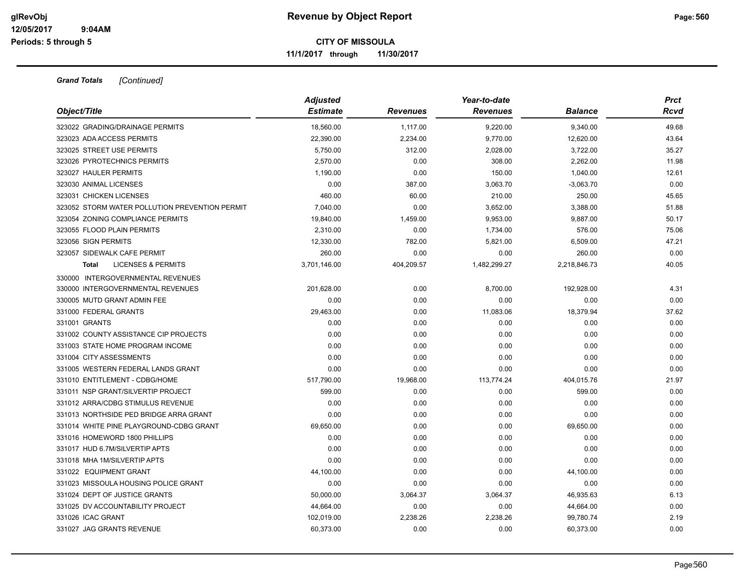**11/1/2017 through 11/30/2017**

| Object/Title                                   | <b>Adjusted</b><br><b>Estimate</b> | <b>Revenues</b> | Year-to-date<br><b>Revenues</b> | <b>Balance</b> | <b>Prct</b><br>Rcvd |
|------------------------------------------------|------------------------------------|-----------------|---------------------------------|----------------|---------------------|
| 323022 GRADING/DRAINAGE PERMITS                | 18,560.00                          | 1,117.00        | 9,220.00                        | 9,340.00       | 49.68               |
| 323023 ADA ACCESS PERMITS                      | 22,390.00                          | 2,234.00        | 9,770.00                        | 12,620.00      | 43.64               |
| 323025 STREET USE PERMITS                      | 5,750.00                           | 312.00          | 2,028.00                        | 3,722.00       | 35.27               |
| 323026 PYROTECHNICS PERMITS                    | 2,570.00                           | 0.00            | 308.00                          | 2,262.00       | 11.98               |
| 323027 HAULER PERMITS                          | 1,190.00                           | 0.00            | 150.00                          | 1,040.00       | 12.61               |
| 323030 ANIMAL LICENSES                         | 0.00                               | 387.00          | 3,063.70                        | $-3,063.70$    | 0.00                |
| 323031 CHICKEN LICENSES                        | 460.00                             | 60.00           | 210.00                          | 250.00         | 45.65               |
| 323052 STORM WATER POLLUTION PREVENTION PERMIT | 7,040.00                           | 0.00            | 3,652.00                        | 3,388.00       | 51.88               |
| 323054 ZONING COMPLIANCE PERMITS               | 19,840.00                          | 1,459.00        | 9,953.00                        | 9,887.00       | 50.17               |
| 323055 FLOOD PLAIN PERMITS                     | 2,310.00                           | 0.00            | 1,734.00                        | 576.00         | 75.06               |
| 323056 SIGN PERMITS                            | 12,330.00                          | 782.00          | 5,821.00                        | 6,509.00       | 47.21               |
| 323057 SIDEWALK CAFE PERMIT                    | 260.00                             | 0.00            | 0.00                            | 260.00         | 0.00                |
| <b>LICENSES &amp; PERMITS</b><br><b>Total</b>  | 3,701,146.00                       | 404,209.57      | 1,482,299.27                    | 2,218,846.73   | 40.05               |
| 330000 INTERGOVERNMENTAL REVENUES              |                                    |                 |                                 |                |                     |
| 330000 INTERGOVERNMENTAL REVENUES              | 201,628.00                         | 0.00            | 8,700.00                        | 192,928.00     | 4.31                |
| 330005 MUTD GRANT ADMIN FEE                    | 0.00                               | 0.00            | 0.00                            | 0.00           | 0.00                |
| 331000 FEDERAL GRANTS                          | 29,463.00                          | 0.00            | 11,083.06                       | 18,379.94      | 37.62               |
| 331001 GRANTS                                  | 0.00                               | 0.00            | 0.00                            | 0.00           | 0.00                |
| 331002 COUNTY ASSISTANCE CIP PROJECTS          | 0.00                               | 0.00            | 0.00                            | 0.00           | 0.00                |
| 331003 STATE HOME PROGRAM INCOME               | 0.00                               | 0.00            | 0.00                            | 0.00           | 0.00                |
| 331004 CITY ASSESSMENTS                        | 0.00                               | 0.00            | 0.00                            | 0.00           | 0.00                |
| 331005 WESTERN FEDERAL LANDS GRANT             | 0.00                               | 0.00            | 0.00                            | 0.00           | 0.00                |
| 331010 ENTITLEMENT - CDBG/HOME                 | 517,790.00                         | 19,968.00       | 113,774.24                      | 404,015.76     | 21.97               |
| 331011 NSP GRANT/SILVERTIP PROJECT             | 599.00                             | 0.00            | 0.00                            | 599.00         | 0.00                |
| 331012 ARRA/CDBG STIMULUS REVENUE              | 0.00                               | 0.00            | 0.00                            | 0.00           | 0.00                |
| 331013 NORTHSIDE PED BRIDGE ARRA GRANT         | 0.00                               | 0.00            | 0.00                            | 0.00           | 0.00                |
| 331014 WHITE PINE PLAYGROUND-CDBG GRANT        | 69,650.00                          | 0.00            | 0.00                            | 69,650.00      | 0.00                |
| 331016 HOMEWORD 1800 PHILLIPS                  | 0.00                               | 0.00            | 0.00                            | 0.00           | 0.00                |
| 331017 HUD 6.7M/SILVERTIP APTS                 | 0.00                               | 0.00            | 0.00                            | 0.00           | 0.00                |
| 331018 MHA 1M/SILVERTIP APTS                   | 0.00                               | 0.00            | 0.00                            | 0.00           | 0.00                |
| 331022 EQUIPMENT GRANT                         | 44,100.00                          | 0.00            | 0.00                            | 44,100.00      | 0.00                |
| 331023 MISSOULA HOUSING POLICE GRANT           | 0.00                               | 0.00            | 0.00                            | 0.00           | 0.00                |
| 331024 DEPT OF JUSTICE GRANTS                  | 50,000.00                          | 3,064.37        | 3,064.37                        | 46,935.63      | 6.13                |
| 331025 DV ACCOUNTABILITY PROJECT               | 44,664.00                          | 0.00            | 0.00                            | 44,664.00      | 0.00                |
| 331026 ICAC GRANT                              | 102,019.00                         | 2,238.26        | 2,238.26                        | 99,780.74      | 2.19                |
| 331027 JAG GRANTS REVENUE                      | 60,373.00                          | 0.00            | 0.00                            | 60,373.00      | 0.00                |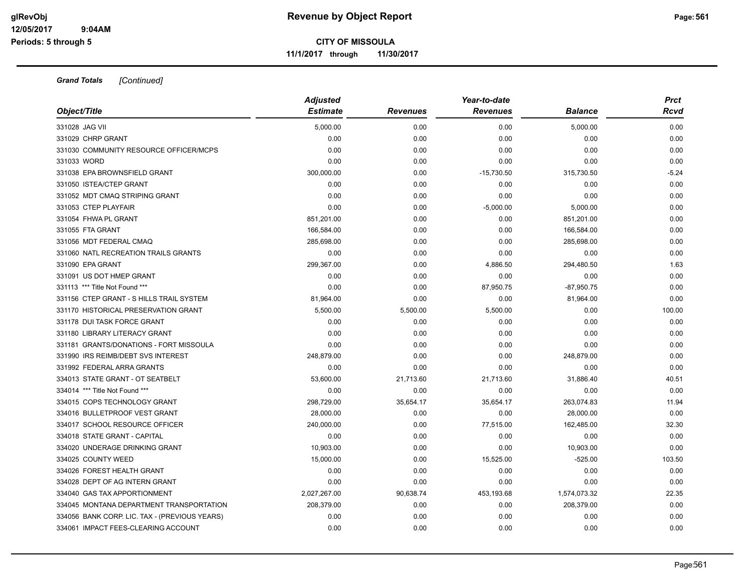**11/1/2017 through 11/30/2017**

|                                               | <b>Adjusted</b> |                 | Year-to-date    |                | <b>Prct</b> |  |
|-----------------------------------------------|-----------------|-----------------|-----------------|----------------|-------------|--|
| Object/Title                                  | <b>Estimate</b> | <b>Revenues</b> | <b>Revenues</b> | <b>Balance</b> | Rcvd        |  |
| 331028 JAG VII                                | 5,000.00        | 0.00            | 0.00            | 5,000.00       | 0.00        |  |
| 331029 CHRP GRANT                             | 0.00            | 0.00            | 0.00            | 0.00           | 0.00        |  |
| 331030 COMMUNITY RESOURCE OFFICER/MCPS        | 0.00            | 0.00            | 0.00            | 0.00           | 0.00        |  |
| 331033 WORD                                   | 0.00            | 0.00            | 0.00            | 0.00           | 0.00        |  |
| 331038 EPA BROWNSFIELD GRANT                  | 300,000.00      | 0.00            | $-15,730.50$    | 315,730.50     | $-5.24$     |  |
| 331050 ISTEA/CTEP GRANT                       | 0.00            | 0.00            | 0.00            | 0.00           | 0.00        |  |
| 331052 MDT CMAQ STRIPING GRANT                | 0.00            | 0.00            | 0.00            | 0.00           | 0.00        |  |
| 331053 CTEP PLAYFAIR                          | 0.00            | 0.00            | $-5,000.00$     | 5,000.00       | 0.00        |  |
| 331054 FHWA PL GRANT                          | 851,201.00      | 0.00            | 0.00            | 851,201.00     | 0.00        |  |
| 331055 FTA GRANT                              | 166,584.00      | 0.00            | 0.00            | 166,584.00     | 0.00        |  |
| 331056 MDT FEDERAL CMAQ                       | 285,698.00      | 0.00            | 0.00            | 285,698.00     | 0.00        |  |
| 331060 NATL RECREATION TRAILS GRANTS          | 0.00            | 0.00            | 0.00            | 0.00           | 0.00        |  |
| 331090 EPA GRANT                              | 299,367.00      | 0.00            | 4,886.50        | 294,480.50     | 1.63        |  |
| 331091 US DOT HMEP GRANT                      | 0.00            | 0.00            | 0.00            | 0.00           | 0.00        |  |
| 331113 *** Title Not Found ***                | 0.00            | 0.00            | 87,950.75       | $-87,950.75$   | 0.00        |  |
| 331156 CTEP GRANT - S HILLS TRAIL SYSTEM      | 81,964.00       | 0.00            | 0.00            | 81,964.00      | 0.00        |  |
| 331170 HISTORICAL PRESERVATION GRANT          | 5,500.00        | 5,500.00        | 5,500.00        | 0.00           | 100.00      |  |
| 331178 DUI TASK FORCE GRANT                   | 0.00            | 0.00            | 0.00            | 0.00           | 0.00        |  |
| 331180 LIBRARY LITERACY GRANT                 | 0.00            | 0.00            | 0.00            | 0.00           | 0.00        |  |
| 331181 GRANTS/DONATIONS - FORT MISSOULA       | 0.00            | 0.00            | 0.00            | 0.00           | 0.00        |  |
| 331990 IRS REIMB/DEBT SVS INTEREST            | 248,879.00      | 0.00            | 0.00            | 248,879.00     | 0.00        |  |
| 331992 FEDERAL ARRA GRANTS                    | 0.00            | 0.00            | 0.00            | 0.00           | 0.00        |  |
| 334013 STATE GRANT - OT SEATBELT              | 53.600.00       | 21,713.60       | 21,713.60       | 31,886.40      | 40.51       |  |
| 334014 *** Title Not Found ***                | 0.00            | 0.00            | 0.00            | 0.00           | 0.00        |  |
| 334015 COPS TECHNOLOGY GRANT                  | 298,729.00      | 35,654.17       | 35,654.17       | 263,074.83     | 11.94       |  |
| 334016 BULLETPROOF VEST GRANT                 | 28,000.00       | 0.00            | 0.00            | 28,000.00      | 0.00        |  |
| 334017 SCHOOL RESOURCE OFFICER                | 240,000.00      | 0.00            | 77,515.00       | 162,485.00     | 32.30       |  |
| 334018 STATE GRANT - CAPITAL                  | 0.00            | 0.00            | 0.00            | 0.00           | 0.00        |  |
| 334020 UNDERAGE DRINKING GRANT                | 10,903.00       | 0.00            | 0.00            | 10,903.00      | 0.00        |  |
| 334025 COUNTY WEED                            | 15,000.00       | 0.00            | 15,525.00       | $-525.00$      | 103.50      |  |
| 334026 FOREST HEALTH GRANT                    | 0.00            | 0.00            | 0.00            | 0.00           | 0.00        |  |
| 334028 DEPT OF AG INTERN GRANT                | 0.00            | 0.00            | 0.00            | 0.00           | 0.00        |  |
| 334040 GAS TAX APPORTIONMENT                  | 2,027,267.00    | 90,638.74       | 453,193.68      | 1,574,073.32   | 22.35       |  |
| 334045 MONTANA DEPARTMENT TRANSPORTATION      | 208,379.00      | 0.00            | 0.00            | 208,379.00     | 0.00        |  |
| 334056 BANK CORP. LIC. TAX - (PREVIOUS YEARS) | 0.00            | 0.00            | 0.00            | 0.00           | 0.00        |  |
| 334061 IMPACT FEES-CLEARING ACCOUNT           | 0.00            | 0.00            | 0.00            | 0.00           | 0.00        |  |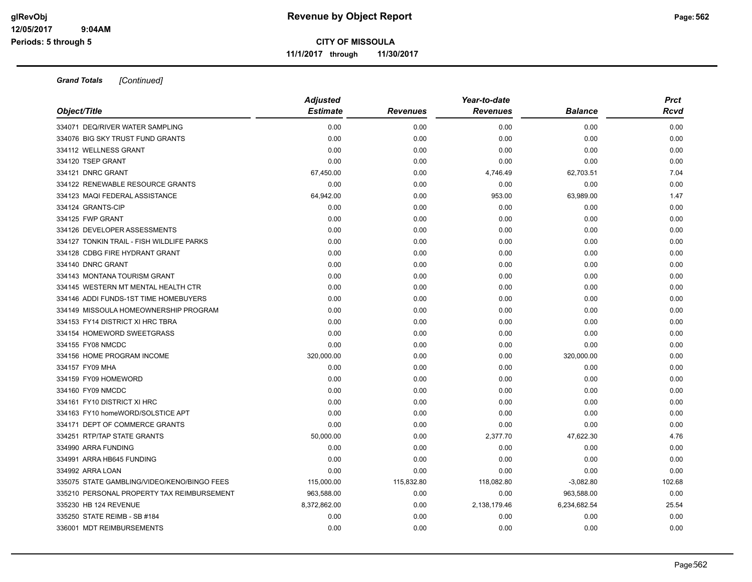**11/1/2017 through 11/30/2017**

|                                             | <b>Adjusted</b> |                 | Year-to-date    |                |        |  |
|---------------------------------------------|-----------------|-----------------|-----------------|----------------|--------|--|
| Object/Title                                | <b>Estimate</b> | <b>Revenues</b> | <b>Revenues</b> | <b>Balance</b> | Rcvd   |  |
| 334071 DEQ/RIVER WATER SAMPLING             | 0.00            | 0.00            | 0.00            | 0.00           | 0.00   |  |
| 334076 BIG SKY TRUST FUND GRANTS            | 0.00            | 0.00            | 0.00            | 0.00           | 0.00   |  |
| 334112 WELLNESS GRANT                       | 0.00            | 0.00            | 0.00            | 0.00           | 0.00   |  |
| 334120 TSEP GRANT                           | 0.00            | 0.00            | 0.00            | 0.00           | 0.00   |  |
| 334121 DNRC GRANT                           | 67,450.00       | 0.00            | 4,746.49        | 62,703.51      | 7.04   |  |
| 334122 RENEWABLE RESOURCE GRANTS            | 0.00            | 0.00            | 0.00            | 0.00           | 0.00   |  |
| 334123 MAQI FEDERAL ASSISTANCE              | 64,942.00       | 0.00            | 953.00          | 63,989.00      | 1.47   |  |
| 334124 GRANTS-CIP                           | 0.00            | 0.00            | 0.00            | 0.00           | 0.00   |  |
| 334125 FWP GRANT                            | 0.00            | 0.00            | 0.00            | 0.00           | 0.00   |  |
| 334126 DEVELOPER ASSESSMENTS                | 0.00            | 0.00            | 0.00            | 0.00           | 0.00   |  |
| 334127 TONKIN TRAIL - FISH WILDLIFE PARKS   | 0.00            | 0.00            | 0.00            | 0.00           | 0.00   |  |
| 334128 CDBG FIRE HYDRANT GRANT              | 0.00            | 0.00            | 0.00            | 0.00           | 0.00   |  |
| 334140 DNRC GRANT                           | 0.00            | 0.00            | 0.00            | 0.00           | 0.00   |  |
| 334143 MONTANA TOURISM GRANT                | 0.00            | 0.00            | 0.00            | 0.00           | 0.00   |  |
| 334145 WESTERN MT MENTAL HEALTH CTR         | 0.00            | 0.00            | 0.00            | 0.00           | 0.00   |  |
| 334146 ADDI FUNDS-1ST TIME HOMEBUYERS       | 0.00            | 0.00            | 0.00            | 0.00           | 0.00   |  |
| 334149 MISSOULA HOMEOWNERSHIP PROGRAM       | 0.00            | 0.00            | 0.00            | 0.00           | 0.00   |  |
| 334153 FY14 DISTRICT XI HRC TBRA            | 0.00            | 0.00            | 0.00            | 0.00           | 0.00   |  |
| 334154 HOMEWORD SWEETGRASS                  | 0.00            | 0.00            | 0.00            | 0.00           | 0.00   |  |
| 334155 FY08 NMCDC                           | 0.00            | 0.00            | 0.00            | 0.00           | 0.00   |  |
| 334156 HOME PROGRAM INCOME                  | 320,000.00      | 0.00            | 0.00            | 320,000.00     | 0.00   |  |
| 334157 FY09 MHA                             | 0.00            | 0.00            | 0.00            | 0.00           | 0.00   |  |
| 334159 FY09 HOMEWORD                        | 0.00            | 0.00            | 0.00            | 0.00           | 0.00   |  |
| 334160 FY09 NMCDC                           | 0.00            | 0.00            | 0.00            | 0.00           | 0.00   |  |
| 334161 FY10 DISTRICT XI HRC                 | 0.00            | 0.00            | 0.00            | 0.00           | 0.00   |  |
| 334163 FY10 homeWORD/SOLSTICE APT           | 0.00            | 0.00            | 0.00            | 0.00           | 0.00   |  |
| 334171 DEPT OF COMMERCE GRANTS              | 0.00            | 0.00            | 0.00            | 0.00           | 0.00   |  |
| 334251 RTP/TAP STATE GRANTS                 | 50,000.00       | 0.00            | 2,377.70        | 47,622.30      | 4.76   |  |
| 334990 ARRA FUNDING                         | 0.00            | 0.00            | 0.00            | 0.00           | 0.00   |  |
| 334991 ARRA HB645 FUNDING                   | 0.00            | 0.00            | 0.00            | 0.00           | 0.00   |  |
| 334992 ARRA LOAN                            | 0.00            | 0.00            | 0.00            | 0.00           | 0.00   |  |
| 335075 STATE GAMBLING/VIDEO/KENO/BINGO FEES | 115,000.00      | 115,832.80      | 118,082.80      | $-3,082.80$    | 102.68 |  |
| 335210 PERSONAL PROPERTY TAX REIMBURSEMENT  | 963,588.00      | 0.00            | 0.00            | 963,588.00     | 0.00   |  |
| 335230 HB 124 REVENUE                       | 8,372,862.00    | 0.00            | 2,138,179.46    | 6,234,682.54   | 25.54  |  |
| 335250 STATE REIMB - SB #184                | 0.00            | 0.00            | 0.00            | 0.00           | 0.00   |  |
| 336001 MDT REIMBURSEMENTS                   | 0.00            | 0.00            | 0.00            | 0.00           | 0.00   |  |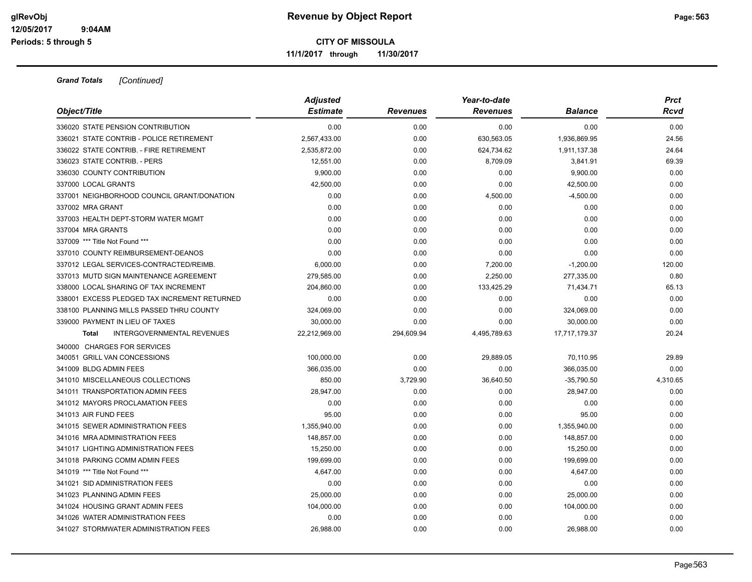**11/1/2017 through 11/30/2017**

| Object/Title                                      | <b>Adjusted</b><br><b>Estimate</b> | <b>Revenues</b> | Year-to-date<br><b>Revenues</b> | <b>Balance</b> | <b>Prct</b><br>Rcvd |
|---------------------------------------------------|------------------------------------|-----------------|---------------------------------|----------------|---------------------|
| 336020 STATE PENSION CONTRIBUTION                 | 0.00                               | 0.00            | 0.00                            | 0.00           | 0.00                |
| 336021 STATE CONTRIB - POLICE RETIREMENT          | 2,567,433.00                       | 0.00            | 630,563.05                      | 1,936,869.95   | 24.56               |
| 336022 STATE CONTRIB. - FIRE RETIREMENT           | 2,535,872.00                       | 0.00            | 624,734.62                      | 1,911,137.38   | 24.64               |
| 336023 STATE CONTRIB. - PERS                      | 12,551.00                          | 0.00            | 8,709.09                        | 3,841.91       | 69.39               |
| 336030 COUNTY CONTRIBUTION                        | 9,900.00                           | 0.00            | 0.00                            | 9,900.00       | 0.00                |
| 337000 LOCAL GRANTS                               | 42,500.00                          | 0.00            | 0.00                            | 42,500.00      | 0.00                |
| 337001 NEIGHBORHOOD COUNCIL GRANT/DONATION        | 0.00                               | 0.00            | 4,500.00                        | $-4,500.00$    | 0.00                |
| 337002 MRA GRANT                                  | 0.00                               | 0.00            | 0.00                            | 0.00           | 0.00                |
| 337003 HEALTH DEPT-STORM WATER MGMT               | 0.00                               | 0.00            | 0.00                            | 0.00           | 0.00                |
| 337004 MRA GRANTS                                 | 0.00                               | 0.00            | 0.00                            | 0.00           | 0.00                |
| 337009 *** Title Not Found ***                    | 0.00                               | 0.00            | 0.00                            | 0.00           | 0.00                |
| 337010 COUNTY REIMBURSEMENT-DEANOS                | 0.00                               | 0.00            | 0.00                            | 0.00           | 0.00                |
| 337012 LEGAL SERVICES-CONTRACTED/REIMB.           | 6,000.00                           | 0.00            | 7,200.00                        | $-1,200.00$    | 120.00              |
| 337013 MUTD SIGN MAINTENANCE AGREEMENT            | 279,585.00                         | 0.00            | 2,250.00                        | 277,335.00     | 0.80                |
| 338000 LOCAL SHARING OF TAX INCREMENT             | 204,860.00                         | 0.00            | 133,425.29                      | 71,434.71      | 65.13               |
| 338001 EXCESS PLEDGED TAX INCREMENT RETURNED      | 0.00                               | 0.00            | 0.00                            | 0.00           | 0.00                |
| 338100 PLANNING MILLS PASSED THRU COUNTY          | 324,069.00                         | 0.00            | 0.00                            | 324,069.00     | 0.00                |
| 339000 PAYMENT IN LIEU OF TAXES                   | 30,000.00                          | 0.00            | 0.00                            | 30,000.00      | 0.00                |
| <b>INTERGOVERNMENTAL REVENUES</b><br><b>Total</b> | 22,212,969.00                      | 294,609.94      | 4,495,789.63                    | 17,717,179.37  | 20.24               |
| 340000 CHARGES FOR SERVICES                       |                                    |                 |                                 |                |                     |
| 340051 GRILL VAN CONCESSIONS                      | 100,000.00                         | 0.00            | 29,889.05                       | 70,110.95      | 29.89               |
| 341009 BLDG ADMIN FEES                            | 366,035.00                         | 0.00            | 0.00                            | 366,035.00     | 0.00                |
| 341010 MISCELLANEOUS COLLECTIONS                  | 850.00                             | 3,729.90        | 36,640.50                       | $-35,790.50$   | 4,310.65            |
| 341011 TRANSPORTATION ADMIN FEES                  | 28,947.00                          | 0.00            | 0.00                            | 28,947.00      | 0.00                |
| 341012 MAYORS PROCLAMATION FEES                   | 0.00                               | 0.00            | 0.00                            | 0.00           | 0.00                |
| 341013 AIR FUND FEES                              | 95.00                              | 0.00            | 0.00                            | 95.00          | 0.00                |
| 341015 SEWER ADMINISTRATION FEES                  | 1,355,940.00                       | 0.00            | 0.00                            | 1,355,940.00   | 0.00                |
| 341016 MRA ADMINISTRATION FEES                    | 148,857.00                         | 0.00            | 0.00                            | 148,857.00     | 0.00                |
| 341017 LIGHTING ADMINISTRATION FEES               | 15,250.00                          | 0.00            | 0.00                            | 15,250.00      | 0.00                |
| 341018 PARKING COMM ADMIN FEES                    | 199,699.00                         | 0.00            | 0.00                            | 199,699.00     | 0.00                |
| 341019 *** Title Not Found ***                    | 4,647.00                           | 0.00            | 0.00                            | 4,647.00       | 0.00                |
| 341021 SID ADMINISTRATION FEES                    | 0.00                               | 0.00            | 0.00                            | 0.00           | 0.00                |
| 341023 PLANNING ADMIN FEES                        | 25,000.00                          | 0.00            | 0.00                            | 25,000.00      | 0.00                |
| 341024 HOUSING GRANT ADMIN FEES                   | 104,000.00                         | 0.00            | 0.00                            | 104,000.00     | 0.00                |
| 341026 WATER ADMINISTRATION FEES                  | 0.00                               | 0.00            | 0.00                            | 0.00           | 0.00                |
| 341027 STORMWATER ADMINISTRATION FEES             | 26.988.00                          | 0.00            | 0.00                            | 26.988.00      | 0.00                |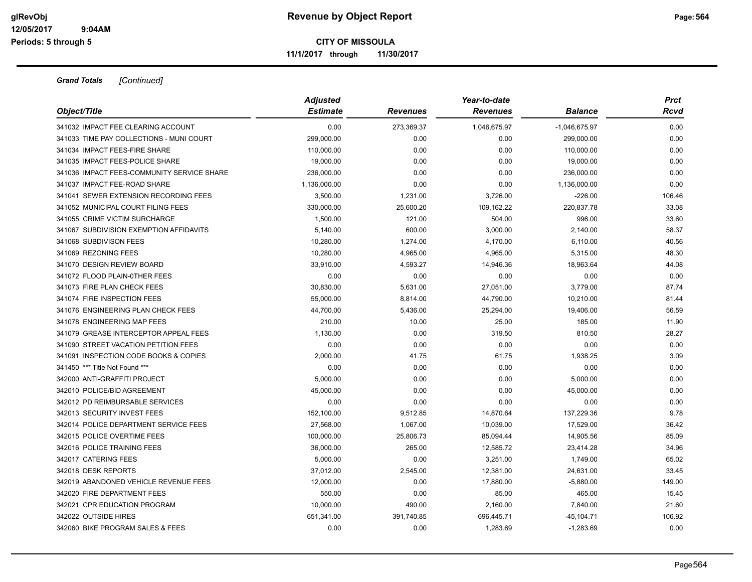**11/1/2017 through 11/30/2017**

|                                            | <b>Adjusted</b> |                 | Year-to-date    |                 | <b>Prct</b> |
|--------------------------------------------|-----------------|-----------------|-----------------|-----------------|-------------|
| Object/Title                               | <b>Estimate</b> | <b>Revenues</b> | <b>Revenues</b> | <b>Balance</b>  | Rcvd        |
| 341032 IMPACT FEE CLEARING ACCOUNT         | 0.00            | 273,369.37      | 1,046,675.97    | $-1,046,675.97$ | 0.00        |
| 341033 TIME PAY COLLECTIONS - MUNI COURT   | 299,000.00      | 0.00            | 0.00            | 299,000.00      | 0.00        |
| 341034 IMPACT FEES-FIRE SHARE              | 110,000.00      | 0.00            | 0.00            | 110,000.00      | 0.00        |
| 341035 IMPACT FEES-POLICE SHARE            | 19,000.00       | 0.00            | 0.00            | 19,000.00       | 0.00        |
| 341036 IMPACT FEES-COMMUNITY SERVICE SHARE | 236,000.00      | 0.00            | 0.00            | 236,000.00      | 0.00        |
| 341037 IMPACT FEE-ROAD SHARE               | 1,136,000.00    | 0.00            | 0.00            | 1,136,000.00    | 0.00        |
| 341041 SEWER EXTENSION RECORDING FEES      | 3,500.00        | 1,231.00        | 3,726.00        | $-226.00$       | 106.46      |
| 341052 MUNICIPAL COURT FILING FEES         | 330,000.00      | 25,600.20       | 109,162.22      | 220,837.78      | 33.08       |
| 341055 CRIME VICTIM SURCHARGE              | 1,500.00        | 121.00          | 504.00          | 996.00          | 33.60       |
| 341067 SUBDIVISION EXEMPTION AFFIDAVITS    | 5,140.00        | 600.00          | 3,000.00        | 2,140.00        | 58.37       |
| 341068 SUBDIVISON FEES                     | 10,280.00       | 1,274.00        | 4,170.00        | 6,110.00        | 40.56       |
| 341069 REZONING FEES                       | 10,280.00       | 4,965.00        | 4,965.00        | 5,315.00        | 48.30       |
| 341070 DESIGN REVIEW BOARD                 | 33,910.00       | 4,593.27        | 14,946.36       | 18,963.64       | 44.08       |
| 341072 FLOOD PLAIN-0THER FEES              | 0.00            | 0.00            | 0.00            | 0.00            | 0.00        |
| 341073 FIRE PLAN CHECK FEES                | 30,830.00       | 5,631.00        | 27,051.00       | 3,779.00        | 87.74       |
| 341074 FIRE INSPECTION FEES                | 55,000.00       | 8,814.00        | 44,790.00       | 10,210.00       | 81.44       |
| 341076 ENGINEERING PLAN CHECK FEES         | 44,700.00       | 5,436.00        | 25,294.00       | 19,406.00       | 56.59       |
| 341078 ENGINEERING MAP FEES                | 210.00          | 10.00           | 25.00           | 185.00          | 11.90       |
| 341079 GREASE INTERCEPTOR APPEAL FEES      | 1,130.00        | 0.00            | 319.50          | 810.50          | 28.27       |
| 341090 STREET VACATION PETITION FEES       | 0.00            | 0.00            | 0.00            | 0.00            | 0.00        |
| 341091 INSPECTION CODE BOOKS & COPIES      | 2,000.00        | 41.75           | 61.75           | 1,938.25        | 3.09        |
| 341450 *** Title Not Found ***             | 0.00            | 0.00            | 0.00            | 0.00            | 0.00        |
| 342000 ANTI-GRAFFITI PROJECT               | 5,000.00        | 0.00            | 0.00            | 5,000.00        | 0.00        |
| 342010 POLICE/BID AGREEMENT                | 45,000.00       | 0.00            | 0.00            | 45,000.00       | 0.00        |
| 342012 PD REIMBURSABLE SERVICES            | 0.00            | 0.00            | 0.00            | 0.00            | 0.00        |
| 342013 SECURITY INVEST FEES                | 152,100.00      | 9,512.85        | 14,870.64       | 137,229.36      | 9.78        |
| 342014 POLICE DEPARTMENT SERVICE FEES      | 27,568.00       | 1,067.00        | 10,039.00       | 17,529.00       | 36.42       |
| 342015 POLICE OVERTIME FEES                | 100,000.00      | 25,806.73       | 85,094.44       | 14,905.56       | 85.09       |
| 342016 POLICE TRAINING FEES                | 36,000.00       | 265.00          | 12,585.72       | 23,414.28       | 34.96       |
| 342017 CATERING FEES                       | 5,000.00        | 0.00            | 3,251.00        | 1,749.00        | 65.02       |
| 342018 DESK REPORTS                        | 37,012.00       | 2,545.00        | 12,381.00       | 24,631.00       | 33.45       |
| 342019 ABANDONED VEHICLE REVENUE FEES      | 12,000.00       | 0.00            | 17,880.00       | $-5,880.00$     | 149.00      |
| 342020 FIRE DEPARTMENT FEES                | 550.00          | 0.00            | 85.00           | 465.00          | 15.45       |
| 342021 CPR EDUCATION PROGRAM               | 10,000.00       | 490.00          | 2,160.00        | 7,840.00        | 21.60       |
| 342022 OUTSIDE HIRES                       | 651,341.00      | 391,740.85      | 696,445.71      | $-45, 104.71$   | 106.92      |
| 342060 BIKE PROGRAM SALES & FEES           | 0.00            | 0.00            | 1.283.69        | $-1.283.69$     | 0.00        |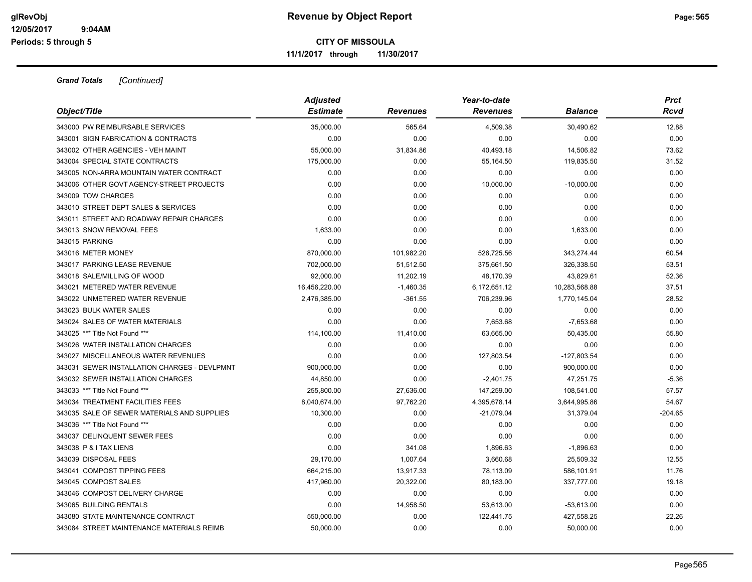**11/1/2017 through 11/30/2017**

| Object/Title                                 | <b>Adjusted</b> |                 | Year-to-date    |                | <b>Prct</b> |
|----------------------------------------------|-----------------|-----------------|-----------------|----------------|-------------|
|                                              | <b>Estimate</b> | <b>Revenues</b> | <b>Revenues</b> | <b>Balance</b> | Rcvd        |
| 343000 PW REIMBURSABLE SERVICES              | 35,000.00       | 565.64          | 4,509.38        | 30,490.62      | 12.88       |
| 343001 SIGN FABRICATION & CONTRACTS          | 0.00            | 0.00            | 0.00            | 0.00           | 0.00        |
| 343002 OTHER AGENCIES - VEH MAINT            | 55,000.00       | 31,834.86       | 40,493.18       | 14,506.82      | 73.62       |
| 343004 SPECIAL STATE CONTRACTS               | 175,000.00      | 0.00            | 55,164.50       | 119,835.50     | 31.52       |
| 343005 NON-ARRA MOUNTAIN WATER CONTRACT      | 0.00            | 0.00            | 0.00            | 0.00           | 0.00        |
| 343006 OTHER GOVT AGENCY-STREET PROJECTS     | 0.00            | 0.00            | 10,000.00       | $-10,000.00$   | 0.00        |
| 343009 TOW CHARGES                           | 0.00            | 0.00            | 0.00            | 0.00           | 0.00        |
| 343010 STREET DEPT SALES & SERVICES          | 0.00            | 0.00            | 0.00            | 0.00           | 0.00        |
| 343011 STREET AND ROADWAY REPAIR CHARGES     | 0.00            | 0.00            | 0.00            | 0.00           | 0.00        |
| 343013 SNOW REMOVAL FEES                     | 1,633.00        | 0.00            | 0.00            | 1,633.00       | 0.00        |
| 343015 PARKING                               | 0.00            | 0.00            | 0.00            | 0.00           | 0.00        |
| 343016 METER MONEY                           | 870,000.00      | 101,982.20      | 526,725.56      | 343,274.44     | 60.54       |
| 343017 PARKING LEASE REVENUE                 | 702,000.00      | 51,512.50       | 375,661.50      | 326,338.50     | 53.51       |
| 343018 SALE/MILLING OF WOOD                  | 92,000.00       | 11,202.19       | 48,170.39       | 43,829.61      | 52.36       |
| 343021 METERED WATER REVENUE                 | 16,456,220.00   | $-1,460.35$     | 6,172,651.12    | 10,283,568.88  | 37.51       |
| 343022 UNMETERED WATER REVENUE               | 2,476,385.00    | $-361.55$       | 706,239.96      | 1,770,145.04   | 28.52       |
| 343023 BULK WATER SALES                      | 0.00            | 0.00            | 0.00            | 0.00           | 0.00        |
| 343024 SALES OF WATER MATERIALS              | 0.00            | 0.00            | 7,653.68        | $-7,653.68$    | 0.00        |
| 343025 *** Title Not Found ***               | 114,100.00      | 11,410.00       | 63,665.00       | 50,435.00      | 55.80       |
| 343026 WATER INSTALLATION CHARGES            | 0.00            | 0.00            | 0.00            | 0.00           | 0.00        |
| 343027 MISCELLANEOUS WATER REVENUES          | 0.00            | 0.00            | 127,803.54      | -127,803.54    | 0.00        |
| 343031 SEWER INSTALLATION CHARGES - DEVLPMNT | 900,000.00      | 0.00            | 0.00            | 900,000.00     | 0.00        |
| 343032 SEWER INSTALLATION CHARGES            | 44,850.00       | 0.00            | $-2,401.75$     | 47,251.75      | $-5.36$     |
| 343033 *** Title Not Found ***               | 255,800.00      | 27,636.00       | 147,259.00      | 108,541.00     | 57.57       |
| 343034 TREATMENT FACILITIES FEES             | 8,040,674.00    | 97,762.20       | 4,395,678.14    | 3,644,995.86   | 54.67       |
| 343035 SALE OF SEWER MATERIALS AND SUPPLIES  | 10,300.00       | 0.00            | $-21,079.04$    | 31,379.04      | $-204.65$   |
| 343036 *** Title Not Found ***               | 0.00            | 0.00            | 0.00            | 0.00           | 0.00        |
| 343037 DELINQUENT SEWER FEES                 | 0.00            | 0.00            | 0.00            | 0.00           | 0.00        |
| 343038 P & I TAX LIENS                       | 0.00            | 341.08          | 1,896.63        | $-1,896.63$    | 0.00        |
| 343039 DISPOSAL FEES                         | 29,170.00       | 1,007.64        | 3,660.68        | 25,509.32      | 12.55       |
| 343041 COMPOST TIPPING FEES                  | 664,215.00      | 13,917.33       | 78,113.09       | 586,101.91     | 11.76       |
| 343045 COMPOST SALES                         | 417,960.00      | 20,322.00       | 80,183.00       | 337,777.00     | 19.18       |
| 343046 COMPOST DELIVERY CHARGE               | 0.00            | 0.00            | 0.00            | 0.00           | 0.00        |
| 343065 BUILDING RENTALS                      | 0.00            | 14,958.50       | 53,613.00       | $-53,613.00$   | 0.00        |
| 343080 STATE MAINTENANCE CONTRACT            | 550,000.00      | 0.00            | 122,441.75      | 427,558.25     | 22.26       |
| 343084 STREET MAINTENANCE MATERIALS REIMB    | 50.000.00       | 0.00            | 0.00            | 50.000.00      | 0.00        |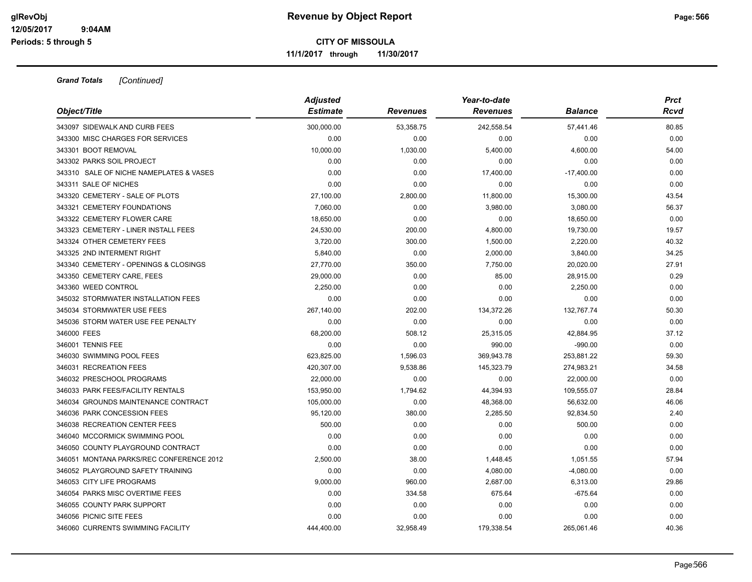**11/1/2017 through 11/30/2017**

| Object/Title                             | <b>Adjusted</b><br><b>Estimate</b> | <b>Revenues</b> | Year-to-date<br><b>Revenues</b> | <b>Balance</b> | <b>Prct</b><br>Rcvd |
|------------------------------------------|------------------------------------|-----------------|---------------------------------|----------------|---------------------|
| 343097 SIDEWALK AND CURB FEES            | 300,000.00                         | 53,358.75       | 242,558.54                      | 57,441.46      | 80.85               |
| 343300 MISC CHARGES FOR SERVICES         | 0.00                               | 0.00            | 0.00                            | 0.00           | 0.00                |
| 343301 BOOT REMOVAL                      | 10,000.00                          | 1,030.00        | 5,400.00                        | 4,600.00       | 54.00               |
| 343302 PARKS SOIL PROJECT                | 0.00                               | 0.00            | 0.00                            | 0.00           | 0.00                |
| 343310 SALE OF NICHE NAMEPLATES & VASES  | 0.00                               | 0.00            | 17,400.00                       | $-17,400.00$   | 0.00                |
| 343311 SALE OF NICHES                    | 0.00                               | 0.00            | 0.00                            | 0.00           | 0.00                |
| 343320 CEMETERY - SALE OF PLOTS          | 27,100.00                          | 2,800.00        | 11,800.00                       | 15,300.00      | 43.54               |
| 343321 CEMETERY FOUNDATIONS              | 7,060.00                           | 0.00            | 3,980.00                        | 3,080.00       | 56.37               |
| 343322 CEMETERY FLOWER CARE              | 18,650.00                          | 0.00            | 0.00                            | 18,650.00      | 0.00                |
| 343323 CEMETERY - LINER INSTALL FEES     | 24,530.00                          | 200.00          | 4,800.00                        | 19,730.00      | 19.57               |
| 343324 OTHER CEMETERY FEES               | 3,720.00                           | 300.00          | 1,500.00                        | 2,220.00       | 40.32               |
| 343325 2ND INTERMENT RIGHT               | 5,840.00                           | 0.00            | 2,000.00                        | 3,840.00       | 34.25               |
| 343340 CEMETERY - OPENINGS & CLOSINGS    | 27,770.00                          | 350.00          | 7,750.00                        | 20,020.00      | 27.91               |
| 343350 CEMETERY CARE, FEES               | 29,000.00                          | 0.00            | 85.00                           | 28,915.00      | 0.29                |
| 343360 WEED CONTROL                      | 2,250.00                           | 0.00            | 0.00                            | 2,250.00       | 0.00                |
| 345032 STORMWATER INSTALLATION FEES      | 0.00                               | 0.00            | 0.00                            | 0.00           | 0.00                |
| 345034 STORMWATER USE FEES               | 267,140.00                         | 202.00          | 134,372.26                      | 132,767.74     | 50.30               |
| 345036 STORM WATER USE FEE PENALTY       | 0.00                               | 0.00            | 0.00                            | 0.00           | 0.00                |
| 346000 FEES                              | 68,200.00                          | 508.12          | 25,315.05                       | 42,884.95      | 37.12               |
| 346001 TENNIS FEE                        | 0.00                               | 0.00            | 990.00                          | $-990.00$      | 0.00                |
| 346030 SWIMMING POOL FEES                | 623,825.00                         | 1,596.03        | 369,943.78                      | 253,881.22     | 59.30               |
| 346031 RECREATION FEES                   | 420,307.00                         | 9,538.86        | 145,323.79                      | 274,983.21     | 34.58               |
| 346032 PRESCHOOL PROGRAMS                | 22,000.00                          | 0.00            | 0.00                            | 22,000.00      | 0.00                |
| 346033 PARK FEES/FACILITY RENTALS        | 153,950.00                         | 1,794.62        | 44,394.93                       | 109,555.07     | 28.84               |
| 346034 GROUNDS MAINTENANCE CONTRACT      | 105,000.00                         | 0.00            | 48,368.00                       | 56,632.00      | 46.06               |
| 346036 PARK CONCESSION FEES              | 95,120.00                          | 380.00          | 2,285.50                        | 92,834.50      | 2.40                |
| 346038 RECREATION CENTER FEES            | 500.00                             | 0.00            | 0.00                            | 500.00         | 0.00                |
| 346040 MCCORMICK SWIMMING POOL           | 0.00                               | 0.00            | 0.00                            | 0.00           | 0.00                |
| 346050 COUNTY PLAYGROUND CONTRACT        | 0.00                               | 0.00            | 0.00                            | 0.00           | 0.00                |
| 346051 MONTANA PARKS/REC CONFERENCE 2012 | 2,500.00                           | 38.00           | 1,448.45                        | 1,051.55       | 57.94               |
| 346052 PLAYGROUND SAFETY TRAINING        | 0.00                               | 0.00            | 4,080.00                        | $-4,080.00$    | 0.00                |
| 346053 CITY LIFE PROGRAMS                | 9,000.00                           | 960.00          | 2,687.00                        | 6,313.00       | 29.86               |
| 346054 PARKS MISC OVERTIME FEES          | 0.00                               | 334.58          | 675.64                          | $-675.64$      | 0.00                |
| 346055 COUNTY PARK SUPPORT               | 0.00                               | 0.00            | 0.00                            | 0.00           | 0.00                |
| 346056 PICNIC SITE FEES                  | 0.00                               | 0.00            | 0.00                            | 0.00           | 0.00                |
| 346060 CURRENTS SWIMMING FACILITY        | 444.400.00                         | 32.958.49       | 179.338.54                      | 265.061.46     | 40.36               |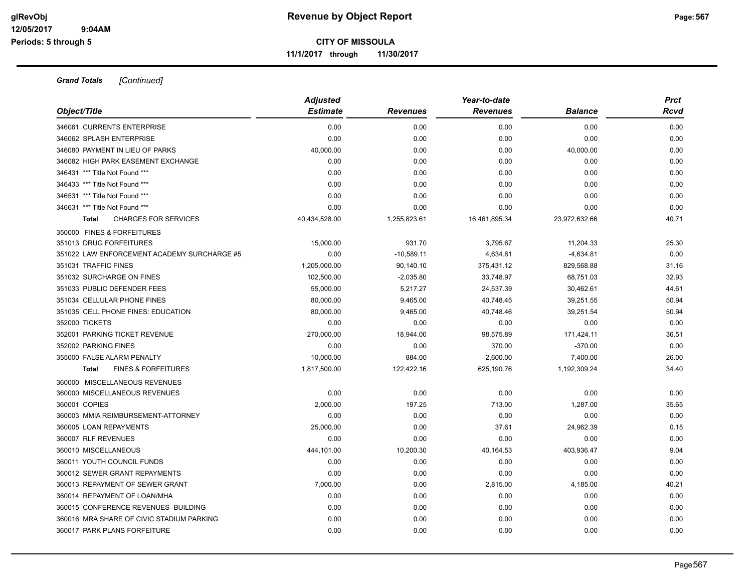**11/1/2017 through 11/30/2017**

|                                                | <b>Adjusted</b> |                 | Year-to-date    |                | <b>Prct</b> |
|------------------------------------------------|-----------------|-----------------|-----------------|----------------|-------------|
| Object/Title                                   | <b>Estimate</b> | <b>Revenues</b> | <b>Revenues</b> | <b>Balance</b> | Rcvd        |
| 346061 CURRENTS ENTERPRISE                     | 0.00            | 0.00            | 0.00            | 0.00           | 0.00        |
| 346062 SPLASH ENTERPRISE                       | 0.00            | 0.00            | 0.00            | 0.00           | 0.00        |
| 346080 PAYMENT IN LIEU OF PARKS                | 40,000.00       | 0.00            | 0.00            | 40,000.00      | 0.00        |
| 346082 HIGH PARK EASEMENT EXCHANGE             | 0.00            | 0.00            | 0.00            | 0.00           | 0.00        |
| 346431 *** Title Not Found ***                 | 0.00            | 0.00            | 0.00            | 0.00           | 0.00        |
| 346433 *** Title Not Found ***                 | 0.00            | 0.00            | 0.00            | 0.00           | 0.00        |
| 346531 *** Title Not Found ***                 | 0.00            | 0.00            | 0.00            | 0.00           | 0.00        |
| 346631 *** Title Not Found ***                 | 0.00            | 0.00            | 0.00            | 0.00           | 0.00        |
| <b>CHARGES FOR SERVICES</b><br><b>Total</b>    | 40,434,528.00   | 1,255,823.61    | 16,461,895.34   | 23,972,632.66  | 40.71       |
| 350000 FINES & FORFEITURES                     |                 |                 |                 |                |             |
| 351013 DRUG FORFEITURES                        | 15,000.00       | 931.70          | 3,795.67        | 11,204.33      | 25.30       |
| 351022 LAW ENFORCEMENT ACADEMY SURCHARGE #5    | 0.00            | $-10,589.11$    | 4,634.81        | $-4,634.81$    | 0.00        |
| 351031 TRAFFIC FINES                           | 1,205,000.00    | 90,140.10       | 375,431.12      | 829,568.88     | 31.16       |
| 351032 SURCHARGE ON FINES                      | 102,500.00      | $-2,035.80$     | 33,748.97       | 68,751.03      | 32.93       |
| 351033 PUBLIC DEFENDER FEES                    | 55,000.00       | 5,217.27        | 24,537.39       | 30,462.61      | 44.61       |
| 351034 CELLULAR PHONE FINES                    | 80,000.00       | 9,465.00        | 40,748.45       | 39,251.55      | 50.94       |
| 351035 CELL PHONE FINES: EDUCATION             | 80,000.00       | 9,465.00        | 40,748.46       | 39,251.54      | 50.94       |
| 352000 TICKETS                                 | 0.00            | 0.00            | 0.00            | 0.00           | 0.00        |
| 352001 PARKING TICKET REVENUE                  | 270,000.00      | 18,944.00       | 98,575.89       | 171,424.11     | 36.51       |
| 352002 PARKING FINES                           | 0.00            | 0.00            | 370.00          | $-370.00$      | 0.00        |
| 355000 FALSE ALARM PENALTY                     | 10,000.00       | 884.00          | 2,600.00        | 7,400.00       | 26.00       |
| <b>FINES &amp; FORFEITURES</b><br><b>Total</b> | 1,817,500.00    | 122,422.16      | 625,190.76      | 1,192,309.24   | 34.40       |
| 360000 MISCELLANEOUS REVENUES                  |                 |                 |                 |                |             |
| 360000 MISCELLANEOUS REVENUES                  | 0.00            | 0.00            | 0.00            | 0.00           | 0.00        |
| 360001 COPIES                                  | 2,000.00        | 197.25          | 713.00          | 1,287.00       | 35.65       |
| 360003 MMIA REIMBURSEMENT-ATTORNEY             | 0.00            | 0.00            | 0.00            | 0.00           | 0.00        |
| 360005 LOAN REPAYMENTS                         | 25,000.00       | 0.00            | 37.61           | 24,962.39      | 0.15        |
| 360007 RLF REVENUES                            | 0.00            | 0.00            | 0.00            | 0.00           | 0.00        |
| 360010 MISCELLANEOUS                           | 444,101.00      | 10,200.30       | 40,164.53       | 403,936.47     | 9.04        |
| 360011 YOUTH COUNCIL FUNDS                     | 0.00            | 0.00            | 0.00            | 0.00           | 0.00        |
| 360012 SEWER GRANT REPAYMENTS                  | 0.00            | 0.00            | 0.00            | 0.00           | 0.00        |
| 360013 REPAYMENT OF SEWER GRANT                | 7,000.00        | 0.00            | 2,815.00        | 4,185.00       | 40.21       |
| 360014 REPAYMENT OF LOAN/MHA                   | 0.00            | 0.00            | 0.00            | 0.00           | 0.00        |
| 360015 CONFERENCE REVENUES - BUILDING          | 0.00            | 0.00            | 0.00            | 0.00           | 0.00        |
| 360016 MRA SHARE OF CIVIC STADIUM PARKING      | 0.00            | 0.00            | 0.00            | 0.00           | 0.00        |
| 360017 PARK PLANS FORFEITURE                   | 0.00            | 0.00            | 0.00            | 0.00           | 0.00        |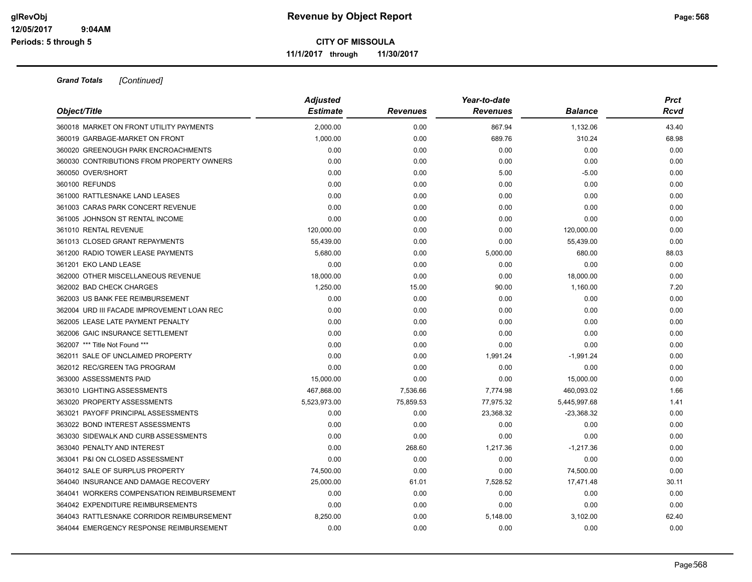**11/1/2017 through 11/30/2017**

| Object/Title                               | <b>Adjusted</b><br><b>Estimate</b> | <b>Revenues</b> | Year-to-date<br><b>Revenues</b> | <b>Balance</b> | <b>Prct</b><br>Rcvd |
|--------------------------------------------|------------------------------------|-----------------|---------------------------------|----------------|---------------------|
| 360018 MARKET ON FRONT UTILITY PAYMENTS    | 2,000.00                           | 0.00            | 867.94                          | 1,132.06       | 43.40               |
| 360019 GARBAGE-MARKET ON FRONT             | 1,000.00                           | 0.00            | 689.76                          | 310.24         | 68.98               |
| 360020 GREENOUGH PARK ENCROACHMENTS        | 0.00                               | 0.00            | 0.00                            | 0.00           | 0.00                |
| 360030 CONTRIBUTIONS FROM PROPERTY OWNERS  | 0.00                               | 0.00            | 0.00                            | 0.00           | 0.00                |
| 360050 OVER/SHORT                          | 0.00                               | 0.00            | 5.00                            | $-5.00$        | 0.00                |
|                                            |                                    |                 |                                 |                |                     |
| 360100 REFUNDS                             | 0.00                               | 0.00            | 0.00                            | 0.00           | 0.00                |
| 361000 RATTLESNAKE LAND LEASES             | 0.00                               | 0.00            | 0.00                            | 0.00           | 0.00                |
| 361003 CARAS PARK CONCERT REVENUE          | 0.00                               | 0.00            | 0.00                            | 0.00           | 0.00                |
| 361005 JOHNSON ST RENTAL INCOME            | 0.00                               | 0.00            | 0.00                            | 0.00           | 0.00                |
| 361010 RENTAL REVENUE                      | 120,000.00                         | 0.00            | 0.00                            | 120,000.00     | 0.00                |
| 361013 CLOSED GRANT REPAYMENTS             | 55.439.00                          | 0.00            | 0.00                            | 55,439.00      | 0.00                |
| 361200 RADIO TOWER LEASE PAYMENTS          | 5,680.00                           | 0.00            | 5,000.00                        | 680.00         | 88.03               |
| 361201 EKO LAND LEASE                      | 0.00                               | 0.00            | 0.00                            | 0.00           | 0.00                |
| 362000 OTHER MISCELLANEOUS REVENUE         | 18,000.00                          | 0.00            | 0.00                            | 18,000.00      | 0.00                |
| 362002 BAD CHECK CHARGES                   | 1,250.00                           | 15.00           | 90.00                           | 1,160.00       | 7.20                |
| 362003 US BANK FEE REIMBURSEMENT           | 0.00                               | 0.00            | 0.00                            | 0.00           | 0.00                |
| 362004 URD III FACADE IMPROVEMENT LOAN REC | 0.00                               | 0.00            | 0.00                            | 0.00           | 0.00                |
| 362005 LEASE LATE PAYMENT PENALTY          | 0.00                               | 0.00            | 0.00                            | 0.00           | 0.00                |
| 362006 GAIC INSURANCE SETTLEMENT           | 0.00                               | 0.00            | 0.00                            | 0.00           | 0.00                |
| 362007 *** Title Not Found ***             | 0.00                               | 0.00            | 0.00                            | 0.00           | 0.00                |
| 362011 SALE OF UNCLAIMED PROPERTY          | 0.00                               | 0.00            | 1,991.24                        | $-1,991.24$    | 0.00                |
| 362012 REC/GREEN TAG PROGRAM               | 0.00                               | 0.00            | 0.00                            | 0.00           | 0.00                |
| 363000 ASSESSMENTS PAID                    | 15.000.00                          | 0.00            | 0.00                            | 15,000.00      | 0.00                |
| 363010 LIGHTING ASSESSMENTS                | 467,868.00                         | 7,536.66        | 7,774.98                        | 460,093.02     | 1.66                |
| 363020 PROPERTY ASSESSMENTS                | 5,523,973.00                       | 75,859.53       | 77,975.32                       | 5,445,997.68   | 1.41                |
| 363021 PAYOFF PRINCIPAL ASSESSMENTS        | 0.00                               | 0.00            | 23,368.32                       | $-23,368.32$   | 0.00                |
| 363022 BOND INTEREST ASSESSMENTS           | 0.00                               | 0.00            | 0.00                            | 0.00           | 0.00                |
| 363030 SIDEWALK AND CURB ASSESSMENTS       | 0.00                               | 0.00            | 0.00                            | 0.00           | 0.00                |
| 363040 PENALTY AND INTEREST                | 0.00                               | 268.60          | 1,217.36                        | $-1,217.36$    | 0.00                |
| 363041 P&I ON CLOSED ASSESSMENT            | 0.00                               | 0.00            | 0.00                            | 0.00           | 0.00                |
| 364012 SALE OF SURPLUS PROPERTY            | 74,500.00                          | 0.00            | 0.00                            | 74,500.00      | 0.00                |
| 364040 INSURANCE AND DAMAGE RECOVERY       | 25,000.00                          | 61.01           | 7,528.52                        | 17,471.48      | 30.11               |
| 364041 WORKERS COMPENSATION REIMBURSEMENT  | 0.00                               | 0.00            | 0.00                            | 0.00           | 0.00                |
| 364042 EXPENDITURE REIMBURSEMENTS          | 0.00                               | 0.00            | 0.00                            | 0.00           | 0.00                |
| 364043 RATTLESNAKE CORRIDOR REIMBURSEMENT  | 8,250.00                           | 0.00            | 5,148.00                        | 3,102.00       | 62.40               |
| 364044 EMERGENCY RESPONSE REIMBURSEMENT    | 0.00                               | 0.00            | 0.00                            | 0.00           | 0.00                |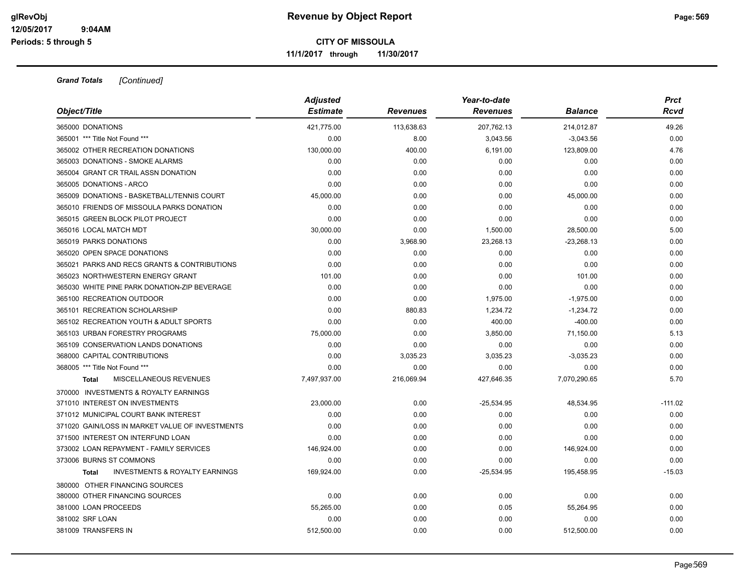**11/1/2017 through 11/30/2017**

|                                                    | <b>Adjusted</b> |                 | Year-to-date    |              | <b>Prct</b> |
|----------------------------------------------------|-----------------|-----------------|-----------------|--------------|-------------|
| Object/Title                                       | <b>Estimate</b> | <b>Revenues</b> | <b>Revenues</b> | Balance      | Rcvd        |
| 365000 DONATIONS                                   | 421,775.00      | 113,638.63      | 207,762.13      | 214,012.87   | 49.26       |
| 365001 *** Title Not Found ***                     | 0.00            | 8.00            | 3,043.56        | $-3,043.56$  | 0.00        |
| 365002 OTHER RECREATION DONATIONS                  | 130,000.00      | 400.00          | 6,191.00        | 123,809.00   | 4.76        |
| 365003 DONATIONS - SMOKE ALARMS                    | 0.00            | 0.00            | 0.00            | 0.00         | 0.00        |
| 365004 GRANT CR TRAIL ASSN DONATION                | 0.00            | 0.00            | 0.00            | 0.00         | 0.00        |
| 365005 DONATIONS - ARCO                            | 0.00            | 0.00            | 0.00            | 0.00         | 0.00        |
| 365009 DONATIONS - BASKETBALL/TENNIS COURT         | 45,000.00       | 0.00            | 0.00            | 45,000.00    | 0.00        |
| 365010 FRIENDS OF MISSOULA PARKS DONATION          | 0.00            | 0.00            | 0.00            | 0.00         | 0.00        |
| 365015 GREEN BLOCK PILOT PROJECT                   | 0.00            | 0.00            | 0.00            | 0.00         | 0.00        |
| 365016 LOCAL MATCH MDT                             | 30,000.00       | 0.00            | 1,500.00        | 28,500.00    | 5.00        |
| 365019 PARKS DONATIONS                             | 0.00            | 3,968.90        | 23,268.13       | $-23,268.13$ | 0.00        |
| 365020 OPEN SPACE DONATIONS                        | 0.00            | 0.00            | 0.00            | 0.00         | 0.00        |
| 365021 PARKS AND RECS GRANTS & CONTRIBUTIONS       | 0.00            | 0.00            | 0.00            | 0.00         | 0.00        |
| 365023 NORTHWESTERN ENERGY GRANT                   | 101.00          | 0.00            | 0.00            | 101.00       | 0.00        |
| 365030 WHITE PINE PARK DONATION-ZIP BEVERAGE       | 0.00            | 0.00            | 0.00            | 0.00         | 0.00        |
| 365100 RECREATION OUTDOOR                          | 0.00            | 0.00            | 1,975.00        | $-1,975.00$  | 0.00        |
| 365101 RECREATION SCHOLARSHIP                      | 0.00            | 880.83          | 1,234.72        | $-1,234.72$  | 0.00        |
| 365102 RECREATION YOUTH & ADULT SPORTS             | 0.00            | 0.00            | 400.00          | $-400.00$    | 0.00        |
| 365103 URBAN FORESTRY PROGRAMS                     | 75,000.00       | 0.00            | 3,850.00        | 71,150.00    | 5.13        |
| 365109 CONSERVATION LANDS DONATIONS                | 0.00            | 0.00            | 0.00            | 0.00         | 0.00        |
| 368000 CAPITAL CONTRIBUTIONS                       | 0.00            | 3,035.23        | 3,035.23        | $-3,035.23$  | 0.00        |
| 368005 *** Title Not Found ***                     | 0.00            | 0.00            | 0.00            | 0.00         | 0.00        |
| MISCELLANEOUS REVENUES<br><b>Total</b>             | 7,497,937.00    | 216,069.94      | 427,646.35      | 7,070,290.65 | 5.70        |
| 370000 INVESTMENTS & ROYALTY EARNINGS              |                 |                 |                 |              |             |
| 371010 INTEREST ON INVESTMENTS                     | 23,000.00       | 0.00            | $-25,534.95$    | 48,534.95    | $-111.02$   |
| 371012 MUNICIPAL COURT BANK INTEREST               | 0.00            | 0.00            | 0.00            | 0.00         | 0.00        |
| 371020 GAIN/LOSS IN MARKET VALUE OF INVESTMENTS    | 0.00            | 0.00            | 0.00            | 0.00         | 0.00        |
| 371500 INTEREST ON INTERFUND LOAN                  | 0.00            | 0.00            | 0.00            | 0.00         | 0.00        |
| 373002 LOAN REPAYMENT - FAMILY SERVICES            | 146,924.00      | 0.00            | 0.00            | 146,924.00   | 0.00        |
| 373006 BURNS ST COMMONS                            | 0.00            | 0.00            | 0.00            | 0.00         | 0.00        |
| <b>INVESTMENTS &amp; ROYALTY EARNINGS</b><br>Total | 169,924.00      | 0.00            | $-25,534.95$    | 195,458.95   | $-15.03$    |
| 380000 OTHER FINANCING SOURCES                     |                 |                 |                 |              |             |
| 380000 OTHER FINANCING SOURCES                     | 0.00            | 0.00            | 0.00            | 0.00         | 0.00        |
| 381000 LOAN PROCEEDS                               | 55,265.00       | 0.00            | 0.05            | 55,264.95    | 0.00        |
| 381002 SRF LOAN                                    | 0.00            | 0.00            | 0.00            | 0.00         | 0.00        |
| 381009 TRANSFERS IN                                | 512,500.00      | 0.00            | 0.00            | 512,500.00   | 0.00        |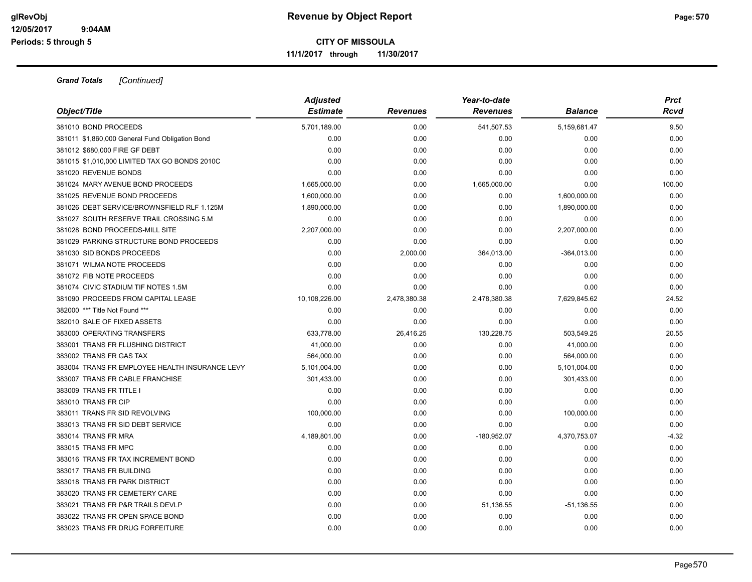**11/1/2017 through 11/30/2017**

| Object/Title                                    | <b>Adjusted</b><br><b>Estimate</b> | <b>Revenues</b> | Year-to-date<br><b>Revenues</b> | <b>Balance</b> | <b>Prct</b><br><b>Rcvd</b> |
|-------------------------------------------------|------------------------------------|-----------------|---------------------------------|----------------|----------------------------|
|                                                 |                                    |                 |                                 |                |                            |
| 381010 BOND PROCEEDS                            | 5,701,189.00                       | 0.00            | 541,507.53                      | 5,159,681.47   | 9.50                       |
| 381011 \$1,860,000 General Fund Obligation Bond | 0.00                               | 0.00            | 0.00                            | 0.00           | 0.00                       |
| 381012 \$680,000 FIRE GF DEBT                   | 0.00                               | 0.00            | 0.00                            | 0.00           | 0.00                       |
| 381015 \$1,010,000 LIMITED TAX GO BONDS 2010C   | 0.00                               | 0.00            | 0.00                            | 0.00           | 0.00                       |
| 381020 REVENUE BONDS                            | 0.00                               | 0.00            | 0.00                            | 0.00           | 0.00                       |
| 381024 MARY AVENUE BOND PROCEEDS                | 1,665,000.00                       | 0.00            | 1,665,000.00                    | 0.00           | 100.00                     |
| 381025 REVENUE BOND PROCEEDS                    | 1,600,000.00                       | 0.00            | 0.00                            | 1,600,000.00   | 0.00                       |
| 381026 DEBT SERVICE/BROWNSFIELD RLF 1.125M      | 1,890,000.00                       | 0.00            | 0.00                            | 1,890,000.00   | 0.00                       |
| 381027 SOUTH RESERVE TRAIL CROSSING 5.M         | 0.00                               | 0.00            | 0.00                            | 0.00           | 0.00                       |
| 381028 BOND PROCEEDS-MILL SITE                  | 2,207,000.00                       | 0.00            | 0.00                            | 2,207,000.00   | 0.00                       |
| 381029 PARKING STRUCTURE BOND PROCEEDS          | 0.00                               | 0.00            | 0.00                            | 0.00           | 0.00                       |
| 381030 SID BONDS PROCEEDS                       | 0.00                               | 2,000.00        | 364,013.00                      | $-364,013.00$  | 0.00                       |
| 381071 WILMA NOTE PROCEEDS                      | 0.00                               | 0.00            | 0.00                            | 0.00           | 0.00                       |
| 381072 FIB NOTE PROCEEDS                        | 0.00                               | 0.00            | 0.00                            | 0.00           | 0.00                       |
| 381074 CIVIC STADIUM TIF NOTES 1.5M             | 0.00                               | 0.00            | 0.00                            | 0.00           | 0.00                       |
| 381090 PROCEEDS FROM CAPITAL LEASE              | 10,108,226.00                      | 2,478,380.38    | 2,478,380.38                    | 7,629,845.62   | 24.52                      |
| 382000 *** Title Not Found ***                  | 0.00                               | 0.00            | 0.00                            | 0.00           | 0.00                       |
| 382010 SALE OF FIXED ASSETS                     | 0.00                               | 0.00            | 0.00                            | 0.00           | 0.00                       |
| 383000 OPERATING TRANSFERS                      | 633,778.00                         | 26,416.25       | 130,228.75                      | 503,549.25     | 20.55                      |
| 383001 TRANS FR FLUSHING DISTRICT               | 41,000.00                          | 0.00            | 0.00                            | 41,000.00      | 0.00                       |
| 383002 TRANS FR GAS TAX                         | 564,000.00                         | 0.00            | 0.00                            | 564,000.00     | 0.00                       |
| 383004 TRANS FR EMPLOYEE HEALTH INSURANCE LEVY  | 5,101,004.00                       | 0.00            | 0.00                            | 5,101,004.00   | 0.00                       |
| 383007 TRANS FR CABLE FRANCHISE                 | 301,433.00                         | 0.00            | 0.00                            | 301,433.00     | 0.00                       |
| 383009 TRANS FR TITLE I                         | 0.00                               | 0.00            | 0.00                            | 0.00           | 0.00                       |
| 383010 TRANS FR CIP                             | 0.00                               | 0.00            | 0.00                            | 0.00           | 0.00                       |
| 383011 TRANS FR SID REVOLVING                   | 100,000.00                         | 0.00            | 0.00                            | 100,000.00     | 0.00                       |
| 383013 TRANS FR SID DEBT SERVICE                | 0.00                               | 0.00            | 0.00                            | 0.00           | 0.00                       |
| 383014 TRANS FR MRA                             | 4,189,801.00                       | 0.00            | $-180,952.07$                   | 4,370,753.07   | $-4.32$                    |
| 383015 TRANS FR MPC                             | 0.00                               | 0.00            | 0.00                            | 0.00           | 0.00                       |
| 383016 TRANS FR TAX INCREMENT BOND              | 0.00                               | 0.00            | 0.00                            | 0.00           | 0.00                       |
| 383017 TRANS FR BUILDING                        | 0.00                               | 0.00            | 0.00                            | 0.00           | 0.00                       |
| 383018 TRANS FR PARK DISTRICT                   | 0.00                               | 0.00            | 0.00                            | 0.00           | 0.00                       |
| 383020 TRANS FR CEMETERY CARE                   | 0.00                               | 0.00            | 0.00                            | 0.00           | 0.00                       |
| 383021 TRANS FR P&R TRAILS DEVLP                | 0.00                               | 0.00            | 51,136.55                       | $-51,136.55$   | 0.00                       |
| 383022 TRANS FR OPEN SPACE BOND                 | 0.00                               | 0.00            | 0.00                            | 0.00           | 0.00                       |
| 383023 TRANS FR DRUG FORFEITURE                 | 0.00                               | 0.00            | 0.00                            | 0.00           | 0.00                       |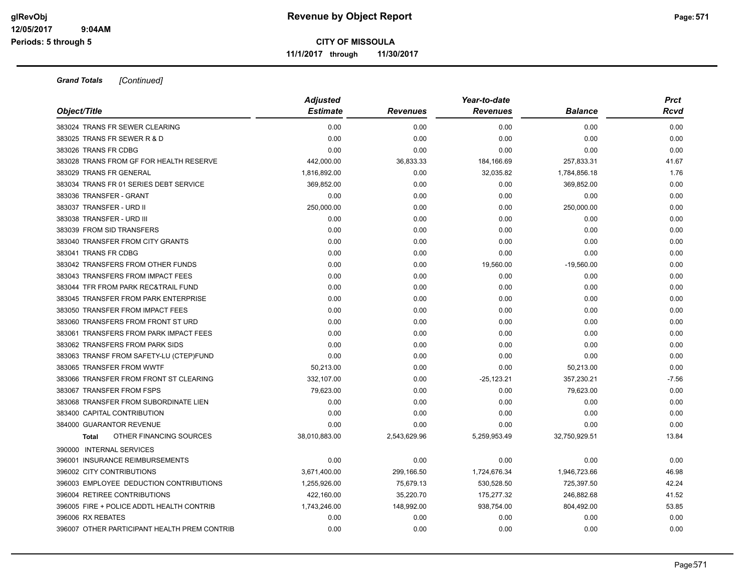**11/1/2017 through 11/30/2017**

| Object/Title                                 | <b>Adjusted</b><br><b>Estimate</b> | <b>Revenues</b> | Year-to-date<br><b>Revenues</b> | <b>Balance</b> | <b>Prct</b><br>Rcvd |
|----------------------------------------------|------------------------------------|-----------------|---------------------------------|----------------|---------------------|
|                                              |                                    |                 |                                 |                |                     |
| 383024 TRANS FR SEWER CLEARING               | 0.00                               | 0.00            | 0.00                            | 0.00           | 0.00                |
| 383025 TRANS FR SEWER R & D                  | 0.00                               | 0.00            | 0.00                            | 0.00           | 0.00                |
| 383026 TRANS FR CDBG                         | 0.00                               | 0.00            | 0.00                            | 0.00           | 0.00                |
| 383028 TRANS FROM GF FOR HEALTH RESERVE      | 442,000.00                         | 36,833.33       | 184,166.69                      | 257,833.31     | 41.67               |
| 383029 TRANS FR GENERAL                      | 1,816,892.00                       | 0.00            | 32,035.82                       | 1,784,856.18   | 1.76                |
| 383034 TRANS FR 01 SERIES DEBT SERVICE       | 369,852.00                         | 0.00            | 0.00                            | 369,852.00     | 0.00                |
| 383036 TRANSFER - GRANT                      | 0.00                               | 0.00            | 0.00                            | 0.00           | 0.00                |
| 383037 TRANSFER - URD II                     | 250,000.00                         | 0.00            | 0.00                            | 250,000.00     | 0.00                |
| 383038 TRANSFER - URD III                    | 0.00                               | 0.00            | 0.00                            | 0.00           | 0.00                |
| 383039 FROM SID TRANSFERS                    | 0.00                               | 0.00            | 0.00                            | 0.00           | 0.00                |
| 383040 TRANSFER FROM CITY GRANTS             | 0.00                               | 0.00            | 0.00                            | 0.00           | 0.00                |
| 383041 TRANS FR CDBG                         | 0.00                               | 0.00            | 0.00                            | 0.00           | 0.00                |
| 383042 TRANSFERS FROM OTHER FUNDS            | 0.00                               | 0.00            | 19,560.00                       | $-19,560.00$   | 0.00                |
| 383043 TRANSFERS FROM IMPACT FEES            | 0.00                               | 0.00            | 0.00                            | 0.00           | 0.00                |
| 383044 TFR FROM PARK REC&TRAIL FUND          | 0.00                               | 0.00            | 0.00                            | 0.00           | 0.00                |
| 383045 TRANSFER FROM PARK ENTERPRISE         | 0.00                               | 0.00            | 0.00                            | 0.00           | 0.00                |
| 383050 TRANSFER FROM IMPACT FEES             | 0.00                               | 0.00            | 0.00                            | 0.00           | 0.00                |
| 383060 TRANSFERS FROM FRONT ST URD           | 0.00                               | 0.00            | 0.00                            | 0.00           | 0.00                |
| 383061 TRANSFERS FROM PARK IMPACT FEES       | 0.00                               | 0.00            | 0.00                            | 0.00           | 0.00                |
| 383062 TRANSFERS FROM PARK SIDS              | 0.00                               | 0.00            | 0.00                            | 0.00           | 0.00                |
| 383063 TRANSF FROM SAFETY-LU (CTEP)FUND      | 0.00                               | 0.00            | 0.00                            | 0.00           | 0.00                |
| 383065 TRANSFER FROM WWTF                    | 50,213.00                          | 0.00            | 0.00                            | 50,213.00      | 0.00                |
| 383066 TRANSFER FROM FRONT ST CLEARING       | 332,107.00                         | 0.00            | $-25, 123.21$                   | 357,230.21     | $-7.56$             |
| 383067 TRANSFER FROM FSPS                    | 79,623.00                          | 0.00            | 0.00                            | 79,623.00      | 0.00                |
| 383068 TRANSFER FROM SUBORDINATE LIEN        | 0.00                               | 0.00            | 0.00                            | 0.00           | 0.00                |
| 383400 CAPITAL CONTRIBUTION                  | 0.00                               | 0.00            | 0.00                            | 0.00           | 0.00                |
| 384000 GUARANTOR REVENUE                     | 0.00                               | 0.00            | 0.00                            | 0.00           | 0.00                |
| OTHER FINANCING SOURCES<br><b>Total</b>      | 38,010,883.00                      | 2,543,629.96    | 5,259,953.49                    | 32,750,929.51  | 13.84               |
| 390000 INTERNAL SERVICES                     |                                    |                 |                                 |                |                     |
| 396001 INSURANCE REIMBURSEMENTS              | 0.00                               | 0.00            | 0.00                            | 0.00           | 0.00                |
| 396002 CITY CONTRIBUTIONS                    | 3,671,400.00                       | 299,166.50      | 1,724,676.34                    | 1,946,723.66   | 46.98               |
| 396003 EMPLOYEE DEDUCTION CONTRIBUTIONS      | 1,255,926.00                       | 75,679.13       | 530,528.50                      | 725,397.50     | 42.24               |
| 396004 RETIREE CONTRIBUTIONS                 | 422.160.00                         | 35,220.70       | 175,277.32                      | 246,882.68     | 41.52               |
| 396005 FIRE + POLICE ADDTL HEALTH CONTRIB    | 1,743,246.00                       | 148,992.00      | 938,754.00                      | 804,492.00     | 53.85               |
| 396006 RX REBATES                            | 0.00                               | 0.00            | 0.00                            | 0.00           | 0.00                |
| 396007 OTHER PARTICIPANT HEALTH PREM CONTRIB | 0.00                               | 0.00            | 0.00                            | 0.00           | 0.00                |